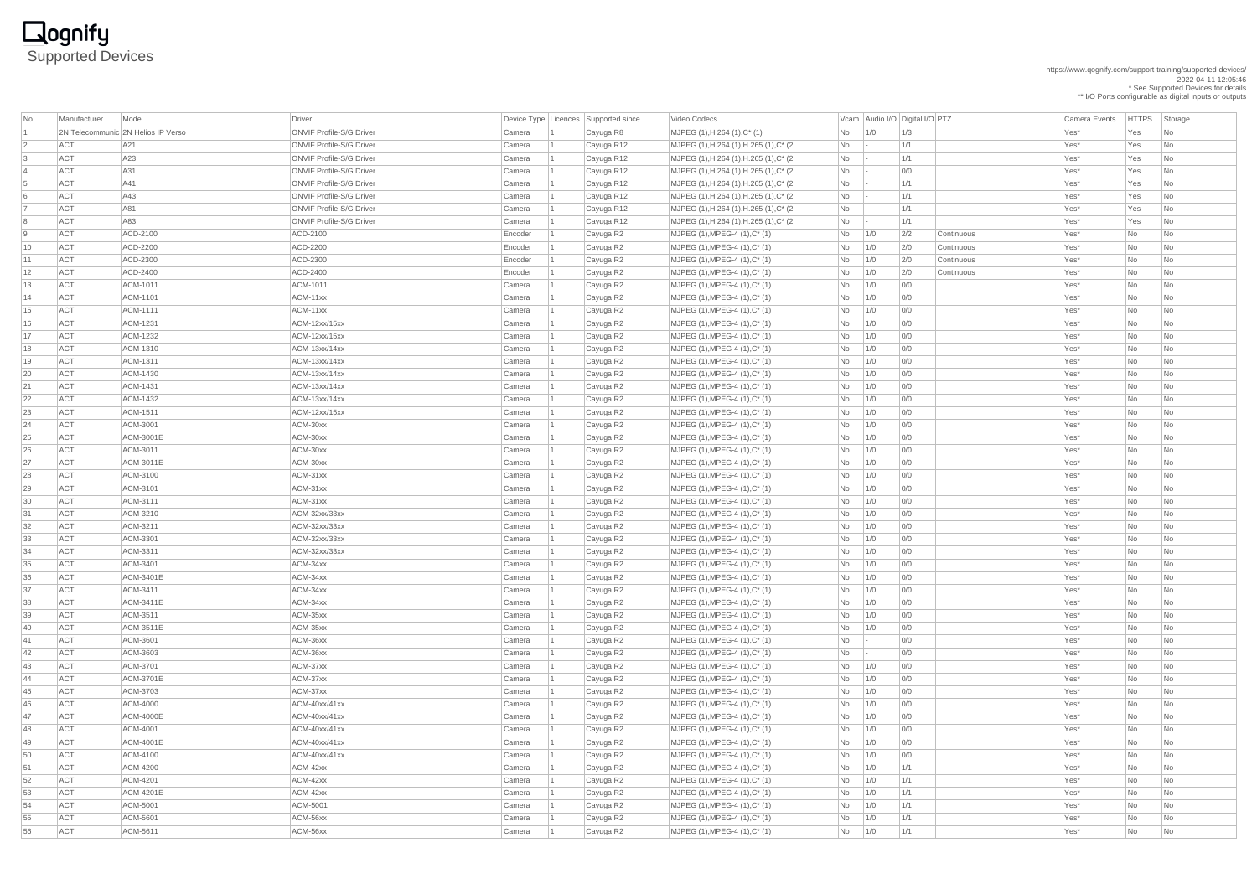https://www.qognify.com/support-training/supported-devices/

2022-04-11 12:05:46

\* See Supported Devices for details

\*\* I/O Ports configurable as digital inputs or outputs

# **Qognify**<br>Supported Devices

| No | Manufacturer | Model                              | Driver                          |         | Device Type Licences Supported since | Video Codecs                               |            |     | Vcam Audio I/O Digital I/O PTZ | <b>Camera Events</b> | <b>HTTPS</b>             | Storage                  |
|----|--------------|------------------------------------|---------------------------------|---------|--------------------------------------|--------------------------------------------|------------|-----|--------------------------------|----------------------|--------------------------|--------------------------|
|    |              | 2N Telecommunic 2N Helios IP Verso | <b>ONVIF Profile-S/G Driver</b> | Camera  | Cayuga R8                            | $MJPEG (1), H.264 (1), C^*(1)$             | No         | 1/0 | 1/3                            | Yes*                 | Yes                      | No.                      |
|    | <b>ACTi</b>  | A21                                | <b>ONVIF Profile-S/G Driver</b> | Camera  | Cayuga R12                           | $MJPEG (1), H.264 (1), H.265 (1), C^* (2)$ | <b>No</b>  |     | 1/1                            | Yes*                 | Yes                      | N <sub>o</sub>           |
| 3  | ACTi         | A23                                | <b>ONVIF Profile-S/G Driver</b> | Camera  | Cayuga R12                           | MJPEG (1), H.264 (1), H.265 (1), C* (2)    | No         |     | 1/1                            | Yes*                 | Yes                      | N <sub>o</sub>           |
|    | ACTi         | A31                                | <b>ONVIF Profile-S/G Driver</b> | Camera  | Cayuga R12                           | MJPEG (1), H.264 (1), H.265 (1), C* (2)    | No         |     | 0/0                            | Yes*                 | Yes                      | No.                      |
| 5  | <b>ACTi</b>  | A41                                | <b>ONVIF Profile-S/G Driver</b> | Camera  | Cayuga R12                           | MJPEG (1), H.264 (1), H.265 (1), C* (2)    | No         |     | 1/1                            | Yes*                 | Yes                      | No                       |
|    | <b>ACTi</b>  | A43                                | <b>ONVIF Profile-S/G Driver</b> | Camera  | Cayuga R12                           | MJPEG (1), H.264 (1), H.265 (1), C* (2)    | No         |     | 1/1                            | Yes*                 | Yes                      | N <sub>o</sub>           |
|    | ACTi         | A81                                | <b>ONVIF Profile-S/G Driver</b> | Camera  | Cayuga R12                           | MJPEG (1), H.264 (1), H.265 (1), C* (2)    | No         |     | 1/1                            | Yes*                 | Yes                      | No                       |
| 8  | ACTi         | A83                                | <b>ONVIF Profile-S/G Driver</b> | Camera  | Cayuga R12                           | MJPEG (1), H.264 (1), H.265 (1), C* (2)    | No         |     | 1/1                            | Yes*                 | Yes                      | N <sub>o</sub>           |
| 9  | <b>ACTi</b>  | ACD-2100                           | ACD-2100                        | Encoder | Cayuga R2                            | $MJPEG (1), MPEG-4 (1), C^* (1)$           | No         | 1/0 | 2/2<br>Continuous              | Yes*                 | No                       | No                       |
| 10 | ACTi         | ACD-2200                           | ACD-2200                        | Encoder | Cayuga R2                            | $MJPEG (1), MPEG-4 (1), C^* (1)$           | No         | 1/0 | 2/0<br>Continuous              | Yes*                 | No                       | <b>No</b>                |
| 11 | <b>ACTi</b>  | ACD-2300                           | ACD-2300                        | Encoder | Cayuga R2                            | MJPEG (1), MPEG-4 (1), C* (1)              | <b>No</b>  | 1/0 | 2/0<br>Continuous              | Yes*                 | No                       | No                       |
| 12 | <b>ACTi</b>  | ACD-2400                           | ACD-2400                        | Encoder | Cayuga R2                            | $MJPEG (1), MPEG-4 (1), C^* (1)$           | No         | 1/0 | 2/0<br>Continuous              | Yes*                 | No                       | N <sub>o</sub>           |
| 13 | ACTi         | ACM-1011                           | ACM-1011                        | Camera  | Cayuga R2                            | $MJPEG (1), MPEG-4 (1), C^* (1)$           | No         | 1/0 | 0/0                            | Yes*                 | No                       | <b>No</b>                |
| 14 | ACTi         | ACM-1101                           | ACM-11xx                        | Camera  | Cayuga R2                            | $MJPEG (1), MPEG-4 (1), C^* (1)$           | No         | 1/0 | 0/0                            | Yes*                 | No                       | No                       |
| 15 | <b>ACTi</b>  | ACM-1111                           | ACM-11xx                        | Camera  | Cayuga R2                            | $MJPEG (1), MPEG-4 (1), C^* (1)$           | No         | 1/0 | 0/0                            | Yes*                 | No                       | No                       |
| 16 | ACTi         | ACM-1231                           | ACM-12xx/15xx                   | Camera  | Cayuga R2                            | $MJPEG (1), MPEG-4 (1), C^* (1)$           | No         | 1/0 | 0/0                            | Yes*                 | No                       | No                       |
| 17 | <b>ACTi</b>  | ACM-1232                           | ACM-12xx/15xx                   | Camera  | Cayuga R2                            | $MJPEG (1), MPEG-4 (1), C^* (1)$           | No         | 1/0 | 0/0                            | Yes*                 | No                       | No                       |
| 18 | <b>ACTi</b>  | ACM-1310                           | ACM-13xx/14xx                   | Camera  | Cayuga R2                            | $MJPEG (1), MPEG-4 (1), C^* (1)$           | No         | 1/0 | 0/0                            | Yes*                 | No                       | No.                      |
| 19 | ACTi         | ACM-1311                           | ACM-13xx/14xx                   | Camera  | Cayuga R2                            | $MJPEG (1), MPEG-4 (1), C^* (1)$           | No         | 1/0 | 0/0                            | Yes*                 | No                       | <b>No</b>                |
| 20 | ACTi         | ACM-1430                           | ACM-13xx/14xx                   | Camera  | Cayuga R2                            | $MJPEG (1), MPEG-4 (1), C^* (1)$           | No         | 1/0 | 0/0                            | Yes*                 | No                       | No.                      |
| 21 | ACTi         | ACM-1431                           | ACM-13xx/14xx                   | Camera  | Cayuga R2                            | $MJPEG (1), MPEG-4 (1), C^* (1)$           | No         | 1/0 | 0/0                            | Yes*                 | No                       | No                       |
| 22 | ACTi         | ACM-1432                           | ACM-13xx/14xx                   | Camera  | Cayuga R2                            | $MJPEG (1), MPEG-4 (1), C^{*} (1)$         | No         | 1/0 | 0/0                            | Yes*                 | No                       | No                       |
| 23 | ACTi         | ACM-1511                           | ACM-12xx/15xx                   | Camera  | Cayuga R2                            | $MJPEG (1), MPEG-4 (1), C^* (1)$           | No         | 1/0 | 0/0                            | Yes*                 | No                       | No.                      |
| 24 | <b>ACTi</b>  | ACM-3001                           | ACM-30xx                        | Camera  | Cayuga R2                            | MJPEG $(1)$ , MPEG-4 $(1)$ , C* $(1)$      | No         | 1/0 | 0/0                            | Yes*                 | <b>No</b>                | No.                      |
| 25 | ACTi         | <b>ACM-3001E</b>                   | ACM-30xx                        | Camera  | Cayuga R2                            | MJPEG (1), MPEG-4 (1), C* (1)              | No         | 1/0 | 0/0                            | Yes*                 | No                       | No                       |
| 26 | ACTi         | ACM-3011                           | ACM-30xx                        | Camera  | Cayuga R2                            | MJPEG (1), MPEG-4 (1), C* (1)              | $No$ $1/0$ |     | 0/0                            | Yes*                 | N <sub>o</sub>           | $\overline{\mathsf{No}}$ |
| 27 | <b>ACTi</b>  | ACM-3011E                          | ACM-30xx                        | Camera  | Cayuga R2                            | $MJPEG (1), MPEG-4 (1), C^* (1)$           | No         | 1/0 | 0/0                            | Yes*                 | No                       | No.                      |
| 28 | ACTi         | ACM-3100                           | ACM-31xx                        | Camera  | Cayuga R2                            | MJPEG $(1)$ , MPEG-4 $(1)$ , C* $(1)$      | No         | 1/0 | 0/0                            | Yes*                 | No                       | No                       |
| 29 | ACTi         | ACM-3101                           | ACM-31xx                        | Camera  | Cayuga R2                            | $MJPEG (1), MPEG-4 (1), C^* (1)$           | No         | 1/0 | 0/0                            | Yes*                 | No                       | No                       |
| 30 | ACTi         | ACM-3111                           | ACM-31xx                        | Camera  | Cayuga R2                            | $MJPEG (1), MPEG-4 (1), C^* (1)$           | No         | 1/0 | 0/0                            | Yes*                 | No                       | No.                      |
| 31 | ACTi         | ACM-3210                           | ACM-32xx/33xx                   | Camera  | Cayuga R2                            | MJPEG (1), MPEG-4 (1), C* (1)              | No         | 1/0 | 0/0                            | Yes*                 | No                       | No                       |
| 32 | ACTi         | ACM-3211                           | ACM-32xx/33xx                   | Camera  | Cayuga R2                            | $MJPEG (1), MPEG-4 (1), C^* (1)$           | No         | 1/0 | 0/0                            | Yes*                 | $\overline{\mathsf{No}}$ | N <sub>o</sub>           |
| 33 | ACTi         | ACM-3301                           | ACM-32xx/33xx                   | Camera  | Cayuga R2                            | MJPEG (1), MPEG-4 (1), C* (1)              | No         | 1/0 | 0/0                            | Yes*                 | No                       | No.                      |
| 34 | ACTi         | ACM-3311                           | ACM-32xx/33xx                   | Camera  | Cayuga R2                            | MJPEG (1), MPEG-4 (1), C* (1)              | No         | 1/0 | 0/0                            | Yes*                 | No                       | No.                      |
| 35 | ACTi         | ACM-3401                           | ACM-34xx                        | Camera  | Cayuga R2                            | $MJPEG (1), MPEG-4 (1), C^* (1)$           | No         | 1/0 | 0/0                            | Yes*                 | No                       | No.                      |
| 36 | ACTi         | ACM-3401E                          | ACM-34xx                        | Camera  | Cayuga R2                            | MJPEG (1), MPEG-4 (1), C* (1)              | No         | 1/0 | 0/0                            | Yes*                 | No                       | No                       |
| 37 | ACTi         | ACM-3411                           | ACM-34xx                        | Camera  | Cayuga R2                            | MJPEG $(1)$ , MPEG-4 $(1)$ , C* $(1)$      | No         | 1/0 | 0/0                            | Yes*                 | No                       | N <sub>o</sub>           |
| 38 | ACTi         | ACM-3411E                          | ACM-34xx                        | Camera  | Cayuga R2                            | MJPEG (1), MPEG-4 (1), C* (1)              | No         | 1/0 | 0/0                            | Yes*                 | $\overline{\mathsf{No}}$ | No                       |
| 39 | <b>ACTi</b>  | ACM-3511                           | ACM-35xx                        | Camera  | Cayuga R2                            | $MJPEG (1), MPEG-4 (1), C^* (1)$           | No         | 1/0 | 0/0                            | Yes*                 | No                       | No.                      |
| 40 | ACTi         | ACM-3511E                          | ACM-35xx                        | Camera  | Cayuga R2                            | $MJPEG (1), MPEG-4 (1), C^* (1)$           | No         | 1/0 | 0/0                            | Yes*                 | No                       | No.                      |
| 41 | ACTi         | ACM-3601                           | ACM-36xx                        | Camera  | Cayuga R2                            | MJPEG (1), MPEG-4 (1), C* (1)              | No         |     | 0/0                            | Yes*                 | No                       | No.                      |
| 42 | ACTi         | ACM-3603                           | ACM-36xx                        | Camera  | Cayuga R2                            | $MJPEG (1), MPEG-4 (1), C^* (1)$           | No         |     | 0/0                            | Yes*                 | No                       | N <sub>o</sub>           |
| 43 | ACTi         | ACM-3701                           | ACM-37xx                        | Camera  | Cayuga R2                            | MJPEG $(1)$ , MPEG-4 $(1)$ , C* $(1)$      | No         | 1/0 | 0/0                            | Yes*                 | No                       | No.                      |
| 44 | ACTi         | ACM-3701E                          | ACM-37xx                        | Camera  | Cayuga R2                            | $MJPEG (1), MPEG-4 (1), C^* (1)$           | No         | 1/0 | 0/0                            | Yes*                 | No                       | N <sub>o</sub>           |
| 45 | ACTi         | ACM-3703                           | ACM-37xx                        | Camera  | Cayuga R2                            | MJPEG (1), MPEG-4 (1), C* (1)              | No         | 1/0 | 0/0                            | Yes*                 | No                       | N <sub>o</sub>           |
| 46 | ACTi         | ACM-4000                           | ACM-40xx/41xx                   | Camera  | Cayuga R2                            | $MJPEG (1), MPEG-4 (1), C^* (1)$           | No         | 1/0 | 0/0                            | Yes*                 | No                       | No.                      |
| 47 | <b>ACTi</b>  | <b>ACM-4000E</b>                   | ACM-40xx/41xx                   | Camera  | Cayuga R2                            | MJPEG (1), MPEG-4 (1), C* (1)              | No         | 1/0 | 0/0                            | Yes*                 | No                       | No                       |
| 48 | ACTi         | ACM-4001                           | ACM-40xx/41xx                   | Camera  | Cayuga R2                            | MJPEG (1), MPEG-4 (1), C* (1)              | No         | 1/0 | 0/0                            | Yes*                 | No                       | No                       |
| 49 | ACTi         | ACM-4001E                          | ACM-40xx/41xx                   | Camera  | Cayuga R2                            | $MJPEG (1), MPEG-4 (1), C^* (1)$           | No         | 1/0 | 0/0                            | Yes*                 | No                       | No.                      |
| 50 | ACTi         | ACM-4100                           | ACM-40xx/41xx                   | Camera  | Cayuga R2                            | MJPEG (1), MPEG-4 (1), C* (1)              | No         | 1/0 | 0/0                            | Yes*                 | No                       | N <sub>o</sub>           |
| 51 | <b>ACTi</b>  | ACM-4200                           | ACM-42xx                        | Camera  | Cayuga R2                            | $MJPEG (1), MPEG-4 (1), C^* (1)$           | No         | 1/0 | 1/1                            | Yes*                 | No                       | N <sub>o</sub>           |
| 52 | <b>ACTi</b>  | <b>ACM-4201</b>                    | ACM-42xx                        | Camera  | Cayuga R2                            | $MJPEG (1), MPEG-4 (1), C^* (1)$           | No         | 1/0 | 1/1                            | Yes*                 | <b>No</b>                | <b>No</b>                |
| 53 | ACTi         | ACM-4201E                          | ACM-42xx                        | Camera  | Cayuga R2                            | MJPEG (1), MPEG-4 (1), C* (1)              | No         | 1/0 | 1/1                            | Yes*                 | No                       | No                       |
| 54 | ACTi         | ACM-5001                           | ACM-5001                        | Camera  | Cayuga R2                            | $MJPEG (1), MPEG-4 (1), C^* (1)$           | No         | 1/0 | 1/1                            | Yes*                 | No                       | No                       |
| 55 | <b>ACTi</b>  | ACM-5601                           | ACM-56xx                        | Camera  | Cayuga R2                            | $MJPEG (1), MPEG-4 (1), C^* (1)$           | <b>No</b>  | 1/0 | 1/1                            | Yes*                 | No                       | No                       |
| 56 | ACTi         | ACM-5611                           | ACM-56xx                        | Camera  | Cayuga R2                            | $MJPEG (1), MPEG-4 (1), C^{*} (1)$         | $No$   1/0 |     | 1/1                            | Yes*                 | $\overline{\text{No}}$   | N <sub>o</sub>           |
|    |              |                                    |                                 |         |                                      |                                            |            |     |                                |                      |                          |                          |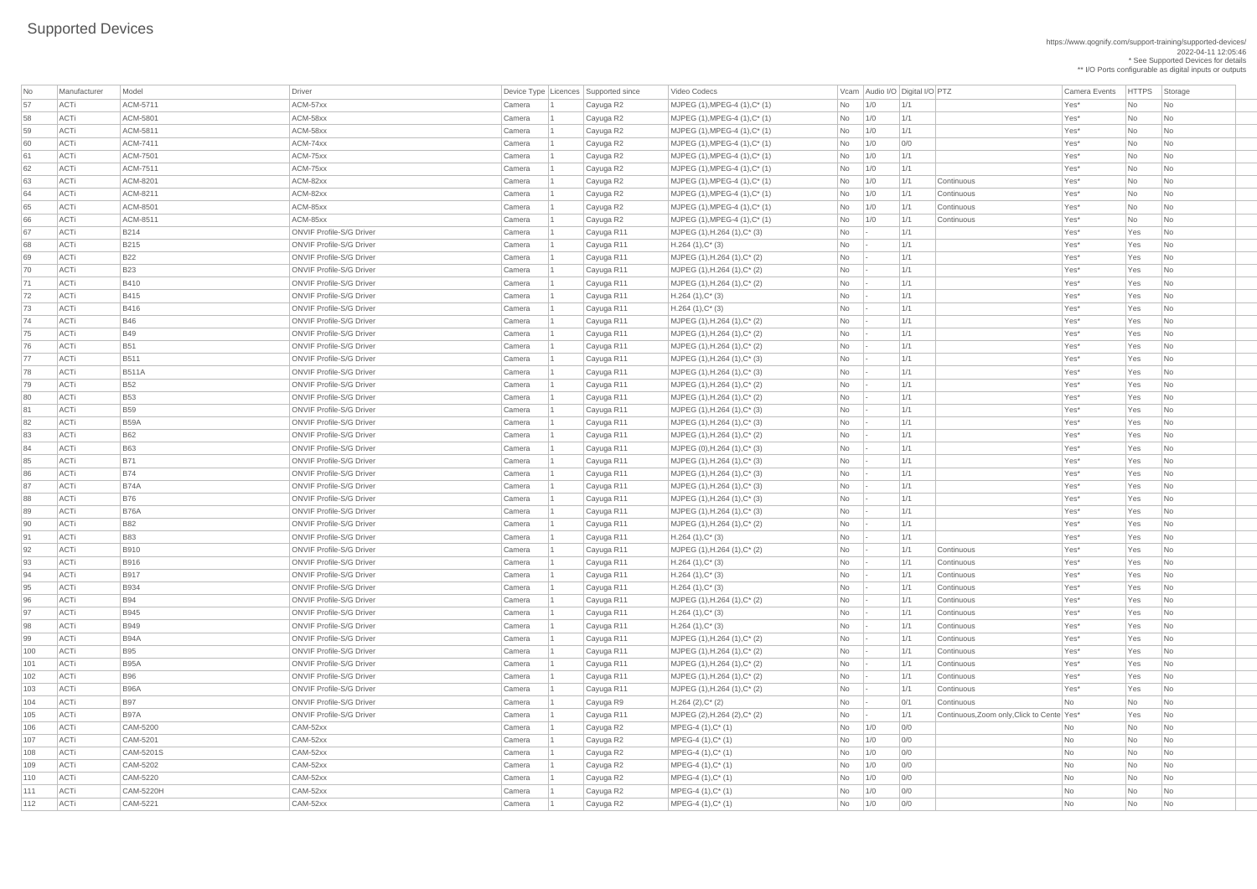https://www.qognify.com/support-training/supported-devices/ 2022-04-11 12:05:46 \* See Supported Devices for details \*\* I/O Ports configurable as digital inputs or outputs

Video Codecs **No Manufacturer Model Driver Audio I/O Digital I/O PTZ** Camera Events HTTPS Storage ACTi B97A ONVIF Profile-S/G Driver Camera 1 Cayuga R11 MJPEG (2),H.264 (2),C\* (2) No - 1/1 Continuous,Zoom only,Click to Cente Yes\* Yes No

| No  | Manufacturer | Model           | <b>Driver</b>                   |        | Device Type   Licences   Supported since | Video Codecs                      |                        |     | Vcam Audio I/O Digital I/O PTZ |                                            | <b>Camera Events</b> | HTTPS Sto |                             |
|-----|--------------|-----------------|---------------------------------|--------|------------------------------------------|-----------------------------------|------------------------|-----|--------------------------------|--------------------------------------------|----------------------|-----------|-----------------------------|
| 57  | ACTi         | ACM-5711        | ACM-57xx                        | Camera | Cayuga R2                                | $MJPEG (1), MPEG-4 (1), C^* (1)$  | No                     | 1/0 | 1/1                            |                                            | Yes*                 | No        | $\vert$ Nc                  |
| 58  | ACTi         | ACM-5801        | ACM-58xx                        | Camera | Cayuga R2                                | $MJPEG (1), MPEG-4 (1), C^* (1)$  | No                     | 1/0 | 1/1                            |                                            | Yes*                 | No        | $\overline{\phantom{a}}$ Nc |
| 59  | ACTi         | ACM-5811        | ACM-58xx                        | Camera | Cayuga R2                                | $MJPEG (1), MPEG-4 (1), C^* (1)$  | No                     | 1/0 | 1/1                            |                                            | Yes*                 | No        | Nc                          |
| 60  | ACTi         | ACM-7411        | ACM-74xx                        | Camera | Cayuga R2                                | $MJPEG (1), MPEG-4 (1), C^* (1)$  | No                     | 1/0 | 0/0                            |                                            | Yes*                 | No        | Nc                          |
| 61  | ACTi         | <b>ACM-7501</b> | ACM-75xx                        | Camera | Cayuga R2                                | $MJPEG (1), MPEG-4 (1), C^* (1)$  | No                     | 1/0 | 1/1                            |                                            | Yes*                 | No        | $\overline{\phantom{a}}$ Nc |
| 62  | ACTi         | ACM-7511        | ACM-75xx                        | Camera | Cayuga R2                                | $MJPEG (1), MPEG-4 (1), C^* (1)$  | No                     | 1/0 | 1/1                            |                                            | Yes*                 | No        | $\overline{\phantom{a}}$ Nc |
| 63  | ACTi         | ACM-8201        | ACM-82xx                        | Camera | Cayuga R2                                | $MJPEG (1), MPEG-4 (1), C^* (1)$  | No                     | 1/0 | 1/1                            | Continuous                                 | Yes*                 | No        | $\overline{\phantom{a}}$ Nc |
| 64  | ACTi         | ACM-8211        | ACM-82xx                        | Camera | Cayuga R2                                | MJPEG (1), MPEG-4 (1), C* (1)     | No                     | 1/0 | 1/1                            | Continuous                                 | Yes*                 | No        | <b>Nc</b>                   |
| 65  | ACTi         | ACM-8501        | ACM-85xx                        | Camera | Cayuga R2                                | $MJPEG (1), MPEG-4 (1), C^* (1)$  | No                     | 1/0 | 1/1                            | Continuous                                 | Yes*                 | No        | <b>Nc</b>                   |
| 66  | ACTi         | ACM-8511        | ACM-85xx                        | Camera | Cayuga R2                                | $MJPEG (1), MPEG-4 (1), C^* (1)$  | No                     | 1/0 | 1/1                            | Continuous                                 | Yes*                 | No        | $\overline{\phantom{a}}$ Nc |
| 67  | ACTi         | <b>B214</b>     | <b>ONVIF Profile-S/G Driver</b> | Camera | Cayuga R11                               | $MJPEG (1), H.264 (1), C^{*} (3)$ | No                     |     | 1/1                            |                                            | Yes*                 | Yes       | $\overline{\phantom{a}}$ Nc |
| 68  | ACTi         | B215            | <b>ONVIF Profile-S/G Driver</b> | Camera | Cayuga R11                               | $H.264(1),C^*(3)$                 | No                     |     | 1/1                            |                                            | Yes*                 | Yes       | $\overline{\phantom{a}}$ Nc |
| 69  | ACTi         | <b>B22</b>      | <b>ONVIF Profile-S/G Driver</b> | Camera | Cayuga R11                               | MJPEG (1), H.264 (1), C* (2)      | No                     |     | 1/1                            |                                            | Yes*                 | Yes       | $\overline{\phantom{a}}$ Nc |
| 70  | ACTi         | <b>B23</b>      | <b>ONVIF Profile-S/G Driver</b> | Camera | Cayuga R11                               | $MJPEG (1), H.264 (1), C^*(2)$    | <b>No</b>              |     | 1/1                            |                                            | Yes*                 | Yes       | $\overline{\phantom{a}}$ Nc |
| 71  | ACTi         | <b>B410</b>     | <b>ONVIF Profile-S/G Driver</b> | Camera | Cayuga R11                               | MJPEG (1), H.264 (1), C* (2)      | No                     |     | 1/1                            |                                            | Yes*                 | Yes       | $\overline{\phantom{a}}$ Nc |
| 72  | ACTi         | <b>B415</b>     | <b>ONVIF Profile-S/G Driver</b> | Camera | Cayuga R11                               | $H.264(1),C^*(3)$                 | No                     |     | 1/1                            |                                            | Yes*                 | Yes       | $\overline{\phantom{a}}$ Nc |
| 73  | ACTi         | <b>B416</b>     | <b>ONVIF Profile-S/G Driver</b> | Camera | Cayuga R11                               | $H.264(1),C^*(3)$                 | No                     |     | 1/1                            |                                            | Yes*                 | Yes       | $\overline{\phantom{a}}$ Nc |
| 74  | ACTi         | <b>B46</b>      | <b>ONVIF Profile-S/G Driver</b> | Camera | Cayuga R11                               | MJPEG (1), H.264 (1), C* (2)      | No                     |     | 1/1                            |                                            | Yes*                 | Yes       | $\overline{\phantom{a}}$ Nc |
| 75  | ACTi         | <b>B49</b>      | <b>ONVIF Profile-S/G Driver</b> | Camera | Cayuga R11                               | $MJPEG (1), H.264 (1), C^{*} (2)$ | No                     |     | 1/1                            |                                            | Yes*                 | Yes       | $\overline{\phantom{a}}$ Nc |
| 76  | ACTi         | <b>B51</b>      | <b>ONVIF Profile-S/G Driver</b> | Camera | Cayuga R11                               | MJPEG (1), H.264 (1), C* (2)      | No                     |     | 1/1                            |                                            | Yes*                 | Yes       | $\overline{\phantom{a}}$ Nc |
| 77  | ACTi         | <b>B511</b>     | <b>ONVIF Profile-S/G Driver</b> | Camera | Cayuga R11                               | $MJPEG (1), H.264 (1), C^{*} (3)$ | No                     |     | 1/1                            |                                            | Yes*                 | Yes       | $\overline{\phantom{a}}$ Nc |
| 78  | ACTi         | <b>B511A</b>    | <b>ONVIF Profile-S/G Driver</b> | Camera | Cayuga R11                               | $MJPEG (1), H.264 (1), C^*(3)$    | No                     |     | 1/1                            |                                            | Yes*                 | Yes       | $\overline{\phantom{a}}$ Nc |
| 79  | ACTi         | <b>B52</b>      | <b>ONVIF Profile-S/G Driver</b> | Camera | Cayuga R11                               | $MJPEG (1), H.264 (1), C^{*} (2)$ | No                     |     | 1/1                            |                                            | Yes*                 | Yes       | $\overline{\phantom{a}}$ Nc |
| 80  | ACTi         | <b>B53</b>      | <b>ONVIF Profile-S/G Driver</b> | Camera | Cayuga R11                               | $MJPEG (1), H.264 (1), C^*(2)$    | No                     |     | 1/1                            |                                            | Yes*                 | Yes       | $\overline{\phantom{a}}$ Nc |
| 81  | ACTi         | <b>B59</b>      | <b>ONVIF Profile-S/G Driver</b> | Camera | Cayuga R11                               | MJPEG (1), H.264 (1), C* (3)      | No                     |     | 1/1                            |                                            | Yes*                 | Yes       | $ $ Nc                      |
| 82  | ACTi         | <b>B59A</b>     | <b>ONVIF Profile-S/G Driver</b> | Camera | Cayuga R11                               | MJPEG (1), H.264 (1), C* (3)      | No                     |     | 1/1                            |                                            | Yes*                 | Yes       | $\vert$ Nc                  |
| 83  | ACTi         | <b>B62</b>      | <b>ONVIF Profile-S/G Driver</b> | Camera | Cayuga R11                               | $MJPEG (1), H.264 (1), C^{*} (2)$ | No                     |     | 1/1                            |                                            | Yes*                 | Yes       | $\overline{\phantom{a}}$ Nc |
| 84  | ACTi         | <b>B63</b>      | <b>ONVIF Profile-S/G Driver</b> | Camera | Cayuga R11                               | $MJPEG (0), H.264 (1), C^* (3)$   | No                     |     | 1/1                            |                                            | Yes*                 | Yes       | $\overline{\phantom{a}}$ Nc |
| 85  | ACTi         | <b>B71</b>      | <b>ONVIF Profile-S/G Driver</b> | Camera | Cayuga R11                               | $MJPEG (1), H.264 (1), C^{*} (3)$ | No                     |     | 1/1                            |                                            | Yes*                 | Yes       | $\overline{\phantom{a}}$ Nc |
| 86  | ACTi         | <b>B74</b>      | <b>ONVIF Profile-S/G Driver</b> | Camera | Cayuga R11                               | MJPEG (1), H.264 (1), C* (3)      | No                     |     | 1/1                            |                                            | Yes*                 | Yes       | $\overline{\phantom{a}}$ Nc |
| 87  | ACTi         | <b>B74A</b>     | <b>ONVIF Profile-S/G Driver</b> | Camera | Cayuga R11                               | MJPEG (1), H.264 (1), C* (3)      | No                     |     | 1/1                            |                                            | Yes*                 | Yes       | $\overline{\phantom{a}}$ Nc |
| 88  | ACTi         | <b>B76</b>      | <b>ONVIF Profile-S/G Driver</b> | Camera | Cayuga R11                               | $MJPEG (1), H.264 (1), C^*(3)$    | No                     |     | 1/1                            |                                            | Yes*                 | Yes       | $\overline{\phantom{a}}$ Nc |
| 89  | ACTi         | <b>B76A</b>     | <b>ONVIF Profile-S/G Driver</b> | Camera | Cayuga R11                               | MJPEG (1), H.264 (1), C* (3)      | No                     |     | 1/1                            |                                            | Yes*                 | Yes       | $\overline{\phantom{a}}$ Nc |
| 90  | ACTi         | <b>B82</b>      | <b>ONVIF Profile-S/G Driver</b> | Camera | Cayuga R11                               | MJPEG (1), H.264 (1), C* (2)      | No                     |     | 1/1                            |                                            | Yes*                 | Yes       | $\overline{\phantom{a}}$ Nc |
| 91  | ACTi         | <b>B83</b>      | <b>ONVIF Profile-S/G Driver</b> | Camera | Cayuga R11                               | $H.264(1),C^*(3)$                 | No                     |     | 1/1                            |                                            | Yes*                 | Yes       | $\overline{\phantom{a}}$ Nc |
| 92  | ACTi         | <b>B910</b>     | <b>ONVIF Profile-S/G Driver</b> | Camera | Cayuga R11                               | MJPEG (1), H.264 (1), C* (2)      | No                     |     | 1/1                            | Continuous                                 | Yes*                 | Yes       | $\overline{\phantom{a}}$ Nc |
| 93  | ACTi         | <b>B916</b>     | <b>ONVIF Profile-S/G Driver</b> | Camera | Cayuga R11                               | $H.264(1),C^*(3)$                 | No                     |     | 1/1                            | Continuous                                 | Yes*                 | Yes       | $\overline{\phantom{a}}$ Nc |
| 94  | ACTi         | <b>B917</b>     | <b>ONVIF Profile-S/G Driver</b> | Camera | Cayuga R11                               | $H.264(1),C^*(3)$                 | No                     |     | 1/1                            | Continuous                                 | Yes*                 | Yes       | $\overline{\phantom{a}}$ Nc |
| 95  | ACTi         | <b>B934</b>     | <b>ONVIF Profile-S/G Driver</b> | Camera | Cayuga R11                               | $H.264(1),C^*(3)$                 | No                     |     | 1/1                            | Continuous                                 | Yes*                 | Yes       | $\overline{\phantom{a}}$ Nc |
| 96  | ACTi         | <b>B94</b>      | <b>ONVIF Profile-S/G Driver</b> | Camera | Cayuga R11                               | $MJPEG (1), H.264 (1), C^{*} (2)$ | No                     |     | 1/1                            | Continuous                                 | Yes*                 | Yes       | $\overline{\phantom{a}}$ Nc |
| 97  | ACTi         | <b>B945</b>     | <b>ONVIF Profile-S/G Driver</b> | Camera | Cayuga R11                               | $H.264(1),C^*(3)$                 | No                     |     | 1/1                            | Continuous                                 | Yes*                 | Yes       | $\overline{\phantom{a}}$ Nc |
| 98  | ACTi         | <b>B949</b>     | <b>ONVIF Profile-S/G Driver</b> | Camera | Cayuga R11                               | $H.264(1),C^*(3)$                 | No                     |     | 1/1                            | Continuous                                 | Yes*                 | Yes       | $\overline{\phantom{a}}$ Nc |
| 99  | ACTi         | <b>B94A</b>     | <b>ONVIF Profile-S/G Driver</b> | Camera | Cayuga R11                               | $MJPEG (1), H.264 (1), C^*(2)$    | No                     |     | 1/1                            | Continuous                                 | Yes*                 | Yes       | $\overline{\phantom{a}}$ Nc |
| 100 | ACTi         | <b>B</b> 95     | <b>ONVIF Profile-S/G Driver</b> | Camera | Cayuga R11                               | $MJPEG (1), H.264 (1), C^{*} (2)$ | No                     |     | 1/1                            | Continuous                                 | Yes*                 | Yes       | $\overline{\phantom{a}}$ Nc |
| 101 | ACTi         | <b>B95A</b>     | <b>ONVIF Profile-S/G Driver</b> | Camera | Cayuga R11                               | MJPEG (1), H.264 (1), C* (2)      | No                     |     | 1/1                            | Continuous                                 | Yes*                 | Yes       | $\overline{\phantom{a}}$ Nc |
| 102 | ACTi         | <b>B96</b>      | <b>ONVIF Profile-S/G Driver</b> | Camera | Cayuga R11                               | $MJPEG (1), H.264 (1), C^*(2)$    | No                     |     | 1/1                            | Continuous                                 | Yes*                 | Yes       | $\overline{\phantom{a}}$ Nc |
| 103 | ACTi         | <b>B96A</b>     | <b>ONVIF Profile-S/G Driver</b> | Camera | Cayuga R11                               | MJPEG (1), H.264 (1), C* (2)      | No                     |     | 1/1                            | Continuous                                 | Yes*                 | Yes       | $\overline{\phantom{a}}$ Nc |
| 104 | ACTi         | <b>B97</b>      | <b>ONVIF Profile-S/G Driver</b> | Camera | Cayuga R9                                | $H.264 (2), C^*(2)$               | No                     |     | 0/1                            | Continuous                                 | No                   | No        | $\overline{\phantom{a}}$ Nc |
| 105 | ACTi         | <b>B97A</b>     | <b>ONVIF Profile-S/G Driver</b> | Camera | Cayuga R11                               | MJPEG (2), H.264 (2), $C^*$ (2)   | No                     |     | 1/1                            | Continuous, Zoom only, Click to Cente Yes* |                      | Yes       | $\overline{\phantom{a}}$ Nc |
| 106 | ACTi         | CAM-5200        | CAM-52xx                        | Camera | Cayuga R2                                | MPEG-4 (1), C* (1)                | No                     | 1/0 | 0/0                            |                                            | No                   | No        | $\overline{\phantom{a}}$ Nc |
| 107 | ACTi         | CAM-5201        | CAM-52xx                        | Camera | Cayuga R2                                | $MPEG-4 (1), C^*(1)$              | No                     | 1/0 | 0/0                            |                                            | No                   | No        | $\overline{\phantom{a}}$ Nc |
| 108 | <b>ACTi</b>  | CAM-5201S       | CAM-52xx                        | Camera | Cayuga R2                                | $MPEG-4 (1), C^*(1)$              | No                     | 1/0 | 0/0                            |                                            | <b>No</b>            | No        | <b>Nc</b>                   |
| 109 | ACTi         | CAM-5202        | CAM-52xx                        | Camera | Cayuga R2                                | $MPEG-4 (1), C^*(1)$              | No                     | 1/0 | 0/0                            |                                            | <b>No</b>            | No        | $\overline{\phantom{a}}$ Nc |
| 110 | ACTi         | CAM-5220        | CAM-52xx                        | Camera | Cayuga R2                                | MPEG-4 (1), C* (1)                | No                     | 1/0 | 0/0                            |                                            | No                   | No        | Nc                          |
| 111 | ACTi         | CAM-5220H       | CAM-52xx                        | Camera | Cayuga R2                                | $MPEG-4 (1), C^*(1)$              | No                     | 1/0 | 0/0                            |                                            | No                   | No        | $\overline{\phantom{a}}$ Nc |
| 112 | ACTi         | CAM-5221        | CAM-52xx                        | Camera | Cayuga R2                                | $MPEG-4 (1), C^*(1)$              | $\overline{\text{No}}$ | 1/0 | 0/0                            |                                            | <b>No</b>            | No        | $\overline{\phantom{a}}$ Nc |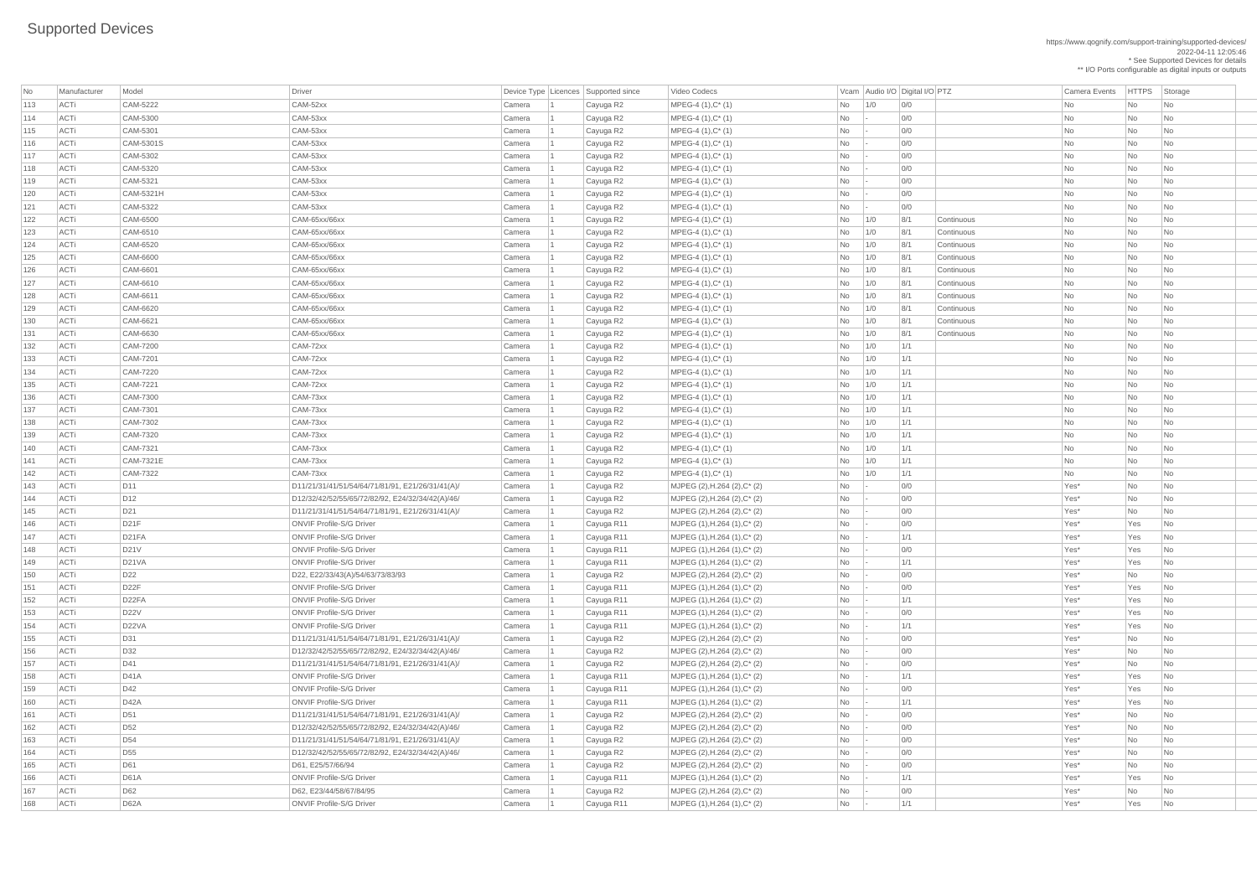| No  | Manufacturer | Model              | Driver                                           |        | Device Type Licences Supported since | Video Codecs                     |                                                                      |               | Vcam Audio I/O Digital I/O PTZ |            | <b>Camera Events</b> | <b>HTTPS</b> | Storage                     |
|-----|--------------|--------------------|--------------------------------------------------|--------|--------------------------------------|----------------------------------|----------------------------------------------------------------------|---------------|--------------------------------|------------|----------------------|--------------|-----------------------------|
| 113 | ACTi         | CAM-5222           | CAM-52xx                                         | Camera | Cayuga R2                            | MPEG-4 (1), C* (1)               | No                                                                   | 1/0           | 0/0                            |            | <b>No</b>            | No           | No                          |
| 114 | ACTi         | CAM-5300           | CAM-53xx                                         | Camera | Cayuga R2                            | MPEG-4 (1), C* (1)               | No                                                                   | - 11 -        | 0/0                            |            | No                   | No           | No                          |
| 115 | ACTi         | CAM-5301           | CAM-53xx                                         | Camera | Cayuga R2                            | $MPEG-4 (1), C^*(1)$             | <b>No</b>                                                            |               | O/O                            |            | $\mathsf{No}$        | <b>No</b>    | No                          |
| 116 | ACTi         | CAM-5301S          | CAM-53xx                                         | Camera | Cayuga R2                            | MPEG-4 (1), C* (1)               | <b>No</b>                                                            |               | 0/0                            |            | No                   | No           | No                          |
| 117 | ACTi         | CAM-5302           | CAM-53xx                                         | Camera | Cayuga R2                            | $MPEG-4 (1), C^*(1)$             | <b>No</b>                                                            | - 1 -         | 0/0                            |            | No                   | No           | No                          |
| 118 | ACTi         | CAM-5320           | CAM-53xx                                         | Camera | Cayuga R2                            | $MPEG-4 (1), C^*(1)$             | <b>No</b>                                                            |               | O/O                            |            | <b>No</b>            | No           | <b>No</b>                   |
| 119 | ACTi         | CAM-5321           | CAM-53xx                                         | Camera | Cayuga R2                            | MPEG-4 (1), C* (1)               | No                                                                   |               | 0/0                            |            | No                   | <b>No</b>    | No                          |
| 120 | ACTi         | CAM-5321H          | CAM-53xx                                         | Camera | Cayuga R2                            | MPEG-4 (1), C* (1)               | No                                                                   |               | 0/0                            |            | No                   | No           | No                          |
| 121 | ACTi         | CAM-5322           | CAM-53xx                                         | Camera | Cayuga R2                            | MPEG-4 (1), C* (1)               | <b>No</b>                                                            |               | O/O                            |            | No                   | <b>No</b>    | No                          |
| 122 | ACTi         | CAM-6500           | CAM-65xx/66xx                                    | Camera | Cayuga R2                            | MPEG-4 (1), C* (1)               | No                                                                   | 1/0           | 8/1                            | Continuous | No                   | No           | No                          |
| 123 | ACTi         | CAM-6510           | CAM-65xx/66xx                                    | Camera | Cayuga R2                            | $MPEG-4 (1), C^*(1)$             | <b>No</b>                                                            | 1/0           | 8/1                            | Continuous | No                   | No           | No                          |
| 124 | ACTi         | CAM-6520           | CAM-65xx/66xx                                    | Camera | Cayuga R2                            | $MPEG-4 (1), C^*(1)$             | No                                                                   | 1/0           | 8/1                            | Continuous | No                   | No           | <b>No</b>                   |
| 125 | ACTi         | CAM-6600           | CAM-65xx/66xx                                    | Camera | Cayuga R2                            | MPEG-4 (1), C* (1)               | No                                                                   | 1/0           | 8/1                            | Continuous | No                   | No           | No                          |
| 126 | ACTi         | CAM-6601           | CAM-65xx/66xx                                    | Camera | Cayuga R2                            | MPEG-4 (1), C* (1)               | <b>No</b>                                                            | 1/0           | 8/1                            | Continuous | No                   | No           | No                          |
| 127 | ACTi         | CAM-6610           | CAM-65xx/66xx                                    | Camera | Cayuga R2                            | $MPEG-4 (1), C^*(1)$             | No                                                                   | 1/0           | 8/1                            | Continuous | No                   | No           | No                          |
| 128 | ACTi         | CAM-6611           | CAM-65xx/66xx                                    | Camera | Cayuga R2                            | MPEG-4 (1), C* (1)               | No                                                                   | 1/0           | 8/1                            | Continuous | No                   | <b>No</b>    | No                          |
| 129 | ACTi         | CAM-6620           | CAM-65xx/66xx                                    | Camera | Cayuga R2                            | $MPEG-4 (1), C^*(1)$             | No                                                                   | 1/0           | 8/1                            | Continuous | No                   | No           | No                          |
| 130 | ACTi         | CAM-6621           | CAM-65xx/66xx                                    | Camera | Cayuga R2                            | MPEG-4 (1), C* (1)               | No                                                                   | 1/0           | 8/1                            | Continuous | No                   | No           | No                          |
| 131 | ACTi         | CAM-6630           | CAM-65xx/66xx                                    | Camera | Cayuga R2                            | MPEG-4 (1), C* (1)               | No                                                                   | 1/0           | 8/1                            | Continuous | No                   | <b>No</b>    | No                          |
| 132 | ACTi         | CAM-7200           | CAM-72xx                                         | Camera | Cayuga R2                            | MPEG-4 (1), C* (1)               | No                                                                   | 1/0           | 1/1                            |            | <b>No</b>            | No           | No                          |
| 133 | ACTi         | CAM-7201           | CAM-72xx                                         | Camera | Cayuga R2                            | MPEG-4 (1), C* (1)               | No                                                                   | 1/0           | 1/1                            |            | No                   | No           | No                          |
| 134 | ACTi         | CAM-7220           | CAM-72xx                                         | Camera | Cayuga R2                            | $MPEG-4 (1), C^*(1)$             | No                                                                   | 1/0           | 1/1                            |            | No                   | <b>No</b>    | No                          |
| 135 | ACTi         | CAM-7221           | CAM-72xx                                         | Camera | Cayuga R2                            | $MPEG-4 (1), C^*(1)$             | No                                                                   | 1/0           | 1/1                            |            | <b>No</b>            | No           | No                          |
| 136 | ACTi         | CAM-7300           | CAM-73xx                                         | Camera | Cayuga R2                            | MPEG-4 (1), C* (1)               | No                                                                   | 1/0           | 1/1                            |            | No                   | No           | No                          |
| 137 | ACTi         | CAM-7301           | CAM-73xx                                         | Camera | Cayuga R2                            | MPEG-4 (1), C* (1)               | No                                                                   | 1/0           | 1/1                            |            | <b>No</b>            | <b>No</b>    | No                          |
| 138 | ACTi         | CAM-7302           | CAM-73xx                                         | Camera | Cayuga R2                            | $MPEG-4 (1), C^*(1)$             | No                                                                   | 1/0           | 1/1                            |            | No                   | No           | No                          |
| 139 | ACTi         | CAM-7320           | CAM-73xx                                         | Camera | Cayuga R2                            | $MPEG-4 (1), C^*(1)$             | No                                                                   | 1/0           | 1/1                            |            | No                   | No           | No                          |
| 140 | ACTi         | CAM-7321           | CAM-73xx                                         | Camera | Cayuga R2                            | $MPEG-4 (1), C^*(1)$             | No                                                                   | 1/0           | 1/1                            |            | No                   | <b>No</b>    | <b>No</b>                   |
| 141 | ACTi         | CAM-7321E          | CAM-73xx                                         | Camera | Cayuga R2                            | $MPEG-4 (1), C^*(1)$             | No                                                                   | 1/0           | 1/1                            |            | N <sub>o</sub>       | No           | No                          |
| 142 | ACTi         | CAM-7322           | CAM-73xx                                         | Camera | Cayuga R2                            | $MPEG-4 (1), C^*(1)$             | No                                                                   | 1/0           | 1/1                            |            | No                   | No           | No                          |
| 143 | ACTi         | D <sub>11</sub>    | D11/21/31/41/51/54/64/71/81/91, E21/26/31/41(A)/ | Camera | Cayuga R2                            | MJPEG (2), H.264 (2), C* (2)     | <b>No</b>                                                            | $\sim$        | 0/0                            |            | Yes*                 | <b>No</b>    | <b>No</b>                   |
| 144 | ACTi         | D <sub>12</sub>    | D12/32/42/52/55/65/72/82/92, E24/32/34/42(A)/46/ | Camera | Cayuga R2                            | MJPEG (2), H.264 (2), C* (2)     | <b>No</b>                                                            |               | 0/0                            |            | Yes*                 | <b>No</b>    | <b>No</b>                   |
| 145 | ACTi         | D21                | D11/21/31/41/51/54/64/71/81/91, E21/26/31/41(A)/ | Camera | Cayuga R2                            | MJPEG (2), H.264 (2), C* (2)     | No                                                                   |               | 0/0                            |            | Yes*                 | No           | No                          |
| 146 | ACTi         | D21F               | <b>ONVIF Profile-S/G Driver</b>                  | Camera | Cayuga R11                           | MJPEG (1), H.264 (1), C* (2)     | <b>No</b>                                                            |               | 0/0                            |            | Yes*                 | Yes          | <b>No</b>                   |
| 147 | ACTi         | D21FA              | <b>ONVIF Profile-S/G Driver</b>                  | Camera | Cayuga R11                           | MJPEG (1), H.264 (1), C* (2)     | No                                                                   |               | 1/1                            |            | Yes*                 | Yes          | N <sub>o</sub>              |
| 148 | ACTi         | D21V               | <b>ONVIF Profile-S/G Driver</b>                  | Camera | Cayuga R11                           | $ $ MJPEG (1), H.264 (1), C* (2) | No                                                                   |               | 0/0                            |            | Yes*                 | Yes          | No                          |
| 149 | ACTi         | <b>D21VA</b>       | <b>ONVIF Profile-S/G Driver</b>                  | Camera | Cayuga R11                           | MJPEG (1), H.264 (1), C* (2)     | No                                                                   |               | 1/1                            |            | Yes*                 | Yes          | <b>No</b>                   |
| 150 | ACTi         | D22                | D22, E22/33/43(A)/54/63/73/83/93                 | Camera | Cayuga R2                            | MJPEG (2), H.264 (2), C* (2)     | No                                                                   |               | 0/0                            |            | Yes*                 | No           | <b>No</b>                   |
| 151 | ACTi         | D <sub>22</sub> F  | <b>ONVIF Profile-S/G Driver</b>                  | Camera | Cayuga R11                           | MJPEG (1), H.264 (1), C* (2)     | <b>No</b>                                                            |               | 0/0                            |            | Yes*                 | Yes          | N <sub>o</sub>              |
| 152 | ACTi         | D <sub>22</sub> FA | <b>ONVIF Profile-S/G Driver</b>                  | Camera | Cayuga R11                           | MJPEG (1), H.264 (1), C* (2)     | No                                                                   | - 1 -         | 1/1                            |            | Yes*                 | Yes          | N <sub>o</sub>              |
| 153 | ACTi         | <b>D22V</b>        | <b>ONVIF Profile-S/G Driver</b>                  | Camera | Cayuga R11                           | MJPEG (1), H.264 (1), C* (2)     | No                                                                   |               | 0/0                            |            | Yes*                 | Yes          | N <sub>o</sub>              |
| 154 | ACTi         | D22VA              | <b>ONVIF Profile-S/G Driver</b>                  | Camera | Cayuga R11                           | MJPEG (1), H.264 (1), C* (2)     | <b>No</b>                                                            | $\sim$        | 1/1                            |            | Yes*                 | Yes          | N <sub>o</sub>              |
| 155 | ACTi         | D31                | D11/21/31/41/51/54/64/71/81/91, E21/26/31/41(A)/ | Camera | Cayuga R2                            | MJPEG (2), H.264 (2), C* (2)     | No                                                                   |               | 0/0                            |            | Yes*                 | <b>No</b>    | <b>No</b>                   |
| 156 | ACTi         | D32                | D12/32/42/52/55/65/72/82/92, E24/32/34/42(A)/46/ | Camera | Cayuga R2                            | MJPEG (2), H.264 (2), C* (2)     | <b>No</b>                                                            |               | 0/0                            |            | Yes*                 | <b>No</b>    | <b>No</b>                   |
| 157 | ACTi         | D41                | D11/21/31/41/51/54/64/71/81/91, E21/26/31/41(A)/ | Camera | Cayuga R2                            | MJPEG (2), H.264 (2), C* (2)     | <b>No</b>                                                            |               | 0/0                            |            | Yes*                 | No           | <b>No</b>                   |
| 158 | ACTi         | D41A               | <b>ONVIF Profile-S/G Driver</b>                  | Camera | Cayuga R11                           | MJPEG (1), H.264 (1), C* (2)     | <b>No</b>                                                            |               | 1/1                            |            | Yes*                 | Yes          | <b>No</b>                   |
| 159 | ACTi         | D42                | <b>ONVIF Profile-S/G Driver</b>                  | Camera | Cayuga R11                           | MJPEG (1), H.264 (1), C* (2)     | No                                                                   |               | 0/0                            |            | Yes*                 | Yes          | N <sub>o</sub>              |
| 160 | ACTi         | D42A               | <b>ONVIF Profile-S/G Driver</b>                  | Camera | Cayuga R11                           | MJPEG (1), H.264 (1), C* (2)     | No                                                                   |               | 1/1                            |            | Yes*                 | Yes          | N <sub>o</sub>              |
| 161 | ACTi         | D51                | D11/21/31/41/51/54/64/71/81/91, E21/26/31/41(A)/ | Camera | Cayuga R2                            | MJPEG (2), H.264 (2), C* (2)     | No                                                                   | - 1 -         | 0/0                            |            | Yes*                 | <b>No</b>    | <b>No</b>                   |
| 162 | ACTi         | D <sub>52</sub>    | D12/32/42/52/55/65/72/82/92, E24/32/34/42(A)/46/ | Camera | Cayuga R2                            | MJPEG (2), H.264 (2), C* (2)     | <b>No</b>                                                            |               | 0/0                            |            | Yes*                 | No           | <b>No</b>                   |
| 163 | ACTi         | D <sub>54</sub>    | D11/21/31/41/51/54/64/71/81/91, E21/26/31/41(A)/ | Camera | Cayuga R2                            | MJPEG (2), H.264 (2), C* (2)     | No                                                                   |               | 0/0                            |            | Yes*                 | <b>No</b>    | <b>No</b>                   |
| 164 | ACTi         | D <sub>55</sub>    | D12/32/42/52/55/65/72/82/92, E24/32/34/42(A)/46/ | Camera | Cayuga R2                            | MJPEG (2), H.264 (2), C* (2)     | No                                                                   |               | 0/0                            |            | Yes*                 | No           | $\overline{\phantom{a}}$ No |
| 165 | ACTi         | D61                | D61, E25/57/66/94                                | Camera | Cayuga R2                            | MJPEG (2), H.264 (2), C* (2)     | No                                                                   |               | 0/0                            |            | Yes*                 | No           | No                          |
| 166 | ACTi         | <b>D61A</b>        | <b>ONVIF Profile-S/G Driver</b>                  | Camera | Cayuga R11                           | $ $ MJPEG (1), H.264 (1), C* (2) | No                                                                   |               | 1/1                            |            | Yes*                 | Yes          | $\overline{\mathsf{No}}$    |
| 167 | ACTi         | D62                | D62, E23/44/58/67/84/95                          | Camera | Cayuga R2                            | $MJPEG (2), H.264 (2), C^*(2)$   | No                                                                   | $\sim$ $\sim$ | 0/0                            |            | Yes*                 | No           | No                          |
| 168 | ACTi         | <b>D62A</b>        | <b>ONVIF Profile-S/G Driver</b>                  | Camera | Cayuga R11                           | MJPEG (1), H.264 (1), C* (2)     | $\begin{array}{ c c c c c } \hline \text{No} & \text{-} \end{array}$ |               | 1/1                            |            | Yes*                 | Yes          | $\overline{\phantom{a}}$ No |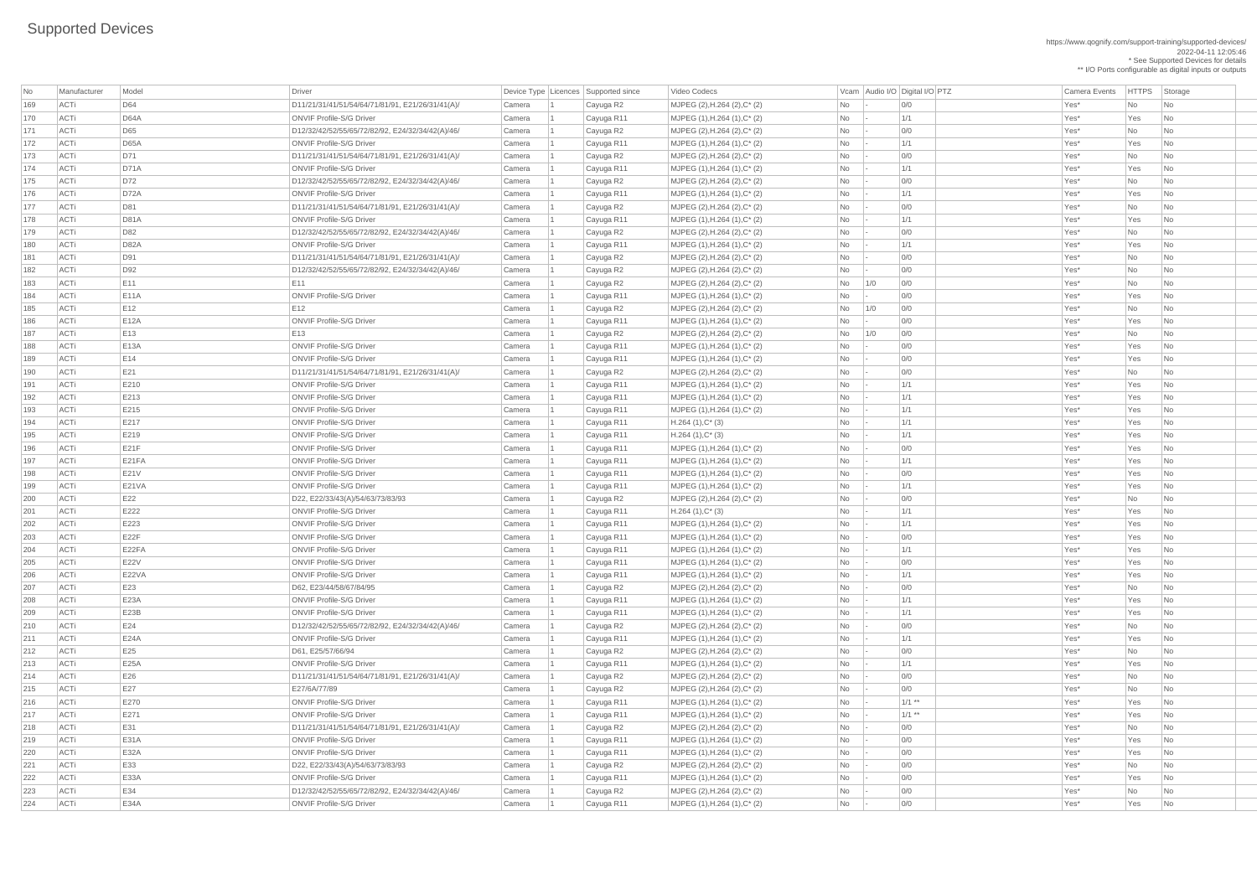| No         | Manufacturer | Model               | Driver                                                                              |                  | Device Type Licences Supported since | Video Codecs                                                                          |                 | Vcam Audio I/O Digital I/O PTZ | <b>Camera Events</b> | <b>HTTPS</b> | Storage                     |
|------------|--------------|---------------------|-------------------------------------------------------------------------------------|------------------|--------------------------------------|---------------------------------------------------------------------------------------|-----------------|--------------------------------|----------------------|--------------|-----------------------------|
| 169        | ACTi         | D64                 | D11/21/31/41/51/54/64/71/81/91, E21/26/31/41(A)/                                    | Camera           | Cayuga R2                            | MJPEG (2), H.264 (2), C* (2)                                                          | No              | 0/0                            | Yes*                 | No           | No                          |
| 170        | ACTi         | <b>D64A</b>         | <b>ONVIF Profile-S/G Driver</b>                                                     | Camera           | Cayuga R11                           | $MJPEG (1), H.264 (1), C^*(2)$                                                        | No              | 1/1                            | Yes*                 | Yes          | No                          |
| 171        | ACTi         | D65                 | D12/32/42/52/55/65/72/82/92, E24/32/34/42(A)/46/                                    | Camera           | Cayuga R2                            | MJPEG (2), H.264 (2), C* (2)                                                          | No              | 0/0                            | Yes*                 | No           | No                          |
| 172        | ACTi         | <b>D65A</b>         | <b>ONVIF Profile-S/G Driver</b>                                                     | Camera           | Cayuga R11                           | $MJPEG (1), H.264 (1), C^{*} (2)$                                                     | <b>No</b>       | 1/1                            | Yes*                 | Yes          | No.                         |
| 173        | ACTi         | D71                 | D11/21/31/41/51/54/64/71/81/91, E21/26/31/41(A)/                                    | Camera           | Cayuga R2                            | MJPEG $(2)$ , H.264 $(2)$ , C* $(2)$                                                  | <b>No</b>       | 0/0                            | Yes*                 | No           | No                          |
| 174        | ACTi         | D71A                | <b>ONVIF Profile-S/G Driver</b>                                                     | Camera           | Cayuga R11                           | $MJPEG (1), H.264 (1), C^*(2)$                                                        | No              | 1/1                            | Yes*                 | Yes          | No                          |
| 175        | ACTi         | D72                 | D12/32/42/52/55/65/72/82/92, E24/32/34/42(A)/46/                                    | Camera           | Cayuga R2                            | MJPEG $(2)$ , H.264 $(2)$ , C <sup>*</sup> $(2)$                                      | <b>No</b>       | 0/0                            | Yes*                 | No           | <b>No</b>                   |
| 176        | ACTi         | D72A                | <b>ONVIF Profile-S/G Driver</b>                                                     | Camera           | Cayuga R11                           | $MJPEG (1), H.264 (1), C^*(2)$                                                        | <b>No</b>       | 1/1                            | Yes*                 | Yes          | N <sub>o</sub>              |
| 177        | ACTi         | D81                 | D11/21/31/41/51/54/64/71/81/91, E21/26/31/41(A)/                                    | Camera           | Cayuga R2                            | MJPEG (2), H.264 (2), C* (2)                                                          | No              | 0/0                            | Yes*                 | No           | No                          |
| 178        | ACTi         | <b>D81A</b>         | <b>ONVIF Profile-S/G Driver</b>                                                     | Camera           | Cayuga R11                           | $MJPEG (1), H.264 (1), C^{*} (2)$                                                     | No              | 1/1                            | Yes*                 | Yes          | No.                         |
| 179        | ACTi         | D82                 | D12/32/42/52/55/65/72/82/92, E24/32/34/42(A)/46/                                    | Camera           | Cayuga R2                            | $MJPEG (2), H.264 (2), C^* (2)$                                                       | <b>No</b>       | 0/0                            | Yes*                 | No           | <b>No</b>                   |
| 180        | ACTi         | <b>D82A</b>         | <b>ONVIF Profile-S/G Driver</b>                                                     | Camera           | Cayuga R11                           | $MJPEG (1), H.264 (1), C^{*} (2)$                                                     | <b>No</b>       | 1/1                            | Yes*                 | Yes          | <b>No</b>                   |
| 181        | ACTi         | D91                 | D11/21/31/41/51/54/64/71/81/91, E21/26/31/41(A)/                                    | Camera           | Cayuga R2                            | MJPEG (2), H.264 (2), C* (2)                                                          | No              | 0/0                            | Yes*                 | No           | <b>No</b>                   |
| 182        | ACTi         | D92                 | D12/32/42/52/55/65/72/82/92, E24/32/34/42(A)/46/                                    | Camera           | Cayuga R2                            | MJPEG $(2)$ , H.264 $(2)$ , C* $(2)$                                                  | <b>No</b>       | 0/0                            | Yes*                 | No           | <b>No</b>                   |
| 183        | ACTi         | E11                 | E11                                                                                 | Camera           | Cayuga R2                            | MJPEG (2), H.264 (2), C* (2)                                                          | No              | 0/0<br>1/0                     | Yes*                 | No           | No                          |
| 184        | ACTi         | <b>E11A</b>         | <b>ONVIF Profile-S/G Driver</b>                                                     | Camera           | Cayuga R11                           | $MJPEG (1), H.264 (1), C^*(2)$                                                        | No              | 0/0                            | Yes*                 | Yes          | No.                         |
| 185        | ACTi         | E12                 | E12                                                                                 | Camera           | Cayuga R2                            | MJPEG $(2)$ , H.264 $(2)$ , C* $(2)$                                                  | <b>No</b>       | 0/0<br>1/0                     | Yes*                 | No           | <b>No</b>                   |
| 186        | ACTi         | E12A                | <b>ONVIF Profile-S/G Driver</b>                                                     | Camera           | Cayuga R11                           | $MJPEG (1), H.264 (1), C^*(2)$                                                        | No              | 0/0                            | Yes*                 | Yes          | <b>No</b>                   |
| 187        | ACTi         | E13                 | E13                                                                                 | Camera           | Cayuga R2                            | $MJPEG (2), H.264 (2), C^* (2)$                                                       | No              | 0/0<br>1/0                     | Yes*                 | No           | <b>No</b>                   |
| 188        | ACTi         | E13A                | <b>ONVIF Profile-S/G Driver</b>                                                     | Camera           | Cayuga R11                           | $MJPEG (1), H.264 (1), C^*(2)$                                                        | <b>No</b>       | 0/0                            | Yes*                 | Yes          | N <sub>o</sub>              |
| 189        | <b>ACTi</b>  | E14                 | <b>ONVIF Profile-S/G Driver</b>                                                     | Camera           | Cayuga R11                           | $MJPEG (1), H.264 (1), C^*(2)$                                                        | No              | 0/0                            | Yes*                 | Yes          | No                          |
| 190        | ACTi         | E21                 | D11/21/31/41/51/54/64/71/81/91, E21/26/31/41(A)/                                    | Camera           | Cayuga R2                            | MJPEG $(2)$ , H.264 $(2)$ , C <sup>*</sup> $(2)$                                      | No              | 0/0                            | Yes*                 | No           | N <sub>o</sub>              |
| 191        | ACTi         | E210                | <b>ONVIF Profile-S/G Driver</b>                                                     | Camera           | Cayuga R11                           | $MJPEG (1), H.264 (1), C^{*} (2)$                                                     | <b>No</b>       | 1/1                            | Yes*                 | Yes          | No                          |
| 192        | ACTi         | E213                | <b>ONVIF Profile-S/G Driver</b>                                                     | Camera           | Cayuga R11                           | $MJPEG (1), H.264 (1), C^*(2)$                                                        | No              | 1/1                            | Yes*                 | Yes          | No                          |
| 193        | ACTi         | E215                | <b>ONVIF Profile-S/G Driver</b>                                                     | Camera           | Cayuga R11                           | MJPEG (1), H.264 (1), C* (2)                                                          | No              | 1/1                            | Yes*                 | Yes          | N <sub>o</sub>              |
| 194        | ACTi         | E217                | <b>ONVIF Profile-S/G Driver</b>                                                     | Camera           | Cayuga R11                           | $H.264(1),C^*(3)$                                                                     | No              | 1/1                            | Yes*                 | Yes          | $\overline{\mathsf{No}}$    |
| 195        | ACTi         | E219                | <b>ONVIF Profile-S/G Driver</b>                                                     | Camera           | Cayuga R11                           | $H.264(1),C^*(3)$                                                                     | No              | 1/1                            | Yes*                 | Yes          | N <sub>o</sub>              |
| 196        | ACTi         | E21F                | <b>ONVIF Profile-S/G Driver</b>                                                     | Camera           | Cayuga R11                           | $MJPEG (1), H.264 (1), C^{*} (2)$                                                     | <b>No</b>       | 0/0                            | Yes*                 | Yes          | No                          |
| 197        | ACTi         | E21FA               | <b>ONVIF Profile-S/G Driver</b>                                                     | Camera           | Cayuga R11                           | $MJPEG (1), H.264 (1), C^{*} (2)$                                                     | <b>No</b>       | 1/1                            | Yes*                 | Yes          | N <sub>o</sub>              |
| 198        | ACTi         | <b>E21V</b>         | <b>ONVIF Profile-S/G Driver</b>                                                     | Camera           | Cayuga R11                           | $MJPEG (1), H.264 (1), C^{*} (2)$                                                     | <b>No</b>       | 0/0                            | Yes*                 | Yes          | No                          |
| 199        | ACTi         | <b>E21VA</b>        | <b>ONVIF Profile-S/G Driver</b>                                                     | Camera           | Cayuga R11                           | MJPEG (1), H.264 (1), C* (2)                                                          | No              | 1/1                            | Yes*                 | Yes          | N <sub>o</sub>              |
| 200        | ACTi         | E22                 | D22, E22/33/43(A)/54/63/73/83/93                                                    | Camera           | Cayuga R2                            | MJPEG (2), H.264 (2), C* (2)                                                          | <b>No</b>       | 0/0                            | Yes*                 | No           | N <sub>o</sub>              |
| 201        | ACTi         | E222                | <b>ONVIF Profile-S/G Driver</b>                                                     | Camera           | Cayuga R11                           | $H.264(1),C^*(3)$                                                                     | <b>No</b>       | 1/1                            | Yes*                 | Yes          | No                          |
| 202        | ACTi         | E223                | <b>ONVIF Profile-S/G Driver</b>                                                     | Camera           | Cayuga R11                           | $MJPEG (1), H.264 (1), C^*(2)$                                                        | No              | 1/1                            | Yes*                 | Yes          | N <sub>o</sub>              |
| 203        | ACTi         | E22F                | <b>ONVIF Profile-S/G Driver</b>                                                     | Camera           | Cayuga R11                           | $MJPEG (1), H.264 (1), C^{*} (2)$                                                     | <b>No</b>       | 0/0                            | Yes*                 | Yes          | N <sub>o</sub>              |
| 204        | ACTi         | E22FA               | <b>ONVIF Profile-S/G Driver</b>                                                     | Camera           | Cayuga R11                           | $MJPEG (1), H.264 (1), C^{*} (2)$                                                     | <b>No</b>       | 1/1                            | Yes*                 | Yes          | No                          |
| 205        | ACTi         | <b>E22V</b>         | <b>ONVIF Profile-S/G Driver</b>                                                     | Camera           | Cayuga R11                           | $MJPEG (1), H.264 (1), C^*(2)$                                                        | No              | 0/0                            | Yes*                 | Yes          | N <sub>o</sub>              |
| 206        | ACTi         | E22VA               | <b>ONVIF Profile-S/G Driver</b>                                                     | Camera           | Cayuga R11                           | MJPEG (1), H.264 (1), C* (2)                                                          | <b>No</b>       | 1/1                            | Yes*                 | Yes          | No                          |
| 207        | ACTi         | E23                 | D62, E23/44/58/67/84/95                                                             | Camera           | Cayuga R2                            | MJPEG (2), H.264 (2), C* (2)                                                          | <b>No</b>       | 0/0                            | Yes*                 | No           | N <sub>o</sub>              |
| 208        | ACTi         | E23A                | <b>ONVIF Profile-S/G Driver</b>                                                     | Camera           | Cayuga R11                           | $MJPEG (1), H.264 (1), C^{*} (2)$                                                     | No              | 1/1                            | Yes*                 | Yes          | No                          |
| 209        | ACTi         | E23B                | <b>ONVIF Profile-S/G Driver</b>                                                     | Camera           | Cayuga R11                           | MJPEG (1), H.264 (1), C* (2)                                                          | <b>No</b>       | 1/1                            | Yes*                 | Yes          | N <sub>o</sub>              |
| 210        | ACTi         | E24                 | D12/32/42/52/55/65/72/82/92, E24/32/34/42(A)/46/                                    | Camera           | Cayuga R2                            | MJPEG $(2)$ , H.264 $(2)$ , C* $(2)$                                                  | <b>No</b>       | 0/0                            | Yes*                 | No           | N <sub>o</sub>              |
| 211        | ACTi         | E24A                | <b>ONVIF Profile-S/G Driver</b>                                                     | Camera           | Cayuga R11                           | $MJPEG (1), H.264 (1), C^*(2)$                                                        | No              | 1/1                            | Yes*                 | Yes          | No                          |
| 212        | ACTi         | E25                 | D61, E25/57/66/94                                                                   | Camera           | Cayuga R2                            | MJPEG (2), H.264 (2), C* (2)                                                          | <b>No</b>       | 0/0                            | Yes*                 | No           | <b>No</b>                   |
| 213        | ACTi         | E25A                | <b>ONVIF Profile-S/G Driver</b>                                                     | Camera           | Cayuga R11                           | MJPEG (1), H.264 (1), C* (2)                                                          | No              | 1/1                            | Yes*                 | Yes          | N <sub>o</sub>              |
| 214        | ACTi         | E26                 | D11/21/31/41/51/54/64/71/81/91, E21/26/31/41(A)/                                    | Camera           | Cayuga R2                            | $MJPEG (2), H.264 (2), C^{*} (2)$                                                     | No              | 0/0                            | Yes*                 | No           | No                          |
| 215        | ACTi         | E27                 | E27/6A/77/89                                                                        | Camera           | Cayuga R2                            | MJPEG (2), H.264 (2), C* (2)                                                          | <b>No</b>       | 0/0                            | Yes*                 | No           | <b>No</b>                   |
| 216        | ACTi         | E270                | <b>ONVIF Profile-S/G Driver</b>                                                     | Camera           | Cayuga R11                           | $MJPEG (1), H.264 (1), C^*(2)$                                                        | <b>No</b>       | $1/1$ **<br>$1/1$ **           | Yes*                 | Yes          | N <sub>o</sub>              |
| 217        | ACTi<br>ACTi | E271                | <b>ONVIF Profile-S/G Driver</b>                                                     | Camera           | Cayuga R11                           | $MJPEG (1), H.264 (1), C^{*} (2)$                                                     | No              |                                | Yes*                 | Yes          | No                          |
| 218        | <b>ACTi</b>  | E31                 | D11/21/31/41/51/54/64/71/81/91, E21/26/31/41(A)/<br><b>ONVIF Profile-S/G Driver</b> | Camera           | Cayuga R2                            | MJPEG (2), H.264 (2), C* (2)                                                          | <b>No</b>       | 0/0                            | Yes*<br>Yes*         | No           | No                          |
| 219        | <b>ACTi</b>  | <b>E31A</b><br>E32A | <b>ONVIF Profile-S/G Driver</b>                                                     | Camera<br>Camera | Cayuga R11                           | MJPEG (1), H.264 (1), C* (2)                                                          | No<br><b>No</b> | 0/0<br>0/0                     | Yes*                 | Yes<br>Yes   | No<br>No                    |
| 220        | ACTi         | E33                 |                                                                                     | Camera           | Cayuga R11                           | MJPEG (1), H.264 (1), C* (2)                                                          |                 | 0/0                            | Yes*                 | No           | N <sub>o</sub>              |
| 221<br>222 | ACTi         | E33A                | D22, E22/33/43(A)/54/63/73/83/93<br><b>ONVIF Profile-S/G Driver</b>                 | Camera           | Cayuga R2                            | MJPEG $(2)$ , H.264 $(2)$ , C <sup>*</sup> $(2)$<br>$MJPEG (1), H.264 (1), C^{*} (2)$ | <b>No</b>       | 0/0                            | Yes*                 | Yes          | No                          |
| 223        | ACTi         | E34                 | D12/32/42/52/55/65/72/82/92, E24/32/34/42(A)/46/                                    | Camera           | Cayuga R11                           | MJPEG $(2)$ , H.264 $(2)$ , C* $(2)$                                                  | No<br>No        | 0/0                            | Yes*                 | No           | No                          |
|            | ACTi         | <b>E34A</b>         | <b>ONVIF Profile-S/G Driver</b>                                                     |                  | Cayuga R2                            |                                                                                       |                 |                                |                      | Yes          |                             |
| 224        |              |                     |                                                                                     | Camera           | Cayuga R11                           | $MJPEG (1), H.264 (1), C^{*} (2)$                                                     | N <sub>o</sub>  | 0/0                            | Yes*                 |              | $\overline{\phantom{a}}$ No |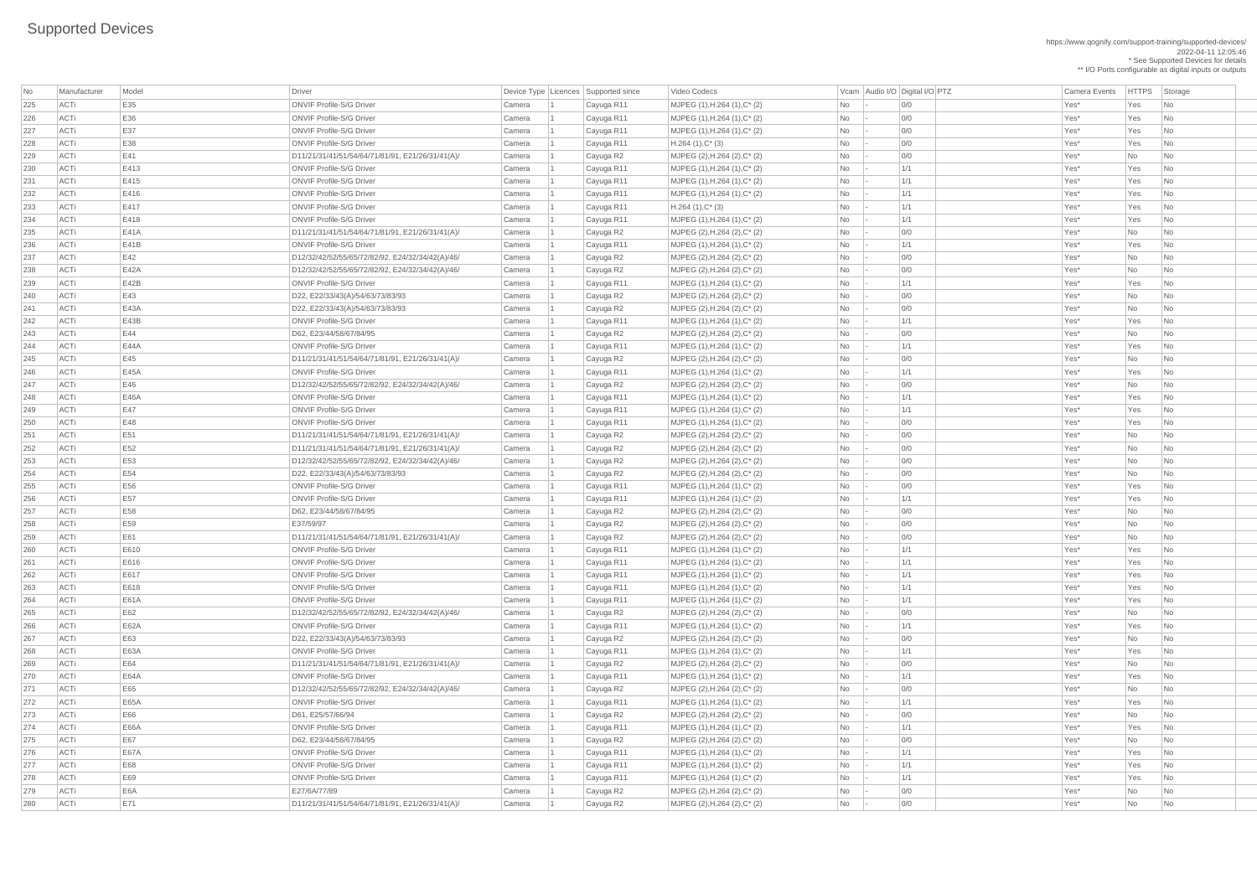https://www.qognify.com/support-training/supported-devices/ 2022-04-11 12:05:46 \* See Supported Devices for details \*\* I/O Ports configurable as digital inputs or outputs

| No  | Manufacturer | Model       | Driver                                           |        | Device Type   Licences   Supported since | Video Codecs                         |                          | Vcam Audio I/O Digital I/O PTZ | <b>Camera Events</b> | HTTPS Sto |                             |
|-----|--------------|-------------|--------------------------------------------------|--------|------------------------------------------|--------------------------------------|--------------------------|--------------------------------|----------------------|-----------|-----------------------------|
| 225 | ACTi         | E35         | <b>ONVIF Profile-S/G Driver</b>                  | Camera | Cayuga R11                               | MJPEG (1), H.264 (1), C* (2)         | No                       | 0/0                            | Yes*                 | Yes       | Nc                          |
| 226 | ACTi         | E36         | <b>ONVIF Profile-S/G Driver</b>                  | Camera | Cayuga R11                               | $MJPEG (1), H.264 (1), C^*(2)$       | <b>No</b>                | 0/0                            | Yes*                 | Yes       | Nc                          |
| 227 | ACTi         | E37         | <b>ONVIF Profile-S/G Driver</b>                  | Camera | Cayuga R11                               | MJPEG (1), H.264 (1), C* (2)         | No                       | 0/0                            | Yes*                 | Yes       | $\overline{\phantom{a}}$ Nc |
| 228 | ACTi         | E38         | <b>ONVIF Profile-S/G Driver</b>                  | Camera | Cayuga R11                               | $H.264(1),C^*(3)$                    | No                       | 0/0                            | Yes*                 | Yes       | $\overline{\phantom{a}}$ Nc |
| 229 | ACTi         | E41         | D11/21/31/41/51/54/64/71/81/91, E21/26/31/41(A)/ | Camera | Cayuga R2                                | MJPEG (2), H.264 (2), C* (2)         | No                       | 0/0                            | Yes*                 | No        | Nc                          |
| 230 | ACTi         | E413        | <b>ONVIF Profile-S/G Driver</b>                  | Camera | Cayuga R11                               | $MJPEG (1), H.264 (1), C^*(2)$       | No                       | 1/1                            | Yes*                 | Yes       | Nc                          |
| 231 | ACTi         | E415        | <b>ONVIF Profile-S/G Driver</b>                  | Camera | Cayuga R11                               | $MJPEG (1), H.264 (1), C^*(2)$       | No                       | 1/1                            | Yes*                 | Yes       | Nc                          |
| 232 | ACTi         | E416        | <b>ONVIF Profile-S/G Driver</b>                  | Camera | Cayuga R11                               | MJPEG (1), H.264 (1), C* (2)         | No                       | 1/1                            | Yes*                 | Yes       | $\overline{\phantom{a}}$ Nc |
| 233 | ACTi         | E417        | <b>ONVIF Profile-S/G Driver</b>                  | Camera | Cayuga R11                               | $H.264(1),C^*(3)$                    | No                       | 1/1                            | Yes*                 | Yes       | $\overline{\phantom{a}}$ Nc |
| 234 | ACTi         | E418        | <b>ONVIF Profile-S/G Driver</b>                  | Camera | Cayuga R11                               | $MJPEG (1), H.264 (1), C^{*} (2)$    | No                       | 1/1                            | Yes*                 | Yes       | Nc                          |
| 235 | ACTi         | E41A        | D11/21/31/41/51/54/64/71/81/91, E21/26/31/41(A)/ | Camera | Cayuga R2                                | MJPEG (2), H.264 (2), $C^*$ (2)      | No                       | 0/0                            | Yes*                 | No        | $\overline{\mathsf{N}}$ c   |
| 236 | ACTi         | E41B        | <b>ONVIF Profile-S/G Driver</b>                  | Camera | Cayuga R11                               | $MJPEG (1), H.264 (1), C^{*} (2)$    | No                       | 1/1                            | Yes*                 | Yes       | $\overline{\phantom{a}}$ Nc |
| 237 | ACTi         | E42         | D12/32/42/52/55/65/72/82/92, E24/32/34/42(A)/46/ | Camera | Cayuga R2                                | MJPEG (2), H.264 (2), C* (2)         | No                       | 0/0                            | Yes*                 | No        | $\overline{\phantom{a}}$ Nc |
| 238 | ACTi         | <b>E42A</b> | D12/32/42/52/55/65/72/82/92, E24/32/34/42(A)/46/ | Camera | Cayuga R2                                | MJPEG $(2)$ , H.264 $(2)$ , C* $(2)$ | <b>No</b>                | 0/0                            | Yes*                 | No        | $\overline{\phantom{a}}$ Nc |
| 239 | ACTi         | E42B        | <b>ONVIF Profile-S/G Driver</b>                  | Camera | Cayuga R11                               | MJPEG (1), H.264 (1), C* (2)         | No                       | 1/1                            | Yes*                 | Yes       | $\overline{\phantom{a}}$ Nc |
| 240 | ACTi         | E43         | D22, E22/33/43(A)/54/63/73/83/93                 | Camera | Cayuga R2                                | $MJPEG (2), H.264 (2), C^*(2)$       | No                       | 0/0                            | Yes*                 | No        | $\overline{\phantom{a}}$ Nc |
| 241 | ACTi         | <b>E43A</b> | D22, E22/33/43(A)/54/63/73/83/93                 | Camera | Cayuga R2                                | MJPEG (2), H.264 (2), C* (2)         | No                       | 0/0                            | Yes*                 | No        | $\overline{\mathsf{N}}$ c   |
| 242 | ACTi         | E43B        | <b>ONVIF Profile-S/G Driver</b>                  | Camera | Cayuga R11                               | $MJPEG (1), H.264 (1), C^*(2)$       | No                       | 1/1                            | Yes*                 | Yes       | $\overline{\phantom{a}}$ Nc |
| 243 | ACTi         | E44         | D62, E23/44/58/67/84/95                          | Camera | Cayuga R2                                | MJPEG (2), H.264 (2), $C^*$ (2)      | No                       | 0/0                            | Yes*                 | No        | $\overline{\phantom{a}}$ Nc |
| 244 | ACTi         | <b>E44A</b> | <b>ONVIF Profile-S/G Driver</b>                  | Camera | Cayuga R11                               | MJPEG (1), H.264 (1), C* (2)         | <b>No</b>                | 1/1                            | Yes*                 | Yes       | $\overline{\phantom{a}}$ Nc |
| 245 | ACTi         | E45         | D11/21/31/41/51/54/64/71/81/91, E21/26/31/41(A)/ | Camera | Cayuga R2                                | MJPEG (2), H.264 (2), $C^*$ (2)      | No                       | 0/0                            | Yes*                 | No        | $\overline{\phantom{a}}$ Nc |
| 246 | ACTi         | E45A        | <b>ONVIF Profile-S/G Driver</b>                  | Camera | Cayuga R11                               | $MJPEG (1), H.264 (1), C^*(2)$       | No                       | 1/1                            | Yes*                 | Yes       | $\overline{\phantom{a}}$ Nc |
| 247 | ACTi         | E46         | D12/32/42/52/55/65/72/82/92, E24/32/34/42(A)/46/ | Camera | Cayuga R2                                | MJPEG (2), H.264 (2), $C^*$ (2)      | No                       | 0/0                            | Yes*                 | No        | $\overline{\mathsf{N}}$ c   |
| 248 | ACTi         | <b>E46A</b> | <b>ONVIF Profile-S/G Driver</b>                  | Camera | Cayuga R11                               | $MJPEG (1), H.264 (1), C^*(2)$       | No                       | 1/1                            | Yes*                 | Yes       | $\overline{\phantom{a}}$ Nc |
| 249 | ACTi         | E47         | <b>ONVIF Profile-S/G Driver</b>                  | Camera | Cayuga R11                               | $MJPEG (1), H.264 (1), C^*(2)$       | No                       | 1/1                            | Yes*                 | Yes       | $\vert$ Nc                  |
| 250 | ACTi         | E48         | <b>ONVIF Profile-S/G Driver</b>                  | Camera | Cayuga R11                               | MJPEG (1), H.264 (1), C* (2)         | No                       | 0/0                            | Yes*                 | Yes       | $\vert$ Nc                  |
| 251 | ACTi         | E51         | D11/21/31/41/51/54/64/71/81/91, E21/26/31/41(A)/ | Camera | Cayuga R2                                | MJPEG (2), H.264 (2), C* (2)         | No                       | 0/0                            | Yes*                 | No        | $\overline{\phantom{a}}$ Nc |
| 252 | ACTi         | E52         | D11/21/31/41/51/54/64/71/81/91, E21/26/31/41(A)/ | Camera | Cayuga R2                                | MJPEG (2), H.264 (2), $C^*$ (2)      | No                       | 0/0                            | Yes*                 | No        | $\overline{\phantom{a}}$ Nc |
| 253 | ACTi         | E53         | D12/32/42/52/55/65/72/82/92, E24/32/34/42(A)/46/ | Camera | Cayuga R2                                | MJPEG (2), H.264 (2), C* (2)         | No                       | 0/0                            | Yes*                 | No        | $\overline{\phantom{a}}$ Nc |
| 254 | ACTi         | E54         | D22, E22/33/43(A)/54/63/73/83/93                 | Camera | Cayuga R2                                | MJPEG (2), H.264 (2), $C^*$ (2)      | No                       | 0/0                            | Yes*                 | No        | $\overline{\phantom{a}}$ Nc |
| 255 | ACTi         | E56         | <b>ONVIF Profile-S/G Driver</b>                  | Camera | Cayuga R11                               | MJPEG $(1)$ , H.264 $(1)$ , C* $(2)$ | No                       | 0/0                            | Yes*                 | Yes       | $\overline{\phantom{a}}$ Nc |
| 256 | ACTi         | E57         | <b>ONVIF Profile-S/G Driver</b>                  | Camera | Cayuga R11                               | $MJPEG (1), H.264 (1), C^*(2)$       | No                       | 1/1                            | Yes*                 | Yes       | $\overline{\phantom{a}}$ Nc |
| 257 | ACTi         | E58         | D62, E23/44/58/67/84/95                          | Camera | Cayuga R2                                | MJPEG (2), H.264 (2), C* (2)         | No                       | 0/0                            | Yes*                 | No        | <b>Nc</b>                   |
| 258 | ACTi         | E59         | E37/59/97                                        | Camera | Cayuga R2                                | MJPEG (2), H.264 (2), C* (2)         | No                       | 0/0                            | Yes*                 | No        | $\overline{\phantom{a}}$ Nc |
| 259 | ACTi         | E61         | D11/21/31/41/51/54/64/71/81/91, E21/26/31/41(A)/ | Camera | Cayuga R2                                | MJPEG (2), H.264 (2), $C^*$ (2)      | No                       | 0/0                            | Yes*                 | No        | Nc                          |
| 260 | ACTi         | E610        | <b>ONVIF Profile-S/G Driver</b>                  | Camera | Cayuga R11                               | $MJPEG (1), H.264 (1), C^*(2)$       | No                       | 1/1                            | Yes*                 | Yes       | $\overline{\phantom{a}}$ Nc |
| 261 | ACTi         | E616        | <b>ONVIF Profile-S/G Driver</b>                  | Camera | Cayuga R11                               | $MJPEG (1), H.264 (1), C^*(2)$       | No                       | 1/1                            | Yes*                 | Yes       | $\overline{\phantom{a}}$ Nc |
| 262 | ACTi         | E617        | <b>ONVIF Profile-S/G Driver</b>                  | Camera | Cayuga R11                               | MJPEG (1), H.264 (1), C* (2)         | No                       | 1/1                            | Yes*                 | Yes       | $\overline{\phantom{a}}$ Nc |
| 263 | ACTi         | E618        | <b>ONVIF Profile-S/G Driver</b>                  | Camera | Cayuga R11                               | $MJPEG (1), H.264 (1), C^{*} (2)$    | No                       | 1/1                            | Yes*                 | Yes       | $\overline{\phantom{a}}$ Nc |
| 264 | ACTi         | <b>E61A</b> | <b>ONVIF Profile-S/G Driver</b>                  | Camera | Cayuga R11                               | $MJPEG (1), H.264 (1), C^{*} (2)$    | No                       | 1/1                            | Yes*                 | Yes       | $\overline{\phantom{a}}$ Nc |
| 265 | ACTi         | E62         | D12/32/42/52/55/65/72/82/92, E24/32/34/42(A)/46/ | Camera | Cayuga R2                                | MJPEG (2), H.264 (2), $C^*$ (2)      | No                       | 0/0                            | Yes*                 | No        | $\overline{\phantom{a}}$ Nc |
| 266 | ACTi         | <b>E62A</b> | <b>ONVIF Profile-S/G Driver</b>                  | Camera | Cayuga R11                               | MJPEG (1), H.264 (1), C* (2)         | No                       | 1/1                            | Yes*                 | Yes       | $\overline{\phantom{a}}$ Nc |
| 267 | ACTi         | E63         | D22, E22/33/43(A)/54/63/73/83/93                 | Camera | Cayuga R2                                | $MJPEG (2), H.264 (2), C^*(2)$       | No                       | 0/0                            | Yes*                 | No        | $\overline{\phantom{a}}$ Nc |
| 268 | ACTi         | <b>E63A</b> | <b>ONVIF Profile-S/G Driver</b>                  | Camera | Cayuga R11                               | $MJPEG (1), H.264 (1), C^*(2)$       | <b>No</b>                | 1/1                            | Yes*                 | Yes       | $\overline{\phantom{a}}$ Nc |
| 269 | ACTi         | E64         | D11/21/31/41/51/54/64/71/81/91, E21/26/31/41(A)/ | Camera | Cayuga R2                                | MJPEG (2), H.264 (2), C* (2)         | No                       | 0/0                            | Yes*                 | No        | $\overline{\phantom{a}}$ Nc |
| 270 | ACTi         | <b>E64A</b> | <b>ONVIF Profile-S/G Driver</b>                  | Camera | Cayuga R11                               | $MJPEG (1), H.264 (1), C^{*} (2)$    | No                       | 1/1                            | Yes*                 | Yes       | $\overline{\phantom{a}}$ Nc |
| 271 | ACTi         | E65         | D12/32/42/52/55/65/72/82/92, E24/32/34/42(A)/46/ | Camera | Cayuga R2                                | MJPEG (2), H.264 (2), $C^*$ (2)      | No                       | 0/0                            | Yes*                 | No        | $\overline{\phantom{a}}$ Nc |
| 272 | ACTi         | <b>E65A</b> | <b>ONVIF Profile-S/G Driver</b>                  | Camera | Cayuga R11                               | MJPEG (1), H.264 (1), C* (2)         | No                       | 1/1                            | Yes*                 | Yes       | $\overline{\phantom{a}}$ Nc |
| 273 | ACTi         | E66         | D61, E25/57/66/94                                | Camera | Cayuga R2                                | MJPEG (2), H.264 (2), $C^*$ (2)      | No                       | 0/0                            | Yes*                 | No        | $\overline{\phantom{a}}$ Nc |
| 274 | ACTi         | <b>E66A</b> | <b>ONVIF Profile-S/G Driver</b>                  | Camera | Cayuga R11                               | $MJPEG (1), H.264 (1), C^*(2)$       | No                       | 1/1                            | Yes*                 | Yes       | $\overline{\phantom{a}}$ Nc |
| 275 | ACTi         | <b>E67</b>  | D62, E23/44/58/67/84/95                          | Camera | Cayuga R2                                | MJPEG (2), H.264 (2), C* (2)         | No                       | 0/0                            | Yes*                 | No        | $\overline{\phantom{a}}$ Nc |
| 276 | <b>ACTi</b>  | <b>E67A</b> | <b>ONVIF Profile-S/G Driver</b>                  | Camera | Cayuga R11                               | MJPEG (1), H.264 (1), C* (2)         | No                       | 1/1                            | Yes*                 | Yes       | <b>Nc</b>                   |
| 277 | ACTi         | E68         | <b>ONVIF Profile-S/G Driver</b>                  | Camera | Cayuga R11                               | $MJPEG (1), H.264 (1), C^*(2)$       | No                       | 1/1                            | Yes*                 | Yes       | $ $ Nc                      |
| 278 | ACTi         | E69         | <b>ONVIF Profile-S/G Driver</b>                  | Camera | Cayuga R11                               | $MJPEG (1), H.264 (1), C^*(2)$       | No                       | 1/1                            | Yes*                 | Yes       | $\overline{\phantom{a}}$ Nc |
| 279 | ACTi         | E6A         | E27/6A/77/89                                     | Camera | Cayuga R2                                | MJPEG (2), H.264 (2), $C^*$ (2)      | No                       | 0/0                            | Yes*                 | No        | $\overline{\phantom{a}}$ Nc |
| 280 | ACTi         | E71         | D11/21/31/41/51/54/64/71/81/91, E21/26/31/41(A)/ | Camera | Cayuga R2                                | MJPEG $(2)$ , H.264 $(2)$ , C* $(2)$ | $\overline{\mathsf{No}}$ | 0/0                            | Yes*                 | <b>No</b> | $\vert$ Nc                  |
|     |              |             |                                                  |        |                                          |                                      |                          |                                |                      |           |                             |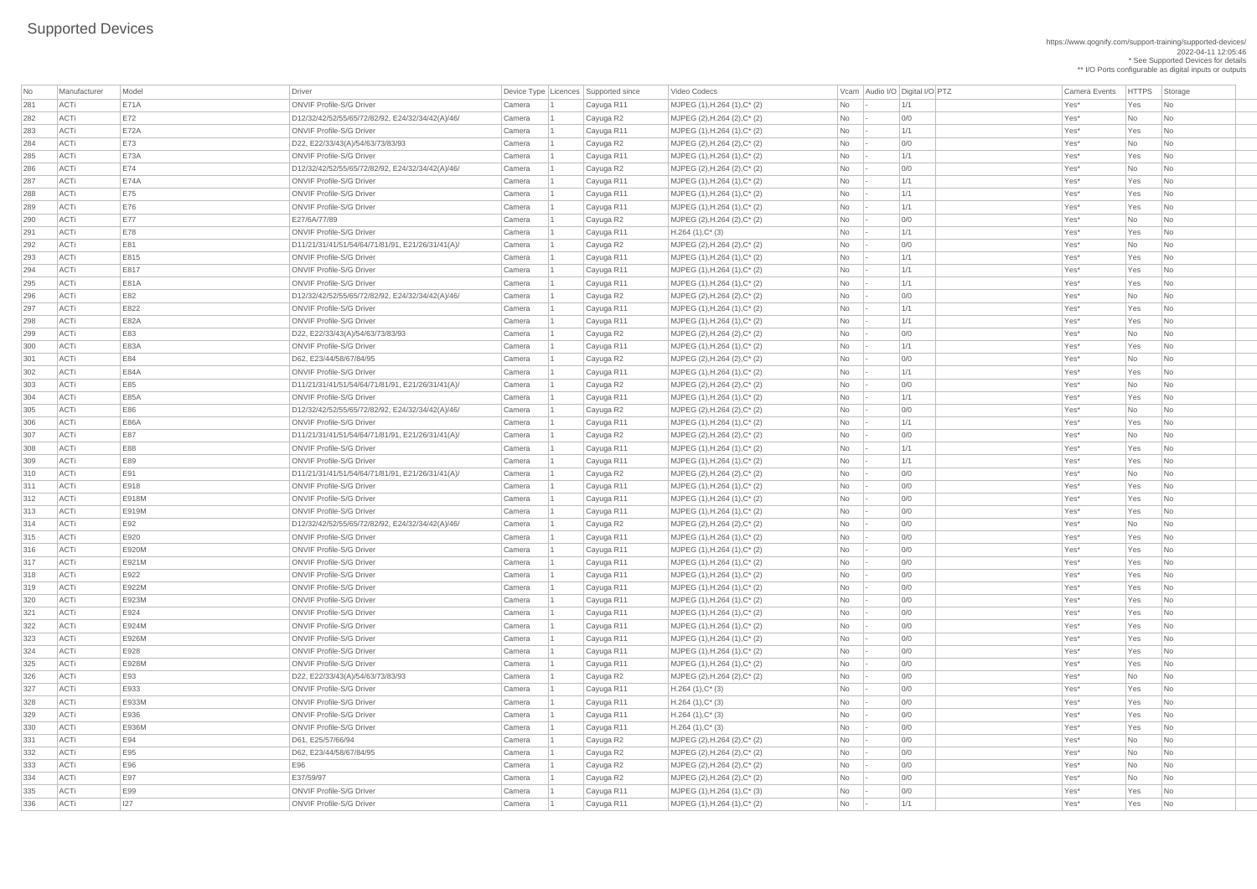https://www.qognify.com/support-training/supported-devices/ 2022-04-11 12:05:46 \* See Supported Devices for details

\*\* I/O Ports configurable as digital inputs or outputs

| No  | Manufacturer | Model        | Driver                                                                              |                  | Device Type   Licences   Supported since | Video Codecs                                     |           | Vcam Audio I/O Digital I/O PTZ | <b>Camera Events</b> | HTTPS Sto  |                             |
|-----|--------------|--------------|-------------------------------------------------------------------------------------|------------------|------------------------------------------|--------------------------------------------------|-----------|--------------------------------|----------------------|------------|-----------------------------|
| 281 | ACTi         | <b>E71A</b>  | <b>ONVIF Profile-S/G Driver</b>                                                     | Camera           | Cayuga R11                               | MJPEG (1), H.264 (1), C* (2)                     | No        | 1/1                            | Yes*                 | Yes        | $\overline{\phantom{a}}$ Nc |
| 282 | ACTi         | E72          | D12/32/42/52/55/65/72/82/92, E24/32/34/42(A)/46/                                    | Camera           | Cayuga R2                                | MJPEG $(2)$ , H.264 $(2)$ , C* $(2)$             | No        | 0/0                            | Yes*                 | No         | $\overline{\phantom{a}}$ Nc |
| 283 | ACTi         | <b>E72A</b>  | <b>ONVIF Profile-S/G Driver</b>                                                     | Camera           | Cayuga R11                               | MJPEG (1), H.264 (1), C* (2)                     | <b>No</b> | 1/1                            | Yes*                 | Yes        | $\overline{\phantom{a}}$ Nc |
| 284 | ACTi         | <b>E73</b>   | D22, E22/33/43(A)/54/63/73/83/93                                                    | Camera           | Cayuga R2                                | $MJPEG (2), H.264 (2), C^*(2)$                   | No        | 0/0                            | Yes*                 | No         | $\overline{\phantom{a}}$ Nc |
| 285 | ACTi         | <b>E73A</b>  | <b>ONVIF Profile-S/G Driver</b>                                                     | Camera           | Cayuga R11                               | $MJPEG (1), H.264 (1), C^{*} (2)$                | No        | 1/1                            | Yes*                 | Yes        | $\overline{\phantom{a}}$ Nc |
| 286 | ACTi         | E74          | D12/32/42/52/55/65/72/82/92, E24/32/34/42(A)/46/                                    | Camera           | Cayuga R2                                | MJPEG (2), H.264 (2), $C^*$ (2)                  | No        | 0/0                            | Yes*                 | No         | $\overline{\phantom{a}}$ Nc |
| 287 | ACTi         | <b>E74A</b>  | <b>ONVIF Profile-S/G Driver</b>                                                     | Camera           | Cayuga R11                               | $MJPEG (1), H.264 (1), C^{*} (2)$                | No        | 1/1                            | Yes*                 | Yes        | $\overline{\phantom{a}}$ Nc |
| 288 | ACTi         | E75          | <b>ONVIF Profile-S/G Driver</b>                                                     | Camera           | Cayuga R11                               | $MJPEG (1), H.264 (1), C^*(2)$                   | No        | 1/1                            | Yes*                 | Yes        | $\overline{\phantom{a}}$ Nc |
| 289 | ACTi         | E76          | <b>ONVIF Profile-S/G Driver</b>                                                     | Camera           | Cayuga R11                               | $MJPEG (1), H.264 (1), C^*(2)$                   | No        | 1/1                            | Yes*                 | Yes        | $\overline{\phantom{a}}$ Nc |
| 290 | ACTi         | <b>E77</b>   | E27/6A/77/89                                                                        | Camera           | Cayuga R2                                | $MJPEG (2), H.264 (2), C^{*} (2)$                | No        | 0/0                            | Yes*                 | No         | $\overline{\phantom{a}}$ Nc |
| 291 | ACTi         | <b>E78</b>   | <b>ONVIF Profile-S/G Driver</b>                                                     | Camera           | Cayuga R11                               | $H.264(1),C^*(3)$                                | No        | 1/1                            | Yes*                 | Yes        | $\overline{\phantom{a}}$ Nc |
| 292 | ACTi         | E81          | D11/21/31/41/51/54/64/71/81/91, E21/26/31/41(A)/                                    | Camera           | Cayuga R2                                | MJPEG (2), H.264 (2), C* (2)                     | No        | 0/0                            | Yes*                 | No         | $\overline{\phantom{a}}$ Nc |
| 293 | ACTi         | E815         | <b>ONVIF Profile-S/G Driver</b>                                                     | Camera           | Cayuga R11                               | $MJPEG (1), H.264 (1), C^*(2)$                   | No        | 1/1                            | Yes*                 | Yes        | $\overline{\phantom{a}}$ Nc |
| 294 | ACTi         | E817         | <b>ONVIF Profile-S/G Driver</b>                                                     | Camera           | Cayuga R11                               | $MJPEG (1), H.264 (1), C^*(2)$                   | No        | 1/1                            | Yes*                 | Yes        | $\overline{\phantom{a}}$ Nc |
| 295 | ACTi         | <b>E81A</b>  | <b>ONVIF Profile-S/G Driver</b>                                                     | Camera           | Cayuga R11                               | MJPEG (1), H.264 (1), C* (2)                     | No        | 1/1                            | Yes*                 | Yes        | $\overline{\phantom{a}}$ Nc |
| 296 | ACTi         | E82          | D12/32/42/52/55/65/72/82/92, E24/32/34/42(A)/46/                                    | Camera           | Cayuga R2                                | MJPEG (2), H.264 (2), C* (2)                     | No        | 0/0                            | Yes*                 | No         | $\overline{\phantom{a}}$ Nc |
| 297 | ACTi         | E822         | <b>ONVIF Profile-S/G Driver</b>                                                     | Camera           | Cayuga R11                               | $MJPEG (1), H.264 (1), C^{*} (2)$                | No        | 1/1                            | Yes*                 | Yes        | $\overline{\phantom{a}}$ Nc |
| 298 | ACTi         | <b>E82A</b>  | <b>ONVIF Profile-S/G Driver</b>                                                     | Camera           | Cayuga R11                               | $MJPEG (1), H.264 (1), C^*(2)$                   | No        | 1/1                            | Yes*                 | Yes        | $\overline{\phantom{a}}$ Nc |
| 299 | ACTi         | E83          | D22, E22/33/43(A)/54/63/73/83/93                                                    | Camera           | Cayuga R2                                | MJPEG $(2)$ , H.264 $(2)$ , C <sup>*</sup> $(2)$ | No        | 0/0                            | Yes*                 | No         | $\overline{\phantom{a}}$ Nc |
| 300 | ACTi         | <b>E83A</b>  | <b>ONVIF Profile-S/G Driver</b>                                                     | Camera           | Cayuga R11                               | MJPEG (1), H.264 (1), C* (2)                     | No        | 1/1                            | Yes*                 | Yes        | $\overline{\phantom{a}}$ Nc |
| 301 | ACTi         | E84          | D62, E23/44/58/67/84/95                                                             | Camera           | Cayuga R2                                | MJPEG (2), H.264 (2), C* (2)                     | No        | 0/0                            | Yes*                 | No         | $\overline{\phantom{a}}$ Nc |
| 302 | ACTi         | <b>E84A</b>  | <b>ONVIF Profile-S/G Driver</b>                                                     | Camera           | Cayuga R11                               | MJPEG (1), H.264 (1), C* (2)                     | No        | 1/1                            | Yes*                 | Yes        | $\overline{\phantom{a}}$ Nc |
| 303 | ACTi         | E85          | D11/21/31/41/51/54/64/71/81/91, E21/26/31/41(A)/                                    | Camera           | Cayuga R2                                | MJPEG $(2)$ , H.264 $(2)$ , C* $(2)$             | No        | 0/0                            | Yes*                 | No         | $\overline{\phantom{a}}$ Nc |
| 304 | ACTi         | <b>E85A</b>  | <b>ONVIF Profile-S/G Driver</b>                                                     | Camera           | Cayuga R11                               | $MJPEG (1), H.264 (1), C^*(2)$                   | No        | 1/1                            | Yes*                 | Yes        | $\overline{\phantom{a}}$ Nc |
| 305 | ACTi         | E86          | D12/32/42/52/55/65/72/82/92, E24/32/34/42(A)/46/                                    | Camera           | Cayuga R2                                | MJPEG (2), H.264 (2), C* (2)                     | No        | 0/0                            | Yes*                 | <b>No</b>  | $\overline{\phantom{a}}$ Nc |
| 306 | ACTi         | <b>E86A</b>  | <b>ONVIF Profile-S/G Driver</b>                                                     | Camera           | Cayuga R11                               | MJPEG (1), H.264 (1), C* (2)                     | No        | 1/1                            | Yes*                 | Yes        | $ $ Nc                      |
| 307 | ACTi         | E87          | D11/21/31/41/51/54/64/71/81/91, E21/26/31/41(A)/                                    | Camera           | Cayuga R2                                | MJPEG (2), H.264 (2), $C^*$ (2)                  | No        | 0/0                            | Yes*                 | No         | $\vert$ Nc                  |
| 308 | ACTi         | E88          | <b>ONVIF Profile-S/G Driver</b>                                                     | Camera           | Cayuga R11                               | $MJPEG (1), H.264 (1), C^*(2)$                   | No        | 1/1                            | Yes*                 | Yes        | $\overline{\phantom{a}}$ Nc |
| 309 | ACTi         | E89          | <b>ONVIF Profile-S/G Driver</b>                                                     | Camera           | Cayuga R11                               | $MJPEG (1), H.264 (1), C^{*} (2)$                | No        | 1/1                            | Yes*                 | Yes        | $\overline{\phantom{a}}$ Nc |
| 310 | ACTi         | E91          | D11/21/31/41/51/54/64/71/81/91, E21/26/31/41(A)/                                    | Camera           | Cayuga R2                                | MJPEG (2), H.264 (2), $C^*$ (2)                  | No        | 0/0                            | Yes*                 | No         | $\overline{\phantom{a}}$ Nc |
| 311 | ACTi         | E918         | <b>ONVIF Profile-S/G Driver</b>                                                     |                  |                                          | $MJPEG (1), H.264 (1), C^{*} (2)$                | No        | 0/0                            | Yes*                 | Yes        | $\overline{\phantom{a}}$ Nc |
| 312 | ACTi         | <b>E918M</b> | <b>ONVIF Profile-S/G Driver</b>                                                     | Camera<br>Camera | Cayuga R11<br>Cayuga R11                 | $MJPEG (1), H.264 (1), C^{*} (2)$                | No        | 0/0                            | Yes*                 | Yes        |                             |
| 313 | ACTi         | E919M        | <b>ONVIF Profile-S/G Driver</b>                                                     | Camera           | Cayuga R11                               | MJPEG (1), H.264 (1), C* (2)                     | No        | 0/0                            | Yes*                 | Yes        | $\overline{\phantom{a}}$ Nc |
|     | ACTi         | E92          |                                                                                     |                  |                                          |                                                  |           |                                |                      |            | $\overline{\phantom{a}}$ Nc |
| 314 | ACTi         | E920         | D12/32/42/52/55/65/72/82/92, E24/32/34/42(A)/46/<br><b>ONVIF Profile-S/G Driver</b> | Camera           | Cayuga R2                                | MJPEG $(2)$ , H.264 $(2)$ , C* $(2)$             | No        | 0/0<br>0/0                     | Yes*<br>Yes*         | No         | $\overline{\phantom{a}}$ Nc |
| 315 | ACTi         | E920M        | <b>ONVIF Profile-S/G Driver</b>                                                     | Camera           | Cayuga R11                               | $MJPEG (1), H.264 (1), C^{*} (2)$                | No        | 0/0                            | Yes*                 | Yes<br>Yes | $\overline{\phantom{a}}$ Nc |
| 316 |              |              |                                                                                     | Camera           | Cayuga R11                               | $MJPEG (1), H.264 (1), C^*(2)$                   | No        |                                |                      |            | $\overline{\phantom{a}}$ Nc |
| 317 | ACTi         | E921M        | <b>ONVIF Profile-S/G Driver</b>                                                     | Camera           | Cayuga R11                               | $MJPEG (1), H.264 (1), C^{*} (2)$                | No        | 0/0                            | Yes*                 | Yes        | $\overline{\phantom{a}}$ Nc |
| 318 | ACTi         | E922         | <b>ONVIF Profile-S/G Driver</b>                                                     | Camera           | Cayuga R11                               | $MJPEG (1), H.264 (1), C^*(2)$                   | No        | 0/0                            | Yes*                 | Yes        | $\overline{\phantom{a}}$ Nc |
| 319 | ACTi         | E922M        | <b>ONVIF Profile-S/G Driver</b>                                                     | Camera           | Cayuga R11                               | $MJPEG (1), H.264 (1), C^*(2)$                   | <b>No</b> | 0/0                            | Yes*                 | Yes        | $\overline{\phantom{a}}$ Nc |
| 320 | ACTi         | E923M        | <b>ONVIF Profile-S/G Driver</b>                                                     | Camera           | Cayuga R11                               | $MJPEG (1), H.264 (1), C^*(2)$                   | No        | 0/0                            | Yes*                 | Yes        | $\overline{\phantom{a}}$ Nc |
| 321 | ACTi         | E924         | <b>ONVIF Profile-S/G Driver</b>                                                     | Camera           | Cayuga R11                               | $MJPEG (1), H.264 (1), C^*(2)$                   | No        | 0/0                            | Yes*                 | Yes        | $\overline{\phantom{a}}$ Nc |
| 322 | ACTi         | E924M        | <b>ONVIF Profile-S/G Driver</b>                                                     | Camera           | Cayuga R11                               | $MJPEG (1), H.264 (1), C^*(2)$                   | <b>No</b> | 0/0                            | Yes*                 | Yes        | $\overline{\phantom{a}}$ Nc |
| 323 | ACTi         | E926M        | <b>ONVIF Profile-S/G Driver</b>                                                     | Camera           | Cayuga R11                               | $MJPEG (1), H.264 (1), C^{*} (2)$                | No        | 0/0                            | Yes*                 | Yes        | $\vert$ Nc                  |
| 324 | ACTi         | E928         | <b>ONVIF Profile-S/G Driver</b>                                                     | Camera           | Cayuga R11                               | $MJPEG (1), H.264 (1), C^{*} (2)$                | No        | 0/0                            | Yes*                 | Yes        | $\overline{\phantom{a}}$ Nc |
| 325 | ACTi         | E928M        | <b>ONVIF Profile-S/G Driver</b>                                                     | Camera           | Cayuga R11                               | $MJPEG (1), H.264 (1), C^*(2)$                   | <b>No</b> | 0/0                            | Yes*                 | Yes        | $\overline{\phantom{a}}$ Nc |
| 326 | ACTi         | E93          | D22, E22/33/43(A)/54/63/73/83/93                                                    | Camera           | Cayuga R2                                | $MJPEG (2), H.264 (2), C^{*} (2)$                | No        | 0/0                            | Yes*                 | No         | $\overline{\phantom{a}}$ Nc |
| 327 | ACTi         | E933         | <b>ONVIF Profile-S/G Driver</b>                                                     | Camera           | Cayuga R11                               | $H.264(1),C^*(3)$                                | No        | 0/0                            | Yes*                 | Yes        | $\overline{\phantom{a}}$ Nc |
| 328 | ACTi         | E933M        | <b>ONVIF Profile-S/G Driver</b>                                                     | Camera           | Cayuga R11                               | $H.264(1),C^*(3)$                                | No        | 0/0                            | Yes*                 | Yes        | $\overline{\phantom{a}}$ Nc |
| 329 | ACTi         | E936         | <b>ONVIF Profile-S/G Driver</b>                                                     | Camera           | Cayuga R11                               | $H.264(1),C^*(3)$                                | No        | 0/0                            | Yes*                 | Yes        | $\overline{\phantom{a}}$ Nc |
| 330 | ACTi         | E936M        | <b>ONVIF Profile-S/G Driver</b>                                                     | Camera           | Cayuga R11                               | $H.264(1),C^*(3)$                                | No        | 0/0                            | Yes*                 | Yes        | $ $ Nc                      |
| 331 | ACTi         | E94          | D61, E25/57/66/94                                                                   | Camera           | Cayuga R2                                | MJPEG (2), H.264 (2), C* (2)                     | No        | 0/0                            | Yes*                 | <b>No</b>  | $\vert$ Nc                  |
| 332 | <b>ACTi</b>  | E95          | D62, E23/44/58/67/84/95                                                             | Camera           | Cayuga R2                                | MJPEG (2), H.264 (2), C* (2)                     | No        | 0/0                            | Yes*                 | No         | Nс                          |
| 333 | ACTi         | E96          | E96                                                                                 | Camera           | Cayuga R2                                | MJPEG (2), H.264 (2), $C^*$ (2)                  | No        | 0/0                            | Yes*                 | No         | Nc                          |
| 334 | ACTi         | E97          | E37/59/97                                                                           | Camera           | Cayuga R2                                | MJPEG (2), H.264 (2), $C^*$ (2)                  | No        | 0/0                            | Yes*                 | No         | Nc                          |
| 335 | ACTi         | E99          | <b>ONVIF Profile-S/G Driver</b>                                                     | Camera           | Cayuga R11                               | $MJPEG (1), H.264 (1), C^{*} (3)$                | No        | 0/0                            | Yes*                 | Yes        | $\overline{\phantom{a}}$ Nc |
| 336 | ACTi         | 127          | <b>ONVIF Profile-S/G Driver</b>                                                     | Camera           | Cayuga R11                               | $MJPEG (1), H.264 (1), C^*(2)$                   | No        | 1/1                            | Yes*                 | Yes        | Nc                          |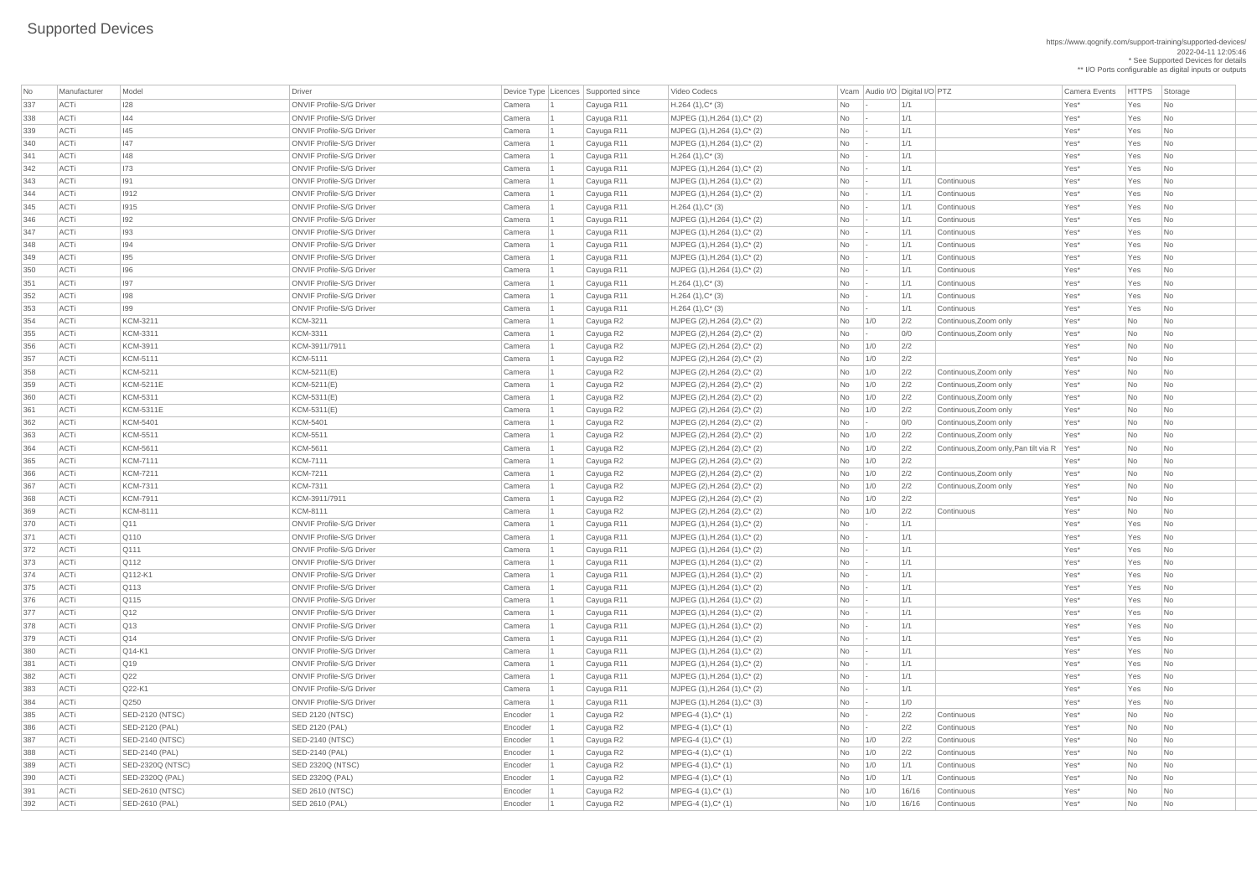| No  | Manufacturer | Model                   | Driver                          |         | Device Type Licences Supported since | Video Codecs                         |                             |     | Vcam Audio I/O Digital I/O PTZ |                                              | <b>Camera Events</b> | <b>HTTPS</b> | Storage                     |
|-----|--------------|-------------------------|---------------------------------|---------|--------------------------------------|--------------------------------------|-----------------------------|-----|--------------------------------|----------------------------------------------|----------------------|--------------|-----------------------------|
| 337 | ACTi         | <b>I28</b>              | <b>ONVIF Profile-S/G Driver</b> | Camera  | Cayuga R11                           | $H.264(1),C^*(3)$                    | No                          |     | 1/1                            |                                              | Yes*                 | Yes          | <b>No</b>                   |
| 338 | <b>ACTi</b>  | 44                      | <b>ONVIF Profile-S/G Driver</b> | Camera  | Cayuga R11                           | $MJPEG (1), H.264 (1), C^* (2)$      | N <sub>o</sub>              |     | 1/1                            |                                              | Yes*                 | Yes          | No                          |
| 339 | ACTi         | 145                     | <b>ONVIF Profile-S/G Driver</b> | Camera  | Cayuga R11                           | $MJPEG (1), H.264 (1), C^*(2)$       | No                          |     | 1/1                            |                                              | Yes*                 | Yes          | No.                         |
| 340 | <b>ACTi</b>  | 47                      | <b>ONVIF Profile-S/G Driver</b> | Camera  | Cayuga R11                           | $MJPEG (1), H.264 (1), C^*(2)$       | No                          |     | 1/1                            |                                              | Yes*                 | Yes          | No                          |
| 341 | ACTi         | 148                     | <b>ONVIF Profile-S/G Driver</b> | Camera  | Cayuga R11                           | $H.264(1),C^*(3)$                    | No                          |     | 1/1                            |                                              | Yes*                 | Yes          | No                          |
| 342 | ACTi         | 173                     | <b>ONVIF Profile-S/G Driver</b> | Camera  | Cayuga R11                           | $MJPEG (1), H.264 (1), C^*(2)$       | No                          |     | 1/1                            |                                              | Yes*                 | Yes          | N <sub>o</sub>              |
| 343 | ACTi         | 191                     | <b>ONVIF Profile-S/G Driver</b> | Camera  | Cayuga R11                           | $MJPEG (1), H.264 (1), C^{*} (2)$    | No                          |     | 1/1                            | Continuous                                   | Yes*                 | Yes          | N <sub>o</sub>              |
| 344 | <b>ACTi</b>  | $ 1912\rangle$          | <b>ONVIF Profile-S/G Driver</b> | Camera  | Cayuga R11                           | MJPEG (1), H.264 (1), C* (2)         | No                          |     | 1/1                            | Continuous                                   | Yes*                 | Yes          | <b>No</b>                   |
| 345 | <b>ACTi</b>  | 1915                    | <b>ONVIF Profile-S/G Driver</b> | Camera  | Cayuga R11                           | $H.264(1),C^*(3)$                    | No                          |     | 1/1                            | Continuous                                   | Yes*                 | Yes          | No                          |
| 346 | <b>ACTi</b>  | 192                     | <b>ONVIF Profile-S/G Driver</b> | Camera  | Cayuga R11                           | $MJPEG (1), H.264 (1), C^*(2)$       | No                          |     | 1/1                            | Continuous                                   | Yes*                 | Yes          | No                          |
| 347 | <b>ACTi</b>  | 193                     | <b>ONVIF Profile-S/G Driver</b> | Camera  | Cayuga R11                           | $MJPEG (1), H.264 (1), C^*(2)$       | No                          |     | 1/1                            | Continuous                                   | Yes*                 | Yes          | N <sub>o</sub>              |
| 348 | ACTi         | 194                     | <b>ONVIF Profile-S/G Driver</b> | Camera  | Cayuga R11                           | $MJPEG (1), H.264 (1), C^*(2)$       | No                          |     | 1/1                            | Continuous                                   | Yes*                 | Yes          | No.                         |
| 349 | ACTi         | 195                     | <b>ONVIF Profile-S/G Driver</b> | Camera  | Cayuga R11                           | $MJPEG (1), H.264 (1), C^{*} (2)$    | No                          |     | 1/1                            | Continuous                                   | Yes*                 | Yes          | N <sub>o</sub>              |
| 350 | ACTi         | 196                     | <b>ONVIF Profile-S/G Driver</b> | Camera  | Cayuga R11                           | $MJPEG (1), H.264 (1), C^* (2)$      | N <sub>o</sub>              |     | 1/1                            | Continuous                                   | Yes*                 | Yes          | <b>No</b>                   |
| 351 | ACTi         | 197                     | <b>ONVIF Profile-S/G Driver</b> | Camera  | Cayuga R11                           | $H.264(1),C^*(3)$                    | No                          |     | 1/1                            | Continuous                                   | Yes*                 | Yes          | No.                         |
| 352 | <b>ACTi</b>  | 198                     | <b>ONVIF Profile-S/G Driver</b> | Camera  | Cayuga R11                           | $H.264(1),C^*(3)$                    | No                          |     | 1/1                            | Continuous                                   | Yes*                 | Yes          | N <sub>o</sub>              |
| 353 | ACTi         | 199                     | <b>ONVIF Profile-S/G Driver</b> | Camera  | Cayuga R11                           | $H.264(1),C^*(3)$                    | No                          |     | 1/1                            | Continuous                                   | Yes*                 | Yes          | No                          |
| 354 | ACTi         | KCM-3211                | <b>KCM-3211</b>                 | Camera  | Cayuga R2                            | $MJPEG (2), H.264 (2), C^* (2)$      | N <sub>o</sub>              | 1/0 | 2/2                            | Continuous, Zoom only                        | Yes*                 | No           | No.                         |
| 355 | ACTi         | KCM-3311                | KCM-3311                        | Camera  | Cayuga R2                            | $MJPEG (2), H.264 (2), C^* (2)$      | No                          |     | 0/0                            | Continuous, Zoom only                        | Yes*                 | No           | <b>No</b>                   |
| 356 | ACTi         | KCM-3911                | KCM-3911/7911                   | Camera  | Cayuga R2                            | MJPEG $(2)$ , H.264 $(2)$ , C* $(2)$ | N <sub>o</sub>              | 1/0 | 2/2                            |                                              | Yes*                 | No           | <b>No</b>                   |
| 357 | ACTi         | KCM-5111                | KCM-5111                        | Camera  | Cayuga R2                            | MJPEG $(2)$ , H.264 $(2)$ , C* $(2)$ | No                          | 1/0 | 2/2                            |                                              | Yes*                 | No           | <b>No</b>                   |
| 358 | ACTi         | KCM-5211                | KCM-5211(E)                     | Camera  | Cayuga R2                            | MJPEG (2), H.264 (2), C* (2)         | No                          | 1/0 | 2/2                            | Continuous, Zoom only                        | Yes*                 | No           | <b>No</b>                   |
| 359 | ACTi         | <b>KCM-5211E</b>        | KCM-5211(E)                     | Camera  | Cayuga R2                            | MJPEG (2), H.264 (2), C* (2)         | No                          | 1/0 | 2/2                            | Continuous, Zoom only                        | Yes*                 | No           | <b>No</b>                   |
| 360 | ACTi         | KCM-5311                | $KCM-5311(E)$                   | Camera  | Cayuga R2                            | $MJPEG (2), H.264 (2), C^* (2)$      | No                          | 1/0 | 2/2                            | Continuous, Zoom only                        | Yes*                 | No           | N <sub>o</sub>              |
| 361 | ACTi         | <b>KCM-5311E</b>        | KCM-5311(E)                     | Camera  | Cayuga R2                            | MJPEG (2), H.264 (2), C* (2)         | No                          | 1/0 | 2/2                            | Continuous, Zoom only                        | Yes*                 | No           | No.                         |
| 362 | ACTi         | KCM-5401                | <b>KCM-5401</b>                 | Camera  |                                      | MJPEG (2), H.264 (2), C* (2)         | No                          |     | 0/0                            | Continuous, Zoom only                        | Yes*                 | No           | No                          |
| 363 | ACTi         | KCM-5511                | <b>KCM-5511</b>                 | Camera  | Cayuga R2<br>Cayuga R2               | MJPEG (2), H.264 (2), C* (2)         | No                          | 1/0 | 2/2                            | Continuous, Zoom only                        | Yes*                 | No           | <b>No</b>                   |
| 364 | ACTi         | KCM-5611                | <b>KCM-5611</b>                 | Camera  |                                      | MJPEG (2), H.264 (2), C* (2)         |                             |     | 2/2                            | Continuous, Zoom only, Pan tilt via R   Yes* |                      | No           | <b>No</b>                   |
|     |              | <b>KCM-7111</b>         | <b>KCM-7111</b>                 |         | Cayuga R2                            | MJPEG (2), H.264 (2), C* (2)         | No                          | 1/0 | 2/2                            |                                              | Yes*                 |              |                             |
| 365 | ACTi<br>ACTi | <b>KCM-7211</b>         | <b>KCM-7211</b>                 | Camera  | Cayuga R2                            |                                      | No                          | 1/0 |                                | Continuous, Zoom only                        | Yes*                 | No<br>No     | No<br>N <sub>o</sub>        |
| 366 |              |                         |                                 | Camera  | Cayuga R2                            | $MJPEG (2), H.264 (2), C^* (2)$      | No                          | 1/0 | 2/2                            |                                              |                      |              |                             |
| 367 | ACTi         | <b>KCM-7311</b>         | <b>KCM-7311</b>                 | Camera  | Cayuga R2                            | MJPEG (2), H.264 (2), C* (2)         | No                          | 1/0 | 2/2                            | Continuous, Zoom only                        | Yes*                 | No           | N <sub>o</sub>              |
| 368 | ACTi         | KCM-7911                | KCM-3911/7911                   | Camera  | Cayuga R2                            | $MJPEG (2), H.264 (2), C^* (2)$      | No                          | 1/0 | 2/2                            |                                              | Yes*                 | No           | No                          |
| 369 | ACTi         | <b>KCM-8111</b>         | <b>KCM-8111</b>                 | Camera  | Cayuga R2                            | MJPEG (2), H.264 (2), C* (2)         | No                          | 1/0 | 2/2                            | Continuous                                   | Yes*                 | No           | No                          |
| 370 | ACTi         | $\sqrt{Q11}$            | <b>ONVIF Profile-S/G Driver</b> | Camera  | Cayuga R11                           | $MJPEG (1), H.264 (1), C^*(2)$       | No                          |     | 1/1                            |                                              | Yes*                 | Yes          | N <sub>o</sub>              |
| 371 | ACTi         | $\sqrt{Q}$ 110          | <b>ONVIF Profile-S/G Driver</b> | Camera  | Cayuga R11                           | MJPEG (1), H.264 (1), C* (2)         | No                          |     | 1/1                            |                                              | Yes*                 | Yes          | No                          |
| 372 | ACTi         | Q111                    | <b>ONVIF Profile-S/G Driver</b> | Camera  | Cayuga R11                           | $MJPEG (1), H.264 (1), C^{*} (2)$    | No                          |     | 1/1                            |                                              | Yes*                 | Yes          | No                          |
| 373 | ACTi         | Q112                    | <b>ONVIF Profile-S/G Driver</b> | Camera  | Cayuga R11                           | $MJPEG (1), H.264 (1), C^*(2)$       | <b>No</b>                   |     | 1/1                            |                                              | Yes*                 | Yes          | N <sub>o</sub>              |
| 374 | ACTi         | $Q112-K1$               | <b>ONVIF Profile-S/G Driver</b> | Camera  | Cayuga R11                           | $MJPEG (1), H.264 (1), C^{*} (2)$    | <b>No</b>                   |     | 1/1                            |                                              | Yes*                 | Yes          | No                          |
| 375 | ACTi         | $\sqrt{Q}$ 113          | <b>ONVIF Profile-S/G Driver</b> | Camera  | Cayuga R11                           | MJPEG (1), H.264 (1), C* (2)         | No                          |     | 1/1                            |                                              | Yes*                 | Yes          | N <sub>o</sub>              |
| 376 | ACTi         | Q115                    | <b>ONVIF Profile-S/G Driver</b> | Camera  | Cayuga R11                           | MJPEG (1), H.264 (1), C* (2)         | No                          |     | 1/1                            |                                              | Yes*                 | Yes          | N <sub>o</sub>              |
| 377 | ACTi         | $\sqrt{Q12}$            | <b>ONVIF Profile-S/G Driver</b> | Camera  | Cayuga R11                           | $MJPEG (1), H.264 (1), C^*(2)$       | No                          |     | 1/1                            |                                              | Yes*                 | Yes          | No                          |
| 378 | ACTi         | $\sqrt{Q13}$            | <b>ONVIF Profile-S/G Driver</b> | Camera  | Cayuga R11                           | $MJPEG (1), H.264 (1), C^*(2)$       | No                          |     | 1/1                            |                                              | Yes*                 | Yes          | No                          |
| 379 | <b>ACTi</b>  | Q14                     | <b>ONVIF Profile-S/G Driver</b> | Camera  | Cayuga R11                           | $MJPEG (1), H.264 (1), C^{*} (2)$    | No                          |     | 1/1                            |                                              | Yes*                 | Yes          | N <sub>o</sub>              |
| 380 | ACTi         | $Q14-K1$                | <b>ONVIF Profile-S/G Driver</b> | Camera  | Cayuga R11                           | $MJPEG (1), H.264 (1), C^{*} (2)$    | <b>No</b>                   |     | 1/1                            |                                              | Yes*                 | Yes          | No                          |
| 381 | ACTi         | Q19                     | <b>ONVIF Profile-S/G Driver</b> | Camera  | Cayuga R11                           | MJPEG (1), H.264 (1), C* (2)         | No                          |     | 1/1                            |                                              | Yes*                 | Yes          | No                          |
| 382 | <b>ACTi</b>  | Q22                     | <b>ONVIF Profile-S/G Driver</b> | Camera  | Cayuga R11                           | $MJPEG (1), H.264 (1), C^* (2)$      | No                          |     | 1/1                            |                                              | Yes*                 | Yes          | N <sub>o</sub>              |
| 383 | ACTi         | $Q22-K1$                | <b>ONVIF Profile-S/G Driver</b> | Camera  | Cayuga R11                           | MJPEG (1), H.264 (1), C* (2)         | <b>No</b>                   |     | 1/1                            |                                              | Yes*                 | Yes          | No                          |
| 384 | <b>ACTi</b>  | $\sqrt{Q}250$           | <b>ONVIF Profile-S/G Driver</b> | Camera  | Cayuga R11                           | MJPEG (1), H.264 (1), C* (3)         | No                          |     | 1/0                            |                                              | Yes*                 | Yes          | No                          |
| 385 | ACTi         | <b>SED-2120 (NTSC)</b>  | <b>SED 2120 (NTSC)</b>          | Encoder | Cayuga R2                            | $MPEG-4 (1), C^*(1)$                 | No                          |     | 2/2                            | Continuous                                   | Yes*                 | No           | N <sub>o</sub>              |
| 386 | ACTi         | <b>SED-2120 (PAL)</b>   | SED 2120 (PAL)                  | Encoder | Cayuga R2                            | $MPEG-4 (1), C^*(1)$                 | No                          |     | 2/2                            | Continuous                                   | Yes*                 | No           | No                          |
| 387 | ACTi         | <b>SED-2140 (NTSC)</b>  | <b>SED-2140 (NTSC)</b>          | Encoder | Cayuga R2                            | $MPEG-4 (1), C^*(1)$                 | No                          | 1/0 | 2/2                            | Continuous                                   | Yes*                 | No           | No                          |
| 388 | ACTi         | SED-2140 (PAL)          | SED-2140 (PAL)                  | Encoder | Cayuga R2                            | MPEG-4 (1), C* (1)                   | $\overline{\phantom{1}}$ No | 1/0 | 2/2                            | Continuous                                   | Yes*                 | No           | $\overline{\mathsf{No}}$    |
| 389 | ACTi         | <b>SED-2320Q (NTSC)</b> | <b>SED 2320Q (NTSC)</b>         | Encoder | Cayuga R2                            | $MPEG-4 (1), C^*(1)$                 | No                          | 1/0 | 1/1                            | Continuous                                   | Yes*                 | No           | No                          |
| 390 | ACTi         | SED-2320Q (PAL)         | SED 2320Q (PAL)                 | Encoder | Cayuga R2                            | $MPEG-4 (1), C^*(1)$                 | No                          | 1/0 | 1/1                            | Continuous                                   | Yes*                 | No           | No                          |
| 391 | ACTi         | <b>SED-2610 (NTSC)</b>  | <b>SED 2610 (NTSC)</b>          | Encoder | Cayuga R2                            | $MPEG-4 (1), C^*(1)$                 | No                          | 1/0 | 16/16                          | Continuous                                   | Yes*                 | No           | No                          |
| 392 | ACTi         | SED-2610 (PAL)          | SED 2610 (PAL)                  | Encoder | Cayuga R2                            | $MPEG-4 (1), C^*(1)$                 | N <sub>o</sub>              | 1/0 | 16/16                          | Continuous                                   | Yes*                 | No           | $\overline{\phantom{a}}$ No |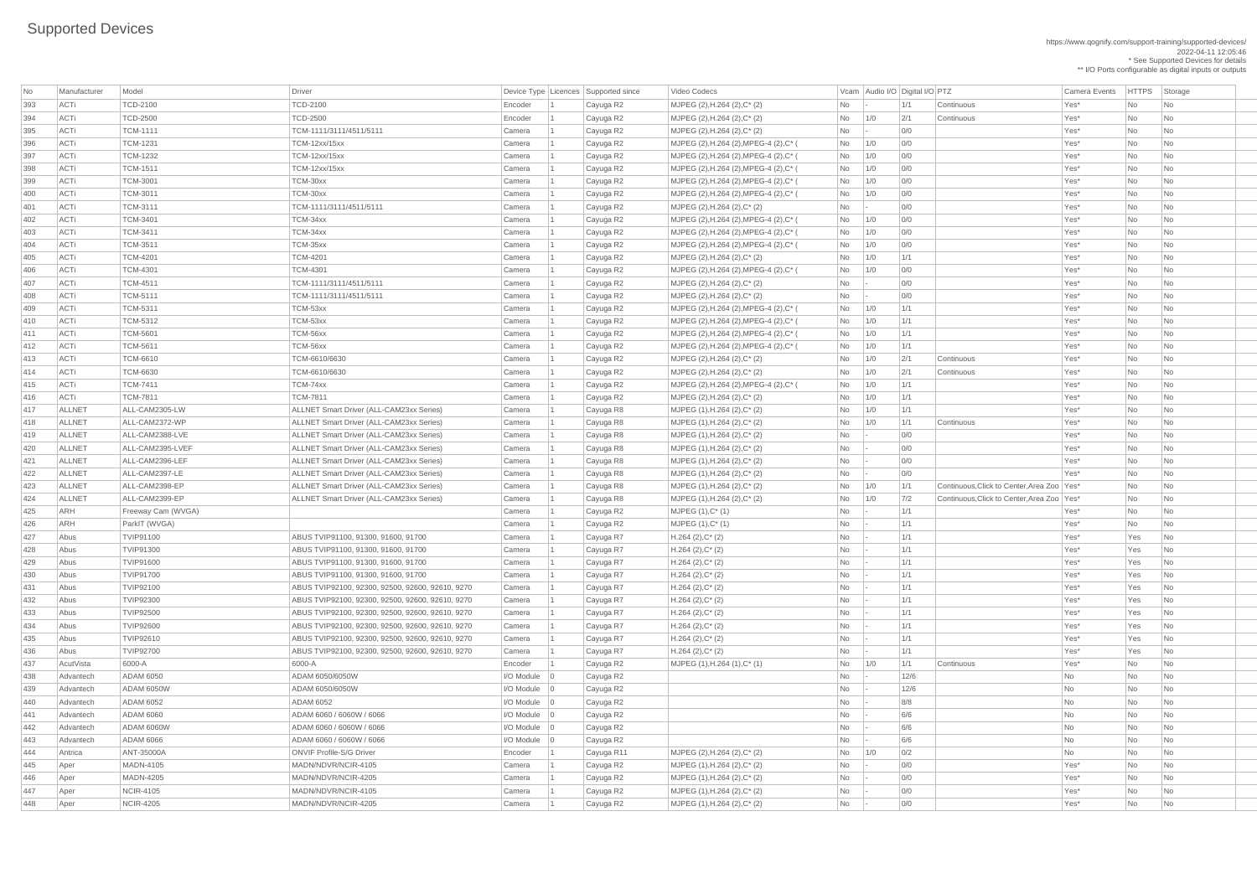| No  | Manufacturer  | Model              | Driver                                           |                   | Device Type   Licences   Supported since | Video Codecs                            |                | Vcam Audio I/O Digital I/O PTZ |      |                                              | <b>Camera Events</b> | <b>HTTPS</b> | Storage                     |
|-----|---------------|--------------------|--------------------------------------------------|-------------------|------------------------------------------|-----------------------------------------|----------------|--------------------------------|------|----------------------------------------------|----------------------|--------------|-----------------------------|
| 393 | ACTi          | <b>TCD-2100</b>    | <b>TCD-2100</b>                                  | Encoder           | Cayuga R2                                | MJPEG (2), H.264 (2), C* (2)            | No             |                                | 1/1  | Continuous                                   | Yes*                 | No           | No                          |
| 394 | ACTi          | <b>TCD-2500</b>    | <b>TCD-2500</b>                                  | Encoder           | Cayuga R2                                | MJPEG (2), H.264 (2), C* (2)            | No             | $\vert$ 1/0                    | 2/1  | Continuous                                   | Yes*                 | No           | No                          |
| 395 | ACTi          | <b>TCM-1111</b>    | TCM-1111/3111/4511/5111                          | Camera            | Cayuga R2                                | MJPEG $(2)$ , H.264 $(2)$ , C* $(2)$    | No             |                                | 0/0  |                                              | Yes*                 | <b>No</b>    | <b>No</b>                   |
| 396 | ACTi          | <b>TCM-1231</b>    | <b>TCM-12xx/15xx</b>                             | Camera            | Cayuga R2                                | MJPEG (2), H.264 (2), MPEG-4 (2), C* (  | <b>No</b>      | 1/0                            | 0/0  |                                              | Yes*                 | No           | <b>No</b>                   |
| 397 | ACTi          | <b>TCM-1232</b>    | <b>TCM-12xx/15xx</b>                             | Camera            | Cayuga R2                                | MJPEG (2), H.264 (2), MPEG-4 (2), C* (  | No             | 1/0                            | 0/0  |                                              | Yes*                 | <b>No</b>    | <b>No</b>                   |
| 398 | ACTi          | <b>TCM-1511</b>    | TCM-12xx/15xx                                    | Camera            | Cayuga R2                                | MJPEG (2), H.264 (2), MPEG-4 (2), C* (  | No             | 1/0                            | 0/0  |                                              | Yes*                 | <b>No</b>    | <b>No</b>                   |
| 399 | ACTi          | <b>TCM-3001</b>    | TCM-30xx                                         | Camera            | Cayuga R2                                | MJPEG (2), H.264 (2), MPEG-4 (2), C* (  | <b>No</b>      | 1/0                            | 0/0  |                                              | Yes*                 | No           | No                          |
| 400 | ACTi          | <b>TCM-3011</b>    | TCM-30xx                                         | Camera            | Cayuga R2                                | MJPEG (2), H.264 (2), MPEG-4 (2), C* (  | No             | 1/0                            | 0/0  |                                              | Yes*                 | No           | <b>No</b>                   |
| 401 | ACTi          | <b>TCM-3111</b>    | TCM-1111/3111/4511/5111                          | Camera            | Cayuga R2                                | $MJPEG (2), H.264 (2), C^* (2)$         | No             |                                | 0/0  |                                              | Yes*                 | <b>No</b>    | <b>No</b>                   |
| 402 | ACTi          | <b>TCM-3401</b>    | TCM-34xx                                         | Camera            | Cayuga R2                                | MJPEG (2), H.264 (2), MPEG-4 (2), C* (  | <b>No</b>      | 1/0                            | 0/0  |                                              | Yes*                 | No           | <b>No</b>                   |
| 403 | ACTi          | <b>TCM-3411</b>    | TCM-34xx                                         | Camera            | Cayuga R2                                | MJPEG (2), H.264 (2), MPEG-4 (2), C* (  | No             | 1/0                            | 0/0  |                                              | Yes*                 | <b>No</b>    | <b>No</b>                   |
| 404 | ACTi          | <b>TCM-3511</b>    | TCM-35xx                                         | Camera            | Cayuga R2                                | MJPEG (2), H.264 (2), MPEG-4 (2), C* (  | No             | 1/0                            | 0/0  |                                              | Yes*                 | No           | No                          |
| 405 | ACTi          | <b>TCM-4201</b>    | <b>TCM-4201</b>                                  | Camera            | Cayuga R2                                | MJPEG (2), H.264 (2), C* (2)            | No             | 1/0                            | 1/1  |                                              | Yes*                 | No           | No                          |
| 406 | ACTi          | <b>TCM-4301</b>    | <b>TCM-4301</b>                                  | Camera            |                                          | MJPEG (2), H.264 (2), MPEG-4 (2), C* (  | <b>No</b>      | 1/0                            | 0/0  |                                              | Yes*                 | <b>No</b>    | <b>No</b>                   |
| 407 | ACTi          | <b>TCM-4511</b>    | TCM-1111/3111/4511/5111                          | Camera            | Cayuga R2                                | MJPEG $(2)$ , H.264 $(2)$ , C* $(2)$    |                |                                | 0/0  |                                              | Yes*                 |              |                             |
|     |               | <b>TCM-5111</b>    |                                                  |                   | Cayuga R2                                |                                         | No             |                                | 0/0  |                                              | Yes*                 | No           | No                          |
| 408 | ACTi          |                    | TCM-1111/3111/4511/5111                          | Camera            | Cayuga R2                                | MJPEG (2), H.264 (2), C* (2)            | <b>No</b>      |                                |      |                                              |                      | No           | No                          |
| 409 | ACTi          | <b>TCM-5311</b>    | TCM-53xx                                         | Camera            | Cayuga R2                                | MJPEG (2), H.264 (2), MPEG-4 (2), C* (  | No             | 1/0                            | 1/1  |                                              | Yes*                 | <b>No</b>    | No                          |
| 410 | ACTi          | <b>TCM-5312</b>    | TCM-53xx                                         | Camera            | Cayuga R2                                | MJPEG (2), H.264 (2), MPEG-4 (2), C* (  | No             | 1/0                            | 1/1  |                                              | Yes*                 | <b>No</b>    | <b>No</b>                   |
| 411 | ACTi          | <b>TCM-5601</b>    | TCM-56xx                                         | Camera            | Cayuga R2                                | MJPEG (2), H.264 (2), MPEG-4 (2), C* (  | No             | 1/0                            | 1/1  |                                              | Yes*                 | No           | <b>No</b>                   |
| 412 | ACTi          | <b>TCM-5611</b>    | TCM-56xx                                         | Camera            | Cayuga R2                                | MJPEG (2), H.264 (2), MPEG-4 (2), C* (  | No             | 1/0                            | 1/1  |                                              | Yes*                 | <b>No</b>    | No                          |
| 413 | ACTi          | <b>TCM-6610</b>    | TCM-6610/6630                                    | Camera            | Cayuga R2                                | MJPEG (2), H.264 (2), C* (2)            | No             | 1/0                            | 2/1  | Continuous                                   | Yes*                 | No           | <b>No</b>                   |
| 414 | ACTi          | <b>TCM-6630</b>    | TCM-6610/6630                                    | Camera            | Cayuga R2                                | MJPEG (2), H.264 (2), C* (2)            | No             | 1/0                            | 2/1  | Continuous                                   | Yes*                 | <b>No</b>    | <b>No</b>                   |
| 415 | ACTi          | <b>TCM-7411</b>    | TCM-74xx                                         | Camera            | Cayuga R2                                | MJPEG (2), H.264 (2), MPEG-4 (2), C* (  | No             | 1/0                            | 1/1  |                                              | Yes*                 | <b>No</b>    | No                          |
| 416 | ACTi          | <b>TCM-7811</b>    | <b>TCM-7811</b>                                  | Camera            | Cayuga R2                                | MJPEG $(2)$ , H.264 $(2)$ , C* $(2)$    | No             | 1/0                            | 1/1  |                                              | Yes*                 | No           | No                          |
| 417 | <b>ALLNET</b> | ALL-CAM2305-LW     | <b>ALLNET Smart Driver (ALL-CAM23xx Series)</b>  | Camera            | Cayuga R8                                | MJPEG (1), H.264 (2), C* (2)            | No             | 1/0                            | 1/1  |                                              | Yes*                 | No           | <b>No</b>                   |
| 418 | <b>ALLNET</b> | ALL-CAM2372-WP     | <b>ALLNET Smart Driver (ALL-CAM23xx Series)</b>  | Camera            | Cayuga R8                                | MJPEG (1), H.264 (2), C* (2)            | No             | 1/0                            | 1/1  | Continuous                                   | Yes*                 | No           | N <sub>o</sub>              |
| 419 | <b>ALLNET</b> | ALL-CAM2388-LVE    | <b>ALLNET Smart Driver (ALL-CAM23xx Series)</b>  | Camera            | Cayuga R8                                | MJPEG (1), H.264 (2), C* (2)            | No             |                                | 0/0  |                                              | Yes*                 | <b>No</b>    | <b>No</b>                   |
| 420 | <b>ALLNET</b> | ALL-CAM2395-LVEF   | <b>ALLNET Smart Driver (ALL-CAM23xx Series)</b>  | Camera            | Cayuga R8                                | MJPEG (1), H.264 (2), C* (2)            | <b>No</b>      |                                | 0/0  |                                              | Yes*                 | <b>No</b>    | <b>No</b>                   |
| 421 | <b>ALLNET</b> | ALL-CAM2396-LEF    | <b>ALLNET Smart Driver (ALL-CAM23xx Series)</b>  | Camera            | Cayuga R8                                | MJPEG $(1)$ , H.264 $(2)$ , C* $(2)$    | <b>No</b>      |                                | 0/0  |                                              | Yes*                 | <b>No</b>    | <b>No</b>                   |
| 422 | <b>ALLNET</b> | ALL-CAM2397-LE     | <b>ALLNET Smart Driver (ALL-CAM23xx Series)</b>  | Camera            | Cayuga R8                                | MJPEG (1), H.264 (2), C* (2)            | No             |                                | 0/0  |                                              | Yes*                 | <b>No</b>    | <b>No</b>                   |
| 423 | <b>ALLNET</b> | ALL-CAM2398-EP     | <b>ALLNET Smart Driver (ALL-CAM23xx Series)</b>  | Camera            | Cayuga R8                                | MJPEG (1), H.264 (2), C* (2)            | <b>No</b>      | 1/0                            | 1/1  | Continuous, Click to Center, Area Zoo   Yes* |                      | <b>No</b>    | <b>No</b>                   |
| 424 | <b>ALLNET</b> | ALL-CAM2399-EP     | <b>ALLNET Smart Driver (ALL-CAM23xx Series)</b>  | Camera            | Cayuga R8                                | MJPEG (1), H.264 (2), C* (2)            | No             | 1/0                            | 7/2  | Continuous, Click to Center, Area Zoo   Yes* |                      | No           | No                          |
| 425 | ARH           | Freeway Cam (WVGA) |                                                  | Camera            | Cayuga R2                                | $MJPEG (1), C^* (1)$                    | No             |                                | 1/1  |                                              | Yes*                 | <b>No</b>    | No                          |
| 426 | <b>ARH</b>    | ParkIT (WVGA)      |                                                  | Camera            | Cayuga R2                                | $MJPEG (1), C^* (1)$                    | No             |                                | 1/1  |                                              | Yes*                 | <b>No</b>    | <b>No</b>                   |
| 427 | Abus          | <b>TVIP91100</b>   | ABUS TVIP91100, 91300, 91600, 91700              | Camera            | Cayuga R7                                | $H.264 (2), C^*(2)$                     | No             |                                | 1/1  |                                              | Yes*                 | Yes          | No                          |
| 428 | Abus          | <b>TVIP91300</b>   | ABUS TVIP91100, 91300, 91600, 91700              | Camera            | Cayuga R7                                | $H.264 (2), C^*(2)$                     | <b>No</b>      |                                | 1/1  |                                              | Yes*                 | Yes          | N <sub>o</sub>              |
| 429 | Abus          | <b>TVIP91600</b>   | ABUS TVIP91100, 91300, 91600, 91700              | Camera            | Cayuga R7                                | $H.264 (2), C^*(2)$                     | <b>No</b>      |                                | 1/1  |                                              | Yes*                 | Yes          | N <sub>o</sub>              |
| 430 | Abus          | <b>TVIP91700</b>   | ABUS TVIP91100, 91300, 91600, 91700              | Camera            | Cayuga R7                                | $H.264 (2), C^*(2)$                     | No             |                                | 1/1  |                                              | Yes*                 | Yes          | No                          |
| 431 | Abus          | <b>TVIP92100</b>   | ABUS TVIP92100, 92300, 92500, 92600, 92610, 9270 | Camera            | Cayuga R7                                | $H.264 (2), C^*(2)$                     | No             |                                | 1/1  |                                              | Yes*                 | Yes          | No                          |
| 432 | Abus          | <b>TVIP92300</b>   | ABUS TVIP92100, 92300, 92500, 92600, 92610, 9270 | Camera            | Cayuga R7                                | $H.264 (2), C^*(2)$                     | <b>No</b>      |                                | 1/1  |                                              | Yes*                 | Yes          | N <sub>o</sub>              |
| 433 | Abus          | <b>TVIP92500</b>   | ABUS TVIP92100, 92300, 92500, 92600, 92610, 9270 | Camera            | Cayuga R7                                | $H.264 (2), C^*(2)$                     | No             |                                | 1/1  |                                              | Yes*                 | Yes          | <b>No</b>                   |
| 434 | Abus          | <b>TVIP92600</b>   | ABUS TVIP92100, 92300, 92500, 92600, 92610, 9270 | Camera            | Cayuga R7                                | $H.264 (2), C^*(2)$                     | No             |                                | 1/1  |                                              | Yes*                 | Yes          | No                          |
| 435 | Abus          | <b>TVIP92610</b>   | ABUS TVIP92100, 92300, 92500, 92600, 92610, 9270 | Camera            | Cayuga R7                                | $H.264 (2), C^*(2)$                     | No             |                                | 1/1  |                                              | Yes*                 | Yes          | N <sub>o</sub>              |
| 436 | Abus          | <b>TVIP92700</b>   | ABUS TVIP92100, 92300, 92500, 92600, 92610, 9270 | Camera            | Cayuga R7                                | $H.264 (2), C^*(2)$                     | No             |                                | 1/1  |                                              | Yes*                 | Yes          | No                          |
| 437 | AcutVista     | 6000-A             | 6000-A                                           | Encoder           | Cayuga R2                                | $MJPEG (1), H.264 (1), C^* (1)$         | No             | 1/0                            | 1/1  | Continuous                                   | Yes*                 | No           | No                          |
| 438 | Advantech     | <b>ADAM 6050</b>   | ADAM 6050/6050W                                  | $I/O$ Module $ 0$ | Cayuga R2                                |                                         | <b>No</b>      |                                | 12/6 |                                              | <b>No</b>            | No           | <b>No</b>                   |
| 439 | Advantech     | <b>ADAM 6050W</b>  | ADAM 6050/6050W                                  | $I/O$ Module $ 0$ | Cayuga R2                                |                                         | <b>No</b>      |                                | 12/6 |                                              | <b>No</b>            | <b>No</b>    | <b>No</b>                   |
| 440 | Advantech     | <b>ADAM 6052</b>   | <b>ADAM 6052</b>                                 | $I/O$ Module $ 0$ | Cayuga R2                                |                                         | No             |                                | 8/8  |                                              | No                   | No           | <b>No</b>                   |
| 441 | Advantech     | <b>ADAM 6060</b>   | ADAM 6060 / 6060W / 6066                         | $I/O$ Module $ 0$ | Cayuga R2                                |                                         | <b>No</b>      |                                | 6/6  |                                              | No                   | No           | No                          |
| 442 | Advantech     | <b>ADAM 6060W</b>  | ADAM 6060 / 6060W / 6066                         | $I/O$ Module $ 0$ |                                          |                                         |                |                                | 6/6  |                                              | No                   | <b>No</b>    | No                          |
|     |               |                    |                                                  |                   | Cayuga R2                                |                                         | No             |                                |      |                                              |                      |              |                             |
| 443 | Advantech     | <b>ADAM 6066</b>   | ADAM 6060 / 6060W / 6066                         | $I/O$ Module $ 0$ | Cayuga R2                                |                                         | <b>No</b>      |                                | 6/6  |                                              | No                   | No           | N <sub>o</sub>              |
| 444 | Antrica       | ANT-35000A         | <b>ONVIF Profile-S/G Driver</b>                  | Encoder 1         | $\vert$ Cayuga R11                       | MJPEG (2), H.264 (2), C* (2)            | No             | 1/0                            | 0/2  |                                              | <b>No</b>            | No           | $\overline{\phantom{a}}$ No |
| 445 | Aper          | <b>MADN-4105</b>   | MADN/NDVR/NCIR-4105                              | Camera            | Cayuga R2                                | MJPEG (1), H.264 (2), C* (2)            | No             |                                | 0/0  |                                              | Yes*                 | No           | No                          |
| 446 | Aper          | <b>MADN-4205</b>   | MADN/NDVR/NCIR-4205                              | Camera            | Cayuga R2                                | MJPEG $(1)$ , H.264 $(2)$ , C $*$ $(2)$ | No             |                                | 0/0  |                                              | Yes*                 | No           | No                          |
| 447 | Aper          | <b>NCIR-4105</b>   | MADN/NDVR/NCIR-4105                              | Camera            | Cayuga R2                                | MJPEG $(1)$ , H.264 $(2)$ , C* $(2)$    | <b>No</b>      |                                | 0/0  |                                              | Yes*                 | No           | No                          |
| 448 | Aper          | <b>NCIR-4205</b>   | MADN/NDVR/NCIR-4205                              | Camera            | Cayuga R2                                | MJPEG (1), H.264 (2), C* (2)            | N <sub>o</sub> |                                | 0/0  |                                              | Yes*                 | No           | No                          |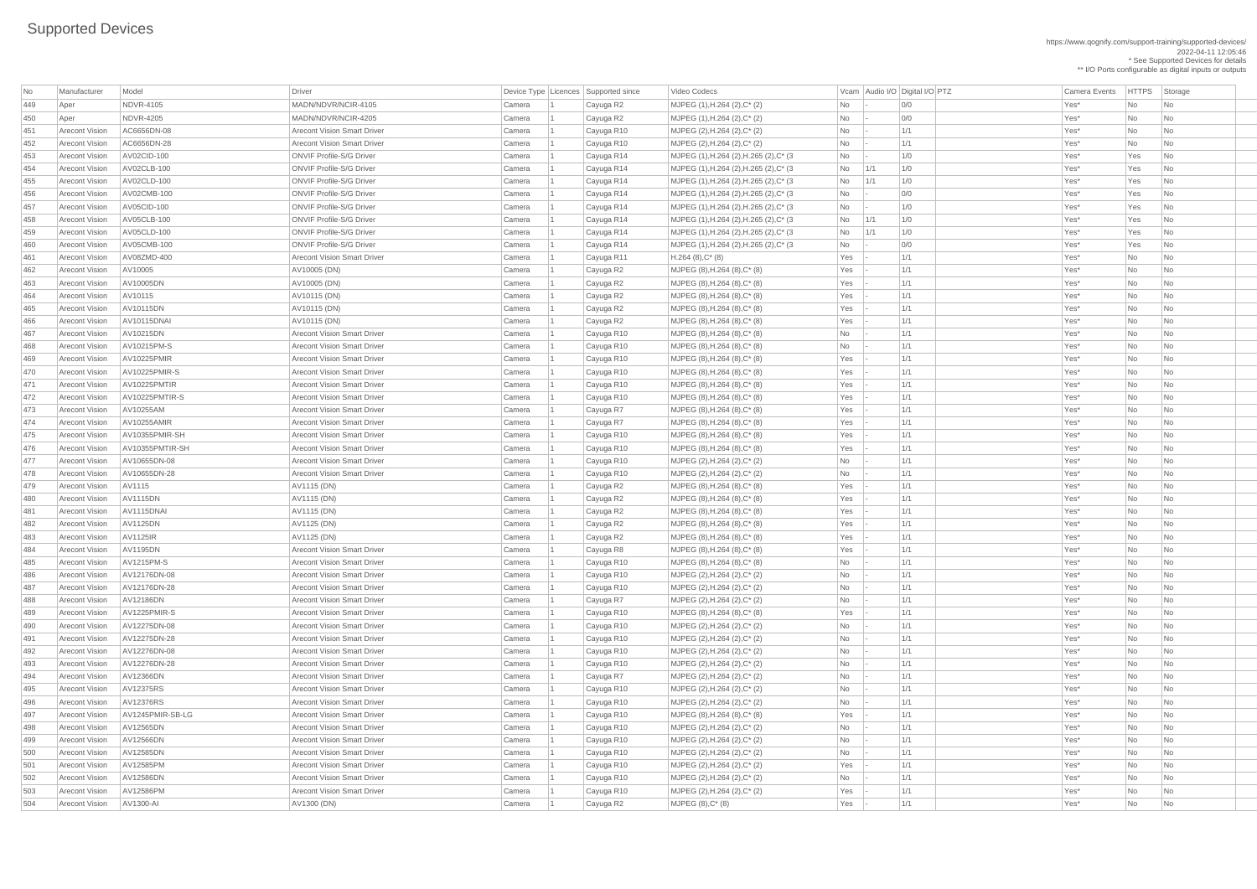https://www.qognify.com/support-training/supported-devices/ 2022-04-11 12:05:46 \* See Supported Devices for details

| No  | Manufacturer          | Model                | Driver                             | Device Type Licences Supported since |            | Video Codecs                            |           | Vcam Audio I/O Digital I/O PTZ  | <b>Camera Events</b> | <b>HTTPS</b> | Storage   |
|-----|-----------------------|----------------------|------------------------------------|--------------------------------------|------------|-----------------------------------------|-----------|---------------------------------|----------------------|--------------|-----------|
| 449 | Aper                  | NDVR-4105            | MADN/NDVR/NCIR-4105                | Camera                               | Cayuga R2  | $MJPEG (1), H.264 (2), C^*(2)$          | No        | 0/0                             | Yes*                 | No           | No        |
| 450 | Aper                  | <b>NDVR-4205</b>     | MADN/NDVR/NCIR-4205                | Camera                               | Cayuga R2  | $MJPEG (1), H.264 (2), C^* (2)$         | <b>No</b> | O/O                             | Yes*                 | <b>No</b>    | No        |
| 451 | <b>Arecont Vision</b> | AC6656DN-08          | <b>Arecont Vision Smart Driver</b> | Camera                               | Cayuga R10 | MJPEG $(2)$ , H.264 $(2)$ , C* $(2)$    | <b>No</b> | 1/1                             | Yes*                 | <b>No</b>    | No        |
| 452 | <b>Arecont Vision</b> | AC6656DN-28          | <b>Arecont Vision Smart Driver</b> | Camera                               | Cayuga R10 | $MJPEG (2), H.264 (2), C^*(2)$          | No        | 1/1                             | Yes*                 | No           | No        |
| 453 | <b>Arecont Vision</b> | AV02CID-100          | <b>ONVIF Profile-S/G Driver</b>    | Camera                               | Cayuga R14 | MJPEG (1), H.264 (2), H.265 (2), C* (3  | No        | 1/0<br>$\overline{\phantom{a}}$ | Yes*                 | Yes          | No        |
| 454 | <b>Arecont Vision</b> | AV02CLB-100          | <b>ONVIF Profile-S/G Driver</b>    | Camera                               | Cayuga R14 | MJPEG (1), H.264 (2), H.265 (2), C* (3  | No        | 1/0<br>1/1                      | Yes*                 | Yes          | No        |
| 455 | <b>Arecont Vision</b> | AV02CLD-100          | <b>ONVIF Profile-S/G Driver</b>    | Camera                               | Cayuga R14 | MJPEG (1), H.264 (2), H.265 (2), C* (3) | No        | 1/0<br>1/1                      | Yes*                 | Yes          | No        |
| 456 | <b>Arecont Vision</b> | AV02CMB-100          | <b>ONVIF Profile-S/G Driver</b>    | Camera                               | Cayuga R14 | MJPEG (1), H.264 (2), H.265 (2), C* (3) | No        | O/O<br>$\overline{\phantom{a}}$ | Yes*                 | Yes          | No        |
| 457 | <b>Arecont Vision</b> | AV05CID-100          | <b>ONVIF Profile-S/G Driver</b>    | Camera                               | Cayuga R14 | MJPEG (1), H.264 (2), H.265 (2), C* (3) | No        | 1/0                             | Yes*                 | Yes          | No        |
| 458 | <b>Arecont Vision</b> | AV05CLB-100          | <b>ONVIF Profile-S/G Driver</b>    | Camera                               | Cayuga R14 | MJPEG (1), H.264 (2), H.265 (2), C* (3) | No        | 1/0<br>1/1                      | Yes*                 | Yes          | No        |
| 459 | <b>Arecont Vision</b> | AV05CLD-100          | <b>ONVIF Profile-S/G Driver</b>    | Camera                               | Cayuga R14 | MJPEG (1), H.264 (2), H.265 (2), C* (3) | No        | 1/0<br>1/1                      | Yes*                 | Yes          | No        |
| 460 | <b>Arecont Vision</b> | AV05CMB-100          | <b>ONVIF Profile-S/G Driver</b>    | Camera                               | Cayuga R14 | MJPEG (1), H.264 (2), H.265 (2), C* (3  | No        | 0/0                             | Yes*                 | Yes          | No        |
| 461 | <b>Arecont Vision</b> | AV08ZMD-400          | <b>Arecont Vision Smart Driver</b> | Camera                               | Cayuga R11 | $H.264(8),C^*(8)$                       | Yes       | 1/1                             | Yes*                 | No           | No        |
| 462 | <b>Arecont Vision</b> | AV10005              | AV10005 (DN)                       | Camera                               | Cayuga R2  | $MJPEG (8), H.264 (8), C*(8)$           | Yes       | 1/1                             | Yes*                 | <b>No</b>    | No        |
| 463 | <b>Arecont Vision</b> | AV10005DN            | AV10005 (DN)                       | Camera                               | Cayuga R2  | $MJPEG (8), H.264 (8), C^* (8)$         | Yes       | 1/1                             | Yes*                 | No           | No        |
| 464 | <b>Arecont Vision</b> | AV10115              | AV10115 (DN)                       | Camera                               | Cayuga R2  | $MJPEG (8), H.264 (8), C*(8)$           | Yes       | 1/1                             | Yes*                 | <b>No</b>    | No        |
| 465 | <b>Arecont Vision</b> | AV10115DN            | AV10115 (DN)                       | Camera                               | Cayuga R2  | $MJPEG (8), H.264 (8), C^* (8)$         | Yes       | 1/1                             | Yes*                 | No           | No        |
| 466 | <b>Arecont Vision</b> | <b>AV10115DNAI</b>   | AV10115 (DN)                       | Camera                               | Cayuga R2  | $MJPEG (8), H.264 (8), C^*(8)$          | Yes       | 1/1                             | Yes*                 | No           | No        |
| 467 | <b>Arecont Vision</b> | AV10215DN            | <b>Arecont Vision Smart Driver</b> | Camera                               | Cayuga R10 | $MJPEG (8), H.264 (8), C*(8)$           | No        | 1/1                             | Yes*                 | No           | No        |
| 468 | <b>Arecont Vision</b> | AV10215PM-S          | <b>Arecont Vision Smart Driver</b> | Camera                               | Cayuga R10 | $MJPEG (8), H.264 (8), C^* (8)$         | No        | 1/1                             | Yes*                 | No           | No        |
| 469 | <b>Arecont Vision</b> | <b>AV10225PMIR</b>   | <b>Arecont Vision Smart Driver</b> | Camera                               | Cayuga R10 | $MJPEG (8), H.264 (8), C*(8)$           | Yes       | 1/1                             | Yes*                 | No           | No        |
| 470 | <b>Arecont Vision</b> | <b>AV10225PMIR-S</b> | <b>Arecont Vision Smart Driver</b> | Camera                               | Cayuga R10 | MJPEG (8), H.264 (8), C* (8)            | Yes       | 1/1                             | Yes*                 | No           | No        |
| 471 | <b>Arecont Vision</b> | AV10225PMTIR         | <b>Arecont Vision Smart Driver</b> | Camera                               | Cayuga R10 | $MJPEG (8), H.264 (8), C*(8)$           | Yes       | 1/1                             | Yes*                 | No           | No        |
| 472 | <b>Arecont Vision</b> | AV10225PMTIR-S       | <b>Arecont Vision Smart Driver</b> | Camera                               | Cayuga R10 | $MJPEG (8), H.264 (8), C^* (8)$         | Yes       | 1/1                             | Yes*                 | No           | No        |
| 473 | <b>Arecont Vision</b> | AV10255AM            | <b>Arecont Vision Smart Driver</b> | Camera                               | Cayuga R7  | MJPEG (8), H.264 (8), C* (8)            | Yes       | 1/1                             | Yes*                 | No           | <b>No</b> |
| 474 | <b>Arecont Vision</b> | <b>AV10255AMIR</b>   | <b>Arecont Vision Smart Driver</b> | Camera                               | Cayuga R7  | MJPEG (8), H.264 (8), C* (8)            | Yes       | 1/1                             | Yes*                 | No           | No        |
| 475 | <b>Arecont Vision</b> | AV10355PMIR-SH       | <b>Arecont Vision Smart Driver</b> | Camera                               | Cayuga R10 | $MJPEG (8), H.264 (8), C^* (8)$         | Yes       | 1/1                             | Yes*                 | No           | No        |
| 476 | <b>Arecont Vision</b> | AV10355PMTIR-SH      | <b>Arecont Vision Smart Driver</b> | Camera                               | Cayuga R10 | MJPEG (8), H.264 (8), C* (8)            | Yes       | 1/1                             | Yes*                 | No           | No        |
| 477 | <b>Arecont Vision</b> | AV10655DN-08         | <b>Arecont Vision Smart Driver</b> | Camera                               | Cayuga R10 | $MJPEG (2), H.264 (2), C^*(2)$          | No        | 1/1                             | Yes*                 | No           | No        |
| 478 | <b>Arecont Vision</b> | AV10655DN-28         | <b>Arecont Vision Smart Driver</b> | Camera                               | Cayuga R10 | MJPEG (2), H.264 (2), C* (2)            | No        | 1/1                             | Yes*                 | No           | No        |
| 479 | <b>Arecont Vision</b> | AV1115               | AV1115 (DN)                        | Camera                               | Cayuga R2  | $MJPEG (8), H.264 (8), C^*(8)$          | Yes       | 1/1                             | Yes*                 | <b>No</b>    | No        |
| 480 | <b>Arecont Vision</b> | AV1115DN             | AV1115 (DN)                        | Camera                               | Cayuga R2  | $MJPEG (8), H.264 (8), C^* (8)$         | Yes       | 1/1                             | Yes*                 | No           | No        |
| 481 | <b>Arecont Vision</b> | AV1115DNAI           | AV1115 (DN)                        | Camera                               | Cayuga R2  | $MJPEG (8), H.264 (8), C^* (8)$         | Yes       | 1/1                             | Yes*                 | No           | No        |
| 482 | <b>Arecont Vision</b> | <b>AV1125DN</b>      | AV1125 (DN)                        | Camera                               | Cayuga R2  | $MJPEG (8), H.264 (8), C*(8)$           | Yes       | 1/1                             | Yes*                 | <b>No</b>    | No        |
| 483 | <b>Arecont Vision</b> | <b>AV1125IR</b>      | AV1125 (DN)                        | Camera                               | Cayuga R2  | $MJPEG (8), H.264 (8), C^* (8)$         | Yes       | 1/1                             | Yes*                 | No           | No        |
| 484 | <b>Arecont Vision</b> | AV1195DN             | <b>Arecont Vision Smart Driver</b> | Camera                               | Cayuga R8  | $MJPEG (8), H.264 (8), C*(8)$           | Yes       | 1/1                             | Yes*                 | No           | No        |
| 485 | <b>Arecont Vision</b> | <b>AV1215PM-S</b>    | <b>Arecont Vision Smart Driver</b> | Camera                               | Cayuga R10 | $MJPEG (8), H.264 (8), C^* (8)$         | No        | 1/1                             | Yes*                 | No           | No        |
| 486 | <b>Arecont Vision</b> | AV12176DN-08         | <b>Arecont Vision Smart Driver</b> | Camera                               | Cayuga R10 | $MJPEG (2), H.264 (2), C^*(2)$          | No        | 1/1                             | Yes*                 | No           | No        |
| 487 | <b>Arecont Vision</b> | AV12176DN-28         | <b>Arecont Vision Smart Driver</b> | Camera                               | Cayuga R10 | MJPEG $(2)$ , H.264 $(2)$ , C* $(2)$    | <b>No</b> | 1/1                             | Yes*                 | <b>No</b>    | No        |
| 488 | <b>Arecont Vision</b> | <b>AV12186DN</b>     | <b>Arecont Vision Smart Driver</b> | Camera                               | Cayuga R7  | $MJPEG (2), H.264 (2), C^* (2)$         | No        | 1/1                             | Yes*                 | No           | No        |
| 489 | <b>Arecont Vision</b> | AV1225PMIR-S         | <b>Arecont Vision Smart Driver</b> | Camera                               | Cayuga R10 | $MJPEG (8), H.264 (8), C*(8)$           | Yes       | 1/1                             | Yes*                 | No           | No        |
| 490 | <b>Arecont Vision</b> | AV12275DN-08         | <b>Arecont Vision Smart Driver</b> | Camera                               | Cayuga R10 | MJPEG (2), H.264 (2), C* (2)            | <b>No</b> | 1/1                             | Yes*                 | No           | No        |
| 491 | <b>Arecont Vision</b> | AV12275DN-28         | <b>Arecont Vision Smart Driver</b> | Camera                               | Cayuga R10 | $MJPEG (2), H.264 (2), C^*(2)$          | No        | 1/1                             | Yes*                 | No           | No        |
| 492 | <b>Arecont Vision</b> | AV12276DN-08         | <b>Arecont Vision Smart Driver</b> | Camera                               | Cayuga R10 | MJPEG $(2)$ , H.264 $(2)$ , C* $(2)$    | No        | 1/1                             | Yes*                 | No           | No        |
| 493 | <b>Arecont Vision</b> | AV12276DN-28         | <b>Arecont Vision Smart Driver</b> | Camera                               | Cayuga R10 | $MJPEG (2), H.264 (2), C^*(2)$          | <b>No</b> | 1/1                             | Yes*                 | <b>No</b>    | No        |
| 494 | <b>Arecont Vision</b> | <b>AV12366DN</b>     | <b>Arecont Vision Smart Driver</b> | Camera                               | Cayuga R7  | $MJPEG (2), H.264 (2), C^* (2)$         | No        | 1/1                             | Yes*                 | No           | No        |
| 495 | <b>Arecont Vision</b> | <b>AV12375RS</b>     | <b>Arecont Vision Smart Driver</b> | Camera                               | Cayuga R10 | MJPEG (2), H.264 (2), C* (2)            | No        | 1/1                             | Yes*                 | No           | No        |
| 496 | <b>Arecont Vision</b> | <b>AV12376RS</b>     | <b>Arecont Vision Smart Driver</b> | Camera                               | Cayuga R10 | MJPEG (2), H.264 (2), C* (2)            | No        | 1/1                             | Yes*                 | <b>No</b>    | No        |
| 497 | <b>Arecont Vision</b> | AV1245PMIR-SB-LG     | <b>Arecont Vision Smart Driver</b> | Camera                               | Cayuga R10 | $MJPEG (8), H.264 (8), C^*(8)$          | Yes       | 1/1                             | Yes*                 | No           | No        |
| 498 | <b>Arecont Vision</b> | AV12565DN            | <b>Arecont Vision Smart Driver</b> | Camera                               | Cayuga R10 | MJPEG (2), H.264 (2), C* (2)            | No        | 1/1                             | $Yes*$               | No           | No        |
| 499 | <b>Arecont Vision</b> | AV12566DN            | <b>Arecont Vision Smart Driver</b> | Camera                               | Cayuga R10 | MJPEG (2), H.264 (2), C* (2)            | No        | 1/1                             | Yes*                 | <b>No</b>    | No        |
| 500 | <b>Arecont Vision</b> | AV12585DN            | <b>Arecont Vision Smart Driver</b> | Camera                               | Cayuga R10 | MJPEG (2), H.264 (2), C* (2)            | No        | 1/1                             | Yes*                 | No           | No        |
| 501 | <b>Arecont Vision</b> | AV12585PM            | <b>Arecont Vision Smart Driver</b> | Camera                               | Cayuga R10 | MJPEG $(2)$ , H.264 $(2)$ , C* $(2)$    | Yes       | 1/1                             | Yes*                 | No           | No        |
| 502 | <b>Arecont Vision</b> | AV12586DN            | <b>Arecont Vision Smart Driver</b> | Camera                               | Cayuga R10 | MJPEG $(2)$ , H.264 $(2)$ , C* $(2)$    | No        | 1/1                             | Yes*                 | No           | No        |
| 503 | <b>Arecont Vision</b> | AV12586PM            | <b>Arecont Vision Smart Driver</b> | Camera                               | Cayuga R10 | MJPEG $(2)$ , H.264 $(2)$ , C* $(2)$    | Yes       | 1/1                             | Yes*                 | No           | No        |
| 504 | <b>Arecont Vision</b> | AV1300-AI            | AV1300 (DN)                        | Camera                               | Cayuga R2  | $MJPEG (8), C^* (8)$                    | $Yes$  -  | 1/1                             | Yes*                 | No           | No        |
|     |                       |                      |                                    |                                      |            |                                         |           |                                 |                      |              |           |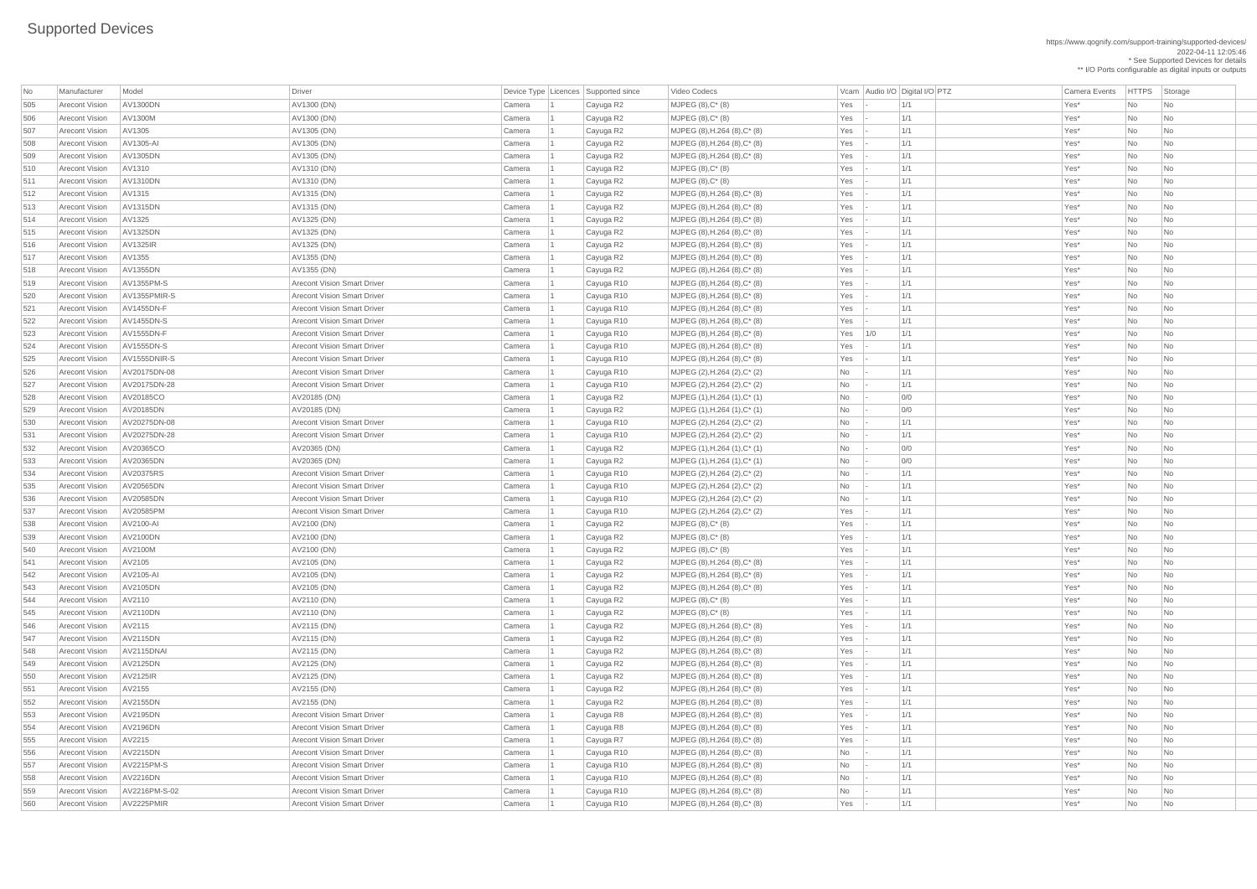\*\* I/O Ports configurable as digital inputs or outputs Video Codecs **No Manufacturer Model Driver Audio I/O Digital I/O PTZ** Camera Events HTTPS Storage

https://www.qognify.com/support-training/supported-devices/ 2022-04-11 12:05:46 \* See Supported Devices for details

| No  | Manufacturer          | Model             | <b>Driver</b>                      | Device Type   Licences | Supported since | Video Codecs                      |     |     | Vcam Audio I/O Digital I/O PTZ |      | <b>Camera Events</b> | HTTPS St  |                             |
|-----|-----------------------|-------------------|------------------------------------|------------------------|-----------------|-----------------------------------|-----|-----|--------------------------------|------|----------------------|-----------|-----------------------------|
| 505 | <b>Arecont Vision</b> | <b>AV1300DN</b>   | AV1300 (DN)                        | Camera                 | Cayuga R2       | $MJPEG (8), C^* (8)$              | Yes |     | 1/1                            | Yes* |                      | No        | $ $ Nc                      |
| 506 | <b>Arecont Vision</b> | AV1300M           | AV1300 (DN)                        | Camera                 | Cayuga R2       | $MJPEG (8), C^* (8)$              | Yes |     | 1/1                            | Yes* |                      | No        | $\overline{\phantom{a}}$ Nc |
| 507 | <b>Arecont Vision</b> | AV1305            | AV1305 (DN)                        | Camera                 | Cayuga R2       | MJPEG (8), H.264 (8), C* (8)      | Yes |     | 1/1                            | Yes* |                      | No        | <b>Nc</b>                   |
| 508 | <b>Arecont Vision</b> | AV1305-AI         | AV1305 (DN)                        | Camera                 | Cayuga R2       | $MJPEG (8), H.264 (8), C^{*} (8)$ | Yes |     | 1/1                            | Yes* |                      | No        | <b>Nc</b>                   |
| 509 | Arecont Vision        | AV1305DN          | AV1305 (DN)                        | Camera                 | Cayuga R2       | MJPEG (8), H.264 (8), C* (8)      | Yes |     | 1/1                            | Yes* |                      | No        | <b>Nc</b>                   |
| 510 | <b>Arecont Vision</b> | AV1310            | AV1310 (DN)                        | Camera                 | Cayuga R2       | MJPEG (8), C* (8)                 | Yes |     | 1/1                            | Yes* |                      | No        | <b>Nc</b>                   |
| 511 | Arecont Vision        | <b>AV1310DN</b>   | AV1310 (DN)                        | Camera                 | Cayuga R2       | $MJPEG (8), C^*(8)$               | Yes |     | 1/1                            | Yes* |                      | No        | <b>Nc</b>                   |
| 512 | Arecont Vision        | AV1315            | AV1315 (DN)                        | Camera                 | Cayuga R2       | MJPEG (8), H.264 (8), C* (8)      | Yes |     | 1/1                            | Yes* |                      | No        | <b>Nc</b>                   |
| 513 | <b>Arecont Vision</b> | <b>AV1315DN</b>   | AV1315 (DN)                        | Camera                 | Cayuga R2       | MJPEG (8), H.264 (8), C* (8)      | Yes |     | 1/1                            | Yes* |                      | No        | <b>Nc</b>                   |
| 514 | <b>Arecont Vision</b> | AV1325            | AV1325 (DN)                        | Camera                 | Cayuga R2       | MJPEG (8), H.264 (8), C* (8)      | Yes |     | 1/1                            | Yes* |                      | No        | <b>Nc</b>                   |
| 515 | <b>Arecont Vision</b> | <b>AV1325DN</b>   | AV1325 (DN)                        | Camera                 | Cayuga R2       | MJPEG (8), H.264 (8), C* (8)      | Yes |     | 1/1                            | Yes* |                      | No        | <b>Nc</b>                   |
| 516 | <b>Arecont Vision</b> | AV1325IR          | AV1325 (DN)                        | Camera                 | Cayuga R2       | MJPEG (8), H.264 (8), C* (8)      | Yes |     | 1/1                            | Yes* |                      | No        | <b>Nc</b>                   |
| 517 | <b>Arecont Vision</b> | AV1355            | AV1355 (DN)                        | Camera                 | Cayuga R2       | MJPEG (8), H.264 (8), C* (8)      | Yes |     | 1/1                            | Yes* |                      | No        | <b>Nc</b>                   |
| 518 | Arecont Vision        | AV1355DN          | AV1355 (DN)                        | Camera                 | Cayuga R2       | MJPEG (8), H.264 (8), C* (8)      | Yes |     | 1/1                            | Yes* |                      | No        | <b>Nc</b>                   |
| 519 | Arecont Vision        | AV1355PM-S        | <b>Arecont Vision Smart Driver</b> | Camera                 | Cayuga R10      | MJPEG (8), H.264 (8), C* (8)      | Yes |     | 1/1                            | Yes* |                      | No        | <b>Nc</b>                   |
| 520 | <b>Arecont Vision</b> | AV1355PMIR-S      | <b>Arecont Vision Smart Driver</b> | Camera                 | Cayuga R10      | $MJPEG (8), H.264 (8), C*(8)$     | Yes |     | 1/1                            | Yes* |                      | No        | <b>Nc</b>                   |
| 521 | Arecont Vision        | AV1455DN-F        | <b>Arecont Vision Smart Driver</b> | Camera                 | Cayuga R10      | MJPEG (8), H.264 (8), C* (8)      | Yes |     | 1/1                            | Yes* |                      | No        | <b>Nc</b>                   |
| 522 | Arecont Vision        | AV1455DN-S        | <b>Arecont Vision Smart Driver</b> | Camera                 | Cayuga R10      | MJPEG (8), H.264 (8), C* (8)      | Yes |     | 1/1                            | Yes* |                      | No        | <b>Nc</b>                   |
| 523 | Arecont Vision        | AV1555DN-F        | <b>Arecont Vision Smart Driver</b> | Camera                 | Cayuga R10      | MJPEG (8), H.264 (8), C* (8)      | Yes | 1/0 | 1/1                            | Yes* |                      | No        | <b>Nc</b>                   |
| 524 | Arecont Vision        | <b>AV1555DN-S</b> | <b>Arecont Vision Smart Driver</b> | Camera                 | Cayuga R10      | MJPEG (8), H.264 (8), C* (8)      | Yes |     | 1/1                            | Yes* |                      | No        | <b>Nc</b>                   |
| 525 | Arecont Vision        | AV1555DNIR-S      | <b>Arecont Vision Smart Driver</b> | Camera                 | Cayuga R10      | MJPEG (8), H.264 (8), C* (8)      | Yes |     | 1/1                            | Yes* |                      | No        | <b>Nc</b>                   |
| 526 | <b>Arecont Vision</b> | AV20175DN-08      | <b>Arecont Vision Smart Driver</b> | Camera                 | Cayuga R10      | MJPEG (2), H.264 (2), C* (2)      | No  |     | 1/1                            | Yes* |                      | No        | <b>Nc</b>                   |
| 527 | <b>Arecont Vision</b> | AV20175DN-28      | <b>Arecont Vision Smart Driver</b> | Camera                 | Cayuga R10      | MJPEG (2), H.264 (2), C* (2)      | No  |     | 1/1                            | Yes* |                      | No        | $\overline{\phantom{a}}$ Nc |
| 528 | <b>Arecont Vision</b> | AV20185CO         | AV20185 (DN)                       | Camera                 | Cayuga R2       | MJPEG (1), H.264 (1), C* (1)      | No  |     | 0/0                            | Yes* |                      | No        | <b>Nc</b>                   |
| 529 | <b>Arecont Vision</b> | AV20185DN         | AV20185 (DN)                       | Camera                 | Cayuga R2       | MJPEG (1), H.264 (1), C* (1)      | No  |     | 0/0                            | Yes* |                      | No        | $\overline{\phantom{a}}$ Nc |
| 530 | Arecont Vision        | AV20275DN-08      | <b>Arecont Vision Smart Driver</b> | Camera                 | Cayuga R10      | MJPEG (2), H.264 (2), C* (2)      | No  |     | 1/1                            | Yes* |                      | No        | $\overline{\phantom{a}}$ Nc |
| 531 | <b>Arecont Vision</b> | AV20275DN-28      | <b>Arecont Vision Smart Driver</b> | Camera                 | Cayuga R10      | MJPEG (2), H.264 (2), C* (2)      | No  |     | 1/1                            | Yes* |                      | No        | <b>Nc</b>                   |
| 532 | <b>Arecont Vision</b> | AV20365CO         | AV20365 (DN)                       | Camera                 | Cayuga R2       | MJPEG (1), H.264 (1), C* (1)      | No  |     | 0/0                            | Yes* |                      | No        | <b>Nc</b>                   |
| 533 | <b>Arecont Vision</b> | AV20365DN         | AV20365 (DN)                       | Camera                 | Cayuga R2       | MJPEG (1), H.264 (1), C* (1)      | No  |     | 0/0                            | Yes* |                      | No        | <b>Nc</b>                   |
| 534 | <b>Arecont Vision</b> | AV20375RS         | <b>Arecont Vision Smart Driver</b> | Camera                 | Cayuga R10      | MJPEG (2), H.264 (2), C* (2)      | No  |     | 1/1                            | Yes* |                      | No        | <b>Nc</b>                   |
| 535 | <b>Arecont Vision</b> | AV20565DN         | <b>Arecont Vision Smart Driver</b> | Camera                 | Cayuga R10      | MJPEG (2), H.264 (2), C* (2)      | No  |     | 1/1                            | Yes* |                      | No        | <b>Nc</b>                   |
| 536 | <b>Arecont Vision</b> | AV20585DN         | <b>Arecont Vision Smart Driver</b> | Camera                 | Cayuga R10      | MJPEG (2), H.264 (2), C* (2)      | No  |     | 1/1                            | Yes* |                      | No        | <b>Nc</b>                   |
| 537 | Arecont Vision        | AV20585PM         | <b>Arecont Vision Smart Driver</b> | Camera                 | Cayuga R10      | MJPEG (2), H.264 (2), C* (2)      | Yes |     | 1/1                            | Yes* |                      | No        | <b>Nc</b>                   |
| 538 | <b>Arecont Vision</b> | AV2100-AI         | AV2100 (DN)                        | Camera                 | Cayuga R2       | MJPEG (8), C* (8)                 | Yes |     | 1/1                            | Yes* |                      | No        | <b>Nc</b>                   |
| 539 | Arecont Vision        | AV2100DN          | AV2100 (DN)                        | Camera                 | Cayuga R2       | $MJPEG (8), C^*(8)$               | Yes |     | 1/1                            | Yes* |                      | No        | <b>Nc</b>                   |
| 540 | <b>Arecont Vision</b> | AV2100M           | AV2100 (DN)                        | Camera                 | Cayuga R2       | $MJPEG (8), C^* (8)$              | Yes |     | 1/1                            | Yes* |                      | No        | <b>Nc</b>                   |
| 541 | <b>Arecont Vision</b> | AV2105            | AV2105 (DN)                        | Camera                 | Cayuga R2       | MJPEG (8), H.264 (8), C* (8)      | Yes |     | 1/1                            | Yes* |                      | No        | <b>Nc</b>                   |
| 542 | <b>Arecont Vision</b> | AV2105-AI         | AV2105 (DN)                        | Camera                 | Cayuga R2       | MJPEG (8), H.264 (8), C* (8)      | Yes |     | 1/1                            | Yes* |                      | No        | Nc                          |
| 543 | Arecont Vision        | AV2105DN          | AV2105 (DN)                        | Camera                 | Cayuga R2       | MJPEG (8), H.264 (8), C* (8)      | Yes |     | 1/1                            | Yes* |                      | No        | Nc                          |
| 544 | <b>Arecont Vision</b> | AV2110            | AV2110 (DN)                        | Camera                 | Cayuga R2       | $MJPEG (8), C^* (8)$              | Yes |     | 1/1                            | Yes* |                      | No        | <b>Nc</b>                   |
| 545 | <b>Arecont Vision</b> | AV2110DN          | AV2110 (DN)                        | Camera                 | Cayuga R2       | $MJPEG (8), C^* (8)$              | Yes |     | 1/1                            | Yes* |                      | No        | <b>Nc</b>                   |
| 546 | <b>Arecont Vision</b> | AV2115            | AV2115 (DN)                        | Camera                 | Cayuga R2       | MJPEG (8), H.264 (8), C* (8)      | Yes |     | 1/1                            | Yes* |                      | No        | <b>Nc</b>                   |
| 547 | <b>Arecont Vision</b> | <b>AV2115DN</b>   | AV2115 (DN)                        | Camera                 | Cayuga R2       | MJPEG (8), H.264 (8), C* (8)      | Yes |     | 1/1                            | Yes* |                      | No        | <b>Nc</b>                   |
| 548 | <b>Arecont Vision</b> | AV2115DNAI        | AV2115 (DN)                        | Camera                 | Cayuga R2       | MJPEG (8), H.264 (8), C* (8)      | Yes |     | 1/1                            | Yes* |                      | No        | <b>Nc</b>                   |
| 549 | Arecont Vision        | <b>AV2125DN</b>   | AV2125 (DN)                        | Camera                 | Cayuga R2       | MJPEG (8), H.264 (8), C* (8)      | Yes |     | 1/1                            | Yes* |                      | No        | <b>Nc</b>                   |
| 550 | <b>Arecont Vision</b> | AV2125IR          | AV2125 (DN)                        | Camera                 | Cayuga R2       | MJPEG (8), H.264 (8), C* (8)      | Yes |     | 1/1                            | Yes* |                      | No        | <b>Nc</b>                   |
| 551 | Arecont Vision        | AV2155            | AV2155 (DN)                        | Camera                 | Cayuga R2       | MJPEG (8), H.264 (8), C* (8)      | Yes |     | 1/1                            | Yes* |                      | No        | <b>Nc</b>                   |
| 552 | <b>Arecont Vision</b> | AV2155DN          | AV2155 (DN)                        | Camera                 | Cayuga R2       | MJPEG (8), H.264 (8), C* (8)      | Yes |     | 1/1                            | Yes* |                      | No        | <b>Nc</b>                   |
| 553 | <b>Arecont Vision</b> | <b>AV2195DN</b>   | <b>Arecont Vision Smart Driver</b> | Camera                 | Cayuga R8       | MJPEG (8), H.264 (8), C* (8)      | Yes |     | 1/1                            | Yes* |                      | No        | <b>Nc</b>                   |
| 554 | <b>Arecont Vision</b> | <b>AV2196DN</b>   | <b>Arecont Vision Smart Driver</b> | Camera                 | Cayuga R8       | MJPEG (8), H.264 (8), C* (8)      | Yes |     | 1/1                            | Yes* |                      | No        | <b>Nc</b>                   |
| 555 | <b>Arecont Vision</b> | AV2215            | <b>Arecont Vision Smart Driver</b> | Camera                 | Cayuga R7       | MJPEG (8), H.264 (8), C* (8)      | Yes |     | 1/1                            | Yes* |                      | No        | <b>Nc</b>                   |
| 556 | <b>Arecont Vision</b> | AV2215DN          | <b>Arecont Vision Smart Driver</b> | Camera                 | Cayuga R10      | MJPEG (8), H.264 (8), C* (8)      | No  |     | 1/1                            | Yes* |                      | <b>No</b> |                             |
| 557 | <b>Arecont Vision</b> | AV2215PM-S        | <b>Arecont Vision Smart Driver</b> | Camera                 | Cayuga R10      | MJPEG (8), H.264 (8), C* (8)      | No  |     | 1/1                            | Yes* |                      | No        | Nc                          |
| 558 | <b>Arecont Vision</b> | AV2216DN          | <b>Arecont Vision Smart Driver</b> | Camera                 | Cayuga R10      | MJPEG (8), H.264 (8), C* (8)      | No  |     | 1/1                            | Yes* |                      | No        | $\overline{\phantom{a}}$ Nc |
| 559 | <b>Arecont Vision</b> | AV2216PM-S-02     | <b>Arecont Vision Smart Driver</b> | Camera                 | Cayuga R10      | MJPEG (8), H.264 (8), C* (8)      | No  |     | 1/1                            | Yes* |                      | No        | $ $ Nc                      |
| 560 | <b>Arecont Vision</b> | AV2225PMIR        | <b>Arecont Vision Smart Driver</b> | Camera                 | Cayuga R10      | MJPEG (8), H.264 (8), C* (8)      | Yes |     | 1/1                            | Yes* |                      | No        | $\overline{\phantom{a}}$ Nc |
|     |                       |                   |                                    |                        |                 |                                   |     |     |                                |      |                      |           |                             |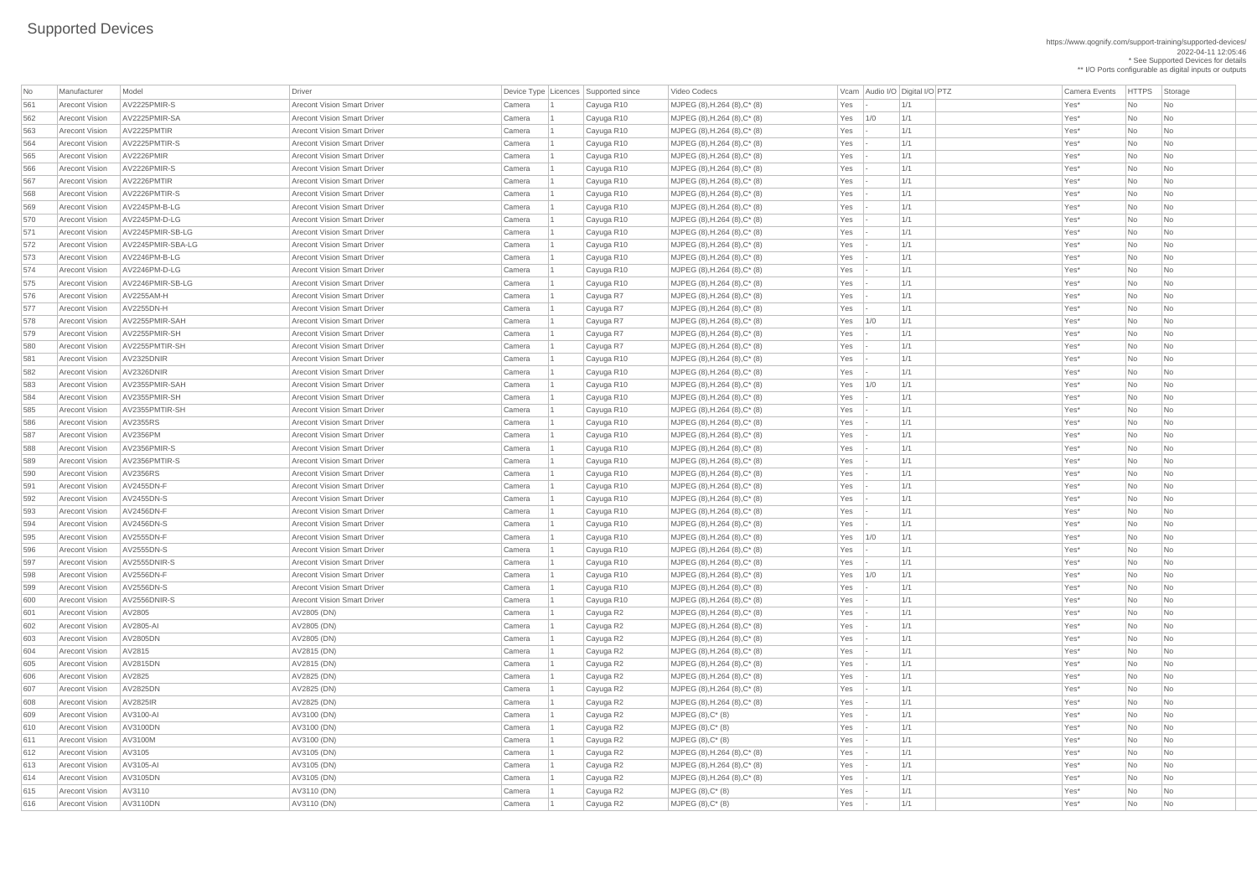https://www.qognify.com/support-training/supported-devices/ 2022-04-11 12:05:46 \* See Supported Devices for details

\*\* I/O Ports configurable as digital inputs or outputs

| No         | Manufacturer          | Model             | <b>Driver</b>                      |                  | Device Type   Licences   Supported since | Video Codecs                         |               |     | Vcam   Audio I/O   Digital I/O   PTZ | <b>Camera Events</b> | HTTPS Sto |                             |
|------------|-----------------------|-------------------|------------------------------------|------------------|------------------------------------------|--------------------------------------|---------------|-----|--------------------------------------|----------------------|-----------|-----------------------------|
| 561        | <b>Arecont Vision</b> | AV2225PMIR-S      | <b>Arecont Vision Smart Driver</b> | Camera           | Cayuga R10                               | MJPEG (8), H.264 (8), C* (8)         | Yes           |     | 1/1                                  | Yes*                 | No        | $\overline{\phantom{a}}$ Nc |
| 562        | <b>Arecont Vision</b> | AV2225PMIR-SA     | <b>Arecont Vision Smart Driver</b> | Camera           | Cayuga R10                               | MJPEG (8), H.264 (8), C* (8)         | Yes           | 1/0 | 1/1                                  | Yes*                 | No        | $\overline{\phantom{a}}$ Nc |
| 563        | <b>Arecont Vision</b> | AV2225PMTIR       | <b>Arecont Vision Smart Driver</b> | Camera           | Cayuga R10                               | MJPEG (8), H.264 (8), C* (8)         | Yes           |     | 1/1                                  | Yes*                 | No        | $\overline{\phantom{a}}$ Nc |
| 564        | <b>Arecont Vision</b> | AV2225PMTIR-S     | <b>Arecont Vision Smart Driver</b> | Camera           | Cayuga R10                               | MJPEG (8), H.264 (8), C* (8)         | Yes           |     | 1/1                                  | Yes*                 | No        | <b>Nc</b>                   |
| 565        | <b>Arecont Vision</b> | AV2226PMIR        | <b>Arecont Vision Smart Driver</b> | Camera           | Cayuga R10                               | MJPEG (8), H.264 (8), C* (8)         | Yes           |     | 1/1                                  | Yes*                 | No        | <b>Nc</b>                   |
| 566        | <b>Arecont Vision</b> | AV2226PMIR-S      | <b>Arecont Vision Smart Driver</b> | Camera           | Cayuga R10                               | MJPEG (8), H.264 (8), C* (8)         | Yes           |     | 1/1                                  | Yes*                 | No        | <b>Nc</b>                   |
| 567        | <b>Arecont Vision</b> | AV2226PMTIR       | <b>Arecont Vision Smart Driver</b> | Camera           | Cayuga R10                               | MJPEG (8), H.264 (8), C* (8)         | Yes           |     | 1/1                                  | Yes*                 | No        | <b>Nc</b>                   |
| 568        | <b>Arecont Vision</b> | AV2226PMTIR-S     | <b>Arecont Vision Smart Driver</b> | Camera           | Cayuga R10                               | MJPEG (8), H.264 (8), C* (8)         | Yes           |     | 1/1                                  | Yes*                 | No        | $\overline{\phantom{a}}$ Nc |
| 569        | <b>Arecont Vision</b> | AV2245PM-B-LG     | <b>Arecont Vision Smart Driver</b> | Camera           | Cayuga R10                               | MJPEG (8), H.264 (8), C* (8)         | Yes           |     | 1/1                                  | Yes*                 | No        | <b>Nc</b>                   |
| 570        | <b>Arecont Vision</b> | AV2245PM-D-LG     | <b>Arecont Vision Smart Driver</b> | Camera           | Cayuga R10                               | MJPEG (8), H.264 (8), C* (8)         | Yes           |     | 1/1                                  | Yes*                 | No        | <b>Nc</b>                   |
| 571        | <b>Arecont Vision</b> | AV2245PMIR-SB-LG  | <b>Arecont Vision Smart Driver</b> | Camera           | Cayuga R10                               | $MJPEG (8), H.264 (8), C*(8)$        | Yes           |     | 1/1                                  | Yes*                 | No        | <b>Nc</b>                   |
| 572        | <b>Arecont Vision</b> | AV2245PMIR-SBA-LG | <b>Arecont Vision Smart Driver</b> | Camera           | Cayuga R10                               | MJPEG (8), H.264 (8), C* (8)         | Yes           |     | 1/1                                  | Yes*                 | No        | Nc                          |
| 573        | <b>Arecont Vision</b> | AV2246PM-B-LG     | <b>Arecont Vision Smart Driver</b> | Camera           | Cayuga R10                               | MJPEG (8), H.264 (8), C* (8)         | Yes           |     | 1/1                                  | Yes*                 | No        | <b>Nc</b>                   |
| 574        | <b>Arecont Vision</b> | AV2246PM-D-LG     | <b>Arecont Vision Smart Driver</b> | Camera           | Cayuga R10                               | MJPEG (8), H.264 (8), C* (8)         | Yes           |     | 1/1                                  | Yes*                 | No        | <b>Nc</b>                   |
| 575        | <b>Arecont Vision</b> | AV2246PMIR-SB-LG  | <b>Arecont Vision Smart Driver</b> | Camera           | Cayuga R10                               | MJPEG (8), H.264 (8), C* (8)         | Yes           |     | 1/1                                  | Yes*                 | No        | <b>Nc</b>                   |
| 576        | <b>Arecont Vision</b> | AV2255AM-H        | <b>Arecont Vision Smart Driver</b> | Camera           | Cayuga R7                                | MJPEG (8), H.264 (8), C* (8)         | Yes           |     | 1/1                                  | Yes*                 | No        | <b>Nc</b>                   |
| 577        | <b>Arecont Vision</b> | AV2255DN-H        | <b>Arecont Vision Smart Driver</b> | Camera           | Cayuga R7                                | MJPEG (8), H.264 (8), C* (8)         | Yes           |     | 1/1                                  | Yes*                 | No        | <b>Nc</b>                   |
| 578        | <b>Arecont Vision</b> | AV2255PMIR-SAH    | <b>Arecont Vision Smart Driver</b> | Camera           | Cayuga R7                                | MJPEG (8), H.264 (8), C* (8)         | Yes           | 1/0 | 1/1                                  | Yes*                 | No        | Nc                          |
| 579        | <b>Arecont Vision</b> | AV2255PMIR-SH     | <b>Arecont Vision Smart Driver</b> | Camera           | Cayuga R7                                | MJPEG (8), H.264 (8), C* (8)         | Yes           |     | 1/1                                  | Yes*                 | No        | <b>Nc</b>                   |
| 580        | <b>Arecont Vision</b> | AV2255PMTIR-SH    | <b>Arecont Vision Smart Driver</b> | Camera           | Cayuga R7                                | MJPEG (8), H.264 (8), C* (8)         | Yes           |     | 1/1                                  | Yes*                 | No        | $\overline{\phantom{a}}$ Nc |
| 581        | <b>Arecont Vision</b> | AV2325DNIR        | <b>Arecont Vision Smart Driver</b> | Camera           | Cayuga R10                               | MJPEG (8), H.264 (8), C* (8)         | Yes           |     | 1/1                                  | Yes*                 | No        | <b>Nc</b>                   |
| 582        | <b>Arecont Vision</b> | AV2326DNIR        | <b>Arecont Vision Smart Driver</b> | Camera           | Cayuga R10                               | MJPEG (8), H.264 (8), C* (8)         | Yes           |     | 1/1                                  | Yes*                 | No        | <b>Nc</b>                   |
| 583        | <b>Arecont Vision</b> | AV2355PMIR-SAH    | <b>Arecont Vision Smart Driver</b> | Camera           | Cayuga R10                               | MJPEG (8), H.264 (8), C* (8)         | Yes           | 1/0 | 1/1                                  | Yes*                 | No        | <b>Nc</b>                   |
| 584        | <b>Arecont Vision</b> | AV2355PMIR-SH     | <b>Arecont Vision Smart Driver</b> | Camera           | Cayuga R10                               | $MJPEG (8), H.264 (8), C*(8)$        | Yes           |     | 1/1                                  | Yes*                 | No        | <b>Nc</b>                   |
| 585        | <b>Arecont Vision</b> | AV2355PMTIR-SH    | <b>Arecont Vision Smart Driver</b> | Camera           | Cayuga R10                               | MJPEG (8), H.264 (8), C* (8)         | Yes           |     | 1/1                                  | Yes*                 | No        | <b>Nc</b>                   |
| 586        | <b>Arecont Vision</b> | AV2355RS          | <b>Arecont Vision Smart Driver</b> | Camera           | Cayuga R10                               | MJPEG (8), H.264 (8), C* (8)         | Yes           |     | $\vert$ 1/1                          | Yes*                 | No        | Nc                          |
| 587        | <b>Arecont Vision</b> | AV2356PM          | <b>Arecont Vision Smart Driver</b> | Camera           | Cayuga R10                               | MJPEG (8), H.264 (8), C* (8)         | Yes           |     | 1/1                                  | Yes*                 | No        | $\overline{\phantom{a}}$ Nc |
| 588        | <b>Arecont Vision</b> | AV2356PMIR-S      | <b>Arecont Vision Smart Driver</b> | Camera           | Cayuga R10                               | MJPEG (8), H.264 (8), C* (8)         | Yes           |     | 1/1                                  | Yes*                 | No        | <b>Nc</b>                   |
| 589        | <b>Arecont Vision</b> | AV2356PMTIR-S     | <b>Arecont Vision Smart Driver</b> |                  |                                          | MJPEG (8), H.264 (8), C* (8)         | Yes           |     | 1/1                                  | Yes*                 | No        | <b>Nc</b>                   |
| 590        | <b>Arecont Vision</b> | AV2356RS          | <b>Arecont Vision Smart Driver</b> | Camera<br>Camera | Cayuga R10<br>Cayuga R10                 | MJPEG $(8)$ , H.264 $(8)$ , C* $(8)$ | Yes           |     | 1/1                                  | Yes*                 | <b>No</b> | <b>Nc</b>                   |
| 591        | <b>Arecont Vision</b> | AV2455DN-F        | <b>Arecont Vision Smart Driver</b> | Camera           |                                          | MJPEG (8), H.264 (8), C* (8)         | Yes           |     | 1/1                                  | Yes*                 | No        | <b>Nc</b>                   |
| 592        | <b>Arecont Vision</b> | AV2455DN-S        | <b>Arecont Vision Smart Driver</b> | Camera           | Cayuga R10                               | MJPEG (8), H.264 (8), C* (8)         | Yes           |     | 1/1                                  | Yes*                 | No        | <b>Nc</b>                   |
| 593        | <b>Arecont Vision</b> | AV2456DN-F        | <b>Arecont Vision Smart Driver</b> | Camera           | Cayuga R10<br>Cayuga R10                 | MJPEG (8), H.264 (8), C* (8)         | Yes           |     | 1/1                                  | Yes*                 | No        | <b>Nc</b>                   |
|            | <b>Arecont Vision</b> | <b>AV2456DN-S</b> | <b>Arecont Vision Smart Driver</b> | Camera           |                                          | MJPEG (8), H.264 (8), C* (8)         | Yes           |     | 1/1                                  | Yes*                 | No        |                             |
| 594<br>595 | <b>Arecont Vision</b> | AV2555DN-F        | <b>Arecont Vision Smart Driver</b> |                  | Cayuga R10                               | $MJPEG (8), H.264 (8), C^{*} (8)$    | Yes           | 1/0 | 1/1                                  | Yes*                 | No        | <b>Nc</b>                   |
| 596        | <b>Arecont Vision</b> | AV2555DN-S        | <b>Arecont Vision Smart Driver</b> | Camera           | Cayuga R10                               | MJPEG (8), H.264 (8), C* (8)         | Yes           |     | 1/1                                  | Yes*                 | No        | <b>Nc</b><br><b>Nc</b>      |
|            | <b>Arecont Vision</b> | AV2555DNIR-S      | <b>Arecont Vision Smart Driver</b> | Camera           | Cayuga R10                               |                                      | Yes           |     | 1/1                                  | Yes*                 | <b>No</b> |                             |
| 597        | <b>Arecont Vision</b> | AV2556DN-F        |                                    | Camera           | Cayuga R10                               | MJPEG (8), H.264 (8), C* (8)         |               |     |                                      |                      |           | <b>Nc</b>                   |
| 598        |                       |                   | <b>Arecont Vision Smart Driver</b> | Camera           | Cayuga R10                               | MJPEG (8), H.264 (8), C* (8)         | Yes           | 1/0 | 1/1                                  | Yes*                 | No        | $\overline{\phantom{a}}$ Nc |
| 599        | <b>Arecont Vision</b> | AV2556DN-S        | <b>Arecont Vision Smart Driver</b> | Camera           | Cayuga R10                               | MJPEG (8), H.264 (8), C* (8)         | Yes           |     | 1/1                                  | Yes*                 | No        | <b>Nc</b>                   |
| 600        | <b>Arecont Vision</b> | AV2556DNIR-S      | <b>Arecont Vision Smart Driver</b> | Camera           | Cayuga R10                               | MJPEG (8), H.264 (8), C* (8)         | Yes           |     | 1/1                                  | Yes*                 | No        | <b>Nc</b>                   |
| 601        | <b>Arecont Vision</b> | AV2805            | AV2805 (DN)                        | Camera           | Cayuga R2                                | MJPEG (8), H.264 (8), C* (8)         | Yes           |     | 1/1                                  | Yes*                 | No        | <b>Nc</b>                   |
| 602        | <b>Arecont Vision</b> | AV2805-AI         | AV2805 (DN)                        | Camera           | Cayuga R2                                | MJPEG (8), H.264 (8), C* (8)         | Yes           |     | 1/1                                  | Yes*                 | No        | <b>Nc</b>                   |
| 603        | <b>Arecont Vision</b> | AV2805DN          | AV2805 (DN)                        | Camera           | Cayuga R2                                | MJPEG (8), H.264 (8), C* (8)         | Yes           |     | 1/1                                  | Yes*                 | No        | <b>Nc</b>                   |
| 604        | <b>Arecont Vision</b> | AV2815            | AV2815 (DN)                        | Camera           | Cayuga R2                                | MJPEG (8), H.264 (8), C* (8)         | Yes           |     | 1/1                                  | Yes*                 | <b>No</b> | <b>Nc</b>                   |
| 605        | <b>Arecont Vision</b> | AV2815DN          | AV2815 (DN)                        | Camera           | Cayuga R2                                | MJPEG (8), H.264 (8), C* (8)         | Yes           |     | 1/1                                  | Yes*                 | No        | <b>Nc</b>                   |
| 606        | <b>Arecont Vision</b> | AV2825            | AV2825 (DN)                        | Camera           | Cayuga R2                                | MJPEG (8), H.264 (8), C* (8)         | Yes           |     | 1/1                                  | Yes*                 | No        | Nс                          |
| 607        | <b>Arecont Vision</b> | AV2825DN          | AV2825 (DN)                        | Camera           | Cayuga R2                                | MJPEG (8), H.264 (8), C* (8)         | Yes           |     | 1/1                                  | Yes*                 | No        | <b>Nc</b>                   |
| 608        | <b>Arecont Vision</b> | <b>AV2825IR</b>   | AV2825 (DN)                        | Camera           | Cayuga R2                                | MJPEG (8), H.264 (8), C* (8)         | Yes           |     | 1/1                                  | Yes*                 | No        | <b>Nc</b>                   |
| 609        | <b>Arecont Vision</b> | AV3100-AI         | AV3100 (DN)                        | Camera           | Cayuga R2                                | $MJPEG (8), C^* (8)$                 | Yes           |     | 1/1                                  | Yes*                 | No        | <b>Nc</b>                   |
| 610        | <b>Arecont Vision</b> | AV3100DN          | AV3100 (DN)                        | Camera           | Cayuga R2                                | $MJPEG (8), C^* (8)$                 | Yes           |     | 1/1                                  | Yes*                 | No        | $\overline{\phantom{a}}$ Nc |
| 611        | <b>Arecont Vision</b> | AV3100M           | AV3100 (DN)                        | Camera           | Cayuga R2                                | $MJPEG (8), C^* (8)$                 | Yes           |     | 1/1                                  | Yes*                 | <b>No</b> | $\overline{\phantom{a}}$ Nc |
| 612        | <b>Arecont Vision</b> | AV3105            | AV3105 (DN)                        | Camera           | Cayuga R2                                | MJPEG (8), H.264 (8), C* (8)         | Yes           |     | 1/1                                  | Yes*                 | No        |                             |
| 613        | <b>Arecont Vision</b> | AV3105-AI         | AV3105 (DN)                        | Camera           | Cayuga R2                                | $MJPEG (8), H.264 (8), C*(8)$        | $Yes$ -       |     | 1/1                                  | Yes*                 | No        | Nc                          |
| 614        | <b>Arecont Vision</b> | AV3105DN          | AV3105 (DN)                        | Camera           | Cayuga R2                                | MJPEG (8), H.264 (8), C* (8)         | Yes $\vert$ - |     | 1/1                                  | Yes*                 | No        | $\overline{\phantom{a}}$ Nc |
| 615        | <b>Arecont Vision</b> | AV3110            | AV3110 (DN)                        | Camera           | Cayuga R2                                | $MJPEG (8), C^* (8)$                 | Yes           |     | 1/1                                  | Yes*                 | No        | $\overline{\phantom{a}}$ Nc |
| 616        | <b>Arecont Vision</b> | <b>AV3110DN</b>   | AV3110 (DN)                        | Camera           | Cayuga R2                                | $MJPEG (8), C^* (8)$                 | $Yes$ -       |     | 1/1                                  | Yes*                 | No        | $ $ Nc                      |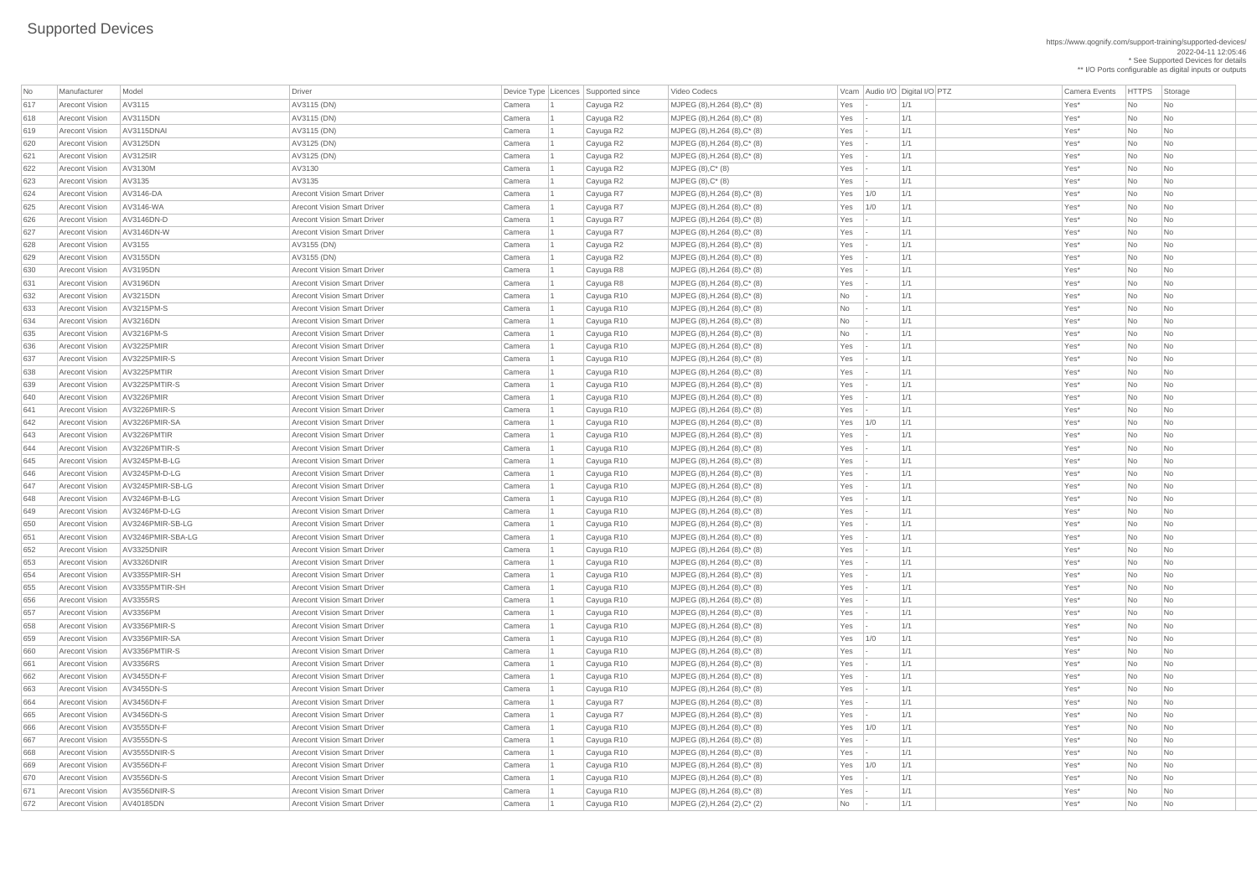https://www.qognify.com/support-training/supported-devices/ 2022-04-11 12:05:46 \* See Supported Devices for details \*\* I/O Ports configurable as digital inputs or outputs

| No         | Manufacturer          | Model             | <b>Driver</b>                                                            | Device Type   Licences | Supported since | Video Codecs                  |                          |     | Vcam Audio I/O Digital I/O PTZ | <b>Camera Events</b> | HTTPS St        |                             |
|------------|-----------------------|-------------------|--------------------------------------------------------------------------|------------------------|-----------------|-------------------------------|--------------------------|-----|--------------------------------|----------------------|-----------------|-----------------------------|
| 617        | <b>Arecont Vision</b> | AV3115            | AV3115 (DN)                                                              | Camera                 | Cayuga R2       | MJPEG (8), H.264 (8), C* (8)  | Yes                      |     | 1/1                            | Yes*                 | No              | $ $ Nc                      |
| 618        | <b>Arecont Vision</b> | AV3115DN          | AV3115 (DN)                                                              | Camera                 | Cayuga R2       | MJPEG (8), H.264 (8), C* (8)  | Yes                      |     | 1/1                            | Yes*                 | No              | $\overline{\phantom{a}}$ Nc |
| 619        | <b>Arecont Vision</b> | AV3115DNAI        | AV3115 (DN)                                                              | Camera                 | Cayuga R2       | MJPEG (8), H.264 (8), C* (8)  | Yes                      |     | 1/1                            | Yes*                 | No              | <b>Nc</b>                   |
| 620        | <b>Arecont Vision</b> | AV3125DN          | AV3125 (DN)                                                              | Camera                 | Cayuga R2       | MJPEG (8), H.264 (8), C* (8)  | Yes                      |     | 1/1                            | Yes*                 | No              | <b>Nc</b>                   |
| 621        | Arecont Vision        | AV3125IR          | AV3125 (DN)                                                              | Camera                 | Cayuga R2       | MJPEG (8), H.264 (8), C* (8)  | Yes                      |     | 1/1                            | Yes*                 | No              | <b>Nc</b>                   |
| 622        | <b>Arecont Vision</b> | AV3130M           | AV3130                                                                   | Camera                 | Cayuga R2       | $MJPEG (8), C^*(8)$           | Yes                      |     | 1/1                            | Yes*                 | No              | <b>Nc</b>                   |
| 623        | Arecont Vision        | AV3135            | AV3135                                                                   | Camera                 | Cayuga R2       | $MJPEG (8), C^*(8)$           | Yes                      |     | 1/1                            | Yes*                 | No              | <b>Nc</b>                   |
| 624        | <b>Arecont Vision</b> | AV3146-DA         | <b>Arecont Vision Smart Driver</b>                                       | Camera                 | Cayuga R7       | MJPEG (8), H.264 (8), C* (8)  | Yes                      | 1/0 | 1/1                            | Yes*                 | No              | <b>Nc</b>                   |
| 625        | <b>Arecont Vision</b> | AV3146-WA         | <b>Arecont Vision Smart Driver</b>                                       | Camera                 | Cayuga R7       | MJPEG (8), H.264 (8), C* (8)  | Yes                      | 1/0 | 1/1                            | Yes*                 | No              | <b>Nc</b>                   |
| 626        | <b>Arecont Vision</b> | AV3146DN-D        | <b>Arecont Vision Smart Driver</b>                                       | Camera                 | Cayuga R7       | MJPEG (8), H.264 (8), C* (8)  | Yes                      |     | 1/1                            | Yes*                 | No              | <b>Nc</b>                   |
| 627        | <b>Arecont Vision</b> | AV3146DN-W        | <b>Arecont Vision Smart Driver</b>                                       | Camera                 | Cayuga R7       | MJPEG (8), H.264 (8), C* (8)  | Yes                      |     | 1/1                            | Yes*                 | No              | <b>Nc</b>                   |
| 628        | <b>Arecont Vision</b> | AV3155            | AV3155 (DN)                                                              | Camera                 | Cayuga R2       | MJPEG (8), H.264 (8), C* (8)  | Yes                      |     | 1/1                            | Yes*                 | No              | <b>Nc</b>                   |
| 629        | <b>Arecont Vision</b> | AV3155DN          | AV3155 (DN)                                                              | Camera                 | Cayuga R2       | MJPEG (8), H.264 (8), C* (8)  | Yes                      |     | 1/1                            | Yes*                 | No              | $\overline{\phantom{a}}$ Nc |
| 630        | <b>Arecont Vision</b> | AV3195DN          | <b>Arecont Vision Smart Driver</b>                                       | Camera                 | Cayuga R8       | MJPEG (8), H.264 (8), C* (8)  | Yes                      |     | 1/1                            | Yes*                 | No              | <b>Nc</b>                   |
| 631        | Arecont Vision        | AV3196DN          | <b>Arecont Vision Smart Driver</b>                                       | Camera                 | Cayuga R8       | MJPEG (8), H.264 (8), C* (8)  | Yes                      |     | 1/1                            | Yes*                 | No              | <b>Nc</b>                   |
| 632        | <b>Arecont Vision</b> | AV3215DN          | <b>Arecont Vision Smart Driver</b>                                       | Camera                 | Cayuga R10      | $MJPEG (8), H.264 (8), C*(8)$ | No                       |     | 1/1                            | Yes*                 | No              | <b>Nc</b>                   |
| 633        | Arecont Vision        | AV3215PM-S        | <b>Arecont Vision Smart Driver</b>                                       | Camera                 | Cayuga R10      | MJPEG (8), H.264 (8), C* (8)  | N <sub>o</sub>           |     | 1/1                            | Yes*                 | No              | <b>Nc</b>                   |
| 634        | <b>Arecont Vision</b> | AV3216DN          | <b>Arecont Vision Smart Driver</b>                                       | Camera                 | Cayuga R10      | MJPEG (8), H.264 (8), C* (8)  | No                       |     | 1/1                            | Yes*                 | No              | <b>Nc</b>                   |
| 635        | <b>Arecont Vision</b> | AV3216PM-S        | <b>Arecont Vision Smart Driver</b>                                       | Camera                 | Cayuga R10      | MJPEG (8), H.264 (8), C* (8)  | N <sub>o</sub>           |     | 1/1                            | Yes*                 | No              | <b>Nc</b>                   |
| 636        | Arecont Vision        | AV3225PMIR        | <b>Arecont Vision Smart Driver</b>                                       | Camera                 | Cayuga R10      | MJPEG (8), H.264 (8), C* (8)  | Yes                      |     | 1/1                            | Yes*                 | No              | <b>Nc</b>                   |
| 637        | Arecont Vision        | AV3225PMIR-S      | <b>Arecont Vision Smart Driver</b>                                       | Camera                 | Cayuga R10      | MJPEG (8), H.264 (8), C* (8)  | Yes                      |     | 1/1                            | Yes*                 | No              | <b>Nc</b>                   |
| 638        | <b>Arecont Vision</b> | AV3225PMTIR       | <b>Arecont Vision Smart Driver</b>                                       | Camera                 | Cayuga R10      | MJPEG (8), H.264 (8), C* (8)  | Yes                      |     | 1/1                            | Yes*                 | No              | <b>Nc</b>                   |
| 639        | <b>Arecont Vision</b> | AV3225PMTIR-S     | <b>Arecont Vision Smart Driver</b>                                       | Camera                 | Cayuga R10      | MJPEG (8), H.264 (8), C* (8)  | Yes                      |     | 1/1                            | Yes*                 | No              | $\overline{\phantom{a}}$ Nc |
| 640        | <b>Arecont Vision</b> | AV3226PMIR        | <b>Arecont Vision Smart Driver</b>                                       | Camera                 | Cayuga R10      | MJPEG (8), H.264 (8), C* (8)  | Yes                      |     | 1/1                            | Yes*                 | No              | <b>Nc</b>                   |
| 641        | <b>Arecont Vision</b> | AV3226PMIR-S      | <b>Arecont Vision Smart Driver</b>                                       | Camera                 | Cayuga R10      | MJPEG (8), H.264 (8), C* (8)  | Yes                      |     | 1/1                            | Yes*                 | No              | $\overline{\phantom{a}}$ Nc |
| 642        | <b>Arecont Vision</b> | AV3226PMIR-SA     | <b>Arecont Vision Smart Driver</b>                                       | Camera                 | Cayuga R10      | MJPEG (8), H.264 (8), C* (8)  | Yes                      | 1/0 | 1/1                            | Yes*                 | No.             | Nc                          |
| 643        | <b>Arecont Vision</b> | AV3226PMTIR       | <b>Arecont Vision Smart Driver</b>                                       | Camera                 | Cayuga R10      | MJPEG (8), H.264 (8), C* (8)  | Yes                      |     | 1/1                            | Yes*                 | No              | <b>Nc</b>                   |
| 644        | <b>Arecont Vision</b> | AV3226PMTIR-S     | <b>Arecont Vision Smart Driver</b>                                       | Camera                 | Cayuga R10      | MJPEG (8), H.264 (8), C* (8)  | Yes                      |     | 1/1                            | Yes*                 | <b>No</b>       | <b>Nc</b>                   |
| 645        | <b>Arecont Vision</b> | AV3245PM-B-LG     | <b>Arecont Vision Smart Driver</b>                                       | Camera                 | Cayuga R10      | $MJPEG (8), H.264 (8), C*(8)$ | Yes                      |     | 1/1                            | Yes*                 | <b>No</b>       | <b>Nc</b>                   |
| 646        | <b>Arecont Vision</b> | AV3245PM-D-LG     | <b>Arecont Vision Smart Driver</b>                                       | Camera                 | Cayuga R10      | MJPEG (8), H.264 (8), C* (8)  | Yes                      |     | 1/1                            | Yes*                 | <b>No</b>       | <b>Nc</b>                   |
| 647        | <b>Arecont Vision</b> | AV3245PMIR-SB-LG  | <b>Arecont Vision Smart Driver</b>                                       |                        |                 | MJPEG (8), H.264 (8), C* (8)  | Yes                      |     | 1/1                            | Yes*                 | No              | $\overline{\phantom{a}}$ Nc |
| 648        | <b>Arecont Vision</b> | AV3246PM-B-LG     | <b>Arecont Vision Smart Driver</b>                                       | Camera                 | Cayuga R10      |                               | Yes                      |     | 1/1                            | Yes*                 | <b>No</b>       | <b>Nc</b>                   |
| 649        | <b>Arecont Vision</b> | AV3246PM-D-LG     | <b>Arecont Vision Smart Driver</b>                                       | Camera<br>Camera       | Cayuga R10      | MJPEG (8), H.264 (8), C* (8)  | Yes                      |     | 1/1                            | Yes*                 | No              | <b>Nc</b>                   |
| 650        | <b>Arecont Vision</b> | AV3246PMIR-SB-LG  | <b>Arecont Vision Smart Driver</b>                                       |                        | Cayuga R10      | MJPEG (8), H.264 (8), C* (8)  |                          |     | 1/1                            | Yes*                 |                 |                             |
|            | <b>Arecont Vision</b> | AV3246PMIR-SBA-LG | <b>Arecont Vision Smart Driver</b>                                       | Camera                 | Cayuga R10      | MJPEG (8), H.264 (8), C* (8)  | Yes<br>Yes               |     | 1/1                            | Yes*                 | No<br><b>No</b> | <b>Nc</b>                   |
| 651        | <b>Arecont Vision</b> | AV3325DNIR        | <b>Arecont Vision Smart Driver</b>                                       | Camera                 | Cayuga R10      | MJPEG (8), H.264 (8), C* (8)  |                          |     | 1/1                            | Yes*                 | No              | <b>Nc</b>                   |
| 652        | <b>Arecont Vision</b> | AV3326DNIR        |                                                                          | Camera                 | Cayuga R10      | MJPEG (8), H.264 (8), C* (8)  | Yes                      |     |                                | Yes*                 |                 | <b>Nc</b>                   |
| 653<br>654 | <b>Arecont Vision</b> | AV3355PMIR-SH     | <b>Arecont Vision Smart Driver</b><br><b>Arecont Vision Smart Driver</b> | Camera                 | Cayuga R10      | MJPEG (8), H.264 (8), C* (8)  | Yes<br>Yes               |     | 1/1<br>1/1                     | Yes*                 | <b>No</b>       | <b>Nc</b>                   |
|            | <b>Arecont Vision</b> | AV3355PMTIR-SH    | <b>Arecont Vision Smart Driver</b>                                       | Camera                 | Cayuga R10      | MJPEG (8), H.264 (8), C* (8)  |                          |     |                                |                      | No              | Nc                          |
| 655        | <b>Arecont Vision</b> | AV3355RS          | <b>Arecont Vision Smart Driver</b>                                       | Camera                 | Cayuga R10      | MJPEG (8), H.264 (8), C* (8)  | Yes                      |     | 1/1<br>1/1                     | Yes*<br>Yes*         | No              | Nс                          |
| 656        | <b>Arecont Vision</b> | AV3356PM          | <b>Arecont Vision Smart Driver</b>                                       | Camera                 | Cayuga R10      | MJPEG (8), H.264 (8), C* (8)  | Yes                      |     | 1/1                            | Yes*                 | No              | <b>Nc</b><br><b>Nc</b>      |
| 657        |                       |                   |                                                                          | Camera                 | Cayuga R10      | MJPEG (8), H.264 (8), C* (8)  | Yes                      |     |                                |                      | No              |                             |
| 658        | <b>Arecont Vision</b> | AV3356PMIR-S      | <b>Arecont Vision Smart Driver</b>                                       | Camera                 | Cayuga R10      | MJPEG (8), H.264 (8), C* (8)  | Yes                      |     | 1/1                            | Yes*                 | <b>No</b>       | <b>Nc</b>                   |
| 659        | <b>Arecont Vision</b> | AV3356PMIR-SA     | <b>Arecont Vision Smart Driver</b>                                       | Camera                 | Cayuga R10      | MJPEG (8), H.264 (8), C* (8)  | Yes                      | 1/0 | 1/1                            | Yes*                 | No              | <b>Nc</b>                   |
| 660        | <b>Arecont Vision</b> | AV3356PMTIR-S     | <b>Arecont Vision Smart Driver</b>                                       | Camera                 | Cayuga R10      | MJPEG (8), H.264 (8), C* (8)  | Yes                      |     | 1/1                            | Yes*                 | <b>No</b>       | <b>Nc</b>                   |
| 661        | <b>Arecont Vision</b> | AV3356RS          | <b>Arecont Vision Smart Driver</b>                                       | Camera                 | Cayuga R10      | MJPEG (8), H.264 (8), C* (8)  | Yes                      |     | 1/1                            | Yes*                 | No              | <b>Nc</b>                   |
| 662        | <b>Arecont Vision</b> | AV3455DN-F        | <b>Arecont Vision Smart Driver</b>                                       | Camera                 | Cayuga R10      | MJPEG (8), H.264 (8), C* (8)  | Yes                      |     | 1/1                            | Yes*                 | No              | <b>Nc</b>                   |
| 663        | <b>Arecont Vision</b> | AV3455DN-S        | <b>Arecont Vision Smart Driver</b>                                       | Camera                 | Cayuga R10      | MJPEG (8), H.264 (8), C* (8)  | Yes                      |     | 1/1                            | Yes*                 | <b>No</b>       | <b>Nc</b>                   |
| 664        | <b>Arecont Vision</b> | AV3456DN-F        | <b>Arecont Vision Smart Driver</b>                                       | Camera                 | Cayuga R7       | MJPEG (8), H.264 (8), C* (8)  | Yes                      |     | 1/1                            | Yes*                 | No              | <b>Nc</b>                   |
| 665        | <b>Arecont Vision</b> | AV3456DN-S        | <b>Arecont Vision Smart Driver</b>                                       | Camera                 | Cayuga R7       | MJPEG (8), H.264 (8), C* (8)  | Yes                      |     | 1/1                            | Yes*                 | No              | <b>Nc</b>                   |
| 666        | <b>Arecont Vision</b> | AV3555DN-F        | <b>Arecont Vision Smart Driver</b>                                       | Camera                 | Cayuga R10      | MJPEG (8), H.264 (8), C* (8)  | Yes                      | 1/0 | 1/1                            | Yes*                 | No              | <b>Nc</b>                   |
| 667        | <b>Arecont Vision</b> | AV3555DN-S        | <b>Arecont Vision Smart Driver</b>                                       | Camera                 | Cayuga R10      | MJPEG (8), H.264 (8), C* (8)  | Yes                      |     | 1/1                            | Yes*                 | <b>No</b>       | <b>Nc</b>                   |
| 668        | <b>Arecont Vision</b> | AV3555DNIR-S      | <b>Arecont Vision Smart Driver</b>                                       | Camera                 | Cayuga R10      | MJPEG (8), H.264 (8), C* (8)  | Yes                      |     | 1/1                            | Yes*                 | No              |                             |
| 669        | <b>Arecont Vision</b> | AV3556DN-F        | <b>Arecont Vision Smart Driver</b>                                       | Camera                 | Cayuga R10      | MJPEG (8), H.264 (8), C* (8)  | $Yes$ 1/0                |     | 1/1                            | Yes*                 | No              | Nc                          |
| 670        | <b>Arecont Vision</b> | AV3556DN-S        | <b>Arecont Vision Smart Driver</b>                                       | Camera                 | Cayuga R10      | MJPEG (8), H.264 (8), C* (8)  | Yes                      |     | 1/1                            | Yes*                 | No              | $\overline{\phantom{a}}$ Nc |
| 671        | <b>Arecont Vision</b> | AV3556DNIR-S      | <b>Arecont Vision Smart Driver</b>                                       | Camera                 | Cayuga R10      | MJPEG (8), H.264 (8), C* (8)  | Yes                      |     | 1/1                            | Yes*                 | No              | $ $ Nc                      |
| 672        | <b>Arecont Vision</b> | AV40185DN         | <b>Arecont Vision Smart Driver</b>                                       | Camera                 | Cayuga R10      | MJPEG (2), H.264 (2), C* (2)  | $\overline{\mathsf{No}}$ |     | 1/1                            | Yes*                 | No              | $\overline{\phantom{a}}$ Nc |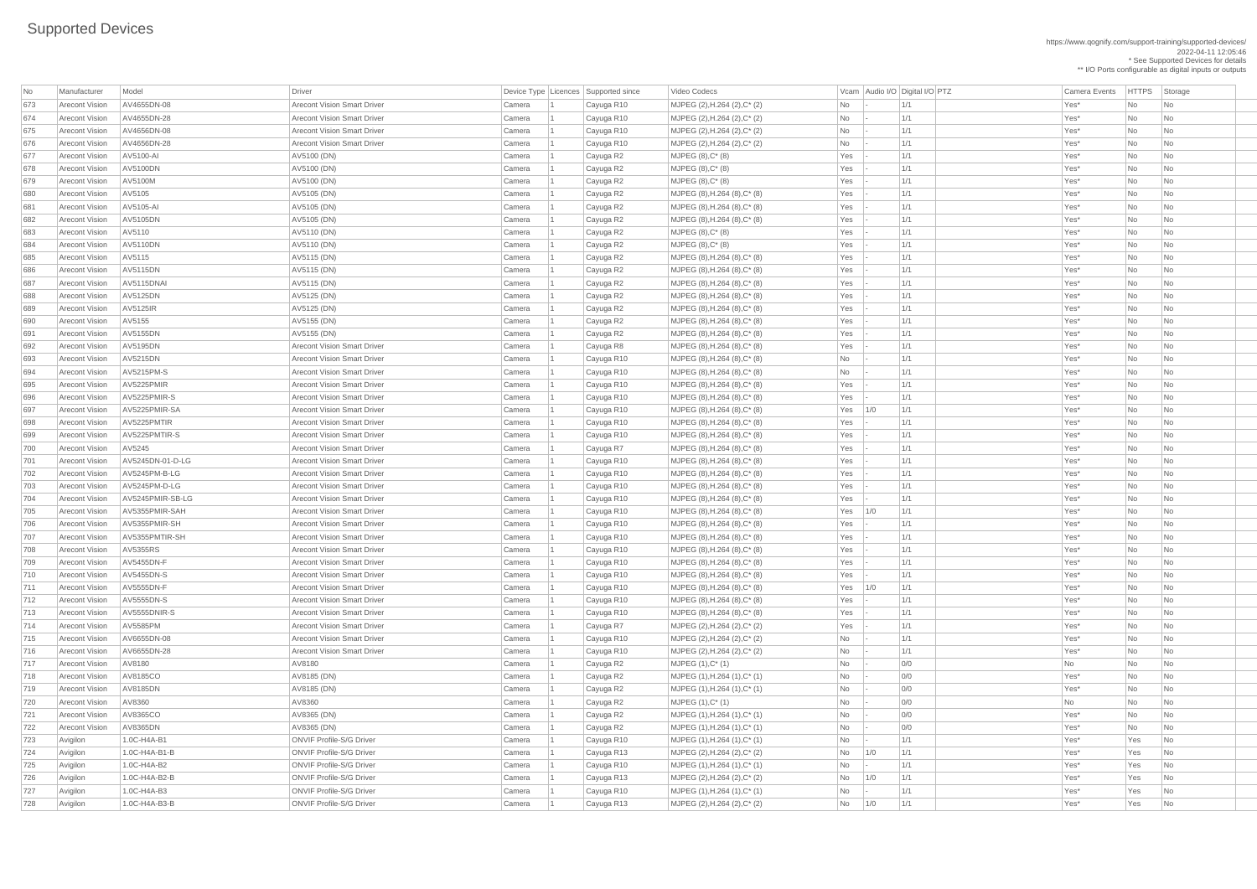https://www.qognify.com/support-training/supported-devices/ 2022-04-11 12:05:46 \* See Supported Devices for details

\*\* I/O Ports configurable as digital inputs or outputs

| No  | Manufacturer          | Model             | <b>Driver</b>                      | Device Type   Licences | Supported since | Video Codecs                         |           |        | Vcam   Audio I/O   Digital I/O   PTZ | <b>Camera Events</b> | HTTPS St  |                             |
|-----|-----------------------|-------------------|------------------------------------|------------------------|-----------------|--------------------------------------|-----------|--------|--------------------------------------|----------------------|-----------|-----------------------------|
|     |                       |                   |                                    |                        |                 |                                      |           |        |                                      |                      |           |                             |
| 673 | <b>Arecont Vision</b> | AV4655DN-08       | <b>Arecont Vision Smart Driver</b> | Camera                 | Cayuga R10      | MJPEG (2), H.264 (2), C* (2)         | No        |        | 1/1                                  | Yes*                 | No        | $\overline{\phantom{a}}$ Nc |
| 674 | <b>Arecont Vision</b> | AV4655DN-28       | <b>Arecont Vision Smart Driver</b> | Camera                 | Cayuga R10      | MJPEG (2), H.264 (2), C* (2)         | <b>No</b> |        | 1/1                                  | Yes*                 | No        | $\overline{\phantom{a}}$ Nc |
| 675 | <b>Arecont Vision</b> | AV4656DN-08       | <b>Arecont Vision Smart Driver</b> | Camera                 | Cayuga R10      | MJPEG (2), H.264 (2), C* (2)         | No        |        | 1/1                                  | Yes*                 | No        | $\overline{\phantom{a}}$ Nc |
| 676 | <b>Arecont Vision</b> | AV4656DN-28       | <b>Arecont Vision Smart Driver</b> | Camera                 | Cayuga R10      | MJPEG (2), H.264 (2), C* (2)         | <b>No</b> |        | 1/1                                  | Yes*                 | No        | <b>Nc</b>                   |
| 677 | <b>Arecont Vision</b> | AV5100-AI         | AV5100 (DN)                        | Camera                 | Cayuga R2       | $MJPEG (8), C^*(8)$                  | Yes       |        | 1/1                                  | Yes*                 | No        | <b>Nc</b>                   |
| 678 | <b>Arecont Vision</b> | <b>AV5100DN</b>   | AV5100 (DN)                        | Camera                 | Cayuga R2       | $MJPEG (8), C^* (8)$                 | Yes       |        | 1/1                                  | Yes*                 | No        | <b>Nc</b>                   |
| 679 | <b>Arecont Vision</b> | AV5100M           | AV5100 (DN)                        | Camera                 | Cayuga R2       | MJPEG (8), C* (8)                    | Yes       |        | 1/1                                  | Yes*                 | No        | <b>Nc</b>                   |
| 680 | <b>Arecont Vision</b> | AV5105            | AV5105 (DN)                        | Camera                 | Cayuga R2       | MJPEG (8), H.264 (8), C* (8)         | Yes       |        | 1/1                                  | Yes*                 | No        | <b>Nc</b>                   |
| 681 | <b>Arecont Vision</b> | AV5105-AI         | AV5105 (DN)                        | Camera                 | Cayuga R2       | MJPEG (8), H.264 (8), C* (8)         | Yes       |        | 1/1                                  | Yes*                 | No        | <b>Nc</b>                   |
| 682 | <b>Arecont Vision</b> | AV5105DN          | AV5105 (DN)                        | Camera                 | Cayuga R2       | MJPEG (8), H.264 (8), C* (8)         | Yes       |        | 1/1                                  | Yes*                 | No        | <b>Nc</b>                   |
| 683 | <b>Arecont Vision</b> | AV5110            | AV5110 (DN)                        | Camera                 | Cayuga R2       | $MJPEG (8), C^*(8)$                  | Yes       |        | 1/1                                  | Yes*                 | No        | <b>Nc</b>                   |
| 684 | <b>Arecont Vision</b> | <b>AV5110DN</b>   | AV5110 (DN)                        | Camera                 | Cayuga R2       | $MJPEG (8), C^*(8)$                  | Yes       |        | 1/1                                  | Yes*                 | No        | <b>Nc</b>                   |
| 685 | <b>Arecont Vision</b> | AV5115            | AV5115 (DN)                        | Camera                 | Cayuga R2       | MJPEG (8), H.264 (8), C* (8)         | Yes       |        | 1/1                                  | Yes*                 | No        | <b>Nc</b>                   |
| 686 | <b>Arecont Vision</b> | <b>AV5115DN</b>   | AV5115 (DN)                        | Camera                 | Cayuga R2       | MJPEG (8), H.264 (8), C* (8)         | Yes       |        | 1/1                                  | Yes*                 | No        | <b>Nc</b>                   |
| 687 | <b>Arecont Vision</b> | AV5115DNAI        | AV5115 (DN)                        | Camera                 | Cayuga R2       | MJPEG (8), H.264 (8), C* (8)         | Yes       |        | 1/1                                  | Yes*                 | No        | $\overline{\phantom{a}}$ Nc |
| 688 | <b>Arecont Vision</b> | <b>AV5125DN</b>   | AV5125 (DN)                        | Camera                 | Cayuga R2       | MJPEG (8), H.264 (8), C* (8)         | Yes       |        | 1/1                                  | Yes*                 | No        | <b>Nc</b>                   |
| 689 | <b>Arecont Vision</b> | <b>AV5125IR</b>   | AV5125 (DN)                        | Camera                 | Cayuga R2       | MJPEG (8), H.264 (8), C* (8)         | Yes       |        | 1/1                                  | Yes*                 | No        | <b>Nc</b>                   |
| 690 | <b>Arecont Vision</b> | AV5155            | AV5155 (DN)                        | Camera                 | Cayuga R2       | MJPEG (8), H.264 (8), C* (8)         | Yes       |        | 1/1                                  | Yes*                 | No        | <b>Nc</b>                   |
| 691 | <b>Arecont Vision</b> | <b>AV5155DN</b>   | AV5155 (DN)                        | Camera                 | Cayuga R2       | MJPEG (8), H.264 (8), C* (8)         | Yes       |        | 1/1                                  | Yes*                 | No        | <b>Nc</b>                   |
| 692 | <b>Arecont Vision</b> | AV5195DN          | <b>Arecont Vision Smart Driver</b> | Camera                 | Cayuga R8       | MJPEG (8), H.264 (8), C* (8)         | Yes       |        | 1/1                                  | Yes*                 | No        | <b>Nc</b>                   |
| 693 | <b>Arecont Vision</b> | AV5215DN          | <b>Arecont Vision Smart Driver</b> | Camera                 | Cayuga R10      | MJPEG (8), H.264 (8), C* (8)         | No        |        | 1/1                                  | Yes*                 | No        | <b>Nc</b>                   |
| 694 | <b>Arecont Vision</b> | <b>AV5215PM-S</b> | <b>Arecont Vision Smart Driver</b> | Camera                 | Cayuga R10      | MJPEG (8), H.264 (8), C* (8)         | <b>No</b> |        | 1/1                                  | Yes*                 | No        | <b>Nc</b>                   |
| 695 | <b>Arecont Vision</b> | AV5225PMIR        | <b>Arecont Vision Smart Driver</b> | Camera                 | Cayuga R10      | MJPEG (8), H.264 (8), C* (8)         | Yes       |        | 1/1                                  | Yes*                 | No        | <b>Nc</b>                   |
| 696 | <b>Arecont Vision</b> | AV5225PMIR-S      | <b>Arecont Vision Smart Driver</b> | Camera                 | Cayuga R10      | MJPEG $(8)$ , H.264 $(8)$ , C* $(8)$ | Yes       |        | 1/1                                  | Yes*                 | No        | <b>Nc</b>                   |
| 697 | <b>Arecont Vision</b> | AV5225PMIR-SA     | <b>Arecont Vision Smart Driver</b> | Camera                 | Cayuga R10      | MJPEG (8), H.264 (8), C* (8)         | Yes       | 1/0    | 1/1                                  | Yes*                 | No        | <b>Nc</b>                   |
| 698 | <b>Arecont Vision</b> | AV5225PMTIR       | <b>Arecont Vision Smart Driver</b> | Camera                 | Cayuga R10      | MJPEG (8), H.264 (8), C* (8)         | Yes       |        | 1/1                                  | Yes*                 | No        | Nc                          |
| 699 | <b>Arecont Vision</b> | AV5225PMTIR-S     | <b>Arecont Vision Smart Driver</b> | Camera                 | Cayuga R10      | MJPEG (8), H.264 (8), C* (8)         | Yes       |        | 1/1                                  | Yes*                 | No        | $\overline{\phantom{a}}$ Nc |
| 700 | <b>Arecont Vision</b> | AV5245            | <b>Arecont Vision Smart Driver</b> | Camera                 | Cayuga R7       | MJPEG (8), H.264 (8), C* (8)         | Yes       |        | 1/1                                  | Yes*                 | <b>No</b> | <b>Nc</b>                   |
| 701 | <b>Arecont Vision</b> | AV5245DN-01-D-LG  | <b>Arecont Vision Smart Driver</b> | Camera                 | Cayuga R10      | MJPEG (8), H.264 (8), C* (8)         | Yes       |        | 1/1                                  | Yes*                 | No        | <b>Nc</b>                   |
| 702 | <b>Arecont Vision</b> | AV5245PM-B-LG     | <b>Arecont Vision Smart Driver</b> | Camera                 | Cayuga R10      | MJPEG (8), H.264 (8), C* (8)         | Yes       |        | 1/1                                  | Yes*                 | <b>No</b> | <b>Nc</b>                   |
| 703 | <b>Arecont Vision</b> | AV5245PM-D-LG     | <b>Arecont Vision Smart Driver</b> | Camera                 | Cayuga R10      | MJPEG (8), H.264 (8), C* (8)         | Yes       |        | 1/1                                  | Yes*                 | No        | <b>Nc</b>                   |
| 704 | <b>Arecont Vision</b> | AV5245PMIR-SB-LG  | <b>Arecont Vision Smart Driver</b> | Camera                 | Cayuga R10      | MJPEG (8), H.264 (8), C* (8)         | Yes       |        | 1/1                                  | Yes*                 | <b>No</b> | <b>Nc</b>                   |
| 705 | <b>Arecont Vision</b> | AV5355PMIR-SAH    | <b>Arecont Vision Smart Driver</b> | Camera                 | Cayuga R10      | MJPEG (8), H.264 (8), C* (8)         | Yes       | 1/0    | 1/1                                  | Yes*                 | No        | Nc                          |
| 706 | <b>Arecont Vision</b> | AV5355PMIR-SH     | <b>Arecont Vision Smart Driver</b> | Camera                 | Cayuga R10      | MJPEG (8), H.264 (8), C* (8)         | Yes       |        | 1/1                                  | Yes*                 | No        | <b>Nc</b>                   |
| 707 | <b>Arecont Vision</b> | AV5355PMTIR-SH    | <b>Arecont Vision Smart Driver</b> | Camera                 | Cayuga R10      | MJPEG (8), H.264 (8), C* (8)         | Yes       |        | 1/1                                  | Yes <sup>*</sup>     | No        | <b>Nc</b>                   |
| 708 | <b>Arecont Vision</b> | <b>AV5355RS</b>   | <b>Arecont Vision Smart Driver</b> | Camera                 | Cayuga R10      | MJPEG (8), H.264 (8), C* (8)         | Yes       |        | 1/1                                  | Yes*                 | No        | <b>Nc</b>                   |
| 709 | <b>Arecont Vision</b> | <b>AV5455DN-F</b> | <b>Arecont Vision Smart Driver</b> | Camera                 | Cayuga R10      | MJPEG (8), H.264 (8), C* (8)         | Yes       |        | 1/1                                  | Yes*                 | <b>No</b> | <b>Nc</b>                   |
| 710 | <b>Arecont Vision</b> | <b>AV5455DN-S</b> | <b>Arecont Vision Smart Driver</b> | Camera                 | Cayuga R10      | MJPEG (8), H.264 (8), C* (8)         | Yes       |        | 1/1                                  | Yes*                 | No        | <b>Nc</b>                   |
| 711 | <b>Arecont Vision</b> | AV5555DN-F        | <b>Arecont Vision Smart Driver</b> | Camera                 | Cayuga R10      | MJPEG (8), H.264 (8), C* (8)         | Yes       | 1/0    | 1/1                                  | Yes*                 | <b>No</b> | <b>Nc</b>                   |
| 712 | <b>Arecont Vision</b> | AV5555DN-S        | <b>Arecont Vision Smart Driver</b> | Camera                 | Cayuga R10      | MJPEG (8), H.264 (8), C* (8)         | Yes       |        | 1/1                                  | Yes*                 | No        | <b>Nc</b>                   |
| 713 | <b>Arecont Vision</b> | AV5555DNIR-S      | <b>Arecont Vision Smart Driver</b> | Camera                 | Cayuga R10      | MJPEG (8), H.264 (8), C* (8)         | Yes       |        | 1/1                                  | Yes*                 | No        | <b>Nc</b>                   |
| 714 | <b>Arecont Vision</b> | AV5585PM          | <b>Arecont Vision Smart Driver</b> | Camera                 | Cayuga R7       | MJPEG (2), H.264 (2), C* (2)         | Yes       |        | 1/1                                  | Yes*                 | No        | <b>Nc</b>                   |
| 715 | <b>Arecont Vision</b> | AV6655DN-08       | <b>Arecont Vision Smart Driver</b> | Camera                 | Cayuga R10      | MJPEG (2), H.264 (2), C* (2)         | No        |        | 1/1                                  | Yes*                 | No        | <b>Nc</b>                   |
| 716 | <b>Arecont Vision</b> | AV6655DN-28       | <b>Arecont Vision Smart Driver</b> |                        | Cayuga R10      | MJPEG (2), H.264 (2), C* (2)         | No        |        | 1/1                                  | Yes*                 | <b>No</b> | <b>Nc</b>                   |
| 717 | <b>Arecont Vision</b> | AV8180            | AV8180                             | Camera                 |                 |                                      |           |        | 0/0                                  |                      |           |                             |
|     | <b>Arecont Vision</b> | AV8185CO          |                                    | Camera                 | Cayuga R2       | $MJPEG (1), C^* (1)$                 | No        |        |                                      | No                   | No        | $\overline{\phantom{a}}$ Nc |
| 718 |                       |                   | AV8185 (DN)                        | Camera                 | Cayuga R2       | MJPEG (1), H.264 (1), C* (1)         | No        |        | 0/0                                  | Yes*                 | No        | <b>Nc</b>                   |
| 719 | <b>Arecont Vision</b> | <b>AV8185DN</b>   | AV8185 (DN)                        | Camera                 | Cayuga R2       | MJPEG (1), H.264 (1), C* (1)         | No        |        | 0/0                                  | Yes*                 | No        | <b>Nc</b>                   |
| 720 | <b>Arecont Vision</b> | AV8360            | AV8360                             | Camera                 | Cayuga R2       | $MJPEG (1), C^* (1)$                 | No        |        | 0/0                                  | No                   | No        | <b>Nc</b>                   |
| 721 | <b>Arecont Vision</b> | AV8365CO          | AV8365 (DN)                        | Camera                 | Cayuga R2       | MJPEG (1), H.264 (1), C* (1)         | No        |        | 0/0                                  | Yes*                 | <b>No</b> | <b>Nc</b>                   |
| 722 | <b>Arecont Vision</b> | <b>AV8365DN</b>   | AV8365 (DN)                        | Camera                 | Cayuga R2       | MJPEG (1), H.264 (1), C* (1)         | No        |        | 0/0                                  | Yes*                 | No        | $\overline{\phantom{a}}$ Nc |
| 723 | Avigilon              | 1.0C-H4A-B1       | <b>ONVIF Profile-S/G Driver</b>    | Camera                 | Cayuga R10      | MJPEG (1), H.264 (1), C* (1)         | No        |        | 1/1                                  | Yes*                 | Yes       | $\overline{\phantom{a}}$ Nc |
| 724 | Avigilon              | 1.0C-H4A-B1-B     | <b>ONVIF Profile-S/G Driver</b>    | Camera                 | Cayuga R13      | MJPEG (2), H.264 (2), C* (2)         | No        | 1/0    | 1/1                                  | Yes <sup>*</sup>     | Yes       |                             |
| 725 | Avigilon              | 1.0C-H4A-B2       | <b>ONVIF Profile-S/G Driver</b>    | Camera                 | Cayuga R10      | MJPEG (1), H.264 (1), C* (1)         | No        | $\sim$ | 1/1                                  | Yes*                 | Yes       | $\overline{\phantom{a}}$ Nc |
| 726 | Avigilon              | $1.0C-H4A-B2-B$   | <b>ONVIF Profile-S/G Driver</b>    | Camera                 | Cayuga R13      | $MJPEG (2), H.264 (2), C^{*} (2)$    | No        | 1/0    | 1/1                                  | Yes*                 | Yes       | $\overline{\phantom{a}}$ Nc |
| 727 | Avigilon              | 1.0C-H4A-B3       | <b>ONVIF Profile-S/G Driver</b>    | Camera                 | Cayuga R10      | MJPEG (1), H.264 (1), C* (1)         | No        |        | 1/1                                  | Yes*                 | Yes       | $ $ Nc                      |
| 728 | Avigilon              | 1.0C-H4A-B3-B     | <b>ONVIF Profile-S/G Driver</b>    | Camera                 | Cayuga R13      | MJPEG (2), H.264 (2), C* (2)         | No        | 1/0    | 1/1                                  | Yes*                 | Yes       | $ $ Nc                      |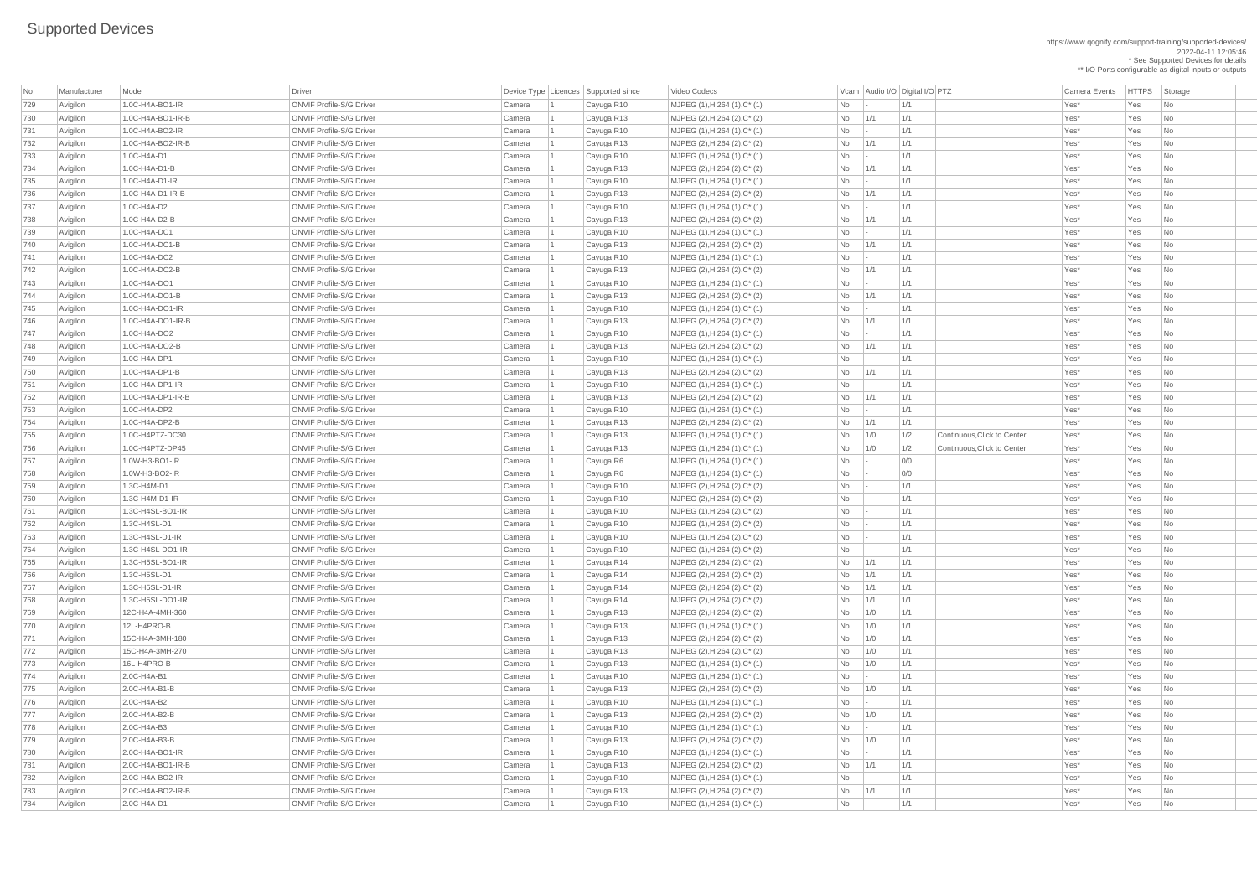| No  | Manufacturer | Model                          | Driver                                                             |        | Device Type Licences Supported since | Video Codecs                                                    |                | Vcam Audio I/O Digital I/O PTZ |     |                             | <b>Camera Events</b> | HTTPS Storage |                             |
|-----|--------------|--------------------------------|--------------------------------------------------------------------|--------|--------------------------------------|-----------------------------------------------------------------|----------------|--------------------------------|-----|-----------------------------|----------------------|---------------|-----------------------------|
| 729 | Avigilon     | 1.0C-H4A-BO1-IR                | <b>ONVIF Profile-S/G Driver</b>                                    | Camera | Cayuga R10                           | MJPEG (1), H.264 (1), C* (1)                                    | No             |                                | 1/1 |                             | Yes*                 | Yes           | No                          |
| 730 | Avigilon     | 1.0C-H4A-BO1-IR-B              | <b>ONVIF Profile-S/G Driver</b>                                    | Camera | Cayuga R13                           | MJPEG (2), H.264 (2), C* (2)                                    | No             | 1/1                            | 1/1 |                             | Yes*                 | Yes           | No                          |
| 731 | Avigilon     | 1.0C-H4A-BO2-IR                | <b>ONVIF Profile-S/G Driver</b>                                    | Camera | Cayuga R10                           | MJPEG (1), H.264 (1), C* (1)                                    | No             | $\vert - \vert$                | 1/1 |                             | Yes*                 | Yes           | N <sub>o</sub>              |
| 732 | Avigilon     | 1.0C-H4A-BO2-IR-B              | <b>ONVIF Profile-S/G Driver</b>                                    | Camera | Cayuga R13                           | $MJPEG (2), H.264 (2), C^* (2)$                                 | No             | 1/1                            | 1/1 |                             | Yes*                 | Yes           | No                          |
| 733 | Avigilon     | 1.0C-H4A-D1                    | <b>ONVIF Profile-S/G Driver</b>                                    | Camera | Cayuga R10                           | MJPEG (1), H.264 (1), C* (1)                                    | <b>No</b>      | $\vert - \vert$                | 1/1 |                             | Yes*                 | Yes           | No                          |
| 734 | Avigilon     | 1.0C-H4A-D1-B                  | <b>ONVIF Profile-S/G Driver</b>                                    | Camera | Cayuga R13                           | MJPEG (2), H.264 (2), C* (2)                                    | N <sub>o</sub> | 1/1                            | 1/1 |                             | Yes*                 | Yes           | No                          |
| 735 | Avigilon     | $1.0C-H4A-D1-IR$               | <b>ONVIF Profile-S/G Driver</b>                                    | Camera | Cayuga R10                           | MJPEG (1), H.264 (1), C* (1)                                    | <b>No</b>      | $\vert - \vert$                | 1/1 |                             | Yes*                 | Yes           | No                          |
| 736 | Avigilon     | 1.0C-H4A-D1-IR-B               | <b>ONVIF Profile-S/G Driver</b>                                    | Camera | Cayuga R13                           | MJPEG (2), H.264 (2), C* (2)                                    | No             | 1/1                            | 1/1 |                             | Yes*                 | Yes           | N <sub>o</sub>              |
| 737 | Avigilon     | 1.0C-H4A-D2                    | <b>ONVIF Profile-S/G Driver</b>                                    | Camera | Cayuga R10                           | MJPEG (1), H.264 (1), C* (1)                                    | N <sub>o</sub> | $\vert - \vert$                | 1/1 |                             | Yes*                 | Yes           | No                          |
| 738 | Avigilon     | 1.0C-H4A-D2-B                  | <b>ONVIF Profile-S/G Driver</b>                                    | Camera | Cayuga R13                           | MJPEG (2), H.264 (2), C* (2)                                    | No             | 1/1                            | 1/1 |                             | Yes*                 | Yes           | No                          |
| 739 | Avigilon     | 1.0C-H4A-DC1                   | <b>ONVIF Profile-S/G Driver</b>                                    | Camera | Cayuga R10                           | $MJPEG (1), H.264 (1), C^* (1)$                                 | No             | $\vert - \vert$                | 1/1 |                             | Yes*                 | Yes           | No                          |
| 740 | Avigilon     | 1.0C-H4A-DC1-B                 | <b>ONVIF Profile-S/G Driver</b>                                    | Camera | Cayuga R13                           | MJPEG (2), H.264 (2), C* (2)                                    | N <sub>o</sub> | 1/1                            | 1/1 |                             | Yes*                 | Yes           | No                          |
| 741 | Avigilon     | 1.0C-H4A-DC2                   | <b>ONVIF Profile-S/G Driver</b>                                    | Camera | Cayuga R10                           | MJPEG (1), H.264 (1), C* (1)                                    | No             | $\vert - \vert$                | 1/1 |                             | Yes*                 | Yes           | No                          |
| 742 | Avigilon     | 1.0C-H4A-DC2-B                 | <b>ONVIF Profile-S/G Driver</b>                                    | Camera | Cayuga R13                           | MJPEG (2), H.264 (2), C* (2)                                    | No             | 1/1                            | 1/1 |                             | Yes*                 | Yes           | No                          |
| 743 | Avigilon     | 1.0C-H4A-DO1                   | <b>ONVIF Profile-S/G Driver</b>                                    | Camera | Cayuga R10                           | MJPEG (1), H.264 (1), C* (1)                                    | No             | $\vert - \vert$                | 1/1 |                             | Yes*                 | Yes           | N <sub>o</sub>              |
| 744 | Avigilon     | 1.0C-H4A-DO1-B                 | <b>ONVIF Profile-S/G Driver</b>                                    | Camera | Cayuga R13                           | MJPEG (2), H.264 (2), C* (2)                                    | No             | 1/1                            | 1/1 |                             | Yes*                 | Yes           | No                          |
| 745 | Avigilon     | $1.0C$ -H4A-DO1-IR             | <b>ONVIF Profile-S/G Driver</b>                                    | Camera | Cayuga R10                           | MJPEG (1), H.264 (1), C* (1)                                    | No             | $\vert - \vert$                | 1/1 |                             | Yes*                 | Yes           | No                          |
| 746 | Avigilon     | 1.0C-H4A-DO1-IR-B              | <b>ONVIF Profile-S/G Driver</b>                                    | Camera | Cayuga R13                           | MJPEG (2), H.264 (2), C* (2)                                    | N <sub>o</sub> | 1/1                            | 1/1 |                             | Yes*                 | Yes           | No                          |
| 747 | Avigilon     | 1.0C-H4A-DO2                   | <b>ONVIF Profile-S/G Driver</b>                                    | Camera | Cayuga R10                           | MJPEG (1), H.264 (1), C* (1)                                    | No             | $\vert - \vert$                | 1/1 |                             | Yes*                 | Yes           | No                          |
| 748 | Avigilon     | $1.0C$ -H4A-DO2-B              | <b>ONVIF Profile-S/G Driver</b>                                    | Camera | Cayuga R13                           | MJPEG (2), H.264 (2), C* (2)                                    | <b>No</b>      | 1/1                            | 1/1 |                             | Yes*                 | Yes           | N <sub>o</sub>              |
| 749 | Avigilon     | 1.0C-H4A-DP1                   | <b>ONVIF Profile-S/G Driver</b>                                    | Camera | Cayuga R10                           | MJPEG (1), H.264 (1), C* (1)                                    | N <sub>o</sub> | $\vert - \vert$                | 1/1 |                             | Yes*                 | Yes           | No                          |
| 750 | Avigilon     | 1.0C-H4A-DP1-B                 | <b>ONVIF Profile-S/G Driver</b>                                    | Camera | Cayuga R13                           | MJPEG (2), H.264 (2), C* (2)                                    | No             | 1/1                            | 1/1 |                             | Yes*                 | Yes           | No                          |
| 751 | Avigilon     | $1.0C$ -H4A-DP1-IR             | <b>ONVIF Profile-S/G Driver</b>                                    | Camera |                                      |                                                                 | No             |                                | 1/1 |                             | Yes*                 | Yes           | No                          |
|     | Avigilon     | 1.0C-H4A-DP1-IR-B              | <b>ONVIF Profile-S/G Driver</b>                                    | Camera | Cayuga R10                           | $MJPEG (1), H.264 (1), C^* (1)$<br>MJPEG (2), H.264 (2), C* (2) | No             | $\sim$<br>1/1                  | 1/1 |                             | Yes*                 | Yes           | N <sub>o</sub>              |
| 752 |              |                                |                                                                    |        | Cayuga R13                           |                                                                 |                |                                |     |                             | Yes*                 |               |                             |
| 753 | Avigilon     | 1.0C-H4A-DP2<br>1.0C-H4A-DP2-B | <b>ONVIF Profile-S/G Driver</b><br><b>ONVIF Profile-S/G Driver</b> | Camera | Cayuga R10                           | MJPEG (1), H.264 (1), C* (1)                                    | No             |                                | 1/1 |                             |                      | Yes           | No                          |
| 754 | Avigilon     |                                |                                                                    | Camera | Cayuga R13                           | MJPEG (2), H.264 (2), C* (2)                                    | No.            | $\vert$ 1/1                    | 1/1 |                             | Yes*                 | Yes           | N <sub>o</sub>              |
| 755 | Avigilon     | 1.0C-H4PTZ-DC30                | <b>ONVIF Profile-S/G Driver</b>                                    | Camera | Cayuga R13                           | MJPEG (1), H.264 (1), C* (1)                                    | No             | 1/0                            | 1/2 | Continuous, Click to Center | Yes*                 | Yes           | N <sub>o</sub>              |
| 756 | Avigilon     | 1.0C-H4PTZ-DP45                | <b>ONVIF Profile-S/G Driver</b>                                    | Camera | Cayuga R13                           | MJPEG (1), H.264 (1), C* (1)                                    | No             | 1/0                            | 1/2 | Continuous, Click to Center | Yes*                 | Yes           | N <sub>o</sub>              |
| 757 | Avigilon     | 1.0W-H3-BO1-IR                 | <b>ONVIF Profile-S/G Driver</b>                                    | Camera | Cayuga R6                            | $MJPEG (1), H.264 (1), C^*(1)$                                  | No             | $\vert - \vert$                | 0/0 |                             | Yes*                 | Yes           | N <sub>o</sub>              |
| 758 | Avigilon     | 1.0W-H3-BO2-IR                 | <b>ONVIF Profile-S/G Driver</b>                                    | Camera | Cayuga R6                            | MJPEG (1), H.264 (1), C* (1)                                    | No             | $\mathbf{I}$                   | 0/0 |                             | Yes*                 | Yes           | No                          |
| 759 | Avigilon     | 1.3C-H4M-D1                    | <b>ONVIF Profile-S/G Driver</b>                                    | Camera | Cayuga R10                           | MJPEG (2), H.264 (2), C* (2)                                    | <b>No</b>      |                                | 1/1 |                             | Yes*                 | Yes           | N <sub>o</sub>              |
| 760 | Avigilon     | 1.3C-H4M-D1-IR                 | <b>ONVIF Profile-S/G Driver</b>                                    | Camera | Cayuga R10                           | MJPEG (2), H.264 (2), C* (2)                                    | No             |                                | 1/1 |                             | Yes*                 | Yes           | N <sub>o</sub>              |
| 761 | Avigilon     | 1.3C-H4SL-BO1-IR               | <b>ONVIF Profile-S/G Driver</b>                                    | Camera | Cayuga R10                           | MJPEG (1), H.264 (2), C* (2)                                    | No             | $\mathbf{I}$                   | 1/1 |                             | Yes*                 | Yes           | $\overline{\mathsf{No}}$    |
| 762 | Avigilon     | 1.3C-H4SL-D1                   | <b>ONVIF Profile-S/G Driver</b>                                    | Camera | Cayuga R10                           | MJPEG (1), H.264 (2), C* (2)                                    | N <sub>o</sub> | $\vert - \vert$                | 1/1 |                             | Yes*                 | Yes           | $\overline{\mathsf{No}}$    |
| 763 | Avigilon     | 1.3C-H4SL-D1-IR                | <b>ONVIF Profile-S/G Driver</b>                                    | Camera | Cayuga R10                           | $MJPEG (1), H.264 (2), C^* (2)$                                 | No             | $\vert - \vert$                | 1/1 |                             | Yes*                 | Yes           | N <sub>o</sub>              |
| 764 | Avigilon     | 1.3C-H4SL-DO1-IR               | <b>ONVIF Profile-S/G Driver</b>                                    | Camera | Cayuga R10                           | MJPEG (1), H.264 (2), C* (2)                                    | No             | $\mathbf{I}$                   | 1/1 |                             | Yes*                 | Yes           | No                          |
| 765 | Avigilon     | 1.3C-H5SL-BO1-IR               | <b>ONVIF Profile-S/G Driver</b>                                    | Camera | Cayuga R14                           | MJPEG (2), H.264 (2), C* (2)                                    | <b>No</b>      | 1/1                            | 1/1 |                             | Yes*                 | Yes           | No                          |
| 766 | Avigilon     | 1.3C-H5SL-D1                   | <b>ONVIF Profile-S/G Driver</b>                                    | Camera | Cayuga R14                           | MJPEG (2), H.264 (2), C* (2)                                    | No             | 1/1                            | 1/1 |                             | Yes*                 | Yes           | $\overline{\phantom{a}}$ No |
| 767 | Avigilon     | 1.3C-H5SL-D1-IR                | <b>ONVIF Profile-S/G Driver</b>                                    | Camera | Cayuga R14                           | MJPEG (2), H.264 (2), C* (2)                                    | No             | 1/1                            | 1/1 |                             | Yes*                 | Yes           | N <sub>o</sub>              |
| 768 | Avigilon     | 1.3C-H5SL-DO1-IR               | <b>ONVIF Profile-S/G Driver</b>                                    | Camera | Cayuga R14                           | MJPEG (2), H.264 (2), C* (2)                                    | No             | 1/1                            | 1/1 |                             | Yes*                 | Yes           | N <sub>o</sub>              |
| 769 | Avigilon     | 12C-H4A-4MH-360                | <b>ONVIF Profile-S/G Driver</b>                                    | Camera | Cayuga R13                           | $MJPEG (2), H.264 (2), C^{*} (2)$                               | No             | 1/0                            | 1/1 |                             | Yes*                 | Yes           | $\overline{\phantom{a}}$ No |
| 770 | Avigilon     | 12L-H4PRO-B                    | <b>ONVIF Profile-S/G Driver</b>                                    | Camera | Cayuga R13                           | MJPEG (1), H.264 (1), C* (1)                                    | No             | 1/0                            | 1/1 |                             | Yes*                 | Yes           | No                          |
| 771 | Avigilon     | 15C-H4A-3MH-180                | <b>ONVIF Profile-S/G Driver</b>                                    | Camera | Cayuga R13                           | MJPEG (2), H.264 (2), C* (2)                                    | <b>No</b>      | 1/0                            | 1/1 |                             | Yes*                 | Yes           | N <sub>o</sub>              |
| 772 | Avigilon     | 15C-H4A-3MH-270                | <b>ONVIF Profile-S/G Driver</b>                                    | Camera | Cayuga R13                           | MJPEG (2), H.264 (2), C* (2)                                    | No             | 1/0                            | 1/1 |                             | Yes*                 | Yes           | $\overline{\phantom{a}}$ No |
| 773 | Avigilon     | 16L-H4PRO-B                    | <b>ONVIF Profile-S/G Driver</b>                                    | Camera | Cayuga R13                           | MJPEG (1), H.264 (1), C* (1)                                    | No             | 1/0                            | 1/1 |                             | Yes*                 | Yes           | N <sub>o</sub>              |
| 774 | Avigilon     | $2.0C-H4A-B1$                  | <b>ONVIF Profile-S/G Driver</b>                                    | Camera | Cayuga R10                           | MJPEG (1), H.264 (1), C* (1)                                    | No             | $\mathbf{I}$                   | 1/1 |                             | Yes*                 | Yes           | N <sub>o</sub>              |
| 775 | Avigilon     | 2.0C-H4A-B1-B                  | <b>ONVIF Profile-S/G Driver</b>                                    | Camera | Cayuga R13                           | MJPEG (2), H.264 (2), C* (2)                                    | No             | 1/0                            | 1/1 |                             | Yes*                 | Yes           | N <sub>o</sub>              |
| 776 | Avigilon     | 2.0C-H4A-B2                    | <b>ONVIF Profile-S/G Driver</b>                                    | Camera | Cayuga R10                           | MJPEG (1), H.264 (1), C* (1)                                    | <b>No</b>      | $\vert - \vert$                | 1/1 |                             | Yes*                 | Yes           | N <sub>o</sub>              |
| 777 | Avigilon     | 2.0C-H4A-B2-B                  | <b>ONVIF Profile-S/G Driver</b>                                    | Camera | Cayuga R13                           | MJPEG (2), H.264 (2), C* (2)                                    | <b>No</b>      | 1/0                            | 1/1 |                             | Yes*                 | Yes           | No                          |
| 778 | Avigilon     | $ 2.0C-H4A-B3$                 | <b>ONVIF Profile-S/G Driver</b>                                    | Camera | Cayuga R10                           | MJPEG (1), H.264 (1), C* (1)                                    | No             | $\vert - \vert$                | 1/1 |                             | Yes*                 | Yes           | $\overline{\phantom{a}}$ No |
| 779 | Avigilon     | 2.0C-H4A-B3-B                  | <b>ONVIF Profile-S/G Driver</b>                                    | Camera | Cayuga R13                           | MJPEG (2), H.264 (2), C* (2)                                    | <b>No</b>      | 1/0                            | 1/1 |                             | Yes*                 | Yes           | $\overline{\mathsf{No}}$    |
| 780 | Avigilon     | 2.0C-H4A-BO1-IR                | <b>ONVIF Profile-S/G Driver</b>                                    | Camera | Cayuga R10                           | MJPEG (1), H.264 (1), C* (1)                                    | <b>No</b>      |                                | 1/1 |                             | Yes*                 | Yes           | No                          |
| 781 | Avigilon     | $2.0C$ -H4A-BO1-IR-B           | <b>ONVIF Profile-S/G Driver</b>                                    | Camera | Cayuga R13                           | $MJPEG (2), H.264 (2), C^* (2)$                                 | No             | 1/1                            | 1/1 |                             | Yes*                 | Yes           | N <sub>o</sub>              |
| 782 | Avigilon     | 2.0C-H4A-BO2-IR                | <b>ONVIF Profile-S/G Driver</b>                                    | Camera | Cayuga R10                           | $ $ MJPEG (1), H.264 (1), C* (1)                                | No             | $\mathbf{I}$                   | 1/1 |                             | Yes*                 | Yes           | $\overline{\phantom{a}}$ No |
| 783 | Avigilon     | 2.0C-H4A-BO2-IR-B              | <b>ONVIF Profile-S/G Driver</b>                                    | Camera | Cayuga R13                           | MJPEG (2), H.264 (2), C* (2)                                    | No             | 1/1                            | 1/1 |                             | Yes*                 | Yes           | $\overline{\phantom{a}}$ No |
| 784 | Avigilon     | $ 2.0C-H4A-D1$                 | <b>ONVIF Profile-S/G Driver</b>                                    | Camera | Cayuga R10                           | $MJPEG (1), H.264 (1), C^* (1)$                                 | No             | $\mathbf{r}$                   | 1/1 |                             | Yes*                 | Yes           | $\overline{\phantom{a}}$ No |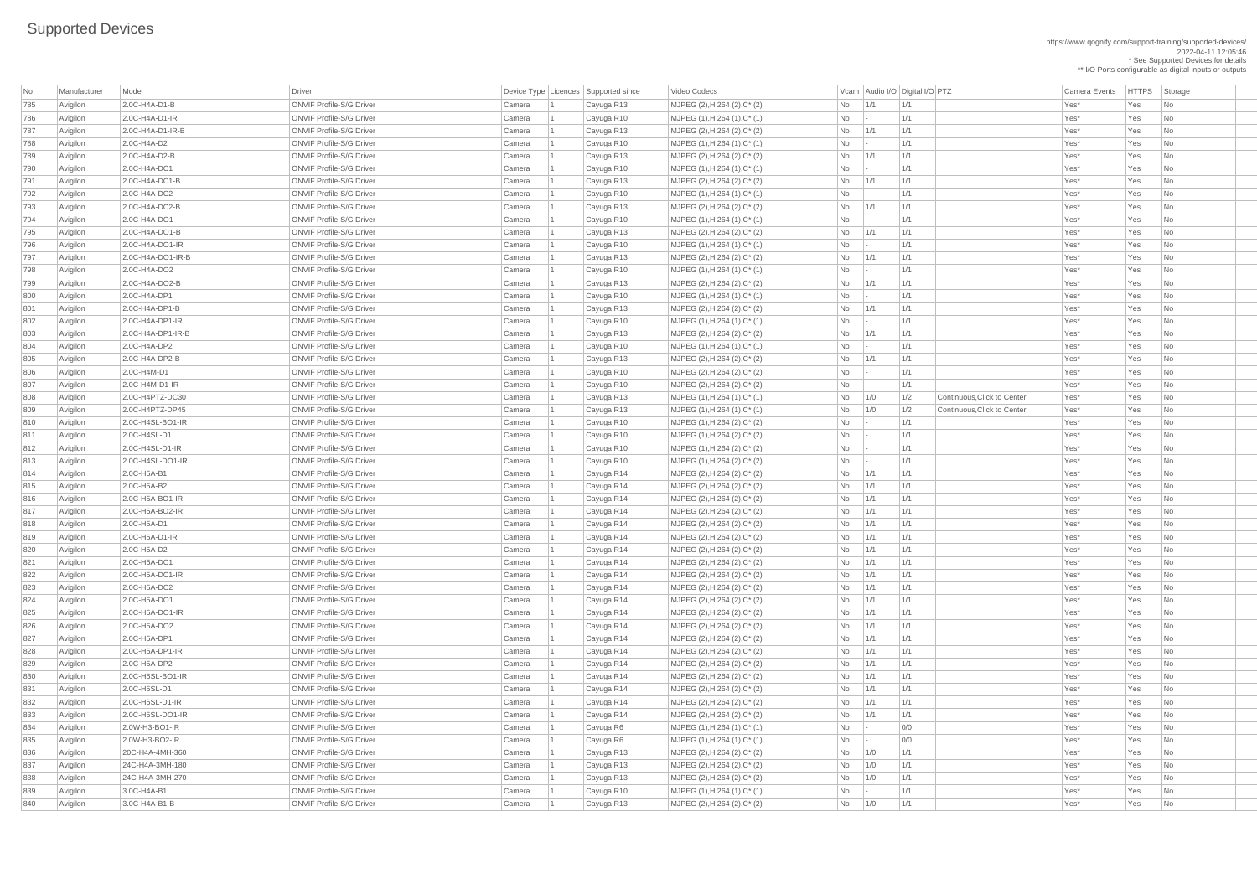| No  | Manufacturer | Model                | Driver                          |        | Device Type   Licences   Supported since | Video Codecs                                     |                          | Vcam   Audio I/O   Digital I/O   PTZ |            |                             | <b>Camera Events</b> | <b>HTTPS</b> | Storage                     |
|-----|--------------|----------------------|---------------------------------|--------|------------------------------------------|--------------------------------------------------|--------------------------|--------------------------------------|------------|-----------------------------|----------------------|--------------|-----------------------------|
| 785 | Avigilon     | 2.0C-H4A-D1-B        | <b>ONVIF Profile-S/G Driver</b> | Camera | Cayuga R13                               | MJPEG (2), H.264 (2), C* (2)                     | <b>No</b>                | 1/1                                  | 1/1        |                             | Yes*                 | Yes          | No                          |
| 786 | Avigilon     | 2.0C-H4A-D1-IR       | <b>ONVIF Profile-S/G Driver</b> | Camera | Cayuga R10                               | $MJPEG (1), H.264 (1), C^* (1)$                  | <b>No</b>                |                                      | 1/1        |                             | Yes*                 | Yes          | No                          |
| 787 | Avigilon     | $2.0C-H4A-D1-H-B$    | <b>ONVIF Profile-S/G Driver</b> | Camera | Cayuga R13                               | MJPEG $(2)$ , H.264 $(2)$ , C <sup>*</sup> $(2)$ | No                       | 1/1                                  | 1/1        |                             | Yes*                 | Yes          | No                          |
| 788 | Avigilon     | 2.0C-H4A-D2          | <b>ONVIF Profile-S/G Driver</b> | Camera | Cayuga R10                               | $MJPEG (1), H.264 (1), C^* (1)$                  | <b>No</b>                |                                      | 1/1        |                             | Yes*                 | Yes          | No                          |
| 789 | Avigilon     | 2.0C-H4A-D2-B        | <b>ONVIF Profile-S/G Driver</b> | Camera | Cayuga R13                               | MJPEG $(2)$ , H.264 $(2)$ , C* $(2)$             | No                       | $\vert$ 1/1                          | 1/1        |                             | Yes*                 | Yes          | No                          |
| 790 | Avigilon     | 2.0C-H4A-DC1         | <b>ONVIF Profile-S/G Driver</b> | Camera | Cayuga R10                               | $MJPEG (1), H.264 (1), C^* (1)$                  | No                       |                                      | 1/1        |                             | Yes*                 | Yes          | No                          |
| 791 | Avigilon     | 2.0C-H4A-DC1-B       | <b>ONVIF Profile-S/G Driver</b> | Camera | Cayuga R13                               | MJPEG $(2)$ , H.264 $(2)$ , C* $(2)$             | <b>No</b>                | 1/1                                  | 1/1        |                             | Yes*                 | Yes          | No                          |
| 792 | Avigilon     | 2.0C-H4A-DC2         | <b>ONVIF Profile-S/G Driver</b> | Camera | Cayuga R10                               | $MJPEG (1), H.264 (1), C^* (1)$                  | <b>No</b>                |                                      | 1/1        |                             | Yes*                 | Yes          | No                          |
| 793 | Avigilon     | 2.0C-H4A-DC2-B       | <b>ONVIF Profile-S/G Driver</b> | Camera | Cayuga R13                               | MJPEG (2), H.264 (2), C* (2)                     | <b>No</b>                | 1/1                                  | 1/1        |                             | Yes*                 | Yes          | No                          |
| 794 | Avigilon     | 2.0C-H4A-DO1         | <b>ONVIF Profile-S/G Driver</b> | Camera | Cayuga R10                               | $MJPEG (1), H.264 (1), C^* (1)$                  | No                       |                                      | 1/1        |                             | Yes*                 | Yes          | No                          |
| 795 | Avigilon     | 2.0C-H4A-DO1-B       | <b>ONVIF Profile-S/G Driver</b> | Camera | Cayuga R13                               | MJPEG $(2)$ , H.264 $(2)$ , C* $(2)$             | <b>No</b>                | 1/1                                  | 1/1        |                             | Yes*                 | Yes          | No                          |
| 796 | Avigilon     | $2.0C-H4A-DO1-IR$    | <b>ONVIF Profile-S/G Driver</b> | Camera | Cayuga R10                               | $MJPEG (1), H.264 (1), C^* (1)$                  | No                       |                                      | 1/1        |                             | Yes*                 | Yes          | No                          |
| 797 | Avigilon     | $2.0C-H4A-DO1-IR-B$  | <b>ONVIF Profile-S/G Driver</b> | Camera | Cayuga R13                               | MJPEG (2), H.264 (2), C* (2)                     | No                       | 1/1                                  | 1/1        |                             | Yes*                 | Yes          | No                          |
| 798 | Avigilon     | 2.0C-H4A-DO2         | <b>ONVIF Profile-S/G Driver</b> | Camera | Cayuga R10                               | $MJPEG (1), H.264 (1), C^* (1)$                  | <b>No</b>                |                                      | 1/1        |                             | Yes*                 | Yes          | No                          |
| 799 | Avigilon     | 2.0C-H4A-DO2-B       | <b>ONVIF Profile-S/G Driver</b> | Camera | Cayuga R13                               | MJPEG $(2)$ , H.264 $(2)$ , C <sup>*</sup> $(2)$ | No                       | 1/1                                  | 1/1        |                             | Yes*                 | Yes          | No                          |
| 800 | Avigilon     | 2.0C-H4A-DP1         | <b>ONVIF Profile-S/G Driver</b> | Camera | Cayuga R10                               | $MJPEG (1), H.264 (1), C^* (1)$                  | <b>No</b>                |                                      | 1/1        |                             | Yes*                 | Yes          | No                          |
| 801 | Avigilon     | 2.0C-H4A-DP1-B       | <b>ONVIF Profile-S/G Driver</b> | Camera | Cayuga R13                               | MJPEG $(2)$ , H.264 $(2)$ , C* $(2)$             | No                       | 1/1                                  | 1/1        |                             | Yes*                 | Yes          | No                          |
| 802 | Avigilon     | $2.0C-H4A-DP1-H$     | <b>ONVIF Profile-S/G Driver</b> | Camera | Cayuga R10                               | $MJPEG (1), H.264 (1), C^* (1)$                  | <b>No</b>                |                                      | 1/1        |                             | Yes*                 | Yes          | N <sub>o</sub>              |
| 803 | Avigilon     | $2.0C$ -H4A-DP1-IR-B | <b>ONVIF Profile-S/G Driver</b> | Camera | Cayuga R13                               | MJPEG $(2)$ , H.264 $(2)$ , C* $(2)$             | No                       | 1/1                                  | 1/1        |                             | Yes*                 | Yes          | N <sub>o</sub>              |
| 804 | Avigilon     | 2.0C-H4A-DP2         | <b>ONVIF Profile-S/G Driver</b> | Camera | Cayuga R10                               | $MJPEG (1), H.264 (1), C^* (1)$                  | <b>No</b>                |                                      | 1/1        |                             | Yes*                 | Yes          | No                          |
| 805 | Avigilon     | 2.0C-H4A-DP2-B       | <b>ONVIF Profile-S/G Driver</b> | Camera | Cayuga R13                               | MJPEG $(2)$ , H.264 $(2)$ , C* $(2)$             | No                       | 1/1                                  | 1/1        |                             | Yes*                 | Yes          | No                          |
| 806 | Avigilon     | 2.0C-H4M-D1          | <b>ONVIF Profile-S/G Driver</b> | Camera | Cayuga R10                               | $MJPEG (2), H.264 (2), C^{*} (2)$                | <b>No</b>                |                                      | 1/1        |                             | Yes*                 | Yes          | No                          |
| 807 | Avigilon     | 2.0C-H4M-D1-IR       | <b>ONVIF Profile-S/G Driver</b> | Camera | Cayuga R10                               | MJPEG $(2)$ , H.264 $(2)$ , C* $(2)$             | <b>No</b>                |                                      | 1/1        |                             | Yes*                 | Yes          | No                          |
| 808 | Avigilon     | 2.0C-H4PTZ-DC30      | <b>ONVIF Profile-S/G Driver</b> | Camera | Cayuga R13                               | $MJPEG (1), H.264 (1), C^* (1)$                  | No                       | 1/0                                  | 1/2        | Continuous, Click to Center | Yes*                 | Yes          | N <sub>o</sub>              |
| 809 | Avigilon     | $2.0C$ -H4PTZ-DP45   | <b>ONVIF Profile-S/G Driver</b> | Camera |                                          | $MJPEG (1), H.264 (1), C^* (1)$                  | No                       |                                      | 1/2        | Continuous, Click to Center | Yes*                 | Yes          | N <sub>o</sub>              |
|     |              | 2.0C-H4SL-BO1-IR     | <b>ONVIF Profile-S/G Driver</b> |        | Cayuga R13                               |                                                  |                          | 1/0                                  |            |                             | Yes*                 |              |                             |
| 810 | Avigilon     | 2.0C-H4SL-D1         | <b>ONVIF Profile-S/G Driver</b> | Camera | Cayuga R10                               | $MJPEG (1), H.264 (2), C^*(2)$                   | No                       |                                      | 1/1<br>1/1 |                             | Yes*                 | Yes<br>Yes   | N <sub>o</sub><br>No        |
| 811 | Avigilon     | 2.0C-H4SL-D1-IR      | <b>ONVIF Profile-S/G Driver</b> | Camera | Cayuga R10                               | $MJPEG (1), H.264 (2), C^*(2)$                   | No                       |                                      |            |                             |                      |              |                             |
| 812 | Avigilon     | 2.0C-H4SL-DO1-IR     | <b>ONVIF Profile-S/G Driver</b> | Camera | Cayuga R10                               | $MJPEG (1), H.264 (2), C^*(2)$                   | No                       |                                      | 1/1<br>1/1 |                             | Yes*                 | Yes          | No                          |
| 813 | Avigilon     |                      | <b>ONVIF Profile-S/G Driver</b> | Camera | Cayuga R10                               | MJPEG $(1)$ , H.264 $(2)$ , C* $(2)$             | <b>No</b>                |                                      |            |                             | Yes*                 | Yes          | No                          |
| 814 | Avigilon     | 2.0C-H5A-B1          |                                 | Camera | Cayuga R14                               | $MJPEG (2), H.264 (2), C^*(2)$                   | No                       | 1/1                                  | 1/1        |                             | Yes*                 | Yes          | N <sub>o</sub>              |
| 815 | Avigilon     | 2.0C-H5A-B2          | <b>ONVIF Profile-S/G Driver</b> | Camera | Cayuga R14                               | MJPEG $(2)$ , H.264 $(2)$ , C* $(2)$             | No                       | 1/1                                  | 1/1        |                             | Yes*                 | Yes          | N <sub>o</sub>              |
| 816 | Avigilon     | $2.0C$ -H5A-BO1-IR   | <b>ONVIF Profile-S/G Driver</b> | Camera | Cayuga R14                               | MJPEG (2), H.264 (2), C* (2)                     | <b>No</b>                | 1/1                                  | 1/1        |                             | Yes*                 | Yes          | No                          |
| 817 | Avigilon     | 2.0C-H5A-BO2-IR      | <b>ONVIF Profile-S/G Driver</b> | Camera | Cayuga R14                               | $MJPEG (2), H.264 (2), C^* (2)$                  | <b>No</b>                | 1/1                                  | 1/1        |                             | Yes*                 | Yes          | No                          |
| 818 | Avigilon     | 2.0C-H5A-D1          | <b>ONVIF Profile-S/G Driver</b> | Camera | Cayuga R14                               | MJPEG $(2)$ , H.264 $(2)$ , C* $(2)$             | No                       | 1/1                                  | 1/1        |                             | Yes*                 | Yes          | No                          |
| 819 | Avigilon     | 2.0C-H5A-D1-IR       | <b>ONVIF Profile-S/G Driver</b> | Camera | Cayuga R14                               | MJPEG $(2)$ , H.264 $(2)$ , C* $(2)$             | No                       | 1/1                                  | 1/1        |                             | Yes*                 | Yes          | N <sub>o</sub>              |
| 820 | Avigilon     | 2.0C-H5A-D2          | <b>ONVIF Profile-S/G Driver</b> | Camera | Cayuga R14                               | $MJPEG (2), H.264 (2), C^*(2)$                   | No                       | 1/1                                  | 1/1        |                             | Yes*                 | Yes          | N <sub>o</sub>              |
| 821 | Avigilon     | 2.0C-H5A-DC1         | <b>ONVIF Profile-S/G Driver</b> | Camera | Cayuga R14                               | MJPEG $(2)$ , H.264 $(2)$ , C* $(2)$             | No                       | 1/1                                  | 1/1        |                             | Yes*                 | Yes          | N <sub>o</sub>              |
| 822 | Avigilon     | $ 2.0C$ -H5A-DC1-IR  | <b>ONVIF Profile-S/G Driver</b> | Camera | Cayuga R14                               | $MJPEG (2), H.264 (2), C^{*} (2)$                | No                       | 1/1                                  | 1/1        |                             | Yes*                 | Yes          | N <sub>o</sub>              |
| 823 | Avigilon     | 2.0C-H5A-DC2         | <b>ONVIF Profile-S/G Driver</b> | Camera | Cayuga R14                               | MJPEG $(2)$ , H.264 $(2)$ , C* $(2)$             | <b>No</b>                | 1/1                                  | 1/1        |                             | Yes*                 | Yes          | No                          |
| 824 | Avigilon     | 2.0C-H5A-DO1         | <b>ONVIF Profile-S/G Driver</b> | Camera | Cayuga R14                               | MJPEG $(2)$ , H.264 $(2)$ , C* $(2)$             | No                       | 1/1                                  | 1/1        |                             | Yes*                 | Yes          | No                          |
| 825 | Avigilon     | 2.0C-H5A-DO1-IR      | <b>ONVIF Profile-S/G Driver</b> | Camera | Cayuga R14                               | MJPEG $(2)$ , H.264 $(2)$ , C* $(2)$             | No                       | 1/1                                  | 1/1        |                             | Yes*                 | Yes          | N <sub>o</sub>              |
| 826 | Avigilon     | 2.0C-H5A-DO2         | <b>ONVIF Profile-S/G Driver</b> | Camera | Cayuga R14                               | $MJPEG (2), H.264 (2), C^{*} (2)$                | No                       | 1/1                                  | 1/1        |                             | Yes*                 | Yes          | N <sub>o</sub>              |
| 827 | Avigilon     | 2.0C-H5A-DP1         | <b>ONVIF Profile-S/G Driver</b> | Camera | Cayuga R14                               | MJPEG $(2)$ , H.264 $(2)$ , C* $(2)$             | No                       | 1/1                                  | 1/1        |                             | Yes*                 | Yes          | N <sub>o</sub>              |
| 828 | Avigilon     | $2.0C$ -H5A-DP1-IR   | <b>ONVIF Profile-S/G Driver</b> | Camera | Cayuga R14                               | MJPEG $(2)$ , H.264 $(2)$ , C <sup>*</sup> $(2)$ | No                       | 1/1                                  | 1/1        |                             | Yes*                 | Yes          | N <sub>o</sub>              |
| 829 | Avigilon     | 2.0C-H5A-DP2         | <b>ONVIF Profile-S/G Driver</b> | Camera | Cayuga R14                               | MJPEG (2), H.264 (2), C* (2)                     | No                       | 1/1                                  | 1/1        |                             | Yes*                 | Yes          | No                          |
| 830 | Avigilon     | 2.0C-H5SL-BO1-IR     | <b>ONVIF Profile-S/G Driver</b> | Camera | Cayuga R14                               | MJPEG $(2)$ , H.264 $(2)$ , C* $(2)$             | No                       | 1/1                                  | 1/1        |                             | Yes*                 | Yes          | N <sub>o</sub>              |
| 831 | Avigilon     | 2.0C-H5SL-D1         | <b>ONVIF Profile-S/G Driver</b> | Camera | Cayuga R14                               | $MJPEG (2), H.264 (2), C^*(2)$                   | No                       | 1/1                                  | 1/1        |                             | Yes*                 | Yes          | No                          |
| 832 | Avigilon     | 2.0C-H5SL-D1-IR      | <b>ONVIF Profile-S/G Driver</b> | Camera | Cayuga R14                               | MJPEG $(2)$ , H.264 $(2)$ , C* $(2)$             | <b>No</b>                | $\vert$ 1/1                          | 1/1        |                             | Yes*                 | Yes          | N <sub>o</sub>              |
| 833 | Avigilon     | 2.0C-H5SL-DO1-IR     | <b>ONVIF Profile-S/G Driver</b> | Camera | Cayuga R14                               | MJPEG $(2)$ , H.264 $(2)$ , C* $(2)$             | No                       | 1/1                                  | 1/1        |                             | Yes*                 | Yes          | $\overline{\phantom{1}}$ No |
| 834 | Avigilon     | 2.0W-H3-BO1-IR       | <b>ONVIF Profile-S/G Driver</b> | Camera | Cayuga R6                                | $MJPEG (1), H.264 (1), C*(1)$                    | No                       |                                      | 0/0        |                             | Yes*                 | Yes          | N <sub>o</sub>              |
| 835 | Avigilon     | 2.0W-H3-BO2-IR       | <b>ONVIF Profile-S/G Driver</b> | Camera | Cayuga R6                                | $MJPEG (1), H.264 (1), C^* (1)$                  | <b>No</b>                |                                      | 0/0        |                             | Yes*                 | Yes          | No                          |
| 836 | Avigilon     | 20C-H4A-4MH-360      | <b>ONVIF Profile-S/G Driver</b> | Camera | Cayuga R13                               | MJPEG (2), H.264 (2), C* (2)                     | <b>No</b>                | $\vert$ 1/0                          | 1/1        |                             | Yes*                 | Yes          | $\overline{\phantom{a}}$ No |
| 837 | Avigilon     | 24C-H4A-3MH-180      | <b>ONVIF Profile-S/G Driver</b> | Camera | Cayuga R13                               | MJPEG (2), H.264 (2), $C^*$ (2)                  | N <sub>o</sub>           | 1/0                                  | 1/1        |                             | Yes*                 | Yes          | $\overline{\mathsf{No}}$    |
| 838 | Avigilon     | 24C-H4A-3MH-270      | <b>ONVIF Profile-S/G Driver</b> | Camera | Cayuga R13                               | MJPEG $(2)$ , H.264 $(2)$ , C* $(2)$             | No                       | 1/0                                  | 1/1        |                             | Yes*                 | Yes          | $\overline{\phantom{a}}$ No |
| 839 | Avigilon     | 3.0C-H4A-B1          | <b>ONVIF Profile-S/G Driver</b> | Camera | Cayuga R10                               | $MJPEG (1), H.264 (1), C^* (1)$                  | $\overline{\mathsf{No}}$ |                                      | 1/1        |                             | Yes*                 | Yes          | $\overline{\phantom{a}}$ No |
| 840 | Avigilon     | 3.0C-H4A-B1-B        | <b>ONVIF Profile-S/G Driver</b> | Camera | Cayuga R13                               | MJPEG (2), H.264 (2), C* (2)                     | N <sub>o</sub>           | 1/0                                  | 1/1        |                             | Yes*                 | Yes          | $\overline{\phantom{a}}$ No |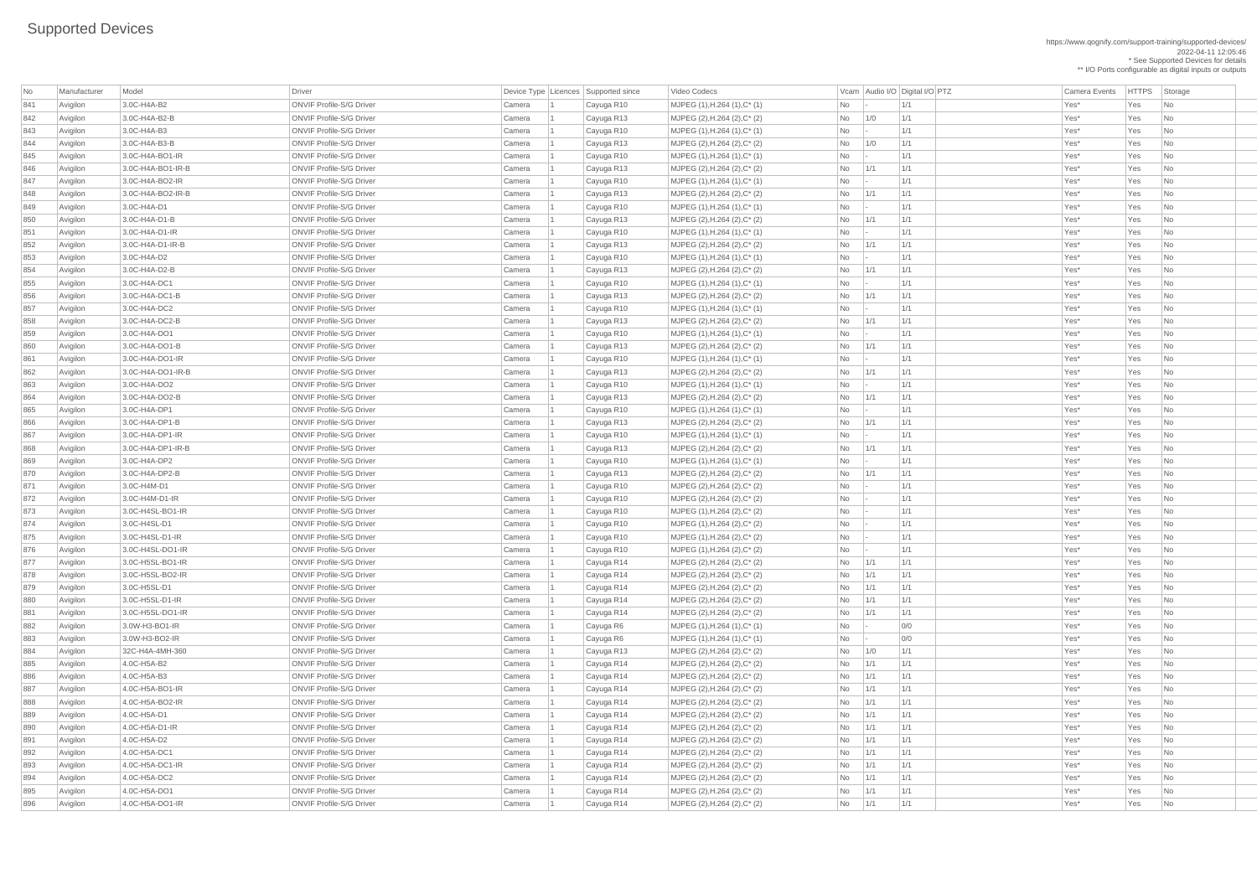https://www.qognify.com/support-training/supported-devices/ 2022-04-11 12:05:46 \* See Supported Devices for details \*\* I/O Ports configurable as digital inputs or outputs

| No         | Manufacturer         | Model                             | <b>Driver</b>                                                      |                  | Device Type   Licences   Supported since | Video Codecs                                                 |                 |            | Vcam Audio I/O Digital I/O PTZ | <b>Camera Events</b> | HTTPS Sto  |                                          |
|------------|----------------------|-----------------------------------|--------------------------------------------------------------------|------------------|------------------------------------------|--------------------------------------------------------------|-----------------|------------|--------------------------------|----------------------|------------|------------------------------------------|
| 841        | Avigilon             | 3.0C-H4A-B2                       | <b>ONVIF Profile-S/G Driver</b>                                    | Camera           | Cayuga R10                               | $MJPEG (1), H.264 (1), C^* (1)$                              | No              |            | 1/1                            | Yes*                 | Yes        | $\overline{\phantom{a}}$ Nc              |
| 842        | Avigilon             | 3.0C-H4A-B2-B                     | <b>ONVIF Profile-S/G Driver</b>                                    | Camera           | Cayuga R13                               | MJPEG (2), H.264 (2), C* (2)                                 | No              | 1/0        | 1/1                            | Yes*                 | Yes        | $\overline{\phantom{a}}$ Nc              |
| 843        | Avigilon             | 3.0C-H4A-B3                       | <b>ONVIF Profile-S/G Driver</b>                                    | Camera           | Cayuga R10                               | $MJPEG (1), H.264 (1), C^* (1)$                              | <b>No</b>       |            | 1/1                            | Yes*                 | Yes        | $\overline{\phantom{a}}$ Nc              |
| 844        | Avigilon             | 3.0C-H4A-B3-B                     | <b>ONVIF Profile-S/G Driver</b>                                    | Camera           | Cayuga R13                               | MJPEG (2), H.264 (2), C* (2)                                 | No              | 1/0        | 1/1                            | Yes*                 | Yes        | $\overline{\phantom{a}}$ Nc              |
| 845        | Avigilon             | $3.0C$ -H4A-BO1-IR                | <b>ONVIF Profile-S/G Driver</b>                                    | Camera           | Cayuga R10                               | $MJPEG (1), H.264 (1), C^* (1)$                              | No              |            | 1/1                            | Yes*                 | Yes        | Nc                                       |
| 846        | Avigilon             | 3.0C-H4A-BO1-IR-B                 | <b>ONVIF Profile-S/G Driver</b>                                    | Camera           | Cayuga R13                               | MJPEG (2), H.264 (2), C* (2)                                 | No              | 1/1        | 1/1                            | Yes*                 | Yes        | Nc                                       |
| 847        | Avigilon             | 3.0C-H4A-BO2-IR                   | <b>ONVIF Profile-S/G Driver</b>                                    | Camera           | Cayuga R10                               | $MJPEG (1), H.264 (1), C^* (1)$                              | No              |            | 1/1                            | Yes*                 | Yes        | $\overline{\phantom{a}}$ Nc              |
| 848        | Avigilon             | 3.0C-H4A-BO2-IR-B                 | <b>ONVIF Profile-S/G Driver</b>                                    | Camera           | Cayuga R13                               | MJPEG (2), H.264 (2), C* (2)                                 | No              | 1/1        | 1/1                            | Yes*                 | Yes        | Nc                                       |
| 849        | Avigilon             | 3.0C-H4A-D1                       | <b>ONVIF Profile-S/G Driver</b>                                    | Camera           | Cayuga R10                               | $MJPEG (1), H.264 (1), C^* (1)$                              | No              |            | 1/1                            | Yes*                 | Yes        | Nc                                       |
| 850        | Avigilon             | 3.0C-H4A-D1-B                     | <b>ONVIF Profile-S/G Driver</b>                                    | Camera           | Cayuga R13                               | MJPEG (2), H.264 (2), C* (2)                                 | No              | 1/1        | 1/1                            | Yes*                 | Yes        | Nc                                       |
| 851        | Avigilon             | $3.0C-H4A-D1-H$                   | <b>ONVIF Profile-S/G Driver</b>                                    | Camera           | Cayuga R10                               | $MJPEG (1), H.264 (1), C^* (1)$                              | No              |            | 1/1                            | Yes*                 | Yes        | Nc                                       |
| 852        | Avigilon             | $3.0C$ -H4A-D1-IR-B               | <b>ONVIF Profile-S/G Driver</b>                                    | Camera           | Cayuga R13                               | MJPEG (2), H.264 (2), C* (2)                                 | No              | 1/1        | 1/1                            | Yes*                 | Yes        | $\overline{\phantom{a}}$ Nc              |
| 853        | Avigilon             | 3.0C-H4A-D2                       | <b>ONVIF Profile-S/G Driver</b>                                    | Camera           | Cayuga R10                               | $MJPEG (1), H.264 (1), C^* (1)$                              | No              |            | 1/1                            | Yes*                 | Yes        | $\overline{\phantom{a}}$ Nc              |
| 854        | Avigilon             | 3.0C-H4A-D2-B                     | <b>ONVIF Profile-S/G Driver</b>                                    | Camera           | Cayuga R13                               | MJPEG (2), H.264 (2), C* (2)                                 | No              | 1/1        | 1/1                            | Yes*                 | Yes        | Nc                                       |
| 855        | Avigilon             | 3.0C-H4A-DC1                      | <b>ONVIF Profile-S/G Driver</b>                                    | Camera           | Cayuga R10                               | $MJPEG (1), H.264 (1), C^* (1)$                              | No              |            | 1/1                            | Yes*                 | Yes        | $\overline{\phantom{a}}$ Nc              |
| 856        | Avigilon             | $ 3.0C-H4A-DC1-B $                | <b>ONVIF Profile-S/G Driver</b>                                    | Camera           | Cayuga R13                               | MJPEG (2), H.264 (2), C* (2)                                 | No              | 1/1        | 1/1                            | Yes*                 | Yes        | Nc                                       |
| 857        | Avigilon             | 3.0C-H4A-DC2                      | <b>ONVIF Profile-S/G Driver</b>                                    | Camera           | Cayuga R10                               | $MJPEG (1), H.264 (1), C^* (1)$                              | No              |            | 1/1                            | Yes*                 | Yes        | Nc                                       |
| 858        | Avigilon             | 3.0C-H4A-DC2-B                    | <b>ONVIF Profile-S/G Driver</b>                                    | Camera           | Cayuga R13                               | MJPEG $(2)$ , H.264 $(2)$ , C* $(2)$                         | No              | 1/1        | 1/1                            | Yes*                 | Yes        | $\overline{\phantom{a}}$ Nc              |
| 859        | Avigilon             | 3.0C-H4A-DO1                      | <b>ONVIF Profile-S/G Driver</b>                                    | Camera           | Cayuga R10                               | $MJPEG (1), H.264 (1), C^{*} (1)$                            | No              |            | 1/1                            | Yes*                 | Yes        | $\overline{\phantom{a}}$ Nc              |
| 860        | Avigilon             | $3.0C$ -H4A-DO1-B                 | <b>ONVIF Profile-S/G Driver</b>                                    | Camera           | Cayuga R13                               | MJPEG (2), H.264 (2), C* (2)                                 | No              | 1/1        | 1/1                            | Yes*                 | Yes        | $\overline{\phantom{a}}$ Nc              |
| 861        | Avigilon             | $3.0C$ -H4A-DO1-IR                | <b>ONVIF Profile-S/G Driver</b>                                    | Camera           | Cayuga R10                               | $MJPEG (1), H.264 (1), C^* (1)$                              | No              |            | 1/1                            | Yes*                 | Yes        | $\overline{\phantom{a}}$ Nc              |
| 862        | Avigilon             | 3.0C-H4A-DO1-IR-B                 | <b>ONVIF Profile-S/G Driver</b>                                    | Camera           | Cayuga R13                               | MJPEG (2), H.264 (2), C* (2)                                 | No              | 1/1        | 1/1                            | Yes*                 | Yes        | Nc                                       |
| 863        | Avigilon             | 3.0C-H4A-DO2                      | <b>ONVIF Profile-S/G Driver</b>                                    | Camera           | Cayuga R10                               | $MJPEG (1), H.264 (1), C^* (1)$                              | <b>No</b>       |            | 1/1                            | Yes*                 | Yes        | Nc                                       |
| 864        | Avigilon             | 3.0C-H4A-DO2-B                    | <b>ONVIF Profile-S/G Driver</b>                                    | Camera           | Cayuga R13                               | MJPEG (2), H.264 (2), C* (2)                                 | No              | 1/1        | 1/1                            | Yes*                 | Yes        | $\overline{\phantom{a}}$ Nc              |
| 865        | Avigilon             | 3.0C-H4A-DP1                      | <b>ONVIF Profile-S/G Driver</b>                                    | Camera           | Cayuga R10                               | $MJPEG (1), H.264 (1), C^* (1)$                              | No              |            | 1/1                            | Yes*                 | Yes        | $\overline{\phantom{a}}$ Nc              |
| 866        | Avigilon             | 3.0C-H4A-DP1-B                    | <b>ONVIF Profile-S/G Driver</b>                                    | Camera           | Cayuga R13                               | MJPEG (2), H.264 (2), C* (2)                                 | No              | 1/1        | 1/1                            | Yes*                 | Yes        | $\overline{\phantom{a}}$ Nc              |
| 867        | Avigilon             | 3.0C-H4A-DP1-IR                   | <b>ONVIF Profile-S/G Driver</b>                                    | Camera           | Cayuga R10                               | $MJPEG (1), H.264 (1), C^* (1)$                              | No              |            | 1/1                            | Yes*                 | Yes        | $\vert$ Nc                               |
| 868        | Avigilon             | $3.0C$ -H4A-DP1-IR-B              | <b>ONVIF Profile-S/G Driver</b>                                    | Camera           | Cayuga R13                               | MJPEG (2), H.264 (2), C* (2)                                 | No              | 1/1        | 1/1                            | Yes*                 | Yes        | $\overline{\phantom{a}}$ Nc              |
| 869        | Avigilon             | 3.0C-H4A-DP2                      | <b>ONVIF Profile-S/G Driver</b>                                    | Camera           | Cayuga R10                               | $MJPEG (1), H.264 (1), C^* (1)$                              | No              |            | 1/1                            | Yes*                 | Yes        | $\overline{\phantom{a}}$ Nc              |
| 870        | Avigilon             | $3.0C$ -H4A-DP2-B                 | <b>ONVIF Profile-S/G Driver</b>                                    | Camera           | Cayuga R13                               | MJPEG (2), H.264 (2), C* (2)                                 | No              | 1/1        | 1/1                            | Yes*                 | Yes        | $\overline{\phantom{a}}$ Nc              |
| 871        | Avigilon             | 3.0C-H4M-D1                       | <b>ONVIF Profile-S/G Driver</b>                                    | Camera           | Cayuga R10                               | MJPEG (2), H.264 (2), C* (2)                                 | No              |            | 1/1                            | Yes*                 | Yes        | $\overline{\phantom{a}}$ Nc              |
| 872        | Avigilon             | 3.0C-H4M-D1-IR                    | <b>ONVIF Profile-S/G Driver</b>                                    | Camera           | Cayuga R10                               | MJPEG (2), H.264 (2), C* (2)                                 | No              |            | 1/1                            | Yes*                 | Yes        | $\overline{\phantom{a}}$ Nc              |
| 873        | Avigilon             | 3.0C-H4SL-BO1-IR                  | <b>ONVIF Profile-S/G Driver</b>                                    | Camera           | Cayuga R10                               | MJPEG (1), H.264 (2), C* (2)                                 | No              |            | 1/1                            | Yes*                 | Yes        | $\overline{\phantom{a}}$ Nc              |
| 874        | Avigilon             | 3.0C-H4SL-D1                      | <b>ONVIF Profile-S/G Driver</b>                                    | Camera           | Cayuga R10                               | MJPEG (1), H.264 (2), C* (2)                                 | No              |            | 1/1                            | Yes*                 | Yes        | $\overline{\phantom{a}}$ Nc              |
| 875        | Avigilon             | 3.0C-H4SL-D1-IR                   | <b>ONVIF Profile-S/G Driver</b>                                    | Camera           | Cayuga R10                               | MJPEG (1), H.264 (2), C* (2)                                 | No              |            | 1/1                            | Yes*                 | Yes        | $\overline{\phantom{a}}$ Nc              |
| 876        | Avigilon             | $3.0C$ -H4SL-DO1-IR               | <b>ONVIF Profile-S/G Driver</b>                                    | Camera           | Cayuga R10                               | MJPEG (1), H.264 (2), C* (2)                                 | No              |            | 1/1                            | Yes*                 | Yes        | $\overline{\phantom{a}}$ Nc              |
| 877        | Avigilon             | 3.0C-H5SL-BO1-IR                  | <b>ONVIF Profile-S/G Driver</b>                                    | Camera           | Cayuga R14                               | MJPEG (2), H.264 (2), C* (2)                                 | <b>No</b>       | 1/1        | 1/1                            | Yes*                 | Yes        | $\overline{\phantom{a}}$ Nc              |
| 878        | Avigilon             | 3.0C-H5SL-BO2-IR                  | <b>ONVIF Profile-S/G Driver</b>                                    | Camera           | Cayuga R14                               | MJPEG (2), H.264 (2), C* (2)                                 | No              | 1/1        | 1/1                            | Yes*                 | Yes        | $\overline{\phantom{a}}$ Nc              |
| 879        | Avigilon             | 3.0C-H5SL-D1                      | <b>ONVIF Profile-S/G Driver</b>                                    | Camera           | Cayuga R14                               | MJPEG $(2)$ , H.264 $(2)$ , C* $(2)$                         | No              | 1/1        | 1/1                            | Yes*                 | Yes        | $\overline{\phantom{a}}$ Nc              |
| 880        | Avigilon             | $ 3.0C$ -H5SL-D1-IR               | <b>ONVIF Profile-S/G Driver</b>                                    | Camera           | Cayuga R14                               | MJPEG (2), H.264 (2), C* (2)                                 | No              | 1/1        | 1/1                            | Yes*                 | Yes        | $\overline{\phantom{a}}$ Nc              |
| 881        | Avigilon             | $3.0C$ -H5SL-DO1-IR               | <b>ONVIF Profile-S/G Driver</b>                                    | Camera           | Cayuga R14                               | MJPEG $(2)$ , H.264 $(2)$ , C* $(2)$                         | No              | 1/1        | 1/1                            | Yes*                 | Yes        | $\overline{\phantom{a}}$ Nc              |
| 882        | Avigilon             | 3.0W-H3-BO1-IR                    | <b>ONVIF Profile-S/G Driver</b>                                    | Camera           | Cayuga R6                                | $MJPEG (1), H.264 (1), C^* (1)$                              | No              |            | 0/0                            | Yes*                 | Yes        | $\overline{\phantom{a}}$ Nc              |
| 883        | Avigilon             | 3.0W-H3-BO2-IR                    | <b>ONVIF Profile-S/G Driver</b>                                    | Camera           | Cayuga R6                                | $MJPEG (1), H.264 (1), C^* (1)$                              | No              |            | 0/0                            | Yes*                 | Yes        | $\overline{\phantom{a}}$ Nc              |
| 884        | Avigilon             | 32C-H4A-4MH-360                   | <b>ONVIF Profile-S/G Driver</b>                                    | Camera           | Cayuga R13                               | MJPEG (2), H.264 (2), C* (2)                                 | No              | 1/0        | 1/1                            | Yes*                 | Yes        | $\overline{\phantom{a}}$ Nc              |
| 885        | Avigilon             | 4.0C-H5A-B2                       | <b>ONVIF Profile-S/G Driver</b>                                    | Camera           | Cayuga R14                               | MJPEG (2), H.264 (2), C* (2)                                 | No              | 1/1        | 1/1                            | Yes*                 | Yes        | $\overline{\phantom{a}}$ Nc              |
| 886        | Avigilon             | 4.0C-H5A-B3                       | <b>ONVIF Profile-S/G Driver</b>                                    | Camera           | Cayuga R14                               | MJPEG (2), H.264 (2), C* (2)                                 | No              | 1/1        | 1/1                            | Yes*                 | Yes        | $\overline{\phantom{a}}$ Nc              |
| 887        | Avigilon             | $ 4.0C$ -H5A-BO1-IR               | <b>ONVIF Profile-S/G Driver</b>                                    | Camera           | Cayuga R14                               | MJPEG (2), H.264 (2), C* (2)                                 | No              | 1/1        | 1/1                            | Yes*                 | Yes        | $\overline{\phantom{a}}$ Nc              |
| 888        | Avigilon             | $4.0C$ -H5A-BO2-IR<br>4.0C-H5A-D1 | <b>ONVIF Profile-S/G Driver</b><br><b>ONVIF Profile-S/G Driver</b> | Camera           | Cayuga R14                               | MJPEG (2), H.264 (2), C* (2)                                 | No              | 1/1        | 1/1                            | Yes*<br>Yes*         | Yes        | $\overline{\phantom{a}}$ Nc              |
| 889        | Avigilon             | 4.0C-H5A-D1-IR                    |                                                                    | Camera           | Cayuga R14                               | MJPEG (2), H.264 (2), C* (2)                                 | No              | 1/1        | 1/1                            |                      | Yes        | $\overline{\phantom{a}}$ Nc              |
| 890        | Avigilon             |                                   | <b>ONVIF Profile-S/G Driver</b><br><b>ONVIF Profile-S/G Driver</b> | Camera           | Cayuga R14                               | MJPEG (2), H.264 (2), C* (2)                                 | No              | 1/1<br>1/1 | 1/1<br>1/1                     | Yes*                 | Yes        | $\overline{\phantom{a}}$ Nc              |
| 891<br>892 | Avigilon             | 4.0C-H5A-D2<br>4.0C-H5A-DC1       | <b>ONVIF Profile-S/G Driver</b>                                    | Camera<br>Camera | Cayuga R14                               | MJPEG (2), H.264 (2), C* (2)                                 | <b>No</b><br>No | 1/1        | 1/1                            | Yes*<br>Yes*         | Yes<br>Yes | $\vert$ Nc                               |
| 893        | Avigilon<br>Avigilon | 4.0C-H5A-DC1-IR                   | <b>ONVIF Profile-S/G Driver</b>                                    | Camera           | Cayuga R14<br>Cayuga R14                 | MJPEG (2), H.264 (2), C* (2)<br>MJPEG (2), H.264 (2), C* (2) | No              | 1/1        | 1/1                            | Yes*                 | Yes        | <b>Nc</b><br>$\overline{\phantom{a}}$ Nc |
| 894        | Avigilon             | 4.0C-H5A-DC2                      | <b>ONVIF Profile-S/G Driver</b>                                    | Camera           | Cayuga R14                               | MJPEG (2), H.264 (2), C* (2)                                 | No              | 1/1        | 1/1                            | Yes*                 | Yes        | $\overline{\phantom{a}}$ Nc              |
| 895        | Avigilon             | 4.0C-H5A-DO1                      | <b>ONVIF Profile-S/G Driver</b>                                    | Camera           | Cayuga R14                               | MJPEG (2), H.264 (2), C* (2)                                 | No              | 1/1        | 1/1                            | Yes*                 | Yes        | $\vert$ Nc                               |
| 896        | Avigilon             | $4.0C$ -H5A-DO1-IR                | <b>ONVIF Profile-S/G Driver</b>                                    | Camera           | Cayuga R14                               | MJPEG (2), H.264 (2), C* (2)                                 | No              | 1/1        | 1/1                            | Yes*                 | Yes        | $ $ Nc                                   |
|            |                      |                                   |                                                                    |                  |                                          |                                                              |                 |            |                                |                      |            |                                          |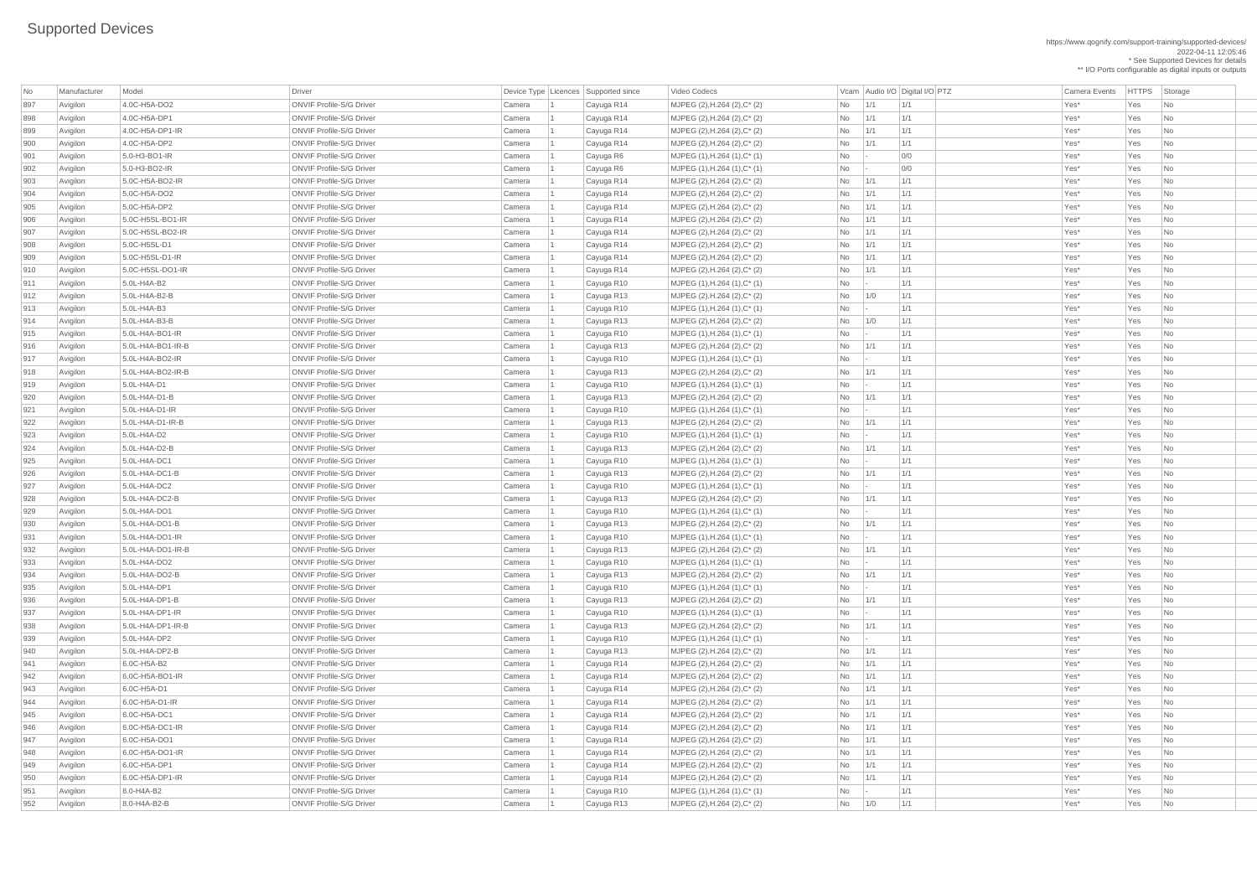| No         | Manufacturer         | Model                               | <b>Driver</b>                                                      | Device Type Licences Supported since |                          | Video Codecs                                                    |                 |                 | Vcam Audio I/O Digital I/O PTZ | <b>Camera Events</b> | <b>HTTPS</b> | Storage                     |
|------------|----------------------|-------------------------------------|--------------------------------------------------------------------|--------------------------------------|--------------------------|-----------------------------------------------------------------|-----------------|-----------------|--------------------------------|----------------------|--------------|-----------------------------|
| 897        | Avigilon             | 4.0C-H5A-DO2                        | <b>ONVIF Profile-S/G Driver</b>                                    | Camera                               | Cayuga R14               | MJPEG (2), H.264 (2), C* (2)                                    | <b>No</b>       | 1/1             | 1/1                            | Yes*                 | Yes          | No                          |
| 898        | Avigilon             | 4.0C-H5A-DP1                        | <b>ONVIF Profile-S/G Driver</b>                                    | Camera                               | Cayuga R14               | $MJPEG (2), H.264 (2), C^* (2)$                                 | No              | 1/1             | 1/1                            | Yes*                 | Yes          | No                          |
| 899        | Avigilon             | 4.0C-H5A-DP1-IR                     | <b>ONVIF Profile-S/G Driver</b>                                    | Camera                               | Cayuga R14               | MJPEG (2), H.264 (2), C* (2)                                    | <b>No</b>       | 1/1             | 1/1                            | Yes*                 | Yes          | N <sub>o</sub>              |
| 900        | Avigilon             | 4.0C-H5A-DP2                        | <b>ONVIF Profile-S/G Driver</b>                                    | Camera                               | Cayuga R14               | $MJPEG (2), H.264 (2), C^* (2)$                                 | <b>No</b>       | 1/1             | 1/1                            | Yes*                 | Yes          | No                          |
| 901        | Avigilon             | $5.0-H3-BO1-HR$                     | <b>ONVIF Profile-S/G Driver</b>                                    | Camera                               | Cayuga R6                | $MJPEG (1), H.264 (1), C^* (1)$                                 | No              | $\vert - \vert$ | 0/0                            | Yes*                 | Yes          | No                          |
| 902        | Avigilon             | 5.0-H3-BO2-IR                       | <b>ONVIF Profile-S/G Driver</b>                                    | Camera                               | Cayuga R6                | $MJPEG (1), H.264 (1), C^*(1)$                                  | No              | $\sim$          | 0/0                            | Yes*                 | Yes          | N <sub>o</sub>              |
| 903        | Avigilon             | 5.0C-H5A-BO2-IR                     | <b>ONVIF Profile-S/G Driver</b>                                    | Camera                               | Cayuga R14               | $MJPEG (2), H.264 (2), C^* (2)$                                 | <b>No</b>       | 1/1             | 1/1                            | Yes*                 | Yes          | No                          |
| 904        | Avigilon             | 5.0C-H5A-DO2                        | <b>ONVIF Profile-S/G Driver</b>                                    | Camera                               | Cayuga R14               | $MJPEG (2), H.264 (2), C^* (2)$                                 | <b>No</b>       | 1/1             | 1/1                            | Yes*                 | Yes          | N <sub>o</sub>              |
| 905        | Avigilon             | 5.0C-H5A-DP2                        | <b>ONVIF Profile-S/G Driver</b>                                    | Camera                               | Cayuga R14               | $MJPEG (2), H.264 (2), C^*(2)$                                  | <b>No</b>       | 1/1             | 1/1                            | Yes*                 | Yes          | No                          |
| 906        | Avigilon             | 5.0C-H5SL-BO1-IR                    | <b>ONVIF Profile-S/G Driver</b>                                    | Camera                               | Cayuga R14               | $MJPEG (2), H.264 (2), C^* (2)$                                 | No              | 1/1             | 1/1                            | Yes*                 | Yes          | No                          |
| 907        | Avigilon             | 5.0C-H5SL-BO2-IR                    | <b>ONVIF Profile-S/G Driver</b>                                    | Camera                               | Cayuga R14               | $MJPEG (2), H.264 (2), C^* (2)$                                 | <b>No</b>       | 1/1             | 1/1                            | Yes*                 | Yes          | No                          |
| 908        | Avigilon             | 5.0C-H5SL-D1                        | <b>ONVIF Profile-S/G Driver</b>                                    | Camera                               | Cayuga R14               | $MJPEG (2), H.264 (2), C^* (2)$                                 | No              | 1/1             | 1/1                            | Yes*                 | Yes          | N <sub>o</sub>              |
| 909        | Avigilon             | $ 5.0C$ -H5SL-D1-IR                 | <b>ONVIF Profile-S/G Driver</b>                                    | Camera                               | Cayuga R14               | $MJPEG (2), H.264 (2), C^* (2)$                                 | <b>No</b>       | 1/1             | 1/1                            | Yes*                 | Yes          | N <sub>o</sub>              |
| 910        | Avigilon             | 5.0C-H5SL-DO1-IR                    | <b>ONVIF Profile-S/G Driver</b>                                    | Camera                               | Cayuga R14               | $MJPEG (2), H.264 (2), C^* (2)$                                 | <b>No</b>       | 1/1             | 1/1                            | Yes*                 | Yes          | No                          |
| 911        | Avigilon             | $5.0L-H4A-B2$                       | <b>ONVIF Profile-S/G Driver</b>                                    | Camera                               | Cayuga R10               | MJPEG (1), H.264 (1), C* (1)                                    | No              | $\vert$ =       | 1/1                            | Yes*                 | Yes          | N <sub>o</sub>              |
| 912        | Avigilon             | $5.0L-H4A-B2-B$                     | <b>ONVIF Profile-S/G Driver</b>                                    | Camera                               | Cayuga R13               | $MJPEG (2), H.264 (2), C^* (2)$                                 | <b>No</b>       | 1/0             | 1/1                            | Yes*                 | Yes          | No                          |
| 913        | Avigilon             | $5.0L-H4A-B3$                       | <b>ONVIF Profile-S/G Driver</b>                                    | Camera                               | Cayuga R10               | $MJPEG (1), H.264 (1), C^* (1)$                                 | <b>No</b>       | $\vert - \vert$ | 1/1                            | Yes*                 | Yes          | No                          |
| 914        | Avigilon             | 5.0L-H4A-B3-B                       | <b>ONVIF Profile-S/G Driver</b>                                    | Camera                               | Cayuga R13               | $MJPEG (2), H.264 (2), C^* (2)$                                 | <b>No</b>       | 1/0             | 1/1                            | Yes*                 | Yes          | No                          |
| 915        | Avigilon             | $5.0L-H4A-BO1-IR$                   | <b>ONVIF Profile-S/G Driver</b>                                    | Camera                               | Cayuga R10               | $MJPEG (1), H.264 (1), C^* (1)$                                 | No              | $\mathbf{I}$    | 1/1                            | Yes*                 | Yes          | No                          |
| 916        | Avigilon             | $5.0L-H4A-BO1-IR-B$                 | <b>ONVIF Profile-S/G Driver</b>                                    | Camera                               | Cayuga R13               | $MJPEG (2), H.264 (2), C^*(2)$                                  | <b>No</b>       | 1/1             | 1/1                            | Yes*                 | Yes          | N <sub>o</sub>              |
| 917        | Avigilon             | 5.0L-H4A-BO2-IR                     | <b>ONVIF Profile-S/G Driver</b>                                    | Camera                               | Cayuga R10               | MJPEG (1), H.264 (1), C* (1)                                    | <b>No</b>       | $\vert - \vert$ | 1/1                            | Yes*                 | Yes          | No                          |
| 918        | Avigilon             | $5.0L-H4A-BO2-IR-B$                 | <b>ONVIF Profile-S/G Driver</b>                                    | Camera                               | Cayuga R13               | $MJPEG (2), H.264 (2), C^* (2)$                                 | No              | 1/1             | 1/1                            | Yes*                 | Yes          | No                          |
| 919        | Avigilon             | 5.0L-H4A-D1                         | <b>ONVIF Profile-S/G Driver</b>                                    | Camera                               | Cayuga R10               | $MJPEG (1), H.264 (1), C^* (1)$                                 | No              | $\vert - \vert$ | 1/1                            | Yes*                 | Yes          | No                          |
| 920        | Avigilon             | $5.0L-H4A-D1-B$                     | <b>ONVIF Profile-S/G Driver</b>                                    | Camera                               | Cayuga R13               | $MJPEG (2), H.264 (2), C^* (2)$                                 | <b>No</b>       | 1/1             | 1/1                            | Yes*                 | Yes          | N <sub>o</sub>              |
| 921        | Avigilon             | 5.0L-H4A-D1-IR                      | <b>ONVIF Profile-S/G Driver</b>                                    | Camera                               | Cayuga R10               | $MJPEG (1), H.264 (1), C^* (1)$                                 | No              |                 | 1/1                            | Yes*                 | Yes          | No                          |
| 922        | Avigilon             | 5.0L-H4A-D1-IR-B                    | <b>ONVIF Profile-S/G Driver</b>                                    | Camera                               | Cayuga R13               | MJPEG (2), H.264 (2), C* (2)                                    | No.             | $\vert$ 1/1     | 1/1                            | Yes*                 | Yes          | N <sub>o</sub>              |
| 923        | Avigilon             | 5.0L-H4A-D2                         | <b>ONVIF Profile-S/G Driver</b>                                    | Camera                               | Cayuga R10               | $MJPEG (1), H.264 (1), C^*(1)$                                  | <b>No</b>       | $\vert - \vert$ | 1/1                            | Yes*                 | Yes          | N <sub>o</sub>              |
| 924        | Avigilon             | 5.0L-H4A-D2-B                       | <b>ONVIF Profile-S/G Driver</b>                                    | Camera                               | Cayuga R13               | MJPEG (2), H.264 (2), C* (2)                                    | No              | 1/1             | 1/1                            | Yes*                 | Yes          | N <sub>o</sub>              |
| 925        | Avigilon             | 5.0L-H4A-DC1                        | <b>ONVIF Profile-S/G Driver</b>                                    | Camera                               | Cayuga R10               | $MJPEG (1), H.264 (1), C^* (1)$                                 | No              | $\mathbf{I}$    | 1/1                            | Yes*                 | Yes          | N <sub>0</sub>              |
| 926        | Avigilon             | 5.0L-H4A-DC1-B                      | <b>ONVIF Profile-S/G Driver</b>                                    | Camera                               | Cayuga R13               | $MJPEG (2), H.264 (2), C^*(2)$                                  | <b>No</b>       | 1/1             | 1/1                            | Yes*                 | Yes          | No                          |
| 927        | Avigilon             | 5.0L-H4A-DC2                        | <b>ONVIF Profile-S/G Driver</b>                                    | Camera                               | Cayuga R10               | $MJPEG (1), H.264 (1), C^* (1)$                                 | <b>No</b>       | $\sim$          | 1/1                            | Yes*                 | Yes          | No                          |
| 928        | Avigilon             | 5.0L-H4A-DC2-B                      | <b>ONVIF Profile-S/G Driver</b>                                    | Camera                               | Cayuga R13               | $MJPEG (2), H.264 (2), C^* (2)$                                 | <b>No</b>       | 1/1             | 1/1                            | Yes*                 | Yes          | N <sub>0</sub>              |
| 929        | Avigilon             | 5.0L-H4A-DO1                        | <b>ONVIF Profile-S/G Driver</b>                                    | Camera                               | Cayuga R10               | MJPEG (1), H.264 (1), C* (1)                                    | No              | $\mathbf{I}$    | 1/1                            | Yes*                 | Yes          | $\overline{\phantom{a}}$ No |
| 930        | Avigilon             | 5.0L-H4A-DO1-B                      | <b>ONVIF Profile-S/G Driver</b>                                    | Camera                               | Cayuga R13               | $MJPEG (2), H.264 (2), C^* (2)$                                 | No              | 1/1             | 1/1                            | Yes*                 | Yes          | No                          |
| 931        | Avigilon             | $5.0L-H4A-DO1-IR$                   | <b>ONVIF Profile-S/G Driver</b>                                    | Camera                               | Cayuga R10               | $MJPEG (1), H.264 (1), C^* (1)$                                 | No              | $\vert - \vert$ | 1/1                            | Yes*                 | Yes          | N <sub>0</sub>              |
| 932        | Avigilon             | $5.0L-H4A-DO1-IR-B$                 | <b>ONVIF Profile-S/G Driver</b>                                    | Camera                               | Cayuga R13               | $MJPEG (2), H.264 (2), C^*(2)$                                  | No              | 1/1             | 1/1                            | Yes*                 | Yes          | N <sub>o</sub>              |
| 933        | Avigilon             | 5.0L-H4A-DO2                        | <b>ONVIF Profile-S/G Driver</b>                                    | Camera                               | Cayuga R10               | $MJPEG (1), H.264 (1), C^* (1)$                                 | <b>No</b>       | $\sim$          | 1/1                            | Yes*                 | Yes          | No                          |
| 934        | Avigilon             | 5.0L-H4A-DO2-B                      | <b>ONVIF Profile-S/G Driver</b>                                    | Camera                               | Cayuga R13               | $MJPEG (2), H.264 (2), C^* (2)$                                 | No              | 1/1             | 1/1                            | Yes*                 | Yes          | N <sub>0</sub>              |
| 935        | Avigilon             | 5.0L-H4A-DP1                        | <b>ONVIF Profile-S/G Driver</b>                                    | Camera                               | Cayuga R10               | $MJPEG (1), H.264 (1), C^*(1)$                                  | No              | $\vert$ =       | 1/1                            | Yes*                 | Yes          | N <sub>o</sub>              |
| 936        | Avigilon             | 5.0L-H4A-DP1-B                      | <b>ONVIF Profile-S/G Driver</b>                                    | Camera                               | Cayuga R13               | MJPEG (2), H.264 (2), C* (2)                                    | No              | 1/1             | 1/1                            | Yes*                 | Yes          | N <sub>o</sub>              |
| 937        | Avigilon             | $5.0L-H4A-DP1-IR$                   | <b>ONVIF Profile-S/G Driver</b>                                    | Camera                               | Cayuga R10               | $MJPEG (1), H.264 (1), C^*(1)$                                  | No              | $\mathbf{I}$    | 1/1                            | Yes*                 | Yes          | $\overline{\phantom{a}}$ No |
| 938        | Avigilon             | $5.0L-H4A-DP1-IR-B$                 | <b>ONVIF Profile-S/G Driver</b>                                    | Camera                               | Cayuga R13               | $MJPEG (2), H.264 (2), C^* (2)$                                 | <b>No</b>       | 1/1             | 1/1                            | Yes*                 | Yes          | No                          |
| 939        | Avigilon             | 5.0L-H4A-DP2                        | <b>ONVIF Profile-S/G Driver</b>                                    | Camera                               | Cayuga R10               | $MJPEG (1), H.264 (1), C^* (1)$                                 | <b>No</b>       | $\vert - \vert$ | 1/1                            | Yes*                 | Yes          | N <sub>0</sub>              |
| 940        | Avigilon             | 5.0L-H4A-DP2-B                      | <b>ONVIF Profile-S/G Driver</b>                                    | Camera                               | Cayuga R13               | $MJPEG (2), H.264 (2), C^* (2)$                                 | No              | 1/1             | 1/1                            | Yes*                 | Yes          | N <sub>0</sub>              |
| 941        | Avigilon             | 6.0C-H5A-B2                         | <b>ONVIF Profile-S/G Driver</b>                                    | Camera                               | Cayuga R14               | MJPEG (2), H.264 (2), C* (2)                                    | No              | 1/1             | 1/1                            | Yes*                 | Yes          | N <sub>o</sub>              |
| 942        | Avigilon             | 6.0C-H5A-BO1-IR                     | <b>ONVIF Profile-S/G Driver</b>                                    | Camera                               | Cayuga R14               | $MJPEG (2), H.264 (2), C^* (2)$                                 | No              | 1/1             | 1/1                            | Yes*                 | Yes          | N <sub>0</sub>              |
| 943        | Avigilon             | 6.0C-H5A-D1                         | <b>ONVIF Profile-S/G Driver</b>                                    | Camera                               | Cayuga R14               | $MJPEG (2), H.264 (2), C^* (2)$                                 | No              | 1/1             | 1/1                            | Yes*                 | Yes          | N <sub>0</sub>              |
| 944        | Avigilon             | $6.0C$ -H5A-D1-IR                   | <b>ONVIF Profile-S/G Driver</b>                                    | Camera                               | Cayuga R14               | $MJPEG (2), H.264 (2), C^* (2)$                                 | <b>No</b>       | 1/1             | 1/1                            | Yes*                 | Yes          | No                          |
| 945        | Avigilon             | 6.0C-H5A-DC1                        | <b>ONVIF Profile-S/G Driver</b>                                    | Camera                               | Cayuga R14               | $MJPEG (2), H.264 (2), C^* (2)$                                 | <b>No</b>       | 1/1             | 1/1                            | Yes*                 | Yes          | No                          |
| 946        | Avigilon             | $ 6.0C$ -H5A-DC1-IR<br>6.0C-H5A-DO1 | <b>ONVIF Profile-S/G Driver</b><br><b>ONVIF Profile-S/G Driver</b> | Camera                               | Cayuga R14               | $MJPEG (2), H.264 (2), C^* (2)$                                 | No              | 1/1<br>1/1      | 1/1                            | Yes*<br>Yes*         | Yes<br>Yes   | $\overline{\phantom{a}}$ No |
| 947<br>948 | Avigilon             | 6.0C-H5A-DO1-IR                     | <b>ONVIF Profile-S/G Driver</b>                                    | Camera<br>Camera                     | Cayuga R14               | MJPEG (2), H.264 (2), C* (2)                                    | <b>No</b><br>No | 1/1             | 1/1<br>1/1                     | Yes*                 | Yes          | N <sub>0</sub><br>No        |
| 949        | Avigilon<br>Avigilon | 6.0C-H5A-DP1                        | <b>ONVIF Profile-S/G Driver</b>                                    | Camera                               | Cayuga R14<br>Cayuga R14 | MJPEG (2), H.264 (2), C* (2)<br>$MJPEG (2), H.264 (2), C^* (2)$ | No              | 1/1             | 1/1                            | Yes*                 | Yes          | N <sub>o</sub>              |
| 950        | Avigilon             | $6.0C$ -H5A-DP1-IR                  | <b>ONVIF Profile-S/G Driver</b>                                    | Camera                               | Cayuga R14               | $MJPEG (2), H.264 (2), C^*(2)$                                  | No              | 1/1             | 1/1                            | Yes*                 | Yes          | N <sub>0</sub>              |
| 951        | Avigilon             | 8.0-H4A-B2                          | <b>ONVIF Profile-S/G Driver</b>                                    | Camera                               | Cayuga R10               | $MJPEG (1), H.264 (1), C^* (1)$                                 | No              |                 | 1/1                            | Yes*                 | Yes          | $\overline{\mathsf{No}}$    |
| 952        | Avigilon             | 8.0-H4A-B2-B                        | <b>ONVIF Profile-S/G Driver</b>                                    | Camera                               | Cayuga R13               | $MJPEG (2), H.264 (2), C^*(2)$                                  | No              | 1/0             | 1/1                            | Yes*                 | Yes          | $\overline{\phantom{1}}$ No |
|            |                      |                                     |                                                                    |                                      |                          |                                                                 |                 |                 |                                |                      |              |                             |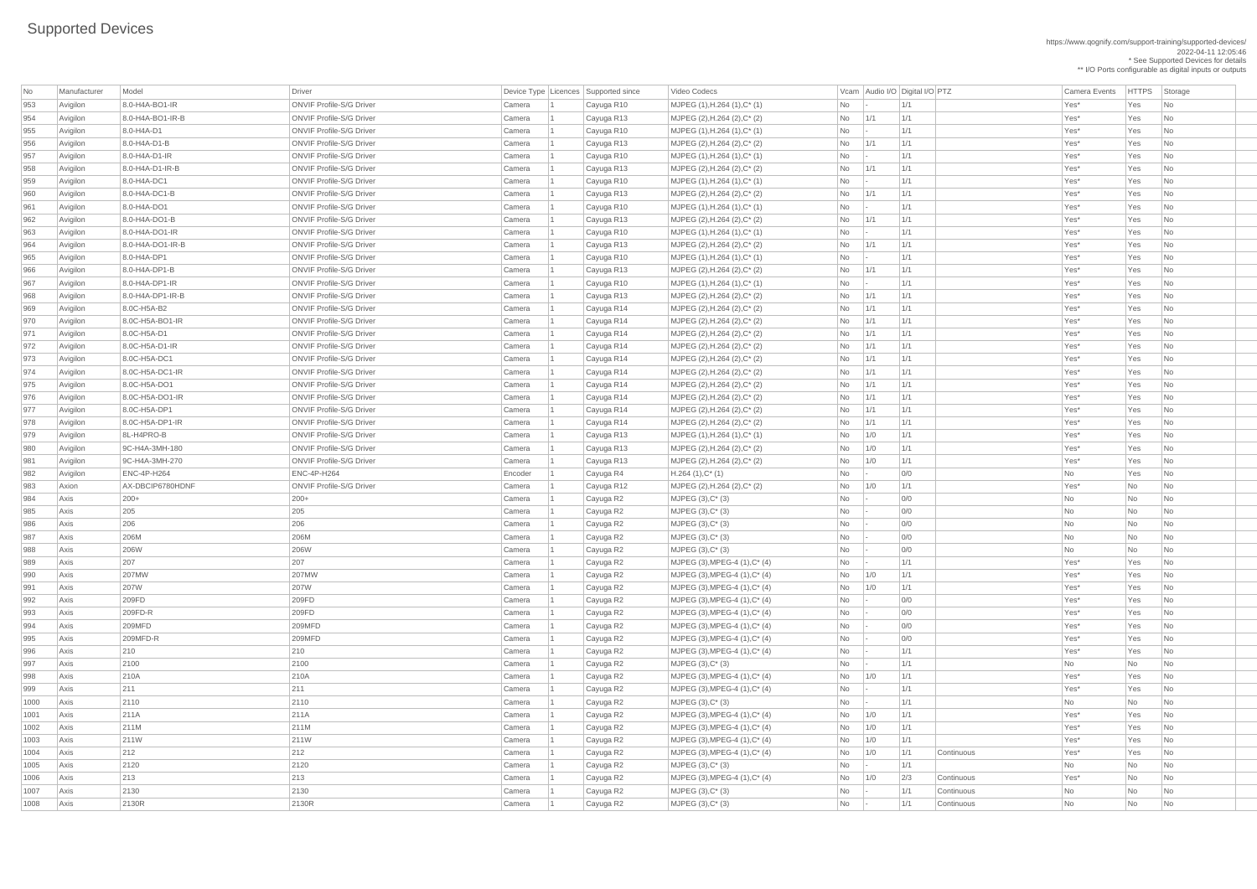https://www.qognify.com/support-training/supported-devices/ 2022-04-11 12:05:46 \* See Supported Devices for details

| No         | Manufacturer | Model              | Driver                          |                  | Device Type Licences Supported since | Video Codecs                                                       |                 |                | Vcam Audio I/O Digital I/O PTZ |            | <b>Camera Events</b> | <b>HTTPS</b> | Storage                     |
|------------|--------------|--------------------|---------------------------------|------------------|--------------------------------------|--------------------------------------------------------------------|-----------------|----------------|--------------------------------|------------|----------------------|--------------|-----------------------------|
| 953        | Avigilon     | 8.0-H4A-BO1-IR     | <b>ONVIF Profile-S/G Driver</b> | Camera           | Cayuga R10                           | MJPEG (1), H.264 (1), C* (1)                                       | No              |                | 1/1                            |            | Yes*                 | Yes          | <b>No</b>                   |
| 954        | Avigilon     | 8.0-H4A-BO1-IR-B   | <b>ONVIF Profile-S/G Driver</b> | Camera           | Cayuga R13                           | MJPEG (2), H.264 (2), C* (2)                                       | No              | 1/1            | 1/1                            |            | Yes*                 | Yes          | <b>No</b>                   |
| 955        | Avigilon     | 8.0-H4A-D1         | <b>ONVIF Profile-S/G Driver</b> | Camera           | Cayuga R10                           | MJPEG (1), H.264 (1), C* (1)                                       | No              | $\overline{a}$ | 1/1                            |            | Yes*                 | Yes          | No                          |
| 956        | Avigilon     | 8.0-H4A-D1-B       | <b>ONVIF Profile-S/G Driver</b> | Camera           | Cayuga R13                           | MJPEG (2), H.264 (2), C* (2)                                       | No              | 1/1            | 1/1                            |            | Yes*                 | Yes          | <b>No</b>                   |
| 957        | Avigilon     | 8.0-H4A-D1-IR      | <b>ONVIF Profile-S/G Driver</b> | Camera           | Cayuga R10                           | MJPEG (1), H.264 (1), C* (1)                                       | <b>No</b>       |                | 1/1                            |            | Yes*                 | Yes          | No                          |
| 958        | Avigilon     | 8.0-H4A-D1-IR-B    | <b>ONVIF Profile-S/G Driver</b> | Camera           | Cayuga R13                           | MJPEG (2), H.264 (2), C* (2)                                       | No              | 1/1            | 1/1                            |            | Yes*                 | Yes          | <b>No</b>                   |
| 959        | Avigilon     | 8.0-H4A-DC1        | <b>ONVIF Profile-S/G Driver</b> | Camera           | Cayuga R10                           | $MJPEG (1), H.264 (1), C^* (1)$                                    | No              |                | 1/1                            |            | Yes*                 | Yes          | No                          |
| 960        | Avigilon     | 8.0-H4A-DC1-B      | <b>ONVIF Profile-S/G Driver</b> | Camera           | Cayuga R13                           | MJPEG (2), H.264 (2), C* (2)                                       | No              | 1/1            | 1/1                            |            | Yes*                 | Yes          | <b>No</b>                   |
| 961        | Avigilon     | 8.0-H4A-DO1        | <b>ONVIF Profile-S/G Driver</b> | Camera           | Cayuga R10                           | MJPEG (1), H.264 (1), C* (1)                                       | N <sub>o</sub>  | $\overline{a}$ | 1/1                            |            | Yes*                 | Yes          | No                          |
| 962        | Avigilon     | 8.0-H4A-DO1-B      | <b>ONVIF Profile-S/G Driver</b> | Camera           | Cayuga R13                           | MJPEG (2), H.264 (2), C* (2)                                       | No              | 1/1            | 1/1                            |            | Yes*                 | Yes          | <b>No</b>                   |
| 963        | Avigilon     | 8.0-H4A-DO1-IR     | <b>ONVIF Profile-S/G Driver</b> | Camera           | Cayuga R10                           | MJPEG (1), H.264 (1), C* (1)                                       | No              |                | 1/1                            |            | Yes*                 | Yes          | No                          |
| 964        | Avigilon     | 8.0-H4A-DO1-IR-B   | <b>ONVIF Profile-S/G Driver</b> | Camera           | Cayuga R13                           | MJPEG (2), H.264 (2), C* (2)                                       | <b>No</b>       | 1/1            | 1/1                            |            | Yes*                 | Yes          | No                          |
| 965        | Avigilon     | 8.0-H4A-DP1        | <b>ONVIF Profile-S/G Driver</b> | Camera           | Cayuga R10                           | $MJPEG (1), H.264 (1), C^* (1)$                                    | No              |                | 1/1                            |            | Yes*                 | Yes          | <b>No</b>                   |
| 966        | Avigilon     | 8.0-H4A-DP1-B      | <b>ONVIF Profile-S/G Driver</b> | Camera           | Cayuga R13                           | MJPEG (2), H.264 (2), C* (2)                                       | No              | 1/1            | 1/1                            |            | Yes*                 | Yes          | No                          |
| 967        | Avigilon     | 8.0-H4A-DP1-IR     | <b>ONVIF Profile-S/G Driver</b> | Camera           | Cayuga R10                           | MJPEG (1), H.264 (1), C* (1)                                       | No              | $\overline{a}$ | 1/1                            |            | Yes*                 | Yes          | No                          |
| 968        | Avigilon     | 8.0-H4A-DP1-IR-B   | <b>ONVIF Profile-S/G Driver</b> | Camera           | Cayuga R13                           | MJPEG (2), H.264 (2), C* (2)                                       | No              | 1/1            | 1/1                            |            | Yes*                 | Yes          | No                          |
| 969        | Avigilon     | 8.0C-H5A-B2        | <b>ONVIF Profile-S/G Driver</b> | Camera           | Cayuga R14                           | MJPEG (2), H.264 (2), C* (2)                                       | No              | 1/1            | 1/1                            |            | Yes*                 | Yes          | No                          |
| 970        | Avigilon     | 8.0C-H5A-BO1-IR    | <b>ONVIF Profile-S/G Driver</b> | Camera           | Cayuga R14                           | MJPEG (2), H.264 (2), C* (2)                                       | No              | 1/1            | 1/1                            |            | Yes*                 | Yes          | No                          |
| 971        | Avigilon     | 8.0C-H5A-D1        | <b>ONVIF Profile-S/G Driver</b> | Camera           | Cayuga R14                           | $MJPEG (2), H.264 (2), C^* (2)$                                    | No              | 1/1            | 1/1                            |            | Yes*                 | Yes          | <b>No</b>                   |
| 972        | Avigilon     | 8.0C-H5A-D1-IR     | <b>ONVIF Profile-S/G Driver</b> | Camera           | Cayuga R14                           | MJPEG (2), H.264 (2), C* (2)                                       | N <sub>o</sub>  | 1/1            | 1/1                            |            | Yes*                 | Yes          | No                          |
| 973        | Avigilon     | 8.0C-H5A-DC1       | <b>ONVIF Profile-S/G Driver</b> | Camera           | Cayuga R14                           | MJPEG (2), H.264 (2), C* (2)                                       | No              | 1/1            | 1/1                            |            | Yes*                 | Yes          | No                          |
| 974        | Avigilon     | 8.0C-H5A-DC1-IR    | <b>ONVIF Profile-S/G Driver</b> | Camera           | Cayuga R14                           | MJPEG (2), H.264 (2), C* (2)                                       | No              | 1/1            | 1/1                            |            | Yes*                 | Yes          | <b>No</b>                   |
| 975        | Avigilon     | 8.0C-H5A-DO1       | <b>ONVIF Profile-S/G Driver</b> | Camera           | Cayuga R14                           | MJPEG (2), H.264 (2), C* (2)                                       | No              | 1/1            | 1/1                            |            | Yes*                 | Yes          | <b>No</b>                   |
| 976        | Avigilon     | 8.0C-H5A-DO1-IR    | <b>ONVIF Profile-S/G Driver</b> | Camera           | Cayuga R14                           | MJPEG (2), H.264 (2), C* (2)                                       | No              | 1/1            | 1/1                            |            | Yes*                 | Yes          | No                          |
| 977        | Avigilon     | 8.0C-H5A-DP1       | <b>ONVIF Profile-S/G Driver</b> | Camera           | Cayuga R14                           | MJPEG (2), H.264 (2), C* (2)                                       | No              | 1/1            | 1/1                            |            | Yes*                 | Yes          | No.                         |
| 978        | Avigilon     | 8.0C-H5A-DP1-IR    | <b>ONVIF Profile-S/G Driver</b> | Camera           | Cayuga R14                           | MJPEG (2), H.264 (2), C* (2)                                       | No              | 1/1            | 1/1                            |            | Yes*                 | Yes          | No.                         |
| 979        | Avigilon     | 8L-H4PRO-B         | <b>ONVIF Profile-S/G Driver</b> | Camera           | Cayuga R13                           | MJPEG (1), H.264 (1), C* (1)                                       | No              | 1/0            | 1/1                            |            | Yes*                 | Yes          | No                          |
| 980        | Avigilon     | 9C-H4A-3MH-180     | <b>ONVIF Profile-S/G Driver</b> | Camera           | Cayuga R13                           | MJPEG (2), H.264 (2), C* (2)                                       | No              | 1/0            | 1/1                            |            | Yes*                 | Yes          | No                          |
| 981        | Avigilon     | 9C-H4A-3MH-270     | <b>ONVIF Profile-S/G Driver</b> | Camera           | Cayuga R13                           | MJPEG (2), H.264 (2), C* (2)                                       | No              | 1/0            | 1/1                            |            | Yes*                 | Yes          | No                          |
| 982        | Avigilon     | <b>ENC-4P-H264</b> | <b>ENC-4P-H264</b>              | Encoder          | Cayuga R4                            | $H.264(1),C^*(1)$                                                  | No              | $\overline{a}$ | 0/0                            |            | No                   | Yes          | No                          |
| 983        | Axion        | AX-DBCIP6780HDNF   | <b>ONVIF Profile-S/G Driver</b> | Camera           | Cayuga R12                           | MJPEG (2), H.264 (2), C* (2)                                       | No              | 1/0            | 1/1                            |            | Yes*                 | No           | No                          |
| 984        | Axis         | $ 200+$            | $200+$                          | Camera           | Cayuga R2                            | MJPEG (3), C* (3)                                                  | No              |                | O/O                            |            | No                   | <b>No</b>    | No                          |
| 985        | Axis         | 205                | 205                             | Camera           | Cayuga R2                            | MJPEG (3), C* (3)                                                  | No              |                | 0/0                            |            | No                   | No           | No                          |
| 986        | Axis         | 206                | 206                             | Camera           | Cayuga R2                            | MJPEG (3), C* (3)                                                  | No              |                | 0/0                            |            | No                   | No           | <b>No</b>                   |
| 987        | Axis         | 206M               | 206M                            | Camera           | Cayuga R2                            | MJPEG (3), C* (3)                                                  | No              |                | O/O                            |            | No                   | No           | No                          |
| 988        | Axis         | 206W               | 206W                            | Camera           | Cayuga R2                            | $MJPEG (3), C^*(3)$                                                | No              |                | 0/0                            |            | No                   | No           | No                          |
| 989        | Axis         | 207<br>207MW       | 207<br>207MW                    | Camera           | Cayuga R2                            | MJPEG (3), MPEG-4 (1), C* (4)                                      | No              |                | 1/1<br>1/1                     |            | Yes*<br>Yes*         | Yes<br>Yes   | No<br>No                    |
| 990        | Axis         | 207W               | 207W                            | Camera<br>Camera | Cayuga R2                            | $MJPEG (3), MPEG-4 (1), C^*(4)$                                    | No              | 1/0<br>1/0     | 1/1                            |            | Yes*                 | Yes          |                             |
| 991<br>992 | Axis<br>Axis | 209FD              | 209FD                           | Camera           | Cayuga R2                            | $MJPEG (3), MPEG-4 (1), C^*(4)$<br>$MJPEG (3), MPEG-4 (1), C^*(4)$ | No              |                | 0/0                            |            | Yes*                 | Yes          | No<br>No                    |
| 993        | Axis         | 209FD-R            | 209FD                           | Camera           | Cayuga R2<br>Cayuga R2               | MJPEG (3), MPEG-4 (1), C* (4)                                      | No<br><b>No</b> |                | O/O                            |            | Yes*                 | Yes          | No                          |
| 994        | Axis         | 209MFD             | 209MFD                          | Camera           | Cayuga R2                            | $MJPEG (3), MPEG-4 (1), C^*(4)$                                    | <b>No</b>       |                | 0/0                            |            | Yes*                 | Yes          | No                          |
| 995        | Axis         | 209MFD-R           | 209MFD                          | Camera           | Cayuga R2                            | $MJPEG (3), MPEG-4 (1), C^*(4)$                                    | No              |                | 0/0                            |            | Yes*                 | Yes          | No                          |
| 996        | Axis         | 210                | 210                             | Camera           | Cayuga R2                            | $MJPEG (3), MPEG-4 (1), C^*(4)$                                    | No              |                | 1/1                            |            | Yes*                 | Yes          | No                          |
| 997        | Axis         | 2100               | 2100                            | Camera           | Cayuga R2                            | $MJPEG (3), C^*(3)$                                                | No              |                | 1/1                            |            | No                   | No           | No                          |
| 998        | Axis         | 210A               | 210A                            | Camera           | Cayuga R2                            | $MJPEG (3), MPEG-4 (1), C^*(4)$                                    | No              | 1/0            | 1/1                            |            | Yes*                 | Yes          | No                          |
| 999        | Axis         | 211                | 211                             | Camera           | Cayuga R2                            | MJPEG (3), MPEG-4 (1), C* (4)                                      | <b>No</b>       | $\frac{1}{2}$  | 1/1                            |            | Yes*                 | Yes          | No                          |
| 1000       | Axis         | 2110               | 2110                            | Camera           | Cayuga R2                            | $MJPEG (3), C^*(3)$                                                | No              |                | 1/1                            |            | No                   | No           | <b>No</b>                   |
| 1001       | Axis         | 211A               | 211A                            | Camera           | Cayuga R2                            | $MJPEG (3), MPEG-4 (1), C^*(4)$                                    | No              | 1/0            | 1/1                            |            | Yes*                 | Yes          | No                          |
| 1002       | Axis         | 211M               | 211M                            | Camera           | Cayuga R2                            | MJPEG (3), MPEG-4 (1), $C^*$ (4)                                   | No              | 1/0            | 1/1                            |            | Yes*                 | Yes          | No                          |
| 1003       | Axis         | 211W               | 211W                            | Camera           | Cayuga R2                            | MJPEG (3), MPEG-4 (1), C* (4)                                      | No              | 1/0            | 1/1                            |            | Yes*                 | Yes          | No                          |
| 1004       | Axis         | 212                | 212                             | Camera           | Cayuga R2                            | MJPEG (3), MPEG-4 $(1)$ , C $*$ $(4)$                              | N <sub>o</sub>  | 1/0            | 1/1                            | Continuous | Yes*                 | Yes          | No                          |
| 1005       | Axis         | 2120               | 2120                            | Camera           | Cayuga R2                            | $MJPEG (3), C^* (3)$                                               |                 |                | 1/1                            |            | No                   | No           | No                          |
| 1006       | Axis         | 213                | 213                             | Camera           | Cayuga R2                            | $MJPEG (3), MPEG-4 (1), C*(4)$                                     | $No$ $1/0$      |                | 2/3                            | Continuous | Yes*                 | No           | No                          |
| 1007       | Axis         | 2130               | 2130                            | Camera           | Cayuga R2                            | $MJPEG (3), C^*(3)$                                                | No              | $\sim$         | 1/1                            | Continuous | No                   | No           | No                          |
| 1008       | Axis         | 2130R              | 2130R                           | Camera           | Cayuga R2                            | $MJPEG (3), C^* (3)$                                               |                 |                | 1/1                            | Continuous | No                   | No           | $\overline{\phantom{a}}$ No |
|            |              |                    |                                 |                  |                                      |                                                                    |                 |                |                                |            |                      |              |                             |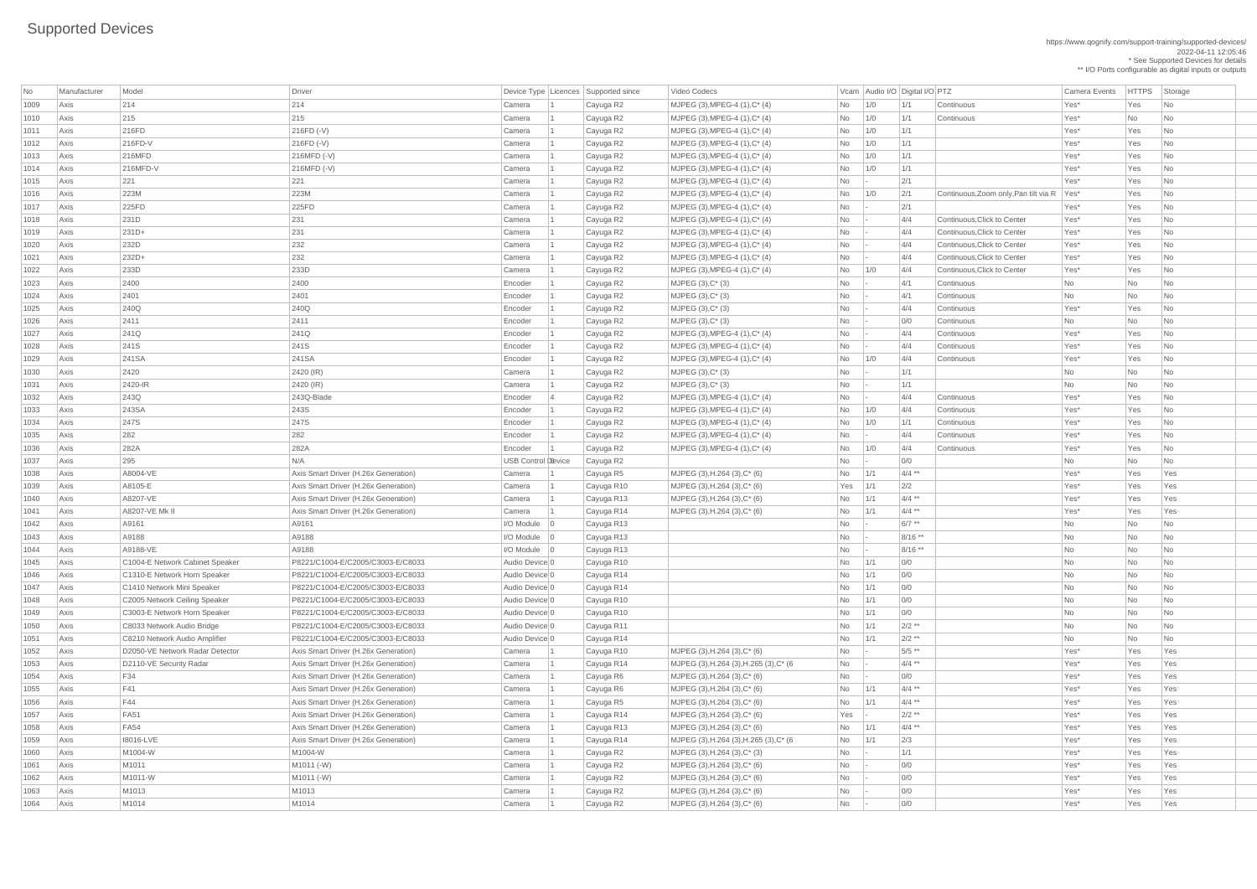| No           | Manufacturer | Model                           | Driver                               | Device Type   Licences   Supported since |                        | Video Codecs                                                                         |           | Vcam Audio I/O Digital I/O PTZ |            |                                            | Camera Events | <b>HTTPS</b> | Storage   |
|--------------|--------------|---------------------------------|--------------------------------------|------------------------------------------|------------------------|--------------------------------------------------------------------------------------|-----------|--------------------------------|------------|--------------------------------------------|---------------|--------------|-----------|
| 1009<br>1010 | Axis         | 214<br>215                      | 214<br>215                           | Camera<br>Camera                         | Cayuga R2              | MJPEG $(3)$ , MPEG-4 $(1)$ , C $*$ $(4)$<br>MJPEG $(3)$ , MPEG-4 $(1)$ , C $*$ $(4)$ | No        | 1/0                            | 1/1<br>1/1 | Continuous<br>Continuous                   | Yes*<br>Yes*  | Yes<br>No    | No        |
|              | Axis         |                                 |                                      |                                          | Cayuga R2              |                                                                                      | <b>No</b> | 1/0                            |            |                                            |               |              | No        |
| 1011<br>1012 | Axis<br>Axis | 216FD<br>$216FD-V$              | 216FD (-V)<br>$216FD$ (-V)           | Camera<br>Camera                         | Cayuga R2              | $MJPEG (3), MPEG-4 (1), C^*(4)$<br>$MJPEG (3), MPEG-4 (1), C^*(4)$                   | No        | 1/0<br>1/0                     | 1/1<br>1/1 |                                            | Yes*<br>Yes*  | Yes<br>Yes   | No<br>No  |
| 1013         | Axis         | 216MFD                          | 216MFD (-V)                          | Camera                                   | Cayuga R2<br>Cayuga R2 | MJPEG $(3)$ , MPEG-4 $(1)$ , C* $(4)$                                                | No<br>No  | 1/0                            | 1/1        |                                            | Yes*          | Yes          | No        |
|              |              |                                 |                                      |                                          |                        |                                                                                      |           |                                |            |                                            |               |              |           |
| 1014<br>1015 | Axis         | 216MFD-V<br>221                 | 216MFD (-V)<br>221                   | Camera                                   | Cayuga R2              | $MJPEG (3), MPEG-4 (1), C^*(4)$<br>MJPEG (3), MPEG-4 (1), $C^*$ (4)                  | No        | 1/0                            | 1/1<br>2/1 |                                            | Yes*<br>Yes*  | Yes<br>Yes   | No        |
| 1016         | Axis<br>Axis | 223M                            | 223M                                 | Camera<br>Camera                         | Cayuga R2              | MJPEG (3), MPEG-4 (1), $C^*$ (4)                                                     | No        |                                | 2/1        | Continuous, Zoom only, Pan tilt via R Yes* |               |              | No        |
|              |              | 225FD                           | 225FD                                |                                          | Cayuga R2              |                                                                                      | No        | 1/0                            | 2/1        |                                            |               | Yes          | No        |
| 1017         | Axis         |                                 |                                      | Camera                                   | Cayuga R2              | $MJPEG (3), MPEG-4 (1), C^*(4)$                                                      | No        |                                |            | Continuous, Click to Center                | Yes*<br>Yes*  | Yes          | No        |
| 1018         | Axis         | 231D                            | 231                                  | Camera                                   | Cayuga R2              | MJPEG (3), MPEG-4 (1), $C^*$ (4)                                                     | No        |                                | 4/4<br>4/4 | Continuous, Click to Center                |               | Yes          | No        |
| 1019         | Axis         | $231D+$<br>232D                 | 231                                  | Camera                                   | Cayuga R2              | MJPEG (3), MPEG-4 (1), $C^*$ (4)                                                     | No        |                                |            | Continuous, Click to Center                | Yes*<br>Yes*  | Yes          | No        |
| 1020<br>1021 | Axis         | $232D+$                         | 232<br>232                           | Camera<br>Camera                         | Cayuga R2              | MJPEG (3), MPEG-4 (1), C* (4)<br>MJPEG $(3)$ , MPEG-4 $(1)$ , C $*$ $(4)$            | No        |                                | 4/4<br>4/4 | Continuous, Click to Center                | Yes*          | Yes          | No<br>No  |
|              | Axis         |                                 |                                      |                                          | Cayuga R2              |                                                                                      | No        |                                |            |                                            |               | Yes          |           |
| 1022         | Axis         | 233D                            | 233D                                 | Camera                                   | Cayuga R2              | MJPEG $(3)$ , MPEG-4 $(1)$ , C $*$ $(4)$                                             | No        | 1/0                            | 4/4        | Continuous, Click to Center                | Yes*          | Yes          | No        |
| 1023         | Axis         | 2400                            | 2400                                 | Encoder                                  | Cayuga R2              | $MJPEG (3), C^* (3)$                                                                 | No        |                                | 4/1        | Continuous                                 | No            | No           | No        |
| 1024         | Axis         | 2401                            | 2401                                 | Encoder                                  | Cayuga R2              | MJPEG (3), C* (3)                                                                    | No        |                                | 4/1        | Continuous                                 | No            | No           | No        |
| 1025         | Axis         | 240Q                            | 240Q                                 | Encoder                                  | Cayuga R2              | MJPEG (3), C* (3)                                                                    | No        |                                | 4/4        | Continuous                                 | Yes*          | Yes          | No        |
| 1026         | Axis         | 2411                            | 2411                                 | Encoder                                  | Cayuga R2              | MJPEG (3), C* (3)                                                                    | No        |                                | 0/0        | Continuous                                 | <b>No</b>     | No           | No        |
| 1027         | Axis         | 241Q                            | 241Q                                 | Encoder                                  | Cayuga R2              | MJPEG $(3)$ , MPEG-4 $(1)$ , C $*$ $(4)$                                             | No        |                                | 4/4        | Continuous                                 | Yes*          | Yes          | No        |
| 1028         | Axis         | 241S                            | 241S                                 | Encoder                                  | Cayuga R2              | $MJPEG (3), MPEG-4 (1), C^*(4)$                                                      | No        |                                | 4/4        | Continuous                                 | Yes*          | Yes          | No        |
| 1029         | Axis         | 241SA                           | 241SA                                | Encoder                                  | Cayuga R2              | $MJPEG (3), MPEG-4 (1), C^*(4)$                                                      | No        | 1/0                            | 4/4        | Continuous                                 | Yes*          | Yes          | No        |
| 1030         | Axis         | 2420                            | 2420 (IR)                            | Camera                                   | Cayuga R2              | $MJPEG (3), C^*(3)$                                                                  | No        |                                | 1/1        |                                            | No            | No           | No        |
| 1031         | Axis         | 2420-IR                         | 2420 (IR)                            | Camera                                   | Cayuga R2              | MJPEG (3), C* (3)                                                                    | No        |                                | 1/1        |                                            | No            | No           | No        |
| 1032         | Axis         | 243Q                            | 243Q-Blade                           | Encoder                                  | Cayuga R2              | MJPEG (3), MPEG-4 (1), C* (4)                                                        | No        |                                | 4/4        | Continuous                                 | Yes*          | Yes          | No        |
| 1033         | Axis         | 243SA                           | 243S                                 | Encoder                                  | Cayuga R2              | MJPEG (3), MPEG-4 (1), C* (4)                                                        | No        | 1/0                            | 4/4        | Continuous                                 | Yes*          | Yes          | No        |
| 1034         | Axis         | 247S                            | 247S                                 | Encoder                                  | Cayuga R2              | MJPEG (3), MPEG-4 (1), $C^*$ (4)                                                     | No        | 1/0                            | 1/1        | Continuous                                 | Yes*          | Yes          | <b>No</b> |
| 1035         | Axis         | 282                             | 282                                  | Encoder                                  | Cayuga R2              | MJPEG $(3)$ , MPEG-4 $(1)$ , C $*$ $(4)$                                             | No        |                                | 4/4        | Continuous                                 | Yes*          | Yes          | No        |
| 1036         | Axis         | 282A                            | 282A                                 | Encoder                                  | Cayuga R2              | $MJPEG (3), MPEG-4 (1), C^*(4)$                                                      | No        | 1/0                            | 4/4        | Continuous                                 | Yes*          | Yes          | No        |
| 1037         | Axis         | 295                             | N/A                                  | <b>USB Control Device</b>                | Cayuga R2              |                                                                                      | No        |                                | 0/0        |                                            | No            | No           | No        |
| 1038         | Axis         | A8004-VE                        | Axis Smart Driver (H.26x Generation) | Camera                                   | Cayuga R5              | MJPEG $(3)$ , H.264 $(3)$ , C* $(6)$                                                 | No        | 1/1                            | $4/4$ **   |                                            | Yes*          | Yes          | Yes       |
| 1039         | Axis         | A8105-E                         | Axis Smart Driver (H.26x Generation) | Camera                                   | Cayuga R10             | $MJPEG (3), H.264 (3), C*(6)$                                                        | Yes       | 1/1                            | 2/2        |                                            | Yes*          | Yes          | Yes       |
| 1040         | Axis         | A8207-VE                        | Axis Smart Driver (H.26x Generation) | Camera                                   | Cayuga R13             | MJPEG $(3)$ , H.264 $(3)$ , C* $(6)$                                                 | No        | 1/1                            | $4/4$ **   |                                            | Yes*          | Yes          | Yes       |
| 1041         | Axis         | A8207-VE Mk II                  | Axis Smart Driver (H.26x Generation) | Camera                                   | Cayuga R14             | MJPEG $(3)$ , H.264 $(3)$ , C* $(6)$                                                 | No        | $\vert$ 1/1                    | $4/4$ **   |                                            | Yes*          | Yes          | Yes       |
| 1042         | Axis         | A9161                           | A9161                                | $I/O$ Module $ 0$                        | Cayuga R13             |                                                                                      | No        |                                | $6/7$ **   |                                            | No            | No           | No        |
| 1043         | Axis         | A9188                           | A9188                                | $I/O$ Module $ 0$                        | Cayuga R13             |                                                                                      | <b>No</b> |                                | 8/16 **    |                                            | No            | No           | <b>No</b> |
| 1044         | Axis         | A9188-VE                        | A9188                                | $I/O$ Module $ 0$                        | Cayuga R13             |                                                                                      | No        |                                | 8/16 **    |                                            | No            | No           | No        |
| 1045         | Axis         | C1004-E Network Cabinet Speaker | P8221/C1004-E/C2005/C3003-E/C8033    | Audio Device 0                           | Cayuga R10             |                                                                                      | No        | 1/1                            | 0/0        |                                            | No            | No           | No        |
| 1046         | Axis         | C1310-E Network Horn Speaker    | P8221/C1004-E/C2005/C3003-E/C8033    | Audio Device 0                           | Cayuga R14             |                                                                                      | No        | 1/1                            | 0/0        |                                            | No            | No           | <b>No</b> |
| 1047         | Axis         | C1410 Network Mini Speaker      | P8221/C1004-E/C2005/C3003-E/C8033    | Audio Device 0                           | Cayuga R14             |                                                                                      | No        | 1/1                            | 0/0        |                                            | No            | No           | No        |
| 1048         | Axis         | C2005 Network Ceiling Speaker   | P8221/C1004-E/C2005/C3003-E/C8033    | Audio Device 0                           | Cayuga R10             |                                                                                      | No        | 1/1                            | 0/0        |                                            | No            | No           | No        |
| 1049         | Axis         | C3003-E Network Horn Speaker    | P8221/C1004-E/C2005/C3003-E/C8033    | Audio Device 0                           | Cayuga R10             |                                                                                      | No        | 1/1                            | 0/0        |                                            | No            | No           | <b>No</b> |
| 1050         | Axis         | C8033 Network Audio Bridge      | P8221/C1004-E/C2005/C3003-E/C8033    | Audio Device 0                           | Cayuga R11             |                                                                                      | No        | 1/1                            | $2/2$ **   |                                            | No            | No           | No        |
| 1051         | Axis         | C8210 Network Audio Amplifier   | P8221/C1004-E/C2005/C3003-E/C8033    | Audio Device 0                           | Cayuga R14             |                                                                                      | No        | 1/1                            | $2/2$ **   |                                            | No            | <b>No</b>    | No        |
| 1052         | Axis         | D2050-VE Network Radar Detector | Axis Smart Driver (H.26x Generation) | Camera                                   | Cayuga R10             | MJPEG $(3)$ , H.264 $(3)$ , C* $(6)$                                                 | No        |                                | $5/5$ **   |                                            | Yes*          | Yes          | Yes       |
| 1053         | Axis         | D2110-VE Security Radar         | Axis Smart Driver (H.26x Generation) | Camera                                   | Cayuga R14             | MJPEG (3), H.264 (3), H.265 (3), C* (6                                               | No        |                                | $4/4$ **   |                                            | Yes*          | Yes          | Yes       |
| 1054         | Axis         | F34                             | Axis Smart Driver (H.26x Generation) | Camera                                   | Cayuga R6              | MJPEG $(3)$ , H.264 $(3)$ , C* $(6)$                                                 | No        |                                | 0/0        |                                            | Yes*          | Yes          | Yes       |
| 1055         | Axis         | F41                             | Axis Smart Driver (H.26x Generation) | Camera                                   | Cayuga R6              | MJPEG (3), H.264 (3), $C^*$ (6)                                                      | No        | 1/1                            | $4/4$ **   |                                            | Yes*          | Yes          | Yes       |
| 1056         | Axis         | F44                             | Axis Smart Driver (H.26x Generation) | Camera                                   | Cayuga R5              | MJPEG $(3)$ , H.264 $(3)$ , C* $(6)$                                                 | No        | 1/1                            | $4/4$ **   |                                            | Yes*          | Yes          | Yes       |
| 1057         | Axis         | <b>FA51</b>                     | Axis Smart Driver (H.26x Generation) | Camera                                   | Cayuga R14             | MJPEG $(3)$ , H.264 $(3)$ , C* $(6)$                                                 | Yes       |                                | $2/2$ **   |                                            | Yes*          | Yes          | Yes       |
| 1058         | Axis         | <b>FA54</b>                     | Axis Smart Driver (H.26x Generation) | Camera                                   | Cayuga R13             | MJPEG $(3)$ , H.264 $(3)$ , C* $(6)$                                                 | No        |                                | $4/4$ **   |                                            | Yes*          | Yes          | Yes       |
| 1059         | Axis         | 18016-LVE                       | Axis Smart Driver (H.26x Generation) | Camera                                   | Cayuga R14             | MJPEG (3), H.264 (3), H.265 (3), C* (6                                               | No        | 1/1                            | 2/3        |                                            | Yes*          | Yes          | Yes       |
| 1060         | Axis         | M1004-W                         | M1004-W                              | Camera                                   | Cayuga R2              | MJPEG (3), H.264 (3), C* (3)                                                         | No        |                                | 1/1        |                                            | Yes*          | Yes          | Yes       |
| 1061         | Axis         | M1011                           | M1011 (-W)                           | Camera                                   | Cayuga R2              | MJPEG $(3)$ , H.264 $(3)$ , C* $(6)$                                                 | No        |                                | 0/0        |                                            | Yes*          | Yes          | Yes       |
| 1062         | Axis         | M1011-W                         | M1011 (-W)                           | Camera                                   | Cayuga R2              | MJPEG (3), H.264 (3), C* (6)                                                         | No        |                                | 0/0        |                                            | Yes*          | Yes          | Yes       |
| 1063         | Axis         | M1013                           | M1013                                | Camera                                   | Cayuga R2              | MJPEG $(3)$ , H.264 $(3)$ , C* $(6)$                                                 | No        |                                | 0/0        |                                            | Yes*          | Yes          | Yes       |
| 1064         | Axis         | M1014                           | M1014                                | Camera                                   | Cayuga R2              | MJPEG $(3)$ , H.264 $(3)$ , C* $(6)$                                                 | No        |                                | 0/0        |                                            | Yes*          | Yes          | Yes       |
|              |              |                                 |                                      |                                          |                        |                                                                                      |           |                                |            |                                            |               |              |           |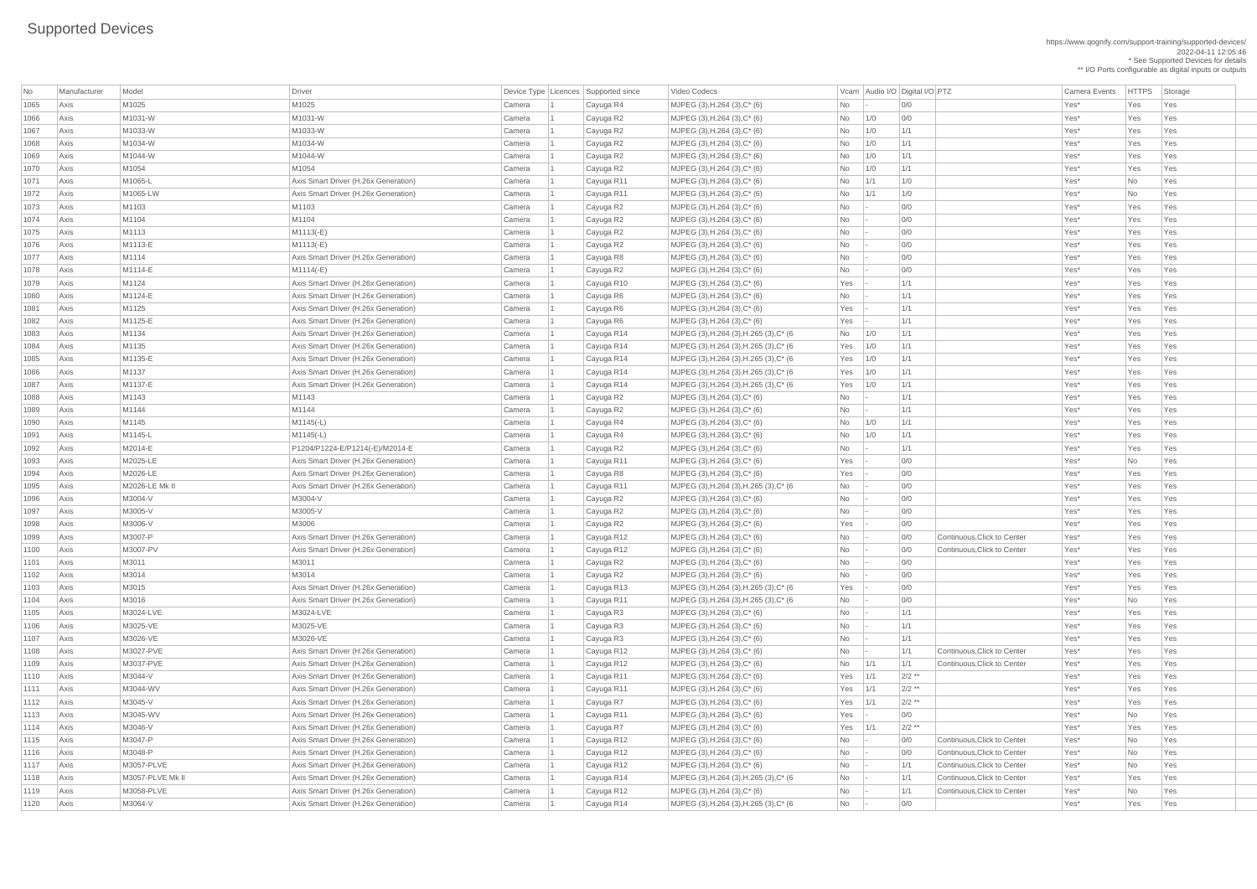https://www.qognify.com/support-training/supported-devices/ 2022-04-11 12:05:46 \* See Supported Devices for details

\*\* I/O Ports configurable as digital inputs or outputs

| MJPEG (3),H.264 (3),H.265 (3),C\* (6 Yes 1/0 1/1 1 Cayuga R14 MJPEG (3),H.264 (3),H.265 (3),C\* (6 Yes 1/0 1/1 Axis M1135-E Axis Smart Driver (H.26x Generation) Camera 1 Cayuga R14 MJPEG (3),H.264 (3),H.265 (3),C\* (6 Yes 1/0 1/1 Yes\* Yes Yes | MJPEG (3),H.264 (3),H.265 (3),C\* (6 Yes 1/0 1/1 1 Cayuga R14 MJPEG (3),H.264 (3),H.265 (3),C\* (6 Yes 1/0 1/1 Axis M1137-E Axis Smart Driver (H.26x Generation) Camera 1 Cayuga R14 MJPEG (3),H.264 (3),H.265 (3),C\* (6 Yes 1/0 1/1 Yes\* Yes Yes | MJPEG (3),H.264 (3),H.265 (3),C\* (6  $\blacksquare$  No  $\blacksquare$  - 0/0  $\blacksquare$  00  $\blacksquare$  Yes\* Yes Yes Yes | MJPEG (3),H.264 (3),H.265 (3),C\* (6 Yes - 0/0 Yes - 00 Yes - 1 Cayuga R13 MJPEG (3),H.264 (3),H.265 (3),C\* (6 | MJPEG (3),H.264 (3),H.265 (3),C\* (6  $\blacksquare$  No  $\blacksquare$  - 0/0  $\blacksquare$  0/0  $\blacksquare$  Yes\* No Yes  $\vert$  MJPEG (3),H.264 (3),H.265 (3),C\* (6  $\vert$   $\vert$  No  $\vert$  -  $\vert$  1/1  $\vert$  Continuous,Click to Center  $\vert$  Yes Yes Yes Yes | 1120 MJPEG (3), H.264 (3), H.265 (3), C\* (6 No - 0/0 | 0/0 | 0/0 Yes\* Yes Yes Yes

| No   | Manufacturer | Model            | Driver                               |        | Device Type Licences Supported since | Video Codecs                           |                | Vcam Audio I/O Digital I/O PTZ |          |                             | <b>Camera Events</b> | <b>HTTPS</b> | Storage |
|------|--------------|------------------|--------------------------------------|--------|--------------------------------------|----------------------------------------|----------------|--------------------------------|----------|-----------------------------|----------------------|--------------|---------|
| 1065 | Axis         | M1025            | M1025                                | Camera | Cayuga R4                            | MJPEG (3), H.264 (3), C* (6)           | No             |                                | 0/0      |                             | Yes*                 | Yes          | Yes     |
| 1066 | Axis         | M1031-W          | M1031-W                              | Camera | Cayuga R2                            | MJPEG $(3)$ , H.264 $(3)$ , C* $(6)$   | No             | 1/0                            | 0/0      |                             | Yes*                 | Yes          | Yes     |
| 1067 | Axis         | M1033-W          | M1033-W                              | Camera | Cayuga R2                            | MJPEG (3), H.264 (3), C* (6)           | No             | 1/0                            | 1/1      |                             | Yes*                 | Yes          | Yes     |
| 1068 | Axis         | M1034-W          | M1034-W                              | Camera | Cayuga R2                            | MJPEG $(3)$ , H.264 $(3)$ , C* $(6)$   | No             | 1/0                            | 1/1      |                             | Yes*                 | Yes          | Yes     |
| 1069 | Axis         | M1044-W          | M1044-W                              | Camera | Cayuga R2                            | MJPEG (3), H.264 (3), C* (6)           | No             | 1/0                            | 1/1      |                             | Yes*                 | Yes          | Yes     |
| 1070 | Axis         | M1054            | M1054                                | Camera | Cayuga R2                            | MJPEG (3), H.264 (3), C* (6)           | No             | 1/0                            | 1/1      |                             | Yes*                 | Yes          | Yes     |
| 1071 | Axis         | M1065-L          | Axis Smart Driver (H.26x Generation) | Camera | Cayuga R11                           | MJPEG $(3)$ , H.264 $(3)$ , C* $(6)$   | <b>No</b>      | 1/1                            | 1/0      |                             | Yes*                 | <b>No</b>    | Yes     |
| 1072 | Axis         | M1065-LW         | Axis Smart Driver (H.26x Generation) | Camera | Cayuga R11                           | MJPEG (3), H.264 (3), C* (6)           | No             | 1/1                            | 1/0      |                             | Yes*                 | No           | Yes     |
| 1073 | Axis         | M1103            | M1103                                | Camera | Cayuga R2                            | MJPEG $(3)$ , H.264 $(3)$ , C* $(6)$   | No             |                                | 0/0      |                             | Yes*                 | Yes          | Yes     |
| 1074 | Axis         | M1104            | M1104                                | Camera | Cayuga R2                            | MJPEG (3), H.264 (3), C* (6)           | No             |                                | 0/0      |                             | Yes*                 | Yes          | Yes     |
| 1075 | Axis         | M1113            | M1113(-E)                            | Camera | Cayuga R2                            | MJPEG (3), H.264 (3), C* (6)           | No             |                                | 0/0      |                             | Yes*                 | Yes          | Yes     |
| 1076 | Axis         | M1113-E          | M1113(-E)                            | Camera | Cayuga R2                            | MJPEG (3), H.264 (3), C* (6)           | No             |                                | 0/0      |                             | Yes*                 | Yes          | Yes     |
| 1077 | Axis         | M1114            | Axis Smart Driver (H.26x Generation) | Camera | Cayuga R8                            | MJPEG $(3)$ , H.264 $(3)$ , C* $(6)$   | No             |                                | 0/0      |                             | Yes*                 | Yes          | Yes     |
| 1078 | Axis         | M1114-E          | M1114(-E)                            | Camera | Cayuga R2                            | MJPEG (3), H.264 (3), C* (6)           | N <sub>o</sub> |                                | 0/0      |                             | Yes*                 | Yes          | Yes     |
| 1079 | Axis         | M1124            | Axis Smart Driver (H.26x Generation) | Camera | Cayuga R10                           | MJPEG $(3)$ , H.264 $(3)$ , C* $(6)$   | Yes            |                                | 1/1      |                             | Yes*                 | Yes          | Yes     |
| 1080 | Axis         | M1124-E          | Axis Smart Driver (H.26x Generation) | Camera | Cayuga R6                            | MJPEG (3), H.264 (3), C* (6)           | No             |                                | 1/1      |                             | Yes*                 | Yes          | Yes     |
| 1081 | Axis         | M1125            | Axis Smart Driver (H.26x Generation) | Camera | Cayuga R6                            | MJPEG (3), H.264 (3), C* (6)           | Yes            |                                | 1/1      |                             | Yes*                 | Yes          | Yes     |
| 1082 | Axis         | M1125-E          | Axis Smart Driver (H.26x Generation) | Camera | Cayuga R6                            | MJPEG (3), H.264 (3), C* (6)           | Yes            |                                | 1/1      |                             | Yes*                 | Yes          | Yes     |
| 1083 | Axis         | M1134            | Axis Smart Driver (H.26x Generation) | Camera | Cayuga R14                           | MJPEG (3), H.264 (3), H.265 (3), C* (6 | No             | 1/0                            | 1/1      |                             | Yes*                 | Yes          | Yes     |
| 1084 | Axis         | M1135            | Axis Smart Driver (H.26x Generation) | Camera | Cayuga R14                           | MJPEG (3), H.264 (3), H.265 (3), C* (6 | $Yes$ $1/0$    |                                | 1/1      |                             | Yes*                 | Yes          | Yes     |
| 1085 | Axis         | M1135-E          | Axis Smart Driver (H.26x Generation) | Camera | Cayuga R14                           | MJPEG (3), H.264 (3), H.265 (3), C* (6 | $Yes$ $1/0$    |                                | 1/1      |                             | Yes*                 | Yes          | Yes     |
| 1086 | Axis         | M1137            | Axis Smart Driver (H.26x Generation) | Camera | Cayuga R14                           | MJPEG (3), H.264 (3), H.265 (3), C* (6 | $Yes$   1/0    |                                | 1/1      |                             | Yes*                 | Yes          | Yes     |
| 1087 | Axis         | M1137-E          | Axis Smart Driver (H.26x Generation) | Camera | Cayuga R14                           | MJPEG (3), H.264 (3), H.265 (3), C* (6 | Yes $1/0$      |                                | 1/1      |                             | Yes*                 | Yes          | Yes     |
| 1088 | Axis         | M1143            | M1143                                | Camera | Cayuga R2                            | MJPEG (3), H.264 (3), C* (6)           | No             |                                | 1/1      |                             | Yes*                 | Yes          | Yes     |
| 1089 | Axis         | M1144            | M1144                                | Camera | Cayuga R2                            | MJPEG (3), H.264 (3), C* (6)           | <b>No</b>      |                                | 1/1      |                             | Yes*                 | Yes          | Yes     |
| 1090 | Axis         | M1145            | $M1145(-L)$                          | Camera | Cayuga R4                            | MJPEG (3), H.264 (3), C* (6)           | No             | 1/0                            | 1/1      |                             | Yes*                 | Yes          | Yes     |
| 1091 | Axis         | M1145-L          | M1145(-L)                            | Camera | Cayuga R4                            | MJPEG (3), H.264 (3), C* (6)           | <b>No</b>      | 1/0                            | 1/1      |                             | Yes*                 | Yes          | Yes     |
| 1092 | Axis         | M2014-E          | P1204/P1224-E/P1214(-E)/M2014-E      | Camera | Cayuga R2                            | MJPEG (3), H.264 (3), C* (6)           | No             |                                | 1/1      |                             | Yes*                 | Yes          | Yes     |
| 1093 | Axis         | M2025-LE         | Axis Smart Driver (H.26x Generation) | Camera | Cayuga R11                           | MJPEG (3), H.264 (3), C* (6)           | Yes            |                                | 0/0      |                             | Yes*                 | <b>No</b>    | Yes     |
| 1094 | Axis         | M2026-LE         | Axis Smart Driver (H.26x Generation) | Camera | Cayuga R8                            | MJPEG (3), H.264 (3), C* (6)           | Yes            |                                | 0/0      |                             | Yes*                 | Yes          | Yes     |
| 1095 | Axis         | M2026-LE Mk II   | Axis Smart Driver (H.26x Generation) | Camera | Cayuga R11                           | MJPEG (3), H.264 (3), H.265 (3), C* (6 | No             |                                | 0/0      |                             | Yes*                 | Yes          | Yes     |
| 1096 | Axis         | M3004-V          | M3004-V                              | Camera | Cayuga R2                            | MJPEG (3), H.264 (3), C* (6)           | No             |                                | 0/0      |                             | Yes*                 | Yes          | Yes     |
| 1097 | Axis         | M3005-V          | M3005-V                              | Camera | Cayuga R2                            | MJPEG (3), H.264 (3), C* (6)           | No             |                                | 0/0      |                             | Yes*                 | Yes          | Yes     |
| 1098 | Axis         | M3006-V          | M3006                                | Camera | Cayuga R2                            | MJPEG (3), H.264 (3), C* (6)           | Yes            |                                | 0/0      |                             | Yes*                 | Yes          | Yes     |
| 1099 | Axis         | M3007-P          | Axis Smart Driver (H.26x Generation) | Camera | Cayuga R12                           | MJPEG (3), H.264 (3), C* (6)           | No             |                                | 0/0      | Continuous, Click to Center | Yes*                 | Yes          | Yes     |
| 1100 | Axis         | M3007-PV         | Axis Smart Driver (H.26x Generation) | Camera | Cayuga R12                           | MJPEG (3), H.264 (3), C* (6)           | No             |                                | 0/0      | Continuous, Click to Center | Yes*                 | Yes          | Yes     |
| 1101 | Axis         | M3011            | M3011                                | Camera | Cayuga R2                            | MJPEG (3), H.264 (3), C* (6)           | No             |                                | 0/0      |                             | Yes*                 | Yes          | Yes     |
| 1102 | Axis         | M3014            | M3014                                | Camera | Cayuga R2                            | MJPEG (3), H.264 (3), C* (6)           | No             |                                | 0/0      |                             | Yes*                 | Yes          | Yes     |
| 1103 | Axis         | M3015            | Axis Smart Driver (H.26x Generation) | Camera | Cayuga R13                           | MJPEG (3), H.264 (3), H.265 (3), C* (6 | Yes            |                                | 0/0      |                             | Yes*                 | Yes          | Yes     |
| 1104 | Axis         | M3016            | Axis Smart Driver (H.26x Generation) | Camera | Cayuga R11                           | MJPEG (3), H.264 (3), H.265 (3), C* (6 | No             |                                | 0/0      |                             | Yes*                 | <b>No</b>    | Yes     |
| 1105 | Axis         | M3024-LVE        | M3024-LVE                            | Camera | Cayuga R3                            | MJPEG (3), H.264 (3), C* (6)           | <b>No</b>      |                                | 1/1      |                             | Yes*                 | Yes          | Yes     |
| 1106 | Axis         | M3025-VE         | M3025-VE                             | Camera | Cayuga R3                            | MJPEG (3), H.264 (3), C* (6)           | No             |                                | 1/1      |                             | Yes*                 | Yes          | Yes     |
| 1107 | Axis         | M3026-VE         | M3026-VE                             | Camera | Cayuga R3                            | MJPEG (3), H.264 (3), C* (6)           | No             |                                | 1/1      |                             | Yes*                 | Yes          | Yes     |
| 1108 | Axis         | M3027-PVE        | Axis Smart Driver (H.26x Generation) | Camera | Cayuga R12                           | MJPEG (3), H.264 (3), C* (6)           | No             |                                | 1/1      | Continuous, Click to Center | Yes*                 | Yes          | Yes     |
| 1109 | Axis         | M3037-PVE        | Axis Smart Driver (H.26x Generation) | Camera | Cayuga R12                           | MJPEG (3), H.264 (3), C* (6)           | <b>No</b>      | 1/1                            | 1/1      | Continuous, Click to Center | Yes*                 | Yes          | Yes     |
| 1110 | Axis         | M3044-V          | Axis Smart Driver (H.26x Generation) | Camera | Cayuga R11                           | MJPEG (3), H.264 (3), C* (6)           | Yes            | 1/1                            | $2/2$ ** |                             | Yes*                 | Yes          | Yes     |
| 1111 | Axis         | M3044-WV         | Axis Smart Driver (H.26x Generation) | Camera | Cayuga R11                           | MJPEG (3), H.264 (3), C* (6)           | Yes            | 1/1                            | $2/2$ ** |                             | Yes*                 | Yes          | Yes     |
| 1112 | Axis         | M3045-V          | Axis Smart Driver (H.26x Generation) | Camera | Cayuga R7                            | MJPEG (3), H.264 (3), C* (6)           | Yes            | 1/1                            | $2/2$ ** |                             | Yes*                 | Yes          | Yes     |
| 1113 | Axis         | M3045-WV         | Axis Smart Driver (H.26x Generation) | Camera | Cayuga R11                           | MJPEG (3), H.264 (3), C* (6)           | Yes            |                                | 0/0      |                             | Yes*                 | <b>No</b>    | Yes     |
| 1114 | Axis         | M3046-V          | Axis Smart Driver (H.26x Generation) | Camera | Cayuga R7                            | MJPEG (3), H.264 (3), C* (6)           | Yes            | 1/1                            | $2/2$ ** |                             | Yes*                 | Yes          | Yes     |
| 1115 | Axis         | M3047-P          | Axis Smart Driver (H.26x Generation) | Camera | Cayuga R12                           | MJPEG (3), H.264 (3), C* (6)           | No             |                                | 0/0      | Continuous, Click to Center | Yes*                 | <b>No</b>    | Yes     |
| 1116 | Axis         | M3048-P          | Axis Smart Driver (H.26x Generation) | Camera | Cayuga R12                           | MJPEG (3), H.264 (3), C* (6)           | <b>No</b>      |                                | 0/0      | Continuous, Click to Center | Yes*                 | No.          | Yes     |
| 1117 | Axis         | M3057-PLVE       | Axis Smart Driver (H.26x Generation) | Camera | Cayuga R12                           | MJPEG (3), H.264 (3), C* (6)           | No             |                                | 1/1      | Continuous, Click to Center | Yes*                 | No           | Yes     |
| 1118 | Axis         | M3057-PLVE Mk II | Axis Smart Driver (H.26x Generation) | Camera | Cayuga R14                           | MJPEG (3), H.264 (3), H.265 (3), C* (6 | No             |                                | 1/1      | Continuous, Click to Center | Yes*                 | Yes          | Yes     |
| 1119 | Axis         | M3058-PLVE       | Axis Smart Driver (H.26x Generation) | Camera | Cayuga R12                           | MJPEG $(3)$ , H.264 $(3)$ , C* $(6)$   | No             |                                | 1/1      | Continuous, Click to Center | Yes*                 | No           | Yes     |
| 1120 | Axis         | M3064-V          | Axis Smart Driver (H.26x Generation) | Camera | Cayuga R14                           | MJPEG (3), H.264 (3), H.265 (3), C* (6 | N <sub>o</sub> |                                | 0/0      |                             | Yes*                 | Yes          | Yes     |
|      |              |                  |                                      |        |                                      |                                        |                |                                |          |                             |                      |              |         |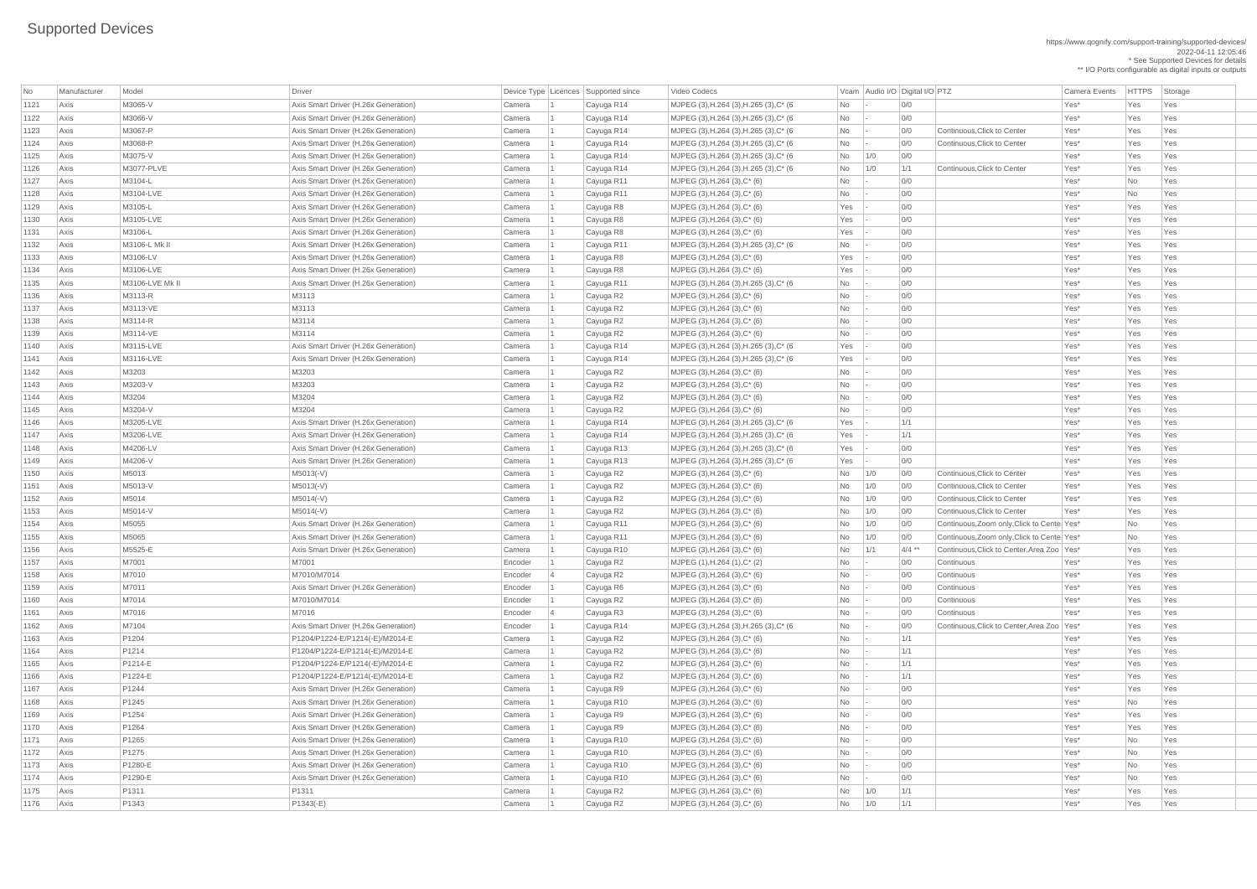|      |              |                   |                                      |         |                                      |                                                  |                                |          |                                              |                  |               | ** I/O Ports configurable as digital inputs or outputs |
|------|--------------|-------------------|--------------------------------------|---------|--------------------------------------|--------------------------------------------------|--------------------------------|----------|----------------------------------------------|------------------|---------------|--------------------------------------------------------|
| No   | Manufacturer | Model             | Driver                               |         | Device Type Licences Supported since | Video Codecs                                     | Vcam Audio I/O Digital I/O PTZ |          |                                              | Camera Events    | <b>HTTPS</b>  | Storage                                                |
| 1121 | Axis         | M3065-V           | Axis Smart Driver (H.26x Generation) | Camera  | Cayuga R14                           | MJPEG (3), H.264 (3), H.265 (3), C* (6           | No                             | 0/0      |                                              | Yes*             | Yes           | Yes                                                    |
| 1122 | Axis         | M3066-V           | Axis Smart Driver (H.26x Generation) | Camera  | Cayuga R14                           | MJPEG (3), H.264 (3), H.265 (3), C* (6           | No                             | 0/0      |                                              | Yes*             | Yes           | Yes                                                    |
| 1123 | Axis         | M3067-P           | Axis Smart Driver (H.26x Generation) | Camera  | Cayuga R14                           | MJPEG (3), H.264 (3), H.265 (3), C* (6           | No                             | 0/0      | Continuous, Click to Center                  | Yes <sup>*</sup> | Yes           | Yes                                                    |
| 1124 | Axis         | M3068-P           | Axis Smart Driver (H.26x Generation) | Camera  | Cayuga R14                           | MJPEG (3), H.264 (3), H.265 (3), C* (6           | No                             | 0/0      | Continuous, Click to Center                  | Yes*             | Yes           | Yes                                                    |
| 1125 | Axis         | M3075-V           | Axis Smart Driver (H.26x Generation) | Camera  | Cayuga R14                           | MJPEG (3), H.264 (3), H.265 (3), C* (6           | <b>No</b><br>1/0               | 0/0      |                                              | Yes*             | Yes           | Yes                                                    |
| 1126 | Axis         | M3077-PLVE        | Axis Smart Driver (H.26x Generation) | Camera  | Cayuga R14                           | MJPEG (3), H.264 (3), H.265 (3), C* (6           | No<br>1/0                      | 1/1      | Continuous, Click to Center                  | Yes*             | Yes           | Yes                                                    |
| 1127 | Axis         | M3104-L           | Axis Smart Driver (H.26x Generation) | Camera  | Cayuga R11                           | MJPEG $(3)$ , H.264 $(3)$ , C* $(6)$             | No                             | 0/0      |                                              | Yes*             | <b>No</b>     | Yes                                                    |
| 1128 | Axis         | M3104-LVE         | Axis Smart Driver (H.26x Generation) | Camera  | Cayuga R11                           | $MJPEG (3), H.264 (3), C*(6)$                    | No                             | 0/0      |                                              | Yes*             | No            | Yes                                                    |
| 1129 | Axis         | M3105-L           | Axis Smart Driver (H.26x Generation) | Camera  | Cayuga R8                            | MJPEG $(3)$ , H.264 $(3)$ , C* $(6)$             | Yes                            | 0/0      |                                              | Yes*             | Yes           | Yes                                                    |
| 1130 | Axis         | M3105-LVE         | Axis Smart Driver (H.26x Generation) | Camera  | Cayuga R8                            | $MJPEG (3), H.264 (3), C*(6)$                    | Yes                            | 0/0      |                                              | Yes*             | Yes           | Yes                                                    |
| 1131 | Axis         | M3106-L           | Axis Smart Driver (H.26x Generation) | Camera  | Cayuga R8                            | $MJPEG (3), H.264 (3), C*(6)$                    | Yes                            | 0/0      |                                              | Yes*             | Yes           | Yes                                                    |
| 1132 | Axis         | M3106-L Mk II     | Axis Smart Driver (H.26x Generation) | Camera  | Cayuga R11                           | MJPEG (3), H.264 (3), H.265 (3), C* (6           | No                             | 0/0      |                                              | Yes*             | Yes           | Yes                                                    |
| 1133 | Axis         | M3106-LV          | Axis Smart Driver (H.26x Generation) | Camera  | Cayuga R8                            | MJPEG $(3)$ , H.264 $(3)$ , C* $(6)$             | Yes                            | 0/0      |                                              | Yes*             | Yes           | Yes                                                    |
| 1134 | Axis         | M3106-LVE         | Axis Smart Driver (H.26x Generation) | Camera  | Cayuga R8                            | $MJPEG (3), H.264 (3), C*(6)$                    | Yes                            | 0/0      |                                              | Yes*             | Yes           | Yes                                                    |
| 1135 | Axis         | M3106-LVE Mk II   | Axis Smart Driver (H.26x Generation) | Camera  | Cayuga R11                           | MJPEG (3), H.264 (3), H.265 (3), C* (6           | No                             | 0/0      |                                              | Yes*             | Yes           | Yes                                                    |
| 1136 | Axis         | M3113-R           | M3113                                | Camera  | Cayuga R2                            | $MJPEG (3), H.264 (3), C*(6)$                    | No                             | 0/0      |                                              | Yes*             | Yes           | Yes                                                    |
| 1137 | Axis         | M3113-VE          | M3113                                | Camera  | Cayuga R2                            | $MJPEG (3), H.264 (3), C*(6)$                    | No                             | 0/0      |                                              | Yes*             | Yes           | Yes                                                    |
| 1138 | Axis         | M3114-R           | M3114                                | Camera  | Cayuga R2                            | MJPEG $(3)$ , H.264 $(3)$ , C* $(6)$             | No                             | 0/0      |                                              | Yes*             | Yes           | Yes                                                    |
| 1139 | Axis         | M3114-VE          | M3114                                | Camera  | Cayuga R2                            | MJPEG $(3)$ , H.264 $(3)$ , C* $(6)$             | No                             | 0/0      |                                              | Yes*             | Yes           | Yes                                                    |
| 1140 | Axis         | M3115-LVE         | Axis Smart Driver (H.26x Generation) | Camera  | Cayuga R14                           | MJPEG (3), H.264 (3), H.265 (3), C* (6           | Yes                            | 0/0      |                                              | Yes*             | Yes           | Yes                                                    |
| 1141 | Axis         | M3116-LVE         | Axis Smart Driver (H.26x Generation) | Camera  | Cayuga R14                           | MJPEG (3), H.264 (3), H.265 (3), C* (6           | Yes                            | 0/0      |                                              | Yes <sup>*</sup> | Yes           | Yes                                                    |
| 1142 | Axis         | M3203             | M3203                                | Camera  | Cayuga R2                            | $MJPEG (3), H.264 (3), C*(6)$                    | No                             | 0/0      |                                              | Yes*             | Yes           | Yes                                                    |
| 1143 | Axis         | M3203-V           | M3203                                | Camera  | Cayuga R2                            | $MJPEG (3), H.264 (3), C*(6)$                    | No                             | 0/0      |                                              | Yes*             | Yes           | Yes                                                    |
| 1144 | Axis         | M3204             | M3204                                | Camera  | Cayuga R2                            | MJPEG (3), H.264 (3), C* (6)                     | <b>No</b>                      | 0/0      |                                              | Yes*             | Yes           | Yes                                                    |
| 1145 | Axis         | M3204-V           | M3204                                | Camera  | Cayuga R2                            | $MJPEG (3), H.264 (3), C*(6)$                    | No                             | 0/0      |                                              | Yes*             | Yes           | Yes                                                    |
| 1146 | Axis         | M3205-LVE         | Axis Smart Driver (H.26x Generation) | Camera  | Cayuga R14                           | MJPEG (3), H.264 (3), H.265 (3), C* (6           | Yes                            | 1/1      |                                              | Yes*             | Yes           | Yes                                                    |
| 1147 | Axis         | M3206-LVE         | Axis Smart Driver (H.26x Generation) | Camera  | Cayuga R14                           | MJPEG (3), H.264 (3), H.265 (3), C* (6           | Yes                            | 1/1      |                                              | Yes*             | Yes           | Yes                                                    |
| 1148 | Axis         | M4206-LV          | Axis Smart Driver (H.26x Generation) | Camera  | Cayuga R13                           | MJPEG (3), H.264 (3), H.265 (3), C* (6           | Yes                            | 0/0      |                                              | Yes*             | Yes           | Yes                                                    |
| 1149 | Axis         | M4206-V           | Axis Smart Driver (H.26x Generation) | Camera  | Cayuga R13                           | MJPEG (3), H.264 (3), H.265 (3), C* (6           | Yes                            | 0/0      |                                              | Yes*             | Yes           | Yes                                                    |
| 1150 | Axis         | M5013             | M5013(-V)                            | Camera  | Cayuga R2                            | MJPEG $(3)$ , H.264 $(3)$ , C* $(6)$             | No<br>1/0                      | 0/0      | Continuous, Click to Center                  | Yes*             | Yes           | Yes                                                    |
| 1151 | Axis         | M5013-V           | M5013(-V)                            | Camera  | Cayuga R2                            | MJPEG $(3)$ , H.264 $(3)$ , C* $(6)$             | No<br>1/0                      | 0/0      | Continuous, Click to Center                  | Yes <sup>*</sup> | Yes           | Yes                                                    |
| 1152 | Axis         | M5014             | M5014(-V)                            | Camera  | Cayuga R2                            | MJPEG $(3)$ , H.264 $(3)$ , C* $(6)$             | <b>No</b><br>1/0               | 0/0      | Continuous, Click to Center                  | Yes*             | Yes           | Yes                                                    |
| 1153 | Axis         | M5014-V           | M5014(-V)                            | Camera  | Cayuga R2                            | $MJPEG (3), H.264 (3), C*(6)$                    | No<br>1/0                      | 0/0      | Continuous, Click to Center                  | Yes*             | Yes           | Yes                                                    |
| 1154 | Axis         | M5055             | Axis Smart Driver (H.26x Generation) | Camera  | Cayuga R11                           | $MJPEG (3), H.264 (3), C*(6)$                    | No<br>1/0                      | 0/0      | Continuous, Zoom only, Click to Cente Yes*   |                  | No            | Yes                                                    |
| 1155 | Axis         | M5065             | Axis Smart Driver (H.26x Generation) | Camera  | Cayuga R11                           | MJPEG $(3)$ , H.264 $(3)$ , C* $(6)$             | <b>No</b><br>1/0               | 0/0      | Continuous, Zoom only, Click to Cente Yes*   |                  | No            | Yes                                                    |
| 1156 | Axis         | M5525-E           | Axis Smart Driver (H.26x Generation) | Camera  | Cayuga R10                           | $MJPEG (3), H.264 (3), C*(6)$                    | No<br>1/1                      | $4/4$ ** | Continuous, Click to Center, Area Zoo   Yes* |                  | Yes           | Yes                                                    |
| 1157 | Axis         | M7001             | M7001                                | Encoder | Cayuga R2                            | MJPEG $(1)$ , H.264 $(1)$ , C <sup>*</sup> $(2)$ | No                             | 0/0      | Continuous                                   | Yes*             | Yes           | Yes                                                    |
| 1158 | Axis         | M7010             | M7010/M7014                          | Encoder | Cayuga R2                            | $MJPEG (3), H.264 (3), C*(6)$                    | No                             | 0/0      | Continuous                                   | Yes*             | Yes           | Yes                                                    |
| 1159 | Axis         | M7011             | Axis Smart Driver (H.26x Generation) | Encoder | Cayuga R6                            | $MJPEG (3), H.264 (3), C*(6)$                    | No                             | 0/0      | Continuous                                   | Yes <sup>*</sup> | Yes           | Yes                                                    |
| 1160 | Axis         | M7014             | M7010/M7014                          | Encoder | Cayuga R2                            | $MJPEG (3), H.264 (3), C*(6)$                    | No                             | 0/0      | Continuous                                   | Yes*             | Yes           | Yes                                                    |
| 1161 | Axis         | M7016             | M7016                                | Encoder | Cayuga R3                            | MJPEG $(3)$ , H.264 $(3)$ , C* $(6)$             | No                             | 0/0      | Continuous                                   | Yes*             | Yes           | Yes                                                    |
| 1162 | Axis         | M7104             | Axis Smart Driver (H.26x Generation) | Encoder | Cayuga R14                           | MJPEG (3), H.264 (3), H.265 (3), C* (6           | No                             | 0/0      | Continuous, Click to Center, Area Zoo Yes*   |                  | Yes           | Yes                                                    |
| 1163 | Axis         | P <sub>1204</sub> | P1204/P1224-E/P1214(-E)/M2014-E      | Camera  | Cayuga R2                            | MJPEG $(3)$ , H.264 $(3)$ , C* $(6)$             | No                             | 1/1      |                                              | Yes*             | Yes           | Yes                                                    |
| 1164 | Axis         | P <sub>1214</sub> | P1204/P1224-E/P1214(-E)/M2014-E      | Camera  | Cayuga R2                            | MJPEG $(3)$ , H.264 $(3)$ , C* $(6)$             | No                             | 1/1      |                                              | Yes*             | Yes           | Yes                                                    |
| 1165 | Axis         | P1214-E           | P1204/P1224-E/P1214(-E)/M2014-E      | Camera  | Cayuga R2                            | $MJPEG (3), H.264 (3), C*(6)$                    | No                             | 1/1      |                                              | Yes*             | Yes           | Yes                                                    |
| 1166 | Axis         | P1224-E           | P1204/P1224-E/P1214(-E)/M2014-E      | Camera  | Cayuga R2                            | MJPEG $(3)$ , H.264 $(3)$ , C* $(6)$             | No                             | 1/1      |                                              | Yes*             | Yes           | Yes                                                    |
| 1167 | Axis         | P1244             | Axis Smart Driver (H.26x Generation) | Camera  | Cayuga R9                            | MJPEG $(3)$ , H.264 $(3)$ , C* $(6)$             | No                             | 0/0      |                                              | Yes*             | Yes           | Yes                                                    |
| 1168 | Axis         | P <sub>1245</sub> | Axis Smart Driver (H.26x Generation) | Camera  | Cayuga R10                           | MJPEG $(3)$ , H.264 $(3)$ , C* $(6)$             | No                             | 0/0      |                                              | Yes*             | No            | Yes                                                    |
| 1169 | Axis         | P1254             | Axis Smart Driver (H.26x Generation) | Camera  | Cayuga R9                            | MJPEG $(3)$ , H.264 $(3)$ , C* $(6)$             | <b>No</b>                      | 0/0      |                                              | Yes*             | Yes           | Yes                                                    |
| 1170 | Axis         | P1264             | Axis Smart Driver (H.26x Generation) | Camera  | Cayuga R9                            | MJPEG $(3)$ , H.264 $(3)$ , C* $(6)$             | No                             | 0/0      |                                              | Yes*             | Yes           | Yes                                                    |
| 1171 | Axis         | P <sub>1265</sub> | Axis Smart Driver (H.26x Generation) | Camera  | Cayuga R10                           | MJPEG (3), H.264 (3), C* (6)                     | No                             | 0/0      |                                              | Yes*             | No.           | Yes                                                    |
| 1172 | Axis         | P <sub>1275</sub> | Axis Smart Driver (H.26x Generation) | Camera  | Cayuga R10                           | MJPEG $(3)$ , H.264 $(3)$ , C* $(6)$             | No                             | 0/0      |                                              | Yes <sup>*</sup> | No            | Yes                                                    |
| 1173 | Axis         | P1280-E           | Axis Smart Driver (H.26x Generation) | Camera  | Cayuga R10                           | $MJPEG (3), H.264 (3), C*(6)$                    | No                             | 0/0      |                                              | Yes <sup>*</sup> | No            | Yes                                                    |
| 1174 | Axis         | P1290-E           | Axis Smart Driver (H.26x Generation) | Camera  | Cayuga R10                           | MJPEG (3), H.264 (3), $C^*$ (6)                  | No                             | 0/0      |                                              | Yes <sup>*</sup> | $\mathsf{No}$ | Yes                                                    |
| 1175 | Axis         | P <sub>1311</sub> | P <sub>1311</sub>                    | Camera  | Cayuga R2                            | $MJPEG (3), H.264 (3), C*(6)$                    | No<br>1/0                      | 1/1      |                                              | Yes <sup>*</sup> | Yes           | Yes                                                    |
| 1176 | Axis         | P <sub>1343</sub> | $P1343(-E)$                          | Camera  | Cayuga R2                            | MJPEG $(3)$ , H.264 $(3)$ , C* $(6)$             | N <sub>o</sub><br>1/0          | 1/1      |                                              | Yes <sup>*</sup> | Yes           | Yes                                                    |
|      |              |                   |                                      |         |                                      |                                                  |                                |          |                                              |                  |               |                                                        |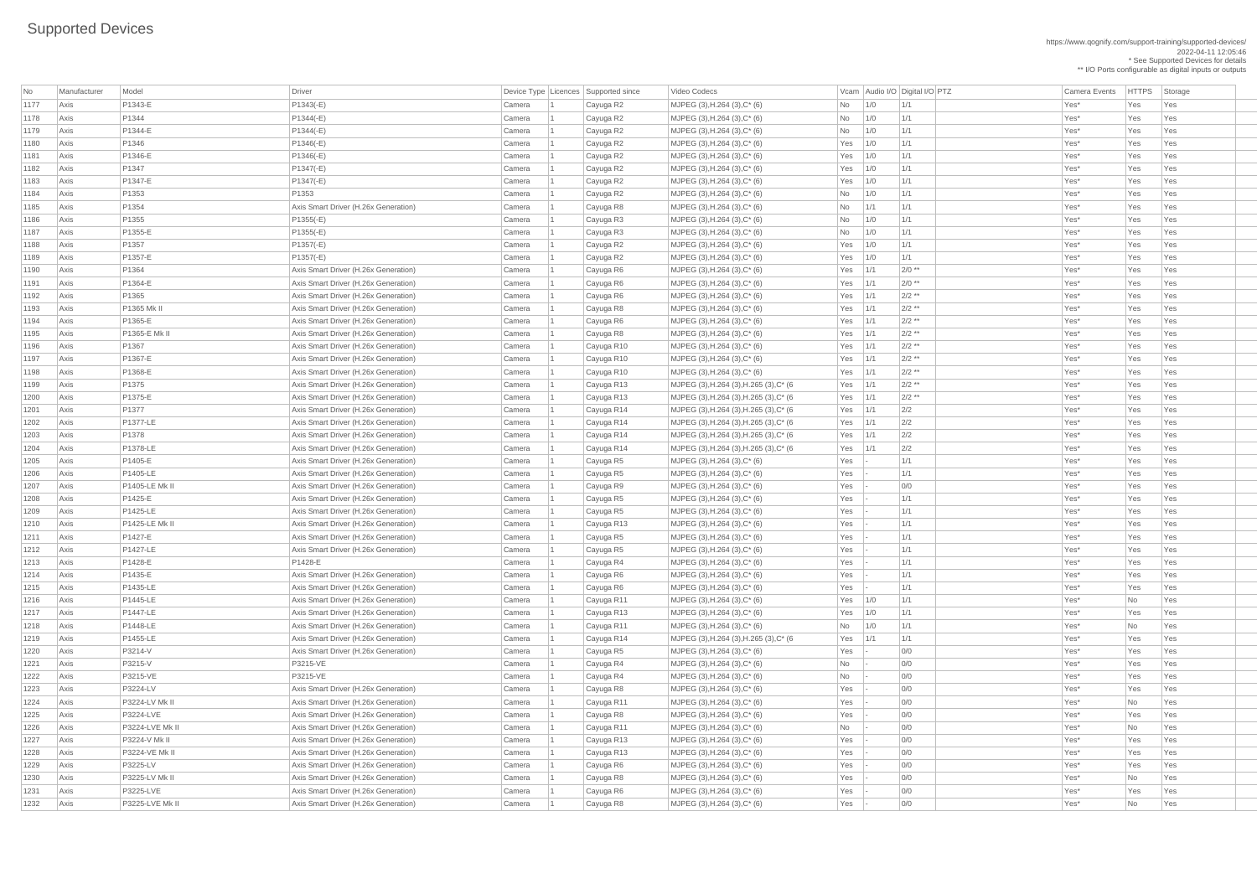https://www.qognify.com/support-training/supported-devices/ 2022-04-11 12:05:46 \* See Supported Devices for details

\*\* I/O Ports configurable as digital inputs or outputs

| MJPEG (3),H.264 (3),H.265 (3),C\* (6 Yes 1/1 2/2 \*\* | Yes | Yes | Yes | Yes | Yes | Yes | MJPEG (3),H.264 (3),H.265 (3),C\* (6 Yes 1/1 2/2 \*\* | The South Driver Capus Rest Ves Yes Yes 1/1 | MJPEG (3),H.264 (3),H.265 (3),C\* (6 Yes 1/1 2/2 | Tes 1 Cayuga Rest Yes Yes Yes Yes Yes | MJPEG (3),H.264 (3),H.265 (3),C\* (6 Yes 1/1 2/2 | Tes 1 Cayuga Rest Yes Yes Yes Yes Yes | MJPEG (3),H.264 (3),H.265 (3),C\* (6 Yes 1/1 2/2 | Tes | Yes | Yes | Yes | Yes | Yes | Yes Axis P1378-LE Axis Smart Driver (H.26x Generation) Camera 1 Cayuga R14 MJPEG (3),H.264 (3),H.265 (3),C\* (6 Yes 1/1 2/2 Yes\* Yes Yes Axis P1455-LE Axis Smart Driver (H.26x Generation) Camera 1 Cayuga R14 MJPEG (3),H.264 (3),H.265 (3),C\* (6 Yes 1/1 1/1 Yes\* Yes Yes

| No   | Manufacturer | Model             | <b>Driver</b>                        | Device Type   Licences   Supported since |            | Video Codecs                            |                    | Vcam Audio I/O Digital I/O PTZ | <b>Camera Events</b> | <b>HTTPS</b> | Storage |
|------|--------------|-------------------|--------------------------------------|------------------------------------------|------------|-----------------------------------------|--------------------|--------------------------------|----------------------|--------------|---------|
| 1177 | Axis         | P1343-E           | $P1343(-E)$                          | Camera                                   | Cayuga R2  | MJPEG (3), H.264 (3), C* (6)            | 1/0<br><b>No</b>   | 1/1                            | Yes*                 | Yes          | Yes     |
| 1178 | Axis         | P1344             | $P1344(-E)$                          | Camera                                   | Cayuga R2  | MJPEG $(3)$ , H.264 $(3)$ , C* $(6)$    | <b>No</b><br>1/0   | 1/1                            | Yes*                 | Yes          | Yes     |
| 1179 | Axis         | P1344-E           | $P1344(-E)$                          | Camera                                   | Cayuga R2  | MJPEG (3), H.264 (3), C* (6)            | 1/0<br><b>No</b>   | 1/1                            | Yes*                 | Yes          | Yes     |
| 1180 | Axis         | P <sub>1346</sub> | $P1346(-E)$                          | Camera                                   | Cayuga R2  | $MJPEG (3), H.264 (3), C*(6)$           | 1/0<br>Yes         | 1/1                            | Yes*                 | Yes          | Yes     |
| 1181 | Axis         | P1346-E           | $P1346(-E)$                          | Camera                                   | Cayuga R2  | MJPEG $(3)$ , H.264 $(3)$ , C* $(6)$    | $Yes$ 1/0          | 1/1                            | Yes*                 | Yes          | Yes     |
| 1182 | Axis         | P1347             | $P1347(-E)$                          | Camera                                   | Cayuga R2  | MJPEG (3), H.264 (3), C* (6)            | 1/0<br>Yes         | 1/1                            | Yes*                 | Yes          | Yes     |
| 1183 | Axis         | P1347-E           | $P1347(-E)$                          | Camera                                   | Cayuga R2  | MJPEG $(3)$ , H.264 $(3)$ , C* $(6)$    | $Yes$ 1/0          | 1/1                            | Yes*                 | Yes          | Yes     |
| 1184 | Axis         | P1353             | P1353                                | Camera                                   | Cayuga R2  | MJPEG (3), H.264 (3), C* (6)            | 1/0<br>No          | 1/1                            | Yes*                 | Yes          | Yes     |
| 1185 | Axis         | P1354             | Axis Smart Driver (H.26x Generation) | Camera                                   | Cayuga R8  | MJPEG $(3)$ , H.264 $(3)$ , C* $(6)$    | 1/1<br><b>No</b>   | 1/1                            | Yes*                 | Yes          | Yes     |
| 1186 | Axis         | P1355             | $P1355(-E)$                          | Camera                                   | Cayuga R3  | $MJPEG (3), H.264 (3), C*(6)$           | 1/0<br>No          | 1/1                            | Yes*                 | Yes          | Yes     |
| 1187 | Axis         | P1355-E           | $P1355(-E)$                          | Camera                                   | Cayuga R3  | MJPEG (3), H.264 (3), C* (6)            | 1/0<br><b>No</b>   | 1/1                            | Yes*                 | Yes          | Yes     |
| 1188 | Axis         | P <sub>1357</sub> | $P1357(-E)$                          | Camera                                   | Cayuga R2  | MJPEG (3), H.264 (3), C* (6)            | 1/0<br>Yes         | 1/1                            | Yes*                 | Yes          | Yes     |
| 1189 | Axis         | P1357-E           | $P1357(-E)$                          | Camera                                   | Cayuga R2  | MJPEG $(3)$ , H.264 $(3)$ , C* $(6)$    | Yes $1/0$          | 1/1                            | Yes*                 | Yes          | Yes     |
| 1190 | Axis         | P <sub>1364</sub> | Axis Smart Driver (H.26x Generation) | Camera                                   | Cayuga R6  | MJPEG $(3)$ , H.264 $(3)$ , C* $(6)$    | Yes $1/1$          | $2/0$ **                       | Yes*                 | Yes          | Yes     |
| 1191 | Axis         | P1364-E           | Axis Smart Driver (H.26x Generation) | Camera                                   | Cayuga R6  | MJPEG $(3)$ , H.264 $(3)$ , C* $(6)$    | 1/1<br>Yes         | $2/0$ **                       | Yes*                 | Yes          | Yes     |
| 1192 | Axis         | P1365             | Axis Smart Driver (H.26x Generation) | Camera                                   | Cayuga R6  | $MJPEG (3), H.264 (3), C*(6)$           | Yes $ 1/1$         | $2/2$ **                       | Yes*                 | Yes          | Yes     |
| 1193 | Axis         | P1365 Mk II       | Axis Smart Driver (H.26x Generation) | Camera                                   | Cayuga R8  | MJPEG (3), H.264 (3), C* (6)            | $\vert$ 1/1<br>Yes | $2/2$ **                       | Yes*                 | Yes          | Yes     |
| 1194 | Axis         | P1365-E           | Axis Smart Driver (H.26x Generation) | Camera                                   | Cayuga R6  | MJPEG $(3)$ , H.264 $(3)$ , C* $(6)$    | 1/1<br>Yes         | $2/2$ **                       | Yes*                 | Yes          | Yes     |
| 1195 | Axis         | P1365-E Mk II     | Axis Smart Driver (H.26x Generation) | Camera                                   | Cayuga R8  | MJPEG $(3)$ , H.264 $(3)$ , C* $(6)$    | $Yes$ 1/1          | $2/2$ **                       | Yes*                 | Yes          | Yes     |
| 1196 | Axis         | P1367             | Axis Smart Driver (H.26x Generation) | Camera                                   | Cayuga R10 | MJPEG $(3)$ , H.264 $(3)$ , C* $(6)$    | $Yes$ 1/1          | $2/2$ **                       | Yes*                 | Yes          | Yes     |
| 1197 | Axis         | P1367-E           | Axis Smart Driver (H.26x Generation) | Camera                                   | Cayuga R10 | $MJPEG (3), H.264 (3), C*(6)$           | $Yes$   1/1        | $2/2$ **                       | Yes*                 | Yes          | Yes     |
| 1198 | Axis         | P1368-E           | Axis Smart Driver (H.26x Generation) | Camera                                   | Cayuga R10 | MJPEG (3), H.264 (3), C* (6)            | $Yes$   1/1        | $2/2$ **                       | Yes*                 | Yes          | Yes     |
| 1199 | Axis         | P <sub>1375</sub> | Axis Smart Driver (H.26x Generation) | Camera                                   | Cayuga R13 | MJPEG (3), H.264 (3), H.265 (3), C* (6  | $Yes$   1/1        | $2/2$ **                       | Yes*                 | Yes          | Yes     |
| 1200 | Axis         | P1375-E           | Axis Smart Driver (H.26x Generation) | Camera                                   | Cayuga R13 | MJPEG (3), H.264 (3), H.265 (3), C* (6  | Yes $1/1$          | $2/2$ **                       | Yes*                 | Yes          | Yes     |
| 1201 | Axis         | P1377             | Axis Smart Driver (H.26x Generation) | Camera                                   | Cayuga R14 | MJPEG (3), H.264 (3), H.265 (3), C* (6) | $Yes$   1/1        | 2/2                            | Yes*                 | Yes          | Yes     |
| 1202 | Axis         | <b>P1377-LE</b>   | Axis Smart Driver (H.26x Generation) | Camera                                   | Cayuga R14 | MJPEG (3), H.264 (3), H.265 (3), C* (6  | Yes<br>$\vert$ 1/1 | 2/2                            | Yes*                 | Yes          | Yes     |
| 1203 | Axis         | P <sub>1378</sub> | Axis Smart Driver (H.26x Generation) | Camera                                   | Cayuga R14 | MJPEG (3), H.264 (3), H.265 (3), C* (6  | Yes $ 1/1$         | 2/2                            | Yes*                 | Yes          | Yes     |
| 1204 | Axis         | P1378-LE          | Axis Smart Driver (H.26x Generation) | Camera                                   | Cayuga R14 | MJPEG (3), H.264 (3), H.265 (3), C* (6  | $Yes$   1/1        | 2/2                            | Yes*                 | Yes          | Yes     |
| 1205 | Axis         | P1405-E           | Axis Smart Driver (H.26x Generation) | Camera                                   | Cayuga R5  | MJPEG (3), H.264 (3), C* (6)            | Yes                | 1/1                            | Yes*                 | Yes          | Yes     |
| 1206 | Axis         | P1405-LE          | Axis Smart Driver (H.26x Generation) | Camera                                   | Cayuga R5  | MJPEG (3), H.264 (3), C* (6)            | Yes                | 1/1                            | Yes*                 | Yes          | Yes     |
| 1207 | Axis         | P1405-LE Mk II    | Axis Smart Driver (H.26x Generation) | Camera                                   | Cayuga R9  | MJPEG (3), H.264 (3), C* (6)            | Yes                | 0/0                            | Yes*                 | Yes          | Yes     |
| 1208 | Axis         | P1425-E           | Axis Smart Driver (H.26x Generation) | Camera                                   | Cayuga R5  | MJPEG $(3)$ , H.264 $(3)$ , C* $(6)$    | Yes                | 1/1                            | Yes*                 | Yes          | Yes     |
| 1209 | Axis         | P1425-LE          | Axis Smart Driver (H.26x Generation) | Camera                                   | Cayuga R5  | MJPEG $(3)$ , H.264 $(3)$ , C* $(6)$    | Yes                | 1/1                            | Yes*                 | Yes          | Yes     |
| 1210 | Axis         | P1425-LE Mk II    | Axis Smart Driver (H.26x Generation) | Camera                                   | Cayuga R13 | MJPEG $(3)$ , H.264 $(3)$ , C* $(6)$    | Yes                | 1/1                            | Yes*                 | Yes          | Yes     |
| 1211 | Axis         | P1427-E           | Axis Smart Driver (H.26x Generation) | Camera                                   | Cayuga R5  | MJPEG $(3)$ , H.264 $(3)$ , C* $(6)$    | Yes                | 1/1                            | Yes*                 | Yes          | Yes     |
| 1212 | Axis         | P1427-LE          | Axis Smart Driver (H.26x Generation) | Camera                                   | Cayuga R5  | MJPEG $(3)$ , H.264 $(3)$ , C* $(6)$    | Yes                | 1/1                            | Yes*                 | Yes          | Yes     |
| 1213 | Axis         | P1428-E           | P1428-E                              | Camera                                   | Cayuga R4  | MJPEG (3), H.264 (3), C* (6)            | Yes                | 1/1                            | Yes*                 | Yes          | Yes     |
| 1214 | Axis         | P1435-E           | Axis Smart Driver (H.26x Generation) | Camera                                   | Cayuga R6  | MJPEG $(3)$ , H.264 $(3)$ , C* $(6)$    | Yes                | 1/1                            | Yes*                 | Yes          | Yes     |
| 1215 | Axis         | P1435-LE          | Axis Smart Driver (H.26x Generation) | Camera                                   | Cayuga R6  | MJPEG $(3)$ , H.264 $(3)$ , C* $(6)$    | Yes                | 1/1                            | Yes*                 | Yes          | Yes     |
| 1216 | Axis         | P1445-LE          | Axis Smart Driver (H.26x Generation) | Camera                                   | Cayuga R11 | MJPEG (3), H.264 (3), C* (6)            | Yes $1/0$          | 1/1                            | Yes*                 | No           | Yes     |
| 1217 | Axis         | <b>P1447-LE</b>   | Axis Smart Driver (H.26x Generation) | Camera                                   | Cayuga R13 | MJPEG $(3)$ , H.264 $(3)$ , C* $(6)$    | Yes $1/0$          | 1/1                            | Yes*                 | Yes          | Yes     |
| 1218 | Axis         | P1448-LE          | Axis Smart Driver (H.26x Generation) | Camera                                   | Cayuga R11 | MJPEG $(3)$ , H.264 $(3)$ , C* $(6)$    | No<br>1/0          | 1/1                            | Yes*                 | <b>No</b>    | Yes     |
| 1219 | Axis         | P1455-LE          | Axis Smart Driver (H.26x Generation) | Camera                                   | Cayuga R14 | MJPEG (3), H.264 (3), H.265 (3), C* (6  | $Yes$   1/1        | 1/1                            | Yes*                 | Yes          | Yes     |
| 1220 | Axis         | P3214-V           | Axis Smart Driver (H.26x Generation) | Camera                                   | Cayuga R5  | MJPEG $(3)$ , H.264 $(3)$ , C* $(6)$    | Yes                | 0/0                            | Yes*                 | Yes          | Yes     |
| 1221 | Axis         | P3215-V           | P3215-VE                             | Camera                                   | Cayuga R4  | MJPEG $(3)$ , H.264 $(3)$ , C* $(6)$    | No                 | 0/0                            | Yes*                 | Yes          | Yes     |
| 1222 | Axis         | P3215-VE          | P3215-VE                             | Camera                                   | Cayuga R4  | $MJPEG (3), H.264 (3), C*(6)$           | No                 | 0/0                            | Yes*                 | Yes          | Yes     |
| 1223 | Axis         | P3224-LV          | Axis Smart Driver (H.26x Generation) | Camera                                   | Cayuga R8  | MJPEG $(3)$ , H.264 $(3)$ , C* $(6)$    | Yes                | 0/0                            | Yes*                 | Yes          | Yes     |
| 1224 | Axis         | P3224-LV Mk II    | Axis Smart Driver (H.26x Generation) | Camera                                   | Cayuga R11 | MJPEG $(3)$ , H.264 $(3)$ , C* $(6)$    | Yes                | 0/0                            | Yes*                 | <b>No</b>    | Yes     |
| 1225 | Axis         | P3224-LVE         | Axis Smart Driver (H.26x Generation) | Camera                                   | Cayuga R8  | MJPEG (3), H.264 (3), C* (6)            | Yes                | 0/0                            | Yes*                 | Yes          | Yes     |
| 1226 | Axis         | P3224-LVE Mk II   | Axis Smart Driver (H.26x Generation) | Camera                                   | Cayuga R11 | MJPEG $(3)$ , H.264 $(3)$ , C* $(6)$    | No                 | 0/0                            | Yes*                 | No           | Yes     |
| 1227 | Axis         | P3224-V Mk II     | Axis Smart Driver (H.26x Generation) | Camera                                   | Cayuga R13 | MJPEG $(3)$ , H.264 $(3)$ , C* $(6)$    | Yes                | 0/0                            | Yes*                 | Yes          | Yes     |
| 1228 | Axis         | P3224-VE Mk II    | Axis Smart Driver (H.26x Generation) | <b>Camera</b>                            | Cayuga R13 | MJPEG (3), H.264 (3), C* (6)            | Yes                | 0/0                            | Yes*                 | Yes          | Yes     |
| 1229 | Axis         | P3225-LV          | Axis Smart Driver (H.26x Generation) | Camera                                   | Cayuga R6  | $MJPEG (3), H.264 (3), C*(6)$           | Yes                | 0/0                            | Yes*                 | Yes          | Yes     |
| 1230 | Axis         | P3225-LV Mk II    | Axis Smart Driver (H.26x Generation) | Camera                                   | Cayuga R8  | MJPEG (3), H.264 (3), C* (6)            | Yes                | 0/0                            | Yes*                 | No           | Yes     |
| 1231 | Axis         | <b>P3225-LVE</b>  | Axis Smart Driver (H.26x Generation) | Camera                                   | Cayuga R6  | $MJPEG (3), H.264 (3), C*(6)$           | Yes                | 0/0                            | Yes <sup>*</sup>     | Yes          | Yes     |
| 1232 | Axis         | P3225-LVE Mk II   | Axis Smart Driver (H.26x Generation) | Camera                                   | Cayuga R8  | $MJPEG (3), H.264 (3), C*(6)$           | $Yes$              | 0/0                            | Yes*                 | No           | Yes     |
|      |              |                   |                                      |                                          |            |                                         |                    |                                |                      |              |         |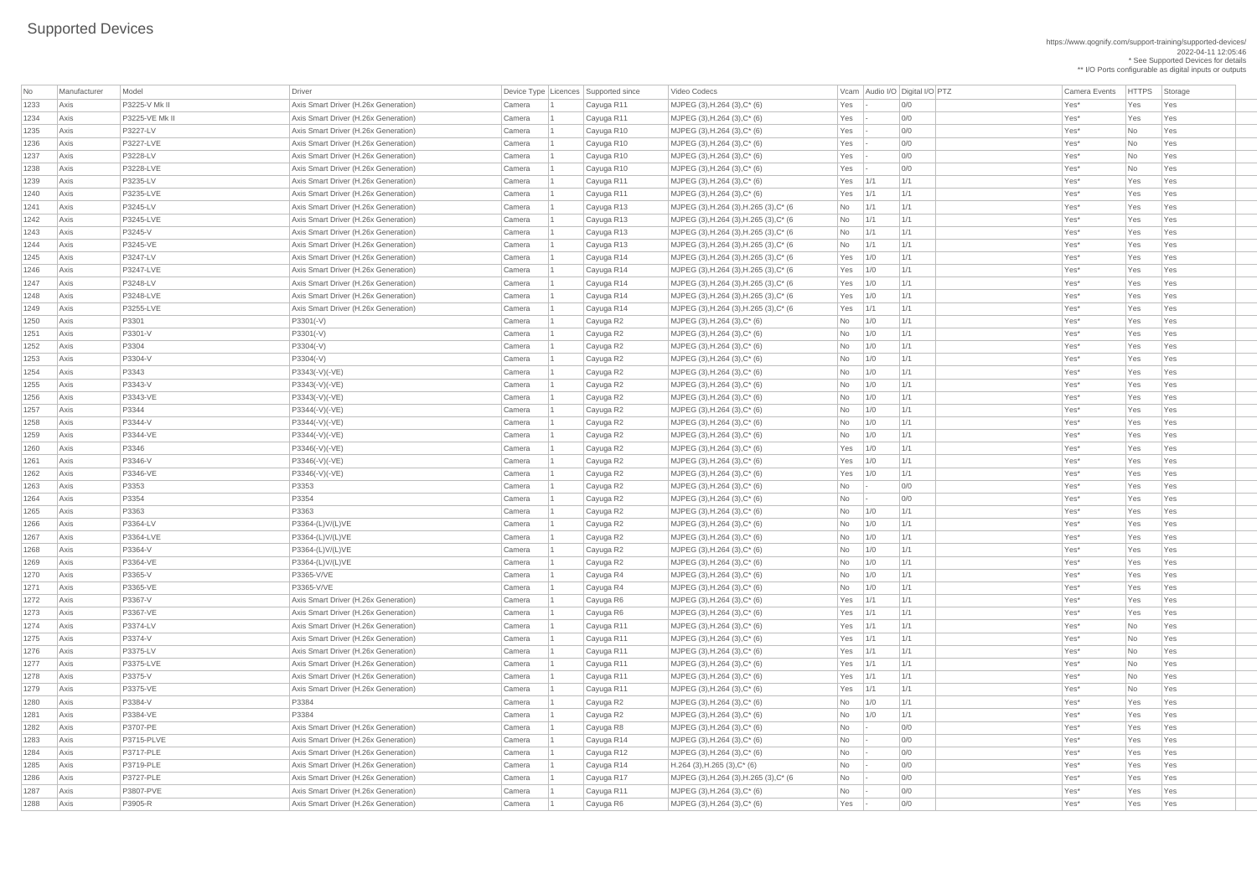https://www.qognify.com/support-training/supported-devices/ 2022-04-11 12:05:46 \* See Supported Devices for details

\*\* I/O Ports configurable as digital inputs or outputs

| MJPEG (3),H.264 (3),H.265 (3),C\* (6  $\blacksquare$  No  $\blacksquare$  1/1  $\blacksquare$  1/1  $\blacksquare$  1/1  $\blacksquare$  Yes\* Yes Yes Yes | MJPEG (3),H.264 (3),H.265 (3),C\* (6  $\blacksquare$  No  $\blacksquare$  1/1  $\blacksquare$  1/1  $\blacksquare$  1/1  $\blacksquare$  Yes\* Yes Yes Yes | MJPEG (3),H.264 (3),H.265 (3),C\* (6  $\blacksquare$  No  $\blacksquare$  1/1  $\blacksquare$  1/1  $\blacksquare$  1/1  $\blacksquare$  Yes\* Yes Yes Yes | MJPEG (3),H.264 (3),H.265 (3),C\* (6  $\qquad$  No  $\qquad$  1/1  $\qquad$  1/1  $\qquad$  1/1  $\qquad$  Yes\* Yes Yes Yes Axis P3247-LV Axis Smart Driver (H.26x Generation) Camera 1 Cayuga R14 MJPEG (3),H.264 (3),H.265 (3),C\* (6 Yes 1/0 1/1 Yes\* Yes Yes | MJPEG (3),H.264 (3),H.265 (3),C\* (6 Yes 1/0 1/1 1 | Tes | Yes | Yes | Yes | Yes | Yes | Yes | MJPEG (3),H.264 (3),H.265 (3),C\* (6 Yes 1/0 1/1 1 Cayuga R14 MJPEG (3),H.264 (3),H.265 (3),C\* (6 Yes 1/0 1/1 | MJPEG (3),H.264 (3),H.265 (3),C\* (6 Yes 1/1 1/1 1/1 1 Cayuga R14 MJPEG (3),H.264 (3),H.265 (3),C\* (6 Yes | MJPEG (3),H.264 (3),H.265 (3),C\* (6  $\qquad$  No  $\qquad$  - 0/0  $\qquad$  01 No - 00 Yes\* Yes Yes Yes

| No   | Manufacturer | Model             | <b>Driver</b>                        |        | Device Type Licences Supported since | Video Codecs                           |             |     | Vcam Audio I/O Digital I/O PTZ | <b>Camera Events</b> | <b>HTTPS</b> | Storage |
|------|--------------|-------------------|--------------------------------------|--------|--------------------------------------|----------------------------------------|-------------|-----|--------------------------------|----------------------|--------------|---------|
| 1233 | Axis         | P3225-V Mk II     | Axis Smart Driver (H.26x Generation) | Camera | Cayuga R11                           | MJPEG (3), H.264 (3), C* (6)           | Yes         |     | 0/0                            | Yes*                 | Yes          | Yes     |
| 1234 | Axis         | P3225-VE Mk II    | Axis Smart Driver (H.26x Generation) | Camera | Cayuga R11                           | MJPEG (3), H.264 (3), C* (6)           | Yes         |     | 0/0                            | Yes*                 | Yes          | Yes     |
| 1235 | Axis         | P3227-LV          | Axis Smart Driver (H.26x Generation) | Camera | Cayuga R10                           | MJPEG (3), H.264 (3), C* (6)           | Yes         |     | 0/0                            | Yes*                 | No           | Yes     |
| 1236 | Axis         | P3227-LVE         | Axis Smart Driver (H.26x Generation) | Camera | Cayuga R10                           | MJPEG $(3)$ , H.264 $(3)$ , C* $(6)$   | Yes         |     | 0/0                            | Yes*                 | No           | Yes     |
| 1237 | Axis         | P3228-LV          | Axis Smart Driver (H.26x Generation) | Camera | Cayuga R10                           | MJPEG $(3)$ , H.264 $(3)$ , C* $(6)$   | Yes         |     | 0/0                            | Yes*                 | No           | Yes     |
| 1238 | Axis         | P3228-LVE         | Axis Smart Driver (H.26x Generation) | Camera | Cayuga R10                           | MJPEG $(3)$ , H.264 $(3)$ , C* $(6)$   | Yes         |     | 0/0                            | Yes*                 | <b>No</b>    | Yes     |
| 1239 | Axis         | P3235-LV          | Axis Smart Driver (H.26x Generation) | Camera | Cayuga R11                           | MJPEG (3), H.264 (3), C* (6)           | Yes         | 1/1 | 1/1                            | Yes*                 | Yes          | Yes     |
| 1240 | Axis         | P3235-LVE         | Axis Smart Driver (H.26x Generation) | Camera | Cayuga R11                           | MJPEG $(3)$ , H.264 $(3)$ , C* $(6)$   | Yes         | 1/1 | 1/1                            | Yes*                 | Yes          | Yes     |
| 1241 | Axis         | P3245-LV          | Axis Smart Driver (H.26x Generation) | Camera | Cayuga R13                           | MJPEG (3), H.264 (3), H.265 (3), C* (6 | <b>No</b>   | 1/1 | 1/1                            | Yes*                 | Yes          | Yes     |
| 1242 | Axis         | P3245-LVE         | Axis Smart Driver (H.26x Generation) | Camera | Cayuga R13                           | MJPEG (3), H.264 (3), H.265 (3), C* (6 | No          | 1/1 | 1/1                            | Yes*                 | Yes          | Yes     |
| 1243 | Axis         | P3245-V           | Axis Smart Driver (H.26x Generation) | Camera | Cayuga R13                           | MJPEG (3), H.264 (3), H.265 (3), C* (6 | No          | 1/1 | 1/1                            | Yes*                 | Yes          | Yes     |
| 1244 | Axis         | P3245-VE          | Axis Smart Driver (H.26x Generation) | Camera | Cayuga R13                           | MJPEG (3), H.264 (3), H.265 (3), C* (6 | <b>No</b>   | 1/1 | 1/1                            | Yes*                 | Yes          | Yes     |
| 1245 | Axis         | P3247-LV          | Axis Smart Driver (H.26x Generation) | Camera | Cayuga R14                           | MJPEG (3), H.264 (3), H.265 (3), C* (6 | $Yes$ $1/0$ |     | 1/1                            | Yes*                 | Yes          | Yes     |
| 1246 | Axis         | P3247-LVE         | Axis Smart Driver (H.26x Generation) | Camera | Cayuga R14                           | MJPEG (3), H.264 (3), H.265 (3), C* (6 | Yes $1/0$   |     | 1/1                            | Yes*                 | Yes          | Yes     |
| 1247 | Axis         | P3248-LV          | Axis Smart Driver (H.26x Generation) | Camera | Cayuga R14                           | MJPEG (3), H.264 (3), H.265 (3), C* (6 | $Yes$ $1/0$ |     | 1/1                            | Yes*                 | Yes          | Yes     |
| 1248 | Axis         | P3248-LVE         | Axis Smart Driver (H.26x Generation) | Camera | Cayuga R14                           | MJPEG (3), H.264 (3), H.265 (3), C* (6 | Yes $1/0$   |     | 1/1                            | Yes*                 | Yes          | Yes     |
| 1249 | Axis         | P3255-LVE         | Axis Smart Driver (H.26x Generation) | Camera | Cayuga R14                           | MJPEG (3), H.264 (3), H.265 (3), C* (6 | $Yes$   1/1 |     | 1/1                            | Yes*                 | Yes          | Yes     |
| 1250 | Axis         | P3301             | $P3301(-V)$                          | Camera | Cayuga R2                            | MJPEG $(3)$ , H.264 $(3)$ , C* $(6)$   | No          | 1/0 | 1/1                            | Yes*                 | Yes          | Yes     |
| 1251 | Axis         | P3301-V           | $P3301(-V)$                          | Camera | Cayuga R2                            | MJPEG $(3)$ , H.264 $(3)$ , C* $(6)$   | No          | 1/0 | 1/1                            | Yes*                 | Yes          | Yes     |
| 1252 | Axis         | P3304             | $P3304(-V)$                          | Camera | Cayuga R2                            | MJPEG $(3)$ , H.264 $(3)$ , C* $(6)$   | <b>No</b>   | 1/0 | 1/1                            | Yes*                 | Yes          | Yes     |
| 1253 | Axis         | P3304-V           | $P3304(-V)$                          | Camera | Cayuga R2                            | MJPEG $(3)$ , H.264 $(3)$ , C* $(6)$   | <b>No</b>   | 1/0 | 1/1                            | Yes*                 | Yes          | Yes     |
| 1254 | Axis         | P3343             | P3343(-V)(-VE)                       | Camera | Cayuga R2                            | MJPEG $(3)$ , H.264 $(3)$ , C* $(6)$   | No          | 1/0 | 1/1                            | Yes*                 | Yes          | Yes     |
| 1255 | Axis         | P3343-V           | P3343(-V)(-VE)                       | Camera | Cayuga R2                            | MJPEG $(3)$ , H.264 $(3)$ , C* $(6)$   | <b>No</b>   | 1/0 | 1/1                            | Yes*                 | Yes          | Yes     |
| 1256 | Axis         | P3343-VE          | P3343(-V)(-VE)                       | Camera | Cayuga R2                            | MJPEG (3), H.264 (3), C* (6)           | <b>No</b>   | 1/0 | 1/1                            | Yes*                 | Yes          | Yes     |
| 1257 | Axis         | P3344             | P3344(-V)(-VE)                       | Camera | Cayuga R2                            | MJPEG (3), H.264 (3), C* (6)           | <b>No</b>   | 1/0 | 1/1                            | Yes*                 | Yes          | Yes     |
| 1258 | Axis         | P3344-V           | P3344(-V)(-VE)                       | Camera | Cayuga R2                            | MJPEG (3), H.264 (3), C* (6)           | No.         | 1/0 | 1/1                            | Yes*                 | Yes          | Yes     |
| 1259 | Axis         | P3344-VE          | P3344(-V)(-VE)                       | Camera | Cayuga R2                            | MJPEG (3), H.264 (3), C* (6)           | No          | 1/0 | 1/1                            | Yes*                 | Yes          | Yes     |
| 1260 | Axis         | P3346             | P3346(-V)(-VE)                       | Camera | Cayuga R2                            | MJPEG (3), H.264 (3), C* (6)           | Yes         | 1/0 | 1/1                            | Yes*                 | Yes          | Yes     |
| 1261 | Axis         | P3346-V           | P3346(-V)(-VE)                       | Camera | Cayuga R2                            | MJPEG (3), H.264 (3), C* (6)           | Yes         | 1/0 | 1/1                            | Yes <sup>*</sup>     | Yes          | Yes     |
| 1262 | Axis         | P3346-VE          | P3346(-V)(-VE)                       | Camera | Cayuga R2                            | MJPEG (3), H.264 (3), C* (6)           | Yes $1/0$   |     | 1/1                            | Yes*                 | Yes          | Yes     |
| 1263 | Axis         | P3353             | P3353                                | Camera | Cayuga R2                            | MJPEG $(3)$ , H.264 $(3)$ , C* $(6)$   | No          |     | 0/0                            | Yes*                 | Yes          | Yes     |
| 1264 | Axis         | P3354             | P3354                                | Camera | Cayuga R2                            | MJPEG (3), H.264 (3), C* (6)           | No          |     | 0/0                            | Yes*                 | Yes          | Yes     |
| 1265 | Axis         | P3363             | P3363                                | Camera | Cayuga R2                            | MJPEG (3), H.264 (3), C* (6)           | <b>No</b>   | 1/0 | 1/1                            | Yes*                 | Yes          | Yes     |
| 1266 | Axis         | P3364-LV          | P3364-(L)V/(L)VE                     | Camera | Cayuga R2                            | MJPEG $(3)$ , H.264 $(3)$ , C* $(6)$   | <b>No</b>   | 1/0 | 1/1                            | Yes*                 | Yes          | Yes     |
| 1267 | Axis         | P3364-LVE         | P3364-(L)V/(L)VE                     | Camera | Cayuga R2                            | MJPEG (3), H.264 (3), C* (6)           | <b>No</b>   | 1/0 | 1/1                            | Yes*                 | Yes          | Yes     |
| 1268 | Axis         | P3364-V           | P3364-(L)V/(L)VE                     | Camera | Cayuga R2                            | MJPEG (3), H.264 (3), C* (6)           | No          | 1/0 | 1/1                            | Yes*                 | Yes          | Yes     |
| 1269 | Axis         | P3364-VE          | P3364-(L)V/(L)VE                     | Camera | Cayuga R2                            | MJPEG $(3)$ , H.264 $(3)$ , C* $(6)$   | No          | 1/0 | 1/1                            | Yes*                 | Yes          | Yes     |
| 1270 | Axis         | P3365-V           | P3365-V/VE                           | Camera | Cayuga R4                            | MJPEG (3), H.264 (3), C* (6)           | No          | 1/0 | 1/1                            | Yes*                 | Yes          | Yes     |
| 1271 | Axis         | P3365-VE          | P3365-V/VE                           | Camera | Cayuga R4                            | MJPEG $(3)$ , H.264 $(3)$ , C* $(6)$   | <b>No</b>   | 1/0 | 1/1                            | Yes*                 | Yes          | Yes     |
| 1272 | Axis         | P3367-V           | Axis Smart Driver (H.26x Generation) | Camera | Cayuga R6                            | MJPEG (3), H.264 (3), C* (6)           | Yes         | 1/1 | 1/1                            | Yes*                 | Yes          | Yes     |
| 1273 | Axis         | P3367-VE          | Axis Smart Driver (H.26x Generation) | Camera | Cayuga R6                            | MJPEG (3), H.264 (3), C* (6)           | Yes $ 1/1$  |     | 1/1                            | Yes*                 | Yes          | Yes     |
| 1274 | Axis         | P3374-LV          | Axis Smart Driver (H.26x Generation) | Camera | Cayuga R11                           | MJPEG (3), H.264 (3), C* (6)           | $Yes$   1/1 |     | 1/1                            | Yes*                 | <b>No</b>    | Yes     |
| 1275 | Axis         | P3374-V           | Axis Smart Driver (H.26x Generation) | Camera | Cayuga R11                           | MJPEG $(3)$ , H.264 $(3)$ , C* $(6)$   | Yes         | 1/1 | 1/1                            | Yes*                 | <b>No</b>    | Yes     |
| 1276 | Axis         | P3375-LV          | Axis Smart Driver (H.26x Generation) | Camera | Cayuga R11                           | MJPEG (3), H.264 (3), C* (6)           | Yes         | 1/1 | 1/1                            | Yes*                 | <b>No</b>    | Yes     |
| 1277 | Axis         | P3375-LVE         | Axis Smart Driver (H.26x Generation) | Camera | Cayuga R11                           | MJPEG (3), H.264 (3), C* (6)           | Yes $ 1/1$  |     | 1/1                            | Yes*                 | <b>No</b>    | Yes     |
| 1278 | Axis         | P3375-V           | Axis Smart Driver (H.26x Generation) | Camera | Cayuga R11                           | MJPEG $(3)$ , H.264 $(3)$ , C* $(6)$   | Yes $ 1/1$  |     | 1/1                            | Yes*                 | <b>No</b>    | Yes     |
| 1279 | Axis         | P3375-VE          | Axis Smart Driver (H.26x Generation) | Camera | Cayuga R11                           | MJPEG (3), H.264 (3), C* (6)           | Yes         | 1/1 | 1/1                            | Yes*                 | <b>No</b>    | Yes     |
| 1280 | Axis         | P3384-V           | P3384                                | Camera | Cayuga R2                            | MJPEG (3), H.264 (3), C* (6)           | No          | 1/0 | 1/1                            | Yes*                 | Yes          | Yes     |
| 1281 | Axis         | P3384-VE          | P3384                                | Camera | Cayuga R2                            | MJPEG (3), H.264 (3), C* (6)           | No          | 1/0 | 1/1                            | Yes*                 | Yes          | Yes     |
| 1282 | Axis         | P3707-PE          | Axis Smart Driver (H.26x Generation) | Camera | Cayuga R8                            | MJPEG (3), H.264 (3), C* (6)           | No          |     | 0/0                            | Yes*                 | Yes          | Yes     |
| 1283 | Axis         | <b>P3715-PLVE</b> | Axis Smart Driver (H.26x Generation) | Camera | Cayuga R14                           | MJPEG (3), H.264 (3), C* (6)           | <b>No</b>   |     | O/O                            | Yes*                 | Yes          | Yes     |
| 1284 | Axis         | P3717-PLE         | Axis Smart Driver (H.26x Generation) | Camera | Cayuga R12                           | MJPEG (3), H.264 (3), C* (6)           | No          |     | 0/0                            | Yes*                 | Yes          | Yes     |
| 1285 | Axis         | P3719-PLE         | Axis Smart Driver (H.26x Generation) | Camera | Cayuga R14                           | $H.264$ (3), H.265 (3), C* (6)         | No          |     | 0/0                            | Yes*                 | Yes          | Yes     |
| 1286 | Axis         | <b>P3727-PLE</b>  | Axis Smart Driver (H.26x Generation) | Camera | Cayuga R17                           | MJPEG (3), H.264 (3), H.265 (3), C* (6 | No          |     | 0/0                            | Yes*                 | Yes          | Yes     |
| 1287 | Axis         | P3807-PVE         | Axis Smart Driver (H.26x Generation) | Camera | Cayuga R11                           | MJPEG $(3)$ , H.264 $(3)$ , C* $(6)$   | No          |     | 0/0                            | Yes*                 | Yes          | Yes     |
| 1288 | Axis         | P3905-R           | Axis Smart Driver (H.26x Generation) | Camera | Cayuga R6                            | MJPEG $(3)$ , H.264 $(3)$ , C* $(6)$   | Yes         |     | 0/0                            | Yes*                 | Yes          | Yes     |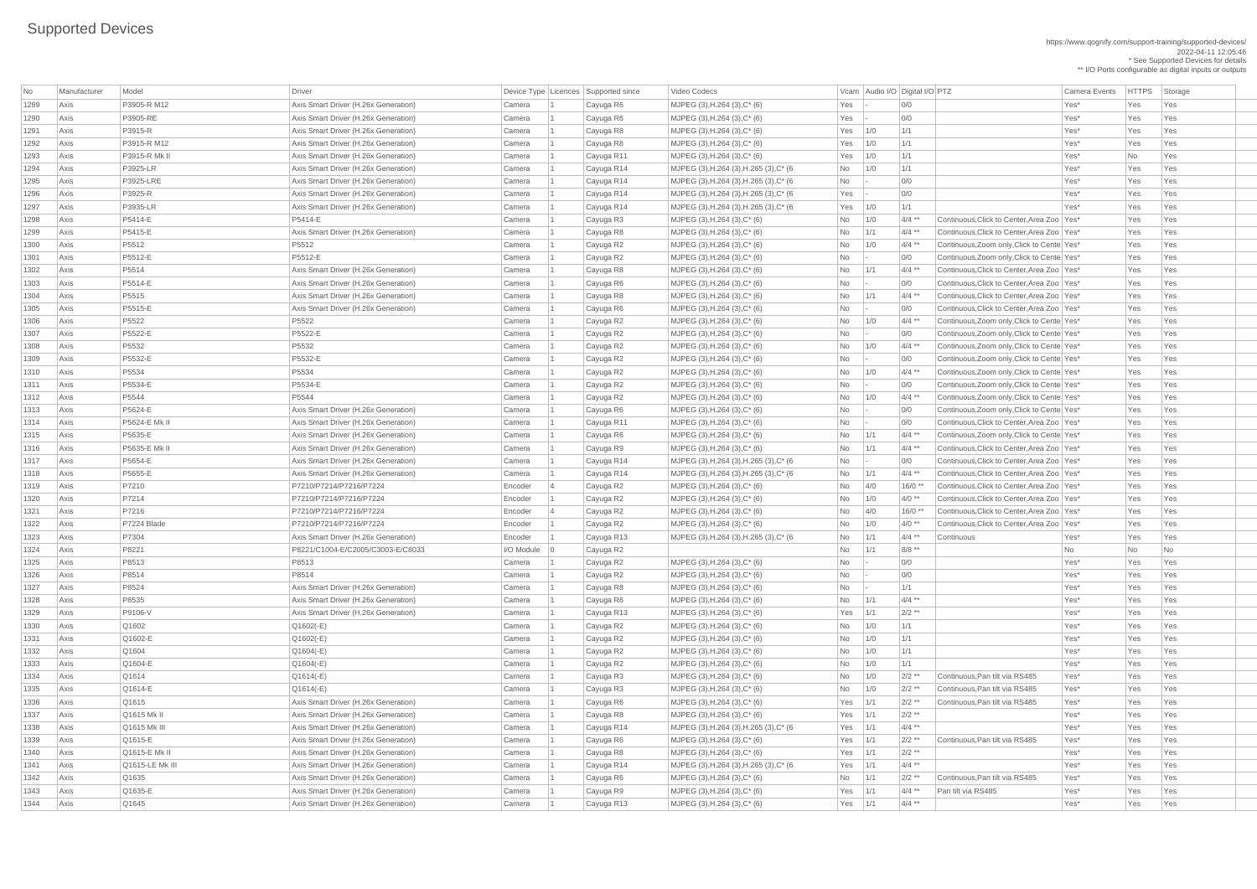https://www.qognify.com/support-training/supported-devices/ 2022-04-11 12:05:46 \* See Supported Devices for details

| <b>No</b> | Manufacturer | Model           | Driver                               |                   | Device Type Licences Supported since | Video Codecs                           |             | Vcam Audio I/O Digital I/O PTZ |          | <b>Camera Events</b>                         | <b>HTTPS</b> | Storage |
|-----------|--------------|-----------------|--------------------------------------|-------------------|--------------------------------------|----------------------------------------|-------------|--------------------------------|----------|----------------------------------------------|--------------|---------|
| 1289      | Axis         | P3905-R M12     | Axis Smart Driver (H.26x Generation) | Camera            | Cayuga R6                            | MJPEG $(3)$ , H.264 $(3)$ , C* $(6)$   | Yes         |                                | 0/0      | Yes*                                         | Yes          | Yes     |
| 1290      | Axis         | P3905-RE        | Axis Smart Driver (H.26x Generation) | Camera            | Cayuga R6                            | $MJPEG (3), H.264 (3), C*(6)$          | Yes         |                                | 0/0      | Yes*                                         | Yes          | Yes     |
| 1291      | Axis         | P3915-R         | Axis Smart Driver (H.26x Generation) | Camera            | Cayuga R8                            | $MJPEG (3), H.264 (3), C*(6)$          | $Yes$ 1/0   |                                | 1/1      | Yes*                                         | Yes          | Yes     |
| 1292      | Axis         | P3915-R M12     | Axis Smart Driver (H.26x Generation) | Camera            | Cayuga R8                            | $MJPEG (3), H.264 (3), C*(6)$          | Yes $1/0$   |                                | 1/1      | Yes*                                         | Yes          | Yes     |
| 1293      | Axis         | P3915-R Mk II   | Axis Smart Driver (H.26x Generation) | Camera            | Cayuga R11                           | MJPEG $(3)$ , H.264 $(3)$ , C* $(6)$   | $Yes$ 1/0   |                                | 1/1      | Yes*                                         | No           | Yes     |
| 1294      | Axis         | P3925-LR        | Axis Smart Driver (H.26x Generation) | Camera            | Cayuga R14                           | MJPEG (3), H.264 (3), H.265 (3), C* (6 | <b>No</b>   | 1/0                            | 1/1      | Yes*                                         | Yes          | Yes     |
| 1295      | Axis         | P3925-LRE       | Axis Smart Driver (H.26x Generation) | Camera            | Cayuga R14                           | MJPEG (3), H.264 (3), H.265 (3), C* (6 | <b>No</b>   |                                | 0/0      | Yes*                                         | Yes          | Yes     |
| 1296      | Axis         | P3925-R         | Axis Smart Driver (H.26x Generation) | Camera            | Cayuga R14                           | MJPEG (3), H.264 (3), H.265 (3), C* (6 | $Yes$ -     |                                | 0/0      | Yes*                                         | Yes          | Yes     |
| 1297      | Axis         | P3935-LR        | Axis Smart Driver (H.26x Generation) | Camera            | Cayuga R14                           | MJPEG (3), H.264 (3), H.265 (3), C* (6 | $Yes$ 1/0   |                                | 1/1      | Yes*                                         | Yes          | Yes     |
| 1298      | Axis         | P5414-E         | P5414-E                              | Camera            | Cayuga R3                            | $MJPEG (3), H.264 (3), C*(6)$          | <b>No</b>   | 1/0                            | $4/4$ ** | Continuous, Click to Center, Area Zoo   Yes* | Yes          | Yes     |
| 1299      | Axis         | P5415-E         | Axis Smart Driver (H.26x Generation) | Camera            | Cayuga R8                            | $MJPEG (3), H.264 (3), C*(6)$          | No          | 1/1                            | $4/4$ ** | Continuous, Click to Center, Area Zoo   Yes* | Yes          | Yes     |
| 1300      | Axis         | P5512           | P5512                                | Camera            | Cayuga R2                            | $MJPEG (3), H.264 (3), C*(6)$          | No          | 1/0                            | $4/4$ ** | Continuous, Zoom only, Click to Cente Yes*   | Yes          | Yes     |
| 1301      | Axis         | P5512-E         | P5512-E                              | Camera            | Cayuga R2                            | $MJPEG (3), H.264 (3), C*(6)$          | No          |                                | 0/0      | Continuous, Zoom only, Click to Cente Yes*   | Yes          | Yes     |
| 1302      | Axis         | P5514           | Axis Smart Driver (H.26x Generation) | Camera            | Cayuga R8                            | MJPEG $(3)$ , H.264 $(3)$ , C* $(6)$   | <b>No</b>   | 1/1                            | $4/4$ ** | Continuous, Click to Center, Area Zoo   Yes* | Yes          | Yes     |
| 1303      | Axis         | P5514-E         | Axis Smart Driver (H.26x Generation) | Camera            | Cayuga R6                            | $MJPEG (3), H.264 (3), C*(6)$          | No          |                                | 0/0      | Continuous, Click to Center, Area Zoo   Yes* | Yes          | Yes     |
| 1304      | Axis         | P5515           | Axis Smart Driver (H.26x Generation) | Camera            | Cayuga R8                            | $MJPEG (3), H.264 (3), C*(6)$          | <b>No</b>   | 1/1                            | $4/4$ ** | Continuous, Click to Center, Area Zoo   Yes* | Yes          | Yes     |
| 1305      | Axis         | P5515-E         | Axis Smart Driver (H.26x Generation) | Camera            | Cayuga R6                            | $MJPEG (3), H.264 (3), C*(6)$          | No          |                                | 0/0      | Continuous, Click to Center, Area Zoo   Yes* | Yes          | Yes     |
| 1306      | Axis         | P5522           | P5522                                | Camera            | Cayuga R2                            | $MJPEG (3), H.264 (3), C*(6)$          | No          | 1/0                            | $4/4$ ** | Continuous, Zoom only, Click to Cente Yes*   | Yes          | Yes     |
| 1307      | Axis         | P5522-E         | P5522-E                              | Camera            | Cayuga R2                            | $MJPEG (3), H.264 (3), C*(6)$          | No          |                                | 0/0      | Continuous, Zoom only, Click to Cente Yes*   | Yes          | Yes     |
| 1308      | Axis         | P5532           | P5532                                | Camera            | Cayuga R2                            | MJPEG $(3)$ , H.264 $(3)$ , C* $(6)$   | No          | 1/0                            | $4/4$ ** | Continuous, Zoom only, Click to Cente Yes*   | Yes          | Yes     |
| 1309      | Axis         | P5532-E         | P5532-E                              | Camera            | Cayuga R2                            | $MJPEG (3), H.264 (3), C*(6)$          | No          |                                | 0/0      | Continuous, Zoom only, Click to Cente Yes*   | Yes          | Yes     |
| 1310      | Axis         | P5534           | P5534                                | Camera            | Cayuga R2                            | $MJPEG (3), H.264 (3), C*(6)$          | No          | 1/0                            | $4/4$ ** | Continuous, Zoom only, Click to Cente Yes*   | Yes          | Yes     |
| 1311      | Axis         | P5534-E         | P5534-E                              | Camera            | Cayuga R2                            | $MJPEG (3), H.264 (3), C*(6)$          | No          |                                | 0/0      | Continuous, Zoom only, Click to Cente Yes*   | Yes          | Yes     |
| 1312      | Axis         | P5544           | P5544                                | Camera            | Cayuga R2                            | MJPEG $(3)$ , H.264 $(3)$ , C* $(6)$   | No          | 1/0                            | $4/4$ ** | Continuous, Zoom only, Click to Cente Yes*   | Yes          | Yes     |
| 1313      | Axis         | P5624-E         | Axis Smart Driver (H.26x Generation) | Camera            | Cayuga R6                            | MJPEG $(3)$ , H.264 $(3)$ , C* $(6)$   | No          |                                | 0/0      | Continuous, Zoom only, Click to Cente Yes*   | Yes          | Yes     |
| 1314      | Axis         | P5624-E Mk II   | Axis Smart Driver (H.26x Generation) | Camera            | Cayuga R11                           | MJPEG (3), H.264 (3), C* (6)           | No          |                                | 0/0      | Continuous, Click to Center, Area Zoo   Yes* | Yes          | Yes     |
| 1315      | Axis         | P5635-E         | Axis Smart Driver (H.26x Generation) | Camera            | Cayuga R6                            | $MJPEG (3), H.264 (3), C*(6)$          | <b>No</b>   | $\vert$ 1/1                    | $4/4$ ** | Continuous, Zoom only, Click to Cente Yes*   | Yes          | Yes     |
| 1316      | Axis         | P5635-E Mk II   | Axis Smart Driver (H.26x Generation) | Camera            | Cayuga R9                            | $MJPEG (3), H.264 (3), C*(6)$          | No          | 1/1                            | $4/4$ ** | Continuous, Click to Center, Area Zoo   Yes* | Yes          | Yes     |
| 1317      | Axis         | P5654-E         | Axis Smart Driver (H.26x Generation) | Camera            | Cayuga R14                           | MJPEG (3), H.264 (3), H.265 (3), C* (6 | No          |                                | 0/0      | Continuous, Click to Center, Area Zoo   Yes* | Yes          | Yes     |
| 1318      | Axis         | P5655-E         | Axis Smart Driver (H.26x Generation) | Camera            | Cayuga R14                           | MJPEG (3), H.264 (3), H.265 (3), C* (6 | <b>No</b>   | 1/1                            | $4/4$ ** | Continuous, Click to Center, Area Zoo   Yes* | Yes          | Yes     |
| 1319      | Axis         | P7210           | P7210/P7214/P7216/P7224              | Encoder           | Cayuga R2                            | $MJPEG (3), H.264 (3), C*(6)$          | No          | 4/0                            | $16/0**$ | Continuous, Click to Center, Area Zoo   Yes* | Yes          | Yes     |
| 1320      | Axis         | P7214           | P7210/P7214/P7216/P7224              | Encoder           | Cayuga R2                            | MJPEG $(3)$ , H.264 $(3)$ , C* $(6)$   | No          | 1/0                            | $4/0**$  | Continuous, Click to Center, Area Zoo   Yes* | Yes          | Yes     |
| 1321      | Axis         | P7216           | P7210/P7214/P7216/P7224              | Encoder           | Cayuga R2                            | $MJPEG (3), H.264 (3), C*(6)$          | No          | 4/0                            | $16/0**$ | Continuous, Click to Center, Area Zoo   Yes* | Yes          | Yes     |
| 1322      | Axis         | P7224 Blade     | P7210/P7214/P7216/P7224              | Encoder           | Cayuga R2                            | $MJPEG (3), H.264 (3), C*(6)$          | No          | 1/0                            | $4/0**$  | Continuous, Click to Center, Area Zoo Yes*   | Yes          | Yes     |
| 1323      | Axis         | P7304           | Axis Smart Driver (H.26x Generation) | Encoder           | Cayuga R13                           | MJPEG (3), H.264 (3), H.265 (3), C* (6 | <b>No</b>   | 1/1                            | $4/4$ ** | <b>Continuous</b><br>Yes*                    | Yes          | Yes     |
| 1324      | Axis         | P8221           | P8221/C1004-E/C2005/C3003-E/C8033    | $I/O$ Module $ 0$ | Cayuga R2                            |                                        | No          | $\vert$ 1/1                    | 8/8 **   | No                                           | No           | No      |
| 1325      | Axis         | P8513           | P8513                                | Camera            | Cayuga R2                            | MJPEG (3), H.264 (3), C* (6)           | No          |                                | 0/0      | Yes*                                         | Yes          | Yes     |
| 1326      | Axis         | P8514           | P8514                                | Camera            | Cayuga R2                            | $MJPEG (3), H.264 (3), C*(6)$          | No          |                                | 0/0      | Yes*                                         | Yes          | Yes     |
| 1327      | Axis         | P8524           | Axis Smart Driver (H.26x Generation) | Camera            | Cayuga R8                            | MJPEG $(3)$ , H.264 $(3)$ , C* $(6)$   | No          |                                | 1/1      | Yes*                                         | Yes          | Yes     |
| 1328      | Axis         | P8535           | Axis Smart Driver (H.26x Generation) | Camera            | Cayuga R6                            | $MJPEG (3), H.264 (3), C*(6)$          | <b>No</b>   | 1/1                            | $4/4$ ** | Yes*                                         | Yes          | Yes     |
| 1329      | Axis         | P9106-V         | Axis Smart Driver (H.26x Generation) | Camera            | Cayuga R13                           | $MJPEG (3), H.264 (3), C*(6)$          | Yes         | 1/1                            | $2/2$ ** | Yes*                                         | Yes          | Yes     |
| 1330      | Axis         | Q1602           | $Q1602(-E)$                          | Camera            | Cayuga R2                            | $MJPEG (3), H.264 (3), C*(6)$          | <b>No</b>   | 1/0                            | 1/1      | Yes*                                         | Yes          | Yes     |
| 1331      | Axis         | Q1602-E         | $Q1602(-E)$                          | Camera            | Cayuga R2                            | $MJPEG (3), H.264 (3), C*(6)$          | No          | 1/0                            | 1/1      | Yes*                                         | Yes          | Yes     |
| 1332      | Axis         | Q1604           | $Q1604(-E)$                          | Camera            | Cayuga R2                            | $MJPEG (3), H.264 (3), C*(6)$          | No          | 1/0                            | 1/1      | Yes*                                         | Yes          | Yes     |
| 1333      | Axis         | Q1604-E         | $Q1604(-E)$                          | Camera            | Cayuga R2                            | $MJPEG (3), H.264 (3), C*(6)$          | <b>No</b>   | 1/0                            | 1/1      | Yes*                                         | Yes          | Yes     |
| 1334      | Axis         | Q1614           | $Q1614(-E)$                          | Camera            | Cayuga R3                            | MJPEG $(3)$ , H.264 $(3)$ , C* $(6)$   | <b>No</b>   | 1/0                            | $2/2$ ** | Continuous, Pan tilt via RS485<br>Yes*       | Yes          | Yes     |
| 1335      | Axis         | $Q1614-E$       | $Q1614(-E)$                          | Camera            | Cayuga R3                            | $MJPEG (3), H.264 (3), C*(6)$          | No          | 1/0                            | $2/2$ ** | Yes*<br>Continuous, Pan tilt via RS485       | Yes          | Yes     |
| 1336      | Axis         | Q1615           | Axis Smart Driver (H.26x Generation) | Camera            | Cayuga R6                            | MJPEG $(3)$ , H.264 $(3)$ , C* $(6)$   | Yes $1/1$   |                                | $2/2$ ** | Continuous, Pan tilt via RS485<br>Yes*       | Yes          | Yes     |
| 1337      | Axis         | Q1615 Mk II     | Axis Smart Driver (H.26x Generation) | Camera            | Cayuga R8                            | $MJPEG (3), H.264 (3), C*(6)$          | Yes $1/1$   |                                | $2/2$ ** | Yes*                                         | Yes          | Yes     |
| 1338      | Axis         | Q1615 Mk III    | Axis Smart Driver (H.26x Generation) | Camera            | Cayuga R14                           | MJPEG (3), H.264 (3), H.265 (3), C* (6 | $Yes$   1/1 |                                | $4/4$ ** | Yes*                                         | Yes          | Yes     |
| 1339      | Axis         | Q1615-E         | Axis Smart Driver (H.26x Generation) | Camera            | Cayuga R6                            | MJPEG $(3)$ , H.264 $(3)$ , C* $(6)$   | $Yes$   1/1 |                                | $2/2$ ** | Yes*<br>Continuous, Pan tilt via RS485       | Yes          | Yes     |
| 1340      | Axis         | Q1615-E Mk II   | Axis Smart Driver (H.26x Generation) | Camera            | Cayuga R8                            | MJPEG (3), H.264 (3), C* (6)           | Yes $ 1/1$  |                                | $2/2$ ** | Yes*                                         | Yes          | Yes     |
| 1341      | Axis         | Q1615-LE Mk III | Axis Smart Driver (H.26x Generation) | Camera            | Cayuga R14                           | MJPEG (3), H.264 (3), H.265 (3), C* (6 | $Yes$   1/1 |                                | $4/4$ ** | Yes*                                         | Yes          | Yes     |
| 1342      | Axis         | Q1635           | Axis Smart Driver (H.26x Generation) | Camera            | Cayuga R6                            | $MJPEG (3), H.264 (3), C*(6)$          | $No$ $1/1$  |                                | $2/2$ ** | Yes*<br>Continuous, Pan tilt via RS485       | Yes          | Yes     |
| 1343      | Axis         | $Q1635-E$       | Axis Smart Driver (H.26x Generation) | Camera            | Cayuga R9                            | $MJPEG (3), H.264 (3), C*(6)$          | $Yes$   1/1 |                                | $4/4$ ** | Pan tilt via RS485<br>Yes*                   | Yes          | Yes     |
| 1344      | Axis         | Q1645           | Axis Smart Driver (H.26x Generation) | Camera            | Cayuga R13                           | MJPEG (3), H.264 (3), C* (6)           | $Yes$   1/1 |                                | $4/4$ ** | Yes*                                         | Yes          | Yes     |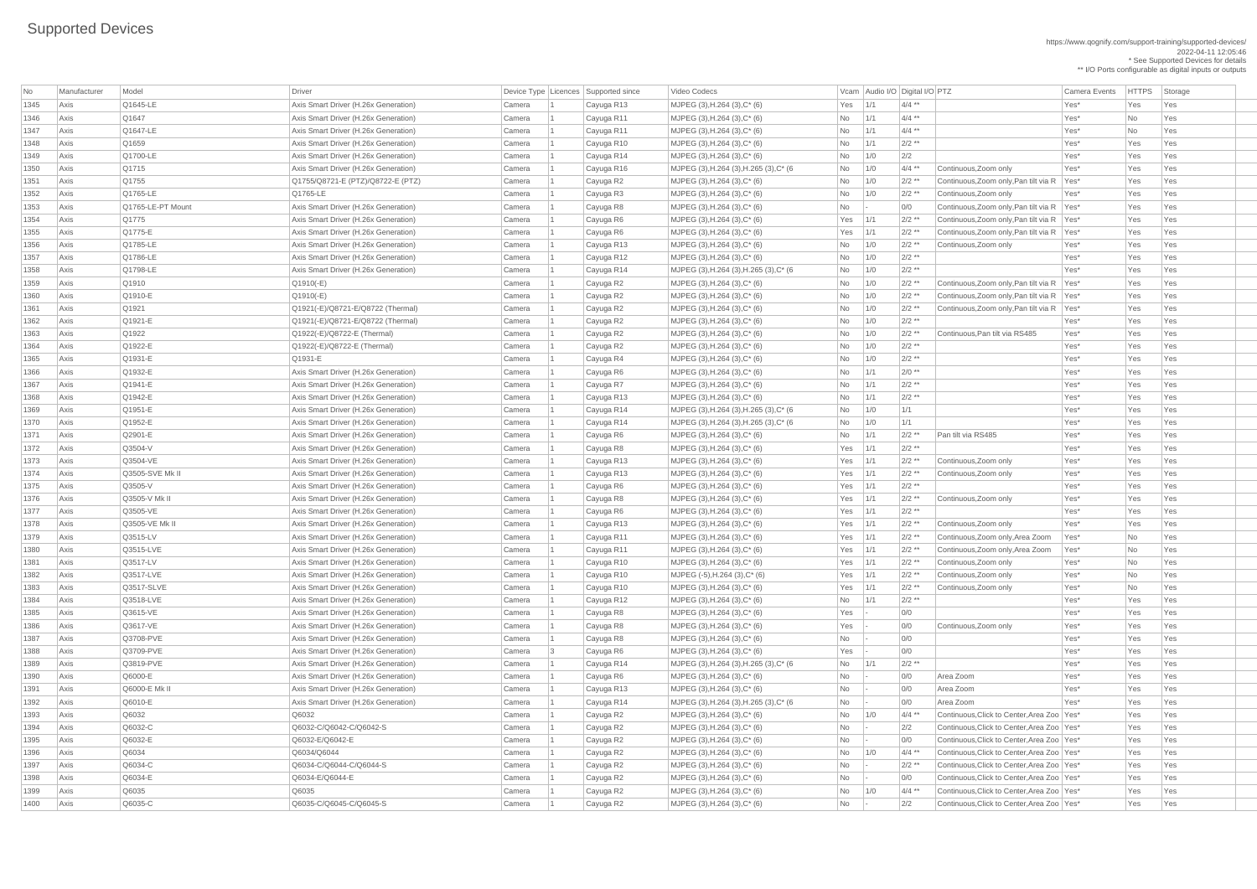https://www.qognify.com/support-training/supported-devices/ 2022-04-11 12:05:46 \* See Supported Devices for details

| No   | Manufacturer | Model             | Driver                               |        |                 | Device Type Licences Supported since | Video Codecs                            |                | Vcam Audio I/O Digital I/O PTZ |                    |                                              | <b>Camera Events</b> | <b>HTTPS</b> | Storage |
|------|--------------|-------------------|--------------------------------------|--------|-----------------|--------------------------------------|-----------------------------------------|----------------|--------------------------------|--------------------|----------------------------------------------|----------------------|--------------|---------|
| 1345 | Axis         | Q1645-LE          | Axis Smart Driver (H.26x Generation) | Camera |                 | Cayuga R13                           | MJPEG $(3)$ , H.264 $(3)$ , C* $(6)$    | Yes            | 1/1                            | $4/4$ **           |                                              | Yes*                 | Yes          | Yes     |
| 1346 | Axis         | $\sqrt{Q1647}$    | Axis Smart Driver (H.26x Generation) | Camera |                 | Cayuga R11                           | $MJPEG (3), H.264 (3), C^*(6)$          | No             | 1/1                            | $4/4$ **           |                                              | Yes*                 | <b>No</b>    | Yes     |
| 1347 | Axis         | Q1647-LE          | Axis Smart Driver (H.26x Generation) | Camera |                 | Cayuga R11                           | $MJPEG (3), H.264 (3), C^*(6)$          | <b>No</b>      | 1/1                            | $4/4$ **           |                                              | Yes*                 | No           | Yes     |
| 1348 | Axis         | Q1659             | Axis Smart Driver (H.26x Generation) | Camera |                 | Cayuga R10                           | $MJPEG (3), H.264 (3), C*(6)$           | <b>No</b>      | 1/1                            | $2/2$ **           |                                              | Yes*                 | Yes          | Yes     |
| 1349 | Axis         | Q1700-LE          | Axis Smart Driver (H.26x Generation) | Camera |                 | Cayuga R14                           | $MJPEG (3), H.264 (3), C^*(6)$          | No             | $\vert$ 1/0                    | 2/2                |                                              | Yes*                 | Yes          | Yes     |
| 1350 | Axis         | $\sqrt{Q}$ 1715   | Axis Smart Driver (H.26x Generation) | Camera |                 | Cayuga R16                           | MJPEG (3), H.264 (3), H.265 (3), C* (6) | No             | 1/0                            | $4/4$ **           | Continuous, Zoom only                        | Yes*                 | Yes          | Yes     |
| 1351 | Axis         | Q1755             | Q1755/Q8721-E (PTZ)/Q8722-E (PTZ)    | Camera |                 | Cayuga R2                            | MJPEG $(3)$ , H.264 $(3)$ , C* $(6)$    | <b>No</b>      | 1/0                            | $2/2$ **           | Continuous, Zoom only, Pan tilt via R Yes*   |                      | Yes          | Yes     |
| 1352 | Axis         | Q1765-LE          | Q1765-LE                             | Camera |                 | Cayuga R3                            | $MJPEG (3), H.264 (3), C*(6)$           | No             | 1/0                            | $2/2$ **           | Continuous, Zoom only                        | Yes*                 | Yes          | Yes     |
| 1353 | Axis         | Q1765-LE-PT Mount | Axis Smart Driver (H.26x Generation) | Camera |                 | Cayuga R8                            | $MJPEG (3), H.264 (3), C^*(6)$          | <b>No</b>      |                                | 0/0                | Continuous, Zoom only, Pan tilt via R Yes*   |                      | Yes          | Yes     |
| 1354 | Axis         | $\sqrt{Q}$ 1775   | Axis Smart Driver (H.26x Generation) | Camera |                 | Cayuga R6                            | $MJPEG (3), H.264 (3), C*(6)$           | Yes            | 1/1                            | $2/2$ **           | Continuous, Zoom only, Pan tilt via R   Yes* |                      | Yes          | Yes     |
| 1355 | Axis         | Q1775-E           | Axis Smart Driver (H.26x Generation) | Camera |                 | Cayuga R6                            | $MJPEG (3), H.264 (3), C*(6)$           | Yes            | 1/1                            | $2/2$ **           | Continuous, Zoom only, Pan tilt via R   Yes* |                      | Yes          | Yes     |
| 1356 | Axis         | Q1785-LE          | Axis Smart Driver (H.26x Generation) | Camera |                 | Cayuga R13                           | $MJPEG (3), H.264 (3), C*(6)$           | No             | 1/0                            | $2/2$ **           | Continuous, Zoom only                        | Yes*                 | Yes          | Yes     |
| 1357 | Axis         | Q1786-LE          | Axis Smart Driver (H.26x Generation) | Camera |                 | Cayuga R12                           | MJPEG $(3)$ , H.264 $(3)$ , C* $(6)$    | <b>No</b>      | 1/0                            | $2/2$ **           |                                              | Yes*                 | Yes          | Yes     |
| 1358 | Axis         | Q1798-LE          | Axis Smart Driver (H.26x Generation) | Camera |                 | Cayuga R14                           | MJPEG (3), H.264 (3), H.265 (3), C* (6  | No             | 1/0                            | $2/2$ **           |                                              | Yes*                 | Yes          | Yes     |
| 1359 | Axis         | Q1910             | $Q1910(-E)$                          | Camera |                 | Cayuga R2                            | MJPEG $(3)$ , H.264 $(3)$ , C* $(6)$    | No             | 1/0                            | $2/2$ **           | Continuous, Zoom only, Pan tilt via R Yes*   |                      | Yes          | Yes     |
| 1360 | Axis         | Q1910-E           | $Q1910(-E)$                          | Camera |                 | Cayuga R2                            | MJPEG $(3)$ , H.264 $(3)$ , C* $(6)$    | <b>No</b>      | 1/0                            | $2/2$ **           | Continuous, Zoom only, Pan tilt via R Yes*   |                      | Yes          | Yes     |
| 1361 | Axis         | $\sqrt{Q}$ 1921   | Q1921(-E)/Q8721-E/Q8722 (Thermal)    | Camera |                 | Cayuga R2                            | $MJPEG (3), H.264 (3), C*(6)$           | No             | 1/0                            | $2/2$ **           | Continuous, Zoom only, Pan tilt via R   Yes* |                      | Yes          | Yes     |
| 1362 | Axis         | Q1921-E           | Q1921(-E)/Q8721-E/Q8722 (Thermal)    | Camera |                 | Cayuga R2                            | $MJPEG (3), H.264 (3), C*(6)$           | No             | 1/0                            | $2/2$ **           |                                              | Yes*                 | Yes          | Yes     |
| 1363 | Axis         | Q1922             | Q1922(-E)/Q8722-E (Thermal)          | Camera |                 | Cayuga R2                            | $MJPEG (3), H.264 (3), C*(6)$           | <b>No</b>      | 1/0                            | $2/2$ **           | Continuous, Pan tilt via RS485               | Yes*                 | Yes          | Yes     |
| 1364 | Axis         | Q1922-E           | Q1922(-E)/Q8722-E (Thermal)          | Camera |                 | Cayuga R2                            | MJPEG $(3)$ , H.264 $(3)$ , C* $(6)$    | No             | 1/0                            | $2/2$ **           |                                              | Yes*                 | Yes          | Yes     |
| 1365 | Axis         | Q1931-E           | Q1931-E                              | Camera |                 | Cayuga R4                            | $MJPEG (3), H.264 (3), C*(6)$           | No             | 1/0                            | $2/2$ **           |                                              | Yes*                 | Yes          | Yes     |
| 1366 | Axis         | Q1932-E           | Axis Smart Driver (H.26x Generation) | Camera |                 | Cayuga R6                            | $MJPEG (3), H.264 (3), C*(6)$           | No             | 1/1                            | $2/0**$            |                                              | Yes*                 | Yes          | Yes     |
| 1367 | Axis         | $Q1941-E$         | Axis Smart Driver (H.26x Generation) | Camera |                 | Cayuga R7                            | MJPEG $(3)$ , H.264 $(3)$ , C* $(6)$    | No             | 1/1                            | $2/2$ **           |                                              | Yes*                 | Yes          | Yes     |
| 1368 | Axis         | Q1942-E           | Axis Smart Driver (H.26x Generation) | Camera |                 | Cayuga R13                           | $MJPEG (3), H.264 (3), C*(6)$           | No             | 1/1                            | $2/2$ **           |                                              | Yes*                 | Yes          | Yes     |
| 1369 | Axis         | Q1951-E           | Axis Smart Driver (H.26x Generation) | Camera |                 | Cayuga R14                           | MJPEG (3), H.264 (3), H.265 (3), C* (6) | <b>No</b>      | 1/0                            | 1/1                |                                              | Yes*                 | Yes          | Yes     |
| 1370 | Axis         | Q1952-E           | Axis Smart Driver (H.26x Generation) | Camera |                 | Cayuga R14                           | MJPEG (3), H.264 (3), H.265 (3), C* (6  | No             | $\vert$ 1/0                    | 1/1                |                                              | Yes*                 | Yes          | Yes     |
| 1371 | Axis         | Q2901-E           | Axis Smart Driver (H.26x Generation) | Camera |                 | Cayuga R6                            | $MJPEG (3), H.264 (3), C^*(6)$          | No             | 1/1                            | $2/2$ **           | Pan tilt via RS485                           | Yes*                 | Yes          | Yes     |
| 1372 | Axis         | Q3504-V           | Axis Smart Driver (H.26x Generation) | Camera |                 | Cayuga R8                            | MJPEG $(3)$ , H.264 $(3)$ , C* $(6)$    | Yes            | $\vert$ 1/1                    | $2/2$ **           |                                              | Yes*                 | Yes          | Yes     |
| 1373 | Axis         | Q3504-VE          | Axis Smart Driver (H.26x Generation) | Camera |                 | Cayuga R13                           | $MJPEG (3), H.264 (3), C*(6)$           | Yes $1/1$      |                                | $2/2$ **           | Continuous, Zoom only                        | Yes*                 | Yes          | Yes     |
| 1374 | Axis         | Q3505-SVE Mk II   | Axis Smart Driver (H.26x Generation) | Camera |                 | Cayuga R13                           | $MJPEG (3), H.264 (3), C*(6)$           | Yes            | $\vert$ 1/1                    | $2/2$ **           | Continuous, Zoom only                        | Yes*                 | Yes          | Yes     |
| 1375 | Axis         | $\sqrt{$ Q3505-V  | Axis Smart Driver (H.26x Generation) | Camera |                 | Cayuga R6                            | MJPEG $(3)$ , H.264 $(3)$ , C* $(6)$    | Yes $1/1$      |                                | $2/2$ **           |                                              | Yes*                 | Yes          | Yes     |
| 1376 | Axis         | Q3505-V Mk II     | Axis Smart Driver (H.26x Generation) | Camera |                 | Cayuga R8                            | MJPEG $(3)$ , H.264 $(3)$ , C* $(6)$    | Yes $1/1$      |                                | $2/2$ **           | Continuous, Zoom only                        | Yes*                 | Yes          | Yes     |
| 1377 | Axis         | Q3505-VE          | Axis Smart Driver (H.26x Generation) | Camera |                 | Cayuga R6                            | $MJPEG (3), H.264 (3), C^*(6)$          | Yes            | 1/1                            | $2/2$ **           |                                              | Yes*                 | Yes          | Yes     |
| 1378 | Axis         | Q3505-VE Mk II    | Axis Smart Driver (H.26x Generation) | Camera |                 | Cayuga R13                           | $MJPEG (3), H.264 (3), C*(6)$           | $Yes$ 1/1      |                                | $2/2$ **           | Continuous, Zoom only                        | Yes*                 | Yes          | Yes     |
| 1379 | Axis         | Q3515-LV          | Axis Smart Driver (H.26x Generation) | Camera |                 | Cayuga R11                           | $MJPEG (3), H.264 (3), C^*(6)$          | Yes $1/1$      |                                | $2/2$ **           | Continuous, Zoom only, Area Zoom             | Yes*                 | No           | Yes     |
| 1380 | Axis         | Q3515-LVE         | Axis Smart Driver (H.26x Generation) | Camera |                 | Cayuga R11                           | $MJPEG (3), H.264 (3), C*(6)$           | Yes $1/1$      |                                | $2/2$ **           | Continuous, Zoom only, Area Zoom             | Yes*                 | No           | Yes     |
| 1381 | Axis         | Q3517-LV          | Axis Smart Driver (H.26x Generation) | Camera |                 | Cayuga R10                           | $MJPEG (3), H.264 (3), C*(6)$           | Yes $1/1$      |                                | $2/2$ **           | Continuous, Zoom only                        | Yes*                 | <b>No</b>    | Yes     |
| 1382 | Axis         | Q3517-LVE         | Axis Smart Driver (H.26x Generation) | Camera |                 | Cayuga R10                           | MJPEG (-5), H.264 (3), C* (6)           | Yes $1/1$      |                                | $2/2$ **           | Continuous, Zoom only                        | Yes*                 | No           | Yes     |
| 1383 | Axis         | Q3517-SLVE        | Axis Smart Driver (H.26x Generation) | Camera |                 | Cayuga R10                           | $MJPEG (3), H.264 (3), C*(6)$           | $Yes$   1/1    |                                | $2/2$ **           | Continuous, Zoom only                        | Yes*                 | <b>No</b>    | Yes     |
| 1384 | Axis         | Q3518-LVE         | Axis Smart Driver (H.26x Generation) | Camera |                 | Cayuga R12                           | $MJPEG (3), H.264 (3), C*(6)$           | <b>No</b>      | 1/1                            | $2/2$ **           |                                              | Yes*                 | Yes          | Yes     |
| 1385 | Axis         | Q3615-VE          | Axis Smart Driver (H.26x Generation) | Camera |                 | Cayuga R8                            | $MJPEG (3), H.264 (3), C*(6)$           | Yes            |                                | 0/0                |                                              | Yes*                 | Yes          | Yes     |
| 1386 | Axis         | Q3617-VE          | Axis Smart Driver (H.26x Generation) | Camera |                 | Cayuga R8                            | $MJPEG (3), H.264 (3), C*(6)$           | Yes            |                                | 0/0                | Continuous, Zoom only                        | Yes*                 | Yes          | Yes     |
| 1387 | Axis         | Q3708-PVE         | Axis Smart Driver (H.26x Generation) | Camera |                 | Cayuga R8                            | $MJPEG (3), H.264 (3), C*(6)$           | No             |                                | 0/0                |                                              | Yes*                 | Yes          | Yes     |
| 1388 | Axis         | Q3709-PVE         | Axis Smart Driver (H.26x Generation) | Camera | $\vert 3 \vert$ | Cayuga R6                            | $MJPEG (3), H.264 (3), C*(6)$           | Yes            |                                | 0/0                |                                              | Yes*                 | Yes          | Yes     |
| 1389 | Axis         | Q3819-PVE         | Axis Smart Driver (H.26x Generation) | Camera |                 | Cayuga R14                           | MJPEG (3), H.264 (3), H.265 (3), C* (6  | <b>No</b>      | 1/1                            | $2/2$ **           |                                              | Yes*                 | Yes          | Yes     |
| 1390 | Axis         | Q6000-E           | Axis Smart Driver (H.26x Generation) | Camera |                 | Cayuga R6                            | $MJPEG (3), H.264 (3), C*(6)$           | <b>No</b>      |                                | 0/0                | Area Zoom                                    | Yes*                 | Yes          | Yes     |
| 1391 | Axis         | Q6000-E Mk II     | Axis Smart Driver (H.26x Generation) | Camera |                 | Cayuga R13                           | $MJPEG (3), H.264 (3), C^*(6)$          | No             |                                | 0/0                | Area Zoom                                    | Yes*                 | Yes          | Yes     |
| 1392 | Axis         | Q6010-E           | Axis Smart Driver (H.26x Generation) | Camera |                 | Cayuga R14                           | MJPEG (3), H.264 (3), H.265 (3), C* (6  | No             |                                | 0/0                | Area Zoom                                    | Yes*                 | Yes          | Yes     |
| 1393 | Axis         | Q6032             | Q6032                                | Camera |                 | Cayuga R2                            | $MJPEG (3), H.264 (3), C*(6)$           | <b>No</b>      | 1/0                            | $4/4$ **           | Continuous, Click to Center, Area Zoo Yes*   |                      | Yes          | Yes     |
| 1394 | Axis         | Q6032-C           | Q6032-C/Q6042-C/Q6042-S              | Camera |                 | Cayuga R2                            | MJPEG $(3)$ , H.264 $(3)$ , C* $(6)$    | No             |                                | 2/2                | Continuous, Click to Center, Area Zoo   Yes* |                      | Yes          | Yes     |
| 1395 | Axis         | Q6032-E           | Q6032-E/Q6042-E                      | Camera |                 | Cayuga R2                            | MJPEG $(3)$ , H.264 $(3)$ , C* $(6)$    | <b>No</b>      |                                | 0/0                | Continuous, Click to Center, Area Zoo   Yes* |                      | Yes          | Yes     |
| 1396 | Axis         | Q6034             | Q6034/Q6044                          | Camera |                 | Cayuga R2                            | MJPEG (3), H.264 (3), C* (6)            | No             | 1/0                            | $\Delta/\Delta$ ** | Continuous, Click to Center, Area Zoo   Yes* |                      | Yes          | Yes     |
| 1397 | Axis         | Q6034-C           | Q6034-C/Q6044-C/Q6044-S              | Camera |                 | Cayuga R2                            | MJPEG $(3)$ , H.264 $(3)$ , C* $(6)$    | No             |                                | $2/2$ **           | Continuous, Click to Center, Area Zoo Yes*   |                      | Yes          | Yes     |
| 1398 | Axis         | Q6034-E           | Q6034-E/Q6044-E                      | Camera |                 | Cayuga R2                            | $MJPEG (3), H.264 (3), C*(6)$           | No             |                                | 0/0                | Continuous, Click to Center, Area Zoo   Yes* |                      | Yes          | Yes     |
| 1399 | Axis         | Q6035             | Q6035                                | Camera |                 | Cayuga R2                            | $MJPEG (3), H.264 (3), C*(6)$           | <b>No</b>      | 1/0                            | $4/4$ **           | Continuous, Click to Center, Area Zoo   Yes* |                      | Yes          | Yes     |
| 1400 | Axis         | Q6035-C           | Q6035-C/Q6045-C/Q6045-S              | Camera |                 | Cayuga R2                            | MJPEG $(3)$ , H.264 $(3)$ , C* $(6)$    | N <sub>o</sub> |                                | 2/2                | Continuous, Click to Center, Area Zoo   Yes* |                      | Yes          | Yes     |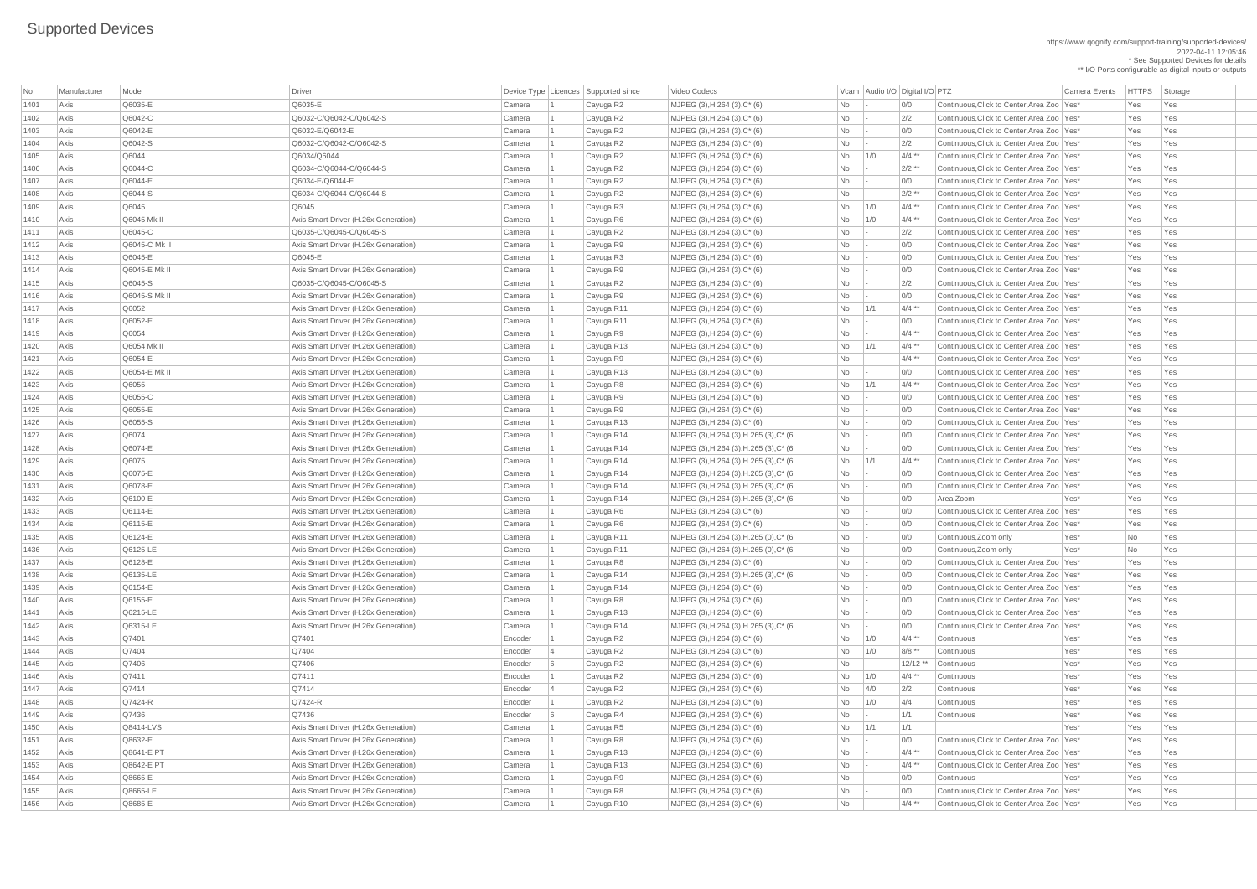https://www.qognify.com/support-training/supported-devices/ 2022-04-11 12:05:46 \* See Supported Devices for details

\*\* I/O Ports configurable as digital inputs or outputs

|MJPEG (3),H.264 (3),C\* (6)  $\qquad$  No - 0/0 Continuous,Click to Center,Area Zoo Yes\* Yes Yes Yes  $140PEG (3), H.264 (3), C^*(6)$ <br>No  $-$  2/2 Continuous,Click to Center,Area Zoo Yes\* Yes Yes Yes 1403 Axis Q6042-E Q6032-E/Q6042-E Camera 1 Cayuga R2 MJPEG (3),H.264 (3),C\* (6) No - 0/0 Continuous,Click to Center,Area Zoo Yes\* Yes Yes  $140$  MJPEG (3),H.264 (3),C\* (6)  $160 - 2/2$  Continuous,Click to Center,Area Zoo Yes\* Yes Yes Yes 1405 Axis Q6044 Q6034/Q6044 Camera 1 Cayuga R2 MJPEG (3),H.264 (3),C\* (6) No 1/0 4/4 \*\* Continuous,Click to Center,Area Zoo Yes\* Yes Yes 1406 Axis Q6044-C Q6034-C/Q6044-C/Q6044-S Camera 1 Cayuga R2 MJPEG (3),H.264 (3),C\* (6) No - 2/2 \*\* Continuous,Click to Center,Area Zoo Yes\* Yes Yes |MJPEG (3),H.264 (3),C\* (6)  $\qquad$  No  $\qquad$ - 0/0 Continuous,Click to Center,Area Zoo Yes\* Yes Yes Yes 1408 Axis Q6044-S Q6034-C/Q6044-C/Q6044-S Camera 1 Cayuga R2 MJPEG (3),H.264 (3),C\* (6) No - 2/2 \*\* Continuous,Click to Center,Area Zoo Yes\* Yes Yes 1409 Axis Q6045 Q6045 Camera 1 Cayuga R3 MJPEG (3),H.264 (3),C\* (6) No 1/0 4/4 \*\* Continuous,Click to Center,Area Zoo Yes\* Yes Yes  $141 \times 141 \times 141 \times 141 \times 141 \times 141 \times 141 \times 141 \times 141 \times 141 \times 141 \times 141 \times 141 \times 141 \times 141 \times 141 \times 141 \times 141 \times 141 \times 141 \times 141 \times 141 \times 141 \times 141 \times 141 \times 141 \times 141 \times 141 \times 141 \times 141 \times 141 \times 141 \times 141 \times 141 \times 141 \times 141 \times 141 \$  $141$  MJPEG (3),H.264 (3),C\* (6)  $141$   $140$   $142$   $142$  Continuous,Click to Center,Area Zoo Yes\* Yes Yes Yes  $1411 \text{ MJPEG (3)}, H.264 (3), C^*(6)$   $100$   $10/0$   $1$  Continuous,Click to Center,Area Zoo Yes\* Yes Yes Yes  $14$  MJPEG (3),H.264 (3),C\* (6)  $14$  Mo  $-$  0/0 Continuous,Click to Center,Area Zoo Yes\* Yes Yes Yes  $1411 \text{ MJPEG (3)}, H.264 (3), C^*(6)$   $100$   $10/0$   $1$  Continuous,Click to Center,Area Zoo Yes\* Yes Yes Yes 1415 Axis Q6045-S Q6035-C/Q6045-C/Q6045-S Camera 1 Cayuga R2 MJPEG (3),H.264 (3),C\* (6) No - 2/2 Continuous,Click to Center,Area Zoo Yes\* Yes Yes 1416 Axis Q6045-S Mk II Axis Smart Driver (H.26x Generation) Camera 1 Cayuga R9 MJPEG (3),H.264 (3),C\* (6) No - 0/0 Continuous,Click to Center,Area Zoo Yes\* Yes Yes  $141 \times 141 \times 141 \times 141 \times 141 \times 141 \times 141 \times 141 \times 141 \times 141 \times 141 \times 141 \times 141 \times 141 \times 141 \times 141 \times 141 \times 141 \times 141 \times 141 \times 141 \times 141 \times 141 \times 141 \times 141 \times 141 \times 141 \times 141 \times 141 \times 141 \times 141 \times 141 \times 141 \times 141 \times 141 \times 141 \times 141 \$  $141$  MJPEG (3),H.264 (3),C\* (6)  $12$  Mo  $10/0$  Continuous,Click to Center,Area Zoo Yes\* Yes Yes Yes MJPEG (3),H.264 (3),C\* (6)  $\vert$  No  $\vert$ -  $\vert$  4/4 \*\* Continuous,Click to Center,Area Zoo Yes\* Yes Yes Yes 1420 Axis Q6054 Mk II Axis Smart Driver (H.26x Generation) Camera 1 Cayuga R13 MJPEG (3),H.264 (3),C\* (6) No 1/1 4/4 \*\* Continuous,Click to Center,Area Zoo Yes\* Yes Yes 1421 Axis Q6054-E Axis Smart Driver (H.26x Generation) Camera 1 Cayuga R9 MJPEG (3),H.264 (3),C\* (6) No - 4/4 \*\* Continuous,Click to Center,Area Zoo Yes\* Yes Yes  $14.14$  MJPEG (3),H.264 (3),C\* (6)  $16.14$  No  $-$  0/0  $-$  Continuous,Click to Center,Area Zoo Yes\* Yes Yes Yes 1423 Axis Q6055 Axis Smart Driver (H.26x Generation) Camera 1 Cayuga R8 MJPEG (3),H.264 (3),C\* (6) No 1/1 4/4 \*\* Continuous,Click to Center,Area Zoo Yes\* Yes Yes |MJPEG (3),H.264 (3),C\* (6)  $\qquad \qquad$  No  $\qquad$ - 0/0 Continuous,Click to Center,Area Zoo Yes\* Yes Yes Yes  $14$ MJPEG (3),H.264 (3),C\* (6)  $12$  Mo  $10/0$   $1$  Continuous,Click to Center,Area Zoo Yes\* Yes Yes Yes  $14.14$  MJPEG (3),H.264 (3),C\* (6)  $16.14$  No  $-$  0/0  $-$  Continuous,Click to Center,Area Zoo Yes\* Yes Yes Yes  $14$  MJPEG (3),H.264 (3),H.265 (3),C\* (6  $100$   $100$   $-$  0/0  $-$  Continuous,Click to Center,Area Zoo Yes\* Yes Yes Yes MJPEG  $(3)$ ,H.264  $(3)$ ,H.265  $(3)$ ,C\*  $(6$  No  $-$  0/0 Continuous,Click to Center,Area Zoo Yes\* Yes Yes Yes  $\vert$  MJPEG (3),H.264 (3),H.265 (3),C\* (6  $\vert$   $\vert$  No  $\vert$   $\vert$  1/1  $\vert$   $\vert$  4/4 \*\*  $\vert$  Continuous,Click to Center,Area Zoo Yes\* Yes Yes Yes  $1430 \text{ MJPEG (3)}, H.264 (3), H.265 (3), C^*(6)$ <br>No  $-$  0/0 Continuous, Click to Center, Area Zoo Yes\* Yes Yes Yes  $143.141 \text{ MJPEG (3)}, H.264 (3), H.265 (3), C^*(6)$   $100$   $10/0$  Continuous,Click to Center,Area Zoo Yes\* Yes Yes Yes | MJPEG (3),H.264 (3),H.265 (3),C\* (6  $\qquad$  No  $\qquad$  - 0/0 Area Zoom Yes\* Yes Yes Yes Yes 1433 Axis Q6114-E Axis Smart Driver (H.26x Generation) Camera 1 Cayuga R6 MJPEG (3),H.264 (3),C\* (6) No - 0/0 Continuous,Click to Center,Area Zoo Yes\* Yes Yes |MJPEG (3),H.264 (3),C\* (6)  $\blacksquare$  No  $\blacksquare$ - 0/0 Continuous,Click to Center,Area Zoo Yes\* Yes Yes Yes  $143.44 \times 10^{-14}$  MJPEG (3),H.264 (3),H.265 (0),C\* (6  $100 \times 10^{-10}$  Continuous,Zoom only  $100 \times 10^{-10}$  Yes\*  $100 \times 10^{-10}$  Yes 1436 Axis Q6125-LE Axis Smart Driver (H.26x Generation) Camera 1 Cayuga R11 MJPEG (3),H.264 (3),H.265 (0),C\* (6 No - 0/0 Continuous,Zoom only Yes\* No Yes  $1437 \text{ MJPEG (3)}, H.264 (3), C^*(6)$   $100$   $10/0$   $1$  Continuous,Click to Center,Area Zoo Yes\* Yes Yes Yes |MJPEG (3),H.264 (3),H.265 (3),C\* (6  $\blacksquare$  No  $\blacksquare$  - 0/0 Continuous,Click to Center,Area Zoo Yes\* Yes Yes Yes  $1439 \text{ mJPEG (3)}, H.264 (3), C^*(6)$   $100$   $10/0$   $10/0$  Continuous,Click to Center,Area Zoo Yes\* Yes Yes  $144 \text{ MJPEG (3)}, H.264 (3), C^*(6)$   $100$   $10/0$   $1$  Continuous,Click to Center,Area Zoo Yes\*  $1$  Yes  $1$  Yes |MJPEG (3),H.264 (3),C\* (6)  $\qquad \qquad$  No  $\qquad$ - 0/0 Continuous,Click to Center,Area Zoo Yes\* Yes Yes Yes  $144$  MJPEG (3),H.264 (3),H.265 (3),C\* (6  $144$  No  $-$  0/0  $-$  0/0  $-$  Continuous,Click to Center,Area Zoo Yes\* Yes Yes Yes  $143.41 \text{ MJPEG (3)}, H.264 (3), C^*(6)$   $100$   $10/0$   $10$  Continuous,Click to Center,Area Zoo Yes\*  $1$  Yes Yes  $14.4$  MJPEG (3),H.264 (3),C\* (6)  $16.44$  Mo  $4/4$   $*$  Continuous,Click to Center,Area Zoo Yes\* Yes Yes Yes  $14.4$  MJPEG (3),H.264 (3),C\* (6)  $16.44$  Mo  $4/4$   $*$  Continuous,Click to Center,Area Zoo Yes\* Yes Yes Yes  $1435 \times 1455 \times 1455$  MJPEG (3),H.264 (3),C\* (6) No  $-$  1 O/0 Continuous,Click to Center,Area Zoo Yes\* Yes Yes Yes  $14.4$  MJPEG (3),H.264 (3),C\* (6)  $16.44$  Mo  $4/4$  \*\* Continuous,Click to Center,Area Zoo Yes\* Yes Yes Yes

| No   | Manufacturer | Model         | Driver                               |         | Device Type   Licences   Supported since | Video Codecs                           |           |                 | Vcam Audio I/O Digital I/O PTZ |                                              | <b>Camera Events</b> | <b>HTTPS</b> | Storage |
|------|--------------|---------------|--------------------------------------|---------|------------------------------------------|----------------------------------------|-----------|-----------------|--------------------------------|----------------------------------------------|----------------------|--------------|---------|
| 1401 | Axis         | Q6035-E       | Q6035-E                              | Camera  | Cayuga R2                                | MJPEG (3), H.264 (3), C* (6)           | No        |                 | 0/0                            | Continuous, Click to Center, Area Zoo   Yes* |                      | Yes          | Yes     |
| 1402 | Axis         | Q6042-C       | Q6032-C/Q6042-C/Q6042-S              | Camera  | Cayuga R2                                | MJPEG (3), H.264 (3), C* (6)           | <b>No</b> |                 | 2/2                            | Continuous, Click to Center, Area Zoo   Yes* |                      | Yes          | Yes     |
| 1403 | Axis         | Q6042-E       | Q6032-E/Q6042-E                      | Camera  | Cayuga R2                                | MJPEG (3), H.264 (3), C* (6)           | No        |                 | 0/0                            | Continuous, Click to Center, Area Zoo   Yes* |                      | Yes          | Yes     |
| 1404 | Axis         | Q6042-S       | Q6032-C/Q6042-C/Q6042-S              | Camera  | Cayuga R2                                | MJPEG (3), H.264 (3), C* (6)           | No        |                 | 2/2                            | Continuous, Click to Center, Area Zoo   Yes* |                      | Yes          | Yes     |
| 1405 | Axis         | Q6044         | Q6034/Q6044                          | Camera  | Cayuga R2                                | MJPEG (3), H.264 (3), C* (6)           | No        | 1/0             | $4/4$ **                       | Continuous, Click to Center, Area Zoo   Yes* |                      | Yes          | Yes     |
| 1406 | Axis         | Q6044-C       | Q6034-C/Q6044-C/Q6044-S              | Camera  | Cayuga R2                                | MJPEG (3), H.264 (3), C* (6)           | No        |                 | $2/2$ **                       | Continuous. Click to Center. Area Zoo Yes*   |                      | Yes          | Yes     |
| 1407 | Axis         | Q6044-E       | Q6034-E/Q6044-E                      | Camera  | Cayuga R2                                | MJPEG (3), H.264 (3), C* (6)           | No        |                 | 0/0                            | Continuous, Click to Center, Area Zoo   Yes* |                      | Yes          | Yes     |
| 1408 | Axis         | Q6044-S       | Q6034-C/Q6044-C/Q6044-S              | Camera  | Cayuga R2                                | MJPEG (3), H.264 (3), C* (6)           | No        |                 | $2/2$ **                       | Continuous, Click to Center, Area Zoo   Yes* |                      | Yes          | Yes     |
| 1409 | Axis         | Q6045         | Q6045                                | Camera  | Cayuga R3                                | MJPEG (3), H.264 (3), C* (6)           | No        | 1/0             | $4/4$ **                       | Continuous, Click to Center, Area Zoo   Yes* |                      | Yes          | Yes     |
| 1410 | Axis         | Q6045 Mk II   | Axis Smart Driver (H.26x Generation) | Camera  | Cayuga R6                                | MJPEG (3), H.264 (3), C* (6)           | No        | 1/0             | $4/4$ **                       | Continuous, Click to Center, Area Zoo   Yes* |                      | Yes          | Yes     |
| 1411 | Axis         | Q6045-C       | Q6035-C/Q6045-C/Q6045-S              | Camera  | Cayuga R2                                | MJPEG (3), H.264 (3), C* (6)           | No        |                 | 2/2                            | Continuous, Click to Center, Area Zoo   Yes* |                      | Yes          | Yes     |
| 1412 | Axis         | Q6045-C Mk II | Axis Smart Driver (H.26x Generation) | Camera  | Cayuga R9                                | MJPEG (3), H.264 (3), C* (6)           | No        |                 | 0/0                            | Continuous, Click to Center, Area Zoo   Yes* |                      | Yes          | Yes     |
| 1413 | Axis         | Q6045-E       | Q6045-E                              | Camera  | Cayuga R3                                | MJPEG (3), H.264 (3), C* (6)           | No        |                 | 0/0                            | Continuous, Click to Center, Area Zoo   Yes* |                      | Yes          | Yes     |
| 1414 | Axis         | Q6045-E Mk II | Axis Smart Driver (H.26x Generation) | Camera  | Cayuga R9                                | MJPEG (3), H.264 (3), C* (6)           | <b>No</b> |                 | 0/0                            | Continuous, Click to Center, Area Zoo   Yes* |                      | Yes          | Yes     |
| 1415 | Axis         | Q6045-S       | Q6035-C/Q6045-C/Q6045-S              | Camera  | Cayuga R2                                | MJPEG (3), H.264 (3), C* (6)           | No        |                 | 2/2                            | Continuous, Click to Center, Area Zoo   Yes* |                      | Yes          | Yes     |
| 1416 | Axis         | Q6045-S Mk II | Axis Smart Driver (H.26x Generation) | Camera  | Cayuga R9                                | MJPEG (3), H.264 (3), C* (6)           | No        |                 | 0/0                            | Continuous, Click to Center, Area Zoo   Yes* |                      | Yes          | Yes     |
| 1417 | Axis         | Q6052         | Axis Smart Driver (H.26x Generation) | Camera  | Cayuga R11                               | MJPEG (3), H.264 (3), C* (6)           | No        | 1/1             | $4/4$ **                       | Continuous, Click to Center, Area Zoo   Yes* |                      | Yes          | Yes     |
| 1418 | Axis         | Q6052-E       | Axis Smart Driver (H.26x Generation) | Camera  | Cayuga R11                               | MJPEG (3), H.264 (3), C* (6)           | No        |                 | O/O                            | Continuous, Click to Center, Area Zoo   Yes* |                      | Yes          | Yes     |
| 1419 | Axis         | Q6054         | Axis Smart Driver (H.26x Generation) | Camera  | Cayuga R9                                | MJPEG (3), H.264 (3), C* (6)           | No        |                 | $4/4$ **                       | Continuous, Click to Center, Area Zoo   Yes* |                      | Yes          | Yes     |
| 1420 | Axis         | Q6054 Mk II   | Axis Smart Driver (H.26x Generation) | Camera  | Cayuga R13                               | MJPEG (3), H.264 (3), C* (6)           | No        | 1/1             | $4/4$ **                       | Continuous, Click to Center, Area Zoo   Yes* |                      | Yes          | Yes     |
| 1421 | Axis         | Q6054-E       | Axis Smart Driver (H.26x Generation) | Camera  | Cayuga R9                                | MJPEG (3), H.264 (3), C* (6)           | No        |                 | $4/4$ **                       | Continuous, Click to Center, Area Zoo   Yes* |                      | Yes          | Yes     |
| 1422 | Axis         | Q6054-E Mk II | Axis Smart Driver (H.26x Generation) | Camera  | Cayuga R13                               | MJPEG (3), H.264 (3), C* (6)           | No        |                 | 0/0                            | Continuous, Click to Center, Area Zoo   Yes* |                      | Yes          | Yes     |
| 1423 | Axis         | Q6055         | Axis Smart Driver (H.26x Generation) | Camera  | Cayuga R8                                | MJPEG (3), H.264 (3), C* (6)           | No        | 1/1             | $4/4$ **                       | Continuous, Click to Center, Area Zoo   Yes* |                      | Yes          | Yes     |
| 1424 | Axis         | Q6055-C       | Axis Smart Driver (H.26x Generation) | Camera  | Cayuga R9                                | MJPEG (3), H.264 (3), C* (6)           | No        |                 | 0/0                            | Continuous, Click to Center, Area Zoo   Yes* |                      | Yes          | Yes     |
| 1425 | Axis         | Q6055-E       | Axis Smart Driver (H.26x Generation) | Camera  | Cayuga R9                                | MJPEG (3), H.264 (3), C* (6)           | No        |                 | 0/0                            | Continuous, Click to Center, Area Zoo   Yes* |                      | Yes          | Yes     |
| 1426 | Axis         | Q6055-S       | Axis Smart Driver (H.26x Generation) | Camera  | Cayuga R13                               | MJPEG (3), H.264 (3), C* (6)           | No.       |                 | 0/0                            | Continuous, Click to Center, Area Zoo   Yes* |                      | Yes          | Yes     |
| 1427 | Axis         | Q6074         | Axis Smart Driver (H.26x Generation) | Camera  | Cayuga R14                               | MJPEG (3), H.264 (3), H.265 (3), C* (6 | No        |                 | 0/0                            | Continuous, Click to Center, Area Zoo   Yes* |                      | Yes          | Yes     |
| 1428 | Axis         | Q6074-E       | Axis Smart Driver (H.26x Generation) | Camera  | Cayuga R14                               | MJPEG (3), H.264 (3), H.265 (3), C* (6 | No        |                 | 0/0                            | Continuous, Click to Center, Area Zoo   Yes* |                      | Yes          | Yes     |
| 1429 | Axis         | Q6075         | Axis Smart Driver (H.26x Generation) | Camera  | Cayuga R14                               | MJPEG (3), H.264 (3), H.265 (3), C* (6 | No        | 1/1             | $4/4$ **                       | Continuous, Click to Center, Area Zoo   Yes* |                      | Yes          | Yes     |
| 1430 | Axis         | Q6075-E       | Axis Smart Driver (H.26x Generation) | Camera  | Cayuga R14                               | MJPEG (3), H.264 (3), H.265 (3), C* (6 | No        |                 | 0/0                            | Continuous, Click to Center, Area Zoo   Yes* |                      | Yes          | Yes     |
| 1431 | Axis         | Q6078-E       | Axis Smart Driver (H.26x Generation) | Camera  | Cayuga R14                               | MJPEG (3), H.264 (3), H.265 (3), C* (6 | No        |                 | 0/0                            | Continuous, Click to Center, Area Zoo   Yes* |                      | Yes          | Yes     |
| 1432 | Axis         | Q6100-E       | Axis Smart Driver (H.26x Generation) | Camera  | Cayuga R14                               | MJPEG (3), H.264 (3), H.265 (3), C* (6 | No        |                 | 0/0                            | Area Zoom                                    | Yes*                 | Yes          | Yes     |
| 1433 | Axis         | Q6114-E       | Axis Smart Driver (H.26x Generation) | Camera  | Cayuga R6                                | MJPEG (3), H.264 (3), C* (6)           | No        |                 | 0/0                            | Continuous, Click to Center, Area Zoo   Yes* |                      | Yes          | Yes     |
| 1434 | Axis         | Q6115-E       | Axis Smart Driver (H.26x Generation) | Camera  | Cayuga R6                                | MJPEG (3), H.264 (3), C* (6)           | No        |                 | 0/0                            | Continuous, Click to Center, Area Zoo   Yes* |                      | Yes          | Yes     |
| 1435 | Axis         | Q6124-E       | Axis Smart Driver (H.26x Generation) | Camera  | Cayuga R11                               | MJPEG (3), H.264 (3), H.265 (0), C* (6 | No        |                 | 0/0                            | Continuous, Zoom only                        | Yes*                 | No           | Yes     |
| 1436 | Axis         | Q6125-LE      | Axis Smart Driver (H.26x Generation) | Camera  | Cayuga R11                               | MJPEG (3), H.264 (3), H.265 (0), C* (6 | No        |                 | 0/0                            | Continuous, Zoom only                        | Yes*                 | No           | Yes     |
| 1437 | Axis         | Q6128-E       | Axis Smart Driver (H.26x Generation) | Camera  | Cayuga R8                                | MJPEG (3), H.264 (3), C* (6)           | No        |                 | 0/0                            | Continuous, Click to Center, Area Zoo   Yes* |                      | Yes          | Yes     |
| 1438 | Axis         | Q6135-LE      | Axis Smart Driver (H.26x Generation) | Camera  | Cayuga R14                               | MJPEG (3), H.264 (3), H.265 (3), C* (6 | No        |                 | 0/0                            | Continuous, Click to Center, Area Zoo   Yes* |                      | Yes          | Yes     |
| 1439 | Axis         | Q6154-E       | Axis Smart Driver (H.26x Generation) | Camera  | Cayuga R14                               | MJPEG (3), H.264 (3), C* (6)           | No        |                 | 0/0                            | Continuous, Click to Center, Area Zoo   Yes* |                      | Yes          | Yes     |
| 1440 | Axis         | Q6155-E       | Axis Smart Driver (H.26x Generation) | Camera  | Cayuga R8                                | MJPEG (3), H.264 (3), C* (6)           | No        |                 | 0/0                            | Continuous, Click to Center, Area Zoo   Yes* |                      | Yes          | Yes     |
| 1441 | Axis         | Q6215-LE      | Axis Smart Driver (H.26x Generation) | Camera  | Cayuga R13                               | MJPEG (3), H.264 (3), C* (6)           | No        |                 | 0/0                            | Continuous, Click to Center, Area Zoo   Yes* |                      | Yes          | Yes     |
| 1442 | Axis         | Q6315-LE      | Axis Smart Driver (H.26x Generation) | Camera  | Cayuga R14                               | MJPEG (3), H.264 (3), H.265 (3), C* (6 | No        |                 | O/O                            | Continuous, Click to Center, Area Zoo   Yes* |                      | Yes          | Yes     |
| 1443 | Axis         | Q7401         | Q7401                                | Encoder | Cayuga R2                                | MJPEG (3), H.264 (3), C* (6)           | No        | 1/0             | $4/4$ **                       | Continuous                                   | Yes*                 | Yes          | Yes     |
| 1444 | Axis         | Q7404         | Q7404                                | Encoder | Cayuga R2                                | MJPEG (3), H.264 (3), C* (6)           | No        | 1/0             | $8/8$ **                       | Continuous                                   | Yes*                 | Yes          | Yes     |
| 1445 | Axis         | Q7406         | Q7406                                | Encoder | Cayuga R2                                | MJPEG (3), H.264 (3), C* (6)           | No        | $\vert - \vert$ | $12/12$ **                     | Continuous                                   | Yes*                 | Yes          | Yes     |
| 1446 | Axis         | Q7411         | Q7411                                | Encoder | Cayuga R2                                | MJPEG (3), H.264 (3), C* (6)           | No        | 1/0             | $4/4$ **                       | Continuous                                   | Yes*                 | Yes          | Yes     |
| 1447 | Axis         | Q7414         | Q7414                                | Encoder | Cayuga R2                                | MJPEG (3), H.264 (3), C* (6)           | No        | 4/0             | 2/2                            | Continuous                                   | Yes*                 | Yes          | Yes     |
| 1448 | Axis         | Q7424-R       | Q7424-R                              | Encoder | Cayuga R2                                | MJPEG (3), H.264 (3), C* (6)           | No        | 1/0             | 4/4                            | Continuous                                   | Yes*                 | Yes          | Yes     |
| 1449 | Axis         | Q7436         | Q7436                                | Encoder | Cayuga R4                                | MJPEG (3), H.264 (3), C* (6)           | No        |                 | 1/1                            | Continuous                                   | Yes*                 | Yes          | Yes     |
| 1450 | Axis         | Q8414-LVS     | Axis Smart Driver (H.26x Generation) | Camera  | Cayuga R5                                | MJPEG (3), H.264 (3), C* (6)           | No        | 1/1             | 1/1                            |                                              | Yes*                 | Yes          | Yes     |
| 1451 | Axis         | Q8632-E       | Axis Smart Driver (H.26x Generation) | Camera  | Cayuga R8                                | MJPEG (3), H.264 (3), C* (6)           | <b>No</b> |                 | 0/0                            | Continuous, Click to Center, Area Zoo   Yes* |                      | Yes          | Yes     |
| 1452 | Axis         | Q8641-E PT    | Axis Smart Driver (H.26x Generation) | Camera  | Cayuga R13                               | MJPEG (3), H.264 (3), C* (6)           | <b>No</b> |                 |                                | Continuous, Click to Center, Area Zoo   Yes* |                      | Yes          | Yes     |
| 1453 | Axis         | Q8642-E PT    | Axis Smart Driver (H.26x Generation) | Camera  | Cayuga R13                               | MJPEG $(3)$ , H.264 $(3)$ , C* $(6)$   | No        |                 | $4/4$ **                       | Continuous, Click to Center, Area Zoo   Yes* |                      | Yes          | Yes     |
| 1454 | Axis         | Q8665-E       | Axis Smart Driver (H.26x Generation) | Camera  | Cayuga R9                                | MJPEG (3),H.264 (3),C* (6)             | No        |                 | 0/0                            | Continuous                                   | Yes*                 | Yes          | Yes     |
| 1455 | Axis         | Q8665-LE      | Axis Smart Driver (H.26x Generation) | Camera  | Cayuga R8                                | MJPEG (3), H.264 (3), C* (6)           | No        |                 | 0/0                            | Continuous, Click to Center, Area Zoo   Yes* |                      | Yes          | Yes     |
| 1456 | Axis         | Q8685-E       | Axis Smart Driver (H.26x Generation) | Camera  | Cayuga R10                               | MJPEG $(3)$ , H.264 $(3)$ , C* $(6)$   | No        |                 | $4/4$ **                       | Continuous, Click to Center, Area Zoo   Yes* |                      | Yes          | Yes     |
|      |              |               |                                      |         |                                          |                                        |           |                 |                                |                                              |                      |              |         |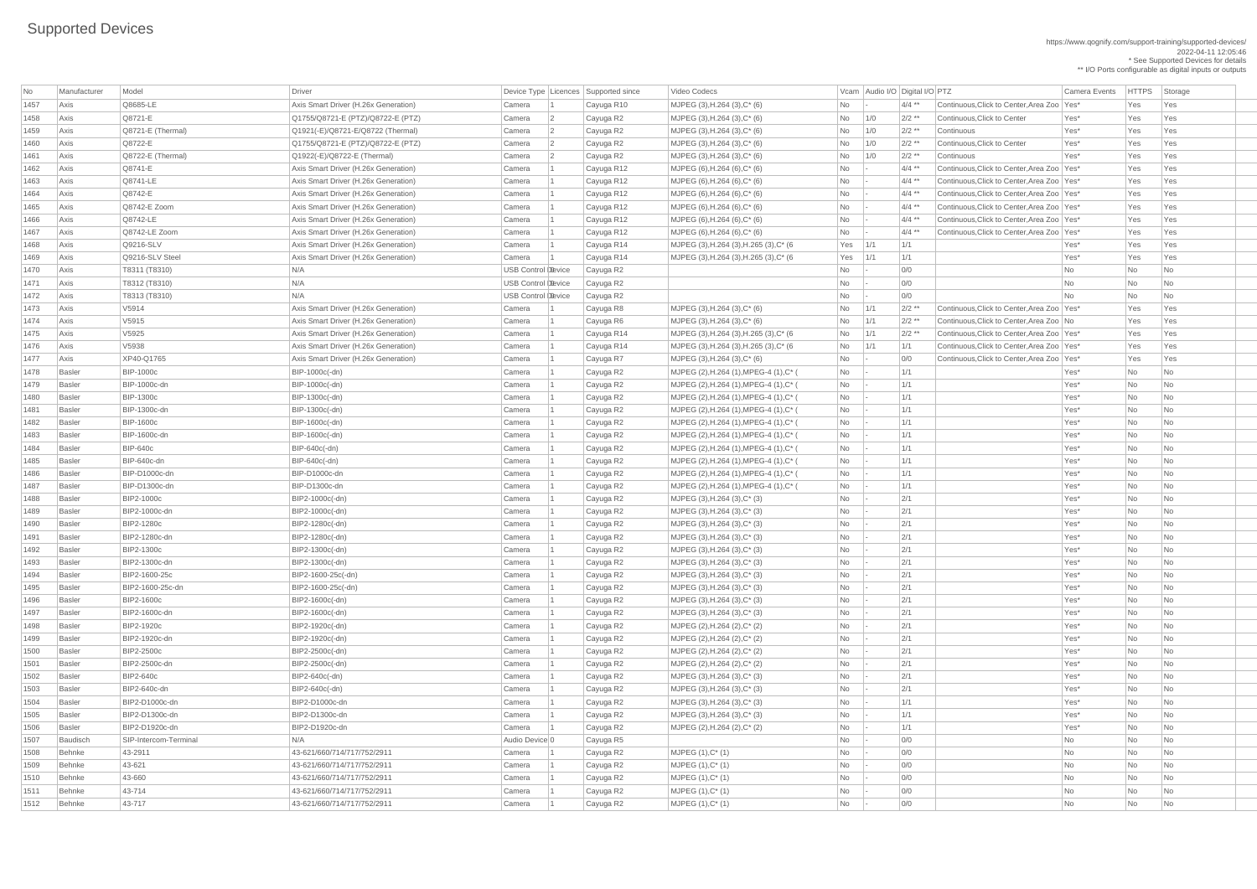| No   | Manufacturer    | Model                 | Driver                               |                           |                | Device Type Licences Supported since | Video Codecs                           |                                                                             |               | Vcam Audio I/O Digital I/O PTZ |                                              | <b>Camera Events</b> | <b>HTTPS</b> | Storage                     |
|------|-----------------|-----------------------|--------------------------------------|---------------------------|----------------|--------------------------------------|----------------------------------------|-----------------------------------------------------------------------------|---------------|--------------------------------|----------------------------------------------|----------------------|--------------|-----------------------------|
| 1457 | Axis            | Q8685-LE              | Axis Smart Driver (H.26x Generation) | Camera                    |                | Cayuga R10                           | MJPEG $(3)$ , H.264 $(3)$ , C* $(6)$   | <b>No</b>                                                                   |               | $4/4$ **                       | Continuous, Click to Center, Area Zoo   Yes* |                      | Yes          | Yes                         |
| 1458 | Axis            | Q8721-E               | Q1755/Q8721-E (PTZ)/Q8722-E (PTZ)    | Camera                    | 2              | Cayuga R2                            | MJPEG $(3)$ , H.264 $(3)$ , C* $(6)$   | No                                                                          | 1/0           | $2/2$ **                       | Continuous, Click to Center                  | Yes*                 | Yes          | Yes                         |
| 1459 | Axis            | $Q8721-E$ (Thermal)   | Q1921(-E)/Q8721-E/Q8722 (Thermal)    | Camera                    | 2              | Cayuga R2                            | MJPEG (3), H.264 (3), C* (6)           | No                                                                          | 1/0           | $2/2$ **                       | Continuous                                   | Yes*                 | Yes          | Yes                         |
| 1460 | Axis            | Q8722-E               | Q1755/Q8721-E (PTZ)/Q8722-E (PTZ)    | Camera                    | $\overline{2}$ | Cayuga R2                            | MJPEG $(3)$ , H.264 $(3)$ , C* $(6)$   | No                                                                          | 1/0           | $2/2$ **                       | Continuous, Click to Center                  | Yes*                 | Yes          | Yes                         |
| 1461 | Axis            | Q8722-E (Thermal)     | Q1922(-E)/Q8722-E (Thermal)          | Camera                    |                | Cayuga R2                            | MJPEG $(3)$ , H.264 $(3)$ , C* $(6)$   | No                                                                          | 1/0           | $2/2$ **                       | Continuous                                   | Yes*                 | Yes          | Yes                         |
| 1462 | Axis            | Q8741-E               | Axis Smart Driver (H.26x Generation) | Camera                    |                | Cayuga R12                           | MJPEG (6), H.264 (6), C* (6)           | No                                                                          |               | $4/4$ **                       | Continuous, Click to Center, Area Zoo   Yes* |                      | Yes          | Yes                         |
| 1463 | Axis            | Q8741-LE              | Axis Smart Driver (H.26x Generation) | Camera                    |                | Cayuga R12                           | MJPEG (6), H.264 (6), C* (6)           | <b>No</b>                                                                   |               | $4/4$ **                       | Continuous, Click to Center, Area Zoo   Yes* |                      | Yes          | Yes                         |
| 1464 | Axis            | Q8742-E               | Axis Smart Driver (H.26x Generation) | Camera                    |                | Cayuga R12                           | MJPEG (6), H.264 (6), C* (6)           | No                                                                          | - 1 -         | $4/4$ **                       | Continuous, Click to Center, Area Zoo   Yes* |                      | Yes          | Yes                         |
| 1465 | Axis            | Q8742-E Zoom          | Axis Smart Driver (H.26x Generation) | Camera                    |                | Cayuga R12                           | MJPEG (6), H.264 (6), C* (6)           | No                                                                          |               | $4/4$ **                       | Continuous, Click to Center, Area Zoo   Yes* |                      | Yes          | Yes                         |
| 1466 | Axis            | Q8742-LE              | Axis Smart Driver (H.26x Generation) | Camera                    |                | Cayuga R12                           | MJPEG (6), H.264 (6), C* (6)           | No                                                                          |               | $4/4$ **                       | Continuous, Click to Center, Area Zoo   Yes* |                      | Yes          | Yes                         |
| 1467 | Axis            | Q8742-LE Zoom         | Axis Smart Driver (H.26x Generation) | Camera                    |                | Cayuga R12                           | MJPEG (6), H.264 (6), C* (6)           | No                                                                          | $\sim$ $\sim$ | $4/4$ **                       | Continuous, Click to Center, Area Zoo   Yes* |                      | Yes          | Yes                         |
| 1468 | Axis            | Q9216-SLV             | Axis Smart Driver (H.26x Generation) | Camera                    |                | Cayuga R14                           | MJPEG (3), H.264 (3), H.265 (3), C* (6 | $Yes$ 1/1                                                                   |               | 1/1                            |                                              | Yes*                 | Yes          | Yes                         |
| 1469 | Axis            | Q9216-SLV Steel       | Axis Smart Driver (H.26x Generation) | Camera                    |                | Cayuga R14                           | MJPEG (3), H.264 (3), H.265 (3), C* (6 | $Yes$ 1/1                                                                   |               | 1/1                            |                                              | Yes*                 | Yes          | Yes                         |
| 1470 | Axis            | T8311 (T8310)         | N/A                                  | <b>USB Control Device</b> |                | Cayuga R2                            |                                        | <b>No</b>                                                                   | - 14          | 0/0                            |                                              | No                   | <b>No</b>    | <b>No</b>                   |
| 1471 | Axis            | T8312 (T8310)         | N/A                                  | USB Control Device        |                | Cayuga R2                            |                                        | No                                                                          |               | 0/0                            |                                              | No                   | <b>No</b>    | <b>No</b>                   |
| 1472 | Axis            | T8313 (T8310)         | N/A                                  | USB Control Device        |                | Cayuga R2                            |                                        | No                                                                          |               | O/O                            |                                              | No                   | <b>No</b>    | No                          |
| 1473 | Axis            | V5914                 | Axis Smart Driver (H.26x Generation) | Camera                    |                | Cayuga R8                            | MJPEG $(3)$ , H.264 $(3)$ , C* $(6)$   | No                                                                          | 1/1           | $2/2$ **                       | Continuous, Click to Center, Area Zoo   Yes* |                      | Yes          | Yes                         |
| 1474 | Axis            | V5915                 | Axis Smart Driver (H.26x Generation) | Camera                    |                | Cayuga R6                            | MJPEG $(3)$ , H.264 $(3)$ , C* $(6)$   | No                                                                          | 1/1           | $2/2$ **                       | Continuous, Click to Center, Area Zoo No     |                      | Yes          | Yes                         |
| 1475 | Axis            | V5925                 | Axis Smart Driver (H.26x Generation) | Camera                    |                | Cayuga R14                           | MJPEG (3), H.264 (3), H.265 (3), C* (6 | No                                                                          | 1/1           | $2/2$ **                       | Continuous, Click to Center, Area Zoo   Yes* |                      | Yes          | Yes                         |
| 1476 | Axis            | V5938                 | Axis Smart Driver (H.26x Generation) | Camera                    |                | Cayuga R14                           | MJPEG (3), H.264 (3), H.265 (3), C* (6 | $No$   1/1                                                                  |               | 1/1                            | Continuous, Click to Center, Area Zoo   Yes* |                      | Yes          | Yes                         |
| 1477 | Axis            | XP40-Q1765            | Axis Smart Driver (H.26x Generation) | Camera                    |                | Cayuga R7                            | MJPEG $(3)$ , H.264 $(3)$ , C* $(6)$   | No                                                                          | -14           | 0/0                            | Continuous, Click to Center, Area Zoo   Yes* |                      | Yes          | Yes                         |
| 1478 | <b>Basler</b>   | <b>BIP-1000c</b>      | BIP-1000c(-dn)                       | Camera                    |                | Cayuga R2                            | MJPEG (2), H.264 (1), MPEG-4 (1), C* ( | $\overline{N}$ No $\overline{C}$                                            |               | 1/1                            |                                              | Yes*                 | <b>No</b>    | No                          |
| 1479 | <b>Basler</b>   | <b>BIP-1000c-dn</b>   | BIP-1000c(-dn)                       | Camera                    |                | Cayuga R2                            | MJPEG (2), H.264 (1), MPEG-4 (1), C* ( | No                                                                          | $\sim$ $\sim$ | 1/1                            |                                              | Yes*                 | <b>No</b>    | No                          |
| 1480 | <b>Basler</b>   | <b>BIP-1300c</b>      | BIP-1300c(-dn)                       | Camera                    |                | Cayuga R2                            | MJPEG (2), H.264 (1), MPEG-4 (1), C* ( | $\begin{array}{ c c c c c c c c } \hline \text{No} & \quad & - \end{array}$ |               | 1/1                            |                                              | Yes*                 | <b>No</b>    | $\overline{\mathsf{No}}$    |
| 1481 | Basler          | <b>BIP-1300c-dn</b>   | BIP-1300c(-dn)                       | Camera                    |                | Cayuga R2                            | MJPEG (2), H.264 (1), MPEG-4 (1), C* ( | No                                                                          |               | 1/1                            |                                              | Yes*                 | <b>No</b>    | $\overline{\mathsf{No}}$    |
| 1482 | <b>Basler</b>   | <b>BIP-1600c</b>      | BIP-1600c(-dn)                       | Camera                    |                | Cayuga R2                            | MJPEG (2), H.264 (1), MPEG-4 (1), C* ( | No                                                                          |               | 1/1                            |                                              | Yes*                 | <b>No</b>    | <b>No</b>                   |
| 1483 | <b>Basler</b>   | BIP-1600c-dn          | BIP-1600c(-dn)                       | Camera                    |                | Cayuga R2                            | MJPEG (2), H.264 (1), MPEG-4 (1), C* ( | No                                                                          | - 14          | 1/1                            |                                              | Yes*                 | <b>No</b>    | $\overline{\mathsf{No}}$    |
| 1484 | <b>Basler</b>   | <b>BIP-640c</b>       | BIP-640c(-dn)                        | Camera                    |                | Cayuga R2                            | MJPEG (2), H.264 (1), MPEG-4 (1), C* ( | $\overline{N}$ No $\overline{C}$                                            |               | 1/1                            |                                              | Yes*                 | <b>No</b>    | No                          |
| 1485 | <b>Basler</b>   | BIP-640c-dn           | $\overline{BIP-640c(-dn)}$           | Camera                    |                | Cayuga R2                            | MJPEG (2), H.264 (1), MPEG-4 (1), C* ( | $\overline{N}$ No $\overline{C}$                                            |               | 1/1                            |                                              | Yes*                 | <b>No</b>    | No                          |
| 1486 | <b>Basler</b>   | BIP-D1000c-dn         | BIP-D1000c-dn                        | Camera                    |                | Cayuga R2                            | MJPEG (2), H.264 (1), MPEG-4 (1), C* ( |                                                                             |               | 1/1                            |                                              | Yes*                 | <b>No</b>    | $\overline{\mathsf{No}}$    |
| 1487 | <b>Basler</b>   | BIP-D1300c-dn         | BIP-D1300c-dn                        | Camera                    |                | Cayuga R2                            | MJPEG (2), H.264 (1), MPEG-4 (1), C* ( | $No$ -                                                                      |               | 1/1                            |                                              | Yes*                 | <b>No</b>    | No                          |
| 1488 | <b>Basler</b>   | BIP2-1000c            | BIP2-1000c(-dn)                      | Camera                    |                | Cayuga R2                            | MJPEG $(3)$ , H.264 $(3)$ , C* $(3)$   | <b>No</b>                                                                   |               | 2/1                            |                                              | Yes*                 | <b>No</b>    | <b>No</b>                   |
| 1489 | <b>Basler</b>   | BIP2-1000c-dn         | BIP2-1000c(-dn)                      | Camera                    |                | Cayuga R2                            | MJPEG (3), H.264 (3), C* (3)           | No                                                                          |               | 2/1                            |                                              | Yes*                 | <b>No</b>    | No                          |
| 1490 | <b>Basler</b>   | BIP2-1280c            | BIP2-1280c(-dn)                      | Camera                    |                | Cayuga R2                            | MJPEG $(3)$ , H.264 $(3)$ , C* $(3)$   | No                                                                          |               | 2/1                            |                                              | Yes*                 | <b>No</b>    | No                          |
| 1491 | <b>Basler</b>   | BIP2-1280c-dn         | BIP2-1280c(-dn)                      | Camera                    |                | Cayuga R2                            | MJPEG $(3)$ , H.264 $(3)$ , C* $(3)$   | No                                                                          |               | 2/1                            |                                              | Yes*                 | <b>No</b>    | No                          |
| 1492 | <b>Basler</b>   | BIP2-1300c            | BIP2-1300c(-dn)                      | Camera                    |                | Cayuga R2                            | $MJPEG (3), H.264 (3), C^*(3)$         | No                                                                          |               | 2/1                            |                                              | Yes*                 | No           | No                          |
| 1493 | <b>Basler</b>   | BIP2-1300c-dn         | BIP2-1300c(-dn)                      | Camera                    |                | Cayuga R2                            | MJPEG $(3)$ , H.264 $(3)$ , C* $(3)$   | No                                                                          |               | 2/1                            |                                              | Yes*                 | <b>No</b>    | No                          |
| 1494 | <b>Basler</b>   | BIP2-1600-25c         | BIP2-1600-25c(-dn)                   | Camera                    |                | Cayuga R2                            | MJPEG $(3)$ , H.264 $(3)$ , C* $(3)$   | No                                                                          |               | 2/1                            |                                              | Yes*                 | <b>No</b>    | No                          |
| 1495 | <b>Basler</b>   | BIP2-1600-25c-dn      | BIP2-1600-25c(-dn)                   | Camera                    |                | Cayuga R2                            | MJPEG (3), H.264 (3), C* (3)           | No                                                                          |               | 2/1                            |                                              | Yes*                 | <b>No</b>    | No                          |
| 1496 | <b>Basler</b>   | BIP2-1600c            | BIP2-1600c(-dn)                      | Camera                    |                | Cayuga R2                            | MJPEG $(3)$ , H.264 $(3)$ , C* $(3)$   | No                                                                          |               | 2/1                            |                                              | Yes*                 | <b>No</b>    | $\overline{\mathsf{No}}$    |
| 1497 | <b>Basler</b>   | BIP2-1600c-dn         | BIP2-1600c(-dn)                      | Camera                    |                | Cayuga R2                            | MJPEG $(3)$ , H.264 $(3)$ , C* $(3)$   | <b>No</b>                                                                   |               | 2/1                            |                                              | Yes*                 | <b>No</b>    | No                          |
| 1498 | <b>Basler</b>   | BIP2-1920c            | BIP2-1920c(-dn)                      | Camera                    |                | Cayuga R2                            | MJPEG (2), H.264 (2), C* (2)           | No                                                                          | - 14          | 2/1                            |                                              | Yes*                 | <b>No</b>    | $\overline{\mathsf{No}}$    |
| 1499 | <b>Basler</b>   | BIP2-1920c-dn         | BIP2-1920c(-dn)                      | Camera                    |                | Cayuga R2                            | MJPEG (2), H.264 (2), C* (2)           | No                                                                          |               | 2/1                            |                                              | Yes*                 | <b>No</b>    | No                          |
| 1500 | <b>Basler</b>   | BIP2-2500c            | BIP2-2500c(-dn)                      | Camera                    |                | Cayuga R2                            | MJPEG (2), H.264 (2), C* (2)           | No                                                                          |               | 2/1                            |                                              | Yes*                 | <b>No</b>    | <b>No</b>                   |
| 1501 | <b>Basler</b>   | BIP2-2500c-dn         | BIP2-2500c(-dn)                      | Camera                    |                | Cayuga R2                            | MJPEG (2), H.264 (2), C* (2)           | No                                                                          | - 1 -         | 2/1                            |                                              | Yes*                 | <b>No</b>    | No                          |
| 1502 | <b>Basler</b>   | BIP2-640c             | BIP2-640c(-dn)                       | Camera                    |                | Cayuga R2                            | MJPEG $(3)$ , H.264 $(3)$ , C* $(3)$   | No                                                                          |               | 2/1                            |                                              | Yes*                 | <b>No</b>    | $\overline{\mathsf{No}}$    |
| 1503 | <b>Basler</b>   | BIP2-640c-dn          | BIP2-640c(-dn)                       | Camera                    |                | Cayuga R2                            | $MJPEG (3), H.264 (3), C^{*} (3)$      | No                                                                          | - 1 -         | 2/1                            |                                              | Yes*                 | <b>No</b>    | No                          |
| 1504 | <b>Basler</b>   | BIP2-D1000c-dn        | BIP2-D1000c-dn                       | Camera                    |                | Cayuga R2                            | $MJPEG (3), H.264 (3), C^{*} (3)$      | No                                                                          | - 14          | 1/1                            |                                              | Yes*                 | <b>No</b>    | No                          |
| 1505 | <b>Basler</b>   | BIP2-D1300c-dn        | BIP2-D1300c-dn                       | Camera                    |                | Cayuga R2                            | MJPEG (3), H.264 (3), C* (3)           | No                                                                          | - 1 -         | 1/1                            |                                              | Yes*                 | <b>No</b>    | No                          |
| 1506 | <b>Basler</b>   | BIP2-D1920c-dn        | BIP2-D1920c-dn                       | Camera                    |                | Cayuga R2                            | MJPEG (2), H.264 (2), C* (2)           | No                                                                          |               | 1/1                            |                                              | Yes*                 | <b>No</b>    | <b>No</b>                   |
| 1507 | <b>Baudisch</b> | SIP-Intercom-Terminal | N/A                                  | Audio Device 0            |                | Cayuga R5                            |                                        | No                                                                          |               | 0/0                            |                                              | <b>No</b>            | <b>No</b>    | <b>No</b>                   |
| 1508 | Behnke          | 43-2911               | 43-621/660/714/717/752/2911          | Camera                    |                | Cayuga R2                            | MJPEG (1), C* (1)                      | No                                                                          | - 14          | 0/0                            |                                              | No                   | <b>No</b>    | $\overline{\phantom{a}}$ No |
| 1509 | Behnke          | 43-621                | 43-621/660/714/717/752/2911          | Camera                    |                | Cayuga R2                            | $MJPEG (1), C^* (1)$                   | No                                                                          | $\sim$ $\sim$ | 0/0                            |                                              | No                   | <b>No</b>    | $\overline{\mathsf{No}}$    |
| 1510 | Behnke          | 43-660                | 43-621/660/714/717/752/2911          | Camera                    |                | Cayuga R2                            | $MJPEG (1), C^* (1)$                   | No                                                                          | - 1 -         | 0/0                            |                                              | No                   | No           | $\overline{\mathsf{No}}$    |
| 1511 | Behnke          | 43-714                | 43-621/660/714/717/752/2911          | Camera                    |                | Cayuga R2                            | $MJPEG (1), C^* (1)$                   | No                                                                          | - 1 -         | 0/0                            |                                              | No                   | <b>No</b>    | $\overline{\mathsf{No}}$    |
| 1512 | Behnke          | 43-717                | 43-621/660/714/717/752/2911          | Camera                    |                | Cayuga R2                            | $MJPEG (1), C^* (1)$                   | No                                                                          |               | 0/0                            |                                              | No                   | <b>No</b>    | N <sub>o</sub>              |
|      |                 |                       |                                      |                           |                |                                      |                                        |                                                                             |               |                                |                                              |                      |              |                             |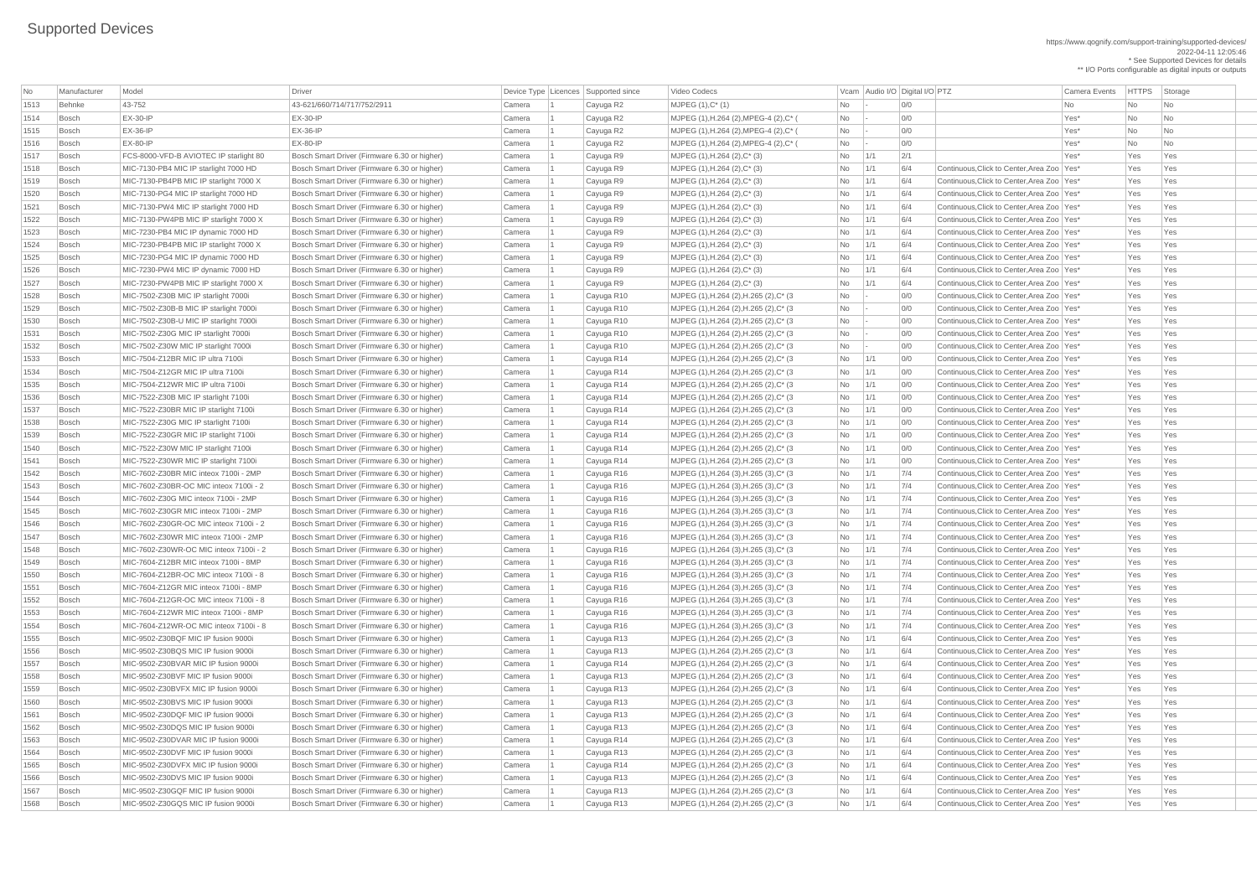| No   | Manufacturer  | Model                                  | Driver                                       |          | Device Type   Licences   Supported since | Video Codecs                                       |                          | Vcam Audio I/O Digital I/O PTZ |     | <b>Camera Events</b>                         | <b>HTTPS</b> | Storage   |
|------|---------------|----------------------------------------|----------------------------------------------|----------|------------------------------------------|----------------------------------------------------|--------------------------|--------------------------------|-----|----------------------------------------------|--------------|-----------|
| 1513 | <b>Behnke</b> | 43-752                                 | 43-621/660/714/717/752/2911                  | Camera   | Cayuga R2                                | $MJPEG (1), C^* (1)$                               | No                       |                                | 0/0 | No.                                          | No           | No        |
| 1514 | <b>Bosch</b>  | $EX-30-IP$                             | $EX-30-IP$                                   | Camera   | Cayuga R2                                | MJPEG (1), H.264 (2), MPEG-4 (2), C* (             | <b>No</b>                |                                | 0/0 | Yes*                                         | No           | No        |
| 1515 | <b>Bosch</b>  | $EX-36-IP$                             | $EX-36-IP$                                   | Camera   | Cayuga R2                                | MJPEG (1), H.264 (2), MPEG-4 (2), C* (             | No                       |                                | 0/0 | Yes*                                         | <b>No</b>    | <b>No</b> |
| 1516 | <b>Bosch</b>  | $EX-80-IP$                             | $EX-80-IP$                                   | Camera   | Cayuga R2                                | MJPEG (1), H.264 (2), MPEG-4 (2), C* (             | No                       |                                | 0/0 | Yes*                                         | No           | No        |
| 1517 | <b>Bosch</b>  | FCS-8000-VFD-B AVIOTEC IP starlight 80 | Bosch Smart Driver (Firmware 6.30 or higher) | Camera   | Cayuga R9                                | $MJPEG (1), H.264 (2), C^* (3)$                    | No                       | 1/1                            | 2/1 | Yes*                                         | Yes          | Yes       |
| 1518 | <b>Bosch</b>  | MIC-7130-PB4 MIC IP starlight 7000 HD  | Bosch Smart Driver (Firmware 6.30 or higher) | Camera   | Cayuga R9                                | MJPEG $(1)$ , H.264 $(2)$ , C $*$ $(3)$            | <b>No</b>                | 1/1                            | 6/4 | Continuous, Click to Center, Area Zoo Yes*   | Yes          | Yes       |
| 1519 | <b>Bosch</b>  | MIC-7130-PB4PB MIC IP starlight 7000 X | Bosch Smart Driver (Firmware 6.30 or higher) | Camera   | Cayuga R9                                | $MJPEG (1), H.264 (2), C^* (3)$                    | No                       | 1/1                            | 6/4 | Continuous, Click to Center, Area Zoo   Yes* | Yes          | Yes       |
| 1520 | <b>Bosch</b>  | MIC-7130-PG4 MIC IP starlight 7000 HD  | Bosch Smart Driver (Firmware 6.30 or higher) | Camera   | Cayuga R9                                | $MJPEG (1), H.264 (2), C^* (3)$                    | No                       | 1/1                            | 6/4 | Continuous, Click to Center, Area Zoo   Yes* | Yes          | Yes       |
| 1521 | <b>Bosch</b>  | MIC-7130-PW4 MIC IP starlight 7000 HD  | Bosch Smart Driver (Firmware 6.30 or higher) | Camera   | Cayuga R9                                | $MJPEG (1), H.264 (2), C^* (3)$                    | No                       |                                | 6/4 | Continuous, Click to Center, Area Zoo   Yes* | Yes          | Yes       |
| 1522 | <b>Bosch</b>  | MIC-7130-PW4PB MIC IP starlight 7000 X | Bosch Smart Driver (Firmware 6.30 or higher) | Camera   | Cayuga R9                                | $MJPEG (1), H.264 (2), C^* (3)$                    | No                       | 1/1                            | 6/4 | Continuous, Click to Center, Area Zoo   Yes* | Yes          | Yes       |
| 1523 | <b>Bosch</b>  | MIC-7230-PB4 MIC IP dynamic 7000 HD    | Bosch Smart Driver (Firmware 6.30 or higher) | Camera   | Cayuga R9                                | MJPEG $(1)$ , H.264 $(2)$ , C $*$ $(3)$            | <b>No</b>                | 1/1                            | 6/4 | Continuous, Click to Center, Area Zoo   Yes* | Yes          | Yes       |
| 1524 | <b>Bosch</b>  | MIC-7230-PB4PB MIC IP starlight 7000 X | Bosch Smart Driver (Firmware 6.30 or higher) | Camera   | Cayuga R9                                | MJPEG $(1)$ , H.264 $(2)$ , C <sup>*</sup> $(3)$   | No                       | 1/1                            | 6/4 | Continuous. Click to Center. Area Zoo Yes*   | Yes          | Yes       |
| 1525 | <b>Bosch</b>  | MIC-7230-PG4 MIC IP dynamic 7000 HD    | Bosch Smart Driver (Firmware 6.30 or higher) | Camera   | Cayuga R9                                | MJPEG $(1)$ , H.264 $(2)$ , C* $(3)$               | No                       |                                | 6/4 | Continuous, Click to Center, Area Zoo   Yes* | Yes          | Yes       |
| 1526 | <b>Bosch</b>  | MIC-7230-PW4 MIC IP dynamic 7000 HD    | Bosch Smart Driver (Firmware 6.30 or higher) | Camera   | Cayuga R9                                | $MJPEG (1), H.264 (2), C^*(3)$                     | <b>No</b>                | 1/1                            | 6/4 | Continuous. Click to Center. Area Zoo Yes*   | Yes          | Yes       |
| 1527 | <b>Bosch</b>  | MIC-7230-PW4PB MIC IP starlight 7000 X | Bosch Smart Driver (Firmware 6.30 or higher) | Camera   | Cayuga R9                                | $MJPEG (1), H.264 (2), C^* (3)$                    | No                       | 1/1                            | 6/4 | Continuous, Click to Center, Area Zoo   Yes* | Yes          | Yes       |
| 1528 | <b>Bosch</b>  | MIC-7502-Z30B MIC IP starlight 7000i   | Bosch Smart Driver (Firmware 6.30 or higher) | Camera   | Cayuga R10                               | MJPEG (1), H.264 (2), H.265 (2), C* (3             | No                       |                                | 0/0 | Continuous, Click to Center, Area Zoo   Yes* | Yes          | Yes       |
| 1529 | <b>Bosch</b>  | MIC-7502-Z30B-B MIC IP starlight 7000i | Bosch Smart Driver (Firmware 6.30 or higher) | Camera   | Cayuga R10                               | MJPEG (1), H.264 (2), H.265 (2), C* (3             | No                       |                                | 0/0 | Continuous, Click to Center, Area Zoo   Yes* | Yes          | Yes       |
| 1530 | <b>Bosch</b>  | MIC-7502-Z30B-U MIC IP starlight 7000i | Bosch Smart Driver (Firmware 6.30 or higher) | Camera   | Cayuga R10                               | MJPEG (1), H.264 (2), H.265 (2), C* (3             | No                       |                                | 0/0 | Continuous, Click to Center, Area Zoo   Yes* | Yes          | Yes       |
| 1531 | <b>Bosch</b>  | MIC-7502-Z30G MIC IP starlight 7000i   | Bosch Smart Driver (Firmware 6.30 or higher) | Camera   | Cayuga R10                               | MJPEG (1), H.264 (2), H.265 (2), C* (3             | $\overline{\mathsf{No}}$ |                                | 0/0 | Continuous, Click to Center, Area Zoo   Yes* | Yes          | Yes       |
| 1532 | <b>Bosch</b>  | MIC-7502-Z30W MIC IP starlight 7000i   | Bosch Smart Driver (Firmware 6.30 or higher) | Camera   | Cayuga R10                               | MJPEG (1), H.264 (2), H.265 (2), C* (3)            | No                       |                                | 0/0 | Continuous, Click to Center, Area Zoo   Yes* | Yes          | Yes       |
| 1533 | <b>Bosch</b>  | MIC-7504-Z12BR MIC IP ultra 7100i      | Bosch Smart Driver (Firmware 6.30 or higher) | Camera   | Cayuga R14                               | MJPEG (1), H.264 (2), H.265 (2), C* (3             | No                       | 1/1                            | 0/0 | Continuous, Click to Center, Area Zoo   Yes* | Yes          | Yes       |
| 1534 | <b>Bosch</b>  | MIC-7504-Z12GR MIC IP ultra 7100i      | Bosch Smart Driver (Firmware 6.30 or higher) | Camera   | Cayuga R14                               | MJPEG (1), H.264 (2), H.265 (2), C* (3             | No                       | 1/1                            | 0/0 | Continuous, Click to Center, Area Zoo   Yes* | Yes          | Yes       |
| 1535 | <b>Bosch</b>  | MIC-7504-Z12WR MIC IP ultra 7100i      | Bosch Smart Driver (Firmware 6.30 or higher) | Camera   | Cayuga R14                               | MJPEG (1), H.264 (2), H.265 (2), C* (3             | No                       | 1/1                            | 0/0 | Continuous, Click to Center, Area Zoo   Yes* | Yes          | Yes       |
| 1536 | <b>Bosch</b>  | MIC-7522-Z30B MIC IP starlight 7100i   | Bosch Smart Driver (Firmware 6.30 or higher) | Camera   | Cayuga R14                               | MJPEG (1), H.264 (2), H.265 (2), C* (3             | No                       | 1/1                            | 0/0 | Continuous, Click to Center, Area Zoo   Yes* | Yes          | Yes       |
| 1537 | <b>Bosch</b>  | MIC-7522-Z30BR MIC IP starlight 7100i  | Bosch Smart Driver (Firmware 6.30 or higher) | Camera   | Cayuga R14                               | MJPEG (1), H.264 (2), H.265 (2), C* (3             | No                       | 1/1                            | 0/0 | Continuous, Click to Center, Area Zoo Yes*   | Yes          | Yes       |
| 1538 | Bosch         | MIC-7522-Z30G MIC IP starlight 7100i   | Bosch Smart Driver (Firmware 6.30 or higher) | Camera   | Cayuga R14                               | MJPEG (1), H.264 (2), H.265 (2), C* (3)            | No                       | 1/1                            | 0/0 | Continuous, Click to Center, Area Zoo   Yes* | Yes          | Yes       |
| 1539 | <b>Bosch</b>  | MIC-7522-Z30GR MIC IP starlight 7100i  | Bosch Smart Driver (Firmware 6.30 or higher) | Camera   | Cayuga R14                               | MJPEG (1), H.264 (2), H.265 (2), C* (3)            | No                       | 1/1                            | 0/0 | Continuous, Click to Center, Area Zoo Yes*   | Yes          | Yes       |
| 1540 | <b>Bosch</b>  | MIC-7522-Z30W MIC IP starlight 7100i   | Bosch Smart Driver (Firmware 6.30 or higher) | Camera   | Cayuga R14                               | MJPEG (1), H.264 (2), H.265 (2), C* (3)            | No                       | 1/1                            | 0/0 | Continuous, Click to Center, Area Zoo   Yes* | Yes          | Yes       |
| 1541 | <b>Bosch</b>  | MIC-7522-Z30WR MIC IP starlight 7100i  | Bosch Smart Driver (Firmware 6.30 or higher) | Camera   | Cayuga R14                               | MJPEG (1), H.264 (2), H.265 (2), C* (3)            | No                       | 1/1                            | 0/0 | Continuous, Click to Center, Area Zoo   Yes* | Yes          | Yes       |
| 1542 | <b>Bosch</b>  | MIC-7602-Z30BR MIC inteox 7100i - 2MP  | Bosch Smart Driver (Firmware 6.30 or higher) | Camera   | Cayuga R16                               | MJPEG (1), H.264 (3), H.265 (3), C* (3)            | No                       | 1/1                            | 7/4 | Continuous, Click to Center, Area Zoo   Yes* | Yes          | Yes       |
| 1543 | <b>Bosch</b>  | MIC-7602-Z30BR-OC MIC inteox 7100i - 2 | Bosch Smart Driver (Firmware 6.30 or higher) | Camera   | Cayuga R16                               | MJPEG (1), H.264 (3), H.265 (3), C* (3)            | No                       | 1/1                            | 7/4 | Continuous, Click to Center, Area Zoo   Yes* | Yes          | Yes       |
| 1544 | <b>Bosch</b>  | MIC-7602-Z30G MIC inteox 7100i - 2MP   | Bosch Smart Driver (Firmware 6.30 or higher) | Camera   | Cayuga R16                               | MJPEG $(1)$ , H.264 $(3)$ , H.265 $(3)$ , C* $(3)$ | No                       | 1/1                            | 7/4 | Continuous, Click to Center, Area Zoo   Yes* | Yes          | Yes       |
| 1545 | <b>Bosch</b>  | MIC-7602-Z30GR MIC inteox 7100i - 2MP  | Bosch Smart Driver (Firmware 6.30 or higher) | Camera   | Cayuga R16                               | MJPEG $(1)$ , H.264 $(3)$ , H.265 $(3)$ , C* $(3)$ | No                       | $\vert$ 1/1                    | 7/4 | Continuous, Click to Center, Area Zoo   Yes* | Yes          | Yes       |
| 1546 | <b>Bosch</b>  | MIC-7602-Z30GR-OC MIC inteox 7100i - 2 | Bosch Smart Driver (Firmware 6.30 or higher) | Camera   | Cayuga R16                               | MJPEG $(1)$ , H.264 $(3)$ , H.265 $(3)$ , C* $(3)$ | $\overline{\mathsf{No}}$ | 1/1                            | 7/4 | Continuous, Click to Center, Area Zoo   Yes* | Yes          | Yes       |
| 1547 | <b>Bosch</b>  | MIC-7602-Z30WR MIC inteox 7100i - 2MP  | Bosch Smart Driver (Firmware 6.30 or higher) | Camera   | Cayuga R16                               | MJPEG (1), H.264 (3), H.265 (3), C* (3)            | No                       | 1/1                            | 7/4 | Continuous, Click to Center, Area Zoo   Yes* | Yes          | Yes       |
| 1548 | <b>Bosch</b>  | MIC-7602-Z30WR-OC MIC inteox 7100i - 2 | Bosch Smart Driver (Firmware 6.30 or higher) | Camera   | Cayuga R16                               | MJPEG (1), H.264 (3), H.265 (3), C* (3)            | No                       | 1/1                            | 7/4 | Continuous, Click to Center, Area Zoo   Yes* | Yes          | Yes       |
| 1549 | <b>Bosch</b>  | MIC-7604-Z12BR MIC inteox 7100i - 8MP  | Bosch Smart Driver (Firmware 6.30 or higher) | Camera   | Cayuga R16                               | MJPEG (1), H.264 (3), H.265 (3), C* (3)            | No                       | 1/1                            | 7/4 | Continuous, Click to Center, Area Zoo   Yes* | Yes          | Yes       |
| 1550 | <b>Bosch</b>  | MIC-7604-Z12BR-OC MIC inteox 7100i - 8 | Bosch Smart Driver (Firmware 6.30 or higher) | Camera   | Cayuga R16                               | MJPEG $(1)$ , H.264 $(3)$ , H.265 $(3)$ , C* $(3)$ | No                       | 1/1                            | 7/4 | Continuous, Click to Center, Area Zoo   Yes* | Yes          | Yes       |
| 1551 | <b>Bosch</b>  | MIC-7604-Z12GR MIC inteox 7100i - 8MP  | Bosch Smart Driver (Firmware 6.30 or higher) | Camera   | Cayuga R16                               | MJPEG $(1)$ , H.264 $(3)$ , H.265 $(3)$ , C* $(3)$ | No                       | 1/1                            | 7/4 | Continuous, Click to Center, Area Zoo   Yes* | Yes          | Yes       |
| 1552 | <b>Bosch</b>  | MIC-7604-Z12GR-OC MIC inteox 7100i - 8 | Bosch Smart Driver (Firmware 6.30 or higher) | Camera   | Cayuga R16                               | MJPEG (1), H.264 (3), H.265 (3), C* (3)            | No                       | 1/1                            | 7/4 | Continuous, Click to Center, Area Zoo   Yes* | Yes          | Yes       |
| 1553 | <b>Bosch</b>  | MIC-7604-Z12WR MIC inteox 7100i - 8MP  | Bosch Smart Driver (Firmware 6.30 or higher) | Camera   | Cayuga R16                               | MJPEG (1), H.264 (3), H.265 (3), C* (3)            | No                       | 1/1                            | 7/4 | Continuous, Click to Center, Area Zoo   Yes* | Yes          | Yes       |
| 1554 | <b>Bosch</b>  | MIC-7604-Z12WR-OC MIC inteox 7100i - 8 | Bosch Smart Driver (Firmware 6.30 or higher) | Camera   | Cayuga R16                               | MJPEG $(1)$ , H.264 $(3)$ , H.265 $(3)$ , C* $(3)$ | No                       | 1/1                            | 7/4 | Continuous, Click to Center, Area Zoo   Yes* | Yes          | Yes       |
| 1555 | <b>Bosch</b>  | MIC-9502-Z30BQF MIC IP fusion 9000i    | Bosch Smart Driver (Firmware 6.30 or higher) | Camera   | Cayuga R13                               | MJPEG (1), H.264 (2), H.265 (2), C* (3             | No                       | 1/1                            | 6/4 | Continuous, Click to Center, Area Zoo   Yes* | Yes          | Yes       |
| 1556 | <b>Bosch</b>  | MIC-9502-Z30BQS MIC IP fusion 9000i    | Bosch Smart Driver (Firmware 6.30 or higher) | Camera   | Cayuga R13                               | MJPEG (1), H.264 (2), H.265 (2), C* (3)            | No                       | 1/1                            | 6/4 | Continuous, Click to Center, Area Zoo   Yes* | Yes          | Yes       |
| 1557 | <b>Bosch</b>  | MIC-9502-Z30BVAR MIC IP fusion 9000i   | Bosch Smart Driver (Firmware 6.30 or higher) | Camera   | Cayuga R14                               | MJPEG (1), H.264 (2), H.265 (2), C* (3)            | No                       | 1/1                            | 6/4 | Continuous, Click to Center, Area Zoo Yes*   | Yes          | Yes       |
| 1558 | <b>Bosch</b>  | MIC-9502-Z30BVF MIC IP fusion 9000i    | Bosch Smart Driver (Firmware 6.30 or higher) | Camera   | Cayuga R13                               | MJPEG (1), H.264 (2), H.265 (2), C* (3             | No                       | 1/1                            | 6/4 | Continuous, Click to Center, Area Zoo   Yes* | Yes          | Yes       |
| 1559 | <b>Bosch</b>  | MIC-9502-Z30BVFX MIC IP fusion 9000i   | Bosch Smart Driver (Firmware 6.30 or higher) | Camera   | Cayuga R13                               | MJPEG (1), H.264 (2), H.265 (2), C* (3             | No                       | 1/1                            | 6/4 | Continuous, Click to Center, Area Zoo   Yes* | Yes          | Yes       |
| 1560 | <b>Bosch</b>  | MIC-9502-Z30BVS MIC IP fusion 9000i    | Bosch Smart Driver (Firmware 6.30 or higher) | Camera   | Cayuga R13                               | MJPEG (1), H.264 (2), H.265 (2), C* (3)            | No                       | 1/1                            | 6/4 | Continuous, Click to Center, Area Zoo Yes*   | Yes          | Yes       |
| 1561 | <b>Bosch</b>  | MIC-9502-Z30DQF MIC IP fusion 9000i    | Bosch Smart Driver (Firmware 6.30 or higher) | Camera   | Cayuga R13                               | MJPEG (1), H.264 (2), H.265 (2), C* (3             | No                       | 1/1                            | 6/4 | Continuous, Click to Center, Area Zoo   Yes* | Yes          | Yes       |
| 1562 | <b>Bosch</b>  | MIC-9502-Z30DQS MIC IP fusion 9000i    | Bosch Smart Driver (Firmware 6.30 or higher) | Camera   | Cayuga R13                               | MJPEG (1), H.264 (2), H.265 (2), C* (3             | No                       | 1/1                            | 6/4 | Continuous, Click to Center, Area Zoo   Yes* | Yes          | Yes       |
| 1563 | <b>Bosch</b>  | MIC-9502-Z30DVAR MIC IP fusion 9000i   | Bosch Smart Driver (Firmware 6.30 or higher) | Camera   | Cayuga R14                               | MJPEG (1), H.264 (2), H.265 (2), C* (3             | No                       | 1/1                            | 6/4 | Continuous, Click to Center, Area Zoo   Yes* | Yes          | Yes       |
| 1564 | Bosch         | MIC-9502-Z30DVF MIC IP fusion 9000i    | Bosch Smart Driver (Firmware 6.30 or higher) | Camera 1 | Cayuga R13                               | MJPEG (1), H.264 (2), H.265 (2), C* (3             |                          | $No$ $1/1$                     | 6/4 | Continuous, Click to Center, Area Zoo   Yes* | Yes          | Yes       |
| 1565 | Bosch         | MIC-9502-Z30DVFX MIC IP fusion 9000i   | Bosch Smart Driver (Firmware 6.30 or higher) | Camera   | Cayuga R14                               | MJPEG (1), H.264 (2), H.265 (2), C* (3)            | No                       | 1/1                            | 6/4 | Continuous, Click to Center, Area Zoo Yes*   | Yes          | Yes       |
| 1566 | <b>Bosch</b>  | MIC-9502-Z30DVS MIC IP fusion 9000i    | Bosch Smart Driver (Firmware 6.30 or higher) | Camera   | Cayuga R13                               | MJPEG (1), H.264 (2), H.265 (2), C* (3)            | No                       | 1/1                            | 6/4 | Continuous, Click to Center, Area Zoo   Yes* | Yes          | Yes       |
| 1567 | <b>Bosch</b>  | MIC-9502-Z30GQF MIC IP fusion 9000i    | Bosch Smart Driver (Firmware 6.30 or higher) | Camera   | Cayuga R13                               | MJPEG (1), H.264 (2), H.265 (2), C* (3             | $\overline{\mathsf{No}}$ | 1/1                            | 6/4 | Continuous, Click to Center, Area Zoo   Yes* | Yes          | Yes       |
| 1568 | <b>Bosch</b>  | MIC-9502-Z30GQS MIC IP fusion 9000i    | Bosch Smart Driver (Firmware 6.30 or higher) | Camera   | Cayuga R13                               | MJPEG (1), H.264 (2), H.265 (2), C* (3)            | N <sub>o</sub>           | $\vert 1/1$                    | 6/4 | Continuous, Click to Center, Area Zoo Yes*   | Yes          | Yes       |
|      |               |                                        |                                              |          |                                          |                                                    |                          |                                |     |                                              |              |           |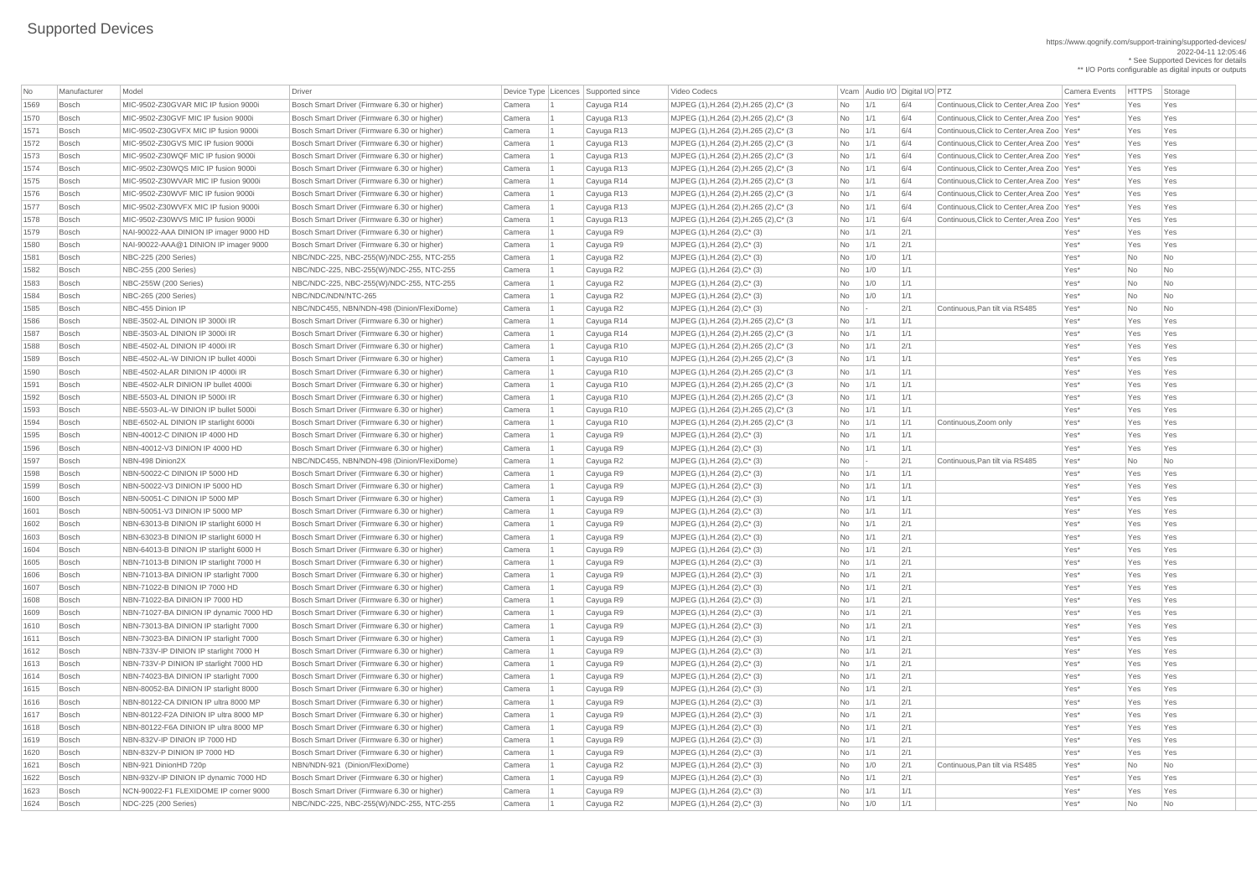https://www.qognify.com/support-training/supported-devices/ 2022-04-11 12:05:46 \* See Supported Devices for details

| No   | Manufacturer | Model                                  | Driver                                       |        | Device Type Licences Supported since | Video Codecs                            |                |             | Vcam Audio I/O Digital I/O PTZ |                                              | <b>Camera Events</b> | <b>HTTPS</b> | Storage                     |
|------|--------------|----------------------------------------|----------------------------------------------|--------|--------------------------------------|-----------------------------------------|----------------|-------------|--------------------------------|----------------------------------------------|----------------------|--------------|-----------------------------|
| 1569 | <b>Bosch</b> | MIC-9502-Z30GVAR MIC IP fusion 9000i   | Bosch Smart Driver (Firmware 6.30 or higher) | Camera | Cayuga R14                           | MJPEG (1), H.264 (2), H.265 (2), C* (3  | No             | 1/1         | 6/4                            | Continuous. Click to Center. Area Zoo Yes*   |                      | Yes          | Yes                         |
| 1570 | <b>Bosch</b> | MIC-9502-Z30GVF MIC IP fusion 9000i    | Bosch Smart Driver (Firmware 6.30 or higher) | Camera | Cayuga R13                           | MJPEG (1), H.264 (2), H.265 (2), C* (3) | No             | 1/1         | 6/4                            | Continuous, Click to Center, Area Zoo   Yes* |                      | Yes          | Yes                         |
| 1571 | <b>Bosch</b> | MIC-9502-Z30GVFX MIC IP fusion 9000i   | Bosch Smart Driver (Firmware 6.30 or higher) | Camera | Cayuga R13                           | MJPEG (1), H.264 (2), H.265 (2), C* (3) | <b>No</b>      | $\vert$ 1/1 | 6/4                            | Continuous, Click to Center, Area Zoo   Yes* |                      | Yes          | Yes                         |
| 1572 | <b>Bosch</b> | MIC-9502-Z30GVS MIC IP fusion 9000i    | Bosch Smart Driver (Firmware 6.30 or higher) | Camera | Cayuga R13                           | MJPEG (1), H.264 (2), H.265 (2), C* (3) | No             | 1/1         | 6/4                            | Continuous, Click to Center, Area Zoo   Yes* |                      | Yes          | Yes                         |
| 1573 | <b>Bosch</b> | MIC-9502-Z30WQF MIC IP fusion 9000i    | Bosch Smart Driver (Firmware 6.30 or higher) | Camera | Cayuga R13                           | MJPEG (1), H.264 (2), H.265 (2), C* (3) | No             | $\vert$ 1/1 | 6/4                            | Continuous, Click to Center, Area Zoo   Yes* |                      | Yes          | Yes                         |
| 1574 | <b>Bosch</b> | MIC-9502-Z30WQS MIC IP fusion 9000i    | Bosch Smart Driver (Firmware 6.30 or higher) | Camera | Cayuga R13                           | MJPEG (1), H.264 (2), H.265 (2), C* (3) | No             | 1/1         | 6/4                            | Continuous, Click to Center, Area Zoo Yes*   |                      | Yes          | Yes                         |
| 1575 | <b>Bosch</b> | MIC-9502-Z30WVAR MIC IP fusion 9000i   | Bosch Smart Driver (Firmware 6.30 or higher) | Camera | Cayuga R14                           | MJPEG (1), H.264 (2), H.265 (2), C* (3) | No             | $\vert$ 1/1 | 6/4                            | Continuous, Click to Center, Area Zoo   Yes* |                      | Yes          | Yes                         |
| 1576 | <b>Bosch</b> | MIC-9502-Z30WVF MIC IP fusion 9000i    | Bosch Smart Driver (Firmware 6.30 or higher) | Camera | Cayuga R13                           | MJPEG (1), H.264 (2), H.265 (2), C* (3) | No             | 1/1         | 6/4                            | Continuous, Click to Center, Area Zoo   Yes* |                      | Yes          | Yes                         |
| 1577 | <b>Bosch</b> | MIC-9502-Z30WVFX MIC IP fusion 9000i   | Bosch Smart Driver (Firmware 6.30 or higher) | Camera | Cayuga R13                           | MJPEG (1), H.264 (2), H.265 (2), C* (3) | <b>No</b>      | 1/1         | 6/4                            | Continuous, Click to Center, Area Zoo   Yes* |                      | Yes          | Yes                         |
| 1578 | <b>Bosch</b> | MIC-9502-Z30WVS MIC IP fusion 9000i    | Bosch Smart Driver (Firmware 6.30 or higher) | Camera | Cayuga R13                           | MJPEG (1), H.264 (2), H.265 (2), C* (3) | No             | 1/1         | 6/4                            | Continuous, Click to Center, Area Zoo   Yes* |                      | Yes          | Yes                         |
| 1579 | <b>Bosch</b> | NAI-90022-AAA DINION IP imager 9000 HD | Bosch Smart Driver (Firmware 6.30 or higher) | Camera | Cayuga R9                            | MJPEG $(1)$ , H.264 $(2)$ , C $*$ $(3)$ | No             | 1/1         | 2/1                            |                                              | Yes*                 | Yes          | Yes                         |
| 1580 | <b>Bosch</b> | NAI-90022-AAA@1 DINION IP imager 9000  | Bosch Smart Driver (Firmware 6.30 or higher) | Camera | Cayuga R9                            | $MJPEG (1), H.264 (2), C^* (3)$         | N <sub>o</sub> | 1/1         | 2/1                            |                                              | Yes*                 | Yes          | Yes                         |
| 1581 | <b>Bosch</b> | NBC-225 (200 Series)                   | NBC/NDC-225, NBC-255(W)/NDC-255, NTC-255     | Camera | Cayuga R2                            | MJPEG $(1)$ , H.264 $(2)$ , C $*$ $(3)$ | <b>No</b>      | 1/0         | 1/1                            |                                              | Yes*                 | No           | N <sub>o</sub>              |
| 1582 | <b>Bosch</b> | NBC-255 (200 Series)                   | NBC/NDC-225, NBC-255(W)/NDC-255, NTC-255     | Camera | Cayuga R2                            | MJPEG (1), H.264 (2), C* (3)            | No             | $\vert$ 1/0 | 1/1                            |                                              | Yes*                 | No           | N <sub>o</sub>              |
| 1583 | <b>Bosch</b> | NBC-255W (200 Series)                  | NBC/NDC-225, NBC-255(W)/NDC-255, NTC-255     | Camera | Cayuga R2                            | MJPEG $(1)$ , H.264 $(2)$ , C $*$ $(3)$ | No             | 1/0         | 1/1                            |                                              | Yes*                 | No           | N <sub>o</sub>              |
| 1584 | <b>Bosch</b> | NBC-265 (200 Series)                   | NBC/NDC/NDN/NTC-265                          | Camera | Cayuga R2                            | MJPEG $(1)$ , H.264 $(2)$ , C $*$ $(3)$ | No             | 1/0         | 1/1                            |                                              | Yes*                 | No           | N <sub>o</sub>              |
| 1585 | <b>Bosch</b> | NBC-455 Dinion IP                      | NBC/NDC455, NBN/NDN-498 (Dinion/FlexiDome)   | Camera | Cayuga R2                            | MJPEG (1), H.264 (2), C* (3)            | No             |             | 2/1                            | Continuous, Pan tilt via RS485               | Yes*                 | No           | N <sub>o</sub>              |
| 1586 | <b>Bosch</b> | NBE-3502-AL DINION IP 3000i IR         | Bosch Smart Driver (Firmware 6.30 or higher) | Camera | Cayuga R14                           | MJPEG (1), H.264 (2), H.265 (2), C* (3) | N <sub>o</sub> | 1/1         | 1/1                            |                                              | Yes*                 | Yes          | Yes                         |
| 1587 | <b>Bosch</b> | NBE-3503-AL DINION IP 3000i IR         | Bosch Smart Driver (Firmware 6.30 or higher) | Camera | Cayuga R14                           | MJPEG (1), H.264 (2), H.265 (2), C* (3  | N <sub>o</sub> | 1/1         | 1/1                            |                                              | Yes*                 | Yes          | Yes                         |
| 1588 | <b>Bosch</b> | NBE-4502-AL DINION IP 4000i IR         | Bosch Smart Driver (Firmware 6.30 or higher) | Camera | Cayuga R10                           | MJPEG (1), H.264 (2), H.265 (2), C* (3) | No             | 1/1         | 2/1                            |                                              | Yes*                 | Yes          | Yes                         |
| 1589 | <b>Bosch</b> | NBE-4502-AL-W DINION IP bullet 4000i   | Bosch Smart Driver (Firmware 6.30 or higher) | Camera | Cayuga R10                           | MJPEG (1), H.264 (2), H.265 (2), C* (3) | No             | 1/1         | 1/1                            |                                              | Yes*                 | Yes          | Yes                         |
| 1590 | <b>Bosch</b> | NBE-4502-ALAR DINION IP 4000i IR       | Bosch Smart Driver (Firmware 6.30 or higher) | Camera | Cayuga R10                           | MJPEG (1), H.264 (2), H.265 (2), C* (3) | No             | 1/1         | 1/1                            |                                              | Yes*                 | Yes          | Yes                         |
| 1591 | <b>Bosch</b> | NBE-4502-ALR DINION IP bullet 4000i    | Bosch Smart Driver (Firmware 6.30 or higher) | Camera | Cayuga R10                           | MJPEG (1), H.264 (2), H.265 (2), C* (3) | No             | 1/1         | 1/1                            |                                              | Yes*                 | Yes          | Yes                         |
| 1592 | <b>Bosch</b> | NBE-5503-AL DINION IP 5000i IR         | Bosch Smart Driver (Firmware 6.30 or higher) | Camera | Cayuga R10                           | MJPEG (1), H.264 (2), H.265 (2), C* (3  | N <sub>o</sub> | 1/1         | 1/1                            |                                              | Yes*                 | Yes          | Yes                         |
| 1593 | <b>Bosch</b> | NBE-5503-AL-W DINION IP bullet 5000i   | Bosch Smart Driver (Firmware 6.30 or higher) | Camera | Cayuga R10                           | MJPEG (1), H.264 (2), H.265 (2), C* (3  | No             | 1/1         | 1/1                            |                                              | Yes*                 | Yes          | Yes                         |
| 1594 | <b>Bosch</b> | NBE-6502-AL DINION IP starlight 6000i  | Bosch Smart Driver (Firmware 6.30 or higher) | Camera | Cayuga R10                           | MJPEG (1), H.264 (2), H.265 (2), C* (3) | No             | 1/1         | 1/1                            | Continuous, Zoom only                        | Yes*                 | Yes          | Yes                         |
| 1595 | <b>Bosch</b> | NBN-40012-C DINION IP 4000 HD          | Bosch Smart Driver (Firmware 6.30 or higher) | Camera | Cayuga R9                            | MJPEG $(1)$ , H.264 $(2)$ , C $*$ $(3)$ | $No$   1/1     |             | 1/1                            |                                              | Yes*                 | Yes          | Yes                         |
| 1596 | <b>Bosch</b> | NBN-40012-V3 DINION IP 4000 HD         | Bosch Smart Driver (Firmware 6.30 or higher) | Camera | Cayuga R9                            | MJPEG (1), H.264 (2), C* (3)            | No             | 1/1         | 1/1                            |                                              | Yes*                 | Yes          | Yes                         |
| 1597 | <b>Bosch</b> | NBN-498 Dinion2X                       | NBC/NDC455, NBN/NDN-498 (Dinion/FlexiDome)   | Camera | Cayuga R2                            | MJPEG (1), H.264 (2), C* (3)            | No             |             | 2/1                            | Continuous, Pan tilt via RS485               | Yes*                 | No           | No                          |
| 1598 | <b>Bosch</b> | NBN-50022-C DINION IP 5000 HD          | Bosch Smart Driver (Firmware 6.30 or higher) | Camera | Cayuga R9                            | MJPEG (1), H.264 (2), C* (3)            | <b>No</b>      | 1/1         | 1/1                            |                                              | Yes*                 | Yes          | Yes                         |
| 1599 | <b>Bosch</b> | NBN-50022-V3 DINION IP 5000 HD         | Bosch Smart Driver (Firmware 6.30 or higher) | Camera | Cayuga R9                            | $MJPEG (1), H.264 (2), C^*(3)$          | <b>No</b>      | 1/1         | 1/1                            |                                              | Yes*                 | Yes          | Yes                         |
| 1600 | <b>Bosch</b> | NBN-50051-C DINION IP 5000 MP          | Bosch Smart Driver (Firmware 6.30 or higher) | Camera | Cayuga R9                            | MJPEG $(1)$ , H.264 $(2)$ , C $*$ $(3)$ | No             | 1/1         | 1/1                            |                                              | Yes*                 | Yes          | Yes                         |
| 1601 | <b>Bosch</b> | NBN-50051-V3 DINION IP 5000 MP         | Bosch Smart Driver (Firmware 6.30 or higher) | Camera | Cayuga R9                            | MJPEG (1), H.264 (2), C* (3)            | <b>No</b>      | 1/1         | 1/1                            |                                              | Yes*                 | Yes          | Yes                         |
| 1602 | <b>Bosch</b> | NBN-63013-B DINION IP starlight 6000 H | Bosch Smart Driver (Firmware 6.30 or higher) | Camera | Cayuga R9                            | MJPEG $(1)$ , H.264 $(2)$ , C $*$ $(3)$ | <b>No</b>      | 1/1         | 2/1                            |                                              | Yes*                 | Yes          | Yes                         |
| 1603 | Bosch        | NBN-63023-B DINION IP starlight 6000 H | Bosch Smart Driver (Firmware 6.30 or higher) | Camera | Cayuga R9                            | MJPEG (1), H.264 (2), C* (3)            | No             | $\vert$ 1/1 | 2/1                            |                                              | Yes*                 | Yes          | Yes                         |
| 1604 | <b>Bosch</b> | NBN-64013-B DINION IP starlight 6000 H | Bosch Smart Driver (Firmware 6.30 or higher) | Camera | Cayuga R9                            | MJPEG (1), H.264 (2), C* (3)            | <b>No</b>      | 1/1         | 2/1                            |                                              | Yes*                 | Yes          | Yes                         |
| 1605 | <b>Bosch</b> | NBN-71013-B DINION IP starlight 7000 H | Bosch Smart Driver (Firmware 6.30 or higher) | Camera | Cayuga R9                            | $MJPEG (1), H.264 (2), C^*(3)$          | <b>No</b>      | 1/1         | 2/1                            |                                              | Yes*                 | Yes          | Yes                         |
| 1606 | Bosch        | NBN-71013-BA DINION IP starlight 7000  | Bosch Smart Driver (Firmware 6.30 or higher) | Camera | Cayuga R9                            | MJPEG $(1)$ , H.264 $(2)$ , C $*$ $(3)$ | No             | 1/1         | 2/1                            |                                              | Yes*                 | Yes          | Yes                         |
| 1607 | <b>Bosch</b> | NBN-71022-B DINION IP 7000 HD          | Bosch Smart Driver (Firmware 6.30 or higher) | Camera | Cayuga R9                            | MJPEG $(1)$ , H.264 $(2)$ , C $*$ $(3)$ | <b>No</b>      | 1/1         | 2/1                            |                                              | Yes*                 | Yes          | Yes                         |
| 1608 | <b>Bosch</b> | NBN-71022-BA DINION IP 7000 HD         | Bosch Smart Driver (Firmware 6.30 or higher) | Camera | Cayuga R9                            | MJPEG $(1)$ , H.264 $(2)$ , C* $(3)$    | No             | 1/1         | 2/1                            |                                              | Yes*                 | Yes          | Yes                         |
| 1609 | <b>Bosch</b> | NBN-71027-BA DINION IP dynamic 7000 HD | Bosch Smart Driver (Firmware 6.30 or higher) | Camera | Cayuga R9                            | MJPEG $(1)$ , H.264 $(2)$ , C $*$ $(3)$ | No             | $\vert$ 1/1 | 2/1                            |                                              | Yes*                 | Yes          | Yes                         |
| 1610 | <b>Bosch</b> | NBN-73013-BA DINION IP starlight 7000  | Bosch Smart Driver (Firmware 6.30 or higher) | Camera | Cayuga R9                            | MJPEG $(1)$ , H.264 $(2)$ , C $*$ $(3)$ | <b>No</b>      | 1/1         | 2/1                            |                                              | Yes*                 | Yes          | Yes                         |
| 1611 | <b>Bosch</b> | NBN-73023-BA DINION IP starlight 7000  | Bosch Smart Driver (Firmware 6.30 or higher) | Camera | Cayuga R9                            | MJPEG (1), H.264 (2), C* (3)            | <b>No</b>      | 1/1         | 2/1                            |                                              | Yes*                 | Yes          | Yes                         |
| 1612 | <b>Bosch</b> | NBN-733V-IP DINION IP starlight 7000 H | Bosch Smart Driver (Firmware 6.30 or higher) | Camera | Cayuga R9                            | MJPEG $(1)$ , H.264 $(2)$ , C $*$ $(3)$ | No             | $\vert$ 1/1 | 2/1                            |                                              | Yes*                 | Yes          | Yes                         |
| 1613 | <b>Bosch</b> | NBN-733V-P DINION IP starlight 7000 HD | Bosch Smart Driver (Firmware 6.30 or higher) | Camera | Cayuga R9                            | MJPEG $(1)$ , H.264 $(2)$ , C $*$ $(3)$ | <b>No</b>      | 1/1         | 2/1                            |                                              | Yes*                 | Yes          | Yes                         |
| 1614 | <b>Bosch</b> | NBN-74023-BA DINION IP starlight 7000  | Bosch Smart Driver (Firmware 6.30 or higher) | Camera | Cayuga R9                            | MJPEG $(1)$ , H.264 $(2)$ , C* $(3)$    | No             | 1/1         | 2/1                            |                                              | Yes*                 | Yes          | Yes                         |
| 1615 | <b>Bosch</b> | NBN-80052-BA DINION IP starlight 8000  | Bosch Smart Driver (Firmware 6.30 or higher) | Camera | Cayuga R9                            | MJPEG $(1)$ , H.264 $(2)$ , C $*$ $(3)$ | No             | $\vert$ 1/1 | 2/1                            |                                              | Yes*                 | Yes          | Yes                         |
| 1616 | <b>Bosch</b> | NBN-80122-CA DINION IP ultra 8000 MP   | Bosch Smart Driver (Firmware 6.30 or higher) | Camera | Cayuga R9                            | $MJPEG (1), H.264 (2), C^*(3)$          | <b>No</b>      | 1/1         | 2/1                            |                                              | Yes*                 | Yes          | Yes                         |
| 1617 | <b>Bosch</b> | NBN-80122-F2A DINION IP ultra 8000 MP  | Bosch Smart Driver (Firmware 6.30 or higher) | Camera | Cayuga R9                            | $MJPEG (1), H.264 (2), C^*(3)$          | <b>No</b>      | 1/1         | 2/1                            |                                              | Yes*                 | Yes          | Yes                         |
| 1618 | Bosch        | NBN-80122-F6A DINION IP ultra 8000 MP  | Bosch Smart Driver (Firmware 6.30 or higher) | Camera | Cayuga R9                            | MJPEG $(1)$ , H.264 $(2)$ , C $*$ $(3)$ | No             | $\vert$ 1/1 | 2/1                            |                                              | Yes*                 | Yes          | Yes                         |
| 1619 | <b>Bosch</b> | NBN-832V-IP DINION IP 7000 HD          | Bosch Smart Driver (Firmware 6.30 or higher) | Camera | Cayuga R9                            | MJPEG $(1)$ , H.264 $(2)$ , C $*$ $(3)$ | No             | 1/1         | 2/1                            |                                              | Yes*                 | Yes          | Yes                         |
| 1620 | Bosch        | NBN-832V-P DINION IP 7000 HD           | Bosch Smart Driver (Firmware 6.30 or higher) | Camera | Cayuga R9                            | MJPEG (1), H.264 (2), C* (3)            | <b>No</b>      | 1/1         | 2/1                            |                                              | Yes*                 | Yes          | Yes                         |
| 1621 | Bosch        | NBN-921 DinionHD 720p                  | NBN/NDN-921 (Dinion/FlexiDome)               | Camera | Cayuga R2                            | MJPEG $(1)$ , H.264 $(2)$ , C $*$ $(3)$ | N <sub>o</sub> | 1/0         | 2/1                            | Continuous, Pan tilt via RS485               | Yes*                 | No           | N <sub>o</sub>              |
| 1622 | Bosch        | NBN-932V-IP DINION IP dynamic 7000 HD  | Bosch Smart Driver (Firmware 6.30 or higher) | Camera | Cayuga R9                            | MJPEG (1), H.264 (2), C* (3)            | $No$   1/1     |             | 2/1                            |                                              | Yes*                 | Yes          | Yes                         |
| 1623 | <b>Bosch</b> | NCN-90022-F1 FLEXIDOME IP corner 9000  | Bosch Smart Driver (Firmware 6.30 or higher) | Camera | Cayuga R9                            | $MJPEG (1), H.264 (2), C^*(3)$          | $No$   1/1     |             | 1/1                            |                                              | Yes*                 | Yes          | Yes                         |
| 1624 | Bosch        | NDC-225 (200 Series)                   | NBC/NDC-225, NBC-255(W)/NDC-255, NTC-255     | Camera | Cayuga R2                            | MJPEG (1), H.264 (2), C* (3)            | $No$   1/0     |             | 1/1                            |                                              | Yes*                 | No           | $\overline{\phantom{1}}$ No |
|      |              |                                        |                                              |        |                                      |                                         |                |             |                                |                                              |                      |              |                             |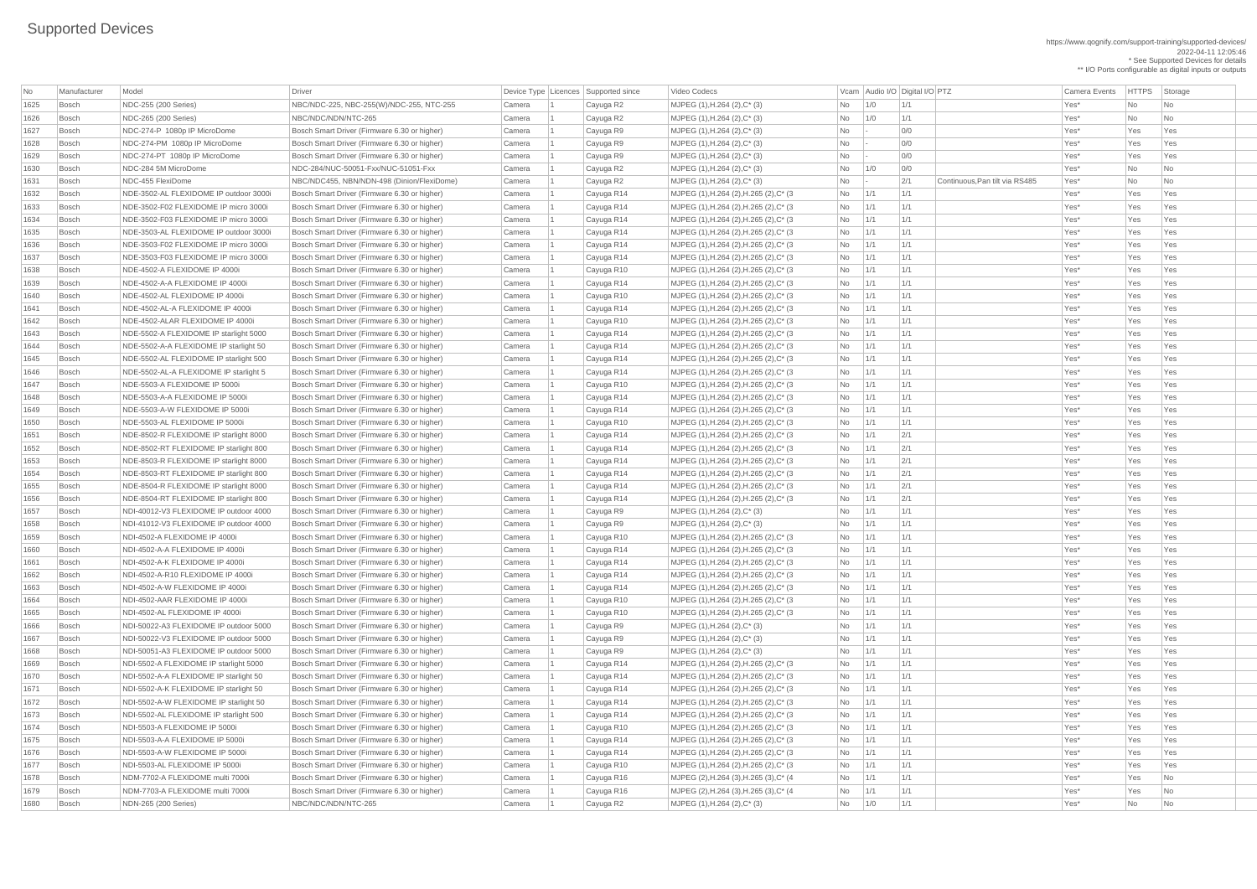| No   | Manufacturer | Model                                  | Driver                                       | Device Type Licences Supported since |            | Video Codecs                            |                | Vcam Audio I/O Digital I/O PTZ |     |                                | Camera Events | <b>HTTPS</b> | Storage                     |
|------|--------------|----------------------------------------|----------------------------------------------|--------------------------------------|------------|-----------------------------------------|----------------|--------------------------------|-----|--------------------------------|---------------|--------------|-----------------------------|
| 1625 | <b>Bosch</b> | NDC-255 (200 Series)                   | NBC/NDC-225, NBC-255(W)/NDC-255, NTC-255     | Camera                               | Cayuga R2  | MJPEG (1), H.264 (2), C* (3)            | <b>No</b>      | 1/0                            | 1/1 |                                | Yes*          | No           | <b>No</b>                   |
| 1626 | <b>Bosch</b> | NDC-265 (200 Series)                   | NBC/NDC/NDN/NTC-265                          | Camera                               | Cayuga R2  | MJPEG (1), H.264 (2), C* (3)            | No             | 1/0                            | 1/1 |                                | Yes*          | No           | <b>No</b>                   |
| 1627 | <b>Bosch</b> | NDC-274-P 1080p IP MicroDome           | Bosch Smart Driver (Firmware 6.30 or higher) | Camera                               | Cayuga R9  | MJPEG (1), H.264 (2), C* (3)            | No             |                                | 0/0 |                                | Yes*          | Yes          | Yes                         |
| 1628 | <b>Bosch</b> | NDC-274-PM 1080p IP MicroDome          | Bosch Smart Driver (Firmware 6.30 or higher) | Camera                               | Cayuga R9  | $MJPEG (1), H.264 (2), C^* (3)$         | No             |                                | 0/0 |                                | Yes*          | Yes          | Yes                         |
| 1629 | <b>Bosch</b> | NDC-274-PT 1080p IP MicroDome          | Bosch Smart Driver (Firmware 6.30 or higher) | Camera                               | Cayuga R9  | MJPEG (1), H.264 (2), C* (3)            | No             |                                | 0/0 |                                | Yes*          | Yes          | Yes                         |
| 1630 | <b>Bosch</b> | NDC-284 5M MicroDome                   | NDC-284/NUC-50051-Fxx/NUC-51051-Fxx          | Camera                               | Cayuga R2  | MJPEG (1), H.264 (2), C* (3)            | No             | 1/0                            | 0/0 |                                | Yes*          | No           | <b>No</b>                   |
| 1631 | <b>Bosch</b> | NDC-455 FlexiDome                      | NBC/NDC455, NBN/NDN-498 (Dinion/FlexiDome)   | Camera                               | Cayuga R2  | MJPEG (1), H.264 (2), C* (3)            | No             |                                | 2/1 | Continuous, Pan tilt via RS485 | Yes*          | <b>No</b>    | No                          |
| 1632 | <b>Bosch</b> | NDE-3502-AL FLEXIDOME IP outdoor 3000i | Bosch Smart Driver (Firmware 6.30 or higher) | Camera                               | Cayuga R14 | MJPEG (1), H.264 (2), H.265 (2), C* (3  | <b>No</b>      | 1/1                            | 1/1 |                                | Yes*          | Yes          | Yes                         |
| 1633 | <b>Bosch</b> | NDE-3502-F02 FLEXIDOME IP micro 3000i  | Bosch Smart Driver (Firmware 6.30 or higher) | Camera                               | Cayuga R14 | MJPEG (1), H.264 (2), H.265 (2), C* (3  | No             | $\vert$ 1/1                    | 1/1 |                                | Yes*          | Yes          | Yes                         |
| 1634 | <b>Bosch</b> | NDE-3502-F03 FLEXIDOME IP micro 3000   | Bosch Smart Driver (Firmware 6.30 or higher) | Camera                               | Cayuga R14 | MJPEG (1), H.264 (2), H.265 (2), C* (3  | <b>No</b>      | $\vert$ 1/1                    | 1/1 |                                | Yes*          | Yes          | Yes                         |
| 1635 | <b>Bosch</b> | NDE-3503-AL FLEXIDOME IP outdoor 3000i | Bosch Smart Driver (Firmware 6.30 or higher) | Camera                               | Cayuga R14 | MJPEG (1), H.264 (2), H.265 (2), C* (3  | No             | $\vert$ 1/1                    | 1/1 |                                | Yes*          | Yes          | Yes                         |
| 1636 | <b>Bosch</b> | NDE-3503-F02 FLEXIDOME IP micro 3000i  | Bosch Smart Driver (Firmware 6.30 or higher) | Camera                               | Cayuga R14 | MJPEG (1), H.264 (2), H.265 (2), C* (3  | No             | 1/1                            | 1/1 |                                | Yes*          | Yes          | Yes                         |
| 1637 | <b>Bosch</b> | NDE-3503-F03 FLEXIDOME IP micro 3000i  | Bosch Smart Driver (Firmware 6.30 or higher) | Camera                               | Cayuga R14 | MJPEG (1), H.264 (2), H.265 (2), C* (3  | <b>No</b>      | 1/1                            | 1/1 |                                | Yes*          | Yes          | Yes                         |
| 1638 | <b>Bosch</b> | NDE-4502-A FLEXIDOME IP 4000i          | Bosch Smart Driver (Firmware 6.30 or higher) | Camera                               | Cayuga R10 | MJPEG (1), H.264 (2), H.265 (2), C* (3  | <b>No</b>      | $\vert$ 1/1                    | 1/1 |                                | Yes*          | Yes          | Yes                         |
| 1639 | <b>Bosch</b> | NDE-4502-A-A FLEXIDOME IP 4000i        | Bosch Smart Driver (Firmware 6.30 or higher) | Camera                               | Cayuga R14 | MJPEG (1), H.264 (2), H.265 (2), C* (3  | No             | $\vert$ 1/1                    | 1/1 |                                | Yes*          | Yes          | Yes                         |
| 1640 | <b>Bosch</b> | NDE-4502-AL FLEXIDOME IP 4000i         | Bosch Smart Driver (Firmware 6.30 or higher) | Camera                               | Cayuga R10 | MJPEG (1), H.264 (2), H.265 (2), C* (3  | No             | $\vert$ 1/1                    | 1/1 |                                | Yes*          | Yes          | Yes                         |
| 1641 | <b>Bosch</b> | NDE-4502-AL-A FLEXIDOME IP 4000i       | Bosch Smart Driver (Firmware 6.30 or higher) | Camera                               | Cayuga R14 | MJPEG (1), H.264 (2), H.265 (2), C* (3  | <b>No</b>      | $\vert$ 1/1                    | 1/1 |                                | Yes*          | Yes          | Yes                         |
| 1642 | <b>Bosch</b> | NDE-4502-ALAR FLEXIDOME IP 4000i       | Bosch Smart Driver (Firmware 6.30 or higher) | Camera                               | Cayuga R10 | MJPEG (1), H.264 (2), H.265 (2), C* (3  | No             | $\vert$ 1/1                    | 1/1 |                                | Yes*          | Yes          | Yes                         |
| 1643 | <b>Bosch</b> | NDE-5502-A FLEXIDOME IP starlight 5000 | Bosch Smart Driver (Firmware 6.30 or higher) | Camera                               |            | MJPEG (1), H.264 (2), H.265 (2), C* (3  | No             | 1/1                            | 1/1 |                                | Yes*          | Yes          | Yes                         |
|      |              |                                        |                                              |                                      | Cayuga R14 |                                         |                |                                |     |                                |               |              |                             |
| 1644 | <b>Bosch</b> | NDE-5502-A-A FLEXIDOME IP starlight 50 | Bosch Smart Driver (Firmware 6.30 or higher) | Camera                               | Cayuga R14 | MJPEG (1), H.264 (2), H.265 (2), C* (3  | <b>No</b>      | 1/1                            | 1/1 |                                | Yes*          | Yes          | Yes                         |
| 1645 | <b>Bosch</b> | NDE-5502-AL FLEXIDOME IP starlight 500 | Bosch Smart Driver (Firmware 6.30 or higher) | Camera                               | Cayuga R14 | MJPEG (1), H.264 (2), H.265 (2), C* (3  | No             | $\vert$ 1/1                    | 1/1 |                                | Yes*          | Yes          | Yes                         |
| 1646 | <b>Bosch</b> | NDE-5502-AL-A FLEXIDOME IP starlight 5 | Bosch Smart Driver (Firmware 6.30 or higher) | Camera                               | Cayuga R14 | MJPEG (1), H.264 (2), H.265 (2), C* (3  | <b>No</b>      | $\vert$ 1/1                    | 1/1 |                                | Yes*          | Yes          | Yes                         |
| 1647 | <b>Bosch</b> | NDE-5503-A FLEXIDOME IP 5000i          | Bosch Smart Driver (Firmware 6.30 or higher) | Camera                               | Cayuga R10 | MJPEG (1), H.264 (2), H.265 (2), C* (3) | No             | 1/1                            | 1/1 |                                | Yes*          | Yes          | Yes                         |
| 1648 | <b>Bosch</b> | NDE-5503-A-A FLEXIDOME IP 5000i        | Bosch Smart Driver (Firmware 6.30 or higher) | Camera                               | Cayuga R14 | MJPEG (1), H.264 (2), H.265 (2), C* (3  | <b>No</b>      | 1/1                            | 1/1 |                                | Yes*          | Yes          | Yes                         |
| 1649 | <b>Bosch</b> | NDE-5503-A-W FLEXIDOME IP 5000i        | Bosch Smart Driver (Firmware 6.30 or higher) | Camera                               | Cayuga R14 | MJPEG (1), H.264 (2), H.265 (2), C* (3) | No             | $\vert$ 1/1                    | 1/1 |                                | Yes*          | Yes          | Yes                         |
| 1650 | <b>Bosch</b> | NDE-5503-AL FLEXIDOME IP 5000i         | Bosch Smart Driver (Firmware 6.30 or higher) | Camera                               | Cayuga R10 | MJPEG (1), H.264 (2), H.265 (2), C* (3) | No.            | 1/1                            | 1/1 |                                | Yes*          | Yes          | Yes                         |
| 1651 | Bosch        | NDE-8502-R FLEXIDOME IP starlight 8000 | Bosch Smart Driver (Firmware 6.30 or higher) | Camera                               | Cayuga R14 | MJPEG (1), H.264 (2), H.265 (2), C* (3  | No             | $\vert$ 1/1                    | 2/1 |                                | Yes*          | Yes          | Yes                         |
| 1652 | <b>Bosch</b> | NDE-8502-RT FLEXIDOME IP starlight 800 | Bosch Smart Driver (Firmware 6.30 or higher) | Camera                               | Cayuga R14 | MJPEG (1), H.264 (2), H.265 (2), C* (3  | <b>No</b>      | $\vert$ 1/1                    | 2/1 |                                | Yes*          | Yes          | Yes                         |
| 1653 | Bosch        | NDE-8503-R FLEXIDOME IP starlight 8000 | Bosch Smart Driver (Firmware 6.30 or higher) | Camera                               | Cayuga R14 | MJPEG (1), H.264 (2), H.265 (2), C* (3  | No             | $\vert$ 1/1                    | 2/1 |                                | Yes*          | Yes          | Yes                         |
| 1654 | <b>Bosch</b> | NDE-8503-RT FLEXIDOME IP starlight 800 | Bosch Smart Driver (Firmware 6.30 or higher) | Camera                               | Cayuga R14 | MJPEG (1), H.264 (2), H.265 (2), C* (3  | <b>No</b>      | 1/1                            | 2/1 |                                | Yes*          | Yes          | Yes                         |
| 1655 | <b>Bosch</b> | NDE-8504-R FLEXIDOME IP starlight 8000 | Bosch Smart Driver (Firmware 6.30 or higher) | Camera                               | Cayuga R14 | MJPEG (1), H.264 (2), H.265 (2), C* (3  | <b>No</b>      | $\vert$ 1/1                    | 2/1 |                                | Yes*          | Yes          | Yes                         |
| 1656 | Bosch        | NDE-8504-RT FLEXIDOME IP starlight 800 | Bosch Smart Driver (Firmware 6.30 or higher) | Camera                               | Cayuga R14 | MJPEG (1), H.264 (2), H.265 (2), C* (3  | <b>No</b>      | 1/1                            | 2/1 |                                | Yes*          | Yes          | Yes                         |
| 1657 | <b>Bosch</b> | NDI-40012-V3 FLEXIDOME IP outdoor 4000 | Bosch Smart Driver (Firmware 6.30 or higher) | Camera                               | Cayuga R9  | MJPEG (1), H.264 (2), C* (3)            | No             | $\vert$ 1/1                    | 1/1 |                                | Yes*          | Yes          | Yes                         |
| 1658 | <b>Bosch</b> | NDI-41012-V3 FLEXIDOME IP outdoor 4000 | Bosch Smart Driver (Firmware 6.30 or higher) | Camera                               | Cayuga R9  | MJPEG (1), H.264 (2), C* (3)            | No             | 1/1                            | 1/1 |                                | Yes*          | Yes          | Yes                         |
| 1659 | <b>Bosch</b> | NDI-4502-A FLEXIDOME IP 4000i          | Bosch Smart Driver (Firmware 6.30 or higher) | Camera                               | Cayuga R10 | MJPEG (1), H.264 (2), H.265 (2), C* (3  | <b>No</b>      | $\vert$ 1/1                    | 1/1 |                                | Yes*          | Yes          | Yes                         |
| 1660 | <b>Bosch</b> | NDI-4502-A-A FLEXIDOME IP 4000i        | Bosch Smart Driver (Firmware 6.30 or higher) | Camera                               | Cayuga R14 | MJPEG (1), H.264 (2), H.265 (2), C* (3  | <b>No</b>      | 1/1                            | 1/1 |                                | Yes*          | Yes          | Yes                         |
| 1661 | <b>Bosch</b> | NDI-4502-A-K FLEXIDOME IP 4000i        | Bosch Smart Driver (Firmware 6.30 or higher) | Camera                               | Cayuga R14 | MJPEG (1), H.264 (2), H.265 (2), C* (3  | <b>No</b>      | 1/1                            | 1/1 |                                | Yes*          | Yes          | Yes                         |
| 1662 | <b>Bosch</b> | NDI-4502-A-R10 FLEXIDOME IP 4000i      | Bosch Smart Driver (Firmware 6.30 or higher) | Camera                               | Cayuga R14 | MJPEG (1), H.264 (2), H.265 (2), C* (3  | <b>No</b>      | $\vert$ 1/1                    | 1/1 |                                | Yes*          | Yes          | Yes                         |
| 1663 | <b>Bosch</b> | NDI-4502-A-W FLEXIDOME IP 4000i        | Bosch Smart Driver (Firmware 6.30 or higher) | Camera                               | Cayuga R14 | MJPEG (1), H.264 (2), H.265 (2), C* (3  | No             | $\vert$ 1/1                    | 1/1 |                                | Yes*          | Yes          | Yes                         |
| 1664 | <b>Bosch</b> | NDI-4502-AAR FLEXIDOME IP 4000i        | Bosch Smart Driver (Firmware 6.30 or higher) | Camera                               | Cayuga R10 | MJPEG (1), H.264 (2), H.265 (2), C* (3  | <b>No</b>      | $\vert$ 1/1                    | 1/1 |                                | Yes*          | Yes          | Yes                         |
| 1665 | <b>Bosch</b> | NDI-4502-AL FLEXIDOME IP 4000i         | Bosch Smart Driver (Firmware 6.30 or higher) | Camera                               | Cayuga R10 | MJPEG (1), H.264 (2), H.265 (2), C* (3  | No             | $\vert$ 1/1                    | 1/1 |                                | Yes*          | Yes          | Yes                         |
| 1666 | <b>Bosch</b> | NDI-50022-A3 FLEXIDOME IP outdoor 5000 | Bosch Smart Driver (Firmware 6.30 or higher) | Camera                               | Cayuga R9  | MJPEG (1), H.264 (2), C* (3)            | <b>No</b>      | 1/1                            | 1/1 |                                | Yes*          | Yes          | Yes                         |
| 1667 | <b>Bosch</b> | NDI-50022-V3 FLEXIDOME IP outdoor 5000 | Bosch Smart Driver (Firmware 6.30 or higher) | Camera                               | Cayuga R9  | MJPEG (1), H.264 (2), C* (3)            | No             | $\vert$ 1/1                    | 1/1 |                                | Yes*          | Yes          | Yes                         |
| 1668 | <b>Bosch</b> | NDI-50051-A3 FLEXIDOME IP outdoor 5000 | Bosch Smart Driver (Firmware 6.30 or higher) | Camera                               | Cayuga R9  | $MJPEG (1), H.264 (2), C^*(3)$          | No             | 1/1                            | 1/1 |                                | Yes*          | Yes          | Yes                         |
| 1669 | <b>Bosch</b> | NDI-5502-A FLEXIDOME IP starlight 5000 | Bosch Smart Driver (Firmware 6.30 or higher) | Camera                               | Cayuga R14 | MJPEG (1), H.264 (2), H.265 (2), C* (3  | <b>No</b>      | $\vert$ 1/1                    | 1/1 |                                | Yes*          | Yes          | Yes                         |
| 1670 | <b>Bosch</b> | NDI-5502-A-A FLEXIDOME IP starlight 50 | Bosch Smart Driver (Firmware 6.30 or higher) | Camera                               | Cayuga R14 | MJPEG (1), H.264 (2), H.265 (2), C* (3  | $No$   1/1     |                                | 1/1 |                                | Yes*          | Yes          | Yes                         |
| 1671 | <b>Bosch</b> | NDI-5502-A-K FLEXIDOME IP starlight 50 | Bosch Smart Driver (Firmware 6.30 or higher) | Camera                               | Cayuga R14 | MJPEG (1), H.264 (2), H.265 (2), C* (3  | N <sub>o</sub> | $\vert$ 1/1                    | 1/1 |                                | Yes*          | Yes          | Yes                         |
| 1672 | <b>Bosch</b> | NDI-5502-A-W FLEXIDOME IP starlight 50 | Bosch Smart Driver (Firmware 6.30 or higher) | Camera                               | Cayuga R14 | MJPEG (1), H.264 (2), H.265 (2), C* (3  | <b>No</b>      | $\vert$ 1/1                    | 1/1 |                                | Yes*          | Yes          | Yes                         |
| 1673 | <b>Bosch</b> | NDI-5502-AL FLEXIDOME IP starlight 500 | Bosch Smart Driver (Firmware 6.30 or higher) | Camera                               | Cayuga R14 | MJPEG (1), H.264 (2), H.265 (2), C* (3  | <b>No</b>      | 1/1                            | 1/1 |                                | Yes*          | Yes          | Yes                         |
| 1674 | Bosch        | NDI-5503-A FLEXIDOME IP 5000i          | Bosch Smart Driver (Firmware 6.30 or higher) | Camera                               | Cayuga R10 | MJPEG (1), H.264 (2), H.265 (2), C* (3  | No             | $\vert$ 1/1                    | 1/1 |                                | Yes*          | Yes          | Yes                         |
| 1675 | <b>Bosch</b> | NDI-5503-A-A FLEXIDOME IP 5000i        | Bosch Smart Driver (Firmware 6.30 or higher) | Camera                               | Cayuga R14 | MJPEG (1), H.264 (2), H.265 (2), C* (3  | $No$   1/1     |                                | 1/1 |                                | Yes*          | Yes          | Yes                         |
| 1676 | <b>Bosch</b> | NDI-5503-A-W FLEXIDOME IP 5000i        | Bosch Smart Driver (Firmware 6.30 or higher) | Camera                               | Cayuga R14 | MJPEG (1), H.264 (2), H.265 (2), C* (3  | No             | 1/1                            | 1/1 |                                | Yes*          | Yes          | Yes                         |
| 1677 | Bosch        | NDI-5503-AL FLEXIDOME IP 5000i         | Bosch Smart Driver (Firmware 6.30 or higher) | Camera                               | Cayuga R10 | MJPEG (1), H.264 (2), H.265 (2), C* (3  | $No$   1/1     |                                | 1/1 |                                | Yes*          | Yes          | Yes                         |
| 1678 | Bosch        | NDM-7702-A FLEXIDOME multi 7000i       | Bosch Smart Driver (Firmware 6.30 or higher) | Camera                               | Cayuga R16 | MJPEG (2), H.264 (3), H.265 (3), C* (4  | $No$   1/1     |                                | 1/1 |                                | Yes*          | Yes          | No                          |
| 1679 | <b>Bosch</b> | NDM-7703-A FLEXIDOME multi 7000i       | Bosch Smart Driver (Firmware 6.30 or higher) | Camera                               | Cayuga R16 | MJPEG (2), H.264 (3), H.265 (3), C* (4) | $No$   1/1     |                                | 1/1 |                                | Yes*          | Yes          | $\overline{\mathsf{No}}$    |
| 1680 | Bosch        | NDN-265 (200 Series)                   | NBC/NDC/NDN/NTC-265                          | Camera                               | Cayuga R2  | MJPEG $(1)$ , H.264 $(2)$ , C $*$ $(3)$ | $No$   1/0     |                                | 1/1 |                                | Yes*          | No           | $\overline{\phantom{a}}$ No |
|      |              |                                        |                                              |                                      |            |                                         |                |                                |     |                                |               |              |                             |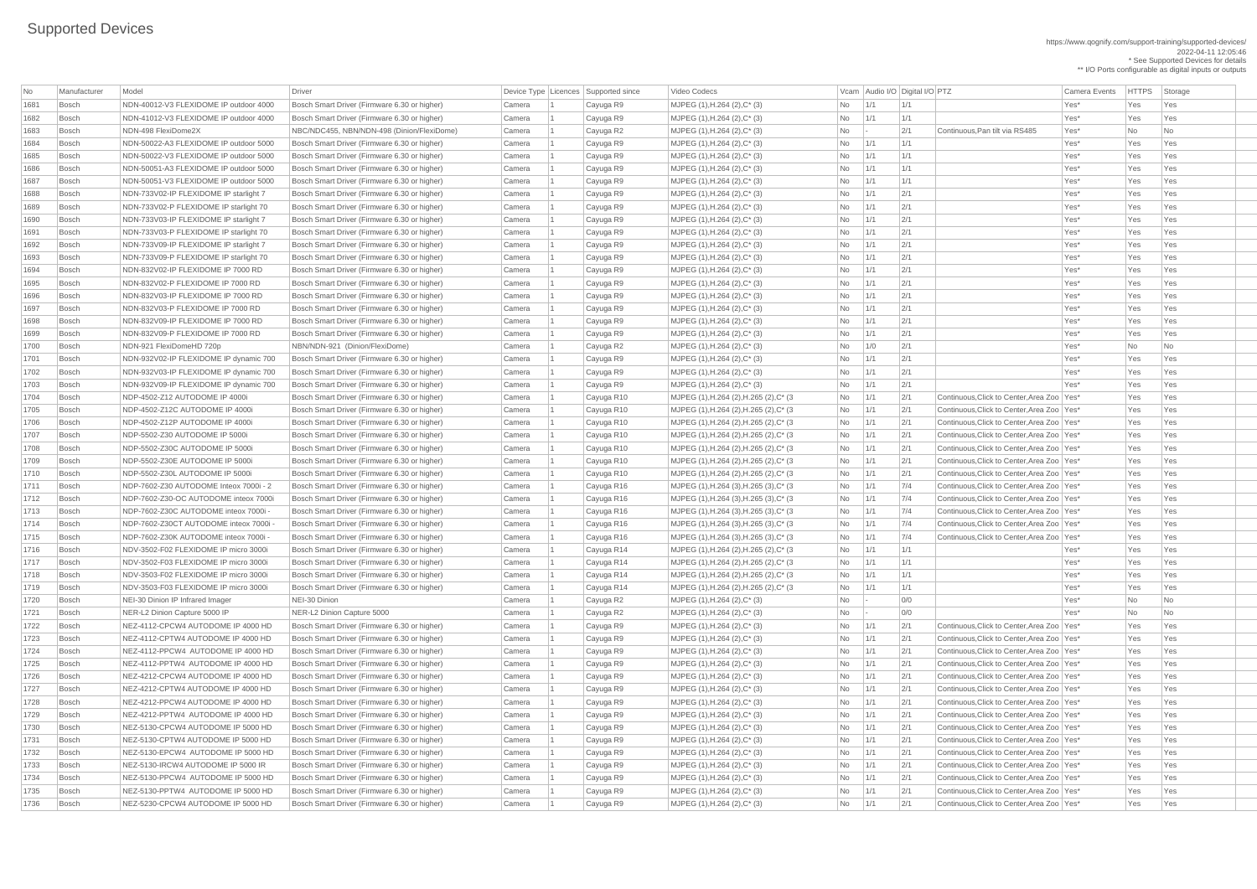https://www.qognify.com/support-training/supported-devices/ 2022-04-11 12:05:46 \* See Supported Devices for details \*\* I/O Ports configurable as digital inputs or outputs

| No   | Manufacturer | Model                                  | Driver                                       |        | Device Type Licences Supported since | Video Codecs                            |           |             | Vcam Audio I/O Digital I/O PTZ |                                              | Camera Events | <b>HTTPS</b> | Sto        |
|------|--------------|----------------------------------------|----------------------------------------------|--------|--------------------------------------|-----------------------------------------|-----------|-------------|--------------------------------|----------------------------------------------|---------------|--------------|------------|
| 1681 | Bosch        | NDN-40012-V3 FLEXIDOME IP outdoor 4000 | Bosch Smart Driver (Firmware 6.30 or higher) | Camera | Cayuga R9                            | MJPEG (1), H.264 (2), C* (3)            | No        | 1/1         | 1/1                            |                                              | Yes*          | Yes          | Yes        |
| 1682 | Bosch        | NDN-41012-V3 FLEXIDOME IP outdoor 4000 | Bosch Smart Driver (Firmware 6.30 or higher) | Camera | Cayuga R9                            | MJPEG (1), H.264 (2), C* (3)            | <b>No</b> | 1/1         | 1/1                            |                                              | Yes*          | Yes          | Yes        |
| 1683 | Bosch        | NDN-498 FlexiDome2X                    | NBC/NDC455, NBN/NDN-498 (Dinion/FlexiDome)   | Camera | Cayuga R2                            | MJPEG (1), H.264 (2), C* (3)            | No        |             | 2/1                            | Continuous, Pan tilt via RS485               | Yes*          | No           | <b>No</b>  |
| 1684 | Bosch        | NDN-50022-A3 FLEXIDOME IP outdoor 5000 | Bosch Smart Driver (Firmware 6.30 or higher) | Camera | Cayuga R9                            | MJPEG (1), H.264 (2), C* (3)            | No        | 1/1         | 1/1                            |                                              | Yes*          | Yes          | Yes        |
| 1685 | Bosch        | NDN-50022-V3 FLEXIDOME IP outdoor 5000 | Bosch Smart Driver (Firmware 6.30 or higher) | Camera | Cayuga R9                            | MJPEG (1), H.264 (2), C* (3)            | No        | 1/1         | 1/1                            |                                              | Yes*          | Yes          | Yes        |
| 1686 | Bosch        | NDN-50051-A3 FLEXIDOME IP outdoor 5000 | Bosch Smart Driver (Firmware 6.30 or higher) | Camera | Cayuga R9                            | MJPEG (1), H.264 (2), C* (3)            | No        | $\vert$ 1/1 | 1/1                            |                                              | Yes*          | Yes          | Yes        |
| 1687 | Bosch        | NDN-50051-V3 FLEXIDOME IP outdoor 5000 | Bosch Smart Driver (Firmware 6.30 or higher) | Camera | Cayuga R9                            | MJPEG (1), H.264 (2), C* (3)            | No        | 1/1         | 1/1                            |                                              | Yes*          | Yes          | Yes        |
| 1688 | Bosch        | NDN-733V02-IP FLEXIDOME IP starlight 7 | Bosch Smart Driver (Firmware 6.30 or higher) | Camera | Cayuga R9                            | MJPEG (1), H.264 (2), C* (3)            | <b>No</b> | 1/1         | 2/1                            |                                              | Yes*          | Yes          | Yes        |
| 1689 | Bosch        | NDN-733V02-P FLEXIDOME IP starlight 70 | Bosch Smart Driver (Firmware 6.30 or higher) | Camera | Cayuga R9                            | MJPEG (1), H.264 (2), C* (3)            | No        | 1/1         | 2/1                            |                                              | Yes*          | Yes          | Yes        |
| 1690 | Bosch        | NDN-733V03-IP FLEXIDOME IP starlight 7 | Bosch Smart Driver (Firmware 6.30 or higher) | Camera | Cayuga R9                            | MJPEG (1), H.264 (2), C* (3)            | No        | 1/1         | 2/1                            |                                              | Yes*          | Yes          | Yes        |
| 1691 | Bosch        | NDN-733V03-P FLEXIDOME IP starlight 70 | Bosch Smart Driver (Firmware 6.30 or higher) | Camera | Cayuga R9                            | MJPEG (1), H.264 (2), C* (3)            | No        | 1/1         | 2/1                            |                                              | Yes*          | Yes          | Yes        |
| 1692 | Bosch        | NDN-733V09-IP FLEXIDOME IP starlight 7 | Bosch Smart Driver (Firmware 6.30 or higher) | Camera | Cayuga R9                            | MJPEG (1), H.264 (2), C* (3)            | No        | 1/1         | 2/1                            |                                              | Yes*          | Yes          | Yes        |
| 1693 | Bosch        | NDN-733V09-P FLEXIDOME IP starlight 70 | Bosch Smart Driver (Firmware 6.30 or higher) | Camera | Cayuga R9                            | MJPEG (1), H.264 (2), C* (3)            | No        | 1/1         | 2/1                            |                                              | Yes*          | Yes          | Yes        |
| 1694 | Bosch        | NDN-832V02-IP FLEXIDOME IP 7000 RD     | Bosch Smart Driver (Firmware 6.30 or higher) | Camera | Cayuga R9                            | MJPEG (1), H.264 (2), C* (3)            | No        | 1/1         | 2/1                            |                                              | Yes*          | Yes          | Yes        |
| 1695 | Bosch        | NDN-832V02-P FLEXIDOME IP 7000 RD      | Bosch Smart Driver (Firmware 6.30 or higher) | Camera | Cayuga R9                            | MJPEG (1), H.264 (2), C* (3)            | No        | 1/1         | 2/1                            |                                              | Yes*          | Yes          | Yes        |
| 1696 | Bosch        | NDN-832V03-IP FLEXIDOME IP 7000 RD     | Bosch Smart Driver (Firmware 6.30 or higher) | Camera | Cayuga R9                            | MJPEG (1), H.264 (2), C* (3)            | No        | 1/1         | 2/1                            |                                              | Yes*          | Yes          | Yes        |
| 1697 | Bosch        | NDN-832V03-P FLEXIDOME IP 7000 RD      | Bosch Smart Driver (Firmware 6.30 or higher) | Camera | Cayuga R9                            | MJPEG (1), H.264 (2), C* (3)            | No        | 1/1         | 2/1                            |                                              | Yes*          | Yes          | Yes        |
| 1698 | Bosch        | NDN-832V09-IP FLEXIDOME IP 7000 RD     | Bosch Smart Driver (Firmware 6.30 or higher) | Camera | Cayuga R9                            | MJPEG (1), H.264 (2), C* (3)            | No        | 1/1         | 2/1                            |                                              | Yes*          | Yes          | Yes        |
| 1699 | Bosch        | NDN-832V09-P FLEXIDOME IP 7000 RD      | Bosch Smart Driver (Firmware 6.30 or higher) | Camera | Cayuga R9                            | MJPEG (1), H.264 (2), C* (3)            | No        | 1/1         | 2/1                            |                                              | Yes*          | Yes          | Yes        |
| 1700 |              | NDN-921 FlexiDomeHD 720p               | NBN/NDN-921 (Dinion/FlexiDome)               |        |                                      |                                         |           |             | 2/1                            |                                              | Yes*          |              |            |
|      | Bosch        |                                        |                                              | Camera | Cayuga R2                            | MJPEG (1), H.264 (2), C* (3)            | No        | 1/0         |                                |                                              |               | No           | No.        |
| 1701 | Bosch        | NDN-932V02-IP FLEXIDOME IP dynamic 700 | Bosch Smart Driver (Firmware 6.30 or higher) | Camera | Cayuga R9                            | MJPEG (1), H.264 (2), C* (3)            | No        | 1/1         | 2/1                            |                                              | Yes*          | Yes          | Yes        |
| 1702 | Bosch        | NDN-932V03-IP FLEXIDOME IP dynamic 700 | Bosch Smart Driver (Firmware 6.30 or higher) | Camera | Cayuga R9                            | MJPEG (1), H.264 (2), C* (3)            | No        | 1/1         | 2/1                            |                                              | Yes*          | Yes          | Yes        |
| 1703 | Bosch        | NDN-932V09-IP FLEXIDOME IP dynamic 700 | Bosch Smart Driver (Firmware 6.30 or higher) | Camera | Cayuga R9                            | MJPEG (1), H.264 (2), C* (3)            | No        | 1/1         | 2/1                            |                                              | Yes*          | Yes          | Yes        |
| 1704 | Bosch        | NDP-4502-Z12 AUTODOME IP 4000i         | Bosch Smart Driver (Firmware 6.30 or higher) | Camera | Cayuga R10                           | MJPEG (1), H.264 (2), H.265 (2), C* (3  | No        | 1/1         | 2/1                            | Continuous, Click to Center, Area Zoo   Yes* |               | Yes          | Yes        |
| 1705 | Bosch        | NDP-4502-Z12C AUTODOME IP 4000i        | Bosch Smart Driver (Firmware 6.30 or higher) | Camera | Cayuga R10                           | MJPEG (1), H.264 (2), H.265 (2), C* (3  | No        | 1/1         | 2/1                            | Continuous, Click to Center, Area Zoo   Yes* |               | Yes          | Yes        |
| 1706 | Bosch        | NDP-4502-Z12P AUTODOME IP 4000i        | Bosch Smart Driver (Firmware 6.30 or higher) | Camera | Cayuga R10                           | MJPEG (1), H.264 (2), H.265 (2), C* (3) | No        | 1/1         | 2/1                            | Continuous, Click to Center, Area Zoo   Yes* |               | Yes          | Yes        |
| 1707 | Bosch        | NDP-5502-Z30 AUTODOME IP 5000i         | Bosch Smart Driver (Firmware 6.30 or higher) | Camera | Cayuga R10                           | MJPEG (1), H.264 (2), H.265 (2), C* (3) | No        | 1/1         | 2/1                            | Continuous, Click to Center, Area Zoo   Yes* |               | Yes          | Yes        |
| 1708 | Bosch        | NDP-5502-Z30C AUTODOME IP 5000i        | Bosch Smart Driver (Firmware 6.30 or higher) | Camera | Cayuga R10                           | MJPEG (1), H.264 (2), H.265 (2), C* (3) | No        | 1/1         | 2/1                            | Continuous, Click to Center, Area Zoo   Yes* |               | Yes          | Yes        |
| 1709 | Bosch        | NDP-5502-Z30E AUTODOME IP 5000i        | Bosch Smart Driver (Firmware 6.30 or higher) | Camera | Cayuga R10                           | MJPEG (1), H.264 (2), H.265 (2), C* (3  | No        | 1/1         | 2/1                            | Continuous, Click to Center, Area Zoo   Yes* |               | Yes          | Yes        |
| 1710 | Bosch        | NDP-5502-Z30L AUTODOME IP 5000i        | Bosch Smart Driver (Firmware 6.30 or higher) | Camera | Cayuga R10                           | MJPEG (1), H.264 (2), H.265 (2), C* (3  | No        | 1/1         | 2/1                            | Continuous, Click to Center, Area Zoo   Yes* |               | Yes          | Yes        |
| 1711 | Bosch        | NDP-7602-Z30 AUTODOME Inteox 7000i - 2 | Bosch Smart Driver (Firmware 6.30 or higher) | Camera | Cayuga R16                           | MJPEG (1), H.264 (3), H.265 (3), C* (3) | No        | 1/1         | 7/4                            | Continuous, Click to Center, Area Zoo   Yes* |               | Yes          | Yes        |
| 1712 | Bosch        | NDP-7602-Z30-OC AUTODOME inteox 7000i  | Bosch Smart Driver (Firmware 6.30 or higher) | Camera | Cayuga R16                           | MJPEG (1), H.264 (3), H.265 (3), C* (3) | No        | 1/1         | 7/4                            | Continuous, Click to Center, Area Zoo   Yes* |               | Yes          | Yes        |
| 1713 | Bosch        | NDP-7602-Z30C AUTODOME inteox 7000i    | Bosch Smart Driver (Firmware 6.30 or higher) | Camera | Cayuga R16                           | MJPEG (1), H.264 (3), H.265 (3), C* (3) | No        | 1/1         | 7/4                            | Continuous, Click to Center, Area Zoo   Yes* |               | Yes          | <b>Yes</b> |
| 1714 | Bosch        | NDP-7602-Z30CT AUTODOME inteox 7000i   | Bosch Smart Driver (Firmware 6.30 or higher) | Camera | Cayuga R16                           | MJPEG (1), H.264 (3), H.265 (3), C* (3) | No        | 1/1         | 7/4                            | Continuous, Click to Center, Area Zoo   Yes* |               | Yes          | Yes        |
| 1715 | Bosch        | NDP-7602-Z30K AUTODOME inteox 7000i    | Bosch Smart Driver (Firmware 6.30 or higher) | Camera | Cayuga R16                           | MJPEG (1), H.264 (3), H.265 (3), C* (3) | No        | 1/1         | 7/4                            | Continuous, Click to Center, Area Zoo   Yes* |               | Yes          | Yes        |
| 1716 | Bosch        | NDV-3502-F02 FLEXIDOME IP micro 3000i  | Bosch Smart Driver (Firmware 6.30 or higher) | Camera | Cayuga R14                           | MJPEG (1), H.264 (2), H.265 (2), C* (3  | No        | 1/1         | 1/1                            |                                              | Yes*          | Yes          | <b>Yes</b> |
| 1717 | Bosch        | NDV-3502-F03 FLEXIDOME IP micro 3000i  | Bosch Smart Driver (Firmware 6.30 or higher) | Camera | Cayuga R14                           | MJPEG (1), H.264 (2), H.265 (2), C* (3  | No        | 1/1         | 1/1                            |                                              | Yes*          | Yes          | Yes        |
| 1718 | Bosch        | NDV-3503-F02 FLEXIDOME IP micro 3000i  | Bosch Smart Driver (Firmware 6.30 or higher) | Camera | Cayuga R14                           | MJPEG (1), H.264 (2), H.265 (2), C* (3  | No        | 1/1         | 1/1                            |                                              | Yes*          | Yes          | Yes        |
| 1719 | Bosch        | NDV-3503-F03 FLEXIDOME IP micro 3000i  | Bosch Smart Driver (Firmware 6.30 or higher) | Camera | Cayuga R14                           | MJPEG (1), H.264 (2), H.265 (2), C* (3) | No        | 1/1         | 1/1                            |                                              | Yes*          | Yes          | Yes        |
| 1720 | Bosch        | NEI-30 Dinion IP Infrared Imager       | NEI-30 Dinion                                | Camera | Cayuga R2                            | MJPEG (1), H.264 (2), C* (3)            | No        |             | 0/0                            |                                              | Yes*          | No           | No.        |
| 1721 | Bosch        | NER-L2 Dinion Capture 5000 IP          | NER-L2 Dinion Capture 5000                   | Camera | Cayuga R2                            | MJPEG (1), H.264 (2), C* (3)            | No        |             | 0/0                            |                                              | Yes*          | No           | No         |
| 1722 | Bosch        | NEZ-4112-CPCW4 AUTODOME IP 4000 HD     | Bosch Smart Driver (Firmware 6.30 or higher) | Camera | Cayuga R9                            | MJPEG (1), H.264 (2), C* (3)            | No        | 1/1         | 2/1                            | Continuous, Click to Center, Area Zoo   Yes* |               | Yes          | Yes        |
| 1723 | Bosch        | NEZ-4112-CPTW4 AUTODOME IP 4000 HD     | Bosch Smart Driver (Firmware 6.30 or higher) | Camera | Cayuga R9                            | MJPEG (1), H.264 (2), C* (3)            | No        | 1/1         | 2/1                            | Continuous, Click to Center, Area Zoo   Yes* |               | Yes          | Yes        |
| 1724 | Bosch        | NEZ-4112-PPCW4 AUTODOME IP 4000 HD     | Bosch Smart Driver (Firmware 6.30 or higher) | Camera | Cayuga R9                            | MJPEG (1), H.264 (2), C* (3)            | No        | 1/1         | 2/1                            | Continuous, Click to Center, Area Zoo   Yes* |               | Yes          | Yes        |
| 1725 | Bosch        | NEZ-4112-PPTW4 AUTODOME IP 4000 HD     | Bosch Smart Driver (Firmware 6.30 or higher) | Camera | Cayuga R9                            | MJPEG (1), H.264 (2), C* (3)            | No        | 1/1         | 2/1                            | Continuous, Click to Center, Area Zoo   Yes* |               | Yes          | <b>Yes</b> |
| 1726 | Bosch        | NEZ-4212-CPCW4 AUTODOME IP 4000 HD     | Bosch Smart Driver (Firmware 6.30 or higher) | Camera | Cayuga R9                            | MJPEG (1), H.264 (2), C* (3)            | No        | 1/1         | 2/1                            | Continuous, Click to Center, Area Zoo   Yes* |               | Yes          | Yes        |
| 1727 | Bosch        | NEZ-4212-CPTW4 AUTODOME IP 4000 HD     | Bosch Smart Driver (Firmware 6.30 or higher) | Camera | Cayuga R9                            | MJPEG (1), H.264 (2), C* (3)            | No        | 1/1         | 2/1                            | Continuous, Click to Center, Area Zoo   Yes* |               | Yes          | Yes        |
| 1728 | Bosch        | NEZ-4212-PPCW4 AUTODOME IP 4000 HD     | Bosch Smart Driver (Firmware 6.30 or higher) | Camera | Cayuga R9                            | MJPEG (1), H.264 (2), C* (3)            | No        | 1/1         | 2/1                            | Continuous, Click to Center, Area Zoo   Yes* |               | Yes          | Yes        |
| 1729 | Bosch        | NEZ-4212-PPTW4 AUTODOME IP 4000 HD     | Bosch Smart Driver (Firmware 6.30 or higher) | Camera | Cayuga R9                            | MJPEG (1), H.264 (2), C* (3)            | No        | 1/1         | 2/1                            | Continuous, Click to Center, Area Zoo   Yes* |               | Yes          | Yes        |
| 1730 | Bosch        | NEZ-5130-CPCW4 AUTODOME IP 5000 HD     | Bosch Smart Driver (Firmware 6.30 or higher) | Camera | Cayuga R9                            | MJPEG (1), H.264 (2), C* (3)            | No        | 1/1         | 2/1                            | Continuous, Click to Center, Area Zoo   Yes* |               | Yes          | Yes        |
| 1731 | Bosch        | NEZ-5130-CPTW4 AUTODOME IP 5000 HD     | Bosch Smart Driver (Firmware 6.30 or higher) | Camera | Cayuga R9                            | MJPEG (1), H.264 (2), C* (3)            | No        | 1/1         | 2/1                            | Continuous, Click to Center, Area Zoo   Yes* |               | Yes          | Yes        |
| 1732 | ∣ Bosch      | NEZ-5130-EPCW4 AUTODOME IP 5000 HD     | Bosch Smart Driver (Firmware 6.30 or higher) | Camera | Cayuga R9                            | MJPEG (1), H.264 (2), C* (3)            | No        | 1/1         | $\frac{2}{1}$                  | Continuous, Click to Center, Area Zoo   Yes* |               | Yes          | Yes        |
| 1733 | Bosch        | NEZ-5130-IRCW4 AUTODOME IP 5000 IR     | Bosch Smart Driver (Firmware 6.30 or higher) | Camera | Cayuga R9                            | MJPEG (1), H.264 (2), C* (3)            | No        | 1/1         | 2/1                            | Continuous, Click to Center, Area Zoo   Yes* |               | Yes          | Yes        |
| 1734 | Bosch        | NEZ-5130-PPCW4 AUTODOME IP 5000 HD     | Bosch Smart Driver (Firmware 6.30 or higher) | Camera | Cayuga R9                            | MJPEG (1), H.264 (2), C* (3)            | No        | 1/1         | 2/1                            | Continuous, Click to Center, Area Zoo   Yes* |               | Yes          | Yes        |
| 1735 | Bosch        | NEZ-5130-PPTW4 AUTODOME IP 5000 HD     | Bosch Smart Driver (Firmware 6.30 or higher) | Camera | Cayuga R9                            | MJPEG (1), H.264 (2), C* (3)            | No        | 1/1         | 2/1                            | Continuous, Click to Center, Area Zoo   Yes* |               | Yes          | Yes        |
| 1736 | Bosch        | NEZ-5230-CPCW4 AUTODOME IP 5000 HD     | Bosch Smart Driver (Firmware 6.30 or higher) | Camera | Cayuga R9                            | MJPEG (1), H.264 (2), C* (3)            | No        | 1/1         | 2/1                            | Continuous, Click to Center, Area Zoo   Yes* |               | Yes          | Yes        |
|      |              |                                        |                                              |        |                                      |                                         |           |             |                                |                                              |               |              |            |

Video Codecs **No Manufacturer Model Driver Audio I/O Digital I/O PTZ** Vcam Audio I/O Digital I/O PTZ Camera Events HTTPS Storage MJPEG (1),H.264 (2),H.265 (2),C<sup>\*</sup> (3  $\vert$  No  $\vert$  1/1  $\vert$  2/1 Continuous,Click to Center,Area Zoo Yes\* Yes Yes Yes MJPEG (1),H.264 (2),H.265 (2),C<sup>\*</sup> (3  $\vert$  No  $\vert$  1/1  $\vert$  2/1 Continuous,Click to Center,Area Zoo Yes\* Yes Yes Yes MJPEG (1),H.264 (2),H.265 (2),C<sup>\*</sup> (3  $\vert$  No  $\vert$  1/1  $\vert$  2/1 Continuous,Click to Center,Area Zoo Yes\* Yes Yes Yes MJPEG (1),H.264 (2),H.265 (2),C<sup>\*</sup> (3  $\vert$  No  $\vert$  1/1  $\vert$  2/1 Continuous,Click to Center,Area Zoo Yes\* Yes Yes Yes MJPEG (1),H.264 (2),H.265 (2),C<sup>\*</sup> (3  $\vert$  No  $\vert$  1/1  $\vert$  2/1 Continuous,Click to Center,Area Zoo Yes\* Yes Yes Yes MJPEG (1),H.264 (2),H.265 (2),C\* (3  $\vert$  No  $\vert$  1/1  $\vert$  2/1 Continuous,Click to Center,Area Zoo Yes\* Yes Yes Yes MJPEG (1),H.264 (2),H.265 (2),C\* (3  $\vert$  No  $\vert$  1/1  $\vert$  2/1 Continuous,Click to Center,Area Zoo Yes\* Yes Yes Yes MJPEG (1),H.264 (3),H.265 (3),C<sup>\*</sup> (3  $\vert$  No  $\vert$  1/1  $\vert$  7/4 Continuous,Click to Center,Area Zoo Yes\* Yes Yes Yes MJPEG (1),H.264 (3),H.265 (3),C\* (3  $\vert$   $\rangle$  No  $\vert$   $\vert$  1/1  $\vert$   $\vert$  7/4  $\vert$  Continuous,Click to Center,Area Zoo  $\vert$  Yes  $\vert$  Yes  $\vert$  Yes Yes MJPEG (1),H.264 (3),H.265 (3),C\* (3  $\vert$  No  $\vert$  1/1  $\vert$  7/4 Continuous,Click to Center,Area Zoo Yes\* Yes Yes Yes MJPEG (1),H.264 (3),H.265 (3),C<sup>\*</sup> (3  $\vert$  No  $\vert$  1/1  $\vert$  7/4 Continuous,Click to Center,Area Zoo Yes\* Yes Yes Yes MJPEG (1),H.264 (3),H.265 (3),C\* (3  $\vert$   $\rangle$   $\vert$  No  $\vert$   $\vert$  1/1  $\vert$   $\vert$  7/4  $\vert$  Continuous,Click to Center,Area Zoo  $\vert$  Yes  $\vert$  Yes  $\vert$  Yes  $\vert$  Yes 1716 Bosch NDV-3502-F02 FLEXIDOME IP micro 3000i Bosch Smart Driver (Firmware 6.30 or higher) Camera 1 Cayuga R14 MJPEG (1),H.264 (2),H.265 (2),C\* (3 No 1/1 1/1 Yes\* Yes Yes 1717 Bosch NDV-3502-F03 FLEXIDOME IP micro 3000i Bosch Smart Driver (Firmware 6.30 or higher) Camera 1 Cayuga R14 MJPEG (1),H.264 (2),H.265 (2),C\* (3 No 1/1 1/1 Yes\* Yes Yes 1718 Bosch NDV-3503-F02 FLEXIDOME IP micro 3000i Bosch Smart Driver (Firmware 6.30 or higher) Camera 1 Cayuga R14 MJPEG (1),H.264 (2),H.265 (2),C\* (3 No 1/1 1/1 Yes\* Yes Yes MJPEG (1),H.264 (2),H.265 (2),C\* (3  $\vert$ No  $\vert$  1/1  $\vert$  1/1  $\vert$  1/1  $\vert$  1/1  $\vert$  Yes\* Yes Yes Yes MJPEG (1),H.264 (2),C<sup>\*</sup> (3)  $\vert$  Mo  $\vert$  1/1  $\vert$  2/1 Continuous,Click to Center,Area Zoo Yes\* Yes Yes Yes MJPEG (1),H.264 (2),C\* (3)  $\vert$  Mo  $\vert$  1/1  $\vert$  2/1  $\vert$  Continuous,Click to Center,Area Zoo Yes\* Yes Yes Yes 1724 Bosch NEZ-4112-PPCW4 AUTODOME IP 4000 HD Bosch Smart Driver (Firmware 6.30 or higher) Camera 1 Cayuga R9 MJPEG (1),H.264 (2),C\* (3) No 1/1 2/1 Continuous,Click to Center,Area Zoo Yes\* Yes Yes 1725 Bosch NEZ-4112-PPTW4 AUTODOME IP 4000 HD Bosch Smart Driver (Firmware 6.30 or higher) Camera 1 Cayuga R9 MJPEG (1),H.264 (2),C\* (3) No 1/1 2/1 Continuous,Click to Center,Area Zoo Yes\* Yes Yes MJPEG (1),H.264 (2),C\* (3)  $\vert$  Mo  $\vert$  1/1  $\vert$  2/1 Continuous,Click to Center,Area Zoo Yes\* Yes Yes Yes 1727 Bosch NEZ-4212-CPTW4 AUTODOME IP 4000 HD Bosch Smart Driver (Firmware 6.30 or higher) Camera 1 Cayuga R9 MJPEG (1),H.264 (2),C\* (3) No 1/1 2/1 Continuous,Click to Center,Area Zoo Yes\* Yes Yes MJPEG (1),H.264 (2),C\* (3)  $\vert$  Mo  $\vert$  1/1  $\vert$  2/1  $\vert$  Continuous,Click to Center,Area Zoo Yes\* Yes Yes Yes MJPEG (1),H.264 (2),C\* (3)  $\vert$  Mo  $\vert$  1/1  $\vert$  2/1  $\vert$  Continuous,Click to Center,Area Zoo Yes\* Yes Yes Yes 1730 Bosch NEZ-5130-CPCW4 AUTODOME IP 5000 HD Bosch Smart Driver (Firmware 6.30 or higher) Camera 1 Cayuga R9 MJPEG (1),H.264 (2),C\* (3) No 1/1 2/1 Continuous,Click to Center,Area Zoo Yes\* Yes Yes MJPEG (1),H.264 (2),C<sup>\*</sup> (3)  $\vert$  Mo  $\vert$  1/1  $\vert$  2/1 Continuous,Click to Center,Area Zoo Yes\* Yes Yes Yes 1732 Bosch NEZ-5130-EPCW4 AUTODOME IP 5000 HD Bosch Smart Driver (Firmware 6.30 or higher) Camera 1 Cayuga R9 MJPEG (1),H.264 (2),C\* (3) No 1/1 2/1 Continuous,Click to Center,Area Zoo Yes\* Yes Yes  $1733$  Bosch Automome IP  $173$   $171$   $12/1$  Continuous,Click to Center,Area Zoo Yes\* Yes Yes Yes MJPEG (1),H.264 (2),C\* (3)  $\vert$  Mo  $\vert$  1/1  $\vert$  2/1  $\vert$  Continuous,Click to Center,Area Zoo Yes\* Yes Yes Yes MJPEG (1),H.264 (2),C\* (3)  $\vert$  Mo  $\vert$  1/1  $\vert$  2/1  $\vert$  Continuous,Click to Center,Area Zoo Yes\* Yes Yes Yes 1736 Bosch NEZ-5230-CPCW4 AUTODOME IP 5000 HD Bosch Smart Driver (Firmware 6.30 or higher) Camera 1 Cayuga R9 MJPEG (1),H.264 (2),C\* (3) No 1/1 2/1 Continuous,Click to Center,Area Zoo Yes\* Yes Yes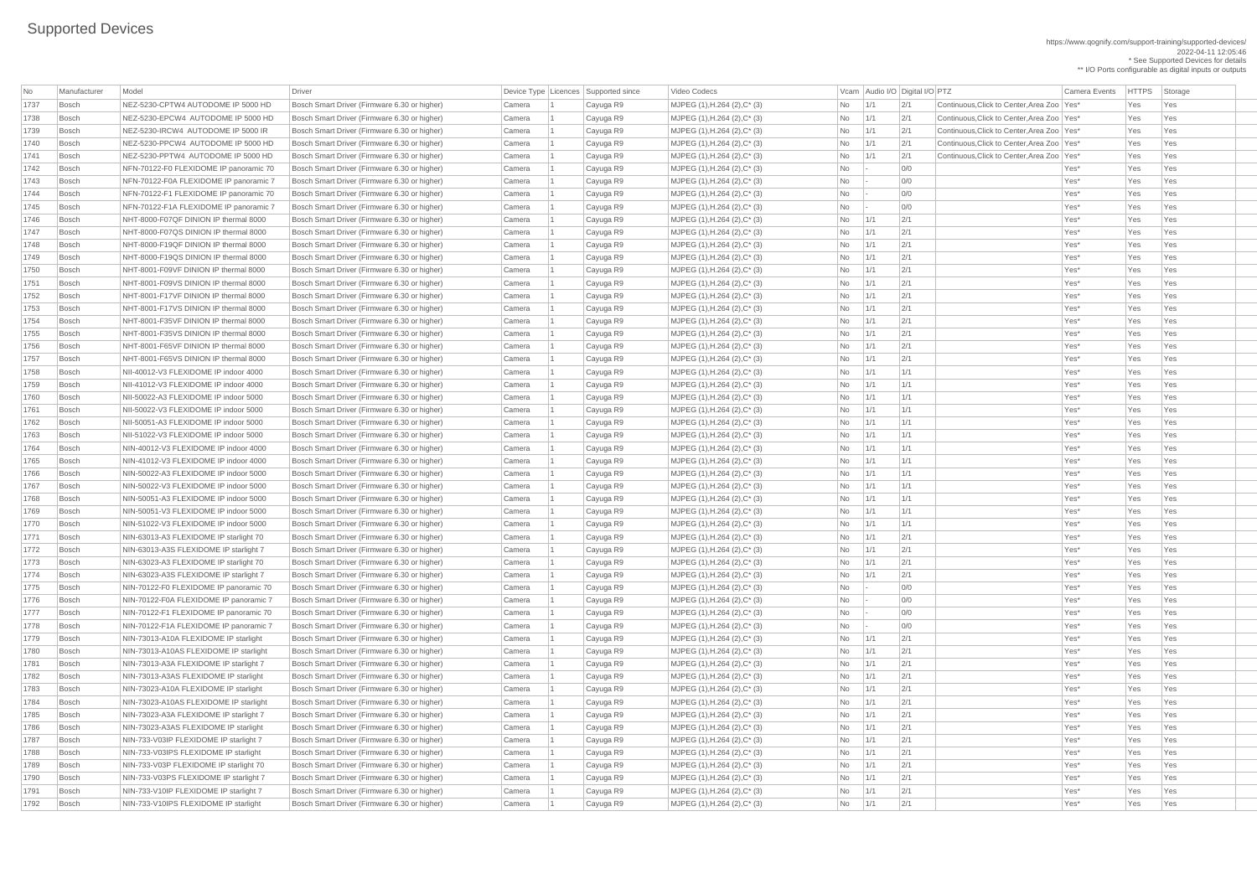https://www.qognify.com/support-training/supported-devices/ 2022-04-11 12:05:46 \* See Supported Devices for details

\*\* I/O Ports configurable as digital inputs or outputs

MJPEG (1),H.264 (2),C\* (3)  $\vert$  Mo  $\vert$  1/1  $\vert$  2/1 Continuous,Click to Center,Area Zoo Yes\* Yes Yes Yes MJPEG (1),H.264 (2),C<sup>\*</sup> (3)  $\overline{N_0}$  | 1/1 | 2/1 Continuous,Click to Center,Area Zoo Yes\* Yes Yes Yes MJPEG (1),H.264 (2),C\* (3)  $\vert$  Mo  $\vert$  1/1  $\vert$  2/1 Continuous,Click to Center,Area Zoo Yes\* Yes Yes Yes Bosch NEZ-5230-PPTW4 AUTODOME IP 5000 HD Bosch Smart Driver (Firmware 6.30 or higher) Camera 1 Cayuga R9 MJPEG (1),H.264 (2),C\* (3) No 1/1 2/1 Continuous,Click to Center,Area Zoo Yes\* Yes Yes

| No   | Manufacturer | Model                                  | <b>Driver</b>                                | Device Type Licences Supported since |           | Video Codecs                            |           |                 | Vcam Audio I/O Digital I/O PTZ |                                              | <b>Camera Events</b> | <b>HTTPS</b> | Storage |
|------|--------------|----------------------------------------|----------------------------------------------|--------------------------------------|-----------|-----------------------------------------|-----------|-----------------|--------------------------------|----------------------------------------------|----------------------|--------------|---------|
| 1737 | Bosch        | NEZ-5230-CPTW4 AUTODOME IP 5000 HD     | Bosch Smart Driver (Firmware 6.30 or higher) | Camera                               | Cayuga R9 | MJPEG $(1)$ , H.264 $(2)$ , C* $(3)$    | <b>No</b> | 1/1             | 2/1                            | Continuous, Click to Center, Area Zoo   Yes* |                      | Yes          | Yes     |
| 1738 | Bosch        | NEZ-5230-EPCW4 AUTODOME IP 5000 HD     | Bosch Smart Driver (Firmware 6.30 or higher) | Camera                               | Cayuga R9 | $MJPEG (1), H.264 (2), C^* (3)$         | <b>No</b> | 1/1             | 2/1                            | Continuous, Click to Center, Area Zoo   Yes* |                      | Yes          | Yes     |
| 1739 | Bosch        | NEZ-5230-IRCW4 AUTODOME IP 5000 IR     | Bosch Smart Driver (Firmware 6.30 or higher) | Camera                               | Cayuga R9 | MJPEG (1), H.264 (2), C* (3)            | No        | 1/1             | 2/1                            | Continuous, Click to Center, Area Zoo   Yes* |                      | Yes          | Yes     |
| 1740 | Bosch        | NEZ-5230-PPCW4 AUTODOME IP 5000 HD     | Bosch Smart Driver (Firmware 6.30 or higher) | Camera                               | Cayuga R9 | $MJPEG (1), H.264 (2), C^*(3)$          | No        | 1/1             | 2/1                            | Continuous, Click to Center, Area Zoo   Yes* |                      | Yes          | Yes     |
| 1741 | Bosch        | NEZ-5230-PPTW4 AUTODOME IP 5000 HD     | Bosch Smart Driver (Firmware 6.30 or higher) | Camera                               | Cayuga R9 | MJPEG (1), H.264 (2), C* (3)            | No        | 1/1             | 2/1                            | Continuous, Click to Center, Area Zoo   Yes* |                      | Yes          | Yes     |
| 1742 | Bosch        | NFN-70122-F0 FLEXIDOME IP panoramic 70 | Bosch Smart Driver (Firmware 6.30 or higher) | Camera                               | Cayuga R9 | $MJPEG (1), H.264 (2), C^* (3)$         | No        | $\vert - \vert$ | 0/0                            |                                              | Yes*                 | Yes          | Yes     |
| 1743 | Bosch        | NFN-70122-F0A FLEXIDOME IP panoramic 7 | Bosch Smart Driver (Firmware 6.30 or higher) | Camera                               | Cayuga R9 | MJPEG $(1)$ , H.264 $(2)$ , C* $(3)$    | No        | $\sim$          | 0/0                            |                                              | Yes*                 | Yes          | Yes     |
| 1744 | Bosch        | NFN-70122-F1 FLEXIDOME IP panoramic 70 | Bosch Smart Driver (Firmware 6.30 or higher) | Camera                               | Cayuga R9 | MJPEG (1), H.264 (2), C* (3)            | <b>No</b> | $\vert - \vert$ | 0/0                            |                                              | Yes*                 | Yes          | Yes     |
| 1745 | Bosch        | NFN-70122-F1A FLEXIDOME IP panoramic 7 | Bosch Smart Driver (Firmware 6.30 or higher) | Camera                               | Cayuga R9 | $MJPEG (1), H.264 (2), C^* (3)$         | <b>No</b> |                 | 0/0                            |                                              | Yes*                 | Yes          | Yes     |
| 1746 | Bosch        | NHT-8000-F07QF DINION IP thermal 8000  | Bosch Smart Driver (Firmware 6.30 or higher) | Camera                               | Cayuga R9 | MJPEG (1), H.264 (2), C* (3)            | No        | 1/1             | 2/1                            |                                              | Yes*                 | Yes          | Yes     |
| 1747 | Bosch        | NHT-8000-F07QS DINION IP thermal 8000  | Bosch Smart Driver (Firmware 6.30 or higher) | Camera                               | Cayuga R9 | MJPEG (1), H.264 (2), C* (3)            | <b>No</b> | 1/1             | 2/1                            |                                              | Yes*                 | Yes          | Yes     |
| 1748 | Bosch        | NHT-8000-F19QF DINION IP thermal 8000  | Bosch Smart Driver (Firmware 6.30 or higher) | Camera                               | Cayuga R9 | $MJPEG (1), H.264 (2), C^* (3)$         | No        | 1/1             | 2/1                            |                                              | Yes*                 | Yes          | Yes     |
| 1749 | Bosch        | NHT-8000-F19QS DINION IP thermal 8000  | Bosch Smart Driver (Firmware 6.30 or higher) | Camera                               | Cayuga R9 | $MJPEG (1), H.264 (2), C^*(3)$          | No        | 1/1             | 2/1                            |                                              | Yes*                 | Yes          | Yes     |
| 1750 | Bosch        | NHT-8001-F09VF DINION IP thermal 8000  | Bosch Smart Driver (Firmware 6.30 or higher) | Camera                               | Cayuga R9 | MJPEG (1), H.264 (2), C* (3)            | <b>No</b> | 1/1             | 2/1                            |                                              | Yes*                 | Yes          | Yes     |
| 1751 | Bosch        | NHT-8001-F09VS DINION IP thermal 8000  | Bosch Smart Driver (Firmware 6.30 or higher) | Camera                               | Cayuga R9 | MJPEG (1), H.264 (2), C* (3)            | No        | 1/1             | 2/1                            |                                              | Yes*                 | Yes          | Yes     |
| 1752 | Bosch        | NHT-8001-F17VF DINION IP thermal 8000  | Bosch Smart Driver (Firmware 6.30 or higher) | Camera                               | Cayuga R9 | MJPEG $(1)$ , H.264 $(2)$ , C* $(3)$    | No        | 1/1             | 2/1                            |                                              | Yes*                 | Yes          | Yes     |
| 1753 | Bosch        | NHT-8001-F17VS DINION IP thermal 8000  | Bosch Smart Driver (Firmware 6.30 or higher) | Camera                               | Cayuga R9 | MJPEG (1), H.264 (2), C* (3)            | No        | 1/1             | 2/1                            |                                              | Yes*                 | Yes          | Yes     |
| 1754 | Bosch        | NHT-8001-F35VF DINION IP thermal 8000  | Bosch Smart Driver (Firmware 6.30 or higher) | Camera                               | Cayuga R9 | $MJPEG (1), H.264 (2), C^* (3)$         | No        | 1/1             | 2/1                            |                                              | Yes*                 | Yes          | Yes     |
| 1755 | Bosch        | NHT-8001-F35VS DINION IP thermal 8000  | Bosch Smart Driver (Firmware 6.30 or higher) | Camera                               | Cayuga R9 | $MJPEG (1), H.264 (2), C^*(3)$          | No        | 1/1             | 2/1                            |                                              | Yes*                 | Yes          | Yes     |
| 1756 | Bosch        | NHT-8001-F65VF DINION IP thermal 8000  | Bosch Smart Driver (Firmware 6.30 or higher) | Camera                               | Cayuga R9 | $MJPEG (1), H.264 (2), C^* (3)$         | <b>No</b> | 1/1             | 2/1                            |                                              | Yes*                 | Yes          | Yes     |
| 1757 | Bosch        | NHT-8001-F65VS DINION IP thermal 8000  | Bosch Smart Driver (Firmware 6.30 or higher) | Camera                               | Cayuga R9 | $MJPEG (1), H.264 (2), C^* (3)$         | No        | 1/1             | $\frac{2}{1}$                  |                                              | Yes*                 | Yes          | Yes     |
| 1758 | Bosch        | NII-40012-V3 FLEXIDOME IP indoor 4000  | Bosch Smart Driver (Firmware 6.30 or higher) | Camera                               | Cayuga R9 | MJPEG (1), H.264 (2), C* (3)            | No        | 1/1             | 1/1                            |                                              | Yes*                 | Yes          | Yes     |
| 1759 | Bosch        | NII-41012-V3 FLEXIDOME IP indoor 4000  | Bosch Smart Driver (Firmware 6.30 or higher) | Camera                               | Cayuga R9 | MJPEG (1), H.264 (2), C* (3)            | No        | 1/1             | 1/1                            |                                              | Yes*                 | Yes          | Yes     |
| 1760 | Bosch        | NII-50022-A3 FLEXIDOME IP indoor 5000  | Bosch Smart Driver (Firmware 6.30 or higher) | Camera                               |           | $MJPEG (1), H.264 (2), C^* (3)$         |           | 1/1             | 1/1                            |                                              | Yes*                 | Yes          | Yes     |
|      |              | NII-50022-V3 FLEXIDOME IP indoor 5000  | Bosch Smart Driver (Firmware 6.30 or higher) |                                      | Cayuga R9 |                                         | No        |                 |                                |                                              | Yes*                 | Yes          | Yes     |
| 1761 | Bosch        | NII-50051-A3 FLEXIDOME IP indoor 5000  | Bosch Smart Driver (Firmware 6.30 or higher) | Camera                               | Cayuga R9 | MJPEG (1), H.264 (2), C* (3)            | No        | 1/1             | 1/1                            |                                              | Yes*                 |              |         |
| 1762 | Bosch        |                                        |                                              | Camera                               | Cayuga R9 | MJPEG (1), H.264 (2), C* (3)            | No.       | 1/1             | 1/1                            |                                              |                      | Yes          | Yes     |
| 1763 | Bosch        | NII-51022-V3 FLEXIDOME IP indoor 5000  | Bosch Smart Driver (Firmware 6.30 or higher) | Camera                               | Cayuga R9 | $MJPEG (1), H.264 (2), C^* (3)$         | No        | 1/1             | 1/1                            |                                              | Yes*                 | Yes          | Yes     |
| 1764 | Bosch        | NIN-40012-V3 FLEXIDOME IP indoor 4000  | Bosch Smart Driver (Firmware 6.30 or higher) | Camera                               | Cayuga R9 | MJPEG (1), H.264 (2), C* (3)            | No        | 1/1             | 1/1                            |                                              | Yes*                 | Yes          | Yes     |
| 1765 | Bosch        | NIN-41012-V3 FLEXIDOME IP indoor 4000  | Bosch Smart Driver (Firmware 6.30 or higher) | Camera                               | Cayuga R9 | MJPEG (1), H.264 (2), C* (3)            | No        | 1/1             | 1/1                            |                                              | Yes*                 | Yes          | Yes     |
| 1766 | Bosch        | NIN-50022-A3 FLEXIDOME IP indoor 5000  | Bosch Smart Driver (Firmware 6.30 or higher) | Camera                               | Cayuga R9 | $MJPEG (1), H.264 (2), C^* (3)$         | No        | 1/1             | 1/1                            |                                              | Yes*                 | Yes          | Yes     |
| 1767 | Bosch        | NIN-50022-V3 FLEXIDOME IP indoor 5000  | Bosch Smart Driver (Firmware 6.30 or higher) | Camera                               | Cayuga R9 | $MJPEG (1), H.264 (2), C^*(3)$          | <b>No</b> | 1/1             | 1/1                            |                                              | Yes*                 | Yes          | Yes     |
| 1768 | Bosch        | NIN-50051-A3 FLEXIDOME IP indoor 5000  | Bosch Smart Driver (Firmware 6.30 or higher) | Camera                               | Cayuga R9 | MJPEG (1), H.264 (2), C* (3)            | <b>No</b> | 1/1             | 1/1                            |                                              | Yes*                 | Yes          | Yes     |
| 1769 | Bosch        | NIN-50051-V3 FLEXIDOME IP indoor 5000  | Bosch Smart Driver (Firmware 6.30 or higher) | Camera                               | Cayuga R9 | MJPEG (1), H.264 (2), C* (3)            | No        | 1/1             | 1/1                            |                                              | Yes*                 | Yes          | Yes     |
| 1770 | Bosch        | NIN-51022-V3 FLEXIDOME IP indoor 5000  | Bosch Smart Driver (Firmware 6.30 or higher) | Camera                               | Cayuga R9 | MJPEG (1), H.264 (2), C* (3)            | No        | 1/1             | 1/1                            |                                              | Yes*                 | Yes          | Yes     |
| 1771 | Bosch        | NIN-63013-A3 FLEXIDOME IP starlight 70 | Bosch Smart Driver (Firmware 6.30 or higher) | Camera                               | Cayuga R9 | MJPEG (1), H.264 (2), C* (3)            | No        | 1/1             | 2/1                            |                                              | Yes*                 | Yes          | Yes     |
| 1772 | Bosch        | NIN-63013-A3S FLEXIDOME IP starlight 7 | Bosch Smart Driver (Firmware 6.30 or higher) | Camera                               | Cayuga R9 | $MJPEG (1), H.264 (2), C^* (3)$         | No        | 1/1             | 2/1                            |                                              | Yes*                 | Yes          | Yes     |
| 1773 | Bosch        | NIN-63023-A3 FLEXIDOME IP starlight 70 | Bosch Smart Driver (Firmware 6.30 or higher) | Camera                               | Cayuga R9 | MJPEG (1), H.264 (2), C* (3)            | No        | 1/1             | 2/1                            |                                              | Yes*                 | Yes          | Yes     |
| 1774 | Bosch        | NIN-63023-A3S FLEXIDOME IP starlight 7 | Bosch Smart Driver (Firmware 6.30 or higher) | Camera                               | Cayuga R9 | MJPEG (1), H.264 (2), C* (3)            | <b>No</b> | 1/1             | 2/1                            |                                              | Yes*                 | Yes          | Yes     |
| 1775 | Bosch        | NIN-70122-F0 FLEXIDOME IP panoramic 70 | Bosch Smart Driver (Firmware 6.30 or higher) | Camera                               | Cayuga R9 | MJPEG (1), H.264 (2), C* (3)            | No        |                 | 0/0                            |                                              | Yes*                 | Yes          | Yes     |
| 1776 | Bosch        | NIN-70122-F0A FLEXIDOME IP panoramic 7 | Bosch Smart Driver (Firmware 6.30 or higher) | Camera                               | Cayuga R9 | MJPEG (1), H.264 (2), C* (3)            | No        |                 | 0/0                            |                                              | Yes*                 | Yes          | Yes     |
| 1777 | Bosch        | NIN-70122-F1 FLEXIDOME IP panoramic 70 | Bosch Smart Driver (Firmware 6.30 or higher) | Camera                               | Cayuga R9 | MJPEG (1), H.264 (2), C* (3)            | No        | $\mathbf{I}$    | 0/0                            |                                              | Yes*                 | Yes          | Yes     |
| 1778 | Bosch        | NIN-70122-F1A FLEXIDOME IP panoramic 7 | Bosch Smart Driver (Firmware 6.30 or higher) | Camera                               | Cayuga R9 | MJPEG (1), H.264 (2), C* (3)            | No        | $\overline{a}$  | 0/0                            |                                              | Yes*                 | Yes          | Yes     |
| 1779 | Bosch        | NIN-73013-A10A FLEXIDOME IP starlight  | Bosch Smart Driver (Firmware 6.30 or higher) | Camera                               | Cayuga R9 | $MJPEG (1), H.264 (2), C^*(3)$          | No        | 1/1             | 2/1                            |                                              | Yes*                 | Yes          | Yes     |
| 1780 | Bosch        | NIN-73013-A10AS FLEXIDOME IP starlight | Bosch Smart Driver (Firmware 6.30 or higher) | Camera                               | Cayuga R9 | MJPEG (1), H.264 (2), C* (3)            | <b>No</b> | 1/1             | 2/1                            |                                              | Yes*                 | Yes          | Yes     |
| 1781 | Bosch        | NIN-73013-A3A FLEXIDOME IP starlight 7 | Bosch Smart Driver (Firmware 6.30 or higher) | Camera                               | Cayuga R9 | MJPEG (1), H.264 (2), C* (3)            | <b>No</b> | 1/1             | 2/1                            |                                              | Yes*                 | Yes          | Yes     |
| 1782 | Bosch        | NIN-73013-A3AS FLEXIDOME IP starlight  | Bosch Smart Driver (Firmware 6.30 or higher) | Camera                               | Cayuga R9 | MJPEG (1), H.264 (2), C* (3)            | No        | 1/1             | 2/1                            |                                              | Yes*                 | Yes          | Yes     |
| 1783 | Bosch        | NIN-73023-A10A FLEXIDOME IP starlight  | Bosch Smart Driver (Firmware 6.30 or higher) | Camera                               | Cayuga R9 | MJPEG (1), H.264 (2), C* (3)            | No        | 1/1             | 2/1                            |                                              | Yes*                 | Yes          | Yes     |
| 1784 | Bosch        | NIN-73023-A10AS FLEXIDOME IP starlight | Bosch Smart Driver (Firmware 6.30 or higher) | Camera                               | Cayuga R9 | MJPEG $(1)$ , H.264 $(2)$ , C* $(3)$    | No        | 1/1             | 2/1                            |                                              | Yes*                 | Yes          | Yes     |
| 1785 | Bosch        | NIN-73023-A3A FLEXIDOME IP starlight 7 | Bosch Smart Driver (Firmware 6.30 or higher) | Camera                               | Cayuga R9 | $MJPEG (1), H.264 (2), C^*(3)$          | No        | 1/1             | 2/1                            |                                              | Yes*                 | Yes          | Yes     |
| 1786 | Bosch        | NIN-73023-A3AS FLEXIDOME IP starlight  | Bosch Smart Driver (Firmware 6.30 or higher) | Camera                               | Cayuga R9 | $MJPEG (1), H.264 (2), C^*(3)$          | <b>No</b> | 1/1             | 2/1                            |                                              | Yes*                 | Yes          | Yes     |
| 1787 | Bosch        | NIN-733-V03IP FLEXIDOME IP starlight 7 | Bosch Smart Driver (Firmware 6.30 or higher) | Camera                               | Cayuga R9 | MJPEG (1), H.264 (2), C* (3)            | No        | 1/1             | 2/1                            |                                              | Yes*                 | Yes          | Yes     |
| 1788 | Bosch        | NIN-733-V03IPS FLEXIDOME IP starlight  | Bosch Smart Driver (Firmware 6.30 or higher) | Camera                               | Cayuga R9 | MJPEG (1), H.264 (2), C* (3)            | No        | $\vert$ 1/1     | 2/1                            |                                              | Yes*                 | Yes          | Yes     |
| 1789 | Bosch        | NIN-733-V03P FLEXIDOME IP starlight 70 | Bosch Smart Driver (Firmware 6.30 or higher) | Camera                               | Cayuga R9 | MJPEG (1), H.264 (2), C* (3)            | No        | 1/1             | 2/1                            |                                              | Yes*                 | Yes          | Yes     |
| 1790 | Bosch        | NIN-733-V03PS FLEXIDOME IP starlight 7 | Bosch Smart Driver (Firmware 6.30 or higher) | Camera                               | Cayuga R9 | MJPEG $(1)$ , H.264 $(2)$ , C $*$ $(3)$ | No        | 1/1             | 2/1                            |                                              | Yes*                 | Yes          | Yes     |
| 1791 | Bosch        | NIN-733-V10IP FLEXIDOME IP starlight 7 | Bosch Smart Driver (Firmware 6.30 or higher) | Camera                               | Cayuga R9 | MJPEG $(1)$ , H.264 $(2)$ , C $*$ $(3)$ | No        | 1/1             | 2/1                            |                                              | Yes*                 | Yes          | Yes     |
| 1792 | Bosch        | NIN-733-V10IPS FLEXIDOME IP starlight  | Bosch Smart Driver (Firmware 6.30 or higher) | Camera                               | Cayuga R9 | MJPEG $(1)$ , H.264 $(2)$ , C* $(3)$    | No        | 1/1             | 2/1                            |                                              | Yes*                 | Yes          | Yes     |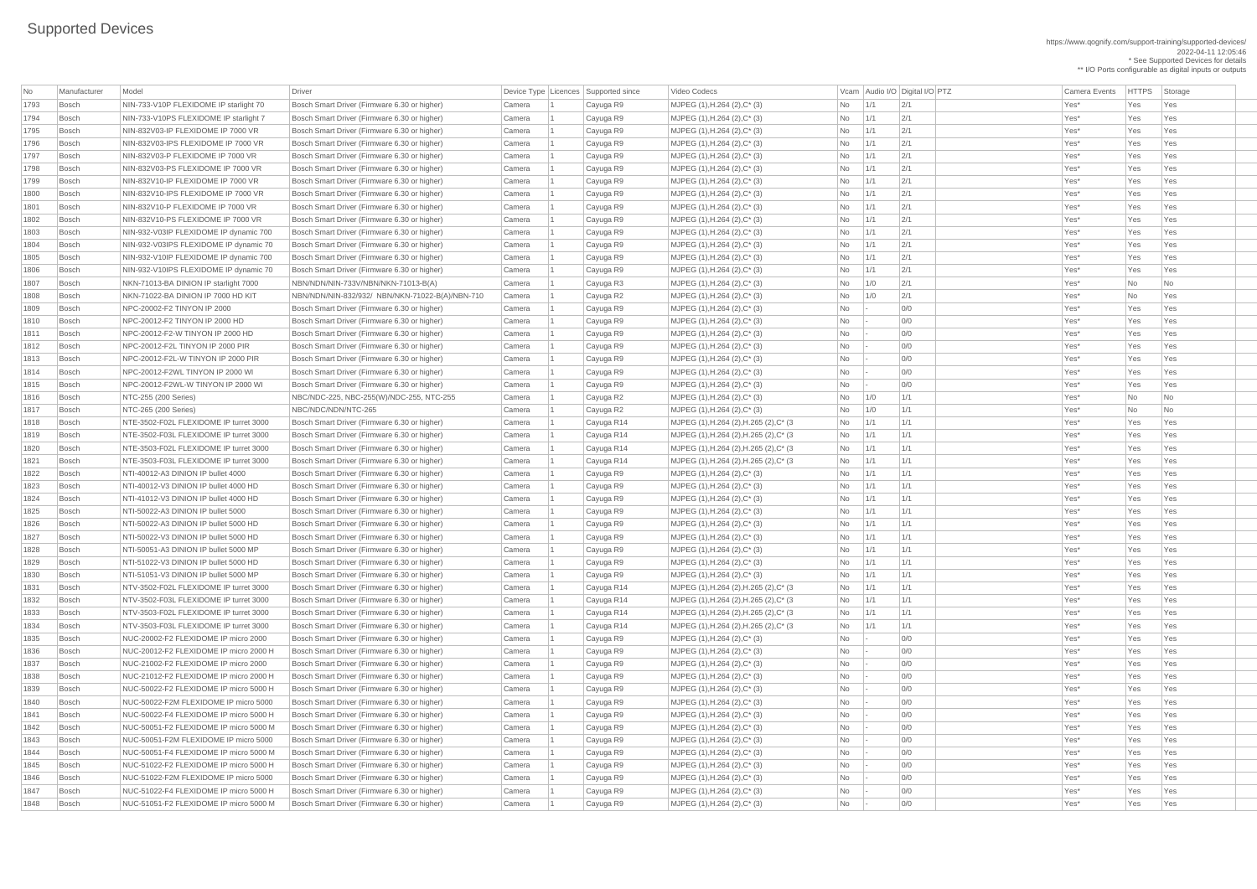https://www.qognify.com/support-training/supported-devices/ 2022-04-11 12:05:46 \* See Supported Devices for details

\*\* I/O Ports configurable as digital inputs or outputs

| <b>No</b> | Manufacturer | Model                                  | <b>Driver</b>                                   |        | Device Type   Licences   Supported since | Video Codecs                            |           |     | Vcam Audio I/O Digital I/O PTZ | <b>Camera Events</b> | <b>HTTPS</b> | Storage                  |
|-----------|--------------|----------------------------------------|-------------------------------------------------|--------|------------------------------------------|-----------------------------------------|-----------|-----|--------------------------------|----------------------|--------------|--------------------------|
| 1793      | Bosch        | NIN-733-V10P FLEXIDOME IP starlight 70 | Bosch Smart Driver (Firmware 6.30 or higher)    | Camera | Cayuga R9                                | $MJPEG (1), H.264 (2), C^* (3)$         | <b>No</b> | 1/1 | 2/1                            | Yes*                 | Yes          | Yes                      |
| 1794      | Bosch        | NIN-733-V10PS FLEXIDOME IP starlight 7 | Bosch Smart Driver (Firmware 6.30 or higher)    | Camera | Cayuga R9                                | MJPEG (1), H.264 (2), C* (3)            | <b>No</b> | 1/1 | 2/1                            | Yes*                 | Yes          | Yes                      |
| 1795      | Bosch        | NIN-832V03-IP FLEXIDOME IP 7000 VR     | Bosch Smart Driver (Firmware 6.30 or higher)    | Camera | Cayuga R9                                | MJPEG (1), H.264 (2), C* (3)            | <b>No</b> | 1/1 | 2/1                            | Yes*                 | Yes          | Yes                      |
| 1796      | Bosch        | NIN-832V03-IPS FLEXIDOME IP 7000 VR    | Bosch Smart Driver (Firmware 6.30 or higher)    | Camera | Cayuga R9                                | MJPEG (1), H.264 (2), C* (3)            | <b>No</b> | 1/1 | 2/1                            | Yes*                 | Yes          | Yes                      |
| 1797      | Bosch        | NIN-832V03-P FLEXIDOME IP 7000 VR      | Bosch Smart Driver (Firmware 6.30 or higher)    | Camera | Cayuga R9                                | MJPEG (1), H.264 (2), C* (3)            | <b>No</b> | 1/1 | 2/1                            | Yes*                 | Yes          | Yes                      |
| 1798      | Bosch        | NIN-832V03-PS FLEXIDOME IP 7000 VR     | Bosch Smart Driver (Firmware 6.30 or higher)    | Camera | Cayuga R9                                | $MJPEG (1), H.264 (2), C^* (3)$         | No        | 1/1 | 2/1                            | Yes*                 | Yes          | Yes                      |
| 1799      | Bosch        | NIN-832V10-IP FLEXIDOME IP 7000 VR     | Bosch Smart Driver (Firmware 6.30 or higher)    | Camera | Cayuga R9                                | $MJPEG (1), H.264 (2), C^* (3)$         | No        | 1/1 | 2/1                            | Yes*                 | Yes          | Yes                      |
| 1800      | Bosch        | NIN-832V10-IPS FLEXIDOME IP 7000 VR    | Bosch Smart Driver (Firmware 6.30 or higher)    | Camera | Cayuga R9                                | MJPEG (1), H.264 (2), C* (3)            | <b>No</b> | 1/1 | 2/1                            | Yes*                 | Yes          | Yes                      |
| 1801      | Bosch        | NIN-832V10-P FLEXIDOME IP 7000 VR      | Bosch Smart Driver (Firmware 6.30 or higher)    | Camera | Cayuga R9                                | MJPEG (1), H.264 (2), C* (3)            | <b>No</b> | 1/1 | 2/1                            | Yes*                 | Yes          | Yes                      |
| 1802      | Bosch        | NIN-832V10-PS FLEXIDOME IP 7000 VR     | Bosch Smart Driver (Firmware 6.30 or higher)    | Camera | Cayuga R9                                | MJPEG (1), H.264 (2), C* (3)            | No        | 1/1 | 2/1                            | Yes*                 | Yes          | Yes                      |
| 1803      | Bosch        | NIN-932-V03IP FLEXIDOME IP dynamic 700 | Bosch Smart Driver (Firmware 6.30 or higher)    | Camera | Cayuga R9                                | MJPEG (1), H.264 (2), C* (3)            | <b>No</b> | 1/1 | 2/1                            | Yes*                 | Yes          | Yes                      |
| 1804      | Bosch        | NIN-932-V03IPS FLEXIDOME IP dynamic 70 | Bosch Smart Driver (Firmware 6.30 or higher)    | Camera | Cayuga R9                                | $MJPEG (1), H.264 (2), C^* (3)$         | No        | 1/1 | 2/1                            | Yes*                 | Yes          | Yes                      |
| 1805      | Bosch        | NIN-932-V10IP FLEXIDOME IP dynamic 700 | Bosch Smart Driver (Firmware 6.30 or higher)    | Camera | Cayuga R9                                | $MJPEG (1), H.264 (2), C^* (3)$         | No        | 1/1 | 2/1                            | Yes*                 | Yes          | Yes                      |
| 1806      | Bosch        | NIN-932-V10IPS FLEXIDOME IP dynamic 70 | Bosch Smart Driver (Firmware 6.30 or higher)    | Camera | Cayuga R9                                | MJPEG (1), H.264 (2), C* (3)            | No        | 1/1 | 2/1                            | Yes*                 | Yes          | Yes                      |
| 1807      | Bosch        | NKN-71013-BA DINION IP starlight 7000  | NBN/NDN/NIN-733V/NBN/NKN-71013-B(A)             | Camera | Cayuga R3                                | MJPEG (1), H.264 (2), C* (3)            | No.       | 1/0 | 2/1                            | Yes*                 | <b>No</b>    | No                       |
| 1808      | Bosch        | NKN-71022-BA DINION IP 7000 HD KIT     | NBN/NDN/NIN-832/932/ NBN/NKN-71022-B(A)/NBN-710 | Camera | Cayuga R2                                | MJPEG (1), H.264 (2), C* (3)            | <b>No</b> | 1/0 | 2/1                            | Yes*                 | <b>No</b>    | Yes                      |
| 1809      | Bosch        | NPC-20002-F2 TINYON IP 2000            | Bosch Smart Driver (Firmware 6.30 or higher)    | Camera | Cayuga R9                                | MJPEG (1), H.264 (2), C* (3)            | No        |     | 0/0                            | Yes*                 | Yes          | Yes                      |
| 1810      | Bosch        | NPC-20012-F2 TINYON IP 2000 HD         | Bosch Smart Driver (Firmware 6.30 or higher)    | Camera | Cayuga R9                                | $MJPEG (1), H.264 (2), C^* (3)$         | No        |     | 0/0                            | Yes*                 | Yes          | Yes                      |
| 1811      | Bosch        | NPC-20012-F2-W TINYON IP 2000 HD       | Bosch Smart Driver (Firmware 6.30 or higher)    | Camera | Cayuga R9                                | $MJPEG (1), H.264 (2), C^* (3)$         | <b>No</b> |     | 0/0                            | Yes*                 | Yes          | Yes                      |
| 1812      | Bosch        | NPC-20012-F2L TINYON IP 2000 PIR       | Bosch Smart Driver (Firmware 6.30 or higher)    | Camera | Cayuga R9                                | MJPEG (1), H.264 (2), C* (3)            | <b>No</b> |     | 0/0                            | Yes*                 | Yes          | Yes                      |
| 1813      | Bosch        | NPC-20012-F2L-W TINYON IP 2000 PIR     | Bosch Smart Driver (Firmware 6.30 or higher)    | Camera | Cayuga R9                                | MJPEG (1), H.264 (2), C* (3)            | No        |     | 0/0                            | Yes*                 | Yes          | Yes                      |
| 1814      | Bosch        | NPC-20012-F2WL TINYON IP 2000 WI       | Bosch Smart Driver (Firmware 6.30 or higher)    | Camera | Cayuga R9                                | MJPEG (1), H.264 (2), C* (3)            | <b>No</b> |     | 0/0                            | Yes*                 | Yes          | Yes                      |
| 1815      | Bosch        | NPC-20012-F2WL-W TINYON IP 2000 WI     | Bosch Smart Driver (Firmware 6.30 or higher)    | Camera | Cayuga R9                                | MJPEG (1), H.264 (2), C* (3)            | <b>No</b> |     | O/O                            | Yes*                 | Yes          | Yes                      |
| 1816      | Bosch        | NTC-255 (200 Series)                   | NBC/NDC-225, NBC-255(W)/NDC-255, NTC-255        | Camera | Cayuga R2                                | $MJPEG (1), H.264 (2), C^* (3)$         | No        | 1/0 | 1/1                            | Yes*                 | No           | $\overline{\mathsf{No}}$ |
| 1817      | Bosch        | NTC-265 (200 Series)                   | NBC/NDC/NDN/NTC-265                             | Camera | Cayuga R2                                | MJPEG (1), H.264 (2), C* (3)            | No        | 1/0 | 1/1                            | Yes*                 | <b>No</b>    | No                       |
| 1818      | Bosch        | NTE-3502-F02L FLEXIDOME IP turret 3000 | Bosch Smart Driver (Firmware 6.30 or higher)    | Camera | Cayuga R14                               | MJPEG (1), H.264 (2), H.265 (2), C* (3  | No.       | 1/1 | 1/1                            | Yes*                 | Yes          | Yes                      |
| 1819      | Bosch        | NTE-3502-F03L FLEXIDOME IP turret 3000 | Bosch Smart Driver (Firmware 6.30 or higher)    | Camera | Cayuga R14                               | MJPEG (1), H.264 (2), H.265 (2), C* (3  | No        | 1/1 | 1/1                            | Yes*                 | Yes          | Yes                      |
| 1820      | Bosch        | NTE-3503-F02L FLEXIDOME IP turret 3000 | Bosch Smart Driver (Firmware 6.30 or higher)    | Camera | Cayuga R14                               | MJPEG (1), H.264 (2), H.265 (2), C* (3  | No        | 1/1 | 1/1                            | Yes*                 | Yes          | Yes                      |
| 1821      | Bosch        | NTE-3503-F03L FLEXIDOME IP turret 3000 | Bosch Smart Driver (Firmware 6.30 or higher)    | Camera | Cayuga R14                               | MJPEG (1), H.264 (2), H.265 (2), C* (3  | No        | 1/1 | 1/1                            | Yes*                 | Yes          | Yes                      |
| 1822      | Bosch        | NTI-40012-A3 DINION IP bullet 4000     | Bosch Smart Driver (Firmware 6.30 or higher)    | Camera | Cayuga R9                                | MJPEG (1), H.264 (2), C* (3)            | No        | 1/1 | 1/1                            | Yes*                 | Yes          | Yes                      |
| 1823      | Bosch        | NTI-40012-V3 DINION IP bullet 4000 HD  | Bosch Smart Driver (Firmware 6.30 or higher)    | Camera | Cayuga R9                                | MJPEG (1), H.264 (2), C* (3)            | No        | 1/1 | 1/1                            | Yes*                 | Yes          | Yes                      |
| 1824      | Bosch        | NTI-41012-V3 DINION IP bullet 4000 HD  | Bosch Smart Driver (Firmware 6.30 or higher)    | Camera | Cayuga R9                                | MJPEG (1), H.264 (2), C* (3)            | <b>No</b> | 1/1 | 1/1                            | Yes*                 | Yes          | Yes                      |
| 1825      | Bosch        | NTI-50022-A3 DINION IP bullet 5000     | Bosch Smart Driver (Firmware 6.30 or higher)    | Camera | Cayuga R9                                | MJPEG (1), H.264 (2), C* (3)            | No        | 1/1 | 1/1                            | Yes*                 | Yes          | Yes                      |
| 1826      | Bosch        | NTI-50022-A3 DINION IP bullet 5000 HD  | Bosch Smart Driver (Firmware 6.30 or higher)    | Camera | Cayuga R9                                | MJPEG (1), H.264 (2), C* (3)            | No        | 1/1 | 1/1                            | Yes*                 | Yes          | Yes                      |
| 1827      | Bosch        | NTI-50022-V3 DINION IP bullet 5000 HD  | Bosch Smart Driver (Firmware 6.30 or higher)    | Camera | Cayuga R9                                | MJPEG (1), H.264 (2), C* (3)            | <b>No</b> | 1/1 | 1/1                            | Yes*                 | Yes          | Yes                      |
| 1828      | Bosch        | NTI-50051-A3 DINION IP bullet 5000 MP  | Bosch Smart Driver (Firmware 6.30 or higher)    | Camera | Cayuga R9                                | $MJPEG (1), H.264 (2), C^* (3)$         | No        | 1/1 | 1/1                            | Yes*                 | Yes          | Yes                      |
| 1829      | Bosch        | NTI-51022-V3 DINION IP bullet 5000 HD  | Bosch Smart Driver (Firmware 6.30 or higher)    | Camera | Cayuga R9                                | MJPEG (1), H.264 (2), C* (3)            | No        | 1/1 | 1/1                            | Yes*                 | Yes          | Yes                      |
| 1830      | Bosch        | NTI-51051-V3 DINION IP bullet 5000 MP  | Bosch Smart Driver (Firmware 6.30 or higher)    | Camera | Cayuga R9                                | MJPEG (1), H.264 (2), C* (3)            | No        | 1/1 | 1/1                            | Yes*                 | Yes          | Yes                      |
| 1831      | Bosch        | NTV-3502-F02L FLEXIDOME IP turret 3000 | Bosch Smart Driver (Firmware 6.30 or higher)    | Camera | Cayuga R14                               | MJPEG (1), H.264 (2), H.265 (2), C* (3  | <b>No</b> | 1/1 | 1/1                            | Yes*                 | Yes          | Yes                      |
| 1832      | Bosch        | NTV-3502-F03L FLEXIDOME IP turret 3000 | Bosch Smart Driver (Firmware 6.30 or higher)    | Camera | Cayuga R14                               | MJPEG (1), H.264 (2), H.265 (2), C* (3  | No        | 1/1 | 1/1                            | Yes*                 | Yes          | Yes                      |
| 1833      | Bosch        | NTV-3503-F02L FLEXIDOME IP turret 3000 | Bosch Smart Driver (Firmware 6.30 or higher)    | Camera | Cayuga R14                               | MJPEG (1), H.264 (2), H.265 (2), C* (3  | No        | 1/1 | 1/1                            | Yes*                 | Yes          | Yes                      |
| 1834      | Bosch        | NTV-3503-F03L FLEXIDOME IP turret 3000 | Bosch Smart Driver (Firmware 6.30 or higher)    | Camera | Cayuga R14                               | MJPEG (1), H.264 (2), H.265 (2), C* (3  | No        | 1/1 | 1/1                            | Yes*                 | Yes          | Yes                      |
| 1835      | Bosch        | NUC-20002-F2 FLEXIDOME IP micro 2000   | Bosch Smart Driver (Firmware 6.30 or higher)    | Camera | Cayuga R9                                | MJPEG (1), H.264 (2), C* (3)            | No        |     | 0/0                            | Yes*                 | Yes          | Yes                      |
| 1836      | Bosch        | NUC-20012-F2 FLEXIDOME IP micro 2000 H | Bosch Smart Driver (Firmware 6.30 or higher)    | Camera | Cayuga R9                                | MJPEG (1), H.264 (2), C* (3)            | No        |     | 0/0                            | Yes*                 | Yes          | Yes                      |
| 1837      | Bosch        | NUC-21002-F2 FLEXIDOME IP micro 2000   | Bosch Smart Driver (Firmware 6.30 or higher)    | Camera | Cayuga R9                                | MJPEG (1), H.264 (2), C* (3)            | <b>No</b> |     | 0/0                            | Yes*                 | Yes          | Yes                      |
| 1838      | Bosch        | NUC-21012-F2 FLEXIDOME IP micro 2000 H | Bosch Smart Driver (Firmware 6.30 or higher)    | Camera | Cayuga R9                                | MJPEG (1), H.264 (2), C* (3)            | No        |     | 0/0                            | Yes*                 | Yes          | Yes                      |
| 1839      | Bosch        | NUC-50022-F2 FLEXIDOME IP micro 5000 H | Bosch Smart Driver (Firmware 6.30 or higher)    | Camera | Cayuga R9                                | MJPEG (1), H.264 (2), C* (3)            | No        |     | 0/0                            | Yes*                 | Yes          | Yes                      |
| 1840      | Bosch        | NUC-50022-F2M FLEXIDOME IP micro 5000  | Bosch Smart Driver (Firmware 6.30 or higher)    | Camera | Cayuga R9                                | MJPEG (1), H.264 (2), C* (3)            | No        |     | 0/0                            | Yes*                 | Yes          | Yes                      |
| 1841      | Bosch        | NUC-50022-F4 FLEXIDOME IP micro 5000 H | Bosch Smart Driver (Firmware 6.30 or higher)    | Camera | Cayuga R9                                | MJPEG (1), H.264 (2), C* (3)            | No        |     | 0/0                            | Yes*                 | Yes          | Yes                      |
| 1842      | Bosch        | NUC-50051-F2 FLEXIDOME IP micro 5000 M | Bosch Smart Driver (Firmware 6.30 or higher)    | Camera | Cayuga R9                                | MJPEG (1), H.264 (2), C* (3)            | No        |     | 0/0                            | Yes*                 | Yes          | Yes                      |
| 1843      | Bosch        | NUC-50051-F2M FLEXIDOME IP micro 5000  | Bosch Smart Driver (Firmware 6.30 or higher)    | Camera | Cayuga R9                                | MJPEG (1), H.264 (2), C* (3)            | No        |     | 0/0                            | Yes*                 | Yes          | Yes                      |
| 1844      | Bosch        | NUC-50051-F4 FLEXIDOME IP micro 5000 M | Bosch Smart Driver (Firmware 6.30 or higher)    | Camera | Cayuga R9                                | MJPEG (1), H.264 (2), C* (3)            | No        |     | 0/0                            | Yes*                 | Yes          | Yes                      |
| 1845      | Bosch        | NUC-51022-F2 FLEXIDOME IP micro 5000 H | Bosch Smart Driver (Firmware 6.30 or higher)    | Camera | Cayuga R9                                | MJPEG (1), H.264 (2), C* (3)            | No        |     | 0/0                            | Yes*                 | Yes          | Yes                      |
| 1846      | Bosch        | NUC-51022-F2M FLEXIDOME IP micro 5000  | Bosch Smart Driver (Firmware 6.30 or higher)    | Camera | Cayuga R9                                | $MJPEG (1), H.264 (2), C^* (3)$         | No        |     | 0/0                            | Yes*                 | Yes          | Yes                      |
| 1847      | Bosch        | NUC-51022-F4 FLEXIDOME IP micro 5000 H | Bosch Smart Driver (Firmware 6.30 or higher)    | Camera | Cayuga R9                                | MJPEG $(1)$ , H.264 $(2)$ , C $*$ $(3)$ | No        |     | 0/0                            | Yes*                 | Yes          | Yes                      |
| 1848      | Bosch        | NUC-51051-F2 FLEXIDOME IP micro 5000 M | Bosch Smart Driver (Firmware 6.30 or higher)    | Camera | Cayuga R9                                | MJPEG $(1)$ , H.264 $(2)$ , C* $(3)$    | No        |     | 0/0                            | Yes*                 | Yes          | Yes                      |

 Bosch NTE-3502-F02L FLEXIDOME IP turret 3000 Bosch Smart Driver (Firmware 6.30 or higher) Camera 1 Cayuga R14 MJPEG (1),H.264 (2),H.265 (2),C\* (3 No 1/1 1/1 Yes\* Yes Yes Bosch NTE-3502-F03L FLEXIDOME IP turret 3000 Bosch Smart Driver (Firmware 6.30 or higher) Camera 1 Cayuga R14 MJPEG (1),H.264 (2),H.265 (2),C\* (3 No 1/1 1/1 Yes\* Yes Yes Bosch NTE-3503-F02L FLEXIDOME IP turret 3000 Bosch Smart Driver (Firmware 6.30 or higher) Camera 1 Cayuga R14 MJPEG (1),H.264 (2),H.265 (2),C\* (3 No 1/1 1/1 Yes\* Yes Yes Bosch NTE-3503-F03L FLEXIDOME IP turret 3000 Bosch Smart Driver (Firmware 6.30 or higher) Camera 1 Cayuga R14 MJPEG (1),H.264 (2),H.265 (2),C\* (3 No 1/1 1/1 Yes\* Yes Yes Bosch NTV-3502-F02L FLEXIDOME IP turret 3000 Bosch Smart Driver (Firmware 6.30 or higher) Camera 1 Cayuga R14 MJPEG (1),H.264 (2),H.265 (2),C\* (3 No 1/1 1/1 Yes\* Yes Yes Bosch NTV-3502-F03L FLEXIDOME IP turret 3000 Bosch Smart Driver (Firmware 6.30 or higher) Camera 1 Cayuga R14 MJPEG (1),H.264 (2),H.265 (2),C\* (3 No 1/1 1/1 Yes\* Yes Yes Bosch NTV-3503-F02L FLEXIDOME IP turret 3000 Bosch Smart Driver (Firmware 6.30 or higher) Camera 1 Cayuga R14 MJPEG (1),H.264 (2),H.265 (2),C\* (3 No 1/1 1/1 Yes\* Yes Yes Bosch NTV-3503-F03L FLEXIDOME IP turret 3000 Bosch Smart Driver (Firmware 6.30 or higher) Camera 1 Cayuga R14 MJPEG (1),H.264 (2),H.265 (2),C\* (3 No 1/1 1/1 Yes\* Yes Yes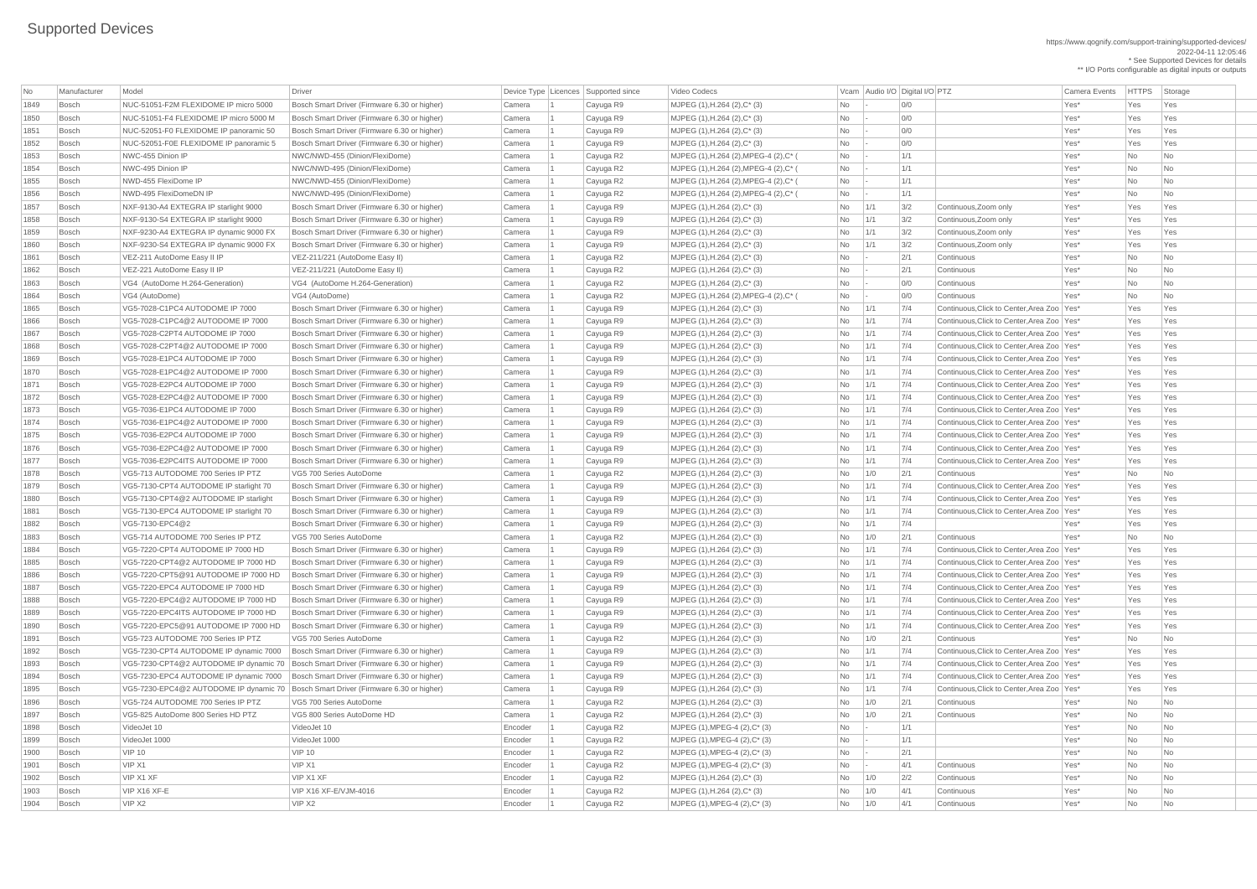https://www.qognify.com/support-training/supported-devices/ 2022-04-11 12:05:46 \* See Supported Devices for details \*\* I/O Ports configurable as digital inputs or outputs

MJPEG (1),H.264 (2),MPEG-4 (2),C\* ( No  $\vert$  - 1/1 | No | Yes\* No No No MJPEG (1),H.264 (2),MPEG-4 (2),C\* ( No  $\vert$ - 1/1 | Yes\* No No No Bosch NWD-495 FlexiDomeDN IP NWC/NWD-495 (Dinion/FlexiDome) Camera 1 Cayuga R2 MJPEG (1),H.264 (2),MPEG-4 (2),C\* ( No - 1/1 Yes\* No No 1864 Bosch VG4 (Auto-Dome) VG4 (Auto-Dome) VG4 (Auto-Dome) VG4 (Auto-Dome) VG4 (Auto-Dome) No No No No No No No MJPEG  $(1)$ ,H.264  $(2)$ ,C<sup>\*</sup>  $(3)$  No  $\vert$  1/1  $\vert$  7/4 Continuous,Click to Center,Area Zoo Yes\* Yes Yes Yes MJPEG (1),H.264 (2),C\* (3)  $\vert$  Mo  $\vert$  1/1  $\vert$  7/4  $\vert$  Continuous,Click to Center,Area Zoo Yes\* Yes Yes Yes MJPEG  $(1)$ ,H.264  $(2)$ ,C<sup>\*</sup>  $(3)$  No  $\vert$  1/1  $\vert$  7/4 Continuous,Click to Center,Area Zoo Yes\* Yes Yes Yes MJPEG (1),H.264 (2),C<sup>\*</sup> (3)  $\vert$  No  $\vert$  1/1  $\vert$  7/4  $\vert$  Continuous,Click to Center,Area Zoo Yes\* Yes Yes Yes Bosch VG5-7028-E1PC4 AUTODOME IP 7000 Bosch Smart Driver (Firmware 6.30 or higher) Camera 1 Cayuga R9 MJPEG (1),H.264 (2),C\* (3) No 1/1 7/4 Continuous,Click to Center,Area Zoo Yes\* Yes Yes Bosch VG5-7028-E1PC4@2 AUTODOME IP 7000 Bosch Smart Driver (Firmware 6.30 or higher) Camera 1 Cayuga R9 MJPEG (1),H.264 (2),C\* (3) No 1/1 7/4 Continuous,Click to Center,Area Zoo Yes\* Yes Yes MJPEG (1),H.264 (2),C\* (3)  $\vert$  Mo  $\vert$  1/1  $\vert$  7/4  $\vert$  Continuous,Click to Center,Area Zoo Yes\* Yes Yes Yes Bosch VG5-7028-E2PC4@2 AUTODOME IP 7000 Bosch Smart Driver (Firmware 6.30 or higher) Camera 1 Cayuga R9 MJPEG (1),H.264 (2),C\* (3) No 1/1 7/4 Continuous,Click to Center,Area Zoo Yes\* Yes Yes Bosch VG5-7036-E1PC4 AUTODOME IP 7000 Bosch Smart Driver (Firmware 6.30 or higher) Camera 1 Cayuga R9 MJPEG (1),H.264 (2),C\* (3) No 1/1 7/4 Continuous,Click to Center,Area Zoo Yes\* Yes Yes Bosch VG5-7036-E1PC4@2 AUTODOME IP 7000 Bosch Smart Driver (Firmware 6.30 or higher) Camera 1 Cayuga R9 MJPEG (1),H.264 (2),C\* (3) No 1/1 7/4 Continuous,Click to Center,Area Zoo Yes\* Yes Yes Bosch VG5-7036-E2PC4 AUTODOME IP 7000 Bosch Smart Driver (Firmware 6.30 or higher) Camera 1 Cayuga R9 MJPEG (1),H.264 (2),C\* (3) No 1/1 7/4 Continuous,Click to Center,Area Zoo Yes\* Yes Yes Bosch VG5-7036-E2PC4@2 AUTODOME IP 7000 Bosch Smart Driver (Firmware 6.30 or higher) Camera 1 Cayuga R9 MJPEG (1),H.264 (2),C\* (3) No 1/1 7/4 Continuous,Click to Center,Area Zoo Yes\* Yes Yes MJPEG (1),H.264 (2),C\* (3)  $\vert$  Mo  $\vert$  1/1  $\vert$  7/4  $\vert$  Continuous,Click to Center,Area Zoo Yes\* Yes Yes Yes Bosch VG5-7130-CPT4 AUTODOME IP starlight 70 Bosch Smart Driver (Firmware 6.30 or higher) Camera 1 Cayuga R9 MJPEG (1),H.264 (2),C\* (3) No 1/1 7/4 Continuous,Click to Center,Area Zoo Yes\* Yes Yes MJPEG (1),H.264 (2),C\* (3)  $\vert$  Mo  $\vert$  1/1  $\vert$  7/4  $\vert$  Continuous,Click to Center,Area Zoo Yes\* Yes Yes Yes Bosch VG5-7130-EPC4 AUTODOME IP starlight 70 Bosch Smart Driver (Firmware 6.30 or higher) Camera 1 Cayuga R9 MJPEG (1),H.264 (2),C\* (3) No 1/1 7/4 Continuous,Click to Center,Area Zoo Yes\* Yes Yes MJPEG  $(1)$ ,H.264  $(2)$ ,C<sup>\*</sup>  $(3)$   $\qquad \qquad$   $\qquad \qquad$  No  $\qquad$  1/1  $\qquad$  7/4 Continuous,Click to Center,Area Zoo Yes\* Yes Yes Yes Bosch VG5-7220-CPT4@2 AUTODOME IP 7000 HD Bosch Smart Driver (Firmware 6.30 or higher) Camera 1 Cayuga R9 MJPEG (1),H.264 (2),C\* (3) No 1/1 7/4 Continuous,Click to Center,Area Zoo Yes\* Yes Yes Bosch VG5-7220-CPT5@91 AUTODOME IP 7000 HD Bosch Smart Driver (Firmware 6.30 or higher) Camera 1 Cayuga R9 MJPEG (1),H.264 (2),C\* (3) No 1/1 7/4 Continuous,Click to Center,Area Zoo Yes\* Yes Yes Bosch VG5-7220-EPC4 AUTODOME IP 7000 HD Bosch Smart Driver (Firmware 6.30 or higher) Camera 1 Cayuga R9 MJPEG (1),H.264 (2),C\* (3) No 1/1 7/4 Continuous,Click to Center,Area Zoo Yes\* Yes Yes Bosch VG5-7220-EPC4@2 AUTODOME IP 7000 HD Bosch Smart Driver (Firmware 6.30 or higher) Camera 1 Cayuga R9 MJPEG (1),H.264 (2),C\* (3) No 1/1 7/4 Continuous,Click to Center,Area Zoo Yes\* Yes Yes Bosch VG5-7220-EPC4ITS AUTODOME IP 7000 HD Bosch Smart Driver (Firmware 6.30 or higher) Camera 1 Cayuga R9 MJPEG (1),H.264 (2),C\* (3) No 1/1 7/4 Continuous,Click to Center,Area Zoo Yes\* Yes Yes MJPEG (1),H.264 (2),C\* (3)  $\vert$  Mo  $\vert$  1/1  $\vert$  7/4  $\vert$  Continuous,Click to Center,Area Zoo Yes\* Yes Yes Yes Bosch VG5-7230-CPT4 AUTODOME IP dynamic 7000 Bosch Smart Driver (Firmware 6.30 or higher) Camera 1 Cayuga R9 MJPEG (1),H.264 (2),C\* (3) No 1/1 7/4 Continuous,Click to Center,Area Zoo Yes\* Yes Yes Bosch VG5-7230-CPT4@2 AUTODOME IP dynamic 70 Bosch Smart Driver (Firmware 6.30 or higher) Camera 1 Cayuga R9 MJPEG (1),H.264 (2),C\* (3) No 1/1 7/4 Continuous,Click to Center,Area Zoo Yes\* Yes Yes Bosch VG5-7230-EPC4 AUTODOME IP dynamic 7000 Bosch Smart Driver (Firmware 6.30 or higher) Camera 1 Cayuga R9 MJPEG (1),H.264 (2),C\* (3) No 1/1 7/4 Continuous,Click to Center,Area Zoo Yes\* Yes Yes Bosch VG5-7230-EPC4@2 AUTODOME IP dynamic 70 Bosch Smart Driver (Firmware 6.30 or higher) Camera 1 Cayuga R9 MJPEG (1),H.264 (2),C\* (3) No 1/1 7/4 Continuous,Click to Center,Area Zoo Yes\* Yes Yes

| No   | Manufacturer | Model                                  | <b>Driver</b>                                |         | Device Type   Licences   Supported since | Video Codecs                                      |           |                 | Vcam Audio I/O Digital I/O PTZ |                                              | <b>Camera Events</b> | <b>HTTPS</b> | Storage                     |
|------|--------------|----------------------------------------|----------------------------------------------|---------|------------------------------------------|---------------------------------------------------|-----------|-----------------|--------------------------------|----------------------------------------------|----------------------|--------------|-----------------------------|
| 1849 | Bosch        | NUC-51051-F2M FLEXIDOME IP micro 5000  | Bosch Smart Driver (Firmware 6.30 or higher) | Camera  | Cayuga R9                                | MJPEG (1), H.264 (2), C* (3)                      | <b>No</b> |                 | 0/0                            |                                              | Yes*                 | Yes          | Yes                         |
| 1850 | Bosch        | NUC-51051-F4 FLEXIDOME IP micro 5000 M | Bosch Smart Driver (Firmware 6.30 or higher) | Camera  | Cayuga R9                                | MJPEG (1), H.264 (2), C* (3)                      | <b>No</b> |                 | 0/0                            |                                              | Yes*                 | Yes          | Yes                         |
| 1851 | Bosch        | NUC-52051-F0 FLEXIDOME IP panoramic 50 | Bosch Smart Driver (Firmware 6.30 or higher) | Camera  | Cayuga R9                                | MJPEG (1), H.264 (2), C* (3)                      | No        |                 | 0/0                            |                                              | Yes*                 | Yes          | Yes                         |
| 1852 | Bosch        | NUC-52051-F0E FLEXIDOME IP panoramic 5 | Bosch Smart Driver (Firmware 6.30 or higher) | Camera  | Cayuga R9                                | MJPEG (1), H.264 (2), C* (3)                      | <b>No</b> |                 | 0/0                            |                                              | Yes*                 | Yes          | Yes                         |
| 1853 | Bosch        | NWC-455 Dinion IP                      | NWC/NWD-455 (Dinion/FlexiDome)               | Camera  | Cayuga R2                                | MJPEG (1), H.264 (2), MPEG-4 (2), C* (            | No        | $\sim$          | 1/1                            |                                              | Yes*                 | No           | $\overline{\mathsf{No}}$    |
| 1854 | Bosch        | NWC-495 Dinion IP                      | NWC/NWD-495 (Dinion/FlexiDome)               | Camera  | Cayuga R2                                | MJPEG (1), H.264 (2), MPEG-4 (2), C* (            | No        | $\sim$          | 1/1                            |                                              | Yes*                 | <b>No</b>    | No                          |
| 1855 | Bosch        | NWD-455 FlexiDome IP                   | NWC/NWD-455 (Dinion/FlexiDome)               | Camera  | Cayuga R2                                | MJPEG (1), H.264 (2), MPEG-4 (2), C* (            | No        | $\sim$          | 1/1                            |                                              | Yes*                 | <b>No</b>    | No                          |
| 1856 | Bosch        | NWD-495 FlexiDomeDN IP                 | NWC/NWD-495 (Dinion/FlexiDome)               | Camera  | Cayuga R2                                | MJPEG (1), H.264 (2), MPEG-4 (2), C* (            | No        | $\sim$          | 1/1                            |                                              | Yes*                 | <b>No</b>    | No                          |
| 1857 | Bosch        | NXF-9130-A4 EXTEGRA IP starlight 9000  | Bosch Smart Driver (Firmware 6.30 or higher) | Camera  | Cayuga R9                                | MJPEG (1), H.264 (2), C* (3)                      | No        | 1/1             | 3/2                            | Continuous, Zoom only                        | Yes*                 | Yes          | Yes                         |
| 1858 | Bosch        | NXF-9130-S4 EXTEGRA IP starlight 9000  | Bosch Smart Driver (Firmware 6.30 or higher) | Camera  | Cayuga R9                                | MJPEG (1), H.264 (2), C* (3)                      | No l      | 1/1             | 3/2                            | Continuous, Zoom only                        | Yes*                 | Yes          | Yes                         |
| 1859 | Bosch        | NXF-9230-A4 EXTEGRA IP dynamic 9000 F) | Bosch Smart Driver (Firmware 6.30 or higher) | Camera  | Cayuga R9                                | MJPEG (1), H.264 (2), C* (3)                      | <b>No</b> | 1/1             | 3/2                            | Continuous, Zoom only                        | Yes*                 | Yes          | Yes                         |
| 1860 | Bosch        | NXF-9230-S4 EXTEGRA IP dynamic 9000 FX | Bosch Smart Driver (Firmware 6.30 or higher) | Camera  | Cayuga R9                                | MJPEG (1), H.264 (2), C* (3)                      | No        | 1/1             | 3/2                            | Continuous, Zoom only                        | Yes*                 | Yes          | Yes                         |
| 1861 | Bosch        | VEZ-211 AutoDome Easy II IP            | VEZ-211/221 (AutoDome Easy II)               | Camera  | Cayuga R2                                | MJPEG (1), H.264 (2), C* (3)                      | No        | $\sim$          | 2/1                            | Continuous                                   | Yes*                 | <b>No</b>    | No                          |
| 1862 | Bosch        | VEZ-221 AutoDome Easy II IP            | VEZ-211/221 (AutoDome Easy II)               | Camera  | Cayuga R2                                | MJPEG (1), H.264 (2), C* (3)                      | <b>No</b> |                 | 2/1                            | Continuous                                   | Yes*                 | <b>No</b>    | No                          |
| 1863 | Bosch        | VG4 (AutoDome H.264-Generation)        | VG4 (AutoDome H.264-Generation)              | Camera  | Cayuga R2                                | MJPEG (1), H.264 (2), C* (3)                      | No        |                 | 0/0                            | Continuous                                   | Yes*                 | <b>No</b>    | No                          |
| 1864 | Bosch        | VG4 (AutoDome)                         | VG4 (AutoDome)                               | Camera  | Cayuga R2                                | MJPEG (1), H.264 (2), MPEG-4 (2), C* (            | No        | $\vert - \vert$ | 0/0                            | Continuous                                   | Yes*                 | <b>No</b>    | No                          |
| 1865 | Bosch        | VG5-7028-C1PC4 AUTODOME IP 7000        | Bosch Smart Driver (Firmware 6.30 or higher) | Camera  | Cayuga R9                                | MJPEG (1), H.264 (2), C* (3)                      | No        | 1/1             | 7/4                            | Continuous, Click to Center, Area Zoo   Yes* |                      | Yes          | Yes                         |
| 1866 | Bosch        | VG5-7028-C1PC4@2 AUTODOME IP 7000      | Bosch Smart Driver (Firmware 6.30 or higher) | Camera  | Cayuga R9                                | MJPEG (1), H.264 (2), C* (3)                      | No l      | 1/1             | 7/4                            | Continuous, Click to Center, Area Zoo   Yes* |                      | Yes          | Yes                         |
| 1867 | Bosch        | VG5-7028-C2PT4 AUTODOME IP 7000        | Bosch Smart Driver (Firmware 6.30 or higher) | Camera  | Cayuga R9                                | MJPEG (1), H.264 (2), C* (3)                      | No.       | 1/1             | 7/4                            | Continuous, Click to Center, Area Zoo   Yes* |                      | Yes          | Yes                         |
| 1868 | Bosch        | VG5-7028-C2PT4@2 AUTODOME IP 7000      | Bosch Smart Driver (Firmware 6.30 or higher) | Camera  | Cayuga R9                                | MJPEG (1), H.264 (2), C* (3)                      | <b>No</b> | 1/1             | 7/4                            | Continuous, Click to Center, Area Zoo   Yes* |                      | Yes          | Yes                         |
| 1869 | Bosch        | VG5-7028-E1PC4 AUTODOME IP 7000        | Bosch Smart Driver (Firmware 6.30 or higher) | Camera  | Cayuga R9                                | MJPEG (1), H.264 (2), C* (3)                      | No        | 1/1             | 7/4                            | Continuous, Click to Center, Area Zoo   Yes* |                      | Yes          | Yes                         |
| 1870 | Bosch        | VG5-7028-E1PC4@2 AUTODOME IP 7000      | Bosch Smart Driver (Firmware 6.30 or higher) | Camera  | Cayuga R9                                | MJPEG (1), H.264 (2), C* (3)                      | No l      | 1/1             | 7/4                            | Continuous, Click to Center, Area Zoo   Yes* |                      | Yes          | Yes                         |
| 1871 | Bosch        | VG5-7028-E2PC4 AUTODOME IP 7000        | Bosch Smart Driver (Firmware 6.30 or higher) | Camera  | Cayuga R9                                | MJPEG (1), H.264 (2), C* (3)                      | No.       | 1/1             | 7/4                            | Continuous, Click to Center, Area Zoo   Yes* |                      | Yes          | Yes                         |
| 1872 | Bosch        | VG5-7028-E2PC4@2 AUTODOME IP 7000      | Bosch Smart Driver (Firmware 6.30 or higher) | Camera  | Cayuga R9                                | MJPEG (1), H.264 (2), C* (3)                      | No.       | $\vert$ 1/1     | 7/4                            | Continuous, Click to Center, Area Zoo   Yes* |                      | Yes          | Yes                         |
| 1873 |              | VG5-7036-E1PC4 AUTODOME IP 7000        | Bosch Smart Driver (Firmware 6.30 or higher) | Camera  |                                          | MJPEG (1), H.264 (2), C* (3)                      |           |                 | 7/4                            | Continuous, Click to Center, Area Zoo   Yes* |                      | Yes          | Yes                         |
|      | Bosch        |                                        |                                              |         | Cayuga R9                                |                                                   | No        | $\vert$ 1/1     |                                | Continuous, Click to Center, Area Zoo   Yes* |                      |              |                             |
| 1874 | Bosch        | VG5-7036-E1PC4@2 AUTODOME IP 7000      | Bosch Smart Driver (Firmware 6.30 or higher) | Camera  | Cayuga R9                                | MJPEG (1), H.264 (2), C* (3)                      | No.       | $\vert$ 1/1     | 7/4                            |                                              |                      | Yes<br>Yes   | Yes                         |
| 1875 | Bosch        | VG5-7036-E2PC4 AUTODOME IP 7000        | Bosch Smart Driver (Firmware 6.30 or higher) | Camera  | Cayuga R9                                | MJPEG (1), H.264 (2), C* (3)                      | No        | 1/1             | 7/4                            | Continuous, Click to Center, Area Zoo   Yes* |                      |              | Yes                         |
| 1876 | Bosch        | VG5-7036-E2PC4@2 AUTODOME IP 7000      | Bosch Smart Driver (Firmware 6.30 or higher) | Camera  | Cayuga R9                                | MJPEG (1), H.264 (2), C* (3)                      | No        | 1/1             | 7/4                            | Continuous, Click to Center, Area Zoo   Yes* |                      | Yes          | Yes                         |
| 1877 | Bosch        | VG5-7036-E2PC4ITS AUTODOME IP 7000     | Bosch Smart Driver (Firmware 6.30 or higher) | Camera  | Cayuga R9                                | MJPEG (1), H.264 (2), C* (3)                      | No        | 1/1             | 7/4                            | Continuous, Click to Center, Area Zoo   Yes* |                      | Yes          | Yes                         |
| 1878 | Bosch        | VG5-713 AUTODOME 700 Series IP PTZ     | VG5 700 Series AutoDome                      | Camera  | Cayuga R2                                | MJPEG (1), H.264 (2), C* (3)                      | No.       | 1/0             | 2/1                            | Continuous                                   | Yes*                 | <b>No</b>    | No                          |
| 1879 | Bosch        | VG5-7130-CPT4 AUTODOME IP starlight 70 | Bosch Smart Driver (Firmware 6.30 or higher) | Camera  | Cayuga R9                                | MJPEG (1), H.264 (2), C* (3)                      | No        | 1/1             | 7/4                            | Continuous, Click to Center, Area Zoo   Yes* |                      | Yes          | Yes                         |
| 1880 | Bosch        | VG5-7130-CPT4@2 AUTODOME IP starlight  | Bosch Smart Driver (Firmware 6.30 or higher) | Camera  | Cayuga R9                                | MJPEG (1), H.264 (2), C* (3)                      | <b>No</b> | 1/1             | 7/4                            | Continuous, Click to Center, Area Zoo   Yes* |                      | Yes          | Yes                         |
| 1881 | Bosch        | VG5-7130-EPC4 AUTODOME IP starlight 70 | Bosch Smart Driver (Firmware 6.30 or higher) | Camera  | Cayuga R9                                | MJPEG (1), H.264 (2), C* (3)                      | No        | 1/1             | 7/4                            | Continuous, Click to Center, Area Zoo   Yes* |                      | Yes          | Yes                         |
| 1882 | Bosch        | VG5-7130-EPC4@2                        | Bosch Smart Driver (Firmware 6.30 or higher) | Camera  | Cayuga R9                                | MJPEG (1), H.264 (2), C* (3)                      | No        | 1/1             | 7/4                            |                                              | Yes*                 | Yes          | Yes                         |
| 1883 | Bosch        | VG5-714 AUTODOME 700 Series IP PTZ     | VG5 700 Series AutoDome                      | Camera  | Cayuga R2                                | MJPEG (1), H.264 (2), C* (3)                      | No        | 1/0             | 2/1                            | Continuous                                   | Yes*                 | No           | $\overline{\mathsf{No}}$    |
| 1884 | Bosch        | VG5-7220-CPT4 AUTODOME IP 7000 HD      | Bosch Smart Driver (Firmware 6.30 or higher) | Camera  | Cayuga R9                                | MJPEG (1), H.264 (2), C* (3)                      | No        | 1/1             | 7/4                            | Continuous, Click to Center, Area Zoo   Yes* |                      | Yes          | Yes                         |
| 1885 | Bosch        | VG5-7220-CPT4@2 AUTODOME IP 7000 HD    | Bosch Smart Driver (Firmware 6.30 or higher) | Camera  | Cayuga R9                                | MJPEG (1), H.264 (2), C* (3)                      | No        | 1/1             | 7/4                            | Continuous, Click to Center, Area Zoo   Yes* |                      | Yes          | Yes                         |
| 1886 | Bosch        | VG5-7220-CPT5@91 AUTODOME IP 7000 HD   | Bosch Smart Driver (Firmware 6.30 or higher) | Camera  | Cayuga R9                                | MJPEG (1), H.264 (2), C* (3)                      | No.       | 1/1             | 7/4                            | Continuous, Click to Center, Area Zoo   Yes* |                      | Yes          | Yes                         |
| 1887 | Bosch        | VG5-7220-EPC4 AUTODOME IP 7000 HD      | Bosch Smart Driver (Firmware 6.30 or higher) | Camera  | Cayuga R9                                | MJPEG (1), H.264 (2), C* (3)                      | <b>No</b> | 1/1             | 7/4                            | Continuous, Click to Center, Area Zoo   Yes* |                      | Yes          | Yes                         |
| 1888 | Bosch        | VG5-7220-EPC4@2 AUTODOME IP 7000 HD    | Bosch Smart Driver (Firmware 6.30 or higher) | Camera  | Cayuga R9                                | MJPEG (1), H.264 (2), C* (3)                      | No        | 1/1             | 7/4                            | Continuous, Click to Center, Area Zoo   Yes* |                      | Yes          | Yes                         |
| 1889 | Bosch        | VG5-7220-EPC4ITS AUTODOME IP 7000 HD   | Bosch Smart Driver (Firmware 6.30 or higher) | Camera  | Cayuga R9                                | MJPEG (1), H.264 (2), C* (3)                      | No        | 1/1             | 7/4                            | Continuous, Click to Center, Area Zoo   Yes* |                      | Yes          | Yes                         |
| 1890 | Bosch        | VG5-7220-EPC5@91 AUTODOME IP 7000 HD   | Bosch Smart Driver (Firmware 6.30 or higher) | Camera  | Cayuga R9                                | MJPEG (1), H.264 (2), C* (3)                      | No        | 1/1             | 7/4                            | Continuous, Click to Center, Area Zoo   Yes* |                      | Yes          | Yes                         |
| 1891 | Bosch        | VG5-723 AUTODOME 700 Series IP PTZ     | VG5 700 Series AutoDome                      | Camera  | Cayuga R2                                | MJPEG (1), H.264 (2), C* (3)                      | No        | 1/0             | 2/1                            | Continuous                                   | Yes*                 | <b>No</b>    | No                          |
| 1892 | Bosch        | VG5-7230-CPT4 AUTODOME IP dynamic 7000 | Bosch Smart Driver (Firmware 6.30 or higher) | Camera  | Cayuga R9                                | MJPEG (1), H.264 (2), C* (3)                      | <b>No</b> | 1/1             | 7/4                            | Continuous, Click to Center, Area Zoo   Yes* |                      | Yes          | Yes                         |
| 1893 | Bosch        | VG5-7230-CPT4@2 AUTODOME IP dynamic 70 | Bosch Smart Driver (Firmware 6.30 or higher) | Camera  | Cayuga R9                                | MJPEG (1), H.264 (2), C* (3)                      | No.       | 1/1             | 7/4                            | Continuous, Click to Center, Area Zoo   Yes* |                      | Yes          | Yes                         |
| 1894 | Bosch        | VG5-7230-EPC4 AUTODOME IP dynamic 7000 | Bosch Smart Driver (Firmware 6.30 or higher) | Camera  | Cayuga R9                                | MJPEG (1), H.264 (2), C* (3)                      | No        | 1/1             | 7/4                            | Continuous, Click to Center, Area Zoo   Yes* |                      | Yes          | Yes                         |
| 1895 | Bosch        | VG5-7230-EPC4@2 AUTODOME IP dynamic 70 | Bosch Smart Driver (Firmware 6.30 or higher) | Camera  | Cayuga R9                                | MJPEG (1), H.264 (2), C* (3)                      | No        | 1/1             | 7/4                            | Continuous, Click to Center, Area Zoo   Yes* |                      | Yes          | Yes                         |
| 1896 | Bosch        | VG5-724 AUTODOME 700 Series IP PTZ     | VG5 700 Series AutoDome                      | Camera  | Cayuga R2                                | MJPEG (1), H.264 (2), C* (3)                      | No        | 1/0             | 2/1                            | Continuous                                   | Yes*                 | No           | No                          |
| 1897 | Bosch        | VG5-825 AutoDome 800 Series HD PTZ     | VG5 800 Series AutoDome HD                   | Camera  | Cayuga R2                                | MJPEG (1), H.264 (2), C* (3)                      | No        | 1/0             | 2/1                            | Continuous                                   | Yes*                 | <b>No</b>    | No                          |
| 1898 | Bosch        | VideoJet 10                            | VideoJet 10                                  | Encoder | Cayuga R2                                | MJPEG $(1)$ , MPEG-4 $(2)$ , C $*$ $(3)$          | <b>No</b> | $\vert - \vert$ | 1/1                            |                                              | Yes*                 | <b>No</b>    | No                          |
| 1899 | Bosch        | VideoJet 1000                          | VideoJet 1000                                | Encoder | Cayuga R2                                | MJPEG (1), MPEG-4 (2), C* (3)                     | No        |                 | 1/1                            |                                              | Yes*                 | No           | N <sub>o</sub>              |
| 1900 | Bosch        | <b>VIP 10</b>                          | <b>VIP 10</b>                                | Encoder | Cayuga R2                                | MJPEG (1), MPEG-4 (2), C* (3)                     | No        |                 | 2/1                            |                                              | Yes*                 | No           | No                          |
| 1901 | Bosch        | VIP X1                                 | VIP X1                                       | Encoder | Cayuga R2                                | MJPEG (1), MPEG-4 (2), C* (3)                     | No No     | $\sim$          | 4/1                            | Continuous                                   | Yes*                 | <b>No</b>    | $\overline{\mathsf{No}}$    |
| 1902 | Bosch        | VIP X1 XF                              | VIP X1 XF                                    | Encoder | Cayuga R2                                | $MJPEG (1), H.264 (2), C^*(3)$                    | No        | 1/0             | 2/2                            | Continuous                                   | Yes*                 | No           | No                          |
| 1903 | Bosch        | VIP X16 XF-E                           | VIP X16 XF-E/VJM-4016                        | Encoder | Cayuga R2                                | $MJPEG (1), H.264 (2), C^*(3)$                    | No        | 1/0             | 4/1                            | Continuous                                   | Yes*                 | No           | No                          |
| 1904 | Bosch        | VIPX2                                  | VIP X2                                       | Encoder | Cayuga R2                                | MJPEG $(1)$ , MPEG-4 $(2)$ , C <sup>*</sup> $(3)$ | No        | 1/0             | 4/1                            | Continuous                                   | Yes*                 | No           | $\overline{\phantom{a}}$ No |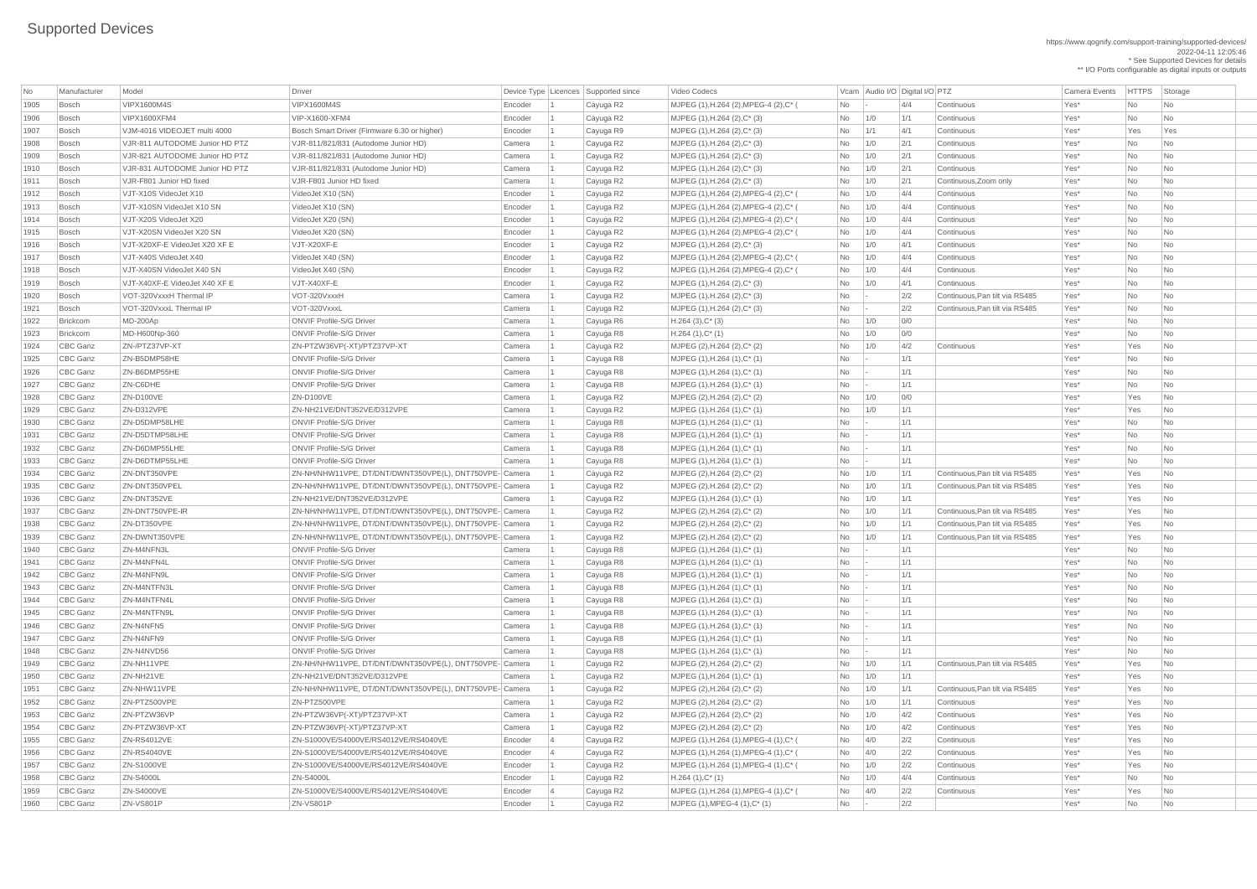https://www.qognify.com/support-training/supported-devices/ 2022-04-11 12:05:46 \* See Supported Devices for details \*\* I/O Ports configurable as digital inputs or outputs

| Video Codecs | No Manufacturer | No Manufacturer Model Driver Device Type Licence Camera Events | HTTPS | Storage | MJPEG (1),H.264 (2),MPEG-4 (2),C\* (  $\blacksquare$  No  $\blacksquare$  -  $\blacksquare$  4/4 Continuous Yes\* No No No No | MJPEG (1),H.264 (2),MPEG-4 (2),C\* (  $\blacksquare$  No  $\blacksquare$  1/0  $\blacksquare$  4/4  $\blacksquare$  Continuous  $\blacksquare$  Yes\*  $\blacksquare$  No  $\blacksquare$  No  $\blacksquare$  No | MJPEG (1),H.264 (2),MPEG-4 (2),C\* (  $\blacksquare$  No  $\blacksquare$  1/0  $\blacksquare$  4/4  $\blacksquare$  Continuous  $\blacksquare$  Yes\*  $\blacksquare$  No  $\blacksquare$  No  $\blacksquare$  No | MJPEG (1),H.264 (2),MPEG-4 (2),C\* (  $\blacksquare$  No  $\blacksquare$  1/0  $\blacksquare$  4/4  $\blacksquare$  Continuous  $\blacksquare$  Yes\*  $\blacksquare$  No  $\blacksquare$  No  $\blacksquare$  No | MJPEG (1),H.264 (2),MPEG-4 (2),C\* (  $\blacksquare$  No  $\blacksquare$  1/0  $\blacksquare$  4/4  $\blacksquare$  Continuous  $\blacksquare$  Yes\*  $\blacksquare$  No  $\blacksquare$  No  $\blacksquare$  No | MJPEG (1),H.264 (2),MPEG-4 (2),C\* (  $\blacksquare$  No  $\blacksquare$  1/0  $\blacksquare$  4/4  $\blacksquare$  Continuous  $\blacksquare$  Yes\*  $\blacksquare$  No  $\blacksquare$  No  $\blacksquare$  No | MJPEG (1),H.264 (2),MPEG-4 (2),C\* (  $\blacksquare$  No  $\blacksquare$  1/0  $\blacksquare$  4/4  $\blacksquare$  Continuous  $\blacksquare$  Yes\*  $\blacksquare$  No  $\blacksquare$  No  $\blacksquare$  No | MJPEG (1),H.264 (1),MPEG-4 (1),C\* ( No 4/0 2/2 Continuous Yes\* Yes No  $\vert$  MJPEG (1),H.264 (1),MPEG-4 (1),C\* (  $\vert$   $\vert$  No  $\vert$  4/0  $\vert$  2/2  $\vert$  Continuous  $\vert$  Yes\*  $\vert$  Yes  $\vert$  No  $\vert$ | MJPEG (1),H.264 (1),MPEG-4 (1),C\* (  $\blacksquare$  No  $\blacksquare$  1/0  $\blacksquare$  2/2  $\blacksquare$  Continuous Yes\* Yes No  $\blacksquare$ | MJPEG (1),H.264 (1),MPEG-4 (1),C\* (  $\qquad \qquad$  No  $\qquad$  4/0  $\qquad$  2/2 Continuous Yes\* Yes No

| No   | Manufacturer    | Model                          | Driver                                                  |         | Device Type Licences Supported since | Video Codecs                           |           |     | Vcam Audio I/O Digital I/O PTZ |                                | <b>Camera Events</b> | HTTPS Sto |                             |
|------|-----------------|--------------------------------|---------------------------------------------------------|---------|--------------------------------------|----------------------------------------|-----------|-----|--------------------------------|--------------------------------|----------------------|-----------|-----------------------------|
| 1905 | Bosch           | <b>VIPX1600M4S</b>             | <b>VIPX1600M4S</b>                                      | Encoder | Cayuga R2                            | MJPEG (1), H.264 (2), MPEG-4 (2), C* ( | No        |     | 4/4                            | Continuous                     | Yes*                 | No        | No                          |
| 1906 | Bosch           | <b>VIPX1600XFM4</b>            | VIP-X1600-XFM4                                          | Encoder | Cayuga R2                            | MJPEG (1), H.264 (2), C* (3)           | No        | 1/0 | 1/1                            | Continuous                     | Yes*                 | No        | N <sub>o</sub>              |
| 1907 | Bosch           | VJM-4016 VIDEOJET multi 4000   | Bosch Smart Driver (Firmware 6.30 or higher)            | Encoder | Cayuga R9                            | MJPEG (1), H.264 (2), C* (3)           | No        | 1/1 | 4/1                            | Continuous                     | Yes*                 | Yes       | Yes                         |
| 1908 | Bosch           | VJR-811 AUTODOME Junior HD PTZ | VJR-811/821/831 (Autodome Junior HD)                    | Camera  | Cayuga R2                            | MJPEG (1), H.264 (2), C* (3)           | No        | 1/0 | 2/1                            | Continuous                     | Yes*                 | No        | No                          |
| 1909 | <b>Bosch</b>    | VJR-821 AUTODOME Junior HD PTZ | VJR-811/821/831 (Autodome Junior HD)                    | Camera  | Cayuga R2                            | MJPEG (1), H.264 (2), C* (3)           | No        | 1/0 | 2/1                            | Continuous                     | Yes*                 | No        | No                          |
| 1910 | Bosch           | VJR-831 AUTODOME Junior HD PTZ | VJR-811/821/831 (Autodome Junior HD)                    | Camera  | Cayuga R2                            | MJPEG (1), H.264 (2), C* (3)           | No        | 1/0 | 2/1                            | Continuous                     | Yes*                 | No        | No                          |
| 1911 | Bosch           | VJR-F801 Junior HD fixed       | VJR-F801 Junior HD fixed                                | Camera  | Cayuga R2                            | MJPEG (1), H.264 (2), C* (3)           | No        | 1/0 | 2/1                            | Continuous, Zoom only          | Yes*                 | No        | No                          |
| 1912 | Bosch           | VJT-X10S VideoJet X10          | VideoJet X10 (SN)                                       | Encoder | Cayuga R2                            | MJPEG (1), H.264 (2), MPEG-4 (2), C* ( | No        | 1/0 | 4/4                            | Continuous                     | Yes*                 | No        | <b>No</b>                   |
| 1913 | Bosch           | VJT-X10SN VideoJet X10 SN      | VideoJet X10 (SN)                                       | Encoder |                                      | MJPEG (1), H.264 (2), MPEG-4 (2), C* ( | No        | 1/0 | 4/4                            | Continuous                     | Yes*                 | No        | No                          |
|      |                 |                                |                                                         |         | Cayuga R2                            |                                        |           |     |                                |                                |                      |           |                             |
| 1914 | Bosch           | VJT-X20S VideoJet X20          | VideoJet X20 (SN)                                       | Encoder | Cayuga R2                            | MJPEG (1), H.264 (2), MPEG-4 (2), C* ( | No        | 1/0 | 4/4                            | Continuous                     | Yes*                 | No        | No                          |
| 1915 | Bosch           | VJT-X20SN VideoJet X20 SN      | VideoJet X20 (SN)                                       | Encoder | Cayuga R2                            | MJPEG (1), H.264 (2), MPEG-4 (2), C* ( | No        | 1/0 | 4/4                            | Continuous                     | Yes*                 | No        | <b>No</b>                   |
| 1916 | Bosch           | VJT-X20XF-E VideoJet X20 XF E  | VJT-X20XF-E                                             | Encoder | Cayuga R2                            | MJPEG (1), H.264 (2), C* (3)           | No        | 1/0 | 4/1                            | Continuous                     | Yes*                 | No        | <b>No</b>                   |
| 1917 | Bosch           | VJT-X40S VideoJet X40          | VideoJet X40 (SN)                                       | Encoder | Cayuga R2                            | MJPEG (1), H.264 (2), MPEG-4 (2), C* ( | No        | 1/0 | 4/4                            | Continuous                     | Yes*                 | No        | No                          |
| 1918 | Bosch           | VJT-X40SN VideoJet X40 SN      | VideoJet X40 (SN)                                       | Encoder | Cayuga R2                            | MJPEG (1), H.264 (2), MPEG-4 (2), C* ( | <b>No</b> | 1/0 | 4/4                            | Continuous                     | Yes*                 | No        | <b>No</b>                   |
| 1919 | Bosch           | VJT-X40XF-E VideoJet X40 XF E  | VJT-X40XF-E                                             | Encoder | Cayuga R2                            | MJPEG (1), H.264 (2), C* (3)           | No        | 1/0 | 4/1                            | Continuous                     | Yes*                 | No        | No                          |
| 1920 | Bosch           | VOT-320VxxxH Thermal IP        | VOT-320VxxxH                                            | Camera  | Cayuga R2                            | MJPEG (1), H.264 (2), C* (3)           | No        |     | 2/2                            | Continuous, Pan tilt via RS485 | Yes*                 | No        | No                          |
| 1921 | Bosch           | VOT-320VxxxL Thermal IP        | VOT-320VxxxL                                            | Camera  | Cayuga R2                            | MJPEG (1), H.264 (2), C* (3)           | No        |     | 2/2                            | Continuous, Pan tilt via RS485 | Yes*                 | No        | <b>No</b>                   |
| 1922 | Brickcom        | MD-200Ap                       | <b>ONVIF Profile-S/G Driver</b>                         | Camera  | Cayuga R6                            | $H.264(3),C^*(3)$                      | No        | 1/0 | 0/0                            |                                | Yes*                 | No        | No                          |
| 1923 | Brickcom        | MD-H600Np-360                  | <b>ONVIF Profile-S/G Driver</b>                         | Camera  | Cayuga R8                            | $H.264(1),C^*(1)$                      | No        | 1/0 | 0/0                            |                                | Yes*                 | No        | N <sub>o</sub>              |
| 1924 | CBC Ganz        | ZN-/PTZ37VP-XT                 | ZN-PTZW36VP(-XT)/PTZ37VP-XT                             | Camera  | Cayuga R2                            | MJPEG (2), H.264 (2), C* (2)           | No        | 1/0 | 4/2                            | Continuous                     | Yes*                 | Yes       | N <sub>o</sub>              |
| 1925 | CBC Ganz        | ZN-B5DMP58HE                   | <b>ONVIF Profile-S/G Driver</b>                         | Camera  | Cayuga R8                            | MJPEG (1), H.264 (1), C* (1)           | No        |     | 1/1                            |                                | Yes*                 | No        | No                          |
| 1926 | CBC Ganz        | ZN-B6DMP55HE                   | <b>ONVIF Profile-S/G Driver</b>                         | Camera  | Cayuga R8                            | MJPEG (1), H.264 (1), C* (1)           | No        |     | 1/1                            |                                | Yes*                 | No        | No                          |
| 1927 | CBC Ganz        | ZN-C6DHE                       | <b>ONVIF Profile-S/G Driver</b>                         | Camera  | Cayuga R8                            | MJPEG (1), H.264 (1), C* (1)           | No        |     | 1/1                            |                                | Yes*                 | No        | <b>No</b>                   |
| 1928 | CBC Ganz        | ZN-D100VE                      | ZN-D100VE                                               | Camera  | Cayuga R2                            | MJPEG (2), H.264 (2), C* (2)           | No        | 1/0 | 0/0                            |                                | Yes*                 | Yes       | No                          |
| 1929 | CBC Ganz        | ZN-D312VPE                     | ZN-NH21VE/DNT352VE/D312VPE                              | Camera  | Cayuga R2                            | MJPEG (1), H.264 (1), C* (1)           | No        | 1/0 | 1/1                            |                                | Yes*                 | Yes       | No                          |
| 1930 | CBC Ganz        | ZN-D5DMP58LHE                  | <b>ONVIF Profile-S/G Driver</b>                         | Camera  | Cayuga R8                            | MJPEG (1), H.264 (1), C* (1)           | No        |     | 1/1                            |                                | Yes*                 | No.       | No                          |
| 1931 | CBC Ganz        | ZN-D5DTMP58LHE                 | <b>ONVIF Profile-S/G Driver</b>                         | Camera  | Cayuga R8                            | MJPEG (1), H.264 (1), C* (1)           | No        |     | 1/1                            |                                | Yes*                 | No        | No                          |
| 1932 | CBC Ganz        | ZN-D6DMP55LHE                  | <b>ONVIF Profile-S/G Driver</b>                         | Camera  | Cayuga R8                            | MJPEG (1), H.264 (1), C* (1)           | No        |     | 1/1                            |                                | Yes*                 | <b>No</b> | No                          |
| 1933 | CBC Ganz        | ZN-D6DTMP55LHE                 | <b>ONVIF Profile-S/G Driver</b>                         | Camera  | Cayuga R8                            | MJPEG (1), H.264 (1), C* (1)           | No        |     | 1/1                            |                                | Yes*                 | No        | No                          |
| 1934 | CBC Ganz        | ZN-DNT350VPE                   | ZN-NH/NHW11VPE, DT/DNT/DWNT350VPE(L), DNT750VPE- Camera |         | Cayuga R2                            | MJPEG (2), H.264 (2), C* (2)           | No        | 1/0 | 1/1                            | Continuous, Pan tilt via RS485 | Yes*                 | Yes       | No                          |
| 1935 | CBC Ganz        | ZN-DNT350VPEL                  | ZN-NH/NHW11VPE, DT/DNT/DWNT350VPE(L), DNT750VPE- Camera |         | Cayuga R2                            | MJPEG (2), H.264 (2), C* (2)           | No        | 1/0 | 1/1                            | Continuous, Pan tilt via RS485 | Yes*                 | Yes       | No                          |
| 1936 | CBC Ganz        | ZN-DNT352VE                    | ZN-NH21VE/DNT352VE/D312VPE                              | Camera  |                                      | MJPEG (1), H.264 (1), C* (1)           | No        | 1/0 | 1/1                            |                                | Yes*                 |           | No                          |
|      | CBC Ganz        | ZN-DNT750VPE-IR                |                                                         |         | Cayuga R2                            |                                        |           |     | 1/1                            | Continuous, Pan tilt via RS485 | Yes*                 | Yes       |                             |
| 1937 |                 |                                | ZN-NH/NHW11VPE, DT/DNT/DWNT350VPE(L), DNT750VPE- Camera |         | Cayuga R2                            | MJPEG (2), H.264 (2), C* (2)           | No        | 1/0 |                                |                                |                      | Yes       | No                          |
| 1938 | CBC Ganz        | ZN-DT350VPE                    | ZN-NH/NHW11VPE, DT/DNT/DWNT350VPE(L), DNT750VPE- Camera |         | Cayuga R2                            | MJPEG (2), H.264 (2), C* (2)           | No        | 1/0 | 1/1                            | Continuous, Pan tilt via RS485 | Yes*                 | Yes       | l No                        |
| 1939 | CBC Ganz        | ZN-DWNT350VPE                  | ZN-NH/NHW11VPE, DT/DNT/DWNT350VPE(L), DNT750VPE- Camera |         | Cayuga R2                            | MJPEG (2), H.264 (2), C* (2)           | No        | 1/0 | 1/1                            | Continuous, Pan tilt via RS485 | Yes*                 | Yes       | No                          |
| 1940 | CBC Ganz        | ZN-M4NFN3L                     | <b>ONVIF Profile-S/G Driver</b>                         | Camera  | Cayuga R8                            | MJPEG (1), H.264 (1), C* (1)           | No        |     | 1/1                            |                                | Yes*                 | No        | <b>No</b>                   |
| 1941 | CBC Ganz        | ZN-M4NFN4L                     | <b>ONVIF Profile-S/G Driver</b>                         | Camera  | Cayuga R8                            | MJPEG (1), H.264 (1), C* (1)           | <b>No</b> |     | 1/1                            |                                | Yes*                 | No        | No                          |
| 1942 | CBC Ganz        | ZN-M4NFN9L                     | <b>ONVIF Profile-S/G Driver</b>                         | Camera  | Cayuga R8                            | MJPEG (1), H.264 (1), C* (1)           | No        |     | 1/1                            |                                | Yes*                 | No        | No                          |
| 1943 | CBC Ganz        | ZN-M4NTFN3L                    | <b>ONVIF Profile-S/G Driver</b>                         | Camera  | Cayuga R8                            | MJPEG (1), H.264 (1), C* (1)           | No        |     | 1/1                            |                                | Yes*                 | No        | No                          |
| 1944 | CBC Ganz        | ZN-M4NTFN4L                    | <b>ONVIF Profile-S/G Driver</b>                         | Camera  | Cayuga R8                            | MJPEG (1), H.264 (1), C* (1)           | No        |     | 1/1                            |                                | Yes*                 | No        | No                          |
| 1945 | CBC Ganz        | ZN-M4NTFN9L                    | <b>ONVIF Profile-S/G Driver</b>                         | Camera  | Cayuga R8                            | MJPEG (1), H.264 (1), C* (1)           | No        |     | 1/1                            |                                | Yes*                 | No        | No                          |
| 1946 | CBC Ganz        | ZN-N4NFN5                      | <b>ONVIF Profile-S/G Driver</b>                         | Camera  | Cayuga R8                            | MJPEG (1), H.264 (1), C* (1)           | No        |     | 1/1                            |                                | Yes*                 | No        | <b>No</b>                   |
| 1947 | CBC Ganz        | ZN-N4NFN9                      | <b>ONVIF Profile-S/G Driver</b>                         | Camera  | Cayuga R8                            | MJPEG (1), H.264 (1), C* (1)           | No        |     | 1/1                            |                                | Yes*                 | No        | No                          |
| 1948 | CBC Ganz        | ZN-N4NVD56                     | <b>ONVIF Profile-S/G Driver</b>                         | Camera  | Cayuga R8                            | MJPEG (1), H.264 (1), C* (1)           | No        |     | 1/1                            |                                | Yes*                 | No        | No                          |
| 1949 | <b>CBC Ganz</b> | ZN-NH11VPE                     | ZN-NH/NHW11VPE, DT/DNT/DWNT350VPE(L), DNT750VPE- Camera |         | Cayuga R2                            | MJPEG (2), H.264 (2), C* (2)           | No        | 1/0 | 1/1                            | Continuous, Pan tilt via RS485 | Yes*                 | Yes       | <b>No</b>                   |
| 1950 | CBC Ganz        | ZN-NH21VE                      | ZN-NH21VE/DNT352VE/D312VPE                              | Camera  | Cayuga R2                            | MJPEG (1), H.264 (1), C* (1)           | No        | 1/0 | 1/1                            |                                | Yes*                 | Yes       | No                          |
| 1951 | CBC Ganz        | ZN-NHW11VPE                    | ZN-NH/NHW11VPE, DT/DNT/DWNT350VPE(L), DNT750VPE- Camera |         | Cayuga R2                            | MJPEG (2), H.264 (2), C* (2)           | No        | 1/0 | 1/1                            | Continuous, Pan tilt via RS485 | Yes*                 | Yes       | No                          |
| 1952 | CBC Ganz        | ZN-PTZ500VPE                   | ZN-PTZ500VPE                                            | Camera  | Cayuga R2                            | MJPEG (2), H.264 (2), C* (2)           | No        | 1/0 | 1/1                            | Continuous                     | Yes*                 | Yes       | No                          |
| 1953 | CBC Ganz        | ZN-PTZW36VP                    | ZN-PTZW36VP(-XT)/PTZ37VP-XT                             | Camera  | Cayuga R2                            | MJPEG (2), H.264 (2), C* (2)           | No        | 1/0 | 4/2                            | Continuous                     | Yes*                 | Yes       | No                          |
| 1954 | CBC Ganz        | ZN-PTZW36VP-XT                 | ZN-PTZW36VP(-XT)/PTZ37VP-XT                             | Camera  | Cayuga R2                            | MJPEG (2), H.264 (2), C* (2)           | No        | 1/0 | 4/2                            | Continuous                     | Yes*                 | Yes       | No                          |
| 1955 | CBC Ganz        | <b>ZN-RS4012VE</b>             | ZN-S1000VE/S4000VE/RS4012VE/RS4040VE                    | Encoder | Cayuga R2                            | MJPEG (1), H.264 (1), MPEG-4 (1), C* ( | No        | 4/0 | 2/2                            | Continuous                     | Yes*                 | Yes       | No                          |
| 1956 | CBC Ganz        | <b>ZN-RS4040VE</b>             | ZN-S1000VE/S4000VE/RS4012VE/RS4040VE                    | Encoder | Cayuga R2                            | MJPEG (1), H.264 (1), MPEG-4 (1), C* ( | No        | 4/0 | 2/2                            | Continuous                     | Yes*                 | Yes       |                             |
| 1957 | CBC Ganz        | ZN-S1000VE                     | ZN-S1000VE/S4000VE/RS4012VE/RS4040VE                    | Encoder | Cayuga R2                            | MJPEG (1), H.264 (1), MPEG-4 (1), C* ( | No        | 1/0 | 2/2                            | Continuous                     | Yes*                 | Yes       | N <sub>o</sub>              |
| 1958 | CBC Ganz        | <b>ZN-S4000L</b>               | <b>ZN-S4000L</b>                                        | Encoder | Cayuga R2                            | $H.264(1),C^*(1)$                      | No        | 1/0 | 4/4                            | Continuous                     | Yes*                 | No        | N <sub>o</sub>              |
| 1959 | CBC Ganz        | <b>ZN-S4000VE</b>              | ZN-S1000VE/S4000VE/RS4012VE/RS4040VE                    | Encoder |                                      | MJPEG (1), H.264 (1), MPEG-4 (1), C* ( | No        | 4/0 | 2/2                            | Continuous                     | Yes*                 | Yes       | $\overline{\phantom{a}}$ No |
|      |                 |                                |                                                         |         | Cayuga R2                            |                                        |           |     |                                |                                |                      |           |                             |
| 1960 | CBC Ganz        | ZN-VS801P                      | ZN-VS801P                                               | Encoder | Cayuga R2                            | MJPEG (1), MPEG-4 (1), C* (1)          | No        |     | 2/2                            |                                | Yes*                 | No        | $\overline{\mathsf{No}}$    |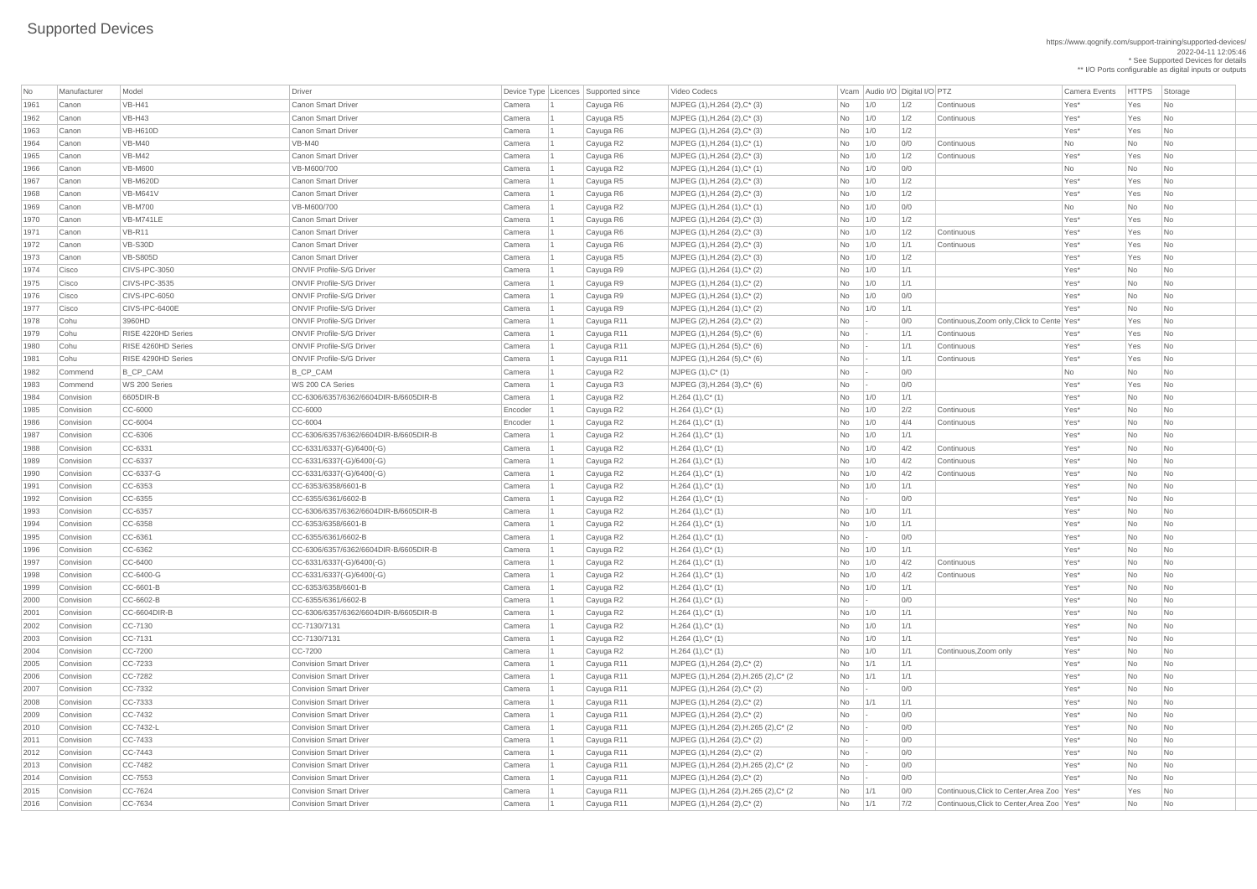| <b>No</b> | Manufacturer | Model              | Driver                                |         |           | Device Type Licences Supported since | Video Codecs                            |                | Vcam Audio I/O Digital I/O PTZ |     |                                              | <b>Camera Events</b> | <b>HTTPS</b> | Storage        |
|-----------|--------------|--------------------|---------------------------------------|---------|-----------|--------------------------------------|-----------------------------------------|----------------|--------------------------------|-----|----------------------------------------------|----------------------|--------------|----------------|
| 1961      | Canon        | <b>VB-H41</b>      | <b>Canon Smart Driver</b>             | Camera  | $\vert$ 1 | Cayuga R6                            | MJPEG (1), H.264 (2), C* (3)            | <b>No</b>      | 1/0                            | 1/2 | Continuous                                   | Yes*                 | Yes          | <b>No</b>      |
| 1962      | Canon        | $VB-H43$           | <b>Canon Smart Driver</b>             | Camera  |           | Cayuga R5                            | MJPEG $(1)$ , H.264 $(2)$ , C $*$ $(3)$ | No             | 1/0                            | 1/2 | Continuous                                   | Yes*                 | Yes          | No             |
| 1963      | Canon        | <b>VB-H610D</b>    | <b>Canon Smart Driver</b>             | Camera  |           | Cayuga R6                            | MJPEG $(1)$ , H.264 $(2)$ , C $*$ $(3)$ | <b>No</b>      | 1/0                            | 1/2 |                                              | Yes*                 | Yes          | <b>No</b>      |
| 1964      | Canon        | <b>VB-M40</b>      | <b>VB-M40</b>                         | Camera  |           | Cayuga R2                            | $MJPEG (1), H.264 (1), C^*(1)$          | No             | 1/0                            | 0/0 | Continuous                                   | <b>No</b>            | No           | <b>No</b>      |
| 1965      | Canon        | $VB-M42$           | <b>Canon Smart Driver</b>             | Camera  |           | Cayuga R6                            | $MJPEG (1), H.264 (2), C^* (3)$         | No             | 1/0                            | 1/2 | Continuous                                   | Yes*                 | Yes          | No             |
| 1966      | Canon        | <b>VB-M600</b>     | VB-M600/700                           | Camera  |           | Cayuga R2                            | $MJPEG (1), H.264 (1), C^*(1)$          | <b>No</b>      | 1/0                            | 0/0 |                                              | <b>No</b>            | No           | <b>No</b>      |
| 1967      | Canon        | <b>VB-M620D</b>    | <b>Canon Smart Driver</b>             | Camera  |           | Cayuga R5                            | MJPEG (1), H.264 (2), C* (3)            | <b>No</b>      | 1/0                            | 1/2 |                                              | Yes*                 | Yes          | <b>No</b>      |
| 1968      | Canon        | <b>VB-M641V</b>    | <b>Canon Smart Driver</b>             | Camera  |           | Cayuga R6                            | MJPEG $(1)$ , H.264 $(2)$ , C $*$ $(3)$ | No             | 1/0                            | 1/2 |                                              | Yes*                 | Yes          | No             |
| 1969      | Canon        | <b>VB-M700</b>     | VB-M600/700                           | Camera  |           | Cayuga R2                            | $MJPEG (1), H.264 (1), C^*(1)$          | <b>No</b>      | 1/0                            | 0/0 |                                              | <b>No</b>            | No           | <b>No</b>      |
| 1970      | Canon        | VB-M741LE          | <b>Canon Smart Driver</b>             | Camera  |           | Cayuga R6                            | $MJPEG (1), H.264 (2), C^*(3)$          | No             | 1/0                            | 1/2 |                                              | Yes*                 | Yes          | No             |
| 1971      | Canon        | <b>VB-R11</b>      | <b>Canon Smart Driver</b>             | Camera  |           | Cayuga R6                            | MJPEG $(1)$ , H.264 $(2)$ , C $*$ $(3)$ | No             | 1/0                            | 1/2 | Continuous                                   | Yes*                 | Yes          | N <sub>o</sub> |
| 1972      | Canon        | VB-S30D            | Canon Smart Driver                    | Camera  |           | Cayuga R6                            | MJPEG $(1)$ , H.264 $(2)$ , C* $(3)$    | <b>No</b>      | 1/0                            | 1/1 | Continuous                                   | Yes*                 | Yes          | No             |
| 1973      | Canon        | <b>VB-S805D</b>    | <b>Canon Smart Driver</b>             | Camera  |           | Cayuga R5                            | MJPEG $(1)$ , H.264 $(2)$ , C $*$ $(3)$ | <b>No</b>      | 1/0                            | 1/2 |                                              | Yes*                 | Yes          | No             |
| 1974      | Cisco        | CIVS-IPC-3050      | <b>ONVIF Profile-S/G Driver</b>       | Camera  |           | Cayuga R9                            | MJPEG $(1)$ , H.264 $(1)$ , C* $(2)$    | <b>No</b>      | 1/0                            | 1/1 |                                              | Yes*                 | No           | <b>No</b>      |
| 1975      | Cisco        | CIVS-IPC-3535      | <b>ONVIF Profile-S/G Driver</b>       | Camera  |           | Cayuga R9                            | MJPEG (1), H.264 (1), C* (2)            | No             | 1/0                            | 1/1 |                                              | Yes*                 | No           | <b>No</b>      |
| 1976      | Cisco        | CIVS-IPC-6050      | <b>ONVIF Profile-S/G Driver</b>       | Camera  |           | Cayuga R9                            | $MJPEG (1), H.264 (1), C^*(2)$          | <b>No</b>      | 1/0                            | 0/0 |                                              | Yes*                 | No           | No             |
| 1977      | Cisco        | CIVS-IPC-6400E     | <b>ONVIF Profile-S/G Driver</b>       | Camera  |           | Cayuga R9                            | $MJPEG (1), H.264 (1), C^*(2)$          | No             | 1/0                            | 1/1 |                                              | Yes*                 | No           | <b>No</b>      |
| 1978      | Cohu         | 3960HD             | <b>ONVIF Profile-S/G Driver</b>       | Camera  |           | Cayuga R11                           | MJPEG (2), H.264 (2), C* (2)            | <b>No</b>      |                                | 0/0 | Continuous, Zoom only, Click to Cente Yes*   |                      | Yes          | No.            |
| 1979      | Cohu         | RISE 4220HD Series | <b>ONVIF Profile-S/G Driver</b>       | Camera  |           | Cayuga R11                           | MJPEG $(1)$ , H.264 $(5)$ , C $*$ $(6)$ | <b>No</b>      |                                | 1/1 | Continuous                                   | Yes*                 | Yes          | <b>No</b>      |
| 1980      | Cohu         | RISE 4260HD Series | <b>ONVIF Profile-S/G Driver</b>       | Camera  |           | Cayuga R11                           | MJPEG $(1)$ , H.264 $(5)$ , C* $(6)$    | No             |                                | 1/1 | Continuous                                   | Yes*                 | Yes          | <b>No</b>      |
| 1981      | Cohu         | RISE 4290HD Series | <b>ONVIF Profile-S/G Driver</b>       | Camera  |           | Cayuga R11                           | MJPEG $(1)$ , H.264 $(5)$ , C $*$ $(6)$ | <b>No</b>      |                                | 1/1 | Continuous                                   | Yes*                 | Yes          | No             |
| 1982      | Commend      | B_CP_CAM           | B_CP_CAM                              | Camera  |           | Cayuga R2                            | $MJPEG (1), C^* (1)$                    | <b>No</b>      |                                | 0/0 |                                              | <b>No</b>            | No           | No             |
| 1983      | Commend      | WS 200 Series      | WS 200 CA Series                      | Camera  |           | Cayuga R3                            | $MJPEG (3), H.264 (3), C*(6)$           | No             |                                | 0/0 |                                              | Yes*                 | Yes          | No             |
| 1984      | Convision    | 6605DIR-B          | CC-6306/6357/6362/6604DIR-B/6605DIR-B | Camera  |           | Cayuga R2                            | $H.264(1),C^*(1)$                       | No             | 1/0                            | 1/1 |                                              | Yes*                 | <b>No</b>    | No             |
| 1985      | Convision    | $CC-6000$          | CC-6000                               | Encoder |           | Cayuga R2                            | $H.264(1),C^*(1)$                       | <b>No</b>      | 1/0                            | 2/2 | Continuous                                   | Yes*                 | <b>No</b>    | <b>No</b>      |
| 1986      | Convision    | CC-6004            | CC-6004                               | Encoder |           | Cayuga R2                            | $H.264(1),C^*(1)$                       | No.            | 1/0                            | 4/4 | Continuous                                   | Yes*                 | No           | No.            |
| 1987      | Convision    | CC-6306            | CC-6306/6357/6362/6604DIR-B/6605DIR-B | Camera  |           | Cayuga R2                            | $H.264(1),C^*(1)$                       | No             | 1/0                            | 1/1 |                                              | Yes*                 | No           | No             |
| 1988      | Convision    | $CC-6331$          | $CC-6331/6337(-G)/6400(-G)$           | Camera  |           | Cayuga R2                            | $H.264(1),C^*(1)$                       | No             | 1/0                            | 4/2 | Continuous                                   | Yes*                 | No           | No             |
| 1989      | Convision    | CC-6337            | $CC-6331/6337(-G)/6400(-G)$           | Camera  |           | Cayuga R2                            | $H.264(1),C^*(1)$                       | No             | 1/0                            | 4/2 | Continuous                                   | Yes*                 | No           | No             |
| 1990      | Convision    | CC-6337-G          | $CC-6331/6337(-G)/6400(-G)$           | Camera  |           | Cayuga R2                            | $H.264(1),C^*(1)$                       | No             | 1/0                            | 4/2 | Continuous                                   | Yes*                 | No           | No             |
| 1991      | Convision    | $CC-6353$          | CC-6353/6358/6601-B                   | Camera  |           | Cayuga R2                            | $H.264(1),C^*(1)$                       | No             | 1/0                            | 1/1 |                                              | Yes*                 | No           | <b>No</b>      |
| 1992      | Convision    | $CC-6355$          | CC-6355/6361/6602-B                   | Camera  |           | Cayuga R2                            | $H.264(1),C^*(1)$                       | No             |                                | 0/0 |                                              | Yes*                 | <b>No</b>    | No             |
| 1993      | Convision    | CC-6357            | CC-6306/6357/6362/6604DIR-B/6605DIR-B | Camera  |           | Cayuga R2                            | $H.264(1),C^*(1)$                       | No             | 1/0                            | 1/1 |                                              | Yes*                 | No           | No             |
| 1994      | Convision    | CC-6358            | CC-6353/6358/6601-B                   | Camera  |           | Cayuga R2                            | $H.264(1),C^*(1)$                       | No             | 1/0                            | 1/1 |                                              | Yes*                 | <b>No</b>    | <b>No</b>      |
| 1995      | Convision    | CC-6361            | CC-6355/6361/6602-B                   | Camera  |           | Cayuga R2                            | $H.264(1),C^*(1)$                       | No             |                                | 0/0 |                                              | Yes*                 | No           | No             |
| 1996      | Convision    | CC-6362            | CC-6306/6357/6362/6604DIR-B/6605DIR-B | Camera  |           | Cayuga R2                            | $H.264(1),C^*(1)$                       | No             | $\vert$ 1/0                    | 1/1 |                                              | Yes*                 | No           | No             |
| 1997      | Convision    | CC-6400            | $CC-6331/6337(-G)/6400(-G)$           | Camera  |           | Cayuga R2                            | $H.264(1),C^*(1)$                       | No             | 1/0                            | 4/2 | Continuous                                   | Yes*                 | <b>No</b>    | <b>No</b>      |
| 1998      | Convision    | CC-6400-G          | $CC-6331/6337(-G)/6400(-G)$           | Camera  |           | Cayuga R2                            | $H.264(1),C^*(1)$                       | No             | 1/0                            | 4/2 | Continuous                                   | Yes*                 | No           | No             |
| 1999      | Convision    | CC-6601-B          | CC-6353/6358/6601-B                   | Camera  |           | Cayuga R2                            | $H.264(1),C^*(1)$                       | No             | 1/0                            | 1/1 |                                              | Yes*                 | <b>No</b>    | <b>No</b>      |
| 2000      | Convision    | CC-6602-B          | CC-6355/6361/6602-B                   | Camera  |           | Cayuga R2                            | $H.264(1),C^*(1)$                       | No             |                                | 0/0 |                                              | Yes*                 | No           | <b>No</b>      |
| 2001      | Convision    | CC-6604DIR-B       | CC-6306/6357/6362/6604DIR-B/6605DIR-B | Camera  |           | Cayuga R2                            | $H.264(1),C^*(1)$                       | No             | $\vert$ 1/0                    | 1/1 |                                              | Yes*                 | No           | No             |
| 2002      | Convision    | CC-7130            | CC-7130/7131                          | Camera  |           | Cayuga R2                            | $H.264(1),C^*(1)$                       | No             | 1/0                            | 1/1 |                                              | Yes*                 | <b>No</b>    | No             |
| 2003      | Convision    | $CC-7131$          | CC-7130/7131                          | Camera  |           | Cayuga R2                            | $H.264(1),C^*(1)$                       | No             | 1/0                            | 1/1 |                                              | Yes*                 | <b>No</b>    | <b>No</b>      |
| 2004      | Convision    | $CC-7200$          | CC-7200                               | Camera  |           | Cayuga R2                            | $H.264(1),C^*(1)$                       | No             | 1/0                            | 1/1 | Continuous, Zoom only                        | Yes*                 | No           | No             |
| 2005      | Convision    | CC-7233            | <b>Convision Smart Driver</b>         | Camera  |           | Cayuga R11                           | MJPEG $(1)$ , H.264 $(2)$ , C* $(2)$    | No             | 1/1                            | 1/1 |                                              | Yes*                 | <b>No</b>    | No             |
| 2006      | Convision    | CC-7282            | <b>Convision Smart Driver</b>         | Camera  |           | Cayuga R11                           | MJPEG (1), H.264 (2), H.265 (2), C* (2) | No             | 1/1                            | 1/1 |                                              | Yes*                 | <b>No</b>    | <b>No</b>      |
| 2007      | Convision    | $CC-7332$          | <b>Convision Smart Driver</b>         | Camera  |           | Cayuga R11                           | $MJPEG (1), H.264 (2), C^* (2)$         | No             |                                | 0/0 |                                              | Yes*                 | No           | No             |
| 2008      | Convision    | $CC-7333$          | <b>Convision Smart Driver</b>         | Camera  |           | Cayuga R11                           | MJPEG (1), H.264 (2), C* (2)            | No             | 1/1                            | 1/1 |                                              | Yes*                 | <b>No</b>    | <b>No</b>      |
| 2009      | Convision    | $CC-7432$          | <b>Convision Smart Driver</b>         | Camera  |           | Cayuga R11                           | MJPEG $(1)$ , H.264 $(2)$ , C $*$ $(2)$ | <b>No</b>      |                                | 0/0 |                                              | Yes*                 | <b>No</b>    | <b>No</b>      |
| 2010      | Convision    | $CC-7432-L$        | <b>Convision Smart Driver</b>         | Camera  |           | Cayuga R11                           | MJPEG (1), H.264 (2), H.265 (2), C* (2) | No             |                                | 0/0 |                                              | Yes*                 | No           | No             |
| 2011      | Convision    | CC-7433            | <b>Convision Smart Driver</b>         | Camera  |           | Cayuga R11                           | MJPEG (1), H.264 (2), C* (2)            | <b>No</b>      |                                | 0/0 |                                              | Yes*                 | <b>No</b>    | <b>No</b>      |
| 2012      | Convision    | $CC-7443$          | <b>Convision Smart Driver</b>         | Camera  |           | Cayuga R11                           | MJPEG (1), H.264 (2), C* (2)            | No             |                                | 0/0 |                                              | Yes*                 | No           | No             |
| 2013      | Convision    | $CC-7482$          | <b>Convision Smart Driver</b>         | Camera  |           | Cayuga R11                           | MJPEG (1), H.264 (2), H.265 (2), C* (2) | N <sub>o</sub> |                                | 0/0 |                                              | Yes*                 | No           | No             |
| 2014      | Convision    | $CC-7553$          | <b>Convision Smart Driver</b>         | Camera  |           | Cayuga R11                           | $MJPEG (1), H.264 (2), C^*(2)$          | No             |                                | 0/0 |                                              | Yes*                 | No           | No             |
| 2015      | Convision    | $CC-7624$          | <b>Convision Smart Driver</b>         | Camera  |           | Cayuga R11                           | MJPEG (1), H.264 (2), H.265 (2), C* (2) | <b>No</b>      | 1/1                            | 0/0 | Continuous, Click to Center, Area Zoo   Yes* |                      | Yes          | No             |
| 2016      | Convision    | CC-7634            | <b>Convision Smart Driver</b>         | Camera  |           | Cayuga R11                           | MJPEG (1), H.264 (2), C* (2)            | N <sub>o</sub> | $\vert 1/1$                    | 7/2 | Continuous, Click to Center, Area Zoo   Yes* |                      | No           | No             |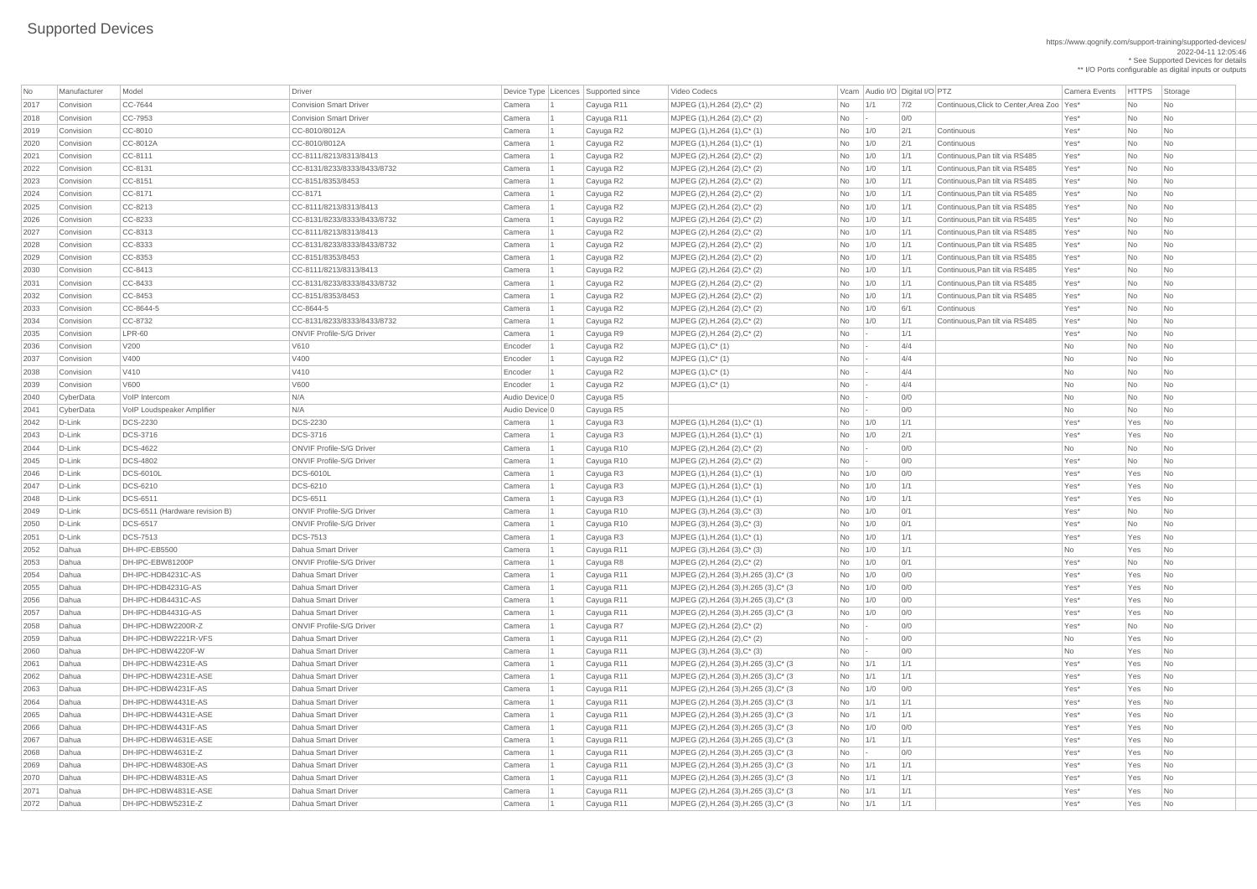https://www.qognify.com/support-training/supported-devices/ 2022-04-11 12:05:46 \* See Supported Devices for details

\*\* I/O Ports configurable as digital inputs or outputs

| <b>No</b> | Manufacturer | Model                              | Driver                          |                | Device Type   Licences   Supported since | Video Codecs                                     |            |     | Vcam Audio I/O Digital I/O PTZ |                                            | <b>Camera Events</b> | <b>HTTPS</b> | Storage                     |
|-----------|--------------|------------------------------------|---------------------------------|----------------|------------------------------------------|--------------------------------------------------|------------|-----|--------------------------------|--------------------------------------------|----------------------|--------------|-----------------------------|
| 2017      | Convision    | CC-7644                            | <b>Convision Smart Driver</b>   | Camera         | Cayuga R11                               | MJPEG (1), H.264 (2), C* (2)                     | No         | 1/1 | 7/2                            | Continuous. Click to Center. Area Zoo Yes* |                      | No           | No                          |
| 2018      | Convision    | $CC-7953$                          | <b>Convision Smart Driver</b>   | Camera         | Cayuga R11                               | MJPEG $(1)$ , H.264 $(2)$ , C $*$ $(2)$          | <b>No</b>  |     | 0/0                            |                                            | Yes*                 | <b>No</b>    | No                          |
| 2019      | Convision    | CC-8010                            | CC-8010/8012A                   | Camera         | Cayuga R2                                | $MJPEG (1), H.264 (1), C^* (1)$                  | No         | 1/0 | 2/1                            | Continuous                                 | Yes*                 | No           | No                          |
| 2020      | Convision    | CC-8012A                           | CC-8010/8012A                   | Camera         | Cayuga R2                                | $MJPEG (1), H.264 (1), C^* (1)$                  | No         | 1/0 | 2'                             | Continuous                                 | Yes*                 | No           | No                          |
| 2021      | Convision    | CC-8111                            | CC-8111/8213/8313/8413          | Camera         | Cayuga R2                                | MJPEG (2), H.264 (2), C* (2)                     | No         | 1/0 | 1/1                            | Continuous, Pan tilt via RS485             | Yes*                 | No           | No                          |
| 2022      | Convision    | CC-8131                            | CC-8131/8233/8333/8433/8732     | Camera         | Cayuga R2                                | $MJPEG (2), H.264 (2), C^*(2)$                   | No         | 1/0 | 1/1                            | Continuous, Pan tilt via RS485             | Yes*                 | No           | No                          |
| 2023      | Convision    | CC-8151                            | CC-8151/8353/8453               | Camera         | Cayuga R2                                | MJPEG $(2)$ , H.264 $(2)$ , C* $(2)$             | No         | 1/0 | 1/1                            | Continuous, Pan tilt via RS485             | Yes*                 | No           | No                          |
| 2024      | Convision    | CC-8171                            | CC-8171                         | Camera         | Cayuga R2                                | MJPEG (2), H.264 (2), C* (2)                     | No         | 1/0 | 1/1                            | Continuous, Pan tilt via RS485             | Yes*                 | <b>No</b>    | No                          |
| 2025      | Convision    | CC-8213                            | CC-8111/8213/8313/8413          | Camera         | Cayuga R2                                | MJPEG $(2)$ , H.264 $(2)$ , C <sup>*</sup> $(2)$ | No         | 1/0 | 1/1                            | Continuous, Pan tilt via RS485             | Yes*                 | <b>No</b>    | No                          |
| 2026      | Convision    | CC-8233                            | CC-8131/8233/8333/8433/8732     | Camera         | Cayuga R2                                | MJPEG (2), H.264 (2), C* (2)                     | No         | 1/0 | 1/1                            | Continuous, Pan tilt via RS485             | Yes*                 | No           | No                          |
| 2027      | Convision    | CC-8313                            | CC-8111/8213/8313/8413          | Camera         | Cayuga R2                                | MJPEG (2), H.264 (2), C* (2)                     | No         | 1/0 | 1/1                            | Continuous, Pan tilt via RS485             | Yes*                 | <b>No</b>    | No                          |
| 2028      | Convision    | $CC-8333$                          | CC-8131/8233/8333/8433/8732     | Camera         | Cayuga R2                                | $MJPEG (2), H.264 (2), C^*(2)$                   | No         | 1/0 | 1/1                            | Continuous, Pan tilt via RS485             | Yes*                 | No           | No                          |
| 2029      | Convision    | CC-8353                            | CC-8151/8353/8453               | Camera         | Cayuga R2                                | $MJPEG (2), H.264 (2), C^*(2)$                   | No         | 1/0 | 1/1                            | Continuous, Pan tilt via RS485             | Yes*                 | No           | No                          |
| 2030      | Convision    | CC-8413                            | CC-8111/8213/8313/8413          | Camera         | Cayuga R2                                | MJPEG (2), H.264 (2), C* (2)                     | <b>No</b>  | 1/0 | 1/1                            | Continuous, Pan tilt via RS485             | Yes*                 | <b>No</b>    | No                          |
| 2031      | Convision    | CC-8433                            | CC-8131/8233/8333/8433/8732     | Camera         | Cayuga R2                                | MJPEG $(2)$ , H.264 $(2)$ , C <sup>*</sup> $(2)$ | No         | 1/0 | 1/1                            | Continuous, Pan tilt via RS485             | Yes*                 | No           | No                          |
| 2032      | Convision    | CC-8453                            | CC-8151/8353/8453               | Camera         | Cayuga R2                                | MJPEG $(2)$ , H.264 $(2)$ , C* $(2)$             | No         | 1/0 | 1/1                            | Continuous, Pan tilt via RS485             | Yes*                 | No           | No                          |
| 2033      | Convision    | CC-8644-5                          | CC-8644-5                       | Camera         | Cayuga R2                                | MJPEG (2), H.264 (2), C* (2)                     | No         | 1/0 | 6/1                            | Continuous                                 | Yes*                 | <b>No</b>    | No                          |
| 2034      | Convision    | $CC-8732$                          | CC-8131/8233/8333/8433/8732     | Camera         | Cayuga R2                                | $MJPEG (2), H.264 (2), C^*(2)$                   | No         | 1/0 | 1/1                            | Continuous, Pan tilt via RS485             | Yes*                 | No           | No                          |
| 2035      | Convision    | $LPR-60$                           | <b>ONVIF Profile-S/G Driver</b> | Camera         | Cayuga R9                                | MJPEG $(2)$ , H.264 $(2)$ , C* $(2)$             | No         |     | 1/1                            |                                            | Yes*                 | No           | No                          |
| 2036      | Convision    | V200                               | V610                            | Encoder        | Cayuga R2                                | $MJPEG (1), C^* (1)$                             | <b>No</b>  |     | 4/4                            |                                            | No                   | No           | No                          |
| 2037      | Convision    | V400                               | V400                            | Encoder        | Cayuga R2                                | MJPEG (1), C* (1)                                | No         |     | 4/4                            |                                            | No                   | No           | No                          |
| 2038      | Convision    | V410                               | V410                            | Encoder        | Cayuga R2                                | MJPEG (1), C* (1)                                | No         |     | 4/4                            |                                            | No                   | No           | No                          |
| 2039      | Convision    | V600                               | V600                            | Encoder        | Cayuga R2                                | $MJPEG (1), C^* (1)$                             | <b>No</b>  |     | 4/4                            |                                            | No                   | <b>No</b>    | No                          |
| 2040      | CyberData    | VoIP Intercom                      | N/A                             | Audio Device 0 | Cayuga R5                                |                                                  | No         |     | 0/0                            |                                            | No                   | No           | No                          |
| 2041      | CyberData    | <b>VoIP Loudspeaker Amplifier</b>  | N/A                             | Audio Device 0 | Cayuga R5                                |                                                  | <b>No</b>  |     | 0/0                            |                                            | <b>No</b>            | No           | No                          |
| 2042      | D-Link       | <b>DCS-2230</b>                    | <b>DCS-2230</b>                 | Camera         | Cayuga R3                                | MJPEG (1), H.264 (1), C* (1)                     | No         | 1/0 | 1/1                            |                                            | Yes*                 | Yes          | No                          |
| 2043      | D-Link       | <b>DCS-3716</b>                    | <b>DCS-3716</b>                 | Camera         | Cayuga R3                                | MJPEG (1), H.264 (1), C* (1)                     | No         | 1/0 | 2/1                            |                                            | Yes*                 | Yes          | No                          |
| 2044      | D-Link       | <b>DCS-4622</b>                    | <b>ONVIF Profile-S/G Driver</b> | Camera         | Cayuga R10                               | MJPEG (2), H.264 (2), C* (2)                     | No         |     | 0/0                            |                                            | No                   | No           | No                          |
| 2045      | D-Link       | <b>DCS-4802</b>                    | <b>ONVIF Profile-S/G Driver</b> | Camera         |                                          | MJPEG (2), H.264 (2), C* (2)                     | <b>No</b>  |     | 0/0                            |                                            | Yes*                 | No           | No                          |
| 2046      | $D$ -Link    | <b>DCS-6010L</b>                   | <b>DCS-6010L</b>                | Camera         | Cayuga R10                               | $MJPEG (1), H.264 (1), C^* (1)$                  |            | 1/0 | 0/0                            |                                            | Yes*                 | Yes          | N <sub>o</sub>              |
|           |              | <b>DCS-6210</b>                    | <b>DCS-6210</b>                 |                | Cayuga R3                                |                                                  | No         |     | 1/1                            |                                            | Yes*                 |              |                             |
| 2047      | $D$ -Link    | <b>DCS-6511</b>                    | <b>DCS-6511</b>                 | Camera         | Cayuga R3                                | $MJPEG (1), H.264 (1), C^* (1)$                  | No         | 1/0 |                                |                                            |                      | Yes          | No                          |
| 2048      | D-Link       | DCS-6511 (Hardware revision B)     | <b>ONVIF Profile-S/G Driver</b> | Camera         | Cayuga R3                                | MJPEG (1), H.264 (1), C* (1)                     | No         | 1/0 | 1/1                            |                                            | Yes*                 | Yes          | No                          |
| 2049      | $D$ -Link    |                                    |                                 | Camera         | Cayuga R10                               | MJPEG (3), H.264 (3), C* (3)                     | No         | 1/0 | 0/1                            |                                            | Yes*                 | No           | No                          |
| 2050      | D-Link       | <b>DCS-6517</b><br><b>DCS-7513</b> | <b>ONVIF Profile-S/G Driver</b> | Camera         | Cayuga R10                               | MJPEG (3), H.264 (3), C* (3)                     | No         | 1/0 | 0/1                            |                                            | Yes*                 | No           | No                          |
| 205'      | D-Link       |                                    | <b>DCS-7513</b>                 | Camera         | Cayuga R3                                | MJPEG (1), H.264 (1), C* (1)                     | No         | 1/0 | 1/1                            |                                            | Yes*                 | Yes          | No                          |
| 2052      | Dahua        | DH-IPC-EB5500                      | Dahua Smart Driver              | Camera         | Cayuga R11                               | $MJPEG (3), H.264 (3), C^*(3)$                   | No         | 1/0 | 1/1                            |                                            | No                   | Yes          | N <sub>o</sub>              |
| 2053      | Dahua        | DH-IPC-EBW81200P                   | <b>ONVIF Profile-S/G Driver</b> | Camera         | Cayuga R8                                | MJPEG (2), H.264 (2), C* (2)                     | No         | 1/0 | 0/1                            |                                            | Yes*                 | No           | No                          |
| 2054      | Dahua        | DH-IPC-HDB4231C-AS                 | Dahua Smart Driver              | Camera         | Cayuga R11                               | MJPEG (2), H.264 (3), H.265 (3), C* (3)          | No         | 1/0 | 0/0                            |                                            | Yes*                 | Yes          | No                          |
| 2055      | Dahua        | DH-IPC-HDB4231G-AS                 | Dahua Smart Driver              | Camera         | Cayuga R11                               | MJPEG (2), H.264 (3), H.265 (3), C* (3)          | No         | 1/0 | 0/0                            |                                            | Yes*                 | Yes          | No                          |
| 2056      | Dahua        | DH-IPC-HDB4431C-AS                 | Dahua Smart Driver              | Camera         | Cayuga R11                               | MJPEG (2), H.264 (3), H.265 (3), C* (3)          | No         | 1/0 | 0/0                            |                                            | Yes*                 | Yes          | No                          |
| 2057      | Dahua        | DH-IPC-HDB4431G-AS                 | Dahua Smart Driver              | Camera         | Cayuga R11                               | MJPEG (2), H.264 (3), H.265 (3), C* (3)          | No         | 1/0 | 0/0                            |                                            | Yes*                 | Yes          | No                          |
| 2058      | Dahua        | DH-IPC-HDBW2200R-Z                 | <b>ONVIF Profile-S/G Driver</b> | Camera         | Cayuga R7                                | MJPEG (2), H.264 (2), C* (2)                     | No         |     | 0/0                            |                                            | Yes*                 | No           | No                          |
| 2059      | Dahua        | DH-IPC-HDBW2221R-VFS               | Dahua Smart Driver              | Camera         | Cayuga R11                               | $MJPEG (2), H.264 (2), C^*(2)$                   | No         |     | 0/0                            |                                            | No                   | Yes          | No                          |
| 2060      | Dahua        | DH-IPC-HDBW4220F-W                 | Dahua Smart Driver              | Camera         | Cayuga R11                               | MJPEG (3), H.264 (3), C* (3)                     | No         |     | 0/0                            |                                            | No                   | Yes          | No                          |
| 2061      | Dahua        | DH-IPC-HDBW4231E-AS                | Dahua Smart Driver              | Camera         | Cayuga R11                               | MJPEG (2), H.264 (3), H.265 (3), C* (3)          | No         | 1/1 | 1/1                            |                                            | Yes*                 | Yes          | No                          |
| 2062      | Dahua        | DH-IPC-HDBW4231E-ASE               | Dahua Smart Driver              | Camera         | Cayuga R11                               | MJPEG (2), H.264 (3), H.265 (3), C* (3)          | No         | 1/1 | 1/1                            |                                            | Yes*                 | Yes          | No                          |
| 2063      | Dahua        | DH-IPC-HDBW4231F-AS                | <b>Dahua Smart Driver</b>       | Camera         | Cayuga R11                               | MJPEG (2), H.264 (3), H.265 (3), C* (3)          | No         | 1/0 | 0/0                            |                                            | Yes*                 | Yes          | No                          |
| 2064      | Dahua        | DH-IPC-HDBW4431E-AS                | Dahua Smart Driver              | Camera         | Cayuga R11                               | MJPEG (2), H.264 (3), H.265 (3), C* (3)          | No         | 1/1 | 1/1                            |                                            | Yes*                 | Yes          | <b>No</b>                   |
| 2065      | Dahua        | DH-IPC-HDBW4431E-ASE               | Dahua Smart Driver              | Camera         | Cayuga R11                               | MJPEG (2), H.264 (3), H.265 (3), C* (3)          | No         | 1/1 | 1/1                            |                                            | Yes*                 | Yes          | No                          |
| 2066      | Dahua        | DH-IPC-HDBW4431F-AS                | Dahua Smart Driver              | Camera         | Cayuga R11                               | MJPEG (2), H.264 (3), H.265 (3), C* (3)          | No         | 1/0 | 0/0                            |                                            | Yes*                 | Yes          | No                          |
| 2067      | Dahua        | DH-IPC-HDBW4631E-ASE               | Dahua Smart Driver              | Camera         | Cayuga R11                               | MJPEG (2), H.264 (3), H.265 (3), C* (3)          | No         | 1/1 | 1/1                            |                                            | Yes*                 | Yes          | No                          |
| 2068      | Dahua        | DH-IPC-HDBW4631E-Z                 | Dahua Smart Driver              | Camera         | Cayuga R11                               | MJPEG (2), H.264 (3), H.265 (3), C* (3)          | No         |     | 0/0                            |                                            | Yes*                 | Yes          | $\overline{\phantom{a}}$ No |
| 2069      | Dahua        | DH-IPC-HDBW4830E-AS                | Dahua Smart Driver              | Camera         | Cayuga R11                               | MJPEG (2), H.264 (3), H.265 (3), C* (3)          | $No$   1/1 |     | 1/1                            |                                            | Yes*                 | Yes          | N <sub>o</sub>              |
| 2070      | Dahua        | DH-IPC-HDBW4831E-AS                | Dahua Smart Driver              | Camera         | Cayuga R11                               | MJPEG (2), H.264 (3), H.265 (3), C* (3)          | $No$ $1/1$ |     | 1/1                            |                                            | Yes*                 | Yes          | No                          |
| 2071      | Dahua        | DH-IPC-HDBW4831E-ASE               | Dahua Smart Driver              | Camera         | Cayuga R11                               | MJPEG (2), H.264 (3), H.265 (3), C* (3)          | $No$ $1/1$ |     | 1/1                            |                                            | Yes*                 | Yes          | $\overline{\phantom{a}}$ No |
| 2072      | Dahua        | DH-IPC-HDBW5231E-Z                 | Dahua Smart Driver              | Camera         | Cayuga R11                               | MJPEG (2), H.264 (3), H.265 (3), C* (3)          | No 1/1     |     | 1/1                            |                                            | Yes*                 | Yes          | N <sub>o</sub>              |
|           |              |                                    |                                 |                |                                          |                                                  |            |     |                                |                                            |                      |              |                             |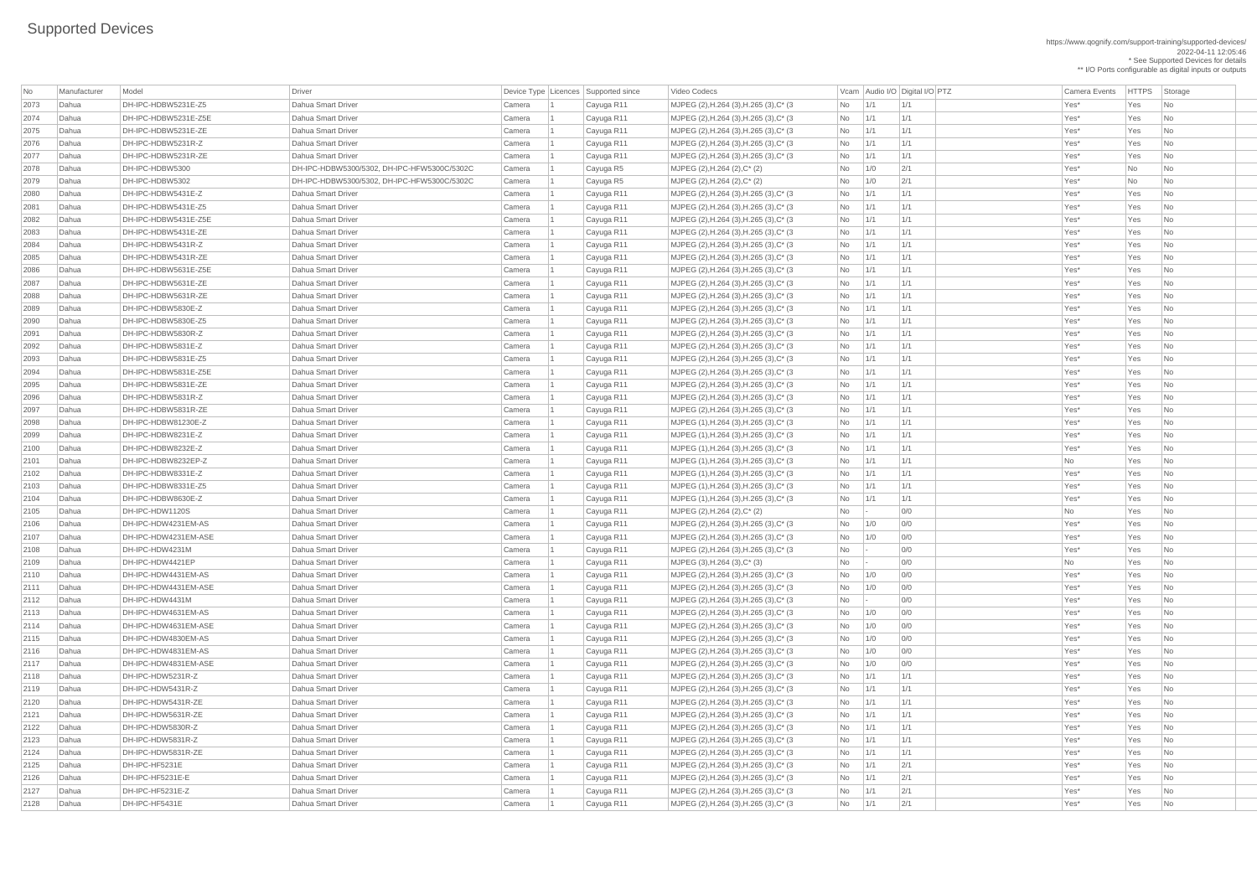https://www.qognify.com/support-training/supported-devices/ 2022-04-11 12:05:46 \* See Supported Devices for details

\*\* I/O Ports configurable as digital inputs or outputs

| No               | Manufacturer   | Model                                       | Driver                                          |                          | Device Type Licences Supported since | Video Codecs                                                                       |            | Vcam Audio I/O Digital I/O PTZ | <b>Camera Events</b> | <b>HTTPS</b> | Storage                        |
|------------------|----------------|---------------------------------------------|-------------------------------------------------|--------------------------|--------------------------------------|------------------------------------------------------------------------------------|------------|--------------------------------|----------------------|--------------|--------------------------------|
| 2073             | Dahua          | DH-IPC-HDBW5231E-Z5                         | Dahua Smart Driver                              | Camera                   | Cayuga R11                           | MJPEG (2), H.264 (3), H.265 (3), C* (3)                                            | $No$ $1/1$ | 1/1                            | Yes*                 | Yes          | No                             |
| 2074             | Dahua          | DH-IPC-HDBW5231E-Z5E                        | Dahua Smart Driver                              | Camera                   | Cayuga R11                           | MJPEG (2), H.264 (3), H.265 (3), C* (3)                                            | No         | 1/1<br>1/1                     | Yes*                 | Yes          | No                             |
| 2075             | Dahua          | DH-IPC-HDBW5231E-ZE                         | Dahua Smart Driver                              | Camera                   | Cayuga R11                           | MJPEG (2), H.264 (3), H.265 (3), C* (3)                                            | <b>No</b>  | 1/1<br>1/1                     | Yes*                 | Yes          | $\overline{\mathsf{No}}$       |
| 2076             | Dahua          | DH-IPC-HDBW5231R-Z                          | Dahua Smart Driver                              | Camera                   | Cayuga R11                           | MJPEG (2), H.264 (3), H.265 (3), C* (3)                                            | <b>No</b>  | 1/1<br>1/1                     | Yes*                 | Yes          | No                             |
| 2077             | Dahua          | DH-IPC-HDBW5231R-ZE                         | Dahua Smart Driver                              | Camera                   | Cayuga R11                           | MJPEG (2), H.264 (3), H.265 (3), C* (3)                                            | No         | 1/1<br>1/1                     | Yes*                 | Yes          | N <sub>o</sub>                 |
| 2078             | Dahua          | DH-IPC-HDBW5300                             | DH-IPC-HDBW5300/5302, DH-IPC-HFW5300C/5302C     | Camera                   | Cayuga R5                            | MJPEG (2), H.264 (2), C* (2)                                                       | No         | 1/0<br>2/1                     | Yes*                 | <b>No</b>    | N <sub>o</sub>                 |
| 2079             | Dahua          | DH-IPC-HDBW5302                             | DH-IPC-HDBW5300/5302. DH-IPC-HFW5300C/5302C     | Camera                   | Cayuga R5                            | MJPEG $(2)$ , H.264 $(2)$ , C* $(2)$                                               | No         | 2/1<br>1/0                     | Yes*                 | <b>No</b>    | No                             |
| 2080             | Dahua          | DH-IPC-HDBW5431E-Z                          | Dahua Smart Driver                              | Camera                   | Cayuga R11                           | MJPEG (2), H.264 (3), H.265 (3), C* (3)                                            | <b>No</b>  | 1/1<br>1/1                     | Yes*                 | Yes          | N <sub>o</sub>                 |
| 208 <sup>2</sup> | Dahua          | DH-IPC-HDBW5431E-Z5                         | Dahua Smart Driver                              | Camera                   | Cayuga R11                           | MJPEG (2), H.264 (3), H.265 (3), C* (3)                                            | <b>No</b>  | 1/1<br>1/1                     | Yes*                 | Yes          | N <sub>o</sub>                 |
| 2082             | Dahua          | DH-IPC-HDBW5431E-Z5E                        | Dahua Smart Driver                              | Camera                   | Cayuga R11                           | MJPEG (2), H.264 (3), H.265 (3), C* (3)                                            | <b>No</b>  | 1/1<br>1/1                     | Yes*                 | Yes          | No                             |
| 2083             | Dahua          | DH-IPC-HDBW5431E-ZE                         | Dahua Smart Driver                              | Camera                   | Cayuga R11                           | MJPEG (2), H.264 (3), H.265 (3), C* (3)                                            | <b>No</b>  | 1/1<br>1/1                     | Yes*                 | Yes          | No                             |
| 2084             | Dahua          | DH-IPC-HDBW5431R-Z                          | Dahua Smart Driver                              | Camera                   | Cayuga R11                           | MJPEG (2), H.264 (3), H.265 (3), C* (3)                                            | <b>No</b>  | 1/1<br>1/1                     | Yes*                 | Yes          | N <sub>o</sub>                 |
| 2085             | Dahua          | DH-IPC-HDBW5431R-ZE                         | Dahua Smart Driver                              | Camera                   | Cayuga R11                           | MJPEG (2), H.264 (3), H.265 (3), C* (3)                                            | <b>No</b>  | 1/1<br>1/1                     | Yes*                 | Yes          | No                             |
| 2086             | Dahua          | DH-IPC-HDBW5631E-Z5E                        | Dahua Smart Driver                              | Camera                   | Cayuga R11                           | MJPEG (2), H.264 (3), H.265 (3), C* (3)                                            | <b>No</b>  | 1/1<br>1/1                     | Yes*                 | Yes          | N <sub>o</sub>                 |
| 2087             | Dahua          | DH-IPC-HDBW5631E-ZE                         | Dahua Smart Driver                              | Camera                   | Cayuga R11                           | MJPEG (2), H.264 (3), H.265 (3), C* (3)                                            | No         | 1/1<br>1/1                     | Yes*                 | Yes          | N <sub>o</sub>                 |
| 2088             | Dahua          | DH-IPC-HDBW5631R-ZE                         | Dahua Smart Driver                              | Camera                   | Cayuga R11                           | MJPEG (2), H.264 (3), H.265 (3), C* (3)                                            | <b>No</b>  | 1/1<br>1/1                     | Yes*                 | Yes          | $\overline{\mathsf{No}}$       |
| 2089             | Dahua          | DH-IPC-HDBW5830E-Z                          | Dahua Smart Driver                              | Camera                   | Cayuga R11                           | MJPEG (2), H.264 (3), H.265 (3), C* (3)                                            | No         | 1/1<br>1/1                     | Yes*                 | Yes          | No                             |
| 2090             | Dahua          | DH-IPC-HDBW5830E-Z5                         | Dahua Smart Driver                              | Camera                   | Cayuga R11                           | MJPEG (2), H.264 (3), H.265 (3), C* (3)                                            | No         | 1/1<br>1/1                     | Yes*                 | Yes          | N <sub>o</sub>                 |
| 2091             | Dahua          | DH-IPC-HDBW5830R-Z                          | Dahua Smart Driver                              | Camera                   | Cayuga R11                           | MJPEG (2), H.264 (3), H.265 (3), C* (3)                                            | No         | 1/1<br>1/1                     | Yes*                 | Yes          | N <sub>o</sub>                 |
| 2092             | Dahua          | DH-IPC-HDBW5831E-Z                          | Dahua Smart Driver                              | Camera                   | Cayuga R11                           | MJPEG (2), H.264 (3), H.265 (3), C* (3)                                            | No         | 1/1<br>1/1                     | Yes*                 | Yes          | N <sub>o</sub>                 |
| 2093             | Dahua          | DH-IPC-HDBW5831E-Z5                         | Dahua Smart Driver                              | Camera                   | Cayuga R11                           | MJPEG (2), H.264 (3), H.265 (3), C* (3)                                            | <b>No</b>  | 1/1<br>1/1                     | Yes*                 | Yes          | No                             |
| 2094             | Dahua          | DH-IPC-HDBW5831E-Z5E                        | Dahua Smart Driver                              | Camera                   | Cayuga R11                           | MJPEG (2), H.264 (3), H.265 (3), C* (3)                                            | No         | 1/1<br>1/1                     | Yes*                 | Yes          | N <sub>o</sub>                 |
| 2095             | Dahua          | DH-IPC-HDBW5831E-ZE                         | Dahua Smart Driver                              | Camera                   | Cayuga R11                           | MJPEG (2), H.264 (3), H.265 (3), C* (3)                                            | No         | 1/1<br>1/1                     | Yes*                 | Yes          | No                             |
| 2096             | Dahua          | DH-IPC-HDBW5831R-Z                          | Dahua Smart Driver                              | Camera                   | Cayuga R11                           | MJPEG (2), H.264 (3), H.265 (3), C* (3)                                            | No         | 1/1<br>1/1                     | Yes*                 | Yes          | $\overline{\phantom{a}}$ No    |
| 2097             | Dahua          | DH-IPC-HDBW5831R-ZE                         | Dahua Smart Driver                              | Camera                   | Cayuga R11                           | MJPEG (2), H.264 (3), H.265 (3), C* (3)                                            | No         | 1/1<br>1/1                     | Yes*                 | Yes          | $\overline{\mathsf{No}}$       |
| 2098             | Dahua          | DH-IPC-HDBW81230E-Z                         | <b>Dahua Smart Driver</b>                       | Camera                   | Cayuga R11                           | MJPEG (1), H.264 (3), H.265 (3), C* (3)                                            | No         | 1/1<br>1/1                     | Yes*                 | Yes          | N <sub>0</sub>                 |
| 2099             | Dahua          | DH-IPC-HDBW8231E-Z                          | Dahua Smart Driver                              | Camera                   | Cayuga R11                           | MJPEG $(1)$ , H.264 $(3)$ , H.265 $(3)$ , C* $(3)$                                 | No         | 1/1<br>1/1                     | Yes*                 | Yes          | No                             |
| 2100             | Dahua          | DH-IPC-HDBW8232E-Z                          | Dahua Smart Driver                              | Camera                   | Cayuga R11                           | MJPEG (1), H.264 (3), H.265 (3), C* (3)                                            | <b>No</b>  | 1/1<br>1/1                     | Yes*                 | Yes          | $\overline{\mathsf{No}}$       |
| 2101             | Dahua          | DH-IPC-HDBW8232EP-Z                         | <b>Dahua Smart Driver</b>                       | Camera                   | Cayuga R11                           | MJPEG (1), H.264 (3), H.265 (3), C* (3)                                            | No         | 1/1<br>1/1                     | No                   | Yes          | No                             |
| 2102             | Dahua          | DH-IPC-HDBW8331E-Z                          | <b>Dahua Smart Driver</b>                       | Camera                   | Cayuga R11                           | MJPEG (1), H.264 (3), H.265 (3), C* (3)                                            | No         | 1/1<br>1/1                     | Yes*                 | Yes          | $\overline{\mathsf{No}}$       |
| 2103             | Dahua          | DH-IPC-HDBW8331E-Z5                         | Dahua Smart Driver                              | Camera                   | Cayuga R11                           | MJPEG (1), H.264 (3), H.265 (3), C* (3)                                            | <b>No</b>  | 1/1<br>1/1                     | Yes*                 | Yes          | No                             |
| 2104             | Dahua          | DH-IPC-HDBW8630E-Z                          | Dahua Smart Driver                              | Camera                   | Cayuga R11                           | MJPEG $(1)$ , H.264 $(3)$ , H.265 $(3)$ , C* $(3)$                                 | No         | 1/1<br>1/1                     | Yes*                 | Yes          | N <sub>0</sub>                 |
| 2105             | Dahua          | DH-IPC-HDW1120S                             | Dahua Smart Driver                              | Camera                   | Cayuga R11                           | $MJPEG (2), H.264 (2), C^* (2)$                                                    | No         | 0/0                            | No                   | Yes          | N <sub>0</sub>                 |
| 2106<br>2107     | Dahua          | DH-IPC-HDW4231EM-AS<br>DH-IPC-HDW4231EM-ASE | Dahua Smart Driver<br><b>Dahua Smart Driver</b> | Camera                   | Cayuga R11                           | MJPEG (2), H.264 (3), H.265 (3), C* (3)                                            | No         | 0/0<br>1/0<br>0/0              | Yes*<br>Yes*         | Yes          | $\overline{\mathsf{No}}$       |
| 2108             | Dahua<br>Dahua | DH-IPC-HDW4231M                             | Dahua Smart Driver                              | Camera<br>Camera         | Cayuga R11<br>Cayuga R11             | MJPEG (2), H.264 (3), H.265 (3), C* (3)<br>MJPEG (2), H.264 (3), H.265 (3), C* (3) | No<br>No   | 1/0<br>0/0                     | Yes*                 | Yes<br>Yes   | No<br>$\overline{\mathsf{No}}$ |
| 2109             | Dahua          | DH-IPC-HDW4421EP                            | Dahua Smart Driver                              | Camera                   | Cayuga R11                           | MJPEG (3), H.264 (3), C* (3)                                                       | No         | 0/0                            | <b>No</b>            | Yes          | N <sub>o</sub>                 |
| 2110             | Dahua          | DH-IPC-HDW4431EM-AS                         | Dahua Smart Driver                              | Camera                   | Cayuga R11                           | MJPEG (2), H.264 (3), H.265 (3), C* (3)                                            | No         | 0/0<br>1/0                     | Yes*                 | Yes          | $\overline{\mathsf{No}}$       |
| 2111             | Dahua          | DH-IPC-HDW4431EM-ASE                        | Dahua Smart Driver                              | Camera                   | Cayuga R11                           | MJPEG (2), H.264 (3), H.265 (3), C* (3)                                            | No         | 0/0<br>1/0                     | Yes*                 | Yes          | N <sub>o</sub>                 |
| 2112             | Dahua          | DH-IPC-HDW4431M                             | Dahua Smart Driver                              | Camera                   | Cayuga R11                           | MJPEG (2), H.264 (3), H.265 (3), C* (3)                                            | No         | 0/0<br>-14                     | Yes*                 | Yes          | No                             |
| 2113             | Dahua          | DH-IPC-HDW4631EM-AS                         | Dahua Smart Driver                              | Camera                   | Cayuga R11                           | MJPEG (2), H.264 (3), H.265 (3), C* (3)                                            | No         | 1/0<br>0/0                     | Yes*                 | Yes          | No                             |
| 2114             | Dahua          | DH-IPC-HDW4631EM-ASE                        | Dahua Smart Driver                              | Camera                   | Cayuga R11                           | MJPEG (2), H.264 (3), H.265 (3), C* (3)                                            | No         | 1/0<br>0/0                     | Yes*                 | Yes          | N <sub>o</sub>                 |
| 2115             | Dahua          | DH-IPC-HDW4830EM-AS                         | Dahua Smart Driver                              | Camera                   | Cayuga R11                           | MJPEG (2), H.264 (3), H.265 (3), C* (3)                                            | No         | 1/0<br>0/0                     | Yes*                 | Yes          | N <sub>o</sub>                 |
| 2116             | Dahua          | DH-IPC-HDW4831EM-AS                         | <b>Dahua Smart Driver</b>                       | Camera                   | Cayuga R11                           | MJPEG (2), H.264 (3), H.265 (3), C* (3)                                            | No         | 0/0<br>1/0                     | Yes*                 | Yes          | N <sub>0</sub>                 |
| 2117             | Dahua          | DH-IPC-HDW4831EM-ASE                        | Dahua Smart Driver                              | Camera                   | Cayuga R11                           | MJPEG (2), H.264 (3), H.265 (3), C* (3)                                            | No         | 1/0<br>0/0                     | Yes*                 | Yes          | N <sub>0</sub>                 |
| 2118             | Dahua          | DH-IPC-HDW5231R-Z                           | Dahua Smart Driver                              | Camera                   | Cayuga R11                           | MJPEG (2), H.264 (3), H.265 (3), C* (3)                                            | <b>No</b>  | 1/1<br>1/1                     | Yes*                 | Yes          | No                             |
| 2119             | Dahua          | DH-IPC-HDW5431R-Z                           | <b>Dahua Smart Driver</b>                       | Camera                   | Cayuga R11                           | MJPEG (2), H.264 (3), H.265 (3), C* (3)                                            | No         | 1/1<br>1/1                     | Yes*                 | Yes          | No                             |
| 2120             | Dahua          | DH-IPC-HDW5431R-ZE                          | Dahua Smart Driver                              | Camera                   | Cayuga R11                           | MJPEG (2), H.264 (3), H.265 (3), C* (3)                                            | No         | 1/1<br>1/1                     | Yes*                 | Yes          | No                             |
| 2121             | Dahua          | DH-IPC-HDW5631R-ZE                          | Dahua Smart Driver                              | Camera                   | Cayuga R11                           | MJPEG (2), H.264 (3), H.265 (3), C* (3)                                            | <b>No</b>  | 1/1<br>1/1                     | Yes*                 | Yes          | $\overline{\phantom{a}}$ No    |
| 2122             | Dahua          | DH-IPC-HDW5830R-Z                           | Dahua Smart Driver                              | Camera                   | Cayuga R11                           | MJPEG (2), H.264 (3), H.265 (3), C* (3)                                            | No         | 1/1<br>1/1                     | Yes*                 | Yes          | No                             |
| 2123             | Dahua          | DH-IPC-HDW5831R-Z                           | Dahua Smart Driver                              | Camera                   | Cayuga R11                           | MJPEG (2), H.264 (3), H.265 (3), C* (3)                                            | No l       | 1/1<br>1/1                     | Yes*                 | Yes          | No                             |
| 2124             | Dahua          | DH-IPC-HDW5831R-ZE                          | Dahua Smart Driver                              | $\vert$ Camera $\vert$ 1 | Cayuga R11                           | MJPEG (2), H.264 (3), H.265 (3), C* (3)                                            | $No$   1/1 | 1/1                            | Yes*                 | Yes          | $\overline{\phantom{1}}$ No    |
| 2125             | Dahua          | DH-IPC-HF5231E                              | Dahua Smart Driver                              | Camera                   | Cayuga R11                           | MJPEG (2), H.264 (3), H.265 (3), C* (3)                                            | No         | 2/1<br>1/1                     | Yes*                 | Yes          | N <sub>o</sub>                 |
| 2126             | Dahua          | DH-IPC-HF5231E-E                            | Dahua Smart Driver                              | Camera                   | Cayuga R11                           | MJPEG (2), H.264 (3), H.265 (3), C* (3)                                            | $No$ $1/1$ | 2/1                            | Yes*                 | Yes          | $\overline{\phantom{a}}$ No    |
| 2127             | Dahua          | DH-IPC-HF5231E-Z                            | Dahua Smart Driver                              | Camera                   | Cayuga R11                           | MJPEG (2), H.264 (3), H.265 (3), C* (3)                                            | $No$   1/1 | 2/1                            | Yes*                 | Yes          | $\overline{\phantom{a}}$ No    |
| 2128             | Dahua          | DH-IPC-HF5431E                              | Dahua Smart Driver                              | Camera                   | Cayuga R11                           | MJPEG (2), H.264 (3), H.265 (3), C* (3)                                            | $No$   1/1 | 2/1                            | Yes*                 | Yes          | $\overline{\phantom{a}}$ No    |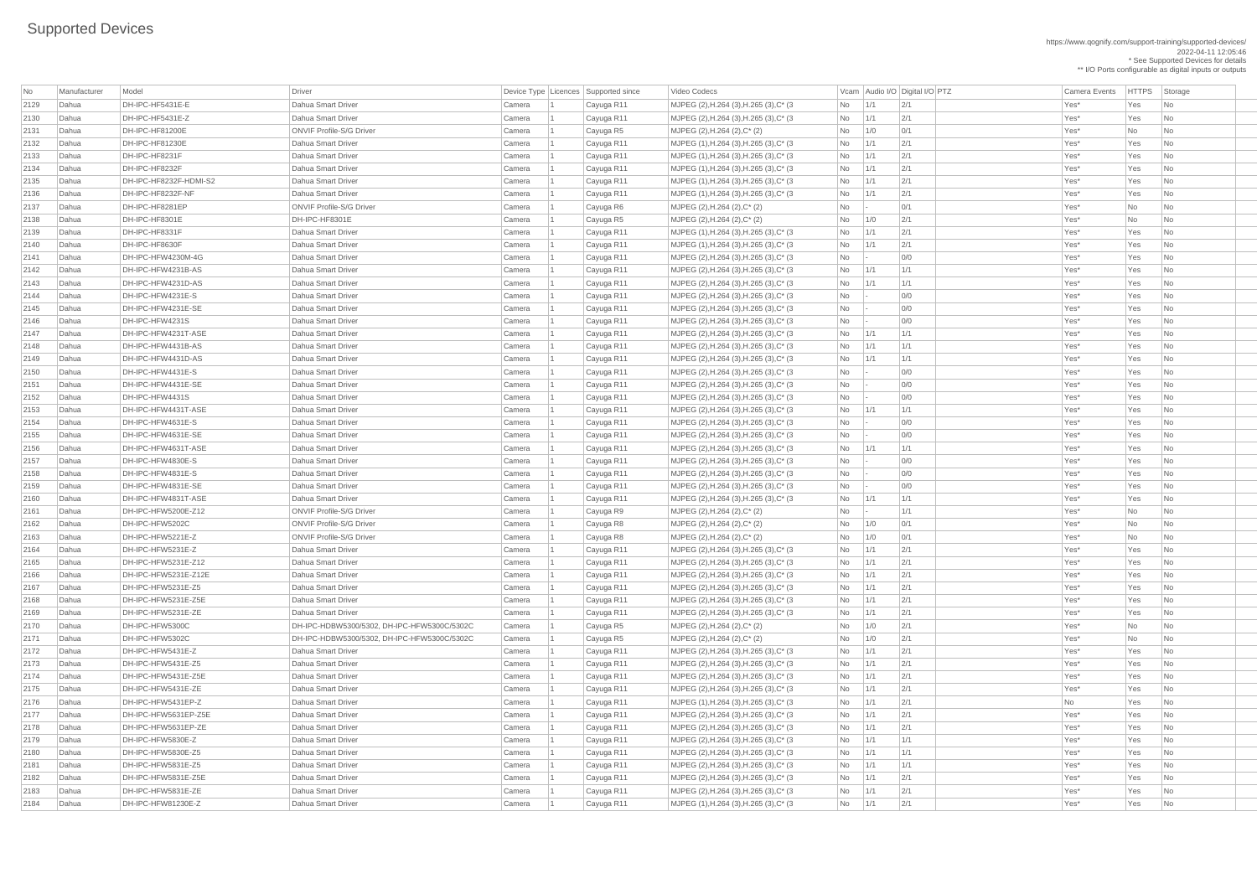https://www.qognify.com/support-training/supported-devices/ 2022-04-11 12:05:46 \* See Supported Devices for details

\*\* I/O Ports configurable as digital inputs or outputs

| No   | Manufacturer | Model                  | Driver                                                |                  | Device Type   Licences   Supported since | <b>Video Codecs</b>                         |                |             | Vcam Audio I/O Digital I/O PTZ | <b>Camera Events</b> | HTTPS Sto |                             |
|------|--------------|------------------------|-------------------------------------------------------|------------------|------------------------------------------|---------------------------------------------|----------------|-------------|--------------------------------|----------------------|-----------|-----------------------------|
| 2129 | Dahua        | DH-IPC-HF5431E-E       | Dahua Smart Driver                                    | Camera           | Cayuga R11                               | MJPEG (2), H.264 (3), H.265 (3), C* (3)     | <b>No</b>      | 1/1         | 2/1                            | Yes*                 | Yes       | $\overline{\phantom{a}}$ No |
| 2130 | Dahua        | DH-IPC-HF5431E-Z       | Dahua Smart Driver                                    | Camera           | Cayuga R11                               | MJPEG (2), H.264 (3), H.265 (3), C* (3)     | No             | 1/1         | 2/1                            | Yes*                 | Yes       | N <sub>o</sub>              |
| 2131 | Dahua        | DH-IPC-HF81200E        | <b>ONVIF Profile-S/G Driver</b>                       | Camera           | Cayuga R5                                | MJPEG (2), H.264 (2), C* (2)                | <b>No</b>      | 1/0         | 0/1                            | Yes*                 | No        | $\overline{\phantom{a}}$ No |
| 2132 | Dahua        | DH-IPC-HF81230E        | Dahua Smart Driver                                    | Camera           | Cayuga R11                               | $ $ MJPEG (1), H.264 (3), H.265 (3), C* (3) | <b>No</b>      | 1/1         | 2/1                            | Yes*                 | Yes       | $\overline{\phantom{a}}$ No |
| 2133 | Dahua        | DH-IPC-HF8231F         | Dahua Smart Driver                                    | Camera           | Cayuga R11                               | MJPEG (1), H.264 (3), H.265 (3), C* (3)     | <b>No</b>      | 1/1         | 2/1                            | Yes*                 | Yes       | $\overline{\phantom{a}}$ No |
| 2134 | Dahua        | DH-IPC-HF8232F         | Dahua Smart Driver                                    | Camera           | Cayuga R11                               | MJPEG (1), H.264 (3), H.265 (3), C* (3)     | <b>No</b>      | 1/1         | 2/1                            | Yes*                 | Yes       | $\overline{\phantom{a}}$ No |
| 2135 | Dahua        | DH-IPC-HF8232F-HDMI-S2 | Dahua Smart Driver                                    | Camera           | Cayuga R11                               | MJPEG (1), H.264 (3), H.265 (3), C* (3)     | <b>No</b>      | 1/1         | 2/1                            | Yes*                 | Yes       | $\overline{\phantom{a}}$ No |
| 2136 | Dahua        | DH-IPC-HF8232F-NF      | Dahua Smart Driver                                    | Camera           | Cayuga R11                               | MJPEG (1), H.264 (3), H.265 (3), C* (3)     | No             | 1/1         | 2/1                            | Yes*                 | Yes       | $\overline{\phantom{a}}$ No |
| 2137 | Dahua        | DH-IPC-HF8281EP        | <b>ONVIF Profile-S/G Driver</b>                       | Camera           | Cayuga R6                                | MJPEG (2), H.264 (2), C* (2)                | <b>No</b>      |             | 0/1                            | Yes*                 | No        | $\overline{\phantom{a}}$ No |
| 2138 | Dahua        | DH-IPC-HF8301E         | DH-IPC-HF8301E                                        | Camera           | Cayuga R5                                | $MJPEG (2), H.264 (2), C^*(2)$              | No             | 1/0         | 2/1                            | Yes*                 | No        | $\overline{\phantom{a}}$ No |
| 2139 | Dahua        | DH-IPC-HF8331F         | Dahua Smart Driver                                    | Camera           | Cayuga R11                               | MJPEG (1), H.264 (3), H.265 (3), C* (3)     | <b>No</b>      | 1/1         | 2/1                            | Yes*                 | Yes       | $\overline{\phantom{a}}$ No |
| 2140 | Dahua        | DH-IPC-HF8630F         | Dahua Smart Driver                                    | Camera           | Cayuga R11                               | MJPEG (1), H.264 (3), H.265 (3), C* (3)     | <b>No</b>      | 1/1         | 2/1                            | Yes*                 | Yes       | $\overline{\phantom{a}}$ No |
| 2141 | Dahua        | DH-IPC-HFW4230M-4G     | Dahua Smart Driver                                    | Camera           | Cayuga R11                               | MJPEG (2), H.264 (3), H.265 (3), C* (3)     | No             |             | 0/0                            | Yes*                 | Yes       | $\overline{\phantom{a}}$ No |
| 2142 | Dahua        | DH-IPC-HFW4231B-AS     | Dahua Smart Driver                                    | Camera           | Cayuga R11                               | MJPEG (2), H.264 (3), H.265 (3), C* (3)     | <b>No</b>      | 1/1         | 1/1                            | Yes*                 | Yes       | $\overline{\phantom{a}}$ No |
| 2143 | Dahua        | DH-IPC-HFW4231D-AS     | Dahua Smart Driver                                    | Camera           | Cayuga R11                               | MJPEG (2), H.264 (3), H.265 (3), C* (3)     | <b>No</b>      | 1/1         | 1/1                            | Yes*                 | Yes       | $\overline{\phantom{a}}$ No |
| 2144 | Dahua        | DH-IPC-HFW4231E-S      | Dahua Smart Driver                                    | Camera           | Cayuga R11                               | $ $ MJPEG (2), H.264 (3), H.265 (3), C* (3) | No             |             | 0/0                            | Yes*                 | Yes       | $\overline{\phantom{a}}$ No |
| 2145 | Dahua        | DH-IPC-HFW4231E-SE     | Dahua Smart Driver                                    | Camera           | Cayuga R11                               | MJPEG (2), H.264 (3), H.265 (3), C* (3)     | <b>No</b>      |             | 0/0                            | Yes*                 | Yes       | $\overline{\phantom{a}}$ No |
| 2146 | Dahua        | DH-IPC-HFW4231S        | Dahua Smart Driver                                    | Camera           | Cayuga R11                               | MJPEG (2), H.264 (3), H.265 (3), C* (3)     | <b>No</b>      |             | 0/0                            | Yes*                 | Yes       | $\overline{\phantom{a}}$ No |
| 2147 | Dahua        | DH-IPC-HFW4231T-ASE    | Dahua Smart Driver                                    | Camera           | Cayuga R11                               | MJPEG (2), H.264 (3), H.265 (3), C* (3)     | <b>No</b>      | 1/1         | 1/1                            | Yes*                 | Yes       | $\overline{\phantom{a}}$ No |
| 2148 | Dahua        | DH-IPC-HFW4431B-AS     | Dahua Smart Driver                                    | Camera           | Cayuga R11                               | MJPEG (2), H.264 (3), H.265 (3), C* (3)     | <b>No</b>      | 1/1         | 1/1                            | Yes*                 | Yes       | $\overline{\phantom{a}}$ No |
| 2149 | Dahua        | DH-IPC-HFW4431D-AS     | Dahua Smart Driver                                    | Camera           | Cayuga R11                               | MJPEG (2), H.264 (3), H.265 (3), C* (3)     | <b>No</b>      | 1/1         | 1/1                            | Yes*                 | Yes       | $\overline{\phantom{a}}$ No |
| 2150 | Dahua        | DH-IPC-HFW4431E-S      | Dahua Smart Driver                                    | Camera           | Cayuga R11                               | MJPEG (2), H.264 (3), H.265 (3), C* (3)     | No             |             | 0/0                            | Yes*                 | Yes       | $\overline{\phantom{a}}$ No |
| 2151 | Dahua        | DH-IPC-HFW4431E-SE     | Dahua Smart Driver                                    | Camera           | Cayuga R11                               | MJPEG (2), H.264 (3), H.265 (3), C* (3)     | <b>No</b>      |             | 0/0                            | Yes*                 | Yes       | $\overline{\phantom{a}}$ No |
| 2152 | Dahua        | DH-IPC-HFW4431S        | Dahua Smart Driver                                    | Camera           | Cayuga R11                               | MJPEG (2), H.264 (3), H.265 (3), C* (3)     | <b>No</b>      |             | 0/0                            | Yes*                 | Yes       | $\overline{\phantom{a}}$ No |
| 2153 | Dahua        | DH-IPC-HFW4431T-ASE    | Dahua Smart Driver                                    | Camera           | Cayuga R11                               | MJPEG (2), H.264 (3), H.265 (3), C* (3)     | <b>No</b>      | $\vert$ 1/1 | 1/1                            | Yes*                 | Yes       | N <sub>o</sub>              |
| 2154 | Dahua        | DH-IPC-HFW4631E-S      | Dahua Smart Driver                                    | Camera           | Cayuga R11                               | MJPEG (2), H.264 (3), H.265 (3), C* (3)     | No l           |             | 0/0                            | Yes*                 | Yes       | $\overline{\phantom{a}}$ No |
| 2155 | Dahua        | DH-IPC-HFW4631E-SE     | Dahua Smart Driver                                    | Camera           | Cayuga R11                               | MJPEG (2), H.264 (3), H.265 (3), C* (3)     | No             |             | 0/0                            | Yes <sup>*</sup>     | Yes       | $\overline{\phantom{a}}$ No |
| 2156 | Dahua        | DH-IPC-HFW4631T-ASE    | Dahua Smart Driver                                    | Camera           | Cayuga R11                               | MJPEG (2), H.264 (3), H.265 (3), C* (3)     | No             | $\vert$ 1/1 | 1/1                            | Yes*                 | Yes       | $\overline{\phantom{a}}$ No |
| 2157 | Dahua        | DH-IPC-HFW4830E-S      | Dahua Smart Driver                                    |                  | Cayuga R11                               | $ $ MJPEG (2), H.264 (3), H.265 (3), C* (3) | No             |             | 0/0                            | Yes*                 | Yes       | No                          |
| 2158 | Dahua        | DH-IPC-HFW4831E-S      | Dahua Smart Driver                                    | Camera<br>Camera |                                          |                                             | <b>No</b>      |             | 0/0                            | Yes*                 | Yes       | N <sub>o</sub>              |
|      | Dahua        | DH-IPC-HFW4831E-SE     | Dahua Smart Driver                                    |                  | Cayuga R11                               | MJPEG (2), H.264 (3), H.265 (3), C* (3)     |                |             | 0/0                            |                      |           |                             |
| 2159 |              | DH-IPC-HFW4831T-ASE    |                                                       | Camera           | Cayuga R11                               | MJPEG (2), H.264 (3), H.265 (3), C* (3)     | No             |             |                                | Yes*                 | Yes       | $\overline{\phantom{a}}$ No |
| 2160 | Dahua        | DH-IPC-HFW5200E-Z12    | Dahua Smart Driver<br><b>ONVIF Profile-S/G Driver</b> | Camera           | Cayuga R11                               | MJPEG (2), H.264 (3), H.265 (3), C* (3)     | No             | 1/1         | 1/1                            | Yes*                 | Yes       | $\overline{\phantom{a}}$ No |
| 2161 | Dahua        |                        |                                                       | Camera           | Cayuga R9                                | MJPEG (2), H.264 (2), C* (2)                | No             |             | 1/1                            | Yes <sup>*</sup>     | No        | $\overline{\phantom{a}}$ No |
| 2162 | Dahua        | DH-IPC-HFW5202C        | <b>ONVIF Profile-S/G Driver</b>                       | Camera           | Cayuga R8                                | MJPEG $(2)$ , H.264 $(2)$ , C* $(2)$        | No             | 1/0         | 0/1                            | Yes*                 | No        | N <sub>o</sub>              |
| 2163 | Dahua        | DH-IPC-HFW5221E-Z      | <b>ONVIF Profile-S/G Driver</b>                       | Camera           | Cayuga R8                                | $MJPEG (2), H.264 (2), C^*(2)$              | No             | 1/0         | 0/1                            | Yes*                 | No        | $\overline{\phantom{a}}$ No |
| 2164 | Dahua        | DH-IPC-HFW5231E-Z      | Dahua Smart Driver                                    | Camera           | Cayuga R11                               | MJPEG (2), H.264 (3), H.265 (3), C* (3)     | No             | 1/1         | 2/1                            | Yes*                 | Yes       | $\overline{\phantom{a}}$ No |
| 2165 | Dahua        | DH-IPC-HFW5231E-Z12    | Dahua Smart Driver                                    | Camera           | Cayuga R11                               | MJPEG (2), H.264 (3), H.265 (3), C* (3)     | <b>No</b>      | 1/1         | 2/1                            | Yes*                 | Yes       | $\overline{\phantom{a}}$ No |
| 2166 | Dahua        | DH-IPC-HFW5231E-Z12E   | Dahua Smart Driver                                    | Camera           | Cayuga R11                               | MJPEG (2), H.264 (3), H.265 (3), C* (3)     | No             | 1/1         | 2/1                            | Yes*                 | Yes       | $\overline{\phantom{a}}$ No |
| 2167 | Dahua        | DH-IPC-HFW5231E-Z5     | Dahua Smart Driver                                    | Camera           | Cayuga R11                               | MJPEG (2), H.264 (3), H.265 (3), C* (3)     | <b>No</b>      | 1/1         | 2/1                            | Yes*                 | Yes       | $\overline{\phantom{a}}$ No |
| 2168 | Dahua        | DH-IPC-HFW5231E-Z5E    | Dahua Smart Driver                                    | Camera           | Cayuga R11                               | MJPEG (2), H.264 (3), H.265 (3), C* (3)     | No             | 1/1         | 2/1                            | Yes*                 | Yes       | $\overline{\phantom{a}}$ No |
| 2169 | Dahua        | DH-IPC-HFW5231E-ZE     | Dahua Smart Driver                                    | Camera           | Cayuga R11                               | MJPEG (2), H.264 (3), H.265 (3), C* (3)     | No             | 1/1         | 2/1                            | Yes*                 | Yes       | $\overline{\phantom{a}}$ No |
| 2170 | Dahua        | DH-IPC-HFW5300C        | DH-IPC-HDBW5300/5302, DH-IPC-HFW5300C/5302C           | Camera           | Cayuga R5                                | MJPEG (2), H.264 (2), C* (2)                | <b>No</b>      | 1/0         | 2/1                            | Yes*                 | No        | $\overline{\phantom{a}}$ No |
| 2171 | Dahua        | DH-IPC-HFW5302C        | DH-IPC-HDBW5300/5302, DH-IPC-HFW5300C/5302C           | Camera           | Cayuga R5                                | MJPEG (2), H.264 (2), C* (2)                | No             | 1/0         | 2/1                            | Yes <sup>*</sup>     | No        | $\overline{\phantom{a}}$ No |
| 2172 | Dahua        | DH-IPC-HFW5431E-Z      | Dahua Smart Driver                                    | Camera           | Cayuga R11                               | $ $ MJPEG (2), H.264 (3), H.265 (3), C* (3) | No             | 1/1         | 2/1                            | Yes*                 | Yes       | $\overline{\phantom{a}}$ No |
| 2173 | Dahua        | DH-IPC-HFW5431E-Z5     | Dahua Smart Driver                                    | Camera           | Cayuga R11                               | MJPEG (2), H.264 (3), H.265 (3), C* (3)     | No             | 1/1         | 2/1                            | Yes*                 | Yes       | $\overline{\phantom{a}}$ No |
| 2174 | Dahua        | DH-IPC-HFW5431E-Z5E    | Dahua Smart Driver                                    | Camera           | Cayuga R11                               | MJPEG (2), H.264 (3), H.265 (3), C* (3)     | No             | 1/1         | 2/1                            | Yes*                 | Yes       | $\overline{\phantom{a}}$ No |
| 2175 | Dahua        | DH-IPC-HFW5431E-ZE     | Dahua Smart Driver                                    | Camera           | Cayuga R11                               | MJPEG (2), H.264 (3), H.265 (3), C* (3)     | No             | 1/1         | 2/1                            | Yes*                 | Yes       | $\overline{\phantom{a}}$ No |
| 2176 | Dahua        | DH-IPC-HFW5431EP-Z     | Dahua Smart Driver                                    | Camera           | Cayuga R11                               | MJPEG (1), H.264 (3), H.265 (3), C* (3)     | No             | 1/1         | 2/1                            | No                   | Yes       | $\overline{\phantom{a}}$ No |
| 2177 | Dahua        | DH-IPC-HFW5631EP-Z5E   | Dahua Smart Driver                                    | Camera           | Cayuga R11                               | MJPEG (2), H.264 (3), H.265 (3), C* (3)     | <b>No</b>      | 1/1         | 2/1                            | Yes*                 | Yes       | $\overline{\phantom{a}}$ No |
| 2178 | Dahua        | DH-IPC-HFW5631EP-ZE    | Dahua Smart Driver                                    | Camera           | Cayuga R11                               | MJPEG (2), H.264 (3), H.265 (3), C* (3)     | No             | 1/1         | 2/1                            | Yes*                 | Yes       | $\overline{\phantom{a}}$ No |
| 2179 | Dahua        | DH-IPC-HFW5830E-Z      | Dahua Smart Driver                                    | Camera           | Cayuga R11                               | MJPEG (2), H.264 (3), H.265 (3), C* (3)     | No             | 1/1         | 1/1                            | Yes*                 | Yes       | $\overline{\phantom{a}}$ No |
| 2180 | ∣Dahua       | DH-IPC-HFW5830E-Z5     | Dahua Smart Driver                                    | Camera           | Cayuga R11                               | MJPEG (2), H.264 (3), H.265 (3), C* (3)     | No             | $\vert$ 1/1 | 1/1                            | Yes <sup>*</sup>     | Yes       | No                          |
| 2181 | Dahua        | DH-IPC-HFW5831E-Z5     | Dahua Smart Driver                                    | Camera           | Cayuga R11                               | MJPEG (2), H.264 (3), H.265 (3), C* (3)     | $No$ $1/1$     |             | 1/1                            | Yes*                 | Yes       | $\overline{\phantom{a}}$ No |
| 2182 | Dahua        | DH-IPC-HFW5831E-Z5E    | Dahua Smart Driver                                    | Camera           | Cayuga R11                               | MJPEG (2), H.264 (3), H.265 (3), C* (3)     | No             | 1/1         | 2/1                            | Yes*                 | Yes       | $\overline{\phantom{a}}$ No |
| 2183 | Dahua        | DH-IPC-HFW5831E-ZE     | Dahua Smart Driver                                    | Camera           | Cayuga R11                               | MJPEG (2), H.264 (3), H.265 (3), C* (3)     | No             | 1/1         | 2/1                            | Yes*                 | Yes       | $\overline{\phantom{a}}$ No |
| 2184 | Dahua        | DH-IPC-HFW81230E-Z     | Dahua Smart Driver                                    | Camera           | Cayuga R11                               | MJPEG (1), H.264 (3), H.265 (3), C* (3)     | N <sub>o</sub> | 1/1         | 2/1                            | Yes*                 | Yes       | $\overline{\phantom{a}}$ No |

| Video Codecs | No Manufacturer | No Manufacturer | Vcam | Audio I/O | Digital I/O | PTZ | Camera Events | HTTPS | Storage | MJPEG (2),H.264 (3),H.265 (3),C\* (3  $\hbox{No}$  | 1/1  $\hbox{2/1}$  |  $\hbox{N}$  Yes\* Yes No | MJPEG (2),H.264 (3),H.265 (3),C\* (3  $\hbox{No}$  | 1/1  $\hbox{2/1}$  |  $\hbox{N}$  Yes\* Yes No 2132 Dahua DH-IPC-HF81230E Dahua Smart Driver Camera 1 Cayuga R11 MJPEG (1),H.264 (3),H.265 (3),C\* (3 No 1/1 2/1 Yes\* Yes No 2133 Dahua DH-IPC-HF8231F Dahua Smart Driver Camera 1 Cayuga R11 MJPEG (1),H.264 (3),H.265 (3),C\* (3 No 1/1 2/1 Yes\* Yes No | MJPEG (1),H.264 (3),H.265 (3),C\* (3  $\qquad$  No  $\qquad$  1/1  $\qquad$  2/1  $\qquad$  Yes\* Yes No | MJPEG (1),H.264 (3),H.265 (3),C\* (3  $\blacksquare$  No  $\blacksquare$  1/1  $\blacksquare$  2/1  $\blacksquare$  Yes\* Yes No No 1/1 Yes No | MJPEG (1),H.264 (3),H.265 (3),C\* (3  $\qquad$  No  $\qquad$  1/1  $\qquad$  2/1  $\qquad$  Yes\* Yes No  $\qquad$ | MJPEG (1),H.264 (3),H.265 (3),C\* (3  $\qquad$  No  $\qquad$  1/1  $\qquad$  2/1  $\qquad$  Yes\* Yes No 2140 Dahua DH-IPC-HF8630F Dahua Smart Driver Camera 1 Cayuga R11 MJPEG (1),H.264 (3),H.265 (3),C\* (3 No 1/1 2/1 Yes\* Yes No | MJPEG (2),H.264 (3),H.265 (3),C\* (3  $\hbox{No}$  | - 0/0 | 0/0 Yes\* Yes No | MJPEG (2),H.264 (3),H.265 (3),C\* (3  $\qquad$  No  $\qquad$  1/1  $\qquad$  1/1  $\qquad$  1/1  $\qquad$  Yes\* Yes No  $\qquad$ | MJPEG (2),H.264 (3),H.265 (3),C\* (3  $\qquad$  No  $\qquad$  1/1  $\qquad$  1/1  $\qquad$  1/1  $\qquad$  Yes\* Yes No  $\qquad$ | MJPEG (2),H.264 (3),H.265 (3),C\* (3  $\qquad$  No  $\qquad$  - 0/0  $\qquad$  0/0 Yes\* Yes No | MJPEG (2),H.264 (3),H.265 (3),C\* (3  $\hbox{No}$  | - 0/0 | 0/0 Yes\* Yes No | Yes No | MJPEG (2),H.264 (3),H.265 (3),C\* (3  $\hbox{No}$  | - 0/0 | 0/0 Yes\* Yes No | MJPEG (2),H.264 (3),H.265 (3),C\* (3  $\blacksquare$  No  $\blacksquare$  1/1  $\blacksquare$  1/1  $\blacksquare$  1/1  $\blacksquare$  Yes\* Yes No  $\blacksquare$ | MJPEG (2),H.264 (3),H.265 (3),C\* (3  $\qquad$  No  $\qquad$  1/1  $\qquad$  1/1  $\qquad$  1/1  $\qquad$  Yes\* Yes No  $\qquad$ 2149 Dahua DH-IPC-HFW4431D-AS Dahua Smart Driver Camera 1 Cayuga R11 MJPEG (2),H.264 (3),H.265 (3),C\* (3 No 1/1 1/1 Yes\* Yes No | MJPEG (2),H.264 (3),H.265 (3),C\* (3  $\qquad$  No  $\qquad$  - 0/0  $\qquad$  0/0 Yes\* Yes No | MJPEG (2),H.264 (3),H.265 (3),C\* (3  $\qquad$  No  $\qquad$  - 0/0  $\qquad$  0/0 Yes\* Yes No | MJPEG (2),H.264 (3),H.265 (3),C\* (3  $\hbox{No}$  | - 0/0 | 0/0 Yes\* Yes No | MJPEG (2),H.264 (3),H.265 (3),C\* (3  $\qquad$  No  $\qquad$  1/1  $\qquad$  1/1  $\qquad$  1/1  $\qquad$  Yes\* Yes No  $\qquad$ | MJPEG (2),H.264 (3),H.265 (3),C\* (3  $\hbox{No}$  | - 0/0 | 0/0 Yes\* Yes No | Yes No | MJPEG (2),H.264 (3),H.265 (3),C\* (3  $\hbox{No}$  | - 0/0 | 0/0 Yes\* Yes No 2156 Dahua DH-IPC-HFW4631T-ASE Dahua Smart Driver Camera 1 Cayuga R11 MJPEG (2),H.264 (3),H.265 (3),C\* (3 No 1/1 1/1 Yes\* Yes No | MJPEG (2),H.264 (3),H.265 (3),C\* (3  $\qquad$  No  $\qquad$  - 0/0  $\qquad$  0/0 Yes\* Yes No | MJPEG (2),H.264 (3),H.265 (3),C\* (3  $\qquad$  No  $\qquad$  - 0/0  $\qquad$  0/0 Yes\* Yes No | MJPEG (2),H.264 (3),H.265 (3),C\* (3  $\hbox{No}$  | - 0/0 | 0/0 Yes\* Yes No | MJPEG (2),H.264 (3),H.265 (3),C\* (3  $\qquad \qquad$  No  $\qquad$  1/1  $\qquad$  1/1  $\qquad$  1/1  $\qquad$  Yes\* Yes No | MJPEG (2),H.264 (3),H.265 (3),C\* (3  $\qquad$  No  $\qquad$  1/1  $\qquad$  2/1  $\qquad$  Yes\* Yes No | MJPEG (2),H.264 (3),H.265 (3),C\* (3  $\qquad$  No  $\qquad$  1/1  $\qquad$  2/1  $\qquad$  Yes\* Yes No | MJPEG (2),H.264 (3),H.265 (3),C\* (3  $\qquad$  No  $\qquad$  1/1  $\qquad$  2/1  $\qquad$  Yes\* Yes No | MJPEG (2),H.264 (3),H.265 (3),C\* (3  $\qquad$  No  $\qquad$  1/1  $\qquad$  2/1  $\qquad$  Yes\* Yes No 2168 Dahua DH-IPC-HFW5231E-Z5E Dahua Smart Driver Camera 1 Cayuga R11 MJPEG (2),H.264 (3),H.265 (3),C\* (3 No 1/1 2/1 Yes\* Yes No 2169 Dahua DH-IPC-HFW5231E-ZE Dahua Smart Driver Camera 1 Cayuga R11 MJPEG (2),H.264 (3),H.265 (3),C\* (3 No 1/1 2/1 Yes\* Yes No | MJPEG (2),H.264 (3),H.265 (3),C\* (3  $\hbox{No}$  | 1/1  $\hbox{2/1}$  |  $\hbox{N}$  Yes\* Yes No | MJPEG (2),H.264 (3),H.265 (3),C\* (3  $\blacksquare$  No  $\blacksquare$  1/1  $\blacksquare$  2/1  $\blacksquare$  Yes\* Yes No No 1/1  $\blacksquare$ | MJPEG (2),H.264 (3),H.265 (3),C\* (3  $\qquad$  No  $\qquad$  1/1  $\qquad$  2/1  $\qquad$  Yes\* Yes No  $\qquad$ 2175 Dahua DH-IPC-HFW5431E-ZE Dahua Smart Driver Camera 1 Cayuga R11 MJPEG (2),H.264 (3),H.265 (3),C\* (3 No 1/1 2/1 Yes\* Yes No 2176 Dahua DH-IPC-HFW5431EP-Z Dahua Smart Driver Camera 1 Cayuga R11 MJPEG (1),H.264 (3),H.265 (3),C\* (3 No 1/1 2/1 No Yes No | MJPEG (2),H.264 (3),H.265 (3),C\* (3  $\qquad$  No  $\qquad$  1/1  $\qquad$  2/1  $\qquad$  Yes\* Yes No | MJPEG (2),H.264 (3),H.265 (3),C\* (3  $\qquad$  No  $\qquad$  1/1  $\qquad$  2/1  $\qquad$  Yes\* Yes No  $\qquad$ | MJPEG (2),H.264 (3),H.265 (3),C\* (3  $\blacksquare$  No  $\blacksquare$  1/1  $\blacksquare$  1/1  $\blacksquare$  1/1  $\blacksquare$  Yes\* Yes No  $\blacksquare$ | MJPEG (2),H.264 (3),H.265 (3),C\* (3  $\blacksquare$  No  $\blacksquare$  1/1  $\blacksquare$  1/1  $\blacksquare$  1/1  $\blacksquare$  Yes\* Yes No  $\blacksquare$ 2182 Dahua DH-IPC-HFW5831E-Z5E Dahua Smart Driver Camera 1 Cayuga R11 MJPEG (2),H.264 (3),H.265 (3),C\* (3 No 1/1 2/1 Yes\* Yes No | MJPEG (2),H.264 (3),H.265 (3),C\* (3  $\qquad$  No  $\qquad$  1/1  $\qquad$  2/1  $\qquad$  Yes\* Yes No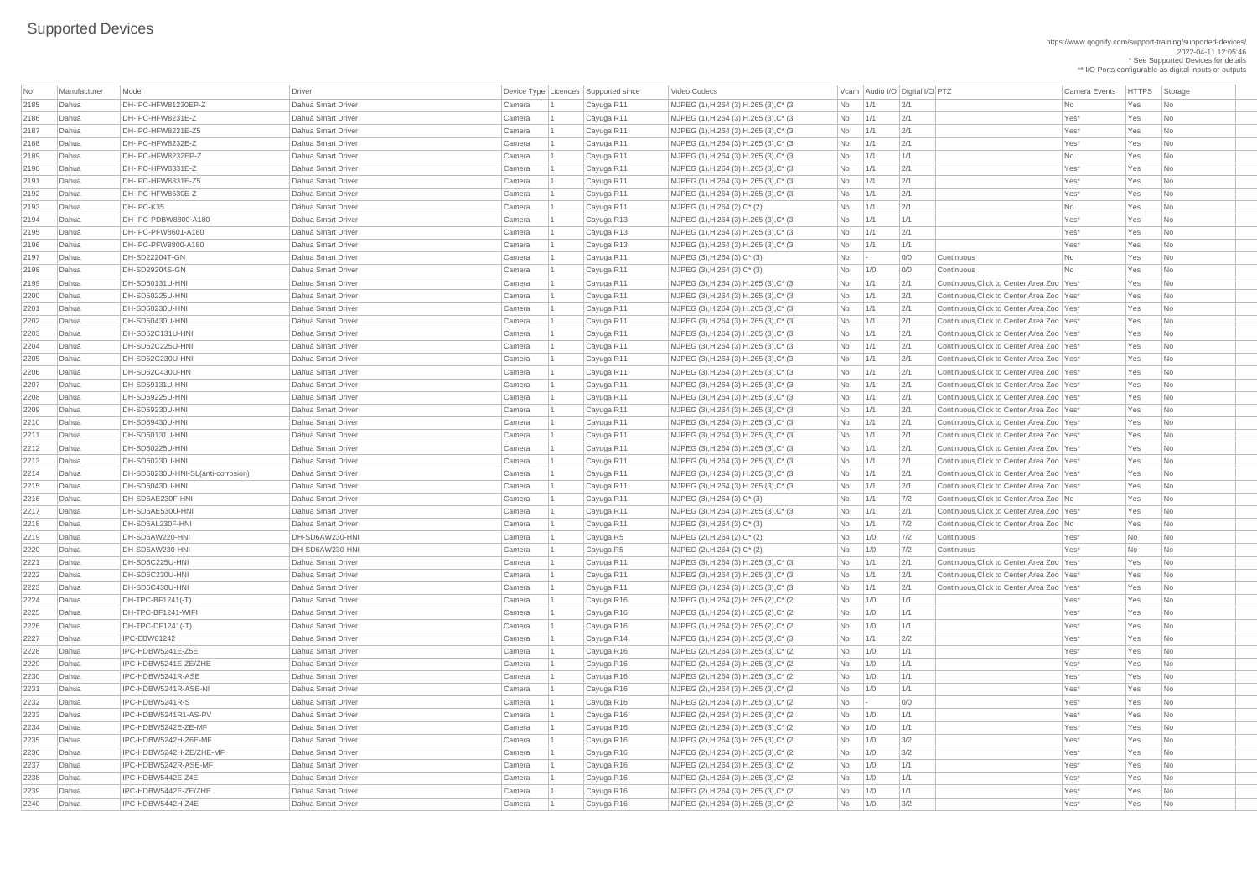https://www.qognify.com/support-training/supported-devices/ 2022-04-11 12:05:46 \* See Supported Devices for details \*\* I/O Ports configurable as digital inputs or outputs

| <b>No</b> | Manufacturer | Model                              | Driver                    |        | Device Type   Licences   Supported since | Video Codecs                                     |                |             | Vcam Audio I/O Digital I/O PTZ |                                              | <b>Camera Events</b> | <b>HTTPS</b> | Storage                     |  |
|-----------|--------------|------------------------------------|---------------------------|--------|------------------------------------------|--------------------------------------------------|----------------|-------------|--------------------------------|----------------------------------------------|----------------------|--------------|-----------------------------|--|
| 2185      | Dahua        | DH-IPC-HFW81230EP-Z                | Dahua Smart Driver        | Camera | Cayuga R11                               | MJPEG (1), H.264 (3), H.265 (3), C* (3)          | No             | $\vert$ 1/1 | 2/1                            |                                              | No                   | Yes          | No                          |  |
| 2186      | Dahua        | DH-IPC-HFW8231E-Z                  | Dahua Smart Driver        | Camera | Cayuga R11                               | MJPEG (1), H.264 (3), H.265 (3), C* (3)          | No             | 1/1         | 2/1                            |                                              | Yes*                 | Yes          | <b>No</b>                   |  |
| 2187      | Dahua        | DH-IPC-HFW8231E-Z5                 | Dahua Smart Driver        | Camera | Cayuga R11                               | MJPEG (1), H.264 (3), H.265 (3), C* (3)          | No             | 1/1         | 2/1                            |                                              | Yes*                 | Yes          | No                          |  |
| 2188      | Dahua        | DH-IPC-HFW8232E-Z                  | Dahua Smart Driver        | Camera | Cayuga R11                               | $ $ MJPEG (1), H.264 (3), H.265 (3), C* (3)      | No             | $\vert$ 1/1 | 2/1                            |                                              | Yes*                 | Yes          | No                          |  |
| 2189      | Dahua        | DH-IPC-HFW8232EP-Z                 | Dahua Smart Driver        | Camera | Cayuga R11                               | MJPEG (1), H.264 (3), H.265 (3), C* (3)          | No             | $\vert$ 1/1 | 1/1                            |                                              | No                   | Yes          | <b>No</b>                   |  |
| 2190      | Dahua        | DH-IPC-HFW8331E-Z                  | Dahua Smart Driver        | Camera | Cayuga R11                               | MJPEG (1), H.264 (3), H.265 (3), C* (3)          | No             | 1/1         | 2/1                            |                                              | Yes*                 | Yes          | No                          |  |
| 2191      | Dahua        | DH-IPC-HFW8331E-Z5                 | Dahua Smart Driver        | Camera | Cayuga R11                               | MJPEG (1), H.264 (3), H.265 (3), C* (3)          | No             | 1/1         | 2/1                            |                                              | Yes*                 | Yes          | No                          |  |
| 2192      | Dahua        | DH-IPC-HFW8630E-Z                  | Dahua Smart Driver        | Camera | Cayuga R11                               | MJPEG (1), H.264 (3), H.265 (3), C* (3)          | No             | 1/1         | 2/1                            |                                              | Yes*                 | Yes          | <b>No</b>                   |  |
| 2193      | Dahua        | DH-IPC-K35                         | Dahua Smart Driver        | Camera | Cayuga R11                               | $MJPEG (1), H.264 (2), C^* (2)$                  | No             | 1/1         | 2/1                            |                                              | No                   | Yes          | No                          |  |
| 2194      | Dahua        | DH-IPC-PDBW8800-A180               | Dahua Smart Driver        | Camera | Cayuga R13                               | $ $ MJPEG (1), H.264 (3), H.265 (3), C* (3)      | No             | $\vert$ 1/1 | 1/1                            |                                              | Yes*                 | Yes          | N <sub>o</sub>              |  |
| 2195      | Dahua        | DH-IPC-PFW8601-A180                | Dahua Smart Driver        | Camera | Cayuga R13                               | $MJPEG (1), H.264 (3), H.265 (3), C^* (3)$       | No             | 1/1         | 2/1                            |                                              | Yes*                 | Yes          | No                          |  |
| 2196      | Dahua        | DH-IPC-PFW8800-A180                | Dahua Smart Driver        | Camera | Cayuga R13                               | MJPEG (1), H.264 (3), H.265 (3), C* (3)          | No             | 1/1         | 1/1                            |                                              | Yes*                 | Yes          | No                          |  |
| 2197      | Dahua        | DH-SD22204T-GN                     | Dahua Smart Driver        | Camera | Cayuga R11                               | MJPEG (3), H.264 (3), C* (3)                     | No             |             | 0/0                            | Continuous                                   | <b>No</b>            | Yes          | No                          |  |
| 2198      | Dahua        | <b>DH-SD29204S-GN</b>              | Dahua Smart Driver        | Camera | Cayuga R11                               | $MJPEG (3), H.264 (3), C^*(3)$                   | No             | 1/0         | 0/0                            | Continuous                                   | No                   | Yes          | <b>No</b>                   |  |
| 2199      | Dahua        | DH-SD50131U-HNI                    | Dahua Smart Driver        | Camera | Cayuga R11                               | MJPEG (3), H.264 (3), H.265 (3), C* (3)          | No             | 1/1         | 2/1                            | Continuous, Click to Center, Area Zoo   Yes* |                      | Yes          | No                          |  |
| 2200      | Dahua        | <b>DH-SD50225U-HNI</b>             | <b>Dahua Smart Driver</b> |        |                                          |                                                  |                |             | 2/1                            | Continuous, Click to Center, Area Zoo   Yes* |                      | Yes          | No                          |  |
|           |              |                                    |                           | Camera | Cayuga R11                               | $ $ MJPEG (3), H.264 (3), H.265 (3), C* (3)      | No             | $\vert$ 1/1 |                                |                                              |                      |              |                             |  |
| 2201      | Dahua        | <b>DH-SD50230U-HNI</b>             | Dahua Smart Driver        | Camera | Cayuga R11                               | MJPEG (3), H.264 (3), H.265 (3), C* (3)          | No             | $\vert$ 1/1 | 2/1                            | Continuous, Click to Center, Area Zoo   Yes* |                      | Yes          | No                          |  |
| 2202      | Dahua        | <b>DH-SD50430U-HNI</b>             | Dahua Smart Driver        | Camera | Cayuga R11                               | MJPEG (3), H.264 (3), H.265 (3), C* (3)          | No             | 1/1         | 2/1                            | Continuous, Click to Center, Area Zoo   Yes* |                      | Yes          | No                          |  |
| 2203      | Dahua        | DH-SD52C131U-HNI                   | Dahua Smart Driver        | Camera | Cayuga R11                               | MJPEG (3), H.264 (3), H.265 (3), C* (3)          | No             | 1/1         | 2/1                            | Continuous, Click to Center, Area Zoo   Yes* |                      | Yes          | No                          |  |
| 2204      | Dahua        | DH-SD52C225U-HNI                   | Dahua Smart Driver        | Camera | Cayuga R11                               | MJPEG (3), H.264 (3), H.265 (3), C* (3)          | No             | 1/1         | 2/1                            | Continuous, Click to Center, Area Zoo   Yes* |                      | Yes          | <b>No</b>                   |  |
| 2205      | Dahua        | DH-SD52C230U-HNI                   | Dahua Smart Driver        | Camera | Cayuga R11                               | MJPEG (3), H.264 (3), H.265 (3), C* (3)          | No             | 1/1         | 2/1                            | Continuous, Click to Center, Area Zoo   Yes* |                      | Yes          | No                          |  |
| 2206      | Dahua        | DH-SD52C430U-HN                    | Dahua Smart Driver        | Camera | Cayuga R11                               | MJPEG (3), H.264 (3), H.265 (3), C* (3)          | No             | $\vert$ 1/1 | 2/1                            | Continuous, Click to Center, Area Zoo   Yes* |                      | Yes          | N <sub>o</sub>              |  |
| 2207      | Dahua        | <b>DH-SD59131U-HNI</b>             | Dahua Smart Driver        | Camera | Cayuga R11                               | $MJPEG (3), H.264 (3), H.265 (3), C^* (3)$       | No             | $\vert$ 1/1 | 2/1                            | Continuous, Click to Center, Area Zoo   Yes* |                      | Yes          | <b>No</b>                   |  |
| 2208      | Dahua        | <b>DH-SD59225U-HNI</b>             | Dahua Smart Driver        | Camera | Cayuga R11                               | MJPEG (3), H.264 (3), H.265 (3), C* (3)          | No             | 1/1         | 2/1                            | Continuous, Click to Center, Area Zoo   Yes* |                      | Yes          | No                          |  |
| 2209      | Dahua        | DH-SD59230U-HNI                    | Dahua Smart Driver        | Camera | Cayuga R11                               | MJPEG (3), H.264 (3), H.265 (3), C* (3)          | <b>No</b>      | $\vert$ 1/1 | 2/1                            | Continuous, Click to Center, Area Zoo   Yes* |                      | Yes          | No                          |  |
| 2210      | Dahua        | DH-SD59430U-HNI                    | Dahua Smart Driver        | Camera | Cayuga R11                               | MJPEG (3), H.264 (3), H.265 (3), C* (3)          | No             | 1/1         | 2/1                            | Continuous, Click to Center, Area Zoo   Yes* |                      | Yes          | $\overline{\phantom{a}}$ No |  |
| 2211      | Dahua        | DH-SD60131U-HNI                    | <b>Dahua Smart Driver</b> | Camera | Cayuga R11                               | MJPEG (3), H.264 (3), H.265 (3), C* (3)          | No             | 1/1         | 2/1                            | Continuous, Click to Center, Area Zoo   Yes* |                      | Yes          | N <sub>o</sub>              |  |
| 2212      | Dahua        | DH-SD60225U-HNI                    | Dahua Smart Driver        | Camera | Cayuga R11                               | MJPEG (3), H.264 (3), H.265 (3), C* (3)          | No             | 1/1         | 2/1                            | Continuous, Click to Center, Area Zoo   Yes* |                      | Yes          | N <sub>o</sub>              |  |
| 2213      | Dahua        | <b>DH-SD60230U-HNI</b>             | Dahua Smart Driver        | Camera | Cayuga R11                               | $ $ MJPEG (3), H.264 (3), H.265 (3), C* (3)      | No             | $\vert$ 1/1 | 2/1                            | Continuous, Click to Center, Area Zoo   Yes* |                      | Yes          | No                          |  |
| 2214      | Dahua        | DH-SD60230U-HNI-SL(anti-corrosion) | <b>Dahua Smart Driver</b> | Camera | Cayuga R11                               | MJPEG (3), H.264 (3), H.265 (3), C* (3)          | No             | 1/1         | 2/1                            | Continuous, Click to Center, Area Zoo   Yes* |                      | Yes          | N <sub>o</sub>              |  |
| 2215      | Dahua        | DH-SD60430U-HNI                    | <b>Dahua Smart Driver</b> | Camera | Cayuga R11                               | MJPEG (3), H.264 (3), H.265 (3), C* (3)          | No             | 1/1         | 2/1                            | Continuous, Click to Center, Area Zoo   Yes* |                      | Yes          | <b>No</b>                   |  |
| 2216      | Dahua        | DH-SD6AE230F-HNI                   | Dahua Smart Driver        | Camera | Cayuga R11                               | $MJPEG (3), H.264 (3), C^*(3)$                   | No             | 1/1         | 7/2                            | Continuous, Click to Center, Area Zoo No     |                      | Yes          | <b>No</b>                   |  |
| 2217      | Dahua        | DH-SD6AE530U-HNI                   | <b>Dahua Smart Driver</b> | Camera | Cayuga R11                               | MJPEG (3), H.264 (3), H.265 (3), C* (3)          | No             | 1/1         | 2/1                            | Continuous, Click to Center, Area Zoo   Yes* |                      | Yes          | N <sub>o</sub>              |  |
| 2218      | Dahua        | DH-SD6AL230F-HNI                   | Dahua Smart Driver        | Camera | Cayuga R11                               | MJPEG (3), H.264 (3), C* (3)                     | <b>No</b>      | 1/1         | 7/2                            | Continuous, Click to Center, Area Zoo No     |                      | Yes          | N <sub>o</sub>              |  |
| 2219      | Dahua        | DH-SD6AW220-HNI                    | DH-SD6AW230-HNI           | Camera | Cayuga R5                                | MJPEG $(2)$ , H.264 $(2)$ , C* $(2)$             | No             | 1/0         | 7/2                            | Continuous                                   | Yes*                 | No           | <b>No</b>                   |  |
| 2220      | Dahua        | DH-SD6AW230-HNI                    | DH-SD6AW230-HNI           | Camera | Cayuga R5                                | MJPEG $(2)$ , H.264 $(2)$ , C <sup>*</sup> $(2)$ | No             | 1/0         | 7/2                            | Continuous                                   | Yes*                 | No           | <b>No</b>                   |  |
| 2221      | Dahua        | DH-SD6C225U-HNI                    | Dahua Smart Driver        | Camera | Cayuga R11                               | $ $ MJPEG (3), H.264 (3), H.265 (3), C* (3)      | No             | 1/1         | 2/1                            | Continuous, Click to Center, Area Zoo   Yes* |                      | Yes          | N <sub>o</sub>              |  |
| 2222      | Dahua        | DH-SD6C230U-HNI                    | Dahua Smart Driver        |        |                                          |                                                  |                | 1/1         | 2/1                            | Continuous, Click to Center, Area Zoo   Yes* |                      | Yes          | No                          |  |
|           |              |                                    |                           | Camera | Cayuga R11                               | MJPEG (3), H.264 (3), H.265 (3), C* (3)          | No             |             |                                |                                              |                      |              |                             |  |
| 2223      | Dahua        | DH-SD6C430U-HNI                    | Dahua Smart Driver        | Camera | Cayuga R11                               | MJPEG (3), H.264 (3), H.265 (3), C* (3)          | No             | 1/1         | 2/1                            | Continuous, Click to Center, Area Zoo   Yes* |                      | Yes          | N <sub>o</sub>              |  |
| 2224      | Dahua        | DH-TPC-BF1241(-T)                  | Dahua Smart Driver        | Camera | Cayuga R16                               | MJPEG (1), H.264 (2), H.265 (2), C* (2)          | No             | 1/0         | 1/1                            |                                              | Yes*                 | Yes          | N <sub>0</sub>              |  |
| 2225      | Dahua        | DH-TPC-BF1241-WIFI                 | Dahua Smart Driver        | Camera | Cayuga R16                               | MJPEG (1), H.264 (2), H.265 (2), C* (2)          | No             | 1/0         | 1/1                            |                                              | Yes*                 | Yes          | N <sub>o</sub>              |  |
| 2226      | Dahua        | $ DH-TPC-DF1241(-T) $              | Dahua Smart Driver        | Camera | Cayuga R16                               | MJPEG (1), H.264 (2), H.265 (2), C* (2)          | No             | 1/0         | 1/1                            |                                              | Yes*                 | Yes          | N <sub>o</sub>              |  |
| 2227      | Dahua        | <b>IPC-EBW81242</b>                | Dahua Smart Driver        | Camera | Cayuga R14                               | MJPEG (1), H.264 (3), H.265 (3), C* (3)          | No             | 1/1         | 2/2                            |                                              | Yes*                 | Yes          | No                          |  |
| 2228      | Dahua        | IPC-HDBW5241E-Z5E                  | <b>Dahua Smart Driver</b> | Camera | Cayuga R16                               | MJPEG (2), H.264 (3), H.265 (3), C* (2)          | No             | 1/0         | 1/1                            |                                              | Yes*                 | Yes          | <b>No</b>                   |  |
| 2229      | Dahua        | IPC-HDBW5241E-ZE/ZHE               | Dahua Smart Driver        | Camera | Cayuga R16                               | MJPEG (2), H.264 (3), H.265 (3), C* (2)          | No             | 1/0         | 1/1                            |                                              | Yes*                 | Yes          | N <sub>o</sub>              |  |
| 2230      | Dahua        | IPC-HDBW5241R-ASE                  | Dahua Smart Driver        | Camera | Cayuga R16                               | MJPEG (2), H.264 (3), H.265 (3), C* (2)          | <b>No</b>      | 1/0         | 1/1                            |                                              | Yes*                 | Yes          | N <sub>o</sub>              |  |
| 2231      | Dahua        | IPC-HDBW5241R-ASE-NI               | Dahua Smart Driver        | Camera | Cayuga R16                               | MJPEG (2), H.264 (3), H.265 (3), C* (2)          | No             | 1/0         | 1/1                            |                                              | Yes*                 | Yes          | N <sub>o</sub>              |  |
| 2232      | Dahua        | IPC-HDBW5241R-S                    | Dahua Smart Driver        | Camera | Cayuga R16                               | MJPEG (2), H.264 (3), H.265 (3), C* (2)          | No             |             | 0/0                            |                                              | Yes*                 | Yes          | <b>No</b>                   |  |
| 2233      | Dahua        | IPC-HDBW5241R1-AS-PV               | <b>Dahua Smart Driver</b> | Camera | Cayuga R16                               | MJPEG (2), H.264 (3), H.265 (3), C* (2)          | No             | 1/0         | 1/1                            |                                              | Yes*                 | Yes          | <b>No</b>                   |  |
| 2234      | Dahua        | IPC-HDBW5242E-ZE-MF                | Dahua Smart Driver        | Camera | Cayuga R16                               | MJPEG (2), H.264 (3), H.265 (3), C* (2)          | No             | 1/0         | 1/1                            |                                              | Yes*                 | Yes          | N <sub>0</sub>              |  |
| 2235      | Dahua        | IPC-HDBW5242H-Z6E-MF               | Dahua Smart Driver        | Camera | Cayuga R16                               | MJPEG (2), H.264 (3), H.265 (3), C* (2)          | No             | 1/0         | 3/2                            |                                              | Yes*                 | Yes          | No.                         |  |
| 2236      | Dahua        | IPC-HDBW5242H-ZE/ZHE-MF            | Dahua Smart Driver        | Camera | Cayuga R16                               | MJPEG (2), H.264 (3), H.265 (3), C* (2)          | No             | $\vert$ 1/0 | 3/2                            |                                              | Yes*                 | Yes          | No                          |  |
| 2237      | Dahua        | IPC-HDBW5242R-ASE-MF               | Dahua Smart Driver        | Camera | Cayuga R16                               | MJPEG (2), H.264 (3), H.265 (3), C* (2)          | No             | 1/0         | 1/1                            |                                              | Yes*                 | Yes          | N <sub>o</sub>              |  |
| 2238      | Dahua        | IPC-HDBW5442E-Z4E                  | Dahua Smart Driver        | Camera | Cayuga R16                               | MJPEG (2), H.264 (3), H.265 (3), C* (2)          | N <sub>o</sub> | 1/0         | 1/1                            |                                              | Yes*                 | Yes          | N <sub>o</sub>              |  |
| 2239      | Dahua        | IPC-HDBW5442E-ZE/ZHE               | Dahua Smart Driver        | Camera | Cayuga R16                               | MJPEG (2), H.264 (3), H.265 (3), C* (2)          | No             | 1/0         | 1/1                            |                                              | Yes*                 | Yes          | N <sub>o</sub>              |  |
| 2240      | Dahua        | IPC-HDBW5442H-Z4E                  | Dahua Smart Driver        | Camera | Cayuga R16                               | MJPEG (2), H.264 (3), H.265 (3), C* (2)          | $No$   1/0     |             | 3/2                            |                                              | Yes*                 | Yes          | N <sub>o</sub>              |  |
|           |              |                                    |                           |        |                                          |                                                  |                |             |                                |                                              |                      |              |                             |  |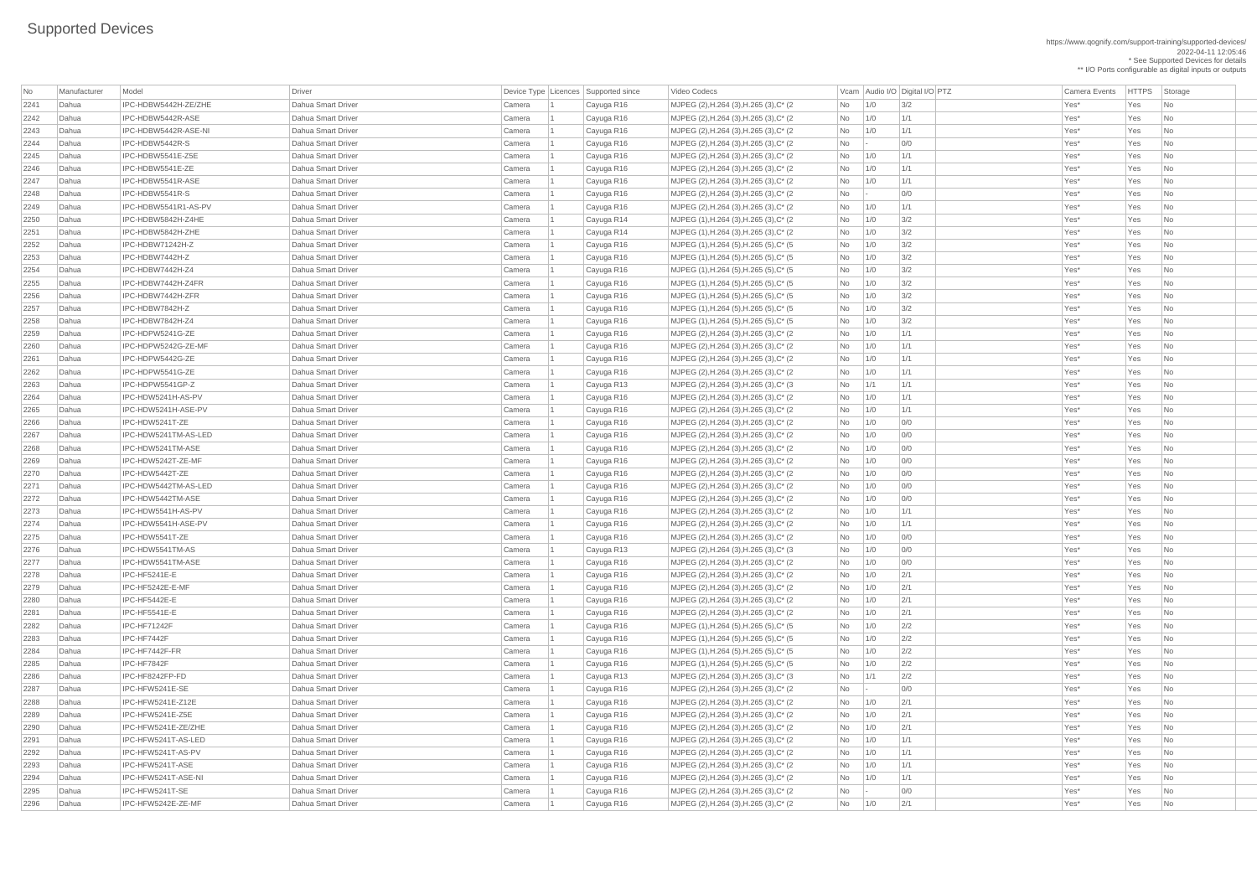https://www.qognify.com/support-training/supported-devices/ 2022-04-11 12:05:46 \* See Supported Devices for details \*\* I/O Ports configurable as digital inputs or outputs

| Video Codecs | No Manufacturer | No Manufacturer Model Driver Device Type Licence Camera Events | HTTPS | Storage | MJPEG (2),H.264 (3),H.265 (3),C\* (2  $\hbox{No}$  1/0 3/2  $\hbox{Vess}$  Yes No  $\hbox{No}$ | MJPEG (2),H.264 (3),H.265 (3),C\* (2  $\qquad \qquad$  No  $\qquad$  1/0  $\qquad$  1/1  $\qquad \qquad$  Yes\* Yes No  $\qquad$ | MJPEG (2),H.264 (3),H.265 (3),C\* (2  $\qquad \qquad$  No  $\qquad$  1/0  $\qquad$  1/1  $\qquad \qquad$  Yes\* Yes No | MJPEG (2),H.264 (3),H.265 (3),C\* (2  $\qquad \qquad$  No  $\qquad$  - 0/0  $\qquad$  0/0 Yes\* Yes No | MJPEG (2),H.264 (3),H.265 (3),C\* (2  $\qquad$  No  $\qquad$  1/0 1/1 |  $\qquad$  Yes\* Yes No | MJPEG (2),H.264 (3),H.265 (3),C\* (2  $\hbox{No}$  1/0 1/1 1 No 1/1 Yes\* Yes No | MJPEG (2),H.264 (3),H.265 (3),C\* (2 No - 0/0 Yes\* Yes No - 0.0 No - 0.0 Yes\* Yes No | MJPEG (2),H.264 (3),H.265 (3),C\* (2  $\qquad \qquad$  No  $\qquad$  1/0  $\qquad$  1/1  $\qquad \qquad$  Yes\* Yes No | MJPEG (1),H.264 (3),H.265 (3),C\* (2 No 1/0 3/2 No 1/0 3/2 Yes\* Yes No | MJPEG (1),H.264 (3),H.265 (3),C\* (2  $\qquad$  No  $\qquad$  1/0  $\qquad$  3/2  $\qquad$  Yes\* Yes No | MJPEG (1),H.264 (5),H.265 (5),C\* (5  $\qquad \qquad$  No  $\qquad$  1/0  $\qquad$  3/2  $\qquad \qquad$  Yes\* Yes No NJPEG (1),H.264 (5),H.265 (5),C\* (5 No 1/0 3/2 No 11/0 3/2 Yes\* Yes No | MJPEG (1),H.264 (5),H.265 (5),C\* (5  $\hbox{No}$  | 1/0  $\hbox{3/2}$  |  $\hbox{Ves*}$  Yes No  $\hbox{No}$ | MJPEG (1),H.264 (5),H.265 (5),C\* (5  $\hbox{No}$  | 1/0  $\hbox{3/2}$  |  $\hbox{Ves*}$  Yes No  $\hbox{No}$ | MJPEG (1),H.264 (5),H.265 (5),C\* (5  $\vert$ No  $\vert$  1/0  $\vert$  3/2  $\vert$  Yes\* Yes No | MJPEG (1),H.264 (5),H.265 (5),C\* (5  $\hbox{No}$  | 1/0  $\hbox{3/2}$  |  $\hbox{Ves*}$  Yes No | MJPEG (1),H.264 (5),H.265 (5),C\* (5  $\hbox{No}$  | 1/0  $\hbox{3/2}$  |  $\hbox{Ves*}$  Yes No  $\hbox{No}$ | MJPEG (2),H.264 (3),H.265 (3),C\* (2  $\hbox{No}$  1/0 1/1 1 No 1/1 Yes\* Yes No | MJPEG (2),H.264 (3),H.265 (3),C\* (2  $\qquad \qquad$  No  $\qquad$  1/0  $\qquad$  1/1  $\qquad$  | The No  $\qquad$  Yes\* Yes No  $\qquad$ | MJPEG (2),H.264 (3),H.265 (3),C\* (2  $\qquad \qquad$  No  $\qquad$  1/0  $\qquad$  1/1  $\qquad$  | The No  $\qquad$  Yes\* Yes No  $\qquad$ 2263 Dahua IPC-HDPW5541GP-Z Dahua Smart Driver Camera 1 Cayuga R13 MJPEG (2),H.264 (3),H.265 (3),C\* (3 No 1/1 1/1 Yes\* Yes No | MJPEG (2),H.264 (3),H.265 (3),C\* (2  $\qquad \qquad$  No  $\qquad$  1/0  $\qquad$  1/1  $\qquad \qquad$  Yes\* Yes No  $\qquad$ | MJPEG (2),H.264 (3),H.265 (3),C\* (2  $\qquad \qquad$  No  $\qquad$  1/0  $\qquad$  1/1  $\qquad \qquad$  Yes\* Yes No | MJPEG (2),H.264 (3),H.265 (3),C\* (2  $\hbox{No}$  1/0 0/0  $\hbox{O/O}$   $\hbox{O}$  Yes\* Yes No | MJPEG (2),H.264 (3),H.265 (3),C\* (2  $\hbox{No}$  1/0 0/0  $\hbox{O/O}$   $\hbox{O}$  Yes\* Yes No | MJPEG (2),H.264 (3),H.265 (3),C\* (2  $\qquad \qquad$  No  $\qquad$  1/0 0/0  $\qquad$  0/0  $\qquad$  Yes\* Yes No | MJPEG (2),H.264 (3),H.265 (3),C\* (2  $\qquad \qquad$  No  $\qquad$  1/0 0/0  $\qquad$  0/0  $\qquad$  Yes\* Yes No | MJPEG (2),H.264 (3),H.265 (3),C\* (2  $\qquad \qquad$  No  $\qquad$  1/0 0/0  $\qquad$  0/0  $\qquad$  Yes\* Yes No | MJPEG (2),H.264 (3),H.265 (3),C\* (2  $\qquad \qquad$  No  $\qquad$  1/0 0/0  $\qquad$  0/0 Yes\* Yes No | MJPEG (2),H.264 (3),H.265 (3),C\* (2  $\hbox{No}$  1/0 0/0  $\hbox{O/O}$   $\hbox{O}$  Yes\* Yes No | MJPEG (2),H.264 (3),H.265 (3),C\* (2  $\qquad \qquad$  No  $\qquad$  1/0  $\qquad$  1/1  $\qquad$   $\qquad$  Yes\* Yes No | MJPEG (2),H.264 (3),H.265 (3),C\* (2  $\qquad \qquad$  No  $\qquad$  1/0  $\qquad$  1/1  $\qquad \qquad$  Yes\* Yes No | MJPEG (2),H.264 (3),H.265 (3),C\* (2  $\qquad \qquad$  No  $\qquad$  1/0 0/0  $\qquad$  0/0  $\qquad$  Yes\* Yes No | MJPEG (2),H.264 (3),H.265 (3),C\* (3  $\hbox{No}$  | 1/0 0/0 | 0/0 | 20 Yes\* Yes No | MJPEG (2),H.264 (3),H.265 (3),C\* (2  $\hbox{No}$  1/0 0/0  $\hbox{O/O}$   $\hbox{O}$  Yes\* Yes No | MJPEG (2),H.264 (3),H.265 (3),C\* (2  $\hbox{No}$  | 1/0  $\hbox{2/1}$  |  $\hbox{N}$  Yes\* Yes No | MJPEG (2),H.264 (3),H.265 (3),C\* (2  $\qquad \qquad$  No  $\qquad$  1/0  $\qquad$  2/1  $\qquad \qquad$  Yes\* Yes No  $\qquad$ | MJPEG (2),H.264 (3),H.265 (3),C\* (2  $\qquad$  No  $\qquad$  1/0  $\qquad$  2/1  $\qquad$  Yes\* Yes No | MJPEG (2),H.264 (3),H.265 (3),C\* (2  $\qquad \qquad$  No  $\qquad$  1/0  $\qquad$  2/1  $\qquad \qquad$  Yes\* Yes No  $\qquad$ | MJPEG (1),H.264 (5),H.265 (5),C\* (5  $\vert$ No  $\vert$  1/0  $\vert$  2/2  $\vert$  Yes\* Yes No | MJPEG (1),H.264 (5),H.265 (5),C\* (5  $\hbox{No}$  | 1/0  $\hbox{2/2}$  |  $\hbox{Vess}$  Yes Yes No | MJPEG (1),H.264 (5),H.265 (5),C\* (5  $\hbox{No}$  | 1/0  $\hbox{2/2}$  |  $\hbox{Vess}$  Yes Yes No | MJPEG (1),H.264 (5),H.265 (5),C\* (5  $\hbox{No}$  | 1/0  $\hbox{2/2}$  |  $\hbox{Vess}$  Yes Yes No | MJPEG (2),H.264 (3),H.265 (3),C\* (3  $\hbox{No}$  | 1/1  $\hbox{2/2}$  |  $\hbox{Vess}$  Yes Yes No | MJPEG (2),H.264 (3),H.265 (3),C\* (2  $\qquad \qquad$  No  $\qquad$  - 0/0  $\qquad$  0/0 Yes\* Yes No | MJPEG (2),H.264 (3),H.265 (3),C\* (2  $\qquad \qquad$  No  $\qquad$  1/0  $\qquad$  2/1  $\qquad \qquad$  Yes\* Yes No No 1/0 | MJPEG (2),H.264 (3),H.265 (3),C\* (2  $\qquad \qquad$  No  $\qquad$  1/0  $\qquad$  2/1  $\qquad \qquad$  Yes\* Yes No No | MJPEG (2),H.264 (3),H.265 (3),C\* (2  $\qquad \qquad$  No  $\qquad$  1/0  $\qquad$  2/1  $\qquad \qquad$  Yes\* Yes No  $\qquad$ | MJPEG (2),H.264 (3),H.265 (3),C\* (2  $\qquad \qquad$  No  $\qquad$  1/0  $\qquad$  1/1  $\qquad \qquad$  Yes\* Yes No | MJPEG (2),H.264 (3),H.265 (3),C\* (2  $\qquad \qquad$  No  $\qquad$  1/0  $\qquad$  1/1  $\qquad \qquad$  Yes\* Yes No  $\qquad$ | MJPEG (2),H.264 (3),H.265 (3),C\* (2  $\hbox{No}$  1/0 1/1 1 No 1/1 Yes\* Yes No 2294 Dahua IPC-HFW5241T-ASE-NI Dahua Smart Driver Camera 1 Cayuga R16 MJPEG (2),H.264 (3),H.265 (3),C\* (2 No 1/0 1/1 Yes\* Yes No | MJPEG (2),H.264 (3),H.265 (3),C\* (2  $\qquad \qquad$  No  $\qquad$  - 0/0  $\qquad \qquad$  0/0 Yes\* Yes No NJPEG (2),H.264 (3),H.265 (3),C\* (2 No 1/0 2/1 No 201 Xes\* Yes No

| No   | Manufacturer | Model                | <b>Driver</b>             |        | Device Type   Licences   Supported since | Video Codecs                            |                             |     | Vcam Audio I/O Digital I/O PTZ | <b>Camera Events</b> | HTTPS St |                             |
|------|--------------|----------------------|---------------------------|--------|------------------------------------------|-----------------------------------------|-----------------------------|-----|--------------------------------|----------------------|----------|-----------------------------|
| 2241 | Dahua        | IPC-HDBW5442H-ZE/ZHE | Dahua Smart Driver        | Camera | Cayuga R16                               | MJPEG (2), H.264 (3), H.265 (3), C* (2) | No                          | 1/0 | 3/2                            | Yes*                 | Yes      | $\overline{\phantom{a}}$ Nc |
| 2242 | Dahua        | IPC-HDBW5442R-ASE    | Dahua Smart Driver        | Camera | Cayuga R16                               | MJPEG (2), H.264 (3), H.265 (3), C* (2) | No                          | 1/0 | 1/1                            | Yes*                 | Yes      | $\overline{\phantom{a}}$ Nc |
| 2243 | Dahua        | IPC-HDBW5442R-ASE-NI | <b>Dahua Smart Driver</b> | Camera | Cayuga R16                               | MJPEG (2), H.264 (3), H.265 (3), C* (2) | No                          | 1/0 | 1/1                            | Yes*                 | Yes      | $\overline{\phantom{a}}$ Nc |
| 2244 | Dahua        | IPC-HDBW5442R-S      | Dahua Smart Driver        | Camera | Cayuga R16                               | MJPEG (2), H.264 (3), H.265 (3), C* (2) | No                          |     | 0/0                            | Yes*                 | Yes      | $\overline{\phantom{a}}$ Nc |
| 2245 | Dahua        | IPC-HDBW5541E-Z5E    | Dahua Smart Driver        | Camera | Cayuga R16                               | MJPEG (2), H.264 (3), H.265 (3), C* (2) | No                          | 1/0 | 1/1                            | Yes*                 | Yes      | $\overline{\phantom{a}}$ Nc |
| 2246 | Dahua        | IPC-HDBW5541E-ZE     | Dahua Smart Driver        | Camera | Cayuga R16                               | MJPEG (2), H.264 (3), H.265 (3), C* (2) | No                          | 1/0 | 1/1                            | Yes*                 | Yes      | $\overline{\phantom{a}}$ Nc |
| 2247 | Dahua        | IPC-HDBW5541R-ASE    | Dahua Smart Driver        | Camera | Cayuga R16                               | MJPEG (2), H.264 (3), H.265 (3), C* (2) | No                          | 1/0 | 1/1                            | Yes*                 | Yes      | $\overline{\phantom{a}}$ Nc |
| 2248 | Dahua        | IPC-HDBW5541R-S      | Dahua Smart Driver        | Camera | Cayuga R16                               | MJPEG (2), H.264 (3), H.265 (3), C* (2) | No                          |     | 0/0                            | Yes*                 | Yes      | $\overline{\phantom{a}}$ Nc |
| 2249 | Dahua        | IPC-HDBW5541R1-AS-PV | <b>Dahua Smart Driver</b> | Camera | Cayuga R16                               | MJPEG (2), H.264 (3), H.265 (3), C* (2) | No                          | 1/0 | 1/1                            | Yes*                 | Yes      | <b>Nc</b>                   |
| 2250 | Dahua        | IPC-HDBW5842H-Z4HE   | Dahua Smart Driver        | Camera | Cayuga R14                               | MJPEG (1), H.264 (3), H.265 (3), C* (2) | No                          | 1/0 | 3/2                            | Yes*                 | Yes      | $\overline{\phantom{a}}$ Nc |
| 2251 | Dahua        | IPC-HDBW5842H-ZHE    | Dahua Smart Driver        | Camera | Cayuga R14                               | MJPEG (1), H.264 (3), H.265 (3), C* (2) | No                          | 1/0 | 3/2                            | Yes*                 | Yes      | $\overline{\phantom{a}}$ Nc |
| 2252 | Dahua        | IPC-HDBW71242H-Z     | Dahua Smart Driver        | Camera | Cayuga R16                               | MJPEG (1), H.264 (5), H.265 (5), C* (5) | <b>No</b>                   | 1/0 | 3/2                            | Yes*                 | Yes      | $\overline{\phantom{a}}$ Nc |
| 2253 | Dahua        | IPC-HDBW7442H-Z      | Dahua Smart Driver        | Camera | Cayuga R16                               | MJPEG (1), H.264 (5), H.265 (5), C* (5) | No                          | 1/0 | 3/2                            | Yes*                 | Yes      | $\overline{\phantom{a}}$ Nc |
| 2254 | Dahua        | IPC-HDBW7442H-Z4     | <b>Dahua Smart Driver</b> | Camera | Cayuga R16                               | MJPEG (1), H.264 (5), H.265 (5), C* (5) | No                          | 1/0 | 3/2                            | Yes*                 | Yes      | $\overline{\phantom{a}}$ Nc |
| 2255 | Dahua        | IPC-HDBW7442H-Z4FR   | <b>Dahua Smart Driver</b> | Camera | Cayuga R16                               | MJPEG (1), H.264 (5), H.265 (5), C* (5) | No                          | 1/0 | 3/2                            | Yes*                 | Yes      | <b>Nc</b>                   |
| 2256 | Dahua        | IPC-HDBW7442H-ZFR    | Dahua Smart Driver        | Camera | Cayuga R16                               | MJPEG (1), H.264 (5), H.265 (5), C* (5) | No                          | 1/0 | 3/2                            | Yes*                 | Yes      | $\overline{\phantom{a}}$ Nc |
| 2257 | Dahua        | IPC-HDBW7842H-Z      | Dahua Smart Driver        | Camera | Cayuga R16                               | MJPEG (1), H.264 (5), H.265 (5), C* (5) | No                          | 1/0 | 3/2                            | Yes*                 | Yes      | $\overline{\phantom{a}}$ Nc |
| 2258 | Dahua        | IPC-HDBW7842H-Z4     | Dahua Smart Driver        | Camera | Cayuga R16                               | MJPEG (1), H.264 (5), H.265 (5), C* (5) | No                          | 1/0 | 3/2                            | Yes*                 | Yes      | $\overline{\phantom{a}}$ Nc |
| 2259 | Dahua        | IPC-HDPW5241G-ZE     | Dahua Smart Driver        | Camera | Cayuga R16                               | MJPEG (2), H.264 (3), H.265 (3), C* (2) | No                          | 1/0 | 1/1                            | Yes*                 | Yes      | $\overline{\phantom{a}}$ Nc |
| 2260 | Dahua        | IPC-HDPW5242G-ZE-MF  | <b>Dahua Smart Driver</b> | Camera | Cayuga R16                               | MJPEG (2), H.264 (3), H.265 (3), C* (2) | No                          | 1/0 | 1/1                            | Yes*                 | Yes      | $\overline{\phantom{a}}$ Nc |
| 2261 | Dahua        | IPC-HDPW5442G-ZE     | Dahua Smart Driver        | Camera | Cayuga R16                               | MJPEG (2), H.264 (3), H.265 (3), C* (2) | No                          | 1/0 | 1/1                            | Yes*                 | Yes      | <b>Nc</b>                   |
| 2262 | Dahua        | IPC-HDPW5541G-ZE     | Dahua Smart Driver        | Camera | Cayuga R16                               | MJPEG (2), H.264 (3), H.265 (3), C* (2) | No                          | 1/0 | 1/1                            | Yes*                 | Yes      | $\overline{\phantom{a}}$ Nc |
| 2263 | Dahua        | IPC-HDPW5541GP-Z     | Dahua Smart Driver        | Camera | Cayuga R13                               | MJPEG (2), H.264 (3), H.265 (3), C* (3) | No                          | 1/1 | 1/1                            | Yes*                 | Yes      | $\overline{\phantom{a}}$ Nc |
| 2264 | Dahua        | IPC-HDW5241H-AS-PV   | Dahua Smart Driver        | Camera | Cayuga R16                               | MJPEG (2), H.264 (3), H.265 (3), C* (2) | No                          | 1/0 | 1/1                            | Yes*                 | Yes      | $\overline{\phantom{a}}$ Nc |
| 2265 | Dahua        | IPC-HDW5241H-ASE-PV  | Dahua Smart Driver        | Camera | Cayuga R16                               | MJPEG (2), H.264 (3), H.265 (3), C* (2) | No                          | 1/0 | 1/1                            | Yes*                 | Yes      | $\overline{\phantom{a}}$ Nc |
| 2266 | Dahua        | IPC-HDW5241T-ZE      | Dahua Smart Driver        | Camera | Cayuga R16                               | MJPEG (2), H.264 (3), H.265 (3), C* (2) | No                          | 1/0 | 0/0                            | Yes*                 | Yes      | $\overline{\phantom{a}}$ Nc |
| 2267 | Dahua        | IPC-HDW5241TM-AS-LED | Dahua Smart Driver        | Camera | Cayuga R16                               | MJPEG (2), H.264 (3), H.265 (3), C* (2) | No                          | 1/0 | 0/0                            | Yes*                 | Yes      | $\overline{\phantom{a}}$ Nc |
| 2268 | Dahua        | IPC-HDW5241TM-ASE    | <b>Dahua Smart Driver</b> | Camera | Cayuga R16                               | MJPEG (2), H.264 (3), H.265 (3), C* (2) | No                          | 1/0 | 0/0                            | Yes*                 | Yes      | $\overline{\mathsf{N}}$ c   |
| 2269 | Dahua        | IPC-HDW5242T-ZE-MF   | Dahua Smart Driver        | Camera | Cayuga R16                               | MJPEG (2), H.264 (3), H.265 (3), C* (2) | No                          | 1/0 | 0/0                            | Yes*                 | Yes      | Nc                          |
| 2270 | Dahua        | IPC-HDW5442T-ZE      | Dahua Smart Driver        | Camera | Cayuga R16                               | MJPEG (2), H.264 (3), H.265 (3), C* (2) | No                          | 1/0 | 0/0                            | Yes*                 | Yes      | $\overline{\phantom{a}}$ Nc |
| 2271 | Dahua        | IPC-HDW5442TM-AS-LED | <b>Dahua Smart Driver</b> | Camera | Cayuga R16                               | MJPEG (2), H.264 (3), H.265 (3), C* (2) | No                          | 1/0 | 0/0                            | Yes*                 | Yes      | $\overline{\mathsf{N}}$ c   |
| 2272 | Dahua        | IPC-HDW5442TM-ASE    | Dahua Smart Driver        | Camera | Cayuga R16                               | MJPEG (2), H.264 (3), H.265 (3), C* (2) | No                          | 1/0 | 0/0                            | Yes*                 | Yes      | $\overline{\phantom{a}}$ Nc |
| 2273 | Dahua        | IPC-HDW5541H-AS-PV   | <b>Dahua Smart Driver</b> | Camera | Cayuga R16                               | MJPEG (2), H.264 (3), H.265 (3), C* (2) | No                          | 1/0 | 1/1                            | Yes*                 | Yes      | $\overline{\phantom{a}}$ Nc |
| 2274 | Dahua        | IPC-HDW5541H-ASE-PV  | <b>Dahua Smart Driver</b> | Camera | Cayuga R16                               | MJPEG (2), H.264 (3), H.265 (3), C* (2) | No                          | 1/0 | 1/1                            | Yes*                 | Yes      | $\overline{\mathsf{N}}$ c   |
| 2275 | Dahua        | IPC-HDW5541T-ZE      | Dahua Smart Driver        | Camera | Cayuga R16                               | MJPEG (2), H.264 (3), H.265 (3), C* (2) | No                          | 1/0 | 0/0                            | Yes*                 | Yes      | $\overline{\phantom{a}}$ Nc |
| 2276 | Dahua        | IPC-HDW5541TM-AS     | Dahua Smart Driver        | Camera | Cayuga R13                               | MJPEG (2), H.264 (3), H.265 (3), C* (3) | No                          | 1/0 | 0/0                            | Yes*                 | Yes      | $\overline{\phantom{a}}$ Nc |
| 2277 | Dahua        | IPC-HDW5541TM-ASE    | Dahua Smart Driver        | Camera | Cayuga R16                               | MJPEG (2), H.264 (3), H.265 (3), C* (2) | No                          | 1/0 | 0/0                            | Yes*                 | Yes      | $\overline{\mathsf{N}}$ c   |
| 2278 | Dahua        | IPC-HF5241E-E        | Dahua Smart Driver        | Camera | Cayuga R16                               | MJPEG (2), H.264 (3), H.265 (3), C* (2) | No                          | 1/0 | 2/1                            | Yes*                 | Yes      | $\overline{\phantom{a}}$ Nc |
| 2279 | Dahua        | IPC-HF5242E-E-MF     | <b>Dahua Smart Driver</b> | Camera | Cayuga R16                               | MJPEG (2), H.264 (3), H.265 (3), C* (2) | No                          | 1/0 | 2/1                            | Yes*                 | Yes      | $\overline{\phantom{a}}$ Nc |
| 2280 | Dahua        | IPC-HF5442E-E        | Dahua Smart Driver        | Camera | Cayuga R16                               | MJPEG (2), H.264 (3), H.265 (3), C* (2) | No                          | 1/0 | 2/1                            | Yes*                 | Yes      | $\overline{\phantom{a}}$ Nc |
| 2281 | Dahua        | IPC-HF5541E-E        | Dahua Smart Driver        | Camera | Cayuga R16                               | MJPEG (2), H.264 (3), H.265 (3), C* (2) | No                          | 1/0 | 2/1                            | Yes*                 | Yes      | Nc                          |
| 2282 | Dahua        | IPC-HF71242F         | Dahua Smart Driver        | Camera | Cayuga R16                               | MJPEG (1), H.264 (5), H.265 (5), C* (5) | No                          | 1/0 | 2/2                            | Yes*                 | Yes      | $\overline{\phantom{a}}$ Nc |
| 2283 | Dahua        | IPC-HF7442F          | Dahua Smart Driver        | Camera | Cayuga R16                               | MJPEG (1), H.264 (5), H.265 (5), C* (5) | No                          | 1/0 | 2/2                            | Yes*                 | Yes      | $\overline{\phantom{a}}$ Nc |
| 2284 | Dahua        | IPC-HF7442F-FR       | Dahua Smart Driver        | Camera | Cayuga R16                               | MJPEG (1), H.264 (5), H.265 (5), C* (5) | No                          | 1/0 | 2/2                            | Yes*                 | Yes      | $\overline{\phantom{a}}$ Nc |
| 2285 | Dahua        | IPC-HF7842F          | <b>Dahua Smart Driver</b> | Camera | Cayuga R16                               | MJPEG (1), H.264 (5), H.265 (5), C* (5) | No                          | 1/0 | 2/2                            | Yes*                 | Yes      | $\overline{\phantom{a}}$ Nc |
| 2286 | Dahua        | IPC-HF8242FP-FD      | Dahua Smart Driver        | Camera | Cayuga R13                               | MJPEG (2), H.264 (3), H.265 (3), C* (3) | No                          | 1/1 | 2/2                            | Yes <sup>*</sup>     | Yes      | $\overline{\phantom{a}}$ Nc |
| 2287 | Dahua        | IPC-HFW5241E-SE      | Dahua Smart Driver        | Camera | Cayuga R16                               | MJPEG (2), H.264 (3), H.265 (3), C* (2) | No                          |     | 0/0                            | Yes*                 | Yes      | $\overline{\phantom{a}}$ Nc |
| 2288 | Dahua        | IPC-HFW5241E-Z12E    | Dahua Smart Driver        | Camera | Cayuga R16                               | MJPEG (2), H.264 (3), H.265 (3), C* (2) | No                          | 1/0 | 2/1                            | Yes*                 | Yes      | $\overline{\phantom{a}}$ Nc |
| 2289 | Dahua        | IPC-HFW5241E-Z5E     | Dahua Smart Driver        | Camera | Cayuga R16                               | MJPEG (2), H.264 (3), H.265 (3), C* (2) | No                          | 1/0 | 2/1                            | Yes*                 | Yes      | $\overline{\phantom{a}}$ Nc |
| 2290 | Dahua        | IPC-HFW5241E-ZE/ZHE  | <b>Dahua Smart Driver</b> | Camera | Cayuga R16                               | MJPEG (2), H.264 (3), H.265 (3), C* (2) | No                          | 1/0 | 2/1                            | Yes*                 | Yes      | $\vert$ Nc                  |
| 2291 | Dahua        | IPC-HFW5241T-AS-LED  | Dahua Smart Driver        | Camera | Cayuga R16                               | MJPEG (2), H.264 (3), H.265 (3), C* (2) | No                          | 1/0 | 1/1                            | Yes*                 | Yes      | $\vert$ Nc                  |
| 2292 | Dahua        | IPC-HFW5241T-AS-PV   | Dahua Smart Driver        | Camera | Cayuga R16                               | MJPEG (2), H.264 (3), H.265 (3), C* (2) | No                          | 1/0 | 1/1                            | Yes*                 | Yes      |                             |
| 2293 | Dahua        | IPC-HFW5241T-ASE     | Dahua Smart Driver        | Camera | Cayuga R16                               | MJPEG (2), H.264 (3), H.265 (3), C* (2) | No                          | 1/0 | 1/1                            | Yes*                 | Yes      | $\overline{\phantom{a}}$ Nc |
| 2294 | Dahua        | IPC-HFW5241T-ASE-NI  | Dahua Smart Driver        | Camera | Cayuga R16                               | MJPEG (2), H.264 (3), H.265 (3), C* (2) | No                          | 1/0 | 1/1                            | Yes*                 | Yes      | $ $ Nc                      |
| 2295 | Dahua        | IPC-HFW5241T-SE      | Dahua Smart Driver        | Camera | Cayuga R16                               | MJPEG (2), H.264 (3), H.265 (3), C* (2) | No                          |     | 0/0                            | Yes*                 | Yes      | $\vert$ Nc                  |
| 2296 | Dahua        | IPC-HFW5242E-ZE-MF   | Dahua Smart Driver        | Camera | Cayuga R16                               | MJPEG (2), H.264 (3), H.265 (3), C* (2) | $\overline{\phantom{a}}$ No | 1/0 | 2/1                            | Yes*                 | Yes      | $ $ Nc                      |
|      |              |                      |                           |        |                                          |                                         |                             |     |                                |                      |          |                             |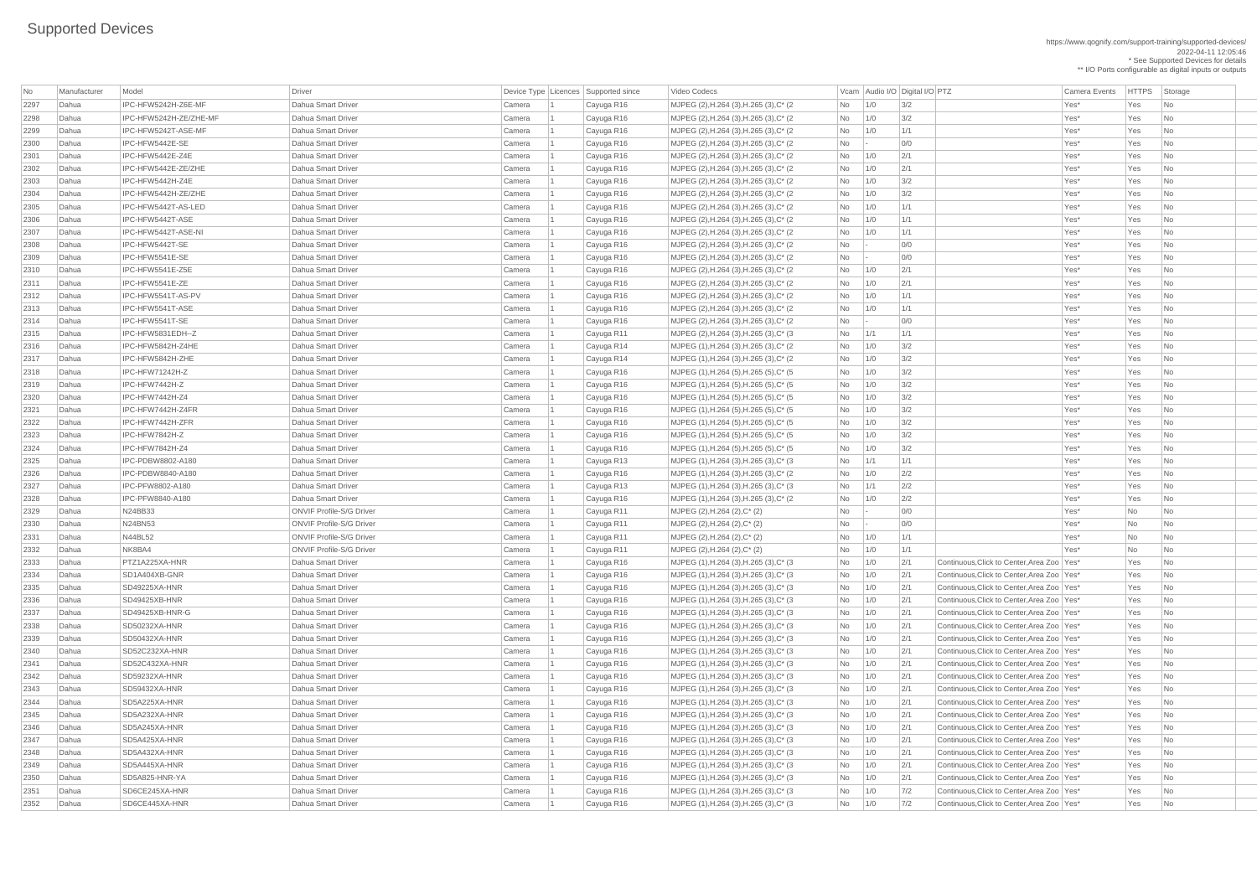https://www.qognify.com/support-training/supported-devices/ 2022-04-11 12:05:46 \* See Supported Devices for details \*\* I/O Ports configurable as digital inputs or outputs

Video Codecs **No Manufacturer Model Driver Audio I/O Digital I/O PTZ** Vcam Audio I/O Digital I/O PTZ Camera Events HTTPS Storage MJPEG (2),H.264 (3),H.265 (3),C\* (2 No 1/0 3/2 No 10 Smart Driver Camera No 1/0 3/2 MJPEG (2),H.264 (3),H.265 (3),C\* (2 No 1/0 3/2 No 1 Cayuga R16 Yes No MJPEG (2),H.264 (3),H.265 (3),C\* (2 No 1/0 1/1 1 No 1/1 Yes\* Yes No MJPEG (2),H.264 (3),H.265 (3),C\* (2 No - 0/0 No - 2 No - 2 No - 0 Ves\* Yes No MJPEG (2),H.264 (3),H.265 (3),C\* (2 No 1/0 2/1 No 1/0 2/1 Yes\* Yes No MJPEG (2),H.264 (3),H.265 (3),C\* (2 No 1/0 3/2 No 1 Cayuga R16 Yes No | MJPEG (2),H.264 (3),H.265 (3),C\* (2  $\hbox{No}$  1/0 3/2  $\hbox{Vess}$  Yes No 1/0 3/2 MJPEG (2),H.264 (3),H.265 (3),C\* (2 No 1/0 1/1 1 No 1/1 Yes\* Yes No MJPEG (2),H.264 (3),H.265 (3),C\* (2 No 1/0 1/1 1 No 1/1 Yes\* Yes No | MJPEG (2),H.264 (3),H.265 (3),C\* (2  $\qquad \qquad$  No  $\qquad$  1/0  $\qquad$  1/1  $\qquad \qquad$  Yes\* Yes No  $\qquad$ MJPEG (2),H.264 (3),H.265 (3),C\* (2 No - 0/0 No - 2 No - 2 No - 0 Ves\* Yes No MJPEG (2),H.264 (3),H.265 (3),C\* (2 No - 0/0 No - 2 No - 2 No - 0 AJUGa R16 Mo - 0 MJPEG (2),H.264 (3),H.265 (3),C\* (2 No 1/0 2/1 No 1/0 2/1 Yes\* Yes No | MJPEG (2),H.264 (3),H.265 (3),C\* (2  $\hbox{No}$  | 1/0  $\hbox{2/1}$  |  $\hbox{N}$  Yes\* Yes No MJPEG (2),H.264 (3),H.265 (3),C\* (2 No 1/0 1/1 1 No 1/1 Yes\* Yes No | MJPEG (2),H.264 (3),H.265 (3),C\* (2  $\hbox{No}$  - 0/0  $\hbox{O}$  Yes\* Yes No | MJPEG (1),H.264 (3),H.265 (3),C\* (2  $\qquad \qquad$  No  $\qquad$  1/0  $\qquad$  3/2  $\qquad \qquad$  Yes\* Yes No MJPEG (1),H.264 (3),H.265 (3),C\* (2 No 1/0 3/2 No 1 Cayuga R14 Mo 2011 No 1/0 3/2 | MJPEG (1),H.264 (5),H.265 (5),C\* (5  $\hbox{No}$  | 1/0  $\hbox{3/2}$  |  $\hbox{Vess}$  Yes Yes No MJPEG (1),H.264 (5),H.265 (5),C\* (5 No 1/0 3/2 No 1/0 3/2 Yes\* Yes No MJPEG (1),H.264 (5),H.265 (5),C\* (5 No 1/0 3/2 No 1/0 3/2 Yes\* Yes No MJPEG (1),H.264 (5),H.265 (5),C\* (5 No 1/0 3/2 No 1 Cayuga R16 Yes No MJPEG (1),H.264 (5),H.265 (5),C\* (5 No 1/0 3/2 No 1/0 3/2 Yes\* Yes No MJPEG (1),H.264 (5),H.265 (5),C\* (5 No 1/0 3/2 No 1/0 3/2 Yes\* Yes No | MJPEG (1),H.264 (3),H.265 (3),C\* (3  $\qquad$  No  $\qquad$  1/1  $\qquad$  1/1  $\qquad$  1/1  $\qquad$  Yes\* Yes No  $\qquad$ | MJPEG (1),H.264 (3),H.265 (3),C\* (2 No 1/0 2/2 No 202 Yes\* Yes No MJPEG (1),H.264 (3),H.265 (3),C\* (3 No 1/1 2/2 No 1 Cayuga R13 Yes\* Yes No | MJPEG (1),H.264 (3),H.265 (3),C\* (2 No 1/0 2/2 No 20 No 20 Yes\* Yes No MJPEG (1),H.264 (3),H.265 (3),C\* (3  $\vert$   $\rangle$  No  $\vert$  1/0  $\vert$  2/1  $\vert$  Continuous,Click to Center,Area Zoo Yes\* Yes No MJPEG (1),H.264 (3),H.265 (3),C\* (3  $\vert$   $\rangle$  No  $\vert$  1/0  $\vert$  2/1  $\vert$  Continuous,Click to Center,Area Zoo Yes\* Yes No MJPEG (1),H.264 (3),H.265 (3),C\* (3  $\vert$  No  $\vert$  1/0  $\vert$  2/1 Continuous,Click to Center,Area Zoo Yes\* Yes No MJPEG (1),H.264 (3),H.265 (3),C\* (3  $|N_0|$  | 1/0  $|Z/1|$  Continuous,Click to Center,Area Zoo  $|Yes$   $|Yes$ MJPEG (1),H.264 (3),H.265 (3),C\* (3  $\vert$   $\rangle$  No  $\vert$  1/0  $\vert$  2/1  $\vert$  Continuous,Click to Center,Area Zoo Yes\* Yes No  $\vert$  MJPEG (1),H.264 (3),H.265 (3),C\* (3  $\vert$   $\vert$  No  $\vert$   $\vert$  1/0  $\vert$   $\vert$  2/1  $\vert$  Continuous,Click to Center,Area Zoo  $\vert$  Yes  $\vert$  Yes  $\vert$  No  $\vert$ MJPEG (1),H.264 (3),H.265 (3),C\* (3  $\vert$   $\rangle$  No  $\vert$  1/0  $\vert$  2/1  $\vert$  Continuous,Click to Center,Area Zoo Yes\* Yes No MJPEG (1),H.264 (3),H.265 (3),C\* (3  $\vert$   $\rangle$  No  $\vert$  1/0  $\vert$  2/1  $\vert$  Continuous,Click to Center,Area Zoo Yes\* Yes No MJPEG (1),H.264 (3),H.265 (3),C\* (3  $\vert$   $\rangle$  No  $\vert$   $\vert$  1/0  $\vert$   $\vert$  2/1  $\vert$  Continuous,Click to Center,Area Zoo Yes\* Yes No  $\vert$  MJPEG (1),H.264 (3),H.265 (3),C\* (3  $\vert$   $\vert$  No  $\vert$  1/0  $\vert$  2/1  $\vert$  Continuous,Click to Center,Area Zoo Yes\* Yes No  $\vert$  MJPEG (1),H.264 (3),H.265 (3),C\* (3  $\vert$   $\vert$  No  $\vert$  1/0  $\vert$  2/1  $\vert$  Continuous,Click to Center,Area Zoo  $\vert$  Yes  $\vert$  Yes  $\vert$  No  $\vert$  $\vert$  MJPEG (1),H.264 (3),H.265 (3),C\* (3  $\vert$   $\vert$  No  $\vert$   $\vert$  1/0  $\vert$   $\vert$  2/1  $\vert$  Continuous,Click to Center,Area Zoo  $\vert$  Yes  $\vert$  Yes  $\vert$  No  $\vert$  $\vert$  MJPEG (1),H.264 (3),H.265 (3),C\* (3  $\vert$   $\vert$  No  $\vert$   $\vert$  1/0  $\vert$   $\vert$  2/1  $\vert$  Continuous,Click to Center,Area Zoo Yes\* Yes No  $\vert$  MJPEG (1),H.264 (3),H.265 (3),C\* (3  $\vert$   $\vert$  No  $\vert$   $\vert$  1/0  $\vert$   $\vert$   $\vert$   $\vert$   $\vert$   $\vert$   $\vert$  Continuous,Click to Center,Area Zoo  $\vert$  Yes  $\vert$  No  $\vert$  No  $\vert$  $\vert$  MJPEG (1),H.264 (3),H.265 (3),C\* (3  $\vert$   $\vert$  No  $\vert$   $\vert$  1/0  $\vert$   $\vert$  2/1  $\vert$  Continuous,Click to Center,Area Zoo  $\vert$  Yes  $\vert$  Yes  $\vert$  No  $\vert$  $\vert$  MJPEG (1),H.264 (3),H.265 (3),C\* (3  $\vert$   $\vert$  No  $\vert$  1/0  $\vert$  2/1  $\vert$  Continuous,Click to Center,Area Zoo Yes\* Yes No  $\vert$  MJPEG (1),H.264 (3),H.265 (3),C\* (3  $\vert$   $\vert$  No  $\vert$   $\vert$  1/0  $\vert$   $\vert$  2/1  $\vert$  Continuous,Click to Center,Area Zoo  $\vert$  Yes  $\vert$  Yes  $\vert$  No  $\vert$  $\vert$  MJPEG (1),H.264 (3),H.265 (3),C\* (3  $\vert$   $\vert$  No  $\vert$   $\vert$  1/0  $\vert$   $\vert$  2/1  $\vert$  Continuous,Click to Center,Area Zoo  $\vert$  Yes  $\vert$  Yes  $\vert$  No  $\vert$ MJPEG (1),H.264 (3),H.265 (3),C\* (3  $\vert$   $\rangle$  No  $\vert$  1/0  $\vert$  7/2  $\vert$  Continuous,Click to Center,Area Zoo Yes\* Yes No  $\vert$  MJPEG (1),H.264 (3),H.265 (3),C\* (3  $\vert$   $\vert$  No  $\vert$  1/0  $\vert$  7/2  $\vert$  Continuous,Click to Center,Area Zoo  $\vert$  Yes  $\vert$  Yes  $\vert$  No  $\vert$ 

| No   | Manufacturer | Model                   | Driver                          |        | Device Type   Licences   Supported since | Video Codecs                                       |     |     | Vcam Audio I/O Digital I/O PTZ | <b>Camera Events</b>                         | HTTPS Sto |                             |
|------|--------------|-------------------------|---------------------------------|--------|------------------------------------------|----------------------------------------------------|-----|-----|--------------------------------|----------------------------------------------|-----------|-----------------------------|
| 2297 | Dahua        | IPC-HFW5242H-Z6E-MF     | <b>Dahua Smart Driver</b>       | Camera | Cayuga R16                               | MJPEG (2), H.264 (3), H.265 (3), C* (2)            | No  | 1/0 | 3/2                            | Yes*                                         | Yes       | $\overline{\phantom{a}}$ Nc |
| 2298 | Dahua        | IPC-HFW5242H-ZE/ZHE-MF  | Dahua Smart Driver              | Camera | Cayuga R16                               | MJPEG (2), H.264 (3), H.265 (3), C* (2)            | No  | 1/0 | 3/2                            | Yes*                                         | Yes       | $\overline{\mathsf{N}}$ c   |
| 2299 | Dahua        | IPC-HFW5242T-ASE-MF     | <b>Dahua Smart Driver</b>       | Camera | Cayuga R16                               | MJPEG (2), H.264 (3), H.265 (3), C* (2)            | No  | 1/0 | 1/1                            | Yes*                                         | Yes       | $\overline{\phantom{a}}$ Nc |
| 2300 | Dahua        | IPC-HFW5442E-SE         | Dahua Smart Driver              | Camera | Cayuga R16                               | MJPEG (2), H.264 (3), H.265 (3), C* (2)            | No  |     | 0/0                            | Yes*                                         | Yes       | $\overline{\phantom{a}}$ Nc |
| 2301 | Dahua        | IPC-HFW5442E-Z4E        | Dahua Smart Driver              | Camera | Cayuga R16                               | MJPEG (2), H.264 (3), H.265 (3), C* (2)            | No  | 1/0 | 2/1                            | Yes*                                         | Yes       | $\overline{\phantom{a}}$ Nc |
| 2302 | Dahua        | IPC-HFW5442E-ZE/ZHE     | Dahua Smart Driver              | Camera | Cayuga R16                               | MJPEG (2), H.264 (3), H.265 (3), C* (2)            | No  | 1/0 | 2/1                            | Yes*                                         | Yes       | $\overline{\phantom{a}}$ Nc |
| 2303 | Dahua        | IPC-HFW5442H-Z4E        | Dahua Smart Driver              | Camera | Cayuga R16                               | MJPEG (2), H.264 (3), H.265 (3), C* (2)            | No  | 1/0 | 3/2                            | Yes*                                         | Yes       | $\overline{\phantom{a}}$ Nc |
| 2304 | Dahua        | IPC-HFW5442H-ZE/ZHE     | Dahua Smart Driver              | Camera | Cayuga R16                               | MJPEG (2), H.264 (3), H.265 (3), C* (2)            | No  | 1/0 | 3/2                            | Yes*                                         | Yes       | $\overline{\phantom{a}}$ Nc |
| 2305 | Dahua        | IPC-HFW5442T-AS-LED     | <b>Dahua Smart Driver</b>       | Camera | Cayuga R16                               | MJPEG (2), H.264 (3), H.265 (3), C* (2)            | No  | 1/0 | 1/1                            | Yes*                                         | Yes       | $\overline{\phantom{a}}$ Nc |
| 2306 | Dahua        | IPC-HFW5442T-ASE        | Dahua Smart Driver              | Camera | Cayuga R16                               | MJPEG (2), H.264 (3), H.265 (3), C* (2)            | No  | 1/0 | 1/1                            | Yes*                                         | Yes       | $\overline{\phantom{a}}$ Nc |
| 2307 | Dahua        | IPC-HFW5442T-ASE-NI     | Dahua Smart Driver              | Camera | Cayuga R16                               | MJPEG (2), H.264 (3), H.265 (3), C* (2)            | No  | 1/0 | 1/1                            | Yes*                                         | Yes       | $\overline{\phantom{a}}$ Nc |
| 2308 | Dahua        | IPC-HFW5442T-SE         | Dahua Smart Driver              | Camera | Cayuga R16                               | MJPEG (2), H.264 (3), H.265 (3), C* (2)            | No  |     | 0/0                            | Yes*                                         | Yes       | $\overline{\phantom{a}}$ Nc |
| 2309 | Dahua        | IPC-HFW5541E-SE         | Dahua Smart Driver              | Camera | Cayuga R16                               | MJPEG (2), H.264 (3), H.265 (3), C* (2)            | No  |     | 0/0                            | Yes*                                         | Yes       | $\overline{\phantom{a}}$ Nc |
| 2310 | Dahua        | IPC-HFW5541E-Z5E        | Dahua Smart Driver              | Camera | Cayuga R16                               | MJPEG (2), H.264 (3), H.265 (3), C* (2)            | No  | 1/0 | 2/1                            | Yes*                                         | Yes       | $\overline{\phantom{a}}$ Nc |
| 2311 | Dahua        | IPC-HFW5541E-ZE         | Dahua Smart Driver              | Camera | Cayuga R16                               | MJPEG (2), H.264 (3), H.265 (3), C* (2)            | No  | 1/0 | 2/1                            | Yes*                                         | Yes       | $\overline{\phantom{a}}$ Nc |
| 2312 | Dahua        | IPC-HFW5541T-AS-PV      | Dahua Smart Driver              | Camera | Cayuga R16                               | MJPEG (2), H.264 (3), H.265 (3), C* (2)            | No  | 1/0 | 1/1                            | Yes*                                         | Yes       | $\overline{\phantom{a}}$ Nc |
| 2313 | Dahua        | IPC-HFW5541T-ASE        | Dahua Smart Driver              | Camera | Cayuga R16                               | MJPEG (2), H.264 (3), H.265 (3), C* (2)            | No  | 1/0 | 1/1                            | Yes*                                         | Yes       | $\overline{\mathsf{N}}$ c   |
| 2314 | Dahua        | IPC-HFW5541T-SE         | Dahua Smart Driver              | Camera | Cayuga R16                               | MJPEG (2), H.264 (3), H.265 (3), C* (2)            | No  |     | 0/0                            | Yes*                                         | Yes       | $\overline{\mathsf{N}}$ c   |
| 2315 | Dahua        | IPC-HFW5831EDH--Z       | Dahua Smart Driver              | Camera | Cayuga R11                               | MJPEG (2), H.264 (3), H.265 (3), C* (3)            | No  | 1/1 | 1/1                            | Yes*                                         | Yes       | $\overline{\mathsf{N}}$ c   |
| 2316 | Dahua        | IPC-HFW5842H-Z4HE       | Dahua Smart Driver              | Camera | Cayuga R14                               | MJPEG (1), H.264 (3), H.265 (3), C* (2)            | No  | 1/0 | 3/2                            | Yes*                                         | Yes       | $\overline{\mathsf{N}}$ c   |
| 2317 | Dahua        | IPC-HFW5842H-ZHE        | Dahua Smart Driver              | Camera | Cayuga R14                               | MJPEG (1), H.264 (3), H.265 (3), C* (2)            | No  | 1/0 | 3/2                            | Yes*                                         | Yes       | $\overline{\phantom{a}}$ Nc |
| 2318 | Dahua        | IPC-HFW71242H-Z         | Dahua Smart Driver              | Camera | Cayuga R16                               | MJPEG (1), H.264 (5), H.265 (5), C* (5)            | No  | 1/0 | 3/2                            | Yes*                                         | Yes       | $\overline{\mathsf{N}}$ c   |
| 2319 | Dahua        | IPC-HFW7442H-Z          | <b>Dahua Smart Driver</b>       | Camera | Cayuga R16                               | MJPEG (1), H.264 (5), H.265 (5), C* (5)            | No  | 1/0 | 3/2                            | Yes*                                         | Yes       | $\overline{\mathsf{N}}$ c   |
| 2320 | Dahua        | IPC-HFW7442H-Z4         | Dahua Smart Driver              | Camera | Cayuga R16                               | MJPEG (1), H.264 (5), H.265 (5), C* (5)            | No  | 1/0 | 3/2                            | Yes*                                         | Yes       | $\overline{\phantom{a}}$ Nc |
| 2321 | Dahua        | IPC-HFW7442H-Z4FR       | Dahua Smart Driver              | Camera | Cayuga R16                               | MJPEG (1), H.264 (5), H.265 (5), C* (5)            | No  | 1/0 | 3/2                            | Yes*                                         | Yes       | $\overline{\phantom{a}}$ Nc |
| 2322 | Dahua        | IPC-HFW7442H-ZFR        | <b>Dahua Smart Driver</b>       | Camera | Cayuga R16                               | MJPEG (1), H.264 (5), H.265 (5), C* (5)            | No. | 1/0 | 3/2                            | Yes*                                         | Yes       | $ $ Nc                      |
| 2323 | Dahua        | IPC-HFW7842H-Z          | <b>Dahua Smart Driver</b>       | Camera | Cayuga R16                               | MJPEG (1), H.264 (5), H.265 (5), C* (5)            | No  | 1/0 | 3/2                            | Yes*                                         | Yes       | $\vert$ Nc                  |
| 2324 | Dahua        | IPC-HFW7842H-Z4         | <b>Dahua Smart Driver</b>       | Camera | Cayuga R16                               | MJPEG (1), H.264 (5), H.265 (5), C* (5)            | No  | 1/0 | 3/2                            | Yes*                                         | Yes       | $\overline{\phantom{a}}$ Nc |
| 2325 | Dahua        | IPC-PDBW8802-A180       | Dahua Smart Driver              | Camera | Cayuga R13                               | $ $ MJPEG (1), H.264 (3), H.265 (3), C* (3)        | No  | 1/1 | 1/1                            | Yes*                                         | Yes       | Nc                          |
| 2326 | Dahua        | IPC-PDBW8840-A180       | Dahua Smart Driver              | Camera | Cayuga R16                               | MJPEG (1), H.264 (3), H.265 (3), C* (2)            | No  | 1/0 | 2/2                            | Yes*                                         | Yes       | $\overline{\phantom{a}}$ Nc |
| 2327 | Dahua        | IPC-PFW8802-A180        | Dahua Smart Driver              | Camera | Cayuga R13                               | MJPEG (1), H.264 (3), H.265 (3), C* (3)            | No  | 1/1 | 2/2                            | Yes*                                         | Yes       | $\overline{\phantom{a}}$ Nc |
| 2328 | Dahua        | <b>IPC-PFW8840-A180</b> | Dahua Smart Driver              | Camera | Cayuga R16                               | MJPEG (1), H.264 (3), H.265 (3), C* (2)            | No  | 1/0 | 2/2                            | Yes*                                         | Yes       | $\overline{\phantom{a}}$ Nc |
| 2329 | Dahua        | N24BB33                 | <b>ONVIF Profile-S/G Driver</b> | Camera | Cayuga R11                               | MJPEG (2), H.264 (2), C* (2)                       | No  |     | 0/0                            | Yes*                                         | No        | $\overline{\phantom{a}}$ Nc |
| 2330 | Dahua        | <b>N24BN53</b>          | <b>ONVIF Profile-S/G Driver</b> | Camera | Cayuga R11                               | MJPEG (2), H.264 (2), C* (2)                       | No  |     | 0/0                            | Yes*                                         | No        | <b>Nc</b>                   |
| 2331 | Dahua        | <b>N44BL52</b>          | <b>ONVIF Profile-S/G Driver</b> | Camera | Cayuga R11                               | $MJPEG (2), H.264 (2), C^*(2)$                     | No  | 1/0 | 1/1                            | Yes*                                         | No        | Nc                          |
| 2332 | Dahua        | NK8BA4                  | <b>ONVIF Profile-S/G Driver</b> | Camera | Cayuga R11                               | MJPEG $(2)$ , H.264 $(2)$ , C* $(2)$               | No  | 1/0 | 1/1                            | Yes*                                         | No        | Nc                          |
| 2333 | Dahua        | PTZ1A225XA-HNR          | <b>Dahua Smart Driver</b>       | Camera | Cayuga R16                               | MJPEG (1), H.264 (3), H.265 (3), C* (3)            | No  | 1/0 | 2/1                            | Continuous, Click to Center, Area Zoo   Yes* | Yes       | $\overline{\phantom{a}}$ Nc |
| 2334 | Dahua        | SD1A404XB-GNR           | Dahua Smart Driver              | Camera | Cayuga R16                               | MJPEG (1), H.264 (3), H.265 (3), C* (3)            | No  | 1/0 | 2/1                            | Continuous, Click to Center, Area Zoo   Yes* | Yes       | $\vert$ Nc                  |
| 2335 | Dahua        | SD49225XA-HNR           | <b>Dahua Smart Driver</b>       | Camera | Cayuga R16                               | MJPEG (1), H.264 (3), H.265 (3), C* (3)            | No  | 1/0 | 2/1                            | Continuous, Click to Center, Area Zoo   Yes* | Yes       | $\overline{\phantom{a}}$ Nc |
| 2336 | Dahua        | SD49425XB-HNR           | Dahua Smart Driver              | Camera | Cayuga R16                               | MJPEG (1), H.264 (3), H.265 (3), C* (3)            | No  | 1/0 | 2/1                            | Continuous, Click to Center, Area Zoo   Yes* | Yes       | $\overline{\phantom{a}}$ Nc |
| 2337 | Dahua        | SD49425XB-HNR-G         | Dahua Smart Driver              | Camera | Cayuga R16                               | $ $ MJPEG (1), H.264 (3), H.265 (3), C* (3)        | No  | 1/0 | 2/1                            | Continuous, Click to Center, Area Zoo   Yes* | Yes       | $\overline{\phantom{a}}$ Nc |
| 2338 | Dahua        | SD50232XA-HNR           | Dahua Smart Driver              | Camera | Cayuga R16                               | MJPEG $(1)$ , H.264 $(3)$ , H.265 $(3)$ , C* $(3)$ | No  | 1/0 | 2/1                            | Continuous, Click to Center, Area Zoo   Yes* | Yes       | $\overline{\phantom{a}}$ Nc |
| 2339 | Dahua        | SD50432XA-HNR           | Dahua Smart Driver              | Camera | Cayuga R16                               | MJPEG (1), H.264 (3), H.265 (3), C* (3)            | No  | 1/0 | 2/1                            | Continuous, Click to Center, Area Zoo   Yes* | Yes       | $\vert$ Nc                  |
| 2340 | Dahua        | SD52C232XA-HNR          | Dahua Smart Driver              | Camera | Cayuga R16                               | MJPEG (1), H.264 (3), H.265 (3), C* (3)            | No  | 1/0 | 2/1                            | Continuous, Click to Center, Area Zoo   Yes* | Yes       | $\vert$ Nc                  |
| 2341 | Dahua        | SD52C432XA-HNR          | Dahua Smart Driver              | Camera | Cayuga R16                               | MJPEG (1), H.264 (3), H.265 (3), C* (3)            | No  | 1/0 | 2/1                            | Continuous, Click to Center, Area Zoo   Yes* | Yes       | $\vert$ Nc                  |
| 2342 | Dahua        | SD59232XA-HNR           | <b>Dahua Smart Driver</b>       | Camera | Cayuga R16                               | MJPEG (1), H.264 (3), H.265 (3), C* (3)            | No  | 1/0 | 2/1                            | Continuous, Click to Center, Area Zoo   Yes* | Yes       | $\overline{\phantom{a}}$ Nc |
| 2343 | Dahua        | SD59432XA-HNR           | Dahua Smart Driver              | Camera | Cayuga R16                               | MJPEG (1), H.264 (3), H.265 (3), C* (3)            | No  | 1/0 | 2/1                            | Continuous, Click to Center, Area Zoo   Yes* | Yes       | $\overline{\phantom{a}}$ Nc |
| 2344 | Dahua        | SD5A225XA-HNR           | <b>Dahua Smart Driver</b>       | Camera | Cayuga R16                               | $MJPEG (1), H.264 (3), H.265 (3), C^* (3)$         | No  | 1/0 | 2/1                            | Continuous, Click to Center, Area Zoo   Yes* | Yes       | $\overline{\phantom{a}}$ Nc |
| 2345 | Dahua        | SD5A232XA-HNR           | Dahua Smart Driver              | Camera | Cayuga R16                               | MJPEG (1), H.264 (3), H.265 (3), C* (3)            | No  | 1/0 | 2/1                            | Continuous, Click to Center, Area Zoo   Yes* | Yes       | $ $ Nc                      |
| 2346 | Dahua        | SD5A245XA-HNR           | Dahua Smart Driver              | Camera | Cayuga R16                               | MJPEG (1), H.264 (3), H.265 (3), C* (3)            | No  | 1/0 | 2/1                            | Continuous, Click to Center, Area Zoo   Yes* | Yes       | $ $ Nc                      |
| 2347 | Dahua        | SD5A425XA-HNR           | Dahua Smart Driver              | Camera | Cayuga R16                               | MJPEG (1), H.264 (3), H.265 (3), C* (3)            | No  | 1/0 | 2/1                            | Continuous, Click to Center, Area Zoo   Yes* | Yes       | $\vert$ Nc                  |
| 2348 | Dahua        | SD5A432XA-HNR           | Dahua Smart Driver              | Camera | Cayuga R16                               | MJPEG (1), H.264 (3), H.265 (3), C* (3)            | No. | 1/0 | 2/1                            | Continuous, Click to Center, Area Zoo   Yes* | Yes       |                             |
| 2349 | Dahua        | SD5A445XA-HNR           | Dahua Smart Driver              | Camera | Cayuga R16                               | MJPEG $(1)$ , H.264 $(3)$ , H.265 $(3)$ , C* $(3)$ | No  | 1/0 | 2/1                            | Continuous, Click to Center, Area Zoo   Yes* | Yes       | $\overline{\phantom{a}}$ Nc |
| 2350 | Dahua        | SD5A825-HNR-YA          | Dahua Smart Driver              | Camera | Cayuga R16                               | MJPEG $(1)$ , H.264 $(3)$ , H.265 $(3)$ , C* $(3)$ | No  | 1/0 | 2/1                            | Continuous, Click to Center, Area Zoo   Yes* | Yes       | $\overline{\phantom{a}}$ Nc |
| 2351 | Dahua        | SD6CE245XA-HNR          | Dahua Smart Driver              | Camera | Cayuga R16                               | MJPEG (1), H.264 (3), H.265 (3), C* (3)            | No  | 1/0 | 7/2                            | Continuous, Click to Center, Area Zoo   Yes* | Yes       | $\vert$ Nc                  |
| 2352 | Dahua        | SD6CE445XA-HNR          | Dahua Smart Driver              | Camera | Cayuga R16                               | MJPEG $(1)$ , H.264 $(3)$ , H.265 $(3)$ , C* $(3)$ | No  | 1/0 | 7/2                            | Continuous, Click to Center, Area Zoo   Yes* | Yes       | $ $ Nc                      |
|      |              |                         |                                 |        |                                          |                                                    |     |     |                                |                                              |           |                             |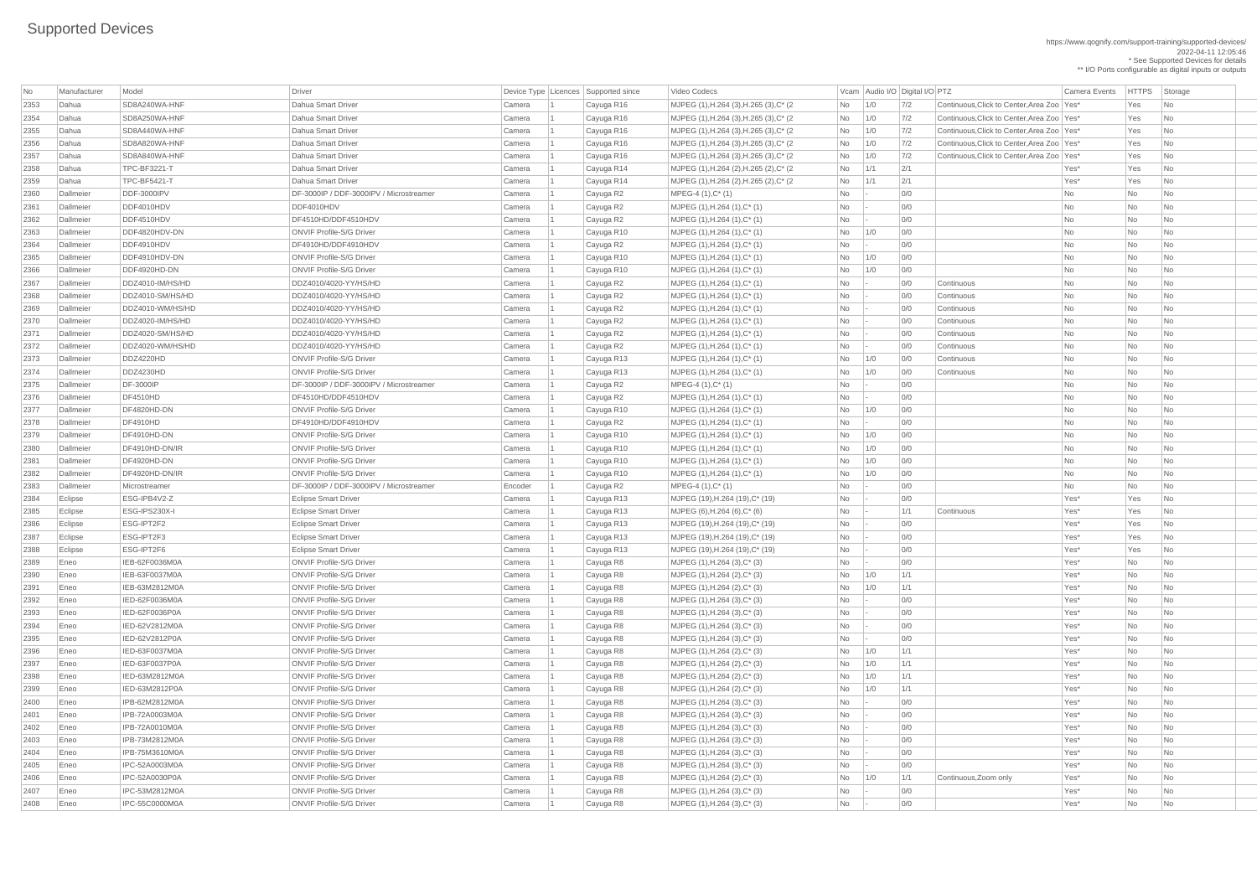https://www.qognify.com/support-training/supported-devices/ 2022-04-11 12:05:46 \* See Supported Devices for details

\*\* I/O Ports configurable as digital inputs or outputs

| No   | Manufacturer | Model                         | Driver                                  |         | Device Type   Licences   Supported since | Video Codecs                            |                                                                         |                          | Vcam Audio I/O Digital I/O PTZ |                                              | <b>Camera Events</b> | <b>HTTPS</b>   | Storage                     |
|------|--------------|-------------------------------|-----------------------------------------|---------|------------------------------------------|-----------------------------------------|-------------------------------------------------------------------------|--------------------------|--------------------------------|----------------------------------------------|----------------------|----------------|-----------------------------|
| 2353 | Dahua        | SD8A240WA-HNF                 | Dahua Smart Driver                      | Camera  | Cayuga R16                               | MJPEG (1), H.264 (3), H.265 (3), C* (2) | No                                                                      | 1/0                      | 7/2                            | Continuous, Click to Center, Area Zoo   Yes* |                      | Yes            | No                          |
| 2354 | Dahua        | SD8A250WA-HNF                 | Dahua Smart Driver                      | Camera  | Cayuga R16                               | MJPEG (1), H.264 (3), H.265 (3), C* (2) | No                                                                      | 1/0                      | 7/2                            | Continuous, Click to Center, Area Zoo   Yes* |                      | Yes            | No                          |
| 2355 | Dahua        | SD8A440WA-HNF                 | Dahua Smart Driver                      | Camera  | Cayuga R16                               | MJPEG (1), H.264 (3), H.265 (3), C* (2) | No                                                                      | 1/0                      | 7/2                            | Continuous, Click to Center, Area Zoo   Yes* |                      | Yes            | N <sub>o</sub>              |
| 2356 | Dahua        | SD8A820WA-HNF                 | Dahua Smart Driver                      | Camera  | Cayuga R16                               | MJPEG (1), H.264 (3), H.265 (3), C* (2) | No                                                                      | 1/0                      | 7/2                            | Continuous, Click to Center, Area Zoo   Yes* |                      | Yes            | N <sub>o</sub>              |
| 2357 | Dahua        | SD8A840WA-HNF                 | <b>Dahua Smart Driver</b>               | Camera  | Cayuga R16                               | MJPEG (1), H.264 (3), H.265 (3), C* (2) | N <sub>o</sub>                                                          | 1/0                      | 7/2                            | Continuous, Click to Center, Area Zoo   Yes* |                      | Yes            | N <sub>o</sub>              |
| 2358 | Dahua        | TPC-BF3221-T                  | Dahua Smart Driver                      | Camera  | Cayuga R14                               | MJPEG (1), H.264 (2), H.265 (2), C* (2) | No                                                                      | 1/1                      | 2/1                            |                                              | Yes*                 | Yes            | N <sub>o</sub>              |
| 2359 | Dahua        | TPC-BF5421-T                  | Dahua Smart Driver                      | Camera  | Cayuga R14                               | MJPEG (1), H.264 (2), H.265 (2), C* (2) | No                                                                      | 1/1                      | 2/1                            |                                              | Yes*                 | Yes            | $\overline{\mathsf{No}}$    |
| 2360 | Dallmeier    | DDF-3000IPV                   | DF-3000IP / DDF-3000IPV / Microstreamer | Camera  | Cayuga R2                                | MPEG-4 (1), C* (1)                      | No                                                                      | - 1 -                    | 0/0                            |                                              | No                   | No             | No                          |
| 2361 | Dallmeier    | DDF4010HDV                    | DDF4010HDV                              | Camera  | Cayuga R2                                | MJPEG (1), H.264 (1), C* (1)            | No                                                                      |                          | 0/0                            |                                              | No                   | No             | No                          |
| 2362 | Dallmeier    | DDF4510HDV                    | DF4510HD/DDF4510HDV                     | Camera  | Cayuga R2                                | $MJPEG (1), H.264 (1), C^*(1)$          | No                                                                      | -14                      | O/O                            |                                              | No                   | No             | No                          |
| 2363 | Dallmeier    | DDF4820HDV-DN                 | <b>ONVIF Profile-S/G Driver</b>         | Camera  | Cayuga R10                               | MJPEG (1), H.264 (1), C* (1)            | <b>No</b>                                                               | 1/0                      | 0/0                            |                                              | No                   | No             | No                          |
| 2364 | Dallmeier    | DDF4910HDV                    | DF4910HD/DDF4910HDV                     | Camera  | Cayuga R2                                | MJPEG (1), H.264 (1), C* (1)            | No                                                                      |                          | 0/0                            |                                              | No                   | No             | No                          |
| 2365 | Dallmeier    | DDF4910HDV-DN                 | <b>ONVIF Profile-S/G Driver</b>         | Camera  | Cayuga R10                               | MJPEG (1), H.264 (1), C* (1)            | No                                                                      | 1/0                      | 0/0                            |                                              | <b>No</b>            | N <sub>o</sub> | No                          |
| 2366 | Dallmeier    | DDF4920HD-DN                  | <b>ONVIF Profile-S/G Driver</b>         | Camera  | Cayuga R10                               | MJPEG (1), H.264 (1), C* (1)            | No                                                                      | 1/0                      | 0/0                            |                                              | No                   | N <sub>o</sub> | No                          |
| 2367 | Dallmeier    | DDZ4010-IM/HS/HD              | DDZ4010/4020-YY/HS/HD                   | Camera  | Cayuga R2                                | $MJPEG (1), H.264 (1), C^* (1)$         | No                                                                      | $\overline{\phantom{a}}$ | 0/0                            | Continuous                                   | No                   | No             | No                          |
| 2368 | Dallmeier    | DDZ4010-SM/HS/HD              | DDZ4010/4020-YY/HS/HD                   | Camera  | Cayuga R2                                | MJPEG (1), H.264 (1), C* (1)            | No                                                                      |                          | 0/0                            | Continuous                                   | <b>No</b>            | N <sub>o</sub> | $\overline{\mathsf{No}}$    |
| 2369 | Dallmeier    | DDZ4010-WM/HS/HD              | DDZ4010/4020-YY/HS/HD                   | Camera  | Cayuga R2                                | $MJPEG (1), H.264 (1), C^*(1)$          | <b>No</b>                                                               |                          | 0/0                            | Continuous                                   | No                   | No             | No                          |
| 2370 | Dallmeier    | DDZ4020-IM/HS/HD              | DDZ4010/4020-YY/HS/HD                   | Camera  | Cayuga R2                                | $MJPEG (1), H.264 (1), C^* (1)$         | No                                                                      |                          | 0/0                            | Continuous                                   | No                   | No             | No                          |
| 2371 | Dallmeier    | DDZ4020-SM/HS/HD              | DDZ4010/4020-YY/HS/HD                   | Camera  | Cayuga R2                                | MJPEG (1), H.264 (1), C* (1)            | No                                                                      |                          | 0/0                            | Continuous                                   | No                   | N <sub>o</sub> | $\overline{\mathsf{No}}$    |
| 2372 | Dallmeier    | DDZ4020-WM/HS/HD              | DDZ4010/4020-YY/HS/HD                   | Camera  | Cayuga R2                                | MJPEG (1), H.264 (1), C* (1)            | No                                                                      |                          | 0/0                            | Continuous                                   | No                   | No             | No                          |
| 2373 | Dallmeier    | DDZ4220HD                     | <b>ONVIF Profile-S/G Driver</b>         | Camera  | Cayuga R13                               | MJPEG (1), H.264 (1), C* (1)            | No                                                                      | 1/0                      | 0/0                            | Continuous                                   | No                   | No             | No                          |
| 2374 | Dallmeier    | DDZ4230HD                     | <b>ONVIF Profile-S/G Driver</b>         | Camera  | Cayuga R13                               | $MJPEG (1), H.264 (1), C^*(1)$          | No                                                                      | 1/0                      | 0/0                            | Continuous                                   | No                   | No             | No                          |
| 2375 | Dallmeier    | <b>DF-3000IP</b>              | DF-3000IP / DDF-3000IPV / Microstreamer | Camera  | Cayuga R2                                | $MPEG-4 (1), C^*(1)$                    | No                                                                      | -14                      | 0/0                            |                                              | No                   | No             | No                          |
| 2376 | Dallmeier    | <b>DF4510HD</b>               | DF4510HD/DDF4510HDV                     | Camera  | Cayuga R2                                | $MJPEG (1), H.264 (1), C^* (1)$         | No                                                                      |                          | 0/0                            |                                              | No                   | No             | No                          |
| 2377 | Dallmeier    | DF4820HD-DN                   | <b>ONVIF Profile-S/G Driver</b>         | Camera  | Cayuga R10                               | MJPEG (1), H.264 (1), C* (1)            | No                                                                      | $\vert$ 1/0              | 0/0                            |                                              | No                   | No             | N <sub>o</sub>              |
| 2378 | Dallmeier    | <b>DF4910HD</b>               | DF4910HD/DDF4910HDV                     | Camera  | Cayuga R2                                | MJPEG (1), H.264 (1), C* (1)            | No                                                                      |                          | 0/0                            |                                              | No                   | No             | $\overline{\mathsf{No}}$    |
| 2379 | Dallmeier    | DF4910HD-DN                   | <b>ONVIF Profile-S/G Driver</b>         | Camera  | Cayuga R10                               | MJPEG (1), H.264 (1), C* (1)            | No                                                                      | $\vert$ 1/0              | 0/0                            |                                              | No                   | No             | No                          |
| 2380 | Dallmeier    | DF4910HD-DN/IR                | <b>ONVIF Profile-S/G Driver</b>         | Camera  | Cayuga R10                               | MJPEG (1), H.264 (1), C* (1)            | No                                                                      | 1/0                      | 0/0                            |                                              | No                   | No             | No                          |
| 2381 | Dallmeier    | DF4920HD-DN                   | <b>ONVIF Profile-S/G Driver</b>         | Camera  | Cayuga R10                               | MJPEG (1), H.264 (1), C* (1)            | No                                                                      | 1/0                      | 0/0                            |                                              |                      | No             | No                          |
| 2382 | Dallmeier    | DF4920HD-DN/IR                | <b>ONVIF Profile-S/G Driver</b>         | Camera  |                                          | MJPEG (1), H.264 (1), C* (1)            |                                                                         |                          | 0/0                            |                                              | No<br>No             | No             | N <sub>o</sub>              |
|      |              |                               | DF-3000IP / DDF-3000IPV / Microstreamer |         | Cayuga R10                               |                                         | No                                                                      | 1/0                      |                                |                                              |                      |                |                             |
| 2383 | Dallmeier    | Microstreamer<br>ESG-IPB4V2-Z |                                         | Encoder | Cayuga R2                                | $MPEG-4 (1), C^*(1)$                    | No                                                                      |                          | 0/0                            |                                              | No<br>Yes*           | No             | N <sub>o</sub><br>No        |
| 2384 | Eclipse      | ESG-IPS230X-I                 | <b>Eclipse Smart Driver</b>             | Camera  | Cayuga R13                               | MJPEG (19), H.264 (19), C* (19)         | <b>No</b>                                                               |                          | 0/0<br>1/1                     |                                              | Yes*                 | Yes            | N <sub>o</sub>              |
| 2385 | Eclipse      |                               | <b>Eclipse Smart Driver</b>             | Camera  | Cayuga R13                               | MJPEG (6), H.264 (6), C* (6)            | No                                                                      |                          |                                | Continuous                                   |                      | Yes            |                             |
| 2386 | Eclipse      | ESG-IPT2F2                    | <b>Eclipse Smart Driver</b>             | Camera  | Cayuga R13                               | MJPEG (19), H.264 (19), C* (19)         | No                                                                      |                          | 0/0                            |                                              | Yes*                 | Yes            | N <sub>o</sub>              |
| 2387 | Eclipse      | ESG-IPT2F3<br>ESG-IPT2F6      | <b>Eclipse Smart Driver</b>             | Camera  | Cayuga R13                               | MJPEG (19), H.264 (19), C* (19)         | N <sub>o</sub>                                                          | $\sim$                   | 0/0                            |                                              | Yes*                 | Yes            | N <sub>o</sub>              |
| 2388 | Eclipse      |                               | <b>Eclipse Smart Driver</b>             | Camera  | Cayuga R13                               | MJPEG (19), H.264 (19), C* (19)         | No                                                                      |                          | 0/0                            |                                              | Yes*                 | Yes            | N <sub>o</sub>              |
| 2389 | Eneo         | IEB-62F0036M0A                | <b>ONVIF Profile-S/G Driver</b>         | Camera  | Cayuga R8                                | MJPEG $(1)$ , H.264 $(3)$ , C $*$ $(3)$ | <b>No</b>                                                               |                          | O/O                            |                                              | Yes*                 | No             | No                          |
| 2390 | Eneo         | <b>IEB-63F0037M0A</b>         | <b>ONVIF Profile-S/G Driver</b>         | Camera  | Cayuga R8                                | MJPEG (1), H.264 (2), C* (3)            | No                                                                      | 1/0                      | 1/1                            |                                              | Yes*                 | No             | No                          |
| 2391 | Eneo         | IEB-63M2812M0A                | <b>ONVIF Profile-S/G Driver</b>         | Camera  | Cayuga R8                                | MJPEG (1), H.264 (2), C* (3)            | No                                                                      | 1/0                      | 1/1                            |                                              | Yes*                 | No             | No                          |
| 2392 | Eneo         | IED-62F0036M0A                | <b>ONVIF Profile-S/G Driver</b>         | Camera  | Cayuga R8                                | $MJPEG (1), H.264 (3), C^* (3)$         | $\overline{\phantom{1}}$ No                                             | - 1 -                    | 0/0                            |                                              | Yes*                 | No             | N <sub>o</sub>              |
| 2393 | Eneo         | IED-62F0036P0A                | <b>ONVIF Profile-S/G Driver</b>         | Camera  | Cayuga R8                                | MJPEG $(1)$ , H.264 $(3)$ , C $*$ $(3)$ | <b>No</b>                                                               |                          | 0/0                            |                                              | Yes*                 | No             | No                          |
| 2394 | Eneo         | IED-62V2812M0A                | <b>ONVIF Profile-S/G Driver</b>         | Camera  | Cayuga R8                                | $MJPEG (1), H.264 (3), C^* (3)$         | No                                                                      | $\sim$ $-$               | 0/0                            |                                              | Yes*                 | No             | No                          |
| 2395 | Eneo         | IED-62V2812P0A                | <b>ONVIF Profile-S/G Driver</b>         | Camera  | Cayuga R8                                | $MJPEG (1), H.264 (3), C^* (3)$         | No                                                                      |                          | O/O                            |                                              | Yes*                 | No             | No                          |
| 2396 | Eneo         | IED-63F0037M0A                | <b>ONVIF Profile-S/G Driver</b>         | Camera  | Cayuga R8                                | MJPEG (1), H.264 (2), C* (3)            | No                                                                      | 1/0                      | 1/1                            |                                              | Yes*                 | N <sub>o</sub> | No                          |
| 2397 | Eneo         | <b>IED-63F0037P0A</b>         | <b>ONVIF Profile-S/G Driver</b>         | Camera  | Cayuga R8                                | MJPEG $(1)$ , H.264 $(2)$ , C* $(3)$    | No                                                                      | 1/0                      | 1/1                            |                                              | Yes*                 | No             | No                          |
| 2398 | Eneo         | IED-63M2812M0A                | <b>ONVIF Profile-S/G Driver</b>         | Camera  | Cayuga R8                                | MJPEG (1), H.264 (2), C* (3)            | N <sub>o</sub>                                                          | 1/0                      | 1/1                            |                                              | Yes*                 | No             | No                          |
| 2399 | Eneo         | IED-63M2812P0A                | <b>ONVIF Profile-S/G Driver</b>         | Camera  | Cayuga R8                                | MJPEG (1), H.264 (2), C* (3)            | No                                                                      | 1/0                      | 1/1                            |                                              | Yes*                 | No             | No                          |
| 2400 | Eneo         | IPB-62M2812M0A                | <b>ONVIF Profile-S/G Driver</b>         | Camera  | Cayuga R8                                | $MJPEG (1), H.264 (3), C^* (3)$         | No                                                                      | $\sim$                   | 0/0                            |                                              | Yes*                 | No             | No                          |
| 2401 | Eneo         | IPB-72A0003M0A                | <b>ONVIF Profile-S/G Driver</b>         | Camera  | Cayuga R8                                | MJPEG $(1)$ , H.264 $(3)$ , C $*$ $(3)$ | <b>No</b>                                                               |                          | 0/0                            |                                              | Yes*                 | N <sub>o</sub> | No                          |
| 2402 | Eneo         | <b>IPB-72A0010M0A</b>         | <b>ONVIF Profile-S/G Driver</b>         | Camera  | Cayuga R8                                | MJPEG (1), H.264 (3), C* (3)            | No                                                                      |                          | 0/0                            |                                              | Yes*                 | N <sub>o</sub> | No                          |
| 2403 | Eneo         | IPB-73M2812M0A                | <b>ONVIF Profile-S/G Driver</b>         | Camera  | Cayuga R8                                | MJPEG (1), H.264 (3), C* (3)            | No                                                                      |                          | 0/0                            |                                              | Yes*                 | No             | No                          |
| 2404 | Eneo         | IPB-75M3610M0A                | <b>ONVIF Profile-S/G Driver</b>         | Camera  | Cayuga R8                                | MJPEG (1), H.264 (3), C* (3)            | No                                                                      |                          | 0/0                            |                                              | Yes*                 | No             | $\overline{\phantom{a}}$ No |
| 2405 | Eneo         | IPC-52A0003M0A                | <b>ONVIF Profile-S/G Driver</b>         | Camera  | Cayuga R8                                | $MJPEG (1), H.264 (3), C^* (3)$         |                                                                         |                          | 0/0                            |                                              | Yes*                 | No             | N <sub>o</sub>              |
| 2406 | Eneo         | IPC-52A0030P0A                | <b>ONVIF Profile-S/G Driver</b>         | Camera  | Cayuga R8                                | MJPEG (1), H.264 (2), C* (3)            | N <sub>o</sub>                                                          | 1/0                      | 1/1                            | Continuous, Zoom only                        | Yes*                 | No             | No                          |
| 2407 | Eneo         | IPC-53M2812M0A                | <b>ONVIF Profile-S/G Driver</b>         | Camera  | Cayuga R8                                | MJPEG (1), H.264 (3), C* (3)            | $\overline{\phantom{a}}$ No                                             |                          | 0/0                            |                                              | Yes*                 | No             | N <sub>o</sub>              |
| 2408 | Eneo         | <b>IPC-55C0000M0A</b>         | <b>ONVIF Profile-S/G Driver</b>         | Camera  | Cayuga R8                                | MJPEG (1), H.264 (3), C* (3)            | $\begin{array}{ c c c c c }\n\hline\n\text{No} & \text{-}\n\end{array}$ |                          | 0/0                            |                                              | Yes*                 | No             | $\overline{\phantom{a}}$ No |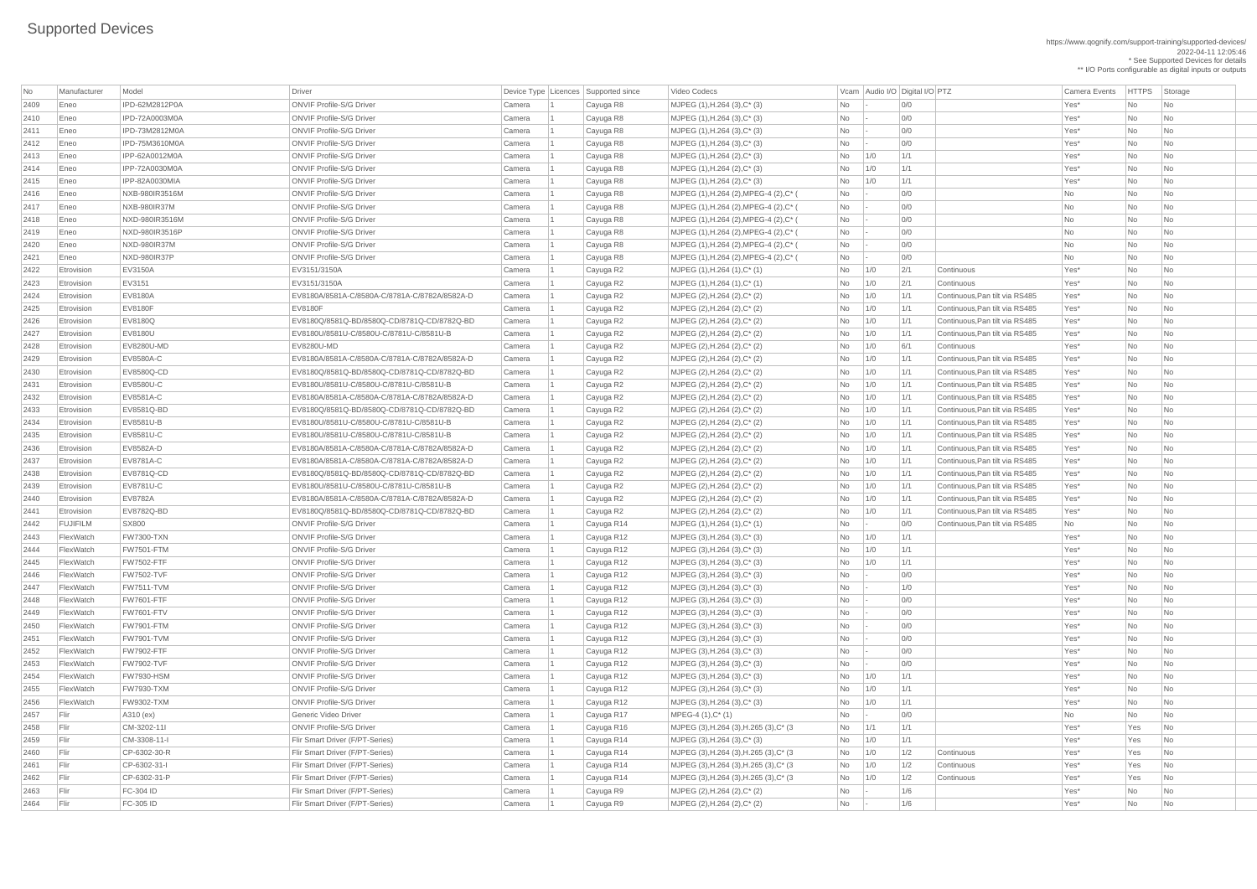https://www.qognify.com/support-training/supported-devices/ 2022-04-11 12:05:46 \* See Supported Devices for details \*\* I/O Ports configurable as digital inputs or outputs

| Video Codecs | No Manufacturer | No Manufacturer Model Driver Device Type Licence Camera Events | HTTPS | Storage Eneo NXB-980IR3516M ONVIF Profile-S/G Driver Camera 1 Cayuga R8 MJPEG (1),H.264 (2),MPEG-4 (2),C\* ( No - 0/0 No No No Eneo NXB-980IR37M ONVIF Profile-S/G Driver Camera 1 Cayuga R8 MJPEG (1),H.264 (2),MPEG-4 (2),C\* ( No - 0/0 No No No Eneo NXD-980IR3516M ONVIF Profile-S/G Driver Camera 1 Cayuga R8 MJPEG (1),H.264 (2),MPEG-4 (2),C\* ( No - 0/0 No No No Eneo NXD-980IR3516P ONVIF Profile-S/G Driver Camera 1 Cayuga R8 MJPEG (1),H.264 (2),MPEG-4 (2),C\* ( No - 0/0 No No No Eneo NXD-980IR37M ONVIF Profile-S/G Driver Camera 1 Cayuga R8 MJPEG (1),H.264 (2),MPEG-4 (2),C\* ( No - 0/0 No No No Eneo NXD-980IR37P ONVIF Profile-S/G Driver Camera 1 Cayuga R8 MJPEG (1),H.264 (2),MPEG-4 (2),C\* ( No - 0/0 No No No | MJPEG (3),H.264 (3),H.265 (3),C\* (3  $\hbox{No}$  | 1/1 | 1/1 | 1/1 | Yes\* Yes | No | MJPEG (3),H.264 (3),H.265 (3),C\* (3  $\qquad$  No 1/0 1/2 Continuous Yes\* Yes No | MJPEG (3),H.264 (3),H.265 (3),C\* (3  $\qquad$  No 1/0 1/2 Continuous Yes\* Yes No Flir CP-6302-31-P Flir Smart Driver (F/PT-Series) Camera 1 Cayuga R14 MJPEG (3),H.264 (3),H.265 (3),C\* (3 No 1/0 1/2 Continuous Yes\* Yes No

| No           | Manufacturer    | Model                   | <b>Driver</b>                                                                          |        | Device Type   Licences   Supported since | Video Codecs                                       |           |     | Vcam Audio I/O Digital I/O PTZ |                                                                  | <b>Camera Events</b> | HTTPS Sto |                             |
|--------------|-----------------|-------------------------|----------------------------------------------------------------------------------------|--------|------------------------------------------|----------------------------------------------------|-----------|-----|--------------------------------|------------------------------------------------------------------|----------------------|-----------|-----------------------------|
| 2409         | Eneo            | IPD-62M2812P0A          | <b>ONVIF Profile-S/G Driver</b>                                                        | Camera | Cayuga R8                                | MJPEG (1), H.264 (3), C* (3)                       | No        |     | 0/0                            |                                                                  | Yes*                 | No        | $\vert$ Nc                  |
| 2410         | Eneo            | IPD-72A0003M0A          | <b>ONVIF Profile-S/G Driver</b>                                                        | Camera | Cayuga R8                                | MJPEG (1), H.264 (3), C* (3)                       | No        |     | 0/0                            |                                                                  | Yes*                 | No        | $\overline{\phantom{a}}$ Nc |
| 2411         | Eneo            | IPD-73M2812M0A          | <b>ONVIF Profile-S/G Driver</b>                                                        | Camera | Cayuga R8                                | MJPEG (1), H.264 (3), C* (3)                       | No        |     | 0/0                            |                                                                  | Yes*                 | No        | <b>Nc</b>                   |
| 2412         | Eneo            | IPD-75M3610M0A          | <b>ONVIF Profile-S/G Driver</b>                                                        | Camera | Cayuga R8                                | MJPEG (1), H.264 (3), C* (3)                       | No        |     | 0/0                            |                                                                  | Yes*                 | No        | <b>Nc</b>                   |
| 2413         | Eneo            | IPP-62A0012M0A          | <b>ONVIF Profile-S/G Driver</b>                                                        | Camera | Cayuga R8                                | MJPEG (1), H.264 (2), C* (3)                       | No        | 1/0 | 1/1                            |                                                                  | Yes*                 | No        | <b>Nc</b>                   |
| 2414         | Eneo            | IPP-72A0030M0A          | <b>ONVIF Profile-S/G Driver</b>                                                        | Camera | Cayuga R8                                | MJPEG (1), H.264 (2), C* (3)                       | No        | 1/0 | 1/1                            |                                                                  | Yes*                 | <b>No</b> | Nc                          |
| 2415         | Eneo            | <b>IPP-82A0030MIA</b>   | <b>ONVIF Profile-S/G Driver</b>                                                        | Camera | Cayuga R8                                | MJPEG (1), H.264 (2), C* (3)                       | No        | 1/0 | 1/1                            |                                                                  | Yes*                 | <b>No</b> | <b>Nc</b>                   |
| 2416         | Eneo            | NXB-980IR3516M          | <b>ONVIF Profile-S/G Driver</b>                                                        | Camera | Cayuga R8                                | MJPEG (1), H.264 (2), MPEG-4 (2), C* (             | No        |     | 0/0                            |                                                                  | No                   | No        | $\overline{\phantom{a}}$ Nc |
| 2417         | Eneo            | NXB-980IR37M            | <b>ONVIF Profile-S/G Driver</b>                                                        | Camera | Cayuga R8                                | MJPEG (1), H.264 (2), MPEG-4 (2), C* (             | No        |     | 0/0                            |                                                                  | No                   | No        | <b>Nc</b>                   |
| 2418         | Eneo            | NXD-980IR3516M          | <b>ONVIF Profile-S/G Driver</b>                                                        | Camera | Cayuga R8                                | MJPEG (1), H.264 (2), MPEG-4 (2), C* (             | No        |     | 0/0                            |                                                                  | No                   | No        | <b>Nc</b>                   |
| 2419         | Eneo            | NXD-980IR3516P          | <b>ONVIF Profile-S/G Driver</b>                                                        | Camera | Cayuga R8                                | MJPEG (1), H.264 (2), MPEG-4 (2), C* (             | No        |     | 0/0                            |                                                                  | No                   | No        | Nc                          |
| 2420         | Eneo            | NXD-980IR37M            | <b>ONVIF Profile-S/G Driver</b>                                                        | Camera | Cayuga R8                                | MJPEG (1), H.264 (2), MPEG-4 (2), C* (             | No        |     | 0/0                            |                                                                  | No                   | <b>No</b> | Nc                          |
| 2421         | Eneo            | NXD-980IR37P            | <b>ONVIF Profile-S/G Driver</b>                                                        | Camera | Cayuga R8                                | MJPEG (1), H.264 (2), MPEG-4 (2), C* (             | No        |     | 0/0                            |                                                                  | No                   | No        | <b>Nc</b>                   |
| 2422         | Etrovision      | <b>EV3150A</b>          | EV3151/3150A                                                                           | Camera | Cayuga R2                                | $MJPEG (1), H.264 (1), C^* (1)$                    | No        | 1/0 | 2/1                            | Continuous                                                       | Yes*                 | <b>No</b> | $\overline{\phantom{a}}$ Nc |
| 2423         | Etrovision      | EV3151                  | EV3151/3150A                                                                           | Camera | Cayuga R2                                | MJPEG (1), H.264 (1), C* (1)                       | No        | 1/0 | 2/1                            | Continuous                                                       | Yes*                 | No        | <b>Nc</b>                   |
| 2424         | Etrovision      | <b>EV8180A</b>          | EV8180A/8581A-C/8580A-C/8781A-C/8782A/8582A-D                                          | Camera | Cayuga R2                                | MJPEG (2), H.264 (2), C* (2)                       | No        | 1/0 | 1/1                            | Continuous, Pan tilt via RS485                                   | Yes*                 | No        | <b>Nc</b>                   |
| 2425         | Etrovision      | <b>EV8180F</b>          | <b>EV8180F</b>                                                                         | Camera | Cayuga R2                                | MJPEG $(2)$ , H.264 $(2)$ , C* $(2)$               | No        | 1/0 | 1/1                            | Continuous, Pan tilt via RS485                                   | Yes*                 | No        | <b>Nc</b>                   |
| 2426         | Etrovision      | EV8180Q                 | EV8180Q/8581Q-BD/8580Q-CD/8781Q-CD/8782Q-BD                                            | Camera | Cayuga R2                                | MJPEG (2), H.264 (2), C* (2)                       | No        | 1/0 | 1/1                            | Continuous, Pan tilt via RS485                                   | Yes*                 | No        | <b>Nc</b>                   |
| 2427         | Etrovision      | <b>EV8180U</b>          | EV8180U/8581U-C/8580U-C/8781U-C/8581U-B                                                | Camera | Cayuga R2                                | MJPEG (2), H.264 (2), C* (2)                       | No        | 1/0 | 1/1                            | Continuous, Pan tilt via RS485                                   | Yes*                 | <b>No</b> | <b>Nc</b>                   |
| 2428         | Etrovision      | <b>EV8280U-MD</b>       | <b>EV8280U-MD</b>                                                                      | Camera | Cayuga R2                                | MJPEG (2), H.264 (2), C* (2)                       | No        | 1/0 | 6/1                            | Continuous                                                       | Yes*                 | No        | $\overline{\phantom{a}}$ Nc |
| 2429         | Etrovision      | EV8580A-C               | EV8180A/8581A-C/8580A-C/8781A-C/8782A/8582A-D                                          | Camera | Cayuga R2                                | MJPEG (2), H.264 (2), C* (2)                       | No        | 1/0 | 1/1                            | Continuous, Pan tilt via RS485                                   | Yes*                 | No        | <b>Nc</b>                   |
| 2430         | Etrovision      | <b>EV8580Q-CD</b>       | EV8180Q/8581Q-BD/8580Q-CD/8781Q-CD/8782Q-BD                                            | Camera | Cayuga R2                                | MJPEG (2), H.264 (2), C* (2)                       | No        | 1/0 | 1/1                            | Continuous, Pan tilt via RS485                                   | Yes*                 | No        | $\overline{\phantom{a}}$ Nc |
| 2431         | Etrovision      | EV8580U-C               | EV8180U/8581U-C/8580U-C/8781U-C/8581U-B                                                |        |                                          |                                                    |           | 1/0 | 1/1                            | Continuous, Pan tilt via RS485                                   | Yes*                 | No        | Nc                          |
|              | Etrovision      | EV8581A-C               | EV8180A/8581A-C/8580A-C/8781A-C/8782A/8582A-D                                          | Camera | Cayuga R2                                | $MJPEG (2), H.264 (2), C^*(2)$                     | No        | 1/0 | 1/1                            | Continuous, Pan tilt via RS485                                   | Yes*                 | No        |                             |
| 2432         |                 |                         |                                                                                        | Camera | Cayuga R2                                | MJPEG (2), H.264 (2), C* (2)                       | No        |     | 1/1                            |                                                                  |                      |           | <b>Nc</b>                   |
| 2433<br>2434 | Etrovision      | EV8581Q-BD<br>EV8581U-B | EV8180Q/8581Q-BD/8580Q-CD/8781Q-CD/8782Q-BD<br>EV8180U/8581U-C/8580U-C/8781U-C/8581U-B | Camera | Cayuga R2                                | MJPEG (2), H.264 (2), C* (2)                       | No        | 1/0 |                                | Continuous, Pan tilt via RS485<br>Continuous, Pan tilt via RS485 | Yes*                 | No        | <b>Nc</b>                   |
|              | Etrovision      |                         | EV8180U/8581U-C/8580U-C/8781U-C/8581U-B                                                | Camera | Cayuga R2                                | MJPEG (2), H.264 (2), C* (2)                       | No.       | 1/0 | 1/1                            |                                                                  | Yes*                 | No.       | Nc                          |
| 2435         | Etrovision      | EV8581U-C               |                                                                                        | Camera | Cayuga R2                                | MJPEG (2), H.264 (2), C* (2)                       | No        | 1/0 | 1/1                            | Continuous, Pan tilt via RS485                                   | Yes*                 | No        | $\overline{\phantom{a}}$ Nc |
| 2436         | Etrovision      | EV8582A-D               | EV8180A/8581A-C/8580A-C/8781A-C/8782A/8582A-D                                          | Camera | Cayuga R2                                | MJPEG (2), H.264 (2), C* (2)                       | No        | 1/0 | 1/1                            | Continuous, Pan tilt via RS485                                   | Yes*                 | No        | <b>Nc</b>                   |
| 2437         | Etrovision      | <b>EV8781A-C</b>        | EV8180A/8581A-C/8580A-C/8781A-C/8782A/8582A-D                                          | Camera | Cayuga R2                                | MJPEG (2), H.264 (2), C* (2)                       | No        | 1/0 | 1/1                            | Continuous, Pan tilt via RS485                                   | Yes*                 | No        | <b>Nc</b>                   |
| 2438         | Etrovision      | EV8781Q-CD              | EV8180Q/8581Q-BD/8580Q-CD/8781Q-CD/8782Q-BD                                            | Camera | Cayuga R2                                | MJPEG (2), H.264 (2), C* (2)                       | No        | 1/0 | 1/1                            | Continuous, Pan tilt via RS485                                   | Yes*                 | <b>No</b> | Nc                          |
| 2439         | Etrovision      | <b>EV8781U-C</b>        | EV8180U/8581U-C/8580U-C/8781U-C/8581U-B                                                | Camera | Cayuga R2                                | MJPEG (2), H.264 (2), C* (2)                       | No        | 1/0 | 1/1                            | Continuous, Pan tilt via RS485                                   | Yes*                 | <b>No</b> | Nc                          |
| 2440         | Etrovision      | <b>EV8782A</b>          | EV8180A/8581A-C/8580A-C/8781A-C/8782A/8582A-D                                          | Camera | Cayuga R2                                | MJPEG $(2)$ , H.264 $(2)$ , C* $(2)$               | No        | 1/0 | 1/1                            | Continuous, Pan tilt via RS485                                   | Yes*                 | No        | Nc                          |
| 2441         | Etrovision      | EV8782Q-BD              | EV8180Q/8581Q-BD/8580Q-CD/8781Q-CD/8782Q-BD                                            | Camera | Cayuga R2                                | MJPEG (2), H.264 (2), C* (2)                       | No        | 1/0 | 1/1                            | Continuous, Pan tilt via RS485                                   | Yes*                 | No        | $\overline{\phantom{a}}$ Nc |
| 2442         | <b>FUJIFILM</b> | SX800                   | <b>ONVIF Profile-S/G Driver</b>                                                        | Camera | Cayuga R14                               | $MJPEG (1), H.264 (1), C^* (1)$                    | No        |     | 0/0                            | Continuous, Pan tilt via RS485                                   | No                   | No        | <b>Nc</b>                   |
| 2443         | FlexWatch       | <b>FW7300-TXN</b>       | <b>ONVIF Profile-S/G Driver</b>                                                        | Camera | Cayuga R12                               | $MJPEG (3), H.264 (3), C^*(3)$                     | No        | 1/0 | 1/1                            |                                                                  | Yes*                 | No        | Nc                          |
| 2444         | FlexWatch       | <b>FW7501-FTM</b>       | <b>ONVIF Profile-S/G Driver</b>                                                        | Camera | Cayuga R12                               | $MJPEG (3), H.264 (3), C^*(3)$                     | No        | 1/0 | 1/1                            |                                                                  | Yes*                 | No        | Nc                          |
| 2445         | FlexWatch       | <b>FW7502-FTF</b>       | <b>ONVIF Profile-S/G Driver</b>                                                        | Camera | Cayuga R12                               | $MJPEG (3), H.264 (3), C^*(3)$                     | No        | 1/0 | 1/1                            |                                                                  | Yes*                 | <b>No</b> | Nc                          |
| 2446         | FlexWatch       | <b>FW7502-TVF</b>       | <b>ONVIF Profile-S/G Driver</b>                                                        | Camera | Cayuga R12                               | $MJPEG (3), H.264 (3), C^*(3)$                     | No        |     | 0/0                            |                                                                  | Yes*                 | No        | $\overline{\phantom{a}}$ Nc |
| 2447         | FlexWatch       | <b>FW7511-TVM</b>       | <b>ONVIF Profile-S/G Driver</b>                                                        | Camera | Cayuga R12                               | $MJPEG (3), H.264 (3), C*(3)$                      | No        |     | 1/0                            |                                                                  | Yes*                 | No        | $\overline{\phantom{a}}$ Nc |
| 2448         | FlexWatch       | <b>FW7601-FTF</b>       | <b>ONVIF Profile-S/G Driver</b>                                                        | Camera | Cayuga R12                               | MJPEG (3), H.264 (3), C* (3)                       | No        |     | 0/0                            |                                                                  | Yes*                 | No        | <b>Nc</b>                   |
| 2449         | FlexWatch       | <b>FW7601-FTV</b>       | <b>ONVIF Profile-S/G Driver</b>                                                        | Camera | Cayuga R12                               | $MJPEG (3), H.264 (3), C^*(3)$                     | No        |     | 0/0                            |                                                                  | Yes*                 | No        | Nc                          |
| 2450         | FlexWatch       | <b>FW7901-FTM</b>       | <b>ONVIF Profile-S/G Driver</b>                                                        | Camera | Cayuga R12                               | $MJPEG (3), H.264 (3), C^*(3)$                     | <b>No</b> |     | 0/0                            |                                                                  | Yes*                 | No        | Nc                          |
| 2451         | FlexWatch       | <b>FW7901-TVM</b>       | <b>ONVIF Profile-S/G Driver</b>                                                        | Camera | Cayuga R12                               | $MJPEG (3), H.264 (3), C^*(3)$                     | No        |     | 0/0                            |                                                                  | Yes*                 | No        | $\overline{\phantom{a}}$ Nc |
| 2452         | FlexWatch       | <b>FW7902-FTF</b>       | <b>ONVIF Profile-S/G Driver</b>                                                        | Camera | Cayuga R12                               | $MJPEG (3), H.264 (3), C*(3)$                      | No        |     | 0/0                            |                                                                  | Yes*                 | <b>No</b> | $\overline{\phantom{a}}$ Nc |
| 2453         | FlexWatch       | <b>FW7902-TVF</b>       | <b>ONVIF Profile-S/G Driver</b>                                                        | Camera | Cayuga R12                               | MJPEG (3), H.264 (3), C* (3)                       | No        |     | 0/0                            |                                                                  | Yes*                 | No        | $\overline{\phantom{a}}$ Nc |
| 2454         | FlexWatch       | <b>FW7930-HSM</b>       | <b>ONVIF Profile-S/G Driver</b>                                                        | Camera | Cayuga R12                               | $MJPEG (3), H.264 (3), C^*(3)$                     | No        | 1/0 | 1/1                            |                                                                  | Yes*                 | <b>No</b> | <b>Nc</b>                   |
| 2455         | FlexWatch       | <b>FW7930-TXM</b>       | <b>ONVIF Profile-S/G Driver</b>                                                        | Camera | Cayuga R12                               | $MJPEG (3), H.264 (3), C^*(3)$                     | No        | 1/0 | 1/1                            |                                                                  | Yes*                 | No        | $\overline{\phantom{a}}$ Nc |
| 2456         | FlexWatch       | <b>FW9302-TXM</b>       | <b>ONVIF Profile-S/G Driver</b>                                                        | Camera | Cayuga R12                               | $MJPEG (3), H.264 (3), C^*(3)$                     | No        | 1/0 | 1/1                            |                                                                  | Yes*                 | <b>No</b> | $\overline{\phantom{a}}$ Nc |
| 2457         | Flir            | A310 (ex)               | Generic Video Driver                                                                   | Camera | Cayuga R17                               | $MPEG-4 (1), C^*(1)$                               | No        |     | 0/0                            |                                                                  | No                   | <b>No</b> | $\overline{\phantom{a}}$ Nc |
| 2458         | Flir            | CM-3202-11I             | <b>ONVIF Profile-S/G Driver</b>                                                        | Camera | Cayuga R16                               | MJPEG (3), H.264 (3), H.265 (3), C* (3)            | No        | 1/1 | 1/1                            |                                                                  | Yes*                 | Yes       | $\overline{\phantom{a}}$ Nc |
| 2459         | Flir            | CM-3308-11-I            | Flir Smart Driver (F/PT-Series)                                                        | Camera | Cayuga R14                               | MJPEG (3), H.264 (3), C* (3)                       | No        | 1/0 | 1/1                            |                                                                  | Yes*                 | Yes       | $\overline{\phantom{a}}$ Nc |
| 2460         |                 | CP-6302-30-R            | Flir Smart Driver (F/PT-Series)                                                        | Camera | Cayuga R14                               | MJPEG (3), H.264 (3), H.265 (3), C* (3)            | No        | 1/0 | 1/2                            | Continuous                                                       | Yes*                 | Yes       |                             |
| 2461         | Flir            | CP-6302-31-I            | Flir Smart Driver (F/PT-Series)                                                        | Camera | Cayuga R14                               | MJPEG (3), H.264 (3), H.265 (3), C* (3)            | No        | 1/0 | 1/2                            | Continuous                                                       | Yes*                 | Yes       | $\overline{\phantom{a}}$ Nc |
| 2462         | Flir            | CP-6302-31-P            | Flir Smart Driver (F/PT-Series)                                                        | Camera | Cayuga R14                               | MJPEG $(3)$ , H.264 $(3)$ , H.265 $(3)$ , C* $(3)$ | No        | 1/0 | 1/2                            | Continuous                                                       | Yes*                 | Yes       | $\overline{\phantom{a}}$ Nc |
| 2463         | Flir            | <b>FC-304 ID</b>        | Flir Smart Driver (F/PT-Series)                                                        | Camera | Cayuga R9                                | MJPEG (2), H.264 (2), C* (2)                       | No        |     | 1/6                            |                                                                  | Yes*                 | No        | $\vert$ Nc                  |
| 2464         | Flir            | FC-305 ID               | Flir Smart Driver (F/PT-Series)                                                        | Camera | Cayuga R9                                | MJPEG (2), H.264 (2), C* (2)                       | No        |     | 1/6                            |                                                                  | Yes*                 | No        | $ $ Nc                      |
|              |                 |                         |                                                                                        |        |                                          |                                                    |           |     |                                |                                                                  |                      |           |                             |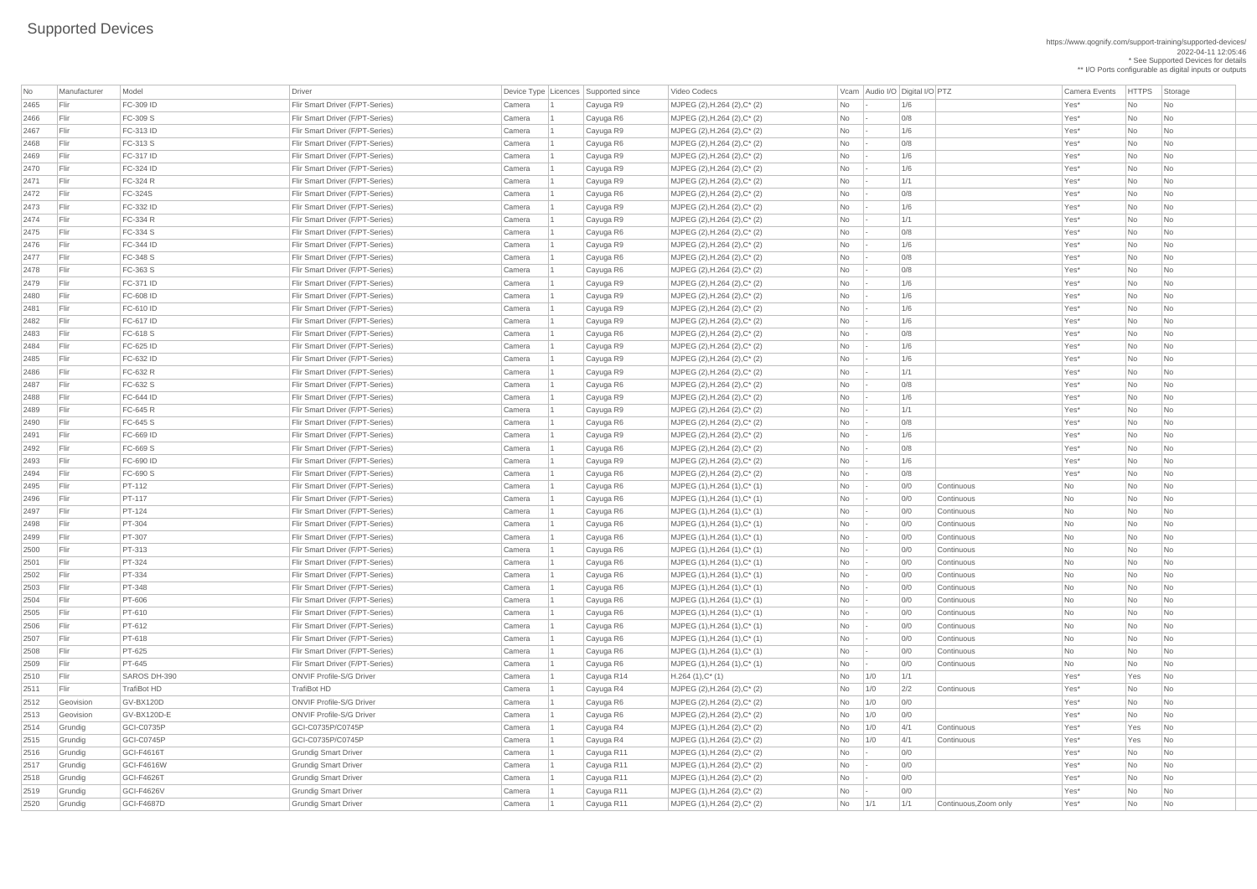https://www.qognify.com/support-training/supported-devices/ 2022-04-11 12:05:46 \* See Supported Devices for details

\*\* I/O Ports configurable as digital inputs or outputs

Video Codecs **No Manufacturer Model Driver Audio I/O Digital I/O PTZ** Camera Events HTTPS Storage

| No   | Manufacturer | Model              | <b>Driver</b>                   | Device Type   Licences   Supported since |            | Video Codecs                         |    |     | Vcam Audio I/O Digital I/O PTZ |                       | <b>Camera Events</b> | HTTPS St  |                             |
|------|--------------|--------------------|---------------------------------|------------------------------------------|------------|--------------------------------------|----|-----|--------------------------------|-----------------------|----------------------|-----------|-----------------------------|
| 2465 | Flir         | FC-309 ID          | Flir Smart Driver (F/PT-Series) | Camera                                   | Cayuga R9  | MJPEG (2), H.264 (2), C* (2)         | No |     | 1/6                            |                       | Yes*                 | No        | $\overline{\phantom{a}}$ Nc |
| 2466 | Flir         | FC-309 S           | Flir Smart Driver (F/PT-Series) | Camera                                   | Cayuga R6  | MJPEG (2), H.264 (2), C* (2)         | No |     | 0/8                            |                       | Yes*                 | No        | $\overline{\phantom{a}}$ Nc |
| 2467 | Flir         | FC-313 ID          | Flir Smart Driver (F/PT-Series) | Camera                                   | Cayuga R9  | MJPEG (2), H.264 (2), C* (2)         | No |     | 1/6                            |                       | Yes*                 | No        | $\overline{\phantom{a}}$ Nc |
| 2468 | Flir         | FC-313 S           | Flir Smart Driver (F/PT-Series) | Camera                                   | Cayuga R6  | MJPEG (2), H.264 (2), C* (2)         | No |     | 0/8                            |                       | Yes*                 | No        | $\overline{\phantom{a}}$ Nc |
| 2469 | Flir         | <b>FC-317 ID</b>   | Flir Smart Driver (F/PT-Series) | Camera                                   | Cayuga R9  | MJPEG (2), H.264 (2), C* (2)         | No |     | 1/6                            |                       | Yes*                 | No        | $\overline{\phantom{a}}$ Nc |
| 2470 | Flir         | FC-324 ID          | Flir Smart Driver (F/PT-Series) | Camera                                   | Cayuga R9  | MJPEG (2), H.264 (2), C* (2)         | No |     | 1/6                            |                       | Yes*                 | No        | $\overline{\phantom{a}}$ Nc |
| 2471 | Flir         | FC-324 R           | Flir Smart Driver (F/PT-Series) | Camera                                   | Cayuga R9  | MJPEG (2), H.264 (2), C* (2)         | No |     | 1/1                            |                       | Yes*                 | No        | $\overline{\phantom{a}}$ Nc |
| 2472 | Flir         | <b>FC-324S</b>     | Flir Smart Driver (F/PT-Series) | Camera                                   | Cayuga R6  | MJPEG (2), H.264 (2), C* (2)         | No |     | 0/8                            |                       | Yes*                 | No        | $\overline{\phantom{a}}$ Nc |
| 2473 | Flir         | FC-332 ID          | Flir Smart Driver (F/PT-Series) | Camera                                   | Cayuga R9  | MJPEG (2), H.264 (2), C* (2)         | No |     | 1/6                            |                       | Yes*                 | No        | $\overline{\phantom{a}}$ Nc |
| 2474 | Flir         | FC-334 R           | Flir Smart Driver (F/PT-Series) | Camera                                   | Cayuga R9  | MJPEG (2), H.264 (2), C* (2)         | No |     | 1/1                            |                       | Yes*                 | No        | $\overline{\phantom{a}}$ Nc |
| 2475 | Flir         | FC-334 S           | Flir Smart Driver (F/PT-Series) | Camera                                   | Cayuga R6  | MJPEG (2), H.264 (2), C* (2)         | No |     | 0/8                            |                       | Yes*                 | No        | $\overline{\phantom{a}}$ Nc |
| 2476 | Flir         | FC-344 ID          | Flir Smart Driver (F/PT-Series) | Camera                                   | Cayuga R9  | MJPEG (2), H.264 (2), C* (2)         | No |     | 1/6                            |                       | Yes*                 | No        | $\overline{\phantom{a}}$ Nc |
| 2477 | Flir         | FC-348 S           | Flir Smart Driver (F/PT-Series) | Camera                                   | Cayuga R6  | MJPEG (2), H.264 (2), C* (2)         | No |     | 0/8                            |                       | Yes*                 | No        | $\overline{\phantom{a}}$ Nc |
| 2478 | Flir         | FC-363 S           | Flir Smart Driver (F/PT-Series) | Camera                                   | Cayuga R6  | MJPEG (2), H.264 (2), C* (2)         | No |     | 0/8                            |                       | Yes*                 | No        | $\overline{\phantom{a}}$ Nc |
| 2479 | Flir         | FC-371 ID          | Flir Smart Driver (F/PT-Series) | Camera                                   | Cayuga R9  | MJPEG (2), H.264 (2), C* (2)         | No |     | 1/6                            |                       | Yes*                 | No        | $\overline{\phantom{a}}$ Nc |
| 2480 | Flir         | FC-608 ID          | Flir Smart Driver (F/PT-Series) | Camera                                   | Cayuga R9  | MJPEG (2), H.264 (2), C* (2)         | No |     | 1/6                            |                       | Yes*                 | No        | <b>Nc</b>                   |
| 2481 | Flir         | FC-610 ID          | Flir Smart Driver (F/PT-Series) | Camera                                   | Cayuga R9  | MJPEG (2), H.264 (2), C* (2)         | No |     | 1/6                            |                       | Yes*                 | No        | <b>Nc</b>                   |
| 2482 | Flir         | FC-617 ID          | Flir Smart Driver (F/PT-Series) | Camera                                   | Cayuga R9  | MJPEG (2), H.264 (2), C* (2)         | No |     | 1/6                            |                       | Yes*                 | No        | $\overline{\phantom{a}}$ Nc |
| 2483 | Flir         | FC-618 S           | Flir Smart Driver (F/PT-Series) | Camera                                   | Cayuga R6  | MJPEG (2), H.264 (2), C* (2)         | No |     | 0/8                            |                       | Yes*                 | No        | $\overline{\phantom{a}}$ Nc |
| 2484 | Flir         | FC-625 ID          | Flir Smart Driver (F/PT-Series) | Camera                                   | Cayuga R9  | MJPEG (2), H.264 (2), C* (2)         | No |     | 1/6                            |                       | Yes*                 | No        | $\overline{\phantom{a}}$ Nc |
| 2485 | Flir         | FC-632 ID          | Flir Smart Driver (F/PT-Series) | Camera                                   | Cayuga R9  | MJPEG (2), H.264 (2), C* (2)         | No |     | 1/6                            |                       | Yes*                 | No        | $\overline{\phantom{a}}$ Nc |
| 2486 | Flir         | FC-632 R           | Flir Smart Driver (F/PT-Series) | Camera                                   | Cayuga R9  | MJPEG (2), H.264 (2), C* (2)         | No |     | 1/1                            |                       | Yes*                 | No        | $\overline{\phantom{a}}$ Nc |
| 2487 | Flir         | FC-632 S           | Flir Smart Driver (F/PT-Series) | Camera                                   | Cayuga R6  | MJPEG (2), H.264 (2), C* (2)         | No |     | 0/8                            |                       | Yes*                 | No        | $\overline{\phantom{a}}$ Nc |
| 2488 | Flir         | <b>FC-644 ID</b>   | Flir Smart Driver (F/PT-Series) | Camera                                   | Cayuga R9  | MJPEG (2), H.264 (2), C* (2)         | No |     | 1/6                            |                       | Yes*                 | No        | $\overline{\phantom{a}}$ Nc |
| 2489 | F            | FC-645 R           | Flir Smart Driver (F/PT-Series) | Camera                                   | Cayuga R9  | MJPEG (2), H.264 (2), C* (2)         | No |     | 1/1                            |                       | Yes*                 | No        | $\overline{\phantom{a}}$ Nc |
| 2490 | Flir         | FC-645 S           | Flir Smart Driver (F/PT-Series) | Camera                                   | Cayuga R6  | MJPEG (2), H.264 (2), C* (2)         | No |     | 0/8                            |                       | Yes*                 | No        | $\overline{\phantom{a}}$ Nc |
| 2491 | Flir         | FC-669 ID          | Flir Smart Driver (F/PT-Series) | Camera                                   | Cayuga R9  | MJPEG (2), H.264 (2), C* (2)         | No |     | 1/6                            |                       | Yes*                 | No        | $\overline{\phantom{a}}$ Nc |
| 2492 | Flir         | FC-669 S           | Flir Smart Driver (F/PT-Series) | Camera                                   | Cayuga R6  | MJPEG (2), H.264 (2), C* (2)         | No |     | 0/8                            |                       | Yes*                 | No        | $\overline{\phantom{a}}$ Nc |
| 2493 | Flir         | FC-690 ID          | Flir Smart Driver (F/PT-Series) | Camera                                   | Cayuga R9  | MJPEG (2), H.264 (2), C* (2)         | No |     | 1/6                            |                       | Yes*                 | No        | <b>Nc</b>                   |
| 2494 | Flir         | FC-690 S           | Flir Smart Driver (F/PT-Series) | Camera                                   | Cayuga R6  | MJPEG (2), H.264 (2), C* (2)         | No |     | 0/8                            |                       | Yes*                 | No        | <b>Nc</b>                   |
| 2495 | Flir         | <b>PT-112</b>      | Flir Smart Driver (F/PT-Series) | Camera                                   | Cayuga R6  | MJPEG (1), H.264 (1), C* (1)         | No |     | 0/0                            | Continuous            | No                   | No        | $\overline{\phantom{a}}$ Nc |
| 2496 | Flir         | <b>PT-117</b>      | Flir Smart Driver (F/PT-Series) | Camera                                   | Cayuga R6  | MJPEG (1), H.264 (1), C* (1)         | No |     | 0/0                            | Continuous            | No                   | No        | $\overline{\phantom{a}}$ Nc |
| 2497 | Flir         | <b>PT-124</b>      | Flir Smart Driver (F/PT-Series) | Camera                                   | Cayuga R6  | MJPEG (1), H.264 (1), C* (1)         | No |     | 0/0                            | Continuous            | No                   | No        | $\overline{\phantom{a}}$ Nc |
| 2498 | Flir         | PT-304             | Flir Smart Driver (F/PT-Series) | Camera                                   | Cayuga R6  | MJPEG (1), H.264 (1), C* (1)         | No |     | 0/0                            | Continuous            | No                   | No        | $\overline{\phantom{a}}$ Nc |
| 2499 | Flir         | <b>PT-307</b>      | Flir Smart Driver (F/PT-Series) | Camera                                   | Cayuga R6  | MJPEG (1), H.264 (1), C* (1)         | No |     | 0/0                            | Continuous            | No                   | No        | <b>Nc</b>                   |
| 2500 | Flir         | <b>PT-313</b>      | Flir Smart Driver (F/PT-Series) | Camera                                   | Cayuga R6  | MJPEG (1), H.264 (1), C* (1)         | No |     | 0/0                            | Continuous            | No                   | No        | <b>Nc</b>                   |
| 2501 | Flir         | <b>PT-324</b>      | Flir Smart Driver (F/PT-Series) | Camera                                   | Cayuga R6  | MJPEG (1), H.264 (1), C* (1)         | No |     | 0/0                            | Continuous            | No                   | No        | $\overline{\phantom{a}}$ Nc |
| 2502 | Flir         | <b>PT-334</b>      | Flir Smart Driver (F/PT-Series) | Camera                                   | Cayuga R6  | MJPEG (1), H.264 (1), C* (1)         | No |     | 0/0                            | Continuous            | No                   | No        | $\overline{\phantom{a}}$ Nc |
| 2503 | Flir         | <b>PT-348</b>      | Flir Smart Driver (F/PT-Series) | Camera                                   | Cayuga R6  | MJPEG (1), H.264 (1), C* (1)         | No |     | 0/0                            | Continuous            | No                   | No        | $\overline{\phantom{a}}$ Nc |
| 2504 | Flir         | PT-606             | Flir Smart Driver (F/PT-Series) | Camera                                   | Cayuga R6  | MJPEG (1), H.264 (1), C* (1)         | No |     | 0/0                            | Continuous            | No                   | No        | $\overline{\phantom{a}}$ Nc |
| 2505 | Flir         | <b>PT-610</b>      | Flir Smart Driver (F/PT-Series) | Camera                                   | Cayuga R6  | MJPEG (1), H.264 (1), C* (1)         | No |     | 0/0                            | Continuous            | No                   | No        | <b>Nc</b>                   |
| 2506 | Flir         | <b>PT-612</b>      | Flir Smart Driver (F/PT-Series) | Camera                                   | Cayuga R6  | MJPEG (1), H.264 (1), C* (1)         | No |     | 0/0                            | Continuous            | No                   | No        | $\overline{\phantom{a}}$ Nc |
| 2507 | Flir         | <b>PT-618</b>      | Flir Smart Driver (F/PT-Series) | Camera                                   | Cayuga R6  | MJPEG (1), H.264 (1), C* (1)         | No |     | 0/0                            | Continuous            | No                   | No        | $\overline{\phantom{a}}$ Nc |
| 2508 | Flir         | <b>PT-625</b>      | Flir Smart Driver (F/PT-Series) | Camera                                   | Cayuga R6  | MJPEG (1), H.264 (1), C* (1)         | No |     | 0/0                            | Continuous            | No                   | No        | $\overline{\phantom{a}}$ Nc |
| 2509 | Flir         | <b>PT-645</b>      | Flir Smart Driver (F/PT-Series) | Camera                                   | Cayuga R6  | MJPEG (1), H.264 (1), C* (1)         | No |     | 0/0                            | Continuous            | No                   | No        | $\overline{\phantom{a}}$ Nc |
| 2510 | Flir         | SAROS DH-390       | <b>ONVIF Profile-S/G Driver</b> | Camera                                   | Cayuga R14 | $H.264(1),C^*(1)$                    | No | 1/0 | 1/1                            |                       | Yes*                 | Yes       | $\overline{\phantom{a}}$ Nc |
| 2511 | Flir         | <b>TrafiBot HD</b> | <b>TrafiBot HD</b>              | Camera                                   | Cayuga R4  | MJPEG (2), H.264 (2), C* (2)         | No | 1/0 | 2/2                            | Continuous            | Yes*                 | No        | <b>Nc</b>                   |
| 2512 | Geovision    | GV-BX120D          | <b>ONVIF Profile-S/G Driver</b> | Camera                                   | Cayuga R6  | MJPEG (2), H.264 (2), C* (2)         | No | 1/0 | 0/0                            |                       | Yes*                 | No        | $\overline{\phantom{a}}$ Nc |
| 2513 | Geovision    | GV-BX120D-E        | <b>ONVIF Profile-S/G Driver</b> | Camera                                   | Cayuga R6  | MJPEG $(2)$ , H.264 $(2)$ , C* $(2)$ | No | 1/0 | 0/0                            |                       | Yes*                 | No        | $\overline{\phantom{a}}$ Nc |
| 2514 | Grundig      | GCI-C0735P         | GCI-C0735P/C0745P               | Camera                                   | Cayuga R4  | MJPEG (1), H.264 (2), C* (2)         | No | 1/0 | 4/1                            | Continuous            | Yes*                 | Yes       | $\overline{\phantom{a}}$ Nc |
| 2515 | Grundig      | GCI-C0745P         | GCI-C0735P/C0745P               | Camera                                   | Cayuga R4  | MJPEG (1), H.264 (2), C* (2)         | No | 1/0 | 4/1                            | Continuous            | Yes*                 | Yes       | $\overline{\phantom{a}}$ Nc |
| 2516 | Grundig      | <b>GCI-F4616T</b>  | <b>Grundig Smart Driver</b>     | Camera                                   | Cayuga R11 | MJPEG (1),H.264 (2),C* (2)           | No |     | 0/0                            |                       | Yes*                 | No        | $\vert$ Nc                  |
| 2517 | Grundig      | <b>GCI-F4616W</b>  | <b>Grundig Smart Driver</b>     | Camera                                   | Cayuga R11 | MJPEG (1), H.264 (2), C* (2)         | No |     | 0/0                            |                       | Yes*                 | No        | $\overline{\phantom{a}}$ Nc |
| 2518 | Grundig      | GCI-F4626T         | <b>Grundig Smart Driver</b>     | Camera                                   | Cayuga R11 | $MJPEG (1), H.264 (2), C^* (2)$      | No |     | 0/0                            |                       | Yes*                 | No        | $\overline{\phantom{a}}$ Nc |
| 2519 | Grundig      | <b>GCI-F4626V</b>  | <b>Grundig Smart Driver</b>     | Camera                                   | Cayuga R11 | MJPEG (1), H.264 (2), C* (2)         | No |     | 0/0                            |                       | Yes*                 | <b>No</b> | $\overline{\phantom{a}}$ Nc |
| 2520 | Grundig      | <b>GCI-F4687D</b>  | <b>Grundig Smart Driver</b>     | Camera                                   | Cayuga R11 | MJPEG (1), H.264 (2), C* (2)         | No | 1/1 | 1/1                            | Continuous, Zoom only | Yes*                 | No        | $ $ Nc                      |
|      |              |                    |                                 |                                          |            |                                      |    |     |                                |                       |                      |           |                             |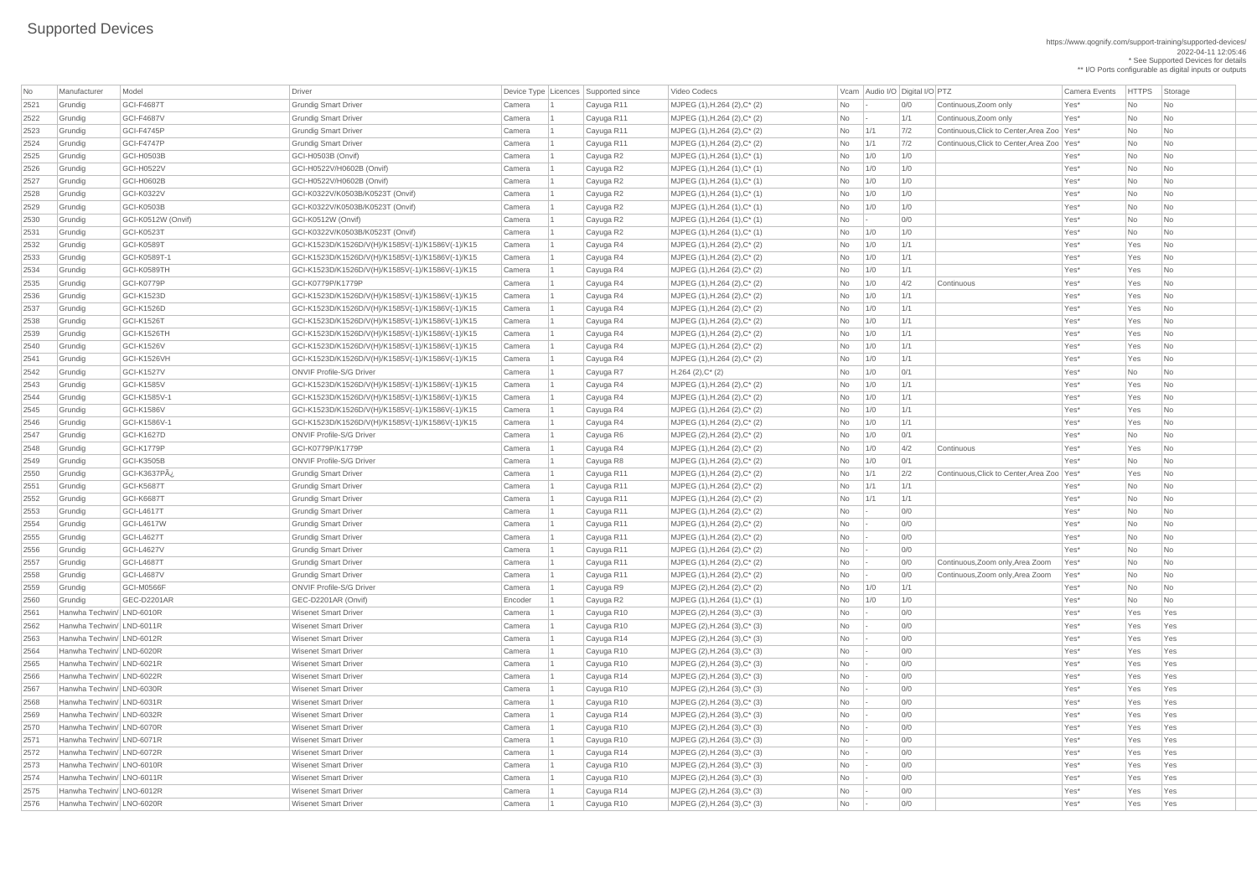https://www.qognify.com/support-training/supported-devices/ 2022-04-11 12:05:46 \* See Supported Devices for details \*\* I/O Ports configurable as digital inputs or outputs

MJPEG (1),H.264 (2),C<sup>\*</sup> (2) **No 1/1** 7/2 Continuous,Click to Center,Area Zoo Yes\* No No  $\vert$  MJPEG (1),H.264 (2),C\* (2)  $\vert$  Mo  $\vert$  1/1  $\vert$  7/2 Continuous,Click to Center,Area Zoo  $\vert$  Yes\*  $\vert$  No  $\vert$  No  $\vert$  No  $\vert$  Grundig GCI-K3637Pÿ Grundig Smart Driver Camera 1 Cayuga R11 MJPEG (1),H.264 (2),C\* (2) No 1/1 2/2 Continuous,Click to Center,Area Zoo Yes\* Yes No Grundig GCI-L4687T Grundig Smart Driver Camera 1 Cayuga R11 MJPEG (1),H.264 (2),C\* (2) No - 0/0 Continuous,Zoom only,Area Zoom Yes\* No No Grundig GCI-L4687V Grundig Smart Driver Camera 1 Cayuga R11 MJPEG (1),H.264 (2),C\* (2) No - 0/0 Continuous,Zoom only,Area Zoom Yes\* No No

| No           | Manufacturer                                           | Model              | <b>Driver</b>                                              | Device Type   Licences   Supported since |                          | Video Codecs                                                   |                          |     | Vcam Audio I/O Digital I/O PTZ |                                              | <b>Camera Events</b> | <b>HTTPS</b> | Storage                  |
|--------------|--------------------------------------------------------|--------------------|------------------------------------------------------------|------------------------------------------|--------------------------|----------------------------------------------------------------|--------------------------|-----|--------------------------------|----------------------------------------------|----------------------|--------------|--------------------------|
| 2521         | Grundig                                                | <b>GCI-F4687T</b>  | <b>Grundig Smart Driver</b>                                | Camera                                   | Cayuga R11               | MJPEG (1), H.264 (2), C* (2)                                   | No                       |     | 0/0                            | Continuous, Zoom only                        | Yes*                 | No           | No                       |
| 2522         | Grundig                                                | <b>GCI-F4687V</b>  | <b>Grundig Smart Driver</b>                                | Camera                                   | Cayuga R11               | MJPEG (1), H.264 (2), C* (2)                                   | <b>No</b>                |     | 1/1                            | Continuous, Zoom only                        | Yes*                 | <b>No</b>    | No                       |
| 2523         | Grundig                                                | GCI-F4745P         | <b>Grundig Smart Driver</b>                                | Camera                                   | Cayuga R11               | MJPEG (1), H.264 (2), C* (2)                                   | <b>No</b>                | 1/1 | 7/2                            | Continuous, Click to Center, Area Zoo   Yes* |                      | <b>No</b>    | No                       |
| 2524         | Grundig                                                | <b>GCI-F4747P</b>  | <b>Grundig Smart Driver</b>                                | Camera                                   | Cayuga R11               | $MJPEG (1), H.264 (2), C^* (2)$                                | No.                      | 1/1 | 7/2                            | Continuous, Click to Center, Area Zoo   Yes* |                      | <b>No</b>    | No                       |
| 2525         | Grundig                                                | <b>GCI-H0503B</b>  | GCI-H0503B (Onvif)                                         | Camera                                   | Cayuga R2                | MJPEG (1), H.264 (1), C* (1)                                   | <b>No</b>                | 1/0 | 1/0                            |                                              | Yes*                 | <b>No</b>    | No                       |
| 2526         | Grundig                                                | GCI-H0522V         | GCI-H0522V/H0602B (Onvif)                                  | Camera                                   | Cayuga R2                | MJPEG (1), H.264 (1), C* (1)                                   | No                       | 1/0 | 1/0                            |                                              | Yes*                 | <b>No</b>    | No                       |
| 2527         | Grundig                                                | <b>GCI-H0602B</b>  | GCI-H0522V/H0602B (Onvif)                                  | Camera                                   | Cayuga R2                | MJPEG (1), H.264 (1), C* (1)                                   | No.                      | 1/0 | 1/0                            |                                              | Yes*                 | <b>No</b>    | No                       |
| 2528         | Grundig                                                | GCI-K0322V         | GCI-K0322V/K0503B/K0523T (Onvif)                           | Camera                                   | Cayuga R2                | MJPEG (1), H.264 (1), C* (1)                                   | <b>No</b>                | 1/0 | 1/0                            |                                              | Yes*                 | No           | No                       |
| 2529         | Grundig                                                | <b>GCI-K0503B</b>  | GCI-K0322V/K0503B/K0523T (Onvif)                           | Camera                                   | Cayuga R2                | MJPEG (1), H.264 (1), C* (1)                                   | No                       | 1/0 | 1/0                            |                                              | Yes*                 | <b>No</b>    | No                       |
| 2530         | Grundig                                                | GCI-K0512W (Onvif) | GCI-K0512W (Onvif)                                         | Camera                                   | Cayuga R2                | $MJPEG (1), H.264 (1), C^* (1)$                                | No                       |     | 0/0                            |                                              | Yes*                 | No           | No                       |
| 2531         | Grundig                                                | <b>GCI-K0523T</b>  | GCI-K0322V/K0503B/K0523T (Onvif)                           | Camera                                   | Cayuga R2                | MJPEG (1), H.264 (1), C* (1)                                   | <b>No</b>                | 1/0 | 1/0                            |                                              | Yes*                 | <b>No</b>    | No                       |
| 2532         | Grundig                                                | <b>GCI-K0589T</b>  | GCI-K1523D/K1526D/V(H)/K1585V(-1)/K1586V(-1)/K15           | Camera                                   | Cayuga R4                | MJPEG (1), H.264 (2), C* (2)                                   | <b>No</b>                | 1/0 | 1/1                            |                                              | Yes*                 | Yes          | No                       |
| 2533         | Grundig                                                | GCI-K0589T-1       | GCI-K1523D/K1526D/V(H)/K1585V(-1)/K1586V(-1)/K15           | Camera                                   | Cayuga R4                | MJPEG (1), H.264 (2), C* (2)                                   | No.                      | 1/0 | 1/1                            |                                              | Yes*                 | Yes          | N <sub>o</sub>           |
| 2534         | Grundig                                                | GCI-K0589TH        | GCI-K1523D/K1526D/V(H)/K1585V(-1)/K1586V(-1)/K15           | Camera                                   | Cayuga R4                | MJPEG (1), H.264 (2), C* (2)                                   | <b>No</b>                | 1/0 | 1/1                            |                                              | Yes*                 | Yes          | N <sub>o</sub>           |
| 2535         | Grundig                                                | GCI-K0779P         | GCI-K0779P/K1779P                                          | Camera                                   | Cayuga R4                | MJPEG (1), H.264 (2), C* (2)                                   | No                       | 1/0 | 4/2                            | Continuous                                   | Yes*                 | Yes          | N <sub>o</sub>           |
| 2536         | Grundig                                                | <b>GCI-K1523D</b>  | GCI-K1523D/K1526D/V(H)/K1585V(-1)/K1586V(-1)/K15           | Camera                                   | Cayuga R4                | $MJPEG (1), H.264 (2), C^* (2)$                                | No                       | 1/0 | 1/1                            |                                              | Yes*                 | Yes          | No                       |
| 2537         | Grundig                                                | <b>GCI-K1526D</b>  | GCI-K1523D/K1526D/V(H)/K1585V(-1)/K1586V(-1)/K15           | Camera                                   | Cayuga R4                | MJPEG (1), H.264 (2), C* (2)                                   | <b>No</b>                | 1/0 | 1/1                            |                                              | Yes*                 | Yes          | No                       |
| 2538         | Grundig                                                | <b>GCI-K1526T</b>  | GCI-K1523D/K1526D/V(H)/K1585V(-1)/K1586V(-1)/K15           | Camera                                   | Cayuga R4                | MJPEG (1), H.264 (2), C* (2)                                   | No                       | 1/0 | 1/1                            |                                              | Yes*                 | Yes          | No                       |
| 2539         | Grundig                                                | GCI-K1526TH        | GCI-K1523D/K1526D/V(H)/K1585V(-1)/K1586V(-1)/K15           | Camera                                   | Cayuga R4                | MJPEG (1), H.264 (2), C* (2)                                   | No.                      | 1/0 | 1/1                            |                                              | Yes*                 | Yes          | N <sub>o</sub>           |
| 2540         | Grundig                                                | <b>GCI-K1526V</b>  | GCI-K1523D/K1526D/V(H)/K1585V(-1)/K1586V(-1)/K15           | Camera                                   | Cayuga R4                | MJPEG (1), H.264 (2), C* (2)                                   | No                       | 1/0 | 1/1                            |                                              | Yes*                 | Yes          | No                       |
| 2541         | Grundig                                                | GCI-K1526VH        | GCI-K1523D/K1526D/V(H)/K1585V(-1)/K1586V(-1)/K15           | Camera                                   | Cayuga R4                | MJPEG (1), H.264 (2), C* (2)                                   | No                       | 1/0 | 1/1                            |                                              | Yes*                 | Yes          | No                       |
| 2542         | Grundig                                                | <b>GCI-K1527V</b>  | <b>ONVIF Profile-S/G Driver</b>                            | Camera                                   | Cayuga R7                | $H.264 (2), C^*(2)$                                            | No                       | 1/0 | 0/1                            |                                              | Yes*                 | <b>No</b>    | No                       |
| 2543         | Grundig                                                | <b>GCI-K1585V</b>  | GCI-K1523D/K1526D/V(H)/K1585V(-1)/K1586V(-1)/K15           | Camera                                   | Cayuga R4                | MJPEG (1), H.264 (2), C* (2)                                   | No                       | 1/0 | 1/1                            |                                              | Yes*                 | Yes          | No                       |
| 2544         | Grundig                                                | GCI-K1585V-1       | GCI-K1523D/K1526D/V(H)/K1585V(-1)/K1586V(-1)/K15           | Camera                                   | Cayuga R4                | MJPEG (1), H.264 (2), C* (2)                                   | No.                      | 1/0 | 1/1                            |                                              | Yes*                 | Yes          | No                       |
| 2545         | Grundig                                                | <b>GCI-K1586V</b>  | GCI-K1523D/K1526D/V(H)/K1585V(-1)/K1586V(-1)/K15           | Camera                                   | Cayuga R4                | MJPEG (1), H.264 (2), C* (2)                                   | No.                      | 1/0 | 1/1                            |                                              | Yes*                 | Yes          | $\overline{\mathsf{No}}$ |
| 2546         | Grundig                                                | GCI-K1586V-1       | GCI-K1523D/K1526D/V(H)/K1585V(-1)/K1586V(-1)/K15           | Camera                                   | Cayuga R4                | MJPEG (1), H.264 (2), C* (2)                                   | No                       | 1/0 | 1/1                            |                                              | Yes*                 | Yes          | No                       |
| 2547         | Grundig                                                | <b>GCI-K1627D</b>  | <b>ONVIF Profile-S/G Driver</b>                            | Camera                                   | Cayuga R6                | MJPEG (2), H.264 (2), C* (2)                                   | No                       | 1/0 | 0/1                            |                                              | Yes*                 | <b>No</b>    | No                       |
| 2548         | Grundig                                                | GCI-K1779P         | GCI-K0779P/K1779P                                          | Camera                                   | Cayuga R4                | MJPEG (1), H.264 (2), C* (2)                                   | No                       | 1/0 | 4/2                            | Continuous                                   | Yes*                 | Yes          | N <sub>o</sub>           |
| 2549         | Grundig                                                | GCI-K3505B         | <b>ONVIF Profile-S/G Driver</b>                            | Camera                                   | Cayuga R8                | MJPEG (1), H.264 (2), C* (2)                                   | No                       | 1/0 | 0/1                            |                                              | Yes*                 | <b>No</b>    | No                       |
| 2550         | Grundig                                                | GCI-K3637Pÿ        | <b>Grundig Smart Driver</b>                                | Camera                                   | Cayuga R11               | MJPEG (1), H.264 (2), C* (2)                                   | No                       | 1/1 | 2/2                            | Continuous, Click to Center, Area Zoo   Yes* |                      | Yes          | No                       |
| 2551         | Grundig                                                | <b>GCI-K5687T</b>  | <b>Grundig Smart Driver</b>                                | Camera                                   | Cayuga R11               | MJPEG (1), H.264 (2), C* (2)                                   | <b>No</b>                | 1/1 | 1/1                            |                                              | Yes*                 | <b>No</b>    | No                       |
| 2552         | Grundig                                                | <b>GCI-K6687T</b>  | <b>Grundig Smart Driver</b>                                | Camera                                   | Cayuga R11               | MJPEG (1), H.264 (2), C* (2)                                   | <b>No</b>                | 1/1 | 1/1                            |                                              | Yes*                 | <b>No</b>    | No                       |
| 2553         | Grundig                                                | <b>GCI-L4617T</b>  | <b>Grundig Smart Driver</b>                                | Camera                                   | Cayuga R11               | MJPEG (1), H.264 (2), C* (2)                                   | No                       |     | 0/0                            |                                              | Yes*                 | No           | No                       |
| 2554         | Grundig                                                | <b>GCI-L4617W</b>  | <b>Grundig Smart Driver</b>                                | Camera                                   | Cayuga R11               | MJPEG (1), H.264 (2), C* (2)                                   | No                       |     | 0/0                            |                                              | Yes <sup>*</sup>     | <b>No</b>    | No                       |
| 2555         | Grundig                                                | GCI-L4627T         | <b>Grundig Smart Driver</b>                                | Camera                                   | Cayuga R11               | MJPEG (1), H.264 (2), C* (2)                                   | No                       |     | 0/0                            |                                              | Yes*                 | <b>No</b>    | No                       |
| 2556         | Grundig                                                | <b>GCI-L4627V</b>  | <b>Grundig Smart Driver</b>                                | Camera                                   | Cayuga R11               | MJPEG (1), H.264 (2), C* (2)                                   | No                       |     | 0/0                            |                                              | Yes*                 | <b>No</b>    | No                       |
| 2557         | Grundig                                                | <b>GCI-L4687T</b>  | <b>Grundig Smart Driver</b>                                | Camera                                   | Cayuga R11               | MJPEG (1), H.264 (2), C* (2)                                   | No                       |     | 0/0                            | Continuous, Zoom only, Area Zoom             | Yes*                 | <b>No</b>    | No                       |
| 2558         | Grundig                                                | GCI-L4687V         | <b>Grundig Smart Driver</b>                                | Camera                                   | Cayuga R11               | MJPEG (1), H.264 (2), C* (2)                                   | No                       |     | 0/0                            | Continuous, Zoom only, Area Zoom             | Yes*                 | No           | No                       |
| 2559         | Grundig                                                | <b>GCI-M0566F</b>  | <b>ONVIF Profile-S/G Driver</b>                            | Camera                                   | Cayuga R9                | MJPEG (2), H.264 (2), C* (2)                                   | No                       | 1/0 | 1/1                            |                                              | Yes*                 | <b>No</b>    | No                       |
| 2560         | Grundig                                                | GEC-D2201AR        | GEC-D2201AR (Onvif)                                        | Encoder                                  | Cayuga R2                | MJPEG (1), H.264 (1), C* (1)                                   | No                       | 1/0 | 1/0                            |                                              | Yes*                 | <b>No</b>    | No                       |
| 2561         | Hanwha Techwin/ LND-6010R                              |                    | <b>Wisenet Smart Driver</b>                                | Camera                                   | Cayuga R10               | MJPEG (2), H.264 (3), C* (3)                                   | No                       |     | 0/0                            |                                              | Yes*                 | Yes          | Yes                      |
| 2562         | Hanwha Techwin/ LND-6011R                              |                    | <b>Wisenet Smart Driver</b>                                | Camera                                   | Cayuga R10               | MJPEG (2), H.264 (3), C* (3)                                   | No                       |     | 0/0                            |                                              | Yes*                 | Yes          | Yes                      |
| 2563         | Hanwha Techwin/ LND-6012R                              |                    | <b>Wisenet Smart Driver</b>                                | Camera                                   | Cayuga R14               | MJPEG (2), H.264 (3), C* (3)                                   | No                       |     | 0/0                            |                                              | Yes*                 | Yes          | Yes                      |
| 2564         | Hanwha Techwin/ LND-6020R<br>Hanwha Techwin/ LND-6021R |                    | <b>Wisenet Smart Driver</b><br><b>Wisenet Smart Driver</b> | Camera                                   | Cayuga R10               | MJPEG (2), H.264 (3), C* (3)                                   | No                       |     | 0/0<br>0/0                     |                                              | Yes*                 | Yes          | Yes                      |
| 2565         | Hanwha Techwin/ LND-6022R                              |                    | <b>Wisenet Smart Driver</b>                                | Camera                                   | Cayuga R10               | MJPEG (2), H.264 (3), C* (3)                                   | No                       |     | 0/0                            |                                              | Yes*<br>Yes*         | Yes<br>Yes   | Yes<br>Yes               |
| 2566<br>2567 | Hanwha Techwin/ LND-6030R                              |                    | <b>Wisenet Smart Driver</b>                                | Camera<br>Camera                         | Cayuga R14<br>Cayuga R10 | $MJPEG (2), H.264 (3), C^*(3)$<br>MJPEG (2), H.264 (3), C* (3) | No<br>No                 |     | 0/0                            |                                              | Yes*                 | Yes          | Yes                      |
| 2568         | Hanwha Techwin/ LND-6031R                              |                    | <b>Wisenet Smart Driver</b>                                | Camera                                   | Cayuga R10               | MJPEG (2), H.264 (3), C* (3)                                   | No                       |     | 0/0                            |                                              | Yes*                 | Yes          | Yes                      |
| 2569         | Hanwha Techwin/ LND-6032R                              |                    | <b>Wisenet Smart Driver</b>                                | Camera                                   | Cayuga R14               | MJPEG (2), H.264 (3), C* (3)                                   | No                       |     | 0/0                            |                                              | Yes*                 | Yes          | Yes                      |
| 2570         | Hanwha Techwin/ LND-6070R                              |                    | <b>Wisenet Smart Driver</b>                                | Camera                                   | Cayuga R10               | MJPEG (2), H.264 (3), C* (3)                                   | No                       |     | 0/0                            |                                              | Yes*                 | Yes          | Yes                      |
| 2571         | Hanwha Techwin/ LND-6071R                              |                    | <b>Wisenet Smart Driver</b>                                | Camera                                   | Cayuga R10               | MJPEG (2), H.264 (3), C* (3)                                   | No                       |     | 0/0                            |                                              | Yes*                 | Yes          | Yes                      |
| 2572         | Hanwha Techwin/ LND-6072R                              |                    | <b>Wisenet Smart Driver</b>                                | <b>Camera</b>                            | Cayuga R14               | MJPEG (2), H.264 (3), C* (3)                                   | <b>No</b>                |     | O/O                            |                                              | Yes*                 | Yes          | Yes                      |
| 2573         | Hanwha Techwin/ LNO-6010R                              |                    | <b>Wisenet Smart Driver</b>                                | Camera                                   | Cayuga R10               | $MJPEG (2), H.264 (3), C^* (3)$                                | No                       |     | 0/0                            |                                              | Yes*                 | Yes          | Yes                      |
| 2574         | Hanwha Techwin/LNO-6011R                               |                    | <b>Wisenet Smart Driver</b>                                | Camera                                   | Cayuga R10               | $MJPEG (2), H.264 (3), C^* (3)$                                | No                       |     | 0/0                            |                                              | Yes*                 | Yes          | Yes                      |
| 2575         | Hanwha Techwin/ LNO-6012R                              |                    | <b>Wisenet Smart Driver</b>                                | Camera                                   | Cayuga R14               | $MJPEG (2), H.264 (3), C^* (3)$                                | No                       |     | 0/0                            |                                              | Yes <sup>*</sup>     | Yes          | Yes                      |
| 2576         | Hanwha Techwin/ LNO-6020R                              |                    | <b>Wisenet Smart Driver</b>                                | Camera                                   | Cayuga R10               | $MJPEG (2), H.264 (3), C^* (3)$                                | $\overline{\mathsf{No}}$ |     | 0/0                            |                                              | Yes*                 | Yes          | Yes                      |
|              |                                                        |                    |                                                            |                                          |                          |                                                                |                          |     |                                |                                              |                      |              |                          |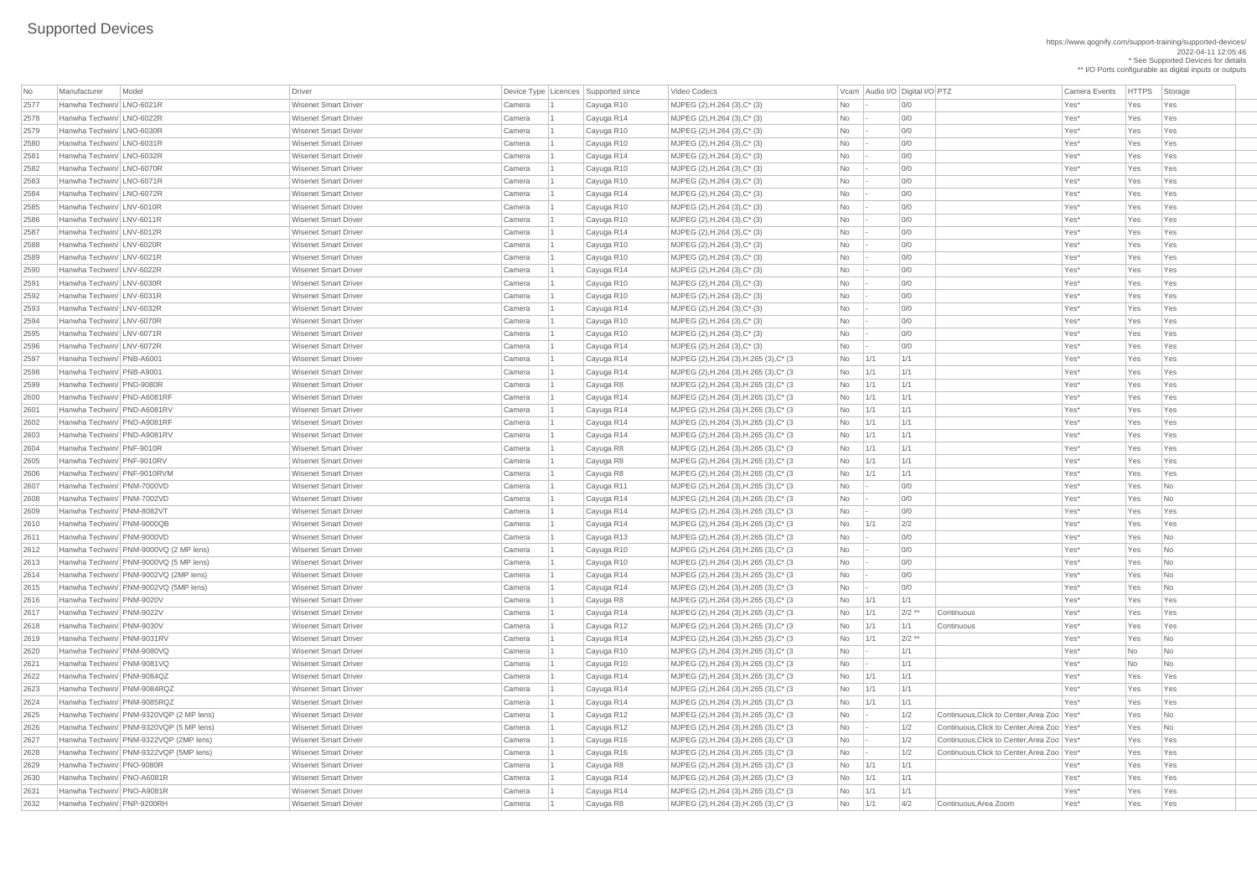https://www.qognify.com/support-training/supported-devices/ 2022-04-11 12:05:46 \* See Supported Devices for details

\*\* I/O Ports configurable as digital inputs or outputs

| No   | Manufacturer                | Model                                   | <b>Driver</b>               |        | Device Type Licences Supported since | Video Codecs                            |            | Vcam Audio I/O Digital I/O PTZ |          |                                              | Camera Events | <b>HTTPS</b> | Storage                  |
|------|-----------------------------|-----------------------------------------|-----------------------------|--------|--------------------------------------|-----------------------------------------|------------|--------------------------------|----------|----------------------------------------------|---------------|--------------|--------------------------|
| 2577 | Hanwha Techwin/ LNO-6021R   |                                         | <b>Wisenet Smart Driver</b> | Camera | Cayuga R10                           | MJPEG (2), H.264 (3), C* (3)            | No         |                                | 0/0      |                                              | Yes*          | Yes          | Yes                      |
| 2578 | Hanwha Techwin/ LNO-6022R   |                                         | <b>Wisenet Smart Driver</b> | Camera | Cayuga R14                           | MJPEG (2), H.264 (3), C* (3)            | <b>No</b>  |                                | 0/0      |                                              | Yes*          | Yes          | Yes                      |
| 2579 | Hanwha Techwin/ LNO-6030R   |                                         | <b>Wisenet Smart Driver</b> | Camera | Cayuga R10                           | MJPEG (2), H.264 (3), C* (3)            | No         |                                | 0/0      |                                              | Yes*          | Yes          | Yes                      |
| 2580 | Hanwha Techwin/ LNO-6031R   |                                         | <b>Wisenet Smart Driver</b> | Camera | Cayuga R10                           | MJPEG (2), H.264 (3), C* (3)            | No         |                                | 0/0      |                                              | Yes*          | Yes          | Yes                      |
| 2581 | Hanwha Techwin/ LNO-6032R   |                                         | <b>Wisenet Smart Driver</b> | Camera | Cayuga R14                           | MJPEG (2), H.264 (3), C* (3)            | No         |                                | 0/0      |                                              | Yes*          | Yes          | Yes                      |
| 2582 | Hanwha Techwin/ LNO-6070R   |                                         | <b>Wisenet Smart Driver</b> | Camera | Cayuga R10                           | MJPEG (2), H.264 (3), C* (3)            | No         |                                | 0/0      |                                              | Yes*          | Yes          | Yes                      |
| 2583 | Hanwha Techwin/ LNO-6071R   |                                         | <b>Wisenet Smart Driver</b> | Camera | Cayuga R10                           | MJPEG (2), H.264 (3), C* (3)            | No         |                                | 0/0      |                                              | Yes*          | Yes          | Yes                      |
| 2584 | Hanwha Techwin/ LNO-6072R   |                                         | <b>Wisenet Smart Driver</b> | Camera | Cayuga R14                           | MJPEG (2), H.264 (3), C* (3)            | <b>No</b>  |                                | 0/0      |                                              | Yes*          | Yes          | Yes                      |
| 2585 | Hanwha Techwin/ LNV-6010R   |                                         | <b>Wisenet Smart Driver</b> | Camera | Cayuga R10                           | MJPEG (2), H.264 (3), C* (3)            | No         |                                | 0/0      |                                              | Yes*          | Yes          | Yes                      |
| 2586 | Hanwha Techwin/ LNV-6011R   |                                         | <b>Wisenet Smart Driver</b> | Camera | Cayuga R10                           | MJPEG (2), H.264 (3), C* (3)            | No         |                                | 0/0      |                                              | Yes*          | Yes          | Yes                      |
| 2587 | Hanwha Techwin/ LNV-6012R   |                                         | <b>Wisenet Smart Driver</b> | Camera | Cayuga R14                           | MJPEG (2), H.264 (3), C* (3)            | No         |                                | 0/0      |                                              | Yes*          | Yes          | Yes                      |
| 2588 | Hanwha Techwin/ LNV-6020R   |                                         | <b>Wisenet Smart Driver</b> | Camera | Cayuga R10                           | MJPEG (2), H.264 (3), C* (3)            | No         |                                | 0/0      |                                              | Yes*          | Yes          | Yes                      |
| 2589 | Hanwha Techwin/ LNV-6021R   |                                         | <b>Wisenet Smart Driver</b> | Camera | Cayuga R10                           | MJPEG (2), H.264 (3), C* (3)            | No         |                                | 0/0      |                                              | Yes*          | Yes          | Yes                      |
| 2590 | Hanwha Techwin/ LNV-6022R   |                                         | <b>Wisenet Smart Driver</b> | Camera | Cayuga R14                           | MJPEG (2), H.264 (3), C* (3)            | No         |                                | 0/0      |                                              | Yes*          | Yes          | Yes                      |
| 2591 | Hanwha Techwin/ LNV-6030R   |                                         | <b>Wisenet Smart Driver</b> | Camera | Cayuga R10                           | MJPEG (2), H.264 (3), C* (3)            | No         |                                | 0/0      |                                              | Yes*          | Yes          | Yes                      |
| 2592 | Hanwha Techwin/ LNV-6031R   |                                         | <b>Wisenet Smart Driver</b> | Camera | Cayuga R10                           | MJPEG (2), H.264 (3), C* (3)            | No         |                                | 0/0      |                                              | Yes*          | Yes          | Yes                      |
| 2593 | Hanwha Techwin/ LNV-6032R   |                                         | <b>Wisenet Smart Driver</b> | Camera | Cayuga R14                           | MJPEG (2), H.264 (3), C* (3)            | No         |                                | O/O      |                                              | Yes*          | Yes          | Yes                      |
| 2594 | Hanwha Techwin/ LNV-6070R   |                                         | <b>Wisenet Smart Driver</b> | Camera | Cayuga R10                           | MJPEG (2), H.264 (3), C* (3)            | No         |                                | 0/0      |                                              | Yes*          | Yes          | Yes                      |
| 2595 | Hanwha Techwin/ LNV-6071R   |                                         | <b>Wisenet Smart Driver</b> | Camera | Cayuga R10                           | MJPEG (2), H.264 (3), C* (3)            | No         |                                | 0/0      |                                              | Yes*          | Yes          | Yes                      |
| 2596 | Hanwha Techwin/ LNV-6072R   |                                         | <b>Wisenet Smart Driver</b> | Camera | Cayuga R14                           | MJPEG (2), H.264 (3), C* (3)            | No         |                                | 0/0      |                                              | Yes*          | Yes          | Yes                      |
| 2597 | Hanwha Techwin/ PNB-A6001   |                                         | <b>Wisenet Smart Driver</b> | Camera | Cayuga R14                           | MJPEG (2), H.264 (3), H.265 (3), C* (3) | No         | $\vert$ 1/1                    | 1/1      |                                              | Yes*          | Yes          | Yes                      |
| 2598 | Hanwha Techwin/ PNB-A9001   |                                         | <b>Wisenet Smart Driver</b> | Camera | Cayuga R14                           | MJPEG (2), H.264 (3), H.265 (3), C* (3) | No         | $\vert$ 1/1                    | 1/1      |                                              | Yes*          | Yes          | Yes                      |
| 2599 | Hanwha Techwin/ PND-9080R   |                                         | <b>Wisenet Smart Driver</b> | Camera | Cayuga R8                            | MJPEG (2), H.264 (3), H.265 (3), C* (3) | No         | 1/1                            | 1/1      |                                              | Yes*          | Yes          | Yes                      |
| 2600 | Hanwha Techwin/ PND-A6081RF |                                         | <b>Wisenet Smart Driver</b> |        |                                      |                                         |            | 1/1                            | 1/1      |                                              |               |              |                          |
|      |                             |                                         |                             | Camera | Cayuga R14                           | MJPEG (2), H.264 (3), H.265 (3), C* (3) | No         |                                |          |                                              | Yes*          | Yes          | Yes                      |
| 2601 | Hanwha Techwin/ PND-A6081RV |                                         | <b>Wisenet Smart Driver</b> | Camera | Cayuga R14                           | MJPEG (2), H.264 (3), H.265 (3), C* (3) | No         | 1/1                            | 1/1      |                                              | Yes*          | Yes          | Yes                      |
| 2602 | Hanwha Techwin/ PND-A9081RF |                                         | <b>Wisenet Smart Driver</b> | Camera | Cayuga R14                           | MJPEG (2), H.264 (3), H.265 (3), C* (3) | No         | 1/1                            | 1/1      |                                              | Yes*          | Yes          | Yes                      |
| 2603 | Hanwha Techwin/ PND-A9081RV |                                         | <b>Wisenet Smart Driver</b> | Camera | Cayuga R14                           | MJPEG (2), H.264 (3), H.265 (3), C* (3) | No         | 1/1                            | 1/1      |                                              | Yes*          | Yes          | Yes                      |
| 2604 | Hanwha Techwin/ PNF-9010R   |                                         | <b>Wisenet Smart Driver</b> | Camera | Cayuga R8                            | MJPEG (2), H.264 (3), H.265 (3), C* (3) | No         | $\vert 1/1 \vert$              | 1/1      |                                              | Yes*          | Yes          | Yes                      |
| 2605 | Hanwha Techwin/ PNF-9010RV  |                                         | <b>Wisenet Smart Driver</b> | Camera | Cayuga R8                            | MJPEG (2), H.264 (3), H.265 (3), C* (3) | No         | 1/1                            | 1/1      |                                              | Yes*          | Yes          | Yes                      |
| 2606 | Hanwha Techwin/ PNF-9010RVM |                                         | <b>Wisenet Smart Driver</b> | Camera | Cayuga R8                            | MJPEG (2), H.264 (3), H.265 (3), C* (3) | No         | 1/1                            | 1/1      |                                              | Yes*          | Yes          | Yes                      |
| 2607 | Hanwha Techwin/ PNM-7000VD  |                                         | <b>Wisenet Smart Driver</b> | Camera | Cayuga R11                           | MJPEG (2), H.264 (3), H.265 (3), C* (3) | No         |                                | 0/0      |                                              | Yes*          | Yes          | $\overline{\mathsf{No}}$ |
| 2608 | Hanwha Techwin/ PNM-7002VD  |                                         | <b>Wisenet Smart Driver</b> | Camera | Cayuga R14                           | MJPEG (2), H.264 (3), H.265 (3), C* (3) | No         |                                | 0/0      |                                              | Yes*          | Yes          | No                       |
| 2609 | Hanwha Techwin/ PNM-8082VT  |                                         | <b>Wisenet Smart Driver</b> | Camera | Cayuga R14                           | MJPEG (2), H.264 (3), H.265 (3), C* (3) | No         |                                | O/O      |                                              | Yes*          | Yes          | Yes                      |
| 2610 | Hanwha Techwin/ PNM-9000QB  |                                         | <b>Wisenet Smart Driver</b> | Camera | Cayuga R14                           | MJPEG (2), H.264 (3), H.265 (3), C* (3) | No         | 1/1                            | 2/2      |                                              | Yes*          | Yes          | Yes                      |
| 2611 | Hanwha Techwin/ PNM-9000VD  |                                         | <b>Wisenet Smart Driver</b> | Camera | Cayuga R13                           | MJPEG (2), H.264 (3), H.265 (3), C* (3) | No         |                                | 0/0      |                                              | Yes*          | Yes          | No.                      |
| 2612 |                             | Hanwha Techwin/ PNM-9000VQ (2 MP lens)  | <b>Wisenet Smart Driver</b> | Camera | Cayuga R10                           | MJPEG (2), H.264 (3), H.265 (3), C* (3) | No         |                                | 0/0      |                                              | Yes*          | Yes          | $\overline{\mathsf{No}}$ |
| 2613 |                             | Hanwha Techwin/ PNM-9000VQ (5 MP lens)  | <b>Wisenet Smart Driver</b> | Camera | Cayuga R10                           | MJPEG (2), H.264 (3), H.265 (3), C* (3) | No         |                                | 0/0      |                                              | Yes*          | Yes          | $\overline{\mathsf{No}}$ |
| 2614 |                             | Hanwha Techwin/ PNM-9002VQ (2MP lens)   | <b>Wisenet Smart Driver</b> | Camera | Cayuga R14                           | MJPEG (2), H.264 (3), H.265 (3), C* (3) | No         |                                | 0/0      |                                              | Yes*          | Yes          | N <sub>o</sub>           |
| 2615 |                             | Hanwha Techwin/ PNM-9002VQ (5MP lens)   | <b>Wisenet Smart Driver</b> | Camera | Cayuga R14                           | MJPEG (2), H.264 (3), H.265 (3), C* (3) | No         |                                | O/O      |                                              | Yes*          | Yes          | N <sub>o</sub>           |
| 2616 | Hanwha Techwin/ PNM-9020V   |                                         | <b>Wisenet Smart Driver</b> | Camera | Cayuga R8                            | MJPEG (2), H.264 (3), H.265 (3), C* (3) | No         | 1/1                            | 1/1      |                                              | Yes*          | Yes          | Yes                      |
| 2617 | Hanwha Techwin/ PNM-9022V   |                                         | <b>Wisenet Smart Driver</b> | Camera | Cayuga R14                           | MJPEG (2), H.264 (3), H.265 (3), C* (3) | No         | 1/1                            | $2/2$ ** | Continuous                                   | Yes*          | Yes          | Yes                      |
| 2618 | Hanwha Techwin/ PNM-9030V   |                                         | <b>Wisenet Smart Driver</b> | Camera | Cayuga R12                           | MJPEG (2), H.264 (3), H.265 (3), C* (3) | No         | 1/1                            | 1/1      | Continuous                                   | Yes*          | Yes          | Yes                      |
| 2619 | Hanwha Techwin/ PNM-9031RV  |                                         | <b>Wisenet Smart Driver</b> | Camera | Cayuga R14                           | MJPEG (2), H.264 (3), H.265 (3), C* (3) | No         | 1/1                            | $2/2$ ** |                                              | Yes*          | Yes          | $\overline{\mathsf{No}}$ |
| 2620 | Hanwha Techwin/ PNM-9080VQ  |                                         | <b>Wisenet Smart Driver</b> | Camera | Cayuga R10                           | MJPEG (2), H.264 (3), H.265 (3), C* (3) | No         |                                | 1/1      |                                              | Yes*          | No           | No                       |
| 2621 | Hanwha Techwin/ PNM-9081VQ  |                                         | <b>Wisenet Smart Driver</b> | Camera | Cayuga R10                           | MJPEG (2), H.264 (3), H.265 (3), C* (3) | No         |                                | 1/1      |                                              | Yes*          | No           | No.                      |
| 2622 | Hanwha Techwin/ PNM-9084QZ  |                                         | <b>Wisenet Smart Driver</b> | Camera | Cayuga R14                           | MJPEG (2), H.264 (3), H.265 (3), C* (3) | No         | $\vert 1/1 \vert$              | 1/1      |                                              | Yes*          | Yes          | Yes                      |
| 2623 | Hanwha Techwin/ PNM-9084RQZ |                                         | <b>Wisenet Smart Driver</b> | Camera | Cayuga R14                           | MJPEG (2), H.264 (3), H.265 (3), C* (3) | No         | 1/1                            | 1/1      |                                              | Yes*          | Yes          | Yes                      |
| 2624 | Hanwha Techwin/ PNM-9085RQZ |                                         | <b>Wisenet Smart Driver</b> | Camera | Cayuga R14                           | MJPEG (2), H.264 (3), H.265 (3), C* (3) | No         | 1/1                            | 1/1      |                                              | Yes*          | Yes          | Yes                      |
| 2625 |                             | Hanwha Techwin/ PNM-9320VQP (2 MP lens) | <b>Wisenet Smart Driver</b> | Camera | Cayuga R12                           | MJPEG (2), H.264 (3), H.265 (3), C* (3) | No         |                                | 1/2      | Continuous, Click to Center, Area Zoo   Yes* |               | Yes          | $\overline{\mathsf{No}}$ |
| 2626 |                             | Hanwha Techwin/ PNM-9320VQP (5 MP lens) | <b>Wisenet Smart Driver</b> | Camera | Cayuga R12                           | MJPEG (2), H.264 (3), H.265 (3), C* (3) | No         |                                | 1/2      | Continuous, Click to Center, Area Zoo   Yes* |               | Yes          | No                       |
| 2627 |                             | Hanwha Techwin/ PNM-9322VQP (2MP lens)  | <b>Wisenet Smart Driver</b> | Camera | Cayuga R16                           | MJPEG (2), H.264 (3), H.265 (3), C* (3) | No         |                                | 1/2      | Continuous, Click to Center, Area Zoo   Yes* |               | Yes          | Yes                      |
| 2628 |                             | Hanwha Techwin/ PNM-9322VQP (5MP lens)  | <b>Wisenet Smart Driver</b> | Camera | Cayuga R16                           | MJPEG (2), H.264 (3), H.265 (3), C* (3) | No         |                                | 1/2      | Continuous, Click to Center, Area Zoo   Yes* |               | Yes          | Yes                      |
| 2629 | Hanwha Techwin/ PNO-9080R   |                                         | <b>Wisenet Smart Driver</b> | Camera | Cayuga R8                            | MJPEG (2), H.264 (3), H.265 (3), C* (3) | $No$   1/1 |                                | 1/1      |                                              | Yes*          | Yes          | Yes                      |
| 2630 | Hanwha Techwin/ PNO-A6081R  |                                         | <b>Wisenet Smart Driver</b> | Camera | Cayuga R14                           | MJPEG (2), H.264 (3), H.265 (3), C* (3) | $No$   1/1 |                                | 1/1      |                                              | Yes*          | Yes          | Yes                      |
| 2631 | Hanwha Techwin/ PNO-A9081R  |                                         | <b>Wisenet Smart Driver</b> | Camera | Cayuga R14                           | MJPEG (2), H.264 (3), H.265 (3), C* (3) | $No$ $1/1$ |                                | 1/1      |                                              | Yes*          | Yes          | Yes                      |
| 2632 | Hanwha Techwin/ PNP-9200RH  |                                         | <b>Wisenet Smart Driver</b> | Camera | Cayuga R8                            | MJPEG (2), H.264 (3), H.265 (3), C* (3) | $No$ 1/1   |                                | 4/2      | Continuous, Area Zoom                        | Yes*          | Yes          | Yes                      |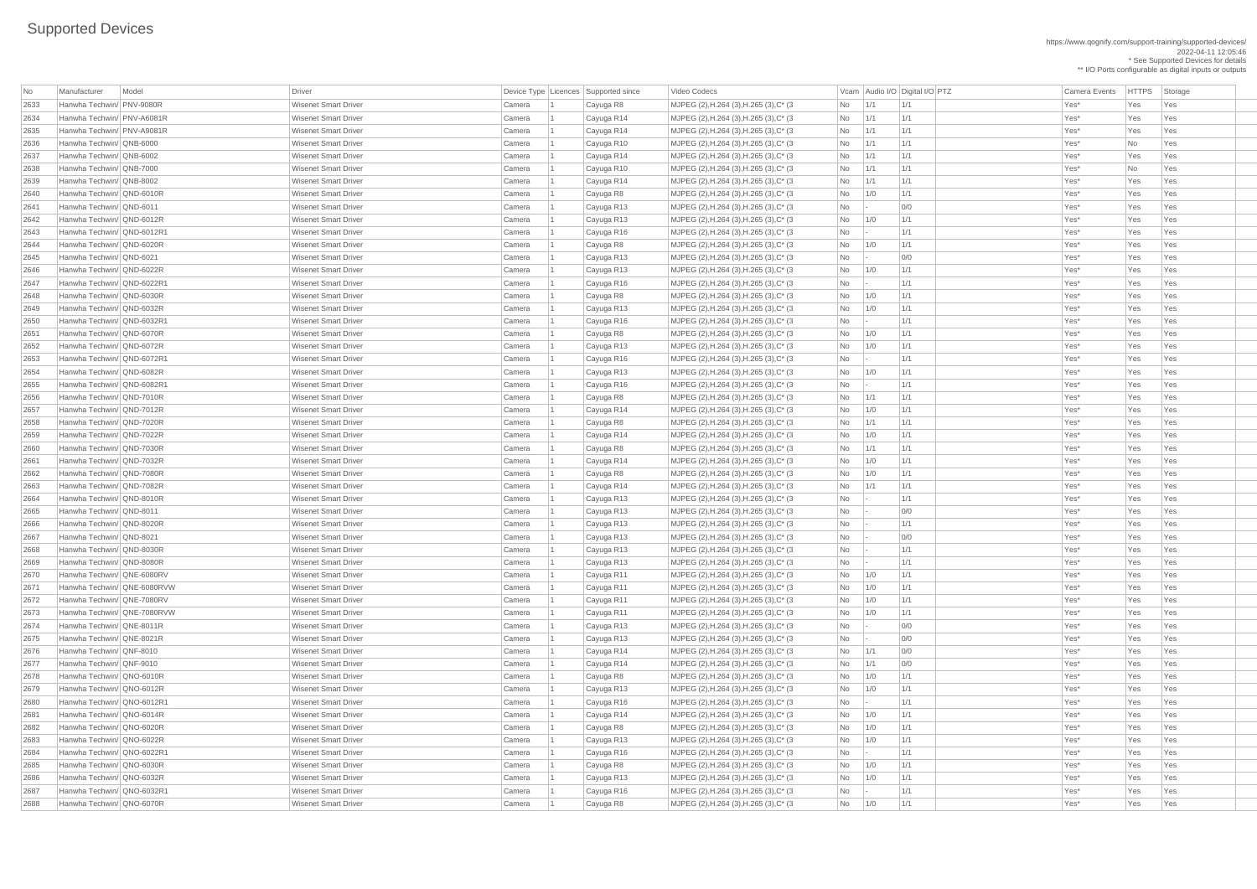https://www.qognify.com/support-training/supported-devices/ 2022-04-11 12:05:46 \* See Supported Devices for details \*\* I/O Ports configurable as digital inputs or outputs

Video Codecs **No Manufacturer Model Driver Audio I/O Digital I/O PTZ** Vcam Audio I/O Digital I/O PTZ Camera Events HTTPS Storage 2633 Hanwha Techwin/ PNV-9080R Wisenet Smart Driver Camera 1 Cayuga R8 MJPEG (2),H.264 (3),H.265 (3),C\* (3 No 1/1 1/1 Yes\* Yes Yes 2634 Hanwha Techwin/ PNV-A6081R Wisenet Smart Driver Camera 1 Cayuga R14 MJPEG (2),H.264 (3),H.265 (3),C\* (3 No 1/1 1/1 Yes\* Yes Yes | MJPEG (2),H.264 (3),H.265 (3),C\* (3  $\qquad$  No  $\qquad$  1/1  $\qquad$  1/1  $\qquad$  1/1  $\qquad$  Yes\* Yes Yes Yes | MJPEG (2),H.264 (3),H.265 (3),C\* (3  $\vert$  No  $\vert$  1/1  $\vert$  1/1  $\vert$  1/1  $\vert$  1/1  $\vert$   $\vert$  Yes\* No  $\vert$  Yes | MJPEG (2),H.264 (3),H.265 (3),C\* (3  $\vert$  No  $\vert$  1/1  $\vert$  1/1  $\vert$  1/1  $\vert$  1/1  $\vert$  Yes\*  $\vert$  Yes Yes Yes | MJPEG (2),H.264 (3),H.265 (3),C\* (3  $\qquad$  No 1/1 1/1 1/1 No 1/1 1/1 Ves\* Yes Yes Yes | MJPEG (2),H.264 (3),H.265 (3),C\* (3  $\qquad$  No 1/0 1/1 1 No 11/1 Yes\* Yes Yes Yes | MJPEG (2),H.264 (3),H.265 (3),C\* (3  $\qquad$  No  $\qquad$  - 0/0  $\qquad$  00 Yes\* Yes Yes Yes Yes | MJPEG (2),H.264 (3),H.265 (3),C\* (3  $\vert$  No  $\vert$  1/0  $\vert$  1/1  $\vert$  1/1  $\vert$  Yes\*  $\vert$  Yes Yes Yes | MJPEG (2),H.264 (3),H.265 (3),C\* (3  $\vert$  No  $\vert$ - 1/1 | Yes\* Yes Yes Yes Yes | MJPEG (2),H.264 (3),H.265 (3),C\* (3  $\qquad$  No  $\qquad$  1/0  $\qquad$  1/1  $\qquad$  Yes\* Yes Yes Yes | MJPEG (2),H.264 (3),H.265 (3),C\* (3  $\qquad$  No  $\qquad$  - 0/0  $\qquad$  00 Yes\* Yes Yes Yes Yes | MJPEG (2),H.264 (3),H.265 (3),C\* (3  $\qquad$  No 1/0 1/1 1 No 11/1 Yes\* Yes Yes Yes | MJPEG (2),H.264 (3),H.265 (3),C\* (3  $\qquad$  No  $\qquad$  - 1/1  $\qquad$  1/1 Yes\* Yes Yes Yes | MJPEG (2),H.264 (3),H.265 (3),C\* (3  $\vert$  No  $\vert$  1/0  $\vert$  1/1  $\vert$  1/1  $\vert$  Yes\*  $\vert$  Yes Yes Yes | MJPEG (2),H.264 (3),H.265 (3),C\* (3  $\qquad$  No 1/0 1/1 1 No 11/1 Yes\* Yes Yes Yes | MJPEG (2),H.264 (3),H.265 (3),C\* (3  $\qquad$  No  $\qquad$  - 1/1  $\qquad$  1/1 Yes\* Yes Yes Yes | MJPEG (2),H.264 (3),H.265 (3),C\* (3  $\qquad$  No 1/0 1/1 1 No 11/1 Yes\* Yes Yes Yes | MJPEG (2),H.264 (3),H.265 (3),C\* (3  $\qquad$  No 1/0 1/1 1 No 11/1 Yes\* Yes Yes Yes | MJPEG (2),H.264 (3),H.265 (3),C\* (3  $\qquad$  No  $\qquad$  - 1/1 | Yes\* Yes Yes Yes Yes | MJPEG (2),H.264 (3),H.265 (3),C\* (3  $\vert$  No  $\vert$  1/0  $\vert$  1/1  $\vert$  1/1  $\vert$  Yes\*  $\vert$  Yes Yes Yes | MJPEG (2),H.264 (3),H.265 (3),C\* (3  $\vert$  No  $\vert$  -  $\vert$  1/1  $\vert$  1/1 Yes\* Yes Yes Yes 2656 Hanwha Techwin/ QND-7010R Wisenet Smart Driver Camera 1 Cayuga R8 MJPEG (2),H.264 (3),H.265 (3),C\* (3 No 1/1 1/1 Yes\* Yes Yes | MJPEG (2),H.264 (3),H.265 (3),C\* (3  $\qquad$  No 1/0 1/1 1 No 11/1 Yes\* Yes Yes Yes | MJPEG (2),H.264 (3),H.265 (3),C\* (3  $\qquad$  No 1/1 1/1 1/1  $\qquad$  1/1 Yes\* Yes Yes Yes | MJPEG (2),H.264 (3),H.265 (3),C\* (3  $\qquad$  No 1/0 1/1 1 No 11/1 Yes\* Yes Yes Yes | MJPEG (2),H.264 (3),H.265 (3),C\* (3  $\vert$  No  $\vert$  1/1  $\vert$  1/1  $\vert$  1/1  $\vert$  1/1  $\vert$  Yes\*  $\vert$  Yes Yes Yes | MJPEG (2),H.264 (3),H.265 (3),C\* (3  $\vert$  No  $\vert$  1/0  $\vert$  1/1  $\vert$  1/1  $\vert$  Yes\*  $\vert$  Yes Yes Yes | MJPEG (2),H.264 (3),H.265 (3),C\* (3  $\qquad$  No  $\qquad$  1/0  $\qquad$  1/1  $\qquad$  Yes\* Yes Yes Yes | MJPEG (2),H.264 (3),H.265 (3),C\* (3  $\vert$  No  $\vert$  1/1  $\vert$  1/1  $\vert$  1/1  $\vert$  1/1  $\vert$   $\vert$  Yes\*  $\vert$  Yes Yes Yes | MJPEG (2),H.264 (3),H.265 (3),C\* (3  $\qquad$  No  $\qquad$  - 1/1  $\qquad$  1/1 Yes\* Yes Yes Yes | MJPEG (2),H.264 (3),H.265 (3),C\* (3  $\qquad$  No  $\qquad$  - 0/0  $\qquad$  0/0 Yes\* Yes Yes Yes | MJPEG (2),H.264 (3),H.265 (3),C\* (3  $\qquad$  No  $\qquad$  - 1/1  $\qquad$  1/1 Yes\* Yes Yes Yes | MJPEG (2),H.264 (3),H.265 (3),C\* (3  $\qquad$  No  $\qquad$  - 0/0  $\qquad$  200 Yes\* Yes Yes Yes Yes | MJPEG (2),H.264 (3),H.265 (3),C\* (3  $\qquad$  No  $\qquad$  - 1/1  $\qquad$  1/1 Yes\* Yes Yes Yes | MJPEG (2),H.264 (3),H.265 (3),C\* (3  $\qquad$  No  $\qquad$  - 1/1  $\qquad$  1/1 Yes\* Yes Yes Yes | MJPEG (2),H.264 (3),H.265 (3),C\* (3  $\qquad$  No 1/0 1/1 1 No 11/1 Yes\* Yes Yes Yes | MJPEG (2),H.264 (3),H.265 (3),C\* (3  $\qquad$  No 1/0 1/1 1 No 11/1 Yes\* Yes Yes Yes | MJPEG (2),H.264 (3),H.265 (3),C\* (3  $\qquad$  No 1/0 1/1 1 No 11/1 Yes\* Yes Yes Yes 2673 Hanwha Techwin/ QNE-7080RVW Wisenet Smart Driver Camera 1 Cayuga R11 MJPEG (2),H.264 (3),H.265 (3),C\* (3 No 1/0 1/1 Yes\* Yes Yes | MJPEG (2),H.264 (3),H.265 (3),C\* (3  $\qquad$  No  $\qquad$  - 0/0  $\qquad$  00 Yes\* Yes Yes Yes | MJPEG (2),H.264 (3),H.265 (3),C\* (3  $\qquad$  No  $\qquad$  - 0/0  $\qquad$  00 Yes\* Yes Yes Yes Yes 2676 Hanwha Techwin/ QNF-8010 Wisenet Smart Driver Camera 1 Cayuga R14 MJPEG (2),H.264 (3),H.265 (3),C\* (3 No 1/1 0/0 Yes\* Yes Yes 2677 Hanwha Techwin/ QNF-9010 Wisenet Smart Driver Camera 1 Cayuga R14 MJPEG (2),H.264 (3),H.265 (3),C\* (3 No 1/1 0/0 Yes\* Yes Yes | MJPEG (2),H.264 (3),H.265 (3),C\* (3  $\qquad$  No 1/0 1/1 1 No 11/1 Yes\* Yes Yes Yes | MJPEG (2),H.264 (3),H.265 (3),C\* (3  $\vert$  No  $\vert$  1/0  $\vert$  1/1  $\vert$  1/1  $\vert$  Yes\*  $\vert$  Yes Yes Yes | MJPEG (2),H.264 (3),H.265 (3),C\* (3  $\qquad$  No  $\qquad$  - 1/1  $\qquad$  1/1 Yes\* Yes Yes Yes | MJPEG (2),H.264 (3),H.265 (3),C\* (3  $\qquad$  No 1/0 1/1 1 Yes\* Yes Yes Yes | MJPEG (2),H.264 (3),H.265 (3),C\* (3  $\qquad$  No 1/0 1/1 1 No 11/1 Yes\* Yes Yes Yes | MJPEG (2),H.264 (3),H.265 (3),C\* (3  $\qquad$  No 1/0 1/1 1 No 11/1 Yes\* Yes Yes Yes | MJPEG (2),H.264 (3),H.265 (3),C\* (3  $\vert$  No  $\vert$  -  $\vert$  1/1  $\vert$  1/1  $\vert$  Yes\* Yes Yes Yes | MJPEG (2),H.264 (3),H.265 (3),C\* (3  $\qquad$  No 1/0 1/1 1 No 11/1 Yes\* Yes Yes Yes | MJPEG (2),H.264 (3),H.265 (3),C\* (3  $\qquad$  No 1/0 1/1 1 Yes\* Yes Yes Yes | MJPEG (2),H.264 (3),H.265 (3),C\* (3  $\vert$  No  $\vert$  -  $\vert$  1/1  $\vert$  1/1  $\vert$  Yes\* Yes Yes Yes | MJPEG (2),H.264 (3),H.265 (3),C\* (3  $\qquad$  No 1/0 1/1 1 No 11/1 Yes\* Yes Yes Yes

| No   | Manufacturer                | Model | Driver                      |        | Device Type   Licences   Supported since | Video Codecs                            |                          |             | Vcam Audio I/O Digital I/O PTZ | <b>Camera Events</b> | <b>HTTPS</b> | Sto        |
|------|-----------------------------|-------|-----------------------------|--------|------------------------------------------|-----------------------------------------|--------------------------|-------------|--------------------------------|----------------------|--------------|------------|
| 2633 | Hanwha Techwin/ PNV-9080R   |       | <b>Wisenet Smart Driver</b> | Camera | Cayuga R8                                | MJPEG (2), H.264 (3), H.265 (3), C* (3) | No                       | 1/1         | 1/1                            | Yes*                 | Yes          | Yes        |
| 2634 | Hanwha Techwin/ PNV-A6081R  |       | <b>Wisenet Smart Driver</b> | Camera | Cayuga R14                               | MJPEG (2), H.264 (3), H.265 (3), C* (3) | No                       | 1/1         | 1/1                            | Yes*                 | Yes          | Yes        |
| 2635 | Hanwha Techwin/ PNV-A9081R  |       | <b>Wisenet Smart Driver</b> | Camera | Cayuga R14                               | MJPEG (2), H.264 (3), H.265 (3), C* (3) | No                       | 1/1         | 1/1                            | Yes*                 | Yes          | Yes        |
| 2636 | Hanwha Techwin/ QNB-6000    |       | <b>Wisenet Smart Driver</b> | Camera | Cayuga R10                               | MJPEG (2), H.264 (3), H.265 (3), C* (3) | No                       | $\vert$ 1/1 | 1/1                            | Yes*                 | No           | Yes        |
| 2637 | Hanwha Techwin/ QNB-6002    |       | <b>Wisenet Smart Driver</b> | Camera | Cayuga R14                               | MJPEG (2), H.264 (3), H.265 (3), C* (3) | No                       | 1/1         | 1/1                            | Yes*                 | Yes          | Yes        |
| 2638 | Hanwha Techwin/ QNB-7000    |       | <b>Wisenet Smart Driver</b> | Camera | Cayuga R10                               | MJPEG (2), H.264 (3), H.265 (3), C* (3) | No                       | 1/1         | 1/1                            | Yes*                 | No           | Yes        |
| 2639 | Hanwha Techwin/ QNB-8002    |       | <b>Wisenet Smart Driver</b> | Camera | Cayuga R14                               | MJPEG (2), H.264 (3), H.265 (3), C* (3) | No                       | 1/1         | 1/1                            | Yes*                 | Yes          | Yes        |
| 2640 | Hanwha Techwin/ QND-6010R   |       | <b>Wisenet Smart Driver</b> |        |                                          |                                         |                          | 1/0         | 1/1                            | Yes*                 | Yes          |            |
|      | Hanwha Techwin/ QND-6011    |       | <b>Wisenet Smart Driver</b> | Camera | Cayuga R8                                | MJPEG (2),H.264 (3),H.265 (3),C* (3)    | No                       |             | 0/0                            |                      |              | Yes        |
| 2641 |                             |       |                             | Camera | Cayuga R13                               | MJPEG (2), H.264 (3), H.265 (3), C* (3) | No                       |             | 1/1                            | Yes*                 | Yes          | Yes        |
| 2642 | Hanwha Techwin/ QND-6012R   |       | <b>Wisenet Smart Driver</b> | Camera | Cayuga R13                               | MJPEG (2), H.264 (3), H.265 (3), C* (3) | No                       | 1/0         |                                | Yes*                 | Yes          | Yes        |
| 2643 | Hanwha Techwin/ QND-6012R1  |       | <b>Wisenet Smart Driver</b> | Camera | Cayuga R16                               | MJPEG (2), H.264 (3), H.265 (3), C* (3) | No                       |             | 1/1                            | Yes*                 | Yes          | Yes        |
| 2644 | Hanwha Techwin/ QND-6020R   |       | <b>Wisenet Smart Driver</b> | Camera | Cayuga R8                                | MJPEG (2), H.264 (3), H.265 (3), C* (3) | No                       | 1/0         | 1/1                            | Yes*                 | Yes          | Yes        |
| 2645 | Hanwha Techwin/ QND-6021    |       | <b>Wisenet Smart Driver</b> | Camera | Cayuga R13                               | MJPEG (2), H.264 (3), H.265 (3), C* (3) | No                       |             | 0/0                            | Yes*                 | Yes          | Yes        |
| 2646 | Hanwha Techwin/ QND-6022R   |       | <b>Wisenet Smart Driver</b> | Camera | Cayuga R13                               | MJPEG (2), H.264 (3), H.265 (3), C* (3) | No                       | 1/0         | 1/1                            | Yes*                 | Yes          | Yes        |
| 2647 | Hanwha Techwin/ QND-6022R1  |       | <b>Wisenet Smart Driver</b> | Camera | Cayuga R16                               | MJPEG (2), H.264 (3), H.265 (3), C* (3) | No                       |             | 1/1                            | Yes*                 | Yes          | Yes        |
| 2648 | Hanwha Techwin/ QND-6030R   |       | <b>Wisenet Smart Driver</b> | Camera | Cayuga R8                                | MJPEG (2), H.264 (3), H.265 (3), C* (3) | No                       | 1/0         | 1/1                            | Yes*                 | Yes          | Yes        |
| 2649 | Hanwha Techwin/ QND-6032R   |       | <b>Wisenet Smart Driver</b> | Camera | Cayuga R13                               | MJPEG (2), H.264 (3), H.265 (3), C* (3) | No                       | 1/0         | 1/1                            | Yes*                 | Yes          | Yes        |
| 2650 | Hanwha Techwin/ QND-6032R1  |       | <b>Wisenet Smart Driver</b> | Camera | Cayuga R16                               | MJPEG (2), H.264 (3), H.265 (3), C* (3) | No                       |             | 1/1                            | Yes*                 | Yes          | Yes        |
| 2651 | Hanwha Techwin/ QND-6070R   |       | <b>Wisenet Smart Driver</b> | Camera | Cayuga R8                                | MJPEG (2), H.264 (3), H.265 (3), C* (3) | No                       | 1/0         | 1/1                            | Yes*                 | Yes          | Yes        |
| 2652 | Hanwha Techwin/ QND-6072R   |       | <b>Wisenet Smart Driver</b> | Camera | Cayuga R13                               | MJPEG (2), H.264 (3), H.265 (3), C* (3) | No                       | 1/0         | 1/1                            | Yes*                 | Yes          | Yes        |
| 2653 | Hanwha Techwin/ QND-6072R1  |       | <b>Wisenet Smart Driver</b> | Camera | Cayuga R16                               | MJPEG (2), H.264 (3), H.265 (3), C* (3) | No                       |             | 1/1                            | Yes*                 | Yes          | Yes        |
| 2654 | Hanwha Techwin/ QND-6082R   |       | <b>Wisenet Smart Driver</b> | Camera | Cayuga R13                               | MJPEG (2), H.264 (3), H.265 (3), C* (3) | No                       | 1/0         | 1/1                            | Yes*                 | Yes          | Yes        |
| 2655 | Hanwha Techwin/ QND-6082R1  |       | <b>Wisenet Smart Driver</b> | Camera | Cayuga R16                               | MJPEG (2), H.264 (3), H.265 (3), C* (3) | No                       |             | 1/1                            | Yes*                 | Yes          | Yes        |
| 2656 | Hanwha Techwin/ QND-7010R   |       | <b>Wisenet Smart Driver</b> | Camera | Cayuga R8                                | MJPEG (2), H.264 (3), H.265 (3), C* (3) | No                       | 1/1         | 1/1                            | Yes*                 | Yes          | Yes        |
| 2657 | Hanwha Techwin/ QND-7012R   |       | <b>Wisenet Smart Driver</b> | Camera | Cayuga R14                               | MJPEG (2), H.264 (3), H.265 (3), C* (3) | No                       | 1/0         | 1/1                            | Yes*                 | Yes          | Yes        |
| 2658 | Hanwha Techwin/ QND-7020R   |       | <b>Wisenet Smart Driver</b> | Camera | Cayuga R8                                | MJPEG (2), H.264 (3), H.265 (3), C* (3) | No                       | 1/1         | 1/1                            | Yes*                 | Yes          | Yes        |
| 2659 | Hanwha Techwin/ QND-7022R   |       | <b>Wisenet Smart Driver</b> | Camera | Cayuga R14                               | MJPEG (2), H.264 (3), H.265 (3), C* (3) | No                       | 1/0         | 1/1                            | Yes*                 | Yes          | Yes        |
| 2660 | Hanwha Techwin/ QND-7030R   |       | <b>Wisenet Smart Driver</b> | Camera | Cayuga R8                                | MJPEG (2), H.264 (3), H.265 (3), C* (3) | No                       | 1/1         | 1/1                            | Yes*                 | Yes          | Yes        |
| 2661 | Hanwha Techwin/ QND-7032R   |       | <b>Wisenet Smart Driver</b> | Camera | Cayuga R14                               | MJPEG (2), H.264 (3), H.265 (3), C* (3) | No                       | 1/0         | 1/1                            | Yes*                 | Yes          | Yes        |
| 2662 | Hanwha Techwin/ QND-7080R   |       | <b>Wisenet Smart Driver</b> | Camera | Cayuga R8                                | MJPEG (2), H.264 (3), H.265 (3), C* (3) | No                       | 1/0         | 1/1                            | Yes*                 | Yes          | Yes        |
| 2663 | Hanwha Techwin/ QND-7082R   |       | <b>Wisenet Smart Driver</b> | Camera | Cayuga R14                               | MJPEG (2), H.264 (3), H.265 (3), C* (3) | No                       | 1/1         | 1/1                            | Yes*                 | Yes          | Yes        |
| 2664 | Hanwha Techwin/ QND-8010R   |       | <b>Wisenet Smart Driver</b> | Camera | Cayuga R13                               | MJPEG (2), H.264 (3), H.265 (3), C* (3) | No                       |             | 1/1                            | Yes*                 | Yes          | Yes        |
| 2665 | Hanwha Techwin/ QND-8011    |       | <b>Wisenet Smart Driver</b> | Camera | Cayuga R13                               | MJPEG (2),H.264 (3),H.265 (3),C* (3)    | No                       |             | 0/0                            | Yes*                 | Yes          | Yes        |
| 2666 | Hanwha Techwin/ QND-8020R   |       | <b>Wisenet Smart Driver</b> | Camera | Cayuga R13                               | MJPEG (2), H.264 (3), H.265 (3), C* (3) | No                       |             | 1/1                            | Yes*                 | Yes          | <b>Yes</b> |
| 2667 | Hanwha Techwin/ QND-8021    |       | <b>Wisenet Smart Driver</b> | Camera | Cayuga R13                               | MJPEG (2), H.264 (3), H.265 (3), C* (3) | No                       |             | 0/0                            | Yes*                 | Yes          | <b>Yes</b> |
| 2668 | Hanwha Techwin/ QND-8030R   |       | <b>Wisenet Smart Driver</b> | Camera | Cayuga R13                               | MJPEG (2), H.264 (3), H.265 (3), C* (3) | No                       |             | 1/1                            | Yes*                 | Yes          | Yes        |
| 2669 | Hanwha Techwin/ QND-8080R   |       | <b>Wisenet Smart Driver</b> | Camera | Cayuga R13                               | MJPEG (2), H.264 (3), H.265 (3), C* (3) | No                       |             | 1/1                            | Yes*                 | Yes          | Yes        |
| 2670 | Hanwha Techwin/ QNE-6080RV  |       | <b>Wisenet Smart Driver</b> | Camera | Cayuga R11                               | MJPEG (2), H.264 (3), H.265 (3), C* (3) | No                       | 1/0         | 1/1                            | Yes*                 | Yes          | Yes        |
| 2671 | Hanwha Techwin/ QNE-6080RVW |       | <b>Wisenet Smart Driver</b> | Camera | Cayuga R11                               | MJPEG (2), H.264 (3), H.265 (3), C* (3) | No                       | 1/0         | 1/1                            | Yes*                 | Yes          | Yes        |
| 2672 | Hanwha Techwin/ QNE-7080RV  |       | <b>Wisenet Smart Driver</b> | Camera | Cayuga R11                               | MJPEG (2), H.264 (3), H.265 (3), C* (3) | No                       | 1/0         | 1/1                            | Yes*                 | Yes          | <b>Yes</b> |
| 2673 | Hanwha Techwin/ QNE-7080RVW |       | <b>Wisenet Smart Driver</b> | Camera | Cayuga R11                               | MJPEG (2), H.264 (3), H.265 (3), C* (3) | No                       | 1/0         | 1/1                            | Yes*                 | Yes          | Yes        |
| 2674 | Hanwha Techwin/ QNE-8011R   |       | <b>Wisenet Smart Driver</b> | Camera | Cayuga R13                               | MJPEG (2), H.264 (3), H.265 (3), C* (3) | No                       |             | 0/0                            | Yes*                 | Yes          | Yes        |
| 2675 | Hanwha Techwin/ QNE-8021R   |       | <b>Wisenet Smart Driver</b> | Camera | Cayuga R13                               | MJPEG (2), H.264 (3), H.265 (3), C* (3) | No                       |             | 0/0                            | Yes*                 | Yes          | Yes        |
| 2676 | Hanwha Techwin/ QNF-8010    |       | <b>Wisenet Smart Driver</b> | Camera | Cayuga R14                               | MJPEG (2), H.264 (3), H.265 (3), C* (3) | No                       | 1/1         | 0/0                            | Yes*                 | Yes          | Yes        |
| 2677 | Hanwha Techwin/ QNF-9010    |       | <b>Wisenet Smart Driver</b> | Camera | Cayuga R14                               | MJPEG (2), H.264 (3), H.265 (3), C* (3) | No                       | 1/1         | 0/0                            | Yes*                 | Yes          | Yes        |
| 2678 | Hanwha Techwin/ QNO-6010R   |       | <b>Wisenet Smart Driver</b> | Camera | Cayuga R8                                | MJPEG (2), H.264 (3), H.265 (3), C* (3) | No                       | 1/0         | 1/1                            | Yes*                 | Yes          | <b>Yes</b> |
| 2679 | Hanwha Techwin/ QNO-6012R   |       | <b>Wisenet Smart Driver</b> | Camera | Cayuga R13                               | MJPEG (2), H.264 (3), H.265 (3), C* (3) | No                       | 1/0         | 1/1                            | Yes*                 | Yes          | <b>Yes</b> |
|      | Hanwha Techwin/ QNO-6012R1  |       | <b>Wisenet Smart Driver</b> |        |                                          |                                         |                          |             | 1/1                            |                      |              |            |
| 2680 | Hanwha Techwin/ QNO-6014R   |       | <b>Wisenet Smart Driver</b> | Camera | Cayuga R16                               | MJPEG (2),H.264 (3),H.265 (3),C* (3)    | No                       |             | 1/1                            | Yes*                 | Yes          | Yes        |
| 268' |                             |       |                             | Camera | Cayuga R14                               | MJPEG (2), H.264 (3), H.265 (3), C* (3) | No                       | 1/0         |                                | Yes*                 | Yes          | Yes        |
| 2682 | Hanwha Techwin/ QNO-6020R   |       | <b>Wisenet Smart Driver</b> | Camera | Cayuga R8                                | MJPEG (2), H.264 (3), H.265 (3), C* (3) | No                       | 1/0         | 1/1                            | Yes*                 | Yes          | Yes        |
| 2683 | Hanwha Techwin/ QNO-6022R   |       | <b>Wisenet Smart Driver</b> | Camera | Cayuga R13                               | MJPEG (2), H.264 (3), H.265 (3), C* (3) | No                       | 1/0         | 1/1                            | Yes*                 | Yes          | Yes        |
| 2684 | Hanwha Techwin/ QNO-6022R1  |       | <b>Wisenet Smart Driver</b> | Camera | Cayuga R16                               | MJPEG (2), H.264 (3), H.265 (3), C* (3) | No l                     |             | 1/1                            | Yes*                 | Yes          | Yes        |
| 2685 | Hanwha Techwin/ QNO-6030R   |       | <b>Wisenet Smart Driver</b> | Camera | Cayuga R8                                | MJPEG (2), H.264 (3), H.265 (3), C* (3) | No                       | 1/0         | 1/1                            | Yes*                 | Yes          | Yes        |
| 2686 | Hanwha Techwin/ QNO-6032R   |       | <b>Wisenet Smart Driver</b> | Camera | Cayuga R13                               | MJPEG (2), H.264 (3), H.265 (3), C* (3) | No                       | 1/0         | 1/1                            | Yes <sup>*</sup>     | Yes          | Yes        |
| 2687 | Hanwha Techwin/ QNO-6032R1  |       | <b>Wisenet Smart Driver</b> | Camera | Cayuga R16                               | MJPEG (2), H.264 (3), H.265 (3), C* (3) | No                       |             | 1/1                            | Yes*                 | Yes          | Yes        |
| 2688 | Hanwha Techwin/ QNO-6070R   |       | <b>Wisenet Smart Driver</b> | Camera | Cayuga R8                                | MJPEG (2), H.264 (3), H.265 (3), C* (3) | $\overline{\mathsf{No}}$ | 1/0         | 1/1                            | $Yes^*$              | Yes          | Yes        |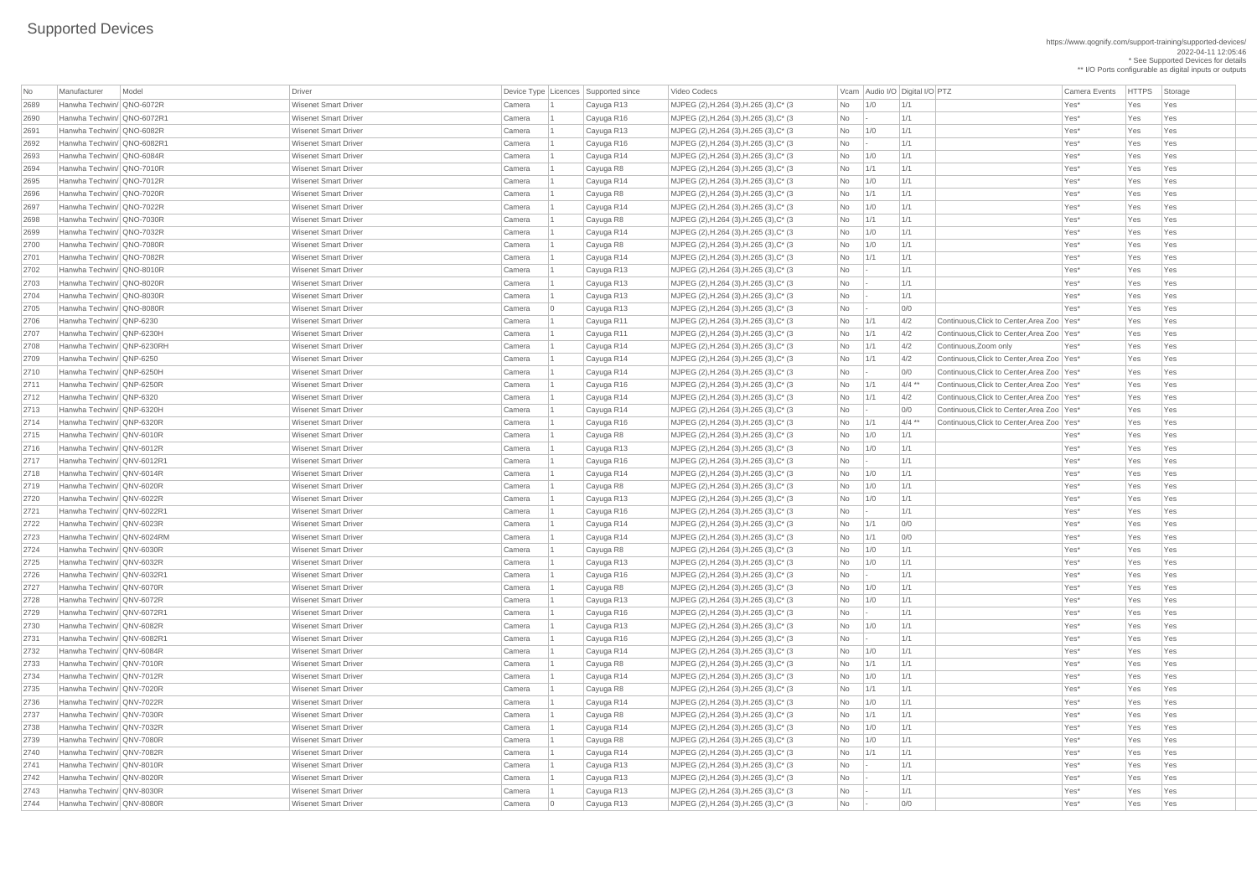https://www.qognify.com/support-training/supported-devices/ 2022-04-11 12:05:46 \* See Supported Devices for details \*\* I/O Ports configurable as digital inputs or outputs

Video Codecs **No Manufacturer Model Driver Audio I/O Digital I/O PTZ** Camera Events HTTPS Storage MJPEG (2),H.264 (3),H.265 (3),C\* (3  $\vert$  No  $\vert$  1/0  $\vert$  1/1  $\vert$  1/1  $\vert$  Yes\* Yes Yes Yes | MJPEG (2),H.264 (3),H.265 (3),C\* (3  $\vert$  No  $\vert$  -  $\vert$  1/1  $\vert$  1/1  $\vert$  Yes\* Yes Yes Yes | MJPEG (2),H.264 (3),H.265 (3),C\* (3  $\qquad$  No 1/0 1/1 1 No 11/1 Yes\* Yes Yes Yes | MJPEG (2),H.264 (3),H.265 (3),C\* (3  $\vert$  No  $\vert$  -  $\vert$  1/1  $\vert$  1/1  $\vert$  Yes\* Yes Yes Yes | MJPEG (2),H.264 (3),H.265 (3),C\* (3  $\vert$  No  $\vert$  1/0  $\vert$  1/1  $\vert$  1/1  $\vert$  Yes\*  $\vert$  Yes Yes Yes | MJPEG (2),H.264 (3),H.265 (3),C\* (3  $\vert$  No  $\vert$  1/1  $\vert$  1/1  $\vert$  1/1  $\vert$  1/1  $\vert$  Yes\* Yes Yes Yes | MJPEG (2),H.264 (3),H.265 (3),C\* (3  $\vert$  No  $\vert$  1/0  $\vert$  1/1  $\vert$  1/1  $\vert$  Yes\* Yes Yes Yes 2696 Hanwha Techwin/ QNO-7020R Wisenet Smart Driver Camera 1 Cayuga R8 MJPEG (2),H.264 (3),H.265 (3),C\* (3 No 1/1 1/1 Yes\* Yes Yes | MJPEG (2),H.264 (3),H.265 (3),C\* (3  $\qquad$  No 1/0 1/1 1 No 11/1 Yes\* Yes Yes Yes 2698 Hanwha Techwin/ QNO-7030R Wisenet Smart Driver Camera 1 Cayuga R8 MJPEG (2),H.264 (3),H.265 (3),C\* (3 No 1/1 1/1 Yes\* Yes Yes | MJPEG (2), H. 264 (3), H. 265 (3), C\* (3  $\qquad$  No 1/0 1/1 | Yes\* Yes\* Yes Yes Yes | MJPEG (2),H.264 (3),H.265 (3),C\* (3  $\qquad$  No  $\qquad$  1/0  $\qquad$  1/1  $\qquad$  Yes\* Yes Yes Yes | MJPEG (2),H.264 (3),H.265 (3),C\* (3  $\qquad$  No 1/1 1/1 1/1  $\qquad$  1/1 Yes\* Yes Yes Yes | MJPEG (2),H.264 (3),H.265 (3),C\* (3  $\qquad$  No  $\qquad$  - 1/1  $\qquad$  1/1 Yes\* Yes Yes Yes | MJPEG (2),H.264 (3),H.265 (3),C\* (3  $\vert$  No  $\vert$  -  $\vert$  1/1  $\vert$  1/1  $\vert$  Yes\* Yes Yes Yes | MJPEG (2),H.264 (3),H.265 (3),C\* (3  $\vert$  No  $\vert$ - 1/1  $\vert$  1/1 Yes\* Yes Yes Yes | MJPEG (2),H.264 (3),H.265 (3),C\* (3  $\qquad$  No  $\qquad$  - 0/0  $\qquad$  0  $\qquad$  Yes\* Yes Yes Yes MJPEG (2),H.264 (3),H.265 (3),C\* (3  $\vert$   $\rangle$  No  $\vert$  1/1  $\vert$  4/2  $\vert$  Continuous,Click to Center,Area Zoo Yes\* Yes Yes Yes MJPEG (2),H.264 (3),H.265 (3),C\* (3  $\vert$   $\rangle$  No  $\vert$  1/1  $\vert$  4/2  $\vert$  Continuous,Click to Center,Area Zoo Yes\*  $\vert$  Yes Yes  $\vert$  MJPEG (2),H.264 (3),H.265 (3),C\* (3  $\vert$   $\vert$  No  $\vert$  1/1  $\vert$  4/2  $\vert$  Continuous,Zoom only Yes\* Yes Yes Yes MJPEG (2),H.264 (3),H.265 (3),C\* (3  $\vert$   $\rangle$  No  $\vert$  1/1  $\vert$  4/2  $\vert$  Continuous,Click to Center,Area Zoo Yes\* Yes Yes Yes MJPEG (2),H.264 (3),H.265 (3),C\* (3  $\vert$ No  $\vert$ -  $\vert$ 0/0  $\vert$ Continuous,Click to Center,Area Zoo Yes\* Yes Yes Yes MJPEG (2),H.264 (3),H.265 (3),C\* (3  $\vert$  No  $\vert$  1/1  $\vert$  4/4 \*\* Continuous,Click to Center,Area Zoo Yes\* Yes Yes Yes  $\vert$  MJPEG (2),H.264 (3),H.265 (3),C\* (3  $\vert$   $\vert$  No  $\vert$  1/1  $\vert$  4/2  $\vert$  Continuous,Click to Center,Area Zoo Yes\*  $\vert$  Yes Yes 2713 Hanwha Techwin/ QNP-6320H Wisenet Smart Driver Camera 1 Cayuga R14 MJPEG (2),H.264 (3),H.265 (3),C\* (3 No - 0/0 Continuous,Click to Center,Area Zoo Yes\* Yes Yes MJPEG (2),H.264 (3),H.265 (3),C\* (3  $\vert$   $\rangle$  No  $\vert$  1/1  $\vert$  4/4 \*\*  $\vert$  Continuous,Click to Center,Area Zoo Yes\*  $\vert$  Yes Yes | MJPEG (2),H.264 (3),H.265 (3),C\* (3  $\qquad$  No 1/0 1/1 1 No 11/1 Yes\* Yes Yes Yes | MJPEG (2),H.264 (3),H.265 (3),C\* (3  $\vert$  No  $\vert$  1/0  $\vert$  1/1  $\vert$  1/1  $\vert$  Yes\*  $\vert$  Yes Yes Yes | MJPEG (2),H.264 (3),H.265 (3),C\* (3  $\vert$  No  $\vert$ - 1/1 | Yes\* Yes Yes Yes Yes | MJPEG (2),H.264 (3),H.265 (3),C\* (3  $\qquad$  No  $\qquad$  1/0  $\qquad$  1/1  $\qquad$  Yes\* Yes Yes Yes | MJPEG (2),H.264 (3),H.265 (3),C\* (3  $\qquad$  No 1/0 1/1 1 No 11/1 Yes\* Yes Yes Yes | MJPEG (2),H.264 (3),H.265 (3),C\* (3  $\qquad$  No 1/0 1/1 1 No 11/1 Yes\* Yes Yes Yes | MJPEG (2),H.264 (3),H.265 (3),C\* (3  $\qquad$  No  $\qquad$  - 1/1 | Yes\* Yes Yes Yes Yes | MJPEG (2),H.264 (3),H.265 (3),C\* (3  $\qquad$  No 1/1 0/0 Yes\* Yes Yes Yes Yes | MJPEG (2),H.264 (3),H.265 (3),C\* (3  $\qquad$  No 1/1 0/0 | Yes\* Yes\* Yes Yes Yes | MJPEG (2),H.264 (3),H.265 (3),C\* (3  $\qquad$  No 1/0 1/1 1 No 11/1 Yes\* Yes Yes Yes | MJPEG (2),H.264 (3),H.265 (3),C\* (3  $\qquad$  No 1/0 1/1 1 No 11/1 Yes\* Yes Yes Yes | MJPEG (2),H.264 (3),H.265 (3),C\* (3  $\qquad$  No  $\qquad$  - 1/1  $\qquad$  1/1 Yes\* Yes Yes Yes | MJPEG (2),H.264 (3),H.265 (3),C\* (3  $\qquad$  No 1/0 1/1 1 No 11/1 Yes\* Yes Yes Yes | MJPEG (2),H.264 (3),H.265 (3),C\* (3  $\vert$  No  $\vert$  1/0  $\vert$  1/1  $\vert$  1/1  $\vert$  Yes\*  $\vert$  Yes Yes Yes | MJPEG (2),H.264 (3),H.265 (3),C\* (3  $\qquad$  No  $\qquad$  - 1/1  $\qquad$  1/1 Yes\* Yes Yes Yes | MJPEG (2),H.264 (3),H.265 (3),C\* (3  $\qquad$  No  $\qquad$  1/0  $\qquad$  1/1  $\qquad$  Yes\* Yes Yes Yes MJPEG (2),H.264 (3),H.265 (3),C\* (3  $\vert$ No  $\vert$ - 1/1  $\vert$ 1/1 Yes\* Yes Yes Yes Yes | MJPEG (2),H.264 (3),H.265 (3),C\* (3  $\vert$  No  $\vert$  1/1  $\vert$  1/1  $\vert$  1/1  $\vert$  1/1  $\vert$  Yes\* Yes Yes Yes | MJPEG (2),H.264 (3),H.265 (3),C\* (3  $\qquad$  No 1/0 1/1 1 No 11/1 Yes\* Yes Yes Yes | MJPEG (2),H.264 (3),H.265 (3),C\* (3  $\vert$  No  $\vert$  1/1  $\vert$  1/1  $\vert$  1/1  $\vert$  1/1  $\vert$   $\vert$  Yes\*  $\vert$  Yes Yes Yes | MJPEG (2),H.264 (3),H.265 (3),C\* (3  $\qquad$  No 1/0 1/1 1 No 11/1 Yes\* Yes Yes Yes | MJPEG (2),H.264 (3),H.265 (3),C\* (3  $\vert$  No  $\vert$  1/1  $\vert$  1/1  $\vert$  1/1  $\vert$  1/1  $\vert$   $\vert$  Yes\*  $\vert$  Yes Yes Yes | MJPEG (2),H.264 (3),H.265 (3),C\* (3  $\qquad$  No 1/0 1/1 1 No 11/1 Yes\* Yes Yes Yes 2740 Hanwha Techwin/ QNV-7082R Wisenet Smart Driver Camera 1 Cayuga R14 MJPEG (2),H.264 (3),H.265 (3),C\* (3 No 1/1 1/1 Yes\* Yes Yes 2741 Hanwha Techwin/ QNV-8010R Wisenet Smart Driver Camera 1 Cayuga R13 MJPEG (2),H.264 (3),H.265 (3),C\* (3 No - 1/1 Yes\* Yes Yes | MJPEG (2),H.264 (3),H.265 (3),C\* (3  $\qquad$  No  $\qquad$  - 1/1  $\qquad$  1/1 Yes\* Yes Yes Yes | MJPEG (2),H.264 (3),H.265 (3),C\* (3  $\vert$  No  $\vert$  -  $\vert$  1/1  $\vert$  1/1  $\vert$  Yes\* Yes Yes Yes | MJPEG (2),H.264 (3),H.265 (3),C\* (3  $\blacksquare$  No  $\blacksquare$  - 0/0  $\blacksquare$  Or  $\blacksquare$  Yes\* Yes Yes Yes

|      |                            |       |                             |        |                                          |                                         |      |             |                                |                                              | <b>Camera Events</b> |           |            |
|------|----------------------------|-------|-----------------------------|--------|------------------------------------------|-----------------------------------------|------|-------------|--------------------------------|----------------------------------------------|----------------------|-----------|------------|
| No   | Manufacturer               | Model | Driver                      |        | Device Type   Licences   Supported since | Video Codecs                            |      |             | Vcam Audio I/O Digital I/O PTZ |                                              |                      | HTTPS Sto |            |
| 2689 | Hanwha Techwin/ QNO-6072R  |       | <b>Wisenet Smart Driver</b> | Camera | Cayuga R13                               | MJPEG (2), H.264 (3), H.265 (3), C* (3) | No   | 1/0         | $\vert 1/1 \vert$              |                                              | Yes*                 | Yes       | Yes        |
| 2690 | Hanwha Techwin/ QNO-6072R1 |       | <b>Wisenet Smart Driver</b> | Camera | Cayuga R16                               | MJPEG (2), H.264 (3), H.265 (3), C* (3) | No   |             | 1/1                            |                                              | Yes*                 | Yes       | Yes        |
| 269' | Hanwha Techwin/ QNO-6082R  |       | <b>Wisenet Smart Driver</b> | Camera | Cayuga R13                               | MJPEG (2), H.264 (3), H.265 (3), C* (3) | No   | 1/0         | 1/1                            |                                              | Yes*                 | Yes       | Yes        |
| 2692 | Hanwha Techwin/ QNO-6082R1 |       | <b>Wisenet Smart Driver</b> | Camera | Cayuga R16                               | MJPEG (2),H.264 (3),H.265 (3),C* (3)    | No   |             | 1/1                            |                                              | Yes*                 | Yes       | Yes        |
| 2693 | Hanwha Techwin/ QNO-6084R  |       | <b>Wisenet Smart Driver</b> | Camera | Cayuga R14                               | MJPEG (2), H.264 (3), H.265 (3), C* (3) | No   | 1/0         | 1/1                            |                                              | Yes*                 | Yes       | Yes        |
| 2694 | Hanwha Techwin/ QNO-7010R  |       | <b>Wisenet Smart Driver</b> | Camera | Cayuga R8                                | MJPEG (2), H.264 (3), H.265 (3), C* (3) | No   | 1/1         | 1/1                            |                                              | Yes*                 | Yes       | Yes        |
| 2695 | Hanwha Techwin/ QNO-7012R  |       | <b>Wisenet Smart Driver</b> | Camera | Cayuga R14                               | MJPEG (2), H.264 (3), H.265 (3), C* (3) | No   | 1/0         | 1/1                            |                                              | Yes*                 | Yes       | Yes        |
| 2696 | Hanwha Techwin/ QNO-7020R  |       | <b>Wisenet Smart Driver</b> | Camera | Cayuga R8                                | MJPEG (2), H.264 (3), H.265 (3), C* (3) | No   | 1/1         | 1/1                            |                                              | Yes*                 | Yes       | Yes        |
| 2697 | Hanwha Techwin/ QNO-7022R  |       | <b>Wisenet Smart Driver</b> | Camera | Cayuga R14                               | MJPEG (2), H.264 (3), H.265 (3), C* (3) | No   | 1/0         | 1/1                            |                                              | Yes*                 | Yes       | Yes        |
| 2698 | Hanwha Techwin/ QNO-7030R  |       | <b>Wisenet Smart Driver</b> | Camera | Cayuga R8                                | MJPEG (2),H.264 (3),H.265 (3),C* (3)    | No   | 1/1         | 1/1                            |                                              | Yes*                 | Yes       | Yes        |
| 2699 | Hanwha Techwin/ QNO-7032R  |       | <b>Wisenet Smart Driver</b> | Camera | Cayuga R14                               | MJPEG (2), H.264 (3), H.265 (3), C* (3) | No   | 1/0         | 1/1                            |                                              | Yes*                 | Yes       | Yes        |
| 2700 | Hanwha Techwin/ QNO-7080R  |       | <b>Wisenet Smart Driver</b> | Camera | Cayuga R8                                | MJPEG (2), H.264 (3), H.265 (3), C* (3) | No   | 1/0         | 1/1                            |                                              | Yes*                 | Yes       | Yes        |
| 2701 | Hanwha Techwin/ QNO-7082R  |       | <b>Wisenet Smart Driver</b> | Camera | Cayuga R14                               | MJPEG (2), H.264 (3), H.265 (3), C* (3) | No   | 1/1         | 1/1                            |                                              | Yes*                 | Yes       | Yes        |
| 2702 | Hanwha Techwin/ QNO-8010R  |       | <b>Wisenet Smart Driver</b> | Camera | Cayuga R13                               | MJPEG (2), H.264 (3), H.265 (3), C* (3) | No   |             | 1/1                            |                                              | Yes*                 | Yes       | Yes        |
| 2703 | Hanwha Techwin/ QNO-8020R  |       | <b>Wisenet Smart Driver</b> | Camera | Cayuga R13                               | MJPEG (2), H.264 (3), H.265 (3), C* (3) | No   |             | 1/1                            |                                              | Yes*                 | Yes       | Yes        |
| 2704 | Hanwha Techwin/ QNO-8030R  |       | <b>Wisenet Smart Driver</b> | Camera | Cayuga R13                               | MJPEG (2),H.264 (3),H.265 (3),C* (3)    | No   |             | 1/1                            |                                              | Yes*                 | Yes       | Yes        |
| 2705 | Hanwha Techwin/ QNO-8080R  |       | <b>Wisenet Smart Driver</b> | Camera | Cayuga R13                               | MJPEG (2), H.264 (3), H.265 (3), C* (3) | No   |             | 0/0                            |                                              | Yes*                 | Yes       | <b>Yes</b> |
| 2706 | Hanwha Techwin/ QNP-6230   |       | <b>Wisenet Smart Driver</b> | Camera | Cayuga R11                               | MJPEG (2), H.264 (3), H.265 (3), C* (3) | No   | 1/1         | 4/2                            | Continuous, Click to Center, Area Zoo   Yes* |                      | Yes       | Yes        |
| 2707 | Hanwha Techwin/ QNP-6230H  |       | <b>Wisenet Smart Driver</b> | Camera | Cayuga R11                               | MJPEG (2), H.264 (3), H.265 (3), C* (3) | No   | 1/1         | 4/2                            | Continuous, Click to Center, Area Zoo   Yes* |                      | Yes       | Yes        |
| 2708 | Hanwha Techwin/ QNP-6230RH |       | <b>Wisenet Smart Driver</b> | Camera | Cayuga R14                               | MJPEG (2), H.264 (3), H.265 (3), C* (3) | No   | 1/1         | 4/2                            | Continuous, Zoom only                        | Yes*                 | Yes       | Yes        |
| 2709 | Hanwha Techwin/ QNP-6250   |       | <b>Wisenet Smart Driver</b> | Camera | Cayuga R14                               | MJPEG (2), H.264 (3), H.265 (3), C* (3) | No   | 1/1         | 4/2                            | Continuous, Click to Center, Area Zoo   Yes* |                      | Yes       | Yes        |
| 2710 | Hanwha Techwin/ QNP-6250H  |       | <b>Wisenet Smart Driver</b> | Camera | Cayuga R14                               | MJPEG (2), H.264 (3), H.265 (3), C* (3) | No   |             | 0/0                            | Continuous, Click to Center, Area Zoo   Yes* |                      | Yes       | Yes        |
| 2711 | Hanwha Techwin/ QNP-6250R  |       | <b>Wisenet Smart Driver</b> | Camera | Cayuga R16                               | MJPEG (2), H.264 (3), H.265 (3), C* (3) | No   | 1/1         | $4/4$ **                       | Continuous, Click to Center, Area Zoo   Yes* |                      | Yes       | Yes        |
| 2712 | Hanwha Techwin/ QNP-6320   |       | <b>Wisenet Smart Driver</b> | Camera | Cayuga R14                               | MJPEG (2), H.264 (3), H.265 (3), C* (3) | No   | 1/1         | 4/2                            | Continuous, Click to Center, Area Zoo   Yes* |                      | Yes       | Yes        |
| 2713 | Hanwha Techwin/ QNP-6320H  |       | <b>Wisenet Smart Driver</b> | Camera | Cayuga R14                               | MJPEG (2), H.264 (3), H.265 (3), C* (3) | No   |             | 0/0                            | Continuous, Click to Center, Area Zoo   Yes* |                      | Yes       | Yes        |
| 2714 | Hanwha Techwin/ QNP-6320R  |       | <b>Wisenet Smart Driver</b> | Camera | Cayuga R16                               | MJPEG (2), H.264 (3), H.265 (3), C* (3) | No   | $\vert$ 1/1 | $4/4$ **                       | Continuous, Click to Center, Area Zoo   Yes* |                      | Yes       | Yes        |
| 2715 | Hanwha Techwin/ QNV-6010R  |       | <b>Wisenet Smart Driver</b> | Camera | Cayuga R8                                | MJPEG (2), H.264 (3), H.265 (3), C* (3) | No   | 1/0         | 1/1                            |                                              | Yes*                 | Yes       | Yes        |
| 2716 | Hanwha Techwin/ QNV-6012R  |       | <b>Wisenet Smart Driver</b> | Camera | Cayuga R13                               | MJPEG (2), H.264 (3), H.265 (3), C* (3) | No   | 1/0         | 1/1                            |                                              | Yes*                 | Yes       | Yes        |
| 2717 | Hanwha Techwin/ QNV-6012R1 |       | <b>Wisenet Smart Driver</b> | Camera | Cayuga R16                               | MJPEG (2), H.264 (3), H.265 (3), C* (3) | No   |             | 1/1                            |                                              | Yes*                 | Yes       | <b>Yes</b> |
| 2718 | Hanwha Techwin/ QNV-6014R  |       | <b>Wisenet Smart Driver</b> | Camera | Cayuga R14                               | MJPEG (2), H.264 (3), H.265 (3), C* (3) | No   | 1/0         | 1/1                            |                                              | Yes*                 | Yes       | Yes        |
| 2719 | Hanwha Techwin/ QNV-6020R  |       | <b>Wisenet Smart Driver</b> | Camera | Cayuga R8                                | MJPEG (2), H.264 (3), H.265 (3), C* (3) | No   | 1/0         | 1/1                            |                                              | Yes*                 | Yes       | <b>Yes</b> |
| 2720 | Hanwha Techwin/ QNV-6022R  |       | <b>Wisenet Smart Driver</b> | Camera | Cayuga R13                               | MJPEG (2), H.264 (3), H.265 (3), C* (3) | No   | 1/0         | 1/1                            |                                              | Yes*                 | Yes       | Yes        |
| 2721 | Hanwha Techwin/ QNV-6022R1 |       | <b>Wisenet Smart Driver</b> | Camera | Cayuga R16                               | MJPEG (2), H.264 (3), H.265 (3), C* (3) | No   |             | 1/1                            |                                              | Yes*                 | Yes       | Yes        |
| 2722 | Hanwha Techwin/ QNV-6023R  |       | <b>Wisenet Smart Driver</b> | Camera | Cayuga R14                               | MJPEG (2), H.264 (3), H.265 (3), C* (3) | No   | $\vert$ 1/1 | 0/0                            |                                              | Yes*                 | Yes       | Yes        |
| 2723 | Hanwha Techwin/ QNV-6024RM |       | <b>Wisenet Smart Driver</b> | Camera | Cayuga R14                               | MJPEG (2), H.264 (3), H.265 (3), C* (3) | No   | 1/1         | 0/0                            |                                              | Yes*                 | Yes       | <b>Yes</b> |
| 2724 | Hanwha Techwin/ QNV-6030R  |       | <b>Wisenet Smart Driver</b> | Camera | Cayuga R8                                | MJPEG (2),H.264 (3),H.265 (3),C* (3)    | No   | 1/0         | 1/1                            |                                              | Yes*                 | Yes       | <b>Yes</b> |
| 2725 | Hanwha Techwin/ QNV-6032R  |       | <b>Wisenet Smart Driver</b> | Camera | Cayuga R13                               | MJPEG (2), H.264 (3), H.265 (3), C* (3) | No   | 1/0         | 1/1                            |                                              | Yes*                 | Yes       | <b>Yes</b> |
| 2726 | Hanwha Techwin/ QNV-6032R1 |       | <b>Wisenet Smart Driver</b> | Camera | Cayuga R16                               | MJPEG (2), H.264 (3), H.265 (3), C* (3) | No   |             | 1/1                            |                                              | Yes*                 | Yes       | Yes        |
| 2727 | Hanwha Techwin/ QNV-6070R  |       | <b>Wisenet Smart Driver</b> | Camera | Cayuga R8                                | MJPEG (2), H.264 (3), H.265 (3), C* (3) | No   | 1/0         | 1/1                            |                                              | Yes*                 | Yes       | Yes        |
| 2728 | Hanwha Techwin/ QNV-6072R  |       | <b>Wisenet Smart Driver</b> | Camera | Cayuga R13                               | MJPEG (2),H.264 (3),H.265 (3),C* (3)    | No   | 1/0         | 1/1                            |                                              | Yes*                 | Yes       | Yes        |
| 2729 | Hanwha Techwin/ QNV-6072R1 |       | <b>Wisenet Smart Driver</b> | Camera | Cayuga R16                               | MJPEG (2), H.264 (3), H.265 (3), C* (3) | No   |             | 1/1                            |                                              | Yes*                 | Yes       | <b>Yes</b> |
| 2730 | Hanwha Techwin/ QNV-6082R  |       | <b>Wisenet Smart Driver</b> | Camera | Cayuga R13                               | MJPEG (2), H.264 (3), H.265 (3), C* (3) | No   | 1/0         | 1/1                            |                                              | Yes*                 | Yes       | Yes        |
| 2731 | Hanwha Techwin/ QNV-6082R1 |       | <b>Wisenet Smart Driver</b> | Camera | Cayuga R16                               | MJPEG (2), H.264 (3), H.265 (3), C* (3) | No   |             | 1/1                            |                                              | Yes*                 | Yes       | Yes        |
| 2732 | Hanwha Techwin/ QNV-6084R  |       | <b>Wisenet Smart Driver</b> | Camera | Cayuga R14                               | MJPEG (2), H.264 (3), H.265 (3), C* (3) | No   | 1/0         | 1/1                            |                                              | Yes*                 | Yes       | Yes        |
| 2733 | Hanwha Techwin/ QNV-7010R  |       | <b>Wisenet Smart Driver</b> | Camera | Cayuga R8                                | MJPEG (2), H.264 (3), H.265 (3), C* (3) | No   | 1/1         | 1/1                            |                                              | Yes*                 | Yes       | Yes        |
| 2734 | Hanwha Techwin/ QNV-7012R  |       | <b>Wisenet Smart Driver</b> | Camera | Cayuga R14                               | MJPEG (2),H.264 (3),H.265 (3),C* (3)    | No   | 1/0         | 1/1                            |                                              | Yes*                 | Yes       | Yes        |
| 2735 | Hanwha Techwin/ QNV-7020R  |       | <b>Wisenet Smart Driver</b> | Camera | Cayuga R8                                | MJPEG (2), H.264 (3), H.265 (3), C* (3  | No   | 1/1         | 1/1                            |                                              | Yes*                 | Yes       | <b>Yes</b> |
| 2736 | Hanwha Techwin/ QNV-7022R  |       | <b>Wisenet Smart Driver</b> | Camera | Cayuga R14                               | MJPEG (2), H.264 (3), H.265 (3), C* (3) | No   | 1/0         | 1/1                            |                                              | Yes*                 | Yes       | <b>Yes</b> |
| 2737 | Hanwha Techwin/ QNV-7030R  |       | <b>Wisenet Smart Driver</b> | Camera | Cayuga R8                                | MJPEG (2), H.264 (3), H.265 (3), C* (3) | No   | 1/1         | 1/1                            |                                              | Yes*                 | Yes       | Yes        |
| 2738 | Hanwha Techwin/ QNV-7032R  |       | <b>Wisenet Smart Driver</b> | Camera | Cayuga R14                               | MJPEG (2), H.264 (3), H.265 (3), C* (3) | No   | 1/0         | 1/1                            |                                              | Yes*                 | Yes       | Yes        |
| 2739 | Hanwha Techwin/ QNV-7080R  |       | <b>Wisenet Smart Driver</b> | Camera | Cayuga R8                                | MJPEG (2), H.264 (3), H.265 (3), C* (3) | No   | 1/0         | 1/1                            |                                              | Yes*                 | Yes       | <b>Yes</b> |
| 2740 | Hanwha Techwin/ QNV-7082R  |       | <b>Wisenet Smart Driver</b> | Camera | Cayuga R14                               | MJPEG (2), H.264 (3), H.265 (3), C* (3) | No l | $\vert$ 1/1 | 1/1                            |                                              | Yes*                 | Yes       |            |
| 2741 | Hanwha Techwin/ QNV-8010R  |       | <b>Wisenet Smart Driver</b> | Camera | Cayuga R13                               | MJPEG (2), H.264 (3), H.265 (3), C* (3) | No   |             | 1/1                            |                                              | Yes*                 | Yes       | Yes        |
| 2742 | Hanwha Techwin/ QNV-8020R  |       | <b>Wisenet Smart Driver</b> | Camera | Cayuga R13                               | MJPEG (2), H.264 (3), H.265 (3), C* (3) | No   |             | 1/1                            |                                              | Yes <sup>*</sup>     | Yes       | <b>Yes</b> |
| 2743 | Hanwha Techwin/ QNV-8030R  |       | <b>Wisenet Smart Driver</b> | Camera | Cayuga R13                               | MJPEG (2), H.264 (3), H.265 (3), C* (3) | No   |             | 1/1                            |                                              | Yes*                 | Yes       | Yes        |
| 2744 | Hanwha Techwin/ QNV-8080R  |       | <b>Wisenet Smart Driver</b> | Camera | Cayuga R13                               | MJPEG (2), H.264 (3), H.265 (3), C* (3) | No   |             | 0/0                            |                                              | Yes <sup>*</sup>     | Yes       | Yes        |
|      |                            |       |                             |        |                                          |                                         |      |             |                                |                                              |                      |           |            |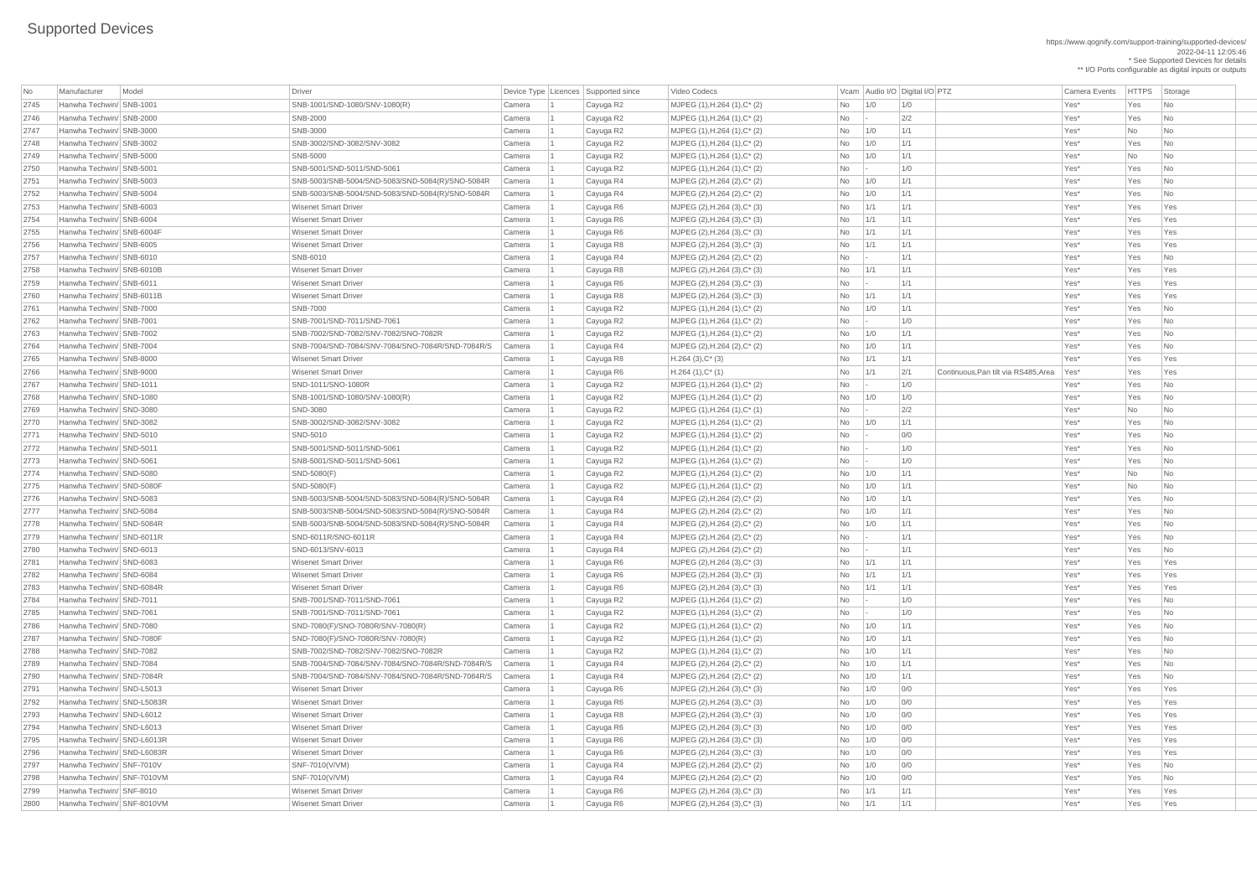https://www.qognify.com/support-training/supported-devices/ 2022-04-11 12:05:46 \* See Supported Devices for details \*\* I/O Ports configurable as digital inputs or outputs

 $H.264 (1), C^*(1)$   $\begin{array}{|l}$  Yes  $\end{array}$  No  $\begin{array}{|l} 1/1 \\ 2/1 \end{array}$  Continuous,Pan tilt via RS485,Area Yes\* Yes Yes Yes

| No   | Manufacturer               | Model | Driver                                           |        | Device Type   Licences   Supported since | Video Codecs                    |           |                 | Vcam Audio I/O Digital I/O PTZ              | <b>Camera Events</b> | <b>HTTPS</b> | Storage                     |
|------|----------------------------|-------|--------------------------------------------------|--------|------------------------------------------|---------------------------------|-----------|-----------------|---------------------------------------------|----------------------|--------------|-----------------------------|
| 2745 | Hanwha Techwin/ SNB-1001   |       | SNB-1001/SND-1080/SNV-1080(R)                    | Camera | Cayuga R2                                | MJPEG (1), H.264 (1), C* (2)    | No        | 1/0             | 1/0                                         | Yes*                 | Yes          | $\overline{\phantom{a}}$ No |
| 2746 | Hanwha Techwin/ SNB-2000   |       | <b>SNB-2000</b>                                  | Camera | Cayuga R2                                | MJPEG (1), H.264 (1), C* (2)    | No        | $\mathbf{I}$    | 2/2                                         | Yes*                 | Yes          | $\overline{\mathsf{No}}$    |
| 2747 | Hanwha Techwin/ SNB-3000   |       | <b>SNB-3000</b>                                  | Camera | Cayuga R2                                | MJPEG (1), H.264 (1), C* (2)    | No        | 1/0             | 1/1                                         | Yes*                 | <b>No</b>    | No                          |
| 2748 | Hanwha Techwin/ SNB-3002   |       | SNB-3002/SND-3082/SNV-3082                       | Camera | Cayuga R2                                | $MJPEG (1), H.264 (1), C^*(2)$  | No        | 1/0             | 1/1                                         | Yes*                 | Yes          | No                          |
| 2749 | Hanwha Techwin/ SNB-5000   |       | <b>SNB-5000</b>                                  | Camera | Cayuga R2                                | MJPEG (1), H.264 (1), C* (2)    | <b>No</b> | 1/0             | 1/1                                         | Yes*                 | <b>No</b>    | No                          |
| 2750 | Hanwha Techwin/ SNB-5001   |       | SNB-5001/SND-5011/SND-5061                       | Camera | Cayuga R2                                | MJPEG (1), H.264 (1), C* (2)    | No        |                 | 1/0                                         | Yes*                 | Yes          | No                          |
| 2751 | Hanwha Techwin/ SNB-5003   |       | SNB-5003/SNB-5004/SND-5083/SND-5084(R)/SNO-5084R | Camera | Cayuga R4                                | MJPEG (2), H.264 (2), C* (2)    | No l      | 1/0             | 1/1                                         | Yes*                 | Yes          | No                          |
| 2752 | Hanwha Techwin/ SNB-5004   |       | SNB-5003/SNB-5004/SND-5083/SND-5084(R)/SNO-5084R | Camera | Cayuga R4                                | MJPEG (2), H.264 (2), C* (2)    | No        | 1/0             | 1/1                                         | Yes*                 | Yes          | $\overline{\mathsf{No}}$    |
| 2753 | Hanwha Techwin/ SNB-6003   |       | <b>Wisenet Smart Driver</b>                      | Camera | Cayuga R6                                | MJPEG (2), H.264 (3), C* (3)    | No        | 1/1             | 1/1                                         | Yes*                 | Yes          | Yes                         |
| 2754 | Hanwha Techwin/ SNB-6004   |       | <b>Wisenet Smart Driver</b>                      | Camera | Cayuga R6                                | MJPEG (2), H.264 (3), C* (3)    | No        | 1/1             | 1/1                                         | Yes*                 | Yes          | Yes                         |
| 2755 | Hanwha Techwin/ SNB-6004F  |       | <b>Wisenet Smart Driver</b>                      | Camera | Cayuga R6                                | MJPEG (2), H.264 (3), C* (3)    | No        | 1/1             | 1/1                                         | Yes*                 | Yes          | Yes                         |
| 2756 | Hanwha Techwin/ SNB-6005   |       | <b>Wisenet Smart Driver</b>                      | Camera | Cayuga R8                                | MJPEG (2), H.264 (3), C* (3)    | No        | 1/1             | 1/1                                         | Yes*                 | Yes          | Yes                         |
| 2757 | Hanwha Techwin/ SNB-6010   |       | SNB-6010                                         | Camera | Cayuga R4                                | MJPEG (2), H.264 (2), C* (2)    | No        | $\vert - \vert$ | 1/1                                         | Yes*                 | Yes          | $\overline{\mathsf{No}}$    |
| 2758 | Hanwha Techwin/ SNB-6010B  |       | <b>Wisenet Smart Driver</b>                      | Camera | Cayuga R8                                | MJPEG (2), H.264 (3), C* (3)    | No        | 1/1             | 1/1                                         | Yes*                 | Yes          | Yes                         |
| 2759 | Hanwha Techwin/ SNB-6011   |       | <b>Wisenet Smart Driver</b>                      | Camera | Cayuga R6                                | MJPEG (2), H.264 (3), C* (3)    | No        | $\vert - \vert$ | 1/1                                         | Yes*                 | Yes          | Yes                         |
| 2760 | Hanwha Techwin/ SNB-6011B  |       | <b>Wisenet Smart Driver</b>                      | Camera | Cayuga R8                                | $MJPEG (2), H.264 (3), C^* (3)$ | No        | 1/1             | 1/1                                         | Yes*                 | Yes          | Yes                         |
| 2761 | Hanwha Techwin/ SNB-7000   |       | <b>SNB-7000</b>                                  | Camera | Cayuga R2                                | MJPEG (1), H.264 (1), C* (2)    | No        | 1/0             | 1/1                                         | Yes*                 | Yes          | No                          |
| 2762 | Hanwha Techwin/ SNB-7001   |       | SNB-7001/SND-7011/SND-7061                       | Camera | Cayuga R2                                | MJPEG (1), H.264 (1), C* (2)    | No        |                 | 1/0                                         | Yes*                 | Yes          | No                          |
| 2763 | Hanwha Techwin/ SNB-7002   |       | SNB-7002/SND-7082/SNV-7082/SNO-7082R             | Camera | Cayuga R2                                | MJPEG (1), H.264 (1), C* (2)    | No        | 1/0             | 1/1                                         | Yes*                 | Yes          | $\overline{\mathsf{No}}$    |
| 2764 | Hanwha Techwin/ SNB-7004   |       | SNB-7004/SND-7084/SNV-7084/SNO-7084R/SND-7084R/S | Camera | Cayuga R4                                | MJPEG (2), H.264 (2), C* (2)    | No        | 1/0             | 1/1                                         | Yes*                 | Yes          | No                          |
| 2765 | Hanwha Techwin/ SNB-8000   |       | <b>Wisenet Smart Driver</b>                      | Camera | Cayuga R8                                | $H.264(3),C^*(3)$               | No        | 1/1             | 1/1                                         | Yes*                 | Yes          | Yes                         |
| 2766 | Hanwha Techwin/ SNB-9000   |       | <b>Wisenet Smart Driver</b>                      | Camera | Cayuga R6                                | $H.264(1),C^*(1)$               | No        | 1/1             | 2/1<br>Continuous, Pan tilt via RS485, Area | Yes*                 | Yes          | Yes                         |
| 2767 | Hanwha Techwin/ SND-1011   |       | SND-1011/SNO-1080R                               | Camera |                                          | MJPEG (1), H.264 (1), C* (2)    | No        |                 | 1/0                                         | Yes*                 | Yes          | No                          |
| 2768 | Hanwha Techwin/ SND-1080   |       | SNB-1001/SND-1080/SNV-1080(R)                    | Camera | Cayuga R2                                |                                 |           | $\mathbf{I}$    | 1/0                                         | Yes*                 | Yes          |                             |
|      |                            |       | SND-3080                                         |        | Cayuga R2                                | MJPEG (1), H.264 (1), C* (2)    | No        | 1/0             |                                             |                      |              | No                          |
| 2769 | Hanwha Techwin/ SND-3080   |       | SNB-3002/SND-3082/SNV-3082                       | Camera | Cayuga R2                                | MJPEG (1), H.264 (1), C* (1)    | No        |                 | 2/2                                         | Yes*                 | No           | No                          |
| 2770 | Hanwha Techwin/ SND-3082   |       |                                                  | Camera | Cayuga R2                                | MJPEG (1), H.264 (1), C* (2)    | <b>No</b> | 1/0             | 1/1                                         | Yes*                 | Yes          | No                          |
| 2771 | Hanwha Techwin/ SND-5010   |       | <b>SND-5010</b>                                  | Camera | Cayuga R2                                | MJPEG (1), H.264 (1), C* (2)    | No        |                 | 0/0                                         | Yes*                 | Yes          | $\overline{\mathsf{No}}$    |
| 2772 | Hanwha Techwin/ SND-5011   |       | SNB-5001/SND-5011/SND-5061                       | Camera | Cayuga R2                                | MJPEG (1), H.264 (1), C* (2)    | No        |                 | 1/0                                         | Yes*                 | Yes          | N <sub>0</sub>              |
| 2773 | Hanwha Techwin/ SND-5061   |       | SNB-5001/SND-5011/SND-5061                       | Camera | Cayuga R2                                | MJPEG (1), H.264 (1), C* (2)    | <b>No</b> | $\mathbf{I}$    | 1/0                                         | Yes*                 | Yes          | No                          |
| 2774 | Hanwha Techwin/ SND-5080   |       | SND-5080(F)                                      | Camera | Cayuga R2                                | MJPEG (1), H.264 (1), C* (2)    | No        | 1/0             | 1/1                                         | Yes*                 | <b>No</b>    | No                          |
| 2775 | Hanwha Techwin/ SND-5080F  |       | SND-5080(F)                                      | Camera | Cayuga R2                                | MJPEG (1), H.264 (1), C* (2)    | No        | 1/0             | 1/1                                         | Yes*                 | <b>No</b>    | No                          |
| 2776 | Hanwha Techwin/ SND-5083   |       | SNB-5003/SNB-5004/SND-5083/SND-5084(R)/SNO-5084R | Camera | Cayuga R4                                | MJPEG (2), H.264 (2), C* (2)    | No        | 1/0             | 1/1                                         | Yes*                 | Yes          | No                          |
| 2777 | Hanwha Techwin/ SND-5084   |       | SNB-5003/SNB-5004/SND-5083/SND-5084(R)/SNO-5084R | Camera | Cayuga R4                                | MJPEG (2), H.264 (2), C* (2)    | No        | 1/0             | 1/1                                         | Yes*                 | Yes          | N <sub>0</sub>              |
| 2778 | Hanwha Techwin/ SND-5084R  |       | SNB-5003/SNB-5004/SND-5083/SND-5084(R)/SNO-5084R | Camera | Cayuga R4                                | MJPEG (2), H.264 (2), C* (2)    | No        | 1/0             | 1/1                                         | Yes*                 | Yes          | $\overline{\phantom{a}}$ No |
| 2779 | Hanwha Techwin/ SND-6011R  |       | SND-6011R/SNO-6011R                              | Camera | Cayuga R4                                | MJPEG (2), H.264 (2), C* (2)    | <b>No</b> | $\vert - \vert$ | 1/1                                         | Yes*                 | Yes          | No                          |
| 2780 | Hanwha Techwin/ SND-6013   |       | SND-6013/SNV-6013                                | Camera | Cayuga R4                                | MJPEG (2), H.264 (2), C* (2)    | <b>No</b> | $\vert - \vert$ | 1/1                                         | Yes*                 | Yes          | No                          |
| 2781 | Hanwha Techwin/ SND-6083   |       | <b>Wisenet Smart Driver</b>                      | Camera | Cayuga R6                                | MJPEG (2), H.264 (3), C* (3)    | No        | 1/1             | 1/1                                         | Yes*                 | Yes          | Yes                         |
| 2782 | Hanwha Techwin/ SND-6084   |       | <b>Wisenet Smart Driver</b>                      | Camera | Cayuga R6                                | MJPEG (2), H.264 (3), C* (3)    | No        | 1/1             | 1/1                                         | Yes*                 | Yes          | Yes                         |
| 2783 | Hanwha Techwin/ SND-6084R  |       | <b>Wisenet Smart Driver</b>                      | Camera | Cayuga R6                                | MJPEG (2), H.264 (3), C* (3)    | No        | 1/1             | 1/1                                         | Yes*                 | Yes          | Yes                         |
| 2784 | Hanwha Techwin/ SND-7011   |       | SNB-7001/SND-7011/SND-7061                       | Camera | Cayuga R2                                | MJPEG (1), H.264 (1), C* (2)    | No        | $\sim$          | 1/0                                         | Yes*                 | Yes          | $\overline{\phantom{a}}$ No |
| 2785 | Hanwha Techwin/ SND-7061   |       | SNB-7001/SND-7011/SND-7061                       | Camera | Cayuga R2                                | MJPEG (1), H.264 (1), C* (2)    | <b>No</b> | $\vert - \vert$ | 1/0                                         | Yes*                 | Yes          | No                          |
| 2786 | Hanwha Techwin/ SND-7080   |       | SND-7080(F)/SNO-7080R/SNV-7080(R)                | Camera | Cayuga R2                                | MJPEG (1), H.264 (1), C* (2)    | <b>No</b> | 1/0             | 1/1                                         | Yes*                 | Yes          | No                          |
| 2787 | Hanwha Techwin/ SND-7080F  |       | SND-7080(F)/SNO-7080R/SNV-7080(R)                | Camera | Cayuga R2                                | MJPEG (1), H.264 (1), C* (2)    | No        | 1/0             | 1/1                                         | Yes*                 | Yes          | $\overline{\phantom{a}}$ No |
| 2788 | Hanwha Techwin/ SND-7082   |       | SNB-7002/SND-7082/SNV-7082/SNO-7082R             | Camera | Cayuga R2                                | MJPEG (1), H.264 (1), C* (2)    | No        | 1/0             | 1/1                                         | Yes*                 | Yes          | No                          |
| 2789 | Hanwha Techwin/ SND-7084   |       | SNB-7004/SND-7084/SNV-7084/SNO-7084R/SND-7084R/S | Camera | Cayuga R4                                | MJPEG (2), H.264 (2), C* (2)    | No        | 1/0             | 1/1                                         | Yes*                 | Yes          | No                          |
| 2790 | Hanwha Techwin/ SND-7084R  |       | SNB-7004/SND-7084/SNV-7084/SNO-7084R/SND-7084R/S | Camera | Cayuga R4                                | $MJPEG (2), H.264 (2), C^* (2)$ | No        | 1/0             | 1/1                                         | Yes*                 | Yes          | $\overline{\phantom{a}}$ No |
| 2791 | Hanwha Techwin/ SND-L5013  |       | <b>Wisenet Smart Driver</b>                      | Camera | Cayuga R6                                | MJPEG (2), H.264 (3), C* (3)    | No        | 1/0             | 0/0                                         | Yes*                 | Yes          | Yes                         |
| 2792 | Hanwha Techwin/ SND-L5083R |       | <b>Wisenet Smart Driver</b>                      | Camera | Cayuga R6                                | MJPEG (2), H.264 (3), C* (3)    | No        | 1/0             | 0/0                                         | Yes*                 | Yes          | Yes                         |
| 2793 | Hanwha Techwin/ SND-L6012  |       | <b>Wisenet Smart Driver</b>                      | Camera | Cayuga R8                                | MJPEG (2), H.264 (3), C* (3)    | No        | 1/0             | 0/0                                         | Yes*                 | Yes          | Yes                         |
| 2794 | Hanwha Techwin/ SND-L6013  |       | <b>Wisenet Smart Driver</b>                      | Camera | Cayuga R6                                | MJPEG (2), H.264 (3), C* (3)    | No        | 1/0             | 0/0                                         | Yes*                 | Yes          | Yes                         |
| 2795 | Hanwha Techwin/ SND-L6013R |       | <b>Wisenet Smart Driver</b>                      | Camera | Cayuga R6                                | MJPEG (2), H.264 (3), C* (3)    | No        | 1/0             | 0/0                                         | Yes*                 | Yes          | Yes                         |
| 2796 | Hanwha Techwin/ SND-L6083R |       | <b>Wisenet Smart Driver</b>                      | Camera | Cayuga R6                                | MJPEG (2), H.264 (3), C* (3)    | No.       | 1/0             | 0/0                                         | Yes*                 | Yes          | Yes                         |
| 2797 | Hanwha Techwin/ SNF-7010V  |       | SNF-7010(V/VM)                                   | Camera | Cayuga R4                                | MJPEG (2), H.264 (2), C* (2)    | No        | 1/0             | 0/0                                         | Yes*                 | Yes          | $\overline{\phantom{a}}$ No |
| 2798 | Hanwha Techwin/ SNF-7010VM |       | SNF-7010(V/VM)                                   | Camera | Cayuga R4                                | MJPEG (2), H.264 (2), C* (2)    | No        | 1/0             | 0/0                                         | Yes*                 | Yes          | $\overline{\phantom{a}}$ No |
| 2799 | Hanwha Techwin/ SNF-8010   |       | <b>Wisenet Smart Driver</b>                      | Camera | Cayuga R6                                | MJPEG (2), H.264 (3), C* (3)    | No        | 1/1             | 1/1                                         | Yes*                 | Yes          | Yes                         |
| 2800 | Hanwha Techwin/ SNF-8010VM |       | <b>Wisenet Smart Driver</b>                      | Camera | Cayuga R6                                | MJPEG (2), H.264 (3), C* (3)    | No        | 1/1             | 1/1                                         | Yes*                 | Yes          | Yes                         |
|      |                            |       |                                                  |        |                                          |                                 |           |                 |                                             |                      |              |                             |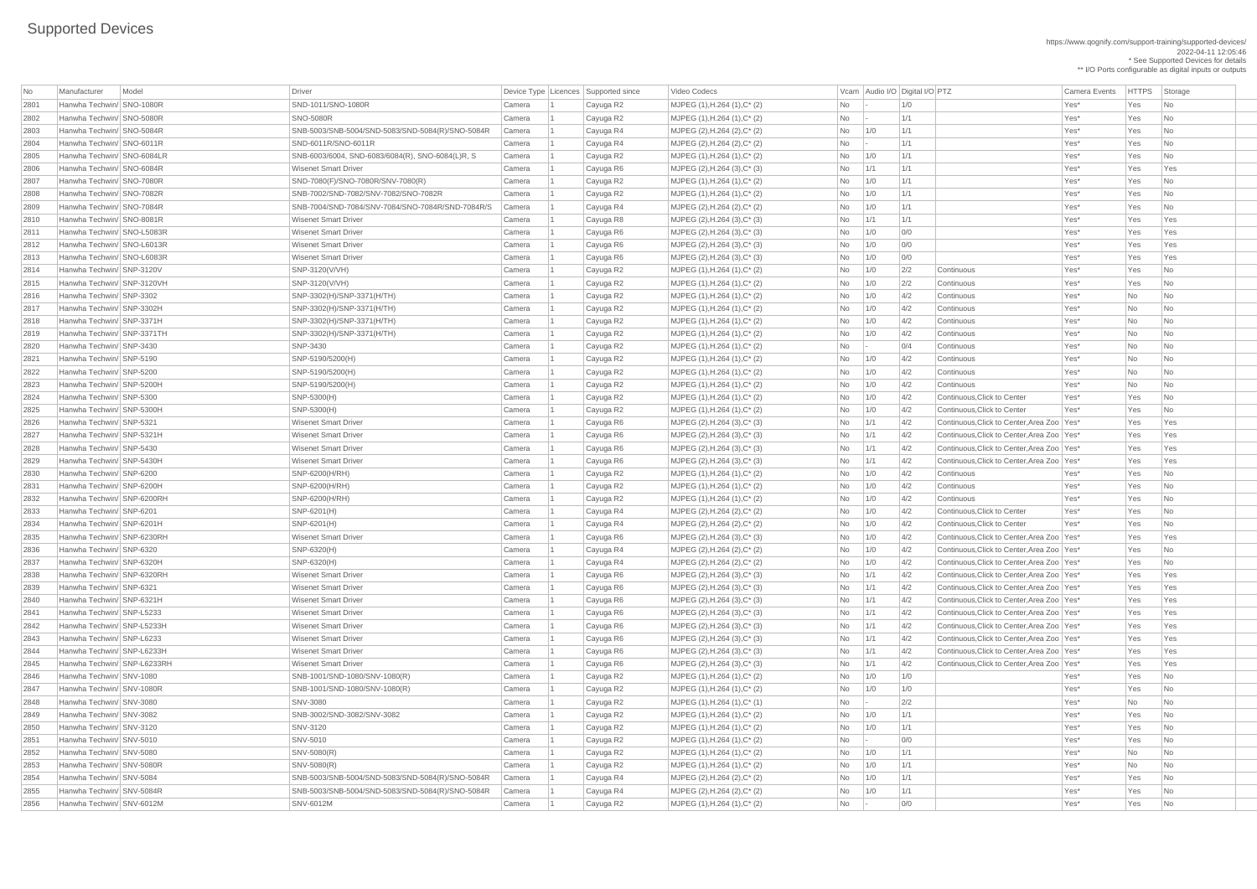https://www.qognify.com/support-training/supported-devices/ 2022-04-11 12:05:46 \* See Supported Devices for details \*\* I/O Ports configurable as digital inputs or outputs

| No           | Manufacturer                                         | Model | Driver                                           |        | Device Type   Licences   Supported since | Video Codecs                         |      | Vcam Audio I/O Digital I/O PTZ |            |                                              | <b>Camera Events</b> | <b>HTTPS</b> | Storage                     |
|--------------|------------------------------------------------------|-------|--------------------------------------------------|--------|------------------------------------------|--------------------------------------|------|--------------------------------|------------|----------------------------------------------|----------------------|--------------|-----------------------------|
| 2801         | Hanwha Techwin/ SNO-1080R                            |       | SND-1011/SNO-1080R                               | Camera | Cayuga R2                                | MJPEG (1), H.264 (1), C* (2)         | No   |                                | 1/0        |                                              | Yes*                 | Yes          | $\overline{\phantom{a}}$ No |
| 2802         | Hanwha Techwin/ SNO-5080R                            |       | <b>SNO-5080R</b>                                 | Camera | Cayuga R2                                | MJPEG (1), H.264 (1), C* (2)         | No   |                                | 1/1        |                                              | Yes*                 | Yes          | $\overline{\phantom{a}}$ No |
| 2803         | Hanwha Techwin/ SNO-5084R                            |       | SNB-5003/SNB-5004/SND-5083/SND-5084(R)/SNO-5084R | Camera | Cayuga R4                                | MJPEG (2), H.264 (2), C* (2)         | No   | 1/0                            | 1/1        |                                              | Yes*                 | Yes          | N <sub>o</sub>              |
| 2804         | Hanwha Techwin/ SNO-6011R                            |       | SND-6011R/SNO-6011R                              | Camera | Cayuga R4                                | MJPEG (2), H.264 (2), C* (2)         | No   |                                | 1/1        |                                              | Yes*                 | Yes          | No                          |
| 2805         | Hanwha Techwin/ SNO-6084LR                           |       | SNB-6003/6004, SND-6083/6084(R), SNO-6084(L)R, S | Camera | Cayuga R2                                | MJPEG (1), H.264 (1), C* (2)         | No   | 1/0                            | 1/1        |                                              | Yes*                 | Yes          | $\overline{\phantom{a}}$ No |
| 2806         | Hanwha Techwin/ SNO-6084R                            |       | <b>Wisenet Smart Driver</b>                      | Camera | Cayuga R6                                | MJPEG (2), H.264 (3), C* (3)         | No   | 1/1                            | 1/1        |                                              | Yes*                 | Yes          | Yes                         |
| 2807         | Hanwha Techwin/ SNO-7080R                            |       | SND-7080(F)/SNO-7080R/SNV-7080(R)                | Camera | Cayuga R2                                | MJPEG (1), H.264 (1), C* (2)         | No   | 1/0                            | 1/1        |                                              | Yes*                 | Yes          | No                          |
| 2808         | Hanwha Techwin/ SNO-7082R                            |       | SNB-7002/SND-7082/SNV-7082/SNO-7082R             | Camera | Cayuga R2                                | MJPEG (1), H.264 (1), C* (2)         | No   | 1/0                            | 1/1        |                                              | Yes*                 | Yes          | $\overline{\phantom{a}}$ No |
| 2809         | Hanwha Techwin/ SNO-7084R                            |       | SNB-7004/SND-7084/SNV-7084/SNO-7084R/SND-7084R/S | Camera | Cayuga R4                                | MJPEG (2), H.264 (2), C* (2)         | No   | 1/0                            | 1/1        |                                              | Yes*                 | Yes          | No                          |
| 2810         | Hanwha Techwin/ SNO-8081R                            |       | <b>Wisenet Smart Driver</b>                      | Camera | Cayuga R8                                | MJPEG (2), H.264 (3), C* (3)         | No   | 1/1                            | 1/1        |                                              | Yes*                 | Yes          | Yes                         |
| 2811         | Hanwha Techwin/ SNO-L5083R                           |       | <b>Wisenet Smart Driver</b>                      | Camera | Cayuga R6                                | MJPEG (2), H.264 (3), C* (3)         | No   | 1/0                            | O/O        |                                              | Yes*                 | Yes          | Yes                         |
| 2812         | Hanwha Techwin/ SNO-L6013R                           |       | <b>Wisenet Smart Driver</b>                      | Camera | Cayuga R6                                | MJPEG (2), H.264 (3), C* (3)         | No   | 1/0                            | 0/0        |                                              | Yes*                 | Yes          | Yes                         |
| 2813         | Hanwha Techwin/ SNO-L6083R                           |       | <b>Wisenet Smart Driver</b>                      | Camera | Cayuga R6                                | MJPEG (2), H.264 (3), C* (3)         | No   | 1/0                            | 0/0        |                                              | Yes*                 | Yes          | Yes                         |
| 2814         | Hanwha Techwin/ SNP-3120V                            |       | SNP-3120(V/VH)                                   | Camera | Cayuga R2                                | MJPEG (1), H.264 (1), C* (2)         | No   | 1/0                            | 2/2        | Continuous                                   | Yes*                 | Yes          | $\overline{\phantom{a}}$ No |
| 2815         | Hanwha Techwin/ SNP-3120VH                           |       | SNP-3120(V/VH)                                   | Camera | Cayuga R2                                | MJPEG (1), H.264 (1), C* (2)         | No   | 1/0                            | 2/2        | Continuous                                   | Yes*                 | Yes          | No                          |
| 2816         | Hanwha Techwin/ SNP-3302                             |       | SNP-3302(H)/SNP-3371(H/TH)                       | Camera | Cayuga R2                                | MJPEG (1), H.264 (1), C* (2)         | No   | 1/0                            | 4/2        | Continuous                                   | Yes*                 | <b>No</b>    | <b>No</b>                   |
| 2817         | Hanwha Techwin/ SNP-3302H                            |       | SNP-3302(H)/SNP-3371(H/TH)                       | Camera | Cayuga R2                                | MJPEG (1), H.264 (1), C* (2)         | No   | 1/0                            | 4/2        | Continuous                                   | Yes*                 | No           | <b>No</b>                   |
| 2818         | Hanwha Techwin/ SNP-3371H                            |       | SNP-3302(H)/SNP-3371(H/TH)                       | Camera | Cayuga R2                                | $MJPEG (1), H.264 (1), C^*(2)$       | No   | 1/0                            | 4/2        | Continuous                                   | Yes*                 | No           | $\overline{\phantom{a}}$ No |
| 2819         | Hanwha Techwin/ SNP-3371TH                           |       | SNP-3302(H)/SNP-3371(H/TH)                       | Camera | Cayuga R2                                | MJPEG (1), H.264 (1), C* (2)         | No   | 1/0                            | 4/2        | Continuous                                   | Yes*                 | <b>No</b>    | <b>No</b>                   |
| 2820         | Hanwha Techwin/ SNP-3430                             |       | <b>SNP-3430</b>                                  | Camera | Cayuga R2                                | MJPEG (1), H.264 (1), C* (2)         | No   |                                | 0/4        | Continuous                                   | Yes*                 | No           | <b>No</b>                   |
| 2821         | Hanwha Techwin/ SNP-5190                             |       | SNP-5190/5200(H)                                 | Camera | Cayuga R2                                | MJPEG (1), H.264 (1), C* (2)         | No   | 1/0                            | 4/2        | Continuous                                   | Yes*                 | No           | No                          |
| 2822         | Hanwha Techwin/ SNP-5200                             |       | SNP-5190/5200(H)                                 | Camera | Cayuga R2                                | MJPEG (1), H.264 (1), C* (2)         | No   | 1/0                            | 4/2        | Continuous                                   | Yes*                 | <b>No</b>    | <b>No</b>                   |
| 2823         | Hanwha Techwin/ SNP-5200H                            |       | SNP-5190/5200(H)                                 | Camera | Cayuga R2                                | MJPEG (1), H.264 (1), C* (2)         | No   | 1/0                            | 4/2        | Continuous                                   | Yes*                 | <b>No</b>    | <b>No</b>                   |
| 2824         | Hanwha Techwin/ SNP-5300                             |       | SNP-5300(H)                                      | Camera | Cayuga R2                                | $MJPEG (1), H.264 (1), C^*(2)$       | No   | 1/0                            | 4/2        | Continuous, Click to Center                  | Yes*                 | Yes          | N <sub>0</sub>              |
| 2825         | Hanwha Techwin/ SNP-5300H                            |       | SNP-5300(H)                                      | Camera | Cayuga R2                                | MJPEG (1), H.264 (1), C* (2)         | No   | 1/0                            | 4/2        | Continuous, Click to Center                  | Yes*                 | Yes          | N <sub>o</sub>              |
| 2826         | Hanwha Techwin/ SNP-5321                             |       | <b>Wisenet Smart Driver</b>                      | Camera | Cayuga R6                                | MJPEG (2), H.264 (3), C* (3)         | No l | 1/1                            | 4/2        | Continuous, Click to Center, Area Zoo   Yes* |                      | Yes          | Yes                         |
| 2827         | Hanwha Techwin/ SNP-5321H                            |       | <b>Wisenet Smart Driver</b>                      | Camera | Cayuga R6                                | MJPEG (2), H.264 (3), C* (3)         | No   | $\vert$ 1/1                    | 4/2        | Continuous, Click to Center, Area Zoo   Yes* |                      | Yes          | Yes                         |
| 2828         | Hanwha Techwin/ SNP-5430                             |       | <b>Wisenet Smart Driver</b>                      | Camera | Cayuga R6                                | MJPEG (2), H.264 (3), C* (3)         | No   | 1/1                            | 4/2        | Continuous, Click to Center, Area Zoo   Yes* |                      | Yes          | Yes                         |
| 2829         | Hanwha Techwin/ SNP-5430H                            |       | <b>Wisenet Smart Driver</b>                      | Camera | Cayuga R6                                | MJPEG (2), H.264 (3), C* (3)         | No   | 1/1                            | 4/2        | Continuous, Click to Center, Area Zoo   Yes* |                      | Yes          | Yes                         |
| 2830         | Hanwha Techwin/ SNP-6200                             |       | SNP-6200(H/RH)                                   | Camera | Cayuga R2                                | $MJPEG (1), H.264 (1), C^*(2)$       | No   | 1/0                            | 4/2        | Continuous                                   | Yes*                 | Yes          | N <sub>o</sub>              |
| 2831         | Hanwha Techwin/ SNP-6200H                            |       | SNP-6200(H/RH)                                   | Camera | Cayuga R2                                | MJPEG (1), H.264 (1), C* (2)         | No   | 1/0                            | 4/2        | Continuous                                   | Yes*                 | Yes          | N <sub>o</sub>              |
| 2832         | Hanwha Techwin/ SNP-6200RH                           |       | SNP-6200(H/RH)                                   | Camera | Cayuga R2                                | MJPEG (1), H.264 (1), C* (2)         | No   | 1/0                            | 4/2        | Continuous                                   | Yes*                 | Yes          | N <sub>0</sub>              |
| 2833         | Hanwha Techwin/ SNP-6201                             |       | SNP-6201(H)                                      | Camera | Cayuga R4                                | MJPEG (2), H.264 (2), C* (2)         | No   | 1/0                            | 4/2        | Continuous, Click to Center                  | Yes*                 | Yes          | N <sub>0</sub>              |
| 2834         | Hanwha Techwin/ SNP-6201H                            |       | SNP-6201(H)                                      | Camera | Cayuga R4                                | MJPEG (2), H.264 (2), C* (2)         | No   | 1/0                            | 4/2        | Continuous, Click to Center                  | Yes*                 | Yes          | N <sub>o</sub>              |
| 2835         | Hanwha Techwin/ SNP-6230RH                           |       | <b>Wisenet Smart Driver</b>                      | Camera | Cayuga R6                                | MJPEG (2), H.264 (3), C* (3)         | No   | 1/0                            | 4/2        | Continuous, Click to Center, Area Zoo   Yes* |                      | Yes          | Yes                         |
| 2836         | Hanwha Techwin/ SNP-6320                             |       | SNP-6320(H)                                      | Camera | Cayuga R4                                | $MJPEG (2), H.264 (2), C^*(2)$       | No   | 1/0                            | 4/2        | Continuous, Click to Center, Area Zoo   Yes* |                      | Yes          | N <sub>o</sub>              |
| 2837         | Hanwha Techwin/ SNP-6320H                            |       | SNP-6320(H)                                      | Camera | Cayuga R4                                | MJPEG (2), H.264 (2), C* (2)         | No   | 1/0                            | 4/2        | Continuous, Click to Center, Area Zoo   Yes* |                      | Yes          | N <sub>o</sub>              |
| 2838         | Hanwha Techwin/ SNP-6320RH                           |       | <b>Wisenet Smart Driver</b>                      | Camera | Cayuga R6                                | MJPEG (2), H.264 (3), C* (3)         | No   | $\vert$ 1/1                    | 4/2        | Continuous, Click to Center, Area Zoo   Yes* |                      | Yes          | Yes                         |
| 2839         | Hanwha Techwin/ SNP-6321                             |       | <b>Wisenet Smart Driver</b>                      | Camera | Cayuga R6                                | MJPEG (2), H.264 (3), C* (3)         | No   | 1/1                            | 4/2        | Continuous, Click to Center, Area Zoo   Yes* |                      | Yes          | Yes                         |
| 2840         | Hanwha Techwin/ SNP-6321H                            |       | <b>Wisenet Smart Driver</b>                      | Camera | Cayuga R6                                | MJPEG (2), H.264 (3), C* (3)         | No   | 1/1                            | 4/2        | Continuous, Click to Center, Area Zoo   Yes* |                      | Yes          | Yes                         |
| 2841         | Hanwha Techwin/ SNP-L5233                            |       | <b>Wisenet Smart Driver</b>                      | Camera | Cayuga R6                                | MJPEG (2), H.264 (3), C* (3)         | No   | 1/1                            | 4/2        | Continuous, Click to Center, Area Zoo   Yes* |                      | Yes          | Yes                         |
| 2842         | Hanwha Techwin/ SNP-L5233H                           |       | <b>Wisenet Smart Driver</b>                      | Camera | Cayuga R6                                | MJPEG (2), H.264 (3), C* (3)         | No   | 1/1                            | 4/2        | Continuous, Click to Center, Area Zoo   Yes* |                      | Yes          | Yes                         |
| 2843         | Hanwha Techwin/ SNP-L6233                            |       | <b>Wisenet Smart Driver</b>                      | Camera | Cayuga R6                                | MJPEG (2), H.264 (3), C* (3)         | No   | 1/1                            | 4/2        | Continuous, Click to Center, Area Zoo   Yes* |                      | Yes          | Yes                         |
| 2844         | Hanwha Techwin/ SNP-L6233H                           |       | <b>Wisenet Smart Driver</b>                      | Camera | Cayuga R6                                | MJPEG (2), H.264 (3), C* (3)         | No   | 1/1                            | 4/2        | Continuous, Click to Center, Area Zoo   Yes* |                      | Yes          | Yes                         |
| 2845         | Hanwha Techwin/ SNP-L6233RH                          |       | <b>Wisenet Smart Driver</b>                      | Camera |                                          | MJPEG (2), H.264 (3), C* (3)         | No   | $\vert 1/1 \vert$              | 4/2        | Continuous, Click to Center, Area Zoo   Yes* |                      | Yes          | Yes                         |
| 2846         | Hanwha Techwin/ SNV-1080                             |       | SNB-1001/SND-1080/SNV-1080(R)                    |        | Cayuga R6                                |                                      |      | 1/0                            | 1/0        |                                              |                      | Yes          | N <sub>o</sub>              |
|              | Hanwha Techwin/ SNV-1080R                            |       | SNB-1001/SND-1080/SNV-1080(R)                    | Camera | Cayuga R2                                | MJPEG (1), H.264 (1), C* (2)         | No   |                                | 1/0        |                                              | Yes*<br>Yes*         |              |                             |
| 2847         |                                                      |       |                                                  | Camera | Cayuga R2                                | MJPEG (1), H.264 (1), C* (2)         | No   | 1/0                            |            |                                              |                      | Yes          | No                          |
| 2848         | Hanwha Techwin/ SNV-3080<br>Hanwha Techwin/ SNV-3082 |       | <b>SNV-3080</b><br>SNB-3002/SND-3082/SNV-3082    | Camera | Cayuga R2                                | MJPEG (1), H.264 (1), C* (1)         | No   |                                | 2/2<br>1/1 |                                              | Yes*<br>Yes*         | No           | No<br>N <sub>o</sub>        |
| 2849<br>2850 | Hanwha Techwin/ SNV-3120                             |       | <b>SNV-3120</b>                                  | Camera | Cayuga R2                                | $MJPEG (1), H.264 (1), C^*(2)$       | No   | 1/0                            | 1/1        |                                              | Yes*                 | Yes          |                             |
|              |                                                      |       |                                                  | Camera | Cayuga R2                                | MJPEG (1), H.264 (1), C* (2)         | No   | 1/0                            |            |                                              |                      | Yes          | N <sub>0</sub>              |
| 2851         | Hanwha Techwin/ SNV-5010                             |       | <b>SNV-5010</b>                                  | Camera | Cayuga R2                                | MJPEG (1), H.264 (1), C* (2)         | No   |                                | 0/0        |                                              | Yes*                 | Yes          | No                          |
| 2852         | Hanwha Techwin/ SNV-5080                             |       | SNV-5080(R)                                      | Camera | Cayuga R2                                | MJPEG (1),H.264 (1),C* (2)           | No   |                                |            |                                              | Yes*                 | No           | $\overline{\phantom{a}}$ No |
| 2853         | Hanwha Techwin/ SNV-5080R                            |       | SNV-5080(R)                                      | Camera | Cayuga R2                                | MJPEG (1), H.264 (1), C* (2)         | No   | 1/0                            | 1/1        |                                              | Yes*                 | <b>No</b>    | N <sub>o</sub>              |
| 2854         | Hanwha Techwin/ SNV-5084                             |       | SNB-5003/SNB-5004/SND-5083/SND-5084(R)/SNO-5084R | Camera | Cayuga R4                                | $MJPEG (2), H.264 (2), C^*(2)$       | No   | 1/0                            | 1/1        |                                              | Yes*                 | Yes          | N <sub>o</sub>              |
| 2855         | Hanwha Techwin/ SNV-5084R                            |       | SNB-5003/SNB-5004/SND-5083/SND-5084(R)/SNO-5084R | Camera | Cayuga R4                                | MJPEG $(2)$ , H.264 $(2)$ , C* $(2)$ | No   | 1/0                            | 1/1        |                                              | Yes*                 | Yes          | N <sub>o</sub>              |
| 2856         | Hanwha Techwin/ SNV-6012M                            |       | <b>SNV-6012M</b>                                 | Camera | Cayuga R2                                | MJPEG $(1)$ , H.264 $(1)$ , C* $(2)$ | No   |                                | 0/0        |                                              | Yes*                 | Yes          | $\overline{\phantom{a}}$ No |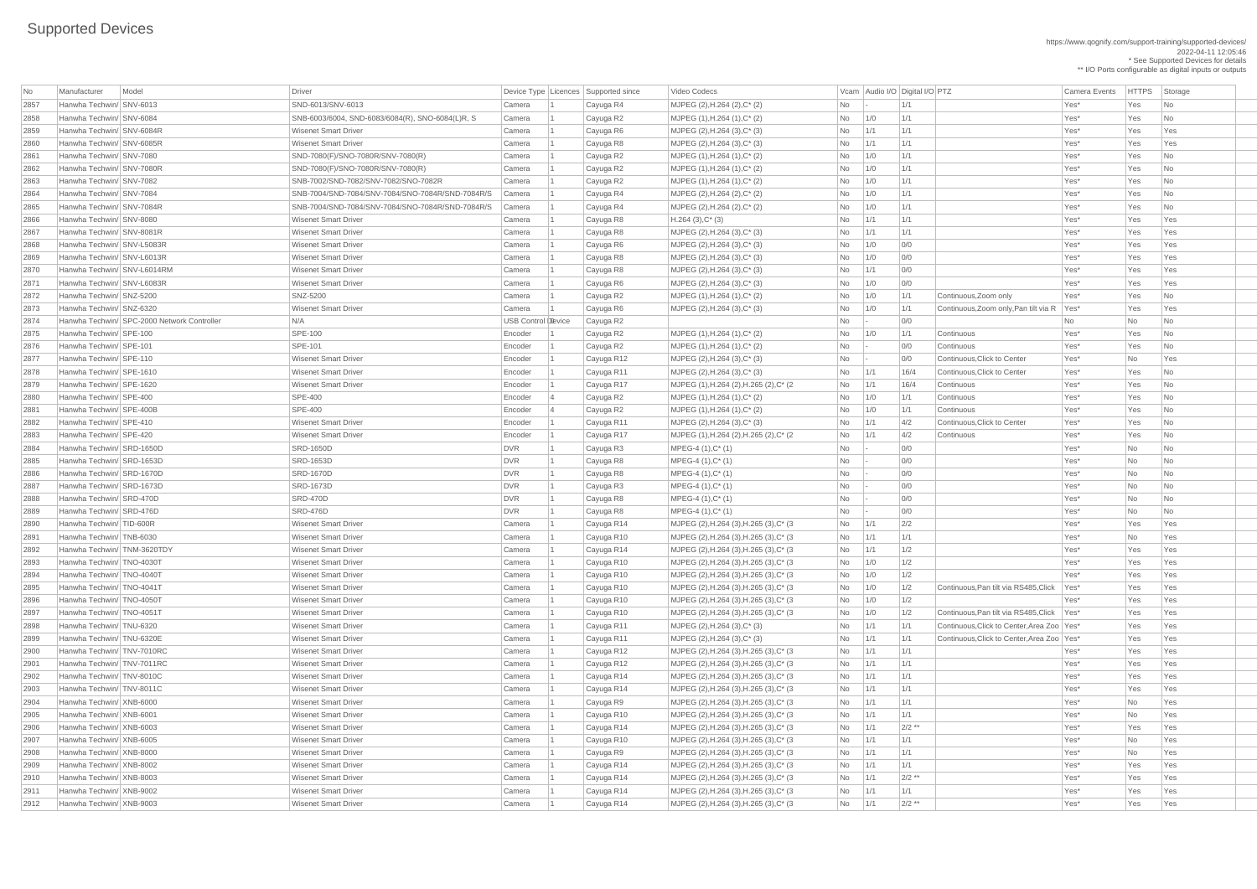|              |                                                      |                                             |                                                            |                    |                                          |                                                                         |                             |                                |          |                                              |                      |              | ** I/O Ports configurable as digital inputs or outputs |
|--------------|------------------------------------------------------|---------------------------------------------|------------------------------------------------------------|--------------------|------------------------------------------|-------------------------------------------------------------------------|-----------------------------|--------------------------------|----------|----------------------------------------------|----------------------|--------------|--------------------------------------------------------|
| No           | Manufacturer                                         | Model                                       | Driver                                                     |                    | Device Type   Licences   Supported since | Video Codecs                                                            |                             | Vcam Audio I/O Digital I/O PTZ |          |                                              | <b>Camera Events</b> | <b>HTTPS</b> | Storage                                                |
| 2857         | Hanwha Techwin/ SNV-6013                             |                                             | SND-6013/SNV-6013                                          | Camera             | Cayuga R4                                | MJPEG (2), H.264 (2), C* (2)                                            | No                          |                                | 1/1      |                                              | Yes*                 | Yes          | No                                                     |
| 2858         | Hanwha Techwin/ SNV-6084                             |                                             | SNB-6003/6004, SND-6083/6084(R), SNO-6084(L)R, S           | Camera             | Cayuga R2                                | MJPEG (1), H.264 (1), C* (2)                                            | <b>No</b>                   | 1/0                            | 1/1      |                                              | Yes*                 | Yes          | No                                                     |
| 2859         | Hanwha Techwin/ SNV-6084R                            |                                             | <b>Wisenet Smart Driver</b>                                | Camera             | Cayuga R6                                | MJPEG $(2)$ , H.264 $(3)$ , C $*$ $(3)$                                 | <b>No</b>                   | 1/1                            | 1/1      |                                              | Yes*                 | Yes          | Yes                                                    |
| 2860         | Hanwha Techwin/ SNV-6085R                            |                                             | <b>Wisenet Smart Driver</b>                                | Camera             | Cayuga R8                                | MJPEG (2), H.264 (3), C* (3)                                            | No                          | $\vert$ 1/1                    | 1/1      |                                              | Yes*                 | Yes          | Yes                                                    |
| 2861         | Hanwha Techwin/ SNV-7080                             |                                             | SND-7080(F)/SNO-7080R/SNV-7080(R)                          | Camera             | Cayuga R2                                | MJPEG (1), H.264 (1), C* (2)                                            | No                          | 1/0                            | 1/1      |                                              | Yes*                 | Yes          | N <sub>o</sub>                                         |
| 2862         | Hanwha Techwin/ SNV-7080R                            |                                             | SND-7080(F)/SNO-7080R/SNV-7080(R)                          | Camera             | Cayuga R2                                | MJPEG (1), H.264 (1), C* (2)                                            | No                          | 1/0                            | 1/1      |                                              | Yes*                 | Yes          | No                                                     |
| 2863         | Hanwha Techwin/ SNV-7082                             |                                             | SNB-7002/SND-7082/SNV-7082/SNO-7082R                       | Camera             | Cayuga R2                                | MJPEG (1), H.264 (1), C* (2)                                            | No                          | 1/0                            | 1/1      |                                              | Yes*                 | Yes          | No                                                     |
| 2864         | Hanwha Techwin/ SNV-7084                             |                                             | SNB-7004/SND-7084/SNV-7084/SNO-7084R/SND-7084R/S           | Camera             | Cayuga R4                                | MJPEG (2), H.264 (2), C* (2)                                            | No                          | 1/0                            | 1/1      |                                              | Yes*                 | Yes          | No                                                     |
| 2865         | Hanwha Techwin/ SNV-7084R                            |                                             | SNB-7004/SND-7084/SNV-7084/SNO-7084R/SND-7084R/S           | Camera             | Cayuga R4                                | MJPEG $(2)$ , H.264 $(2)$ , C* $(2)$                                    | No                          | 1/0                            | 1/1      |                                              | Yes*                 | Yes          | No                                                     |
| 2866         | Hanwha Techwin/ SNV-8080                             |                                             | <b>Wisenet Smart Driver</b>                                | Camera             | Cayuga R8                                | $H.264(3),C^*(3)$                                                       | No                          | $\vert$ 1/1                    | 1/1      |                                              | Yes*                 | Yes          | Yes                                                    |
| 2867         | Hanwha Techwin/ SNV-8081R                            |                                             | <b>Wisenet Smart Driver</b>                                | Camera             | Cayuga R8                                | MJPEG (2), H.264 (3), C* (3)                                            | <b>No</b>                   | $\vert$ 1/1                    | 1/1      |                                              | Yes*                 | Yes          | Yes                                                    |
| 2868         | Hanwha Techwin/ SNV-L5083R                           |                                             | <b>Wisenet Smart Driver</b>                                | Camera             | Cayuga R6                                | MJPEG (2), H.264 (3), C* (3)                                            | No                          | 1/0                            | 0/0      |                                              | Yes*                 | Yes          | Yes                                                    |
| 2869         | Hanwha Techwin/ SNV-L6013R                           |                                             | <b>Wisenet Smart Driver</b>                                | Camera             | Cayuga R8                                | MJPEG (2), H.264 (3), C* (3)                                            | No                          | 1/0                            | 0/0      |                                              | Yes*                 | Yes          | Yes                                                    |
| 2870         | Hanwha Techwin/ SNV-L6014RM                          |                                             | <b>Wisenet Smart Driver</b>                                | Camera             | Cayuga R8                                | MJPEG $(2)$ , H.264 $(3)$ , C $*$ $(3)$                                 | No                          | 1/1                            | 0/0      |                                              | Yes*                 | Yes          | Yes                                                    |
| 2871         | Hanwha Techwin/ SNV-L6083R                           |                                             | <b>Wisenet Smart Driver</b>                                | Camera             | Cayuga R6                                | MJPEG (2), H.264 (3), C* (3)                                            | No                          | 1/0                            | 0/0      |                                              | Yes*                 | Yes          | Yes                                                    |
| 2872         | Hanwha Techwin/ SNZ-5200                             |                                             | SNZ-5200                                                   | Camera             | Cayuga R2                                | MJPEG (1), H.264 (1), C* (2)                                            | No                          | 1/0                            | 1/1      | Continuous, Zoom only                        | Yes*                 | Yes          | No                                                     |
| 2873         | Hanwha Techwin/ SNZ-6320                             |                                             | <b>Wisenet Smart Driver</b>                                | Camera             | Cayuga R6                                | MJPEG $(2)$ , H.264 $(3)$ , C $*$ $(3)$                                 | No                          | 1/0                            | 1/1      | Continuous, Zoom only, Pan tilt via R   Yes* |                      | Yes          | Yes                                                    |
| 2874         |                                                      | Hanwha Techwin/ SPC-2000 Network Controller | N/A                                                        | USB Control Device | Cayuga R2                                |                                                                         | No                          |                                | 0/0      |                                              | No                   | <b>No</b>    | No                                                     |
| 2875         | Hanwha Techwin/ SPE-100                              |                                             | <b>SPE-100</b>                                             | Encoder            | Cayuga R2                                | MJPEG (1), H.264 (1), C* (2)                                            | No                          | 1/0                            | 1/1      | Continuous                                   | Yes*                 | Yes          | No                                                     |
| 2876         | Hanwha Techwin/ SPE-101                              |                                             | <b>SPE-101</b>                                             | Encoder            | Cayuga R2                                | MJPEG (1), H.264 (1), C* (2)                                            | No                          |                                | 0/0      | Continuous                                   | Yes*                 | Yes          | No                                                     |
| 2877         | Hanwha Techwin/ SPE-110                              |                                             | <b>Wisenet Smart Driver</b>                                | Encoder            | Cayuga R12                               | MJPEG (2), H.264 (3), C* (3)                                            | No                          |                                | 0/0      | Continuous, Click to Center                  | Yes*                 | No           | Yes                                                    |
| 2878         | Hanwha Techwin/ SPE-1610                             |                                             | <b>Wisenet Smart Driver</b>                                | Encoder            | Cayuga R11                               | MJPEG (2), H.264 (3), C* (3)                                            | No                          | $\vert$ 1/1                    | 16/4     | Continuous, Click to Center                  | Yes*                 | Yes          | No                                                     |
| 2879         | Hanwha Techwin/ SPE-1620                             |                                             | <b>Wisenet Smart Driver</b>                                | Encoder            | Cayuga R17                               | MJPEG (1), H.264 (2), H.265 (2), C* (2)                                 | No                          | $\vert$ 1/1                    | 16/4     | Continuous                                   | Yes*                 | Yes          | No                                                     |
| 2880         | Hanwha Techwin/ SPE-400                              |                                             | <b>SPE-400</b>                                             | Encoder            | Cayuga R2                                | MJPEG (1), H.264 (1), C* (2)                                            | No                          | 1/0                            | 1/1      | Continuous                                   | Yes*                 | Yes          | <b>No</b>                                              |
| 2881         | Hanwha Techwin/ SPE-400B                             |                                             | <b>SPE-400</b>                                             | Encoder            |                                          |                                                                         | No                          | $\vert$ 1/0                    | 1/1      | Continuous                                   | Yes*                 | Yes          | N <sub>o</sub>                                         |
| 2882         | Hanwha Techwin/ SPE-410                              |                                             | <b>Wisenet Smart Driver</b>                                | Encoder            | Cayuga R2<br>Cayuga R11                  | MJPEG (1), H.264 (1), C* (2)<br>MJPEG $(2)$ , H.264 $(3)$ , C $*$ $(3)$ | No                          | 1/1                            | 4/2      | Continuous, Click to Center                  | Yes*                 | Yes          | No                                                     |
| 2883         | Hanwha Techwin/ SPE-420                              |                                             | <b>Wisenet Smart Driver</b>                                | Encoder            | Cayuga R17                               | MJPEG (1), H.264 (2), H.265 (2), C* (2)                                 | No                          | $\vert$ 1/1                    | 4/2      | Continuous                                   | Yes*                 | Yes          | No                                                     |
| 2884         | Hanwha Techwin/ SRD-1650D                            |                                             | <b>SRD-1650D</b>                                           | DVR                |                                          | $MPEG-4 (1), C^*(1)$                                                    |                             |                                | 0/0      |                                              | Yes*                 | No           | No                                                     |
| 2885         | Hanwha Techwin/ SRD-1653D                            |                                             | <b>SRD-1653D</b>                                           | DVR                | Cayuga R3                                | $MPEG-4 (1), C^*(1)$                                                    | No                          |                                | 0/0      |                                              | Yes*                 | No           | No                                                     |
| 2886         | Hanwha Techwin/ SRD-1670D                            |                                             | <b>SRD-1670D</b>                                           | DVR                | Cayuga R8                                | $MPEG-4 (1), C^*(1)$                                                    | No<br>No                    |                                | 0/0      |                                              | Yes*                 | <b>No</b>    | <b>No</b>                                              |
|              | Hanwha Techwin/ SRD-1673D                            |                                             | <b>SRD-1673D</b>                                           | DVR                | Cayuga R8                                | MPEG-4 (1), C* (1)                                                      |                             |                                | 0/0      |                                              | Yes*                 |              |                                                        |
| 2887<br>2888 | Hanwha Techwin/ SRD-470D                             |                                             | <b>SRD-470D</b>                                            | DVR                | Cayuga R3                                |                                                                         | No                          |                                | 0/0      |                                              | Yes*                 | No           | No                                                     |
|              | Hanwha Techwin/ SRD-476D                             |                                             | <b>SRD-476D</b>                                            |                    | Cayuga R8                                | $MPEG-4 (1), C^*(1)$                                                    | No                          |                                |          |                                              |                      | No           | No                                                     |
| 2889         |                                                      |                                             |                                                            | DVR                | Cayuga R8                                | $MPEG-4 (1), C^*(1)$                                                    | No                          |                                | 0/0      |                                              | Yes*                 | No           | No                                                     |
| 2890         | Hanwha Techwin/ TID-600R<br>Hanwha Techwin/ TNB-6030 |                                             | <b>Wisenet Smart Driver</b>                                | Camera             | Cayuga R14                               | MJPEG (2), H.264 (3), H.265 (3), C* (3)                                 | No                          | $\vert$ 1/1                    | 2/2      |                                              | Yes*                 | Yes          | Yes                                                    |
| 2891         | Hanwha Techwin/ TNM-3620TDY                          |                                             | <b>Wisenet Smart Driver</b><br><b>Wisenet Smart Driver</b> | Camera             | Cayuga R10                               | MJPEG (2), H.264 (3), H.265 (3), C* (3)                                 | No                          | $\vert$ 1/1                    | 1/1      |                                              | Yes*<br>Yes*         | <b>No</b>    | Yes                                                    |
| 2892         |                                                      |                                             |                                                            | Camera             | Cayuga R14                               | MJPEG (2), H.264 (3), H.265 (3), C* (3)                                 | No                          | 1/1                            | 1/2      |                                              |                      | Yes          | Yes                                                    |
| 2893         | Hanwha Techwin/ TNO-4030T                            |                                             | <b>Wisenet Smart Driver</b>                                | Camera             | Cayuga R10                               | MJPEG (2), H.264 (3), H.265 (3), C* (3)                                 | No                          | 1/0                            | 1/2      |                                              | Yes*                 | Yes          | Yes                                                    |
| 2894         | Hanwha Techwin/ TNO-4040T                            |                                             | <b>Wisenet Smart Driver</b>                                | Camera             | Cayuga R10                               | MJPEG (2), H.264 (3), H.265 (3), C* (3)                                 | $\overline{\phantom{a}}$ No | 1/0                            | 1/2      |                                              | Yes*                 | Yes          | Yes                                                    |
| 2895         | Hanwha Techwin/ TNO-4041T                            |                                             | <b>Wisenet Smart Driver</b>                                | Camera             | Cayuga R10                               | MJPEG (2), H.264 (3), H.265 (3), C* (3)                                 | No                          | 1/0                            | 1/2      | Continuous, Pan tilt via RS485, Click   Yes* |                      | Yes          | Yes                                                    |
| 2896         | Hanwha Techwin/ TNO-4050T                            |                                             | <b>Wisenet Smart Driver</b>                                | Camera             | Cayuga R10                               | MJPEG (2), H.264 (3), H.265 (3), C* (3)                                 | No                          | 1/0                            | 1/2      |                                              | Yes*                 | Yes          | Yes                                                    |
| 2897         | Hanwha Techwin/ TNO-4051T                            |                                             | <b>Wisenet Smart Driver</b>                                | Camera             | Cayuga R10                               | MJPEG (2), H.264 (3), H.265 (3), C* (3)                                 | $\overline{\phantom{1}}$ No | 1/0                            | 1/2      | Continuous, Pan tilt via RS485, Click Yes*   |                      | Yes          | Yes                                                    |
| 2898         | Hanwha Techwin/ TNU-6320                             |                                             | <b>Wisenet Smart Driver</b>                                | Camera             | Cayuga R11                               | MJPEG (2), H.264 (3), C* (3)                                            | No                          | 1/1                            | 1/1      | Continuous, Click to Center, Area Zoo   Yes* |                      | Yes          | Yes                                                    |
| 2899         | Hanwha Techwin/ TNU-6320E                            |                                             | <b>Wisenet Smart Driver</b>                                | Camera             | Cayuga R11                               | MJPEG (2), H.264 (3), C* (3)                                            | No                          | $\vert$ 1/1                    | 1/1      | Continuous, Click to Center, Area Zoo   Yes* |                      | Yes          | Yes                                                    |
| 2900         | Hanwha Techwin/ TNV-7010RC                           |                                             | <b>Wisenet Smart Driver</b>                                | Camera             | Cayuga R12                               | MJPEG (2), H.264 (3), H.265 (3), C* (3)                                 | No                          | 1/1                            | 1/1      |                                              | Yes*                 | Yes          | Yes                                                    |
| 2901         | Hanwha Techwin/ TNV-7011RC                           |                                             | <b>Wisenet Smart Driver</b>                                | Camera             | Cayuga R12                               | MJPEG (2), H.264 (3), H.265 (3), C* (3)                                 | $\overline{\phantom{1}}$ No | 1/1                            | 1/1      |                                              | Yes*                 | Yes          | Yes                                                    |
| 2902         | Hanwha Techwin/ TNV-8010C                            |                                             | <b>Wisenet Smart Driver</b>                                | Camera             | Cayuga R14                               | MJPEG (2), H.264 (3), H.265 (3), C* (3)                                 | N <sub>o</sub>              | 1/1                            | 1/1      |                                              | Yes*                 | Yes          | Yes                                                    |
| 2903         | Hanwha Techwin/ TNV-8011C                            |                                             | <b>Wisenet Smart Driver</b>                                | Camera             | Cayuga R14                               | MJPEG (2), H.264 (3), H.265 (3), C* (3)                                 | N <sub>o</sub>              | 1/1                            | 1/1      |                                              | Yes*                 | Yes          | Yes                                                    |
| 2904         | Hanwha Techwin/ XNB-6000                             |                                             | <b>Wisenet Smart Driver</b>                                | Camera             | Cayuga R9                                | MJPEG (2), H.264 (3), H.265 (3), C* (3)                                 | N <sub>o</sub>              | 1/1                            | 1/1      |                                              | Yes*                 | No           | Yes                                                    |
| 2905         | Hanwha Techwin/ XNB-6001                             |                                             | <b>Wisenet Smart Driver</b>                                | Camera             | Cayuga R10                               | MJPEG (2), H.264 (3), H.265 (3), C* (3)                                 | N <sub>o</sub>              | 1/1                            | 1/1      |                                              | Yes*                 | No           | Yes                                                    |
| 2906         | Hanwha Techwin/ XNB-6003                             |                                             | <b>Wisenet Smart Driver</b>                                | Camera             | Cayuga R14                               | MJPEG (2), H.264 (3), H.265 (3), C* (3)                                 | No l                        | $\vert$ 1/1                    | $2/2$ ** |                                              | Yes*                 | Yes          | Yes                                                    |
|              | 2907   Hanwha Techwin/ XNB-6005                      |                                             | Wisenet Smart Driver                                       | Camera             | Cayuga R10                               | MJPEG (2), H.264 (3), H.265 (3), C* (3)                                 | No                          | 1/1                            | 1/1      |                                              | Yes*                 | No           | Yes                                                    |
| 2908         | Hanwha Techwin/ XNB-8000                             |                                             | <b>Wisenet Smart Driver</b>                                | Camera             | Cayuga R9                                | MJPEG (2), H.264 (3), H.265 (3), C* (3)                                 | $No$   1/1                  |                                | 1/1      |                                              | Yes*                 | No           | Yes                                                    |
| 2909         | Hanwha Techwin/ XNB-8002                             |                                             | <b>Wisenet Smart Driver</b>                                | Camera             | Cayuga R14                               | MJPEG (2), H.264 (3), H.265 (3), C* (3)                                 | $No$   1/1                  |                                | 1/1      |                                              | Yes*                 | Yes          | Yes                                                    |
| 2910         | Hanwha Techwin/ XNB-8003                             |                                             | <b>Wisenet Smart Driver</b>                                | Camera             | Cayuga R14                               | MJPEG (2), H.264 (3), H.265 (3), C* (3)                                 | $No$   1/1                  |                                | $2/2$ ** |                                              | Yes*                 | Yes          | Yes                                                    |
| 2911         | Hanwha Techwin/ XNB-9002                             |                                             | <b>Wisenet Smart Driver</b>                                | Camera             | Cayuga R14                               | MJPEG (2), H.264 (3), H.265 (3), C* (3)                                 | $No$   1/1                  |                                | 1/1      |                                              | Yes*                 | Yes          | Yes                                                    |
| 2912         | Hanwha Techwin/ XNB-9003                             |                                             | <b>Wisenet Smart Driver</b>                                | Camera             | Cayuga R14                               | MJPEG (2), H.264 (3), H.265 (3), C* (3)                                 | $\vert$ No $\vert$ 1/1      |                                | $2/2$ ** |                                              | Yes*                 | Yes          | Yes                                                    |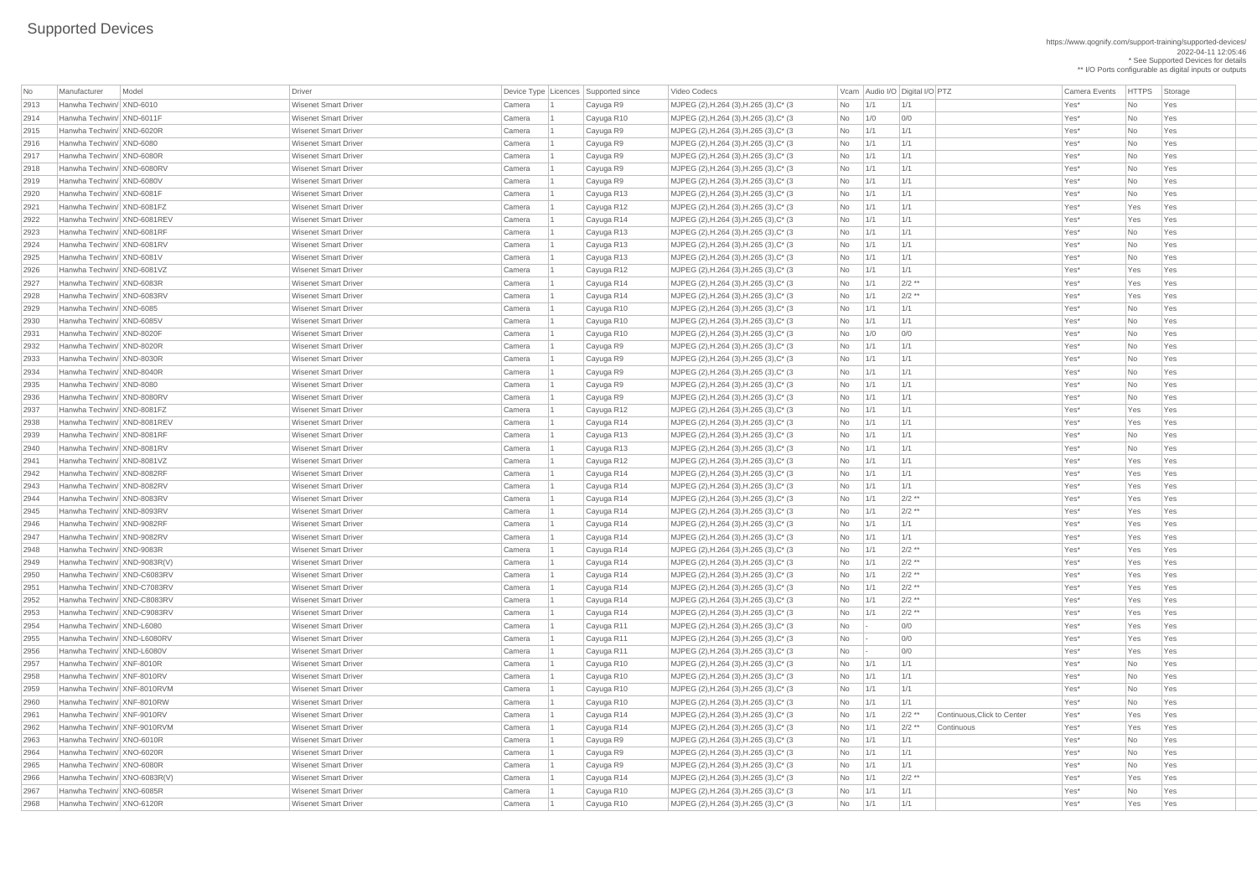https://www.qognify.com/support-training/supported-devices/ 2022-04-11 12:05:46 \* See Supported Devices for details \*\* I/O Ports configurable as digital inputs or outputs

Video Codecs **No Manufacturer Model Driver Audio I/O Digital I/O PTZ** Vcam Audio I/O Digital I/O PTZ Camera Events HTTPS Storage MJPEG (2),H.264 (3),H.265 (3),C\* (3 No 1/1 1/1 1/1 No 1/1 No 1/5 No 1/6s | MJPEG (2),H.264 (3),H.265 (3),C\* (3  $\qquad$  No 1/0 0/0  $\qquad$  0/0  $\qquad$  Yes\* No Yes 2915 Hanwha Techwin/ XND-6020R Wisenet Smart Driver Camera 1 Cayuga R9 MJPEG (2),H.264 (3),H.265 (3),C\* (3 No 1/1 1/1 Yes\* No Yes | MJPEG (2),H.264 (3),H.265 (3),C\* (3  $\vert$  No  $\vert$  1/1  $\vert$  1/1  $\vert$  1/1  $\vert$  1/1  $\vert$  Yes\* No  $\vert$  Yes | MJPEG (2),H.264 (3),H.265 (3),C\* (3  $\vert$  No  $\vert$  1/1  $\vert$  1/1  $\vert$  1/1  $\vert$  1/1  $\vert$  Yes\* No  $\vert$  Yes | MJPEG (2),H.264 (3),H.265 (3),C\* (3  $\vert$  No  $\vert$  1/1  $\vert$  1/1  $\vert$  1/1  $\vert$  1/1  $\vert$  Yes\* No  $\vert$  Yes | MJPEG (2),H.264 (3),H.265 (3),C\* (3  $\qquad$  No 1/1 1/1 1  $\qquad$  1/1  $\qquad$  Yes\* No Yes | MJPEG (2),H.264 (3),H.265 (3),C\* (3  $\qquad$  No 1/1 1/1 1/1  $\qquad$  1/1 Yes\* Yes Yes Yes | MJPEG (2),H.264 (3),H.265 (3),C\* (3  $\qquad$  No 1/1 1/1 1/1  $\qquad$  1/1  $\qquad$  Yes\* Yes Yes Yes | MJPEG (2),H.264 (3),H.265 (3),C\* (3  $\vert$  No  $\vert$  1/1  $\vert$  1/1  $\vert$  1/1  $\vert$  1/1  $\vert$  Yes\* No  $\vert$  Yes | MJPEG (2),H.264 (3),H.265 (3),C\* (3  $\qquad$  No 1/1 1/1 1  $\qquad$  1/1 Ves\* No Yes | MJPEG (2),H.264 (3),H.265 (3),C\* (3  $\qquad$  No 1/1 1/1 1/1  $\qquad$  1/1 Yes\* No Yes | MJPEG (2),H.264 (3),H.265 (3),C\* (3  $\qquad$  No 1/1 1/1 1/1  $\qquad$  1/1 Yes\* Yes Yes Yes | MJPEG (2),H.264 (3),H.265 (3),C\* (3  $\qquad$  No  $\qquad$  1/1  $\qquad$  2/2 \*\*  $\qquad$  Yes Yes Yes Yes Yes 2928 Hanwha Techwin/ XND-6083RV Wisenet Smart Driver Camera 1 Cayuga R14 MJPEG (2),H.264 (3),H.265 (3),C\* (3 No 1/1 2/2 \*\* Yes\* Yes Yes | MJPEG (2),H.264 (3),H.265 (3),C\* (3  $\vert$  No  $\vert$  1/1  $\vert$  1/1  $\vert$  1/1  $\vert$  1/1  $\vert$   $\vert$  Yes\* No  $\vert$  Yes | MJPEG (2),H.264 (3),H.265 (3),C\* (3  $\vert$  No  $\vert$  1/1  $\vert$  1/1  $\vert$  1/1  $\vert$  1/1  $\vert$  Yes\* No  $\vert$  Yes | MJPEG (2),H.264 (3),H.265 (3),C\* (3  $\qquad$  No 1/1 1/1 1/1  $\qquad$  1/1 Yes\* No Yes | MJPEG (2),H.264 (3),H.265 (3),C\* (3  $\vert$  No  $\vert$  1/1  $\vert$  1/1  $\vert$  1/1  $\vert$  1/1  $\vert$  Yes\* No  $\vert$  Yes | MJPEG (2),H.264 (3),H.265 (3),C\* (3  $\vert$  No  $\vert$  1/1  $\vert$  1/1  $\vert$  1/1  $\vert$  1/1  $\vert$  Yes\* No  $\vert$  Yes | MJPEG (2),H.264 (3),H.265 (3),C\* (3  $\vert$  No  $\vert$  1/1  $\vert$  1/1  $\vert$  1/1  $\vert$  1/1  $\vert$  Yes\*  $\vert$  No  $\vert$  Yes | MJPEG (2),H.264 (3),H.265 (3),C\* (3  $\vert$  No  $\vert$  1/1  $\vert$  1/1  $\vert$  1/1  $\vert$  1/1  $\vert$   $\vert$  Yes\* No  $\vert$  Yes | MJPEG (2),H.264 (3),H.265 (3),C\* (3  $\qquad$  No 1/1 1/1 1/1  $\qquad$  1/1 Yes\* Yes Yes Yes | MJPEG (2),H.264 (3),H.265 (3),C\* (3  $\qquad$  No 1/1 1/1 1/1  $\qquad$  1/1 Yes\* Yes Yes Yes | MJPEG (2),H.264 (3),H.265 (3),C\* (3  $\qquad$  No 1/1 1/1 1/1  $\qquad$  1/1 Yes\* No Yes | MJPEG (2),H.264 (3),H.265 (3),C\* (3  $\qquad$  No  $\qquad$  1/1  $\qquad$  1/1  $\qquad$  1/1  $\qquad$  Yes\* No Yes | MJPEG (2),H.264 (3),H.265 (3),C\* (3  $\qquad$  No 1/1 1/1 | 1/1 | Yes\* Yes Yes Yes | MJPEG (2),H.264 (3),H.265 (3),C\* (3  $\qquad$  No  $\qquad$  1/1  $\qquad$  1/1  $\qquad$  1/1  $\qquad$  Yes\* Yes Yes Yes | MJPEG (2),H.264 (3),H.265 (3),C\* (3  $\qquad$  No 1/1 1/1 1/1  $\qquad$  1/1 Yes\* Yes Yes Yes  $MIPEG (2), H.264 (3), H.265 (3), C^* (3$   $N_0$   $1/1$   $2/2$  \*\* | MJPEG (2),H.264 (3),H.265 (3),C\* (3  $\qquad$  No  $\qquad$  1/1  $\qquad$  2/2 \*\*  $\qquad$  Yes Yes Yes Yes Yes Yes | MJPEG (2),H.264 (3),H.265 (3),C\* (3  $\qquad$  No 1/1 1/1 1/1  $\qquad$  1/1 Yes\* Yes Yes Yes | MJPEG (2),H.264 (3),H.265 (3),C\* (3  $\qquad$  No 1/1 1/1 | 1/1 | Yes\* Yes Yes Yes | MJPEG (2),H.264 (3),H.265 (3),C\* (3  $\qquad$  No 1/1 2/2 \*\* | Yes Yes Yes Yes Yes Yes | MJPEG (2),H.264 (3),H.265 (3),C\* (3  $\qquad$  No 1/1 2/2 \*\* | Yes Yes Yes Yes Yes Yes | MJPEG (2),H.264 (3),H.265 (3),C\* (3  $\qquad$  No  $\qquad$  1/1  $\qquad$  2/2 \*\*  $\qquad$  Yes Yes Yes Yes Yes Yes | MJPEG (2),H.264 (3),H.265 (3),C\* (3  $\qquad$  No  $\qquad$  1/1  $\qquad$  2/2 \*\*  $\qquad$  Yes Yes Yes Yes Yes Yes 2952 Hanwha Techwin/ XND-C8083RV Wisenet Smart Driver Camera 1 Cayuga R14 MJPEG (2),H.264 (3),H.265 (3),C\* (3 No 1/1 2/2 \*\* Yes\* Yes Yes | MJPEG (2),H.264 (3),H.265 (3),C\* (3  $\qquad$  No  $\qquad$  1/1  $\qquad$  2/2 \*\* Yes Yes Yes Yes Yes Yes | MJPEG (2),H.264 (3),H.265 (3),C\* (3  $\qquad$  No  $\qquad$  - 0/0  $\qquad$  00 Yes\* Yes Yes Yes Yes MJPEG (2),H.264 (3),H.265 (3),C\* (3  $\vert$ No  $\vert$ -  $\vert$ 0/0 Yes\* Yes Yes Yes Yes Yes MJPEG (2),H.264 (3),H.265 (3),C\* (3  $\vert$ No  $\vert$ -  $\vert$ 0/0 Yes\* Yes Yes Yes Yes Yes | MJPEG (2),H.264 (3),H.265 (3),C\* (3  $\vert$  No  $\vert$  1/1  $\vert$  1/1  $\vert$  1/1  $\vert$  1/1  $\vert$   $\vert$  Yes\* No  $\vert$  Yes |MJPEG (2),H.264 (3),H.265 (3),C\* (3  $\vert$  No  $\vert$  1/1  $\vert$  1/1  $\vert$  1/1  $\vert$  1/1  $\vert$   $\vert$  Yes\* No Yes | MJPEG (2),H.264 (3),H.265 (3),C\* (3  $\vert$  No  $\vert$  1/1  $\vert$  1/1  $\vert$  1/1  $\vert$  1/1  $\vert$   $\vert$  Yes\*  $\vert$  No  $\vert$  Yes | MJPEG (2),H.264 (3),H.265 (3),C\* (3  $\qquad$  No 1/1 1/1 1/1  $\qquad$  1/1 Yes\* No Yes MJPEG (2),H.264 (3),H.265 (3),C\* (3  $\vert$   $\vert$  No  $\vert$  1/1  $\vert$  2/2 \*\*  $\vert$  Continuous,Click to Center  $\vert$  Yes<sup>\*</sup>  $\vert$  Yes Yes Yes 2962 Hanwha Techwin/ XNF-9010RVM Wisenet Smart Driver Camera 1 Cayuga R14 MJPEG (2),H.264 (3),H.265 (3),C\* (3 No 1/1 2/2 \*\* Continuous Yes\* Yes Yes | MJPEG (2),H.264 (3),H.265 (3),C\* (3  $\vert$  No  $\vert$  1/1  $\vert$  1/1  $\vert$  1/1  $\vert$  1/1  $\vert$   $\vert$  Yes\* No  $\vert$  Yes | MJPEG (2),H.264 (3),H.265 (3),C\* (3  $\vert$  No  $\vert$  1/1  $\vert$  1/1  $\vert$  1/1  $\vert$  1/1  $\vert$   $\vert$  Yes\* No  $\vert$  Yes 2966 Hanwha Techwin/ XNO-6083R(V) Wisenet Smart Driver Camera 1 Cayuga R14 MJPEG (2),H.264 (3),H.265 (3),C\* (3 No 1/1 2/2 \*\* Yes\* Yes Yes | MJPEG (2),H.264 (3),H.265 (3),C\* (3  $\vert$  No  $\vert$  1/1  $\vert$  1/1  $\vert$  1/1  $\vert$  1/1  $\vert$   $\vert$  Yes\* No Yes | MJPEG (2),H.264 (3),H.265 (3),C\* (3  $\qquad$  No 1/1 1/1 1/1  $\qquad$  1/1 Yes\* Yes Yes Yes

| No   | Manufacturer                 | Model | Driver                      |                  | Device Type   Licences   Supported since | Video Codecs                                                                      |                          |                   | Vcam Audio I/O Digital I/O PTZ |                             | Camera Events    | <b>HTTPS</b> | Sto        |
|------|------------------------------|-------|-----------------------------|------------------|------------------------------------------|-----------------------------------------------------------------------------------|--------------------------|-------------------|--------------------------------|-----------------------------|------------------|--------------|------------|
| 2913 | Hanwha Techwin/ XND-6010     |       | <b>Wisenet Smart Driver</b> | Camera           | Cayuga R9                                | MJPEG (2), H.264 (3), H.265 (3), C* (3)                                           | <b>No</b>                | 1/1               | 1/1                            |                             | Yes*             | No           | Yes        |
| 2914 | Hanwha Techwin/ XND-6011F    |       | <b>Wisenet Smart Driver</b> | Camera           | Cayuga R10                               | MJPEG (2), H.264 (3), H.265 (3), C* (3)                                           | No                       | 1/0               | 0/0                            |                             | Yes*             | No           | Yes        |
| 2915 | Hanwha Techwin/ XND-6020R    |       | <b>Wisenet Smart Driver</b> | Camera           | Cayuga R9                                | MJPEG (2), H.264 (3), H.265 (3), C* (3)                                           | No                       | 1/1               | 1/1                            |                             | Yes*             | No           | Yes        |
| 2916 | Hanwha Techwin/ XND-6080     |       | <b>Wisenet Smart Driver</b> | Camera           | Cayuga R9                                | MJPEG (2), H.264 (3), H.265 (3), C* (3)                                           | No                       | 1/1               | 1/1                            |                             | Yes*             | No           | Yes        |
| 2917 | Hanwha Techwin/ XND-6080R    |       | <b>Wisenet Smart Driver</b> | Camera           | Cayuga R9                                | MJPEG (2), H.264 (3), H.265 (3), C* (3)                                           | No                       | 1/1               | 1/1                            |                             | Yes*             | No           | Yes        |
| 2918 | Hanwha Techwin/ XND-6080RV   |       | <b>Wisenet Smart Driver</b> | Camera           | Cayuga R9                                | MJPEG (2), H.264 (3), H.265 (3), C* (3)                                           | No                       | 1/1               | 1/1                            |                             | Yes*             | No           | <b>Yes</b> |
| 2919 | Hanwha Techwin/ XND-6080V    |       | <b>Wisenet Smart Driver</b> | Camera           | Cayuga R9                                | MJPEG (2), H.264 (3), H.265 (3), C* (3)                                           | No                       | 1/1               | 1/1                            |                             | Yes*             | No           | Yes        |
| 2920 | Hanwha Techwin/ XND-6081F    |       | <b>Wisenet Smart Driver</b> |                  |                                          |                                                                                   | No                       | 1/1               | 1/1                            |                             | Yes*             |              |            |
|      |                              |       |                             | Camera           | Cayuga R13                               | MJPEG (2), H.264 (3), H.265 (3), C* (3)                                           |                          |                   |                                |                             |                  | No           | Yes        |
| 2921 | Hanwha Techwin/ XND-6081FZ   |       | <b>Wisenet Smart Driver</b> | Camera           | Cayuga R12                               | MJPEG (2), H.264 (3), H.265 (3), C* (3)                                           | No                       | 1/1               | 1/1                            |                             | Yes*             | Yes          | Yes        |
| 2922 | Hanwha Techwin/ XND-6081REV  |       | <b>Wisenet Smart Driver</b> | Camera           | Cayuga R14                               | MJPEG (2), H.264 (3), H.265 (3), C* (3)                                           | No                       | 1/1               | 1/1                            |                             | Yes*             | Yes          | Yes        |
| 2923 | Hanwha Techwin/ XND-6081RF   |       | <b>Wisenet Smart Driver</b> | Camera           | Cayuga R13                               | MJPEG (2), H.264 (3), H.265 (3), C* (3)                                           | No                       | 1/1               | 1/1                            |                             | Yes*             | No           | Yes        |
| 2924 | Hanwha Techwin/ XND-6081RV   |       | <b>Wisenet Smart Driver</b> | Camera           | Cayuga R13                               | MJPEG (2), H.264 (3), H.265 (3), C* (3)                                           | No                       | 1/1               | 1/1                            |                             | Yes*             | No           | Yes        |
| 2925 | Hanwha Techwin/ XND-6081V    |       | <b>Wisenet Smart Driver</b> | Camera           | Cayuga R13                               | MJPEG (2), H.264 (3), H.265 (3), C* (3)                                           | No                       | 1/1               | 1/1                            |                             | Yes*             | No           | Yes        |
| 2926 | Hanwha Techwin/ XND-6081VZ   |       | <b>Wisenet Smart Driver</b> | Camera           | Cayuga R12                               | MJPEG (2), H.264 (3), H.265 (3), C* (3)                                           | No                       | 1/1               | 1/1                            |                             | Yes*             | Yes          | Yes        |
| 2927 | Hanwha Techwin/ XND-6083R    |       | <b>Wisenet Smart Driver</b> | Camera           | Cayuga R14                               | MJPEG (2), H.264 (3), H.265 (3), C* (3)                                           | No                       | 1/1               | $2/2$ **                       |                             | Yes*             | Yes          | Yes        |
| 2928 | Hanwha Techwin/ XND-6083RV   |       | <b>Wisenet Smart Driver</b> | Camera           | Cayuga R14                               | MJPEG (2), H.264 (3), H.265 (3), C* (3)                                           | No                       | 1/1               | $2/2$ **                       |                             | Yes*             | Yes          | Yes        |
| 2929 | Hanwha Techwin/ XND-6085     |       | <b>Wisenet Smart Driver</b> | Camera           | Cayuga R10                               | MJPEG (2), H.264 (3), H.265 (3), C* (3)                                           | No                       | 1/1               | 1/1                            |                             | Yes*             | No           | Yes        |
| 2930 | Hanwha Techwin/ XND-6085V    |       | <b>Wisenet Smart Driver</b> | Camera           | Cayuga R10                               | MJPEG (2), H.264 (3), H.265 (3), C* (3)                                           | No                       | 1/1               | 1/1                            |                             | Yes*             | No           | <b>Yes</b> |
| 2931 | Hanwha Techwin/ XND-8020F    |       | <b>Wisenet Smart Driver</b> | Camera           | Cayuga R10                               | MJPEG (2), H.264 (3), H.265 (3), C* (3)                                           | No                       | 1/0               | 0/0                            |                             | Yes*             | No           | Yes        |
| 2932 | Hanwha Techwin/ XND-8020R    |       | <b>Wisenet Smart Driver</b> | Camera           | Cayuga R9                                | MJPEG (2), H.264 (3), H.265 (3), C* (3)                                           | No                       | 1/1               | 1/1                            |                             | Yes*             | No           | Yes        |
| 2933 | Hanwha Techwin/ XND-8030R    |       | <b>Wisenet Smart Driver</b> | Camera           | Cayuga R9                                | MJPEG (2), H.264 (3), H.265 (3), C* (3)                                           | No                       | 1/1               | 1/1                            |                             | Yes*             | No           | Yes        |
| 2934 | Hanwha Techwin/ XND-8040R    |       | <b>Wisenet Smart Driver</b> | Camera           | Cayuga R9                                | MJPEG (2), H.264 (3), H.265 (3), C* (3                                            | No                       | 1/1               | 1/1                            |                             | Yes*             | No           | Yes        |
| 2935 | Hanwha Techwin/ XND-8080     |       | <b>Wisenet Smart Driver</b> | Camera           | Cayuga R9                                | MJPEG (2), H.264 (3), H.265 (3), C* (3)                                           | No                       | 1/1               | 1/1                            |                             | Yes*             | No           | <b>Yes</b> |
| 2936 | Hanwha Techwin/ XND-8080RV   |       | <b>Wisenet Smart Driver</b> | Camera           | Cayuga R9                                | MJPEG (2), H.264 (3), H.265 (3), C* (3)                                           | No                       | 1/1               | 1/1                            |                             | Yes*             | No           | Yes        |
| 2937 | Hanwha Techwin/ XND-8081FZ   |       | <b>Wisenet Smart Driver</b> | Camera           | Cayuga R12                               | MJPEG (2), H.264 (3), H.265 (3), C* (3)                                           | No                       | 1/1               | 1/1                            |                             | Yes*             | Yes          | Yes        |
| 2938 | Hanwha Techwin/ XND-8081REV  |       | <b>Wisenet Smart Driver</b> | Camera           | Cayuga R14                               | MJPEG (2), H.264 (3), H.265 (3), C* (3)                                           | No l                     | $\vert$ 1/1       | $\vert 1/1 \vert$              |                             | Yes*             | Yes          | Yes        |
| 2939 | Hanwha Techwin/ XND-8081RF   |       | <b>Wisenet Smart Driver</b> | Camera           | Cayuga R13                               | MJPEG (2), H.264 (3), H.265 (3), C* (3)                                           | No                       | 1/1               | 1/1                            |                             | Yes*             | No           | Yes        |
| 2940 | Hanwha Techwin/ XND-8081RV   |       | <b>Wisenet Smart Driver</b> | Camera           | Cayuga R13                               | MJPEG (2), H.264 (3), H.265 (3), C* (3)                                           | No                       | 1/1               | 1/1                            |                             | Yes*             | No           | Yes        |
| 2941 | Hanwha Techwin/ XND-8081VZ   |       | <b>Wisenet Smart Driver</b> | Camera           | Cayuga R12                               | MJPEG (2), H.264 (3), H.265 (3), C* (3)                                           | No                       | 1/1               | 1/1                            |                             | Yes*             | Yes          | Yes        |
| 2942 | Hanwha Techwin/ XND-8082RF   |       | <b>Wisenet Smart Driver</b> | Camera           | Cayuga R14                               | MJPEG (2), H.264 (3), H.265 (3), C* (3)                                           | No                       | 1/1               | 1/1                            |                             | Yes*             | Yes          | Yes        |
| 2943 | Hanwha Techwin/ XND-8082RV   |       | <b>Wisenet Smart Driver</b> | Camera           | Cayuga R14                               | MJPEG (2), H.264 (3), H.265 (3), C* (3)                                           | No                       | 1/1               | 1/1                            |                             | Yes*             | Yes          | Yes        |
| 2944 | Hanwha Techwin/ XND-8083RV   |       | <b>Wisenet Smart Driver</b> | Camera           | Cayuga R14                               | MJPEG (2), H.264 (3), H.265 (3), C* (3)                                           | No                       | 1/1               | $2/2$ **                       |                             | Yes*             | Yes          | Yes        |
| 2945 | Hanwha Techwin/ XND-8093RV   |       | <b>Wisenet Smart Driver</b> | Camera           | Cayuga R14                               | MJPEG (2),H.264 (3),H.265 (3),C* (3)                                              | No                       | 1/1               | $2/2$ **                       |                             | Yes*             | Yes          | Yes        |
| 2946 | Hanwha Techwin/ XND-9082RF   |       | <b>Wisenet Smart Driver</b> | Camera           | Cayuga R14                               | MJPEG (2), H.264 (3), H.265 (3), C* (3)                                           | No                       | $\vert$ 1/1       | 1/1                            |                             | Yes*             | Yes          | Yes        |
| 2947 | Hanwha Techwin/ XND-9082RV   |       | <b>Wisenet Smart Driver</b> | Camera           | Cayuga R14                               | MJPEG (2), H.264 (3), H.265 (3), C* (3)                                           | No                       | 1/1               | 1/1                            |                             | Yes*             | Yes          | <b>Yes</b> |
| 2948 | Hanwha Techwin/ XND-9083R    |       | <b>Wisenet Smart Driver</b> | Camera           | Cayuga R14                               | MJPEG (2),H.264 (3),H.265 (3),C* (3)                                              | No                       | 1/1               | $2/2$ **                       |                             | Yes*             | Yes          | Yes        |
| 2949 | Hanwha Techwin/ XND-9083R(V) |       | <b>Wisenet Smart Driver</b> | Camera           | Cayuga R14                               | MJPEG (2), H.264 (3), H.265 (3), C* (3)                                           | No                       | 1/1               | $2/2$ **                       |                             | Yes*             | Yes          | <b>Yes</b> |
| 2950 | Hanwha Techwin/ XND-C6083RV  |       | <b>Wisenet Smart Driver</b> | Camera           | Cayuga R14                               | MJPEG (2),H.264 (3),H.265 (3),C* (3)                                              | No                       | 1/1               | $2/2$ **                       |                             | Yes*             | Yes          | Yes        |
| 295' | Hanwha Techwin/ XND-C7083RV  |       | <b>Wisenet Smart Driver</b> | Camera           | Cayuga R14                               | MJPEG (2), H.264 (3), H.265 (3), C* (3)                                           | No                       | 1/1               | $2/2$ **                       |                             | Yes*             | Yes          | Yes        |
| 2952 | Hanwha Techwin/ XND-C8083RV  |       | <b>Wisenet Smart Driver</b> | Camera           | Cayuga R14                               | MJPEG (2), H.264 (3), H.265 (3), C* (3)                                           | No                       | 1/1               | $2/2$ **                       |                             | Yes*             | Yes          | Yes        |
| 2953 | Hanwha Techwin/ XND-C9083RV  |       | <b>Wisenet Smart Driver</b> |                  |                                          |                                                                                   |                          | 1/1               | $2/2$ **                       |                             |                  |              | <b>Yes</b> |
| 2954 | Hanwha Techwin/ XND-L6080    |       | <b>Wisenet Smart Driver</b> | Camera<br>Camera | Cayuga R14                               | MJPEG (2), H.264 (3), H.265 (3), C* (3<br>MJPEG (2), H.264 (3), H.265 (3), C* (3) | No<br>No                 |                   | 0/0                            |                             | Yes*<br>Yes*     | Yes<br>Yes   | Yes        |
|      |                              |       |                             |                  | Cayuga R11                               |                                                                                   |                          |                   | 0/0                            |                             |                  |              |            |
| 2955 | Hanwha Techwin/ XND-L6080RV  |       | <b>Wisenet Smart Driver</b> | Camera           | Cayuga R11                               | MJPEG (2), H.264 (3), H.265 (3), C* (3)                                           | No                       |                   |                                |                             | Yes*             | Yes          | <b>Yes</b> |
| 2956 | Hanwha Techwin/ XND-L6080V   |       | <b>Wisenet Smart Driver</b> | Camera           | Cayuga R11                               | MJPEG (2), H.264 (3), H.265 (3), C* (3)                                           | No                       |                   | 0/0                            |                             | Yes*             | Yes          | Yes        |
| 2957 | Hanwha Techwin/ XNF-8010R    |       | <b>Wisenet Smart Driver</b> | Camera           | Cayuga R10                               | MJPEG (2), H.264 (3), H.265 (3), C* (3)                                           | No                       | 1/1               | 1/1                            |                             | Yes*             | No           | Yes        |
| 2958 | Hanwha Techwin/ XNF-8010RV   |       | <b>Wisenet Smart Driver</b> | Camera           | Cayuga R10                               | MJPEG (2), H.264 (3), H.265 (3), C* (3)                                           | No                       | $\vert$ 1/1       | 1/1                            |                             | Yes*             | No           | Yes        |
| 2959 | Hanwha Techwin/ XNF-8010RVM  |       | <b>Wisenet Smart Driver</b> | Camera           | Cayuga R10                               | MJPEG (2),H.264 (3),H.265 (3),C* (3)                                              | No                       | 1/1               | 1/1                            |                             | Yes*             | No           | <b>Yes</b> |
| 2960 | Hanwha Techwin/ XNF-8010RW   |       | <b>Wisenet Smart Driver</b> | Camera           | Cayuga R10                               | MJPEG (2), H.264 (3), H.265 (3), C* (3)                                           | No                       | 1/1               | 1/1                            |                             | Yes*             | No           | <b>Yes</b> |
| 2961 | Hanwha Techwin/ XNF-9010RV   |       | <b>Wisenet Smart Driver</b> | Camera           | Cayuga R14                               | MJPEG (2), H.264 (3), H.265 (3), C* (3)                                           | No                       | 1/1               | $2/2$ **                       | Continuous, Click to Center | Yes*             | Yes          | Yes        |
| 2962 | Hanwha Techwin/ XNF-9010RVM  |       | <b>Wisenet Smart Driver</b> | Camera           | Cayuga R14                               | MJPEG (2), H.264 (3), H.265 (3), C* (3)                                           | No                       | 1/1               | $2/2$ **                       | Continuous                  | Yes*             | Yes          | Yes        |
| 2963 | Hanwha Techwin/ XNO-6010R    |       | <b>Wisenet Smart Driver</b> | Camera           | Cayuga R9                                | MJPEG (2), H.264 (3), H.265 (3), C* (3)                                           | No                       | 1/1               | 1/1                            |                             | Yes*             | No           | Yes        |
| 2964 | Hanwha Techwin/ XNO-6020R    |       | <b>Wisenet Smart Driver</b> | Camera           | Cayuga R9                                | MJPEG (2), H.264 (3), H.265 (3), C* (3)                                           | No                       | 1/1               | 1/1                            |                             | Yes*             | No           | Yes        |
| 2965 | Hanwha Techwin/ XNO-6080R    |       | <b>Wisenet Smart Driver</b> | Camera           | Cayuga R9                                | MJPEG (2), H.264 (3), H.265 (3), C* (3)                                           | No                       | 1/1               | 1/1                            |                             | Yes*             | No           | Yes        |
| 2966 | Hanwha Techwin/ XNO-6083R(V) |       | <b>Wisenet Smart Driver</b> | Camera           | Cayuga R14                               | MJPEG (2), H.264 (3), H.265 (3), C* (3)                                           | No                       | 1/1               | $2/2$ **                       |                             | Yes <sup>*</sup> | Yes          | Yes        |
| 2967 | Hanwha Techwin/ XNO-6085R    |       | <b>Wisenet Smart Driver</b> | Camera           | Cayuga R10                               | MJPEG (2), H.264 (3), H.265 (3), C* (3)                                           | No                       | $\vert$ 1/1       | 1/1                            |                             | $Yes^*$          | No           | Yes        |
| 2968 | Hanwha Techwin/ XNO-6120R    |       | <b>Wisenet Smart Driver</b> | Camera           | Cayuga R10                               | MJPEG (2), H.264 (3), H.265 (3), C* (3)                                           | $\overline{\mathsf{No}}$ | $\vert 1/1 \vert$ | 1/1                            |                             | $Yes^*$          | Yes          | Yes        |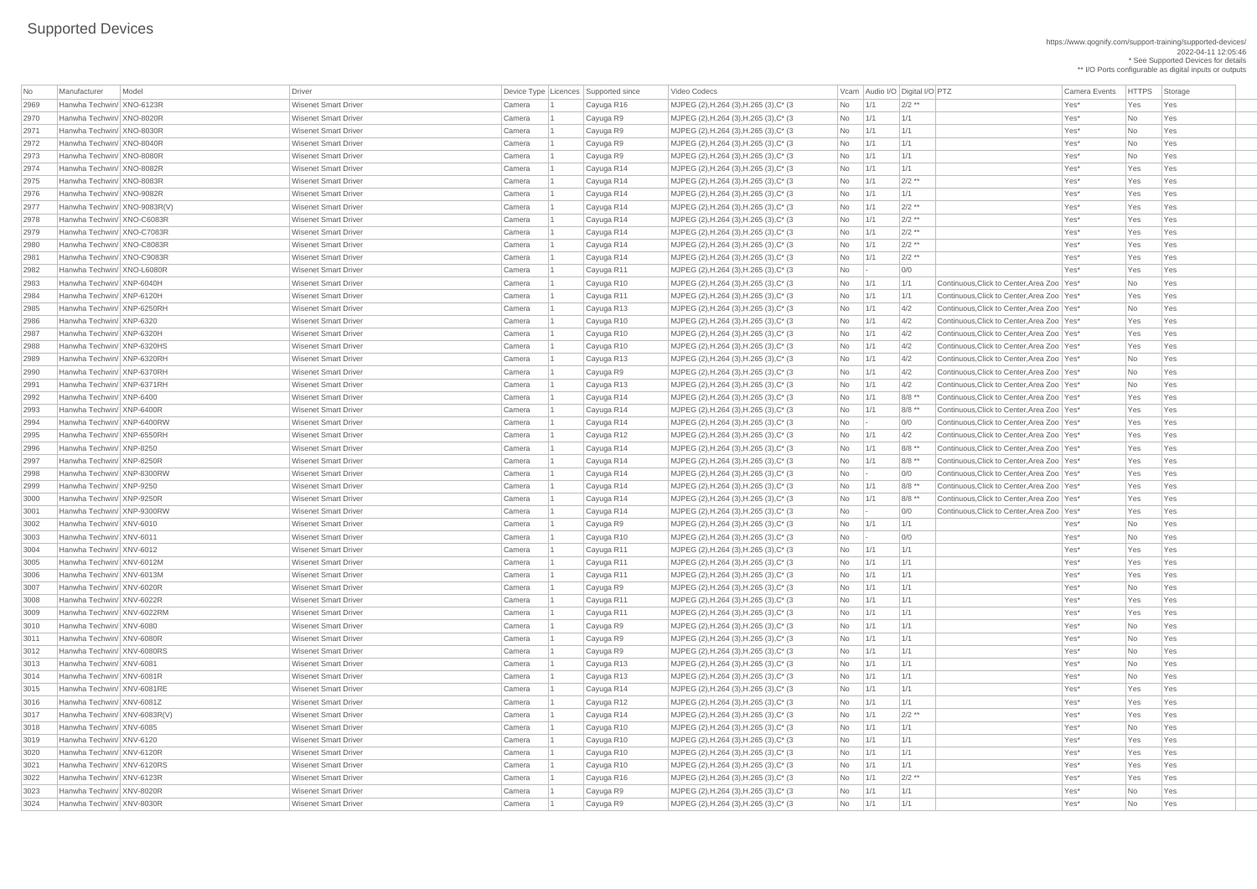https://www.qognify.com/support-training/supported-devices/ 2022-04-11 12:05:46 \* See Supported Devices for details \*\* I/O Ports configurable as digital inputs or outputs

| No   | Manufacturer                 | Model | Driver                      |        | Device Type   Licences   Supported since | Video Codecs                                |                |             | Vcam Audio I/O Digital I/O PTZ | <b>Camera Events</b>                         | <b>HTTPS</b> | Storage |
|------|------------------------------|-------|-----------------------------|--------|------------------------------------------|---------------------------------------------|----------------|-------------|--------------------------------|----------------------------------------------|--------------|---------|
| 2969 | Hanwha Techwin/ XNO-6123R    |       | <b>Wisenet Smart Driver</b> | Camera | Cayuga R16                               | MJPEG (2), H.264 (3), H.265 (3), C* (3)     | No             | 1/1         | $2/2$ **                       | Yes*                                         | Yes          | Yes     |
| 2970 | Hanwha Techwin/ XNO-8020R    |       | <b>Wisenet Smart Driver</b> | Camera | Cayuga R9                                | MJPEG (2), H.264 (3), H.265 (3), C* (3)     | No             | 1/1         | 1/1                            | Yes*                                         | No           | Yes     |
| 2971 | Hanwha Techwin/ XNO-8030R    |       | <b>Wisenet Smart Driver</b> | Camera | Cayuga R9                                | MJPEG (2), H.264 (3), H.265 (3), C* (3)     | No             | 1/1         | 1/1                            | Yes*                                         | No           | Yes     |
| 2972 | Hanwha Techwin/ XNO-8040R    |       | <b>Wisenet Smart Driver</b> | Camera | Cayuga R9                                | MJPEG (2), H.264 (3), H.265 (3), C* (3)     | No             | 1/1         | 1/1                            | Yes*                                         | No           | Yes     |
| 2973 | Hanwha Techwin/ XNO-8080R    |       | <b>Wisenet Smart Driver</b> | Camera | Cayuga R9                                | MJPEG (2), H.264 (3), H.265 (3), C* (3)     | No             | 1/1         | 1/1                            | Yes*                                         | No           | Yes     |
| 2974 | Hanwha Techwin/ XNO-8082R    |       | <b>Wisenet Smart Driver</b> | Camera | Cayuga R14                               | MJPEG (2), H.264 (3), H.265 (3), C* (3)     | No             | 1/1         | 1/1                            | Yes*                                         | Yes          | Yes     |
| 2975 | Hanwha Techwin/ XNO-8083R    |       | <b>Wisenet Smart Driver</b> | Camera | Cayuga R14                               | MJPEG (2), H.264 (3), H.265 (3), C* (3)     | No             | 1/1         | $2/2$ **                       | Yes*                                         | Yes          | Yes     |
| 2976 | Hanwha Techwin/ XNO-9082R    |       | <b>Wisenet Smart Driver</b> | Camera | Cayuga R14                               | MJPEG (2), H.264 (3), H.265 (3), C* (3)     | No             | 1/1         | 1/1                            | Yes*                                         | Yes          | Yes     |
| 2977 | Hanwha Techwin/ XNO-9083R(V) |       | <b>Wisenet Smart Driver</b> | Camera | Cayuga R14                               | MJPEG (2), H.264 (3), H.265 (3), C* (3)     | No             | 1/1         | $2/2$ **                       | Yes*                                         | Yes          | Yes     |
| 2978 | Hanwha Techwin/ XNO-C6083R   |       | <b>Wisenet Smart Driver</b> | Camera | Cayuga R14                               | MJPEG (2), H.264 (3), H.265 (3), C* (3)     | No             | 1/1         | $2/2$ **                       | Yes*                                         | Yes          | Yes     |
| 2979 | Hanwha Techwin/ XNO-C7083R   |       | <b>Wisenet Smart Driver</b> | Camera | Cayuga R14                               | MJPEG (2), H.264 (3), H.265 (3), C* (3)     | No             | 1/1         | $2/2$ **                       | Yes*                                         | Yes          | Yes     |
| 2980 | Hanwha Techwin/ XNO-C8083R   |       | <b>Wisenet Smart Driver</b> | Camera | Cayuga R14                               | MJPEG (2), H.264 (3), H.265 (3), C* (3)     | No             | 1/1         | $2/2$ **                       | Yes*                                         | Yes          | Yes     |
| 2981 | Hanwha Techwin/ XNO-C9083R   |       | <b>Wisenet Smart Driver</b> | Camera | Cayuga R14                               | MJPEG (2), H.264 (3), H.265 (3), C* (3)     | No             | 1/1         | $2/2$ **                       | Yes*                                         | Yes          | Yes     |
| 2982 | Hanwha Techwin/ XNO-L6080R   |       | <b>Wisenet Smart Driver</b> | Camera | Cayuga R11                               | MJPEG (2), H.264 (3), H.265 (3), C* (3)     | No             |             | 0/0                            | Yes*                                         | Yes          | Yes     |
| 2983 | Hanwha Techwin/ XNP-6040H    |       | <b>Wisenet Smart Driver</b> | Camera | Cayuga R10                               | MJPEG (2), H.264 (3), H.265 (3), C* (3)     | No             | 1/1         | 1/1                            | Continuous, Click to Center, Area Zoo   Yes* | No           | Yes     |
| 2984 | Hanwha Techwin/ XNP-6120H    |       | <b>Wisenet Smart Driver</b> | Camera | Cayuga R11                               | MJPEG (2), H.264 (3), H.265 (3), C* (3)     | No             | 1/1         | 1/1                            | Continuous, Click to Center, Area Zoo   Yes* | Yes          | Yes     |
| 2985 | Hanwha Techwin/ XNP-6250RH   |       | <b>Wisenet Smart Driver</b> | Camera | Cayuga R13                               | MJPEG (2), H.264 (3), H.265 (3), C* (3)     | No             | 1/1         | 4/2                            | Continuous, Click to Center, Area Zoo   Yes* | <b>No</b>    | Yes     |
| 2986 | Hanwha Techwin/ XNP-6320     |       | <b>Wisenet Smart Driver</b> | Camera | Cayuga R10                               | MJPEG (2), H.264 (3), H.265 (3), C* (3)     | No             | 1/1         | 4/2                            | Continuous, Click to Center, Area Zoo   Yes* | Yes          | Yes     |
| 2987 | Hanwha Techwin/ XNP-6320H    |       | <b>Wisenet Smart Driver</b> | Camera | Cayuga R10                               | MJPEG (2), H.264 (3), H.265 (3), C* (3)     | No             | 1/1         | 4/2                            | Continuous, Click to Center, Area Zoo   Yes* | Yes          | Yes     |
| 2988 | Hanwha Techwin/ XNP-6320HS   |       | <b>Wisenet Smart Driver</b> | Camera | Cayuga R10                               | MJPEG (2), H.264 (3), H.265 (3), C* (3)     | No             | 1/1         | 4/2                            | Continuous, Click to Center, Area Zoo   Yes* | Yes          | Yes     |
| 2989 | Hanwha Techwin/ XNP-6320RH   |       | <b>Wisenet Smart Driver</b> | Camera | Cayuga R13                               | MJPEG (2), H.264 (3), H.265 (3), C* (3)     | No             | 1/1         | 4/2                            | Continuous, Click to Center, Area Zoo   Yes* | <b>No</b>    | Yes     |
| 2990 | Hanwha Techwin/ XNP-6370RH   |       | <b>Wisenet Smart Driver</b> | Camera | Cayuga R9                                | MJPEG (2), H.264 (3), H.265 (3), C* (3)     | No             | 1/1         | 4/2                            | Continuous, Click to Center, Area Zoo   Yes* | No           | Yes     |
| 2991 | Hanwha Techwin/ XNP-6371RH   |       | <b>Wisenet Smart Driver</b> | Camera | Cayuga R13                               | MJPEG (2), H.264 (3), H.265 (3), C* (3)     | No             | 1/1         | 4/2                            | Continuous, Click to Center, Area Zoo   Yes* | No           | Yes     |
| 2992 | Hanwha Techwin/ XNP-6400     |       | <b>Wisenet Smart Driver</b> | Camera | Cayuga R14                               | MJPEG (2), H.264 (3), H.265 (3), C* (3)     | No             | 1/1         | $8/8$ **                       | Continuous, Click to Center, Area Zoo   Yes* | Yes          | Yes     |
| 2993 | Hanwha Techwin/ XNP-6400R    |       | <b>Wisenet Smart Driver</b> | Camera | Cayuga R14                               | MJPEG (2), H.264 (3), H.265 (3), C* (3)     | No             | 1/1         | $8/8$ **                       | Continuous, Click to Center, Area Zoo   Yes* | Yes          | Yes     |
| 2994 | Hanwha Techwin/ XNP-6400RW   |       | <b>Wisenet Smart Driver</b> | Camera | Cayuga R14                               | MJPEG (2), H.264 (3), H.265 (3), C* (3)     | No             |             | 0/0                            | Continuous, Click to Center, Area Zoo   Yes* | Yes          | Yes     |
| 2995 | Hanwha Techwin/ XNP-6550RH   |       | <b>Wisenet Smart Driver</b> | Camera | Cayuga R12                               | $ $ MJPEG (2), H.264 (3), H.265 (3), C* (3) | No             | 1/1         | 4/2                            | Continuous, Click to Center, Area Zoo   Yes* | Yes          | Yes     |
| 2996 | Hanwha Techwin/ XNP-8250     |       | <b>Wisenet Smart Driver</b> | Camera | Cayuga R14                               | MJPEG (2), H.264 (3), H.265 (3), C* (3)     | No             | 1/1         | 8/8 **                         | Continuous, Click to Center, Area Zoo   Yes* | Yes          | Yes     |
| 2997 | Hanwha Techwin/ XNP-8250R    |       | <b>Wisenet Smart Driver</b> | Camera | Cayuga R14                               | MJPEG (2), H.264 (3), H.265 (3), C* (3)     | No             | 1/1         | $8/8$ **                       | Continuous, Click to Center, Area Zoo   Yes* | Yes          | Yes     |
| 2998 | Hanwha Techwin/ XNP-8300RW   |       | <b>Wisenet Smart Driver</b> | Camera | Cayuga R14                               | $ $ MJPEG (2), H.264 (3), H.265 (3), C* (3) | No             |             | 0/0                            | Continuous, Click to Center, Area Zoo   Yes* | Yes          | Yes     |
| 2999 | Hanwha Techwin/ XNP-9250     |       | <b>Wisenet Smart Driver</b> | Camera | Cayuga R14                               | MJPEG (2), H.264 (3), H.265 (3), C* (3)     | No             | 1/1         | $8/8$ **                       | Continuous, Click to Center, Area Zoo   Yes* | Yes          | Yes     |
| 3000 | Hanwha Techwin/ XNP-9250R    |       | <b>Wisenet Smart Driver</b> | Camera | Cayuga R14                               | MJPEG (2), H.264 (3), H.265 (3), C* (3)     | No             | 1/1         | 8/8 **                         | Continuous, Click to Center, Area Zoo   Yes* | Yes          | Yes     |
| 3001 | Hanwha Techwin/ XNP-9300RW   |       | <b>Wisenet Smart Driver</b> | Camera | Cayuga R14                               | MJPEG (2), H.264 (3), H.265 (3), C* (3)     | No             |             | 0/0                            | Continuous, Click to Center, Area Zoo   Yes* | Yes          | Yes     |
| 3002 | Hanwha Techwin/ XNV-6010     |       | <b>Wisenet Smart Driver</b> | Camera | Cayuga R9                                | MJPEG (2), H.264 (3), H.265 (3), C* (3)     | No             | 1/1         | 1/1                            | Yes*                                         | No           | Yes     |
| 3003 | Hanwha Techwin/ XNV-6011     |       | Wisenet Smart Driver        | Camera | Cayuga R10                               | MJPEG (2), H.264 (3), H.265 (3), C* (3)     | No             |             | 0/0                            | Yes*                                         | No           | Yes     |
| 3004 | Hanwha Techwin/ XNV-6012     |       | <b>Wisenet Smart Driver</b> | Camera | Cayuga R11                               | $ $ MJPEG (2), H.264 (3), H.265 (3), C* (3) | No             | $\vert$ 1/1 | 1/1                            | Yes*                                         | Yes          | Yes     |
| 3005 | Hanwha Techwin/ XNV-6012M    |       | <b>Wisenet Smart Driver</b> | Camera | Cayuga R11                               | MJPEG (2), H.264 (3), H.265 (3), C* (3)     | No             | $\vert$ 1/1 | 1/1                            | Yes*                                         | Yes          | Yes     |
| 3006 | Hanwha Techwin/ XNV-6013M    |       | <b>Wisenet Smart Driver</b> | Camera | Cayuga R11                               | $ $ MJPEG (2), H.264 (3), H.265 (3), C* (3) | No             | 1/1         | 1/1                            | Yes*                                         | Yes          | Yes     |
| 3007 | Hanwha Techwin/ XNV-6020R    |       | <b>Wisenet Smart Driver</b> | Camera | Cayuga R9                                | MJPEG (2), H.264 (3), H.265 (3), C* (3)     | No             | 1/1         | 1/1                            | Yes*                                         | <b>No</b>    | Yes     |
| 3008 | Hanwha Techwin/ XNV-6022R    |       | <b>Wisenet Smart Driver</b> | Camera | Cayuga R11                               | MJPEG (2), H.264 (3), H.265 (3), C* (3)     | No             | $\vert$ 1/1 | 1/1                            | Yes*                                         | Yes          | Yes     |
| 3009 | Hanwha Techwin/ XNV-6022RM   |       | <b>Wisenet Smart Driver</b> | Camera | Cayuga R11                               | MJPEG (2), H.264 (3), H.265 (3), C* (3)     | No             | 1/1         | 1/1                            | Yes*                                         | Yes          | Yes     |
| 3010 | Hanwha Techwin/ XNV-6080     |       | <b>Wisenet Smart Driver</b> | Camera | Cayuga R9                                | MJPEG (2), H.264 (3), H.265 (3), C* (3)     | No             | 1/1         | 1/1                            | Yes*                                         | No           | Yes     |
| 3011 | Hanwha Techwin/ XNV-6080R    |       | <b>Wisenet Smart Driver</b> | Camera | Cayuga R9                                | $ $ MJPEG (2), H.264 (3), H.265 (3), C* (3) | No             | $\vert$ 1/1 | 1/1                            | Yes*                                         | No           | Yes     |
| 3012 | Hanwha Techwin/ XNV-6080RS   |       | <b>Wisenet Smart Driver</b> | Camera | Cayuga R9                                | MJPEG (2), H.264 (3), H.265 (3), C* (3)     | No             | 1/1         | 1/1                            | Yes*                                         | No           | Yes     |
| 3013 | Hanwha Techwin/ XNV-6081     |       | <b>Wisenet Smart Driver</b> | Camera | Cayuga R13                               | MJPEG (2), H.264 (3), H.265 (3), C* (3)     | No             | 1/1         | 1/1                            | Yes*                                         | No           | Yes     |
| 3014 | Hanwha Techwin/ XNV-6081R    |       | <b>Wisenet Smart Driver</b> | Camera | Cayuga R13                               | MJPEG (2), H.264 (3), H.265 (3), C* (3)     | No             | 1/1         | 1/1                            | Yes*                                         | No           | Yes     |
| 3015 | Hanwha Techwin/ XNV-6081RE   |       | <b>Wisenet Smart Driver</b> | Camera | Cayuga R14                               | MJPEG (2), H.264 (3), H.265 (3), C* (3)     | No             | 1/1         | 1/1                            | Yes*                                         | Yes          | Yes     |
| 3016 | Hanwha Techwin/ XNV-6081Z    |       | <b>Wisenet Smart Driver</b> | Camera | Cayuga R12                               | MJPEG (2), H.264 (3), H.265 (3), C* (3)     | No             | 1/1         | 1/1                            | Yes*                                         | Yes          | Yes     |
| 3017 | Hanwha Techwin/ XNV-6083R(V) |       | <b>Wisenet Smart Driver</b> | Camera | Cayuga R14                               | $ $ MJPEG (2), H.264 (3), H.265 (3), C* (3) | No             | 1/1         | $2/2$ **                       | Yes*                                         | Yes          | Yes     |
| 3018 | Hanwha Techwin/ XNV-6085     |       | <b>Wisenet Smart Driver</b> | Camera | Cayuga R10                               | MJPEG (2), H.264 (3), H.265 (3), C* (3)     | No             | 1/1         | 1/1                            | Yes*                                         | No           | Yes     |
| 3019 | Hanwha Techwin/ XNV-6120     |       | <b>Wisenet Smart Driver</b> | Camera | Cayuga R10                               | MJPEG (2), H.264 (3), H.265 (3), C* (3)     | No             | 1/1         | 1/1                            | Yes*                                         | Yes          | Yes     |
| 3020 | Hanwha Techwin/ XNV-6120R    |       | <b>Wisenet Smart Driver</b> | Camera | Cayuga R10                               | MJPEG (2), H.264 (3), H.265 (3), C* (3      | No             | $\vert$ 1/1 | $\vert$ 1/1                    | Yes*                                         | Yes          | Yes     |
| 3021 | Hanwha Techwin/ XNV-6120RS   |       | <b>Wisenet Smart Driver</b> | Camera | Cayuga R10                               | MJPEG (2), H.264 (3), H.265 (3), C* (3)     | N <sub>o</sub> | 1/1         | 1/1                            | Yes*                                         | Yes          | Yes     |
| 3022 | Hanwha Techwin/ XNV-6123R    |       | <b>Wisenet Smart Driver</b> | Camera | Cayuga R16                               | MJPEG (2), H.264 (3), H.265 (3), C* (3)     | No             | 1/1         | $2/2$ **                       | Yes*                                         | Yes          | Yes     |
| 3023 | Hanwha Techwin/ XNV-8020R    |       | <b>Wisenet Smart Driver</b> | Camera | Cayuga R9                                | MJPEG (2), H.264 (3), H.265 (3), C* (3)     | N <sub>o</sub> | $\vert$ 1/1 | 1/1                            | Yes*                                         | No           | Yes     |
| 3024 | Hanwha Techwin/ XNV-8030R    |       | <b>Wisenet Smart Driver</b> | Camera | Cayuga R9                                | MJPEG (2), H.264 (3), H.265 (3), C* (3)     | $No$   1/1     |             | 1/1                            | Yes*                                         | No           | Yes     |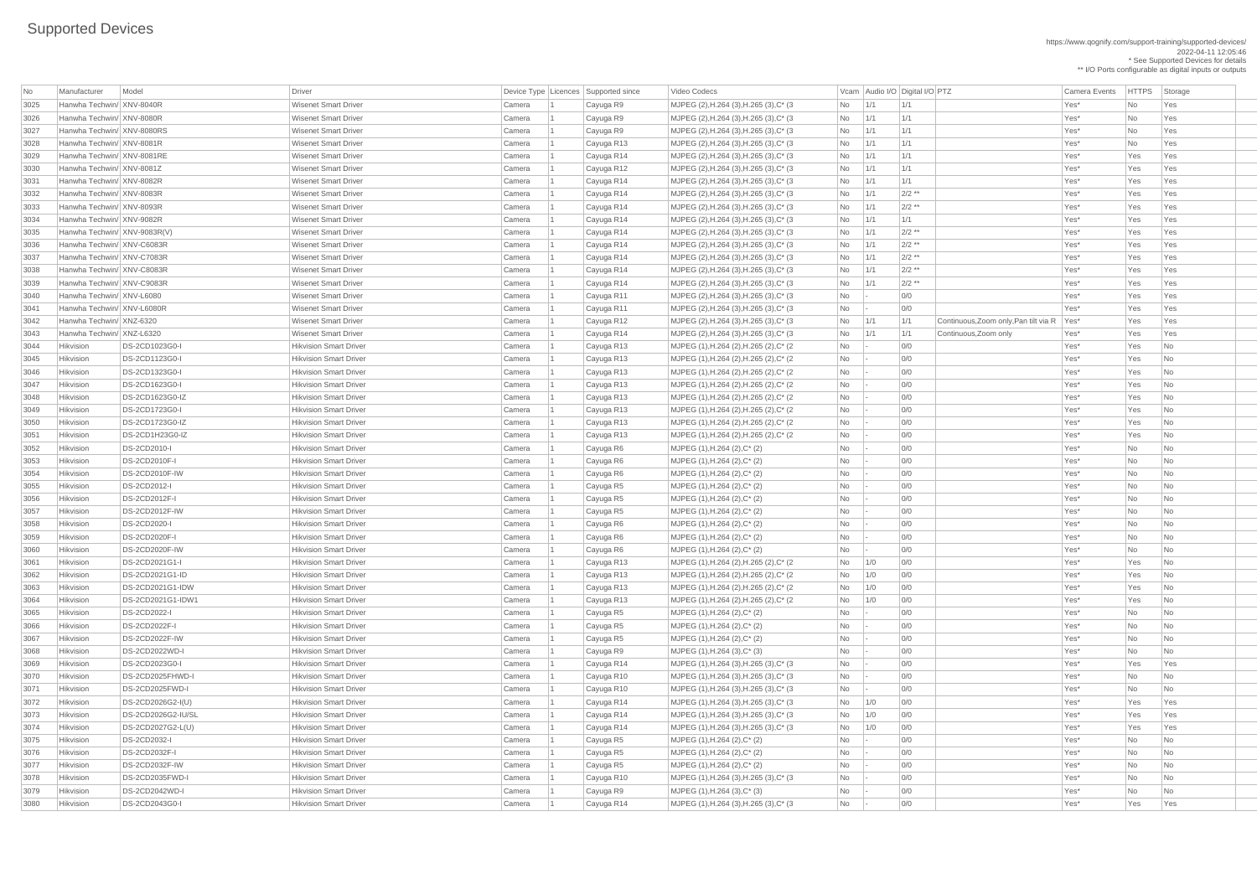\*\* I/O Ports configurable as digital inputs or outputs

| No   | Manufacturer                 | Model                   | <b>Driver</b>                 |        | Device Type   Licences   Supported since | Video Codecs                               |                             |                 | Vcam   Audio I/O   Digital I/O   PTZ         | <b>Camera Events</b> | <b>HTTPS</b> | Storage                     |
|------|------------------------------|-------------------------|-------------------------------|--------|------------------------------------------|--------------------------------------------|-----------------------------|-----------------|----------------------------------------------|----------------------|--------------|-----------------------------|
| 3025 | Hanwha Techwin/ XNV-8040R    |                         | <b>Wisenet Smart Driver</b>   | Camera | Cayuga R9                                | MJPEG (2), H.264 (3), H.265 (3), C* (3)    | <b>No</b>                   | 1/1             | $\vert$ 1/1                                  | Yes*                 | <b>No</b>    | Yes                         |
| 3026 | Hanwha Techwin/ XNV-8080R    |                         | <b>Wisenet Smart Driver</b>   | Camera | Cayuga R9                                | MJPEG (2), H.264 (3), H.265 (3), C* (3)    | No                          | 1/1             | 1/1                                          | Yes*                 | <b>No</b>    | Yes                         |
| 3027 | Hanwha Techwin/ XNV-8080RS   |                         | <b>Wisenet Smart Driver</b>   | Camera | Cayuga R9                                | MJPEG (2), H.264 (3), H.265 (3), C* (3)    | No                          | 1/1             | 1/1                                          | Yes*                 | <b>No</b>    | Yes                         |
| 3028 | Hanwha Techwin/ XNV-8081R    |                         | <b>Wisenet Smart Driver</b>   | Camera | Cayuga R13                               | $MJPEG (2), H.264 (3), H.265 (3), C^* (3)$ | No                          | 1/1             | 1/1                                          | Yes*                 | <b>No</b>    | Yes                         |
| 3029 | Hanwha Techwin/ XNV-8081RE   |                         | <b>Wisenet Smart Driver</b>   | Camera | Cayuga R14                               | $MJPEG (2), H.264 (3), H.265 (3), C^* (3)$ | No                          | 1/1             | 1/1                                          | Yes*                 | Yes          | Yes                         |
| 3030 | Hanwha Techwin/ XNV-8081Z    |                         | <b>Wisenet Smart Driver</b>   | Camera | Cayuga R12                               | MJPEG (2), H.264 (3), H.265 (3), C* (3)    | No                          | 1/1             | 1/1                                          | Yes*                 | Yes          | Yes                         |
| 3031 | Hanwha Techwin/ XNV-8082R    |                         | <b>Wisenet Smart Driver</b>   | Camera | Cayuga R14                               | MJPEG (2), H.264 (3), H.265 (3), C* (3)    | No                          | 1/1             | 1/1                                          | Yes*                 | Yes          | Yes                         |
| 3032 | Hanwha Techwin/ XNV-8083R    |                         | <b>Wisenet Smart Driver</b>   | Camera | Cayuga R14                               | MJPEG (2), H.264 (3), H.265 (3), C* (3)    | No                          | 1/1             | $2/2$ **                                     | Yes*                 | Yes          | Yes                         |
| 3033 | Hanwha Techwin/ XNV-8093R    |                         | <b>Wisenet Smart Driver</b>   | Camera | Cayuga R14                               | MJPEG (2), H.264 (3), H.265 (3), C* (3)    | No                          | 1/1             | $2/2$ **                                     | Yes*                 | Yes          | Yes                         |
| 3034 | Hanwha Techwin/ XNV-9082R    |                         | <b>Wisenet Smart Driver</b>   | Camera | Cayuga R14                               | $MJPEG (2), H.264 (3), H.265 (3), C^* (3)$ | No                          | 1/1             | 1/1                                          | Yes*                 | Yes          | Yes                         |
| 3035 | Hanwha Techwin/ XNV-9083R(V) |                         | <b>Wisenet Smart Driver</b>   | Camera | Cayuga R14                               | $MJPEG (2), H.264 (3), H.265 (3), C^* (3)$ | No                          | 1/1             | $2/2$ **                                     | Yes*                 | Yes          | Yes                         |
| 3036 | Hanwha Techwin/ XNV-C6083R   |                         | <b>Wisenet Smart Driver</b>   | Camera | Cayuga R14                               | MJPEG (2), H.264 (3), H.265 (3), C* (3)    | No                          | 1/1             | $2/2$ **                                     | Yes*                 | Yes          | Yes                         |
| 3037 | Hanwha Techwin/ XNV-C7083R   |                         | <b>Wisenet Smart Driver</b>   | Camera | Cayuga R14                               | MJPEG (2), H.264 (3), H.265 (3), C* (3)    | No                          | 1/1             | $2/2$ **                                     | Yes*                 | Yes          | Yes                         |
| 3038 | Hanwha Techwin/ XNV-C8083R   |                         | <b>Wisenet Smart Driver</b>   | Camera | Cayuga R14                               | MJPEG (2), H.264 (3), H.265 (3), C* (3)    | No                          | 1/1             | $2/2$ **                                     | Yes*                 | Yes          | Yes                         |
| 3039 | Hanwha Techwin/ XNV-C9083R   |                         | <b>Wisenet Smart Driver</b>   | Camera | Cayuga R14                               | MJPEG (2), H.264 (3), H.265 (3), C* (3)    | No                          | 1/1             | $2/2$ **                                     | Yes*                 | Yes          | Yes                         |
| 3040 | Hanwha Techwin/ XNV-L6080    |                         | <b>Wisenet Smart Driver</b>   | Camera | Cayuga R11                               | $MJPEG (2), H.264 (3), H.265 (3), C^* (3)$ | No                          | $\vert - \vert$ | O/O                                          | Yes*                 | Yes          | Yes                         |
| 3041 | Hanwha Techwin/ XNV-L6080R   |                         | <b>Wisenet Smart Driver</b>   | Camera | Cayuga R11                               | MJPEG (2), H.264 (3), H.265 (3), C* (3)    | No                          |                 | 0/0                                          | Yes*                 | Yes          | Yes                         |
| 3042 | Hanwha Techwin/ XNZ-6320     |                         | <b>Wisenet Smart Driver</b>   | Camera | Cayuga R12                               | MJPEG (2), H.264 (3), H.265 (3), C* (3)    | No                          | 1/1             | 1/1<br>Continuous, Zoom only, Pan tilt via R | Yes*                 | Yes          | Yes                         |
| 3043 | Hanwha Techwin/ XNZ-L6320    |                         | <b>Wisenet Smart Driver</b>   | Camera | Cayuga R14                               | MJPEG (2), H.264 (3), H.265 (3), C* (3)    | No                          | 1/1             | 1/1<br>Continuous, Zoom only                 | Yes*                 | Yes          | Yes                         |
| 3044 | Hikvision                    | DS-2CD1023G0-I          | <b>Hikvision Smart Driver</b> | Camera | Cayuga R13                               | MJPEG (1), H.264 (2), H.265 (2), C* (2)    | No                          |                 | 0/0                                          | Yes*                 | Yes          | No                          |
|      | Hikvision                    | DS-2CD1123G0-I          | <b>Hikvision Smart Driver</b> |        |                                          |                                            |                             |                 |                                              |                      | Yes          |                             |
| 3045 |                              |                         |                               | Camera | Cayuga R13                               | MJPEG (1), H.264 (2), H.265 (2), C* (2)    | No                          | $\vert - \vert$ | 0/0                                          | Yes*                 |              | No                          |
| 3046 | Hikvision                    | DS-2CD1323G0-I          | <b>Hikvision Smart Driver</b> | Camera | Cayuga R13                               | MJPEG (1), H.264 (2), H.265 (2), C* (2)    | No                          | $\sim$          | 0/0                                          | Yes*                 | Yes          | No                          |
| 3047 | Hikvision                    | DS-2CD1623G0-I          | <b>Hikvision Smart Driver</b> | Camera | Cayuga R13                               | MJPEG (1), H.264 (2), H.265 (2), C* (2)    | No                          |                 | 0/0                                          | Yes*                 | Yes          | No                          |
| 3048 | Hikvision                    | DS-2CD1623G0-IZ         | <b>Hikvision Smart Driver</b> | Camera | Cayuga R13                               | MJPEG (1), H.264 (2), H.265 (2), C* (2)    | No                          |                 | 0/0                                          | Yes*                 | Yes          | No                          |
| 3049 | Hikvision                    | DS-2CD1723G0-I          | <b>Hikvision Smart Driver</b> | Camera | Cayuga R13                               | MJPEG (1), H.264 (2), H.265 (2), C* (2)    | No                          |                 | 0/0                                          | Yes*                 | Yes          | No                          |
| 3050 | Hikvision                    | DS-2CD1723G0-IZ         | <b>Hikvision Smart Driver</b> | Camera | Cayuga R13                               | MJPEG (1), H.264 (2), H.265 (2), C* (2)    | No.                         |                 | 0/0                                          | Yes*                 | Yes          | N <sub>o</sub>              |
| 3051 | Hikvision                    | DS-2CD1H23G0-IZ         | <b>Hikvision Smart Driver</b> | Camera | Cayuga R13                               | MJPEG (1), H.264 (2), H.265 (2), C* (2)    | No                          | $\vert$ =       | 0/0                                          | Yes*                 | Yes          | N <sub>o</sub>              |
| 3052 | Hikvision                    | <b>DS-2CD2010-I</b>     | <b>Hikvision Smart Driver</b> | Camera | Cayuga R6                                | MJPEG (1), H.264 (2), C* (2)               | No                          | $\sim$          | 0/0                                          | Yes*                 | <b>No</b>    | No                          |
| 3053 | Hikvision                    | <b>DS-2CD2010F-I</b>    | <b>Hikvision Smart Driver</b> | Camera | Cayuga R6                                | $MJPEG (1), H.264 (2), C^*(2)$             | No                          |                 | 0/0                                          | Yes*                 | <b>No</b>    | No                          |
| 3054 | Hikvision                    | <b>DS-2CD2010F-IW</b>   | <b>Hikvision Smart Driver</b> | Camera | Cayuga R6                                | $MJPEG (1), H.264 (2), C^*(2)$             | No                          |                 | 0/0                                          | Yes*                 | <b>No</b>    | No                          |
| 3055 | Hikvision                    | <b>DS-2CD2012-I</b>     | <b>Hikvision Smart Driver</b> | Camera | Cayuga R5                                | MJPEG (1), H.264 (2), C* (2)               | No                          |                 | O/O                                          | Yes*                 | <b>No</b>    | No                          |
| 3056 | Hikvision                    | <b>DS-2CD2012F-I</b>    | <b>Hikvision Smart Driver</b> | Camera | Cayuga R5                                | MJPEG (1), H.264 (2), C* (2)               | No                          |                 | 0/0                                          | Yes*                 | No           | $\overline{\mathsf{No}}$    |
| 3057 | Hikvision                    | DS-2CD2012F-IW          | <b>Hikvision Smart Driver</b> | Camera | Cayuga R5                                | MJPEG (1), H.264 (2), C* (2)               | No                          |                 | 0/0                                          | Yes*                 | No           | No                          |
| 3058 | Hikvision                    | <b>DS-2CD2020-I</b>     | <b>Hikvision Smart Driver</b> | Camera | Cayuga R6                                | $MJPEG (1), H.264 (2), C^* (2)$            | No                          |                 | 0/0                                          | Yes*                 | <b>No</b>    | $\overline{\mathsf{No}}$    |
| 3059 | Hikvision                    | <b>DS-2CD2020F-I</b>    | <b>Hikvision Smart Driver</b> | Camera | Cayuga R6                                | MJPEG (1), H.264 (2), C* (2)               | No                          |                 | 0/0                                          | Yes*                 | <b>No</b>    | No                          |
| 3060 | Hikvision                    | <b>DS-2CD2020F-IW</b>   | <b>Hikvision Smart Driver</b> | Camera | Cayuga R6                                | $MJPEG (1), H.264 (2), C^*(2)$             | <b>No</b>                   |                 | 0/0                                          | Yes*                 | <b>No</b>    | $\overline{\mathsf{No}}$    |
| 3061 | Hikvision                    | DS-2CD2021G1-I          | <b>Hikvision Smart Driver</b> | Camera | Cayuga R13                               | MJPEG (1), H.264 (2), H.265 (2), C* (2)    | No                          | 1/0             | 0/0                                          | Yes*                 | Yes          | No                          |
| 3062 | Hikvision                    | DS-2CD2021G1-ID         | <b>Hikvision Smart Driver</b> | Camera | Cayuga R13                               | MJPEG (1), H.264 (2), H.265 (2), C* (2)    | No                          | 1/0             | O/O                                          | Yes*                 | Yes          | No                          |
| 3063 | Hikvision                    | <b>DS-2CD2021G1-IDW</b> | <b>Hikvision Smart Driver</b> | Camera | Cayuga R13                               | MJPEG (1), H.264 (2), H.265 (2), C* (2)    | No                          | 1/0             | 0/0                                          | Yes*                 | Yes          | No                          |
| 3064 | Hikvision                    | DS-2CD2021G1-IDW1       | <b>Hikvision Smart Driver</b> | Camera | Cayuga R13                               | MJPEG (1), H.264 (2), H.265 (2), C* (2)    | No                          | 1/0             | O/O                                          | Yes*                 | Yes          | No                          |
| 3065 | Hikvision                    | <b>DS-2CD2022-I</b>     | <b>Hikvision Smart Driver</b> | Camera | Cayuga R5                                | MJPEG (1), H.264 (2), C* (2)               | No                          |                 | O/O                                          | Yes*                 | <b>No</b>    | No                          |
| 3066 | Hikvision                    | DS-2CD2022F-I           | <b>Hikvision Smart Driver</b> | Camera | Cayuga R5                                | MJPEG (1), H.264 (2), C* (2)               | <b>No</b>                   |                 | 0/0                                          | Yes*                 | <b>No</b>    | No                          |
| 3067 | Hikvision                    | DS-2CD2022F-IW          | <b>Hikvision Smart Driver</b> | Camera | Cayuga R5                                | MJPEG (1), H.264 (2), C* (2)               | No                          |                 | 0/0                                          | Yes*                 | <b>No</b>    | No                          |
| 3068 | Hikvision                    | DS-2CD2022WD-I          | <b>Hikvision Smart Driver</b> | Camera | Cayuga R9                                | MJPEG (1), H.264 (3), C* (3)               | No                          |                 | 0/0                                          | Yes*                 | <b>No</b>    | No                          |
| 3069 | Hikvision                    | DS-2CD2023G0-I          | <b>Hikvision Smart Driver</b> | Camera | Cayuga R14                               | MJPEG (1),H.264 (3),H.265 (3),C* (3)       | No                          | $\sim$          | 0/0                                          | Yes*                 | Yes          | Yes                         |
| 3070 | Hikvision                    | DS-2CD2025FHWD-I        | <b>Hikvision Smart Driver</b> | Camera | Cayuga R10                               | MJPEG (1), H.264 (3), H.265 (3), C* (3)    | No                          | $\sim$          | 0/0                                          | Yes*                 | No           | l No                        |
| 3071 | Hikvision                    | DS-2CD2025FWD-I         | <b>Hikvision Smart Driver</b> | Camera | Cayuga R10                               | MJPEG (1), H.264 (3), H.265 (3), C* (3)    | No                          | $\sim$          | 0/0                                          | Yes*                 | <b>No</b>    | No                          |
| 3072 | Hikvision                    | DS-2CD2026G2-I(U)       | <b>Hikvision Smart Driver</b> | Camera | Cayuga R14                               | MJPEG (1), H.264 (3), H.265 (3), C* (3)    | No                          | 1/0             | 0/0                                          | Yes*                 | Yes          | Yes                         |
| 3073 | Hikvision                    | DS-2CD2026G2-IU/SL      | <b>Hikvision Smart Driver</b> | Camera | Cayuga R14                               | MJPEG (1), H.264 (3), H.265 (3), C* (3)    | No                          | 1/0             | 0/0                                          | Yes*                 | Yes          | Yes                         |
| 3074 | Hikvision                    | DS-2CD2027G2-L(U)       | <b>Hikvision Smart Driver</b> | Camera | Cayuga R14                               | MJPEG (1),H.264 (3),H.265 (3),C* (3)       | No                          | 1/0             | 0/0                                          | Yes*                 | Yes          | Yes                         |
| 3075 | Hikvision                    | <b>DS-2CD2032-I</b>     | <b>Hikvision Smart Driver</b> | Camera | Cayuga R5                                | MJPEG (1), H.264 (2), C* (2)               | No                          |                 | 0/0                                          | Yes*                 | <b>No</b>    | N <sub>o</sub>              |
| 3076 | Hikvision                    | DS-2CD2032F-I           | <b>Hikvision Smart Driver</b> | Camera | Cayuga R5                                | MJPEG (1), H.264 (2), C* (2)               | No                          |                 | 0/0                                          | Yes*                 | No           | No.                         |
| 3077 | Hikvision                    | DS-2CD2032F-IW          | <b>Hikvision Smart Driver</b> | Camera | Cayuga R5                                | $MJPEG (1), H.264 (2), C^* (2)$            | No                          |                 | 0/0                                          | Yes*                 | <b>No</b>    | $\overline{\phantom{a}}$ No |
| 3078 | Hikvision                    | DS-2CD2035FWD-I         | <b>Hikvision Smart Driver</b> | Camera | Cayuga R10                               | MJPEG (1), H.264 (3), H.265 (3), C* (3)    | No                          |                 | 0/0                                          | Yes*                 | No           | No                          |
| 3079 | Hikvision                    | <b>DS-2CD2042WD-I</b>   | <b>Hikvision Smart Driver</b> | Camera | Cayuga R9                                | $MJPEG (1), H.264 (3), C^*(3)$             | No                          |                 | 0/0                                          | Yes*                 | No           | No                          |
| 3080 | Hikvision                    | DS-2CD2043G0-I          | <b>Hikvision Smart Driver</b> | Camera | Cayuga R14                               | MJPEG (1), H.264 (3), H.265 (3), C* (3)    | $\overline{\phantom{1}}$ No |                 | 0/0                                          | Yes*                 | Yes          | Yes                         |
|      |                              |                         |                               |        |                                          |                                            |                             |                 |                                              |                      |              |                             |

MJPEG (2),H.264 (3),H.265 (3),C\* (3 No 1/1 1/1 | 1/1 No 1/1 | No 1/5 No 1/es<sup>\*</sup> No 1/1 No 1/1 No 1/2 No 1/1 No 1/1 | MJPEG (2),H.264 (3),H.265 (3),C\* (3  $\vert$  No  $\vert$  1/1  $\vert$  1/1  $\vert$  1/1  $\vert$  1/1  $\vert$  Yes\*  $\vert$  No  $\vert$  Yes 3027 Hanwha Techwin/ XNV-8080RS Wisenet Smart Driver Camera 1 Cayuga R9 MJPEG (2),H.264 (3),H.265 (3),C\* (3 No 1/1 1/1 Yes\* No Yes | MJPEG (2),H.264 (3),H.265 (3),C\* (3  $\vert$  No  $\vert$  1/1  $\vert$  1/1  $\vert$  1/1  $\vert$  1/1  $\vert$   $\vert$  Yes\*  $\vert$  No  $\vert$  Yes | MJPEG (2),H.264 (3),H.265 (3),C\* (3  $\vert$  No  $\vert$  1/1  $\vert$  1/1  $\vert$  1/1  $\vert$  1/1  $\vert$  Yes\*  $\vert$  Yes Yes Yes | MJPEG (2),H.264 (3),H.265 (3),C\* (3  $\qquad$  No 1/1 1/1 1/1  $\qquad$  1/1  $\qquad$  Yes\* Yes Yes Yes | MJPEG (2),H.264 (3),H.265 (3),C\* (3  $\qquad$  No  $\qquad$  1/1  $\qquad$  2/2 \*\*  $\qquad$  Yes Yes Yes Yes Yes | MJPEG (2),H.264 (3),H.265 (3),C\* (3  $\qquad$  No  $\qquad$  1/1  $\qquad$  2/2 \*\* Yes Yes Yes Yes Yes Yes | MJPEG (2),H.264 (3),H.265 (3),C\* (3  $\vert$  No  $\vert$  1/1  $\vert$  1/1  $\vert$  1/1  $\vert$  1/1  $\vert$  Yes\*  $\vert$  Yes Yes Yes | MJPEG (2),H.264 (3),H.265 (3),C\* (3  $\qquad$  No  $\qquad$  1/1  $\qquad$  2/2 \*\*  $\qquad$  Yes Yes Yes Yes Yes Yes | MJPEG (2),H.264 (3),H.265 (3),C\* (3  $\qquad$  No  $\qquad$  1/1  $\qquad$  2/2 \*\* Yes Yes Yes Yes Yes Yes | MJPEG (2),H.264 (3),H.265 (3),C\* (3  $\qquad$  No  $\qquad$  1/1  $\qquad$  2/2 \*\*  $\qquad$  Yes Yes Yes Yes Yes | MJPEG (2),H.264 (3),H.265 (3),C\* (3  $\qquad$  No  $\qquad$  1/1  $\qquad$  2/2 \*\* Yes Yes Yes Yes Yes Yes | MJPEG (2),H.264 (3),H.265 (3),C\* (3  $\qquad$  No  $\qquad$  1/1  $\qquad$  2/2 \*\*  $\qquad$  Yes Yes Yes Yes Yes 3040 Hanwha Techwin/ XNV-L6080 Wisenet Smart Driver Camera 1 Cayuga R11 MJPEG (2),H.264 (3),H.265 (3),C\* (3 No - 0/0 Yes\* Yes Yes 3041 Hanwha Techwin/ XNV-L6080R Wisenet Smart Driver Camera 1 Cayuga R11 MJPEG (2),H.264 (3),H.265 (3),C\* (3 No - 0/0 Yes\* Yes Yes MJPEG (2),H.264 (3),H.265 (3),C\* (3  $\vert$  No  $\vert$  1/1  $\vert$  1/1  $\vert$  Continuous,Zoom only,Pan tilt via R  $\vert$  Yes  $\vert$  Yes  $\vert$  Yes Yes | MJPEG (1),H.264 (2),H.265 (2),C\* (2  $\qquad \qquad$  No  $\qquad$  - 0/0  $\qquad \qquad$  Yes\* Yes No | MJPEG (1),H.264 (2),H.265 (2),C\* (2  $\qquad \qquad$  No  $\qquad$  - 0/0  $\qquad \qquad$  0/0 Yes\* Yes No | MJPEG (1),H.264 (2),H.265 (2),C\* (2  $\qquad \qquad$  No  $\qquad$  -  $\qquad$  0/0  $\qquad$  |  $\qquad$  Yes\* Yes No  $\qquad$ | MJPEG (1),H.264 (2),H.265 (2),C\* (2  $\qquad \qquad$  No  $\qquad$  -  $\qquad$  0/0  $\qquad$  |  $\qquad$  Yes\* Yes No  $\qquad$ | MJPEG (1),H.264 (2),H.265 (2),C\* (2  $\qquad \qquad$  No  $\qquad$  - 0/0  $\qquad \qquad$  Yes\* Yes No | MJPEG (1),H.264 (2),H.265 (2),C\* (2  $\qquad \qquad$  No  $\qquad$  - 0/0  $\qquad \qquad$  Yes\* Yes No | MJPEG (1),H.264 (2),H.265 (2),C\* (2  $\qquad \qquad$  No  $\qquad$  -  $\qquad \qquad$  0/0  $\qquad$  yes\* Yes No  $\qquad$ NJPEG (1),H.264 (2),H.265 (2),C\* (2 No - 0/0 No - 2 No - 2 Alexander Camera 2 No - 0/0 Yes\* Yes No NJPEG (1),H.264 (2),H.265 (2),C\* (2 No 1/0 0/0 No 200 Yes\* Yes No | MJPEG (1),H.264 (2),H.265 (2),C\* (2  $\qquad \qquad$  No  $\qquad$  1/0 0/0  $\qquad$  0/0 Yes\* Yes No | MJPEG (1),H.264 (2),H.265 (2),C\* (2  $\qquad \qquad$  No  $\qquad$  1/0 0/0  $\qquad$  0/0 Yes\* Yes No | MJPEG (1),H.264 (2),H.265 (2),C\* (2  $\qquad \qquad$  No  $\qquad$  1/0 0/0  $\qquad$  0/0  $\qquad$  Yes\* Yes No | MJPEG (1),H.264 (3),H.265 (3),C\* (3  $\qquad$  No  $\qquad$  - 0/0  $\qquad$  00 Yes\* Yes Yes Yes 3070 Hikvision DS-2CD2025FHWD-I Hikvision Smart Driver Camera 1 Cayuga R10 MJPEG (1),H.264 (3),H.265 (3),C\* (3 No - 0/0 Yes\* No No 3071 Hikvision DS-2CD2025FWD-I Hikvision Smart Driver Camera 1 Cayuga R10 MJPEG (1),H.264 (3),H.265 (3),C\* (3 No - 0/0 Yes\* No No | MJPEG (1),H.264 (3),H.265 (3),C\* (3  $\qquad$  No 1/0 0/0  $\qquad$  0/0  $\qquad$  Yes\* Yes Yes Yes | MJPEG (1),H.264 (3),H.265 (3),C\* (3  $\qquad$  No  $\qquad$  1/0 0/0  $\qquad$  0/0  $\qquad$  Yes\* Yes Yes Yes | MJPEG (1),H.264 (3),H.265 (3),C\* (3  $\qquad$  No 1/0 0/0  $\qquad$  0/0  $\qquad$  Yes\* Yes Yes Yes 3078 Hikvision DS-2CD2035FWD-I Hikvision Smart Driver Camera 1 Cayuga R10 MJPEG (1),H.264 (3),H.265 (3),C\* (3 No - 0/0 Yes\* No No | MJPEG (1),H.264 (3),H.265 (3),C\* (3  $\qquad$  No  $\qquad$  - 0/0  $\qquad$  00 Yes\* Yes Yes Yes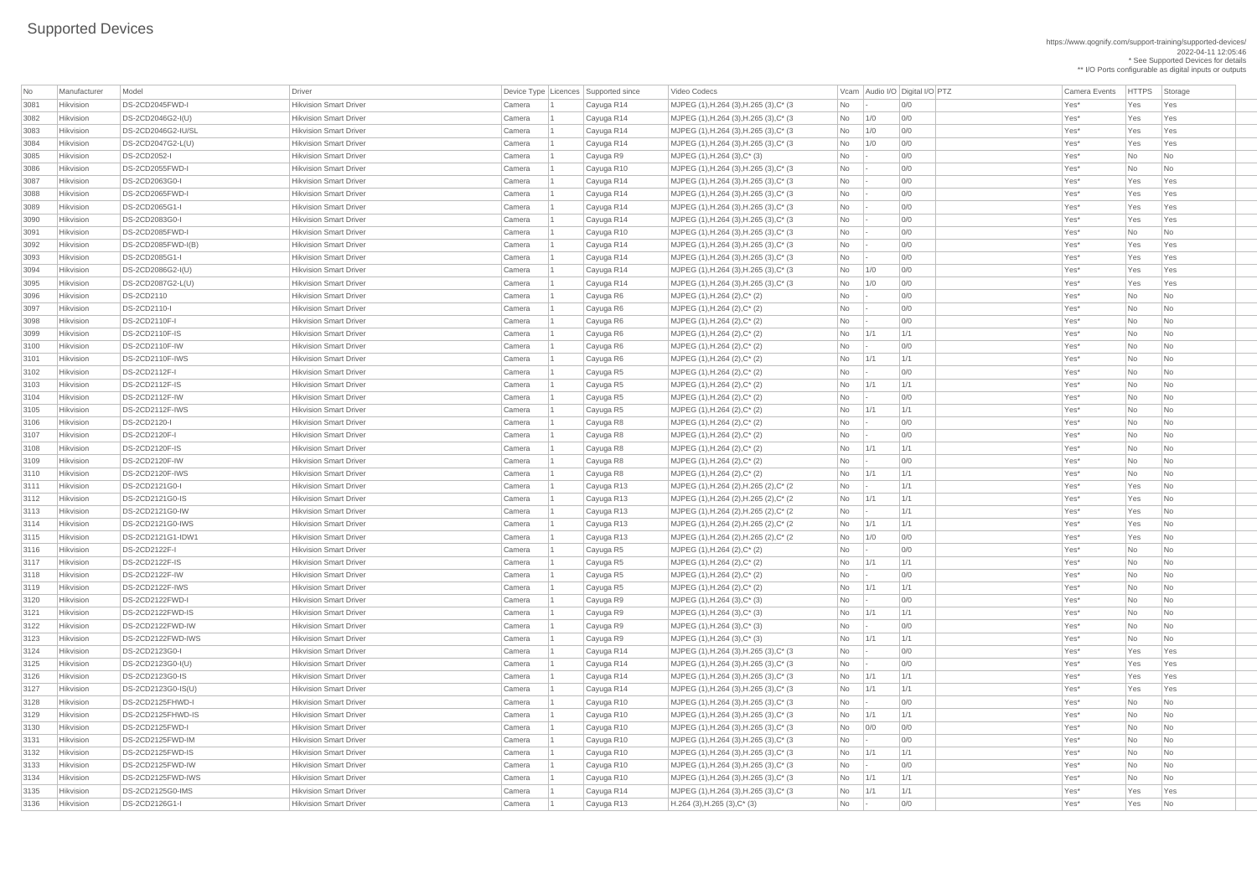https://www.qognify.com/support-training/supported-devices/ 2022-04-11 12:05:46 \* See Supported Devices for details

\*\* I/O Ports configurable as digital inputs or outputs

| No           | Manufacturer                  | Model                                | <b>Driver</b>                                                  |                  | Device Type   Licences   Supported since | Video Codecs                                                                       |           |            | Vcam Audio I/O Digital I/O PTZ | <b>Camera Events</b> | HTTPS St |                             |
|--------------|-------------------------------|--------------------------------------|----------------------------------------------------------------|------------------|------------------------------------------|------------------------------------------------------------------------------------|-----------|------------|--------------------------------|----------------------|----------|-----------------------------|
| 3081         | Hikvision                     | DS-2CD2045FWD-I                      | <b>Hikvision Smart Driver</b>                                  | Camera           | Cayuga R14                               | MJPEG (1), H.264 (3), H.265 (3), C* (3)                                            | No        |            | 0/0                            | Yes*                 | Yes      | Ye                          |
| 3082         | Hikvision                     | DS-2CD2046G2-I(U)                    | <b>Hikvision Smart Driver</b>                                  | Camera           | Cayuga R14                               | MJPEG (1), H.264 (3), H.265 (3), C* (3)                                            | No        | 1/0        | 0/0                            | Yes*                 | Yes      | $\mathsf{Ye}$               |
| 3083         | Hikvision                     | DS-2CD2046G2-IU/SL                   | <b>Hikvision Smart Driver</b>                                  | Camera           | Cayuga R14                               | MJPEG (1), H.264 (3), H.265 (3), C* (3)                                            | No        | 1/0        | 0/0                            | Yes*                 | Yes      | $\mathsf{Ye}$               |
| 3084         | Hikvision                     | DS-2CD2047G2-L(U)                    | <b>Hikvision Smart Driver</b>                                  | Camera           | Cayuga R14                               | MJPEG (1), H.264 (3), H.265 (3), C* (3)                                            | No        | 1/0        | 0/0                            | Yes*                 | Yes      | Ye                          |
| 3085         | Hikvision                     | <b>DS-2CD2052-I</b>                  | <b>Hikvision Smart Driver</b>                                  | Camera           | Cayuga R9                                | MJPEG (1), H.264 (3), C* (3)                                                       | No        |            | 0/0                            | Yes*                 | No       | $\overline{\phantom{a}}$ Nc |
| 3086         | Hikvision                     | DS-2CD2055FWD-I                      | <b>Hikvision Smart Driver</b>                                  | Camera           | Cayuga R10                               | MJPEG (1), H.264 (3), H.265 (3), C* (3)                                            | No        |            | 0/0                            | Yes*                 | No       | $\overline{\phantom{a}}$ Nc |
| 3087         | Hikvision                     | DS-2CD2063G0-I                       | <b>Hikvision Smart Driver</b>                                  | Camera           | Cayuga R14                               | MJPEG (1), H.264 (3), H.265 (3), C* (3)                                            | No        |            | 0/0                            | Yes*                 | Yes      | Ye                          |
| 3088         | Hikvision                     | DS-2CD2065FWD-I                      | <b>Hikvision Smart Driver</b>                                  | Camera           | Cayuga R14                               | MJPEG (1), H.264 (3), H.265 (3), C* (3)                                            | No        |            | 0/0                            | Yes*                 | Yes      | $\mathsf{Ye}$               |
| 3089         | Hikvision                     | DS-2CD2065G1-I                       | <b>Hikvision Smart Driver</b>                                  | Camera           | Cayuga R14                               | MJPEG (1), H.264 (3), H.265 (3), C* (3)                                            | No        |            | 0/0                            | Yes*                 | Yes      | Ye                          |
| 3090         | Hikvision                     | DS-2CD2083G0-I                       | <b>Hikvision Smart Driver</b>                                  | Camera           | Cayuga R14                               | MJPEG (1), H.264 (3), H.265 (3), C* (3)                                            | No        |            | 0/0                            | Yes*                 | Yes      | $\mathsf{Ye}$               |
| 3091         | Hikvision                     | DS-2CD2085FWD-I                      | <b>Hikvision Smart Driver</b>                                  | Camera           | Cayuga R10                               | MJPEG (1), H.264 (3), H.265 (3), C* (3)                                            | No        |            | 0/0                            | Yes*                 | No       | $\overline{\mathsf{N}}$ c   |
| 3092         | Hikvision                     | $DS-2CD2085FWD-I(B)$                 | <b>Hikvision Smart Driver</b>                                  | Camera           | Cayuga R14                               | MJPEG (1), H.264 (3), H.265 (3), C* (3)                                            | No        |            | 0/0                            | Yes*                 | Yes      | Ye                          |
| 3093         | Hikvision                     | DS-2CD2085G1-I                       | <b>Hikvision Smart Driver</b>                                  | Camera           | Cayuga R14                               | MJPEG (1), H.264 (3), H.265 (3), C* (3)                                            | No        |            | 0/0                            | Yes*                 | Yes      | Ye                          |
| 3094         | Hikvision                     | DS-2CD2086G2-I(U)                    | <b>Hikvision Smart Driver</b>                                  | Camera           | Cayuga R14                               | MJPEG (1), H.264 (3), H.265 (3), C* (3)                                            | No        | 1/0        | 0/0                            | Yes*                 | Yes      | $\mathsf{Ye}$               |
| 3095         | Hikvision                     | DS-2CD2087G2-L(U)                    | <b>Hikvision Smart Driver</b>                                  | Camera           | Cayuga R14                               | MJPEG (1), H.264 (3), H.265 (3), C* (3)                                            | No        | 1/0        | 0/0                            | Yes*                 | Yes      | $ $ Ye                      |
| 3096         | Hikvision                     | DS-2CD2110                           | <b>Hikvision Smart Driver</b>                                  | Camera           | Cayuga R6                                | MJPEG (1), H.264 (2), C* (2)                                                       | No        |            | 0/0                            | Yes*                 | No       | $\overline{\phantom{a}}$ Nc |
| 3097         | Hikvision                     | DS-2CD2110-I                         | <b>Hikvision Smart Driver</b>                                  | Camera           | Cayuga R6                                | MJPEG (1), H.264 (2), C* (2)                                                       | No        |            | 0/0                            | Yes*                 | No       | $\overline{\phantom{a}}$ Nc |
| 3098         | Hikvision                     | DS-2CD2110F-I                        | <b>Hikvision Smart Driver</b>                                  | Camera           | Cayuga R6                                | MJPEG (1), H.264 (2), C* (2)                                                       | No        |            | 0/0                            | Yes*                 | No       | $\overline{\phantom{a}}$ Nc |
| 3099         | Hikvision                     | DS-2CD2110F-IS                       | <b>Hikvision Smart Driver</b>                                  | Camera           | Cayuga R6                                | MJPEG (1), H.264 (2), C* (2)                                                       | No        | 1/1        | 1/1                            | Yes*                 | No       | $\overline{\phantom{a}}$ Nc |
| 3100         | Hikvision                     | DS-2CD2110F-IW                       | <b>Hikvision Smart Driver</b>                                  | Camera           | Cayuga R6                                | MJPEG (1), H.264 (2), C* (2)                                                       | No        |            | 0/0                            | Yes*                 | No       | $\overline{\phantom{a}}$ Nc |
| 3101         | Hikvision                     | <b>DS-2CD2110F-IWS</b>               | <b>Hikvision Smart Driver</b>                                  | Camera           | Cayuga R6                                | MJPEG (1), H.264 (2), C* (2)                                                       | No        | 1/1        | 1/1                            | Yes*                 | No       | <b>Nc</b>                   |
| 3102         | Hikvision                     | DS-2CD2112F-I                        | <b>Hikvision Smart Driver</b>                                  | Camera           | Cayuga R5                                | MJPEG (1), H.264 (2), C* (2)                                                       | No        |            | 0/0                            | Yes*                 | No       | $\overline{\phantom{a}}$ Nc |
| 3103         | Hikvision                     | DS-2CD2112F-IS                       | <b>Hikvision Smart Driver</b>                                  | Camera           | Cayuga R5                                | MJPEG (1), H.264 (2), C* (2)                                                       | No        | 1/1        | 1/1                            | Yes*                 | No       | $\overline{\phantom{a}}$ Nc |
| 3104         | Hikvision                     | DS-2CD2112F-IW                       | <b>Hikvision Smart Driver</b>                                  | Camera           | Cayuga R5                                | MJPEG (1), H.264 (2), C* (2)                                                       | No        |            | 0/0                            | Yes*                 | No       | $\overline{\phantom{a}}$ Nc |
| 3105         | Hikvision                     | DS-2CD2112F-IWS                      | <b>Hikvision Smart Driver</b>                                  | Camera           | Cayuga R5                                | MJPEG (1), H.264 (2), C* (2)                                                       | <b>No</b> | 1/1        | 1/1                            | Yes*                 | No       | $\overline{\phantom{a}}$ Nc |
| 3106         | Hikvision                     | <b>DS-2CD2120-I</b>                  | <b>Hikvision Smart Driver</b>                                  | Camera           | Cayuga R8                                | MJPEG (1), H.264 (2), C* (2)                                                       | No        |            | 0/0                            | Yes*                 | No.      | $\vert$ Nc                  |
| 3107         | Hikvision                     | DS-2CD2120F-I                        | <b>Hikvision Smart Driver</b>                                  | Camera           | Cayuga R8                                | MJPEG (1), H.264 (2), C* (2)                                                       | No        |            | 0/0                            | Yes*                 | No       | $\overline{\phantom{a}}$ Nc |
| 3108         | Hikvision                     | <b>DS-2CD2120F-IS</b>                | <b>Hikvision Smart Driver</b>                                  | Camera           | Cayuga R8                                | MJPEG $(1)$ , H.264 $(2)$ , C* $(2)$                                               | No        | 1/1        | 1/1                            | Yes*                 | No       | Nc                          |
| 3109         | Hikvision                     | DS-2CD2120F-IW                       | <b>Hikvision Smart Driver</b>                                  | Camera           | Cayuga R8                                | MJPEG (1), H.264 (2), C* (2)                                                       | No        |            | 0/0                            | Yes*                 | No       | Nc                          |
| 3110         | Hikvision                     | DS-2CD2120F-IWS                      | <b>Hikvision Smart Driver</b>                                  | Camera           | Cayuga R8                                | MJPEG (1), H.264 (2), C* (2)                                                       | No        | 1/1        | 1/1                            | Yes*                 | No       | $\overline{\phantom{a}}$ Nc |
| 3111         | Hikvision                     | DS-2CD2121G0-I                       | <b>Hikvision Smart Driver</b>                                  | Camera           | Cayuga R13                               | MJPEG (1), H.264 (2), H.265 (2), C* (2)                                            | No        |            | 1/1                            | Yes*                 | Yes      | $\overline{\phantom{a}}$ Nc |
| 3112         | Hikvision                     | DS-2CD2121G0-IS                      | <b>Hikvision Smart Driver</b>                                  | Camera           | Cayuga R13                               | MJPEG (1), H.264 (2), H.265 (2), C* (2)                                            | No        | 1/1        | 1/1                            | Yes*                 | Yes      | $\overline{\phantom{a}}$ Nc |
| 3113         | Hikvision                     | DS-2CD2121G0-IW                      | <b>Hikvision Smart Driver</b>                                  | Camera           | Cayuga R13                               | MJPEG (1), H.264 (2), H.265 (2), C* (2)                                            | No        |            | 1/1                            | Yes*                 | Yes      | $\overline{\phantom{a}}$ Nc |
| 3114         | Hikvision                     | DS-2CD2121G0-IWS                     | <b>Hikvision Smart Driver</b>                                  | Camera           | Cayuga R13                               | MJPEG (1), H.264 (2), H.265 (2), C* (2)                                            | No        | 1/1        | 1/1                            | Yes*                 | Yes      | $\overline{\phantom{a}}$ Nc |
| 3115         | Hikvision                     | DS-2CD2121G1-IDW1                    | <b>Hikvision Smart Driver</b>                                  | Camera           | Cayuga R13                               | MJPEG (1), H.264 (2), H.265 (2), C* (2)                                            | No        | 1/0        | 0/0                            | Yes*                 | Yes      | Nc                          |
| 3116         | Hikvision                     | DS-2CD2122F-I                        | <b>Hikvision Smart Driver</b>                                  | Camera           | Cayuga R5                                | MJPEG (1), H.264 (2), C* (2)                                                       | No        |            | 0/0                            | Yes*                 | No       | $\overline{\phantom{a}}$ Nc |
| 3117         | Hikvision                     | DS-2CD2122F-IS                       | <b>Hikvision Smart Driver</b>                                  | Camera           | Cayuga R5                                | MJPEG (1), H.264 (2), C* (2)                                                       | No        | 1/1        | 1/1                            | Yes*                 | No       | $\overline{\phantom{a}}$ Nc |
| 3118         | Hikvision                     | DS-2CD2122F-IW                       | <b>Hikvision Smart Driver</b>                                  | Camera           | Cayuga R5                                | $MJPEG (1), H.264 (2), C^*(2)$                                                     | No        |            | 0/0                            | Yes*                 | No       | Nc                          |
| 3119         | Hikvision                     | <b>DS-2CD2122F-IWS</b>               | <b>Hikvision Smart Driver</b>                                  | Camera           | Cayuga R5                                | MJPEG $(1)$ , H.264 $(2)$ , C* $(2)$                                               | No        | 1/1        | 1/1                            | Yes*                 | No       | $\overline{\phantom{a}}$ Nc |
| 3120         | Hikvision                     | DS-2CD2122FWD-I                      | <b>Hikvision Smart Driver</b>                                  | Camera           | Cayuga R9                                | $MJPEG (1), H.264 (3), C^* (3)$                                                    | No        |            | 0/0                            | Yes*                 | No       | $\overline{\phantom{a}}$ Nc |
| 3121         | Hikvision                     | DS-2CD2122FWD-IS                     | <b>Hikvision Smart Driver</b>                                  | Camera           | Cayuga R9                                | $MJPEG (1), H.264 (3), C^* (3)$                                                    | No        | 1/1        | 1/1                            | Yes*                 | No       | Nc                          |
| 3122         | Hikvision                     | DS-2CD2122FWD-IW                     | <b>Hikvision Smart Driver</b>                                  | Camera           | Cayuga R9                                | $MJPEG (1), H.264 (3), C^* (3)$                                                    | No        |            | 0/0                            | Yes*                 | No       | $\overline{\phantom{a}}$ Nc |
| 3123         | Hikvision                     | DS-2CD2122FWD-IWS                    | <b>Hikvision Smart Driver</b>                                  | Camera           | Cayuga R9                                | $MJPEG (1), H.264 (3), C^* (3)$                                                    | No        | 1/1        | 1/1                            | Yes*                 | No       | $\overline{\phantom{a}}$ Nc |
| 3124         | Hikvision                     | DS-2CD2123G0-I                       | <b>Hikvision Smart Driver</b>                                  | Camera           | Cayuga R14                               | MJPEG (1), H.264 (3), H.265 (3), C* (3)                                            | No        |            | 0/0                            | Yes*                 | Yes      | Ye                          |
| 3125         | Hikvision                     | DS-2CD2123G0-I(U)                    | <b>Hikvision Smart Driver</b>                                  | Camera           | Cayuga R14                               | MJPEG (1), H.264 (3), H.265 (3), C* (3)                                            | No        |            | 0/0                            | Yes*                 | Yes      | $\mathsf{Ye}$               |
| 3126         | Hikvision                     | DS-2CD2123G0-IS                      | <b>Hikvision Smart Driver</b>                                  | Camera           | Cayuga R14                               | MJPEG (1), H.264 (3), H.265 (3), C* (3)                                            | No        | 1/1        | 1/1                            | Yes <sup>*</sup>     | Yes      | Ye                          |
| 3127         | Hikvision                     | DS-2CD2123G0-IS(U)                   | <b>Hikvision Smart Driver</b>                                  | Camera           | Cayuga R14                               | MJPEG (1), H.264 (3), H.265 (3), C* (3)                                            | No        | 1/1        | 1/1                            | Yes*                 | Yes      | $\mathsf{Ye}$               |
|              | Hikvision                     | DS-2CD2125FHWD-I                     | <b>Hikvision Smart Driver</b>                                  |                  |                                          |                                                                                    |           |            | 0/0                            | Yes*                 |          |                             |
| 3128<br>3129 | Hikvision                     | DS-2CD2125FHWD-IS                    | <b>Hikvision Smart Driver</b>                                  | Camera<br>Camera | Cayuga R10                               | MJPEG (1), H.264 (3), H.265 (3), C* (3)                                            | No<br>No  | 1/1        | 1/1                            | Yes*                 | No<br>No | Nc                          |
| 3130         | Hikvision                     | DS-2CD2125FWD-I                      | <b>Hikvision Smart Driver</b>                                  |                  | Cayuga R10                               | MJPEG (1), H.264 (3), H.265 (3), C* (3)                                            |           | 0/0        | 0/0                            | Yes*                 | No       | Nc                          |
|              | Hikvision                     | DS-2CD2125FWD-IM                     | <b>Hikvision Smart Driver</b>                                  | Camera           | Cayuga R10                               | MJPEG (1), H.264 (3), H.265 (3), C* (3)                                            | No        |            | 0/0                            |                      |          | $\overline{\phantom{a}}$ Nc |
| 3131         |                               |                                      |                                                                | Camera           | Cayuga R10                               | MJPEG (1), H.264 (3), H.265 (3), C* (3)                                            | No        | 1/1        |                                | Yes*                 | No       | $\overline{\phantom{a}}$ Nc |
| 3132<br>3133 | <b>Hikvision</b><br>Hikvision | DS-2CD2125FWD-IS<br>DS-2CD2125FWD-IW | <b>Hikvision Smart Driver</b><br><b>Hikvision Smart Driver</b> | Camera           | Cayuga R10                               | MJPEG (1), H.264 (3), H.265 (3), C* (3)                                            | No        |            | 1/1<br>0/0                     | Yes*<br>Yes*         | No       |                             |
| 3134         | Hikvision                     | DS-2CD2125FWD-IWS                    | <b>Hikvision Smart Driver</b>                                  | Camera           | Cayuga R10                               | MJPEG (1), H.264 (3), H.265 (3), C* (3)                                            | No        |            | 1/1                            | Yes*                 | No<br>No | Nc                          |
| 3135         | Hikvision                     | DS-2CD2125G0-IMS                     | <b>Hikvision Smart Driver</b>                                  | Camera<br>Camera | Cayuga R10                               | MJPEG (1), H.264 (3), H.265 (3), C* (3)<br>MJPEG (1), H.264 (3), H.265 (3), C* (3) | No        | 1/1<br>1/1 | 1/1                            | Yes*                 | Yes      | $\overline{\phantom{a}}$ Nc |
|              |                               |                                      |                                                                |                  | Cayuga R14                               |                                                                                    | No        |            |                                |                      |          | $ $ Ye                      |
| 3136         | Hikvision                     | DS-2CD2126G1-I                       | <b>Hikvision Smart Driver</b>                                  | Camera           | Cayuga R13                               | $H.264$ (3), H.265 (3), C <sup>*</sup> (3)                                         | No        |            | 0/0                            | Yes*                 | Yes      | $\vert$ Nc                  |

Video Codecs **No Manufacturer Model Driver Audio I/O Digital I/O PTZ** Camera Events HTTPS Storage | MJPEG (1),H.264 (3),H.265 (3),C\* (3  $\qquad$  No  $\qquad$  - 0/0  $\qquad$  01  $\qquad$  Yes\* Yes Yes Yes | MJPEG (1),H.264 (3),H.265 (3),C\* (3  $\qquad$  No 1/0 0/0  $\qquad$  0/0  $\qquad$  Yes\* Yes Yes Yes | MJPEG (1),H.264 (3),H.265 (3),C\* (3  $\qquad$  No 1/0 0/0 00 00 Yes\* Yes Yes Yes | MJPEG (1),H.264 (3),H.265 (3),C\* (3  $\qquad$  No 1/0 0/0 00 20 Yes\* Yes Yes Yes | MJPEG (1),H.264 (3),H.265 (3),C\* (3  $\qquad \qquad$  No  $\qquad$  - 0/0  $\qquad \qquad$  0/0 Yes\* No No No | MJPEG (1),H.264 (3),H.265 (3),C\* (3  $\qquad$  No  $\qquad$  - 0/0  $\qquad$  00 Yes\* Yes Yes Yes | MJPEG (1),H.264 (3),H.265 (3),C\* (3  $\qquad$  No  $\qquad$  - 0/0  $\qquad$  00 Yes\* Yes Yes Yes  $\begin{array}{|c|c|c|c|c|}\n \hline\n \text{MJPEG (1),H.264 (3),H.265 (3),C*(3 & & \text{No} & - & \text{O/O} & & \text{Yes} & \text{Yes} & \text{Yes} & \text{Yes} & \text{Yes} & \text{Yes} & \text{Yes} & \text{Yes} & \text{Yes} & \text{Yes} & \text{Yes} & \text{Yes} & \text{Yes} & \text{Yes} & \text{Yes} & \text{Yes} & \text{Yes} & \text{Yes} & \text{Yes} & \text{Yes} & \text{Yes} & \text{Yes} & \text{Yes} & \text{Yes} & \text{Yes} & \text{$ | MJPEG (1),H.264 (3),H.265 (3),C\* (3  $\qquad$  No  $\qquad$  - 0/0  $\qquad$  01  $\qquad$  Yes\* Yes Yes Yes | MJPEG (1),H.264 (3),H.265 (3),C\* (3  $\qquad$  No  $\qquad$  - 0/0  $\qquad$  0/0 Yes\* No No No | MJPEG (1),H.264 (3),H.265 (3),C\* (3  $\qquad$  No  $\qquad$  - 0/0  $\qquad$  00 Yes\* Yes Yes Yes Yes | MJPEG (1),H.264 (3),H.265 (3),C\* (3  $\qquad$  No  $\qquad$  - 0/0  $\qquad$  00 Yes\* Yes Yes Yes Yes | MJPEG (1),H.264 (3),H.265 (3),C\* (3  $\qquad$  No 1/0 0/0  $\qquad$  0/0  $\qquad$  Yes\* Yes Yes Yes | MJPEG (1),H.264 (3),H.265 (3),C\* (3  $\qquad$  No 1/0 0/0  $\qquad$  0/0  $\qquad$  Yes\* Yes Yes Yes | MJPEG (1),H.264 (2),H.265 (2),C\* (2  $\qquad \qquad$  No  $\qquad$  -  $\qquad$  1/1  $\qquad$  1/1  $\qquad$  Yes\* Yes No  $\qquad$ | MJPEG (1),H.264 (2),H.265 (2),C\* (2  $\qquad \qquad$  No  $\qquad$  1/1  $\qquad$  1/1  $\qquad$  1/1  $\qquad$  Yes\* Yes No | MJPEG (1),H.264 (2),H.265 (2),C\* (2  $\qquad \qquad$  No  $\qquad$  -  $\qquad$  1/1  $\qquad$  1/1  $\qquad$  Yes\* Yes No  $\qquad$ | MJPEG (1),H.264 (2),H.265 (2),C\* (2  $\qquad \qquad$  No  $\qquad$  1/1  $\qquad$  1/1  $\qquad$  1/1  $\qquad$  Yes\* Yes No | MJPEG (1),H.264 (2),H.265 (2),C\* (2  $\qquad \qquad$  No  $\qquad$  1/0 0/0  $\qquad$  0/0  $\qquad$  Yes\* Yes No 3124 Hikvision DS-2CD2123G0-I Hikvision Smart Driver Camera 1 Cayuga R14 MJPEG (1),H.264 (3),H.265 (3),C\* (3 No - 0/0 Yes\* Yes Yes | MJPEG (1),H.264 (3),H.265 (3),C\* (3  $\qquad$  No  $\qquad$  - 0/0  $\qquad$  00 Yes\* Yes Yes Yes | MJPEG (1),H.264 (3),H.265 (3),C\* (3  $\qquad$  No 1/1 1/1 1/1 No 1/1 Xes\* Yes Yes Yes 3127 Hikvision DS-2CD2123G0-IS(U) Hikvision Smart Driver Camera 1 Cayuga R14 MJPEG (1),H.264 (3),H.265 (3),C\* (3 No 1/1 1/1 Yes\* Yes Yes | MJPEG (1),H.264 (3),H.265 (3),C\* (3 No - 0/0 | 0/0 Yes\* No No No | MJPEG (1),H.264 (3),H.265 (3),C\* (3 No 1/1 1/1 | 1/1 1/1 No 1/1 Xes\* No No No  $\overline{31}$  MJPEG (1),H.264 (3),H.265 (3),C\* (3  $\overline{3}$  No 0/0 0/0 0/0 0/0  $\overline{3}$  Yes\* No No 3131 Hikvision DS-2CD2125FWD-IM Hikvision Smart Driver Camera 1 Cayuga R10 MJPEG (1),H.264 (3),H.265 (3),C\* (3 No - 0/0 Yes\* No No | MJPEG (1),H.264 (3),H.265 (3),C\* (3 No 1/1 1/1 | 1/1 1/1 | 1/1 | Yes\* No No No 3133 Hikvision DS-2CD2125FWD-IW Hikvision Smart Driver Camera 1 Cayuga R10 MJPEG (1),H.264 (3),H.265 (3),C\* (3 No - 0/0 Yes\* No No NJPEG (1),H.264 (3),H.265 (3),C\* (3 No 1/1 1/1 1/1 No 1/1 No No No No No No No | MJPEG (1),H.264 (3),H.265 (3),C\* (3  $\qquad$  No 1/1 1/1 1/1 No 1/1 Xes\* Yes Yes Yes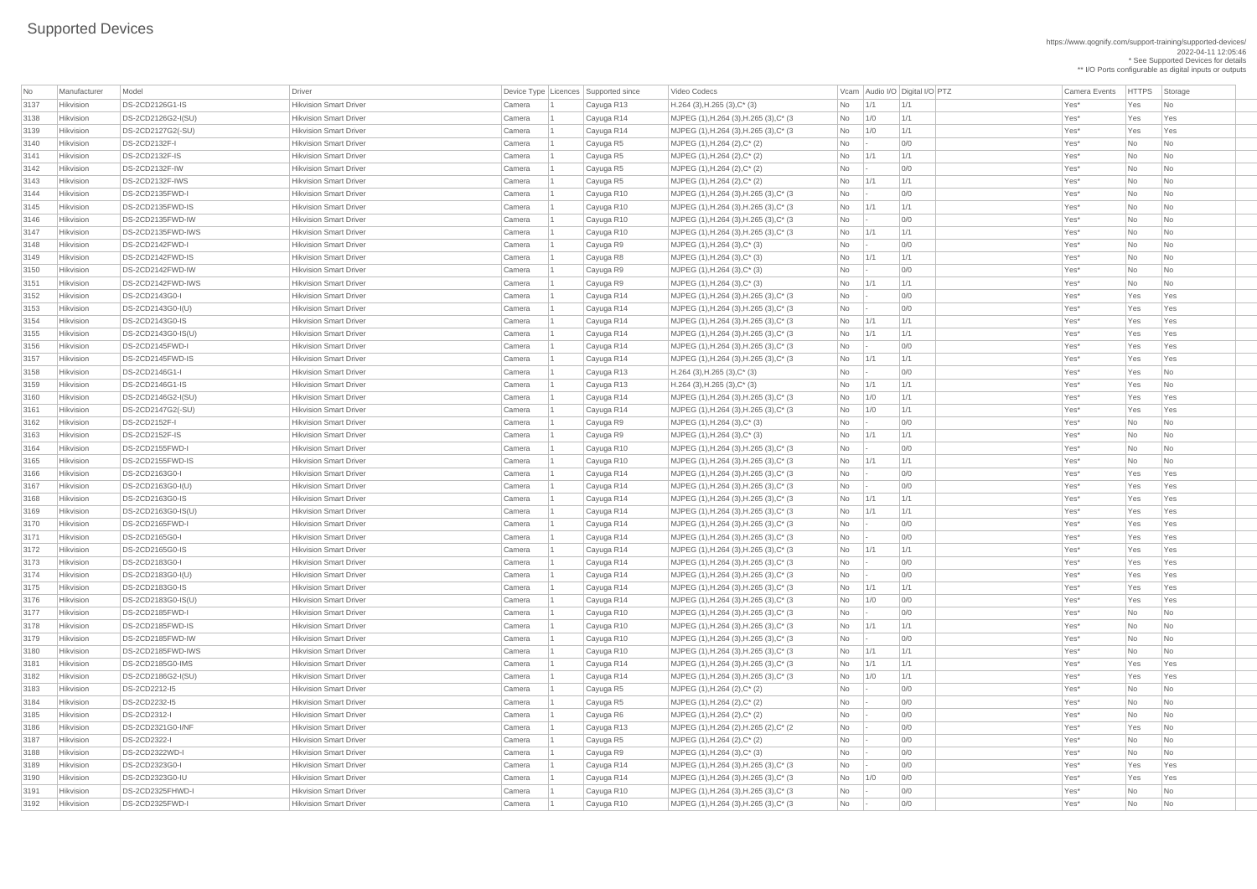\* See Supported Devices for details \*\* I/O Ports configurable as digital inputs or outputs

| No           | Manufacturer           | Model                               | Driver                        |                  | Device Type   Licences   Supported since | Video Codecs                                                            |                             |             | Vcam Audio I/O Digital I/O PTZ | Camera Events    | <b>HTTPS</b> | Storage                     |
|--------------|------------------------|-------------------------------------|-------------------------------|------------------|------------------------------------------|-------------------------------------------------------------------------|-----------------------------|-------------|--------------------------------|------------------|--------------|-----------------------------|
| 3137         | Hikvision              | DS-2CD2126G1-IS                     | <b>Hikvision Smart Driver</b> | Camera           | Cayuga R13                               | $H.264$ (3), H.265 (3), C <sup>*</sup> (3)                              | No                          | $\vert$ 1/1 | 1/1                            | Yes*             | Yes          | No                          |
| 3138         | Hikvision              | DS-2CD2126G2-I(SU)                  | <b>Hikvision Smart Driver</b> | Camera           | Cayuga R14                               | MJPEG (1), H.264 (3), H.265 (3), C* (3)                                 | No                          | 1/0         | 1/1                            | Yes*             | Yes          | Yes                         |
| 3139         | Hikvision              | DS-2CD2127G2(-SU)                   | <b>Hikvision Smart Driver</b> |                  |                                          |                                                                         |                             | 1/0         | 1/1                            | Yes*             | Yes          | Yes                         |
| 3140         | Hikvision              | DS-2CD2132F-I                       | <b>Hikvision Smart Driver</b> | Camera           | Cayuga R14                               | MJPEG (1), H.264 (3), H.265 (3), C* (3)                                 | No                          |             | 0/0                            | Yes <sup>*</sup> |              |                             |
|              |                        | DS-2CD2132F-IS                      | <b>Hikvision Smart Driver</b> | Camera           | Cayuga R5                                | MJPEG (1), H.264 (2), C* (2)                                            | No                          |             | 1/1                            |                  | No           | No                          |
| 3141         | Hikvision              |                                     |                               | Camera           | Cayuga R5                                | $MJPEG (1), H.264 (2), C^* (2)$                                         | No                          | 1/1         |                                | Yes*             | No           | No                          |
| 3142         | Hikvision              | DS-2CD2132F-IW                      | <b>Hikvision Smart Driver</b> | Camera           | Cayuga R5                                | MJPEG (1), H.264 (2), C* (2)                                            | No                          |             | 0/0                            | Yes*             | No           | No.                         |
| 3143         | Hikvision              | DS-2CD2132F-IWS                     | <b>Hikvision Smart Driver</b> | Camera           | Cayuga R5                                | $MJPEG (1), H.264 (2), C^* (2)$                                         | No                          | 1/1         | 1/1                            | Yes*             | No           | N <sub>o</sub>              |
| 3144         | Hikvision              | DS-2CD2135FWD-I                     | <b>Hikvision Smart Driver</b> | Camera           | Cayuga R10                               | MJPEG (1), H.264 (3), H.265 (3), C* (3)                                 | <b>No</b>                   |             | 0/0                            | Yes*             | No           | No                          |
| 3145         | Hikvision              | DS-2CD2135FWD-IS                    | <b>Hikvision Smart Driver</b> | Camera           | Cayuga R10                               | MJPEG (1), H.264 (3), H.265 (3), C* (3)                                 | No                          | $\vert$ 1/1 | 1/1                            | Yes <sup>*</sup> | No           | No.                         |
| 3146         | Hikvision              | DS-2CD2135FWD-IW                    | <b>Hikvision Smart Driver</b> | Camera           | Cayuga R10                               | MJPEG (1), H.264 (3), H.265 (3), C* (3)                                 | No                          |             | 0/0                            | Yes <sup>*</sup> | No           | No.                         |
| 3147         | Hikvision              | DS-2CD2135FWD-IWS                   | <b>Hikvision Smart Driver</b> | Camera           | Cayuga R10                               | MJPEG (1), H.264 (3), H.265 (3), C* (3)                                 | N <sub>o</sub>              | 1/1         | 1/1                            | Yes*             | No           | No                          |
| 3148         | Hikvision              | DS-2CD2142FWD-I                     | <b>Hikvision Smart Driver</b> | Camera           | Cayuga R9                                | MJPEG (1), H.264 (3), C* (3)                                            | No                          |             | 0/0                            | Yes <sup>*</sup> | No           | No.                         |
| 3149         | Hikvision              | DS-2CD2142FWD-IS                    | <b>Hikvision Smart Driver</b> | Camera           | Cayuga R8                                | MJPEG (1), H.264 (3), C* (3)                                            | No                          | 1/1         | 1/1                            | Yes*             | No           | No.                         |
| 3150         | Hikvision              | DS-2CD2142FWD-IW                    | <b>Hikvision Smart Driver</b> | Camera           | Cayuga R9                                | MJPEG (1), H.264 (3), C* (3)                                            | No                          |             | 0/0                            | Yes*             | No           | No                          |
| 3151         | Hikvision              | DS-2CD2142FWD-IWS                   | <b>Hikvision Smart Driver</b> | Camera           | Cayuga R9                                | MJPEG (1), H.264 (3), C* (3)                                            | No                          | 1/1         | 1/1                            | Yes*             | No           | No.                         |
| 3152         | Hikvision              | DS-2CD2143G0-I                      | <b>Hikvision Smart Driver</b> | Camera           | Cayuga R14                               | MJPEG (1), H.264 (3), H.265 (3), C* (3)                                 | No                          |             | 0/0                            | Yes*             | Yes          | Yes                         |
| 3153         | Hikvision              | DS-2CD2143G0-I(U)                   | <b>Hikvision Smart Driver</b> | Camera           | Cayuga R14                               | MJPEG (1), H.264 (3), H.265 (3), C* (3)                                 | <b>No</b>                   |             | 0/0                            | Yes <sup>*</sup> | Yes          | Yes                         |
| 3154         | Hikvision              | DS-2CD2143G0-IS                     | <b>Hikvision Smart Driver</b> | Camera           | Cayuga R14                               | MJPEG (1), H.264 (3), H.265 (3), C* (3)                                 | No                          | 1/1         | 1/1                            | Yes*             | Yes          | Yes                         |
| 3155         | Hikvision              | DS-2CD2143G0-IS(U)                  | <b>Hikvision Smart Driver</b> | Camera           | Cayuga R14                               | MJPEG (1), H.264 (3), H.265 (3), C* (3)                                 | No                          | 1/1         | 1/1                            | Yes*             | Yes          | Yes                         |
| 3156         | Hikvision              | DS-2CD2145FWD-I                     | <b>Hikvision Smart Driver</b> | Camera           | Cayuga R14                               | MJPEG (1), H.264 (3), H.265 (3), C* (3)                                 | N <sub>o</sub>              |             | 0/0                            | Yes*             | Yes          | Yes                         |
| 3157         | Hikvision              | DS-2CD2145FWD-IS                    | <b>Hikvision Smart Driver</b> | Camera           | Cayuga R14                               | MJPEG (1), H.264 (3), H.265 (3), C* (3)                                 | <b>No</b>                   | 1/1         | 1/1                            | Yes*             | Yes          | Yes                         |
| 3158         | Hikvision              | DS-2CD2146G1-I                      | <b>Hikvision Smart Driver</b> | Camera           | Cayuga R13                               | $H.264$ (3), H.265 (3), C <sup>*</sup> (3)                              | <b>No</b>                   |             | 0/0                            | Yes*             | Yes          | No.                         |
| 3159         | Hikvision              | DS-2CD2146G1-IS                     | <b>Hikvision Smart Driver</b> | Camera           | Cayuga R13                               | $H.264$ (3), H.265 (3), C <sup>*</sup> (3)                              | No                          | 1/1         | 1/1                            | Yes <sup>*</sup> | Yes          | No                          |
| 3160         | Hikvision              | DS-2CD2146G2-I(SU)                  | <b>Hikvision Smart Driver</b> | Camera           | Cayuga R14                               | MJPEG (1), H.264 (3), H.265 (3), C* (3)                                 | No                          | 1/0         | 1/1                            | Yes*             | Yes          | Yes                         |
| 3161         | <b>Hikvision</b>       | DS-2CD2147G2(-SU)                   | <b>Hikvision Smart Driver</b> | Camera           | Cayuga R14                               | MJPEG (1), H.264 (3), H.265 (3), C* (3)                                 | No                          | 1/0         | $\vert$ 1/1                    | Yes*             | Yes          | Yes                         |
| 3162         | Hikvision              | DS-2CD2152F-I                       | <b>Hikvision Smart Driver</b> | Camera           | Cayuga R9                                | $MJPEG (1), H.264 (3), C^* (3)$                                         | <b>No</b>                   |             | 0/0                            | Yes*             | No           | No                          |
| 3163         | Hikvision              | DS-2CD2152F-IS                      | <b>Hikvision Smart Driver</b> | Camera           | Cayuga R9                                | $MJPEG (1), H.264 (3), C^* (3)$                                         | No                          | 1/1         | 1/1                            | Yes*             | No           | No.                         |
| 3164         | Hikvision              | DS-2CD2155FWD-I                     | <b>Hikvision Smart Driver</b> | Camera           | Cayuga R10                               | MJPEG (1), H.264 (3), H.265 (3), C* (3)                                 | <b>No</b>                   |             | 0/0                            | Yes*             | No           | No                          |
| 3165         | Hikvision              | DS-2CD2155FWD-IS                    | <b>Hikvision Smart Driver</b> | Camera           | Cayuga R10                               | MJPEG (1), H.264 (3), H.265 (3), C* (3)                                 | N <sub>o</sub>              | 1/1         | 1/1                            | Yes*             | No           | No                          |
| 3166         | Hikvision              | DS-2CD2163G0-I                      | <b>Hikvision Smart Driver</b> | Camera           | Cayuga R14                               | MJPEG (1), H.264 (3), H.265 (3), C* (3)                                 | <b>No</b>                   |             | 0/0                            | Yes*             | Yes          | Yes                         |
| 3167         | Hikvision              | DS-2CD2163G0-I(U)                   | <b>Hikvision Smart Driver</b> | Camera           | Cayuga R14                               | MJPEG (1), H.264 (3), H.265 (3), C* (3)                                 | <b>No</b>                   |             | 0/0                            | Yes*             | Yes          | Yes                         |
| 3168         | Hikvision              | DS-2CD2163G0-IS                     | <b>Hikvision Smart Driver</b> | Camera           | Cayuga R14                               | MJPEG (1), H.264 (3), H.265 (3), C* (3)                                 | N <sub>o</sub>              | $\vert$ 1/1 | 1/1                            | Yes*             | Yes          | Yes                         |
| 3169         | Hikvision              | DS-2CD2163G0-IS(U)                  | <b>Hikvision Smart Driver</b> | Camera           | Cayuga R14                               | MJPEG (1), H.264 (3), H.265 (3), C* (3)                                 | <b>No</b>                   | 1/1         | 1/1                            | Yes*             | Yes          | Yes                         |
| 3170         | Hikvision              | <b>DS-2CD2165FWD-I</b>              | <b>Hikvision Smart Driver</b> | Camera           | Cayuga R14                               | MJPEG (1), H.264 (3), H.265 (3), C* (3)                                 | No                          |             | 0/0                            | Yes*             | Yes          | Yes                         |
| 3171         | Hikvision              | DS-2CD2165G0-I                      | <b>Hikvision Smart Driver</b> | Camera           | Cayuga R14                               | MJPEG (1), H.264 (3), H.265 (3), C* (3)                                 | <b>No</b>                   |             | 0/0                            | Yes*             | Yes          | Yes                         |
| 3172         | Hikvision              | DS-2CD2165G0-IS                     | <b>Hikvision Smart Driver</b> | Camera           | Cayuga R14                               | MJPEG (1), H.264 (3), H.265 (3), C* (3)                                 | <b>No</b>                   | 1/1         | 1/1                            | Yes*             | Yes          | Yes                         |
| 3173         | Hikvision              | DS-2CD2183G0-I                      | <b>Hikvision Smart Driver</b> | Camera           | Cayuga R14                               | MJPEG (1), H.264 (3), H.265 (3), C* (3)                                 | No                          |             | 0/0                            | Yes*             | Yes          | Yes                         |
| 3174         | Hikvision              | DS-2CD2183G0-I(U)                   | <b>Hikvision Smart Driver</b> | Camera           | Cayuga R14                               | MJPEG (1), H.264 (3), H.265 (3), C* (3)                                 | N <sub>o</sub>              |             | 0/0                            | Yes*             | Yes          | Yes                         |
| 3175         | Hikvision              | DS-2CD2183G0-IS                     | <b>Hikvision Smart Driver</b> | Camera           | Cayuga R14                               | MJPEG (1), H.264 (3), H.265 (3), C* (3)                                 | <b>No</b>                   | 1/1         | 1/1                            | Yes*             | Yes          | Yes                         |
| 3176         | Hikvision              | DS-2CD2183G0-IS(U)                  | <b>Hikvision Smart Driver</b> | Camera           | Cayuga R14                               | MJPEG (1), H.264 (3), H.265 (3), C* (3)                                 | <b>No</b>                   | 1/0         | 0/0                            | Yes*             | Yes          | Yes                         |
| 3177         | Hikvision              | DS-2CD2185FWD-I                     | <b>Hikvision Smart Driver</b> | Camera           | Cayuga R10                               | MJPEG (1), H.264 (3), H.265 (3), C* (3)                                 | N <sub>o</sub>              |             | 0/0                            | Yes*             | <b>No</b>    | No                          |
| 3178         | Hikvision              | DS-2CD2185FWD-IS                    | <b>Hikvision Smart Driver</b> | Camera           | Cayuga R10                               | MJPEG (1), H.264 (3), H.265 (3), C* (3)                                 | <b>No</b>                   | 1/1         | 1/1                            | Yes*             | No           | No                          |
| 3179         | Hikvision              | DS-2CD2185FWD-IW                    | <b>Hikvision Smart Driver</b> | Camera           | Cayuga R10                               | $MJPEG (1), H.264 (3), H.265 (3), C^* (3)$                              | <b>No</b>                   |             | 0/0                            | Yes*             | No           | No.                         |
| 3180         | Hikvision              | DS-2CD2185FWD-IWS                   | <b>Hikvision Smart Driver</b> | Camera           | Cayuga R10                               | MJPEG (1), H.264 (3), H.265 (3), C* (3)                                 | N <sub>o</sub>              | $\vert$ 1/1 | 1/1                            | Yes*             | No           | No                          |
| 3181         | Hikvision              | DS-2CD2185G0-IMS                    | <b>Hikvision Smart Driver</b> | Camera           | Cayuga R14                               | MJPEG (1), H.264 (3), H.265 (3), C* (3)                                 | <b>No</b>                   | 1/1         | 1/1                            | Yes*             | Yes          | Yes                         |
|              |                        |                                     | <b>Hikvision Smart Driver</b> |                  |                                          |                                                                         |                             |             | 1/1                            |                  |              |                             |
| 3182<br>3183 | Hikvision<br>Hikvision | DS-2CD2186G2-I(SU)<br>DS-2CD2212-15 | <b>Hikvision Smart Driver</b> | Camera<br>Camera | Cayuga R14<br>Cayuga R5                  | MJPEG (1), H.264 (3), H.265 (3), C* (3)<br>MJPEG (1), H.264 (2), C* (2) | N <sub>o</sub><br>No        | 1/0         | 0/0                            | Yes*<br>Yes*     | Yes<br>No    | Yes<br>No                   |
|              |                        |                                     |                               |                  |                                          |                                                                         |                             |             |                                |                  |              |                             |
| 3184         | Hikvision              | DS-2CD2232-15                       | <b>Hikvision Smart Driver</b> | Camera           | Cayuga R5                                | MJPEG (1), H.264 (2), C* (2)                                            | No                          |             | 0/0                            | Yes*             | No           | No.                         |
| 3185         | Hikvision              | DS-2CD2312-I                        | <b>Hikvision Smart Driver</b> | Camera           | Cayuga R6                                | $MJPEG (1), H.264 (2), C^* (2)$                                         | No                          |             | 0/0                            | Yes*             | No           | No                          |
| 3186         | Hikvision              | DS-2CD2321G0-I/NF                   | <b>Hikvision Smart Driver</b> | Camera           | Cayuga R13                               | MJPEG (1), H.264 (2), H.265 (2), C* (2)                                 | N <sub>o</sub>              |             | 0/0                            | Yes*             | Yes          | No                          |
| 3187         | Hikvision              | DS-2CD2322-I                        | <b>Hikvision Smart Driver</b> | Camera           | Cayuga R5                                | MJPEG (1), H.264 (2), C* (2)                                            | No                          |             | 0/0                            | Yes*             | No           | No                          |
| 3188         | Hikvision              | DS-2CD2322WD-I                      | <b>Hikvision Smart Driver</b> | Camera           | Cayuga R9                                | MJPEG (1), H.264 (3), C* (3)                                            | No                          |             | 0/0                            | Yes*             | No           | $\overline{\mathsf{No}}$    |
| 3189         | Hikvision              | DS-2CD2323G0-I                      | <b>Hikvision Smart Driver</b> | Camera           | Cayuga R14                               | MJPEG (1), H.264 (3), H.265 (3), C* (3)                                 | $\overline{\phantom{1}}$ No |             | 0/0                            | Yes <sup>*</sup> | Yes          | Yes                         |
| 3190         | Hikvision              | DS-2CD2323G0-IU                     | <b>Hikvision Smart Driver</b> | Camera           | Cayuga R14                               | MJPEG $(1)$ , H.264 $(3)$ , H.265 $(3)$ , C* $(3)$                      | N <sub>o</sub>              | 1/0         | 0/0                            | Yes <sup>*</sup> | Yes          | Yes                         |
| 3191         | Hikvision              | DS-2CD2325FHWD-I                    | <b>Hikvision Smart Driver</b> | Camera           | Cayuga R10                               | MJPEG $(1)$ , H.264 $(3)$ , H.265 $(3)$ , C* $(3)$                      | No                          |             | 0/0                            | Yes*             | No           | $\overline{\mathsf{No}}$    |
| 3192         | Hikvision              | DS-2CD2325FWD-I                     | <b>Hikvision Smart Driver</b> | Camera           | Cayuga R10                               | MJPEG (1), H.264 (3), H.265 (3), C* (3)                                 | N <sub>o</sub>              |             | 0/0                            | Yes*             | No           | $\overline{\phantom{a}}$ No |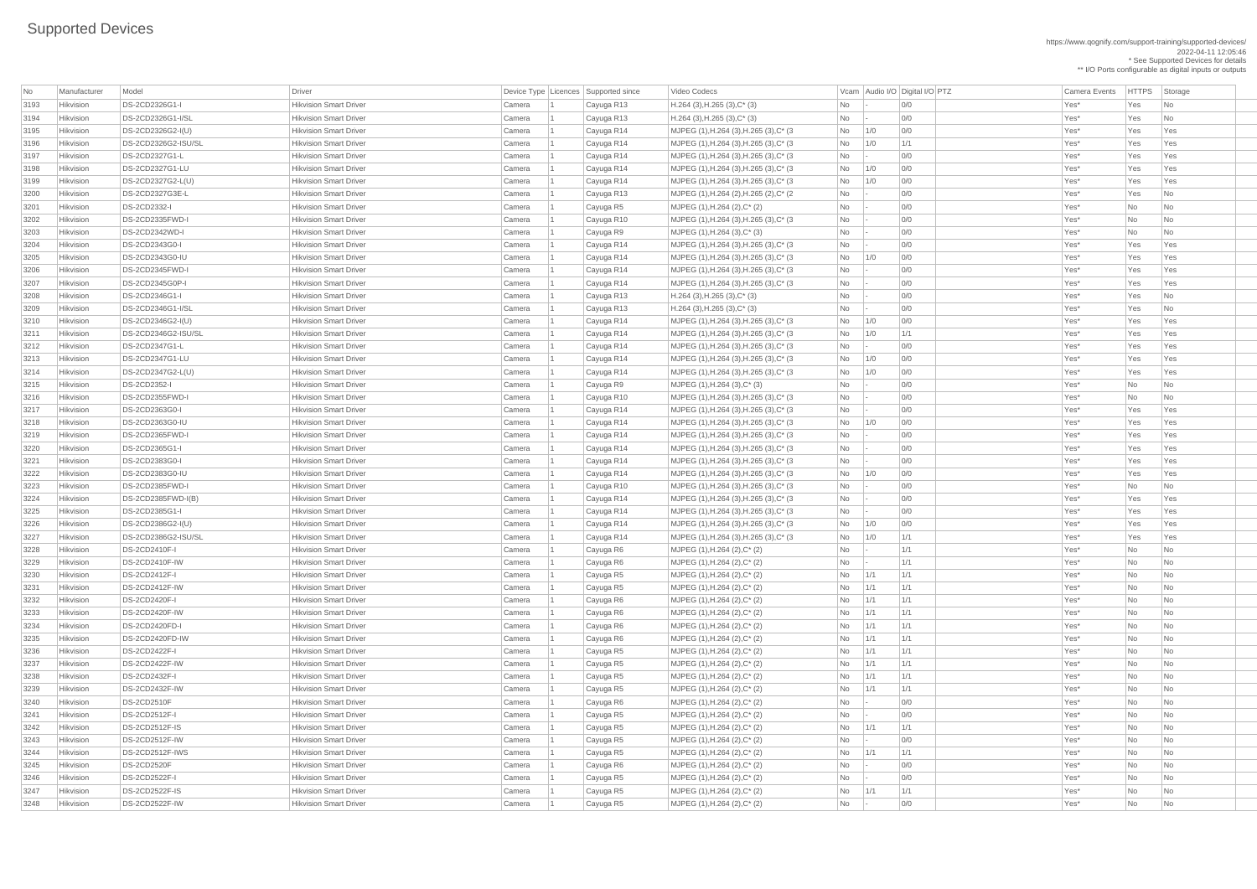https://www.qognify.com/support-training/supported-devices/ 2022-04-11 12:05:46 \* See Supported Devices for details

\*\* I/O Ports configurable as digital inputs or outputs

| MJPEG (1),H.264 (3),H.265 (3),C\* (3  $\qquad$  No 1/0 0/0  $\qquad$  0/0  $\qquad$  Yes\* Yes Yes Yes | MJPEG (1),H.264 (3),H.265 (3),C\* (3  $\vert$  No  $\vert$  1/0  $\vert$  1/1  $\vert$  1/1  $\vert$  Yes\*  $\vert$  Yes Yes Yes | MJPEG (1),H.264 (3),H.265 (3),C\* (3  $\qquad$  No  $\qquad$  - 0/0  $\qquad$  00 Yes\* Yes Yes Yes | MJPEG (1),H.264 (3),H.265 (3),C\* (3  $\qquad$  No 1/0 0/0  $\qquad$  0/0  $\qquad$  Yes\* Yes Yes Yes | MJPEG (1),H.264 (3),H.265 (3),C\* (3  $\qquad$   $\qquad$   $\qquad$   $\qquad$  1/0  $\qquad$   $\qquad$  0/0  $\qquad$   $\qquad$   $\qquad$  Yes\*  $\qquad$  Yes Yes Yes | MJPEG (1),H.264 (2),H.265 (2),C\* (2  $\qquad \qquad$  No  $\qquad$  - 0/0  $\qquad \qquad$  Yes\* Yes No 3202 Hikvision DS-2CD2335FWD-I Hikvision Smart Driver Camera 1 Cayuga R10 MJPEG (1),H.264 (3),H.265 (3),C\* (3 No - 0/0 Yes\* No No | MJPEG (1),H.264 (3),H.265 (3),C\* (3  $\qquad$  No  $\qquad$  - 0/0  $\qquad$  00 Yes\* Yes Yes Yes Yes | MJPEG (1),H.264 (3),H.265 (3),C\* (3  $\qquad$  No 1/0 0/0 | 200 00 | Yes\* Yes Yes Yes | MJPEG (1),H.264 (3),H.265 (3),C\* (3  $\qquad$  No  $\qquad$  - 0/0  $\qquad$  01  $\qquad$  Yes\* Yes Yes Yes | MJPEG (1),H.264 (3),H.265 (3),C\* (3  $\qquad$  No  $\qquad$  - 0/0  $\qquad$  01  $\qquad$  Yes\* Yes Yes Yes | MJPEG (1),H.264 (3),H.265 (3),C\* (3  $\qquad$  No 1/0 0/0  $\qquad$  0/0  $\qquad$  Yes\* Yes Yes Yes | MJPEG (1),H.264 (3),H.265 (3),C\* (3  $\qquad$  No 1/0 1/1 1 No 11/1 Yes\* Yes Yes Yes | MJPEG (1),H.264 (3),H.265 (3),C\* (3  $\qquad$  No  $\qquad$  - 0/0  $\qquad$  01  $\qquad$  Yes\* Yes Yes Yes | MJPEG (1),H.264 (3),H.265 (3),C\* (3  $\qquad$  No 1/0 0/0  $\qquad$  0/0  $\qquad$  Yes\* Yes Yes Yes | MJPEG (1),H.264 (3),H.265 (3),C\* (3  $\vert$  No  $\vert$  1/0  $\vert$  0/0  $\vert$  0/0  $\vert$  Yes\* Yes Yes Yes 3216 Hikvision DS-2CD2355FWD-I Hikvision Smart Driver Camera 1 Cayuga R10 MJPEG (1),H.264 (3),H.265 (3),C\* (3 No - 0/0 Yes\* No No | MJPEG (1),H.264 (3),H.265 (3),C\* (3  $\qquad$  No  $\qquad$  - 0/0  $\qquad$  00 Yes\* Yes Yes Yes Yes | MJPEG (1),H.264 (3),H.265 (3),C\* (3  $\qquad$  No 1/0 0/0  $\qquad$  0/0  $\qquad$  Yes\* Yes Yes Yes | MJPEG (1),H.264 (3),H.265 (3),C\* (3  $\qquad$  No  $\qquad$  - 0/0  $\qquad$  01  $\qquad$  Yes\* Yes Yes Yes | MJPEG (1),H.264 (3),H.265 (3),C\* (3  $\qquad$  No  $\qquad$  - 0/0  $\qquad$  01  $\qquad$  Yes\* Yes Yes Yes 3221 Hikvision DS-2CD2383G0-I Hikvision Smart Driver Camera 1 Cayuga R14 MJPEG (1),H.264 (3),H.265 (3),C\* (3 No - 0/0 Yes\* Yes Yes | MJPEG (1),H.264 (3),H.265 (3),C\* (3  $\qquad$  No 1/0 0/0  $\qquad$  0/0  $\qquad$  Yes\* Yes Yes Yes 3223 Hikvision DS-2CD2385FWD-I Hikvision Smart Driver Camera 1 Cayuga R10 MJPEG (1),H.264 (3),H.265 (3),C\* (3 No - 0/0 Yes\* No No | MJPEG (1),H.264 (3),H.265 (3),C\* (3  $\qquad$  No  $\qquad$  - 0/0  $\qquad$  01  $\qquad$  Yes\* Yes Yes Yes | MJPEG (1),H.264 (3),H.265 (3),C\* (3  $\qquad$  No  $\qquad$  - 0/0  $\qquad$  01  $\qquad$  Yes\* Yes Yes Yes | MJPEG (1),H.264 (3),H.265 (3),C\* (3  $\qquad$  No 1/0 0/0  $\qquad$  0/0  $\qquad$  Yes\* Yes Yes Yes | MJPEG (1),H.264 (3),H.265 (3),C\* (3  $\qquad$  No  $\qquad$  1/0  $\qquad$  1/1  $\qquad$  Yes\* Yes Yes Yes

| No           | Manufacturer                  | Model                                   | <b>Driver</b>                                                  |                  | Device Type Licences Supported since | Video Codecs                                                       |           |                 | Vcam Audio I/O Digital I/O PTZ | <b>Camera Events</b> | <b>HTTPS</b>    | Storage                          |
|--------------|-------------------------------|-----------------------------------------|----------------------------------------------------------------|------------------|--------------------------------------|--------------------------------------------------------------------|-----------|-----------------|--------------------------------|----------------------|-----------------|----------------------------------|
| 3193         | Hikvision                     | DS-2CD2326G1-I                          | <b>Hikvision Smart Driver</b>                                  | Camera           | Cayuga R13                           | $H.264$ (3), H.265 (3), C <sup>*</sup> (3)                         | <b>No</b> |                 | 0/0                            | Yes*                 | Yes             | No                               |
| 3194         | Hikvision                     | DS-2CD2326G1-I/SL                       | <b>Hikvision Smart Driver</b>                                  | Camera           | Cayuga R13                           | $H.264$ (3), H.265 (3), C <sup>*</sup> (3)                         | <b>No</b> |                 | 0/0                            | Yes*                 | Yes             | No                               |
| 3195         | Hikvision                     | DS-2CD2326G2-I(U)                       | <b>Hikvision Smart Driver</b>                                  | Camera           | Cayuga R14                           | MJPEG (1), H.264 (3), H.265 (3), C* (3)                            | No        | 1/0             | 0/0                            | Yes*                 | Yes             | Yes                              |
| 3196         | Hikvision                     | DS-2CD2326G2-ISU/SL                     | <b>Hikvision Smart Driver</b>                                  | Camera           | Cayuga R14                           | MJPEG (1), H.264 (3), H.265 (3), C* (3)                            | No        | 1/0             | 1/1                            | Yes*                 | Yes             | Yes                              |
| 3197         | Hikvision                     | DS-2CD2327G1-L                          | <b>Hikvision Smart Driver</b>                                  | Camera           | Cayuga R14                           | $MJPEG (1), H.264 (3), H.265 (3), C^* (3)$                         | No        | $\sim$          | 0/0                            | Yes*                 | Yes             | Yes                              |
| 3198         | Hikvision                     | DS-2CD2327G1-LU                         | <b>Hikvision Smart Driver</b>                                  | Camera           | Cayuga R14                           | MJPEG (1), H.264 (3), H.265 (3), C* (3)                            | No        | 1/0             | 0/0                            | Yes*                 | Yes             | Yes                              |
| 3199         | Hikvision                     | DS-2CD2327G2-L(U)                       | <b>Hikvision Smart Driver</b>                                  | Camera           | Cayuga R14                           | MJPEG (1), H.264 (3), H.265 (3), C* (3)                            | <b>No</b> | 1/0             | 0/0                            | Yes*                 | Yes             | Yes                              |
| 3200         | Hikvision                     | DS-2CD2327G3E-L                         | <b>Hikvision Smart Driver</b>                                  | Camera           | Cayuga R13                           | MJPEG (1), H.264 (2), H.265 (2), C* (2)                            | No        |                 | 0/0                            | Yes*                 | Yes             | $\overline{\mathsf{No}}$         |
| 3201         | Hikvision                     | <b>DS-2CD2332-I</b>                     | <b>Hikvision Smart Driver</b>                                  | Camera           | Cayuga R5                            | MJPEG (1), H.264 (2), C* (2)                                       | <b>No</b> |                 | 0/0                            | Yes*                 | <b>No</b>       | No                               |
| 3202         | Hikvision                     | DS-2CD2335FWD-I                         | <b>Hikvision Smart Driver</b>                                  | Camera           | Cayuga R10                           | MJPEG (1), H.264 (3), H.265 (3), C* (3)                            | No        |                 | 0/0                            | Yes*                 | No              | No                               |
| 3203         | Hikvision                     | <b>DS-2CD2342WD-I</b>                   | <b>Hikvision Smart Driver</b>                                  | Camera           | Cayuga R9                            | $MJPEG (1), H.264 (3), C^* (3)$                                    | No        |                 | 0/0                            | Yes*                 | <b>No</b>       | No                               |
| 3204         | Hikvision                     | DS-2CD2343G0-I                          | <b>Hikvision Smart Driver</b>                                  | Camera           | Cayuga R14                           | MJPEG (1), H.264 (3), H.265 (3), C* (3)                            | <b>No</b> |                 | 0/0                            | Yes*                 | Yes             | Yes                              |
| 3205         | Hikvision                     | DS-2CD2343G0-IU                         | <b>Hikvision Smart Driver</b>                                  | Camera           | Cayuga R14                           | MJPEG (1), H.264 (3), H.265 (3), C* (3)                            | <b>No</b> | 1/0             | 0/0                            | Yes*                 | Yes             | Yes                              |
| 3206         | Hikvision                     | DS-2CD2345FWD-I                         | <b>Hikvision Smart Driver</b>                                  | Camera           | Cayuga R14                           | MJPEG (1), H.264 (3), H.265 (3), C* (3)                            | No        |                 | 0/0                            | Yes*                 | Yes             | Yes                              |
| 3207         | Hikvision                     | DS-2CD2345G0P-I                         | <b>Hikvision Smart Driver</b>                                  | Camera           | Cayuga R14                           | MJPEG (1), H.264 (3), H.265 (3), C* (3)                            | No        |                 | 0/0                            | Yes*                 | Yes             | Yes                              |
| 3208         | Hikvision                     | DS-2CD2346G1-I                          | <b>Hikvision Smart Driver</b>                                  | Camera           | Cayuga R13                           | $H.264$ (3), H.265 (3), C <sup>*</sup> (3)                         | No        |                 | 0/0                            | Yes*                 | Yes             | No                               |
| 3209         | Hikvision                     | DS-2CD2346G1-I/SL                       | <b>Hikvision Smart Driver</b>                                  | Camera           | Cayuga R13                           | $H.264$ (3), H.265 (3), C <sup>*</sup> (3)                         | No        |                 | 0/0                            | Yes*                 | Yes             | No                               |
| 3210         | Hikvision                     | DS-2CD2346G2-I(U)                       | <b>Hikvision Smart Driver</b>                                  | Camera           | Cayuga R14                           | MJPEG (1), H.264 (3), H.265 (3), C* (3)                            | <b>No</b> | 1/0             | 0/0                            | Yes*                 | Yes             | Yes                              |
| 3211         | Hikvision                     | DS-2CD2346G2-ISU/SL                     | <b>Hikvision Smart Driver</b>                                  | Camera           | Cayuga R14                           | MJPEG (1), H.264 (3), H.265 (3), C* (3)                            | <b>No</b> | 1/0             | 1/1                            | Yes*                 | Yes             | Yes                              |
| 3212         | Hikvision                     | DS-2CD2347G1-L                          | <b>Hikvision Smart Driver</b>                                  | Camera           | Cayuga R14                           | MJPEG (1), H.264 (3), H.265 (3), C* (3)                            | No        |                 | 0/0                            | Yes*                 | Yes             | Yes                              |
| 3213         | Hikvision                     | DS-2CD2347G1-LU                         | <b>Hikvision Smart Driver</b>                                  | Camera           | Cayuga R14                           | MJPEG (1), H.264 (3), H.265 (3), C* (3)                            | No        | 1/0             | 0/0                            | Yes*                 | Yes             | Yes                              |
| 3214         | Hikvision                     | DS-2CD2347G2-L(U)                       | <b>Hikvision Smart Driver</b>                                  | Camera           | Cayuga R14                           | MJPEG (1), H.264 (3), H.265 (3), C* (3)                            | No        | 1/0             | 0/0                            | Yes*                 | Yes             | Yes                              |
| 3215         | Hikvision                     | <b>DS-2CD2352-I</b>                     | <b>Hikvision Smart Driver</b>                                  | Camera           | Cayuga R9                            | MJPEG $(1)$ , H.264 $(3)$ , C* $(3)$                               | No        |                 | 0/0                            | Yes*                 | <b>No</b>       | No                               |
| 3216         | Hikvision                     | DS-2CD2355FWD-I                         | <b>Hikvision Smart Driver</b>                                  | Camera           | Cayuga R10                           | MJPEG (1), H.264 (3), H.265 (3), C* (3)                            | <b>No</b> |                 | 0/0                            | Yes*                 | <b>No</b>       | No                               |
| 3217         | Hikvision                     | DS-2CD2363G0-I                          | <b>Hikvision Smart Driver</b>                                  | Camera           | Cayuga R14                           | MJPEG (1), H.264 (3), H.265 (3), C* (3)                            | No        |                 | O/O                            | Yes*                 | Yes             | Yes                              |
| 3218         | Hikvision                     | DS-2CD2363G0-IU                         | <b>Hikvision Smart Driver</b>                                  | Camera           | Cayuga R14                           | MJPEG (1), H.264 (3), H.265 (3), C* (3)                            | No.       | 1/0             | 0/0                            | Yes*                 | Yes             | Yes                              |
| 3219         | Hikvision                     | DS-2CD2365FWD-I                         | <b>Hikvision Smart Driver</b>                                  | Camera           | Cayuga R14                           | MJPEG (1), H.264 (3), H.265 (3), C* (3)                            | No        |                 | 0/0                            | Yes*                 | Yes             | Yes                              |
| 3220         | Hikvision                     | DS-2CD2365G1-I                          | <b>Hikvision Smart Driver</b>                                  | Camera           | Cayuga R14                           | MJPEG (1), H.264 (3), H.265 (3), C* (3)                            | No        |                 | 0/0                            | Yes*                 | Yes             | Yes                              |
| 3221         | Hikvision                     | DS-2CD2383G0-I                          | <b>Hikvision Smart Driver</b>                                  | Camera           | Cayuga R14                           | MJPEG $(1)$ , H.264 $(3)$ , H.265 $(3)$ , C* $(3)$                 | No        |                 | 0/0                            | Yes*                 | Yes             | Yes                              |
| 3222         | Hikvision                     | DS-2CD2383G0-IU                         | <b>Hikvision Smart Driver</b>                                  | Camera           | Cayuga R14                           | MJPEG (1), H.264 (3), H.265 (3), C* (3)                            | <b>No</b> | 1/0             | 0/0                            | Yes*                 | Yes             | Yes                              |
| 3223         | Hikvision                     | DS-2CD2385FWD-I                         | <b>Hikvision Smart Driver</b>                                  | Camera           | Cayuga R10                           | MJPEG (1), H.264 (3), H.265 (3), C* (3)                            | No        |                 | 0/0                            | Yes*                 | <b>No</b>       | No                               |
| 3224         | Hikvision                     | $DS-2CD2385FWD-I(B)$                    | <b>Hikvision Smart Driver</b>                                  | Camera           | Cayuga R14                           | MJPEG (1), H.264 (3), H.265 (3), C* (3)                            | No        |                 | 0/0                            | Yes*                 | Yes             | Yes                              |
| 3225         | Hikvision                     | DS-2CD2385G1-I                          | <b>Hikvision Smart Driver</b>                                  | Camera           | Cayuga R14                           | MJPEG (1), H.264 (3), H.265 (3), C* (3)                            | No        | $\vert - \vert$ | 0/0                            | Yes*                 | Yes             | Yes                              |
| 3226         | Hikvision                     | DS-2CD2386G2-I(U)                       | <b>Hikvision Smart Driver</b>                                  | Camera           | Cayuga R14                           | MJPEG (1), H.264 (3), H.265 (3), C* (3)                            | No        | 1/0             | 0/0                            | Yes*                 | Yes             | Yes                              |
| 3227         | Hikvision                     | DS-2CD2386G2-ISU/SL                     | <b>Hikvision Smart Driver</b>                                  | Camera           | Cayuga R14                           | MJPEG $(1)$ , H.264 $(3)$ , H.265 $(3)$ , C* $(3)$                 | No        | 1/0             | 1/1                            | Yes*                 | Yes             | Yes                              |
| 3228         | Hikvision                     | <b>DS-2CD2410F-I</b>                    | <b>Hikvision Smart Driver</b>                                  | Camera           | Cayuga R6                            | $MJPEG (1), H.264 (2), C^* (2)$                                    | <b>No</b> |                 | 1/1                            | Yes*                 | <b>No</b>       | $\overline{\mathsf{No}}$         |
| 3229         | Hikvision                     | DS-2CD2410F-IW                          | <b>Hikvision Smart Driver</b>                                  | Camera           | Cayuga R6                            | MJPEG (1), H.264 (2), C* (2)                                       | <b>No</b> |                 | 1/1                            | Yes*                 | <b>No</b>       | No                               |
| 3230         | Hikvision                     | DS-2CD2412F-I                           | <b>Hikvision Smart Driver</b>                                  | Camera           | Cayuga R5                            | MJPEG (1), H.264 (2), C* (2)                                       | No        | 1/1             | 1/1                            | Yes*                 | <b>No</b>       | No                               |
| 3231         | Hikvision                     | DS-2CD2412F-IW                          | <b>Hikvision Smart Driver</b>                                  | Camera           | Cayuga R5                            | MJPEG (1), H.264 (2), C* (2)                                       | <b>No</b> | 1/1             | 1/1                            | Yes*                 | <b>No</b>       | No                               |
| 3232         | Hikvision                     | <b>DS-2CD2420F-I</b>                    | <b>Hikvision Smart Driver</b>                                  | Camera           | Cayuga R6                            | MJPEG (1), H.264 (2), C* (2)                                       | <b>No</b> | 1/1             | 1/1                            | Yes*                 | No              | No                               |
| 3233         | Hikvision                     | DS-2CD2420F-IW                          | <b>Hikvision Smart Driver</b>                                  | Camera           | Cayuga R6                            | $MJPEG (1), H.264 (2), C^*(2)$                                     | <b>No</b> | 1/1             | 1/1                            | Yes*                 | <b>No</b>       | No                               |
| 3234         | Hikvision                     | <b>DS-2CD2420FD-I</b>                   | <b>Hikvision Smart Driver</b>                                  | Camera           | Cayuga R6                            | MJPEG (1), H.264 (2), C* (2)                                       | <b>No</b> | 1/1             | 1/1                            | Yes*                 | <b>No</b>       | $\overline{\mathsf{No}}$         |
| 3235         | Hikvision                     | DS-2CD2420FD-IW                         | <b>Hikvision Smart Driver</b>                                  | Camera           | Cayuga R6                            | MJPEG (1), H.264 (2), C* (2)                                       | <b>No</b> | 1/1             | 1/1                            | Yes*                 | <b>No</b>       | No                               |
| 3236         | Hikvision                     | DS-2CD2422F-I                           | <b>Hikvision Smart Driver</b>                                  | Camera           | Cayuga R5                            | MJPEG (1), H.264 (2), C* (2)                                       | No        | 1/1             | 1/1                            | Yes*                 | <b>No</b>       | No                               |
| 3237         | Hikvision                     | DS-2CD2422F-IW                          | <b>Hikvision Smart Driver</b>                                  | Camera           | Cayuga R5                            | MJPEG (1), H.264 (2), C* (2)                                       | <b>No</b> | 1/1             | 1/1                            | Yes*                 | <b>No</b>       | No                               |
| 3238         | Hikvision                     | <b>DS-2CD2432F-I</b>                    | <b>Hikvision Smart Driver</b>                                  | Camera           | Cayuga R5                            | MJPEG (1), H.264 (2), C* (2)                                       | No        | 1/1             | 1/1                            | Yes*                 | <b>No</b>       | $\overline{\mathsf{No}}$         |
| 3239         | Hikvision                     | DS-2CD2432F-IW                          | <b>Hikvision Smart Driver</b>                                  | Camera           | Cayuga R5                            | MJPEG (1), H.264 (2), C* (2)                                       | No        | 1/1             | 1/1                            | Yes*                 | <b>No</b>       | No                               |
| 3240         | Hikvision                     | <b>DS-2CD2510F</b>                      | <b>Hikvision Smart Driver</b>                                  | Camera           | Cayuga R6                            | $MJPEG (1), H.264 (2), C^* (2)$                                    | <b>No</b> |                 | 0/0                            | Yes*                 | <b>No</b>       | $\overline{\mathsf{No}}$         |
| 3241         | Hikvision                     | DS-2CD2512F-I                           | <b>Hikvision Smart Driver</b>                                  | Camera           | Cayuga R5                            | MJPEG (1), H.264 (2), C* (2)                                       | <b>No</b> |                 | 0/0                            | Yes*                 | <b>No</b>       | N <sub>o</sub>                   |
| 3242<br>3243 | Hikvision                     | <b>DS-2CD2512F-IS</b><br>DS-2CD2512F-IW | <b>Hikvision Smart Driver</b><br><b>Hikvision Smart Driver</b> | Camera           | Cayuga R5                            | MJPEG (1), H.264 (2), C* (2)                                       | <b>No</b> | 1/1             | 1/1<br>0/0                     | Yes*<br>Yes*         | <b>No</b>       | No<br>No                         |
| 3244         | Hikvision                     | DS-2CD2512F-IWS                         | <b>Hikvision Smart Driver</b>                                  | Camera<br>Camera | Cayuga R5                            | MJPEG (1), H.264 (2), C* (2)                                       | <b>No</b> |                 | 1/1                            | Yes*                 | No              |                                  |
|              | <b>Hikvision</b><br>Hikvision | <b>DS-2CD2520F</b>                      | <b>Hikvision Smart Driver</b>                                  |                  | Cayuga R5                            | MJPEG (1), H.264 (2), C* (2)                                       | No        | $\vert$ 1/1     | 0/0                            | Yes*                 | No<br><b>No</b> | No.                              |
| 3245<br>3246 | Hikvision                     | DS-2CD2522F-I                           | <b>Hikvision Smart Driver</b>                                  | Camera<br>Camera | Cayuga R6<br>Cayuga R5               | $MJPEG (1), H.264 (2), C^* (2)$<br>$MJPEG (1), H.264 (2), C^* (2)$ | No<br>No  |                 | 0/0                            | Yes*                 | No              | $\overline{\mathsf{No}}$<br>  No |
| 3247         | Hikvision                     | DS-2CD2522F-IS                          | <b>Hikvision Smart Driver</b>                                  | Camera           | Cayuga R5                            | $MJPEG (1), H.264 (2), C^* (2)$                                    | <b>No</b> | 1/1             | 1/1                            | Yes*                 | <b>No</b>       | $\overline{\mathsf{No}}$         |
| 3248         | Hikvision                     | DS-2CD2522F-IW                          | <b>Hikvision Smart Driver</b>                                  | Camera           | Cayuga R5                            | $MJPEG (1), H.264 (2), C^*(2)$                                     | No        |                 | 0/0                            | Yes*                 | No              | $\overline{\phantom{a}}$ No      |
|              |                               |                                         |                                                                |                  |                                      |                                                                    |           |                 |                                |                      |                 |                                  |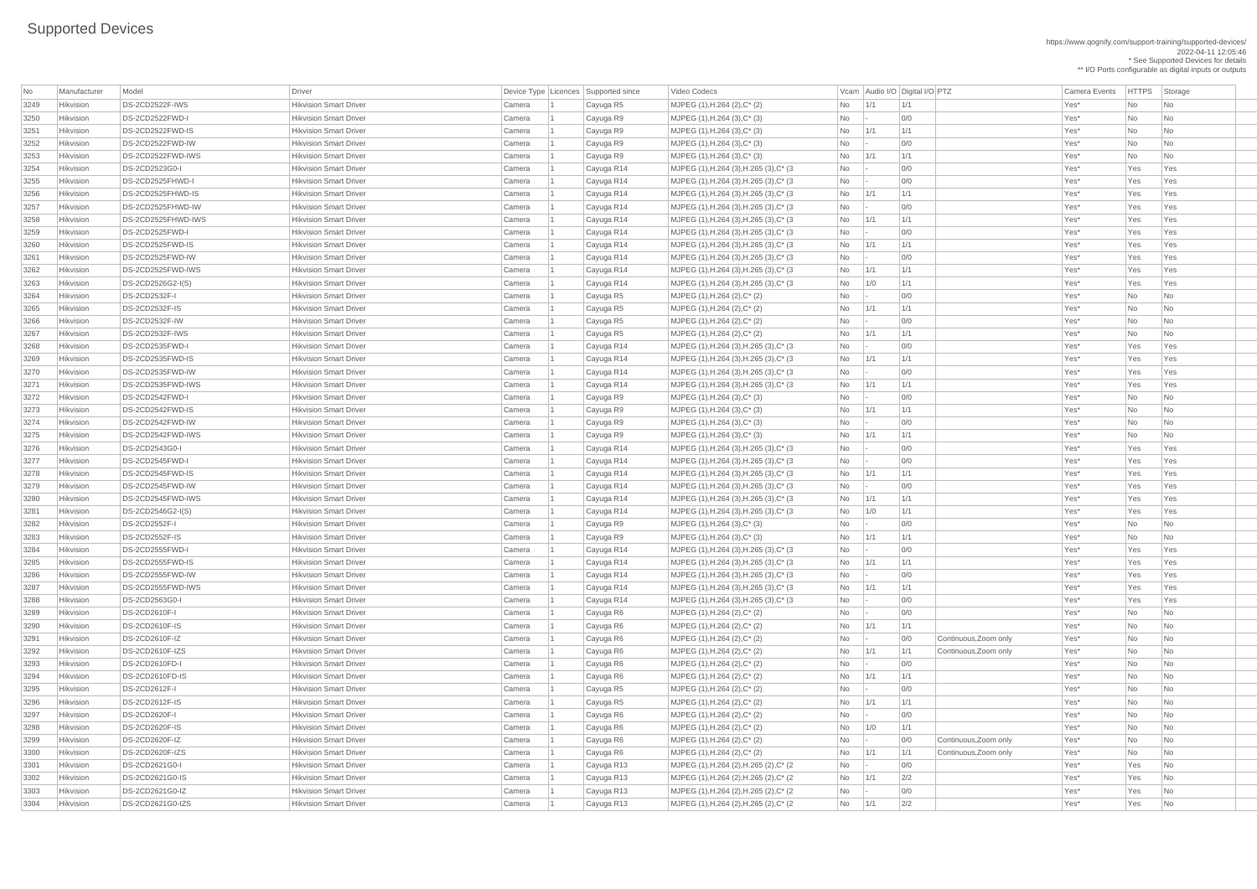\*\* I/O Ports configurable as digital inputs or outputs | MJPEG (1),H.264 (3),H.265 (3),C\* (3  $\qquad$  No  $\qquad$  - 0/0  $\qquad$  00 Yes\* Yes Yes Yes Yes | MJPEG (1),H.264 (3),H.265 (3),C\* (3  $\qquad$  No  $\qquad$  - 0/0  $\qquad$  00 Yes\* Yes Yes Yes | MJPEG (1),H.264 (3),H.265 (3),C\* (3  $\qquad$  No 1/1 1/1 1/1 No 1/1 1/1 Ves\* Yes Yes Yes | MJPEG (1),H.264 (3),H.265 (3),C\* (3  $\qquad$  No  $\qquad$  - 0/0  $\qquad$  200 Yes\* Yes Yes Yes | MJPEG (1),H.264 (3),H.265 (3),C\* (3  $\qquad$  No 1/1 1/1 1/1 1/1 Ves\* Yes Yes Yes | MJPEG (1),H.264 (3),H.265 (3),C\* (3  $\qquad$  No  $\qquad$  - 0/0  $\qquad$  00 Yes\* Yes Yes Yes Yes | MJPEG (1),H.264 (3),H.265 (3),C\* (3  $\qquad$  No 1/1 1/1 1/1 No 1/1 1/1 Yes\* Yes Yes Yes | MJPEG (1),H.264 (3),H.265 (3),C\* (3  $\qquad$  No  $\qquad$  - 0/0  $\qquad$  01  $\qquad$  Yes\* Yes Yes Yes | MJPEG (1),H.264 (3),H.265 (3),C\* (3  $\qquad$  No 1/1 1/1 1/1  $\qquad$  1/1  $\qquad$  Yes\* Yes Yes Yes | MJPEG (1),H.264 (3),H.265 (3),C\* (3  $\qquad$  No 1/0 1/1 1 No 11/1 Yes\* Yes Yes Yes | MJPEG (1),H.264 (3),H.265 (3),C\* (3  $\qquad$  No  $\qquad$  - 0/0  $\qquad$  00 Yes\* Yes Yes Yes | MJPEG (1),H.264 (3),H.265 (3),C\* (3  $\qquad$  No 1/1 1/1 1/1 No 1/1 Xes\* Yes Yes Yes 3270 Hikvision DS-2CD2535FWD-IW Hikvision Smart Driver Camera 1 Cayuga R14 MJPEG (1),H.264 (3),H.265 (3),C\* (3 No - 0/0 Yes\* Yes Yes | MJPEG (1),H.264 (3),H.265 (3),C\* (3  $\vert$  No  $\vert$  1/1  $\vert$  1/1  $\vert$  1/1  $\vert$  1/1  $\vert$  Yes\* Yes Yes Yes | MJPEG (1),H.264 (3),H.265 (3),C\* (3  $\qquad$  No  $\qquad$  - 0/0  $\qquad$  01  $\qquad$  Yes\* Yes Yes Yes 3277 Hikvision DS-2CD2545FWD-I Hikvision Smart Driver Camera 1 Cayuga R14 MJPEG (1),H.264 (3),H.265 (3),C\* (3 No - 0/0 Yes\* Yes Yes | MJPEG (1),H.264 (3),H.265 (3),C\* (3  $\qquad$  No 1/1 1/1 1/1  $\qquad$  No 1/1 1/1  $\qquad$  Yes\* Yes Yes Yes | MJPEG (1),H.264 (3),H.265 (3),C\* (3  $\qquad$  No  $\qquad$  - 0/0  $\qquad$  01  $\qquad$  Yes\* Yes Yes Yes | MJPEG (1),H.264 (3),H.265 (3),C\* (3  $\qquad$  No 1/1 1/1 1/1  $\qquad$  1/1 Yes\* Yes Yes Yes | MJPEG (1),H.264 (3),H.265 (3),C\* (3  $\qquad$  No 1/0 1/1 1 No 11/1 Yes\* Yes Yes Yes | MJPEG (1),H.264 (3),H.265 (3),C\* (3  $\qquad$  No  $\qquad$  - 0/0  $\qquad$  00 Yes\* Yes Yes Yes Yes | MJPEG (1),H.264 (3),H.265 (3),C\* (3  $\qquad$  No 1/1 1/1 1/1 | 1/1 Ves\* Yes Yes Yes | MJPEG (1),H.264 (3),H.265 (3),C\* (3  $\qquad$   $\qquad$   $\qquad$   $\qquad$   $\qquad$   $\qquad$   $\qquad$   $\qquad$   $\qquad$   $\qquad$   $\qquad$   $\qquad$   $\qquad$   $\qquad$   $\qquad$   $\qquad$   $\qquad$   $\qquad$   $\qquad$   $\qquad$   $\qquad$   $\qquad$   $\qquad$   $\qquad$   $\qquad$   $\qquad$   $\qquad$   $\qquad$   $\qquad$   $\qquad$   $\qquad$ | MJPEG (1),H.264 (3),H.265 (3),C\* (3  $\qquad$  No 1/1 1/1 1/1  $\qquad$  1/1 Yes\* Yes Yes Yes | MJPEG (1),H.264 (3),H.265 (3),C\* (3  $\qquad$  No  $\qquad$  - 0/0  $\qquad$  01  $\qquad$  Yes\* Yes Yes Yes | MJPEG (1),H.264 (2),H.265 (2),C\* (2  $\qquad \qquad$  No  $\qquad$  - 0/0  $\qquad \qquad$  0/0 Yes\* Yes No 3302 Hikvision DS-2CD2621G0-IS Hikvision Smart Driver Camera 1 Cayuga R13 MJPEG (1),H.264 (2),H.265 (2),C\* (2 No 1/1 2/2 Yes\* Yes No | MJPEG (1),H.264 (2),H.265 (2),C\* (2  $\qquad \qquad$  No  $\qquad$  - 0/0  $\qquad \qquad$  Yes\* Yes No

https://www.qognify.com/support-training/supported-devices/ 2022-04-11 12:05:46 \* See Supported Devices for details

| No           | Manufacturer           | Model                                  | <b>Driver</b>                                                  |                  | Device Type   Licences   Supported since | Video Codecs                                                 |                 |                 | Vcam Audio I/O Digital I/O PTZ | <b>Camera Events</b> | <b>HTTPS</b>           | Storage                                              |
|--------------|------------------------|----------------------------------------|----------------------------------------------------------------|------------------|------------------------------------------|--------------------------------------------------------------|-----------------|-----------------|--------------------------------|----------------------|------------------------|------------------------------------------------------|
| 3249         | Hikvision              | DS-2CD2522F-IWS                        | <b>Hikvision Smart Driver</b>                                  | Camera           | Cayuga R5                                | MJPEG (1), H.264 (2), C* (2)                                 | <b>No</b>       | 1/1             | 1/1                            | Yes*                 | <b>No</b>              | No                                                   |
| 3250         | Hikvision              | DS-2CD2522FWD-I                        | <b>Hikvision Smart Driver</b>                                  | Camera           | Cayuga R9                                | $MJPEG (1), H.264 (3), C^* (3)$                              | <b>No</b>       |                 | 0/0                            | Yes*                 | <b>No</b>              | N <sub>o</sub>                                       |
| 3251         | Hikvision              | DS-2CD2522FWD-IS                       | <b>Hikvision Smart Driver</b>                                  | Camera           | Cayuga R9                                | MJPEG (1), H.264 (3), C* (3)                                 | <b>No</b>       | 1/1             | 1/1                            | Yes*                 | No                     | No                                                   |
| 3252         | Hikvision              | DS-2CD2522FWD-IW                       | <b>Hikvision Smart Driver</b>                                  | Camera           | Cayuga R9                                | $MJPEG (1), H.264 (3), C^* (3)$                              | No              |                 | 0/0                            | Yes*                 | <b>No</b>              | No                                                   |
| 3253         | Hikvision              | DS-2CD2522FWD-IWS                      | <b>Hikvision Smart Driver</b>                                  | Camera           | Cayuga R9                                | MJPEG (1), H.264 (3), C* (3)                                 | No              | 1/1             | 1/1                            | Yes*                 | <b>No</b>              | No                                                   |
| 3254         | Hikvision              | DS-2CD2523G0-I                         | <b>Hikvision Smart Driver</b>                                  | Camera           | Cayuga R14                               | MJPEG (1), H.264 (3), H.265 (3), C* (3)                      | No              |                 | 0/0                            | Yes*                 | Yes                    | Yes                                                  |
| 3255         | Hikvision              | DS-2CD2525FHWD-I                       | <b>Hikvision Smart Driver</b>                                  | Camera           | Cayuga R14                               | MJPEG (1), H.264 (3), H.265 (3), C* (3)                      | No              |                 | 0/0                            | Yes*                 | Yes                    | Yes                                                  |
| 3256         | Hikvision              | DS-2CD2525FHWD-IS                      | <b>Hikvision Smart Driver</b>                                  | Camera           | Cayuga R14                               | MJPEG (1), H.264 (3), H.265 (3), C* (3)                      | No              | $\vert$ 1/1     | 1/1                            | Yes*                 | Yes                    | Yes                                                  |
| 3257         | Hikvision              | DS-2CD2525FHWD-IW                      | <b>Hikvision Smart Driver</b>                                  | Camera           | Cayuga R14                               | MJPEG (1), H.264 (3), H.265 (3), C* (3)                      | No              | $\sim$          | 0/0                            | Yes*                 | Yes                    | Yes                                                  |
| 3258         | Hikvision              | DS-2CD2525FHWD-IWS                     | <b>Hikvision Smart Driver</b>                                  | Camera           | Cayuga R14                               | $MJPEG (1), H.264 (3), H.265 (3), C^* (3)$                   | No              | 1/1             | 1/1                            | Yes*                 | Yes                    | Yes                                                  |
| 3259         | Hikvision              | DS-2CD2525FWD-I                        | <b>Hikvision Smart Driver</b>                                  | Camera           | Cayuga R14                               | $MJPEG (1), H.264 (3), H.265 (3), C^* (3)$                   | No              | $\sim$          | 0/0                            | Yes*                 | Yes                    | Yes                                                  |
| 3260         | Hikvision              | DS-2CD2525FWD-IS                       | <b>Hikvision Smart Driver</b>                                  | Camera           | Cayuga R14                               | MJPEG (1), H.264 (3), H.265 (3), C* (3)                      | <b>No</b>       | 1/1             | 1/1                            | Yes*                 | Yes                    | Yes                                                  |
| 3261         | Hikvision              | DS-2CD2525FWD-IW                       | <b>Hikvision Smart Driver</b>                                  | Camera           | Cayuga R14                               | MJPEG (1), H.264 (3), H.265 (3), C* (3)                      | No              | $\sim$          | 0/0                            | Yes*                 | Yes                    | Yes                                                  |
| 3262         | Hikvision              | DS-2CD2525FWD-IWS                      | <b>Hikvision Smart Driver</b>                                  | Camera           | Cayuga R14                               | MJPEG (1), H.264 (3), H.265 (3), C* (3)                      | <b>No</b>       | 1/1             | 1/1                            | Yes*                 | Yes                    | Yes                                                  |
| 3263         | Hikvision              | DS-2CD2526G2-I(S)                      | <b>Hikvision Smart Driver</b>                                  | Camera           | Cayuga R14                               | MJPEG (1), H.264 (3), H.265 (3), C* (3)                      | No              | 1/0             | 1/1                            | Yes*                 | Yes                    | Yes                                                  |
| 3264         | Hikvision              | <b>DS-2CD2532F-I</b>                   | <b>Hikvision Smart Driver</b>                                  | Camera           | Cayuga R5                                | $MJPEG (1), H.264 (2), C^* (2)$                              | No              |                 | 0/0                            | Yes*                 | <b>No</b>              | No                                                   |
| 3265         | Hikvision              | <b>DS-2CD2532F-IS</b>                  | <b>Hikvision Smart Driver</b>                                  | Camera           | Cayuga R5                                | MJPEG (1), H.264 (2), C* (2)                                 | <b>No</b>       | 1/1             | 1/1                            | Yes*                 | <b>No</b>              | No                                                   |
| 3266         | Hikvision              | DS-2CD2532F-IW                         | <b>Hikvision Smart Driver</b>                                  | Camera           | Cayuga R5                                | MJPEG (1), H.264 (2), C* (2)                                 | <b>No</b>       |                 | 0/0                            | Yes*                 | <b>No</b>              | N <sub>o</sub>                                       |
| 3267         | Hikvision              | DS-2CD2532F-IWS                        | <b>Hikvision Smart Driver</b>                                  | Camera           | Cayuga R5                                | MJPEG (1), H.264 (2), C* (2)                                 | <b>No</b>       | 1/1             | 1/1                            | Yes*                 | <b>No</b>              | N <sub>o</sub>                                       |
| 3268         | Hikvision              | DS-2CD2535FWD-I                        | <b>Hikvision Smart Driver</b>                                  | Camera           | Cayuga R14                               | MJPEG (1), H.264 (3), H.265 (3), C* (3)                      | No              | $\sim$          | 0/0                            | Yes*                 | Yes                    | Yes                                                  |
| 3269         | Hikvision              | DS-2CD2535FWD-IS                       | <b>Hikvision Smart Driver</b>                                  | Camera           | Cayuga R14                               | MJPEG (1), H.264 (3), H.265 (3), C* (3)                      | No              | 1/1             | 1/1                            | Yes*                 | Yes                    | Yes                                                  |
| 3270         | Hikvision              | DS-2CD2535FWD-IW                       | <b>Hikvision Smart Driver</b>                                  | Camera           | Cayuga R14                               | $MJPEG (1), H.264 (3), H.265 (3), C^* (3)$                   | No              | $\sim$          | 0/0                            | Yes*                 | Yes                    | Yes                                                  |
| 3271         | Hikvision              | DS-2CD2535FWD-IWS                      | <b>Hikvision Smart Driver</b>                                  | Camera           | Cayuga R14                               | $MJPEG (1), H.264 (3), H.265 (3), C^* (3)$                   | <b>No</b>       | $\vert$ 1/1     | 1/1                            | Yes*                 | Yes                    | Yes                                                  |
| 3272         | Hikvision              | DS-2CD2542FWD-I                        | <b>Hikvision Smart Driver</b>                                  | Camera           | Cayuga R9                                | $MJPEG (1), H.264 (3), C^* (3)$                              | No              |                 | 0/0                            | Yes*                 | <b>No</b>              | No                                                   |
| 3273         | Hikvision              | DS-2CD2542FWD-IS                       | <b>Hikvision Smart Driver</b>                                  | Camera           | Cayuga R9                                | MJPEG (1), H.264 (3), C* (3)                                 | No.             | 1/1             | 1/1                            | Yes*                 | <b>No</b>              | No                                                   |
| 3274         | Hikvision              | DS-2CD2542FWD-IW                       | <b>Hikvision Smart Driver</b>                                  | Camera           | Cayuga R9                                | MJPEG (1), H.264 (3), C* (3)                                 | No.             |                 | 0/0                            | Yes*                 | No.                    | No                                                   |
| 3275         | Hikvision              | DS-2CD2542FWD-IWS                      | <b>Hikvision Smart Driver</b>                                  | Camera           | Cayuga R9                                | MJPEG (1), H.264 (3), C* (3)                                 | <b>No</b>       | 1/1             | 1/1                            | Yes*                 | <b>No</b>              | N <sub>o</sub>                                       |
| 3276         | Hikvision              | DS-2CD2543G0-I                         | <b>Hikvision Smart Driver</b>                                  | Camera           | Cayuga R14                               | MJPEG (1), H.264 (3), H.265 (3), C* (3)                      | No              | $\sim$          | 0/0                            | Yes*                 | Yes                    | Yes                                                  |
| 3277         | Hikvision              | DS-2CD2545FWD-I                        | <b>Hikvision Smart Driver</b>                                  | Camera           | Cayuga R14                               | MJPEG $(1)$ , H.264 $(3)$ , H.265 $(3)$ , C* $(3)$           | No              |                 | 0/0                            | Yes*                 | Yes                    | Yes                                                  |
| 3278         | Hikvision              | DS-2CD2545FWD-IS                       | <b>Hikvision Smart Driver</b>                                  | Camera           | Cayuga R14                               | MJPEG (1), H.264 (3), H.265 (3), C* (3)                      | No              | 1/1             | 1/1                            | Yes*                 | Yes                    | Yes                                                  |
| 3279         | Hikvision              | DS-2CD2545FWD-IW                       | <b>Hikvision Smart Driver</b>                                  | Camera           | Cayuga R14                               | MJPEG (1), H.264 (3), H.265 (3), C* (3)                      | No              | $\vert - \vert$ | 0/0                            | Yes*                 | Yes                    | Yes                                                  |
| 3280         | Hikvision              | DS-2CD2545FWD-IWS                      | <b>Hikvision Smart Driver</b>                                  | Camera           | Cayuga R14                               | MJPEG (1), H.264 (3), H.265 (3), C* (3)                      | No              | 1/1             | 1/1                            | Yes*                 | Yes                    | Yes                                                  |
| 3281         | Hikvision              | DS-2CD2546G2-I(S)                      | <b>Hikvision Smart Driver</b>                                  | Camera           | Cayuga R14                               | MJPEG (1), H.264 (3), H.265 (3), C* (3)                      | No              | 1/0             | 1/1                            | Yes*                 | Yes                    | Yes                                                  |
| 3282         | Hikvision              | DS-2CD2552F-I                          | <b>Hikvision Smart Driver</b>                                  | Camera           | Cayuga R9                                | $MJPEG (1), H.264 (3), C^* (3)$                              | <b>No</b>       | $\sim$          | 0/0                            | Yes*                 | <b>No</b>              | No                                                   |
| 3283         | Hikvision              | <b>DS-2CD2552F-IS</b>                  | <b>Hikvision Smart Driver</b>                                  | Camera           | Cayuga R9                                | $MJPEG (1), H.264 (3), C^* (3)$                              | <b>No</b>       | 1/1             | 1/1                            | Yes*                 | <b>No</b>              | No                                                   |
| 3284         | Hikvision              | DS-2CD2555FWD-I                        | <b>Hikvision Smart Driver</b>                                  | Camera           | Cayuga R14                               | MJPEG (1), H.264 (3), H.265 (3), C* (3)                      | No              | $\overline{a}$  | 0/0                            | Yes*                 | Yes                    | Yes                                                  |
| 3285         | Hikvision              | DS-2CD2555FWD-IS                       | <b>Hikvision Smart Driver</b>                                  | Camera           | Cayuga R14                               | MJPEG (1), H.264 (3), H.265 (3), C* (3)                      | <b>No</b>       | 1/1             | 1/1                            | Yes*                 | Yes                    | Yes                                                  |
| 3286         | Hikvision              | DS-2CD2555FWD-IW                       | <b>Hikvision Smart Driver</b>                                  | Camera           | Cayuga R14                               | MJPEG (1), H.264 (3), H.265 (3), C* (3)                      | No              |                 | 0/0                            | Yes*                 | Yes                    | Yes                                                  |
| 3287         | Hikvision              | DS-2CD2555FWD-IWS                      | <b>Hikvision Smart Driver</b>                                  | Camera           | Cayuga R14                               | MJPEG (1), H.264 (3), H.265 (3), C* (3)                      | No              | 1/1             | 1/1                            | Yes*                 | Yes                    | Yes                                                  |
| 3288         | Hikvision              | DS-2CD2563G0-I                         | <b>Hikvision Smart Driver</b>                                  | Camera           | Cayuga R14                               | MJPEG (1), H.264 (3), H.265 (3), C* (3)                      | No              | $\sim$          | 0/0                            | Yes*                 | Yes                    | Yes                                                  |
| 3289         | Hikvision              | DS-2CD2610F-I                          | <b>Hikvision Smart Driver</b>                                  | Camera           | Cayuga R6                                | $MJPEG (1), H.264 (2), C^* (2)$                              | No              |                 | 0/0                            | Yes*                 | <b>No</b>              | $\overline{\mathsf{No}}$                             |
| 3290         | Hikvision              | <b>DS-2CD2610F-IS</b>                  | <b>Hikvision Smart Driver</b>                                  | Camera           | Cayuga R6                                | MJPEG (1), H.264 (2), C* (2)                                 | No              | 1/1             | 1/1                            | Yes*                 | <b>No</b>              | No                                                   |
| 3291         | Hikvision              | DS-2CD2610F-IZ                         | <b>Hikvision Smart Driver</b>                                  | Camera           | Cayuga R6                                | MJPEG (1), H.264 (2), C* (2)                                 | No              |                 | 0/0<br>Continuous, Zoom only   | Yes*                 | <b>No</b>              | No                                                   |
| 3292         | Hikvision              | DS-2CD2610F-IZS                        | <b>Hikvision Smart Driver</b>                                  | Camera           | Cayuga R6                                | MJPEG (1), H.264 (2), C* (2)                                 | No              | 1/1             | 1/1<br>Continuous, Zoom only   | Yes*                 | <b>No</b>              | N <sub>o</sub>                                       |
| 3293         | Hikvision              | <b>DS-2CD2610FD-I</b>                  | <b>Hikvision Smart Driver</b>                                  | Camera           | Cayuga R6                                | MJPEG (1), H.264 (2), C* (2)                                 | No              | $\vert - \vert$ | 0/0                            | Yes*                 | No                     | No                                                   |
| 3294         | Hikvision<br>Hikvision | <b>DS-2CD2610FD-IS</b>                 | <b>Hikvision Smart Driver</b>                                  | Camera           | Cayuga R6                                | MJPEG (1), H.264 (2), C* (2)                                 | No              | 1/1             | 1/1<br>0/0                     | Yes*<br>Yes*         | <b>No</b><br><b>No</b> | $\overline{\mathsf{No}}$<br>$\overline{\mathsf{No}}$ |
| 3295         | Hikvision              | <b>DS-2CD2612F-I</b>                   | <b>Hikvision Smart Driver</b><br><b>Hikvision Smart Driver</b> | Camera           | Cayuga R5                                | MJPEG (1), H.264 (2), C* (2)                                 | <b>No</b>       |                 | 1/1                            | Yes*                 | <b>No</b>              | No                                                   |
| 3296<br>3297 | Hikvision              | <b>DS-2CD2612F-IS</b><br>DS-2CD2620F-I | <b>Hikvision Smart Driver</b>                                  | Camera<br>Camera | Cayuga R5<br>Cayuga R6                   | MJPEG (1), H.264 (2), C* (2)<br>MJPEG (1), H.264 (2), C* (2) | No<br><b>No</b> | 1/1             | 0/0                            | Yes*                 | <b>No</b>              | N <sub>o</sub>                                       |
| 3298         | Hikvision              | <b>DS-2CD2620F-IS</b>                  | <b>Hikvision Smart Driver</b>                                  | Camera           | Cayuga R6                                | MJPEG (1), H.264 (2), C* (2)                                 | No              | 1/0             | 1/1                            | Yes*                 | <b>No</b>              | No                                                   |
| 3299         | Hikvision              | <b>DS-2CD2620F-IZ</b>                  | <b>Hikvision Smart Driver</b>                                  | Camera           | Cayuga R6                                | MJPEG (1), H.264 (2), C* (2)                                 | <b>No</b>       |                 | 0/0<br>Continuous, Zoom only   | Yes*                 | <b>No</b>              | N <sub>o</sub>                                       |
| 3300         | <b>Hikvision</b>       | DS-2CD2620F-IZS                        | <b>Hikvision Smart Driver</b>                                  | Camera           |                                          | MJPEG (1), H.264 (2), C* (2)                                 | No              | 1/1             | 1/1<br>Continuous, Zoom only   | Yes*                 | No                     | No.                                                  |
| 3301         | Hikvision              | DS-2CD2621G0-I                         | <b>Hikvision Smart Driver</b>                                  | Camera           | Cayuga R6<br>Cayuga R13                  | MJPEG (1), H.264 (2), H.265 (2), C* (2)                      | No              | $\mathbf{I}$    | 0/0                            | Yes*                 | Yes                    | N <sub>o</sub>                                       |
| 3302         | Hikvision              | DS-2CD2621G0-IS                        | <b>Hikvision Smart Driver</b>                                  | Camera           | Cayuga R13                               | MJPEG (1), H.264 (2), H.265 (2), C* (2)                      | No              | 1/1             | 2/2                            | Yes*                 | Yes                    | N <sub>o</sub>                                       |
| 3303         | Hikvision              | DS-2CD2621G0-IZ                        | <b>Hikvision Smart Driver</b>                                  | Camera           | Cayuga R13                               | MJPEG (1), H.264 (2), H.265 (2), C* (2)                      | No              |                 | 0/0                            | Yes*                 | Yes                    | $\overline{\phantom{a}}$ No                          |
| 3304         | Hikvision              | DS-2CD2621G0-IZS                       | <b>Hikvision Smart Driver</b>                                  | Camera           | Cayuga R13                               | MJPEG (1), H.264 (2), H.265 (2), C* (2)                      | $No$   1/1      |                 | 2/2                            | Yes*                 | Yes                    | $\overline{\phantom{a}}$ No                          |
|              |                        |                                        |                                                                |                  |                                          |                                                              |                 |                 |                                |                      |                        |                                                      |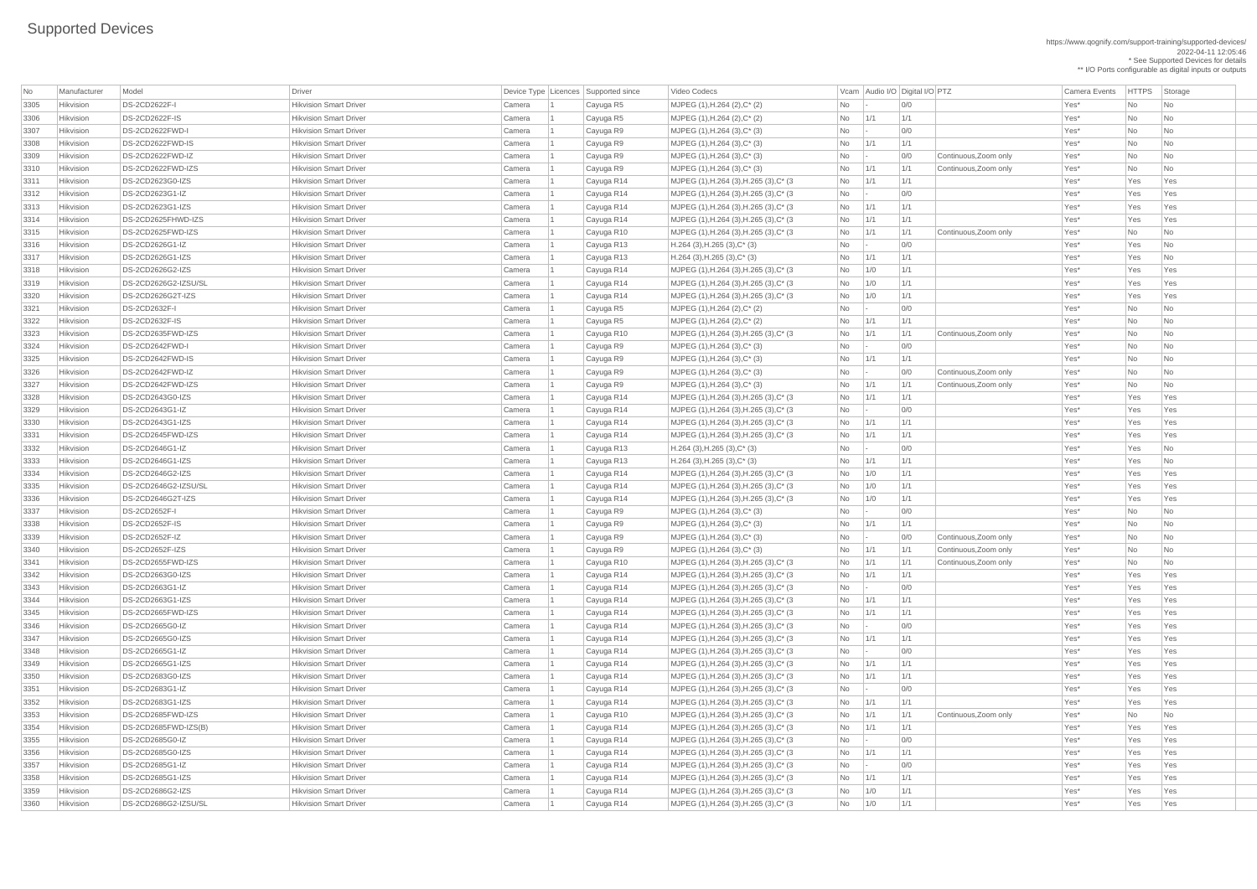https://www.qognify.com/support-training/supported-devices/ 2022-04-11 12:05:46 \* See Supported Devices for details \*\* I/O Ports configurable as digital inputs or outputs

Video Codecs **No Manufacturer Model Driver Audio I/O** Digital I/O PTZ Camera Events HTTPS Storage | MJPEG (1),H.264 (3),H.265 (3),C\* (3  $\qquad$  No 1/1 1/1 1/1 No 1/1 Xes\* Yes Yes Yes | MJPEG (1),H.264 (3),H.265 (3),C\* (3  $\qquad$  No  $\qquad$  - 0/0  $\qquad$  00 Yes\* Yes Yes Yes | MJPEG (1),H.264 (3),H.265 (3),C\* (3  $\qquad$  No 1/1 1/1 1/1 No 1/1 Xes\* Yes Yes Yes 3314 Hikvision DS-2CD2625FHWD-IZS Hikvision Smart Driver Camera 1 Cayuga R14 MJPEG (1),H.264 (3),H.265 (3),C\* (3 No 1/1 1/1 Yes\* Yes Yes | MJPEG (1),H.264 (3),H.265 (3),C\* (3  $\qquad$  No 1/1 1/1 Continuous,Zoom only Yes\* No No | MJPEG (1),H.264 (3),H.265 (3),C\* (3  $\qquad$  No 1/0 1/1 1 No 11/1 Yes\* Yes Yes Yes | MJPEG (1),H.264 (3),H.265 (3),C\* (3  $\qquad$  No 1/0 1/1 1 No 11/1 Yes\* Yes Yes Yes | MJPEG (1),H.264 (3),H.265 (3),C\* (3  $\vert$  No  $\vert$  1/0  $\vert$  1/1  $\vert$  1/1  $\vert$  Yes\*  $\vert$  Yes Yes Yes  $\vert$  MJPEG (1),H.264 (3),H.265 (3),C\* (3  $\vert$  No  $\vert$  1/1  $\vert$  1/1  $\vert$  Continuous,Zoom only  $\vert$  Yes\*  $\vert$  No  $\vert$  No  $\vert$  No  $\vert$ | MJPEG (1),H.264 (3),H.265 (3),C\* (3  $\qquad$  No 1/1 1/1 1/1 No 1/1 1/1 Yes\* Yes Yes Yes | MJPEG (1),H.264 (3),H.265 (3),C\* (3  $\qquad$  No  $\qquad$  - 0/0  $\qquad$  00 Yes\* Yes Yes Yes Yes | MJPEG (1),H.264 (3),H.265 (3),C\* (3  $\qquad$  No 1/1 1/1 1/1 No 1/1 1/1 Yes\* Yes Yes Yes | MJPEG (1),H.264 (3),H.265 (3),C\* (3  $\qquad$  No 1/1 1/1 1/1 No 1/1 Xes\* Yes Yes Yes | MJPEG (1),H.264 (3),H.265 (3),C\* (3  $\qquad$  No  $\qquad$  1/0  $\qquad$  1/1  $\qquad$  Yes\* Yes Yes Yes | MJPEG (1),H.264 (3),H.265 (3),C\* (3  $\qquad$  No 1/0 1/1 1 No 11/1 Yes\* Yes Yes Yes | MJPEG (1),H.264 (3),H.265 (3),C\* (3  $\qquad$  No 1/0 1/1 1 No 11/1 Yes\* Yes Yes Yes  $\vert$  MJPEG (1),H.264 (3),H.265 (3),C\* (3  $\vert$  No  $\vert$  1/1  $\vert$  1/1  $\vert$  Continuous,Zoom only  $\vert$  Yes\*  $\vert$  No  $\vert$  No  $\vert$  No  $\vert$ | MJPEG (1),H.264 (3),H.265 (3),C\* (3  $\qquad$  No 1/1 1/1 1/1 No 1/1 1/1 Yes\* Yes Yes Yes | MJPEG (1),H.264 (3),H.265 (3),C\* (3  $\qquad$  No  $\qquad$  - 0/0  $\qquad$  00 Yes\* Yes Yes Yes | MJPEG (1),H.264 (3),H.265 (3),C\* (3  $\qquad$  No 1/1 1/1 1/1 No 1/1 Xes\* Yes Yes Yes | MJPEG (1),H.264 (3),H.265 (3),C\* (3  $\qquad$  No 1/1 1/1 1/1 No 1/1 Xes\* Yes Yes Yes | MJPEG (1),H.264 (3),H.265 (3),C\* (3  $\qquad$  No  $\qquad$  - 0/0  $\qquad$  00 Yes\* Yes Yes Yes | MJPEG (1),H.264 (3),H.265 (3),C\* (3  $\qquad$  No 1/1 1/1 1/1 2 No 2012 Tes\* Yes\* Yes Yes Yes | MJPEG (1),H.264 (3),H.265 (3),C\* (3  $\qquad$  No  $\qquad$  - 0/0  $\qquad$  00 Yes\* Yes Yes Yes Yes | MJPEG (1),H.264 (3),H.265 (3),C\* (3  $\qquad$  No 1/1 1/1 1/1 No 2010 1 No 2010 1 No 2010 1/1 2000 1/1 Ves\* Yes Yes | MJPEG (1),H.264 (3),H.265 (3),C\* (3  $\qquad$  No 1/1 1/1 1/1 No 11/1 Ves\* Yes Yes Yes | MJPEG (1),H.264 (3),H.265 (3),C\* (3  $\qquad$  No  $\qquad$  - 0/0  $\qquad$  01  $\qquad$  Yes\* Yes Yes Yes | MJPEG (1),H.264 (3),H.265 (3),C\* (3  $\qquad$  No  $\qquad$  1/1  $\qquad$  1/1  $\qquad$  1/1  $\qquad$  Yes\* Yes Yes Yes  $\vert$  MJPEG (1),H.264 (3),H.265 (3),C\* (3  $\vert$  No  $\vert$  1/1  $\vert$  1/1  $\vert$  Continuous,Zoom only  $\vert$  Yes\*  $\vert$  No  $\vert$  No  $\vert$  No  $\vert$ | MJPEG (1),H.264 (3),H.265 (3),C\* (3  $\qquad$  No 1/1 1/1 1/1 No 1/1 Xes\* Yes Yes Yes | MJPEG (1),H.264 (3),H.265 (3),C\* (3  $\qquad$  No  $\qquad$  - 0/0  $\qquad$  01  $\qquad$  Yes\* Yes Yes Yes | MJPEG (1),H.264 (3),H.265 (3),C\* (3  $\qquad$  No 1/1 1/1 1/1 No 1/1 Xes\* Yes Yes Yes | MJPEG (1),H.264 (3),H.265 (3),C\* (3  $\qquad$  No  $\qquad$  - 0/0  $\qquad$  00 Yes\* Yes Yes Yes | MJPEG (1),H.264 (3),H.265 (3),C\* (3  $\qquad$  No  $\qquad$  1/1  $\qquad$  1/1  $\qquad$  1/1  $\qquad$  Yes\* Yes Yes Yes | MJPEG (1),H.264 (3),H.265 (3),C\* (3  $\qquad$  No 1/0 1/1 1 No 11/1 Yes\* Yes Yes Yes | MJPEG (1),H.264 (3),H.265 (3),C\* (3  $\qquad$  No  $\qquad$  1/0  $\qquad$  1/1  $\qquad$  Yes\* Yes Yes Yes

| <b>No</b> | Manufacturer | Model                  | <b>Driver</b>                 |                  | Device Type Licences Supported since | Video Codecs                               |                |             | Vcam Audio I/O Digital I/O PTZ |                               | <b>Camera Events</b> | HTTPS Sto |                             |
|-----------|--------------|------------------------|-------------------------------|------------------|--------------------------------------|--------------------------------------------|----------------|-------------|--------------------------------|-------------------------------|----------------------|-----------|-----------------------------|
| 3305      | Hikvision    | <b>DS-2CD2622F-I</b>   | <b>Hikvision Smart Driver</b> | Camera           | Cayuga R5                            | MJPEG (1), H.264 (2), C* (2)               | No             |             | 0/0                            | Yes*                          |                      | No        | $\overline{\phantom{a}}$ Nc |
| 3306      | Hikvision    | DS-2CD2622F-IS         | <b>Hikvision Smart Driver</b> | Camera           | Cayuga R5                            | MJPEG (1), H.264 (2), C* (2)               | No             | 1/1         | 1/1                            | Yes*                          |                      | No        | $\overline{\phantom{a}}$ Nc |
| 3307      | Hikvision    | DS-2CD2622FWD-I        | <b>Hikvision Smart Driver</b> | Camera           | Cayuga R9                            | $MJPEG (1), H.264 (3), C^* (3)$            | No             |             | 0/0                            | Yes*                          |                      | No        | <b>Nc</b>                   |
| 3308      | Hikvision    | DS-2CD2622FWD-IS       | <b>Hikvision Smart Driver</b> | Camera           | Cayuga R9                            | $MJPEG (1), H.264 (3), C^* (3)$            | No             | 1/1         | 1/1                            | Yes*                          |                      | No        | <b>Nc</b>                   |
| 3309      | Hikvision    | DS-2CD2622FWD-IZ       | <b>Hikvision Smart Driver</b> | Camera           | Cayuga R9                            | $MJPEG (1), H.264 (3), C^* (3)$            | No             |             | 0/0                            | Yes*<br>Continuous, Zoom only |                      | No        | $\overline{\phantom{a}}$ Nc |
| 3310      | Hikvision    | DS-2CD2622FWD-IZS      | <b>Hikvision Smart Driver</b> | Camera           | Cayuga R9                            | MJPEG (1), H.264 (3), C* (3)               | No             | 1/1         | 1/1                            | Yes*<br>Continuous, Zoom only |                      | No        | $\overline{\phantom{a}}$ Nc |
| 3311      | Hikvision    | DS-2CD2623G0-IZS       | <b>Hikvision Smart Driver</b> | Camera           | Cayuga R14                           | MJPEG (1), H.264 (3), H.265 (3), C* (3)    | No             | 1/1         | 1/1                            | Yes*                          |                      | Yes       | Ye                          |
| 3312      | Hikvision    | DS-2CD2623G1-IZ        | <b>Hikvision Smart Driver</b> | Camera           | Cayuga R14                           | MJPEG (1), H.264 (3), H.265 (3), C* (3)    | No             |             | 0/0                            | Yes*                          |                      | Yes       | $\mathsf{Ye}$               |
| 3313      | Hikvision    | DS-2CD2623G1-IZS       | <b>Hikvision Smart Driver</b> | Camera           | Cayuga R14                           | MJPEG (1), H.264 (3), H.265 (3), C* (3)    | No             | 1/1         | 1/1                            | Yes*                          |                      | Yes       | Ye                          |
| 3314      | Hikvision    | DS-2CD2625FHWD-IZS     | <b>Hikvision Smart Driver</b> | Camera           | Cayuga R14                           | MJPEG (1), H.264 (3), H.265 (3), C* (3)    | No             | 1/1         | 1/1                            | Yes*                          |                      | Yes       | Ye                          |
| 3315      | Hikvision    | DS-2CD2625FWD-IZS      | <b>Hikvision Smart Driver</b> | Camera           | Cayuga R10                           | MJPEG (1), H.264 (3), H.265 (3), C* (3)    | No             | 1/1         | 1/1                            | Continuous, Zoom only<br>Yes* |                      | No        | <b>Nc</b>                   |
| 3316      | Hikvision    | DS-2CD2626G1-IZ        | <b>Hikvision Smart Driver</b> | Camera           | Cayuga R13                           | $H.264$ (3), H.265 (3), C* (3)             | No             |             | 0/0                            | Yes*                          |                      | Yes       | $\overline{\phantom{a}}$ Nc |
| 3317      | Hikvision    | DS-2CD2626G1-IZS       | <b>Hikvision Smart Driver</b> | Camera           | Cayuga R13                           | $H.264$ (3), H.265 (3), C <sup>*</sup> (3) | No             | 1/1         | 1/1                            | Yes*                          |                      | Yes       | $\overline{\phantom{a}}$ Nc |
| 3318      | Hikvision    | DS-2CD2626G2-IZS       | <b>Hikvision Smart Driver</b> | Camera           | Cayuga R14                           | MJPEG (1), H.264 (3), H.265 (3), C* (3)    | N <sub>o</sub> | 1/0         | 1/1                            | Yes*                          |                      | Yes       | Ye                          |
| 3319      | Hikvision    | DS-2CD2626G2-IZSU/SL   | <b>Hikvision Smart Driver</b> | Camera           | Cayuga R14                           | MJPEG (1), H.264 (3), H.265 (3), C* (3)    | No             | 1/0         | 1/1                            | Yes*                          |                      | Yes       | $\mathsf{Ye}$               |
| 3320      | Hikvision    | DS-2CD2626G2T-IZS      | <b>Hikvision Smart Driver</b> | Camera           | Cayuga R14                           | MJPEG (1), H.264 (3), H.265 (3), C* (3)    | No             | 1/0         | 1/1                            | Yes*                          |                      | Yes       | Ye                          |
| 3321      | Hikvision    | DS-2CD2632F-I          | <b>Hikvision Smart Driver</b> | Camera           | Cayuga R5                            | MJPEG (1), H.264 (2), C* (2)               | No             |             | 0/0                            | Yes*                          |                      | No        | $\overline{\phantom{a}}$ Nc |
| 3322      | Hikvision    | DS-2CD2632F-IS         | <b>Hikvision Smart Driver</b> | Camera           | Cayuga R5                            | MJPEG (1), H.264 (2), C* (2)               | No             | 1/1         | 1/1                            | Yes*                          |                      | No        | $\overline{\phantom{a}}$ Nc |
| 3323      | Hikvision    | DS-2CD2635FWD-IZS      | <b>Hikvision Smart Driver</b> | Camera           | Cayuga R10                           | MJPEG (1), H.264 (3), H.265 (3), C* (3)    | No             | 1/1         | 1/1                            | Continuous, Zoom only<br>Yes* |                      | No        | $\overline{\phantom{a}}$ Nc |
| 3324      | Hikvision    | DS-2CD2642FWD-I        | <b>Hikvision Smart Driver</b> | Camera           | Cayuga R9                            | $MJPEG (1), H.264 (3), C^* (3)$            | No             |             | 0/0                            | Yes*                          |                      | No        | $\overline{\phantom{a}}$ Nc |
| 3325      | Hikvision    | DS-2CD2642FWD-IS       | <b>Hikvision Smart Driver</b> | Camera           | Cayuga R9                            | $MJPEG (1), H.264 (3), C^* (3)$            | No             | 1/1         | 1/1                            | Yes*                          |                      | No        | <b>Nc</b>                   |
| 3326      | Hikvision    | DS-2CD2642FWD-IZ       | <b>Hikvision Smart Driver</b> | Camera           | Cayuga R9                            | $MJPEG (1), H.264 (3), C^* (3)$            | No             |             | 0/0                            | Continuous, Zoom only<br>Yes* |                      | No        | $\overline{\phantom{a}}$ Nc |
| 3327      | Hikvision    | DS-2CD2642FWD-IZS      | <b>Hikvision Smart Driver</b> | Camera           | Cayuga R9                            | MJPEG (1), H.264 (3), C* (3)               | No             | 1/1         | 1/1                            | Continuous, Zoom only<br>Yes* |                      | No        | $\overline{\phantom{a}}$ Nc |
| 3328      | Hikvision    | DS-2CD2643G0-IZS       | <b>Hikvision Smart Driver</b> | Camera           | Cayuga R14                           | MJPEG (1), H.264 (3), H.265 (3), C* (3)    | No             | 1/1         | 1/1                            | Yes*                          |                      | Yes       | Ye                          |
| 3329      | Hikvision    | DS-2CD2643G1-IZ        | <b>Hikvision Smart Driver</b> | Camera           | Cayuga R14                           | MJPEG (1), H.264 (3), H.265 (3), C* (3)    | No             |             | 0/0                            | Yes*                          |                      | Yes       | $ $ Ye                      |
| 3330      | Hikvision    | DS-2CD2643G1-IZS       | <b>Hikvision Smart Driver</b> | Camera           | Cayuga R14                           | MJPEG (1), H.264 (3), H.265 (3), C* (3)    | No             | $\vert$ 1/1 | 1/1                            | Yes*                          |                      | Yes       | $ $ Ye                      |
| 3331      | Hikvision    | DS-2CD2645FWD-IZS      | <b>Hikvision Smart Driver</b> | Camera           | Cayuga R14                           | MJPEG (1), H.264 (3), H.265 (3), C* (3)    | No             | 1/1         | 1/1                            | Yes*                          |                      | Yes       | $\mathsf{Ye}$               |
| 3332      | Hikvision    | DS-2CD2646G1-IZ        | <b>Hikvision Smart Driver</b> | Camera           | Cayuga R13                           | $H.264$ (3), H.265 (3), C* (3)             | No             |             | 0/0                            | Yes*                          |                      | Yes       | $\overline{\phantom{a}}$ Nc |
| 3333      | Hikvision    | DS-2CD2646G1-IZS       | <b>Hikvision Smart Driver</b> | Camera           | Cayuga R13                           | $H.264$ (3), H.265 (3), C* (3)             | No             | 1/1         | 1/1                            | Yes*                          |                      | Yes       | $\overline{\phantom{a}}$ Nc |
| 3334      | Hikvision    | DS-2CD2646G2-IZS       | <b>Hikvision Smart Driver</b> | Camera           | Cayuga R14                           | MJPEG (1), H.264 (3), H.265 (3), C* (3)    | No             | 1/0         | 1/1                            | Yes*                          |                      | Yes       | Ye                          |
| 3335      | Hikvision    | DS-2CD2646G2-IZSU/SL   | <b>Hikvision Smart Driver</b> | Camera           | Cayuga R14                           | MJPEG (1), H.264 (3), H.265 (3), C* (3)    | No             | 1/0         | 1/1                            | Yes*                          |                      | Yes       | Ye                          |
| 3336      | Hikvision    | DS-2CD2646G2T-IZS      | <b>Hikvision Smart Driver</b> | Camera           | Cayuga R14                           | MJPEG (1), H.264 (3), H.265 (3), C* (3)    | No             | 1/0         | 1/1                            | Yes*                          |                      | Yes       | Ye                          |
| 3337      | Hikvision    | DS-2CD2652F-I          | <b>Hikvision Smart Driver</b> | Camera           | Cayuga R9                            | $MJPEG (1), H.264 (3), C^* (3)$            | No             |             | 0/0                            | Yes*                          |                      | No        | $\overline{\phantom{a}}$ Nc |
| 3338      | Hikvision    | DS-2CD2652F-IS         | <b>Hikvision Smart Driver</b> | Camera           | Cayuga R9                            | $MJPEG (1), H.264 (3), C^* (3)$            | No             | 1/1         | 1/1                            | Yes*                          |                      | No        | <b>Nc</b>                   |
| 3339      | Hikvision    | DS-2CD2652F-IZ         | <b>Hikvision Smart Driver</b> |                  |                                      | $MJPEG (1), H.264 (3), C^* (3)$            | No             |             | 0/0                            | Continuous, Zoom only<br>Yes* |                      | No        | $\overline{\phantom{a}}$ Nc |
| 3340      | Hikvision    | DS-2CD2652F-IZS        | <b>Hikvision Smart Driver</b> | Camera<br>Camera | Cayuga R9<br>Cayuga R9               | $MJPEG (1), H.264 (3), C^* (3)$            | No             | 1/1         | 1/1                            | Yes*<br>Continuous, Zoom only |                      | No        | $\overline{\phantom{a}}$ Nc |
| 3341      | Hikvision    | DS-2CD2655FWD-IZS      | <b>Hikvision Smart Driver</b> | Camera           |                                      |                                            | No             | 1/1         | 1/1                            | Continuous, Zoom only<br>Yes* |                      | <b>No</b> | <b>Nc</b>                   |
| 3342      | Hikvision    | DS-2CD2663G0-IZS       | <b>Hikvision Smart Driver</b> |                  | Cayuga R10                           | MJPEG (1), H.264 (3), H.265 (3), C* (3)    |                |             | 1/1                            | Yes*                          |                      | Yes       |                             |
|           |              |                        |                               | Camera           | Cayuga R14                           | MJPEG (1), H.264 (3), H.265 (3), C* (3)    | No             | 1/1         |                                |                               |                      |           | Ye                          |
| 3343      | Hikvision    | DS-2CD2663G1-IZ        | <b>Hikvision Smart Driver</b> | Camera           | Cayuga R14                           | MJPEG (1), H.264 (3), H.265 (3), C* (3)    | No             |             | 0/0                            | Yes*                          |                      | Yes       | $\mathsf{Ye}$               |
| 3344      | Hikvision    | DS-2CD2663G1-IZS       | <b>Hikvision Smart Driver</b> | Camera           | Cayuga R14                           | MJPEG (1), H.264 (3), H.265 (3), C* (3)    | No             | 1/1         | 1/1                            | Yes*                          |                      | Yes       | $\mathsf{Ye}$               |
| 3345      | Hikvision    | DS-2CD2665FWD-IZS      | <b>Hikvision Smart Driver</b> | Camera           | Cayuga R14                           | MJPEG (1), H.264 (3), H.265 (3), C* (3     | No             | 1/1         | 1/1<br>0/0                     | Yes*                          |                      | Yes       | Ye                          |
| 3346      | Hikvision    | DS-2CD2665G0-IZ        | <b>Hikvision Smart Driver</b> | Camera           | Cayuga R14                           | MJPEG (1), H.264 (3), H.265 (3), C* (3)    | No             |             |                                | Yes*                          |                      | Yes       | Ye                          |
| 3347      | Hikvision    | DS-2CD2665G0-IZS       | <b>Hikvision Smart Driver</b> | Camera           | Cayuga R14                           | MJPEG (1), H.264 (3), H.265 (3), C* (3)    | No             | 1/1         | 1/1                            | Yes*                          |                      | Yes       | $\mathsf{Ye}$               |
| 3348      | Hikvision    | DS-2CD2665G1-IZ        | <b>Hikvision Smart Driver</b> | Camera           | Cayuga R14                           | MJPEG (1), H.264 (3), H.265 (3), C* (3)    | No             |             | 0/0                            | Yes*                          |                      | Yes       | $\mathsf{Ye}$               |
| 3349      | Hikvision    | DS-2CD2665G1-IZS       | <b>Hikvision Smart Driver</b> | Camera           | Cayuga R14                           | MJPEG (1), H.264 (3), H.265 (3), C* (3)    | No             | 1/1         | 1/1                            | Yes*                          |                      | Yes       | $\mathsf{Ye}$               |
| 3350      | Hikvision    | DS-2CD2683G0-IZS       | <b>Hikvision Smart Driver</b> | Camera           | Cayuga R14                           | MJPEG (1), H.264 (3), H.265 (3), C* (3)    | No             | 1/1         | 1/1                            | Yes*                          |                      | Yes       | Ye                          |
| 3351      | Hikvision    | DS-2CD2683G1-IZ        | <b>Hikvision Smart Driver</b> | Camera           | Cayuga R14                           | MJPEG (1), H.264 (3), H.265 (3), C* (3)    | No             |             | 0/0                            | Yes*                          |                      | Yes       | $ $ Ye                      |
| 3352      | Hikvision    | DS-2CD2683G1-IZS       | <b>Hikvision Smart Driver</b> | Camera           | Cayuga R14                           | MJPEG (1), H.264 (3), H.265 (3), C* (3)    | No             | 1/1         | 1/1                            | Yes*                          |                      | Yes       | Ye                          |
| 3353      | Hikvision    | DS-2CD2685FWD-IZS      | <b>Hikvision Smart Driver</b> | Camera           | Cayuga R10                           | MJPEG (1), H.264 (3), H.265 (3), C* (3)    | No             | 1/1         | 1/1                            | Continuous, Zoom only<br>Yes* |                      | No        | $\overline{\phantom{a}}$ Nc |
| 3354      | Hikvision    | $DS-2CD2685FWD-IZS(B)$ | <b>Hikvision Smart Driver</b> | Camera           | Cayuga R14                           | MJPEG (1), H.264 (3), H.265 (3), C* (3)    | No             | 1/1         | 1/1                            | Yes*                          |                      | Yes       | $\mathsf{Ye}$               |
| 3355      | Hikvision    | DS-2CD2685G0-IZ        | <b>Hikvision Smart Driver</b> | Camera           | Cayuga R14                           | MJPEG (1), H.264 (3), H.265 (3), C* (3)    | No             |             | 0/0                            | Yes*                          |                      | Yes       | $\mathsf{Ye}$               |
| 3356      | Hikvision    | DS-2CD2685G0-IZS       | <b>Hikvision Smart Driver</b> | Camera           | Cayuga R14                           | MJPEG (1), H.264 (3), H.265 (3), C* (3)    | No             | 1/1         | 1/1                            | Yes*                          |                      | Yes       |                             |
| 3357      | Hikvision    | DS-2CD2685G1-IZ        | <b>Hikvision Smart Driver</b> | Camera           | Cayuga R14                           | MJPEG (1), H.264 (3), H.265 (3), C* (3)    | No             |             | 0/0                            | Yes*                          |                      | Yes       | Ye                          |
| 3358      | Hikvision    | DS-2CD2685G1-IZS       | <b>Hikvision Smart Driver</b> | Camera           | Cayuga R14                           | MJPEG (1), H.264 (3), H.265 (3), C* (3)    | No             | 1/1         | 1/1                            | Yes*                          |                      | Yes       | Ye                          |
| 3359      | Hikvision    | DS-2CD2686G2-IZS       | <b>Hikvision Smart Driver</b> | Camera           | Cayuga R14                           | MJPEG (1), H.264 (3), H.265 (3), C* (3     | No             | 1/0         | 1/1                            | Yes*                          |                      | Yes       | $ $ Ye                      |
| 3360      | Hikvision    | DS-2CD2686G2-IZSU/SL   | <b>Hikvision Smart Driver</b> | Camera           | Cayuga R14                           | MJPEG (1), H.264 (3), H.265 (3), C* (3)    | No             | 1/0         | 1/1                            | Yes*                          |                      | Yes       | $ $ Ye                      |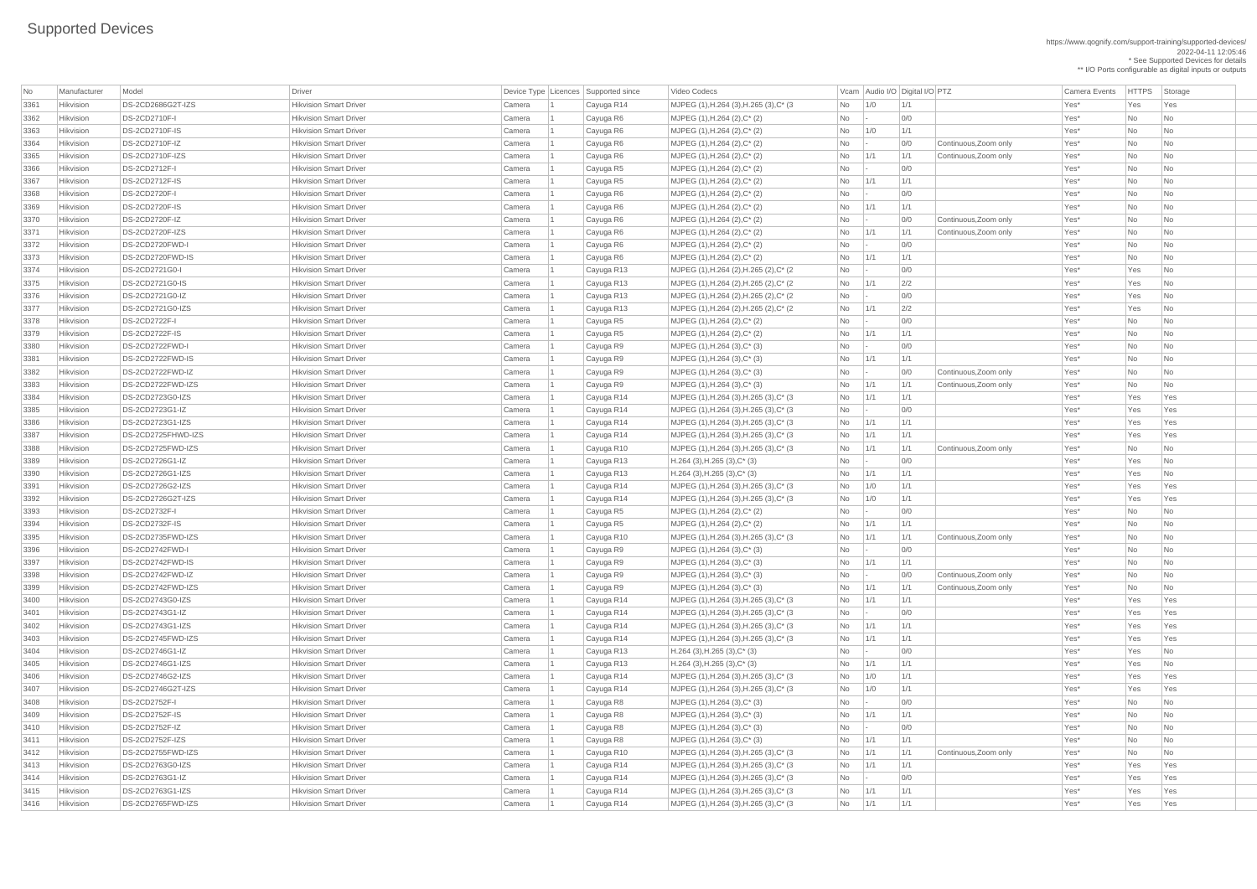https://www.qognify.com/support-training/supported-devices/

2022-04-11 12:05:46

\* See Supported Devices for details

\*\* I/O Ports configurable as digital inputs or outputs | MJPEG (1),H.264 (3),H.265 (3),C\* (3  $\qquad$  No 1/0 1/1 1 No 11/1 Yes\* Yes Yes Yes | MJPEG (1),H.264 (2),H.265 (2),C\* (2  $\qquad \qquad$  No  $\qquad$  - 0/0  $\qquad \qquad$  Yes\* Yes No  $\qquad$ | MJPEG (1),H.264 (2),H.265 (2),C\* (2  $\qquad \qquad$  No  $\qquad$  1/1  $\qquad$  2/2  $\qquad \qquad$  Yes\* Yes No No 1/1 | MJPEG (1),H.264 (2),H.265 (2),C\* (2  $\qquad \qquad$  No  $\qquad$  -  $\qquad$  0/0  $\qquad$  |  $\qquad$  Yes\* Yes No  $\qquad$ | MJPEG (1),H.264 (2),H.265 (2),C\* (2  $\qquad \qquad$  No  $\qquad$  1/1  $\qquad$  2/2  $\qquad \qquad$  Yes\* Yes No | MJPEG (1),H.264 (3),H.265 (3),C\* (3  $\qquad$  No 1/1 1/1 1/1 No 1/1 1/1 Yes\* Yes Yes Yes | MJPEG (1),H.264 (3),H.265 (3),C\* (3  $\qquad$  No  $\qquad$  - 0/0  $\qquad$  00 Yes\* Yes Yes Yes Yes | MJPEG (1),H.264 (3),H.265 (3),C\* (3  $\qquad$  No 1/1 1/1 1/1 No 1/1 1/1 Yes\* Yes Yes Yes | MJPEG (1),H.264 (3),H.265 (3),C\* (3  $\qquad$  No 1/1 1/1 1/1 | 1/1 Ves\* Yes Yes Yes Hikvision DS-2CD2725FWD-IZS Hikvision Smart Driver Camera 1 Cayuga R10 MJPEG (1),H.264 (3),H.265 (3),C\* (3 No 1/1 1/1 Continuous,Zoom only Yes\* No No | MJPEG (1),H.264 (3),H.265 (3),C\* (3  $\qquad$  No 1/0 1/1 1 No 11/1 Yes\* Yes Yes Yes | MJPEG (1),H.264 (3),H.265 (3),C\* (3  $\qquad$  No 1/0 1/1 1 No 11/1 Yes\* Yes Yes Yes  $\vert$  MJPEG (1),H.264 (3),H.265 (3),C\* (3  $\vert$  No  $\vert$  1/1  $\vert$  1/1  $\vert$  Continuous,Zoom only  $\vert$  Yes\*  $\vert$  No  $\vert$  No  $\vert$  No  $\vert$ | MJPEG (1),H.264 (3),H.265 (3),C\* (3  $\qquad$  No 1/1 1/1 1/1 No 1/1 Xes\* Yes Yes Yes | MJPEG (1),H.264 (3),H.265 (3),C\* (3  $\qquad$  No  $\qquad$  - 0/0  $\qquad$  01  $\qquad$  Yes\* Yes Yes Yes | MJPEG (1),H.264 (3),H.265 (3),C\* (3  $\qquad$  No 1/1 1/1 1/1  $\qquad$  No 1/1  $\qquad$  Yes\* Yes Yes Yes | MJPEG (1),H.264 (3),H.265 (3),C\* (3  $\qquad$  No 1/1 1/1 1/1  $\qquad$  No 1/1 1/1  $\qquad$  Yes\* Yes Yes Yes | MJPEG (1),H.264 (3),H.265 (3),C\* (3  $\qquad$  No 1/0 1/1 1 No 11/1 Yes\* Yes Yes Yes Hikvision DS-2CD2746G2T-IZS Hikvision Smart Driver Camera 1 Cayuga R14 MJPEG (1),H.264 (3),H.265 (3),C\* (3 No 1/0 1/1 Yes\* Yes Yes

| No   | Manufacturer | Model                 | <b>Driver</b>                 |        | Device Type   Licences   Supported since | Video Codecs                                       |                          | Vcam Audio I/O Digital I/O PTZ |             |                       | <b>Camera Events</b> | <b>HTTPS</b> | Storage                  |
|------|--------------|-----------------------|-------------------------------|--------|------------------------------------------|----------------------------------------------------|--------------------------|--------------------------------|-------------|-----------------------|----------------------|--------------|--------------------------|
| 3361 | Hikvision    | DS-2CD2686G2T-IZS     | <b>Hikvision Smart Driver</b> | Camera | Cayuga R14                               | MJPEG (1), H.264 (3), H.265 (3), C* (3)            | <b>No</b>                | 1/0                            | 1/1         |                       | Yes*                 | Yes          | Yes                      |
| 3362 | Hikvision    | DS-2CD2710F-I         | <b>Hikvision Smart Driver</b> | Camera | Cayuga R6                                | MJPEG (1), H.264 (2), C* (2)                       | <b>No</b>                | $\sim$                         | 0/0         |                       | Yes*                 | <b>No</b>    | No                       |
| 3363 | Hikvision    | <b>DS-2CD2710F-IS</b> | <b>Hikvision Smart Driver</b> | Camera | Cayuga R6                                | MJPEG (1), H.264 (2), C* (2)                       | <b>No</b>                | 1/0                            | 1/1         |                       | Yes*                 | <b>No</b>    | No                       |
| 3364 | Hikvision    | DS-2CD2710F-IZ        | <b>Hikvision Smart Driver</b> | Camera | Cayuga R6                                | MJPEG (1), H.264 (2), C* (2)                       | No                       | $\sim$                         | 0/0         | Continuous, Zoom only | Yes*                 | <b>No</b>    | No                       |
| 3365 | Hikvision    | DS-2CD2710F-IZS       | <b>Hikvision Smart Driver</b> | Camera | Cayuga R6                                | MJPEG (1), H.264 (2), C* (2)                       | <b>No</b>                | 1/1                            | 1/1         | Continuous, Zoom only | Yes*                 | No           | N <sub>o</sub>           |
| 3366 | Hikvision    | DS-2CD2712F-I         | <b>Hikvision Smart Driver</b> | Camera | Cayuga R5                                | MJPEG (1), H.264 (2), C* (2)                       | No                       | $\sim$                         | 0/0         |                       | Yes*                 | <b>No</b>    | No                       |
| 3367 | Hikvision    | <b>DS-2CD2712F-IS</b> | <b>Hikvision Smart Driver</b> | Camera | Cayuga R5                                | MJPEG (1), H.264 (2), C* (2)                       | <b>No</b>                | 1/1                            | 1/1         |                       | Yes*                 | <b>No</b>    | N <sub>o</sub>           |
| 3368 | Hikvision    | DS-2CD2720F-I         | <b>Hikvision Smart Driver</b> | Camera | Cayuga R6                                | MJPEG (1), H.264 (2), C* (2)                       | No                       | $\sim$                         | 0/0         |                       | Yes*                 | No           | N <sub>o</sub>           |
| 3369 | Hikvision    | <b>DS-2CD2720F-IS</b> | <b>Hikvision Smart Driver</b> | Camera | Cayuga R6                                | MJPEG (1), H.264 (2), C* (2)                       | <b>No</b>                | 1/1                            | 1/1         |                       | Yes*                 | <b>No</b>    | N <sub>o</sub>           |
| 3370 | Hikvision    | DS-2CD2720F-IZ        | <b>Hikvision Smart Driver</b> | Camera | Cayuga R6                                | MJPEG (1), H.264 (2), C* (2)                       | No                       | $\sim$                         | 0/0         | Continuous, Zoom only | Yes*                 | No           | No                       |
| 3371 | Hikvision    | DS-2CD2720F-IZS       | <b>Hikvision Smart Driver</b> | Camera | Cayuga R6                                | $MJPEG (1), H.264 (2), C^* (2)$                    | No                       | 1/1                            | 1/1         | Continuous, Zoom only | Yes*                 | <b>No</b>    | $\overline{\mathsf{No}}$ |
| 3372 | Hikvision    | DS-2CD2720FWD-I       | <b>Hikvision Smart Driver</b> | Camera | Cayuga R6                                | MJPEG (1), H.264 (2), C* (2)                       | No                       | $\sim$                         | 0/0         |                       | Yes*                 | <b>No</b>    | No                       |
| 3373 | Hikvision    | DS-2CD2720FWD-IS      | <b>Hikvision Smart Driver</b> | Camera | Cayuga R6                                | MJPEG (1), H.264 (2), C* (2)                       | <b>No</b>                | 1/1                            | 1/1         |                       | Yes*                 | <b>No</b>    | N <sub>o</sub>           |
| 3374 | Hikvision    | DS-2CD2721G0-I        | <b>Hikvision Smart Driver</b> | Camera | Cayuga R13                               | MJPEG (1), H.264 (2), H.265 (2), C* (2)            | No                       | $\sim$                         | 0/0         |                       | Yes*                 | Yes          | No                       |
| 3375 | Hikvision    | DS-2CD2721G0-IS       | <b>Hikvision Smart Driver</b> | Camera | Cayuga R13                               | MJPEG (1), H.264 (2), H.265 (2), C* (2)            | No                       | $\vert$ 1/1                    | 2/2         |                       | Yes*                 | Yes          | N <sub>o</sub>           |
| 3376 | Hikvision    | DS-2CD2721G0-IZ       | <b>Hikvision Smart Driver</b> | Camera | Cayuga R13                               | MJPEG (1), H.264 (2), H.265 (2), C* (2)            | No                       | $\sim$                         | 0/0         |                       | Yes*                 | Yes          | No                       |
| 3377 | Hikvision    | DS-2CD2721G0-IZS      | <b>Hikvision Smart Driver</b> | Camera | Cayuga R13                               | MJPEG (1), H.264 (2), H.265 (2), C* (2)            | No                       | $\vert$ 1/1                    | 2/2         |                       | Yes*                 | Yes          | No                       |
| 3378 | Hikvision    | DS-2CD2722F-I         | <b>Hikvision Smart Driver</b> | Camera | Cayuga R5                                | MJPEG (1), H.264 (2), C* (2)                       | <b>No</b>                | $\vert - \vert$                | 0/0         |                       | Yes*                 | <b>No</b>    | No                       |
| 3379 | Hikvision    | DS-2CD2722F-IS        | <b>Hikvision Smart Driver</b> | Camera | Cayuga R5                                | MJPEG (1), H.264 (2), C* (2)                       | <b>No</b>                | 1/1                            | 1/1         |                       | Yes*                 | <b>No</b>    | N <sub>o</sub>           |
| 3380 | Hikvision    | DS-2CD2722FWD-I       | <b>Hikvision Smart Driver</b> | Camera | Cayuga R9                                | $MJPEG (1), H.264 (3), C^* (3)$                    | No                       |                                | 0/0         |                       | Yes*                 | <b>No</b>    | No                       |
| 3381 | Hikvision    | DS-2CD2722FWD-IS      | <b>Hikvision Smart Driver</b> | Camera | Cayuga R9                                | MJPEG (1), H.264 (3), C* (3)                       | <b>No</b>                | 1/1                            | 1/1         |                       | Yes*                 | <b>No</b>    | No                       |
| 3382 | Hikvision    | DS-2CD2722FWD-IZ      | <b>Hikvision Smart Driver</b> | Camera | Cayuga R9                                | $MJPEG (1), H.264 (3), C^* (3)$                    | No                       | $\sim$                         | 0/0         | Continuous, Zoom only | Yes*                 | No           | No                       |
| 3383 | Hikvision    | DS-2CD2722FWD-IZS     | <b>Hikvision Smart Driver</b> | Camera | Cayuga R9                                | $MJPEG (1), H.264 (3), C^* (3)$                    | No                       | 1/1                            | 1/1         | Continuous, Zoom only | Yes*                 | <b>No</b>    | No                       |
| 3384 | Hikvision    | DS-2CD2723G0-IZS      | <b>Hikvision Smart Driver</b> | Camera | Cayuga R14                               | MJPEG (1), H.264 (3), H.265 (3), C* (3)            | No                       | 1/1                            | 1/1         |                       | Yes*                 | Yes          | Yes                      |
| 3385 | Hikvision    | DS-2CD2723G1-IZ       | <b>Hikvision Smart Driver</b> | Camera | Cayuga R14                               | MJPEG (1), H.264 (3), H.265 (3), C* (3)            | No                       |                                | O/O         |                       | Yes*                 | Yes          | Yes                      |
| 3386 | Hikvision    | DS-2CD2723G1-IZS      | <b>Hikvision Smart Driver</b> | Camera | Cayuga R14                               | MJPEG (1), H.264 (3), H.265 (3), C* (3)            | No.                      | $\vert$ 1/1                    | 1/1         |                       | Yes*                 | Yes          | Yes                      |
| 3387 | Hikvision    | DS-2CD2725FHWD-IZS    | <b>Hikvision Smart Driver</b> | Camera | Cayuga R14                               | MJPEG (1), H.264 (3), H.265 (3), C* (3)            | No                       | 1/1                            | 1/1         |                       | Yes*                 | Yes          | Yes                      |
| 3388 | Hikvision    | DS-2CD2725FWD-IZS     | <b>Hikvision Smart Driver</b> | Camera | Cayuga R10                               | MJPEG (1), H.264 (3), H.265 (3), C* (3)            | No                       | 1/1                            | 1/1         | Continuous, Zoom only | Yes*                 | <b>No</b>    | No                       |
| 3389 | Hikvision    | DS-2CD2726G1-IZ       | <b>Hikvision Smart Driver</b> | Camera | Cayuga R13                               | $H.264$ (3), H.265 (3), C* (3)                     | No                       | $\sim$                         | 0/0         |                       | Yes*                 | Yes          | $\overline{\mathsf{No}}$ |
| 3390 | Hikvision    | DS-2CD2726G1-IZS      | <b>Hikvision Smart Driver</b> | Camera | Cayuga R13                               | $H.264$ (3), H.265 (3), C <sup>*</sup> (3)         | <b>No</b>                | 1/1                            | 1/1         |                       | Yes*                 | Yes          | No                       |
| 3391 | Hikvision    | DS-2CD2726G2-IZS      | <b>Hikvision Smart Driver</b> | Camera | Cayuga R14                               | MJPEG (1), H.264 (3), H.265 (3), C* (3)            | <b>No</b>                | 1/0                            | 1/1         |                       | Yes*                 | Yes          | Yes                      |
| 3392 | Hikvision    | DS-2CD2726G2T-IZS     | <b>Hikvision Smart Driver</b> | Camera | Cayuga R14                               | MJPEG (1), H.264 (3), H.265 (3), C* (3)            | No                       | 1/0                            | 1/1         |                       | Yes*                 | Yes          | Yes                      |
| 3393 | Hikvision    | <b>DS-2CD2732F-I</b>  | <b>Hikvision Smart Driver</b> | Camera | Cayuga R5                                | MJPEG (1), H.264 (2), C* (2)                       | No                       | $\vert$ =                      | 0/0         |                       | Yes*                 | No           | N <sub>o</sub>           |
| 3394 | Hikvision    | DS-2CD2732F-IS        | <b>Hikvision Smart Driver</b> | Camera | Cayuga R5                                | MJPEG (1), H.264 (2), C* (2)                       | <b>No</b>                | 1/1                            | 1/1         |                       | Yes*                 | No           | $\overline{\mathsf{No}}$ |
| 3395 | Hikvision    | DS-2CD2735FWD-IZS     | <b>Hikvision Smart Driver</b> | Camera | Cayuga R10                               | $MJPEG (1), H.264 (3), H.265 (3), C^* (3)$         | No                       | 1/1                            | 1/1         | Continuous, Zoom only | Yes*                 | <b>No</b>    | No                       |
| 3396 | Hikvision    | DS-2CD2742FWD-I       | <b>Hikvision Smart Driver</b> | Camera | Cayuga R9                                | $MJPEG (1), H.264 (3), C^* (3)$                    | No                       | $\vert - \vert$                | 0/0         |                       | Yes*                 | <b>No</b>    | No                       |
| 3397 | Hikvision    | DS-2CD2742FWD-IS      | <b>Hikvision Smart Driver</b> | Camera | Cayuga R9                                | $MJPEG (1), H.264 (3), C^* (3)$                    | <b>No</b>                | 1/1                            | 1/1         |                       | Yes*                 | <b>No</b>    | No                       |
| 3398 | Hikvision    | DS-2CD2742FWD-IZ      | <b>Hikvision Smart Driver</b> | Camera | Cayuga R9                                | MJPEG (1), H.264 (3), C* (3)                       | No                       | $\sim$                         | 0/0         | Continuous, Zoom only | Yes*                 | No           | No                       |
| 3399 | Hikvision    | DS-2CD2742FWD-IZS     | <b>Hikvision Smart Driver</b> | Camera | Cayuga R9                                | MJPEG (1), H.264 (3), C* (3)                       | No                       | 1/1                            | 1/1         | Continuous, Zoom only | Yes*                 | <b>No</b>    | No                       |
| 3400 | Hikvision    | DS-2CD2743G0-IZS      | <b>Hikvision Smart Driver</b> | Camera | Cayuga R14                               | MJPEG (1), H.264 (3), H.265 (3), C* (3)            | No                       | 1/1                            | 1/1         |                       | Yes*                 | Yes          | Yes                      |
| 3401 | Hikvision    | DS-2CD2743G1-IZ       | <b>Hikvision Smart Driver</b> | Camera | Cayuga R14                               | MJPEG (1), H.264 (3), H.265 (3), C* (3)            | No                       | $\mathbf{I}$                   | 0/0         |                       | Yes*                 | Yes          | Yes                      |
| 3402 | Hikvision    | DS-2CD2743G1-IZS      | <b>Hikvision Smart Driver</b> | Camera | Cayuga R14                               | MJPEG (1), H.264 (3), H.265 (3), C* (3)            | No                       | 1/1                            | 1/1         |                       | Yes*                 | Yes          | Yes                      |
| 3403 | Hikvision    | DS-2CD2745FWD-IZS     | <b>Hikvision Smart Driver</b> | Camera | Cayuga R14                               | MJPEG (1), H.264 (3), H.265 (3), C* (3)            | <b>No</b>                | 1/1                            | 1/1         |                       | Yes*                 | Yes          | Yes                      |
| 3404 | Hikvision    | DS-2CD2746G1-IZ       | <b>Hikvision Smart Driver</b> | Camera | Cayuga R13                               | $H.264$ (3), H.265 (3), C* (3)                     | No                       | $\vert - \vert$                | 0/0         |                       | Yes*                 | Yes          | N <sub>0</sub>           |
| 3405 | Hikvision    | DS-2CD2746G1-IZS      | <b>Hikvision Smart Driver</b> | Camera | Cayuga R13                               | $H.264$ (3), H.265 (3), C* (3)                     | No                       | 1/1                            | 1/1         |                       | Yes*                 | Yes          | No                       |
| 3406 | Hikvision    | DS-2CD2746G2-IZS      | <b>Hikvision Smart Driver</b> | Camera | Cayuga R14                               | MJPEG (1), H.264 (3), H.265 (3), C* (3)            | No                       | 1/0                            | 1/1         |                       | Yes*                 | Yes          | Yes                      |
| 3407 | Hikvision    | DS-2CD2746G2T-IZS     | <b>Hikvision Smart Driver</b> | Camera | Cayuga R14                               | MJPEG $(1)$ , H.264 $(3)$ , H.265 $(3)$ , C* $(3)$ | No                       | 1/0                            | 1/1         |                       | Yes*                 | Yes          | Yes                      |
| 3408 | Hikvision    | <b>DS-2CD2752F-I</b>  | <b>Hikvision Smart Driver</b> | Camera | Cayuga R8                                | MJPEG (1), H.264 (3), C* (3)                       | <b>No</b>                |                                | 0/0         |                       | Yes*                 | <b>No</b>    | $\overline{\mathsf{No}}$ |
| 3409 | Hikvision    | DS-2CD2752F-IS        | <b>Hikvision Smart Driver</b> | Camera | Cayuga R8                                | $MJPEG (1), H.264 (3), C^* (3)$                    | <b>No</b>                | 1/1                            | 1/1         |                       | Yes*                 | <b>No</b>    | N <sub>o</sub>           |
| 3410 | Hikvision    | DS-2CD2752F-IZ        | <b>Hikvision Smart Driver</b> | Camera | Cayuga R8                                | MJPEG (1), H.264 (3), C* (3)                       | No                       | $\vert - \vert$                | 0/0         |                       | Yes*                 | <b>No</b>    | No                       |
| 3411 | Hikvision    | DS-2CD2752F-IZS       | <b>Hikvision Smart Driver</b> | Camera | Cayuga R8                                | MJPEG (1), H.264 (3), C* (3)                       | No                       | 1/1                            | 1/1         |                       | Yes*                 | <b>No</b>    | No                       |
| 3412 | Hikvision    | DS-2CD2755FWD-IZS     | <b>Hikvision Smart Driver</b> | Camera | Cayuga R10                               | MJPEG (1), H.264 (3), H.265 (3), C* (3)            | No                       | $\vert$ 1/1                    | 1/1         | Continuous, Zoom only | Yes*                 | No           | No                       |
| 3413 | Hikvision    | DS-2CD2763G0-IZS      | <b>Hikvision Smart Driver</b> | Camera | Cayuga R14                               | MJPEG $(1)$ , H.264 $(3)$ , H.265 $(3)$ , C* $(3)$ | No                       | 1/1                            | $\vert$ 1/1 |                       | Yes*                 | Yes          | Yes                      |
| 3414 | Hikvision    | DS-2CD2763G1-IZ       | <b>Hikvision Smart Driver</b> | Camera | Cayuga R14                               | MJPEG (1), H.264 (3), H.265 (3), C* (3)            | No                       | $\mathbf{I}$                   | 0/0         |                       | Yes*                 | Yes          | Yes                      |
| 3415 | Hikvision    | DS-2CD2763G1-IZS      | <b>Hikvision Smart Driver</b> | Camera | Cayuga R14                               | MJPEG $(1)$ , H.264 $(3)$ , H.265 $(3)$ , C* $(3)$ | No                       | 1/1                            | 1/1         |                       | Yes*                 | Yes          | Yes                      |
| 3416 | Hikvision    | DS-2CD2765FWD-IZS     | <b>Hikvision Smart Driver</b> | Camera | Cayuga R14                               | MJPEG (1), H.264 (3), H.265 (3), C* (3)            | $\overline{\mathsf{No}}$ | 1/1                            | 1/1         |                       | Yes*                 | Yes          | Yes                      |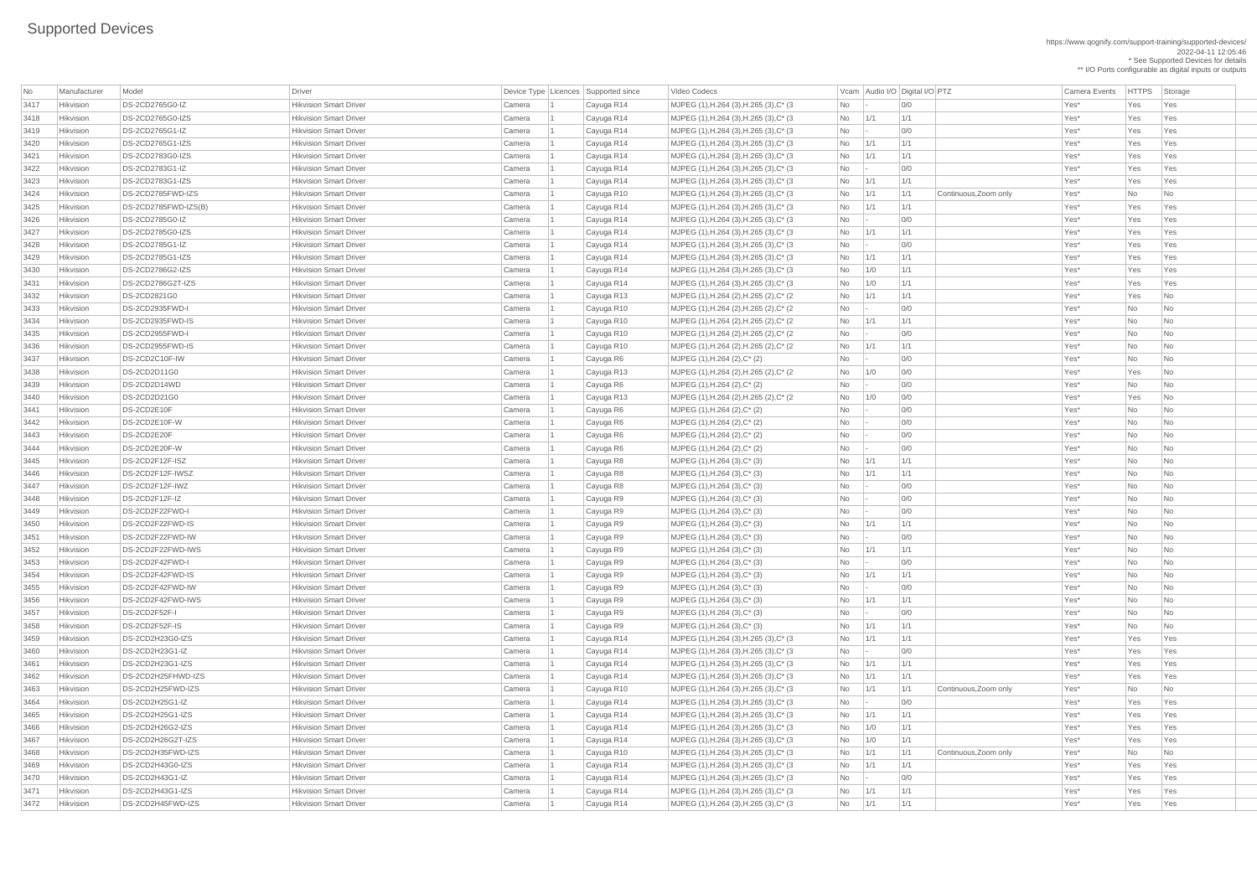https://www.qognify.com/support-training/supported-devices/ 2022-04-11 12:05:46 \* See Supported Devices for details

\*\* I/O Ports configurable as digital inputs or outputs

Video Codecs **No Manufacturer Model Driver Audio I/O Digital I/O PTZ** Camera Events HTTPS Storage | MJPEG (1),H.264 (3),H.265 (3),C\* (3  $\qquad$  No  $\qquad$  - 0/0  $\qquad$  01  $\qquad$  Yes\* Yes Yes Yes | MJPEG (1),H.264 (3),H.265 (3),C\* (3  $\qquad$  No 1/1 1/1 1/1 No 1/1 Xes\* Yes Yes Yes | MJPEG (1),H.264 (3),H.265 (3),C\* (3  $\qquad$  No  $\qquad$  - 0/0  $\qquad$  01  $\qquad$  Yes\* Yes Yes Yes | MJPEG (1),H.264 (3),H.265 (3),C\* (3  $\vert$  No  $\vert$  1/1  $\vert$  1/1  $\vert$  1/1  $\vert$  1/1  $\vert$   $\vert$  Yes\*  $\vert$  Yes  $\vert$  Yes  $\vert$  Yes 3421 Hikvision DS-2CD2783G0-IZS Hikvision Smart Driver Camera 1 Cayuga R14 MJPEG (1),H.264 (3),H.265 (3),C\* (3 No 1/1 1/1 Yes\* Yes Yes | MJPEG (1),H.264 (3),H.265 (3),C\* (3  $\qquad$  No  $\qquad$  - 0/0  $\qquad$  00 Yes\* Yes Yes Yes | MJPEG (1),H.264 (3),H.265 (3),C\* (3  $\qquad$  No 1/1 1/1 1/1 No 1/1 Xes\* Yes Yes Yes 3424 Hikvision DS-2CD2785FWD-IZS Hikvision Smart Driver Camera 1 Cayuga R10 MJPEG (1),H.264 (3),H.265 (3),C\* (3 No 1/1 1/1 Continuous,Zoom only Yes\* No No | MJPEG (1),H.264 (3),H.265 (3),C\* (3  $\qquad$  No 1/1 1/1 | 1/1 No 1/1 | Yes\* Yes Yes Yes | MJPEG (1),H.264 (3),H.265 (3),C\* (3  $\qquad$  No  $\qquad$  - 0/0  $\qquad$  01  $\qquad$  Yes\* Yes Yes Yes | MJPEG (1),H.264 (3),H.265 (3),C\* (3  $\qquad$  No  $\qquad$  1/1  $\qquad$  1/1  $\qquad$  1/1  $\qquad$  Yes\* Yes Yes Yes | MJPEG (1),H.264 (3),H.265 (3),C\* (3  $\qquad$  No  $\qquad$  - 0/0  $\qquad$  00 Yes\* Yes Yes Yes Yes | MJPEG (1),H.264 (3),H.265 (3),C\* (3  $\qquad$  No 1/1 1/1 1/1 No 1/1 Xes\* Yes Yes Yes | MJPEG (1),H.264 (3),H.265 (3),C\* (3  $\qquad$  No 1/0 1/1 1 No 11/1 Yes\* Yes Yes Yes | MJPEG (1),H.264 (3),H.265 (3),C\* (3  $\qquad$  No 1/0 1/1 1 No 11/1 Yes\* Yes Yes Yes | MJPEG (1),H.264 (2),H.265 (2),C\* (2  $\qquad \qquad$  No  $\qquad$  1/1 1/1  $\qquad$  1/1  $\qquad$  Yes\* Yes No 3433 Hikvision DS-2CD2935FWD-I Hikvision Smart Driver Camera 1 Cayuga R10 MJPEG (1),H.264 (2),H.265 (2),C\* (2 No - 0/0 Yes\* No No 3434 Hikvision DS-2CD2935FWD-IS Hikvision Smart Driver Camera 1 Cayuga R10 MJPEG (1),H.264 (2),H.265 (2),C\* (2 No 1/1 1/1 Yes\* No No NJPEG (1),H.264 (2),H.265 (2),C\* (2 No - 0/0 No - 2 No Xes\* No No No 3436 Hikvision DS-2CD2955FWD-IS Hikvision Smart Driver Camera 1 Cayuga R10 MJPEG (1),H.264 (2),H.265 (2),C\* (2 No 1/1 1/1 Yes\* No No | MJPEG (1),H.264 (2),H.265 (2),C\* (2  $\qquad \qquad$  No  $\qquad$  1/0 0/0  $\qquad$  0/0  $\qquad$  Yes\* Yes No NJPEG (1),H.264 (2),H.265 (2),C\* (2 No 1/0 0/0 No 200 Yes\* Yes No | MJPEG (1),H.264 (3),H.265 (3),C\* (3  $\qquad$  No  $\qquad$  1/1  $\qquad$  1/1  $\qquad$  1/1  $\qquad$  Yes\* Yes Yes Yes | MJPEG (1),H.264 (3),H.265 (3),C\* (3  $\qquad$  No  $\qquad$  -  $\qquad$  0/0  $\qquad$  01 Yes\* Yes Yes Yes | MJPEG (1),H.264 (3),H.265 (3),C\* (3  $\qquad$  No  $\qquad$  1/1  $\qquad$  1/1  $\qquad$  1/1  $\qquad$  Yes\* Yes Yes Yes | MJPEG (1),H.264 (3),H.265 (3),C\* (3  $\qquad$  No 1/1 1/1 1/1 No 1/1 Xes\* Yes Yes Yes  $\vert$  MJPEG (1),H.264 (3),H.265 (3),C\* (3  $\vert$   $\vert$  No  $\vert$   $\vert$  1/1  $\vert$   $\vert$  1/1  $\vert$  Continuous,Zoom only  $\vert$  Yes\*  $\vert$  No  $\vert$  No  $\vert$  No  $\vert$ | MJPEG (1),H.264 (3),H.265 (3),C\* (3  $\qquad$  No  $\qquad$  - 0/0  $\qquad$  01  $\qquad$  Yes\* Yes Yes Yes | MJPEG (1),H.264 (3),H.265 (3),C\* (3  $\qquad$  No 1/1 1/1 1/1 No 1/1 Xes\* Yes Yes Yes | MJPEG (1),H.264 (3),H.265 (3),C\* (3  $\qquad$  No 1/0 1/1 1 No 11/1 Yes\* Yes Yes Yes | MJPEG (1),H.264 (3),H.265 (3),C\* (3  $\qquad$  No 1/0 1/1 1 No 11/1 Yes\* Yes Yes Yes  $\vert$  MJPEG (1),H.264 (3),H.265 (3),C\* (3  $\vert$  No  $\vert$  1/1  $\vert$  1/1  $\vert$  Continuous,Zoom only  $\vert$  Yes\*  $\vert$  No  $\vert$  No  $\vert$  No  $\vert$ | MJPEG (1),H.264 (3),H.265 (3),C\* (3  $\qquad$  No 1/1 1/1 1/1 No 1/1 Xes\* Yes Yes Yes MJPEG (1),H.264 (3),H.265 (3),C\* (3 No - 0/0 | 0/0 Yes\* Yes Yes Yes | MJPEG (1),H.264 (3),H.265 (3),C\* (3  $\qquad$  No 1/1 1/1 1/1 No 1/1 Xes\* Yes Yes Yes | MJPEG (1),H.264 (3),H.265 (3),C\* (3  $\qquad$  No  $\qquad$  1/1  $\qquad$  1/1  $\qquad$  1/1  $\qquad$  Yes\* Yes Yes Yes

| No           | Manufacturer | Model                  | Driver                                                         |        | Device Type   Licences   Supported since | Video Codecs                                                    |           |     | Vcam Audio I/O Digital I/O PTZ | <b>Camera Events</b>          |           | HTTPS Sto |                             |
|--------------|--------------|------------------------|----------------------------------------------------------------|--------|------------------------------------------|-----------------------------------------------------------------|-----------|-----|--------------------------------|-------------------------------|-----------|-----------|-----------------------------|
| 3417         | Hikvision    | DS-2CD2765G0-IZ        | <b>Hikvision Smart Driver</b>                                  | Camera | Cayuga R14                               | MJPEG (1), H.264 (3), H.265 (3), C* (3)                         | No        |     | 0/0                            | Yes*                          | Yes       |           | $ $ Ye                      |
| 3418         | Hikvision    | DS-2CD2765G0-IZS       | <b>Hikvision Smart Driver</b>                                  | Camera | Cayuga R14                               | MJPEG (1), H.264 (3), H.265 (3), C* (3)                         | No        | 1/1 | 1/1                            | Yes*                          | Yes       |           | Ye                          |
| 3419         | Hikvision    | DS-2CD2765G1-IZ        | <b>Hikvision Smart Driver</b>                                  | Camera | Cayuga R14                               | MJPEG (1), H.264 (3), H.265 (3), C* (3)                         | No        |     | 0/0                            | Yes*                          | Yes       |           | $\mathsf{Ye}$               |
| 3420         | Hikvision    | DS-2CD2765G1-IZS       | <b>Hikvision Smart Driver</b>                                  | Camera | Cayuga R14                               | MJPEG (1), H.264 (3), H.265 (3), C* (3)                         | No        | 1/1 | 1/1                            | Yes*                          | Yes       |           | Ye                          |
| 3421         | Hikvision    | DS-2CD2783G0-IZS       | <b>Hikvision Smart Driver</b>                                  | Camera | Cayuga R14                               | MJPEG (1), H.264 (3), H.265 (3), C* (3)                         | No        | 1/1 | 1/1                            | Yes*                          | Yes       |           | Ye                          |
| 3422         | Hikvision    | DS-2CD2783G1-IZ        | <b>Hikvision Smart Driver</b>                                  | Camera | Cayuga R14                               | MJPEG (1), H.264 (3), H.265 (3), C* (3)                         | No        |     | 0/0                            | Yes*                          | Yes       |           | $\mathsf{Ye}$               |
| 3423         | Hikvision    | DS-2CD2783G1-IZS       | <b>Hikvision Smart Driver</b>                                  | Camera | Cayuga R14                               | MJPEG (1), H.264 (3), H.265 (3), C* (3)                         | No        | 1/1 | 1/1                            | Yes*                          | Yes       |           | $ $ Ye                      |
| 3424         | Hikvision    | DS-2CD2785FWD-IZS      | <b>Hikvision Smart Driver</b>                                  | Camera | Cayuga R10                               | MJPEG (1), H.264 (3), H.265 (3), C* (3)                         | No        | 1/1 | 1/1                            | Yes*<br>Continuous, Zoom only | No        |           | $\overline{\phantom{a}}$ Nc |
| 3425         | Hikvision    | $DS-2CD2785FWD-IZS(B)$ | <b>Hikvision Smart Driver</b>                                  | Camera | Cayuga R14                               | MJPEG (1), H.264 (3), H.265 (3), C* (3)                         | No        | 1/1 | 1/1                            | Yes*                          | Yes       |           | Ye                          |
| 3426         | Hikvision    | DS-2CD2785G0-IZ        | <b>Hikvision Smart Driver</b>                                  | Camera | Cayuga R14                               | MJPEG (1), H.264 (3), H.265 (3), C* (3)                         | No        |     | 0/0                            | Yes*                          | Yes       |           | Ye                          |
| 3427         | Hikvision    | DS-2CD2785G0-IZS       | <b>Hikvision Smart Driver</b>                                  | Camera | Cayuga R14                               | MJPEG (1), H.264 (3), H.265 (3), C* (3)                         | No        | 1/1 | 1/1                            | Yes*                          | Yes       |           | Ye                          |
| 3428         | Hikvision    | DS-2CD2785G1-IZ        | <b>Hikvision Smart Driver</b>                                  | Camera | Cayuga R14                               | MJPEG (1), H.264 (3), H.265 (3), C* (3)                         | No        |     | 0/0                            | Yes*                          | Yes       |           | Ye                          |
| 3429         | Hikvision    | DS-2CD2785G1-IZS       | <b>Hikvision Smart Driver</b>                                  | Camera | Cayuga R14                               | MJPEG (1), H.264 (3), H.265 (3), C* (3)                         | No        | 1/1 | 1/1                            | Yes*                          | Yes       |           | $ $ Ye                      |
| 3430         | Hikvision    | DS-2CD2786G2-IZS       | <b>Hikvision Smart Driver</b>                                  | Camera | Cayuga R14                               | MJPEG (1), H.264 (3), H.265 (3), C* (3)                         | No        | 1/0 | 1/1                            | Yes*                          | Yes       |           | Ye                          |
| 3431         | Hikvision    | DS-2CD2786G2T-IZS      | <b>Hikvision Smart Driver</b>                                  | Camera | Cayuga R14                               | MJPEG (1), H.264 (3), H.265 (3), C* (3)                         | No        | 1/0 | 1/1                            | Yes*                          | Yes       |           | $\mathsf{Ye}$               |
| 3432         | Hikvision    | DS-2CD2821G0           | <b>Hikvision Smart Driver</b>                                  | Camera | Cayuga R13                               | MJPEG (1), H.264 (2), H.265 (2), C* (2)                         | No        | 1/1 | 1/1                            | Yes*                          | Yes       |           | $\overline{\phantom{a}}$ Nc |
| 3433         | Hikvision    | DS-2CD2935FWD-I        | <b>Hikvision Smart Driver</b>                                  | Camera | Cayuga R10                               | MJPEG (1), H.264 (2), H.265 (2), C* (2)                         | No        |     | 0/0                            | Yes*                          | No        |           | $\overline{\phantom{a}}$ Nc |
| 3434         | Hikvision    | DS-2CD2935FWD-IS       | <b>Hikvision Smart Driver</b>                                  | Camera | Cayuga R10                               | MJPEG (1), H.264 (2), H.265 (2), C* (2)                         | No        | 1/1 | 1/1                            | Yes*                          | No        |           | $\overline{\phantom{a}}$ Nc |
| 3435         | Hikvision    | DS-2CD2955FWD-I        | <b>Hikvision Smart Driver</b>                                  | Camera | Cayuga R10                               | MJPEG (1), H.264 (2), H.265 (2), C* (2)                         | No        |     | 0/0                            | Yes*                          | No        |           | $\overline{\phantom{a}}$ Nc |
| 3436         | Hikvision    | DS-2CD2955FWD-IS       | <b>Hikvision Smart Driver</b>                                  | Camera | Cayuga R10                               | MJPEG (1), H.264 (2), H.265 (2), C* (2)                         | No        | 1/1 | 1/1                            | Yes*                          | No        |           | $\overline{\phantom{a}}$ Nc |
| 3437         | Hikvision    | DS-2CD2C10F-IW         | <b>Hikvision Smart Driver</b>                                  | Camera | Cayuga R6                                | MJPEG (1), H.264 (2), C* (2)                                    | No        |     | 0/0                            | Yes*                          | No        |           | $\overline{\phantom{a}}$ Nc |
| 3438         | Hikvision    | DS-2CD2D11G0           | <b>Hikvision Smart Driver</b>                                  | Camera | Cayuga R13                               | MJPEG (1), H.264 (2), H.265 (2), C* (2)                         | No        | 1/0 | 0/0                            | Yes*                          | Yes       |           | $\overline{\phantom{a}}$ Nc |
| 3439         | Hikvision    | DS-2CD2D14WD           | <b>Hikvision Smart Driver</b>                                  | Camera | Cayuga R6                                | MJPEG (1), H.264 (2), C* (2)                                    | No        |     | 0/0                            | Yes*                          | No        |           | $\overline{\phantom{a}}$ Nc |
| 3440         | Hikvision    | DS-2CD2D21G0           | <b>Hikvision Smart Driver</b>                                  | Camera | Cayuga R13                               | MJPEG (1), H.264 (2), H.265 (2), C* (2)                         | No        | 1/0 | 0/0                            | Yes*                          | Yes       |           | $\overline{\phantom{a}}$ Nc |
| 3441         | Hikvision    | DS-2CD2E10F            | <b>Hikvision Smart Driver</b>                                  | Camera | Cayuga R6                                | MJPEG (1), H.264 (2), C* (2)                                    | No        |     | 0/0                            | Yes*                          | No        |           | $\overline{\phantom{a}}$ Nc |
| 3442         | Hikvision    | DS-2CD2E10F-W          | <b>Hikvision Smart Driver</b>                                  | Camera | Cayuga R6                                | MJPEG (1), H.264 (2), C* (2)                                    | No.       |     | 0/0                            | Yes*                          | No.       |           | Nc                          |
| 3443         | Hikvision    | DS-2CD2E20F            | <b>Hikvision Smart Driver</b>                                  | Camera | Cayuga R6                                | MJPEG (1), H.264 (2), C* (2)                                    | No        |     | 0/0                            | Yes*                          | No        |           | $\overline{\phantom{a}}$ Nc |
| 3444         | Hikvision    | DS-2CD2E20F-W          | <b>Hikvision Smart Driver</b>                                  | Camera | Cayuga R6                                | MJPEG (1), H.264 (2), C* (2)                                    | No        |     | 0/0                            | Yes*                          | No        |           | <b>Nc</b>                   |
| 3445         | Hikvision    | DS-2CD2F12F-ISZ        | <b>Hikvision Smart Driver</b>                                  | Camera | Cayuga R8                                | $MJPEG (1), H.264 (3), C^*(3)$                                  | No        | 1/1 | 1/1                            | Yes*                          | No        |           | Nc                          |
| 3446         | Hikvision    | DS-2CD2F12F-IWSZ       | <b>Hikvision Smart Driver</b>                                  | Camera | Cayuga R8                                | $MJPEG (1), H.264 (3), C^*(3)$                                  | No        | 1/1 | 1/1                            | Yes*                          | No        |           | Nc                          |
| 3447         | Hikvision    | DS-2CD2F12F-IWZ        | <b>Hikvision Smart Driver</b>                                  |        |                                          |                                                                 |           |     | 0/0                            | Yes*                          | No        |           |                             |
| 3448         | Hikvision    | DS-2CD2F12F-IZ         | <b>Hikvision Smart Driver</b>                                  | Camera | Cayuga R8                                | MJPEG (1), H.264 (3), C* (3)<br>$MJPEG (1), H.264 (3), C^* (3)$ | No<br>No  |     | 0/0                            | Yes*                          | No        |           | Nc                          |
| 3449         | Hikvision    | DS-2CD2F22FWD-I        | <b>Hikvision Smart Driver</b>                                  | Camera | Cayuga R9                                |                                                                 | No        |     | 0/0                            | Yes*                          | No        |           | Nc                          |
|              | Hikvision    | DS-2CD2F22FWD-IS       | <b>Hikvision Smart Driver</b>                                  | Camera | Cayuga R9                                | $MJPEG (1), H.264 (3), C^*(3)$                                  |           |     | 1/1                            |                               |           |           | $\overline{\phantom{a}}$ Nc |
| 3450         | Hikvision    | DS-2CD2F22FWD-IW       |                                                                | Camera | Cayuga R9                                | $MJPEG (1), H.264 (3), C^*(3)$                                  | No        | 1/1 | 0/0                            | Yes*                          | No        |           | <b>Nc</b>                   |
| 3451<br>3452 | Hikvision    | DS-2CD2F22FWD-IWS      | <b>Hikvision Smart Driver</b><br><b>Hikvision Smart Driver</b> | Camera | Cayuga R9                                | $MJPEG (1), H.264 (3), C^*(3)$                                  | No<br>No  |     | 1/1                            | Yes*<br>Yes*                  | No<br>No  |           | Nc                          |
|              | Hikvision    | DS-2CD2F42FWD-I        | <b>Hikvision Smart Driver</b>                                  | Camera | Cayuga R9                                | $MJPEG (1), H.264 (3), C^*(3)$                                  |           | 1/1 | 0/0                            | Yes*                          |           |           | Nc                          |
| 3453         |              |                        |                                                                | Camera | Cayuga R9                                | $MJPEG (1), H.264 (3), C^*(3)$                                  | No        |     |                                |                               | <b>No</b> |           | Nc                          |
| 3454         | Hikvision    | DS-2CD2F42FWD-IS       | <b>Hikvision Smart Driver</b>                                  | Camera | Cayuga R9                                | $MJPEG (1), H.264 (3), C^* (3)$                                 | No        | 1/1 | 1/1                            | Yes*                          | No        |           | $\overline{\phantom{a}}$ Nc |
| 3455         | Hikvision    | DS-2CD2F42FWD-IW       | <b>Hikvision Smart Driver</b>                                  | Camera | Cayuga R9                                | MJPEG $(1)$ , H.264 $(3)$ , C $*$ $(3)$                         | No        |     | 0/0                            | Yes*                          | No        |           | $\overline{\phantom{a}}$ Nc |
| 3456         | Hikvision    | DS-2CD2F42FWD-IWS      | <b>Hikvision Smart Driver</b>                                  | Camera | Cayuga R9                                | $MJPEG (1), H.264 (3), C^*(3)$                                  | No        | 1/1 | 1/1                            | Yes*                          | No        |           | <b>Nc</b>                   |
| 3457         | Hikvision    | DS-2CD2F52F-I          | <b>Hikvision Smart Driver</b>                                  | Camera | Cayuga R9                                | $MJPEG (1), H.264 (3), C^*(3)$                                  | No        |     | 0/0                            | Yes*                          | No        |           | Nc                          |
| 3458         | Hikvision    | DS-2CD2F52F-IS         | <b>Hikvision Smart Driver</b>                                  | Camera | Cayuga R9                                | MJPEG $(1)$ , H.264 $(3)$ , C* $(3)$                            | <b>No</b> | 1/1 | 1/1                            | Yes*                          | No        |           | Nc                          |
| 3459         | Hikvision    | DS-2CD2H23G0-IZS       | <b>Hikvision Smart Driver</b>                                  | Camera | Cayuga R14                               | MJPEG (1), H.264 (3), H.265 (3), C* (3)                         | No        | 1/1 | 1/1                            | Yes*                          | Yes       |           | $\mathsf{Ye}$               |
| 3460         | Hikvision    | DS-2CD2H23G1-IZ        | <b>Hikvision Smart Driver</b>                                  | Camera | Cayuga R14                               | MJPEG (1), H.264 (3), H.265 (3), C* (3)                         | No        |     | 0/0                            | Yes*                          | Yes       |           | Ye                          |
| 3461         | Hikvision    | DS-2CD2H23G1-IZS       | <b>Hikvision Smart Driver</b>                                  | Camera | Cayuga R14                               | MJPEG (1), H.264 (3), H.265 (3), C* (3)                         | No        | 1/1 | 1/1                            | Yes*                          | Yes       |           | $\mathsf{Ye}$               |
| 3462         | Hikvision    | DS-2CD2H25FHWD-IZS     | <b>Hikvision Smart Driver</b>                                  | Camera | Cayuga R14                               | MJPEG (1), H.264 (3), H.265 (3), C* (3)                         | No        | 1/1 | 1/1                            | Yes*                          | Yes       |           | Ye                          |
| 3463         | Hikvision    | DS-2CD2H25FWD-IZS      | <b>Hikvision Smart Driver</b>                                  | Camera | Cayuga R10                               | MJPEG (1), H.264 (3), H.265 (3), C* (3)                         | No        | 1/1 | 1/1                            | Yes*<br>Continuous, Zoom only | No        |           | $\overline{\phantom{a}}$ Nc |
| 3464         | Hikvision    | DS-2CD2H25G1-IZ        | <b>Hikvision Smart Driver</b>                                  | Camera | Cayuga R14                               | MJPEG (1), H.264 (3), H.265 (3), C* (3)                         | No        |     | 0/0                            | Yes*                          | Yes       |           | Ye                          |
| 3465         | Hikvision    | DS-2CD2H25G1-IZS       | <b>Hikvision Smart Driver</b>                                  | Camera | Cayuga R14                               | MJPEG (1), H.264 (3), H.265 (3), C* (3)                         | No        | 1/1 | 1/1                            | Yes*                          | Yes       |           | $ $ Ye                      |
| 3466         | Hikvision    | DS-2CD2H26G2-IZS       | <b>Hikvision Smart Driver</b>                                  | Camera | Cayuga R14                               | MJPEG (1), H.264 (3), H.265 (3), C* (3)                         | No        | 1/0 | 1/1                            | Yes*                          | Yes       |           | $ $ Ye                      |
| 3467         | Hikvision    | DS-2CD2H26G2T-IZS      | <b>Hikvision Smart Driver</b>                                  | Camera | Cayuga R14                               | MJPEG (1), H.264 (3), H.265 (3), C* (3)                         | No        | 1/0 | 1/1                            | Yes*                          | Yes       |           | $ $ Ye                      |
| 3468         | Hikvision    | DS-2CD2H35FWD-IZS      | <b>Hikvision Smart Driver</b>                                  | Camera | Cayuga R10                               | MJPEG (1), H.264 (3), H.265 (3), C* (3)                         | No        | 1/1 | 1/1                            | Yes*<br>Continuous, Zoom only | No        |           |                             |
| 3469         | Hikvision    | DS-2CD2H43G0-IZS       | <b>Hikvision Smart Driver</b>                                  | Camera | Cayuga R14                               | MJPEG (1), H.264 (3), H.265 (3), C* (3)                         | No        | 1/1 | 1/1                            | Yes*                          | Yes       |           | Ye                          |
| 3470         | Hikvision    | DS-2CD2H43G1-IZ        | <b>Hikvision Smart Driver</b>                                  | Camera | Cayuga R14                               | MJPEG (1), H.264 (3), H.265 (3), C* (3)                         | No        |     | 0/0                            | Yes*                          | Yes       |           | Ye                          |
| 3471         | Hikvision    | DS-2CD2H43G1-IZS       | <b>Hikvision Smart Driver</b>                                  | Camera | Cayuga R14                               | MJPEG (1), H.264 (3), H.265 (3), C* (3)                         | No        | 1/1 | 1/1                            | Yes*                          | Yes       |           | $ $ Ye                      |
| 3472         | Hikvision    | DS-2CD2H45FWD-IZS      | <b>Hikvision Smart Driver</b>                                  | Camera | Cayuga R14                               | MJPEG (1), H.264 (3), H.265 (3), C* (3)                         | No        | 1/1 | 1/1                            | Yes*                          | Yes       |           | $ $ Ye                      |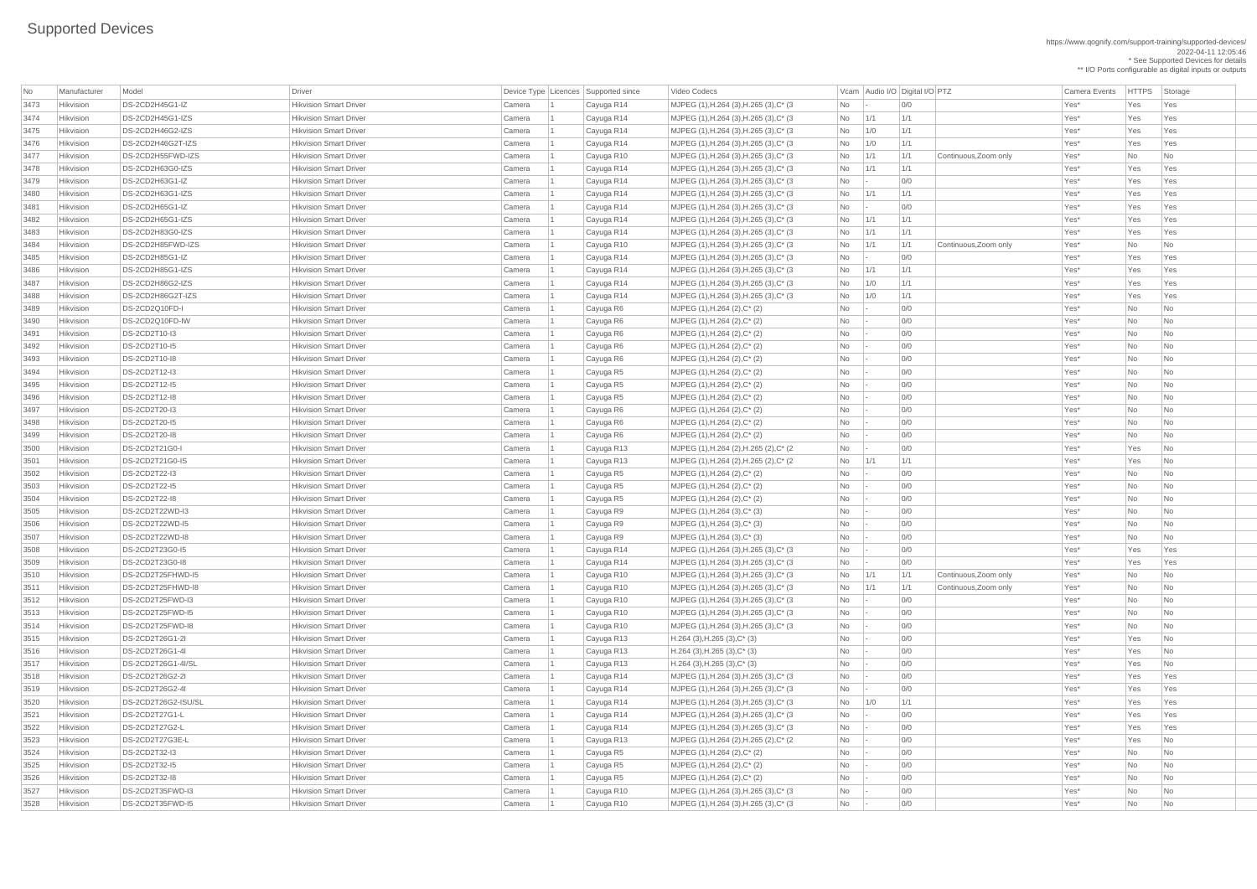https://www.qognify.com/support-training/supported-devices/ 2022-04-11 12:05:46 \* See Supported Devices for details \*\* I/O Ports configurable as digital inputs or outputs

| No   | Manufacturer     | Model                  | <b>Driver</b>                 |        | Device Type Licences Supported since | Video Codecs                                       |                             | Vcam Audio I/O Digital I/O PTZ |     |                       | <b>Camera Events</b> | <b>HTTPS</b> | Storage                     |
|------|------------------|------------------------|-------------------------------|--------|--------------------------------------|----------------------------------------------------|-----------------------------|--------------------------------|-----|-----------------------|----------------------|--------------|-----------------------------|
| 3473 | Hikvision        | DS-2CD2H45G1-IZ        | <b>Hikvision Smart Driver</b> | Camera | Cayuga R14                           | MJPEG (1), H.264 (3), H.265 (3), C* (3)            | No                          |                                | 0/0 |                       | Yes*                 | Yes          | Yes                         |
| 3474 | Hikvision        | DS-2CD2H45G1-IZS       | <b>Hikvision Smart Driver</b> | Camera | Cayuga R14                           | MJPEG (1), H.264 (3), H.265 (3), C* (3)            | No                          | 1/1                            | 1/1 |                       | Yes*                 | Yes          | Yes                         |
| 3475 | Hikvision        | DS-2CD2H46G2-IZS       | <b>Hikvision Smart Driver</b> | Camera | Cayuga R14                           | MJPEG (1), H.264 (3), H.265 (3), C* (3)            | No                          | 1/0                            | 1/1 |                       | Yes*                 | Yes          | Yes                         |
| 3476 | Hikvision        | DS-2CD2H46G2T-IZS      | <b>Hikvision Smart Driver</b> | Camera | Cayuga R14                           | MJPEG (1), H.264 (3), H.265 (3), C* (3)            | No                          | 1/0                            | 1/1 |                       | Yes*                 | Yes          | Yes                         |
| 3477 | Hikvision        | DS-2CD2H55FWD-IZS      | <b>Hikvision Smart Driver</b> | Camera | Cayuga R10                           | MJPEG $(1)$ , H.264 $(3)$ , H.265 $(3)$ , C* $(3)$ | No                          | 1/1                            | 1/1 | Continuous, Zoom only | Yes*                 | No           | No                          |
| 3478 | Hikvision        | DS-2CD2H63G0-IZS       | <b>Hikvision Smart Driver</b> | Camera | Cayuga R14                           | MJPEG (1), H.264 (3), H.265 (3), C* (3)            | No                          | 1/1                            | 1/1 |                       | Yes*                 | Yes          | Yes                         |
| 3479 | Hikvision        | DS-2CD2H63G1-IZ        | <b>Hikvision Smart Driver</b> | Camera | Cayuga R14                           | MJPEG (1), H.264 (3), H.265 (3), C* (3)            | <b>No</b>                   | $\sim$                         | 0/0 |                       | Yes*                 | Yes          | Yes                         |
| 3480 | Hikvision        | DS-2CD2H63G1-IZS       | <b>Hikvision Smart Driver</b> | Camera | Cayuga R14                           | MJPEG (1), H.264 (3), H.265 (3), C* (3)            | No                          | 1/1                            | 1/1 |                       | Yes*                 | Yes          | Yes                         |
| 3481 | Hikvision        | DS-2CD2H65G1-IZ        | <b>Hikvision Smart Driver</b> | Camera | Cayuga R14                           | MJPEG (1), H.264 (3), H.265 (3), C* (3)            | N <sub>o</sub>              |                                | 0/0 |                       | Yes*                 | Yes          | Yes                         |
| 3482 | Hikvision        | DS-2CD2H65G1-IZS       | <b>Hikvision Smart Driver</b> | Camera | Cayuga R14                           | MJPEG (1), H.264 (3), H.265 (3), C* (3)            | No                          | 1/1                            | 1/1 |                       | Yes*                 | Yes          | Yes                         |
| 3483 | Hikvision        | DS-2CD2H83G0-IZS       | <b>Hikvision Smart Driver</b> | Camera | Cayuga R14                           | MJPEG $(1)$ , H.264 $(3)$ , H.265 $(3)$ , C* $(3)$ | <b>No</b>                   | 1/1                            | 1/1 |                       | Yes*                 | Yes          | Yes                         |
| 3484 | Hikvision        | DS-2CD2H85FWD-IZS      | <b>Hikvision Smart Driver</b> | Camera | Cayuga R10                           | MJPEG (1), H.264 (3), H.265 (3), C* (3)            | <b>No</b>                   | $\vert$ 1/1                    | 1/1 | Continuous, Zoom only | Yes*                 | <b>No</b>    | No                          |
| 3485 | Hikvision        | DS-2CD2H85G1-IZ        | <b>Hikvision Smart Driver</b> | Camera | Cayuga R14                           | MJPEG (1), H.264 (3), H.265 (3), C* (3)            | No                          | $\sim$                         | 0/0 |                       | Yes*                 | Yes          | Yes                         |
| 3486 | Hikvision        | DS-2CD2H85G1-IZS       | <b>Hikvision Smart Driver</b> | Camera | Cayuga R14                           | MJPEG (1), H.264 (3), H.265 (3), C* (3)            | <b>No</b>                   | 1/1                            | 1/1 |                       | Yes*                 | Yes          | Yes                         |
| 3487 | Hikvision        | DS-2CD2H86G2-IZS       | <b>Hikvision Smart Driver</b> | Camera | Cayuga R14                           | MJPEG (1), H.264 (3), H.265 (3), C* (3)            | No                          | 1/0                            | 1/1 |                       | Yes*                 | Yes          | Yes                         |
| 3488 | Hikvision        | DS-2CD2H86G2T-IZS      | <b>Hikvision Smart Driver</b> | Camera | Cayuga R14                           | MJPEG (1), H.264 (3), H.265 (3), C* (3)            | No                          | 1/0                            | 1/1 |                       | Yes*                 | Yes          | Yes                         |
| 3489 | Hikvision        | DS-2CD2Q10FD-I         | <b>Hikvision Smart Driver</b> | Camera | Cayuga R6                            | MJPEG (1), H.264 (2), C* (2)                       | No                          |                                | 0/0 |                       | Yes*                 | <b>No</b>    | No                          |
| 3490 | Hikvision        | DS-2CD2Q10FD-IW        | <b>Hikvision Smart Driver</b> | Camera | Cayuga R6                            | MJPEG (1), H.264 (2), C* (2)                       | <b>No</b>                   |                                | 0/0 |                       | Yes*                 | <b>No</b>    | N <sub>o</sub>              |
| 3491 | Hikvision        | DS-2CD2T10-I3          | <b>Hikvision Smart Driver</b> | Camera | Cayuga R6                            | MJPEG (1), H.264 (2), C* (2)                       | <b>No</b>                   |                                | 0/0 |                       | Yes*                 | <b>No</b>    | N <sub>o</sub>              |
| 3492 | Hikvision        | DS-2CD2T10-I5          | <b>Hikvision Smart Driver</b> | Camera | Cayuga R6                            | MJPEG (1), H.264 (2), C* (2)                       | <b>No</b>                   |                                | 0/0 |                       | Yes*                 | <b>No</b>    | No                          |
| 3493 | Hikvision        | <b>DS-2CD2T10-18</b>   | <b>Hikvision Smart Driver</b> | Camera | Cayuga R6                            | MJPEG (1), H.264 (2), C* (2)                       | <b>No</b>                   |                                | 0/0 |                       | Yes*                 | <b>No</b>    | No                          |
| 3494 | Hikvision        | <b>DS-2CD2T12-I3</b>   | <b>Hikvision Smart Driver</b> | Camera | Cayuga R5                            | MJPEG (1), H.264 (2), C* (2)                       | No                          | $\sim$                         | 0/0 |                       | Yes*                 | No           | No                          |
| 3495 | Hikvision        | <b>DS-2CD2T12-I5</b>   | <b>Hikvision Smart Driver</b> | Camera | Cayuga R5                            | MJPEG (1), H.264 (2), C* (2)                       | No                          |                                | 0/0 |                       | Yes*                 | <b>No</b>    | No                          |
| 3496 | Hikvision        | DS-2CD2T12-18          | <b>Hikvision Smart Driver</b> | Camera | Cayuga R5                            | MJPEG (1), H.264 (2), C* (2)                       | <b>No</b>                   |                                | 0/0 |                       | Yes*                 | <b>No</b>    | No                          |
| 3497 | Hikvision        | <b>DS-2CD2T20-I3</b>   | <b>Hikvision Smart Driver</b> | Camera | Cayuga R6                            | MJPEG (1), H.264 (2), C* (2)                       | <b>No</b>                   |                                | O/O |                       | Yes*                 | <b>No</b>    | N <sub>o</sub>              |
| 3498 | Hikvision        | <b>DS-2CD2T20-15</b>   | <b>Hikvision Smart Driver</b> | Camera | Cayuga R6                            | MJPEG (1), H.264 (2), C* (2)                       | No.                         |                                | 0/0 |                       | Yes*                 | No.          | $\overline{\mathsf{No}}$    |
| 3499 | Hikvision        | <b>DS-2CD2T20-18</b>   | <b>Hikvision Smart Driver</b> | Camera | Cayuga R6                            | MJPEG (1), H.264 (2), C* (2)                       | <b>No</b>                   |                                | 0/0 |                       | Yes*                 | <b>No</b>    | No                          |
| 3500 | Hikvision        | DS-2CD2T21G0-I         | <b>Hikvision Smart Driver</b> | Camera | Cayuga R13                           | MJPEG (1), H.264 (2), H.265 (2), C* (2)            | No                          |                                | 0/0 |                       | Yes*                 | Yes          | No                          |
| 3501 | Hikvision        | DS-2CD2T21G0-IS        | <b>Hikvision Smart Driver</b> | Camera | Cayuga R13                           | MJPEG (1), H.264 (2), H.265 (2), C* (2)            | No                          | 1/1                            | 1/1 |                       | Yes*                 | Yes          | $\overline{\mathsf{No}}$    |
| 3502 | Hikvision        | <b>DS-2CD2T22-I3</b>   | <b>Hikvision Smart Driver</b> | Camera | Cayuga R5                            | MJPEG (1), H.264 (2), C* (2)                       | <b>No</b>                   |                                | 0/0 |                       | Yes*                 | <b>No</b>    | No                          |
| 3503 | Hikvision        | DS-2CD2T22-15          | <b>Hikvision Smart Driver</b> | Camera | Cayuga R5                            | MJPEG (1), H.264 (2), C* (2)                       | <b>No</b>                   |                                | 0/0 |                       | Yes*                 | <b>No</b>    | No                          |
| 3504 | Hikvision        | DS-2CD2T22-18          | <b>Hikvision Smart Driver</b> | Camera | Cayuga R5                            | MJPEG (1), H.264 (2), C* (2)                       | No                          |                                | 0/0 |                       | Yes*                 | No           | No                          |
| 3505 | Hikvision        | DS-2CD2T22WD-I3        | <b>Hikvision Smart Driver</b> | Camera | Cayuga R9                            | MJPEG (1), H.264 (3), C* (3)                       | No                          |                                | 0/0 |                       | Yes*                 | No           | No                          |
| 3506 | Hikvision        | DS-2CD2T22WD-I5        | <b>Hikvision Smart Driver</b> | Camera | Cayuga R9                            | MJPEG (1), H.264 (3), C* (3)                       | <b>No</b>                   |                                | 0/0 |                       | Yes*                 | <b>No</b>    | $\overline{\mathsf{No}}$    |
| 3507 | Hikvision        | DS-2CD2T22WD-I8        | <b>Hikvision Smart Driver</b> | Camera | Cayuga R9                            | $MJPEG (1), H.264 (3), C^* (3)$                    | No                          |                                | 0/0 |                       | Yes*                 | <b>No</b>    | No                          |
| 3508 | Hikvision        | DS-2CD2T23G0-I5        | <b>Hikvision Smart Driver</b> | Camera | Cayuga R14                           | MJPEG (1), H.264 (3), H.265 (3), C* (3)            | No                          |                                | 0/0 |                       | Yes*                 | Yes          | Yes                         |
| 3509 | Hikvision        | DS-2CD2T23G0-18        | <b>Hikvision Smart Driver</b> | Camera | Cayuga R14                           | MJPEG (1), H.264 (3), H.265 (3), C* (3)            | <b>No</b>                   |                                | 0/0 |                       | Yes*                 | Yes          | Yes                         |
| 3510 | Hikvision        | DS-2CD2T25FHWD-I5      | <b>Hikvision Smart Driver</b> | Camera | Cayuga R10                           | MJPEG (1), H.264 (3), H.265 (3), C* (3)            | No                          | 1/1                            | 1/1 | Continuous, Zoom only | Yes*                 | <b>No</b>    | No                          |
| 3511 | Hikvision        | DS-2CD2T25FHWD-I8      | <b>Hikvision Smart Driver</b> | Camera | Cayuga R10                           | MJPEG (1), H.264 (3), H.265 (3), C* (3)            | No                          | 1/1                            | 1/1 | Continuous, Zoom only | Yes*                 | <b>No</b>    | No                          |
| 3512 | Hikvision        | DS-2CD2T25FWD-I3       | <b>Hikvision Smart Driver</b> | Camera | Cayuga R10                           | MJPEG (1), H.264 (3), H.265 (3), C* (3)            | No                          |                                | 0/0 |                       | Yes*                 | <b>No</b>    | No                          |
| 3513 | Hikvision        | DS-2CD2T25FWD-I5       | <b>Hikvision Smart Driver</b> | Camera | Cayuga R10                           | $MJPEG (1), H.264 (3), H.265 (3), C^* (3)$         | No                          |                                | 0/0 |                       | Yes*                 | <b>No</b>    | No                          |
| 3514 | Hikvision        | DS-2CD2T25FWD-I8       | <b>Hikvision Smart Driver</b> | Camera | Cayuga R10                           | MJPEG (1), H.264 (3), H.265 (3), C* (3)            | <b>No</b>                   |                                | 0/0 |                       | Yes*                 | <b>No</b>    | N <sub>o</sub>              |
| 3515 | Hikvision        | DS-2CD2T26G1-2I        | <b>Hikvision Smart Driver</b> | Camera | Cayuga R13                           | $H.264$ (3), H.265 (3), C <sup>*</sup> (3)         | <b>No</b>                   |                                | 0/0 |                       | Yes*                 | Yes          | No                          |
| 3516 | Hikvision        | DS-2CD2T26G1-4I        | <b>Hikvision Smart Driver</b> | Camera | Cayuga R13                           | $H.264$ (3), H.265 (3), C <sup>*</sup> (3)         | No                          |                                | 0/0 |                       | Yes*                 | Yes          | $\overline{\mathsf{No}}$    |
| 3517 | Hikvision        | DS-2CD2T26G1-4I/SL     | <b>Hikvision Smart Driver</b> | Camera | Cayuga R13                           | $H.264$ (3), H.265 (3), C <sup>*</sup> (3)         | <b>No</b>                   |                                | 0/0 |                       | Yes*                 | Yes          | No                          |
| 3518 | Hikvision        | <b>DS-2CD2T26G2-2I</b> | <b>Hikvision Smart Driver</b> | Camera | Cayuga R14                           | MJPEG (1), H.264 (3), H.265 (3), C* (3)            | No                          |                                | 0/0 |                       | Yes*                 | Yes          | Yes                         |
| 3519 | Hikvision        | DS-2CD2T26G2-4I        | <b>Hikvision Smart Driver</b> | Camera | Cayuga R14                           | MJPEG $(1)$ , H.264 $(3)$ , H.265 $(3)$ , C* $(3)$ | No                          | $\sim$                         | 0/0 |                       | Yes*                 | Yes          | Yes                         |
| 3520 | Hikvision        | DS-2CD2T26G2-ISU/SL    | <b>Hikvision Smart Driver</b> | Camera | Cayuga R14                           | MJPEG (1), H.264 (3), H.265 (3), C* (3)            | No                          | 1/0                            | 1/1 |                       | Yes*                 | Yes          | Yes                         |
| 3521 | Hikvision        | DS-2CD2T27G1-L         | <b>Hikvision Smart Driver</b> | Camera | Cayuga R14                           | MJPEG (1), H.264 (3), H.265 (3), C* (3)            | No                          |                                | 0/0 |                       | Yes*                 | Yes          | Yes                         |
| 3522 | Hikvision        | DS-2CD2T27G2-L         | <b>Hikvision Smart Driver</b> | Camera | Cayuga R14                           | MJPEG (1), H.264 (3), H.265 (3), C* (3)            | No                          |                                | 0/0 |                       | Yes*                 | Yes          | Yes                         |
| 3523 | Hikvision        | DS-2CD2T27G3E-L        | <b>Hikvision Smart Driver</b> | Camera | Cayuga R13                           | MJPEG (1), H.264 (2), H.265 (2), C* (2)            | No                          |                                | 0/0 |                       | Yes*                 | Yes          | No                          |
| 3524 | <b>Hikvision</b> | DS-2CD2T32-I3          | <b>Hikvision Smart Driver</b> | Camera | Cayuga R5                            | MJPEG (1), H.264 (2), C* (2)                       | <b>No</b>                   |                                | 0/0 |                       | Yes*                 | No           | No                          |
| 3525 | Hikvision        | <b>DS-2CD2T32-15</b>   | <b>Hikvision Smart Driver</b> | Camera | Cayuga R5                            | $MJPEG (1), H.264 (2), C^*(2)$                     | No                          |                                | 0/0 |                       | Yes*                 | <b>No</b>    | $\overline{\mathsf{No}}$    |
| 3526 | Hikvision        | DS-2CD2T32-18          | <b>Hikvision Smart Driver</b> | Camera | Cayuga R5                            | $MJPEG (1), H.264 (2), C^*(2)$                     | <b>No</b>                   |                                | 0/0 |                       | Yes*                 | No           | No                          |
| 3527 | Hikvision        | DS-2CD2T35FWD-I3       | <b>Hikvision Smart Driver</b> | Camera | Cayuga R10                           | MJPEG (1), H.264 (3), H.265 (3), C* (3)            | No                          |                                | 0/0 |                       | Yes*                 | <b>No</b>    | No                          |
| 3528 | Hikvision        | DS-2CD2T35FWD-I5       | <b>Hikvision Smart Driver</b> | Camera | Cayuga R10                           | MJPEG (1), H.264 (3), H.265 (3), C* (3)            | $\overline{\phantom{1}}$ No |                                | 0/0 |                       | Yes*                 | No           | $\overline{\phantom{a}}$ No |
|      |                  |                        |                               |        |                                      |                                                    |                             |                                |     |                       |                      |              |                             |

| MJPEG (1),H.264 (3),H.265 (3),C\* (3  $\qquad$  No  $\qquad$  - 0/0  $\qquad$  01  $\qquad$  Yes\* Yes Yes Yes 3474 Hikvision DS-2CD2H45G1-IZS Hikvision Smart Driver Camera 1 Cayuga R14 MJPEG (1),H.264 (3),H.265 (3),C\* (3 No 1/1 1/1 Yes\* Yes Yes | MJPEG (1),H.264 (3),H.265 (3),C\* (3  $\qquad$  No 1/0 1/1 1 No 11/1 Yes\* Yes Yes Yes | MJPEG (1),H.264 (3),H.265 (3),C\* (3  $\vert$  No  $\vert$  1/0  $\vert$  1/1  $\vert$  1/1  $\vert$  Yes\*  $\vert$  Yes Yes Yes  $\vert$  MJPEG (1),H.264 (3),H.265 (3),C\* (3  $\vert$  No  $\vert$  1/1  $\vert$  1/1  $\vert$  Continuous,Zoom only  $\vert$  Yes\*  $\vert$  No  $\vert$  No  $\vert$  No  $\vert$ | MJPEG (1),H.264 (3),H.265 (3),C\* (3  $\qquad$  No  $\qquad$  1/1  $\qquad$  1/1  $\qquad$  1/1  $\qquad$  Yes\* Yes Yes Yes | MJPEG (1),H.264 (3),H.265 (3),C\* (3  $\qquad$  No  $\qquad$  - 0/0  $\qquad$  01  $\qquad$  Yes\* Yes Yes Yes | MJPEG (1),H.264 (3),H.265 (3),C\* (3  $\qquad$  No 1/1 1/1 1/1 No 1/1 1/1 Yes\* Yes Yes Yes | MJPEG (1),H.264 (3),H.265 (3),C\* (3  $\qquad$  No  $\qquad$  - 0/0  $\qquad$  200 Yes\* Yes Yes Yes 3482 Hikvision DS-2CD2H65G1-IZS Hikvision Smart Driver Camera 1 Cayuga R14 MJPEG (1),H.264 (3),H.265 (3),C\* (3 No 1/1 1/1 Yes\* Yes Yes | MJPEG (1),H.264 (3),H.265 (3),C\* (3  $\qquad$  No  $\qquad$  1/1  $\qquad$  1/1  $\qquad$  1/1  $\qquad$  Yes\* Yes Yes Yes | MJPEG (1),H.264 (3),H.265 (3),C\* (3  $\qquad$  No 1/1 1/1 Continuous,Zoom only Yes\* No No | MJPEG (1),H.264 (3),H.265 (3),C\* (3  $\qquad$  No  $\qquad$  - 0/0  $\qquad$  00 Yes\* Yes Yes Yes Yes | MJPEG (1),H.264 (3),H.265 (3),C\* (3  $\qquad$  No 1/1 1/1 1/1 No 1/1 Xes\* Yes Yes Yes | MJPEG (1),H.264 (3),H.265 (3),C\* (3  $\qquad$  No 1/0 1/1 1 No 11/1 Yes\* Yes Yes Yes | MJPEG (1),H.264 (3),H.265 (3),C\* (3  $\vert$  No  $\vert$  1/0  $\vert$  1/1  $\vert$  1/1  $\vert$  Yes\*  $\vert$  Yes Yes Yes | MJPEG (1),H.264 (2),H.265 (2),C\* (2  $\qquad \qquad$  No  $\qquad$  - 0/0  $\qquad \qquad$  Yes\* Yes No | MJPEG (1),H.264 (2),H.265 (2),C\* (2  $\qquad \qquad$  No  $\qquad$  1/1 1/1  $\qquad$  1/1 Yes\* Yes No | MJPEG (1),H.264 (3),H.265 (3),C\* (3  $\qquad$  No  $\qquad$  - 0/0  $\qquad$  00 Yes\* Yes Yes Yes Yes | MJPEG (1),H.264 (3),H.265 (3),C\* (3  $\qquad$  No  $\qquad$  - 0/0  $\qquad$  01  $\qquad$  Yes\* Yes Yes Yes  $\vert$  MJPEG (1),H.264 (3),H.265 (3),C\* (3  $\vert$  No  $\vert$  1/1  $\vert$  1/1  $\vert$  Continuous,Zoom only  $\vert$  Yes\*  $\vert$  No  $\vert$  No  $\vert$  No  $\vert$  $\vert$  MJPEG (1),H.264 (3),H.265 (3),C\* (3  $\vert$  No  $\vert$  1/1  $\vert$  1/1  $\vert$  Continuous,Zoom only  $\vert$  Yes\*  $\vert$  No  $\vert$  No  $\vert$  No  $\vert$ 3512 Hikvision DS-2CD2T25FWD-I3 Hikvision Smart Driver Camera 1 Cayuga R10 MJPEG (1),H.264 (3),H.265 (3),C\* (3 No - 0/0 Yes\* No No | MJPEG (1),H.264 (3),H.265 (3),C\* (3  $\qquad$  No  $\qquad$  - 0/0  $\qquad$  0/0 Yes\* No No No 3514 Hikvision DS-2CD2T25FWD-I8 Hikvision Smart Driver Camera 1 Cayuga R10 MJPEG (1),H.264 (3),H.265 (3),C\* (3 No - 0/0 Yes\* No No | MJPEG (1),H.264 (3),H.265 (3),C\* (3  $\qquad$  No  $\qquad$  - 0/0  $\qquad$  01  $\qquad$  Yes\* Yes Yes Yes | MJPEG (1),H.264 (3),H.265 (3),C\* (3  $\qquad$   $\qquad$   $\qquad$   $\qquad$   $\qquad$   $\qquad$   $\qquad$   $\qquad$   $\qquad$   $\qquad$   $\qquad$   $\qquad$   $\qquad$   $\qquad$   $\qquad$   $\qquad$   $\qquad$   $\qquad$   $\qquad$   $\qquad$   $\qquad$   $\qquad$   $\qquad$   $\qquad$   $\qquad$   $\qquad$   $\qquad$   $\qquad$   $\qquad$   $\qquad$   $\qquad$ | MJPEG (1),H.264 (3),H.265 (3),C\* (3  $\qquad$  No 1/0 1/1 1 No 11/1 Yes\* Yes Yes Yes | MJPEG (1),H.264 (3),H.265 (3),C\* (3  $\qquad$  No  $\qquad$  - 0/0  $\qquad$  01  $\qquad$  Yes\* Yes Yes Yes | MJPEG (1),H.264 (3),H.265 (3),C\* (3  $\qquad$  No  $\qquad$  - 0/0  $\qquad$  00 Yes\* Yes Yes Yes NJPEG (1),H.264 (2),H.265 (2),C\* (2 No - 0/0 Yes\* Yes No NJPEG (1),H.264 (3),H.265 (3),C\* (3 No - 0/0 No - 2010 No No No No No No No No No 3528 Hikvision DS-2CD2T35FWD-I5 Hikvision Smart Driver Camera 1 Cayuga R10 MJPEG (1),H.264 (3),H.265 (3),C\* (3 No - 0/0 Yes\* No No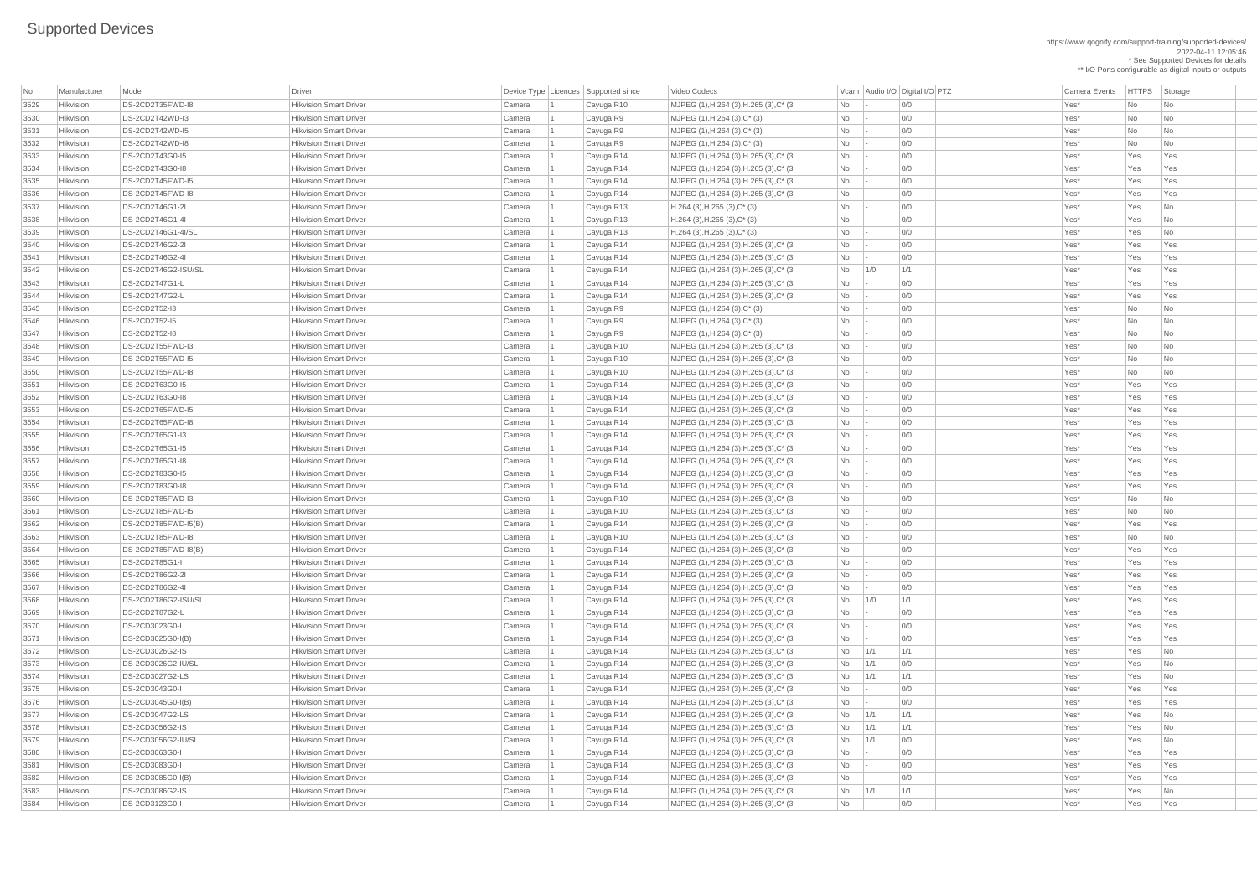https://www.qognify.com/support-training/supported-devices/ 2022-04-11 12:05:46 \* See Supported Devices for details

\*\* I/O Ports configurable as digital inputs or outputs

| No   | Manufacturer | Model                | Driver                        |        | Device Type Licences Supported since | Video Codecs                                       |                                                                      | Vcam   Audio I/O   Digital I/O   PTZ | <b>Camera Events</b> | <b>HTTPS</b>   | Storage                     |
|------|--------------|----------------------|-------------------------------|--------|--------------------------------------|----------------------------------------------------|----------------------------------------------------------------------|--------------------------------------|----------------------|----------------|-----------------------------|
| 3529 | Hikvision    | DS-2CD2T35FWD-I8     | <b>Hikvision Smart Driver</b> | Camera | Cayuga R10                           | MJPEG (1), H.264 (3), H.265 (3), C* (3)            | <b>No</b>                                                            | 0/0                                  | Yes*                 | No             | No                          |
| 3530 | Hikvision    | DS-2CD2T42WD-I3      | <b>Hikvision Smart Driver</b> | Camera | Cayuga R9                            | $MJPEG (1), H.264 (3), C^*(3)$                     | No                                                                   | 0/0                                  | Yes*                 | N <sub>o</sub> | N <sub>o</sub>              |
| 3531 | Hikvision    | DS-2CD2T42WD-I5      | <b>Hikvision Smart Driver</b> | Camera | Cayuga R9                            | $MJPEG (1), H.264 (3), C^*(3)$                     | No                                                                   | 0/0                                  | Yes*                 | No             | N <sub>o</sub>              |
| 3532 | Hikvision    | DS-2CD2T42WD-I8      | <b>Hikvision Smart Driver</b> | Camera | Cayuga R9                            | $MJPEG (1), H.264 (3), C^* (3)$                    | No                                                                   | 0/0                                  | Yes*                 | N <sub>o</sub> | No                          |
| 3533 | Hikvision    | DS-2CD2T43G0-I5      | <b>Hikvision Smart Driver</b> | Camera | Cayuga R14                           | MJPEG (1), H.264 (3), H.265 (3), C* (3)            | No                                                                   | 0/0                                  | Yes*                 | Yes            | Yes                         |
| 3534 | Hikvision    | DS-2CD2T43G0-18      | <b>Hikvision Smart Driver</b> | Camera | Cayuga R14                           | MJPEG $(1)$ , H.264 $(3)$ , H.265 $(3)$ , C* $(3)$ | <b>No</b>                                                            | 0/0                                  | Yes*                 | Yes            | Yes                         |
| 3535 | Hikvision    | DS-2CD2T45FWD-I5     | <b>Hikvision Smart Driver</b> | Camera | Cayuga R14                           | MJPEG (1), H.264 (3), H.265 (3), C* (3)            | <b>No</b>                                                            | 0/0                                  | Yes*                 | Yes            | Yes                         |
| 3536 | Hikvision    | DS-2CD2T45FWD-I8     | <b>Hikvision Smart Driver</b> | Camera | Cayuga R14                           | MJPEG (1), H.264 (3), H.265 (3), C* (3)            | <b>No</b>                                                            | 0/0                                  | Yes*                 | Yes            | Yes                         |
| 3537 | Hikvision    | DS-2CD2T46G1-2I      | <b>Hikvision Smart Driver</b> | Camera | Cayuga R13                           | $H.264$ (3), H.265 (3), C* (3)                     | No                                                                   | 0/0                                  | Yes*                 | Yes            | No                          |
| 3538 | Hikvision    | DS-2CD2T46G1-4I      | <b>Hikvision Smart Driver</b> | Camera | Cayuga R13                           | $H.264$ (3), H.265 (3), C <sup>*</sup> (3)         | No                                                                   | 0/0                                  | Yes*                 | Yes            | N <sub>o</sub>              |
| 3539 | Hikvision    | DS-2CD2T46G1-4I/SL   | <b>Hikvision Smart Driver</b> | Camera | Cayuga R13                           | $H.264$ (3), H.265 (3), C* (3)                     | <b>No</b>                                                            | 0/0                                  | Yes*                 | Yes            | No                          |
| 3540 | Hikvision    | DS-2CD2T46G2-2I      | <b>Hikvision Smart Driver</b> | Camera | Cayuga R14                           | MJPEG $(1)$ , H.264 $(3)$ , H.265 $(3)$ , C* $(3)$ | <b>No</b>                                                            | 0/0                                  | Yes*                 | Yes            | Yes                         |
| 3541 | Hikvision    | DS-2CD2T46G2-4I      | <b>Hikvision Smart Driver</b> | Camera | Cayuga R14                           | MJPEG $(1)$ , H.264 $(3)$ , H.265 $(3)$ , C* $(3)$ | <b>No</b>                                                            | 0/0                                  | Yes*                 | Yes            | Yes                         |
| 3542 | Hikvision    | DS-2CD2T46G2-ISU/SL  | <b>Hikvision Smart Driver</b> | Camera | Cayuga R14                           | MJPEG (1), H.264 (3), H.265 (3), C* (3)            | <b>No</b>                                                            | 1/1<br>1/0                           | Yes*                 | Yes            | Yes                         |
| 3543 | Hikvision    | DS-2CD2T47G1-L       | <b>Hikvision Smart Driver</b> | Camera | Cayuga R14                           | MJPEG (1), H.264 (3), H.265 (3), C* (3)            | No                                                                   | 0/0                                  | Yes*                 | Yes            | Yes                         |
| 3544 | Hikvision    | DS-2CD2T47G2-L       | <b>Hikvision Smart Driver</b> | Camera | Cayuga R14                           | MJPEG (1), H.264 (3), H.265 (3), C* (3)            | <b>No</b>                                                            | 0/0                                  | Yes*                 | Yes            | Yes                         |
| 3545 | Hikvision    | <b>DS-2CD2T52-I3</b> | <b>Hikvision Smart Driver</b> | Camera | Cayuga R9                            | MJPEG (1), H.264 (3), C* (3)                       | <b>No</b>                                                            | 0/0                                  | Yes*                 | <b>No</b>      | No                          |
| 3546 | Hikvision    | DS-2CD2T52-15        | <b>Hikvision Smart Driver</b> | Camera | Cayuga R9                            | $MJPEG (1), H.264 (3), C^* (3)$                    | No                                                                   | 0/0                                  | Yes*                 | No             | No                          |
| 3547 | Hikvision    | DS-2CD2T52-18        | <b>Hikvision Smart Driver</b> | Camera | Cayuga R9                            | $MJPEG (1), H.264 (3), C^*(3)$                     | No                                                                   | 0/0                                  | Yes*                 | No             | N <sub>o</sub>              |
| 3548 | Hikvision    | DS-2CD2T55FWD-I3     | <b>Hikvision Smart Driver</b> | Camera | Cayuga R10                           | MJPEG (1), H.264 (3), H.265 (3), C* (3)            | <b>No</b>                                                            | 0/0                                  | Yes*                 | N <sub>o</sub> | N <sub>o</sub>              |
| 3549 | Hikvision    | DS-2CD2T55FWD-I5     | <b>Hikvision Smart Driver</b> | Camera | Cayuga R10                           | MJPEG (1), H.264 (3), H.265 (3), C* (3)            | No                                                                   | 0/0                                  | Yes*                 | No             | No                          |
| 3550 | Hikvision    | DS-2CD2T55FWD-I8     | <b>Hikvision Smart Driver</b> | Camera | Cayuga R10                           | MJPEG (1), H.264 (3), H.265 (3), C* (3)            | No                                                                   | 0/0                                  | Yes*                 | No             | No                          |
| 3551 | Hikvision    | DS-2CD2T63G0-I5      | <b>Hikvision Smart Driver</b> | Camera | Cayuga R14                           | MJPEG (1), H.264 (3), H.265 (3), C* (3)            | <b>No</b>                                                            | 0/0                                  | Yes*                 | Yes            | Yes                         |
| 3552 | Hikvision    | DS-2CD2T63G0-18      | <b>Hikvision Smart Driver</b> | Camera | Cayuga R14                           | MJPEG $(1)$ , H.264 $(3)$ , H.265 $(3)$ , C* $(3)$ | No                                                                   | 0/0                                  | Yes*                 | Yes            | Yes                         |
| 3553 | Hikvision    | DS-2CD2T65FWD-I5     | <b>Hikvision Smart Driver</b> | Camera | Cayuga R14                           | MJPEG $(1)$ , H.264 $(3)$ , H.265 $(3)$ , C* $(3)$ | <b>No</b>                                                            | 0/0                                  | Yes*                 | Yes            | Yes                         |
| 3554 | Hikvision    | DS-2CD2T65FWD-I8     | <b>Hikvision Smart Driver</b> | Camera | Cayuga R14                           | MJPEG (1), H.264 (3), H.265 (3), C* (3)            | No                                                                   | 0/0                                  | Yes*                 | Yes            | Yes                         |
| 3555 | Hikvision    | DS-2CD2T65G1-I3      | <b>Hikvision Smart Driver</b> | Camera | Cayuga R14                           | MJPEG (1), H.264 (3), H.265 (3), C* (3)            | No                                                                   | 0/0                                  | Yes*                 | Yes            | Yes                         |
| 3556 | Hikvision    | DS-2CD2T65G1-I5      | <b>Hikvision Smart Driver</b> | Camera | Cayuga R14                           | MJPEG (1), H.264 (3), H.265 (3), C* (3)            | No                                                                   | 0/0                                  | Yes*                 | Yes            | Yes                         |
| 3557 | Hikvision    | DS-2CD2T65G1-I8      | <b>Hikvision Smart Driver</b> | Camera | Cayuga R14                           | MJPEG (1), H.264 (3), H.265 (3), C* (3)            | No                                                                   | 0/0                                  | Yes*                 | Yes            | Yes                         |
| 3558 | Hikvision    | DS-2CD2T83G0-I5      | <b>Hikvision Smart Driver</b> | Camera | Cayuga R14                           | MJPEG $(1)$ , H.264 $(3)$ , H.265 $(3)$ , C* $(3)$ | No                                                                   | 0/0                                  | Yes*                 | Yes            | Yes                         |
| 3559 | Hikvision    | DS-2CD2T83G0-18      | <b>Hikvision Smart Driver</b> | Camera | Cayuga R14                           | MJPEG $(1)$ , H.264 $(3)$ , H.265 $(3)$ , C* $(3)$ | No                                                                   | 0/0                                  | Yes*                 | Yes            | Yes                         |
| 3560 | Hikvision    | DS-2CD2T85FWD-I3     | <b>Hikvision Smart Driver</b> | Camera | Cayuga R10                           | MJPEG (1), H.264 (3), H.265 (3), C* (3)            | <b>No</b>                                                            | 0/0                                  | Yes*                 | <b>No</b>      | No                          |
| 3561 | Hikvision    | DS-2CD2T85FWD-I5     | <b>Hikvision Smart Driver</b> | Camera | Cayuga R10                           | MJPEG (1), H.264 (3), H.265 (3), C* (3)            | No                                                                   | 0/0                                  | Yes*                 | No             | No                          |
| 3562 | Hikvision    | DS-2CD2T85FWD-I5(B)  | <b>Hikvision Smart Driver</b> | Camera | Cayuga R14                           | MJPEG (1), H.264 (3), H.265 (3), C* (3)            | No                                                                   | 0/0                                  | Yes*                 | Yes            | Yes                         |
| 3563 | Hikvision    | DS-2CD2T85FWD-I8     | <b>Hikvision Smart Driver</b> | Camera | Cayuga R10                           | MJPEG (1), H.264 (3), H.265 (3), C* (3)            | No                                                                   | 0/0                                  | Yes*                 | No             | $\overline{\phantom{a}}$ No |
| 3564 | Hikvision    | DS-2CD2T85FWD-I8(B)  | <b>Hikvision Smart Driver</b> | Camera | Cayuga R14                           | MJPEG $(1)$ , H.264 $(3)$ , H.265 $(3)$ , C* $(3)$ | No                                                                   | 0/0                                  | Yes*                 | Yes            | Yes                         |
| 3565 | Hikvision    | DS-2CD2T85G1-I       | <b>Hikvision Smart Driver</b> | Camera | Cayuga R14                           | MJPEG $(1)$ , H.264 $(3)$ , H.265 $(3)$ , C* $(3)$ | No                                                                   | 0/0                                  | Yes*                 | Yes            | Yes                         |
| 3566 | Hikvision    | DS-2CD2T86G2-2I      | <b>Hikvision Smart Driver</b> | Camera | Cayuga R14                           | MJPEG (1), H.264 (3), H.265 (3), C* (3)            | <b>No</b>                                                            | 0/0                                  | Yes*                 | Yes            | Yes                         |
| 3567 | Hikvision    | DS-2CD2T86G2-4I      | <b>Hikvision Smart Driver</b> | Camera | Cayuga R14                           | MJPEG (1), H.264 (3), H.265 (3), C* (3)            | <b>No</b>                                                            | 0/0                                  | Yes*                 | Yes            | Yes                         |
| 3568 | Hikvision    | DS-2CD2T86G2-ISU/SL  | <b>Hikvision Smart Driver</b> | Camera | Cayuga R14                           | MJPEG (1), H.264 (3), H.265 (3), C* (3)            | No                                                                   | 1/0<br>1/1                           | Yes*                 | Yes            | Yes                         |
| 3569 | Hikvision    | DS-2CD2T87G2-L       | <b>Hikvision Smart Driver</b> | Camera | Cayuga R14                           | MJPEG (1), H.264 (3), H.265 (3), C* (3)            | No                                                                   | 0/0                                  | Yes*                 | Yes            | Yes                         |
| 3570 | Hikvision    | DS-2CD3023G0-I       | <b>Hikvision Smart Driver</b> | Camera | Cayuga R14                           | MJPEG (1), H.264 (3), H.265 (3), C* (3)            | No                                                                   | 0/0                                  | Yes*                 | Yes            | Yes                         |
| 3571 | Hikvision    | DS-2CD3025G0-I(B)    | <b>Hikvision Smart Driver</b> | Camera | Cayuga R14                           | MJPEG (1), H.264 (3), H.265 (3), C* (3)            | No                                                                   | 0/0                                  | Yes*                 | Yes            | Yes                         |
| 3572 | Hikvision    | DS-2CD3026G2-IS      | <b>Hikvision Smart Driver</b> | Camera | Cayuga R14                           | MJPEG (1), H.264 (3), H.265 (3), C* (3)            | <b>No</b>                                                            | 1/1<br>1/1                           | Yes*                 | Yes            | N <sub>o</sub>              |
| 3573 | Hikvision    | DS-2CD3026G2-IU/SL   | <b>Hikvision Smart Driver</b> | Camera | Cayuga R14                           | MJPEG (1), H.264 (3), H.265 (3), C* (3)            | No                                                                   | 1/1<br>0/0                           | Yes*                 | Yes            | No                          |
| 3574 | Hikvision    | DS-2CD3027G2-LS      | <b>Hikvision Smart Driver</b> | Camera | Cayuga R14                           | MJPEG (1), H.264 (3), H.265 (3), C* (3)            | No                                                                   | 1/1<br>1/1                           | Yes*                 | Yes            | $\overline{\mathsf{No}}$    |
| 3575 | Hikvision    | DS-2CD3043G0-I       | <b>Hikvision Smart Driver</b> | Camera | Cayuga R14                           | MJPEG (1), H.264 (3), H.265 (3), C* (3)            | <b>No</b>                                                            | 0/0<br>$\overline{a}$                | Yes*                 | Yes            | Yes                         |
| 3576 | Hikvision    | DS-2CD3045G0-I(B)    | <b>Hikvision Smart Driver</b> | Camera | Cayuga R14                           | MJPEG (1), H.264 (3), H.265 (3), C* (3)            | No                                                                   | 0/0                                  | Yes*                 | Yes            | Yes                         |
| 3577 | Hikvision    | DS-2CD3047G2-LS      | <b>Hikvision Smart Driver</b> | Camera | Cayuga R14                           | MJPEG $(1)$ , H.264 $(3)$ , H.265 $(3)$ , C* $(3)$ | $No$ $1/1$                                                           | 1/1                                  | Yes*                 | Yes            | N <sub>0</sub>              |
| 3578 | Hikvision    | DS-2CD3056G2-IS      | <b>Hikvision Smart Driver</b> | Camera | Cayuga R14                           | MJPEG (1), H.264 (3), H.265 (3), C* (3)            | <b>No</b>                                                            | 1/1<br>1/1                           | Yes*                 | Yes            | N <sub>o</sub>              |
| 3579 | Hikvision    | DS-2CD3056G2-IU/SL   | <b>Hikvision Smart Driver</b> | Camera | Cayuga R14                           | MJPEG (1), H.264 (3), H.265 (3), C* (3)            | No                                                                   | 0/0<br>1/1                           | Yes*                 | Yes            | N <sub>o</sub>              |
| 3580 | Hikvision    | DS-2CD3063G0-I       | <b>Hikvision Smart Driver</b> | Camera | Cayuga R14                           | MJPEG (1), H.264 (3), H.265 (3), C* (3)            | $\overline{N}$ $\overline{C}$ $\overline{C}$                         | 0/0                                  | Yes*                 | Yes            | Yes                         |
| 3581 | Hikvision    | DS-2CD3083G0-I       | <b>Hikvision Smart Driver</b> | Camera | Cayuga R14                           | MJPEG (1), H.264 (3), H.265 (3), C* (3)            | No                                                                   | 0/0                                  | Yes*                 | Yes            | Yes                         |
| 3582 | Hikvision    | DS-2CD3085G0-I(B)    | <b>Hikvision Smart Driver</b> | Camera | Cayuga R14                           | MJPEG (1), H.264 (3), H.265 (3), C* (3)            | No                                                                   | 0/0                                  | Yes*                 | Yes            | Yes                         |
| 3583 | Hikvision    | DS-2CD3086G2-IS      | <b>Hikvision Smart Driver</b> | Camera | Cayuga R14                           | MJPEG (1), H.264 (3), H.265 (3), C* (3)            | $No$ $1/1$                                                           | 1/1                                  | Yes*                 | Yes            | N <sub>0</sub>              |
| 3584 | Hikvision    | DS-2CD3123G0-I       | <b>Hikvision Smart Driver</b> | Camera | Cayuga R14                           | MJPEG (1), H.264 (3), H.265 (3), C* (3)            | $\begin{array}{ c c c c c } \hline \text{No} & \text{-} \end{array}$ | 0/0                                  | Yes*                 | Yes            | Yes                         |
|      |              |                      |                               |        |                                      |                                                    |                                                                      |                                      |                      |                |                             |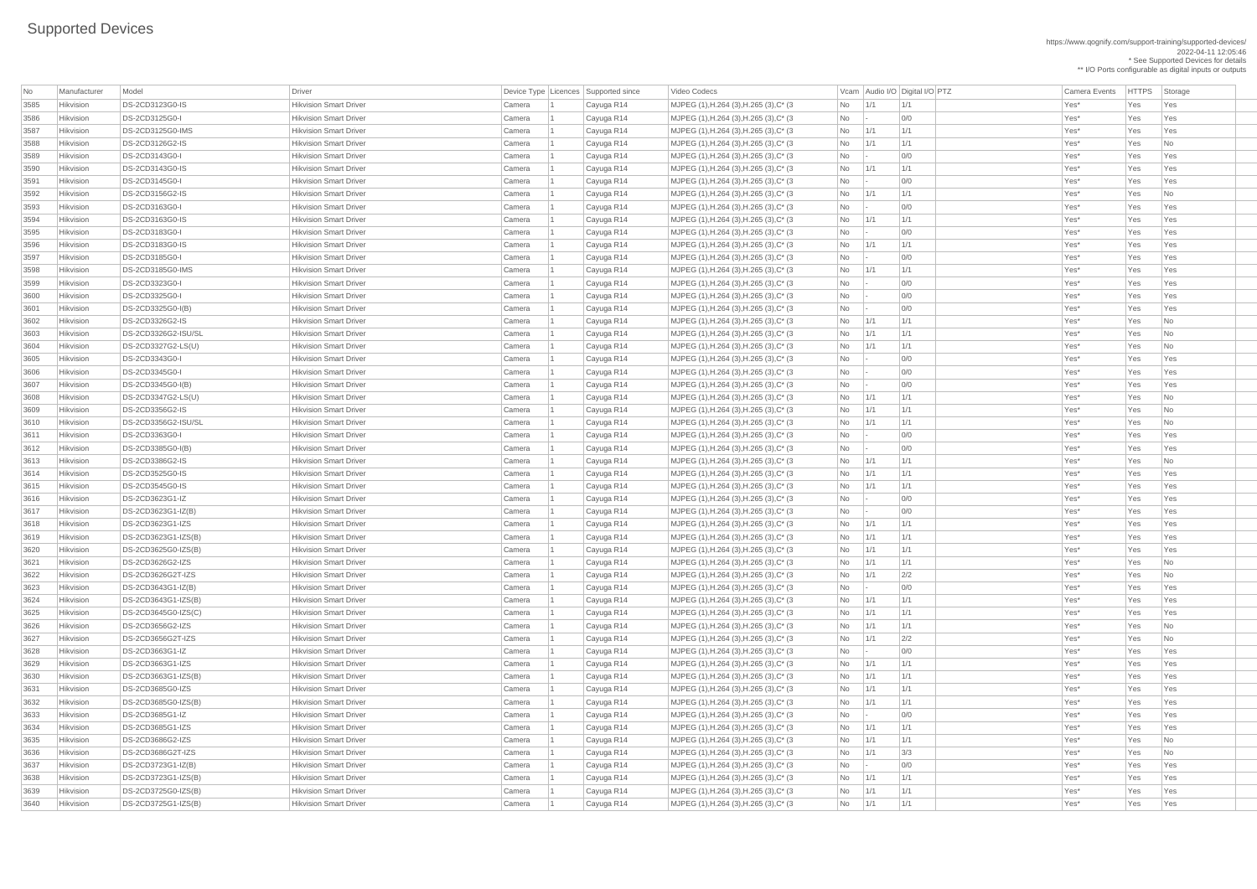| <b>No</b>    | Manufacturer | Model                                      | <b>Driver</b>                 |                  |    | Device Type   Licences   Supported since |
|--------------|--------------|--------------------------------------------|-------------------------------|------------------|----|------------------------------------------|
| 3585         | Hikvision    | DS-2CD3123G0-IS                            | <b>Hikvision Smart Driver</b> | Camera           |    | Cayuga R14                               |
| 3586         | Hikvision    | DS-2CD3125G0-I                             | <b>Hikvision Smart Driver</b> | Camera           |    | Cayuga R14                               |
| 3587         | Hikvision    | DS-2CD3125G0-IMS                           | <b>Hikvision Smart Driver</b> | Camera           |    | Cayuga R14                               |
| 3588         | Hikvision    | DS-2CD3126G2-IS                            | <b>Hikvision Smart Driver</b> | Camera           |    | Cayuga R14                               |
| 3589         | Hikvision    | DS-2CD3143G0-I                             | <b>Hikvision Smart Driver</b> | Camera           |    | Cayuga R14                               |
| 3590         | Hikvision    | DS-2CD3143G0-IS                            | <b>Hikvision Smart Driver</b> | Camera           |    | Cayuga R14                               |
| 3591         | Hikvision    | DS-2CD3145G0-I                             | <b>Hikvision Smart Driver</b> | Camera           |    | Cayuga R14                               |
| 3592         | Hikvision    | DS-2CD3156G2-IS                            | <b>Hikvision Smart Driver</b> | Camera           |    | Cayuga R14                               |
| 3593         | Hikvision    | DS-2CD3163G0-I                             | <b>Hikvision Smart Driver</b> | Camera           |    | Cayuga R14                               |
| 3594         | Hikvision    | DS-2CD3163G0-IS                            | <b>Hikvision Smart Driver</b> | Camera           |    | Cayuga R14                               |
| 3595         | Hikvision    | DS-2CD3183G0-I                             | <b>Hikvision Smart Driver</b> | Camera           |    | Cayuga R14                               |
| 3596         | Hikvision    | DS-2CD3183G0-IS                            | <b>Hikvision Smart Driver</b> | Camera           |    | Cayuga R14                               |
| 3597         | Hikvision    | DS-2CD3185G0-I                             | <b>Hikvision Smart Driver</b> | Camera           |    | Cayuga R14                               |
| 3598         | Hikvision    | DS-2CD3185G0-IMS                           | <b>Hikvision Smart Driver</b> | Camera           |    | Cayuga R14                               |
| 3599         | Hikvision    | DS-2CD3323G0-I                             | <b>Hikvision Smart Driver</b> | Camera           |    | Cayuga R14                               |
| 3600         | Hikvision    | DS-2CD3325G0-I                             | <b>Hikvision Smart Driver</b> | Camera           |    | Cayuga R14                               |
| 3601         | Hikvision    | DS-2CD3325G0-I(B)                          | <b>Hikvision Smart Driver</b> | Camera           |    | Cayuga R14                               |
| 3602         | Hikvision    | DS-2CD3326G2-IS                            | <b>Hikvision Smart Driver</b> | Camera           |    | Cayuga R14                               |
| 3603         | Hikvision    | DS-2CD3326G2-ISU/SL                        | <b>Hikvision Smart Driver</b> | Camera           |    | Cayuga R14                               |
| 3604         | Hikvision    | DS-2CD3327G2-LS(U)                         | <b>Hikvision Smart Driver</b> | Camera           |    | Cayuga R14                               |
| 3605         | Hikvision    | DS-2CD3343G0-I                             | <b>Hikvision Smart Driver</b> | Camera           |    | Cayuga R14                               |
| 3606         | Hikvision    | DS-2CD3345G0-I                             | <b>Hikvision Smart Driver</b> | Camera           | -1 | Cayuga R14                               |
| 3607         | Hikvision    | DS-2CD3345G0-I(B)                          | <b>Hikvision Smart Driver</b> | Camera           |    | Cayuga R14                               |
| 3608         | Hikvision    | DS-2CD3347G2-LS(U)                         | <b>Hikvision Smart Driver</b> | Camera           |    | Cayuga R14                               |
| 3609         | Hikvision    | DS-2CD3356G2-IS                            | <b>Hikvision Smart Driver</b> | Camera           |    | Cayuga R14                               |
| 3610         | Hikvision    | DS-2CD3356G2-ISU/SL                        | <b>Hikvision Smart Driver</b> | Camera           |    | Cayuga R14                               |
| 3611         | Hikvision    | DS-2CD3363G0-I                             | <b>Hikvision Smart Driver</b> | Camera           |    | Cayuga R14                               |
| 3612         | Hikvision    | DS-2CD3385G0-I(B)                          | <b>Hikvision Smart Driver</b> | Camera           |    | Cayuga R14                               |
| 3613         | Hikvision    | DS-2CD3386G2-IS                            | <b>Hikvision Smart Driver</b> | Camera           |    | Cayuga R14                               |
| 3614         | Hikvision    | DS-2CD3525G0-IS                            | <b>Hikvision Smart Driver</b> | Camera           |    | Cayuga R14                               |
| 3615         | Hikvision    | DS-2CD3545G0-IS                            | <b>Hikvision Smart Driver</b> | Camera           |    | Cayuga R14                               |
| 3616         | Hikvision    | DS-2CD3623G1-IZ                            | <b>Hikvision Smart Driver</b> | Camera           |    | Cayuga R14                               |
| 3617         | Hikvision    | DS-2CD3623G1-IZ(B)                         | <b>Hikvision Smart Driver</b> | Camera           |    | Cayuga R14                               |
|              | Hikvision    | DS-2CD3623G1-IZS                           | <b>Hikvision Smart Driver</b> |                  |    |                                          |
| 3618         | Hikvision    | DS-2CD3623G1-IZS(B)                        | <b>Hikvision Smart Driver</b> | Camera<br>Camera |    | Cayuga R14                               |
| 3619<br>3620 | Hikvision    | DS-2CD3625G0-IZS(B)                        | <b>Hikvision Smart Driver</b> | Camera           |    | Cayuga R14<br>Cayuga R14                 |
|              | Hikvision    | DS-2CD3626G2-IZS                           | <b>Hikvision Smart Driver</b> |                  |    |                                          |
| 3621<br>3622 | Hikvision    |                                            | <b>Hikvision Smart Driver</b> | Camera           |    | Cayuga R14                               |
|              | Hikvision    | DS-2CD3626G2T-IZS                          | <b>Hikvision Smart Driver</b> | Camera           |    | Cayuga R14                               |
| 3623         | Hikvision    | DS-2CD3643G1-IZ(B)                         | <b>Hikvision Smart Driver</b> | Camera           |    | Cayuga R14                               |
| 3624         |              | DS-2CD3643G1-IZS(B)<br>DS-2CD3645G0-IZS(C) | <b>Hikvision Smart Driver</b> | Camera           |    | Cayuga R14                               |
| 3625         | Hikvision    |                                            |                               | Camera           |    | Cayuga R14                               |
| 3626         | Hikvision    | DS-2CD3656G2-IZS                           | <b>Hikvision Smart Driver</b> | Camera           |    | Cayuga R14                               |
| 3627         | Hikvision    | DS-2CD3656G2T-IZS                          | <b>Hikvision Smart Driver</b> | Camera           |    | Cayuga R14                               |
| 3628         | Hikvision    | DS-2CD3663G1-IZ                            | <b>Hikvision Smart Driver</b> | Camera           |    | Cayuga R14                               |
| 3629         | Hikvision    | DS-2CD3663G1-IZS                           | <b>Hikvision Smart Driver</b> | Camera           |    | Cayuga R14                               |
| 3630         | Hikvision    | DS-2CD3663G1-IZS(B)                        | <b>Hikvision Smart Driver</b> | Camera           |    | Cayuga R14                               |
| 3631         | Hikvision    | DS-2CD3685G0-IZS                           | <b>Hikvision Smart Driver</b> | Camera           |    | Cayuga R14                               |
| 3632         | Hikvision    | DS-2CD3685G0-IZS(B)                        | <b>Hikvision Smart Driver</b> | Camera           |    | Cayuga R14                               |
| 3633         | Hikvision    | DS-2CD3685G1-IZ                            | <b>Hikvision Smart Driver</b> | Camera           |    | Cayuga R14                               |
| 3634         | Hikvision    | DS-2CD3685G1-IZS                           | <b>Hikvision Smart Driver</b> | Camera           |    | Cayuga R14                               |
| 3635         | Hikvision    | DS-2CD3686G2-IZS                           | <b>Hikvision Smart Driver</b> | Camera           |    | Cayuga R14                               |
| 3636         | Hikvision    | DS-2CD3686G2T-IZS                          | <b>Hikvision Smart Driver</b> | Camera           |    | Cayuga R14                               |
| 3637         | Hikvision    | DS-2CD3723G1-IZ(B)                         | <b>Hikvision Smart Driver</b> | Camera           |    | Cayuga R14                               |
| 3638         | Hikvision    | DS-2CD3723G1-IZS(B)                        | <b>Hikvision Smart Driver</b> | Camera           |    | Cayuga R14                               |
| 3639         | Hikvision    | DS-2CD3725G0-IZS(B)                        | <b>Hikvision Smart Driver</b> | Camera           |    | Cayuga R14                               |
| 3640         | Hikvision    | DS-2CD3725G1-IZS(B)                        | <b>Hikvision Smart Driver</b> | Camera           |    | Cayuga R14                               |

https://www.qognify.com/support-training/supported-devices/ 2022-04-11 12:05:46 \* See Supported Devices for details \*\* I/O Ports configurable as digital inputs or outputs

Video Codecs **No Manufacturer Model Driver Audio I/O Digital I/O PTZ** Camera Events HTTPS Storage | MJPEG (1),H.264 (3),H.265 (3),C\* (3  $\qquad$  No 1/1 1/1 1/1 No 1/1 1/1 Ves\* Yes Yes Yes | MJPEG (1),H.264 (3),H.265 (3),C\* (3  $\qquad$  No  $\qquad$  - 0/0  $\qquad$  01  $\qquad$  Yes\* Yes Yes Yes | MJPEG (1),H.264 (3),H.265 (3),C\* (3  $\qquad$  No  $\qquad$  1/1  $\qquad$  1/1  $\qquad$  1/1  $\qquad$  Yes\* Yes Yes Yes | MJPEG (1),H.264 (3),H.265 (3),C\* (3  $\qquad$  No  $\qquad$  1/1  $\qquad$  1/1  $\qquad$  1/1  $\qquad$  Yes\* Yes No | MJPEG (1),H.264 (3),H.265 (3),C\* (3  $\vert$ No  $\vert$ -  $\vert$ 0/0  $\vert$  /Yes\* Yes Yes Yes | MJPEG (1),H.264 (3),H.265 (3),C\* (3  $\qquad$  No 1/1 1/1 1/1 No 1/1 Xes\* Yes Yes Yes | MJPEG (1),H.264 (3),H.265 (3),C\* (3  $\qquad$  No  $\qquad$  - 0/0  $\qquad$  01  $\qquad$  Yes\* Yes Yes Yes | MJPEG (1),H.264 (3),H.265 (3),C\* (3  $\qquad$  No  $\qquad$  1/1  $\qquad$  1/1  $\qquad$  1/1  $\qquad$  Yes\* Yes No | MJPEG (1),H.264 (3),H.265 (3),C\* (3  $\qquad$  No  $\qquad$  - 0/0  $\qquad$  00 Yes\* Yes Yes Yes Yes | MJPEG (1),H.264 (3),H.265 (3),C\* (3  $\qquad$  No 1/1 1/1 1/1 No 1/1 Xes\* Yes Yes Yes | MJPEG (1),H.264 (3),H.265 (3),C\* (3  $\qquad$  No  $\qquad$  - 0/0  $\qquad$  00 Yes\* Yes Yes Yes | MJPEG (1),H.264 (3),H.265 (3),C\* (3  $\qquad$  No  $\qquad$  1/1  $\qquad$  1/1  $\qquad$  1/1  $\qquad$  Yes\* Yes Yes Yes | MJPEG (1),H.264 (3),H.265 (3),C\* (3  $\qquad$  No  $\qquad$  - 0/0  $\qquad$  00 Yes\* Yes Yes Yes Yes | MJPEG (1),H.264 (3),H.265 (3),C\* (3  $\qquad$  No 1/1 1/1 1/1 No 1/1 Xes\* Yes Yes Yes | MJPEG (1),H.264 (3),H.265 (3),C\* (3  $\qquad$  No  $\qquad$  - 0/0  $\qquad$  01  $\qquad$  Yes\* Yes Yes Yes 3600 Hikvision DS-2CD3325G0-I Hikvision Smart Driver Camera 1 Cayuga R14 MJPEG (1),H.264 (3),H.265 (3),C\* (3 No - 0/0 Yes\* Yes Yes | MJPEG (1),H.264 (3),H.265 (3),C\* (3  $\qquad$  No  $\qquad$  - 0/0  $\qquad$  00 Yes\* Yes Yes Yes | MJPEG (1),H.264 (3),H.265 (3),C\* (3  $\qquad$  No  $\qquad$  1/1  $\qquad$  1/1  $\qquad$  1/1  $\qquad$  Yes\* Yes No | MJPEG (1),H.264 (3),H.265 (3),C\* (3  $\qquad$  No  $\qquad$  1/1  $\qquad$  1/1  $\qquad$  1/1  $\qquad$  Yes\* Yes No | MJPEG (1),H.264 (3),H.265 (3),C\* (3  $\qquad$  No  $\qquad$  1/1  $\qquad$  1/1  $\qquad$  1/1  $\qquad$  Yes\* Yes No | MJPEG (1),H.264 (3),H.265 (3),C\* (3  $\qquad$  No  $\qquad$  - 0/0  $\qquad$  00 Yes\* Yes Yes Yes | MJPEG (1),H.264 (3),H.265 (3),C\* (3  $\qquad$  No  $\qquad$  -  $\qquad$  0/0  $\qquad$  Yes\* Yes Yes Yes | MJPEG (1),H.264 (3),H.265 (3),C\* (3  $\qquad$  No  $\qquad$  - 0/0  $\qquad$  200 Yes\* Yes Yes Yes Yes | MJPEG (1),H.264 (3),H.265 (3),C\* (3  $\qquad$  No  $\qquad$  1/1  $\qquad$  1/1  $\qquad$  1/1  $\qquad$  Yes\* Yes No | MJPEG (1),H.264 (3),H.265 (3),C\* (3  $\qquad$  No  $\qquad$  1/1  $\qquad$  1/1  $\qquad$  1/1  $\qquad$  Yes\* Yes No | MJPEG (1),H.264 (3),H.265 (3),C\* (3  $\blacksquare$  No  $\blacksquare$  1/1  $\blacksquare$  1/1  $\blacksquare$  1/1  $\blacksquare$  Yes\* Yes No  $\blacksquare$ | MJPEG (1),H.264 (3),H.265 (3),C\* (3  $\qquad$  No  $\qquad$  - 0/0  $\qquad$  00 Yes\* Yes Yes Yes Yes | MJPEG (1),H.264 (3),H.265 (3),C\* (3  $\qquad$  No  $\qquad$  - 0/0  $\qquad$  01  $\qquad$  Yes\* Yes Yes Yes |MJPEG (1),H.264 (3),H.265 (3),C\* (3  $\qquad$  No  $\qquad$  1/1  $\qquad$  1/1  $\qquad$  1/1  $\qquad$  Yes\* Yes No  $\qquad$ | MJPEG (1),H.264 (3),H.265 (3),C\* (3  $\qquad$  No  $\qquad$  1/1  $\qquad$  1/1  $\qquad$  1/1  $\qquad$  Yes\* Yes Yes Yes | MJPEG (1),H.264 (3),H.265 (3),C\* (3  $\qquad$  No 1/1 1/1 1/1 No 1/1 Xes\* Yes Yes Yes | MJPEG (1),H.264 (3),H.265 (3),C\* (3  $\qquad$  No  $\qquad$  - 0/0  $\qquad$  01  $\qquad$  Yes\* Yes Yes Yes | MJPEG (1),H.264 (3),H.265 (3),C\* (3  $\qquad$  No  $\qquad$  - 0/0  $\qquad$  00 Yes\* Yes Yes Yes Yes | MJPEG (1),H.264 (3),H.265 (3),C\* (3  $\qquad$  No 1/1 1/1 1/1 No 1/1 Xes\* Yes Yes Yes | MJPEG (1),H.264 (3),H.265 (3),C\* (3  $\qquad$  No  $\qquad$  1/1  $\qquad$  1/1  $\qquad$  1/1  $\qquad$  Yes\* Yes Yes Yes | MJPEG (1),H.264 (3),H.265 (3),C\* (3  $\qquad$  No 1/1 1/1 1/1 No 11/1 Ves\* Yes Yes Yes | MJPEG (1),H.264 (3),H.265 (3),C\* (3  $\qquad$  No  $\qquad$  1/1  $\qquad$  1/1  $\qquad$  1/1  $\qquad$  Yes\* Yes No | MJPEG (1),H.264 (3),H.265 (3),C\* (3  $\qquad$  No  $\qquad$  1/1  $\qquad$  2/2  $\qquad$  Yes\* Yes No | MJPEG (1),H.264 (3),H.265 (3),C\* (3  $\qquad$  No  $\qquad$  - 0/0  $\qquad$  00 Yes\* Yes Yes Yes | MJPEG (1),H.264 (3),H.265 (3),C\* (3  $\qquad$  No 1/1 1/1 1/1 No 1/1 Xes\* Yes Yes Yes | MJPEG (1),H.264 (3),H.265 (3),C\* (3  $\qquad$  No  $\qquad$  1/1  $\qquad$  1/1  $\qquad$  1/1  $\qquad$  Yes\* Yes Yes Yes | MJPEG (1),H.264 (3),H.265 (3),C\* (3  $\qquad$  No  $\qquad$  1/1  $\qquad$  1/1  $\qquad$  1/1  $\qquad$  Yes\* Yes No | MJPEG (1),H.264 (3),H.265 (3),C\* (3  $\qquad$  No  $\qquad$  1/1  $\qquad$  2/2  $\qquad$  Yes\* Yes No | MJPEG (1),H.264 (3),H.265 (3),C\* (3  $\qquad$  No  $\qquad$  -  $\qquad$  0/0  $\qquad$  01 Yes\* Yes Yes Yes Yes | MJPEG (1),H.264 (3),H.265 (3),C\* (3  $\qquad$  No 1/1 1/1 1/1 No 1/1 Xes\* Yes Yes Yes | MJPEG (1),H.264 (3),H.265 (3),C\* (3  $\qquad$  No 1/1 1/1 1/1 No 11/1 Ves\* Yes Yes Yes 3631 Hikvision DS-2CD3685G0-IZS Hikvision Smart Driver Camera 1 Cayuga R14 MJPEG (1),H.264 (3),H.265 (3),C\* (3 No 1/1 1/1 Yes\* Yes Yes | MJPEG (1),H.264 (3),H.265 (3),C\* (3  $\qquad$  No 1/1 1/1 1/1 No 1/1 Xes\* Yes Yes Yes | MJPEG (1),H.264 (3),H.265 (3),C\* (3  $\qquad$  No  $\qquad$  - 0/0  $\qquad$  00 Yes\* Yes Yes Yes | MJPEG (1),H.264 (3),H.265 (3),C\* (3  $\qquad$  No 1/1 1/1 1/1 No 1/1 Xes\* Yes Yes Yes 3635 Hikvision DS-2CD3686G2-IZS Hikvision Smart Driver Camera 1 Cayuga R14 MJPEG (1),H.264 (3),H.265 (3),C\* (3 No 1/1 1/1 Yes\* Yes No | MJPEG (1),H.264 (3),H.265 (3),C\* (3 No | 1/1 3/3 | 3/3 Yes\* Yes No | MJPEG (1),H.264 (3),H.265 (3),C\* (3  $\qquad$  No  $\qquad$  - 0/0  $\qquad$  01  $\qquad$  Yes\* Yes Yes Yes 3638 Hikvision DS-2CD3723G1-IZS(B) Hikvision Smart Driver Camera 1 Cayuga R14 MJPEG (1),H.264 (3),H.265 (3),C\* (3 No 1/1 1/1 Yes\* Yes Yes | MJPEG (1),H.264 (3),H.265 (3),C\* (3  $\qquad$  No 1/1 1/1 1/1 No 1/1 Xes\* Yes Yes Yes 3640 Hikvision DS-2CD3725G1-IZS(B) Hikvision Smart Driver Camera 1 Cayuga R14 MJPEG (1),H.264 (3),H.265 (3),C\* (3 No 1/1 1/1 Yes\* Yes Yes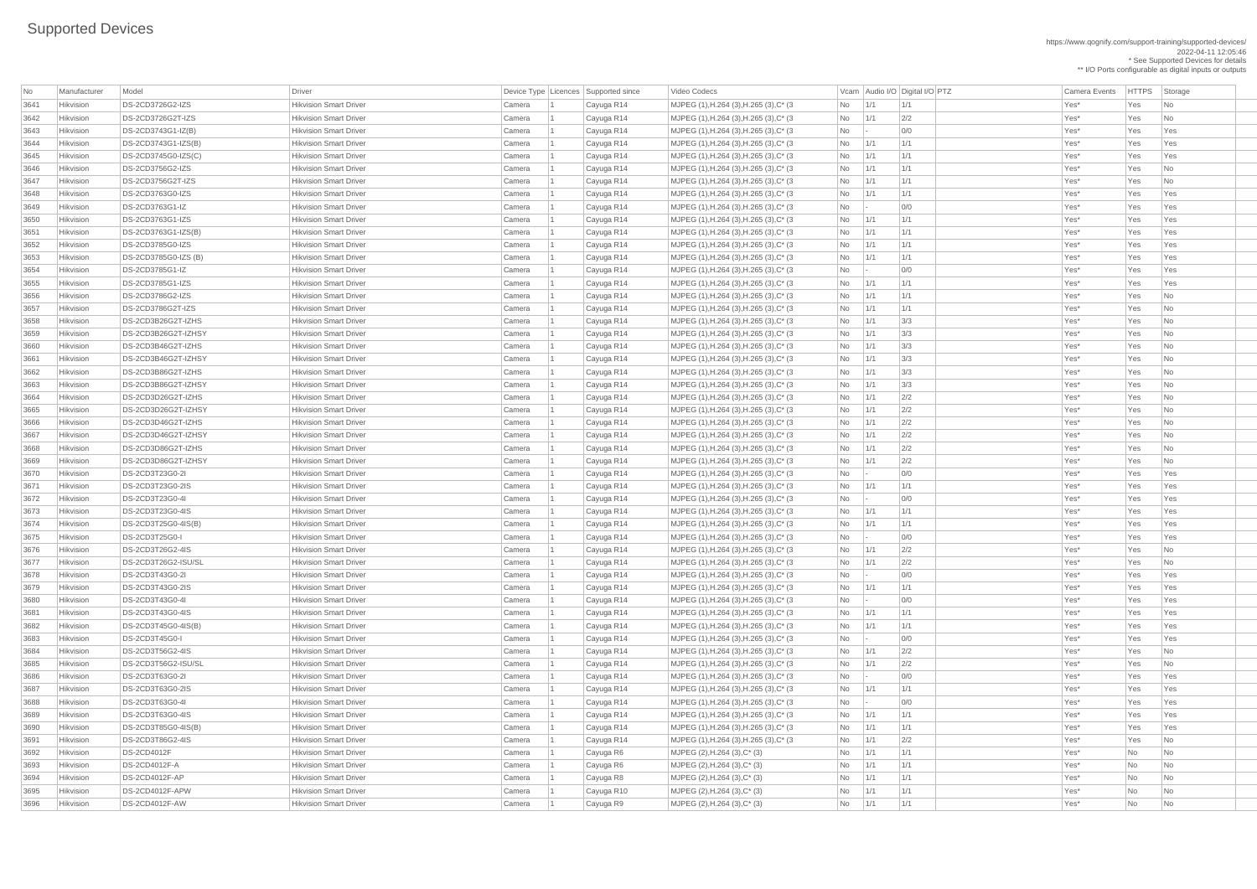https://www.qognify.com/support-training/supported-devices/ 2022-04-11 12:05:46 \* See Supported Devices for details \*\* I/O Ports configurable as digital inputs or outputs

| Video Codecs | No Manufacturer | No Manufacturer Model Driver Device Type Licence Codecs | HTTPS | Storage | |MJPEG (1),H.264 (3),H.265 (3),C\* (3  $\qquad$  No  $\qquad$  1/1  $\qquad$  1/1  $\qquad$  1/1  $\qquad$  Yes\* Yes No  $\qquad$ NJPEG (1),H.264 (3),H.265 (3),C\* (3 No 1/1 2/2 No 1 Cayuga R14 Mo 2/2 Yes\* Yes No | MJPEG (1),H.264 (3),H.265 (3),C\* (3  $\qquad$  No  $\qquad$  - 0/0  $\qquad$  00 Yes\* Yes Yes Yes | MJPEG (1),H.264 (3),H.265 (3),C\* (3  $\vert$  No  $\vert$  1/1  $\vert$  1/1  $\vert$  1/1  $\vert$  1/1  $\vert$   $\vert$  Yes\*  $\vert$  Yes  $\vert$  Yes Yes 3645 Hikvision DS-2CD3745G0-IZS(C) Hikvision Smart Driver Camera 1 Cayuga R14 MJPEG (1),H.264 (3),H.265 (3),C\* (3 No 1/1 1/1 Yes\* Yes Yes | MJPEG (1),H.264 (3),H.265 (3),C\* (3  $\qquad$  No  $\qquad$  1/1  $\qquad$  1/1  $\qquad$  1/1  $\qquad$  Yes\* Yes No | MJPEG (1),H.264 (3),H.265 (3),C\* (3  $\qquad$  No  $\qquad$  1/1  $\qquad$  1/1  $\qquad$  1/1  $\qquad$  Yes\* Yes No | MJPEG (1),H.264 (3),H.265 (3),C\* (3  $\qquad$  No 1/1 1/1 1/1 No 11/1 Ves\* Yes Yes Yes | MJPEG (1),H.264 (3),H.265 (3),C\* (3  $\qquad$  No  $\qquad$  - 0/0  $\qquad$  00 Yes\* Yes Yes Yes Yes | MJPEG (1),H.264 (3),H.265 (3),C\* (3  $\qquad$  No 1/1 1/1 1/1 No 1/1 Xes\* Yes Yes Yes | MJPEG (1),H.264 (3),H.265 (3),C\* (3  $\qquad$  No 1/1 1/1 1/1 No 11/1 Ves\* Yes Yes Yes | MJPEG (1),H.264 (3),H.265 (3),C\* (3  $\qquad$  No  $\qquad$  1/1  $\qquad$  1/1  $\qquad$  1/1  $\qquad$  Yes\* Yes Yes Yes 3653 Hikvision DS-2CD3785G0-IZS (B) Hikvision Smart Driver Camera 1 Cayuga R14 MJPEG (1),H.264 (3),H.265 (3),C\* (3 No 1/1 1/1 Yes\* Yes Yes | MJPEG (1),H.264 (3),H.265 (3),C\* (3  $\qquad$  No  $\qquad$  - 0/0  $\qquad$  00 Yes\* Yes Yes Yes | MJPEG (1),H.264 (3),H.265 (3),C\* (3  $\qquad$  No 1/1 1/1 1/1 No 1/1 Xes\* Yes Yes Yes 3656 Hikvision DS-2CD3786G2-IZS Hikvision Smart Driver Camera 1 Cayuga R14 MJPEG (1),H.264 (3),H.265 (3),C\* (3 No 1/1 1/1 Yes\* Yes No | MJPEG (1),H.264 (3),H.265 (3),C\* (3  $\qquad$  No  $\qquad$  1/1  $\qquad$  1/1  $\qquad$  1/1  $\qquad$  Yes\* Yes No | MJPEG (1),H.264 (3),H.265 (3),C\* (3  $\qquad$  No  $\qquad$  1/1  $\qquad$  3/3  $\qquad$  Yes\* Yes No | MJPEG (1),H.264 (3),H.265 (3),C\* (3  $\qquad$  No  $\qquad$  1/1  $\qquad$  3/3  $\qquad$  Yes\* Yes No | MJPEG (1),H.264 (3),H.265 (3),C\* (3  $\qquad$  No  $\qquad$  1/1  $\qquad$  3/3  $\qquad$  Yes\* Yes No | MJPEG (1),H.264 (3),H.265 (3),C\* (3  $\qquad$  No  $\qquad$  1/1  $\qquad$  3/3  $\qquad$  Yes\* Yes No | MJPEG (1),H.264 (3),H.265 (3),C\* (3  $\qquad$  No  $\qquad$  1/1  $\qquad$  3/3  $\qquad$  Yes\* Yes No | MJPEG (1),H.264 (3),H.265 (3),C\* (3  $\qquad$  No  $\qquad$  1/1  $\qquad$  3/3  $\qquad$  Yes\* Yes No | MJPEG (1),H.264 (3),H.265 (3),C\* (3  $\qquad$  No  $\qquad$  1/1  $\qquad$  2/2  $\qquad$  Yes\* Yes No | MJPEG (1),H.264 (3),H.265 (3),C\* (3  $\qquad$  No  $\qquad$  1/1  $\qquad$  2/2  $\qquad$  Yes\* Yes No | MJPEG (1),H.264 (3),H.265 (3),C\* (3  $\qquad$  No  $\qquad$  1/1  $\qquad$  2/2  $\qquad$  Yes\* Yes No | MJPEG (1),H.264 (3),H.265 (3),C\* (3  $\qquad$  No  $\qquad$  1/1  $\qquad$  2/2  $\qquad$  Yes\* Yes No | MJPEG (1),H.264 (3),H.265 (3),C\* (3  $\qquad$  No  $\qquad$  1/1  $\qquad$  2/2  $\qquad$  Yes\* Yes No | MJPEG (1),H.264 (3),H.265 (3),C\* (3  $\qquad$  No  $\qquad$  1/1  $\qquad$  2/2  $\qquad$  Yes\* Yes No | MJPEG (1),H.264 (3),H.265 (3),C\* (3  $\qquad$  No  $\qquad$  - 0/0  $\qquad$  00 Yes\* Yes Yes Yes | MJPEG (1),H.264 (3),H.265 (3),C\* (3  $\qquad$  No 1/1 1/1 1/1 No 1/1 Xes\* Yes Yes Yes | MJPEG (1),H.264 (3),H.265 (3),C\* (3  $\qquad$  No  $\qquad$  - 0/0  $\qquad$  01  $\qquad$  Yes\* Yes Yes Yes | MJPEG (1),H.264 (3),H.265 (3),C\* (3  $\qquad$  No  $\qquad$  1/1  $\qquad$  1/1  $\qquad$  1/1  $\qquad$  Yes\* Yes Yes Yes | MJPEG (1),H.264 (3),H.265 (3),C\* (3  $\qquad$  No 1/1 1/1 1/1 No 1/1 Xes\* Yes Yes Yes | MJPEG (1),H.264 (3),H.265 (3),C\* (3  $\qquad$  No  $\qquad$  - 0/0  $\qquad$  00 Yes\* Yes Yes Yes | MJPEG (1),H.264 (3),H.265 (3),C\* (3  $\qquad$  No  $\qquad$  1/1  $\qquad$  2/2  $\qquad$  Yes\* Yes No | MJPEG (1),H.264 (3),H.265 (3),C\* (3  $\qquad$  No  $\qquad$  1/1  $\qquad$  2/2  $\qquad$  Yes\* Yes No | MJPEG (1),H.264 (3),H.265 (3),C\* (3  $\qquad$  No  $\qquad$  - 0/0  $\qquad$  00 Yes\* Yes Yes Yes | MJPEG (1),H.264 (3),H.265 (3),C\* (3  $\qquad$  No 1/1 1/1 1/1 No 11/1 Yes\* Yes Yes Yes | MJPEG (1),H.264 (3),H.265 (3),C\* (3  $\qquad$  No  $\qquad$  - 0/0  $\qquad$  01  $\qquad$  Yes\* Yes Yes Yes | MJPEG (1),H.264 (3),H.265 (3),C\* (3  $\qquad$  No 1/1 1/1 1/1 No 1/1 Xes\* Yes Yes Yes | MJPEG (1),H.264 (3),H.265 (3),C\* (3  $\qquad$  No 1/1 1/1 1/1 No 11/1 Ves\* Yes Yes Yes | MJPEG (1),H.264 (3),H.265 (3),C\* (3  $\qquad$  No  $\qquad$  - 0/0  $\qquad$  00 Yes\* Yes Yes Yes Yes | MJPEG (1),H.264 (3),H.265 (3),C\* (3  $\qquad$  No  $\qquad$  1/1  $\qquad$  2/2  $\qquad$  Yes\* Yes No  $\qquad$ | MJPEG (1),H.264 (3),H.265 (3),C\* (3  $\qquad$  No  $\qquad$  1/1  $\qquad$  2/2  $\qquad$  Yes\* Yes No |MJPEG (1),H.264 (3),H.265 (3),C\* (3  $\vert$ No  $\vert$ - $\vert$ 0/0  $\vert$  /Yes\* Yes Yes Yes Yes 3687 Hikvision DS-2CD3T63G0-2IS Hikvision Smart Driver Camera 1 Cayuga R14 MJPEG (1),H.264 (3),H.265 (3),C\* (3 No 1/1 1/1 Yes\* Yes Yes | MJPEG (1),H.264 (3),H.265 (3),C\* (3  $\qquad$  No  $\qquad$  - 0/0  $\qquad$  00 Yes\* Yes Yes Yes | MJPEG (1),H.264 (3),H.265 (3),C\* (3  $\qquad$  No  $\qquad$  1/1  $\qquad$  1/1  $\qquad$  1/1  $\qquad$  Yes\* Yes Yes Yes | MJPEG (1),H.264 (3),H.265 (3),C\* (3  $\qquad$  No 1/1 1/1 1/1 No 1/1 Xes\* Yes Yes Yes 3691 Hikvision DS-2CD3T86G2-4IS Hikvision Smart Driver Camera 1 Cayuga R14 MJPEG (1),H.264 (3),H.265 (3),C\* (3 No 1/1 2/2 Yes\* Yes No

| No   | Manufacturer | Model                   | Driver                        |        | Device Type   Licences   Supported since | Video Codecs                            |           |     | Vcam Audio I/O Digital I/O PTZ | <b>Camera Events</b> | HTTPS Sto |                             |
|------|--------------|-------------------------|-------------------------------|--------|------------------------------------------|-----------------------------------------|-----------|-----|--------------------------------|----------------------|-----------|-----------------------------|
| 3641 | Hikvision    | <b>DS-2CD3726G2-IZS</b> | <b>Hikvision Smart Driver</b> | Camera | Cayuga R14                               | MJPEG (1), H.264 (3), H.265 (3), C* (3) | No        | 1/1 | 1/1                            | Yes*                 | Yes       | $\vert$ Nc                  |
| 3642 | Hikvision    | DS-2CD3726G2T-IZS       | <b>Hikvision Smart Driver</b> | Camera | Cayuga R14                               | MJPEG (1), H.264 (3), H.265 (3), C* (3) | No        | 1/1 | 2/2                            | Yes*                 | Yes       | $\overline{\phantom{a}}$ Nc |
| 3643 | Hikvision    | DS-2CD3743G1-IZ(B)      | <b>Hikvision Smart Driver</b> | Camera | Cayuga R14                               | MJPEG (1), H.264 (3), H.265 (3), C* (3) | No        |     | 0/0                            | Yes*                 | Yes       | Ye                          |
| 3644 | Hikvision    | $DS-2CD3743G1-IZS(B)$   | <b>Hikvision Smart Driver</b> | Camera | Cayuga R14                               | MJPEG (1), H.264 (3), H.265 (3), C* (3) | No        | 1/1 | 1/1                            | Yes*                 | Yes       | Ye                          |
| 3645 | Hikvision    | DS-2CD3745G0-IZS(C)     | <b>Hikvision Smart Driver</b> | Camera | Cayuga R14                               | MJPEG (1), H.264 (3), H.265 (3), C* (3) | No        | 1/1 | 1/1                            | Yes*                 | Yes       | Ye                          |
| 3646 | Hikvision    | DS-2CD3756G2-IZS        | <b>Hikvision Smart Driver</b> | Camera | Cayuga R14                               | MJPEG (1), H.264 (3), H.265 (3), C* (3) | No        | 1/1 | 1/1                            | Yes*                 | Yes       | $\overline{\phantom{a}}$ Nc |
| 3647 | Hikvision    | DS-2CD3756G2T-IZS       | <b>Hikvision Smart Driver</b> | Camera | Cayuga R14                               | MJPEG (1), H.264 (3), H.265 (3), C* (3) | No        | 1/1 | 1/1                            | Yes*                 | Yes       | $\overline{\phantom{a}}$ Nc |
| 3648 | Hikvision    | DS-2CD3763G0-IZS        | <b>Hikvision Smart Driver</b> | Camera | Cayuga R14                               | MJPEG (1), H.264 (3), H.265 (3), C* (3) | No        | 1/1 | 1/1                            | Yes*                 | Yes       | Ye                          |
| 3649 | Hikvision    | DS-2CD3763G1-IZ         | <b>Hikvision Smart Driver</b> | Camera | Cayuga R14                               | MJPEG (1), H.264 (3), H.265 (3), C* (3) | No        |     | 0/0                            | Yes*                 | Yes       | Ye                          |
| 3650 | Hikvision    | DS-2CD3763G1-IZS        | <b>Hikvision Smart Driver</b> | Camera | Cayuga R14                               | MJPEG (1), H.264 (3), H.265 (3), C* (3) | No        | 1/1 | 1/1                            | Yes*                 | Yes       | Ye                          |
| 3651 | Hikvision    | $DS-2CD3763G1-IZS(B)$   | <b>Hikvision Smart Driver</b> | Camera | Cayuga R14                               | MJPEG (1), H.264 (3), H.265 (3), C* (3) | No        | 1/1 | 1/1                            | Yes*                 | Yes       | Ye                          |
| 3652 | Hikvision    | DS-2CD3785G0-IZS        | <b>Hikvision Smart Driver</b> | Camera | Cayuga R14                               | MJPEG (1), H.264 (3), H.265 (3), C* (3) | No        | 1/1 | 1/1                            | Yes*                 | Yes       | Ye                          |
| 3653 | Hikvision    | DS-2CD3785G0-IZS (B)    | <b>Hikvision Smart Driver</b> | Camera | Cayuga R14                               | MJPEG (1), H.264 (3), H.265 (3), C* (3) | No        | 1/1 | 1/1                            | Yes*                 | Yes       | $ $ Ye                      |
| 3654 | Hikvision    | DS-2CD3785G1-IZ         | <b>Hikvision Smart Driver</b> | Camera | Cayuga R14                               | MJPEG (1), H.264 (3), H.265 (3), C* (3) | No        |     | 0/0                            | Yes*                 | Yes       | Ye                          |
| 3655 | Hikvision    | DS-2CD3785G1-IZS        | <b>Hikvision Smart Driver</b> | Camera | Cayuga R14                               | MJPEG (1), H.264 (3), H.265 (3), C* (3) | No        | 1/1 | 1/1                            | Yes*                 | Yes       | $\mathsf{Ye}$               |
| 3656 | Hikvision    | DS-2CD3786G2-IZS        | <b>Hikvision Smart Driver</b> | Camera | Cayuga R14                               | MJPEG (1), H.264 (3), H.265 (3), C* (3) | No        | 1/1 | 1/1                            | Yes*                 | Yes       | $\overline{\phantom{a}}$ Nc |
| 3657 | Hikvision    | DS-2CD3786G2T-IZS       | <b>Hikvision Smart Driver</b> | Camera | Cayuga R14                               | MJPEG (1), H.264 (3), H.265 (3), C* (3) | No        | 1/1 | 1/1                            | Yes*                 | Yes       | $\overline{\phantom{a}}$ Nc |
| 3658 | Hikvision    | DS-2CD3B26G2T-IZHS      | <b>Hikvision Smart Driver</b> | Camera | Cayuga R14                               | MJPEG (1), H.264 (3), H.265 (3), C* (3) | No        | 1/1 | 3/3                            | Yes*                 | Yes       | $\overline{\phantom{a}}$ Nc |
| 3659 | Hikvision    | DS-2CD3B26G2T-IZHSY     | <b>Hikvision Smart Driver</b> | Camera | Cayuga R14                               | MJPEG (1), H.264 (3), H.265 (3), C* (3) | No        | 1/1 | 3/3                            | Yes*                 | Yes       | $\overline{\phantom{a}}$ Nc |
| 3660 | Hikvision    | DS-2CD3B46G2T-IZHS      | <b>Hikvision Smart Driver</b> | Camera | Cayuga R14                               | MJPEG (1), H.264 (3), H.265 (3), C* (3) | No        | 1/1 | 3/3                            | Yes*                 | Yes       | $\overline{\phantom{a}}$ Nc |
| 3661 | Hikvision    | DS-2CD3B46G2T-IZHSY     | <b>Hikvision Smart Driver</b> | Camera | Cayuga R14                               | MJPEG (1), H.264 (3), H.265 (3), C* (3) | No        | 1/1 | 3/3                            | Yes*                 | Yes       | $\overline{\phantom{a}}$ Nc |
| 3662 | Hikvision    | DS-2CD3B86G2T-IZHS      | <b>Hikvision Smart Driver</b> | Camera | Cayuga R14                               | MJPEG (1), H.264 (3), H.265 (3), C* (3) | No        | 1/1 | 3/3                            | Yes*                 | Yes       | $\overline{\phantom{a}}$ Nc |
| 3663 | Hikvision    | DS-2CD3B86G2T-IZHSY     | <b>Hikvision Smart Driver</b> | Camera | Cayuga R14                               | MJPEG (1), H.264 (3), H.265 (3), C* (3) | No        | 1/1 | 3/3                            | Yes*                 | Yes       | $\overline{\phantom{a}}$ Nc |
| 3664 | Hikvision    | DS-2CD3D26G2T-IZHS      | <b>Hikvision Smart Driver</b> | Camera | Cayuga R14                               | MJPEG (1), H.264 (3), H.265 (3), C* (3) | No        | 1/1 | 2/2                            | Yes*                 | Yes       | $\overline{\phantom{a}}$ Nc |
| 3665 | Hikvision    | DS-2CD3D26G2T-IZHSY     | <b>Hikvision Smart Driver</b> | Camera | Cayuga R14                               | MJPEG (1), H.264 (3), H.265 (3), C* (3) | No        | 1/1 | 2/2                            | Yes*                 | Yes       | $\overline{\phantom{a}}$ Nc |
| 3666 | Hikvision    | DS-2CD3D46G2T-IZHS      | <b>Hikvision Smart Driver</b> | Camera | Cayuga R14                               | MJPEG (1), H.264 (3), H.265 (3), C* (3) | No        | 1/1 | 2/2                            | Yes*                 | Yes       | $ $ Nc                      |
| 3667 | Hikvision    | DS-2CD3D46G2T-IZHSY     | <b>Hikvision Smart Driver</b> | Camera | Cayuga R14                               | MJPEG (1), H.264 (3), H.265 (3), C* (3) | No        | 1/1 | 2/2                            | Yes*                 | Yes       | $\vert$ Nc                  |
| 3668 | Hikvision    | DS-2CD3D86G2T-IZHS      | <b>Hikvision Smart Driver</b> | Camera | Cayuga R14                               | MJPEG (1), H.264 (3), H.265 (3), C* (3) | No        | 1/1 | 2/2                            | Yes*                 | Yes       | $\overline{\phantom{a}}$ Nc |
| 3669 | Hikvision    | DS-2CD3D86G2T-IZHSY     | <b>Hikvision Smart Driver</b> | Camera | Cayuga R14                               | MJPEG (1), H.264 (3), H.265 (3), C* (3) | No        | 1/1 | 2/2                            | Yes*                 | Yes       | $\overline{\phantom{a}}$ Nc |
| 3670 | Hikvision    | DS-2CD3T23G0-2I         | <b>Hikvision Smart Driver</b> | Camera | Cayuga R14                               | MJPEG (1), H.264 (3), H.265 (3), C* (3) | <b>No</b> |     | 0/0                            | Yes*                 | Yes       | Ye                          |
| 3671 | Hikvision    | DS-2CD3T23G0-2IS        | <b>Hikvision Smart Driver</b> | Camera | Cayuga R14                               | MJPEG (1), H.264 (3), H.265 (3), C* (3) | No        | 1/1 | 1/1                            | Yes*                 | Yes       | Ye                          |
| 3672 | Hikvision    | DS-2CD3T23G0-4I         | <b>Hikvision Smart Driver</b> | Camera | Cayuga R14                               | MJPEG (1), H.264 (3), H.265 (3), C* (3) | No        |     | 0/0                            | Yes*                 | Yes       | $\mathsf{Ye}$               |
| 3673 | Hikvision    | DS-2CD3T23G0-4IS        | <b>Hikvision Smart Driver</b> | Camera | Cayuga R14                               | MJPEG (1), H.264 (3), H.265 (3), C* (3) | No        | 1/1 | 1/1                            | Yes*                 | Yes       | $\mathsf{Ye}$               |
| 3674 | Hikvision    | DS-2CD3T25G0-4IS(B)     | <b>Hikvision Smart Driver</b> | Camera | Cayuga R14                               | MJPEG (1), H.264 (3), H.265 (3), C* (3) | No        | 1/1 | 1/1                            | Yes*                 | Yes       | Ye                          |
| 3675 | Hikvision    | <b>DS-2CD3T25G0-I</b>   | <b>Hikvision Smart Driver</b> | Camera | Cayuga R14                               | MJPEG (1), H.264 (3), H.265 (3), C* (3) | No        |     | 0/0                            | Yes*                 | Yes       | $ $ Ye                      |
| 3676 | Hikvision    | DS-2CD3T26G2-4IS        | <b>Hikvision Smart Driver</b> | Camera | Cayuga R14                               | MJPEG (1), H.264 (3), H.265 (3), C* (3) | No        | 1/1 | 2/2                            | Yes*                 | Yes       | $\overline{\phantom{a}}$ Nc |
| 3677 | Hikvision    | DS-2CD3T26G2-ISU/SL     | <b>Hikvision Smart Driver</b> | Camera | Cayuga R14                               | MJPEG (1), H.264 (3), H.265 (3), C* (3) | No        | 1/1 | 2/2                            | Yes*                 | Yes       | $\overline{\phantom{a}}$ Nc |
| 3678 | Hikvision    | DS-2CD3T43G0-2I         | <b>Hikvision Smart Driver</b> | Camera | Cayuga R14                               | MJPEG (1), H.264 (3), H.265 (3), C* (3) | No        |     | 0/0                            | Yes*                 | Yes       | $ $ Ye                      |
| 3679 | Hikvision    | DS-2CD3T43G0-2IS        | <b>Hikvision Smart Driver</b> | Camera | Cayuga R14                               | MJPEG (1), H.264 (3), H.265 (3), C* (3) | No        | 1/1 | 1/1                            | Yes*                 | Yes       | $\mathsf{Ye}$               |
| 3680 | Hikvision    | DS-2CD3T43G0-4I         | <b>Hikvision Smart Driver</b> | Camera | Cayuga R14                               | MJPEG (1), H.264 (3), H.265 (3), C* (3) | No        |     | 0/0                            | Yes*                 | Yes       | Ye                          |
| 3681 | Hikvision    | DS-2CD3T43G0-4IS        | <b>Hikvision Smart Driver</b> | Camera | Cayuga R14                               | MJPEG (1), H.264 (3), H.265 (3), C* (3) | No        | 1/1 | 1/1                            | Yes*                 | Yes       | $ $ Ye                      |
| 3682 | Hikvision    | $DS-2CD3T45G0-4IS(B)$   | <b>Hikvision Smart Driver</b> | Camera | Cayuga R14                               | MJPEG (1), H.264 (3), H.265 (3), C* (3) | No        | 1/1 | 1/1                            | Yes*                 | Yes       | Ye                          |
| 3683 | Hikvision    | DS-2CD3T45G0-I          | <b>Hikvision Smart Driver</b> | Camera | Cayuga R14                               | MJPEG (1), H.264 (3), H.265 (3), C* (3) | No        |     | 0/0                            | Yes*                 | Yes       | $ $ Ye                      |
| 3684 | Hikvision    | DS-2CD3T56G2-4IS        | <b>Hikvision Smart Driver</b> | Camera | Cayuga R14                               | MJPEG (1), H.264 (3), H.265 (3), C* (3) | No        | 1/1 | 2/2                            | Yes*                 | Yes       | $\overline{\phantom{a}}$ Nc |
| 3685 | Hikvision    | DS-2CD3T56G2-ISU/SL     | <b>Hikvision Smart Driver</b> | Camera | Cayuga R14                               | MJPEG (1), H.264 (3), H.265 (3), C* (3) | No        | 1/1 | 2/2                            | Yes*                 | Yes       | $\overline{\phantom{a}}$ Nc |
| 3686 | Hikvision    | DS-2CD3T63G0-2I         | <b>Hikvision Smart Driver</b> | Camera | Cayuga R14                               | MJPEG (1), H.264 (3), H.265 (3), C* (3) | No        |     | 0/0                            | Yes*                 | Yes       | Ye                          |
| 3687 | Hikvision    | DS-2CD3T63G0-2IS        | <b>Hikvision Smart Driver</b> | Camera | Cayuga R14                               | MJPEG (1), H.264 (3), H.265 (3), C* (3) | No        | 1/1 | 1/1                            | Yes*                 | Yes       | $ $ Ye                      |
| 3688 | Hikvision    | DS-2CD3T63G0-4I         | <b>Hikvision Smart Driver</b> | Camera | Cayuga R14                               | MJPEG (1), H.264 (3), H.265 (3), C* (3) | No        |     | 0/0                            | Yes*                 | Yes       | $ $ Ye                      |
| 3689 | Hikvision    | DS-2CD3T63G0-4IS        | <b>Hikvision Smart Driver</b> | Camera | Cayuga R14                               | MJPEG (1), H.264 (3), H.265 (3), C* (3) | No        | 1/1 | 1/1                            | Yes*                 | Yes       | $ $ Ye                      |
| 3690 | Hikvision    | DS-2CD3T85G0-4IS(B)     | <b>Hikvision Smart Driver</b> | Camera | Cayuga R14                               | MJPEG (1), H.264 (3), H.265 (3), C* (3) | No        | 1/1 | 1/1                            | Yes*                 | Yes       | $ $ Ye                      |
| 3691 | Hikvision    | DS-2CD3T86G2-4IS        | <b>Hikvision Smart Driver</b> | Camera | Cayuga R14                               | MJPEG (1), H.264 (3), H.265 (3), C* (3) | No        | 1/1 | 2/2                            | Yes*                 | Yes       | $\vert$ Nc                  |
| 3692 | Hikvision    | <b>DS-2CD4012F</b>      | <b>Hikvision Smart Driver</b> | Camera | Cayuga R6                                | MJPEG (2), H.264 (3), C* (3)            | No        | 1/1 | 1/1                            | Yes*                 | No        |                             |
| 3693 | Hikvision    | <b>DS-2CD4012F-A</b>    | <b>Hikvision Smart Driver</b> | Camera | Cayuga R6                                | MJPEG (2), H.264 (3), C* (3)            | No        | 1/1 | 1/1                            | Yes*                 | No        | Nc                          |
| 3694 | Hikvision    | DS-2CD4012F-AP          | <b>Hikvision Smart Driver</b> | Camera | Cayuga R8                                | MJPEG (2), H.264 (3), C* (3)            | No        | 1/1 | 1/1                            | Yes*                 | No        | Nc                          |
| 3695 | Hikvision    | DS-2CD4012F-APW         | <b>Hikvision Smart Driver</b> | Camera | Cayuga R10                               | MJPEG $(2)$ , H.264 $(3)$ , C* $(3)$    | No        | 1/1 | 1/1                            | Yes*                 | No        | $ $ Nc                      |
| 3696 | Hikvision    | DS-2CD4012F-AW          | <b>Hikvision Smart Driver</b> | Camera | Cayuga R9                                | MJPEG (2), H.264 (3), C* (3)            | No        | 1/1 | 1/1                            | Yes*                 | No        | $ $ Nc                      |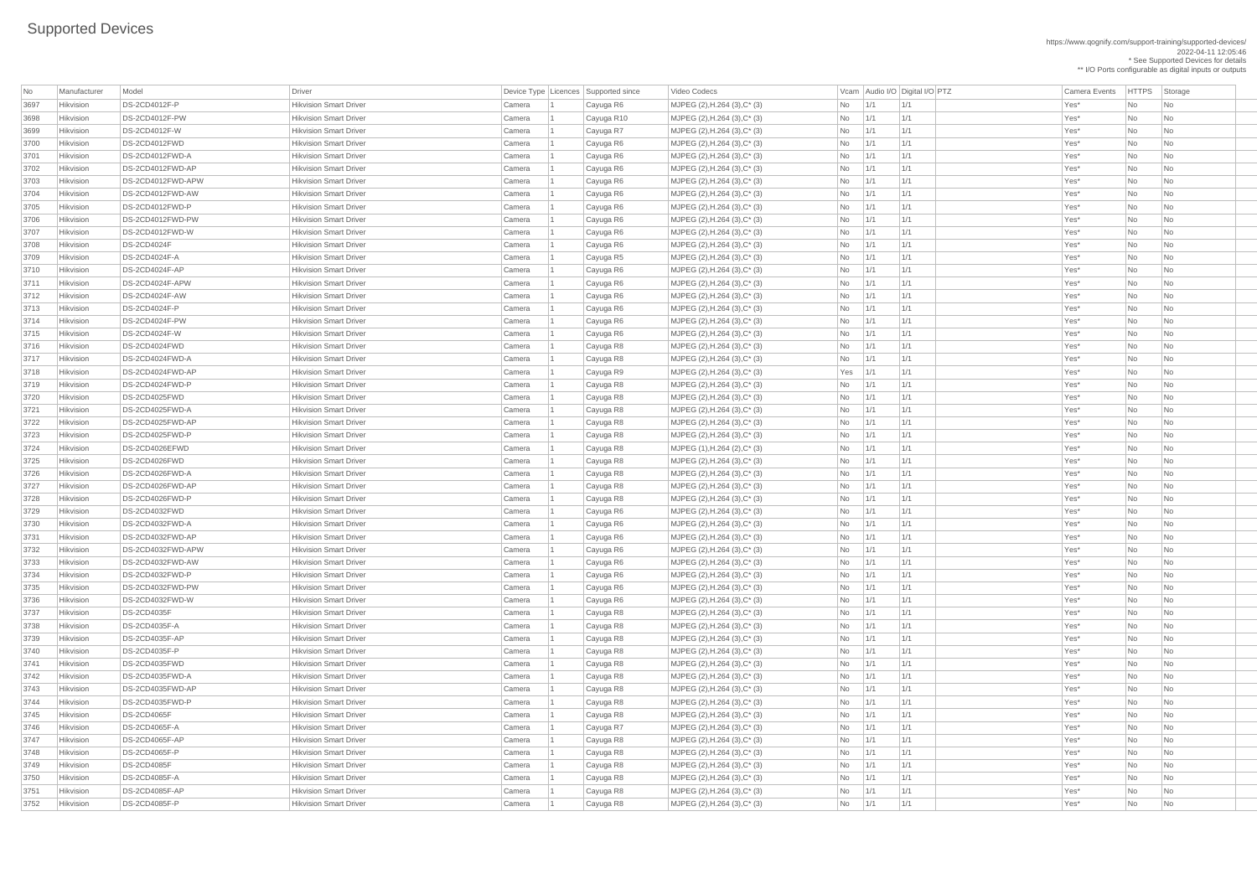https://www.qognify.com/support-training/supported-devices/ 2022-04-11 12:05:46 \* See Supported Devices for details \*\* I/O Ports configurable as digital inputs or outputs

| No           | Manufacturer           | Model                               | <b>Driver</b>                                                  |                  | Device Type   Licences   Supported since | Video Codecs                                                    |                |             | Vcam Audio I/O Digital I/O PTZ | <b>Camera Events</b> | <b>HTTPS</b>    | Storage                        |
|--------------|------------------------|-------------------------------------|----------------------------------------------------------------|------------------|------------------------------------------|-----------------------------------------------------------------|----------------|-------------|--------------------------------|----------------------|-----------------|--------------------------------|
| 3697         | Hikvision              | DS-2CD4012F-P                       | <b>Hikvision Smart Driver</b>                                  | Camera           | Cayuga R6                                | MJPEG (2), H.264 (3), C* (3)                                    | N <sub>o</sub> | 1/1         | 1/1                            | Yes*                 | <b>No</b>       | No                             |
| 3698         | Hikvision              | DS-2CD4012F-PW                      | <b>Hikvision Smart Driver</b>                                  | Camera           | Cayuga R10                               | MJPEG (2), H.264 (3), C* (3)                                    | <b>No</b>      | 1/1         | 1/1                            | Yes*                 | <b>No</b>       | No                             |
| 3699         | Hikvision              | DS-2CD4012F-W                       | <b>Hikvision Smart Driver</b>                                  | Camera           | Cayuga R7                                | MJPEG (2), H.264 (3), C* (3)                                    | No             | 1/1         | 1/1                            | Yes*                 | No              | No                             |
| 3700         | Hikvision              | DS-2CD4012FWD                       | <b>Hikvision Smart Driver</b>                                  | Camera           | Cayuga R6                                | $MJPEG (2), H.264 (3), C^* (3)$                                 | No             | 1/1         | 1/1                            | Yes*                 | <b>No</b>       | No                             |
| 3701         | Hikvision              | DS-2CD4012FWD-A                     | <b>Hikvision Smart Driver</b>                                  | Camera           | Cayuga R6                                | $MJPEG (2), H.264 (3), C^* (3)$                                 | No             | 1/1         | 1/1                            | Yes*                 | No              | No                             |
| 3702         | Hikvision              | DS-2CD4012FWD-AP                    | <b>Hikvision Smart Driver</b>                                  | Camera           | Cayuga R6                                | MJPEG (2), H.264 (3), C* (3)                                    | <b>No</b>      | 1/1         | 1/1                            | Yes*                 | <b>No</b>       | No                             |
| 3703         | Hikvision              | DS-2CD4012FWD-APW                   | <b>Hikvision Smart Driver</b>                                  | Camera           | Cayuga R6                                | MJPEG (2), H.264 (3), C* (3)                                    | <b>No</b>      | 1/1         | 1/1                            | Yes*                 | <b>No</b>       | No                             |
| 3704         | Hikvision              | DS-2CD4012FWD-AW                    | <b>Hikvision Smart Driver</b>                                  | Camera           | Cayuga R6                                | MJPEG (2), H.264 (3), C* (3)                                    | No             | 1/1         | 1/1                            | Yes*                 | No              | No                             |
| 3705         | Hikvision              | DS-2CD4012FWD-P                     | <b>Hikvision Smart Driver</b>                                  | Camera           | Cayuga R6                                | MJPEG (2), H.264 (3), C* (3)                                    | <b>No</b>      | 1/1         | 1/1                            | Yes*                 | <b>No</b>       | No                             |
| 3706         | Hikvision              | DS-2CD4012FWD-PW                    | <b>Hikvision Smart Driver</b>                                  | Camera           | Cayuga R6                                | $MJPEG (2), H.264 (3), C^* (3)$                                 | No             | 1/1         | 1/1                            | Yes*                 | No              | No                             |
| 3707         | Hikvision              | DS-2CD4012FWD-W                     | <b>Hikvision Smart Driver</b>                                  | Camera           | Cayuga R6                                | $MJPEG (2), H.264 (3), C^* (3)$                                 | No             | 1/1         | 1/1                            | Yes*                 | <b>No</b>       | No                             |
| 3708         | Hikvision              | <b>DS-2CD4024F</b>                  | <b>Hikvision Smart Driver</b>                                  | Camera           | Cayuga R6                                | MJPEG (2), H.264 (3), C* (3)                                    | No             | 1/1         | 1/1                            | Yes*                 | <b>No</b>       | No                             |
| 3709         | Hikvision              | DS-2CD4024F-A                       | <b>Hikvision Smart Driver</b>                                  | Camera           | Cayuga R5                                | MJPEG (2), H.264 (3), C* (3)                                    | No             | 1/1         | 1/1                            | Yes*                 | No              | No                             |
| 3710         | Hikvision              | DS-2CD4024F-AP                      | <b>Hikvision Smart Driver</b>                                  | Camera           | Cayuga R6                                | MJPEG (2), H.264 (3), C* (3)                                    | <b>No</b>      | 1/1         | 1/1                            | Yes*                 | <b>No</b>       | No                             |
| 3711         | Hikvision              | DS-2CD4024F-APW                     | <b>Hikvision Smart Driver</b>                                  | Camera           | Cayuga R6                                | MJPEG (2), H.264 (3), C* (3)                                    | No             | 1/1         | 1/1                            | Yes*                 | No              | No                             |
| 3712         | Hikvision              | DS-2CD4024F-AW                      | <b>Hikvision Smart Driver</b>                                  | Camera           | Cayuga R6                                | $MJPEG (2), H.264 (3), C^* (3)$                                 | No             | 1/1         | 1/1                            | Yes*                 | <b>No</b>       | No                             |
| 3713         | Hikvision              | DS-2CD4024F-P                       | <b>Hikvision Smart Driver</b>                                  | Camera           | Cayuga R6                                | $MJPEG (2), H.264 (3), C^* (3)$                                 | No             | 1/1         | 1/1                            | Yes*                 | <b>No</b>       | No                             |
| 3714         | Hikvision              | DS-2CD4024F-PW                      | <b>Hikvision Smart Driver</b>                                  | Camera           | Cayuga R6                                | $MJPEG (2), H.264 (3), C^* (3)$                                 | <b>No</b>      | 1/1         | 1/1                            | Yes*                 | <b>No</b>       | No                             |
| 3715         | Hikvision              | DS-2CD4024F-W                       | <b>Hikvision Smart Driver</b>                                  | Camera           | Cayuga R6                                | $MJPEG (2), H.264 (3), C^* (3)$                                 | <b>No</b>      | 1/1         | 1/1                            | Yes*                 | <b>No</b>       | No                             |
| 3716         | Hikvision              | DS-2CD4024FWD                       | <b>Hikvision Smart Driver</b>                                  | Camera           | Cayuga R8                                | $MJPEG (2), H.264 (3), C^* (3)$                                 | No             | 1/1         | 1/1                            | Yes*                 | <b>No</b>       | N <sub>o</sub>                 |
| 3717         | Hikvision              | DS-2CD4024FWD-A                     | <b>Hikvision Smart Driver</b>                                  | Camera           | Cayuga R8                                | MJPEG (2), H.264 (3), C* (3)                                    | <b>No</b>      | 1/1         | 1/1                            | Yes*                 | <b>No</b>       | No                             |
| 3718         | Hikvision              | DS-2CD4024FWD-AP                    | <b>Hikvision Smart Driver</b>                                  | Camera           | Cayuga R9                                | $MJPEG (2), H.264 (3), C^* (3)$                                 | Yes            | 1/1         | 1/1                            | Yes*                 | No              | No                             |
| 3719         | Hikvision              | DS-2CD4024FWD-P                     | <b>Hikvision Smart Driver</b>                                  | Camera           | Cayuga R8                                | $MJPEG (2), H.264 (3), C^* (3)$                                 | No             | 1/1         | 1/1                            | Yes*                 | <b>No</b>       | No                             |
| 3720         | Hikvision              | DS-2CD4025FWD                       | <b>Hikvision Smart Driver</b>                                  | Camera           | Cayuga R8                                | MJPEG (2), H.264 (3), C* (3)                                    | <b>No</b>      | 1/1         | 1/1                            | Yes*                 | No              | No                             |
| 3721         | Hikvision              | DS-2CD4025FWD-A                     | <b>Hikvision Smart Driver</b>                                  | Camera           | Cayuga R8                                | MJPEG (2), H.264 (3), C* (3)                                    | No.            | 1/1         | 1/1                            | Yes*                 | <b>No</b>       | No                             |
| 3722         | Hikvision              | DS-2CD4025FWD-AP                    | <b>Hikvision Smart Driver</b>                                  | Camera           | Cayuga R8                                | MJPEG (2), H.264 (3), C* (3)                                    | No.            | $\vert$ 1/1 | 1/1                            | Yes*                 | No.             | No                             |
| 3723         | Hikvision              | DS-2CD4025FWD-P                     | <b>Hikvision Smart Driver</b>                                  | Camera           | Cayuga R8                                | MJPEG (2), H.264 (3), C* (3)                                    | <b>No</b>      | 1/1         | 1/1                            | Yes*                 | <b>No</b>       | $\overline{\mathsf{No}}$       |
| 3724         | Hikvision              | DS-2CD4026EFWD                      | <b>Hikvision Smart Driver</b>                                  | Camera           | Cayuga R8                                | MJPEG (1), H.264 (2), C* (3)                                    | No             | 1/1         | 1/1                            | Yes*                 | <b>No</b>       | No                             |
| 3725         | Hikvision              | DS-2CD4026FWD                       | <b>Hikvision Smart Driver</b>                                  | Camera           | Cayuga R8                                | $MJPEG (2), H.264 (3), C^* (3)$                                 | No             | 1/1         | 1/1                            | Yes*                 | <b>No</b>       | No                             |
| 3726         | Hikvision              | DS-2CD4026FWD-A                     | <b>Hikvision Smart Driver</b>                                  | Camera           | Cayuga R8                                | $MJPEG (2), H.264 (3), C^* (3)$                                 | <b>No</b>      | 1/1         | 1/1                            | Yes*                 | <b>No</b>       | No                             |
| 3727         | Hikvision              | DS-2CD4026FWD-AP                    | <b>Hikvision Smart Driver</b>                                  | Camera           | Cayuga R8                                | $MJPEG (2), H.264 (3), C^* (3)$                                 | <b>No</b>      | 1/1         | 1/1                            | Yes*                 | No              | No                             |
| 3728         | Hikvision              | DS-2CD4026FWD-P                     | <b>Hikvision Smart Driver</b>                                  | Camera           | Cayuga R8                                | $MJPEG (2), H.264 (3), C^* (3)$                                 | No             | 1/1         | 1/1                            | Yes*                 | <b>No</b>       | $\overline{\mathsf{No}}$       |
| 3729         | Hikvision              | DS-2CD4032FWD                       | <b>Hikvision Smart Driver</b>                                  | Camera           | Cayuga R6                                | MJPEG (2), H.264 (3), C* (3)                                    | No             | 1/1         | 1/1                            | Yes*                 | No              | $\overline{\mathsf{No}}$       |
| 3730         | Hikvision              | DS-2CD4032FWD-A                     | <b>Hikvision Smart Driver</b>                                  | Camera           | Cayuga R6                                | $MJPEG (2), H.264 (3), C^* (3)$                                 | <b>No</b>      | 1/1         | 1/1                            | Yes*                 | <b>No</b>       | No                             |
| 3731         | Hikvision              | DS-2CD4032FWD-AP                    | <b>Hikvision Smart Driver</b>                                  | Camera           | Cayuga R6                                | $MJPEG (2), H.264 (3), C^* (3)$                                 | No             | 1/1         | 1/1                            | Yes*<br>Yes*         | <b>No</b>       | No                             |
| 3732         | Hikvision              | DS-2CD4032FWD-APW                   | <b>Hikvision Smart Driver</b>                                  | Camera           | Cayuga R6                                | MJPEG (2), H.264 (3), C* (3)                                    | <b>No</b>      | 1/1         | 1/1                            | Yes*                 | No              | No                             |
| 3733<br>3734 | Hikvision              | DS-2CD4032FWD-AW<br>DS-2CD4032FWD-P | <b>Hikvision Smart Driver</b><br><b>Hikvision Smart Driver</b> | Camera           | Cayuga R6                                | MJPEG (2), H.264 (3), C* (3)                                    | <b>No</b>      | 1/1         | 1/1<br>1/1                     | Yes*                 | <b>No</b><br>No | No                             |
| 3735         | Hikvision<br>Hikvision | DS-2CD4032FWD-PW                    | <b>Hikvision Smart Driver</b>                                  | Camera<br>Camera | Cayuga R6<br>Cayuga R6                   | $MJPEG (2), H.264 (3), C^* (3)$<br>MJPEG (2), H.264 (3), C* (3) | No<br>No       | 1/1<br>1/1  | 1/1                            | Yes*                 | <b>No</b>       | $\overline{\mathsf{No}}$<br>No |
| 3736         | Hikvision              | DS-2CD4032FWD-W                     | <b>Hikvision Smart Driver</b>                                  | Camera           | Cayuga R6                                | $MJPEG (2), H.264 (3), C^* (3)$                                 | No             | 1/1         | 1/1                            | Yes*                 | No              | No                             |
| 3737         | Hikvision              | <b>DS-2CD4035F</b>                  | <b>Hikvision Smart Driver</b>                                  | Camera           | Cayuga R8                                | $MJPEG (2), H.264 (3), C^* (3)$                                 | No             | 1/1         | 1/1                            | Yes*                 | No              | No                             |
| 3738         | Hikvision              | <b>DS-2CD4035F-A</b>                | <b>Hikvision Smart Driver</b>                                  | Camera           | Cayuga R8                                | MJPEG (2), H.264 (3), C* (3)                                    | <b>No</b>      | 1/1         | 1/1                            | Yes*                 | <b>No</b>       | No                             |
| 3739         | Hikvision              | DS-2CD4035F-AP                      | <b>Hikvision Smart Driver</b>                                  | Camera           | Cayuga R8                                | $MJPEG (2), H.264 (3), C^* (3)$                                 | <b>No</b>      | 1/1         | 1/1                            | Yes*                 | No              | No                             |
| 3740         | Hikvision              | DS-2CD4035F-P                       | <b>Hikvision Smart Driver</b>                                  | Camera           | Cayuga R8                                | $MJPEG (2), H.264 (3), C^* (3)$                                 | No             | 1/1         | 1/1                            | Yes*                 | <b>No</b>       | $\overline{\mathsf{No}}$       |
| 3741         | Hikvision              | DS-2CD4035FWD                       | <b>Hikvision Smart Driver</b>                                  | Camera           | Cayuga R8                                | MJPEG (2), H.264 (3), C* (3)                                    | No             | 1/1         | 1/1                            | Yes*                 | No              | N <sub>o</sub>                 |
| 3742         | Hikvision              | DS-2CD4035FWD-A                     | <b>Hikvision Smart Driver</b>                                  | Camera           | Cayuga R8                                | MJPEG (2), H.264 (3), C* (3)                                    | No             | 1/1         | 1/1                            | Yes*                 | <b>No</b>       | No                             |
| 3743         | Hikvision              | DS-2CD4035FWD-AP                    | <b>Hikvision Smart Driver</b>                                  | Camera           | Cayuga R8                                | $MJPEG (2), H.264 (3), C^* (3)$                                 | No             | 1/1         | 1/1                            | Yes*                 | No              | No                             |
| 3744         | Hikvision              | DS-2CD4035FWD-P                     | <b>Hikvision Smart Driver</b>                                  | Camera           | Cayuga R8                                | $MJPEG (2), H.264 (3), C^* (3)$                                 | <b>No</b>      | 1/1         | 1/1                            | Yes*                 | <b>No</b>       | No                             |
| 3745         | Hikvision              | <b>DS-2CD4065F</b>                  | <b>Hikvision Smart Driver</b>                                  | Camera           | Cayuga R8                                | MJPEG (2), H.264 (3), C* (3)                                    | <b>No</b>      | 1/1         | 1/1                            | Yes*                 | <b>No</b>       | No                             |
| 3746         | Hikvision              | DS-2CD4065F-A                       | <b>Hikvision Smart Driver</b>                                  | Camera           | Cayuga R7                                | $MJPEG (2), H.264 (3), C^* (3)$                                 | No             | 1/1         | 1/1                            | Yes*                 | No              | No                             |
| 3747         | Hikvision              | <b>DS-2CD4065F-AP</b>               | <b>Hikvision Smart Driver</b>                                  | Camera           | Cayuga R8                                | MJPEG (2), H.264 (3), C* (3)                                    | No             | 1/1         | 1/1                            | Yes*                 | <b>No</b>       | $\overline{\mathsf{No}}$       |
| 3748         | Hikvision              | DS-2CD4065F-P                       | <b>Hikvision Smart Driver</b>                                  | Camera           | Cayuga R8                                | MJPEG (2), H.264 (3), C* (3)                                    | No             | 1/1         | 1/1                            | Yes*                 | No              | No                             |
| 3749         | Hikvision              | <b>DS-2CD4085F</b>                  | <b>Hikvision Smart Driver</b>                                  | Camera           | Cayuga R8                                | $MJPEG (2), H.264 (3), C^* (3)$                                 | No             | 1/1         | 1/1                            | Yes*                 | <b>No</b>       | N <sub>o</sub>                 |
| 3750         | Hikvision              | DS-2CD4085F-A                       | <b>Hikvision Smart Driver</b>                                  | Camera           | Cayuga R8                                | $MJPEG (2), H.264 (3), C^*(3)$                                  | No             | 1/1         | 1/1                            | Yes*                 | No              | No                             |
| 3751         | Hikvision              | DS-2CD4085F-AP                      | <b>Hikvision Smart Driver</b>                                  | Camera           | Cayuga R8                                | $MJPEG (2), H.264 (3), C^* (3)$                                 | No             | 1/1         | 1/1                            | Yes*                 | No              | No                             |
| 3752         | Hikvision              | DS-2CD4085F-P                       | <b>Hikvision Smart Driver</b>                                  | Camera           | Cayuga R8                                | $MJPEG (2), H.264 (3), C^{*} (3)$                               | No             | 1/1         | 1/1                            | Yes*                 | No              | $\overline{\phantom{1}}$ No    |
|              |                        |                                     |                                                                |                  |                                          |                                                                 |                |             |                                |                      |                 |                                |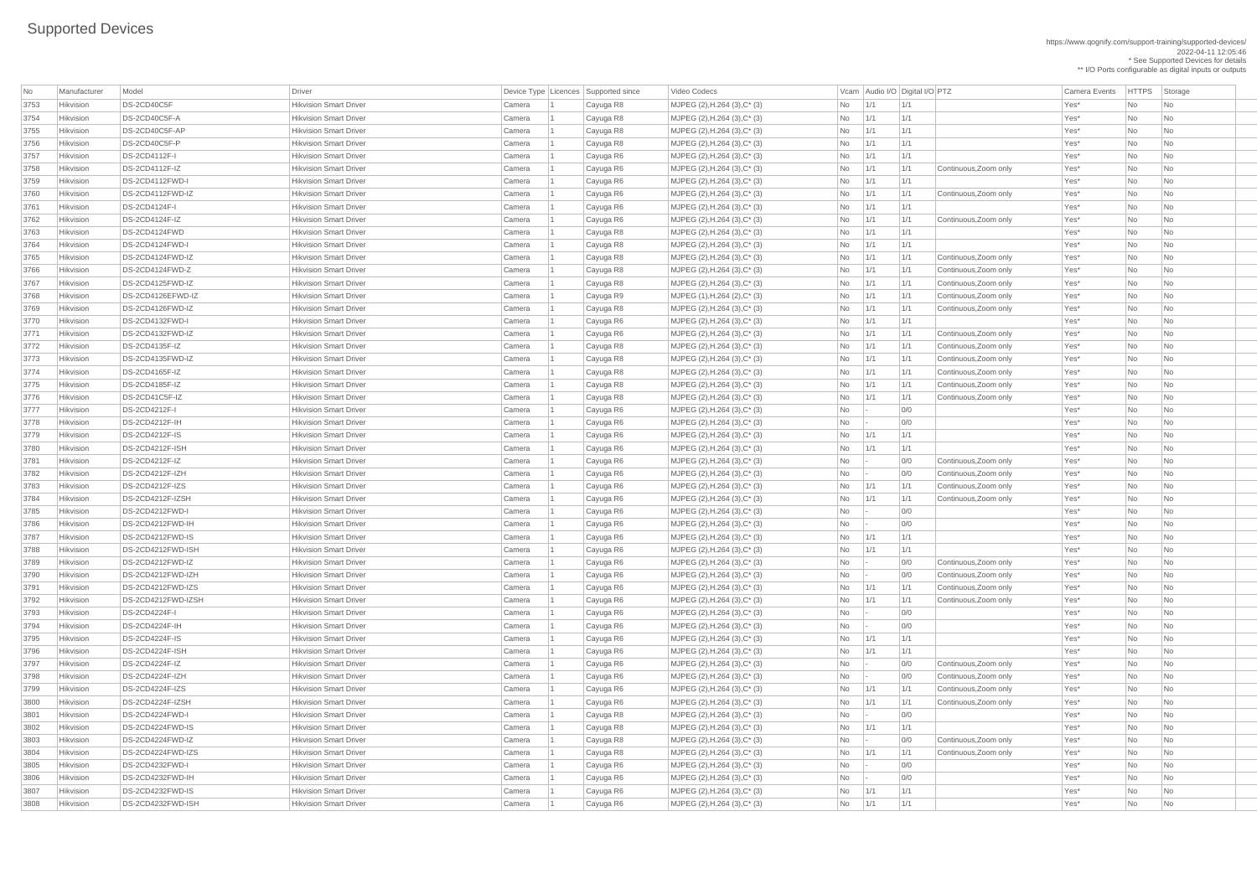https://www.qognify.com/support-training/supported-devices/ 2022-04-11 12:05:46 \* See Supported Devices for details \*\* I/O Ports configurable as digital inputs or outputs

| No   | Manufacturer     | Model                               | Driver                                                         |        | Device Type   Licences   Supported since | Video Codecs                            |           | Vcam Audio I/O Digital I/O PTZ |                   |                       | <b>Camera Events</b> | <b>HTTPS</b> | Storage                     |
|------|------------------|-------------------------------------|----------------------------------------------------------------|--------|------------------------------------------|-----------------------------------------|-----------|--------------------------------|-------------------|-----------------------|----------------------|--------------|-----------------------------|
| 3753 | Hikvision        | DS-2CD40C5F                         | <b>Hikvision Smart Driver</b>                                  | Camera | Cayuga R8                                | $MJPEG (2), H.264 (3), C^* (3)$         | <b>No</b> | 1/1                            | 1/1               |                       | Yes*                 | No           | No                          |
| 3754 | Hikvision        | DS-2CD40C5F-A                       | <b>Hikvision Smart Driver</b>                                  | Camera | Cayuga R8                                | MJPEG $(2)$ , H.264 $(3)$ , C $*$ $(3)$ | <b>No</b> | 1/1                            | 1/1               |                       | Yes*                 | No           | <b>No</b>                   |
| 3755 | Hikvision        | DS-2CD40C5F-AP                      | <b>Hikvision Smart Driver</b>                                  | Camera | Cayuga R8                                | MJPEG $(2)$ , H.264 $(3)$ , C $*$ $(3)$ | No        | 1/1                            | 1/1               |                       | Yes*                 | No           | <b>No</b>                   |
| 3756 | Hikvision        | DS-2CD40C5F-P                       | <b>Hikvision Smart Driver</b>                                  | Camera | Cayuga R8                                | MJPEG $(2)$ , H.264 $(3)$ , C $*$ $(3)$ | No        | 1/1                            | 1/1               |                       | Yes*                 | No           | No                          |
| 3757 | Hikvision        | <b>DS-2CD4112F-I</b>                | <b>Hikvision Smart Driver</b>                                  | Camera | Cayuga R6                                | $MJPEG (2), H.264 (3), C^* (3)$         | No        | 1/1                            | 1/1               |                       | Yes*                 | No           | No                          |
| 3758 | Hikvision        | DS-2CD4112F-IZ                      | <b>Hikvision Smart Driver</b>                                  | Camera | Cayuga R6                                | $MJPEG (2), H.264 (3), C^* (3)$         | No        | $\vert$ 1/1                    | 1/1               | Continuous, Zoom only | Yes*                 | No           | No                          |
| 3759 | Hikvision        | DS-2CD4112FWD-I                     | <b>Hikvision Smart Driver</b>                                  | Camera | Cayuga R6                                | $MJPEG (2), H.264 (3), C^* (3)$         | No        | $\vert$ 1/1                    | 1/1               |                       | Yes*                 | No           | No                          |
| 3760 | Hikvision        | DS-2CD4112FWD-IZ                    | <b>Hikvision Smart Driver</b>                                  | Camera | Cayuga R6                                | MJPEG $(2)$ , H.264 $(3)$ , C $*$ $(3)$ | <b>No</b> | 1/1                            | 1/1               | Continuous, Zoom only | Yes*                 | No           | <b>No</b>                   |
| 3761 | Hikvision        | <b>DS-2CD4124F-I</b>                | <b>Hikvision Smart Driver</b>                                  | Camera | Cayuga R6                                | MJPEG $(2)$ , H.264 $(3)$ , C $*$ $(3)$ | No        | 1/1                            | 1/1               |                       | Yes*                 | <b>No</b>    | <b>No</b>                   |
| 3762 | Hikvision        | DS-2CD4124F-IZ                      | <b>Hikvision Smart Driver</b>                                  | Camera | Cayuga R6                                | MJPEG $(2)$ , H.264 $(3)$ , C $*$ $(3)$ | No        | $\vert$ 1/1                    | 1/1               | Continuous, Zoom only | Yes*                 | No           | No                          |
| 3763 | Hikvision        | DS-2CD4124FWD                       | <b>Hikvision Smart Driver</b>                                  | Camera | Cayuga R8                                | MJPEG $(2)$ , H.264 $(3)$ , C $*$ $(3)$ | <b>No</b> | 1/1                            | 1/1               |                       | Yes*                 | No           | <b>No</b>                   |
| 3764 | Hikvision        | DS-2CD4124FWD-I                     | <b>Hikvision Smart Driver</b>                                  | Camera | Cayuga R8                                | $MJPEG (2), H.264 (3), C^* (3)$         | No        | 1/1                            | 1/1               |                       | Yes*                 | No           | No                          |
| 3765 | Hikvision        | DS-2CD4124FWD-IZ                    | <b>Hikvision Smart Driver</b>                                  | Camera | Cayuga R8                                | $MJPEG (2), H.264 (3), C^* (3)$         | No        | $\vert$ 1/1                    | 1/1               | Continuous, Zoom only | Yes*                 | No           | No                          |
| 3766 | Hikvision        | DS-2CD4124FWD-Z                     | <b>Hikvision Smart Driver</b>                                  | Camera | Cayuga R8                                | MJPEG $(2)$ , H.264 $(3)$ , C $*$ $(3)$ | No        | $\vert$ 1/1                    | 1/1               | Continuous, Zoom only | Yes*                 | No           | <b>No</b>                   |
| 3767 | Hikvision        | DS-2CD4125FWD-IZ                    | <b>Hikvision Smart Driver</b>                                  | Camera | Cayuga R8                                | $MJPEG (2), H.264 (3), C^* (3)$         | No        | 1/1                            | 1/1               | Continuous, Zoom only | Yes*                 | No           | No                          |
| 3768 | Hikvision        | DS-2CD4126EFWD-IZ                   | <b>Hikvision Smart Driver</b>                                  | Camera | Cayuga R9                                | MJPEG $(1)$ , H.264 $(2)$ , C $*$ $(3)$ | No        | $\vert$ 1/1                    | 1/1               | Continuous, Zoom only | Yes*                 | No           | <b>No</b>                   |
| 3769 | Hikvision        | DS-2CD4126FWD-IZ                    | <b>Hikvision Smart Driver</b>                                  | Camera | Cayuga R8                                | $MJPEG (2), H.264 (3), C^* (3)$         | <b>No</b> | 1/1                            | 1/1               | Continuous, Zoom only | Yes*                 | No           | No                          |
| 3770 | Hikvision        | DS-2CD4132FWD-I                     | <b>Hikvision Smart Driver</b>                                  | Camera | Cayuga R6                                | $MJPEG (2), H.264 (3), C^* (3)$         | No        | 1/1                            | 1/1               |                       | Yes*                 | No           | No                          |
| 3771 | Hikvision        | DS-2CD4132FWD-IZ                    | <b>Hikvision Smart Driver</b>                                  | Camera | Cayuga R6                                | MJPEG $(2)$ , H.264 $(3)$ , C $*$ $(3)$ | No        | $\vert$ 1/1                    | 1/1               | Continuous, Zoom only | Yes*                 | No           | No                          |
| 3772 | Hikvision        | DS-2CD4135F-IZ                      | <b>Hikvision Smart Driver</b>                                  | Camera | Cayuga R8                                | $MJPEG (2), H.264 (3), C^* (3)$         | No        | 1/1                            | 1/1               | Continuous, Zoom only | Yes*                 | <b>No</b>    | No                          |
| 3773 | Hikvision        | DS-2CD4135FWD-IZ                    | <b>Hikvision Smart Driver</b>                                  | Camera | Cayuga R8                                | MJPEG $(2)$ , H.264 $(3)$ , C $*$ $(3)$ | No        | 1/1                            | 1/1               | Continuous, Zoom only | Yes*                 | No           | No                          |
| 3774 | Hikvision        | DS-2CD4165F-IZ                      | <b>Hikvision Smart Driver</b>                                  | Camera | Cayuga R8                                | MJPEG $(2)$ , H.264 $(3)$ , C $*$ $(3)$ | No        | $\vert$ 1/1                    | 1/1               | Continuous, Zoom only | Yes*                 | No           | No                          |
| 3775 | Hikvision        | DS-2CD4185F-IZ                      | <b>Hikvision Smart Driver</b>                                  | Camera | Cayuga R8                                | MJPEG $(2)$ , H.264 $(3)$ , C $*$ $(3)$ | No        | $\vert$ 1/1                    | 1/1               | Continuous, Zoom only | Yes*                 | <b>No</b>    | No                          |
| 3776 | Hikvision        | DS-2CD41C5F-IZ                      | <b>Hikvision Smart Driver</b>                                  | Camera | Cayuga R8                                | $MJPEG (2), H.264 (3), C^* (3)$         | No        | $\vert$ 1/1                    | 1/1               | Continuous, Zoom only | Yes*                 | No           | No                          |
| 3777 | Hikvision        | DS-2CD4212F-I                       | <b>Hikvision Smart Driver</b>                                  | Camera | Cayuga R6                                | MJPEG $(2)$ , H.264 $(3)$ , C $*$ $(3)$ | No        |                                | 0/0               |                       | Yes*                 | No           | N <sub>o</sub>              |
| 3778 | Hikvision        | DS-2CD4212F-IH                      | <b>Hikvision Smart Driver</b>                                  | Camera | Cayuga R6                                | MJPEG (2), H.264 (3), C* (3)            | No        |                                | 0/0               |                       | Yes*                 | No           | No                          |
| 3779 | Hikvision        | <b>DS-2CD4212F-IS</b>               | <b>Hikvision Smart Driver</b>                                  | Camera | Cayuga R6                                | MJPEG $(2)$ , H.264 $(3)$ , C $*$ $(3)$ | <b>No</b> | 1/1                            | 1/1               |                       | Yes*                 | <b>No</b>    | No                          |
| 3780 | Hikvision        | DS-2CD4212F-ISH                     | <b>Hikvision Smart Driver</b>                                  | Camera | Cayuga R6                                | $MJPEG (2), H.264 (3), C^* (3)$         | No        | 1/1                            | 1/1               |                       | Yes*                 | No           | No                          |
| 3781 | Hikvision        | DS-2CD4212F-IZ                      | <b>Hikvision Smart Driver</b>                                  | Camera | Cayuga R6                                | MJPEG $(2)$ , H.264 $(3)$ , C $*$ $(3)$ | No        |                                | 0/0               | Continuous, Zoom only | Yes*                 | No           | No                          |
| 3782 | Hikvision        | DS-2CD4212F-IZH                     | <b>Hikvision Smart Driver</b>                                  | Camera | Cayuga R6                                | MJPEG $(2)$ , H.264 $(3)$ , C $*$ $(3)$ | No        |                                | 0/0               | Continuous, Zoom only | Yes*                 | <b>No</b>    | No                          |
| 3783 | Hikvision        | DS-2CD4212F-IZS                     | <b>Hikvision Smart Driver</b>                                  | Camera | Cayuga R6                                | $MJPEG (2), H.264 (3), C^* (3)$         | No        | 1/1                            | 1/1               | Continuous, Zoom only | Yes*                 | No           | <b>No</b>                   |
| 3784 | Hikvision        | DS-2CD4212F-IZSH                    | <b>Hikvision Smart Driver</b>                                  | Camera | Cayuga R6                                | $MJPEG (2), H.264 (3), C^* (3)$         | No        | 1/1                            | 1/1               | Continuous, Zoom only | Yes*                 | No           | No                          |
| 3785 | Hikvision        | <b>DS-2CD4212FWD-I</b>              | <b>Hikvision Smart Driver</b>                                  | Camera | Cayuga R6                                | $MJPEG (2), H.264 (3), C^{*} (3)$       | No        |                                | 0/0               |                       | Yes*                 | <b>No</b>    | No                          |
| 3786 | Hikvision        | DS-2CD4212FWD-IH                    | <b>Hikvision Smart Driver</b>                                  | Camera | Cayuga R6                                | $MJPEG (2), H.264 (3), C^* (3)$         | No        |                                | 0/0               |                       | Yes*                 | <b>No</b>    | No                          |
| 3787 | Hikvision        | DS-2CD4212FWD-IS                    | <b>Hikvision Smart Driver</b>                                  | Camera | Cayuga R6                                | $MJPEG (2), H.264 (3), C^* (3)$         | No        | 1/1                            | 1/1               |                       | Yes*                 | No           | No                          |
| 3788 | Hikvision        | DS-2CD4212FWD-ISH                   | <b>Hikvision Smart Driver</b>                                  | Camera | Cayuga R6                                | MJPEG $(2)$ , H.264 $(3)$ , C $*$ $(3)$ | <b>No</b> | 1/1                            | 1/1               |                       | Yes*                 | <b>No</b>    | No                          |
| 3789 | Hikvision        | DS-2CD4212FWD-IZ                    | <b>Hikvision Smart Driver</b>                                  | Camera | Cayuga R6                                | $MJPEG (2), H.264 (3), C^* (3)$         | No        |                                | 0/0               | Continuous, Zoom only | Yes*                 | No           | No                          |
| 3790 | Hikvision        | DS-2CD4212FWD-IZH                   | <b>Hikvision Smart Driver</b>                                  | Camera | Cayuga R6                                | $MJPEG (2), H.264 (3), C^{*} (3)$       | No        |                                | 0/0               | Continuous, Zoom only | Yes*                 | No           | No                          |
| 3791 | Hikvision        | DS-2CD4212FWD-IZS                   | <b>Hikvision Smart Driver</b>                                  | Camera | Cayuga R6                                | MJPEG $(2)$ , H.264 $(3)$ , C $*$ $(3)$ | <b>No</b> | 1/1                            | 1/1               | Continuous, Zoom only | Yes*                 | No           | <b>No</b>                   |
| 3792 | Hikvision        | DS-2CD4212FWD-IZSH                  | <b>Hikvision Smart Driver</b>                                  | Camera | Cayuga R6                                | $MJPEG (2), H.264 (3), C^* (3)$         | No        | 1/1                            | 1/1               | Continuous, Zoom only | Yes*                 | No           | No                          |
| 3793 | Hikvision        | <b>DS-2CD4224F-I</b>                | <b>Hikvision Smart Driver</b>                                  | Camera | Cayuga R6                                | $MJPEG (2), H.264 (3), C^* (3)$         | No        |                                | 0/0               |                       | Yes*                 | No           | No                          |
| 3794 | Hikvision        | DS-2CD4224F-IH                      | <b>Hikvision Smart Driver</b>                                  | Camera | Cayuga R6                                | $MJPEG (2), H.264 (3), C^* (3)$         | No        |                                | 0/0               |                       | Yes*                 | <b>No</b>    | No                          |
| 3795 | Hikvision        | <b>DS-2CD4224F-IS</b>               | <b>Hikvision Smart Driver</b>                                  | Camera | Cayuga R6                                | $MJPEG (2), H.264 (3), C^* (3)$         | No        | $\vert$ 1/1                    | 1/1               |                       | Yes*                 | No           | No                          |
| 3796 | Hikvision        | DS-2CD4224F-ISH                     | <b>Hikvision Smart Driver</b>                                  | Camera | Cayuga R6                                | MJPEG $(2)$ , H.264 $(3)$ , C $*$ $(3)$ | No        | 1/1                            | 1/1               |                       | Yes*                 | No           | No                          |
| 3797 | Hikvision        | DS-2CD4224F-IZ                      | <b>Hikvision Smart Driver</b>                                  | Camera | Cayuga R6                                | MJPEG $(2)$ , H.264 $(3)$ , C $*$ $(3)$ | <b>No</b> |                                | 0/0               | Continuous, Zoom only | Yes*                 | <b>No</b>    | <b>No</b>                   |
| 3798 | Hikvision        | DS-2CD4224F-IZH                     | <b>Hikvision Smart Driver</b>                                  | Camera | Cayuga R6                                | $MJPEG (2), H.264 (3), C^* (3)$         | No        |                                | 0/0               | Continuous, Zoom only | Yes*                 | No           | No                          |
| 3799 | Hikvision        | DS-2CD4224F-IZS                     | <b>Hikvision Smart Driver</b>                                  | Camera | Cayuga R6                                | $MJPEG (2), H.264 (3), C^* (3)$         | No        | 1/1                            | 1/1               | Continuous, Zoom only | Yes*                 | <b>No</b>    | No                          |
| 3800 | Hikvision        | DS-2CD4224F-IZSH                    | <b>Hikvision Smart Driver</b>                                  | Camera | Cayuga R6                                | $MJPEG (2), H.264 (3), C^* (3)$         | <b>No</b> | 1/1                            | 1/1               | Continuous, Zoom only | Yes*                 | <b>No</b>    | No                          |
| 3801 | Hikvision        | DS-2CD4224FWD-I                     | <b>Hikvision Smart Driver</b>                                  | Camera | Cayuga R8                                | $MJPEG (2), H.264 (3), C^* (3)$         | No        |                                | 0/0               |                       | Yes*                 | No           | No                          |
| 3802 | <b>Hikvision</b> | DS-2CD4224FWD-IS                    | <b>Hikvision Smart Driver</b>                                  | Camera |                                          | MJPEG $(2)$ , H.264 $(3)$ , C $*$ $(3)$ | No        | 1/1                            | 1/1               |                       | Yes*                 | No           | No                          |
| 3803 | Hikvision        | DS-2CD4224FWD-IZ                    | <b>Hikvision Smart Driver</b>                                  | Camera | Cayuga R8                                |                                         |           |                                | 0/0               | Continuous, Zoom only | Yes*                 | <b>No</b>    |                             |
|      |                  |                                     |                                                                |        | Cayuga R8                                | $MJPEG (2), H.264 (3), C^{*} (3)$       | No        |                                |                   |                       |                      |              | No                          |
| 3804 | Hikvision        | DS-2CD4224FWD-IZS                   | <b>Hikvision Smart Driver</b>                                  | Camera | Cayuga R8                                | MJPEG (2), H.264 (3), C* (3)            | No        | 1/1                            | $\vert 1/1 \vert$ | Continuous, Zoom only | Yes*                 | No           | $\overline{\mathsf{No}}$    |
| 3805 | Hikvision        | DS-2CD4232FWD-I<br>DS-2CD4232FWD-IH | <b>Hikvision Smart Driver</b><br><b>Hikvision Smart Driver</b> | Camera | Cayuga R6                                | MJPEG $(2)$ , H.264 $(3)$ , C $*$ $(3)$ | No        |                                | 0/0               |                       | Yes*                 | No           | N <sub>o</sub>              |
| 3806 | Hikvision        | DS-2CD4232FWD-IS                    | <b>Hikvision Smart Driver</b>                                  | Camera | Cayuga R6                                | $MJPEG (2), H.264 (3), C^*(3)$          | No        |                                | 0/0               |                       | Yes*                 | No           | No                          |
| 3807 | Hikvision        |                                     |                                                                | Camera | Cayuga R6                                | MJPEG $(2)$ , H.264 $(3)$ , C $*$ $(3)$ | No        | $\vert$ 1/1                    | 1/1               |                       | Yes*                 | No           | No                          |
| 3808 | Hikvision        | DS-2CD4232FWD-ISH                   | <b>Hikvision Smart Driver</b>                                  | Camera | Cayuga R6                                | $MJPEG (2), H.264 (3), C^{*} (3)$       | $No$ 1/1  |                                | 1/1               |                       | Yes*                 | No           | $\overline{\phantom{1}}$ No |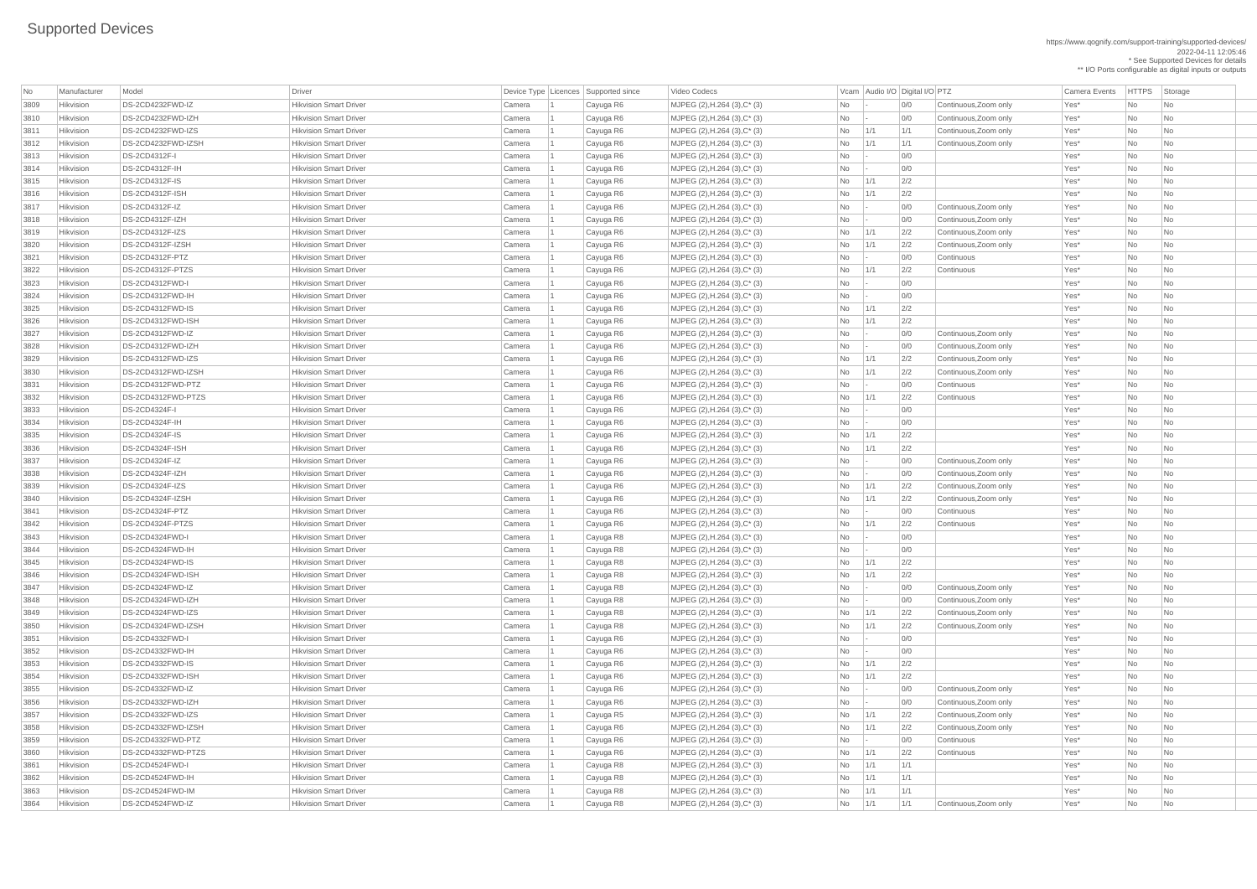https://www.qognify.com/support-training/supported-devices/ 2022-04-11 12:05:46 \* See Supported Devices for details

\*\* I/O Ports configurable as digital inputs or outputs

| Video Codecs | No Manufacturer | No Manufacturer Model Driver Device Type Licence Camera Events | HTTPS | Storage

| <b>No</b> | Manufacturer | Model                 | <b>Driver</b>                 |        | Device Type   Licences   Supported since | Video Codecs                            |           |     | Vcam Audio I/O Digital I/O PTZ |                       | <b>Camera Events</b> | HTTPS Sto |                             |
|-----------|--------------|-----------------------|-------------------------------|--------|------------------------------------------|-----------------------------------------|-----------|-----|--------------------------------|-----------------------|----------------------|-----------|-----------------------------|
| 3809      | Hikvision    | DS-2CD4232FWD-IZ      | <b>Hikvision Smart Driver</b> | Camera | Cayuga R6                                | MJPEG (2), H.264 (3), C* (3)            | No        |     | 0/0                            | Continuous, Zoom only | Yes*                 | <b>No</b> | $\overline{\phantom{a}}$ Nc |
| 3810      | Hikvision    | DS-2CD4232FWD-IZH     | <b>Hikvision Smart Driver</b> | Camera | Cayuga R6                                | MJPEG (2), H.264 (3), C* (3)            | No        |     | 0/0                            | Continuous, Zoom only | Yes*                 | No        | $\overline{\phantom{a}}$ Nc |
| 3811      | Hikvision    | DS-2CD4232FWD-IZS     | <b>Hikvision Smart Driver</b> | Camera | Cayuga R6                                | $MJPEG (2), H.264 (3), C^* (3)$         | No        | 1/1 | 1/1                            | Continuous, Zoom only | Yes*                 | No        | <b>Nc</b>                   |
| 3812      | Hikvision    | DS-2CD4232FWD-IZSH    | <b>Hikvision Smart Driver</b> | Camera | Cayuga R6                                | $MJPEG (2), H.264 (3), C^* (3)$         | No        | 1/1 | 1/1                            | Continuous, Zoom only | Yes*                 | No        | $\overline{\phantom{a}}$ Nc |
| 3813      | Hikvision    | DS-2CD4312F-I         | <b>Hikvision Smart Driver</b> | Camera | Cayuga R6                                | MJPEG (2), H.264 (3), C* (3)            | No        |     | 0/0                            |                       | Yes*                 | <b>No</b> | <b>Nc</b>                   |
| 3814      | Hikvision    | DS-2CD4312F-IH        | <b>Hikvision Smart Driver</b> | Camera | Cayuga R6                                | MJPEG (2), H.264 (3), C* (3)            | No        |     | 0/0                            |                       | Yes*                 | No        | <b>Nc</b>                   |
| 3815      | Hikvision    | DS-2CD4312F-IS        | <b>Hikvision Smart Driver</b> | Camera | Cayuga R6                                | MJPEG (2), H.264 (3), C* (3)            | No        | 1/1 | 2/2                            |                       | Yes*                 | <b>No</b> | <b>Nc</b>                   |
| 3816      | Hikvision    | DS-2CD4312F-ISH       | <b>Hikvision Smart Driver</b> | Camera | Cayuga R6                                | MJPEG $(2)$ , H.264 $(3)$ , C $*$ $(3)$ | No        | 1/1 | 2/2                            |                       | Yes*                 | No        | Nc                          |
| 3817      | Hikvision    | DS-2CD4312F-IZ        | <b>Hikvision Smart Driver</b> | Camera | Cayuga R6                                | $MJPEG (2), H.264 (3), C^* (3)$         | No        |     | 0/0                            | Continuous, Zoom only | Yes*                 | No        | <b>Nc</b>                   |
| 3818      | Hikvision    | DS-2CD4312F-IZH       | <b>Hikvision Smart Driver</b> | Camera | Cayuga R6                                | $MJPEG (2), H.264 (3), C^* (3)$         | No        |     | 0/0                            | Continuous, Zoom only | Yes*                 | No        | Nc                          |
| 3819      | Hikvision    | DS-2CD4312F-IZS       | <b>Hikvision Smart Driver</b> | Camera | Cayuga R6                                | MJPEG (2), H.264 (3), C* (3)            | No        | 1/1 | 2/2                            | Continuous, Zoom only | Yes*                 | No        | <b>Nc</b>                   |
| 3820      | Hikvision    | DS-2CD4312F-IZSH      | <b>Hikvision Smart Driver</b> | Camera | Cayuga R6                                | MJPEG (2), H.264 (3), C* (3)            | No        | 1/1 | 2/2                            | Continuous, Zoom only | Yes*                 | No        | <b>Nc</b>                   |
| 3821      | Hikvision    | DS-2CD4312F-PTZ       | <b>Hikvision Smart Driver</b> | Camera | Cayuga R6                                | MJPEG (2), H.264 (3), C* (3)            | No        |     | 0/0                            | Continuous            | Yes*                 | No        | <b>Nc</b>                   |
| 3822      | Hikvision    | DS-2CD4312F-PTZS      | <b>Hikvision Smart Driver</b> | Camera | Cayuga R6                                | MJPEG (2), H.264 (3), C* (3)            | No        | 1/1 | 2/2                            | Continuous            | Yes*                 | No        | <b>Nc</b>                   |
| 3823      | Hikvision    | DS-2CD4312FWD-I       | <b>Hikvision Smart Driver</b> | Camera | Cayuga R6                                | $MJPEG (2), H.264 (3), C^* (3)$         | No        |     | 0/0                            |                       | Yes*                 | No        | <b>Nc</b>                   |
| 3824      | Hikvision    | DS-2CD4312FWD-IH      | <b>Hikvision Smart Driver</b> | Camera | Cayuga R6                                | $MJPEG (2), H.264 (3), C^* (3)$         | No        |     | 0/0                            |                       | Yes*                 | No        | $\overline{\phantom{a}}$ Nc |
| 3825      | Hikvision    | DS-2CD4312FWD-IS      | <b>Hikvision Smart Driver</b> | Camera | Cayuga R6                                | MJPEG (2), H.264 (3), C* (3)            | No        | 1/1 | 2/2                            |                       | Yes*                 | No        | <b>Nc</b>                   |
| 3826      | Hikvision    | DS-2CD4312FWD-ISH     | <b>Hikvision Smart Driver</b> | Camera | Cayuga R6                                | MJPEG (2), H.264 (3), C* (3)            | No        | 1/1 | 2/2                            |                       | Yes*                 | No        | <b>Nc</b>                   |
| 3827      | Hikvision    | DS-2CD4312FWD-IZ      | <b>Hikvision Smart Driver</b> | Camera | Cayuga R6                                | MJPEG (2), H.264 (3), C* (3)            | No        |     | 0/0                            | Continuous, Zoom only | Yes*                 | No        | $\overline{\phantom{a}}$ Nc |
| 3828      | Hikvision    | DS-2CD4312FWD-IZH     | <b>Hikvision Smart Driver</b> | Camera | Cayuga R6                                | $MJPEG (2), H.264 (3), C^* (3)$         | No        |     | 0/0                            | Continuous, Zoom only | Yes*                 | No        | $\overline{\phantom{a}}$ Nc |
| 3829      | Hikvision    | DS-2CD4312FWD-IZS     | <b>Hikvision Smart Driver</b> | Camera | Cayuga R6                                | MJPEG $(2)$ , H.264 $(3)$ , C $*$ $(3)$ | No        | 1/1 | 2/2                            | Continuous, Zoom only | Yes*                 | No        | <b>Nc</b>                   |
| 3830      | Hikvision    | DS-2CD4312FWD-IZSH    | <b>Hikvision Smart Driver</b> | Camera | Cayuga R6                                | MJPEG (2), H.264 (3), C* (3)            | No        | 1/1 | 2/2                            | Continuous, Zoom only | Yes*                 | No        | Nc                          |
| 3831      | Hikvision    | DS-2CD4312FWD-PTZ     | <b>Hikvision Smart Driver</b> | Camera | Cayuga R6                                | MJPEG (2), H.264 (3), C* (3)            | No        |     | 0/0                            | Continuous            | Yes*                 | No        | <b>Nc</b>                   |
| 3832      | Hikvision    | DS-2CD4312FWD-PTZS    | <b>Hikvision Smart Driver</b> | Camera | Cayuga R6                                | MJPEG $(2)$ , H.264 $(3)$ , C* $(3)$    | No        | 1/1 | 2/2                            | Continuous            | Yes*                 | No        | <b>Nc</b>                   |
| 3833      | Hikvision    | DS-2CD4324F-I         | <b>Hikvision Smart Driver</b> | Camera | Cayuga R6                                | MJPEG (2), H.264 (3), C* (3)            | <b>No</b> |     | 0/0                            |                       | Yes*                 | <b>No</b> | <b>Nc</b>                   |
| 3834      | Hikvision    | DS-2CD4324F-IH        | <b>Hikvision Smart Driver</b> | Camera | Cayuga R6                                | MJPEG (2), H.264 (3), C* (3)            | No        |     | 0/0                            |                       | Yes*                 | No.       | Nc                          |
| 3835      | Hikvision    | <b>DS-2CD4324F-IS</b> | <b>Hikvision Smart Driver</b> | Camera | Cayuga R6                                | MJPEG $(2)$ , H.264 $(3)$ , C $*$ $(3)$ | No        | 1/1 | 2/2                            |                       | Yes*                 | No        | $\overline{\phantom{a}}$ Nc |
| 3836      | Hikvision    | DS-2CD4324F-ISH       | <b>Hikvision Smart Driver</b> | Camera | Cayuga R6                                | MJPEG (2), H.264 (3), C* (3)            | No        | 1/1 | 2/2                            |                       | Yes*                 | No        | <b>Nc</b>                   |
| 3837      | Hikvision    | DS-2CD4324F-IZ        | <b>Hikvision Smart Driver</b> | Camera | Cayuga R6                                | $MJPEG (2), H.264 (3), C^* (3)$         | No        |     | 0/0                            | Continuous, Zoom only | Yes*                 | No        | <b>Nc</b>                   |
| 3838      | Hikvision    | $DS-2CD4324F-IZH$     | <b>Hikvision Smart Driver</b> | Camera | Cayuga R6                                | MJPEG (2), H.264 (3), C* (3)            | No        |     | 0/0                            | Continuous, Zoom only | Yes*                 | <b>No</b> | $\overline{\phantom{a}}$ Nc |
| 3839      | Hikvision    | DS-2CD4324F-IZS       | <b>Hikvision Smart Driver</b> | Camera | Cayuga R6                                | MJPEG (2), H.264 (3), C* (3)            | <b>No</b> | 1/1 | 2/2                            | Continuous, Zoom only | Yes*                 | No        | <b>Nc</b>                   |
| 3840      | Hikvision    | DS-2CD4324F-IZSH      | <b>Hikvision Smart Driver</b> | Camera | Cayuga R6                                | MJPEG (2), H.264 (3), C* (3)            | No        | 1/1 | 2/2                            | Continuous, Zoom only | Yes*                 | No        | $\overline{\phantom{a}}$ Nc |
| 3841      | Hikvision    | DS-2CD4324F-PTZ       | <b>Hikvision Smart Driver</b> | Camera | Cayuga R6                                | $MJPEG (2), H.264 (3), C^* (3)$         | No        |     | 0/0                            | Continuous            | Yes*                 | No        | <b>Nc</b>                   |
| 3842      | Hikvision    | DS-2CD4324F-PTZS      | <b>Hikvision Smart Driver</b> | Camera | Cayuga R6                                | $MJPEG (2), H.264 (3), C^* (3)$         | No        | 1/1 | 2/2                            | Continuous            | Yes*                 | No        | <b>Nc</b>                   |
| 3843      | Hikvision    | DS-2CD4324FWD-I       | <b>Hikvision Smart Driver</b> | Camera | Cayuga R8                                | $MJPEG (2), H.264 (3), C^* (3)$         | No        |     | 0/0                            |                       | Yes*                 | No        | <b>Nc</b>                   |
| 3844      | Hikvision    | DS-2CD4324FWD-IH      | <b>Hikvision Smart Driver</b> | Camera | Cayuga R8                                | MJPEG (2), H.264 (3), C* (3)            | No        |     | 0/0                            |                       | Yes*                 | No        | Nc                          |
| 3845      | Hikvision    | DS-2CD4324FWD-IS      | <b>Hikvision Smart Driver</b> | Camera | Cayuga R8                                | MJPEG (2), H.264 (3), C* (3)            | No        | 1/1 | 2/2                            |                       | Yes*                 | <b>No</b> | <b>Nc</b>                   |
| 3846      | Hikvision    | DS-2CD4324FWD-ISH     | <b>Hikvision Smart Driver</b> | Camera | Cayuga R8                                | $MJPEG (2), H.264 (3), C^* (3)$         | No        | 1/1 | 2/2                            |                       | Yes*                 | No        | $\overline{\phantom{a}}$ Nc |
| 3847      | Hikvision    | DS-2CD4324FWD-IZ      | <b>Hikvision Smart Driver</b> | Camera | Cayuga R8                                | MJPEG $(2)$ , H.264 $(3)$ , C $*$ $(3)$ | No        |     | 0/0                            | Continuous, Zoom only | Yes*                 | No        | <b>Nc</b>                   |
| 3848      | Hikvision    | DS-2CD4324FWD-IZH     | <b>Hikvision Smart Driver</b> | Camera | Cayuga R8                                | $MJPEG (2), H.264 (3), C*(3)$           | No        |     | 0/0                            | Continuous, Zoom only | Yes*                 | No        | <b>Nc</b>                   |
| 3849      | Hikvision    | DS-2CD4324FWD-IZS     | <b>Hikvision Smart Driver</b> | Camera | Cayuga R8                                | MJPEG $(2)$ , H.264 $(3)$ , C $*$ $(3)$ | No        | 1/1 | 2/2                            | Continuous, Zoom only | Yes*                 | No        | <b>Nc</b>                   |
| 3850      | Hikvision    | DS-2CD4324FWD-IZSH    | <b>Hikvision Smart Driver</b> | Camera | Cayuga R8                                | MJPEG (2), H.264 (3), C* (3)            | No        | 1/1 | 2/2                            | Continuous, Zoom only | Yes*                 | <b>No</b> | Nc                          |
| 3851      | Hikvision    | DS-2CD4332FWD-I       | <b>Hikvision Smart Driver</b> | Camera | Cayuga R6                                | MJPEG (2), H.264 (3), C* (3)            | No        |     | 0/0                            |                       | Yes*                 | No        | $\overline{\phantom{a}}$ Nc |
| 3852      | Hikvision    | DS-2CD4332FWD-IH      | <b>Hikvision Smart Driver</b> | Camera | Cayuga R6                                | MJPEG (2), H.264 (3), C* (3)            | No        |     | 0/0                            |                       | Yes*                 | <b>No</b> | $\overline{\phantom{a}}$ Nc |
| 3853      | Hikvision    | DS-2CD4332FWD-IS      | <b>Hikvision Smart Driver</b> | Camera | Cayuga R6                                | $MJPEG (2), H.264 (3), C^* (3)$         | No        | 1/1 | 2/2                            |                       | Yes*                 | No        | $\overline{\phantom{a}}$ Nc |
| 3854      | Hikvision    | DS-2CD4332FWD-ISH     | <b>Hikvision Smart Driver</b> | Camera | Cayuga R6                                | $MJPEG (2), H.264 (3), C*(3)$           | No        | 1/1 | 2/2                            |                       | Yes*                 | No        | <b>Nc</b>                   |
| 3855      | Hikvision    | DS-2CD4332FWD-IZ      | <b>Hikvision Smart Driver</b> | Camera | Cayuga R6                                | MJPEG $(2)$ , H.264 $(3)$ , C $*$ $(3)$ | No        |     | 0/0                            | Continuous, Zoom only | Yes*                 | No        | $\overline{\phantom{a}}$ Nc |
| 3856      | Hikvision    | DS-2CD4332FWD-IZH     | <b>Hikvision Smart Driver</b> | Camera | Cayuga R6                                | MJPEG (2), H.264 (3), C* (3)            | No        |     | 0/0                            | Continuous, Zoom only | Yes*                 | <b>No</b> | Nc                          |
| 3857      | Hikvision    | DS-2CD4332FWD-IZS     | <b>Hikvision Smart Driver</b> | Camera | Cayuga R5                                | MJPEG (2), H.264 (3), C* (3)            | No        | 1/1 | 2/2                            | Continuous, Zoom only | Yes*                 | No        | $\overline{\phantom{a}}$ Nc |
| 3858      | Hikvision    | DS-2CD4332FWD-IZSH    | <b>Hikvision Smart Driver</b> | Camera | Cayuga R6                                | $MJPEG (2), H.264 (3), C^* (3)$         | No        | 1/1 | 2/2                            | Continuous, Zoom only | Yes*                 | No        | $\overline{\phantom{a}}$ Nc |
| 3859      | Hikvision    | DS-2CD4332FWD-PTZ     | <b>Hikvision Smart Driver</b> | Camera | Cayuga R6                                | MJPEG (2), H.264 (3), C* (3)            | No        |     | 0/0                            | Continuous            | Yes*                 | <b>No</b> | <b>Nc</b>                   |
| 3860      | Hikvision    | DS-2CD4332FWD-PTZS    | <b>Hikvision Smart Driver</b> | Camera | Cayuga R6                                | MJPEG (2), H.264 (3), C* (3)            | No        | 1/1 |                                | Continuous            | Yes*                 | No        |                             |
| 3861      | Hikvision    | DS-2CD4524FWD-I       | <b>Hikvision Smart Driver</b> | Camera | Cayuga R8                                | MJPEG $(2)$ , H.264 $(3)$ , C $*$ $(3)$ | No        | 1/1 | 1/1                            |                       | Yes*                 | No        | $\overline{\phantom{a}}$ Nc |
| 3862      | Hikvision    | DS-2CD4524FWD-IH      | <b>Hikvision Smart Driver</b> | Camera | Cayuga R8                                | MJPEG (2), H.264 (3), C* (3)            | No        | 1/1 | 1/1                            |                       | Yes*                 | No        | $\overline{\phantom{a}}$ Nc |
| 3863      | Hikvision    | DS-2CD4524FWD-IM      | <b>Hikvision Smart Driver</b> | Camera | Cayuga R8                                | MJPEG (2), H.264 (3), C* (3)            | No        | 1/1 | 1/1                            |                       | Yes*                 | No        | $ $ Nc                      |
| 3864      | Hikvision    | DS-2CD4524FWD-IZ      | <b>Hikvision Smart Driver</b> | Camera | Cayuga R8                                | MJPEG (2), H.264 (3), C* (3)            | No        | 1/1 | 1/1                            | Continuous, Zoom only | Yes*                 | No        | $\overline{\phantom{a}}$ Nc |
|           |              |                       |                               |        |                                          |                                         |           |     |                                |                       |                      |           |                             |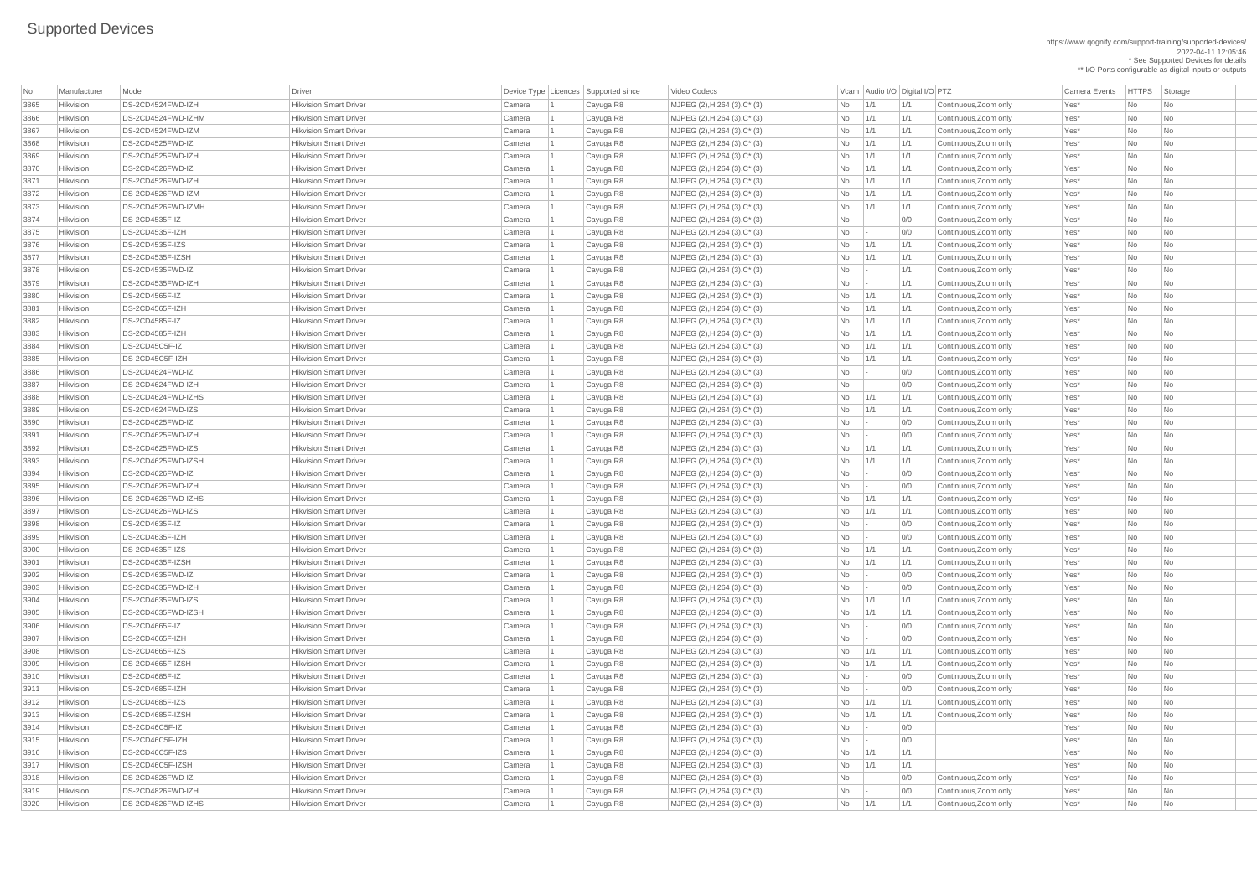https://www.qognify.com/support-training/supported-devices/ 2022-04-11 12:05:46 \* See Supported Devices for details

\*\* I/O Ports configurable as digital inputs or outputs

| Video Codecs | No Manufacturer | No Manufacturer Model Driver Device Type Licence Camera Events | HTTPS | Storage

| <b>No</b> | Manufacturer | Model                 | <b>Driver</b>                 |                  | Device Type   Licences   Supported since | Video Codecs                            |           |     | Vcam Audio I/O Digital I/O PTZ |                       | <b>Camera Events</b> | HTTPS Sto |                             |
|-----------|--------------|-----------------------|-------------------------------|------------------|------------------------------------------|-----------------------------------------|-----------|-----|--------------------------------|-----------------------|----------------------|-----------|-----------------------------|
| 3865      | Hikvision    | DS-2CD4524FWD-IZH     | <b>Hikvision Smart Driver</b> | Camera           | Cayuga R8                                | MJPEG (2), H.264 (3), C* (3)            | No        | 1/1 | 1/1                            | Continuous, Zoom only | Yes*                 | No        | $\overline{\phantom{a}}$ Nc |
| 3866      | Hikvision    | DS-2CD4524FWD-IZHM    | <b>Hikvision Smart Driver</b> | Camera           | Cayuga R8                                | MJPEG (2), H.264 (3), C* (3)            | No        | 1/1 | 1/1                            | Continuous, Zoom only | Yes*                 | No        | $\overline{\phantom{a}}$ Nc |
| 3867      | Hikvision    | DS-2CD4524FWD-IZM     | <b>Hikvision Smart Driver</b> | Camera           | Cayuga R8                                | $MJPEG (2), H.264 (3), C^* (3)$         | No        | 1/1 | 1/1                            | Continuous, Zoom only | Yes*                 | No        | <b>Nc</b>                   |
| 3868      | Hikvision    | DS-2CD4525FWD-IZ      | <b>Hikvision Smart Driver</b> | Camera           | Cayuga R8                                | $MJPEG (2), H.264 (3), C^* (3)$         | No        | 1/1 | 1/1                            | Continuous, Zoom only | Yes*                 | No        | <b>Nc</b>                   |
| 3869      | Hikvision    | DS-2CD4525FWD-IZH     | <b>Hikvision Smart Driver</b> | Camera           | Cayuga R8                                | MJPEG (2), H.264 (3), C* (3)            | No        | 1/1 | 1/1                            | Continuous, Zoom only | Yes*                 | No        | <b>Nc</b>                   |
| 3870      | Hikvision    | DS-2CD4526FWD-IZ      | <b>Hikvision Smart Driver</b> | Camera           | Cayuga R8                                | MJPEG (2), H.264 (3), C* (3)            | No        | 1/1 | 1/1                            | Continuous, Zoom only | Yes*                 | <b>No</b> | <b>Nc</b>                   |
| 3871      | Hikvision    | DS-2CD4526FWD-IZH     | <b>Hikvision Smart Driver</b> | Camera           | Cayuga R8                                | MJPEG (2), H.264 (3), C* (3)            | No        | 1/1 | 1/1                            | Continuous, Zoom only | Yes*                 | <b>No</b> | <b>Nc</b>                   |
| 3872      | Hikvision    | DS-2CD4526FWD-IZM     | <b>Hikvision Smart Driver</b> | Camera           | Cayuga R8                                | $MJPEG (2), H.264 (3), C^* (3)$         | No        | 1/1 | 1/1                            | Continuous, Zoom only | Yes*                 | No        | $\overline{\phantom{a}}$ Nc |
| 3873      | Hikvision    | DS-2CD4526FWD-IZMH    | <b>Hikvision Smart Driver</b> | Camera           | Cayuga R8                                | $MJPEG (2), H.264 (3), C^* (3)$         | No        | 1/1 | 1/1                            | Continuous, Zoom only | Yes*                 | No        | <b>Nc</b>                   |
| 3874      | Hikvision    | DS-2CD4535F-IZ        | <b>Hikvision Smart Driver</b> | Camera           | Cayuga R8                                | MJPEG $(2)$ , H.264 $(3)$ , C $*$ $(3)$ | No        |     | 0/0                            | Continuous, Zoom only | Yes*                 | No        | $\overline{\phantom{a}}$ Nc |
| 3875      | Hikvision    | DS-2CD4535F-IZH       | <b>Hikvision Smart Driver</b> | Camera           | Cayuga R8                                | MJPEG (2), H.264 (3), C* (3)            | No        |     | 0/0                            | Continuous, Zoom only | Yes*                 | No        | <b>Nc</b>                   |
| 3876      | Hikvision    | DS-2CD4535F-IZS       | <b>Hikvision Smart Driver</b> | Camera           | Cayuga R8                                | MJPEG (2), H.264 (3), C* (3)            | No        | 1/1 | 1/1                            | Continuous, Zoom only | Yes*                 | No        | <b>Nc</b>                   |
| 3877      | Hikvision    | DS-2CD4535F-IZSH      | <b>Hikvision Smart Driver</b> | Camera           | Cayuga R8                                | MJPEG (2), H.264 (3), C* (3)            | No        | 1/1 | 1/1                            | Continuous, Zoom only | Yes*                 | No        | <b>Nc</b>                   |
| 3878      | Hikvision    | DS-2CD4535FWD-IZ      | <b>Hikvision Smart Driver</b> | Camera           | Cayuga R8                                | MJPEG (2), H.264 (3), C* (3)            | <b>No</b> |     | 1/1                            | Continuous, Zoom only | Yes*                 | No        | <b>Nc</b>                   |
| 3879      | Hikvision    | DS-2CD4535FWD-IZH     | <b>Hikvision Smart Driver</b> | Camera           | Cayuga R8                                | $MJPEG (2), H.264 (3), C^* (3)$         | No        |     | 1/1                            | Continuous, Zoom only | Yes*                 | No        | <b>Nc</b>                   |
| 3880      | Hikvision    | DS-2CD4565F-IZ        | <b>Hikvision Smart Driver</b> | Camera           | Cayuga R8                                | $MJPEG (2), H.264 (3), C^* (3)$         | No        | 1/1 | 1/1                            | Continuous, Zoom only | Yes*                 | No        | $\overline{\phantom{a}}$ Nc |
| 3881      | Hikvision    | DS-2CD4565F-IZH       | <b>Hikvision Smart Driver</b> | Camera           | Cayuga R8                                | MJPEG (2), H.264 (3), C* (3)            | No        | 1/1 | 1/1                            | Continuous, Zoom only | Yes*                 | No        | <b>Nc</b>                   |
| 3882      | Hikvision    | DS-2CD4585F-IZ        | <b>Hikvision Smart Driver</b> | Camera           | Cayuga R8                                | MJPEG (2), H.264 (3), C* (3)            | No        | 1/1 | 1/1                            | Continuous, Zoom only | Yes*                 | No        | <b>Nc</b>                   |
| 3883      | Hikvision    | DS-2CD4585F-IZH       | <b>Hikvision Smart Driver</b> | Camera           | Cayuga R8                                | MJPEG (2), H.264 (3), C* (3)            | No        | 1/1 | 1/1                            | Continuous, Zoom only | Yes*                 | <b>No</b> | $\overline{\phantom{a}}$ Nc |
| 3884      | Hikvision    | DS-2CD45C5F-IZ        | <b>Hikvision Smart Driver</b> | Camera           | Cayuga R8                                | $MJPEG (2), H.264 (3), C^* (3)$         | No        | 1/1 | 1/1                            | Continuous, Zoom only | Yes*                 | No        | $\overline{\phantom{a}}$ Nc |
| 3885      | Hikvision    | DS-2CD45C5F-IZH       | <b>Hikvision Smart Driver</b> | Camera           | Cayuga R8                                | MJPEG $(2)$ , H.264 $(3)$ , C $*$ $(3)$ | No        | 1/1 | 1/1                            | Continuous, Zoom only | Yes*                 | No        | <b>Nc</b>                   |
| 3886      | Hikvision    | DS-2CD4624FWD-IZ      | <b>Hikvision Smart Driver</b> | Camera           | Cayuga R8                                | MJPEG (2), H.264 (3), C* (3)            | No        |     | 0/0                            | Continuous, Zoom only | Yes*                 | No        | $\overline{\phantom{a}}$ Nc |
| 3887      | Hikvision    | DS-2CD4624FWD-IZH     | <b>Hikvision Smart Driver</b> | Camera           | Cayuga R8                                | MJPEG (2), H.264 (3), C* (3)            | No        |     | 0/0                            | Continuous, Zoom only | Yes*                 | No        | <b>Nc</b>                   |
| 3888      | Hikvision    | DS-2CD4624FWD-IZHS    | <b>Hikvision Smart Driver</b> | Camera           | Cayuga R8                                | MJPEG (2), H.264 (3), C* (3)            | No        | 1/1 | 1/1                            | Continuous, Zoom only | Yes*                 | No        | <b>Nc</b>                   |
| 3889      | Hikvision    | DS-2CD4624FWD-IZS     | <b>Hikvision Smart Driver</b> | Camera           | Cayuga R8                                | MJPEG (2), H.264 (3), C* (3)            | <b>No</b> | 1/1 | 1/1                            | Continuous, Zoom only | Yes*                 | <b>No</b> | <b>Nc</b>                   |
| 3890      | Hikvision    | DS-2CD4625FWD-IZ      | <b>Hikvision Smart Driver</b> | Camera           | Cayuga R8                                | MJPEG (2), H.264 (3), C* (3)            | No.       |     | 0/0                            | Continuous, Zoom only | Yes*                 | No.       | Nc                          |
| 3891      | Hikvision    | DS-2CD4625FWD-IZH     | <b>Hikvision Smart Driver</b> | Camera           | Cayuga R8                                | MJPEG (2), H.264 (3), C* (3)            | No        |     | 0/0                            | Continuous, Zoom only | Yes*                 | No        | $\overline{\phantom{a}}$ Nc |
| 3892      | Hikvision    | DS-2CD4625FWD-IZS     | <b>Hikvision Smart Driver</b> | Camera           | Cayuga R8                                | MJPEG (2), H.264 (3), C* (3)            | No        | 1/1 | 1/1                            | Continuous, Zoom only | Yes*                 | No        | <b>Nc</b>                   |
| 3893      | Hikvision    | DS-2CD4625FWD-IZSH    | <b>Hikvision Smart Driver</b> | Camera           | Cayuga R8                                | MJPEG $(2)$ , H.264 $(3)$ , C $*$ $(3)$ | No        | 1/1 | 1/1                            | Continuous, Zoom only | Yes*                 | No        | <b>Nc</b>                   |
| 3894      | Hikvision    | DS-2CD4626FWD-IZ      | <b>Hikvision Smart Driver</b> | Camera           | Cayuga R8                                | MJPEG (2), H.264 (3), C* (3)            | No        |     | 0/0                            | Continuous, Zoom only | Yes*                 | <b>No</b> | <b>Nc</b>                   |
| 3895      | Hikvision    | DS-2CD4626FWD-IZH     | <b>Hikvision Smart Driver</b> | Camera           | Cayuga R8                                | $MJPEG (2), H.264 (3), C^* (3)$         | No        |     | 0/0                            | Continuous, Zoom only | Yes*                 | No        | <b>Nc</b>                   |
| 3896      | Hikvision    | DS-2CD4626FWD-IZHS    | <b>Hikvision Smart Driver</b> | Camera           | Cayuga R8                                | $MJPEG (2), H.264 (3), C^* (3)$         | No        | 1/1 | 1/1                            | Continuous, Zoom only | Yes*                 | No        | $\overline{\phantom{a}}$ Nc |
| 3897      | Hikvision    | DS-2CD4626FWD-IZS     | <b>Hikvision Smart Driver</b> | Camera           | Cayuga R8                                | $MJPEG (2), H.264 (3), C^* (3)$         | No        | 1/1 | 1/1                            | Continuous, Zoom only | Yes*                 | No        | <b>Nc</b>                   |
| 3898      | Hikvision    | <b>DS-2CD4635F-IZ</b> | <b>Hikvision Smart Driver</b> | Camera           | Cayuga R8                                | MJPEG $(2)$ , H.264 $(3)$ , C* $(3)$    | No        |     | 0/0                            | Continuous, Zoom only | Yes*                 | No        | <b>Nc</b>                   |
| 3899      | Hikvision    | DS-2CD4635F-IZH       | <b>Hikvision Smart Driver</b> | Camera           |                                          | MJPEG $(2)$ , H.264 $(3)$ , C $*$ $(3)$ | No        |     | 0/0                            | Continuous, Zoom only | Yes*                 | No        | <b>Nc</b>                   |
| 3900      | Hikvision    | DS-2CD4635F-IZS       | <b>Hikvision Smart Driver</b> | Camera           | Cayuga R8<br>Cayuga R8                   | MJPEG $(2)$ , H.264 $(3)$ , C $*$ $(3)$ | No        | 1/1 | 1/1                            | Continuous, Zoom only | Yes*                 | No        | <b>Nc</b>                   |
| 3901      | Hikvision    | DS-2CD4635F-IZSH      | <b>Hikvision Smart Driver</b> | Camera           | Cayuga R8                                | MJPEG (2), H.264 (3), C* (3)            | <b>No</b> | 1/1 | 1/1                            | Continuous, Zoom only | Yes*                 | <b>No</b> | <b>Nc</b>                   |
| 3902      | Hikvision    | DS-2CD4635FWD-IZ      | <b>Hikvision Smart Driver</b> |                  |                                          | $MJPEG (2), H.264 (3), C^* (3)$         |           |     | 0/0                            | Continuous, Zoom only | Yes*                 | No        | $\overline{\phantom{a}}$ Nc |
| 3903      | Hikvision    | DS-2CD4635FWD-IZH     | <b>Hikvision Smart Driver</b> | Camera           | Cayuga R8                                | MJPEG $(2)$ , H.264 $(3)$ , C $*$ $(3)$ | No<br>No  |     | 0/0                            | Continuous, Zoom only | Yes*                 | No        | <b>Nc</b>                   |
| 3904      | Hikvision    | DS-2CD4635FWD-IZS     | <b>Hikvision Smart Driver</b> | Camera           | Cayuga R8                                | MJPEG $(2)$ , H.264 $(3)$ , C $*$ $(3)$ | No        | 1/1 | 1/1                            | Continuous, Zoom only | Yes*                 | No        | <b>Nc</b>                   |
| 3905      | Hikvision    | DS-2CD4635FWD-IZSH    | <b>Hikvision Smart Driver</b> | Camera<br>Camera | Cayuga R8                                | MJPEG $(2)$ , H.264 $(3)$ , C $*$ $(3)$ | No        | 1/1 | 1/1                            | Continuous, Zoom only | Yes*                 | No        | <b>Nc</b>                   |
| 3906      | Hikvision    | DS-2CD4665F-IZ        | <b>Hikvision Smart Driver</b> |                  | Cayuga R8                                | MJPEG $(2)$ , H.264 $(3)$ , C* $(3)$    | No        |     | 0/0                            | Continuous, Zoom only | Yes*                 | No        | $\overline{\phantom{a}}$ Nc |
|           | Hikvision    | DS-2CD4665F-IZH       | <b>Hikvision Smart Driver</b> | Camera           | Cayuga R8                                |                                         |           |     | 0/0                            | Continuous, Zoom only | Yes*                 |           |                             |
| 3907      |              | DS-2CD4665F-IZS       | <b>Hikvision Smart Driver</b> | Camera           | Cayuga R8                                | MJPEG (2), H.264 (3), C* (3)            | No        |     |                                |                       |                      | No        | $\overline{\phantom{a}}$ Nc |
| 3908      | Hikvision    |                       | <b>Hikvision Smart Driver</b> | Camera           | Cayuga R8                                | $MJPEG (2), H.264 (3), C^* (3)$         | No        | 1/1 | 1/1                            | Continuous, Zoom only | Yes*                 | <b>No</b> | $\overline{\phantom{a}}$ Nc |
| 3909      | Hikvision    | DS-2CD4665F-IZSH      |                               | Camera           | Cayuga R8                                | MJPEG (2), H.264 (3), C* (3)            | No        | 1/1 | 1/1                            | Continuous, Zoom only | Yes*                 | No        | $\overline{\phantom{a}}$ Nc |
| 3910      | Hikvision    | DS-2CD4685F-IZ        | <b>Hikvision Smart Driver</b> | Camera           | Cayuga R8                                | MJPEG $(2)$ , H.264 $(3)$ , C $*$ $(3)$ | No        |     | 0/0                            | Continuous, Zoom only | Yes*                 | No        | <b>Nc</b>                   |
| 3911      | Hikvision    | DS-2CD4685F-IZH       | <b>Hikvision Smart Driver</b> | Camera           | Cayuga R8                                | MJPEG $(2)$ , H.264 $(3)$ , C $*$ $(3)$ | No        |     | 0/0                            | Continuous, Zoom only | Yes*                 | No        | $\overline{\phantom{a}}$ Nc |
| 3912      | Hikvision    | DS-2CD4685F-IZS       | <b>Hikvision Smart Driver</b> | Camera           | Cayuga R8                                | MJPEG $(2)$ , H.264 $(3)$ , C* $(3)$    | No        | 1/1 | 1/1                            | Continuous, Zoom only | Yes*                 | <b>No</b> | $\overline{\phantom{a}}$ Nc |
| 3913      | Hikvision    | DS-2CD4685F-IZSH      | <b>Hikvision Smart Driver</b> | Camera           | Cayuga R8                                | MJPEG (2), H.264 (3), C* (3)            | No        | 1/1 | 1/1                            | Continuous, Zoom only | Yes*                 | No        | $\overline{\phantom{a}}$ Nc |
| 3914      | Hikvision    | DS-2CD46C5F-IZ        | <b>Hikvision Smart Driver</b> | Camera           | Cayuga R8                                | $MJPEG (2), H.264 (3), C^* (3)$         | No        |     | 0/0                            |                       | Yes*                 | No        | $\overline{\phantom{a}}$ Nc |
| 3915      | Hikvision    | DS-2CD46C5F-IZH       | <b>Hikvision Smart Driver</b> | Camera           | Cayuga R8                                | MJPEG (2), H.264 (3), C* (3)            | <b>No</b> |     | 0/0                            |                       | Yes*                 | No        | $\overline{\phantom{a}}$ Nc |
| 3916      | Hikvision    | DS-2CD46C5F-IZS       | <b>Hikvision Smart Driver</b> | Camera           | Cayuga R8                                | MJPEG (2), H.264 (3), C* (3)            | No        | 1/1 | 1/1                            |                       | Yes*                 | No        |                             |
| 3917      | Hikvision    | DS-2CD46C5F-IZSH      | <b>Hikvision Smart Driver</b> | Camera           | Cayuga R8                                | MJPEG $(2)$ , H.264 $(3)$ , C $*$ $(3)$ | No        | 1/1 | 1/1                            |                       | Yes*                 | No        | $\overline{\phantom{a}}$ Nc |
| 3918      | Hikvision    | DS-2CD4826FWD-IZ      | <b>Hikvision Smart Driver</b> | Camera           | Cayuga R8                                | MJPEG (2), H.264 (3), C* (3)            | No        |     | 0/0                            | Continuous, Zoom only | Yes*                 | No        | $\overline{\phantom{a}}$ Nc |
| 3919      | Hikvision    | DS-2CD4826FWD-IZH     | <b>Hikvision Smart Driver</b> | Camera           | Cayuga R8                                | MJPEG (2), H.264 (3), C* (3)            | No        |     | 0/0                            | Continuous, Zoom only | Yes*                 | No        | $ $ Nc                      |
| 3920      | Hikvision    | DS-2CD4826FWD-IZHS    | <b>Hikvision Smart Driver</b> | Camera           | Cayuga R8                                | MJPEG (2), H.264 (3), C* (3)            | No        | 1/1 | 1/1                            | Continuous, Zoom only | Yes*                 | No        | $\overline{\phantom{a}}$ Nc |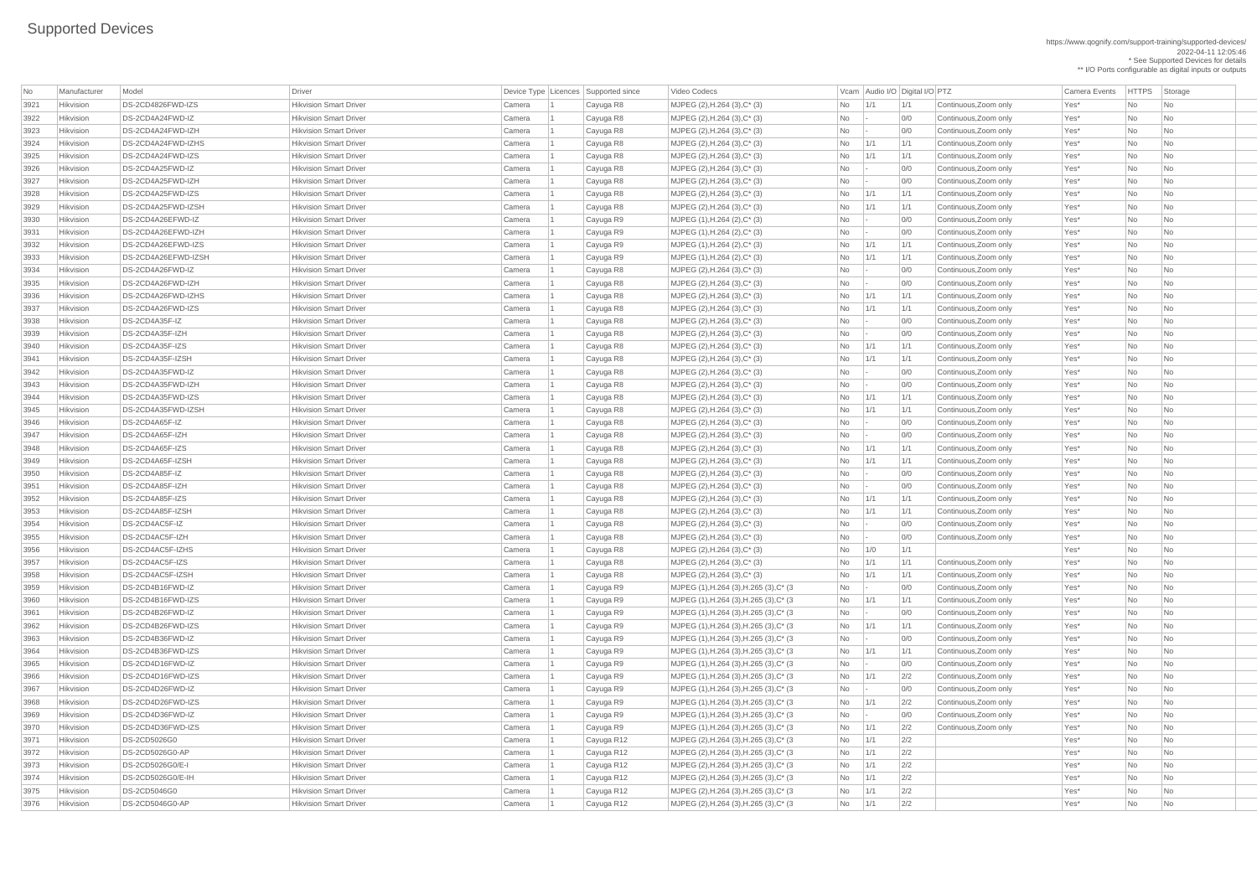https://www.qognify.com/support-training/supported-devices/ 2022-04-11 12:05:46 \* See Supported Devices for details

\*\* I/O Ports configurable as digital inputs or outputs

Video Codecs **No Manufacturer Model Driver Audio I/O Digital I/O PTZ** Vcam Audio I/O Digital I/O PTZ Camera Events HTTPS Storage  $\vert$  MJPEG (1),H.264 (3),H.265 (3),C\* (3  $\vert$   $\vert$  No  $\vert$  -  $\vert$  0/0  $\vert$  Continuous,Zoom only  $\vert$  Yes\*  $\vert$  No  $\vert$  No  $\vert$  No  $\vert$  No  $\vert$  No  $\vert$  No  $\vert$  No  $\vert$  No  $\vert$  No  $\vert$  No  $\vert$  No  $\vert$  No  $\vert$  No  $\vert$  No  $\vert$  $\vert$  MJPEG (1),H.264 (3),H.265 (3),C\* (3  $\vert$   $\vert$  No  $\vert$   $\vert$  1/1  $\vert$   $\vert$  1/1  $\vert$  Continuous,Zoom only  $\vert$  Yes\*  $\vert$  No  $\vert$  No  $\vert$  No  $\vert$  Hikvision DS-2CD4B26FWD-IZ Hikvision Smart Driver Camera 1 Cayuga R9 MJPEG (1),H.264 (3),H.265 (3),C\* (3 No - 0/0 Continuous,Zoom only Yes\* No No  $\vert$  MJPEG (1),H.264 (3),H.265 (3),C\* (3  $\vert$   $\vert$  No  $\vert$   $\vert$  1/1  $\vert$   $\vert$  1/1  $\vert$  Continuous,Zoom only  $\vert$  Yes\*  $\vert$  No  $\vert$  No  $\vert$  No  $\vert$ MJPEG (1),H.264 (3),H.265 (3),C\* (3 No - 0/0 Continuous,Zoom only Yes\* No No MJPEG (1),H.264 (3),H.265 (3),C<sup>\*</sup> (3  $3986$  No  $1/1$  1/1 Continuous,Zoom only  $1/1$  Yes<sup>\*</sup> No No  $\vert$  MJPEG (1),H.264 (3),H.265 (3),C\* (3  $\vert$   $\vert$  No  $\vert$  -  $\vert$  0/0  $\vert$  Continuous,Zoom only  $\vert$  Yes\*  $\vert$  No  $\vert$  No  $\vert$  No  $\vert$  No  $\vert$  No  $\vert$  No  $\vert$  No  $\vert$  No  $\vert$  No  $\vert$  No  $\vert$  No  $\vert$  No  $\vert$  No  $\vert$  No  $\vert$  $\vert$  MJPEG (1),H.264 (3),H.265 (3),C\* (3  $\vert$   $\vert$  No  $\vert$  1/1  $\vert$  2/2  $\vert$  Continuous,Zoom only  $\vert$  Yes\*  $\vert$  No  $\vert$  No  $\vert$  No  $\vert$  Hikvision DS-2CD4D26FWD-IZ Hikvision Smart Driver Camera 1 Cayuga R9 MJPEG (1),H.264 (3),H.265 (3),C\* (3 No - 0/0 Continuous,Zoom only Yes\* No No  $\vert$  MJPEG (1),H.264 (3),H.265 (3),C\* (3  $\vert$   $\vert$  No  $\vert$  1/1  $\vert$  2/2  $\vert$  Continuous,Zoom only  $\vert$  Yes\*  $\vert$  No  $\vert$  No  $\vert$  No  $\vert$  $\vert$  MJPEG (1),H.264 (3),H.265 (3),C\* (3  $\vert$  No  $\vert$  -  $\vert$  0/0  $\vert$  Continuous,Zoom only  $\vert$  Yes\*  $\vert$  No  $\vert$  No  $\vert$  No  $\vert$  $\vert$  MJPEG (1),H.264 (3),H.265 (3),C\* (3  $\vert$   $\vert$  No  $\vert$  1/1  $\vert$  2/2  $\vert$  Continuous,Zoom only  $\vert$  Yes\*  $\vert$  No  $\vert$  No  $\vert$  No  $\vert$  Hikvision DS-2CD5026G0 Hikvision Smart Driver Camera 1 Cayuga R12 MJPEG (2),H.264 (3),H.265 (3),C\* (3 No 1/1 2/2 Yes\* No No Hikvision DS-2CD5026G0-AP Hikvision Smart Driver Camera 1 Cayuga R12 MJPEG (2),H.264 (3),H.265 (3),C\* (3 No 1/1 2/2 Yes\* No No Hikvision DS-2CD5026G0/E-I Hikvision Smart Driver Camera 1 Cayuga R12 MJPEG (2),H.264 (3),H.265 (3),C\* (3 No 1/1 2/2 Yes\* No No Hikvision DS-2CD5026G0/E-IH Hikvision Smart Driver Camera 1 Cayuga R12 MJPEG (2),H.264 (3),H.265 (3),C\* (3 No 1/1 2/2 Yes\* No No | MJPEG (2),H.264 (3),H.265 (3),C\* (3 No 1/1 2/2 No 1 Cayuga R12 Xes\* No No

| No   | Manufacturer     | Model               | Driver                        | Device Type   Licences   Supported since |            | Video Codecs                            |            | Vcam   Audio I/O   Digital I/O   PTZ |     |                       | <b>Camera Events</b> | HTTPS Sto |                             |
|------|------------------|---------------------|-------------------------------|------------------------------------------|------------|-----------------------------------------|------------|--------------------------------------|-----|-----------------------|----------------------|-----------|-----------------------------|
| 3921 | Hikvision        | DS-2CD4826FWD-IZS   | <b>Hikvision Smart Driver</b> | Camera                                   | Cayuga R8  | MJPEG (2), H.264 (3), C* (3)            | No         | $\vert$ 1/1                          | 1/1 | Continuous, Zoom only | Yes*                 | No        | $\overline{\phantom{a}}$ No |
| 3922 | Hikvision        | DS-2CD4A24FWD-IZ    | <b>Hikvision Smart Driver</b> | Camera                                   | Cayuga R8  | MJPEG (2), H.264 (3), C* (3)            | No         |                                      | 0/0 | Continuous, Zoom only | Yes*                 | No        | $\overline{\phantom{a}}$ No |
| 3923 | Hikvision        | DS-2CD4A24FWD-IZH   | <b>Hikvision Smart Driver</b> | Camera                                   | Cayuga R8  | MJPEG (2), H.264 (3), C* (3)            | No         |                                      | 0/0 | Continuous, Zoom only | Yes*                 | No        | No                          |
| 3924 | Hikvision        | DS-2CD4A24FWD-IZHS  | <b>Hikvision Smart Driver</b> | Camera                                   | Cayuga R8  | $MJPEG (2), H.264 (3), C^* (3)$         | No         | 1/1                                  | 1/1 | Continuous, Zoom only | Yes*                 | No        | No                          |
| 3925 | Hikvision        | DS-2CD4A24FWD-IZS   | <b>Hikvision Smart Driver</b> | Camera                                   | Cayuga R8  | $MJPEG (2), H.264 (3), C^* (3)$         | No         | 1/1                                  | 1/1 | Continuous, Zoom only | Yes*                 | No        | No                          |
| 3926 | Hikvision        | DS-2CD4A25FWD-IZ    | <b>Hikvision Smart Driver</b> | Camera                                   | Cayuga R8  | MJPEG (2), H.264 (3), C* (3)            | No         |                                      | 0/0 | Continuous, Zoom only | Yes*                 | No        | No                          |
| 3927 | Hikvision        | DS-2CD4A25FWD-IZH   | <b>Hikvision Smart Driver</b> | Camera                                   | Cayuga R8  | MJPEG (2), H.264 (3), C* (3)            | No         |                                      | 0/0 | Continuous, Zoom only | Yes*                 | No        | No                          |
| 3928 | Hikvision        | DS-2CD4A25FWD-IZS   | <b>Hikvision Smart Driver</b> | Camera                                   | Cayuga R8  | MJPEG (2), H.264 (3), C* (3)            | No         | 1/1                                  | 1/1 | Continuous, Zoom only | Yes*                 | No        | No                          |
| 3929 | Hikvision        | DS-2CD4A25FWD-IZSH  | <b>Hikvision Smart Driver</b> | Camera                                   | Cayuga R8  | MJPEG (2), H.264 (3), C* (3)            | No         | 1/1                                  | 1/1 | Continuous, Zoom only | Yes*                 | No        | No                          |
| 3930 | Hikvision        | DS-2CD4A26EFWD-IZ   | <b>Hikvision Smart Driver</b> | Camera                                   | Cayuga R9  | $MJPEG (1), H.264 (2), C^* (3)$         | No         |                                      | 0/0 | Continuous, Zoom only | Yes*                 | No        | No                          |
| 3931 | Hikvision        | DS-2CD4A26EFWD-IZH  | <b>Hikvision Smart Driver</b> | Camera                                   | Cayuga R9  | $MJPEG (1), H.264 (2), C^* (3)$         | No         |                                      | 0/0 | Continuous, Zoom only | Yes*                 | No        | No                          |
| 3932 | Hikvision        | DS-2CD4A26EFWD-IZS  | <b>Hikvision Smart Driver</b> | Camera                                   | Cayuga R9  | MJPEG (1), H.264 (2), C* (3)            | No         | 1/1                                  | 1/1 | Continuous, Zoom only | Yes*                 | No        | No                          |
| 3933 | Hikvision        | DS-2CD4A26EFWD-IZSH | <b>Hikvision Smart Driver</b> | Camera                                   | Cayuga R9  | MJPEG (1), H.264 (2), C* (3)            | No         | 1/1                                  | 1/1 | Continuous, Zoom only | Yes*                 | No        | No                          |
| 3934 | Hikvision        | DS-2CD4A26FWD-IZ    | <b>Hikvision Smart Driver</b> | Camera                                   | Cayuga R8  | MJPEG (2), H.264 (3), C* (3)            | <b>No</b>  |                                      | 0/0 | Continuous, Zoom only | Yes*                 | No        | No                          |
| 3935 | Hikvision        | DS-2CD4A26FWD-IZH   | <b>Hikvision Smart Driver</b> | Camera                                   | Cayuga R8  | MJPEG (2), H.264 (3), C* (3)            | No         |                                      | 0/0 | Continuous, Zoom only | Yes*                 | No        | No                          |
| 3936 | Hikvision        | DS-2CD4A26FWD-IZHS  | <b>Hikvision Smart Driver</b> | Camera                                   | Cayuga R8  | $MJPEG (2), H.264 (3), C^* (3)$         | No         | 1/1                                  | 1/1 | Continuous, Zoom only | Yes*                 | No        | No                          |
| 3937 | Hikvision        | DS-2CD4A26FWD-IZS   | <b>Hikvision Smart Driver</b> | Camera                                   | Cayuga R8  | $MJPEG (2), H.264 (3), C^{*} (3)$       | No         | 1/1                                  | 1/1 | Continuous, Zoom only | Yes*                 | No        | No                          |
| 3938 | Hikvision        | DS-2CD4A35F-IZ      | <b>Hikvision Smart Driver</b> | Camera                                   | Cayuga R8  | MJPEG (2), H.264 (3), C* (3)            | No         |                                      | 0/0 | Continuous, Zoom only | Yes*                 | No        | No                          |
| 3939 | Hikvision        | DS-2CD4A35F-IZH     | <b>Hikvision Smart Driver</b> | Camera                                   | Cayuga R8  | MJPEG (2), H.264 (3), C* (3)            | No         |                                      | 0/0 | Continuous, Zoom only | Yes*                 | No        | No                          |
| 3940 | Hikvision        | DS-2CD4A35F-IZS     | <b>Hikvision Smart Driver</b> | Camera                                   | Cayuga R8  | MJPEG (2), H.264 (3), C* (3)            | No         | 1/1                                  | 1/1 | Continuous, Zoom only | Yes*                 | No        | No                          |
| 3941 | Hikvision        | DS-2CD4A35F-IZSH    | <b>Hikvision Smart Driver</b> | Camera                                   | Cayuga R8  | MJPEG (2), H.264 (3), C* (3)            | No         | 1/1                                  | 1/1 | Continuous, Zoom only | Yes*                 | No        | No                          |
| 3942 | Hikvision        | DS-2CD4A35FWD-IZ    | <b>Hikvision Smart Driver</b> | Camera                                   | Cayuga R8  | $MJPEG (2), H.264 (3), C^* (3)$         | No         |                                      | 0/0 | Continuous, Zoom only | Yes*                 | No        | No                          |
| 3943 | Hikvision        | DS-2CD4A35FWD-IZH   | <b>Hikvision Smart Driver</b> | Camera                                   | Cayuga R8  | $MJPEG (2), H.264 (3), C^{*} (3)$       | No         |                                      | 0/0 | Continuous, Zoom only | Yes*                 | No        | No                          |
| 3944 | Hikvision        | DS-2CD4A35FWD-IZS   | <b>Hikvision Smart Driver</b> | Camera                                   | Cayuga R8  | MJPEG (2), H.264 (3), C* (3)            | No         | 1/1                                  | 1/1 | Continuous, Zoom only | Yes*                 | No        | No                          |
| 3945 | Hikvision        | DS-2CD4A35FWD-IZSH  | <b>Hikvision Smart Driver</b> | Camera                                   | Cayuga R8  | MJPEG (2), H.264 (3), C* (3)            | No         | 1/1                                  | 1/1 | Continuous, Zoom only | Yes*                 | No        | No                          |
| 3946 | <b>Hikvision</b> | DS-2CD4A65F-IZ      | <b>Hikvision Smart Driver</b> | Camera                                   | Cayuga R8  | MJPEG (2), H.264 (3), C* (3)            | No.        |                                      | 0/0 | Continuous, Zoom only | Yes*                 | No.       | No                          |
| 3947 | Hikvision        | DS-2CD4A65F-IZH     | <b>Hikvision Smart Driver</b> | Camera                                   | Cayuga R8  | MJPEG (2), H.264 (3), C* (3)            | No         |                                      | 0/0 | Continuous, Zoom only | Yes*                 | No        | $\overline{\phantom{a}}$ No |
| 3948 | Hikvision        | DS-2CD4A65F-IZS     | <b>Hikvision Smart Driver</b> | Camera                                   | Cayuga R8  | MJPEG (2), H.264 (3), C* (3)            | No         | 1/1                                  | 1/1 | Continuous, Zoom only | Yes*                 | No        | No                          |
| 3949 | Hikvision        | DS-2CD4A65F-IZSH    | <b>Hikvision Smart Driver</b> | Camera                                   | Cayuga R8  | $MJPEG (2), H.264 (3), C^{*} (3)$       | No         | 1/1                                  | 1/1 | Continuous, Zoom only | Yes*                 | No        | No                          |
| 3950 | Hikvision        | DS-2CD4A85F-IZ      | <b>Hikvision Smart Driver</b> | Camera                                   | Cayuga R8  | MJPEG (2), H.264 (3), C* (3)            | No         |                                      | 0/0 | Continuous, Zoom only | Yes*                 | No        | No                          |
| 3951 | Hikvision        | DS-2CD4A85F-IZH     | <b>Hikvision Smart Driver</b> | Camera                                   | Cayuga R8  | MJPEG (2), H.264 (3), C* (3)            | No         |                                      | 0/0 | Continuous, Zoom only | Yes*                 | No        | No                          |
| 3952 | Hikvision        | DS-2CD4A85F-IZS     | <b>Hikvision Smart Driver</b> | Camera                                   | Cayuga R8  | MJPEG (2), H.264 (3), C* (3)            | No         | 1/1                                  | 1/1 | Continuous, Zoom only | Yes*                 | No        | $\overline{\phantom{a}}$ No |
| 3953 | Hikvision        | DS-2CD4A85F-IZSH    | <b>Hikvision Smart Driver</b> | Camera                                   | Cayuga R8  | MJPEG (2), H.264 (3), C* (3)            | No         | 1/1                                  | 1/1 | Continuous, Zoom only | Yes*                 | No        | No                          |
| 3954 | Hikvision        | DS-2CD4AC5F-IZ      | <b>Hikvision Smart Driver</b> | Camera                                   | Cayuga R8  | MJPEG (2), H.264 (3), C* (3)            | No         |                                      | 0/0 | Continuous, Zoom only | Yes*                 | No        | No                          |
| 3955 | Hikvision        | DS-2CD4AC5F-IZH     | <b>Hikvision Smart Driver</b> | Camera                                   | Cayuga R8  | $MJPEG (2), H.264 (3), C^* (3)$         | No         |                                      | 0/0 | Continuous, Zoom only | Yes*                 | No        | No                          |
| 3956 | Hikvision        | DS-2CD4AC5F-IZHS    | <b>Hikvision Smart Driver</b> | Camera                                   | Cayuga R8  | MJPEG (2), H.264 (3), C* (3)            | No         | 1/0                                  | 1/1 |                       | Yes*                 | No        | No                          |
| 3957 | Hikvision        | DS-2CD4AC5F-IZS     | <b>Hikvision Smart Driver</b> | Camera                                   | Cayuga R8  | MJPEG (2), H.264 (3), C* (3)            | No         | 1/1                                  | 1/1 | Continuous, Zoom only | Yes*                 | No        | No                          |
| 3958 | Hikvision        | DS-2CD4AC5F-IZSH    | <b>Hikvision Smart Driver</b> | Camera                                   | Cayuga R8  | MJPEG (2), H.264 (3), C* (3)            | No         | 1/1                                  | 1/1 | Continuous, Zoom only | Yes*                 | No        | $\overline{\phantom{a}}$ No |
| 3959 | Hikvision        | DS-2CD4B16FWD-IZ    | <b>Hikvision Smart Driver</b> | Camera                                   | Cayuga R9  | MJPEG (1), H.264 (3), H.265 (3), C* (3) | No         |                                      | 0/0 | Continuous, Zoom only | Yes*                 | No        | No                          |
| 3960 | Hikvision        | DS-2CD4B16FWD-IZS   | <b>Hikvision Smart Driver</b> | Camera                                   | Cayuga R9  | MJPEG (1), H.264 (3), H.265 (3), C* (3) | No         | 1/1                                  | 1/1 | Continuous, Zoom only | Yes*                 | No        | No                          |
| 3961 | Hikvision        | DS-2CD4B26FWD-IZ    | <b>Hikvision Smart Driver</b> | Camera                                   | Cayuga R9  | MJPEG (1), H.264 (3), H.265 (3), C* (3) | No         |                                      | 0/0 | Continuous, Zoom only | Yes*                 | No        | No                          |
| 3962 | Hikvision        | DS-2CD4B26FWD-IZS   | <b>Hikvision Smart Driver</b> | Camera                                   | Cayuga R9  | MJPEG (1), H.264 (3), H.265 (3), C* (3) | No         | 1/1                                  | 1/1 | Continuous, Zoom only | Yes*                 | No        | No                          |
| 3963 | Hikvision        | DS-2CD4B36FWD-IZ    | <b>Hikvision Smart Driver</b> | Camera                                   | Cayuga R9  | MJPEG (1), H.264 (3), H.265 (3), C* (3) | No         |                                      | 0/0 | Continuous, Zoom only | Yes*                 | No        | No                          |
| 3964 | Hikvision        | DS-2CD4B36FWD-IZS   | <b>Hikvision Smart Driver</b> | Camera                                   | Cayuga R9  | MJPEG (1), H.264 (3), H.265 (3), C* (3) | No         | 1/1                                  | 1/1 | Continuous, Zoom only | Yes*                 | No        | $\overline{\phantom{a}}$ No |
| 3965 | Hikvision        | DS-2CD4D16FWD-IZ    | <b>Hikvision Smart Driver</b> | Camera                                   | Cayuga R9  | MJPEG (1), H.264 (3), H.265 (3), C* (3) | No         |                                      | 0/0 | Continuous, Zoom only | Yes*                 | No        | $\overline{\phantom{a}}$ No |
| 3966 | Hikvision        | DS-2CD4D16FWD-IZS   | <b>Hikvision Smart Driver</b> | Camera                                   | Cayuga R9  | MJPEG (1), H.264 (3), H.265 (3), C* (3) | No         | 1/1                                  | 2/2 | Continuous, Zoom only | Yes*                 | No        | No                          |
| 3967 | Hikvision        | DS-2CD4D26FWD-IZ    | <b>Hikvision Smart Driver</b> | Camera                                   | Cayuga R9  | MJPEG (1), H.264 (3), H.265 (3), C* (3) | No         |                                      | 0/0 | Continuous, Zoom only | Yes*                 | No        | No                          |
| 3968 | Hikvision        | DS-2CD4D26FWD-IZS   | <b>Hikvision Smart Driver</b> | Camera                                   | Cayuga R9  | MJPEG (1), H.264 (3), H.265 (3), C* (3) | No         | 1/1                                  | 2/2 | Continuous, Zoom only | Yes*                 | No        | No                          |
| 3969 | Hikvision        | DS-2CD4D36FWD-IZ    | <b>Hikvision Smart Driver</b> | Camera                                   | Cayuga R9  | MJPEG (1), H.264 (3), H.265 (3), C* (3) | No         |                                      | 0/0 | Continuous, Zoom only | Yes*                 | No        | No                          |
| 3970 | Hikvision        | DS-2CD4D36FWD-IZS   | <b>Hikvision Smart Driver</b> | Camera                                   | Cayuga R9  | MJPEG (1), H.264 (3), H.265 (3), C* (3) | No         | 1/1                                  | 2/2 | Continuous, Zoom only | Yes*                 | No        | $\overline{\phantom{a}}$ No |
| 3971 | Hikvision        | DS-2CD5026G0        | <b>Hikvision Smart Driver</b> | Camera                                   | Cayuga R12 | MJPEG (2), H.264 (3), H.265 (3), C* (3) | No         | 1/1                                  | 2/2 |                       | Yes*                 | No        | $\overline{\phantom{a}}$ No |
| 3972 | Hikvision        | DS-2CD5026G0-AP     | <b>Hikvision Smart Driver</b> | Camera                                   | Cayuga R12 | MJPEG (2), H.264 (3), H.265 (3), C* (3) | No l       | 1/1                                  | 2/2 |                       | Yes <sup>*</sup>     | No        | No                          |
| 3973 | Hikvision        | DS-2CD5026G0/E-I    | <b>Hikvision Smart Driver</b> | Camera                                   | Cayuga R12 | MJPEG (2), H.264 (3), H.265 (3), C* (3) | $No$ $1/1$ |                                      | 2/2 |                       | Yes*                 | No        | $\overline{\phantom{a}}$ No |
| 3974 | Hikvision        | DS-2CD5026G0/E-IH   | <b>Hikvision Smart Driver</b> | Camera                                   | Cayuga R12 | MJPEG (2), H.264 (3), H.265 (3), C* (3) | No         | 1/1                                  | 2/2 |                       | Yes*                 | No        | $\overline{\phantom{a}}$ No |
| 3975 | Hikvision        | DS-2CD5046G0        | <b>Hikvision Smart Driver</b> | Camera                                   | Cayuga R12 | MJPEG (2), H.264 (3), H.265 (3), C* (3) | No         | 1/1                                  | 2/2 |                       | Yes*                 | No        | $\overline{\phantom{a}}$ No |
| 3976 | Hikvision        | DS-2CD5046G0-AP     | <b>Hikvision Smart Driver</b> | Camera                                   | Cayuga R12 | MJPEG (2), H.264 (3), H.265 (3), C* (3) | No         | 1/1                                  | 2/2 |                       | Yes*                 | <b>No</b> | $\overline{\phantom{a}}$ No |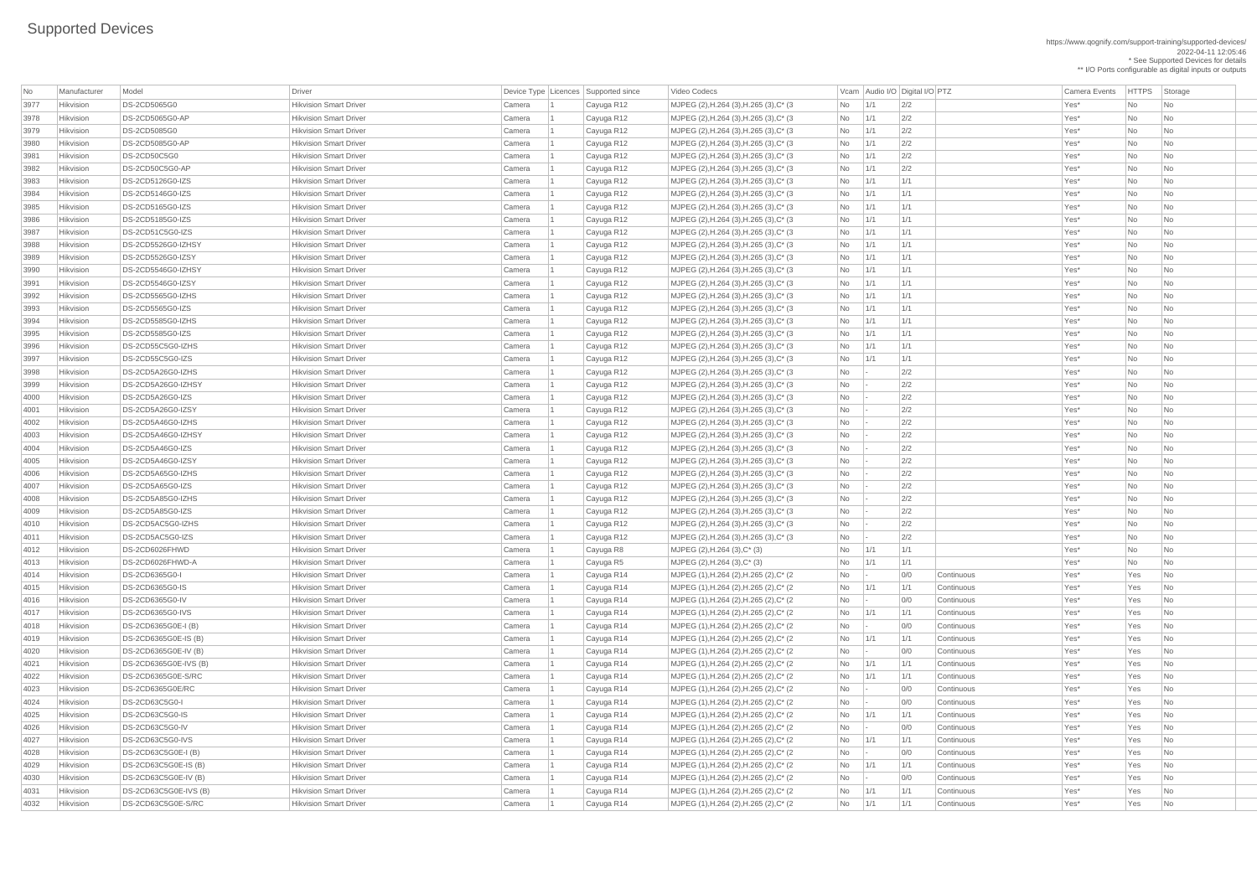https://www.qognify.com/support-training/supported-devices/ 2022-04-11 12:05:46 \* See Supported Devices for details \*\* I/O Ports configurable as digital inputs or outputs

| No               | Manufacturer     | Model                 | <b>Driver</b>                                                  |        | Device Type Licences Supported since | Video Codecs                                                                       |           |     | Vcam Audio I/O Digital I/O PTZ |                   | <b>Camera Events</b> | HTTPS Sto |                                   |
|------------------|------------------|-----------------------|----------------------------------------------------------------|--------|--------------------------------------|------------------------------------------------------------------------------------|-----------|-----|--------------------------------|-------------------|----------------------|-----------|-----------------------------------|
| 3977             | Hikvision        | <b>DS-2CD5065G0</b>   | <b>Hikvision Smart Driver</b>                                  | Camera | Cayuga R12                           | MJPEG (2), H.264 (3), H.265 (3), C* (3)                                            | No        | 1/1 | 2/2                            |                   | Yes*                 | No        | $\overline{\phantom{a}}$ Nc       |
| 3978             | Hikvision        | DS-2CD5065G0-AP       | <b>Hikvision Smart Driver</b>                                  | Camera | Cayuga R12                           | MJPEG (2), H.264 (3), H.265 (3), C* (3)                                            | No        | 1/1 | 2/2                            |                   | Yes*                 | No        | $\overline{\phantom{a}}$ Nc       |
| 3979             | Hikvision        | <b>DS-2CD5085G0</b>   | <b>Hikvision Smart Driver</b>                                  | Camera | Cayuga R12                           | MJPEG (2), H.264 (3), H.265 (3), C* (3)                                            | No        | 1/1 | 2/2                            |                   | Yes*                 | No        | <b>Nc</b>                         |
| 3980             | Hikvision        | DS-2CD5085G0-AP       | <b>Hikvision Smart Driver</b>                                  | Camera | Cayuga R12                           | MJPEG (2), H.264 (3), H.265 (3), C* (3)                                            | No        | 1/1 | 2/2                            |                   | Yes*                 | No        | Nc                                |
| 398 <sup>°</sup> | Hikvision        | DS-2CD50C5G0          | <b>Hikvision Smart Driver</b>                                  | Camera | Cayuga R12                           | MJPEG (2), H.264 (3), H.265 (3), C* (3)                                            | No        | 1/1 | 2/2                            |                   | Yes*                 | No        | Nc                                |
| 3982             | Hikvision        | DS-2CD50C5G0-AP       | <b>Hikvision Smart Driver</b>                                  | Camera | Cayuga R12                           | MJPEG (2), H.264 (3), H.265 (3), C* (3)                                            | No        | 1/1 | 2/2                            |                   | Yes*                 | No        | $\overline{\phantom{a}}$ Nc       |
| 3983             | Hikvision        | DS-2CD5126G0-IZS      | <b>Hikvision Smart Driver</b>                                  | Camera | Cayuga R12                           | MJPEG (2), H.264 (3), H.265 (3), C* (3)                                            | No        | 1/1 | 1/1                            |                   | Yes*                 | No        | $\overline{\phantom{a}}$ Nc       |
| 3984             | Hikvision        | DS-2CD5146G0-IZS      | <b>Hikvision Smart Driver</b>                                  | Camera | Cayuga R12                           | MJPEG (2), H.264 (3), H.265 (3), C* (3)                                            | No        | 1/1 | 1/1                            |                   | Yes*                 | No        | $\overline{\phantom{a}}$ Nc       |
| 3985             | Hikvision        | DS-2CD5165G0-IZS      | <b>Hikvision Smart Driver</b>                                  | Camera | Cayuga R12                           | MJPEG (2), H.264 (3), H.265 (3), C* (3)                                            | <b>No</b> | 1/1 | 1/1                            |                   | Yes*                 | No        | <b>Nc</b>                         |
| 3986             | Hikvision        | DS-2CD5185G0-IZS      | <b>Hikvision Smart Driver</b>                                  | Camera | Cayuga R12                           | MJPEG (2), H.264 (3), H.265 (3), C* (3)                                            | No        | 1/1 | 1/1                            |                   | Yes*                 | No        | $\overline{\phantom{a}}$ Nc       |
| 3987             | Hikvision        | DS-2CD51C5G0-IZS      | <b>Hikvision Smart Driver</b>                                  | Camera | Cayuga R12                           | MJPEG (2), H.264 (3), H.265 (3), C* (3)                                            | No        | 1/1 | 1/1                            |                   | Yes*                 | No        | <b>Nc</b>                         |
| 3988             | Hikvision        | DS-2CD5526G0-IZHSY    | <b>Hikvision Smart Driver</b>                                  | Camera | Cayuga R12                           | MJPEG (2), H.264 (3), H.265 (3), C* (3)                                            | No        | 1/1 | 1/1                            |                   | Yes*                 | No        | $\overline{\phantom{a}}$ Nc       |
| 3989             | Hikvision        | DS-2CD5526G0-IZSY     | <b>Hikvision Smart Driver</b>                                  | Camera | Cayuga R12                           | MJPEG (2), H.264 (3), H.265 (3), C* (3)                                            | No        | 1/1 | 1/1                            |                   | Yes*                 | No        | $\overline{\phantom{a}}$ Nc       |
| 3990             | Hikvision        | DS-2CD5546G0-IZHSY    | <b>Hikvision Smart Driver</b>                                  | Camera | Cayuga R12                           | MJPEG (2), H.264 (3), H.265 (3), C* (3)                                            | No        | 1/1 | 1/1                            |                   | Yes*                 | No        | $\overline{\phantom{a}}$ Nc       |
| 399 <sup>o</sup> | Hikvision        | DS-2CD5546G0-IZSY     | <b>Hikvision Smart Driver</b>                                  | Camera | Cayuga R12                           | MJPEG (2), H.264 (3), H.265 (3), C* (3)                                            | No        | 1/1 | 1/1                            |                   | Yes*                 | No        | <b>Nc</b>                         |
| 3992             | Hikvision        | DS-2CD5565G0-IZHS     | <b>Hikvision Smart Driver</b>                                  | Camera | Cayuga R12                           | MJPEG (2), H.264 (3), H.265 (3), C* (3)                                            | No        | 1/1 | 1/1                            |                   | Yes*                 | No        | <b>Nc</b>                         |
| 3993             | Hikvision        | DS-2CD5565G0-IZS      | <b>Hikvision Smart Driver</b>                                  | Camera | Cayuga R12                           | MJPEG (2), H.264 (3), H.265 (3), C* (3)                                            | No        | 1/1 | 1/1                            |                   | Yes*                 | No        | <b>Nc</b>                         |
| 3994             | Hikvision        | DS-2CD5585G0-IZHS     | <b>Hikvision Smart Driver</b>                                  | Camera | Cayuga R12                           | MJPEG (2), H.264 (3), H.265 (3), C* (3)                                            | No        | 1/1 | 1/1                            |                   | Yes*                 | No        | Nc                                |
| 3995             | Hikvision        | DS-2CD5585G0-IZS      | <b>Hikvision Smart Driver</b>                                  | Camera | Cayuga R12                           | MJPEG (2), H.264 (3), H.265 (3), C* (3)                                            | No        | 1/1 | 1/1                            |                   | Yes*                 | <b>No</b> | <b>Nc</b>                         |
| 3996             | Hikvision        | DS-2CD55C5G0-IZHS     | <b>Hikvision Smart Driver</b>                                  | Camera | Cayuga R12                           | MJPEG (2), H.264 (3), H.265 (3), C* (3)                                            | No        | 1/1 | 1/1                            |                   | Yes*                 | No        | $\overline{\phantom{a}}$ Nc       |
| 3997             | Hikvision        | DS-2CD55C5G0-IZS      | <b>Hikvision Smart Driver</b>                                  | Camera | Cayuga R12                           | MJPEG (2), H.264 (3), H.265 (3), C* (3)                                            | No        | 1/1 | 1/1                            |                   | Yes*                 | No        | <b>Nc</b>                         |
| 3998             | Hikvision        | DS-2CD5A26G0-IZHS     | <b>Hikvision Smart Driver</b>                                  | Camera | Cayuga R12                           | MJPEG (2), H.264 (3), H.265 (3), C* (3)                                            | No        |     | 2/2                            |                   | Yes*                 | No        | $\overline{\phantom{a}}$ Nc       |
| 3999             | Hikvision        | DS-2CD5A26G0-IZHSY    | <b>Hikvision Smart Driver</b>                                  | Camera | Cayuga R12                           | MJPEG (2), H.264 (3), H.265 (3), C* (3)                                            | No        |     | 2/2                            |                   | Yes*                 | No        | Nc                                |
| 4000             | Hikvision        | DS-2CD5A26G0-IZS      | <b>Hikvision Smart Driver</b>                                  | Camera | Cayuga R12                           | MJPEG (2), H.264 (3), H.265 (3), C* (3)                                            | No        |     | 2/2                            |                   | Yes*                 | No        | $\overline{\phantom{a}}$ Nc       |
| 4001             | Hikvision        | DS-2CD5A26G0-IZSY     | <b>Hikvision Smart Driver</b>                                  | Camera | Cayuga R12                           | MJPEG (2), H.264 (3), H.265 (3), C* (3)                                            | No        |     | 2/2                            |                   | Yes*                 | <b>No</b> | <b>Nc</b>                         |
| 4002             | <b>Hikvision</b> | DS-2CD5A46G0-IZHS     | <b>Hikvision Smart Driver</b>                                  | Camera | Cayuga R12                           | MJPEG (2), H.264 (3), H.265 (3), C* (3                                             | No        |     | 2/2                            |                   | Yes*                 | No.       | Nc                                |
| 4003             | Hikvision        | DS-2CD5A46G0-IZHSY    | <b>Hikvision Smart Driver</b>                                  | Camera | Cayuga R12                           | MJPEG (2), H.264 (3), H.265 (3), C* (3)                                            | No        |     | 2/2                            |                   | Yes*                 | No        | $\overline{\phantom{a}}$ Nc       |
| 4004             | Hikvision        | DS-2CD5A46G0-IZS      | <b>Hikvision Smart Driver</b>                                  | Camera | Cayuga R12                           | MJPEG (2), H.264 (3), H.265 (3), C* (3)                                            | No        |     | 2/2                            |                   | Yes*                 | No        | <b>Nc</b>                         |
| 4005             | Hikvision        | DS-2CD5A46G0-IZSY     | <b>Hikvision Smart Driver</b>                                  | Camera | Cayuga R12                           | MJPEG (2), H.264 (3), H.265 (3), C* (3                                             | No        |     | 2/2                            |                   | Yes*                 | No        | Nc                                |
| 4006             | Hikvision        | DS-2CD5A65G0-IZHS     | <b>Hikvision Smart Driver</b>                                  | Camera | Cayuga R12                           | MJPEG (2), H.264 (3), H.265 (3), C* (3)                                            | No        |     | 2/2                            |                   | Yes*                 | <b>No</b> | Nc                                |
|                  | Hikvision        | DS-2CD5A65G0-IZS      | <b>Hikvision Smart Driver</b>                                  |        |                                      |                                                                                    |           |     | 2/2                            |                   | Yes*                 |           |                                   |
| 4007<br>4008     | Hikvision        | DS-2CD5A85G0-IZHS     | <b>Hikvision Smart Driver</b>                                  | Camera | Cayuga R12                           | MJPEG (2), H.264 (3), H.265 (3), C* (3)<br>MJPEG (2), H.264 (3), H.265 (3), C* (3) | No        |     | 2/2                            |                   | Yes*                 | No<br>No  | $\overline{\phantom{a}}$ Nc       |
|                  | Hikvision        | DS-2CD5A85G0-IZS      | <b>Hikvision Smart Driver</b>                                  | Camera | Cayuga R12                           | MJPEG (2), H.264 (3), H.265 (3), C* (3)                                            | No        |     | 2/2                            |                   | Yes*                 | No        | Nc<br>$\overline{\phantom{a}}$ Nc |
| 4009             | Hikvision        | DS-2CD5AC5G0-IZHS     | <b>Hikvision Smart Driver</b>                                  | Camera | Cayuga R12                           |                                                                                    | No        |     | 2/2                            |                   |                      |           |                                   |
| 4010             | Hikvision        | DS-2CD5AC5G0-IZS      |                                                                | Camera | Cayuga R12                           | MJPEG (2), H.264 (3), H.265 (3), C* (3)                                            | No        |     | 2/2                            |                   | Yes*                 | No        | <b>Nc</b>                         |
| 4011<br>4012     | Hikvision        | DS-2CD6026FHWD        | <b>Hikvision Smart Driver</b><br><b>Hikvision Smart Driver</b> | Camera | Cayuga R12                           | MJPEG (2), H.264 (3), H.265 (3), C* (3)                                            | No        |     | 1/1                            |                   | Yes*<br>Yes*         | No        | Nc                                |
|                  |                  |                       |                                                                | Camera | Cayuga R8                            | MJPEG (2), H.264 (3), C* (3)                                                       | No        | 1/1 |                                |                   |                      | No        | Nc                                |
| 4013             | Hikvision        | DS-2CD6026FHWD-A      | <b>Hikvision Smart Driver</b>                                  | Camera | Cayuga R5                            | MJPEG $(2)$ , H.264 $(3)$ , C* $(3)$                                               | No        | 1/1 | 1/1                            |                   | Yes*                 | No        | $\overline{\phantom{a}}$ Nc       |
| 4014             | Hikvision        | DS-2CD6365G0-I        | <b>Hikvision Smart Driver</b>                                  | Camera | Cayuga R14                           | MJPEG (1), H.264 (2), H.265 (2), C* (2)                                            | No        |     | 0/0                            | <b>Continuous</b> | Yes*                 | Yes       | $\overline{\phantom{a}}$ Nc       |
| 4015             | Hikvision        | DS-2CD6365G0-IS       | <b>Hikvision Smart Driver</b>                                  | Camera | Cayuga R14                           | MJPEG (1), H.264 (2), H.265 (2), C* (2)                                            | No        | 1/1 | 1/1                            | Continuous        | Yes*                 | Yes       | $\overline{\phantom{a}}$ Nc       |
| 4016             | Hikvision        | DS-2CD6365G0-IV       | <b>Hikvision Smart Driver</b>                                  | Camera | Cayuga R14                           | MJPEG (1), H.264 (2), H.265 (2), C* (2)                                            | No        |     | 0/0                            | Continuous        | Yes*                 | Yes       | $\overline{\phantom{a}}$ Nc       |
| 4017             | Hikvision        | DS-2CD6365G0-IVS      | <b>Hikvision Smart Driver</b>                                  | Camera | Cayuga R14                           | MJPEG (1), H.264 (2), H.265 (2), C* (2)                                            | No        | 1/1 | 1/1                            | Continuous        | Yes*                 | Yes       | $\overline{\phantom{a}}$ Nc       |
| 4018             | Hikvision        | DS-2CD6365G0E-I (B)   | <b>Hikvision Smart Driver</b>                                  | Camera | Cayuga R14                           | MJPEG (1), H.264 (2), H.265 (2), C* (2)                                            | No        |     | 0/0                            | Continuous        | Yes*                 | Yes       | $\overline{\phantom{a}}$ Nc       |
| 4019             | Hikvision        | DS-2CD6365G0E-IS (B)  | <b>Hikvision Smart Driver</b>                                  | Camera | Cayuga R14                           | MJPEG (1), H.264 (2), H.265 (2), C* (2)                                            | No        | 1/1 | 1/1                            | Continuous        | Yes*                 | Yes       | $\overline{\phantom{a}}$ Nc       |
| 4020             | Hikvision        | DS-2CD6365G0E-IV (B)  | <b>Hikvision Smart Driver</b>                                  | Camera | Cayuga R14                           | MJPEG (1), H.264 (2), H.265 (2), C* (2)                                            | No        |     | 0/0                            | <b>Continuous</b> | Yes*                 | Yes       | $\overline{\phantom{a}}$ Nc       |
| 4021             | Hikvision        | DS-2CD6365G0E-IVS (B) | <b>Hikvision Smart Driver</b>                                  | Camera | Cayuga R14                           | MJPEG (1), H.264 (2), H.265 (2), C* (2)                                            | No        | 1/1 | 1/1                            | Continuous        | Yes*                 | Yes       | $\overline{\phantom{a}}$ Nc       |
| 4022             | Hikvision        | DS-2CD6365G0E-S/RC    | <b>Hikvision Smart Driver</b>                                  | Camera | Cayuga R14                           | MJPEG (1), H.264 (2), H.265 (2), C* (2)                                            | No        | 1/1 | 1/1                            | Continuous        | Yes*                 | Yes       | $\overline{\phantom{a}}$ Nc       |
| 4023             | Hikvision        | DS-2CD6365G0E/RC      | <b>Hikvision Smart Driver</b>                                  | Camera | Cayuga R14                           | MJPEG (1), H.264 (2), H.265 (2), C* (2)                                            | No        |     | 0/0                            | Continuous        | Yes*                 | Yes       | $\overline{\phantom{a}}$ Nc       |
| 4024             | Hikvision        | DS-2CD63C5G0-I        | <b>Hikvision Smart Driver</b>                                  | Camera | Cayuga R14                           | MJPEG (1), H.264 (2), H.265 (2), C* (2)                                            | No        |     | 0/0                            | Continuous        | Yes*                 | Yes       | $\overline{\phantom{a}}$ Nc       |
| 4025             | Hikvision        | DS-2CD63C5G0-IS       | <b>Hikvision Smart Driver</b>                                  | Camera | Cayuga R14                           | MJPEG (1), H.264 (2), H.265 (2), C* (2)                                            | No        | 1/1 | 1/1                            | Continuous        | Yes*                 | Yes       | $\overline{\phantom{a}}$ Nc       |
| 4026             | Hikvision        | DS-2CD63C5G0-IV       | <b>Hikvision Smart Driver</b>                                  | Camera | Cayuga R14                           | MJPEG (1), H.264 (2), H.265 (2), C* (2)                                            | No        |     | 0/0                            | Continuous        | Yes*                 | Yes       | $\overline{\phantom{a}}$ Nc       |
| 4027             | Hikvision        | DS-2CD63C5G0-IVS      | <b>Hikvision Smart Driver</b>                                  | Camera | Cayuga R14                           | MJPEG (1), H.264 (2), H.265 (2), C* (2)                                            | No        | 1/1 | 1/1                            | Continuous        | Yes*                 | Yes       | $\overline{\phantom{a}}$ Nc       |
| 4028             | Hikvision        | DS-2CD63C5G0E-I (B)   | <b>Hikvision Smart Driver</b>                                  | Camera | Cayuga R14                           | MJPEG (1), H.264 (2), H.265 (2), C* (2)                                            | No        |     | 0/0                            | Continuous        | Yes*                 | Yes       |                                   |
| 4029             | Hikvision        | DS-2CD63C5G0E-IS (B)  | <b>Hikvision Smart Driver</b>                                  | Camera | Cayuga R14                           | MJPEG (1), H.264 (2), H.265 (2), C* (2)                                            | No        | 1/1 | 1/1                            | Continuous        | Yes*                 | Yes       | $\overline{\phantom{a}}$ Nc       |
| 4030             | Hikvision        | DS-2CD63C5G0E-IV (B)  | <b>Hikvision Smart Driver</b>                                  | Camera | Cayuga R14                           | MJPEG (1), H.264 (2), H.265 (2), C* (2)                                            | No        |     | 0/0                            | Continuous        | Yes*                 | Yes       | $\overline{\phantom{a}}$ Nc       |
| 4031             | Hikvision        | DS-2CD63C5G0E-IVS (B) | <b>Hikvision Smart Driver</b>                                  | Camera | Cayuga R14                           | MJPEG (1), H.264 (2), H.265 (2), C* (2)                                            | No        | 1/1 | 1/1                            | Continuous        | Yes*                 | Yes       | $ $ Nc                            |
| 4032             | Hikvision        | DS-2CD63C5G0E-S/RC    | <b>Hikvision Smart Driver</b>                                  | Camera | Cayuga R14                           | MJPEG (1), H.264 (2), H.265 (2), C* (2)                                            | No        | 1/1 | 1/1                            | Continuous        | Yes*                 | Yes       | $ $ Nc                            |

| Video Codecs | No Manufacturer | No Manufacturer Model Driver Device Type Licence Camera Events | HTTPS | Storage MJPEG (2),H.264 (3),H.265 (3),C\* (3 No 1/1 2/2 No 1 Cayuga R12 Xes\* No No | MJPEG (2),H.264 (3),H.265 (3),C\* (3 No 1/1 2/2 No 1 Cayuga R12 Xes\* No No 3979 Hikvision DS-2CD5085G0 Hikvision Smart Driver Camera 1 Cayuga R12 MJPEG (2),H.264 (3),H.265 (3),C\* (3 No 1/1 2/2 Yes\* No No | MJPEG (2),H.264 (3),H.265 (3),C\* (3  $\vert$  No  $\vert$  1/1  $\vert$  2/2  $\vert$   $\vert$  2/2  $\vert$  Yes\* No  $\vert$  No  $\vert$  No  $\vert$  No  $\vert$  No  $\vert$  No  $\vert$  No  $\vert$  No  $\vert$  No  $\vert$  No  $\vert$  No  $\vert$  No  $\vert$  No  $\vert$  No  $\vert$  No  $\vert$  No  $\vert$  No  $\vert$ 3981 Hikvision DS-2CD50C5G0 Hikvision Smart Driver Camera 1 Cayuga R12 MJPEG (2),H.264 (3),H.265 (3),C\* (3 No 1/1 2/2 Yes\* No No 3983 Hikvision DS-2CD5126G0-IZS Hikvision Smart Driver Camera 1 Cayuga R12 MJPEG (2),H.264 (3),H.265 (3),C\* (3 No 1/1 1/1 Yes\* No No | MJPEG (2),H.264 (3),H.265 (3),C\* (3 No 1/1 1/1 | 1/1 1/1 No 1/1 Xes\* No No No | MJPEG (2),H.264 (3),H.265 (3),C\* (3 No 1/1 1/1 | 1/1 1/1 No 2012 Tes\* No No 3986 Hikvision DS-2CD5185G0-IZS Hikvision Smart Driver Camera 1 Cayuga R12 MJPEG (2),H.264 (3),H.265 (3),C\* (3 No 1/1 1/1 Yes\* No No | MJPEG (2),H.264 (3),H.265 (3),C\* (3  $\vert$  No  $\vert$  1/1  $\vert$  1/1  $\vert$  1/1  $\vert$  1/1  $\vert$   $\vert$  Yes\* No  $\vert$  No  $\vert$  No  $\vert$  No  $\vert$  No  $\vert$  No  $\vert$  No  $\vert$  No  $\vert$  No  $\vert$  No  $\vert$  No  $\vert$  No  $\vert$  No  $\vert$  No  $\vert$  No  $\vert$  No  $\$ | MJPEG (2),H.264 (3),H.265 (3),C\* (3  $\qquad$  No  $\qquad$  1/1  $\qquad$  1/1  $\qquad$  1/1  $\qquad$  No Yes\* No No No  $\qquad$  No No  $\qquad$ | MJPEG (2),H.264 (3),H.265 (3),C\* (3 No 1/1 1/1 | 1/1 1/1 | No No No No No No No 3990 Hikvision DS-2CD5546G0-IZHSY Hikvision Smart Driver Camera 1 Cayuga R12 MJPEG (2),H.264 (3),H.265 (3),C\* (3 No 1/1 1/1 Yes\* No No | MJPEG (2),H.264 (3),H.265 (3),C\* (3 No 1/1 1/1 | 1/1 1/1 No 1/1 Xes\* No No No 3992 Hikvision DS-2CD5565G0-IZHS Hikvision Smart Driver Camera 1 Cayuga R12 MJPEG (2),H.264 (3),H.265 (3),C\* (3 No 1/1 1/1 Yes\* No No 3993 Hikvision DS-2CD5565G0-IZS Hikvision Smart Driver Camera 1 Cayuga R12 MJPEG (2),H.264 (3),H.265 (3),C\* (3 No 1/1 1/1 Yes\* No No 3994 Hikvision DS-2CD5585G0-IZHS Hikvision Smart Driver Camera 1 Cayuga R12 MJPEG (2),H.264 (3),H.265 (3),C\* (3 No 1/1 1/1 Yes\* No No 3996 Hikvision DS-2CD55C5G0-IZHS Hikvision Smart Driver Camera 1 Cayuga R12 MJPEG (2),H.264 (3),H.265 (3),C\* (3 No 1/1 1/1 Yes\* No No 3997 Hikvision DS-2CD55C5G0-IZS Hikvision Smart Driver Camera 1 Cayuga R12 MJPEG (2),H.264 (3),H.265 (3),C\* (3 No 1/1 1/1 Yes\* No No | MJPEG (2),H.264 (3),H.265 (3),C\* (3  $\qquad$  No  $\qquad$  - 2/2  $\qquad$  2/2 Yes\* No No No | MJPEG (2),H.264 (3),H.265 (3),C\* (3  $\qquad$  No  $\qquad$  - 2/2  $\qquad$  2/2 Yes\* No No No | MJPEG (2),H.264 (3),H.265 (3),C\* (3 No  $\qquad$  - 2/2 No Yes\* No No No | MJPEG (2),H.264 (3),H.265 (3),C\* (3 No  $\qquad$  - 2/2 No Yes\* No No No | MJPEG (2),H.264 (3),H.265 (3),C\* (3 No  $\qquad$  - 2/2 No Yes\* No No No | MJPEG (2),H.264 (3),H.265 (3),C\* (3 No  $\qquad$  - 2/2 No Yes\* No No No | MJPEG (2),H.264 (3),H.265 (3),C\* (3  $\qquad$  No  $\qquad$  -  $\qquad$  2/2  $\qquad$  |  $\qquad$   $\qquad$  Yes\* No  $\qquad$  No No  $\qquad$ | MJPEG (2),H.264 (3),H.265 (3),C\* (3  $\qquad$  No  $\qquad$  - 2/2  $\qquad$  2/2 Yes\* No No No | MJPEG (2),H.264 (3),H.265 (3),C\* (3  $\qquad$  No  $\qquad$  - 2/2  $\qquad$  2/2 Yes\* No No No | MJPEG (2),H.264 (3),H.265 (3),C\* (3 No  $\qquad$  - 2/2 No Yes\* No No No | MJPEG (2),H.264 (3),H.265 (3),C\* (3 No  $\qquad$  - 2/2 No Yes\* No No No | MJPEG (2),H.264 (3),H.265 (3),C\* (3  $\qquad$  No  $\qquad$  - 2/2  $\qquad$  2/2 Yes\* No No No | MJPEG (2),H.264 (3),H.265 (3),C\* (3 No  $\qquad$  - 2/2 No Yes\* No No No | MJPEG (2),H.264 (3),H.265 (3),C\* (3  $\vert$ No  $\vert$ -  $\vert$ 2/2  $\vert$  / 20  $\vert$ Yes\* No No  $\vert$ No  $\vert$ No  $\vert$ | MJPEG (1),H.264 (2),H.265 (2),C\* (2  $\qquad \qquad$  No  $\qquad$  - 0/0 Continuous Yes\* Yes No 4015 Hikvision DS-2CD6365G0-IS Hikvision Smart Driver Camera 1 Cayuga R14 MJPEG (1),H.264 (2),H.265 (2),C\* (2 No 1/1 1/1 Continuous Yes\* Yes No 4016 Hikvision DS-2CD6365G0-IV Hikvision Smart Driver Camera 1 Cayuga R14 MJPEG (1),H.264 (2),H.265 (2),C\* (2 No - 0/0 Continuous Yes\* Yes No 4017 Hikvision DS-2CD6365G0-IVS Hikvision Smart Driver Camera 1 Cayuga R14 MJPEG (1),H.264 (2),H.265 (2),C\* (2 No 1/1 1/1 Continuous Yes\* Yes No | MJPEG (1),H.264 (2),H.265 (2),C\* (2  $\qquad \qquad$  No  $\qquad$  - 0/0 Continuous Yes\* Yes No 4019 Hikvision DS-2CD6365G0E-IS (B) Hikvision Smart Driver Camera 1 Cayuga R14 MJPEG (1),H.264 (2),H.265 (2),C\* (2 No 1/1 1/1 Continuous Yes\* Yes No | MJPEG (1),H.264 (2),H.265 (2),C\* (2  $\qquad \qquad$  No  $\qquad$  - 0/0 Continuous Yes\* Yes No 4021 Hikvision DS-2CD6365G0E-IVS (B) Hikvision Smart Driver Camera 1 Cayuga R14 MJPEG (1),H.264 (2),H.265 (2),C\* (2 No 1/1 1/1 Continuous Yes\* Yes No 4022 Hikvision DS-2CD6365G0E-S/RC Hikvision Smart Driver Camera 1 Cayuga R14 MJPEG (1),H.264 (2),H.265 (2),C\* (2 No 1/1 1/1 Continuous Yes\* Yes No | MJPEG (1),H.264 (2),H.265 (2),C\* (2  $\qquad$  No  $\qquad$  - 0/0 Continuous Yes\* Yes No 4024 Hikvision DS-2CD63C5G0-I Hikvision Smart Driver Camera 1 Cayuga R14 MJPEG (1),H.264 (2),H.265 (2),C\* (2 No - 0/0 Continuous Yes\* Yes No 4025 Hikvision DS-2CD63C5G0-IS Hikvision Smart Driver Camera 1 Cayuga R14 MJPEG (1),H.264 (2),H.265 (2),C\* (2 No 1/1 1/1 Continuous Yes\* Yes No 4026 Hikvision DS-2CD63C5G0-IV Hikvision Smart Driver Camera 1 Cayuga R14 MJPEG (1),H.264 (2),H.265 (2),C\* (2 No - 0/0 Continuous Yes\* Yes No 4027 Hikvision DS-2CD63C5G0-IVS Hikvision Smart Driver Camera 1 Cayuga R14 MJPEG (1),H.264 (2),H.265 (2),C\* (2 No 1/1 1/1 Continuous Yes\* Yes No | MJPEG (1),H.264 (2),H.265 (2),C\* (2  $\qquad \qquad$  No  $\qquad$  - 0/0 Continuous Yes\* Yes No 4029 Hikvision DS-2CD63C5G0E-IS (B) Hikvision Smart Driver Camera 1 Cayuga R14 MJPEG (1),H.264 (2),H.265 (2),C\* (2 No 1/1 1/1 Continuous Yes\* Yes No | MJPEG (1),H.264 (2),H.265 (2),C\* (2  $\qquad \qquad$  No  $\qquad$  - 0/0 Continuous Yes\* Yes No 4031 Hikvision DS-2CD63C5G0E-IVS (B) Hikvision Smart Driver Camera 1 Cayuga R14 MJPEG (1),H.264 (2),H.265 (2),C\* (2 No 1/1 1/1 Continuous Yes\* Yes No 4032 Hikvision DS-2CD63C5G0E-S/RC Hikvision Smart Driver Camera 1 Cayuga R14 MJPEG (1),H.264 (2),H.265 (2),C\* (2 No 1/1 1/1 Continuous Yes\* Yes No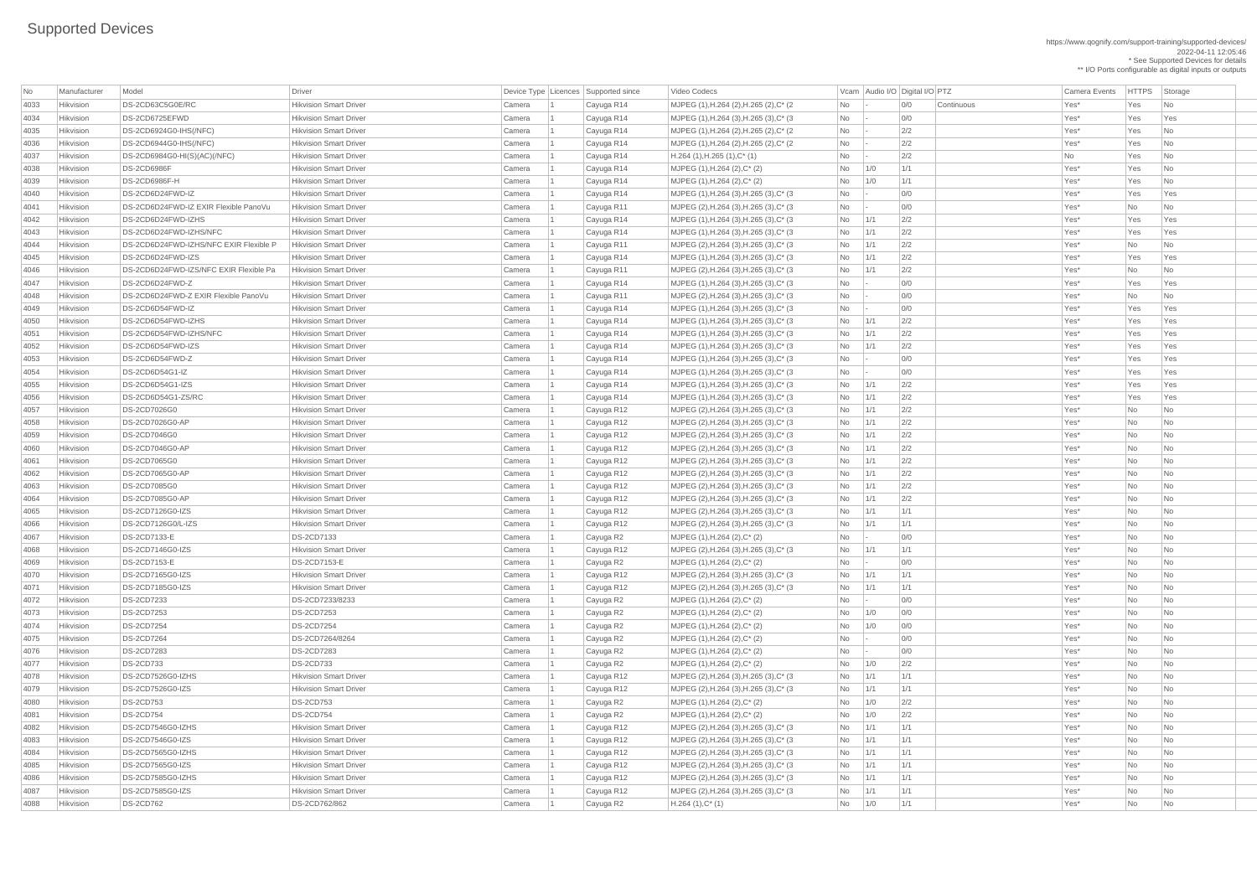https://www.qognify.com/support-training/supported-devices/ 2022-04-11 12:05:46 \* See Supported Devices for details

\*\* I/O Ports configurable as digital inputs or outputs

| <b>No</b> | Manufacturer     | Model                                  | <b>Driver</b>                                                  |        | Device Type Licences Supported since | Video Codecs                               |                                                                    |             | Vcam Audio I/O Digital I/O PTZ | Camera Events | <b>HTTPS</b> | Storage        |
|-----------|------------------|----------------------------------------|----------------------------------------------------------------|--------|--------------------------------------|--------------------------------------------|--------------------------------------------------------------------|-------------|--------------------------------|---------------|--------------|----------------|
| 4033      | Hikvision        | DS-2CD63C5G0E/RC                       | <b>Hikvision Smart Driver</b>                                  | Camera | Cayuga R14                           | MJPEG (1), H.264 (2), H.265 (2), C* (2)    | No                                                                 |             | 0/0<br>Continuous              | Yes*          | Yes          | No             |
| 4034      | Hikvision        | DS-2CD6725EFWD                         | <b>Hikvision Smart Driver</b>                                  | Camera | Cayuga R14                           | MJPEG (1), H.264 (3), H.265 (3), C* (3)    | <b>No</b>                                                          |             | O/O                            | Yes*          | Yes          | Yes            |
| 4035      | Hikvision        | DS-2CD6924G0-IHS(/NFC)                 | <b>Hikvision Smart Driver</b>                                  | Camera | Cayuga R14                           | MJPEG (1), H.264 (2), H.265 (2), C* (2)    | No                                                                 |             | 2/2                            | Yes*          | Yes          | No.            |
| 4036      | Hikvision        | DS-2CD6944G0-IHS(/NFC)                 | <b>Hikvision Smart Driver</b>                                  | Camera | Cayuga R14                           | MJPEG (1), H.264 (2), H.265 (2), C* (2)    | No                                                                 |             | 2/2                            | Yes*          | Yes          | No             |
| 4037      | Hikvision        | DS-2CD6984G0-HI(S)(AC)(/NFC)           | <b>Hikvision Smart Driver</b>                                  | Camera | Cayuga R14                           | $H.264$ (1), H.265 (1), C <sup>*</sup> (1) | No                                                                 |             | 2/2                            | No            | Yes          | No             |
| 4038      | Hikvision        | <b>DS-2CD6986F</b>                     | <b>Hikvision Smart Driver</b>                                  | Camera | Cayuga R14                           | MJPEG (1), H.264 (2), C* (2)               | No                                                                 | 1/0         | 1/1                            | Yes*          | Yes          | <b>No</b>      |
| 4039      | <b>Hikvision</b> | DS-2CD6986F-H                          | <b>Hikvision Smart Driver</b>                                  | Camera | Cayuga R14                           | MJPEG (1), H.264 (2), C* (2)               | No                                                                 | 1/0         | 1/1                            | Yes*          | Yes          | No             |
| 4040      | Hikvision        | DS-2CD6D24FWD-IZ                       | <b>Hikvision Smart Driver</b>                                  | Camera | Cayuga R14                           | MJPEG (1), H.264 (3), H.265 (3), C* (3)    | <b>No</b>                                                          |             | O/O                            | Yes*          | Yes          | Yes            |
| 4041      | Hikvision        | DS-2CD6D24FWD-IZ EXIR Flexible PanoVu  | <b>Hikvision Smart Driver</b>                                  | Camera | Cayuga R11                           | MJPEG (2), H.264 (3), H.265 (3), C* (3)    | No                                                                 |             | O/O                            | Yes*          | No           | <b>No</b>      |
| 4042      | Hikvision        | DS-2CD6D24FWD-IZHS                     | <b>Hikvision Smart Driver</b>                                  | Camera | Cayuga R14                           | MJPEG (1), H.264 (3), H.265 (3), C* (3)    | No                                                                 | 1/1         | 2/2                            | Yes*          | Yes          | Yes            |
| 4043      | Hikvision        | DS-2CD6D24FWD-IZHS/NFC                 | <b>Hikvision Smart Driver</b>                                  | Camera | Cayuga R14                           | MJPEG (1), H.264 (3), H.265 (3), C* (3)    | No                                                                 | 1/1         | 2/2                            | Yes*          | Yes          | Yes            |
| 4044      | Hikvision        | DS-2CD6D24FWD-IZHS/NFC EXIR Flexible P | <b>Hikvision Smart Driver</b>                                  | Camera | Cayuga R11                           | MJPEG (2), H.264 (3), H.265 (3), C* (3)    | No                                                                 | 1/1         | 2/2                            | Yes*          | <b>No</b>    | <b>No</b>      |
| 4045      | <b>Hikvision</b> | DS-2CD6D24FWD-IZS                      | <b>Hikvision Smart Driver</b>                                  | Camera | Cayuga R14                           | MJPEG (1), H.264 (3), H.265 (3), C* (3)    | No                                                                 | 1/1         | 2/2                            | Yes*          | Yes          | Yes            |
| 4046      | <b>Hikvision</b> | DS-2CD6D24FWD-IZS/NFC EXIR Flexible Pa | <b>Hikvision Smart Driver</b>                                  | Camera | Cayuga R11                           | MJPEG (2), H.264 (3), H.265 (3), C* (3)    | No                                                                 | 1/1         | 2/2                            | Yes*          | No           | No             |
| 4047      | Hikvision        | DS-2CD6D24FWD-Z                        | <b>Hikvision Smart Driver</b>                                  | Camera | Cayuga R14                           | MJPEG (1), H.264 (3), H.265 (3), C* (3)    | No                                                                 |             | O/O                            | Yes*          | Yes          | Yes            |
| 4048      | Hikvision        | DS-2CD6D24FWD-Z EXIR Flexible PanoVu   | <b>Hikvision Smart Driver</b>                                  | Camera | Cayuga R11                           | MJPEG (2), H.264 (3), H.265 (3), C* (3)    | No                                                                 |             | 0/0                            | Yes*          | No           | No.            |
| 4049      | Hikvision        | DS-2CD6D54FWD-IZ                       | <b>Hikvision Smart Driver</b>                                  | Camera | Cayuga R14                           | MJPEG (1), H.264 (3), H.265 (3), C* (3)    | No                                                                 |             | O/O                            | Yes*          | Yes          | Yes            |
| 4050      | Hikvision        | DS-2CD6D54FWD-IZHS                     | <b>Hikvision Smart Driver</b>                                  | Camera | Cayuga R14                           | MJPEG (1), H.264 (3), H.265 (3), C* (3)    | No                                                                 | 1/1         | 2/2                            | Yes*          | Yes          | Yes            |
| 4051      | Hikvision        | DS-2CD6D54FWD-IZHS/NFC                 | <b>Hikvision Smart Driver</b>                                  | Camera | Cayuga R14                           | MJPEG (1), H.264 (3), H.265 (3), C* (3)    | No                                                                 | 1/1         | 2/2                            | Yes*          | Yes          | Yes            |
| 4052      | Hikvision        | DS-2CD6D54FWD-IZS                      | <b>Hikvision Smart Driver</b>                                  | Camera | Cayuga R14                           | MJPEG (1), H.264 (3), H.265 (3), C* (3)    | No                                                                 | 1/1         | 2/2                            | Yes*          | Yes          | Yes            |
| 4053      | Hikvision        | DS-2CD6D54FWD-Z                        | <b>Hikvision Smart Driver</b>                                  | Camera | Cayuga R14                           | MJPEG (1), H.264 (3), H.265 (3), C* (3)    | <b>No</b>                                                          |             | O/O                            | Yes*          | Yes          | Yes            |
| 4054      | Hikvision        | DS-2CD6D54G1-IZ                        | <b>Hikvision Smart Driver</b>                                  |        |                                      |                                            |                                                                    |             | 0/0                            | Yes*          | Yes          | Yes            |
|           |                  | DS-2CD6D54G1-IZS                       |                                                                | Camera | Cayuga R14                           | MJPEG (1), H.264 (3), H.265 (3), C* (3)    | No                                                                 |             |                                |               |              |                |
| 4055      | Hikvision        |                                        | <b>Hikvision Smart Driver</b><br><b>Hikvision Smart Driver</b> | Camera | Cayuga R14                           | MJPEG (1), H.264 (3), H.265 (3), C* (3)    | No                                                                 | $\vert$ 1/1 | 2/2                            | Yes*          | Yes          | Yes            |
| 4056      | Hikvision        | DS-2CD6D54G1-ZS/RC                     |                                                                | Camera | Cayuga R14                           | MJPEG (1), H.264 (3), H.265 (3), C* (3)    | <b>No</b>                                                          | 1/1         | 2/2                            | Yes*          | Yes          | Yes            |
| 4057      | Hikvision        | DS-2CD7026G0                           | <b>Hikvision Smart Driver</b>                                  | Camera | Cayuga R12                           | MJPEG (2), H.264 (3), H.265 (3), C* (3)    | <b>No</b>                                                          | $\vert$ 1/1 | 2/2                            | Yes*          | No           | No             |
| 4058      | <b>Hikvision</b> | <b>DS-2CD7026G0-AP</b>                 | <b>Hikvision Smart Driver</b>                                  | Camera | Cayuga R12                           | MJPEG (2), H.264 (3), H.265 (3), C* (3)    | No                                                                 | 1/1         | 2/2                            | Yes*          | No.          | No             |
| 4059      | Hikvision        | <b>DS-2CD7046G0</b>                    | <b>Hikvision Smart Driver</b>                                  | Camera | Cayuga R12                           | MJPEG (2), H.264 (3), H.265 (3), C* (3)    | No                                                                 | 1/1         | 2/2                            | Yes*          | No           | No             |
| 4060      | Hikvision        | DS-2CD7046G0-AP                        | <b>Hikvision Smart Driver</b>                                  | Camera | Cayuga R12                           | MJPEG (2), H.264 (3), H.265 (3), C* (3)    | No                                                                 | 1/1         | 2/2                            | Yes*          | No           | No             |
| 4061      | Hikvision        | DS-2CD7065G0                           | <b>Hikvision Smart Driver</b>                                  | Camera | Cayuga R12                           | MJPEG (2), H.264 (3), H.265 (3), C* (3)    | No                                                                 | $\vert$ 1/1 | 2/2                            | Yes*          | No           | No             |
| 4062      | Hikvision        | DS-2CD7065G0-AP                        | <b>Hikvision Smart Driver</b>                                  | Camera | Cayuga R12                           | MJPEG (2), H.264 (3), H.265 (3), C* (3)    | <b>No</b>                                                          | 1/1         | 2/2                            | Yes*          | <b>No</b>    | No             |
| 4063      | Hikvision        | DS-2CD7085G0                           | <b>Hikvision Smart Driver</b>                                  | Camera | Cayuga R12                           | MJPEG (2), H.264 (3), H.265 (3), C* (3)    | No                                                                 | 1/1         | 2/2                            | Yes*          | No           | No             |
| 4064      | Hikvision        | DS-2CD7085G0-AP                        | <b>Hikvision Smart Driver</b>                                  | Camera | Cayuga R12                           | MJPEG (2), H.264 (3), H.265 (3), C* (3)    | No                                                                 | 1/1         | 2/2                            | Yes*          | No           | No             |
| 4065      | Hikvision        | <b>DS-2CD7126G0-IZS</b>                | <b>Hikvision Smart Driver</b>                                  | Camera | Cayuga R12                           | MJPEG (2), H.264 (3), H.265 (3), C* (3)    | <b>No</b>                                                          | 1/1         | 1/1                            | Yes*          | No           | No             |
| 4066      | Hikvision        | DS-2CD7126G0/L-IZS                     | <b>Hikvision Smart Driver</b>                                  | Camera | Cayuga R12                           | MJPEG (2), H.264 (3), H.265 (3), C* (3)    | No                                                                 | 1/1         | 1/1                            | Yes*          | No           | No.            |
| 4067      | Hikvision        | <b>DS-2CD7133-E</b>                    | <b>DS-2CD7133</b>                                              | Camera | Cayuga R2                            | MJPEG (1), H.264 (2), C* (2)               | No                                                                 |             | 0/0                            | Yes*          | No           | <b>No</b>      |
| 4068      | Hikvision        | DS-2CD7146G0-IZS                       | <b>Hikvision Smart Driver</b>                                  | Camera | Cayuga R12                           | MJPEG (2), H.264 (3), H.265 (3), C* (3)    | <b>No</b>                                                          | 1/1         | 1/1                            | Yes*          | No           | No             |
| 4069      | Hikvision        | DS-2CD7153-E                           | DS-2CD7153-E                                                   | Camera | Cayuga R2                            | MJPEG (1), H.264 (2), C* (2)               | No                                                                 |             | 0/0                            | Yes*          | <b>No</b>    | <b>No</b>      |
| 4070      | Hikvision        | DS-2CD7165G0-IZS                       | <b>Hikvision Smart Driver</b>                                  | Camera | Cayuga R12                           | MJPEG (2), H.264 (3), H.265 (3), C* (3)    | No                                                                 | 1/1         | 1/1                            | Yes*          | No           | No             |
| 4071      | Hikvision        | DS-2CD7185G0-IZS                       | <b>Hikvision Smart Driver</b>                                  | Camera | Cayuga R12                           | MJPEG (2), H.264 (3), H.265 (3), C* (3)    | <b>No</b>                                                          | 1/1         | 1/1                            | Yes*          | <b>No</b>    | No             |
| 4072      | Hikvision        | <b>DS-2CD7233</b>                      | DS-2CD7233/8233                                                | Camera | Cayuga R2                            | MJPEG (1), H.264 (2), C* (2)               | No                                                                 |             | 0/0                            | Yes*          | No           | No             |
| 4073      | Hikvision        | <b>DS-2CD7253</b>                      | <b>DS-2CD7253</b>                                              | Camera | Cayuga R2                            | MJPEG (1), H.264 (2), C* (2)               | No                                                                 | 1/0         | 0/0                            | Yes*          | No           | <b>No</b>      |
| 4074      | Hikvision        | <b>DS-2CD7254</b>                      | <b>DS-2CD7254</b>                                              | Camera | Cayuga R2                            | MJPEG (1), H.264 (2), C* (2)               | No                                                                 | 1/0         | 0/0                            | Yes*          | <b>No</b>    | No             |
| 4075      | Hikvision        | <b>DS-2CD7264</b>                      | DS-2CD7264/8264                                                | Camera | Cayuga R2                            | MJPEG (1), H.264 (2), C* (2)               | No                                                                 |             | 0/0                            | Yes*          | No           | No             |
| 4076      | Hikvision        | <b>DS-2CD7283</b>                      | <b>DS-2CD7283</b>                                              | Camera | Cayuga R2                            | MJPEG (1), H.264 (2), C* (2)               | No                                                                 |             | O/O                            | Yes*          | No           | <b>No</b>      |
| 4077      | Hikvision        | <b>DS-2CD733</b>                       | <b>DS-2CD733</b>                                               | Camera | Cayuga R2                            | MJPEG (1), H.264 (2), C* (2)               | No                                                                 | 1/0         | 2/2                            | Yes*          | No           | No             |
| 4078      | Hikvision        | DS-2CD7526G0-IZHS                      | <b>Hikvision Smart Driver</b>                                  | Camera | Cayuga R12                           | MJPEG (2), H.264 (3), H.265 (3), C* (3)    | <b>No</b>                                                          | 1/1         | 1/1                            | Yes*          | No           | <b>No</b>      |
| 4079      | Hikvision        | DS-2CD7526G0-IZS                       | <b>Hikvision Smart Driver</b>                                  | Camera | Cayuga R12                           | MJPEG (2), H.264 (3), H.265 (3), C* (3)    | No                                                                 | 1/1         | 1/1                            | Yes*          | No           | <b>No</b>      |
| 4080      | Hikvision        | <b>DS-2CD753</b>                       | <b>DS-2CD753</b>                                               | Camera | Cayuga R2                            | MJPEG (1), H.264 (2), C* (2)               | No                                                                 | 1/0         | 2/2                            | Yes*          | No           | No             |
| 4081      | Hikvision        | <b>DS-2CD754</b>                       | <b>DS-2CD754</b>                                               | Camera | Cayuga R2                            | MJPEG (1), H.264 (2), C* (2)               | No                                                                 | 1/0         | 2/2                            | Yes*          | No           | No             |
| 4082      | Hikvision        | DS-2CD7546G0-IZHS                      | <b>Hikvision Smart Driver</b>                                  | Camera | Cayuga R12                           | MJPEG (2), H.264 (3), H.265 (3), C* (3)    | No                                                                 | 1/1         | 1/1                            | Yes*          | No           | No             |
| 4083      | Hikvision        | DS-2CD7546G0-IZS                       | <b>Hikvision Smart Driver</b>                                  | Camera | Cayuga R12                           | MJPEG (2), H.264 (3), H.265 (3), C* (3)    | No                                                                 | 1/1         | 1/1                            | Yes*          | No           | No             |
| 4084      | <b>Hikvision</b> | DS-2CD7565G0-IZHS                      | <b>Hikvision Smart Driver</b>                                  | Camera | Cayuga R12                           | MJPEG (2), H.264 (3), H.265 (3), C* (3     | No                                                                 | 1/1         | 1/1                            | Yes*          | No           | No             |
| 4085      | Hikvision        | DS-2CD7565G0-IZS                       | <b>Hikvision Smart Driver</b>                                  | Camera | Cayuga R12                           | MJPEG (2), H.264 (3), H.265 (3), C* (3)    | $No$ $1/1$                                                         |             | 1/1                            | Yes*          | No           | N <sub>o</sub> |
| 4086      | Hikvision        | DS-2CD7585G0-IZHS                      | <b>Hikvision Smart Driver</b>                                  | Camera | Cayuga R12                           | MJPEG (2), H.264 (3), H.265 (3), C* (3)    | $No$ $1/1$                                                         |             | 1/1                            | Yes*          | No           | No.            |
| 4087      | Hikvision        | DS-2CD7585G0-IZS                       | <b>Hikvision Smart Driver</b>                                  | Camera | Cayuga R12                           | MJPEG (2), H.264 (3), H.265 (3), C* (3)    | $No$   1/1                                                         |             | 1/1                            | Yes*          | No           | No             |
| 4088      | Hikvision        | <b>DS-2CD762</b>                       | DS-2CD762/862                                                  | Camera | Cayuga R2                            | $H.264(1),C^*(1)$                          | $\begin{array}{ c c c } \hline \text{No} & \text{1/0} \end{array}$ |             | 1/1                            | Yes*          | No           | No             |
|           |                  |                                        |                                                                |        |                                      |                                            |                                                                    |             |                                |               |              |                |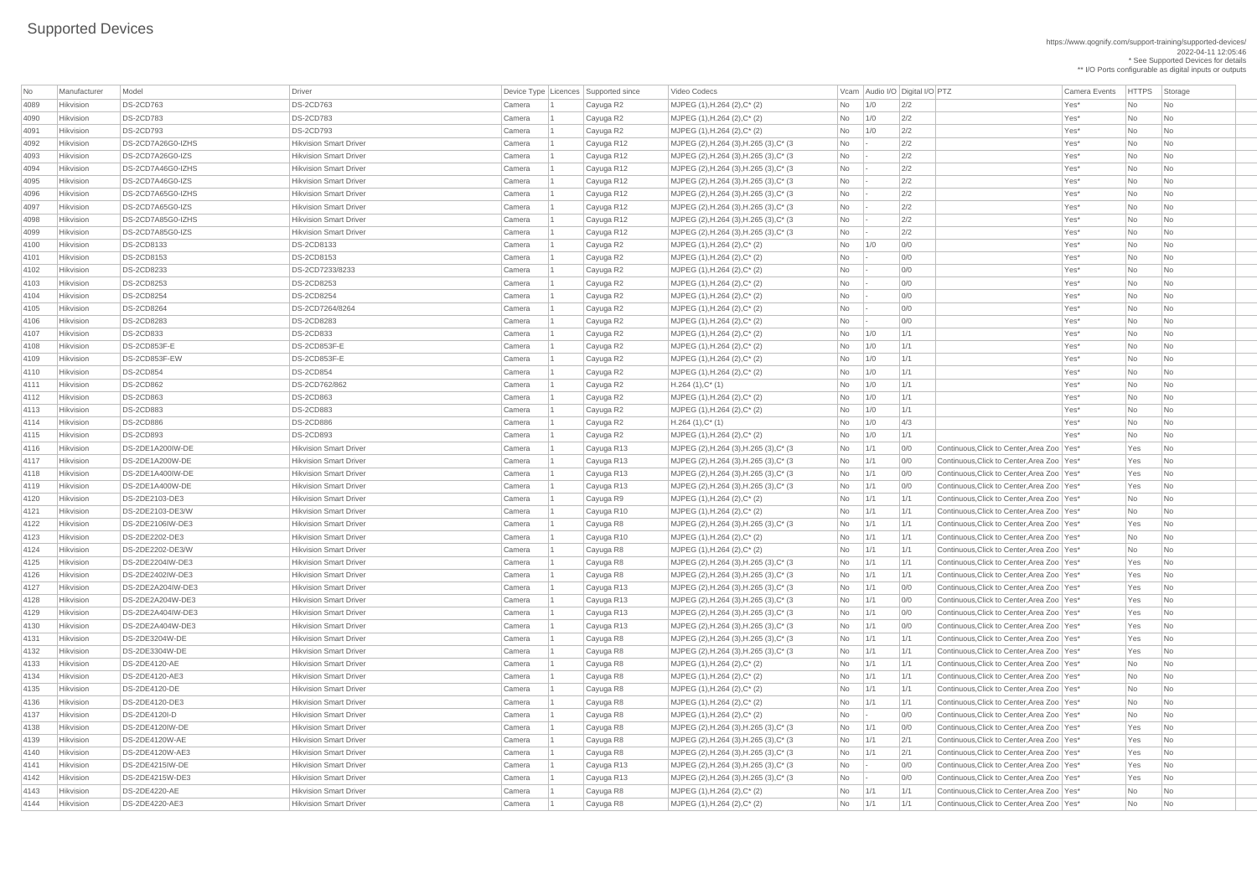2022-04-11 12:05:46 \* See Supported Devices for details \*\* I/O Ports configurable as digital inputs or outputs | MJPEG (2),H.264 (3),H.265 (3),C\* (3  $\qquad$  No  $\qquad$  - 2/2  $\qquad$  2/2 Yes\* No No No | MJPEG (2),H.264 (3),H.265 (3),C\* (3  $\qquad$  No  $\qquad$  - 2/2  $\qquad$  2/2 Yes\* No No No | MJPEG (2),H.264 (3),H.265 (3),C\* (3 No  $\qquad$  - 2/2 No 2/2 Yes\* No No No | MJPEG (2),H.264 (3),H.265 (3),C\* (3 No  $\qquad$  - 2/2 No 2/2 Yes\* No No No | MJPEG (2),H.264 (3),H.265 (3),C\* (3 No  $\qquad$  - 2/2 No Yes\* No No No | MJPEG (2),H.264 (3),H.265 (3),C\* (3 No  $\qquad$  - 2/2 No Yes\* No No No |MJPEG (2),H.264 (3),H.265 (3),C\* (3 No  $\qquad$  - 2/2 No Yes\* No No No | MJPEG (2),H.264 (3),H.265 (3),C\* (3 No  $\qquad$  - 2/2 No 2/2 Yes\* No No No  $\vert$  MJPEG (2),H.264 (3),H.265 (3),C\* (3  $\vert$   $\vert$  No  $\vert$  1/1  $\vert$  0/0  $\vert$  Continuous,Click to Center,Area Zoo Yes\* Yes No  $\vert$  MJPEG (2),H.264 (3),H.265 (3),C\* (3  $\vert$   $\vert$  No  $\vert$  1/1  $\vert$  0/0  $\vert$  Continuous,Click to Center,Area Zoo Yes\* Yes No

https://www.qognify.com/support-training/supported-devices/

| No   | Manufacturer     | Model                 | Driver                        |        | Device Type   Licences   Supported since | Video Codecs                            |           |              | Vcam Audio I/O Digital I/O PTZ |                                              | <b>Camera Events</b> | <b>HTTPS</b> | Storage                     |
|------|------------------|-----------------------|-------------------------------|--------|------------------------------------------|-----------------------------------------|-----------|--------------|--------------------------------|----------------------------------------------|----------------------|--------------|-----------------------------|
| 4089 | Hikvision        | <b>DS-2CD763</b>      | <b>DS-2CD763</b>              | Camera | Cayuga R2                                | MJPEG (1), H.264 (2), C* (2)            | <b>No</b> | 1/0          | 2/2                            |                                              | Yes*                 | <b>No</b>    | No                          |
| 4090 | Hikvision        | <b>DS-2CD783</b>      | <b>DS-2CD783</b>              | Camera | Cayuga R2                                | MJPEG (1), H.264 (2), C* (2)            | <b>No</b> | 1/0          | 2/2                            |                                              | Yes*                 | <b>No</b>    | No                          |
| 4091 | Hikvision        | <b>DS-2CD793</b>      | <b>DS-2CD793</b>              | Camera | Cayuga R2                                | MJPEG (1), H.264 (2), C* (2)            | <b>No</b> | 1/0          | 2/2                            |                                              | Yes*                 | <b>No</b>    | No                          |
| 4092 | Hikvision        | DS-2CD7A26G0-IZHS     | <b>Hikvision Smart Driver</b> | Camera | Cayuga R12                               | MJPEG (2), H.264 (3), H.265 (3), C* (3) | No        |              | 2/2                            |                                              | Yes*                 | <b>No</b>    | No                          |
| 4093 | Hikvision        | DS-2CD7A26G0-IZS      | <b>Hikvision Smart Driver</b> | Camera | Cayuga R12                               | MJPEG (2), H.264 (3), H.265 (3), C* (3) | No        |              | 2/2                            |                                              | Yes*                 | <b>No</b>    | No                          |
| 4094 | Hikvision        | DS-2CD7A46G0-IZHS     | <b>Hikvision Smart Driver</b> | Camera | Cayuga R12                               | MJPEG (2), H.264 (3), H.265 (3), C* (3) | No        |              | 2/2                            |                                              | Yes*                 | <b>No</b>    | No                          |
| 4095 | Hikvision        | DS-2CD7A46G0-IZS      | <b>Hikvision Smart Driver</b> | Camera | Cayuga R12                               | MJPEG (2), H.264 (3), H.265 (3), C* (3) | No        |              | 2/2                            |                                              | Yes*                 | <b>No</b>    | No                          |
| 4096 | Hikvision        | DS-2CD7A65G0-IZHS     | <b>Hikvision Smart Driver</b> | Camera | Cayuga R12                               | MJPEG (2), H.264 (3), H.265 (3), C* (3) | No        |              | 2/2                            |                                              | Yes*                 | <b>No</b>    | No                          |
| 4097 | Hikvision        | DS-2CD7A65G0-IZS      | <b>Hikvision Smart Driver</b> | Camera | Cayuga R12                               | MJPEG (2), H.264 (3), H.265 (3), C* (3) | No        |              | 2/2                            |                                              | Yes*                 | <b>No</b>    | N <sub>o</sub>              |
| 4098 | Hikvision        | DS-2CD7A85G0-IZHS     | <b>Hikvision Smart Driver</b> | Camera | Cayuga R12                               | MJPEG (2), H.264 (3), H.265 (3), C* (3) | No        |              | 2/2                            |                                              | Yes*                 | <b>No</b>    | No                          |
| 4099 | Hikvision        | DS-2CD7A85G0-IZS      | <b>Hikvision Smart Driver</b> | Camera | Cayuga R12                               | MJPEG (2), H.264 (3), H.265 (3), C* (3) | <b>No</b> |              | 2/2                            |                                              | Yes*                 | <b>No</b>    | No                          |
| 4100 | Hikvision        | DS-2CD8133            | <b>DS-2CD8133</b>             | Camera | Cayuga R2                                | MJPEG (1), H.264 (2), C* (2)            | No        | 1/0          | 0/0                            |                                              | Yes*                 | <b>No</b>    | No                          |
| 4101 | Hikvision        | <b>DS-2CD8153</b>     | <b>DS-2CD8153</b>             | Camera | Cayuga R2                                | MJPEG (1), H.264 (2), C* (2)            | No        |              | 0/0                            |                                              | Yes*                 | <b>No</b>    | No                          |
| 4102 | Hikvision        | <b>DS-2CD8233</b>     | DS-2CD7233/8233               | Camera | Cayuga R2                                | MJPEG (1), H.264 (2), C* (2)            | <b>No</b> |              | 0/0                            |                                              | Yes*                 | <b>No</b>    | No                          |
| 4103 | Hikvision        | <b>DS-2CD8253</b>     | <b>DS-2CD8253</b>             | Camera | Cayuga R2                                | MJPEG (1), H.264 (2), C* (2)            | No        |              | 0/0                            |                                              | Yes*                 | No           | No                          |
| 4104 | Hikvision        | <b>DS-2CD8254</b>     | <b>DS-2CD8254</b>             | Camera | Cayuga R2                                | MJPEG (1), H.264 (2), C* (2)            | No        |              | 0/0                            |                                              | Yes*                 | <b>No</b>    | No                          |
| 4105 | Hikvision        | <b>DS-2CD8264</b>     | DS-2CD7264/8264               | Camera | Cayuga R2                                | MJPEG (1), H.264 (2), C* (2)            | <b>No</b> |              | 0/0                            |                                              | Yes*                 | <b>No</b>    | No                          |
| 4106 | Hikvision        | <b>DS-2CD8283</b>     | <b>DS-2CD8283</b>             | Camera | Cayuga R2                                | MJPEG (1), H.264 (2), C* (2)            | No        |              | 0/0                            |                                              | Yes*                 | <b>No</b>    | N <sub>o</sub>              |
| 4107 | Hikvision        | <b>DS-2CD833</b>      | <b>DS-2CD833</b>              | Camera | Cayuga R2                                | MJPEG (1), H.264 (2), C* (2)            | No        | 1/0          | 1/1                            |                                              | Yes*                 | <b>No</b>    | N <sub>o</sub>              |
| 4108 | Hikvision        | DS-2CD853F-E          | DS-2CD853F-E                  | Camera | Cayuga R2                                | MJPEG (1), H.264 (2), C* (2)            | <b>No</b> | 1/0          | 1/1                            |                                              | Yes*                 | <b>No</b>    | No                          |
| 4109 | Hikvision        | DS-2CD853F-EW         | DS-2CD853F-E                  | Camera | Cayuga R2                                | MJPEG (1), H.264 (2), C* (2)            | <b>No</b> | 1/0          | 1/1                            |                                              | Yes*                 | <b>No</b>    | N <sub>o</sub>              |
| 4110 | Hikvision        | <b>DS-2CD854</b>      | <b>DS-2CD854</b>              | Camera | Cayuga R2                                | MJPEG (1), H.264 (2), C* (2)            | No        | 1/0          | 1/1                            |                                              | Yes*                 | <b>No</b>    | No                          |
| 4111 | Hikvision        | <b>DS-2CD862</b>      | DS-2CD762/862                 | Camera | Cayuga R2                                | $H.264(1),C^*(1)$                       | No.       | 1/0          | 1/1                            |                                              | Yes*                 | <b>No</b>    | No                          |
| 4112 | Hikvision        | <b>DS-2CD863</b>      | <b>DS-2CD863</b>              | Camera | Cayuga R2                                | MJPEG (1), H.264 (2), C* (2)            | No        | 1/0          | 1/1                            |                                              | Yes*                 | <b>No</b>    | No                          |
| 4113 | Hikvision        | <b>DS-2CD883</b>      | <b>DS-2CD883</b>              | Camera | Cayuga R2                                | MJPEG (1), H.264 (2), C* (2)            | No.       | 1/0          | 1/1                            |                                              | Yes*                 | <b>No</b>    | N <sub>o</sub>              |
| 4114 | Hikvision        | <b>DS-2CD886</b>      | <b>DS-2CD886</b>              | Camera | Cayuga R2                                | $H.264(1),C^*(1)$                       | No.       | 1/0          | 4/3                            |                                              | Yes*                 | No.          | No                          |
| 4115 | Hikvision        | <b>DS-2CD893</b>      | <b>DS-2CD893</b>              | Camera | Cayuga R2                                | MJPEG (1), H.264 (2), C* (2)            | No        | 1/0          | 1/1                            |                                              | Yes*                 | <b>No</b>    | l No                        |
| 4116 | Hikvision        | DS-2DE1A200IW-DE      | <b>Hikvision Smart Driver</b> | Camera | Cayuga R13                               | MJPEG (2), H.264 (3), H.265 (3), C* (3) | No        | 1/1          | 0/0                            | Continuous, Click to Center, Area Zoo   Yes* |                      | Yes          | No                          |
| 4117 | Hikvision        | DS-2DE1A200W-DE       | <b>Hikvision Smart Driver</b> | Camera | Cayuga R13                               | MJPEG (2),H.264 (3),H.265 (3),C* (3)    | No        | 1/1          | 0/0                            | Continuous, Click to Center, Area Zoo   Yes* |                      | Yes          | No                          |
| 4118 | Hikvision        | DS-2DE1A400IW-DE      | <b>Hikvision Smart Driver</b> | Camera | Cayuga R13                               | MJPEG (2), H.264 (3), H.265 (3), C* (3) | <b>No</b> | 1/1          | 0/0                            | Continuous, Click to Center, Area Zoo   Yes* |                      | Yes          | No                          |
| 4119 | Hikvision        | DS-2DE1A400W-DE       | <b>Hikvision Smart Driver</b> | Camera | Cayuga R13                               | MJPEG (2), H.264 (3), H.265 (3), C* (3) | No        | 1/1          | 0/0                            | Continuous, Click to Center, Area Zoo   Yes* |                      | Yes          | No                          |
| 4120 | Hikvision        | DS-2DE2103-DE3        | <b>Hikvision Smart Driver</b> | Camera | Cayuga R9                                | MJPEG (1), H.264 (2), C* (2)            | No        | 1/1          | 1/1                            | Continuous, Click to Center, Area Zoo   Yes* |                      | <b>No</b>    | No                          |
| 4121 | Hikvision        | DS-2DE2103-DE3/W      | <b>Hikvision Smart Driver</b> | Camera | Cayuga R10                               | MJPEG (1), H.264 (2), C* (2)            | No        | 1/1          | 1/1                            | Continuous, Click to Center, Area Zoo   Yes* |                      | No           | No                          |
| 4122 | Hikvision        | DS-2DE2106IW-DE3      | <b>Hikvision Smart Driver</b> | Camera | Cayuga R8                                | MJPEG (2),H.264 (3),H.265 (3),C* (3)    | No        | 1/1          | 1/1                            | Continuous, Click to Center, Area Zoo   Yes* |                      | Yes          | $\overline{\mathsf{No}}$    |
| 4123 | Hikvision        | DS-2DE2202-DE3        | <b>Hikvision Smart Driver</b> | Camera | Cayuga R10                               | MJPEG (1), H.264 (2), C* (2)            | No.       | 1/1          | 1/1                            | Continuous, Click to Center, Area Zoo   Yes* |                      | <b>No</b>    | No                          |
| 4124 | Hikvision        | DS-2DE2202-DE3/W      | <b>Hikvision Smart Driver</b> | Camera | Cayuga R8                                | MJPEG (1), H.264 (2), C* (2)            | No        | 1/1          | 1/1                            | Continuous, Click to Center, Area Zoo   Yes* |                      | <b>No</b>    | No                          |
| 4125 | Hikvision        | DS-2DE2204IW-DE3      | <b>Hikvision Smart Driver</b> | Camera | Cayuga R8                                | MJPEG (2), H.264 (3), H.265 (3), C* (3) | No.       | 1/1          | 1/1                            | Continuous, Click to Center, Area Zoo   Yes* |                      | Yes          | No                          |
| 4126 | Hikvision        | DS-2DE2402IW-DE3      | <b>Hikvision Smart Driver</b> | Camera | Cayuga R8                                | MJPEG (2), H.264 (3), H.265 (3), C* (3) | No        | 1/1          | 1/1                            | Continuous, Click to Center, Area Zoo   Yes* |                      | Yes          | $\overline{\mathsf{No}}$    |
| 4127 | Hikvision        | DS-2DE2A204IW-DE3     | <b>Hikvision Smart Driver</b> | Camera | Cayuga R13                               | MJPEG (2), H.264 (3), H.265 (3), C* (3) | No        | 1/1          | 0/0                            | Continuous, Click to Center, Area Zoo   Yes* |                      | Yes          | No                          |
| 4128 | Hikvision        | DS-2DE2A204W-DE3      | <b>Hikvision Smart Driver</b> | Camera | Cayuga R13                               | MJPEG (2),H.264 (3),H.265 (3),C* (3)    | No        | 1/1          | 0/0                            | Continuous, Click to Center, Area Zoo   Yes* |                      | Yes          | No                          |
| 4129 | Hikvision        | DS-2DE2A404IW-DE3     | <b>Hikvision Smart Driver</b> | Camera | Cayuga R13                               | MJPEG (2),H.264 (3),H.265 (3),C* (3)    | No        | 1/1          | 0/0                            | Continuous, Click to Center, Area Zoo   Yes* |                      | Yes          | No                          |
| 4130 | Hikvision        | DS-2DE2A404W-DE3      | <b>Hikvision Smart Driver</b> | Camera | Cayuga R13                               | MJPEG (2), H.264 (3), H.265 (3), C* (3) | No        | 1/1          | 0/0                            | Continuous, Click to Center, Area Zoo   Yes* |                      | Yes          | No                          |
| 4131 | Hikvision        | DS-2DE3204W-DE        | <b>Hikvision Smart Driver</b> | Camera | Cayuga R8                                | MJPEG (2), H.264 (3), H.265 (3), C* (3) | No        | 1/1          | 1/1                            | Continuous, Click to Center, Area Zoo   Yes* |                      | Yes          | No                          |
| 4132 | Hikvision        | DS-2DE3304W-DE        | <b>Hikvision Smart Driver</b> | Camera | Cayuga R8                                | MJPEG (2),H.264 (3),H.265 (3),C* (3)    | No        | 1/1          | 1/1                            | Continuous, Click to Center, Area Zoo   Yes* |                      | Yes          | No                          |
| 4133 | Hikvision        | <b>DS-2DE4120-AE</b>  | <b>Hikvision Smart Driver</b> | Camera | Cayuga R8                                | MJPEG (1), H.264 (2), C* (2)            | No        | 1/1          | 1/1                            | Continuous, Click to Center, Area Zoo   Yes* |                      | No           | No                          |
| 4134 | Hikvision        | DS-2DE4120-AE3        | <b>Hikvision Smart Driver</b> | Camera | Cayuga R8                                | MJPEG (1), H.264 (2), C* (2)            | No.       | 1/1          | 1/1                            | Continuous, Click to Center, Area Zoo   Yes* |                      | No           | l No                        |
| 4135 | Hikvision        | <b>DS-2DE4120-DE</b>  | <b>Hikvision Smart Driver</b> | Camera | Cayuga R8                                | MJPEG (1), H.264 (2), C* (2)            | No        | 1/1          | 1/1                            | Continuous, Click to Center, Area Zoo   Yes* |                      | <b>No</b>    | No                          |
| 4136 | Hikvision        | <b>DS-2DE4120-DE3</b> | <b>Hikvision Smart Driver</b> | Camera | Cayuga R8                                | MJPEG (1), H.264 (2), C* (2)            | No        | 1/1          | 1/1                            | Continuous, Click to Center, Area Zoo   Yes* |                      | <b>No</b>    | No                          |
| 4137 | Hikvision        | DS-2DE4120I-D         | <b>Hikvision Smart Driver</b> | Camera | Cayuga R8                                | MJPEG (1), H.264 (2), C* (2)            | No        |              | 0/0                            | Continuous, Click to Center, Area Zoo   Yes* |                      | No           | No                          |
| 4138 | Hikvision        | DS-2DE4120IW-DE       | <b>Hikvision Smart Driver</b> | Camera | Cayuga R8                                | MJPEG (2), H.264 (3), H.265 (3), C* (3) | No        | 1/1          | 0/0                            | Continuous, Click to Center, Area Zoo   Yes* |                      | Yes          | $\overline{\mathsf{No}}$    |
| 4139 | Hikvision        | <b>DS-2DE4120W-AE</b> | <b>Hikvision Smart Driver</b> | Camera | Cayuga R8                                | MJPEG (2), H.264 (3), H.265 (3), C* (3) | No        | 1/1          | 2/1                            | Continuous, Click to Center, Area Zoo   Yes* |                      | Yes          | No                          |
| 4140 | <b>Hikvision</b> | DS-2DE4120W-AE3       | <b>Hikvision Smart Driver</b> | Camera | Cayuga R8                                | MJPEG (2), H.264 (3), H.265 (3), C* (3) | No.       | 1/1          | 2/1                            | Continuous, Click to Center, Area Zoo   Yes* |                      | Yes          | No                          |
| 4141 | Hikvision        | DS-2DE4215IW-DE       | <b>Hikvision Smart Driver</b> | Camera | Cayuga R13                               | MJPEG (2), H.264 (3), H.265 (3), C* (3) | No        | $\mathbf{r}$ | 0/0                            | Continuous, Click to Center, Area Zoo   Yes* |                      | Yes          | $\overline{\phantom{a}}$ No |
| 4142 | Hikvision        | DS-2DE4215W-DE3       | <b>Hikvision Smart Driver</b> | Camera | Cayuga R13                               | MJPEG (2),H.264 (3),H.265 (3),C* (3)    | No        | $\mathbf{r}$ | 0/0                            | Continuous, Click to Center, Area Zoo   Yes* |                      | Yes          | $\overline{\mathsf{No}}$    |
| 4143 | Hikvision        | DS-2DE4220-AE         | <b>Hikvision Smart Driver</b> | Camera | Cayuga R8                                | MJPEG (1), H.264 (2), C* (2)            | No        | 1/1          | 1/1                            | Continuous, Click to Center, Area Zoo   Yes* |                      | No           | No                          |
| 4144 | Hikvision        | DS-2DE4220-AE3        | <b>Hikvision Smart Driver</b> | Camera | Cayuga R8                                | MJPEG (1), H.264 (2), C* (2)            | No        | 1/1          | 1/1                            | Continuous, Click to Center, Area Zoo   Yes* |                      | No           | $\overline{\phantom{a}}$ No |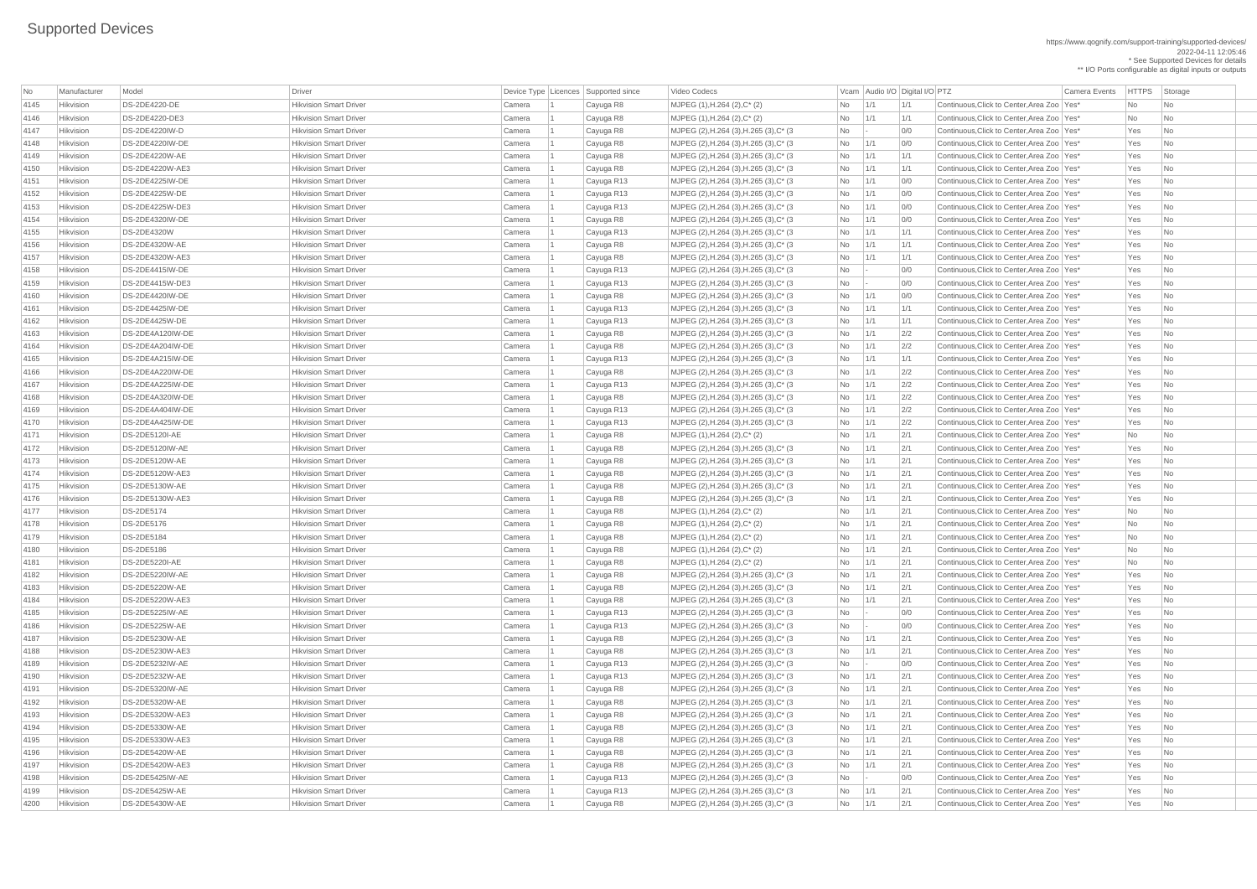#### https://www.qognify.com/support-training/supported-devices/ 2022-04-11 12:05:46

\* See Supported Devices for details \*\* I/O Ports configurable as digital inputs or outputs

| No   | Manufacturer     | Model                  | Driver                        |        | Device Type   Licences   Supported since | <b>Video Codecs</b>                        |                                                                      | Vcam Audio I/O Digital I/O PTZ |               | <b>Camera Events</b>                         | <b>HTTPS</b> | Storage                     |
|------|------------------|------------------------|-------------------------------|--------|------------------------------------------|--------------------------------------------|----------------------------------------------------------------------|--------------------------------|---------------|----------------------------------------------|--------------|-----------------------------|
| 4145 | Hikvision        | <b>DS-2DE4220-DE</b>   | <b>Hikvision Smart Driver</b> | Camera | Cayuga R8                                | $MJPEG (1), H.264 (2), C^* (2)$            | No                                                                   | 1/1                            | 1/1           | Continuous, Click to Center, Area Zoo   Yes* | No           | $\overline{\phantom{a}}$ No |
| 4146 | Hikvision        | DS-2DE4220-DE3         | <b>Hikvision Smart Driver</b> | Camera | Cayuga R8                                | $MJPEG (1), H.264 (2), C^* (2)$            | No                                                                   | 1/1                            | 1/1           | Continuous, Click to Center, Area Zoo   Yes* | <b>No</b>    | N <sub>o</sub>              |
| 4147 | Hikvision        | DS-2DE4220IW-D         | <b>Hikvision Smart Driver</b> | Camera | Cayuga R8                                | MJPEG (2), H.264 (3), H.265 (3), C* (3)    | No                                                                   |                                | 0/0           | Continuous, Click to Center, Area Zoo   Yes* | Yes          | $\overline{\mathsf{No}}$    |
| 4148 | Hikvision        | DS-2DE4220IW-DE        | <b>Hikvision Smart Driver</b> | Camera | Cayuga R8                                | MJPEG (2), H.264 (3), H.265 (3), C* (3)    | No                                                                   | 1/1                            | 0/0           | Continuous, Click to Center, Area Zoo   Yes* | Yes          | N <sub>o</sub>              |
| 4149 | Hikvision        | <b>DS-2DE4220W-AE</b>  | <b>Hikvision Smart Driver</b> | Camera | Cayuga R8                                | MJPEG (2), H.264 (3), H.265 (3), C* (3)    | No                                                                   | $\vert$ 1/1                    | 1/1           | Continuous, Click to Center, Area Zoo   Yes* | Yes          | No                          |
| 4150 | Hikvision        | <b>DS-2DE4220W-AE3</b> | <b>Hikvision Smart Driver</b> | Camera | Cayuga R8                                | MJPEG (2), H.264 (3), H.265 (3), C* (3)    | No                                                                   | 1/1                            | 1/1           | Continuous, Click to Center, Area Zoo   Yes* | Yes          | No                          |
| 4151 | Hikvision        | DS-2DE4225IW-DE        | <b>Hikvision Smart Driver</b> | Camera | Cayuga R13                               | MJPEG (2), H.264 (3), H.265 (3), C* (3)    | No                                                                   | 1/1                            | 0/0           | Continuous, Click to Center, Area Zoo   Yes* | Yes          | N <sub>o</sub>              |
| 4152 | Hikvision        | DS-2DE4225W-DE         | <b>Hikvision Smart Driver</b> | Camera | Cayuga R13                               | MJPEG (2), H.264 (3), H.265 (3), C* (3)    | No                                                                   | 1/1                            | 0/0           | Continuous, Click to Center, Area Zoo   Yes* | Yes          | No                          |
| 4153 | Hikvision        | DS-2DE4225W-DE3        | <b>Hikvision Smart Driver</b> | Camera | Cayuga R13                               | MJPEG (2), H.264 (3), H.265 (3), C* (3)    | No                                                                   | $\vert$ 1/1                    | 0/0           | Continuous, Click to Center, Area Zoo   Yes* | Yes          | No                          |
| 4154 | Hikvision        | DS-2DE4320IW-DE        | <b>Hikvision Smart Driver</b> | Camera | Cayuga R8                                | MJPEG (2), H.264 (3), H.265 (3), C* (3)    | No                                                                   | 1/1                            | 0/0           | Continuous, Click to Center, Area Zoo   Yes* | Yes          | N <sub>o</sub>              |
| 4155 | Hikvision        | <b>DS-2DE4320W</b>     | <b>Hikvision Smart Driver</b> | Camera | Cayuga R13                               | MJPEG (2), H.264 (3), H.265 (3), C* (3)    | No                                                                   | $\vert$ 1/1                    | 1/1           | Continuous, Click to Center, Area Zoo Yes*   | Yes          | No                          |
| 4156 | Hikvision        | <b>DS-2DE4320W-AE</b>  | <b>Hikvision Smart Driver</b> | Camera | Cayuga R8                                | MJPEG (2), H.264 (3), H.265 (3), C* (3)    | No                                                                   | $\vert$ 1/1                    | 1/1           | Continuous, Click to Center, Area Zoo   Yes* | Yes          | No                          |
| 4157 | Hikvision        | DS-2DE4320W-AE3        | <b>Hikvision Smart Driver</b> | Camera | Cayuga R8                                | MJPEG (2), H.264 (3), H.265 (3), C* (3)    | No                                                                   | 1/1                            | 1/1           | Continuous, Click to Center, Area Zoo   Yes* | Yes          | N <sub>o</sub>              |
| 4158 | Hikvision        | DS-2DE4415IW-DE        | <b>Hikvision Smart Driver</b> | Camera | Cayuga R13                               | MJPEG (2), H.264 (3), H.265 (3), C* (3)    | <b>No</b>                                                            |                                | 0/0           | Continuous, Click to Center, Area Zoo   Yes* | Yes          | N <sub>o</sub>              |
| 4159 | Hikvision        | DS-2DE4415W-DE3        | <b>Hikvision Smart Driver</b> | Camera | Cayuga R13                               | MJPEG (2), H.264 (3), H.265 (3), C* (3)    | No                                                                   |                                | 0/0           | Continuous, Click to Center, Area Zoo   Yes* | Yes          | $\overline{\phantom{a}}$ No |
| 4160 | Hikvision        | DS-2DE4420IW-DE        | <b>Hikvision Smart Driver</b> | Camera | Cayuga R8                                | MJPEG (2), H.264 (3), H.265 (3), C* (3)    | No                                                                   | 1/1                            | 0/0           | Continuous, Click to Center, Area Zoo   Yes* | Yes          | N <sub>o</sub>              |
| 4161 | Hikvision        | <b>DS-2DE4425IW-DE</b> | <b>Hikvision Smart Driver</b> | Camera | Cayuga R13                               | MJPEG (2), H.264 (3), H.265 (3), C* (3)    | No                                                                   | 1/1                            | 1/1           | Continuous, Click to Center, Area Zoo Yes*   | Yes          | No                          |
| 4162 | Hikvision        | <b>DS-2DE4425W-DE</b>  | <b>Hikvision Smart Driver</b> | Camera | Cayuga R13                               | MJPEG (2), H.264 (3), H.265 (3), C* (3)    | No                                                                   | 1/1                            | 1/1           | Continuous, Click to Center, Area Zoo   Yes* | Yes          | No                          |
| 4163 | Hikvision        | DS-2DE4A120IW-DE       | <b>Hikvision Smart Driver</b> | Camera | Cayuga R8                                | MJPEG (2), H.264 (3), H.265 (3), C* (3)    | No                                                                   | 1/1                            | 2/2           | Continuous, Click to Center, Area Zoo   Yes* | Yes          | N <sub>o</sub>              |
| 4164 | Hikvision        | DS-2DE4A204IW-DE       | <b>Hikvision Smart Driver</b> | Camera | Cayuga R8                                | MJPEG (2), H.264 (3), H.265 (3), C* (3)    | No                                                                   | 1/1                            | 2/2           | Continuous, Click to Center, Area Zoo   Yes* | Yes          | N <sub>o</sub>              |
| 4165 | Hikvision        | DS-2DE4A215IW-DE       | <b>Hikvision Smart Driver</b> | Camera | Cayuga R13                               | MJPEG (2), H.264 (3), H.265 (3), C* (3)    | No                                                                   | 1/1                            | 1/1           | Continuous, Click to Center, Area Zoo   Yes* | Yes          | No                          |
| 4166 | Hikvision        | DS-2DE4A220IW-DE       | <b>Hikvision Smart Driver</b> | Camera | Cayuga R8                                | MJPEG (2), H.264 (3), H.265 (3), C* (3)    | No                                                                   | $\vert$ 1/1                    | 2/2           | Continuous, Click to Center, Area Zoo   Yes* | Yes          | N <sub>o</sub>              |
| 4167 | Hikvision        | DS-2DE4A225IW-DE       | <b>Hikvision Smart Driver</b> | Camera | Cayuga R13                               | MJPEG (2), H.264 (3), H.265 (3), C* (3)    | No                                                                   | 1/1                            | 2/2           | Continuous, Click to Center, Area Zoo   Yes* | Yes          | No                          |
| 4168 | Hikvision        | DS-2DE4A320IW-DE       | <b>Hikvision Smart Driver</b> | Camera | Cayuga R8                                | MJPEG (2), H.264 (3), H.265 (3), C* (3)    | No                                                                   | $\vert$ 1/1                    | 2/2           | Continuous, Click to Center, Area Zoo   Yes* | Yes          | $\overline{\mathsf{No}}$    |
| 4169 | Hikvision        | DS-2DE4A404IW-DE       | <b>Hikvision Smart Driver</b> | Camera | Cayuga R13                               | MJPEG (2), H.264 (3), H.265 (3), C* (3)    | No                                                                   | 1/1                            | 2/2           | Continuous, Click to Center, Area Zoo   Yes* | Yes          | $\overline{\mathsf{No}}$    |
| 4170 | Hikvision        | DS-2DE4A425IW-DE       | <b>Hikvision Smart Driver</b> | Camera | Cayuga R13                               | MJPEG (2), H.264 (3), H.265 (3), C* (3)    | No                                                                   | 1/1                            | 2/2           | Continuous, Click to Center, Area Zoo   Yes* | Yes          | $\overline{\phantom{a}}$ No |
| 4171 | Hikvision        | DS-2DE5120I-AE         | <b>Hikvision Smart Driver</b> | Camera | Cayuga R8                                | MJPEG (1), H.264 (2), C* (2)               | No                                                                   | 1/1                            | 2/1           | Continuous, Click to Center, Area Zoo   Yes* | <b>No</b>    | No                          |
| 4172 | Hikvision        | DS-2DE5120IW-AE        | <b>Hikvision Smart Driver</b> | Camera | Cayuga R8                                | MJPEG (2), H.264 (3), H.265 (3), C* (3)    | No                                                                   | 1/1                            | 2/1           | Continuous, Click to Center, Area Zoo   Yes* | Yes          | $\overline{\mathsf{No}}$    |
| 4173 | Hikvision        | <b>DS-2DE5120W-AE</b>  | <b>Hikvision Smart Driver</b> | Camera | Cayuga R8                                | MJPEG (2), H.264 (3), H.265 (3), C* (3)    | No                                                                   | 1/1                            | 2/1           | Continuous, Click to Center, Area Zoo   Yes* | Yes          | N <sub>o</sub>              |
| 4174 | Hikvision        | DS-2DE5120W-AE3        | <b>Hikvision Smart Driver</b> | Camera | Cayuga R8                                | MJPEG (2), H.264 (3), H.265 (3), C* (3)    | No                                                                   | 1/1                            | 2/1           | Continuous, Click to Center, Area Zoo   Yes* | Yes          | $\overline{\mathsf{No}}$    |
| 4175 | Hikvision        | DS-2DE5130W-AE         | <b>Hikvision Smart Driver</b> | Camera | Cayuga R8                                | MJPEG (2), H.264 (3), H.265 (3), C* (3)    | No                                                                   | 1/1                            | 2/1           | Continuous, Click to Center, Area Zoo   Yes* | Yes          | $\overline{\mathsf{No}}$    |
| 4176 | Hikvision        | DS-2DE5130W-AE3        | <b>Hikvision Smart Driver</b> | Camera | Cayuga R8                                | MJPEG (2), H.264 (3), H.265 (3), C* (3)    | No                                                                   | 1/1                            | 2/1           | Continuous, Click to Center, Area Zoo   Yes* | Yes          | N <sub>o</sub>              |
| 4177 | Hikvision        | <b>DS-2DE5174</b>      | <b>Hikvision Smart Driver</b> | Camera | Cayuga R8                                | MJPEG (1), H.264 (2), C* (2)               | No                                                                   | 1/1                            | 2/1           | Continuous, Click to Center, Area Zoo   Yes* | No           | $\overline{\phantom{a}}$ No |
| 4178 | Hikvision        | <b>DS-2DE5176</b>      | <b>Hikvision Smart Driver</b> | Camera | Cayuga R8                                | MJPEG (1), H.264 (2), C* (2)               | No                                                                   | 1/1                            | 2/1           | Continuous, Click to Center, Area Zoo   Yes* | No           | No                          |
| 4179 | Hikvision        | <b>DS-2DE5184</b>      | <b>Hikvision Smart Driver</b> | Camera | Cayuga R8                                | MJPEG (1), H.264 (2), C* (2)               | No                                                                   | $\vert$ 1/1                    | 2/1           | Continuous, Click to Center, Area Zoo   Yes* | No           | No                          |
| 4180 | Hikvision        | <b>DS-2DE5186</b>      | <b>Hikvision Smart Driver</b> | Camera | Cayuga R8                                | $MJPEG (1), H.264 (2), C^*(2)$             | No                                                                   | 1/1                            | 2/1           | Continuous, Click to Center, Area Zoo   Yes* | No           | No                          |
| 4181 | Hikvision        | <b>DS-2DE5220I-AE</b>  | <b>Hikvision Smart Driver</b> | Camera | Cayuga R8                                | $MJPEG (1), H.264 (2), C^*(2)$             | No                                                                   | $\vert$ 1/1                    | 2/1           | Continuous, Click to Center, Area Zoo   Yes* | No           | N <sub>o</sub>              |
| 4182 | Hikvision        | DS-2DE5220IW-AE        | <b>Hikvision Smart Driver</b> | Camera | Cayuga R8                                | $MJPEG (2), H.264 (3), H.265 (3), C^* (3)$ | No                                                                   | 1/1                            | 2/1           | Continuous, Click to Center, Area Zoo   Yes* | Yes          | N <sub>o</sub>              |
| 4183 | Hikvision        | DS-2DE5220W-AE         | <b>Hikvision Smart Driver</b> | Camera | Cayuga R8                                | MJPEG (2), H.264 (3), H.265 (3), C* (3)    | No                                                                   | 1/1                            | 2/1           | Continuous, Click to Center, Area Zoo   Yes* | Yes          | No                          |
| 4184 | Hikvision        | DS-2DE5220W-AE3        | <b>Hikvision Smart Driver</b> | Camera | Cayuga R8                                | MJPEG (2), H.264 (3), H.265 (3), C* (3)    | No                                                                   | 1/1                            | 2/1           | Continuous, Click to Center, Area Zoo Yes*   | Yes          | N <sub>o</sub>              |
| 4185 | <b>Hikvision</b> | DS-2DE5225IW-AE        | <b>Hikvision Smart Driver</b> | Camera | Cayuga R13                               | MJPEG (2), H.264 (3), H.265 (3), C* (3)    | No                                                                   |                                | 0/0           | Continuous, Click to Center, Area Zoo   Yes* | Yes          | N <sub>o</sub>              |
| 4186 | Hikvision        | DS-2DE5225W-AE         | <b>Hikvision Smart Driver</b> | Camera | Cayuga R13                               | MJPEG (2), H.264 (3), H.265 (3), C* (3)    | <b>No</b>                                                            | $\sim$ $\sim$                  | 0/0           | Continuous, Click to Center, Area Zoo   Yes* | Yes          | N <sub>o</sub>              |
| 4187 | Hikvision        | DS-2DE5230W-AE         | <b>Hikvision Smart Driver</b> | Camera | Cayuga R8                                | MJPEG (2), H.264 (3), H.265 (3), C* (3)    | No                                                                   | $\vert$ 1/1                    | 2/1           | Continuous, Click to Center, Area Zoo   Yes* | Yes          | N <sub>o</sub>              |
| 4188 | <b>Hikvision</b> | DS-2DE5230W-AE3        | <b>Hikvision Smart Driver</b> | Camera | Cayuga R8                                | MJPEG (2), H.264 (3), H.265 (3), C* (3)    | No                                                                   | $\vert$ 1/1                    | $\frac{2}{1}$ | Continuous, Click to Center, Area Zoo   Yes* | Yes          | N <sub>o</sub>              |
| 4189 | Hikvision        | DS-2DE5232IW-AE        | <b>Hikvision Smart Driver</b> | Camera | Cayuga R13                               | MJPEG (2), H.264 (3), H.265 (3), C* (3)    | <b>No</b>                                                            | $\sim$ $\sim$                  | 0/0           | Continuous, Click to Center, Area Zoo   Yes* | Yes          | No                          |
| 4190 | Hikvision        | DS-2DE5232W-AE         | <b>Hikvision Smart Driver</b> | Camera | Cayuga R13                               | MJPEG (2), H.264 (3), H.265 (3), C* (3)    | No                                                                   | $\vert$ 1/1                    | 2/1           | Continuous, Click to Center, Area Zoo   Yes* | Yes          | N <sub>o</sub>              |
| 4191 | Hikvision        | DS-2DE5320IW-AE        | <b>Hikvision Smart Driver</b> | Camera | Cayuga R8                                | MJPEG (2), H.264 (3), H.265 (3), C* (3)    | No                                                                   | $\vert$ 1/1                    | 2/1           | Continuous, Click to Center, Area Zoo   Yes* | Yes          | N <sub>o</sub>              |
| 4192 | Hikvision        | <b>DS-2DE5320W-AE</b>  | <b>Hikvision Smart Driver</b> | Camera | Cayuga R8                                | MJPEG (2), H.264 (3), H.265 (3), C* (3)    | <b>No</b>                                                            | 1/1                            | 2/1           | Continuous, Click to Center, Area Zoo   Yes* | Yes          | N <sub>o</sub>              |
| 4193 | Hikvision        | DS-2DE5320W-AE3        | <b>Hikvision Smart Driver</b> | Camera | Cayuga R8                                | MJPEG (2), H.264 (3), H.265 (3), C* (3)    | No                                                                   | 1/1                            | 2/1           | Continuous, Click to Center, Area Zoo   Yes* | Yes          | N <sub>o</sub>              |
| 4194 | <b>Hikvision</b> | DS-2DE5330W-AE         | <b>Hikvision Smart Driver</b> | Camera | Cayuga R8                                | MJPEG (2), H.264 (3), H.265 (3), C* (3)    | No                                                                   | 1/1                            | 2/1           | Continuous, Click to Center, Area Zoo   Yes* | Yes          | N <sub>o</sub>              |
| 4195 | Hikvision        | DS-2DE5330W-AE3        | <b>Hikvision Smart Driver</b> | Camera | Cayuga R8                                | MJPEG (2), H.264 (3), H.265 (3), C* (3)    | No                                                                   | 1/1                            | 2/1           | Continuous, Click to Center, Area Zoo   Yes* | Yes          | No                          |
| 4196 | Hikvision        | DS-2DE5420W-AE         | <b>Hikvision Smart Driver</b> | Camera | Cayuga R8                                | MJPEG (2), H.264 (3), H.265 (3), C* (3     | No                                                                   | $\vert$ 1/1                    | 2/1           | Continuous, Click to Center, Area Zoo   Yes* | Yes          | $\overline{\phantom{a}}$ No |
| 4197 | Hikvision        | DS-2DE5420W-AE3        | <b>Hikvision Smart Driver</b> | Camera | Cayuga R8                                | MJPEG (2), H.264 (3), H.265 (3), C* (3)    | $No$   1/1                                                           |                                | 2/1           | Continuous, Click to Center, Area Zoo   Yes* | Yes          | $\overline{\phantom{a}}$ No |
| 4198 | Hikvision        | DS-2DE5425IW-AE        | <b>Hikvision Smart Driver</b> | Camera | Cayuga R13                               | MJPEG (2), H.264 (3), H.265 (3), C* (3)    | $\begin{array}{ c c c c c } \hline \text{No} & \text{-} \end{array}$ |                                | 0/0           | Continuous, Click to Center, Area Zoo   Yes* | Yes          | $\overline{\phantom{a}}$ No |
| 4199 | Hikvision        | DS-2DE5425W-AE         | <b>Hikvision Smart Driver</b> | Camera | Cayuga R13                               | MJPEG (2), H.264 (3), H.265 (3), C* (3)    | $No$   1/1                                                           |                                | 2/1           | Continuous, Click to Center, Area Zoo   Yes* | Yes          | $\overline{\phantom{a}}$ No |
| 4200 | Hikvision        | DS-2DE5430W-AE         | <b>Hikvision Smart Driver</b> | Camera | Cayuga R8                                | MJPEG (2), H.264 (3), H.265 (3), C* (3)    | No 1/1                                                               |                                | 2/1           | Continuous, Click to Center, Area Zoo   Yes* | Yes          | $\overline{\phantom{a}}$ No |
|      |                  |                        |                               |        |                                          |                                            |                                                                      |                                |               |                                              |              |                             |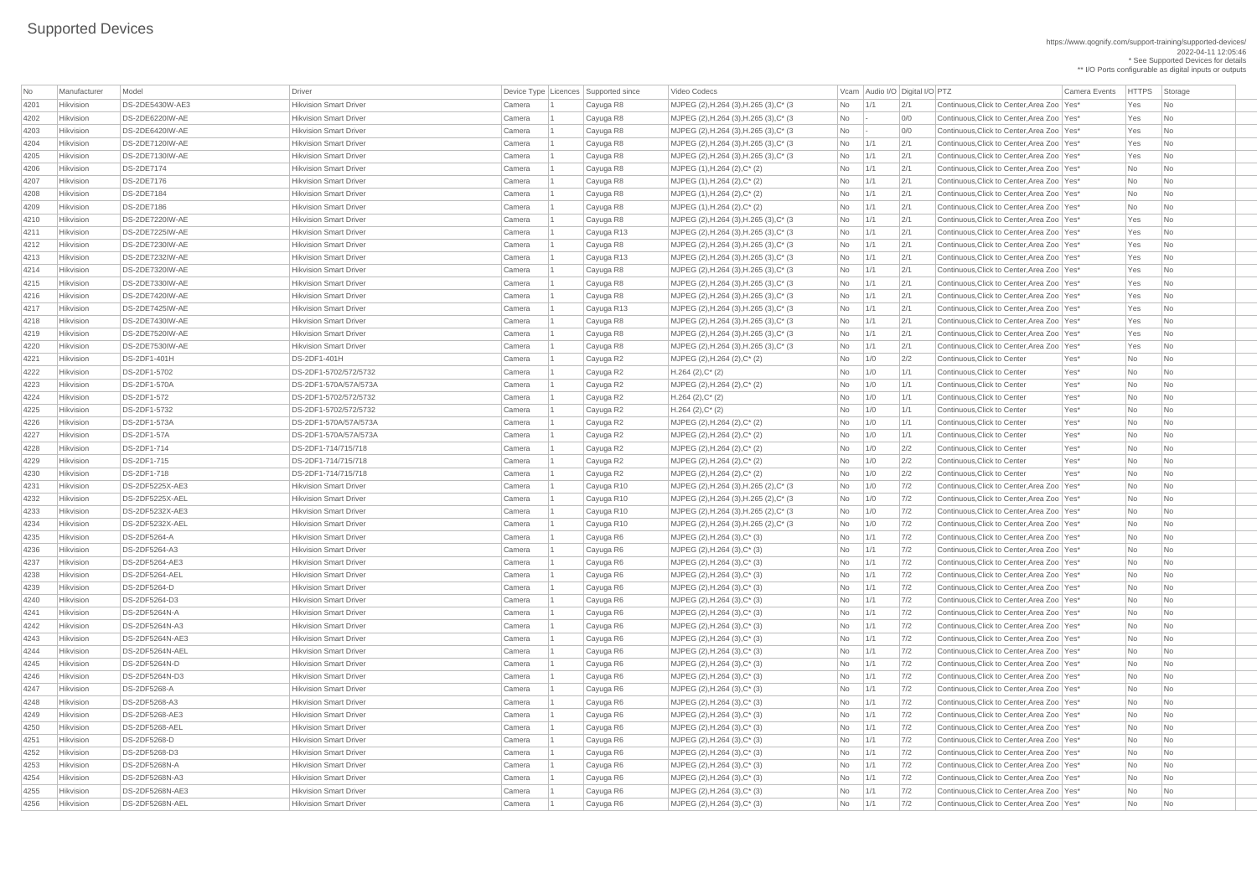https://www.qognify.com/support-training/supported-devices/ 2022-04-11 12:05:46 \* See Supported Devices for details

\*\* I/O Ports configurable as digital inputs or outputs

 $\vert$  MJPEG (2),H.264 (3),H.265 (3),C\* (3  $\vert$   $\vert$   $\vert$  No  $\vert$  -  $\vert$   $\vert$  0/0  $\vert$  Continuous,Click to Center,Area Zoo  $\vert$  Yes  $\vert$  Yes  $\vert$  No  $\vert$ MJPEG (2),H.264 (3),H.265 (3),C\* (3  $\blacksquare$  No  $\blacksquare$  - 0/0 Continuous,Click to Center,Area Zoo Yes\* Yes No MJPEG (2),H.264 (3),H.265 (3),C\* (3  $\vert$   $\rangle$  No  $\vert$  1/1  $\vert$  2/1  $\vert$  Continuous,Click to Center,Area Zoo Yes\*  $\vert$  Yes  $\vert$  No  $\vert$  MJPEG (2),H.264 (3),H.265 (3),C\* (3  $\vert$   $\vert$  No  $\vert$   $\vert$  1/1  $\vert$   $\vert$  2/1  $\vert$  Continuous,Click to Center,Area Zoo  $\vert$  Yes  $\vert$  Yes  $\vert$  No  $\vert$ 4206 Hikvision DS-2DE7174 Hikvision Smart Driver Camera 1 Cayuga R8 MJPEG (1),H.264 (2),C\* (2) No 1/1 2/1 Continuous,Click to Center,Area Zoo Yes\* No No 4208 Hikvision DS-2DE7184 Hikvision Smart Driver Camera 1 Cayuga R8 MJPEG (1),H.264 (2),C\* (2) No 1/1 2/1 Continuous,Click to Center,Area Zoo Yes\* No No 4209 Hikvision DS-2DE7186 Hikvision Smart Driver Camera 1 Cayuga R8 MJPEG (1),H.264 (2),C\* (2) No 1/1 2/1 Continuous,Click to Center,Area Zoo Yes\* No No MJPEG (2),H.264 (3),H.265 (3),C\* (3  $\vert$   $\rangle$  No  $\vert$  1/1  $\vert$  2/1  $\vert$  Continuous,Click to Center,Area Zoo Yes\* Yes No  $\vert$  MJPEG (2),H.264 (3),H.265 (3),C\* (3  $\vert$   $\vert$  No  $\vert$   $\vert$  1/1  $\vert$   $\vert$  2/1  $\vert$  Continuous,Click to Center,Area Zoo  $\vert$  Yes  $\vert$  Yes  $\vert$  No  $\vert$  $\vert$  MJPEG (2),H.264 (3),H.265 (3),C\* (3  $\vert$   $\vert$  No  $\vert$   $\vert$  1/1  $\vert$   $\vert$  2/1  $\vert$  Continuous,Click to Center,Area Zoo  $\vert$  Yes  $\vert$  Yes  $\vert$  No  $\vert$ MJPEG (2),H.264 (3),H.265 (3),C\* (3  $\vert$   $\rangle$  No  $\vert$  1/1  $\vert$  2/1  $\vert$  Continuous,Click to Center,Area Zoo Yes\* Yes No  $\vert$  MJPEG (2),H.264 (3),H.265 (3),C<sup>\*</sup> (3  $\vert$   $\vert$  No  $\vert$   $\vert$  1/1  $\vert$  2/1  $\vert$  Continuous,Click to Center,Area Zoo Yes\* Yes No  $\vert$  MJPEG (2),H.264 (3),H.265 (3),C\* (3  $\vert$   $\vert$  No  $\vert$   $\vert$  1/1  $\vert$   $\vert$  2/1  $\vert$  Continuous,Click to Center,Area Zoo  $\vert$  Yes  $\vert$  Yes  $\vert$  No  $\vert$ MJPEG (2),H.264 (3),H.265 (3),C\* (3  $\vert$   $\rangle$  No  $\vert$  1/1  $\vert$  2/1  $\vert$  Continuous,Click to Center,Area Zoo Yes\*  $\vert$  Yes No  $\vert$  MJPEG (2),H.264 (3),H.265 (3),C\* (3  $\vert$   $\vert$  No  $\vert$   $\vert$  1/1  $\vert$   $\vert$  2/1  $\vert$  Continuous,Click to Center,Area Zoo  $\vert$  Yes  $\vert$  Yes  $\vert$  No  $\vert$  $\vert$  MJPEG (2),H.264 (3),H.265 (3),C\* (3  $\vert$   $\vert$  No  $\vert$   $\vert$  1/1  $\vert$   $\vert$  2/1  $\vert$  Continuous,Click to Center,Area Zoo  $\vert$  Yes  $\vert$  Yes  $\vert$  No  $\vert$ MJPEG (2),H.264 (3),H.265 (3),C\* (3  $\vert$   $\rangle$  No  $\vert$   $\vert$  1/1  $\vert$   $\vert$   $\vert$  2/1  $\vert$  Continuous,Click to Center,Area Zoo Yes\* Yes No  $\vert$  MJPEG (2),H.264 (3),H.265 (3),C<sup>\*</sup> (3  $\vert$   $\vert$  No  $\vert$   $\vert$  1/1  $\vert$  2/1  $\vert$  Continuous,Click to Center,Area Zoo Yes\* Yes No MJPEG (2),H.264 (3),H.265 (2),C\* (3  $\vert$  No  $\vert$  1/0  $\vert$  7/2 Continuous,Click to Center,Area Zoo Yes\* No  $\vert$  No  $\vert$  No  $\vert$  $\vert$  MJPEG (2),H.264 (3),H.265 (2),C\* (3  $\vert$   $\vert$  No  $\vert$   $\vert$  1/0  $\vert$  7/2  $\vert$  Continuous,Click to Center,Area Zoo  $\vert$  Yes\*  $\vert$  No  $\vert$  No  $\vert$  No  $\vert$  $\vert$  MJPEG (2),H.264 (3),H.265 (2),C\* (3  $\vert$   $\vert$  No  $\vert$  1/0  $\vert$  7/2  $\vert$  Continuous,Click to Center,Area Zoo  $\vert$  Yes\*  $\vert$  No  $\vert$  No  $\vert$  No  $\vert$  $423.4283$  MJPEG (2),H.264 (3),H.265 (2),C<sup>\*</sup> (3  $1/0$   $1/0$   $7/2$  Continuous,Click to Center,Area Zoo Yes\* No No 4235 Hikvision DS-2DF5264-A Hikvision Smart Driver Camera 1 Cayuga R6 MJPEG (2),H.264 (3),C\* (3) No 1/1 7/2 Continuous,Click to Center,Area Zoo Yes\* No No |MJPEG (2),H.264 (3),C\* (3)  $\blacksquare$  No 1/1 7/2 Continuous,Click to Center,Area Zoo Yes\* No No 4237 Hikvision DS-2DF5264-AE3 Hikvision Smart Driver Camera 1 Cayuga R6 MJPEG (2),H.264 (3),C\* (3) No 1/1 7/2 Continuous,Click to Center,Area Zoo Yes\* No No 4238 Hikvision DS-2DF5264-AEL Hikvision Smart Driver Camera 1 Cayuga R6 MJPEG (2),H.264 (3),C\* (3) No 1/1 7/2 Continuous,Click to Center,Area Zoo Yes\* No No 4239 Hikvision DS-2DF5264-D Hikvision Smart Driver Camera 1 Cayuga R6 MJPEG (2),H.264 (3),C\* (3) No 1/1 7/2 Continuous,Click to Center,Area Zoo Yes\* No No 4240 Hikvision DS-2DF5264-D3 Hikvision Smart Driver Camera 1 Cayuga R6 MJPEG (2),H.264 (3),C\* (3) No 1/1 7/2 Continuous,Click to Center,Area Zoo Yes\* No No 4241 Hikvision DS-2DF5264N-A Hikvision Smart Driver Camera 1 Cayuga R6 MJPEG (2),H.264 (3),C\* (3) No 1/1 7/2 Continuous,Click to Center,Area Zoo Yes\* No No 4242 Hikvision DS-2DF5264N-A3 Hikvision Smart Driver Camera 1 Cayuga R6 MJPEG (2),H.264 (3),C\* (3) No 1/1 7/2 Continuous,Click to Center,Area Zoo Yes\* No No  $\overline{M}$ JPEG (2),H.264 (3),C\* (3)  $\overline{C}$  Mo  $\overline{C}$  1/1  $\overline{C}$  7/2 Continuous,Click to Center,Area Zoo Yes\* No No MJPEG (2),H.264 (3),C\* (3)  $\blacksquare$  No  $\blacksquare$  1/1 7/2 Continuous,Click to Center,Area Zoo Yes\* No No 4245 Hikvision DS-2DF5264N-D Hikvision Smart Driver Camera 1 Cayuga R6 MJPEG (2),H.264 (3),C\* (3) No 1/1 7/2 Continuous,Click to Center,Area Zoo Yes\* No No 4246 Hikvision DS-2DF5264N-D3 Hikvision Smart Driver Camera 1 Cayuga R6 MJPEG (2),H.264 (3),C\* (3) No 1/1 7/2 Continuous,Click to Center,Area Zoo Yes\* No No |MJPEG (2),H.264 (3),C\* (3)  $\blacksquare$  No 1/1 7/2 Continuous,Click to Center,Area Zoo |Yes\* No No 4248 Hikvision DS-2DF5268-A3 Hikvision Smart Driver Camera 1 Cayuga R6 MJPEG (2),H.264 (3),C\* (3) No 1/1 7/2 Continuous,Click to Center,Area Zoo Yes\* No No 4249 Hikvision DS-2DF5268-AE3 Hikvision Smart Driver Camera 1 Cayuga R6 MJPEG (2),H.264 (3),C\* (3) No 1/1 7/2 Continuous,Click to Center,Area Zoo Yes\* No No 4250 Hikvision DS-2DF5268-AEL Hikvision Smart Driver Camera 1 Cayuga R6 MJPEG (2),H.264 (3),C\* (3) No 1/1 7/2 Continuous,Click to Center,Area Zoo Yes\* No No 4251 Hikvision DS-2DF5268-D Hikvision Smart Driver Camera 1 Cayuga R6 MJPEG (2),H.264 (3),C\* (3) No 1/1 7/2 Continuous,Click to Center,Area Zoo Yes\* No No 4252 Hikvision DS-2DF5268-D3 Hikvision Smart Driver Camera 1 Cayuga R6 MJPEG (2),H.264 (3),C\* (3) No 1/1 7/2 Continuous,Click to Center,Area Zoo Yes\* No No |MJPEG (2),H.264 (3),C\* (3)  $\blacksquare$  No 1/1 7/2 Continuous,Click to Center,Area Zoo Yes\* No No 4254 Hikvision DS-2DF5268N-A3 Hikvision Smart Driver Camera 1 Cayuga R6 MJPEG (2),H.264 (3),C\* (3) No 1/1 7/2 Continuous,Click to Center,Area Zoo Yes\* No No 4255 Hikvision DS-2DF5268N-AE3 Hikvision Smart Driver Camera 1 Cayuga R6 MJPEG (2),H.264 (3),C\* (3) No 1/1 7/2 Continuous,Click to Center,Area Zoo Yes\* No No |MJPEG (2),H.264 (3),C\* (3)  $\blacksquare$  No 1/1 7/2 Continuous,Click to Center,Area Zoo Yes\* No No

| <b>No</b> | Manufacturer     | Model                  | <b>Driver</b>                 |        | Device Type Licences Supported since | Video Codecs                            |           |     | Vcam Audio I/O Digital I/O PTZ |                                                                                              | <b>Camera Events</b> | HTTPS Sto |                             |
|-----------|------------------|------------------------|-------------------------------|--------|--------------------------------------|-----------------------------------------|-----------|-----|--------------------------------|----------------------------------------------------------------------------------------------|----------------------|-----------|-----------------------------|
| 4201      | Hikvision        | <b>DS-2DE5430W-AE3</b> | <b>Hikvision Smart Driver</b> | Camera | Cayuga R8                            | MJPEG (2), H.264 (3), H.265 (3), C* (3) | No        | 1/1 | 2/1                            | Continuous. Click to Center. Area Zoo   Yes*                                                 |                      | Yes       | $\vert$ Nc                  |
| 4202      | Hikvision        | DS-2DE6220IW-AE        | <b>Hikvision Smart Driver</b> | Camera | Cayuga R8                            | MJPEG (2), H.264 (3), H.265 (3), C* (3) | No        |     | 0/0                            | Continuous, Click to Center, Area Zoo   Yes*                                                 |                      | Yes       | $\overline{\phantom{a}}$ Nc |
| 4203      | Hikvision        | DS-2DE6420IW-AE        | <b>Hikvision Smart Driver</b> | Camera | Cayuga R8                            | MJPEG (2), H.264 (3), H.265 (3), C* (3) | No        |     | 0/0                            | Continuous. Click to Center. Area Zoo   Yes*                                                 |                      | Yes       | $\overline{\phantom{a}}$ Nc |
| 4204      | Hikvision        | DS-2DE7120IW-AE        | <b>Hikvision Smart Driver</b> | Camera | Cayuga R8                            | MJPEG (2), H.264 (3), H.265 (3), C* (3) | No        | 1/1 | 2/1                            | Continuous, Click to Center, Area Zoo   Yes*                                                 |                      | Yes       | $\overline{\phantom{a}}$ Nc |
| 4205      | Hikvision        | <b>DS-2DE7130IW-AE</b> | <b>Hikvision Smart Driver</b> | Camera | Cayuga R8                            | MJPEG (2), H.264 (3), H.265 (3), C* (3) | No        | 1/1 | 2/1                            | Continuous, Click to Center, Area Zoo   Yes*                                                 |                      | Yes       | $\overline{\phantom{a}}$ Nc |
| 4206      | Hikvision        | DS-2DE7174             | <b>Hikvision Smart Driver</b> | Camera | Cayuga R8                            | MJPEG (1), H.264 (2), C* (2)            | No        | 1/1 | 2/1                            | Continuous, Click to Center, Area Zoo   Yes*                                                 |                      | <b>No</b> | $\overline{\phantom{a}}$ Nc |
| 4207      | Hikvision        | DS-2DE7176             | <b>Hikvision Smart Driver</b> | Camera | Cayuga R8                            | MJPEG (1), H.264 (2), C* (2)            | No        | 1/1 | 2/1                            | Continuous, Click to Center, Area Zoo   Yes*                                                 |                      | No        | $\overline{\phantom{a}}$ Nc |
| 4208      | Hikvision        | DS-2DE7184             | <b>Hikvision Smart Driver</b> | Camera | Cayuga R8                            | MJPEG (1), H.264 (2), C* (2)            | No        | 1/1 | 2/1                            | Continuous, Click to Center, Area Zoo   Yes*                                                 |                      | No        | $\overline{\phantom{a}}$ Nc |
| 4209      | Hikvision        | <b>DS-2DE7186</b>      | <b>Hikvision Smart Driver</b> | Camera | Cayuga R8                            | MJPEG (1), H.264 (2), C* (2)            | No        | 1/1 | 2/1                            | Continuous, Click to Center, Area Zoo   Yes*                                                 |                      | No        | $\overline{\phantom{a}}$ Nc |
| 4210      | Hikvision        | DS-2DE7220IW-AE        | <b>Hikvision Smart Driver</b> | Camera | Cayuga R8                            | MJPEG (2), H.264 (3), H.265 (3), C* (3) | No        | 1/1 | 2/1                            | Continuous, Click to Center, Area Zoo   Yes*                                                 |                      | Yes       | $\overline{\phantom{a}}$ Nc |
| 4211      | Hikvision        | DS-2DE7225IW-AE        | <b>Hikvision Smart Driver</b> | Camera | Cayuga R13                           | MJPEG (2), H.264 (3), H.265 (3), C* (3) | No        | 1/1 | 2/1                            | Continuous, Click to Center, Area Zoo   Yes*                                                 |                      | Yes       | $\overline{\phantom{a}}$ Nc |
| 4212      | Hikvision        | DS-2DE7230IW-AE        | <b>Hikvision Smart Driver</b> | Camera | Cayuga R8                            | MJPEG (2), H.264 (3), H.265 (3), C* (3) | No        | 1/1 | 2/1                            | Continuous, Click to Center, Area Zoo   Yes*                                                 |                      | Yes       | $\overline{\phantom{a}}$ Nc |
| 4213      | Hikvision        | DS-2DE7232IW-AE        | <b>Hikvision Smart Driver</b> | Camera | Cayuga R13                           | MJPEG (2), H.264 (3), H.265 (3), C* (3) | No        | 1/1 | 2/1                            | Continuous, Click to Center, Area Zoo   Yes*                                                 |                      | Yes       | $\overline{\phantom{a}}$ Nc |
| 4214      | Hikvision        | DS-2DE7320IW-AE        | <b>Hikvision Smart Driver</b> | Camera | Cayuga R8                            | MJPEG (2), H.264 (3), H.265 (3), C* (3) | No        | 1/1 | 2/1                            | Continuous, Click to Center, Area Zoo   Yes*                                                 |                      | Yes       | $\overline{\phantom{a}}$ Nc |
| 4215      | Hikvision        | DS-2DE7330IW-AE        | <b>Hikvision Smart Driver</b> | Camera | Cayuga R8                            | MJPEG (2), H.264 (3), H.265 (3), C* (3) | No        | 1/1 | 2/1                            | Continuous, Click to Center, Area Zoo   Yes*                                                 |                      | Yes       | $\overline{\phantom{a}}$ Nc |
| 4216      | Hikvision        | DS-2DE7420IW-AE        | <b>Hikvision Smart Driver</b> | Camera | Cayuga R8                            | MJPEG (2), H.264 (3), H.265 (3), C* (3) | No        | 1/1 | 2/1                            | Continuous, Click to Center, Area Zoo   Yes*                                                 |                      | Yes       | $\overline{\phantom{a}}$ Nc |
| 4217      | Hikvision        | DS-2DE7425IW-AE        | <b>Hikvision Smart Driver</b> | Camera | Cayuga R13                           | MJPEG (2), H.264 (3), H.265 (3), C* (3) | No        | 1/1 | 2/1                            | Continuous, Click to Center, Area Zoo   Yes*                                                 |                      | Yes       | $\overline{\phantom{a}}$ Nc |
| 4218      | Hikvision        | <b>DS-2DE7430IW-AE</b> | <b>Hikvision Smart Driver</b> | Camera | Cayuga R8                            | MJPEG (2), H.264 (3), H.265 (3), C* (3) | No        | 1/1 | 2/1                            | Continuous, Click to Center, Area Zoo   Yes*                                                 |                      | Yes       | $\overline{\phantom{a}}$ Nc |
| 4219      | Hikvision        | DS-2DE7520IW-AE        | <b>Hikvision Smart Driver</b> | Camera | Cayuga R8                            | MJPEG (2), H.264 (3), H.265 (3), C* (3) | No        | 1/1 | 2/1                            | Continuous, Click to Center, Area Zoo   Yes*                                                 |                      | Yes       | $\overline{\phantom{a}}$ Nc |
| 4220      | Hikvision        | DS-2DE7530IW-AE        | <b>Hikvision Smart Driver</b> | Camera | Cayuga R8                            | MJPEG (2), H.264 (3), H.265 (3), C* (3) | No        | 1/1 | 2/1                            | Continuous, Click to Center, Area Zoo   Yes*                                                 |                      | Yes       | $\overline{\phantom{a}}$ Nc |
| 4221      | Hikvision        | DS-2DF1-401H           | DS-2DF1-401H                  | Camera | Cayuga R2                            | MJPEG (2), H.264 (2), C* (2)            | No        | 1/0 | 2/2                            | Continuous, Click to Center                                                                  | Yes*                 | No        | Nc                          |
| 4222      | Hikvision        | DS-2DF1-5702           | DS-2DF1-5702/572/5732         | Camera | Cayuga R2                            | $H.264 (2), C^*(2)$                     | No        | 1/0 | 1/1                            | Continuous, Click to Center                                                                  | Yes*                 | No        | $\overline{\phantom{a}}$ Nc |
| 4223      | Hikvision        | DS-2DF1-570A           | DS-2DF1-570A/57A/573A         | Camera | Cayuga R2                            | MJPEG (2), H.264 (2), C* (2)            | No        | 1/0 | 1/1                            | Continuous, Click to Center                                                                  | Yes*                 | No        | $\overline{\phantom{a}}$ Nc |
| 4224      | Hikvision        | DS-2DF1-572            | DS-2DF1-5702/572/5732         | Camera | Cayuga R2                            | $H.264 (2), C^*(2)$                     | No        | 1/0 | 1/1                            | Continuous, Click to Center                                                                  | Yes*                 | <b>No</b> | Nc                          |
| 4225      | Hikvision        | DS-2DF1-5732           | DS-2DF1-5702/572/5732         | Camera | Cayuga R2                            | $H.264 (2), C^*(2)$                     | <b>No</b> | 1/0 | 1/1                            | Continuous, Click to Center                                                                  | Yes*                 | <b>No</b> | <b>Nc</b>                   |
| 4226      | <b>Hikvision</b> | DS-2DF1-573A           | DS-2DF1-570A/57A/573A         | Camera | Cayuga R2                            | MJPEG (2), H.264 (2), C* (2)            | No.       | 1/0 | 1/1                            | Continuous, Click to Center                                                                  | Yes*                 | No.       | Nc                          |
| 4227      | Hikvision        | DS-2DF1-57A            | DS-2DF1-570A/57A/573A         | Camera | Cayuga R2                            | MJPEG (2), H.264 (2), C* (2)            | No        | 1/0 | 1/1                            | Continuous, Click to Center                                                                  | Yes*                 | <b>No</b> | Nc                          |
| 4228      | Hikvision        | <b>DS-2DF1-714</b>     | DS-2DF1-714/715/718           | Camera | Cayuga R2                            | MJPEG (2), H.264 (2), C* (2)            | No        | 1/0 | 2/2                            | Continuous, Click to Center                                                                  | Yes*                 | No        | <b>Nc</b>                   |
| 4229      | Hikvision        | DS-2DF1-715            | DS-2DF1-714/715/718           | Camera | Cayuga R2                            | MJPEG (2), H.264 (2), C* (2)            | No        | 1/0 | 2/2                            | Continuous, Click to Center                                                                  | Yes*                 | No        | Nc                          |
| 4230      | Hikvision        | DS-2DF1-718            | DS-2DF1-714/715/718           | Camera | Cayuga R2                            | MJPEG (2), H.264 (2), C* (2)            | No        | 1/0 | 2/2                            | Continuous, Click to Center                                                                  | Yes*                 | No        | Nc                          |
| 4231      | Hikvision        | DS-2DF5225X-AE3        | <b>Hikvision Smart Driver</b> | Camera | Cayuga R10                           | MJPEG (2), H.264 (3), H.265 (2), C* (3  | No        | 1/0 | 7/2                            | Continuous, Click to Center, Area Zoo   Yes*                                                 |                      | No        | Nc                          |
| 4232      | Hikvision        | DS-2DF5225X-AEL        | <b>Hikvision Smart Driver</b> | Camera | Cayuga R10                           | MJPEG (2), H.264 (3), H.265 (2), C* (3  | No        | 1/0 | 7/2                            | Continuous, Click to Center, Area Zoo   Yes*                                                 |                      | No        | $\overline{\phantom{a}}$ Nc |
| 4233      | Hikvision        | DS-2DF5232X-AE3        | <b>Hikvision Smart Driver</b> | Camera | Cayuga R10                           | MJPEG (2), H.264 (3), H.265 (2), C* (3  | No        | 1/0 | 7/2                            | Continuous, Click to Center, Area Zoo   Yes*                                                 |                      | No        | $\overline{\phantom{a}}$ Nc |
| 4234      | Hikvision        | DS-2DF5232X-AEL        | <b>Hikvision Smart Driver</b> | Camera | Cayuga R10                           | MJPEG (2), H.264 (3), H.265 (2), C* (3  | No        | 1/0 | 7/2                            | Continuous, Click to Center, Area Zoo   Yes*                                                 |                      | No        | $\overline{\phantom{a}}$ Nc |
| 4235      | Hikvision        | <b>DS-2DF5264-A</b>    | <b>Hikvision Smart Driver</b> | Camera | Cayuga R6                            | MJPEG (2), H.264 (3), C* (3)            | No        | 1/1 | 7/2                            | Continuous, Click to Center, Area Zoo   Yes*                                                 |                      | No        | $\overline{\phantom{a}}$ Nc |
| 4236      | Hikvision        | DS-2DF5264-A3          | <b>Hikvision Smart Driver</b> | Camera | Cayuga R6                            | MJPEG (2), H.264 (3), C* (3)            | No        | 1/1 | 7/2                            | Continuous, Click to Center, Area Zoo   Yes*                                                 |                      | No        | Nc                          |
| 4237      | Hikvision        | DS-2DF5264-AE3         | <b>Hikvision Smart Driver</b> | Camera | Cayuga R6                            | MJPEG (2), H.264 (3), C* (3)            | No        | 1/1 | $7/2$                          | Continuous, Click to Center, Area Zoo   Yes*                                                 |                      | No        | Nc                          |
| 4238      | Hikvision        | DS-2DF5264-AEL         | <b>Hikvision Smart Driver</b> | Camera | Cayuga R6                            | MJPEG (2), H.264 (3), C* (3)            | No        | 1/1 | 7/2                            | Continuous, Click to Center, Area Zoo   Yes*                                                 |                      | No        | Nc                          |
| 4239      | Hikvision        | <b>DS-2DF5264-D</b>    | <b>Hikvision Smart Driver</b> | Camera | Cayuga R6                            | MJPEG (2), H.264 (3), C* (3)            | No        | 1/1 | 7/2                            | Continuous, Click to Center, Area Zoo   Yes*                                                 |                      | No        | $\overline{\phantom{a}}$ Nc |
| 4240      | Hikvision        | DS-2DF5264-D3          | <b>Hikvision Smart Driver</b> | Camera | Cayuga R6                            | MJPEG (2), H.264 (3), C* (3)            | No        | 1/1 | 7/2                            | Continuous, Click to Center, Area Zoo   Yes*                                                 |                      | No        | $\overline{\phantom{a}}$ Nc |
| 4241      | Hikvision        | DS-2DF5264N-A          | <b>Hikvision Smart Driver</b> | Camera | Cayuga R6                            | MJPEG (2), H.264 (3), C* (3)            | No        | 1/1 | 7/2                            | Continuous, Click to Center, Area Zoo   Yes*                                                 |                      | No        | Nc                          |
| 4242      | Hikvision        | DS-2DF5264N-A3         | <b>Hikvision Smart Driver</b> | Camera | Cayuga R6                            | MJPEG (2), H.264 (3), C* (3)            | No        | 1/1 | $7/2$                          | Continuous, Click to Center, Area Zoo   Yes*                                                 |                      | No        | Nc                          |
| 4243      | Hikvision        | DS-2DF5264N-AE3        | <b>Hikvision Smart Driver</b> | Camera | Cayuga R6                            | MJPEG (2), H.264 (3), C* (3)            | No        | 1/1 | 7/2                            | Continuous, Click to Center, Area Zoo   Yes*                                                 |                      | No        | Nc                          |
| 4244      | Hikvision        | DS-2DF5264N-AEL        | <b>Hikvision Smart Driver</b> | Camera | Cayuga R6                            | MJPEG (2), H.264 (3), C* (3)            | No        | 1/1 | 7/2                            | Continuous, Click to Center, Area Zoo   Yes*                                                 |                      | No        | $\overline{\phantom{a}}$ Nc |
| 4245      | Hikvision        | DS-2DF5264N-D          | <b>Hikvision Smart Driver</b> | Camera | Cayuga R6                            | MJPEG (2), H.264 (3), C* (3)            | No        | 1/1 | 7/2                            | Continuous, Click to Center, Area Zoo   Yes*                                                 |                      | No        | $\overline{\phantom{a}}$ Nc |
| 4246      | Hikvision        | DS-2DF5264N-D3         | <b>Hikvision Smart Driver</b> | Camera | Cayuga R6                            | MJPEG (2), H.264 (3), C* (3)            | No        | 1/1 | 7/2                            | Continuous, Click to Center, Area Zoo   Yes*                                                 |                      | No        | <b>Nc</b>                   |
| 4247      | Hikvision        | <b>DS-2DF5268-A</b>    | <b>Hikvision Smart Driver</b> | Camera | Cayuga R6                            | MJPEG $(2)$ , H.264 $(3)$ , C $*$ $(3)$ | No        | 1/1 | 7/2                            | Continuous, Click to Center, Area Zoo   Yes*                                                 |                      | No        | $\overline{\phantom{a}}$ Nc |
| 4248      | Hikvision        | DS-2DF5268-A3          | <b>Hikvision Smart Driver</b> | Camera | Cayuga R6                            | MJPEG (2), H.264 (3), C* (3)            | No        | 1/1 | 7/2                            | Continuous, Click to Center, Area Zoo   Yes*                                                 |                      | No        | Nc                          |
| 4249      | Hikvision        | DS-2DF5268-AE3         | <b>Hikvision Smart Driver</b> | Camera | Cayuga R6                            | MJPEG (2), H.264 (3), C* (3)            | No        | 1/1 | 7/2                            | Continuous, Click to Center, Area Zoo   Yes*                                                 |                      | No        | Nc                          |
| 4250      | Hikvision        | DS-2DF5268-AEL         | <b>Hikvision Smart Driver</b> | Camera | Cayuga R6                            | MJPEG (2), H.264 (3), C* (3)            | No        | 1/1 | 7/2                            | Continuous, Click to Center, Area Zoo   Yes*                                                 |                      | No        | $\overline{\phantom{a}}$ Nc |
| 4251      | Hikvision        | <b>DS-2DF5268-D</b>    | <b>Hikvision Smart Driver</b> | Camera | Cayuga R6                            | MJPEG (2), H.264 (3), C* (3)            | No        | 1/1 | $7/2$                          | Continuous, Click to Center, Area Zoo   Yes*                                                 |                      | No        | Nc                          |
| 4252      | Hikvision        | DS-2DF5268-D3          | <b>Hikvision Smart Driver</b> | Camera | Cayuga R6                            | MJPEG (2), H.264 (3), C* (3)            | No l      | 1/1 | 7/2                            | Continuous, Click to Center, Area Zoo   Yes*                                                 |                      | No l      |                             |
| 4253      | Hikvision        | <b>DS-2DF5268N-A</b>   | <b>Hikvision Smart Driver</b> | Camera | Cayuga R6                            | MJPEG (2), H.264 (3), C* (3)            | No        | 1/1 | 7/2                            | Continuous, Click to Center, Area Zoo   Yes*                                                 |                      | No        | Nc                          |
| 4254      | Hikvision        | DS-2DF5268N-A3         | <b>Hikvision Smart Driver</b> | Camera | Cayuga R6                            | MJPEG (2), H.264 (3), C* (3)            | No        | 1/1 | 7/2                            | Continuous, Click to Center, Area Zoo   Yes*                                                 |                      | No        | $\mathsf{N}\mathsf{c}$      |
| 4255      | Hikvision        | DS-2DF5268N-AE3        | <b>Hikvision Smart Driver</b> | Camera | Cayuga R6                            | MJPEG (2), H.264 (3), C* (3)            | No        | 1/1 | 7/2                            | Continuous, Click to Center, Area Zoo   Yes*<br>Continuous, Click to Center, Area Zoo   Yes* |                      | No        | $\overline{\phantom{a}}$ Nc |
| 4256      | Hikvision        | DS-2DF5268N-AEL        | <b>Hikvision Smart Driver</b> | Camera | Cayuga R6                            | MJPEG (2), H.264 (3), C* (3)            | No        | 1/1 | 7/2                            |                                                                                              |                      | No        | $ $ Nc                      |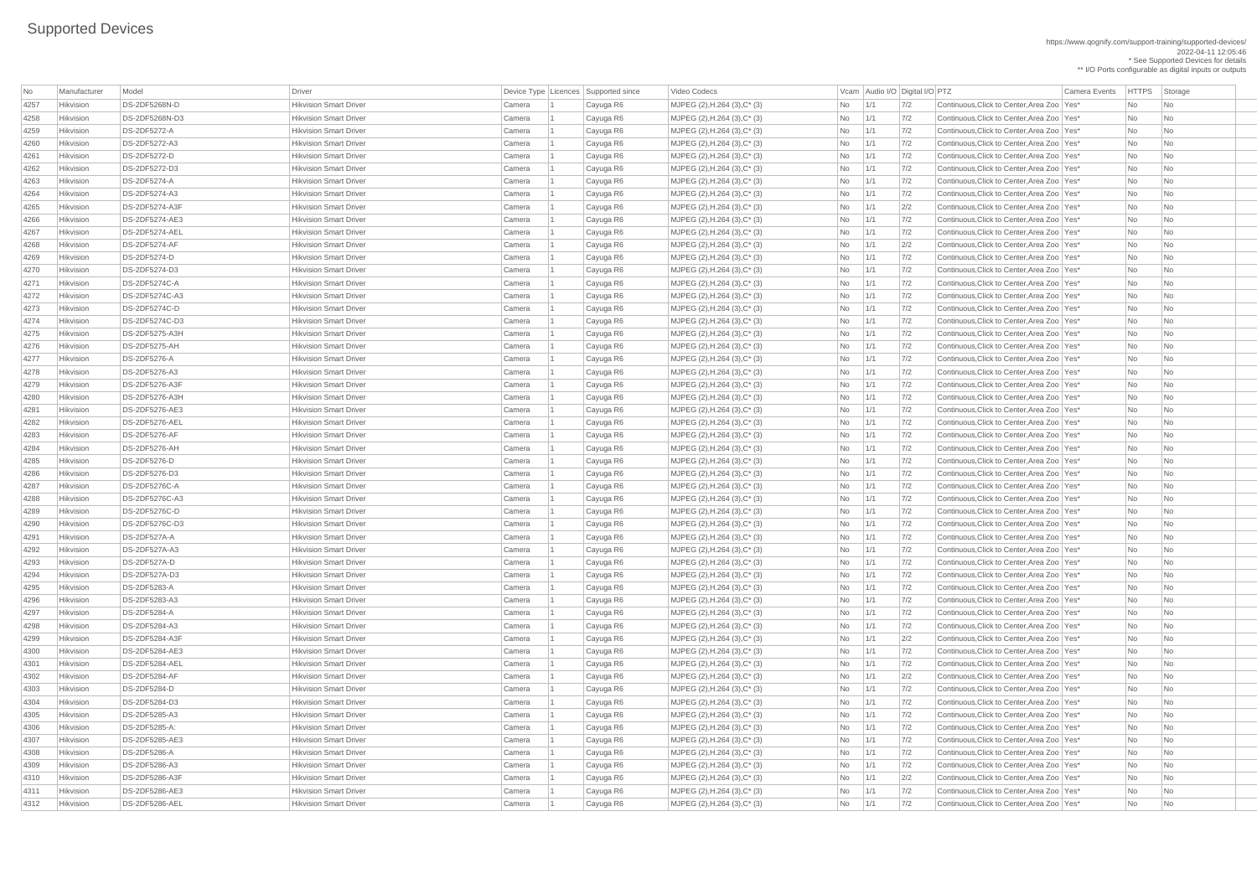#### https://www.qognify.com/support-training/supported-devices/ 2022-04-11 12:05:46

\* See Supported Devices for details \*\* I/O Ports configurable as digital inputs or outputs

| <b>No</b> | Manufacturer | Model                 | Driver                        |        | Device Type Licences Supported since | Video Codecs                         |           | Vcam Audio I/O Digital I/O PTZ |               | Camera Events                                | <b>HTTPS</b> | Storage                     |
|-----------|--------------|-----------------------|-------------------------------|--------|--------------------------------------|--------------------------------------|-----------|--------------------------------|---------------|----------------------------------------------|--------------|-----------------------------|
| 4257      | Hikvision    | <b>DS-2DF5268N-D</b>  | <b>Hikvision Smart Driver</b> | Camera | Cayuga R6                            | MJPEG (2), H.264 (3), C* (3)         | No        | 1/1                            | 7/2           | Continuous. Click to Center. Area Zoo   Yes* | No           | No                          |
| 4258      | Hikvision    | DS-2DF5268N-D3        | <b>Hikvision Smart Driver</b> | Camera | Cayuga R6                            | MJPEG $(2)$ , H.264 $(3)$ , C* $(3)$ | No        | 1/1                            | 7/2           | Continuous, Click to Center, Area Zoo   Yes* | <b>No</b>    | <b>No</b>                   |
| 4259      | Hikvision    | <b>DS-2DF5272-A</b>   | <b>Hikvision Smart Driver</b> | Camera | Cayuga R6                            | MJPEG (2), H.264 (3), C* (3)         | No        | 1/1                            | 7/2           | Continuous, Click to Center, Area Zoo   Yes* | No           | <b>No</b>                   |
| 4260      | Hikvision    | DS-2DF5272-A3         | <b>Hikvision Smart Driver</b> | Camera | Cayuga R6                            | MJPEG (2), H.264 (3), C* (3)         | No        | $\vert$ 1/1                    | 7/2           | Continuous, Click to Center, Area Zoo   Yes* | No           | <b>No</b>                   |
| 426'      | Hikvision    | <b>DS-2DF5272-D</b>   | <b>Hikvision Smart Driver</b> | Camera | Cayuga R6                            | MJPEG (2), H.264 (3), C* (3)         | No        | 1/1                            | 7/2           | Continuous, Click to Center, Area Zoo   Yes* | <b>No</b>    | No                          |
| 4262      | Hikvision    | DS-2DF5272-D3         | <b>Hikvision Smart Driver</b> | Camera | Cayuga R6                            | MJPEG (2), H.264 (3), C* (3)         | No        | 1/1                            | 7/2           | Continuous, Click to Center, Area Zoo   Yes* | No           | <b>No</b>                   |
| 4263      | Hikvision    | <b>DS-2DF5274-A</b>   | <b>Hikvision Smart Driver</b> | Camera | Cayuga R6                            | MJPEG (2), H.264 (3), C* (3)         | No        | $\vert$ 1/1                    | 7/2           | Continuous, Click to Center, Area Zoo   Yes* | No           | N <sub>o</sub>              |
| 4264      | Hikvision    | DS-2DF5274-A3         | <b>Hikvision Smart Driver</b> | Camera | Cayuga R6                            | MJPEG (2), H.264 (3), C* (3)         | No        | 1/1                            | 7/2           | Continuous, Click to Center, Area Zoo   Yes* | <b>No</b>    | <b>No</b>                   |
| 4265      | Hikvision    | <b>DS-2DF5274-A3F</b> | <b>Hikvision Smart Driver</b> | Camera | Cayuga R6                            | MJPEG (2), H.264 (3), C* (3)         | <b>No</b> | 1/1                            | 2/2           | Continuous, Click to Center, Area Zoo   Yes* | <b>No</b>    | <b>No</b>                   |
| 4266      | Hikvision    | DS-2DF5274-AE3        | <b>Hikvision Smart Driver</b> | Camera | Cayuga R6                            | MJPEG (2), H.264 (3), C* (3)         | No        | 1/1                            | 7/2           | Continuous, Click to Center, Area Zoo   Yes* | No           | No                          |
| 4267      | Hikvision    | DS-2DF5274-AEL        | <b>Hikvision Smart Driver</b> | Camera | Cayuga R6                            | MJPEG (2), H.264 (3), C* (3)         | No        | $\vert$ 1/1                    | 7/2           | Continuous, Click to Center, Area Zoo   Yes* | No           | No                          |
| 4268      | Hikvision    | DS-2DF5274-AF         | <b>Hikvision Smart Driver</b> | Camera | Cayuga R6                            | MJPEG (2), H.264 (3), C* (3)         | No        | 1/1                            | 2/2           | Continuous, Click to Center, Area Zoo   Yes* | No           | <b>No</b>                   |
| 4269      | Hikvision    | <b>DS-2DF5274-D</b>   | <b>Hikvision Smart Driver</b> | Camera | Cayuga R6                            | MJPEG (2), H.264 (3), C* (3)         | No        | $\vert$ 1/1                    | 7/2           | Continuous, Click to Center, Area Zoo   Yes* | No           | N <sub>o</sub>              |
| 4270      | Hikvision    | DS-2DF5274-D3         | <b>Hikvision Smart Driver</b> | Camera | Cayuga R6                            | MJPEG (2), H.264 (3), C* (3)         | No        | 1/1                            | 7/2           | Continuous. Click to Center. Area Zoo   Yes* | <b>No</b>    | N <sub>o</sub>              |
| 4271      | Hikvision    | <b>DS-2DF5274C-A</b>  | <b>Hikvision Smart Driver</b> | Camera | Cayuga R6                            | MJPEG (2), H.264 (3), C* (3)         | No        | 1/1                            | $7/2$         | Continuous, Click to Center, Area Zoo   Yes* | No           | <b>No</b>                   |
| 4272      | Hikvision    | DS-2DF5274C-A3        | <b>Hikvision Smart Driver</b> | Camera | Cayuga R6                            | MJPEG (2), H.264 (3), C* (3)         | No        | $\vert$ 1/1                    | 7/2           | Continuous. Click to Center. Area Zoo   Yes* | No           | <b>No</b>                   |
| 4273      | Hikvision    | <b>DS-2DF5274C-D</b>  | <b>Hikvision Smart Driver</b> |        |                                      | MJPEG (2), H.264 (3), C* (3)         |           | 1/1                            | $7/2$         | Continuous, Click to Center, Area Zoo   Yes* | No           | No                          |
|           |              | DS-2DF5274C-D3        | <b>Hikvision Smart Driver</b> | Camera | Cayuga R6                            |                                      | No        |                                |               |                                              |              |                             |
| 4274      | Hikvision    |                       |                               | Camera | Cayuga R6                            | MJPEG (2), H.264 (3), C* (3)         | No        | 1/1                            | 7/2           | Continuous, Click to Center, Area Zoo   Yes* | No           | <b>No</b>                   |
| 4275      | Hikvision    | DS-2DF5275-A3H        | <b>Hikvision Smart Driver</b> | Camera | Cayuga R6                            | MJPEG (2), H.264 (3), C* (3)         | No        | $\vert$ 1/1                    | 7/2           | Continuous, Click to Center, Area Zoo   Yes* | No           | No.                         |
| 4276      | Hikvision    | DS-2DF5275-AH         | <b>Hikvision Smart Driver</b> | Camera | Cayuga R6                            | $MJPEG (2), H.264 (3), C^*(3)$       | No        | 1/1                            | 7/2           | Continuous, Click to Center, Area Zoo   Yes* | No           | No                          |
| 4277      | Hikvision    | <b>DS-2DF5276-A</b>   | <b>Hikvision Smart Driver</b> | Camera | Cayuga R6                            | MJPEG (2), H.264 (3), C* (3)         | No        | 1/1                            | $7/2$         | Continuous, Click to Center, Area Zoo   Yes* | <b>No</b>    | <b>No</b>                   |
| 4278      | Hikvision    | <b>DS-2DF5276-A3</b>  | <b>Hikvision Smart Driver</b> | Camera | Cayuga R6                            | MJPEG (2), H.264 (3), C* (3)         | No        | 1/1                            | 7/2           | Continuous. Click to Center Area Zoo   Yes*  | No           | <b>No</b>                   |
| 4279      | Hikvision    | <b>DS-2DF5276-A3F</b> | <b>Hikvision Smart Driver</b> | Camera | Cayuga R6                            | MJPEG (2), H.264 (3), C* (3)         | No        | $\vert$ 1/1                    | 7/2           | Continuous, Click to Center, Area Zoo   Yes* | No           | N <sub>o</sub>              |
| 4280      | Hikvision    | DS-2DF5276-A3H        | <b>Hikvision Smart Driver</b> | Camera | Cayuga R6                            | MJPEG (2), H.264 (3), C* (3)         | No        | 1/1                            | 7/2           | Continuous, Click to Center, Area Zoo   Yes* | No           | No                          |
| 4281      | Hikvision    | <b>DS-2DF5276-AE3</b> | <b>Hikvision Smart Driver</b> | Camera | Cayuga R6                            | MJPEG (2), H.264 (3), C* (3)         | No        | 1/1                            | 7/2           | Continuous, Click to Center, Area Zoo   Yes* | No           | No                          |
| 4282      | Hikvision    | DS-2DF5276-AEL        | <b>Hikvision Smart Driver</b> | Camera | Cayuga R6                            | MJPEG (2), H.264 (3), C* (3)         | No        | $\vert$ 1/1                    | 7/2           | Continuous, Click to Center, Area Zoo   Yes* | No           | N <sub>o</sub>              |
| 4283      | Hikvision    | DS-2DF5276-AF         | <b>Hikvision Smart Driver</b> | Camera | Cayuga R6                            | MJPEG (2), H.264 (3), C* (3)         | No        | 1/1                            | $7/2$         | Continuous, Click to Center, Area Zoo   Yes* | No           | <b>No</b>                   |
| 4284      | Hikvision    | DS-2DF5276-AH         | <b>Hikvision Smart Driver</b> | Camera | Cayuga R6                            | MJPEG (2), H.264 (3), C* (3)         | No        | $\vert 1/1 \vert$              | 7/2           | Continuous. Click to Center. Area Zoo   Yes* | No           | <b>No</b>                   |
| 4285      | Hikvision    | <b>DS-2DF5276-D</b>   | <b>Hikvision Smart Driver</b> | Camera | Cayuga R6                            | MJPEG (2), H.264 (3), C* (3)         | No        | 1/1                            | 7/2           | Continuous, Click to Center, Area Zoo   Yes* | No           | N <sub>o</sub>              |
| 4286      | Hikvision    | DS-2DF5276-D3         | <b>Hikvision Smart Driver</b> | Camera | Cayuga R6                            | MJPEG (2), H.264 (3), C* (3)         | No        | 1/1                            | 7/2           | Continuous, Click to Center, Area Zoo   Yes* | No           | No                          |
| 4287      | Hikvision    | <b>DS-2DF5276C-A</b>  | <b>Hikvision Smart Driver</b> | Camera | Cayuga R6                            | MJPEG (2), H.264 (3), C* (3)         | No        | 1/1                            | 7/2           | Continuous, Click to Center, Area Zoo   Yes* | No           | No.                         |
| 4288      | Hikvision    | DS-2DF5276C-A3        | <b>Hikvision Smart Driver</b> | Camera | Cayuga R6                            | MJPEG (2), H.264 (3), C* (3)         | No        | $\vert$ 1/1                    | 7/2           | Continuous, Click to Center, Area Zoo   Yes* | No           | No.                         |
| 4289      | Hikvision    | DS-2DF5276C-D         | <b>Hikvision Smart Driver</b> | Camera | Cayuga R6                            | MJPEG (2), H.264 (3), C* (3)         | <b>No</b> | 1/1                            | 7/2           | Continuous, Click to Center, Area Zoo   Yes* | <b>No</b>    | <b>No</b>                   |
| 4290      | Hikvision    | DS-2DF5276C-D3        | <b>Hikvision Smart Driver</b> | Camera | Cayuga R6                            | MJPEG (2), H.264 (3), C* (3)         | No        | 1/1                            | 7/2           | Continuous, Click to Center, Area Zoo   Yes* | No           | No                          |
| 4291      | Hikvision    | DS-2DF527A-A          | <b>Hikvision Smart Driver</b> | Camera | Cayuga R6                            | MJPEG (2), H.264 (3), C* (3)         | No        | $\vert$ 1/1                    | 7/2           | Continuous, Click to Center, Area Zoo   Yes* | No           | No                          |
| 4292      | Hikvision    | <b>DS-2DF527A-A3</b>  | <b>Hikvision Smart Driver</b> | Camera | Cayuga R6                            | MJPEG (2), H.264 (3), C* (3)         | No        | 1/1                            | 7/2           | Continuous, Click to Center, Area Zoo   Yes* | <b>No</b>    | <b>No</b>                   |
| 4293      | Hikvision    | DS-2DF527A-D          | <b>Hikvision Smart Driver</b> | Camera | Cayuga R6                            | MJPEG (2), H.264 (3), C* (3)         | No        | $\vert$ 1/1                    | 7/2           | Continuous, Click to Center, Area Zoo   Yes* | No           | No.                         |
| 4294      | Hikvision    | DS-2DF527A-D3         | <b>Hikvision Smart Driver</b> | Camera | Cayuga R6                            | MJPEG (2), H.264 (3), C* (3)         | No        | $\vert$ 1/1                    | 7/2           | Continuous, Click to Center, Area Zoo   Yes* | No           | No.                         |
| 4295      | Hikvision    | <b>DS-2DF5283-A</b>   | <b>Hikvision Smart Driver</b> | Camera | Cayuga R6                            | MJPEG (2), H.264 (3), C* (3)         | <b>No</b> | 1/1                            | 7/2           | Continuous, Click to Center, Area Zoo   Yes* | <b>No</b>    | <b>No</b>                   |
| 4296      | Hikvision    | DS-2DF5283-A3         | <b>Hikvision Smart Driver</b> | Camera | Cayuga R6                            | MJPEG (2), H.264 (3), C* (3)         | No        | $\vert 1/1 \vert$              | 7/2           | Continuous, Click to Center, Area Zoo   Yes* | No           | No                          |
| 4297      | Hikvision    | <b>DS-2DF5284-A</b>   | <b>Hikvision Smart Driver</b> | Camera | Cayuga R6                            | MJPEG (2), H.264 (3), C* (3)         | No        | 1/1                            | 7/2           | Continuous, Click to Center, Area Zoo   Yes* | No           | No                          |
| 4298      | Hikvision    | DS-2DF5284-A3         | <b>Hikvision Smart Driver</b> | Camera | Cayuga R6                            | MJPEG (2), H.264 (3), C* (3)         | No        | 1/1                            | $7/2$         | Continuous, Click to Center, Area Zoo   Yes* | <b>No</b>    | N <sub>o</sub>              |
| 4299      | Hikvision    | DS-2DF5284-A3F        | <b>Hikvision Smart Driver</b> | Camera | Cayuga R6                            | MJPEG (2), H.264 (3), C* (3)         | <b>No</b> | 1/1                            | 2/2           | Continuous, Click to Center, Area Zoo   Yes* | No           | No.                         |
| 4300      | Hikvision    | DS-2DF5284-AE3        | <b>Hikvision Smart Driver</b> | Camera | Cayuga R6                            | MJPEG $(2)$ , H.264 $(3)$ , C* $(3)$ | No        | $\vert$ 1/1                    | 7/2           | Continuous, Click to Center, Area Zoo   Yes* | No           | No                          |
| 4301      | Hikvision    | DS-2DF5284-AEL        | <b>Hikvision Smart Driver</b> | Camera | Cayuga R6                            | MJPEG (2), H.264 (3), C* (3)         | No        | 1/1                            | 7/2           | Continuous, Click to Center, Area Zoo   Yes* | <b>No</b>    | <b>No</b>                   |
| 4302      | Hikvision    | DS-2DF5284-AF         | <b>Hikvision Smart Driver</b> | Camera | Cayuga R6                            | MJPEG (2), H.264 (3), C* (3)         | No        | 1/1                            | 2/2           | Continuous. Click to Center. Area Zoo   Yes* | No           | N <sub>o</sub>              |
| 4303      | Hikvision    | <b>DS-2DF5284-D</b>   | <b>Hikvision Smart Driver</b> | Camera | Cayuga R6                            | MJPEG (2), H.264 (3), C* (3)         | No        | $\vert$ 1/1                    | 7/2           | Continuous, Click to Center, Area Zoo   Yes* | No           | No                          |
|           | Hikvision    | DS-2DF5284-D3         | <b>Hikvision Smart Driver</b> |        |                                      | MJPEG (2), H.264 (3), C* (3)         |           | 1/1                            | 7/2           | Continuous, Click to Center, Area Zoo   Yes* | No           | N <sub>o</sub>              |
| 4304      |              | DS-2DF5285-A3         | <b>Hikvision Smart Driver</b> | Camera | Cayuga R6                            |                                      | No        |                                |               | Continuous. Click to Center. Area Zoo   Yes* |              |                             |
| 4305      | Hikvision    |                       |                               | Camera | Cayuga R6                            | $MJPEG (2), H.264 (3), C^*(3)$       | No        | $\vert$ 1/1                    | 7/2           |                                              | No           | No.                         |
| 4306      | Hikvision    | DS-2DF5285-A:         | <b>Hikvision Smart Driver</b> | Camera | Cayuga R6                            | MJPEG (2), H.264 (3), C* (3)         | No        | $\vert$ 1/1                    | $\frac{7}{2}$ | Continuous, Click to Center, Area Zoo   Yes* | No           | No                          |
| 4307      | Hikvision    | DS-2DF5285-AE3        | <b>Hikvision Smart Driver</b> | Camera | Cayuga R6                            | MJPEG (2), H.264 (3), C* (3)         | No        | 1/1                            | 7/2           | Continuous, Click to Center, Area Zoo   Yes* | No           | <b>No</b>                   |
| 4308      | Hikvision    | <b>DS-2DF5286-A</b>   | <b>Hikvision Smart Driver</b> | Camera | Cayuga R6                            | MJPEG (2), H.264 (3), C* (3)         | No        | $\vert$ 1/1                    | 7/2           | Continuous, Click to Center, Area Zoo   Yes* | No           | $\overline{\phantom{a}}$ No |
| 4309      | Hikvision    | <b>DS-2DF5286-A3</b>  | <b>Hikvision Smart Driver</b> | Camera | Cayuga R6                            | MJPEG (2), H.264 (3), C* (3)         | No        | 1/1                            | 7/2           | Continuous, Click to Center, Area Zoo   Yes* | No           | No                          |
| 4310      | Hikvision    | DS-2DF5286-A3F        | <b>Hikvision Smart Driver</b> | Camera | Cayuga R6                            | MJPEG (2), H.264 (3), C* (3)         | No        | 1/1                            | 2/2           | Continuous, Click to Center, Area Zoo   Yes* | No           | No.                         |
| 4311      | Hikvision    | <b>DS-2DF5286-AE3</b> | <b>Hikvision Smart Driver</b> | Camera | Cayuga R6                            | MJPEG (2), H.264 (3), C* (3)         | No        | 1/1                            | 7/2           | Continuous, Click to Center, Area Zoo   Yes* | No           | No                          |
| 4312      | Hikvision    | DS-2DF5286-AEL        | <b>Hikvision Smart Driver</b> | Camera | Cayuga R6                            | MJPEG (2), H.264 (3), C* (3)         | No        | 1/1                            | 7/2           | Continuous, Click to Center, Area Zoo   Yes* | No           | $\overline{\phantom{a}}$ No |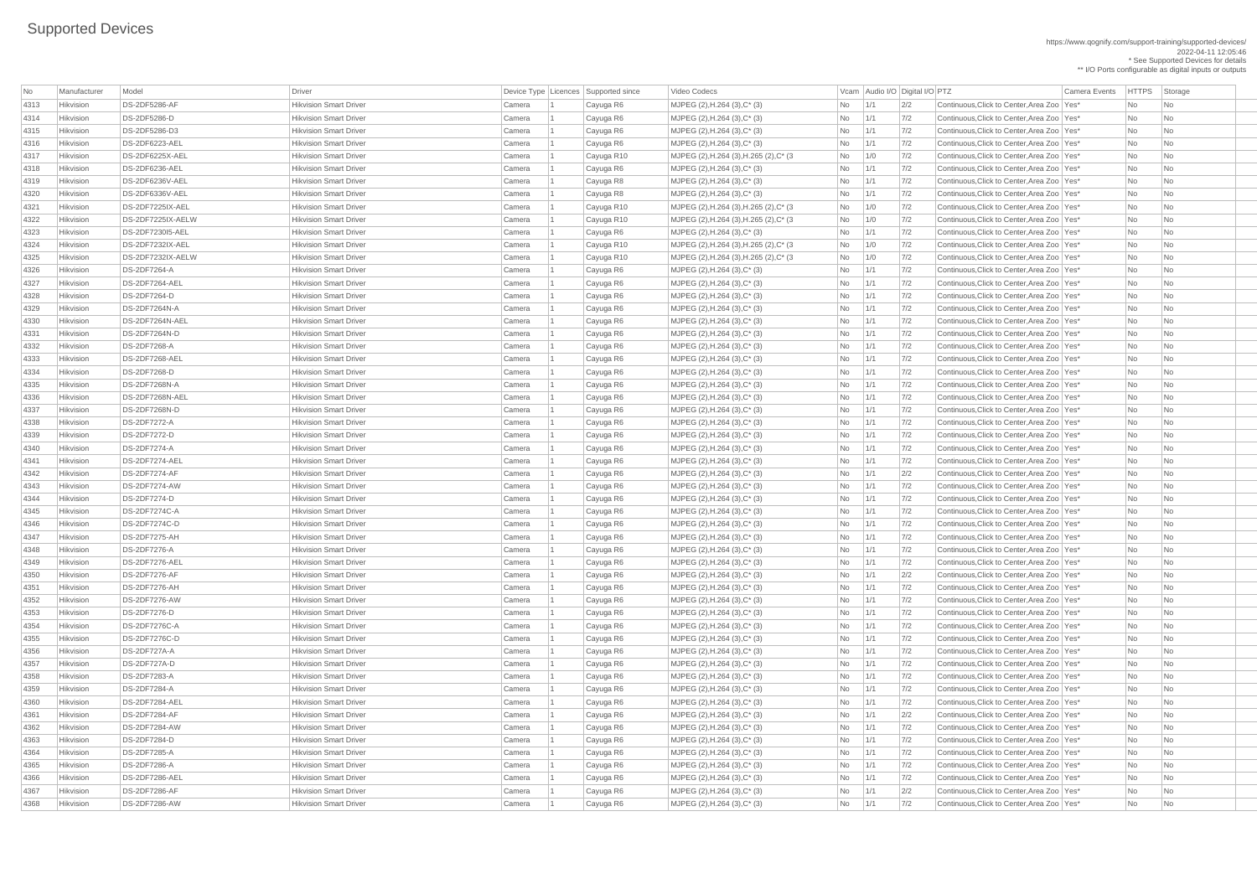#### https://www.qognify.com/support-training/supported-devices/ 2022-04-11 12:05:46

\* See Supported Devices for details \*\* I/O Ports configurable as digital inputs or outputs

| No   | Manufacturer     | Model                | Driver                        |           | Device Type Licences Supported since | Video Codecs                            |            |               | Vcam Audio I/O Digital I/O PTZ | <b>Camera Events</b>                         | <b>HTTPS</b>                | Storage                     |
|------|------------------|----------------------|-------------------------------|-----------|--------------------------------------|-----------------------------------------|------------|---------------|--------------------------------|----------------------------------------------|-----------------------------|-----------------------------|
| 4313 | Hikvision        | DS-2DF5286-AF        | <b>Hikvision Smart Driver</b> | Camera    | Cayuga R6                            | MJPEG (2), H.264 (3), C* (3)            | No l       | 1/1           | 2/2                            | Continuous, Click to Center, Area Zoo   Yes* | No                          | No                          |
| 4314 | Hikvision        | <b>DS-2DF5286-D</b>  | <b>Hikvision Smart Driver</b> | Camera    | Cayuga R6                            | $MJPEG (2), H.264 (3), C^* (3)$         | No         | 1/1           | 7/2                            | Continuous, Click to Center, Area Zoo   Yes* | $\overline{\mathsf{No}}$    | No                          |
| 4315 | Hikvision        | DS-2DF5286-D3        | <b>Hikvision Smart Driver</b> | Camera    | Cayuga R6                            | $MJPEG (2), H.264 (3), C^*(3)$          | No         | 1/1           | 7/2                            | Continuous, Click to Center, Area Zoo   Yes* | $\overline{\mathsf{No}}$    | No                          |
| 4316 | Hikvision        | DS-2DF6223-AEL       | <b>Hikvision Smart Driver</b> | Camera    | Cayuga R6                            | $MJPEG (2), H.264 (3), C^* (3)$         | No         | $\vert$ 1/1   | 7/2                            | Continuous, Click to Center, Area Zoo   Yes* | No                          | $\overline{\mathsf{No}}$    |
| 4317 | Hikvision        | DS-2DF6225X-AEL      | <b>Hikvision Smart Driver</b> | Camera    | Cayuga R10                           | MJPEG (2), H.264 (3), H.265 (2), C* (3) | No         | 1/0           | 7/2                            | Continuous, Click to Center, Area Zoo   Yes* | No                          | No                          |
| 4318 | Hikvision        | DS-2DF6236-AEL       | <b>Hikvision Smart Driver</b> | Camera    | Cayuga R6                            | MJPEG (2), H.264 (3), C* (3)            | No         | 1/1           | 7/2                            | Continuous, Click to Center, Area Zoo   Yes* | N <sub>o</sub>              | No                          |
| 4319 | Hikvision        | DS-2DF6236V-AEL      | <b>Hikvision Smart Driver</b> | Camera    | Cayuga R8                            | MJPEG (2), H.264 (3), C* (3)            | No         | $\vert$ 1/1   | 7/2                            | Continuous, Click to Center, Area Zoo   Yes* | No                          | No                          |
| 4320 | Hikvision        | DS-2DF6336V-AEL      | <b>Hikvision Smart Driver</b> | Camera    | Cayuga R8                            | $MJPEG (2), H.264 (3), C^* (3)$         | No         | 1/1           | 7/2                            | Continuous, Click to Center, Area Zoo   Yes* | $\overline{\mathsf{No}}$    | No                          |
| 4321 | Hikvision        | DS-2DF7225IX-AEL     | <b>Hikvision Smart Driver</b> | Camera    | Cayuga R10                           | MJPEG (2), H.264 (3), H.265 (2), C* (3) | No         | 1/0           | 7/2                            | Continuous, Click to Center, Area Zoo   Yes* | No                          | No                          |
| 4322 | Hikvision        | DS-2DF7225IX-AELW    | <b>Hikvision Smart Driver</b> | Camera    | Cayuga R10                           | MJPEG (2), H.264 (3), H.265 (2), C* (3) | No         | 1/0           | $7/2$                          | Continuous, Click to Center, Area Zoo   Yes* | No                          | No                          |
| 4323 | Hikvision        | DS-2DF723015-AEL     | <b>Hikvision Smart Driver</b> | Camera    | Cayuga R6                            | MJPEG (2), H.264 (3), C* (3)            | No         | $\vert$ 1/1   | 7/2                            | Continuous, Click to Center, Area Zoo Yes*   | N <sub>o</sub>              | No                          |
| 4324 | Hikvision        | DS-2DF7232IX-AEL     | <b>Hikvision Smart Driver</b> | Camera    | Cayuga R10                           | MJPEG (2), H.264 (3), H.265 (2), C* (3) | No         | 1/0           | 7/2                            | Continuous, Click to Center, Area Zoo   Yes* | N <sub>o</sub>              | $\overline{\mathsf{No}}$    |
| 4325 | Hikvision        | DS-2DF7232IX-AELW    | <b>Hikvision Smart Driver</b> | Camera    | Cayuga R10                           | MJPEG (2), H.264 (3), H.265 (2), C* (3) | No         | 1/0           | 7/2                            | Continuous, Click to Center, Area Zoo   Yes* | No                          | N <sub>o</sub>              |
| 4326 | Hikvision        | <b>DS-2DF7264-A</b>  | <b>Hikvision Smart Driver</b> | Camera    | Cayuga R6                            | MJPEG (2), H.264 (3), C* (3)            | No         | 1/1           | 7/2                            | Continuous, Click to Center, Area Zoo Yes*   | $\overline{\mathsf{No}}$    | No                          |
| 4327 | Hikvision        | DS-2DF7264-AEL       | <b>Hikvision Smart Driver</b> | Camera    | Cayuga R6                            | $MJPEG (2), H.264 (3), C^* (3)$         | No         | 1/1           | 7/2                            | Continuous, Click to Center, Area Zoo   Yes* | $\overline{\mathsf{No}}$    | No                          |
| 4328 | Hikvision        | <b>DS-2DF7264-D</b>  | <b>Hikvision Smart Driver</b> | Camera    | Cayuga R6                            | $MJPEG (2), H.264 (3), C^* (3)$         | No         | 1/1           | 7/2                            | Continuous, Click to Center, Area Zoo   Yes* | N <sub>o</sub>              | No                          |
| 4329 | Hikvision        | DS-2DF7264N-A        | <b>Hikvision Smart Driver</b> | Camera    | Cayuga R6                            | $MJPEG (2), H.264 (3), C^* (3)$         | No         | $\frac{1}{1}$ | 7/2                            | Continuous, Click to Center, Area Zoo Yes*   | No                          | No                          |
| 4330 | Hikvision        | DS-2DF7264N-AEL      | <b>Hikvision Smart Driver</b> | Camera    | Cayuga R6                            | $MJPEG (2), H.264 (3), C^*(3)$          | No         | 1/1           | 7/2                            | Continuous, Click to Center, Area Zoo   Yes* | N <sub>o</sub>              | No                          |
| 4331 | Hikvision        | DS-2DF7264N-D        | <b>Hikvision Smart Driver</b> | Camera    | Cayuga R6                            | MJPEG (2), H.264 (3), C* (3)            | No         | $\vert$ 1/1   | 7/2                            | Continuous, Click to Center, Area Zoo   Yes* | No                          | No                          |
| 4332 | Hikvision        | <b>DS-2DF7268-A</b>  | <b>Hikvision Smart Driver</b> | Camera    | Cayuga R6                            | MJPEG (2), H.264 (3), C* (3)            | No         | 1/1           | 7/2                            | Continuous, Click to Center, Area Zoo Yes*   | $\overline{\mathsf{No}}$    | No                          |
| 4333 | Hikvision        | DS-2DF7268-AEL       | <b>Hikvision Smart Driver</b> | Camera    | Cayuga R6                            | $MJPEG (2), H.264 (3), C^* (3)$         | No         | 1/1           | 7/2                            | Continuous, Click to Center, Area Zoo   Yes* | $\overline{\mathsf{No}}$    | No                          |
| 4334 | Hikvision        | <b>DS-2DF7268-D</b>  | <b>Hikvision Smart Driver</b> | Camera    | Cayuga R6                            | $MJPEG (2), H.264 (3), C^* (3)$         | No         | 1/1           | 7/2                            | Continuous, Click to Center, Area Zoo   Yes* | No                          | No                          |
| 4335 | Hikvision        | DS-2DF7268N-A        | <b>Hikvision Smart Driver</b> | Camera    | Cayuga R6                            | MJPEG $(2)$ , H.264 $(3)$ , C $*$ $(3)$ | No         | 1/1           | 7/2                            | Continuous, Click to Center, Area Zoo   Yes* | No                          | No                          |
| 4336 | Hikvision        | DS-2DF7268N-AEL      | <b>Hikvision Smart Driver</b> | Camera    | Cayuga R6                            | MJPEG (2), H.264 (3), C* (3)            | No l       | 1/1           | 7/2                            | Continuous, Click to Center, Area Zoo   Yes* | No                          | No                          |
| 4337 | Hikvision        | <b>DS-2DF7268N-D</b> | <b>Hikvision Smart Driver</b> | Camera    | Cayuga R6                            | MJPEG (2), H.264 (3), C* (3)            | No         |               | 7/2                            | Continuous, Click to Center, Area Zoo   Yes* | <b>No</b>                   | No                          |
| 4338 | Hikvision        | <b>DS-2DF7272-A</b>  | <b>Hikvision Smart Driver</b> | Camera    | Cayuga R6                            | MJPEG (2), H.264 (3), C* (3)            | No         | 1/1           | 7/2                            | Continuous, Click to Center, Area Zoo   Yes* | No                          | No                          |
| 4339 | Hikvision        | <b>DS-2DF7272-D</b>  | <b>Hikvision Smart Driver</b> | Camera    | Cayuga R6                            | $MJPEG (2), H.264 (3), C^* (3)$         | No         | 1/1           | 7/2                            | Continuous, Click to Center, Area Zoo   Yes* | No                          | $\overline{\mathsf{No}}$    |
| 4340 | Hikvision        | <b>DS-2DF7274-A</b>  | <b>Hikvision Smart Driver</b> | Camera    | Cayuga R6                            | $MJPEG (2), H.264 (3), C^* (3)$         | No         | 1/1           | 7/2                            | Continuous, Click to Center, Area Zoo   Yes* | No                          | No                          |
| 4341 | Hikvision        | DS-2DF7274-AEL       | <b>Hikvision Smart Driver</b> | Camera    | Cayuga R6                            | $MJPEG (2), H.264 (3), C^*(3)$          | No         | 1/1           | 7/2                            | Continuous, Click to Center, Area Zoo   Yes* | No                          | No                          |
| 4342 | <b>Hikvision</b> | DS-2DF7274-AF        | <b>Hikvision Smart Driver</b> | Camera    | Cayuga R6                            | MJPEG (2), H.264 (3), C* (3)            | No         | 1/1           | 2/2                            | Continuous, Click to Center, Area Zoo   Yes* | No                          | No                          |
| 4343 | Hikvision        | DS-2DF7274-AW        | <b>Hikvision Smart Driver</b> | Camera    | Cayuga R6                            | MJPEG (2), H.264 (3), C* (3)            | No         | 1/1           | 7/2                            | Continuous, Click to Center, Area Zoo   Yes* | No                          | No                          |
| 4344 | Hikvision        | <b>DS-2DF7274-D</b>  | <b>Hikvision Smart Driver</b> | Camera    | Cayuga R6                            | MJPEG (2), H.264 (3), C* (3)            | No         | 1/1           | 7/2                            | Continuous, Click to Center, Area Zoo   Yes* | No                          | $\overline{\mathsf{No}}$    |
| 4345 | Hikvision        | <b>DS-2DF7274C-A</b> | <b>Hikvision Smart Driver</b> | Camera    | Cayuga R6                            | $MJPEG (2), H.264 (3), C^* (3)$         | No         | 1/1           | 7/2                            | Continuous, Click to Center, Area Zoo   Yes* | No                          | No                          |
| 4346 | Hikvision        | DS-2DF7274C-D        | <b>Hikvision Smart Driver</b> | Camera    | Cayuga R6                            | $MJPEG (2), H.264 (3), C^* (3)$         | No         | 1/1           | 7/2                            | Continuous, Click to Center, Area Zoo   Yes* | No                          | No                          |
| 4347 | Hikvision        | DS-2DF7275-AH        | <b>Hikvision Smart Driver</b> | Camera    | Cayuga R6                            | $MJPEG (2), H.264 (3), C^* (3)$         | No         | 1/1           | 7/2                            | Continuous, Click to Center, Area Zoo   Yes* | No                          | No                          |
| 4348 | Hikvision        | <b>DS-2DF7276-A</b>  | <b>Hikvision Smart Driver</b> | Camera    | Cayuga R6                            | MJPEG (2), H.264 (3), C* (3)            | No         | 1/1           | 7/2                            | Continuous, Click to Center, Area Zoo   Yes* | No                          | No                          |
| 4349 | <b>Hikvision</b> | DS-2DF7276-AEL       | <b>Hikvision Smart Driver</b> | Camera    | Cayuga R6                            | MJPEG (2), H.264 (3), C* (3)            | No         | $\vert$ 1/1   | 7/2                            | Continuous, Click to Center, Area Zoo   Yes* | No                          | No                          |
| 4350 | Hikvision        | DS-2DF7276-AF        | <b>Hikvision Smart Driver</b> | Camera    | Cayuga R6                            | MJPEG (2), H.264 (3), C* (3)            | No         | 1/1           | 2/2                            | Continuous, Click to Center, Area Zoo   Yes* | No                          | No                          |
| 4351 | Hikvision        | DS-2DF7276-AH        | <b>Hikvision Smart Driver</b> | Camera    | Cayuga R6                            | $MJPEG (2), H.264 (3), C^{*} (3)$       | No         | 1/1           | 7/2                            | Continuous, Click to Center, Area Zoo   Yes* | $\overline{\mathsf{No}}$    | No                          |
| 4352 | <b>Hikvision</b> | DS-2DF7276-AW        | <b>Hikvision Smart Driver</b> | Camera    | Cayuga R6                            | $MJPEG (2), H.264 (3), C^* (3)$         | No         | 1/1           | 7/2                            | Continuous, Click to Center, Area Zoo   Yes* | No                          | No                          |
| 4353 | Hikvision        | <b>DS-2DF7276-D</b>  | <b>Hikvision Smart Driver</b> | Camera    | Cayuga R6                            | $MJPEG (2), H.264 (3), C^* (3)$         | No         | 1/1           | 7/2                            | Continuous, Click to Center, Area Zoo   Yes* | No                          | No                          |
| 4354 | Hikvision        | <b>DS-2DF7276C-A</b> | <b>Hikvision Smart Driver</b> | Camera    | Cayuga R6                            | MJPEG (2), H.264 (3), C* (3)            | No         | 1/1           | 7/2                            | Continuous, Click to Center, Area Zoo   Yes* | No                          | $\overline{\mathsf{No}}$    |
| 4355 | <b>Hikvision</b> | <b>DS-2DF7276C-D</b> | <b>Hikvision Smart Driver</b> | Camera    | Cayuga R6                            | MJPEG (2), H.264 (3), C* (3)            | No         | $\vert$ 1/1   | 7/2                            | Continuous, Click to Center, Area Zoo   Yes* | No                          | No                          |
| 4356 | Hikvision        | DS-2DF727A-A         | <b>Hikvision Smart Driver</b> | Camera    | Cayuga R6                            | MJPEG (2), H.264 (3), C* (3)            | No         | 1/1           | 7/2                            | Continuous, Click to Center, Area Zoo   Yes* | No                          | $\overline{\mathsf{No}}$    |
| 4357 | Hikvision        | DS-2DF727A-D         | <b>Hikvision Smart Driver</b> | Camera    | Cayuga R6                            | $MJPEG (2), H.264 (3), C^* (3)$         | No         | 1/1           | 7/2                            | Continuous, Click to Center, Area Zoo   Yes* | No                          | $\overline{\mathsf{No}}$    |
| 4358 | Hikvision        | <b>DS-2DF7283-A</b>  | <b>Hikvision Smart Driver</b> | Camera    | Cayuga R6                            | $MJPEG (2), H.264 (3), C^* (3)$         | No         | 1/1           | 7/2                            | Continuous, Click to Center, Area Zoo   Yes* | No                          | No                          |
| 4359 | Hikvision        | <b>DS-2DF7284-A</b>  | <b>Hikvision Smart Driver</b> | Camera    | Cayuga R6                            | $MJPEG (2), H.264 (3), C^* (3)$         | No         | 1/1           | 7/2                            | Continuous, Click to Center, Area Zoo   Yes* | No                          | No                          |
| 4360 | Hikvision        | DS-2DF7284-AEL       | <b>Hikvision Smart Driver</b> | Camera    | Cayuga R6                            | MJPEG (2), H.264 (3), C* (3)            | No         | $\vert$ 1/1   | 7/2                            | Continuous, Click to Center, Area Zoo   Yes* | No                          | $\overline{\mathsf{No}}$    |
| 4361 | <b>Hikvision</b> | DS-2DF7284-AF        | <b>Hikvision Smart Driver</b> | Camera    | Cayuga R6                            | MJPEG (2), H.264 (3), C* (3)            | No         | 1/1           | 2/2                            | Continuous, Click to Center, Area Zoo   Yes* | No                          | No                          |
| 4362 | Hikvision        | <b>DS-2DF7284-AW</b> | <b>Hikvision Smart Driver</b> | Camera    | Cayuga R6                            | $MJPEG (2), H.264 (3), C^* (3)$         | No         | 1/1           | 7/2                            | Continuous, Click to Center, Area Zoo   Yes* | No                          | No                          |
| 4363 | Hikvision        | <b>DS-2DF7284-D</b>  | <b>Hikvision Smart Driver</b> | Camera    | Cayuga R6                            | MJPEG (2), H.264 (3), C* (3)            | No l       | 1/1           | 7/2                            | Continuous, Click to Center, Area Zoo   Yes* | No                          | No                          |
|      | 4364 Hikvision   | <b>DS-2DF7285-A</b>  | <b>Hikvision Smart Driver</b> | Camera  1 | Cayuga R6                            | MJPEG $(2)$ , H.264 $(3)$ , C $*$ $(3)$ | $No$ $1/1$ |               | 7/2                            | Continuous, Click to Center, Area Zoo   Yes* | $\overline{\phantom{a}}$ No | $\overline{\phantom{a}}$ No |
| 4365 | <b>Hikvision</b> | <b>DS-2DF7286-A</b>  | <b>Hikvision Smart Driver</b> | Camera    | Cayuga R6                            | MJPEG $(2)$ , H.264 $(3)$ , C $*$ $(3)$ | No         | 1/1           | 7/2                            | Continuous, Click to Center, Area Zoo   Yes* | No                          | No                          |
| 4366 | Hikvision        | DS-2DF7286-AEL       | <b>Hikvision Smart Driver</b> | Camera    | Cayuga R6                            | MJPEG $(2)$ , H.264 $(3)$ , C $*$ $(3)$ | No         | 1/1           | 7/2                            | Continuous, Click to Center, Area Zoo   Yes* | No                          | N <sub>o</sub>              |
| 4367 | Hikvision        | <b>DS-2DF7286-AF</b> | <b>Hikvision Smart Driver</b> | Camera    | Cayuga R6                            | $MJPEG (2), H.264 (3), C^*(3)$          | No         | 1/1           | 2/2                            | Continuous, Click to Center, Area Zoo   Yes* | No                          | $\overline{\phantom{a}}$ No |
| 4368 | Hikvision        | <b>DS-2DF7286-AW</b> | <b>Hikvision Smart Driver</b> | Camera    | Cayuga R6                            | $MJPEG (2), H.264 (3), C^*(3)$          | $No$   1/1 |               | 7/2                            | Continuous, Click to Center, Area Zoo   Yes* | No                          | $\overline{\phantom{a}}$ No |
|      |                  |                      |                               |           |                                      |                                         |            |               |                                |                                              |                             |                             |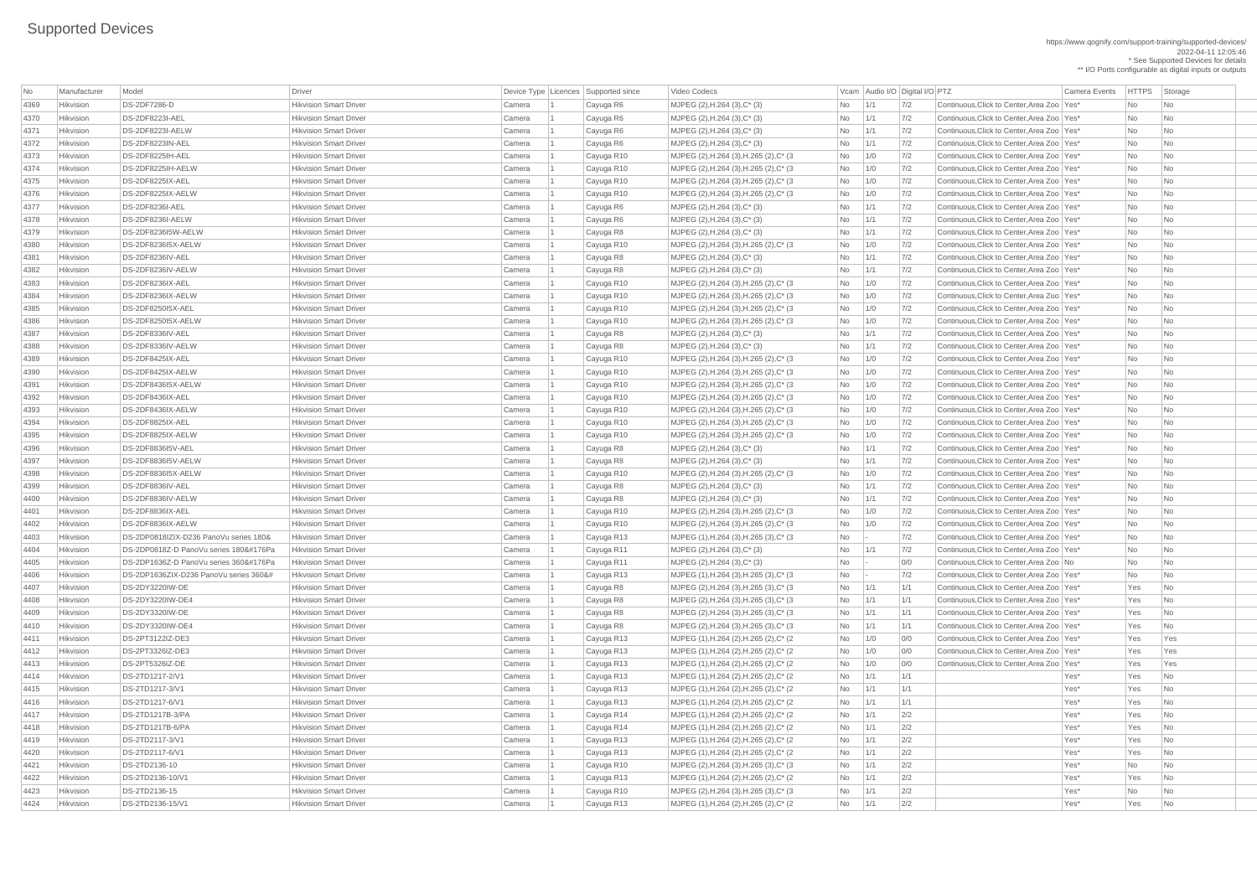https://www.qognify.com/support-training/supported-devices/ 2022-04-11 12:05:46 \* See Supported Devices for details

\*\* I/O Ports configurable as digital inputs or outputs

| <b>No</b> | Manufacturer | Model                                                                                                                                                                                                                                                                                                                                                                                                                                                                                                                                                                                                                                                                                                                                                                                                                                                                                                                                                                                                                                                                                                                                                                                                                                                                                                                                                                                                                                                                                                                                                                                                                                                                                                                                                                                                                                                                                                                                                                                                                                                                                                                                                                                                                                                                                                                                                                                                                                                                                                                                                                                                                                                                                                                                                                                                                                                                                                                                                                                                                                                                                                                                                                                                                                                                                                                                                                                                                                                                                                                                                                                                                                                                                                                                                                                                                                                                                                                                                                                                                                                                                                                                                                                                                                                                                                                                                                                                                                                                                                                                                                                                                                                                                                                                                                                                                                                                                                                                                                                                                                                                                                                                                                                                                                                                                                                                                                                                                                                                                                                                                                                                                                                                                                       | Driver                        |        | Device Type   Licences   Supported since | Video Codecs                                       |           |            | Vcam Audio I/O Digital I/O PTZ | <b>Camera Events</b>                         | <b>HTTPS</b>             | Storage                  |
|-----------|--------------|-------------------------------------------------------------------------------------------------------------------------------------------------------------------------------------------------------------------------------------------------------------------------------------------------------------------------------------------------------------------------------------------------------------------------------------------------------------------------------------------------------------------------------------------------------------------------------------------------------------------------------------------------------------------------------------------------------------------------------------------------------------------------------------------------------------------------------------------------------------------------------------------------------------------------------------------------------------------------------------------------------------------------------------------------------------------------------------------------------------------------------------------------------------------------------------------------------------------------------------------------------------------------------------------------------------------------------------------------------------------------------------------------------------------------------------------------------------------------------------------------------------------------------------------------------------------------------------------------------------------------------------------------------------------------------------------------------------------------------------------------------------------------------------------------------------------------------------------------------------------------------------------------------------------------------------------------------------------------------------------------------------------------------------------------------------------------------------------------------------------------------------------------------------------------------------------------------------------------------------------------------------------------------------------------------------------------------------------------------------------------------------------------------------------------------------------------------------------------------------------------------------------------------------------------------------------------------------------------------------------------------------------------------------------------------------------------------------------------------------------------------------------------------------------------------------------------------------------------------------------------------------------------------------------------------------------------------------------------------------------------------------------------------------------------------------------------------------------------------------------------------------------------------------------------------------------------------------------------------------------------------------------------------------------------------------------------------------------------------------------------------------------------------------------------------------------------------------------------------------------------------------------------------------------------------------------------------------------------------------------------------------------------------------------------------------------------------------------------------------------------------------------------------------------------------------------------------------------------------------------------------------------------------------------------------------------------------------------------------------------------------------------------------------------------------------------------------------------------------------------------------------------------------------------------------------------------------------------------------------------------------------------------------------------------------------------------------------------------------------------------------------------------------------------------------------------------------------------------------------------------------------------------------------------------------------------------------------------------------------------------------------------------------------------------------------------------------------------------------------------------------------------------------------------------------------------------------------------------------------------------------------------------------------------------------------------------------------------------------------------------------------------------------------------------------------------------------------------------------------------------------------------------------------------------------------------------------------------------------------------------------------------------------------------------------------------------------------------------------------------------------------------------------------------------------------------------------------------------------------------------------------------------------------------------------------------------------------------------------------------------------------------------------------------------------------------------------------|-------------------------------|--------|------------------------------------------|----------------------------------------------------|-----------|------------|--------------------------------|----------------------------------------------|--------------------------|--------------------------|
| 4369      | Hikvision    | <b>DS-2DF7286-D</b>                                                                                                                                                                                                                                                                                                                                                                                                                                                                                                                                                                                                                                                                                                                                                                                                                                                                                                                                                                                                                                                                                                                                                                                                                                                                                                                                                                                                                                                                                                                                                                                                                                                                                                                                                                                                                                                                                                                                                                                                                                                                                                                                                                                                                                                                                                                                                                                                                                                                                                                                                                                                                                                                                                                                                                                                                                                                                                                                                                                                                                                                                                                                                                                                                                                                                                                                                                                                                                                                                                                                                                                                                                                                                                                                                                                                                                                                                                                                                                                                                                                                                                                                                                                                                                                                                                                                                                                                                                                                                                                                                                                                                                                                                                                                                                                                                                                                                                                                                                                                                                                                                                                                                                                                                                                                                                                                                                                                                                                                                                                                                                                                                                                                                         | <b>Hikvision Smart Driver</b> | Camera | Cayuga R6                                | MJPEG (2), H.264 (3), C* (3)                       | No        | 1/1        | 7/2                            | Continuous, Click to Center, Area Zoo   Yes* | No                       | N <sub>o</sub>           |
| 4370      | Hikvision    | DS-2DF8223I-AEL                                                                                                                                                                                                                                                                                                                                                                                                                                                                                                                                                                                                                                                                                                                                                                                                                                                                                                                                                                                                                                                                                                                                                                                                                                                                                                                                                                                                                                                                                                                                                                                                                                                                                                                                                                                                                                                                                                                                                                                                                                                                                                                                                                                                                                                                                                                                                                                                                                                                                                                                                                                                                                                                                                                                                                                                                                                                                                                                                                                                                                                                                                                                                                                                                                                                                                                                                                                                                                                                                                                                                                                                                                                                                                                                                                                                                                                                                                                                                                                                                                                                                                                                                                                                                                                                                                                                                                                                                                                                                                                                                                                                                                                                                                                                                                                                                                                                                                                                                                                                                                                                                                                                                                                                                                                                                                                                                                                                                                                                                                                                                                                                                                                                                             | <b>Hikvision Smart Driver</b> | Camera | Cayuga R6                                | $MJPEG (2), H.264 (3), C^* (3)$                    | No        | 1/1        | 7/2                            | Continuous, Click to Center, Area Zoo   Yes* | No                       | N <sub>o</sub>           |
| 4371      | Hikvision    | DS-2DF8223I-AELW                                                                                                                                                                                                                                                                                                                                                                                                                                                                                                                                                                                                                                                                                                                                                                                                                                                                                                                                                                                                                                                                                                                                                                                                                                                                                                                                                                                                                                                                                                                                                                                                                                                                                                                                                                                                                                                                                                                                                                                                                                                                                                                                                                                                                                                                                                                                                                                                                                                                                                                                                                                                                                                                                                                                                                                                                                                                                                                                                                                                                                                                                                                                                                                                                                                                                                                                                                                                                                                                                                                                                                                                                                                                                                                                                                                                                                                                                                                                                                                                                                                                                                                                                                                                                                                                                                                                                                                                                                                                                                                                                                                                                                                                                                                                                                                                                                                                                                                                                                                                                                                                                                                                                                                                                                                                                                                                                                                                                                                                                                                                                                                                                                                                                            | <b>Hikvision Smart Driver</b> | Camera | Cayuga R6                                | $MJPEG (2), H.264 (3), C^*(3)$                     | No        | 1/1        | 7/2                            | Continuous, Click to Center, Area Zoo   Yes* | No                       | No                       |
| 4372      | Hikvision    | DS-2DF8223IN-AEL                                                                                                                                                                                                                                                                                                                                                                                                                                                                                                                                                                                                                                                                                                                                                                                                                                                                                                                                                                                                                                                                                                                                                                                                                                                                                                                                                                                                                                                                                                                                                                                                                                                                                                                                                                                                                                                                                                                                                                                                                                                                                                                                                                                                                                                                                                                                                                                                                                                                                                                                                                                                                                                                                                                                                                                                                                                                                                                                                                                                                                                                                                                                                                                                                                                                                                                                                                                                                                                                                                                                                                                                                                                                                                                                                                                                                                                                                                                                                                                                                                                                                                                                                                                                                                                                                                                                                                                                                                                                                                                                                                                                                                                                                                                                                                                                                                                                                                                                                                                                                                                                                                                                                                                                                                                                                                                                                                                                                                                                                                                                                                                                                                                                                            | <b>Hikvision Smart Driver</b> | Camera | Cayuga R6                                | $MJPEG (2), H.264 (3), C^* (3)$                    | No        | 1/1        | 7/2                            | Continuous, Click to Center, Area Zoo   Yes* | No                       | No                       |
| 4373      | Hikvision    | DS-2DF8225IH-AEL                                                                                                                                                                                                                                                                                                                                                                                                                                                                                                                                                                                                                                                                                                                                                                                                                                                                                                                                                                                                                                                                                                                                                                                                                                                                                                                                                                                                                                                                                                                                                                                                                                                                                                                                                                                                                                                                                                                                                                                                                                                                                                                                                                                                                                                                                                                                                                                                                                                                                                                                                                                                                                                                                                                                                                                                                                                                                                                                                                                                                                                                                                                                                                                                                                                                                                                                                                                                                                                                                                                                                                                                                                                                                                                                                                                                                                                                                                                                                                                                                                                                                                                                                                                                                                                                                                                                                                                                                                                                                                                                                                                                                                                                                                                                                                                                                                                                                                                                                                                                                                                                                                                                                                                                                                                                                                                                                                                                                                                                                                                                                                                                                                                                                            | <b>Hikvision Smart Driver</b> | Camera | Cayuga R10                               | MJPEG (2), H.264 (3), H.265 (2), C* (3             | No        | 1/0        | 7/2                            | Continuous, Click to Center, Area Zoo   Yes* | No                       | N <sub>o</sub>           |
| 4374      | Hikvision    | DS-2DF8225IH-AELW                                                                                                                                                                                                                                                                                                                                                                                                                                                                                                                                                                                                                                                                                                                                                                                                                                                                                                                                                                                                                                                                                                                                                                                                                                                                                                                                                                                                                                                                                                                                                                                                                                                                                                                                                                                                                                                                                                                                                                                                                                                                                                                                                                                                                                                                                                                                                                                                                                                                                                                                                                                                                                                                                                                                                                                                                                                                                                                                                                                                                                                                                                                                                                                                                                                                                                                                                                                                                                                                                                                                                                                                                                                                                                                                                                                                                                                                                                                                                                                                                                                                                                                                                                                                                                                                                                                                                                                                                                                                                                                                                                                                                                                                                                                                                                                                                                                                                                                                                                                                                                                                                                                                                                                                                                                                                                                                                                                                                                                                                                                                                                                                                                                                                           | <b>Hikvision Smart Driver</b> | Camera | Cayuga R10                               | MJPEG (2), H.264 (3), H.265 (2), C* (3             | No        | 1/0        | 7/2                            | Continuous, Click to Center, Area Zoo   Yes* | No                       | N <sub>o</sub>           |
| 4375      | Hikvision    | DS-2DF8225IX-AEL                                                                                                                                                                                                                                                                                                                                                                                                                                                                                                                                                                                                                                                                                                                                                                                                                                                                                                                                                                                                                                                                                                                                                                                                                                                                                                                                                                                                                                                                                                                                                                                                                                                                                                                                                                                                                                                                                                                                                                                                                                                                                                                                                                                                                                                                                                                                                                                                                                                                                                                                                                                                                                                                                                                                                                                                                                                                                                                                                                                                                                                                                                                                                                                                                                                                                                                                                                                                                                                                                                                                                                                                                                                                                                                                                                                                                                                                                                                                                                                                                                                                                                                                                                                                                                                                                                                                                                                                                                                                                                                                                                                                                                                                                                                                                                                                                                                                                                                                                                                                                                                                                                                                                                                                                                                                                                                                                                                                                                                                                                                                                                                                                                                                                            | <b>Hikvision Smart Driver</b> | Camera | Cayuga R10                               | MJPEG (2), H.264 (3), H.265 (2), C* (3)            | No        | 1/0        | 7/2                            | Continuous, Click to Center, Area Zoo   Yes* | No                       | N <sub>o</sub>           |
| 4376      | Hikvision    | DS-2DF8225IX-AELW                                                                                                                                                                                                                                                                                                                                                                                                                                                                                                                                                                                                                                                                                                                                                                                                                                                                                                                                                                                                                                                                                                                                                                                                                                                                                                                                                                                                                                                                                                                                                                                                                                                                                                                                                                                                                                                                                                                                                                                                                                                                                                                                                                                                                                                                                                                                                                                                                                                                                                                                                                                                                                                                                                                                                                                                                                                                                                                                                                                                                                                                                                                                                                                                                                                                                                                                                                                                                                                                                                                                                                                                                                                                                                                                                                                                                                                                                                                                                                                                                                                                                                                                                                                                                                                                                                                                                                                                                                                                                                                                                                                                                                                                                                                                                                                                                                                                                                                                                                                                                                                                                                                                                                                                                                                                                                                                                                                                                                                                                                                                                                                                                                                                                           | <b>Hikvision Smart Driver</b> | Camera | Cayuga R10                               | MJPEG (2), H.264 (3), H.265 (2), C* (3)            | No        | 1/0        | 7/2                            | Continuous, Click to Center, Area Zoo   Yes* | No                       | No.                      |
| 4377      | Hikvision    | DS-2DF8236I-AEL                                                                                                                                                                                                                                                                                                                                                                                                                                                                                                                                                                                                                                                                                                                                                                                                                                                                                                                                                                                                                                                                                                                                                                                                                                                                                                                                                                                                                                                                                                                                                                                                                                                                                                                                                                                                                                                                                                                                                                                                                                                                                                                                                                                                                                                                                                                                                                                                                                                                                                                                                                                                                                                                                                                                                                                                                                                                                                                                                                                                                                                                                                                                                                                                                                                                                                                                                                                                                                                                                                                                                                                                                                                                                                                                                                                                                                                                                                                                                                                                                                                                                                                                                                                                                                                                                                                                                                                                                                                                                                                                                                                                                                                                                                                                                                                                                                                                                                                                                                                                                                                                                                                                                                                                                                                                                                                                                                                                                                                                                                                                                                                                                                                                                             | <b>Hikvision Smart Driver</b> | Camera | Cayuga R6                                | $MJPEG (2), H.264 (3), C^* (3)$                    | No        | 1/1        | 7/2                            | Continuous, Click to Center, Area Zoo   Yes* | No                       | No                       |
| 4378      | Hikvision    | DS-2DF8236I-AELW                                                                                                                                                                                                                                                                                                                                                                                                                                                                                                                                                                                                                                                                                                                                                                                                                                                                                                                                                                                                                                                                                                                                                                                                                                                                                                                                                                                                                                                                                                                                                                                                                                                                                                                                                                                                                                                                                                                                                                                                                                                                                                                                                                                                                                                                                                                                                                                                                                                                                                                                                                                                                                                                                                                                                                                                                                                                                                                                                                                                                                                                                                                                                                                                                                                                                                                                                                                                                                                                                                                                                                                                                                                                                                                                                                                                                                                                                                                                                                                                                                                                                                                                                                                                                                                                                                                                                                                                                                                                                                                                                                                                                                                                                                                                                                                                                                                                                                                                                                                                                                                                                                                                                                                                                                                                                                                                                                                                                                                                                                                                                                                                                                                                                            | <b>Hikvision Smart Driver</b> | Camera | Cayuga R6                                | $MJPEG (2), H.264 (3), C^* (3)$                    | No        | 1/1        | 7/2                            | Continuous, Click to Center, Area Zoo   Yes* | No                       | No                       |
| 4379      | Hikvision    | DS-2DF8236I5W-AELW                                                                                                                                                                                                                                                                                                                                                                                                                                                                                                                                                                                                                                                                                                                                                                                                                                                                                                                                                                                                                                                                                                                                                                                                                                                                                                                                                                                                                                                                                                                                                                                                                                                                                                                                                                                                                                                                                                                                                                                                                                                                                                                                                                                                                                                                                                                                                                                                                                                                                                                                                                                                                                                                                                                                                                                                                                                                                                                                                                                                                                                                                                                                                                                                                                                                                                                                                                                                                                                                                                                                                                                                                                                                                                                                                                                                                                                                                                                                                                                                                                                                                                                                                                                                                                                                                                                                                                                                                                                                                                                                                                                                                                                                                                                                                                                                                                                                                                                                                                                                                                                                                                                                                                                                                                                                                                                                                                                                                                                                                                                                                                                                                                                                                          | <b>Hikvision Smart Driver</b> | Camera | Cayuga R8                                | $MJPEG (2), H.264 (3), C^*(3)$                     | No        | 1/1        | 7/2                            | Continuous, Click to Center, Area Zoo   Yes* | No                       | N <sub>o</sub>           |
| 4380      | Hikvision    | DS-2DF8236I5X-AELW                                                                                                                                                                                                                                                                                                                                                                                                                                                                                                                                                                                                                                                                                                                                                                                                                                                                                                                                                                                                                                                                                                                                                                                                                                                                                                                                                                                                                                                                                                                                                                                                                                                                                                                                                                                                                                                                                                                                                                                                                                                                                                                                                                                                                                                                                                                                                                                                                                                                                                                                                                                                                                                                                                                                                                                                                                                                                                                                                                                                                                                                                                                                                                                                                                                                                                                                                                                                                                                                                                                                                                                                                                                                                                                                                                                                                                                                                                                                                                                                                                                                                                                                                                                                                                                                                                                                                                                                                                                                                                                                                                                                                                                                                                                                                                                                                                                                                                                                                                                                                                                                                                                                                                                                                                                                                                                                                                                                                                                                                                                                                                                                                                                                                          | <b>Hikvision Smart Driver</b> | Camera | Cayuga R10                               | MJPEG (2), H.264 (3), H.265 (2), C* (3)            | No        | 1/0        | 7/2                            | Continuous, Click to Center, Area Zoo   Yes* | No                       | N <sub>o</sub>           |
| 4381      | Hikvision    | DS-2DF8236IV-AEL                                                                                                                                                                                                                                                                                                                                                                                                                                                                                                                                                                                                                                                                                                                                                                                                                                                                                                                                                                                                                                                                                                                                                                                                                                                                                                                                                                                                                                                                                                                                                                                                                                                                                                                                                                                                                                                                                                                                                                                                                                                                                                                                                                                                                                                                                                                                                                                                                                                                                                                                                                                                                                                                                                                                                                                                                                                                                                                                                                                                                                                                                                                                                                                                                                                                                                                                                                                                                                                                                                                                                                                                                                                                                                                                                                                                                                                                                                                                                                                                                                                                                                                                                                                                                                                                                                                                                                                                                                                                                                                                                                                                                                                                                                                                                                                                                                                                                                                                                                                                                                                                                                                                                                                                                                                                                                                                                                                                                                                                                                                                                                                                                                                                                            | <b>Hikvision Smart Driver</b> | Camera | Cayuga R8                                | $MJPEG (2), H.264 (3), C^* (3)$                    | No        | 1/1        | 7/2                            | Continuous, Click to Center, Area Zoo   Yes* | No                       | No                       |
| 4382      | Hikvision    | DS-2DF8236IV-AELW                                                                                                                                                                                                                                                                                                                                                                                                                                                                                                                                                                                                                                                                                                                                                                                                                                                                                                                                                                                                                                                                                                                                                                                                                                                                                                                                                                                                                                                                                                                                                                                                                                                                                                                                                                                                                                                                                                                                                                                                                                                                                                                                                                                                                                                                                                                                                                                                                                                                                                                                                                                                                                                                                                                                                                                                                                                                                                                                                                                                                                                                                                                                                                                                                                                                                                                                                                                                                                                                                                                                                                                                                                                                                                                                                                                                                                                                                                                                                                                                                                                                                                                                                                                                                                                                                                                                                                                                                                                                                                                                                                                                                                                                                                                                                                                                                                                                                                                                                                                                                                                                                                                                                                                                                                                                                                                                                                                                                                                                                                                                                                                                                                                                                           | <b>Hikvision Smart Driver</b> | Camera | Cayuga R8                                | $MJPEG (2), H.264 (3), C^* (3)$                    | No        | 1/1        | 7/2                            | Continuous, Click to Center, Area Zoo   Yes* | <b>No</b>                | N <sub>o</sub>           |
| 4383      | Hikvision    | DS-2DF8236IX-AEL                                                                                                                                                                                                                                                                                                                                                                                                                                                                                                                                                                                                                                                                                                                                                                                                                                                                                                                                                                                                                                                                                                                                                                                                                                                                                                                                                                                                                                                                                                                                                                                                                                                                                                                                                                                                                                                                                                                                                                                                                                                                                                                                                                                                                                                                                                                                                                                                                                                                                                                                                                                                                                                                                                                                                                                                                                                                                                                                                                                                                                                                                                                                                                                                                                                                                                                                                                                                                                                                                                                                                                                                                                                                                                                                                                                                                                                                                                                                                                                                                                                                                                                                                                                                                                                                                                                                                                                                                                                                                                                                                                                                                                                                                                                                                                                                                                                                                                                                                                                                                                                                                                                                                                                                                                                                                                                                                                                                                                                                                                                                                                                                                                                                                            | <b>Hikvision Smart Driver</b> | Camera | Cayuga R10                               | MJPEG (2), H.264 (3), H.265 (2), C* (3)            | No        | 1/0        | 7/2                            | Continuous, Click to Center, Area Zoo   Yes* | No                       | N <sub>o</sub>           |
| 4384      | Hikvision    | DS-2DF8236IX-AELW                                                                                                                                                                                                                                                                                                                                                                                                                                                                                                                                                                                                                                                                                                                                                                                                                                                                                                                                                                                                                                                                                                                                                                                                                                                                                                                                                                                                                                                                                                                                                                                                                                                                                                                                                                                                                                                                                                                                                                                                                                                                                                                                                                                                                                                                                                                                                                                                                                                                                                                                                                                                                                                                                                                                                                                                                                                                                                                                                                                                                                                                                                                                                                                                                                                                                                                                                                                                                                                                                                                                                                                                                                                                                                                                                                                                                                                                                                                                                                                                                                                                                                                                                                                                                                                                                                                                                                                                                                                                                                                                                                                                                                                                                                                                                                                                                                                                                                                                                                                                                                                                                                                                                                                                                                                                                                                                                                                                                                                                                                                                                                                                                                                                                           | <b>Hikvision Smart Driver</b> | Camera | Cayuga R10                               | MJPEG (2), H.264 (3), H.265 (2), C* (3)            | No        | 1/0        | 7/2                            | Continuous, Click to Center, Area Zoo   Yes* | No                       | No                       |
| 4385      | Hikvision    | DS-2DF8250I5X-AEL                                                                                                                                                                                                                                                                                                                                                                                                                                                                                                                                                                                                                                                                                                                                                                                                                                                                                                                                                                                                                                                                                                                                                                                                                                                                                                                                                                                                                                                                                                                                                                                                                                                                                                                                                                                                                                                                                                                                                                                                                                                                                                                                                                                                                                                                                                                                                                                                                                                                                                                                                                                                                                                                                                                                                                                                                                                                                                                                                                                                                                                                                                                                                                                                                                                                                                                                                                                                                                                                                                                                                                                                                                                                                                                                                                                                                                                                                                                                                                                                                                                                                                                                                                                                                                                                                                                                                                                                                                                                                                                                                                                                                                                                                                                                                                                                                                                                                                                                                                                                                                                                                                                                                                                                                                                                                                                                                                                                                                                                                                                                                                                                                                                                                           | <b>Hikvision Smart Driver</b> | Camera | Cayuga R10                               | MJPEG (2), H.264 (3), H.265 (2), C* (3)            | No        | 1/0        | 7/2                            | Continuous, Click to Center, Area Zoo   Yes* | $\overline{\mathsf{No}}$ | N <sub>o</sub>           |
| 4386      | Hikvision    | DS-2DF8250I5X-AELW                                                                                                                                                                                                                                                                                                                                                                                                                                                                                                                                                                                                                                                                                                                                                                                                                                                                                                                                                                                                                                                                                                                                                                                                                                                                                                                                                                                                                                                                                                                                                                                                                                                                                                                                                                                                                                                                                                                                                                                                                                                                                                                                                                                                                                                                                                                                                                                                                                                                                                                                                                                                                                                                                                                                                                                                                                                                                                                                                                                                                                                                                                                                                                                                                                                                                                                                                                                                                                                                                                                                                                                                                                                                                                                                                                                                                                                                                                                                                                                                                                                                                                                                                                                                                                                                                                                                                                                                                                                                                                                                                                                                                                                                                                                                                                                                                                                                                                                                                                                                                                                                                                                                                                                                                                                                                                                                                                                                                                                                                                                                                                                                                                                                                          | <b>Hikvision Smart Driver</b> | Camera | Cayuga R10                               | MJPEG (2), H.264 (3), H.265 (2), C* (3)            | No        | 1/0        | 7/2                            | Continuous, Click to Center, Area Zoo   Yes* | No                       | N <sub>o</sub>           |
| 4387      | Hikvision    | DS-2DF8336IV-AEL                                                                                                                                                                                                                                                                                                                                                                                                                                                                                                                                                                                                                                                                                                                                                                                                                                                                                                                                                                                                                                                                                                                                                                                                                                                                                                                                                                                                                                                                                                                                                                                                                                                                                                                                                                                                                                                                                                                                                                                                                                                                                                                                                                                                                                                                                                                                                                                                                                                                                                                                                                                                                                                                                                                                                                                                                                                                                                                                                                                                                                                                                                                                                                                                                                                                                                                                                                                                                                                                                                                                                                                                                                                                                                                                                                                                                                                                                                                                                                                                                                                                                                                                                                                                                                                                                                                                                                                                                                                                                                                                                                                                                                                                                                                                                                                                                                                                                                                                                                                                                                                                                                                                                                                                                                                                                                                                                                                                                                                                                                                                                                                                                                                                                            | <b>Hikvision Smart Driver</b> | Camera | Cayuga R8                                | $MJPEG (2), H.264 (3), C^* (3)$                    | No        | 1/1        | 7/2                            | Continuous, Click to Center, Area Zoo   Yes* | No                       | N <sub>o</sub>           |
| 4388      | Hikvision    | DS-2DF8336IV-AELW                                                                                                                                                                                                                                                                                                                                                                                                                                                                                                                                                                                                                                                                                                                                                                                                                                                                                                                                                                                                                                                                                                                                                                                                                                                                                                                                                                                                                                                                                                                                                                                                                                                                                                                                                                                                                                                                                                                                                                                                                                                                                                                                                                                                                                                                                                                                                                                                                                                                                                                                                                                                                                                                                                                                                                                                                                                                                                                                                                                                                                                                                                                                                                                                                                                                                                                                                                                                                                                                                                                                                                                                                                                                                                                                                                                                                                                                                                                                                                                                                                                                                                                                                                                                                                                                                                                                                                                                                                                                                                                                                                                                                                                                                                                                                                                                                                                                                                                                                                                                                                                                                                                                                                                                                                                                                                                                                                                                                                                                                                                                                                                                                                                                                           | <b>Hikvision Smart Driver</b> | Camera | Cayuga R8                                | $MJPEG (2), H.264 (3), C^* (3)$                    | No        | 1/1        | 7/2                            | Continuous, Click to Center, Area Zoo   Yes* | <b>No</b>                | N <sub>o</sub>           |
| 4389      | Hikvision    | DS-2DF8425IX-AEL                                                                                                                                                                                                                                                                                                                                                                                                                                                                                                                                                                                                                                                                                                                                                                                                                                                                                                                                                                                                                                                                                                                                                                                                                                                                                                                                                                                                                                                                                                                                                                                                                                                                                                                                                                                                                                                                                                                                                                                                                                                                                                                                                                                                                                                                                                                                                                                                                                                                                                                                                                                                                                                                                                                                                                                                                                                                                                                                                                                                                                                                                                                                                                                                                                                                                                                                                                                                                                                                                                                                                                                                                                                                                                                                                                                                                                                                                                                                                                                                                                                                                                                                                                                                                                                                                                                                                                                                                                                                                                                                                                                                                                                                                                                                                                                                                                                                                                                                                                                                                                                                                                                                                                                                                                                                                                                                                                                                                                                                                                                                                                                                                                                                                            | <b>Hikvision Smart Driver</b> | Camera | Cayuga R10                               | MJPEG (2), H.264 (3), H.265 (2), C* (3)            | No        | 1/0        | 7/2                            | Continuous, Click to Center, Area Zoo   Yes* | No                       | No                       |
| 4390      | Hikvision    | DS-2DF8425IX-AELW                                                                                                                                                                                                                                                                                                                                                                                                                                                                                                                                                                                                                                                                                                                                                                                                                                                                                                                                                                                                                                                                                                                                                                                                                                                                                                                                                                                                                                                                                                                                                                                                                                                                                                                                                                                                                                                                                                                                                                                                                                                                                                                                                                                                                                                                                                                                                                                                                                                                                                                                                                                                                                                                                                                                                                                                                                                                                                                                                                                                                                                                                                                                                                                                                                                                                                                                                                                                                                                                                                                                                                                                                                                                                                                                                                                                                                                                                                                                                                                                                                                                                                                                                                                                                                                                                                                                                                                                                                                                                                                                                                                                                                                                                                                                                                                                                                                                                                                                                                                                                                                                                                                                                                                                                                                                                                                                                                                                                                                                                                                                                                                                                                                                                           | <b>Hikvision Smart Driver</b> | Camera | Cayuga R10                               | MJPEG (2), H.264 (3), H.265 (2), C* (3)            | No        | 1/0        | 7/2                            | Continuous, Click to Center, Area Zoo   Yes* | $\overline{\mathsf{No}}$ | No                       |
| 4391      | Hikvision    | DS-2DF8436I5X-AELW                                                                                                                                                                                                                                                                                                                                                                                                                                                                                                                                                                                                                                                                                                                                                                                                                                                                                                                                                                                                                                                                                                                                                                                                                                                                                                                                                                                                                                                                                                                                                                                                                                                                                                                                                                                                                                                                                                                                                                                                                                                                                                                                                                                                                                                                                                                                                                                                                                                                                                                                                                                                                                                                                                                                                                                                                                                                                                                                                                                                                                                                                                                                                                                                                                                                                                                                                                                                                                                                                                                                                                                                                                                                                                                                                                                                                                                                                                                                                                                                                                                                                                                                                                                                                                                                                                                                                                                                                                                                                                                                                                                                                                                                                                                                                                                                                                                                                                                                                                                                                                                                                                                                                                                                                                                                                                                                                                                                                                                                                                                                                                                                                                                                                          | <b>Hikvision Smart Driver</b> | Camera | Cayuga R10                               | MJPEG (2), H.264 (3), H.265 (2), C* (3             | No        | 1/0        | 7/2                            | Continuous, Click to Center, Area Zoo   Yes* | No                       | N <sub>o</sub>           |
| 4392      | Hikvision    | DS-2DF8436IX-AEL                                                                                                                                                                                                                                                                                                                                                                                                                                                                                                                                                                                                                                                                                                                                                                                                                                                                                                                                                                                                                                                                                                                                                                                                                                                                                                                                                                                                                                                                                                                                                                                                                                                                                                                                                                                                                                                                                                                                                                                                                                                                                                                                                                                                                                                                                                                                                                                                                                                                                                                                                                                                                                                                                                                                                                                                                                                                                                                                                                                                                                                                                                                                                                                                                                                                                                                                                                                                                                                                                                                                                                                                                                                                                                                                                                                                                                                                                                                                                                                                                                                                                                                                                                                                                                                                                                                                                                                                                                                                                                                                                                                                                                                                                                                                                                                                                                                                                                                                                                                                                                                                                                                                                                                                                                                                                                                                                                                                                                                                                                                                                                                                                                                                                            | <b>Hikvision Smart Driver</b> | Camera | Cayuga R10                               | MJPEG (2), H.264 (3), H.265 (2), C* (3)            | No        | 1/0        | 7/2                            | Continuous, Click to Center, Area Zoo   Yes* | No                       | No                       |
| 4393      | Hikvision    | DS-2DF8436IX-AELW                                                                                                                                                                                                                                                                                                                                                                                                                                                                                                                                                                                                                                                                                                                                                                                                                                                                                                                                                                                                                                                                                                                                                                                                                                                                                                                                                                                                                                                                                                                                                                                                                                                                                                                                                                                                                                                                                                                                                                                                                                                                                                                                                                                                                                                                                                                                                                                                                                                                                                                                                                                                                                                                                                                                                                                                                                                                                                                                                                                                                                                                                                                                                                                                                                                                                                                                                                                                                                                                                                                                                                                                                                                                                                                                                                                                                                                                                                                                                                                                                                                                                                                                                                                                                                                                                                                                                                                                                                                                                                                                                                                                                                                                                                                                                                                                                                                                                                                                                                                                                                                                                                                                                                                                                                                                                                                                                                                                                                                                                                                                                                                                                                                                                           | <b>Hikvision Smart Driver</b> | Camera | Cayuga R10                               | MJPEG (2), H.264 (3), H.265 (2), C* (3             | No        | 1/0        | 7/2                            | Continuous, Click to Center, Area Zoo   Yes* | <b>No</b>                | No                       |
| 4394      | Hikvision    | DS-2DF8825IX-AEL                                                                                                                                                                                                                                                                                                                                                                                                                                                                                                                                                                                                                                                                                                                                                                                                                                                                                                                                                                                                                                                                                                                                                                                                                                                                                                                                                                                                                                                                                                                                                                                                                                                                                                                                                                                                                                                                                                                                                                                                                                                                                                                                                                                                                                                                                                                                                                                                                                                                                                                                                                                                                                                                                                                                                                                                                                                                                                                                                                                                                                                                                                                                                                                                                                                                                                                                                                                                                                                                                                                                                                                                                                                                                                                                                                                                                                                                                                                                                                                                                                                                                                                                                                                                                                                                                                                                                                                                                                                                                                                                                                                                                                                                                                                                                                                                                                                                                                                                                                                                                                                                                                                                                                                                                                                                                                                                                                                                                                                                                                                                                                                                                                                                                            | <b>Hikvision Smart Driver</b> | Camera | Cayuga R10                               | MJPEG (2), H.264 (3), H.265 (2), C* (3)            | No        | 1/0        | 7/2                            | Continuous, Click to Center, Area Zoo   Yes* | No.                      | $\overline{\mathsf{No}}$ |
| 4395      | Hikvision    | DS-2DF8825IX-AELW                                                                                                                                                                                                                                                                                                                                                                                                                                                                                                                                                                                                                                                                                                                                                                                                                                                                                                                                                                                                                                                                                                                                                                                                                                                                                                                                                                                                                                                                                                                                                                                                                                                                                                                                                                                                                                                                                                                                                                                                                                                                                                                                                                                                                                                                                                                                                                                                                                                                                                                                                                                                                                                                                                                                                                                                                                                                                                                                                                                                                                                                                                                                                                                                                                                                                                                                                                                                                                                                                                                                                                                                                                                                                                                                                                                                                                                                                                                                                                                                                                                                                                                                                                                                                                                                                                                                                                                                                                                                                                                                                                                                                                                                                                                                                                                                                                                                                                                                                                                                                                                                                                                                                                                                                                                                                                                                                                                                                                                                                                                                                                                                                                                                                           | <b>Hikvision Smart Driver</b> | Camera | Cayuga R10                               | MJPEG (2), H.264 (3), H.265 (2), C* (3)            | No        | 1/0        | 7/2                            | Continuous, Click to Center, Area Zoo   Yes* | No                       | No                       |
| 4396      | Hikvision    | DS-2DF8836I5V-AEL                                                                                                                                                                                                                                                                                                                                                                                                                                                                                                                                                                                                                                                                                                                                                                                                                                                                                                                                                                                                                                                                                                                                                                                                                                                                                                                                                                                                                                                                                                                                                                                                                                                                                                                                                                                                                                                                                                                                                                                                                                                                                                                                                                                                                                                                                                                                                                                                                                                                                                                                                                                                                                                                                                                                                                                                                                                                                                                                                                                                                                                                                                                                                                                                                                                                                                                                                                                                                                                                                                                                                                                                                                                                                                                                                                                                                                                                                                                                                                                                                                                                                                                                                                                                                                                                                                                                                                                                                                                                                                                                                                                                                                                                                                                                                                                                                                                                                                                                                                                                                                                                                                                                                                                                                                                                                                                                                                                                                                                                                                                                                                                                                                                                                           | <b>Hikvision Smart Driver</b> | Camera | Cayuga R8                                | $MJPEG (2), H.264 (3), C^*(3)$                     | No        | 1/1        | 7/2                            | Continuous, Click to Center, Area Zoo   Yes* | No                       | N <sub>o</sub>           |
| 4397      | Hikvision    | DS-2DF8836I5V-AELW                                                                                                                                                                                                                                                                                                                                                                                                                                                                                                                                                                                                                                                                                                                                                                                                                                                                                                                                                                                                                                                                                                                                                                                                                                                                                                                                                                                                                                                                                                                                                                                                                                                                                                                                                                                                                                                                                                                                                                                                                                                                                                                                                                                                                                                                                                                                                                                                                                                                                                                                                                                                                                                                                                                                                                                                                                                                                                                                                                                                                                                                                                                                                                                                                                                                                                                                                                                                                                                                                                                                                                                                                                                                                                                                                                                                                                                                                                                                                                                                                                                                                                                                                                                                                                                                                                                                                                                                                                                                                                                                                                                                                                                                                                                                                                                                                                                                                                                                                                                                                                                                                                                                                                                                                                                                                                                                                                                                                                                                                                                                                                                                                                                                                          | <b>Hikvision Smart Driver</b> | Camera | Cayuga R8                                | $MJPEG (2), H.264 (3), C^* (3)$                    | <b>No</b> | 1/1        | 7/2                            | Continuous, Click to Center, Area Zoo   Yes* | No                       | No                       |
| 4398      | Hikvision    | DS-2DF8836I5X-AELW                                                                                                                                                                                                                                                                                                                                                                                                                                                                                                                                                                                                                                                                                                                                                                                                                                                                                                                                                                                                                                                                                                                                                                                                                                                                                                                                                                                                                                                                                                                                                                                                                                                                                                                                                                                                                                                                                                                                                                                                                                                                                                                                                                                                                                                                                                                                                                                                                                                                                                                                                                                                                                                                                                                                                                                                                                                                                                                                                                                                                                                                                                                                                                                                                                                                                                                                                                                                                                                                                                                                                                                                                                                                                                                                                                                                                                                                                                                                                                                                                                                                                                                                                                                                                                                                                                                                                                                                                                                                                                                                                                                                                                                                                                                                                                                                                                                                                                                                                                                                                                                                                                                                                                                                                                                                                                                                                                                                                                                                                                                                                                                                                                                                                          | <b>Hikvision Smart Driver</b> | Camera | Cayuga R10                               | MJPEG (2), H.264 (3), H.265 (2), C* (3)            | No        | 1/0        | 7/2                            | Continuous, Click to Center, Area Zoo   Yes* | No                       | No                       |
| 4399      | Hikvision    | DS-2DF8836IV-AEL                                                                                                                                                                                                                                                                                                                                                                                                                                                                                                                                                                                                                                                                                                                                                                                                                                                                                                                                                                                                                                                                                                                                                                                                                                                                                                                                                                                                                                                                                                                                                                                                                                                                                                                                                                                                                                                                                                                                                                                                                                                                                                                                                                                                                                                                                                                                                                                                                                                                                                                                                                                                                                                                                                                                                                                                                                                                                                                                                                                                                                                                                                                                                                                                                                                                                                                                                                                                                                                                                                                                                                                                                                                                                                                                                                                                                                                                                                                                                                                                                                                                                                                                                                                                                                                                                                                                                                                                                                                                                                                                                                                                                                                                                                                                                                                                                                                                                                                                                                                                                                                                                                                                                                                                                                                                                                                                                                                                                                                                                                                                                                                                                                                                                            | <b>Hikvision Smart Driver</b> | Camera | Cayuga R8                                | MJPEG $(2)$ , H.264 $(3)$ , C $*$ $(3)$            | No        | 1/1        | 7/2                            | Continuous, Click to Center, Area Zoo   Yes* | No                       | No                       |
| 4400      | Hikvision    | DS-2DF8836IV-AELW                                                                                                                                                                                                                                                                                                                                                                                                                                                                                                                                                                                                                                                                                                                                                                                                                                                                                                                                                                                                                                                                                                                                                                                                                                                                                                                                                                                                                                                                                                                                                                                                                                                                                                                                                                                                                                                                                                                                                                                                                                                                                                                                                                                                                                                                                                                                                                                                                                                                                                                                                                                                                                                                                                                                                                                                                                                                                                                                                                                                                                                                                                                                                                                                                                                                                                                                                                                                                                                                                                                                                                                                                                                                                                                                                                                                                                                                                                                                                                                                                                                                                                                                                                                                                                                                                                                                                                                                                                                                                                                                                                                                                                                                                                                                                                                                                                                                                                                                                                                                                                                                                                                                                                                                                                                                                                                                                                                                                                                                                                                                                                                                                                                                                           | <b>Hikvision Smart Driver</b> | Camera | Cayuga R8                                | $MJPEG (2), H.264 (3), C^* (3)$                    | No        | 1/1        | 7/2                            | Continuous, Click to Center, Area Zoo   Yes* | No                       | No                       |
| 4401      | Hikvision    | DS-2DF8836IX-AEL                                                                                                                                                                                                                                                                                                                                                                                                                                                                                                                                                                                                                                                                                                                                                                                                                                                                                                                                                                                                                                                                                                                                                                                                                                                                                                                                                                                                                                                                                                                                                                                                                                                                                                                                                                                                                                                                                                                                                                                                                                                                                                                                                                                                                                                                                                                                                                                                                                                                                                                                                                                                                                                                                                                                                                                                                                                                                                                                                                                                                                                                                                                                                                                                                                                                                                                                                                                                                                                                                                                                                                                                                                                                                                                                                                                                                                                                                                                                                                                                                                                                                                                                                                                                                                                                                                                                                                                                                                                                                                                                                                                                                                                                                                                                                                                                                                                                                                                                                                                                                                                                                                                                                                                                                                                                                                                                                                                                                                                                                                                                                                                                                                                                                            | <b>Hikvision Smart Driver</b> |        | Cayuga R10                               | MJPEG (2), H.264 (3), H.265 (2), C* (3)            | No        | 1/0        | 7/2                            | Continuous, Click to Center, Area Zoo   Yes* | No                       | No                       |
| 4402      | Hikvision    | DS-2DF8836IX-AELW                                                                                                                                                                                                                                                                                                                                                                                                                                                                                                                                                                                                                                                                                                                                                                                                                                                                                                                                                                                                                                                                                                                                                                                                                                                                                                                                                                                                                                                                                                                                                                                                                                                                                                                                                                                                                                                                                                                                                                                                                                                                                                                                                                                                                                                                                                                                                                                                                                                                                                                                                                                                                                                                                                                                                                                                                                                                                                                                                                                                                                                                                                                                                                                                                                                                                                                                                                                                                                                                                                                                                                                                                                                                                                                                                                                                                                                                                                                                                                                                                                                                                                                                                                                                                                                                                                                                                                                                                                                                                                                                                                                                                                                                                                                                                                                                                                                                                                                                                                                                                                                                                                                                                                                                                                                                                                                                                                                                                                                                                                                                                                                                                                                                                           | <b>Hikvision Smart Driver</b> | Camera |                                          |                                                    |           | 1/0        | 7/2                            | Continuous, Click to Center, Area Zoo   Yes* | No                       | No                       |
|           | Hikvision    | DS-2DP0818IZIX-D236 PanoVu series 180&                                                                                                                                                                                                                                                                                                                                                                                                                                                                                                                                                                                                                                                                                                                                                                                                                                                                                                                                                                                                                                                                                                                                                                                                                                                                                                                                                                                                                                                                                                                                                                                                                                                                                                                                                                                                                                                                                                                                                                                                                                                                                                                                                                                                                                                                                                                                                                                                                                                                                                                                                                                                                                                                                                                                                                                                                                                                                                                                                                                                                                                                                                                                                                                                                                                                                                                                                                                                                                                                                                                                                                                                                                                                                                                                                                                                                                                                                                                                                                                                                                                                                                                                                                                                                                                                                                                                                                                                                                                                                                                                                                                                                                                                                                                                                                                                                                                                                                                                                                                                                                                                                                                                                                                                                                                                                                                                                                                                                                                                                                                                                                                                                                                                      | <b>Hikvision Smart Driver</b> | Camera | Cayuga R10                               | MJPEG (2), H.264 (3), H.265 (2), C* (3)            | No        |            | 7/2                            | Continuous, Click to Center, Area Zoo   Yes* | No                       | No                       |
| 4403      |              | DS-2DP0818Z-D PanoVu series 180°Pa                                                                                                                                                                                                                                                                                                                                                                                                                                                                                                                                                                                                                                                                                                                                                                                                                                                                                                                                                                                                                                                                                                                                                                                                                                                                                                                                                                                                                                                                                                                                                                                                                                                                                                                                                                                                                                                                                                                                                                                                                                                                                                                                                                                                                                                                                                                                                                                                                                                                                                                                                                                                                                                                                                                                                                                                                                                                                                                                                                                                                                                                                                                                                                                                                                                                                                                                                                                                                                                                                                                                                                                                                                                                                                                                                                                                                                                                                                                                                                                                                                                                                                                                                                                                                                                                                                                                                                                                                                                                                                                                                                                                                                                                                                                                                                                                                                                                                                                                                                                                                                                                                                                                                                                                                                                                                                                                                                                                                                                                                                                                                                                                                                                                          | <b>Hikvision Smart Driver</b> | Camera | Cayuga R13                               | MJPEG $(1)$ , H.264 $(3)$ , H.265 $(3)$ , C* $(3)$ | No        |            |                                |                                              |                          | No                       |
| 4404      | Hikvision    |                                                                                                                                                                                                                                                                                                                                                                                                                                                                                                                                                                                                                                                                                                                                                                                                                                                                                                                                                                                                                                                                                                                                                                                                                                                                                                                                                                                                                                                                                                                                                                                                                                                                                                                                                                                                                                                                                                                                                                                                                                                                                                                                                                                                                                                                                                                                                                                                                                                                                                                                                                                                                                                                                                                                                                                                                                                                                                                                                                                                                                                                                                                                                                                                                                                                                                                                                                                                                                                                                                                                                                                                                                                                                                                                                                                                                                                                                                                                                                                                                                                                                                                                                                                                                                                                                                                                                                                                                                                                                                                                                                                                                                                                                                                                                                                                                                                                                                                                                                                                                                                                                                                                                                                                                                                                                                                                                                                                                                                                                                                                                                                                                                                                                                             |                               | Camera | Cayuga R11                               | $MJPEG (2), H.264 (3), C^* (3)$                    | No        | $\mid$ 1/1 | 7/2                            | Continuous, Click to Center, Area Zoo   Yes* | No                       |                          |
| 4405      | Hikvision    | DS-2DP1636Z-D PanoVu series 360°Pa                                                                                                                                                                                                                                                                                                                                                                                                                                                                                                                                                                                                                                                                                                                                                                                                                                                                                                                                                                                                                                                                                                                                                                                                                                                                                                                                                                                                                                                                                                                                                                                                                                                                                                                                                                                                                                                                                                                                                                                                                                                                                                                                                                                                                                                                                                                                                                                                                                                                                                                                                                                                                                                                                                                                                                                                                                                                                                                                                                                                                                                                                                                                                                                                                                                                                                                                                                                                                                                                                                                                                                                                                                                                                                                                                                                                                                                                                                                                                                                                                                                                                                                                                                                                                                                                                                                                                                                                                                                                                                                                                                                                                                                                                                                                                                                                                                                                                                                                                                                                                                                                                                                                                                                                                                                                                                                                                                                                                                                                                                                                                                                                                                                                          | <b>Hikvision Smart Driver</b> | Camera | Cayuga R11                               | $MJPEG (2), H.264 (3), C^* (3)$                    | No        |            | 0/0                            | Continuous, Click to Center, Area Zoo   No   | No                       | No                       |
| 4406      | Hikvision    | DS-2DP1636ZIX-D236 PanoVu series 360&#</td><td><b>Hikvision Smart Driver</b></td><td>Camera</td><td>Cayuga R13</td><td>MJPEG <math>(1)</math>, H.264 <math>(3)</math>, H.265 <math>(3)</math>, C* <math>(3)</math></td><td>No</td><td></td><td>7/2</td><td>Continuous, Click to Center, Area Zoo   Yes*</td><td>No</td><td>No</td></tr><tr><td>4407</td><td>Hikvision</td><td>DS-2DY3220IW-DE</td><td><b>Hikvision Smart Driver</b></td><td>Camera</td><td>Cayuga R8</td><td>MJPEG (2), H.264 (3), H.265 (3), C* (3)</td><td>No</td><td>1/1</td><td>1/1</td><td>Continuous, Click to Center, Area Zoo   Yes*</td><td>Yes</td><td>No</td></tr><tr><td>4408</td><td>Hikvision</td><td>DS-2DY3220IW-DE4</td><td><b>Hikvision Smart Driver</b></td><td>Camera</td><td>Cayuga R8</td><td>MJPEG (2), H.264 (3), H.265 (3), C* (3)</td><td>No</td><td> 1/1</td><td>1/1</td><td>Continuous, Click to Center, Area Zoo   Yes*</td><td>Yes</td><td>No</td></tr><tr><td>4409</td><td>Hikvision</td><td>DS-2DY3320IW-DE</td><td><b>Hikvision Smart Driver</b></td><td>Camera</td><td>Cayuga R8</td><td>MJPEG (2), H.264 (3), H.265 (3), C* (3)</td><td>No</td><td><math>\vert</math> 1/1</td><td>1/1</td><td>Continuous, Click to Center, Area Zoo   Yes*</td><td>Yes</td><td>No</td></tr><tr><td>4410</td><td>Hikvision</td><td>DS-2DY3320IW-DE4</td><td><b>Hikvision Smart Driver</b></td><td>Camera</td><td>Cayuga R8</td><td>MJPEG (2), H.264 (3), H.265 (3), C* (3)</td><td>No</td><td>1/1</td><td>1/1</td><td>Continuous, Click to Center, Area Zoo   Yes*</td><td>Yes</td><td>No</td></tr><tr><td>4411</td><td>Hikvision</td><td>DS-2PT3122IZ-DE3</td><td><b>Hikvision Smart Driver</b></td><td>Camera</td><td>Cayuga R13</td><td>MJPEG (1), H.264 (2), H.265 (2), C* (2)</td><td>No</td><td>1/0</td><td>0/0</td><td>Continuous, Click to Center, Area Zoo   Yes*</td><td>Yes</td><td>Yes</td></tr><tr><td>4412</td><td>Hikvision</td><td>DS-2PT3326IZ-DE3</td><td><b>Hikvision Smart Driver</b></td><td>Camera</td><td>Cayuga R13</td><td>MJPEG (1), H.264 (2), H.265 (2), C* (2)</td><td>No</td><td>1/0</td><td>0/0</td><td>Continuous, Click to Center, Area Zoo   Yes*</td><td>Yes</td><td>Yes</td></tr><tr><td>4413</td><td>Hikvision</td><td>DS-2PT5326IZ-DE</td><td><b>Hikvision Smart Driver</b></td><td>Camera</td><td>Cayuga R13</td><td>MJPEG (1), H.264 (2), H.265 (2), C* (2)</td><td><math>\overline{\phantom{a}}</math> No</td><td>1/0</td><td>0/0</td><td>Continuous, Click to Center, Area Zoo   Yes*</td><td>Yes</td><td>Yes</td></tr><tr><td>4414</td><td>Hikvision</td><td>DS-2TD1217-2/V1</td><td><b>Hikvision Smart Driver</b></td><td>Camera</td><td>Cayuga R13</td><td>MJPEG (1), H.264 (2), H.265 (2), C* (2)</td><td>No</td><td>1/1</td><td>1/1</td><td>Yes*</td><td>Yes</td><td>No</td></tr><tr><td>4415</td><td>Hikvision</td><td>DS-2TD1217-3/V1</td><td><b>Hikvision Smart Driver</b></td><td>Camera</td><td>Cayuga R13</td><td>MJPEG (1), H.264 (2), H.265 (2), C* (2)</td><td>No</td><td><math>\vert</math> 1/1</td><td>1/1</td><td>Yes*</td><td>Yes</td><td>N<sub>o</sub></td></tr><tr><td>4416</td><td>Hikvision</td><td>DS-2TD1217-6/V1</td><td><b>Hikvision Smart Driver</b></td><td>Camera</td><td>Cayuga R13</td><td>MJPEG (1), H.264 (2), H.265 (2), C* (2)</td><td>No</td><td> 1/1</td><td>1/1</td><td>Yes*</td><td>Yes</td><td>No</td></tr><tr><td>4417</td><td>Hikvision</td><td>DS-2TD1217B-3/PA</td><td><b>Hikvision Smart Driver</b></td><td>Camera</td><td>Cayuga R14</td><td>MJPEG (1), H.264 (2), H.265 (2), C* (2)</td><td>No</td><td> 1/1</td><td>2/2</td><td>Yes*</td><td>Yes</td><td>No</td></tr><tr><td>4418</td><td>Hikvision</td><td>DS-2TD1217B-6/PA</td><td><b>Hikvision Smart Driver</b></td><td>Camera</td><td>Cayuga R14</td><td>MJPEG (1), H.264 (2), H.265 (2), C* (2)</td><td>No</td><td> 1/1</td><td>2/2</td><td>Yes*</td><td>Yes</td><td><math>\overline{\mathsf{No}}</math></td></tr><tr><td>4419</td><td>Hikvision</td><td>DS-2TD2117-3/V1</td><td><b>Hikvision Smart Driver</b></td><td>Camera</td><td>Cayuga R13</td><td>MJPEG (1), H.264 (2), H.265 (2), C* (2)</td><td>No</td><td>1/1</td><td>2/2</td><td>Yes*</td><td>Yes</td><td>No</td></tr><tr><td>4420</td><td>Hikvision</td><td>DS-2TD2117-6/V1</td><td><b>Hikvision Smart Driver</b></td><td>Camera</td><td>Cayuga R13</td><td>MJPEG (1), H.264 (2), H.265 (2), C* (2)</td><td>No l</td><td>1/1</td><td>2/2</td><td>Yes*</td><td>Yes</td><td>No</td></tr><tr><td>4421</td><td>Hikvision</td><td>DS-2TD2136-10</td><td><b>Hikvision Smart Driver</b></td><td>Camera</td><td>Cayuga R10</td><td>MJPEG (2), H.264 (3), H.265 (3), C* (3)</td><td>No</td><td>1/1</td><td>2/2</td><td>Yes*</td><td>No</td><td>N<sub>o</sub></td></tr><tr><td>4422</td><td>Hikvision</td><td>DS-2TD2136-10/V1</td><td><b>Hikvision Smart Driver</b></td><td>Camera</td><td>Cayuga R13</td><td>MJPEG (1), H.264 (2), H.265 (2), C* (2)</td><td>No</td><td><math>\vert</math> 1/1</td><td>2/2</td><td>Yes*</td><td>Yes</td><td>N<sub>o</sub></td></tr><tr><td>4423</td><td>Hikvision</td><td>DS-2TD2136-15</td><td><b>Hikvision Smart Driver</b></td><td>Camera</td><td>Cayuga R10</td><td>MJPEG (2), H.264 (3), H.265 (3), C* (3)</td><td>No</td><td><math>\vert</math> 1/1</td><td>2/2</td><td>Yes*</td><td>No</td><td><math>\overline{\mathsf{No}}</math></td></tr><tr><td>4424</td><td>Hikvision</td><td>DS-2TD2136-15/V1</td><td><b>Hikvision Smart Driver</b></td><td>Camera</td><td>Cayuga R13</td><td>MJPEG (1), H.264 (2), H.265 (2), C* (2)</td><td><math>No</math>   1/1</td><td></td><td>2/2</td><td>Yes*</td><td>Yes</td><td><math>\overline{\phantom{a}}</math> No</td></tr></tbody></table> |                               |        |                                          |                                                    |           |            |                                |                                              |                          |                          |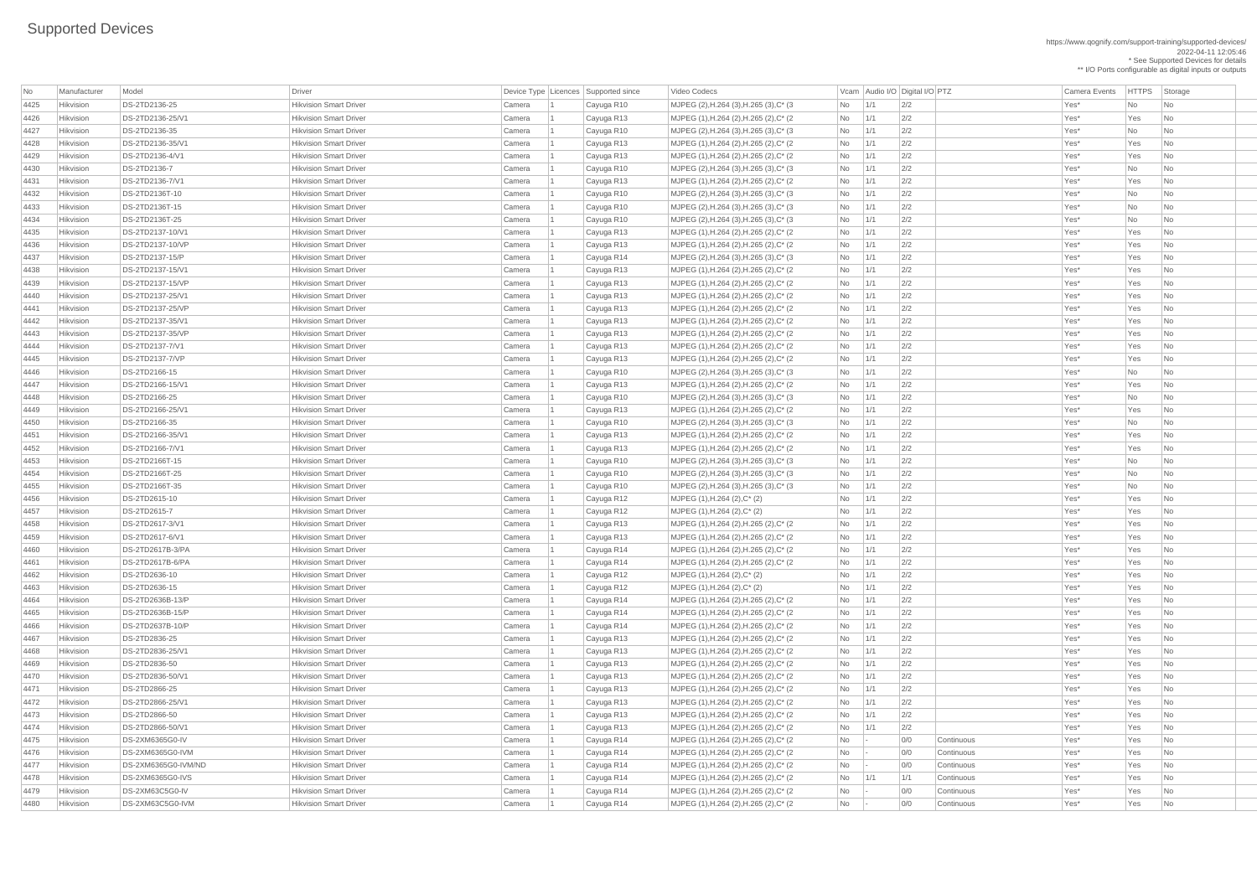https://www.qognify.com/support-training/supported-devices/ 2022-04-11 12:05:46 \* See Supported Devices for details \*\* I/O Ports configurable as digital inputs or outputs

| No   | Manufacturer | Model               | <b>Driver</b>                 |        | Device Type   Licences   Supported since | Video Codecs                            |                          |     | Vcam Audio I/O Digital I/O PTZ |            | <b>Camera Events</b> | HTTPS Sto |                             |
|------|--------------|---------------------|-------------------------------|--------|------------------------------------------|-----------------------------------------|--------------------------|-----|--------------------------------|------------|----------------------|-----------|-----------------------------|
| 4425 | Hikvision    | DS-2TD2136-25       | <b>Hikvision Smart Driver</b> | Camera | Cayuga R10                               | MJPEG (2), H.264 (3), H.265 (3), C* (3) | No                       | 1/1 | 2/2                            |            | Yes*                 | No        | $\overline{\phantom{a}}$ Nc |
| 4426 | Hikvision    | DS-2TD2136-25/V1    | <b>Hikvision Smart Driver</b> | Camera | Cayuga R13                               | MJPEG (1), H.264 (2), H.265 (2), C* (2) | No                       | 1/1 | 2/2                            |            | Yes*                 | Yes       | $\overline{\phantom{a}}$ Nc |
| 4427 | Hikvision    | DS-2TD2136-35       | <b>Hikvision Smart Driver</b> | Camera | Cayuga R10                               | MJPEG (2), H.264 (3), H.265 (3), C* (3) | No                       | 1/1 | 2/2                            |            | Yes*                 | No        | Nc                          |
| 4428 | Hikvision    | DS-2TD2136-35/V1    | <b>Hikvision Smart Driver</b> | Camera | Cayuga R13                               | MJPEG (1), H.264 (2), H.265 (2), C* (2) | No                       | 1/1 | 2/2                            |            | Yes*                 | Yes       | Nc                          |
| 4429 | Hikvision    | DS-2TD2136-4/V1     | <b>Hikvision Smart Driver</b> | Camera | Cayuga R13                               | MJPEG (1), H.264 (2), H.265 (2), C* (2) | No                       | 1/1 | 2/2                            |            | Yes*                 | Yes       | Nc                          |
| 4430 | Hikvision    | DS-2TD2136-7        | <b>Hikvision Smart Driver</b> | Camera | Cayuga R10                               | MJPEG (2), H.264 (3), H.265 (3), C* (3) | No                       | 1/1 | 2/2                            |            | Yes*                 | No        | $\overline{\phantom{a}}$ Nc |
| 4431 | Hikvision    | DS-2TD2136-7/V1     | <b>Hikvision Smart Driver</b> | Camera | Cayuga R13                               | MJPEG (1), H.264 (2), H.265 (2), C* (2) | No                       | 1/1 | 2/2                            |            | Yes*                 | Yes       | $\overline{\phantom{a}}$ Nc |
| 4432 | Hikvision    | DS-2TD2136T-10      | <b>Hikvision Smart Driver</b> | Camera | Cayuga R10                               | MJPEG (2), H.264 (3), H.265 (3), C* (3) | No                       | 1/1 | 2/2                            |            | Yes*                 | No        | $\overline{\phantom{a}}$ Nc |
| 4433 | Hikvision    | DS-2TD2136T-15      | <b>Hikvision Smart Driver</b> | Camera | Cayuga R10                               | MJPEG (2), H.264 (3), H.265 (3), C* (3) | No                       | 1/1 | 2/2                            |            | Yes*                 | No        | $\overline{\phantom{a}}$ Nc |
| 4434 | Hikvision    | DS-2TD2136T-25      | <b>Hikvision Smart Driver</b> | Camera | Cayuga R10                               | MJPEG (2), H.264 (3), H.265 (3), C* (3) | No                       | 1/1 | 2/2                            |            | Yes*                 | No        | <b>Nc</b>                   |
| 4435 | Hikvision    | DS-2TD2137-10/V1    | <b>Hikvision Smart Driver</b> | Camera |                                          | MJPEG (1), H.264 (2), H.265 (2), C* (2) | No                       | 1/1 | 2/2                            |            | Yes*                 | Yes       | $\overline{\phantom{a}}$ Nc |
| 4436 | Hikvision    | DS-2TD2137-10/VP    | <b>Hikvision Smart Driver</b> | Camera | Cayuga R13<br>Cayuga R13                 | MJPEG (1), H.264 (2), H.265 (2), C* (2) | No                       | 1/1 | 2/2                            |            | Yes*                 | Yes       | $\overline{\phantom{a}}$ Nc |
| 4437 | Hikvision    | DS-2TD2137-15/P     | <b>Hikvision Smart Driver</b> | Camera | Cayuga R14                               | MJPEG (2), H.264 (3), H.265 (3), C* (3) | No                       | 1/1 | 2/2                            |            | Yes*                 | Yes       | $\overline{\phantom{a}}$ Nc |
| 4438 | Hikvision    | DS-2TD2137-15/V1    | <b>Hikvision Smart Driver</b> |        |                                          |                                         |                          |     | 2/2                            |            | Yes*                 | Yes       |                             |
|      | Hikvision    | DS-2TD2137-15/VP    | <b>Hikvision Smart Driver</b> | Camera | Cayuga R13                               | MJPEG (1), H.264 (2), H.265 (2), C* (2) | No                       | 1/1 | 2/2                            |            |                      |           | $\overline{\phantom{a}}$ Nc |
| 4439 |              |                     |                               | Camera | Cayuga R13                               | MJPEG (1), H.264 (2), H.265 (2), C* (2) | No                       | 1/1 |                                |            | Yes*                 | Yes       | $\overline{\phantom{a}}$ Nc |
| 4440 | Hikvision    | DS-2TD2137-25/V1    | <b>Hikvision Smart Driver</b> | Camera | Cayuga R13                               | MJPEG (1), H.264 (2), H.265 (2), C* (2) | No                       | 1/1 | 2/2                            |            | Yes*                 | Yes       | $\overline{\phantom{a}}$ Nc |
| 4441 | Hikvision    | DS-2TD2137-25/VP    | <b>Hikvision Smart Driver</b> | Camera | Cayuga R13                               | MJPEG (1), H.264 (2), H.265 (2), C* (2) | No                       | 1/1 | 2/2                            |            | Yes*                 | Yes       | $\overline{\phantom{a}}$ Nc |
| 4442 | Hikvision    | DS-2TD2137-35/V1    | <b>Hikvision Smart Driver</b> | Camera | Cayuga R13                               | MJPEG (1), H.264 (2), H.265 (2), C* (2) | No                       | 1/1 | 2/2                            |            | Yes*                 | Yes       | $\overline{\phantom{a}}$ Nc |
| 4443 | Hikvision    | DS-2TD2137-35/VP    | <b>Hikvision Smart Driver</b> | Camera | Cayuga R13                               | MJPEG (1), H.264 (2), H.265 (2), C* (2) | No                       | 1/1 | 2/2                            |            | Yes*                 | Yes       | $\overline{\phantom{a}}$ Nc |
| 4444 | Hikvision    | DS-2TD2137-7/V1     | <b>Hikvision Smart Driver</b> | Camera | Cayuga R13                               | MJPEG (1), H.264 (2), H.265 (2), C* (2) | No                       | 1/1 | 2/2                            |            | Yes*                 | Yes       | $\overline{\phantom{a}}$ Nc |
| 4445 | Hikvision    | DS-2TD2137-7/VP     | <b>Hikvision Smart Driver</b> | Camera | Cayuga R13                               | MJPEG (1), H.264 (2), H.265 (2), C* (2) | No                       | 1/1 | 2/2                            |            | Yes*                 | Yes       | $\overline{\phantom{a}}$ Nc |
| 4446 | Hikvision    | DS-2TD2166-15       | <b>Hikvision Smart Driver</b> | Camera | Cayuga R10                               | MJPEG (2), H.264 (3), H.265 (3), C* (3) | No                       | 1/1 | 2/2                            |            | Yes*                 | No        | $\overline{\phantom{a}}$ Nc |
| 4447 | Hikvision    | DS-2TD2166-15/V1    | <b>Hikvision Smart Driver</b> | Camera | Cayuga R13                               | MJPEG (1), H.264 (2), H.265 (2), C* (2) | No                       | 1/1 | 2/2                            |            | Yes*                 | Yes       | $\overline{\phantom{a}}$ Nc |
| 4448 | Hikvision    | DS-2TD2166-25       | <b>Hikvision Smart Driver</b> | Camera | Cayuga R10                               | MJPEG (2), H.264 (3), H.265 (3), C* (3) | No                       | 1/1 | 2/2                            |            | Yes*                 | No        | Nc                          |
| 4449 | Hikvision    | DS-2TD2166-25/V1    | <b>Hikvision Smart Driver</b> | Camera | Cayuga R13                               | MJPEG (1), H.264 (2), H.265 (2), C* (2) | No                       | 1/1 | 2/2                            |            | Yes*                 | Yes       | $\overline{\phantom{a}}$ Nc |
| 4450 | Hikvision    | DS-2TD2166-35       | <b>Hikvision Smart Driver</b> | Camera | Cayuga R10                               | MJPEG (2), H.264 (3), H.265 (3), C* (3) | No                       | 1/1 | 2/2                            |            | Yes*                 | No        | Nc                          |
| 4451 | Hikvision    | DS-2TD2166-35/V1    | <b>Hikvision Smart Driver</b> | Camera | Cayuga R13                               | MJPEG (1), H.264 (2), H.265 (2), C* (2) | No                       | 1/1 | 2/2                            |            | Yes*                 | Yes       | $\overline{\phantom{a}}$ Nc |
| 4452 | Hikvision    | DS-2TD2166-7/V1     | <b>Hikvision Smart Driver</b> | Camera | Cayuga R13                               | MJPEG (1), H.264 (2), H.265 (2), C* (2) | No                       | 1/1 | 2/2                            |            | Yes*                 | Yes       | $\overline{\phantom{a}}$ Nc |
| 4453 | Hikvision    | DS-2TD2166T-15      | <b>Hikvision Smart Driver</b> | Camera | Cayuga R10                               | MJPEG (2), H.264 (3), H.265 (3), C* (3) | No                       | 1/1 | 2/2                            |            | Yes*                 | No        | Nc                          |
| 4454 | Hikvision    | DS-2TD2166T-25      | <b>Hikvision Smart Driver</b> | Camera | Cayuga R10                               | MJPEG (2), H.264 (3), H.265 (3), C* (3) | No                       | 1/1 | 2/2                            |            | Yes*                 | <b>No</b> | Nc                          |
| 4455 | Hikvision    | DS-2TD2166T-35      | <b>Hikvision Smart Driver</b> | Camera | Cayuga R10                               | MJPEG (2), H.264 (3), H.265 (3), C* (3) | No                       | 1/1 | 2/2                            |            | Yes*                 | No        | $\overline{\phantom{a}}$ Nc |
| 4456 | Hikvision    | DS-2TD2615-10       | <b>Hikvision Smart Driver</b> | Camera | Cayuga R12                               | MJPEG (1), H.264 (2), C* (2)            | No                       | 1/1 | 2/2                            |            | Yes*                 | Yes       | $\overline{\phantom{a}}$ Nc |
| 4457 | Hikvision    | DS-2TD2615-7        | <b>Hikvision Smart Driver</b> | Camera | Cayuga R12                               | MJPEG (1), H.264 (2), C* (2)            | No                       | 1/1 | 2/2                            |            | Yes*                 | Yes       | $\overline{\phantom{a}}$ Nc |
| 4458 | Hikvision    | DS-2TD2617-3/V1     | <b>Hikvision Smart Driver</b> | Camera | Cayuga R13                               | MJPEG (1), H.264 (2), H.265 (2), C* (2) | No                       | 1/1 | 2/2                            |            | Yes*                 | Yes       | $\overline{\phantom{a}}$ Nc |
| 4459 | Hikvision    | DS-2TD2617-6/V1     | <b>Hikvision Smart Driver</b> | Camera | Cayuga R13                               | MJPEG (1), H.264 (2), H.265 (2), C* (2) | No                       | 1/1 | 2/2                            |            | Yes*                 | Yes       | $\overline{\phantom{a}}$ Nc |
| 4460 | Hikvision    | DS-2TD2617B-3/PA    | <b>Hikvision Smart Driver</b> | Camera | Cayuga R14                               | MJPEG (1), H.264 (2), H.265 (2), C* (2) | No                       | 1/1 | 2/2                            |            | Yes*                 | Yes       | Nc                          |
| 4461 | Hikvision    | DS-2TD2617B-6/PA    | <b>Hikvision Smart Driver</b> | Camera | Cayuga R14                               | MJPEG (1), H.264 (2), H.265 (2), C* (2) | No                       | 1/1 | 2/2                            |            | Yes*                 | Yes       | $\overline{\phantom{a}}$ Nc |
| 4462 | Hikvision    | DS-2TD2636-10       | <b>Hikvision Smart Driver</b> | Camera | Cayuga R12                               | MJPEG (1), H.264 (2), C* (2)            | No                       | 1/1 | 2/2                            |            | Yes*                 | Yes       | $\overline{\phantom{a}}$ Nc |
| 4463 | Hikvision    | DS-2TD2636-15       | <b>Hikvision Smart Driver</b> | Camera | Cayuga R12                               | MJPEG (1), H.264 (2), C* (2)            | No                       | 1/1 | 2/2                            |            | Yes*                 | Yes       | $\overline{\phantom{a}}$ Nc |
| 4464 | Hikvision    | DS-2TD2636B-13/P    | <b>Hikvision Smart Driver</b> | Camera | Cayuga R14                               | MJPEG (1), H.264 (2), H.265 (2), C* (2) | No                       | 1/1 | 2/2                            |            | Yes*                 | Yes       | $\overline{\phantom{a}}$ Nc |
| 4465 | Hikvision    | DS-2TD2636B-15/P    | <b>Hikvision Smart Driver</b> | Camera | Cayuga R14                               | MJPEG (1), H.264 (2), H.265 (2), C* (2) | No                       | 1/1 | 2/2                            |            | Yes*                 | Yes       | $\overline{\phantom{a}}$ Nc |
| 4466 | Hikvision    | DS-2TD2637B-10/P    | <b>Hikvision Smart Driver</b> | Camera | Cayuga R14                               | MJPEG (1), H.264 (2), H.265 (2), C* (2) | No                       | 1/1 | 2/2                            |            | Yes*                 | Yes       | $\overline{\phantom{a}}$ Nc |
| 4467 | Hikvision    | DS-2TD2836-25       | <b>Hikvision Smart Driver</b> | Camera | Cayuga R13                               | MJPEG (1), H.264 (2), H.265 (2), C* (2) | No                       | 1/1 | 2/2                            |            | Yes*                 | Yes       | $\overline{\phantom{a}}$ Nc |
| 4468 | Hikvision    | DS-2TD2836-25/V1    | <b>Hikvision Smart Driver</b> | Camera | Cayuga R13                               | MJPEG (1), H.264 (2), H.265 (2), C* (2) | No                       | 1/1 | 2/2                            |            | Yes*                 | Yes       | $\overline{\phantom{a}}$ Nc |
| 4469 | Hikvision    | DS-2TD2836-50       | <b>Hikvision Smart Driver</b> | Camera | Cayuga R13                               | MJPEG (1), H.264 (2), H.265 (2), C* (2) | No                       | 1/1 | 2/2                            |            | Yes*                 | Yes       | $\overline{\phantom{a}}$ Nc |
| 4470 | Hikvision    | DS-2TD2836-50/V1    | <b>Hikvision Smart Driver</b> | Camera | Cayuga R13                               | MJPEG (1), H.264 (2), H.265 (2), C* (2) | No                       | 1/1 | 2/2                            |            | Yes*                 | Yes       | $\overline{\phantom{a}}$ Nc |
| 4471 | Hikvision    | DS-2TD2866-25       | <b>Hikvision Smart Driver</b> | Camera | Cayuga R13                               | MJPEG (1), H.264 (2), H.265 (2), C* (2) | No                       | 1/1 | 2/2                            |            | Yes*                 | Yes       | $\overline{\phantom{a}}$ Nc |
| 4472 | Hikvision    | DS-2TD2866-25/V1    | <b>Hikvision Smart Driver</b> | Camera | Cayuga R13                               | MJPEG (1), H.264 (2), H.265 (2), C* (2) | No                       | 1/1 | 2/2                            |            | Yes*                 | Yes       | Nc                          |
| 4473 | Hikvision    | DS-2TD2866-50       | <b>Hikvision Smart Driver</b> | Camera | Cayuga R13                               | MJPEG (1), H.264 (2), H.265 (2), C* (2) | No                       | 1/1 | 2/2                            |            | Yes*                 | Yes       | $\overline{\phantom{a}}$ Nc |
| 4474 | Hikvision    | DS-2TD2866-50/V1    | <b>Hikvision Smart Driver</b> | Camera | Cayuga R13                               | MJPEG (1), H.264 (2), H.265 (2), C* (2) | No                       | 1/1 | 2/2                            |            | Yes*                 | Yes       | $\overline{\phantom{a}}$ Nc |
| 4475 | Hikvision    | DS-2XM6365G0-IV     | <b>Hikvision Smart Driver</b> | Camera | Cayuga R14                               | MJPEG (1), H.264 (2), H.265 (2), C* (2) | No                       |     | 0/0                            | Continuous | Yes*                 | Yes       | $\vert$ Nc                  |
| 4476 | Hikvision    | DS-2XM6365G0-IVM    | <b>Hikvision Smart Driver</b> | Camera | Cayuga R14                               | MJPEG (1), H.264 (2), H.265 (2), C* (2) | No l                     |     | 0/0                            | Continuous | Yes*                 | Yes       | Nс                          |
| 4477 | Hikvision    | DS-2XM6365G0-IVM/ND | <b>Hikvision Smart Driver</b> | Camera | Cayuga R14                               | MJPEG (1), H.264 (2), H.265 (2), C* (2) | No                       |     | 0/0                            | Continuous | Yes*                 | Yes       | Nc                          |
| 4478 | Hikvision    | DS-2XM6365G0-IVS    | <b>Hikvision Smart Driver</b> | Camera | Cayuga R14                               | MJPEG (1), H.264 (2), H.265 (2), C* (2) | No                       | 1/1 | 1/1                            | Continuous | Yes*                 | Yes       | $\overline{\phantom{a}}$ Nc |
| 4479 | Hikvision    | DS-2XM63C5G0-IV     | <b>Hikvision Smart Driver</b> | Camera | Cayuga R14                               | MJPEG (1), H.264 (2), H.265 (2), C* (2) | No                       |     | 0/0                            | Continuous | Yes*                 | Yes       | $ $ Nc                      |
| 4480 | Hikvision    | DS-2XM63C5G0-IVM    | <b>Hikvision Smart Driver</b> | Camera | Cayuga R14                               | MJPEG (1), H.264 (2), H.265 (2), C* (2) | $\overline{\mathsf{No}}$ |     | 0/0                            | Continuous | $Yes^*$              | Yes       | $\overline{\phantom{a}}$ Nc |
|      |              |                     |                               |        |                                          |                                         |                          |     |                                |            |                      |           |                             |

Video Codecs **No Manufacturer Model Driver Audio I/O** Digital I/O PTZ Camera Events HTTPS Storage | MJPEG (2),H.264 (3),H.265 (3),C\* (3 No 1/1 2/2 No 1 Cayuga R10 No No No No No |MJPEG (1),H.264 (2),H.265 (2),C\* (2 No 1/1 2/2 No 1 Cayuga R13 Yes\* Yes No 4427 Hikvision DS-2TD2136-35 Hikvision Smart Driver Camera 1 Cayuga R10 MJPEG (2),H.264 (3),H.265 (3),C\* (3 No 1/1 2/2 Yes\* No No | MJPEG (1),H.264 (2),H.265 (2),C\* (2  $\qquad \qquad$  No  $\qquad$  1/1  $\qquad$  2/2  $\qquad \qquad$  Yes\* Yes No | MJPEG (1),H.264 (2),H.265 (2),C\* (2  $\qquad \qquad$  No  $\qquad$  1/1  $\qquad$  2/2  $\qquad \qquad$  Yes\* Yes No | MJPEG (1),H.264 (2),H.265 (2),C\* (2  $\qquad \qquad$  No  $\qquad$  1/1  $\qquad$  2/2  $\qquad \qquad$  Yes\* Yes No 4432 Hikvision DS-2TD2136T-10 Hikvision Smart Driver Camera 1 Cayuga R10 MJPEG (2),H.264 (3),H.265 (3),C\* (3 No 1/1 2/2 Yes\* No No 4433 Hikvision DS-2TD2136T-15 Hikvision Smart Driver Camera 1 Cayuga R10 MJPEG (2),H.264 (3),H.265 (3),C\* (3 No 1/1 2/2 Yes\* No No |MJPEG (2),H.264 (3),H.265 (3),C\* (3 No 1/1 2/2 No 1 Cayuga R10 No No No No | MJPEG (1),H.264 (2),H.265 (2),C\* (2  $\qquad \qquad$  No  $\qquad$  1/1  $\qquad$  2/2  $\qquad \qquad$  Yes\* Yes No | MJPEG (1),H.264 (2),H.265 (2),C\* (2  $\qquad$  No  $\qquad$  1/1  $\qquad$  2/2  $\qquad$  Yes\* Yes No | MJPEG (2),H.264 (3),H.265 (3),C\* (3  $\qquad$  No  $\qquad$  1/1  $\qquad$  2/2  $\qquad$  Yes\* Yes No |MJPEG (1),H.264 (2),H.265 (2),C\* (2 No 1/1 2/2 No 1 Cayuga R13 Yes\* Yes No |MJPEG (1),H.264 (2),H.265 (2),C\* (2 No 1/1 2/2 No 1 Cayuga R13 Yes\* Yes No | MJPEG (1),H.264 (2),H.265 (2),C\* (2  $\qquad \qquad$  No  $\qquad$  1/1  $\qquad$  2/2  $\qquad \qquad$  Yes\* Yes No | MJPEG (1),H.264 (2),H.265 (2),C\* (2  $\qquad \qquad$  No  $\qquad$  1/1  $\qquad$  2/2  $\qquad \qquad$  Yes\* Yes No |MJPEG (1),H.264 (2),H.265 (2),C\* (2 No 1/1 2/2 No 1 Cayuga R13 Yes\* Yes No |MJPEG (1),H.264 (2),H.265 (2),C\* (2 No 1/1 2/2 No 1 Cayuga R13 Yes\* Yes No | MJPEG (1),H.264 (2),H.265 (2),C\* (2  $\qquad \qquad$  No  $\qquad$  1/1  $\qquad$  2/2  $\qquad \qquad$  Yes\* Yes No No 1/1 | MJPEG (1),H.264 (2),H.265 (2),C\* (2  $\qquad \qquad$  No  $\qquad$  1/1  $\qquad$  2/2  $\qquad \qquad$  Yes\* Yes No 4446 Hikvision DS-2TD2166-15 Hikvision Smart Driver Camera 1 Cayuga R10 MJPEG (2),H.264 (3),H.265 (3),C\* (3 No 1/1 2/2 Yes\* No No | MJPEG (1),H.264 (2),H.265 (2),C\* (2  $\qquad \qquad$  No  $\qquad$  1/1  $\qquad$  2/2  $\qquad \qquad$  Yes\* Yes No | MJPEG (2),H.264 (3),H.265 (3),C\* (3 No 1/1 2/2 No 1 Cayuga R10 No No No No No |MJPEG (1),H.264 (2),H.265 (2),C\* (2 No 1/1 2/2 No 1 Cayuga R13 Yes\* Yes No 4450 Hikvision DS-2TD2166-35 Hikvision Smart Driver Camera 1 Cayuga R10 MJPEG (2),H.264 (3),H.265 (3),C\* (3 No 1/1 2/2 Yes\* No No |MJPEG (1),H.264 (2),H.265 (2),C\* (2 No 1/1 2/2 No 1 Cayuga R13 Yes\* Yes No |MJPEG (1),H.264 (2),H.265 (2),C\* (2 No 1/1 2/2 No 1 Cayuga R13 Yes\* Yes No 4453 Hikvision DS-2TD2166T-15 Hikvision Smart Driver Camera 1 Cayuga R10 MJPEG (2),H.264 (3),H.265 (3),C\* (3 No 1/1 2/2 Yes\* No No | MJPEG (2),H.264 (3),H.265 (3),C\* (3  $\qquad$  No  $\qquad$  1/1  $\qquad$  2/2  $\qquad$  Yes\* No No No | MJPEG (2),H.264 (3),H.265 (3),C\* (3 No 1/1 2/2 No 1 Cayuga R10 No No No No |MJPEG (1),H.264 (2),H.265 (2),C\* (2 No 1/1 2/2 No 1 Cayuga R13 Yes\* Yes No |MJPEG (1),H.264 (2),H.265 (2),C\* (2  $\qquad \qquad$  No  $\qquad$  1/1  $\qquad$  2/2  $\qquad \qquad$  Yes\* Yes No No |MJPEG (1),H.264 (2),H.265 (2),C\* (2 No 1/1 2/2 No 1 Cayuga R14 Mo 2011 No 2012 No |MJPEG (1),H.264 (2),H.265 (2),C\* (2 No 1/1 2/2 No 1 Cayuga R14 Mo 2011 No 2012 No |MJPEG (1),H.264 (2),H.265 (2),C\* (2 No 1/1 2/2 No 1 Cayuga R14 Mo 2011 No 2012 No | MJPEG (1),H.264 (2),H.265 (2),C\* (2  $\qquad \qquad$  No  $\qquad$  1/1  $\qquad$  2/2  $\qquad \qquad$  Yes\* Yes No | MJPEG (1),H.264 (2),H.265 (2),C\* (2  $\qquad$  No  $\qquad$  1/1  $\qquad$  2/2  $\qquad$  Yes\* Yes No |MJPEG (1),H.264 (2),H.265 (2),C\* (2  $\qquad \qquad$  No  $\qquad$  1/1  $\qquad$  2/2  $\qquad \qquad$  Yes\* Yes No No 1/1 |MJPEG (1),H.264 (2),H.265 (2),C\* (2 No 1/1 2/2 No 1 Cayuga R13 Yes\* Yes No |MJPEG (1),H.264 (2),H.265 (2),C\* (2  $\qquad \qquad$  No  $\qquad$  1/1  $\qquad$  2/2  $\qquad \qquad$  Yes\* Yes No No 1/1 |MJPEG (1),H.264 (2),H.265 (2),C\* (2 No 1/1 2/2 No 1 Cayuga R13 Yes\* Yes No | MJPEG (1),H.264 (2),H.265 (2),C\* (2  $\qquad \qquad$  No  $\qquad$  1/1  $\qquad$  2/2  $\qquad \qquad$  Yes\* Yes No |MJPEG (1),H.264 (2),H.265 (2),C\* (2 No 1/1 2/2 No 1 Cayuga R13 Yes\* Yes No |MJPEG (1),H.264 (2),H.265 (2),C\* (2  $\qquad \qquad$  No  $\qquad$  1/1  $\qquad$  2/2  $\qquad \qquad$  Yes\* Yes No No 1/1 |MJPEG (1),H.264 (2),H.265 (2),C\* (2 No 1/1 2/2 No 1 Cayuga R13 Yes\* Yes No 4475 Hikvision DS-2XM6365G0-IV Hikvision Smart Driver Camera 1 Cayuga R14 MJPEG (1),H.264 (2),H.265 (2),C\* (2 No - 0/0 Continuous Yes\* Yes No 4476 Hikvision DS-2XM6365G0-IVM Hikvision Smart Driver Camera 1 Cayuga R14 MJPEG (1),H.264 (2),H.265 (2),C\* (2 No - 0/0 Continuous Yes\* Yes No | MJPEG (1),H.264 (2),H.265 (2),C\* (2  $\qquad \qquad$  No  $\qquad$  - 0/0 Continuous Yes\* Yes No 4478 Hikvision DS-2XM6365G0-IVS Hikvision Smart Driver Camera 1 Cayuga R14 MJPEG (1),H.264 (2),H.265 (2),C\* (2 No 1/1 1/1 Continuous Yes\* Yes No 4479 Hikvision DS-2XM63C5G0-IV Hikvision Smart Driver Camera 1 Cayuga R14 MJPEG (1),H.264 (2),H.265 (2),C\* (2 No - 0/0 Continuous Yes\* Yes No 4480 Hikvision DS-2XM63C5G0-IVM Hikvision Smart Driver Camera 1 Cayuga R14 MJPEG (1),H.264 (2),H.265 (2),C\* (2 No - 0/0 Continuous Yes\* Yes No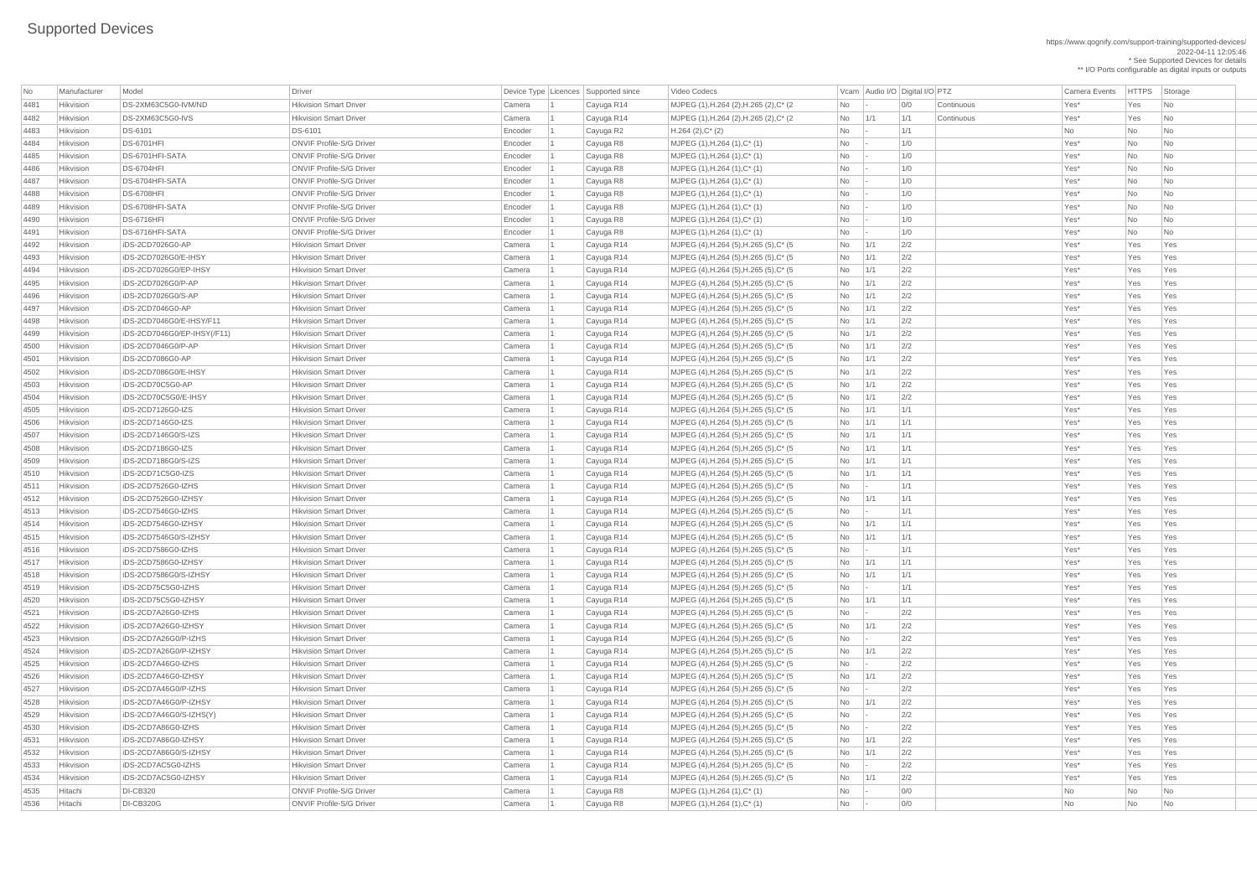https://www.qognify.com/support-training/supported-devices/ 2022-04-11 12:05:46 \* See Supported Devices for details \*\* I/O Ports configurable as digital inputs or outputs

Video Codecs **No Manufacturer Model Driver Audio I/O** Digital I/O PTZ Camera Events HTTPS Storage | MJPEG (1),H.264 (2),H.265 (2),C\* (2  $\qquad \qquad$  No  $\qquad$  - 0/0 Continuous Yes\* Yes No 4482 Hikvision DS-2XM63C5G0-IVS Hikvision Smart Driver Camera 1 Cayuga R14 MJPEG (1),H.264 (2),H.265 (2),C\* (2 No 1/1 1/1 Continuous Yes\* Yes No | MJPEG (4),H.264 (5),H.265 (5),C\* (5  $\qquad$  No  $\qquad$  1/1  $\qquad$  2/2  $\qquad$  Yes Yes Yes Yes Yes Yes | MJPEG (4),H.264 (5),H.265 (5),C\* (5  $\qquad$  No  $\qquad$  1/1  $\qquad$  2/2  $\qquad$  Yes\* Yes Yes Yes Yes | MJPEG (4),H.264 (5),H.265 (5),C\* (5  $\qquad$  No  $\qquad$  1/1  $\qquad$  2/2  $\qquad$  Yes\* Yes Yes Yes Yes | MJPEG (4),H.264 (5),H.265 (5),C\* (5  $\qquad$  No  $\qquad$  1/1  $\qquad$  2/2  $\qquad$  Yes\* Yes Yes Yes | MJPEG (4),H.264 (5),H.265 (5),C\* (5  $\vert$  No  $\vert$  1/1  $\vert$  2/2  $\vert$   $\vert$  20  $\vert$  Yes\*  $\vert$  Yes Yes Yes | MJPEG (4),H.264 (5),H.265 (5),C\* (5  $\blacksquare$  No  $\blacksquare$  1/1  $\blacksquare$  2/2  $\blacksquare$  Yes\* Yes Yes Yes Yes | MJPEG (4),H.264 (5),H.265 (5),C\* (5  $\qquad$  No  $\qquad$  1/1  $\qquad$  2/2  $\qquad$  Yes Yes Yes Yes Yes Yes | MJPEG (4),H.264 (5),H.265 (5),C\* (5  $\qquad \qquad$  No  $\qquad$  1/1  $\qquad$  2/2  $\qquad \qquad$  Yes\* Yes Yes Yes | MJPEG (4),H.264 (5),H.265 (5),C\* (5  $\qquad$  No  $\qquad$  1/1  $\qquad$  2/2  $\qquad$  Yes\* Yes Yes Yes | MJPEG (4),H.264 (5),H.265 (5),C\* (5  $\qquad$  No  $\qquad$  1/1  $\qquad$  2/2  $\qquad$  Yes\* Yes Yes Yes | MJPEG (4),H.264 (5),H.265 (5),C\* (5  $\vert$  No  $\vert$  1/1  $\vert$  2/2  $\vert$   $\vert$  20  $\vert$  Yes\*  $\vert$  Yes Yes Yes | MJPEG (4),H.264 (5),H.265 (5),C\* (5  $\vert$  No  $\vert$  1/1  $\vert$  2/2  $\vert$   $\vert$  20  $\vert$  Yes\*  $\vert$  Yes Yes Yes | MJPEG (4),H.264 (5),H.265 (5),C\* (5  $\qquad$  No  $\qquad$  1/1  $\qquad$  2/2  $\qquad$  Yes\* Yes Yes Yes Yes | MJPEG (4),H.264 (5),H.265 (5),C\* (5  $\qquad$  No 1/1 1/1 1/1  $\qquad$  No 1/1 1/1  $\qquad$  Yes\* Yes Yes Yes | MJPEG (4),H.264 (5),H.265 (5),C\* (5  $\qquad$  No 1/1 1/1 1/1  $\qquad$  No 1/1 1/1  $\qquad$  Yes\* Yes Yes Yes 4507 Hikvision iDS-2CD7146G0/S-IZS Hikvision Smart Driver Camera 1 Cayuga R14 MJPEG (4),H.264 (5),H.265 (5),C\* (5 No 1/1 1/1 Yes\* Yes Yes | MJPEG (4),H.264 (5),H.265 (5),C\* (5  $\vert$  No  $\vert$  1/1  $\vert$  1/1  $\vert$  1/1  $\vert$  1/1  $\vert$  Yes\*  $\vert$  Yes Yes Yes | MJPEG (4),H.264 (5),H.265 (5),C\* (5  $\sqrt{ }$  No  $\sqrt{ }$  1/1  $\sqrt{ }$  1/1  $\sqrt{ }$  1/1  $\sqrt{ }$  Yes\*  $\sqrt{ }$  Yes Yes Yes | MJPEG (4),H.264 (5),H.265 (5),C\* (5  $\qquad$  No  $\qquad$  1/1  $\qquad$  1/1  $\qquad$  1/1  $\qquad$  Yes\* Yes Yes Yes | MJPEG (4),H.264 (5),H.265 (5),C\* (5  $\qquad$  No  $\qquad$  - 1/1  $\qquad$  1/1 Yes\* Yes Yes Yes | MJPEG (4),H.264 (5),H.265 (5),C\* (5  $\qquad \qquad$  No  $\qquad$  1/1  $\qquad$  1/1  $\qquad$  1/1  $\qquad$  Yes\* Yes Yes Yes | MJPEG (4),H.264 (5),H.265 (5),C\* (5  $\qquad$  No  $\qquad$  - 1/1  $\qquad$  1/1 Yes\* Yes Yes Yes 4514 Hikvision iDS-2CD7546G0-IZHSY Hikvision Smart Driver Camera 1 Cayuga R14 MJPEG (4),H.264 (5),H.265 (5),C\* (5 No 1/1 1/1 Yes\* Yes Yes | MJPEG (4),H.264 (5),H.265 (5),C\* (5  $\sqrt{ }$  No  $\sqrt{ }$  1/1  $\sqrt{ }$  1/1  $\sqrt{ }$  1/1  $\sqrt{ }$  Yes\*  $\sqrt{ }$  Yes Yes Yes | MJPEG (4),H.264 (5),H.265 (5),C\* (5  $\qquad$  No  $\qquad$  - 1/1  $\qquad$  1/1 Yes\* Yes Yes Yes | MJPEG (4),H.264 (5),H.265 (5),C\* (5  $\qquad$  No 1/1 1/1 1/1  $\qquad$  No 1/1 1/1  $\qquad$  Yes\* Yes Yes Yes | MJPEG (4),H.264 (5),H.265 (5),C\* (5  $\qquad$  No  $\qquad$  1/1  $\qquad$  1/1  $\qquad$  1/1  $\qquad$  Yes\* Yes Yes Yes | MJPEG (4),H.264 (5),H.265 (5),C\* (5  $\qquad$  No  $\qquad$  - 1/1  $\qquad$  1/1 Yes\* Yes Yes Yes 4520 Hikvision iDS-2CD75C5G0-IZHSY Hikvision Smart Driver Camera 1 Cayuga R14 MJPEG (4),H.264 (5),H.265 (5),C\* (5 No 1/1 1/1 Yes\* Yes Yes | MJPEG (4),H.264 (5),H.265 (5),C\* (5  $\qquad \qquad$  No  $\qquad$  -  $\qquad$  2/2 Yes\* Yes Yes Yes Yes | MJPEG (4),H.264 (5),H.265 (5),C\* (5  $\qquad$  No  $\qquad$  1/1  $\qquad$  2/2  $\qquad$  Yes\* Yes Yes Yes Yes | MJPEG (4),H.264 (5),H.265 (5),C\* (5  $\qquad$  No  $\qquad$  -  $\qquad$  2/2  $\qquad$  Yes Yes Yes Yes Yes Yes | MJPEG (4),H.264 (5),H.265 (5),C\* (5  $\hbox{No}$  | 1/1  $\hbox{2/2}$  | Yes Yes Yes Yes Yes Yes 4526 Hikvision iDS-2CD7A46G0-IZHSY Hikvision Smart Driver Camera 1 Cayuga R14 MJPEG (4),H.264 (5),H.265 (5),C\* (5 No 1/1 2/2 Yes\* Yes Yes | MJPEG (4),H.264 (5),H.265 (5),C\* (5  $\qquad$   $\qquad$   $\qquad$   $\qquad$   $\qquad$   $\qquad$   $\qquad$   $\qquad$   $\qquad$   $\qquad$   $\qquad$   $\qquad$   $\qquad$   $\qquad$   $\qquad$   $\qquad$   $\qquad$   $\qquad$   $\qquad$   $\qquad$   $\qquad$   $\qquad$   $\qquad$   $\qquad$   $\qquad$   $\qquad$   $\qquad$   $\qquad$   $\qquad$   $\qquad$   $\qquad$ | MJPEG (4),H.264 (5),H.265 (5),C\* (5  $\qquad \qquad$  No  $\qquad$  1/1  $\qquad$  2/2  $\qquad \qquad$  Yes\* Yes Yes Yes | MJPEG (4),H.264 (5),H.265 (5),C\* (5  $\qquad$  No  $\qquad$  - 2/2  $\qquad$  Yes\* Yes Yes Yes | MJPEG (4),H.264 (5),H.265 (5),C\* (5  $\qquad \qquad$  No  $\qquad$  -  $\qquad$  2/2 Yes\* Yes Yes Yes Yes | MJPEG (4),H.264 (5),H.265 (5),C\* (5  $\qquad \qquad$  No  $\qquad$  1/1  $\qquad$  2/2  $\qquad \qquad$  Yes\* Yes Yes Yes | MJPEG (4),H.264 (5),H.265 (5),C\* (5  $\qquad$  No  $\qquad$  1/1  $\qquad$  2/2  $\qquad$  Yes\* Yes Yes Yes | MJPEG (4),H.264 (5),H.265 (5),C\* (5  $\qquad$  No  $\qquad$  - 2/2  $\qquad$  21 No  $\qquad$  Yes\* Yes Yes Yes 4534 Hikvision iDS-2CD7AC5G0-IZHSY Hikvision Smart Driver Camera 1 Cayuga R14 MJPEG (4),H.264 (5),H.265 (5),C\* (5 No 1/1 2/2 Yes\* Yes Yes

| No   | Manufacturer     | Model                       | Driver                          |         | Device Type Licences Supported since | Video Codecs                                |           |             | Vcam Audio I/O Digital I/O PTZ |            | <b>Camera Events</b> | HTTPS Sto |                          |
|------|------------------|-----------------------------|---------------------------------|---------|--------------------------------------|---------------------------------------------|-----------|-------------|--------------------------------|------------|----------------------|-----------|--------------------------|
| 448' | Hikvision        | DS-2XM63C5G0-IVM/ND         | <b>Hikvision Smart Driver</b>   | Camera  | Cayuga R14                           | MJPEG (1), H.264 (2), H.265 (2), C* (2)     | No        |             | 0/0                            | Continuous | Yes*                 | Yes       | $\overline{\mathsf{No}}$ |
| 4482 | Hikvision        | DS-2XM63C5G0-IVS            | <b>Hikvision Smart Driver</b>   | Camera  | Cayuga R14                           | MJPEG (1), H.264 (2), H.265 (2), C* (2)     | No        | 1/1         | 1/1                            | Continuous | Yes*                 | Yes       | No                       |
| 4483 | Hikvision        | DS-6101                     | <b>DS-6101</b>                  | Encoder | Cayuga R2                            | $H.264 (2), C^*(2)$                         | No        |             | 1/1                            |            | No                   | No        | No                       |
| 4484 | Hikvision        | <b>DS-6701HFI</b>           | <b>ONVIF Profile-S/G Driver</b> | Encoder | Cayuga R8                            | MJPEG (1), H.264 (1), C* (1)                | No        |             | 1/0                            |            | Yes*                 | No        | No                       |
| 4485 | Hikvision        | DS-6701HFI-SATA             | <b>ONVIF Profile-S/G Driver</b> | Encoder | Cayuga R8                            | $MJPEG (1), H.264 (1), C^* (1)$             | No        |             | 1/0                            |            | Yes*                 | No        | No                       |
| 4486 | Hikvision        | <b>DS-6704HFI</b>           | <b>ONVIF Profile-S/G Driver</b> | Encoder | Cayuga R8                            | MJPEG (1), H.264 (1), C* (1)                | No        |             | 1/0                            |            | Yes*                 | No        | <b>No</b>                |
| 4487 | Hikvision        | DS-6704HFI-SATA             | <b>ONVIF Profile-S/G Driver</b> | Encoder | Cayuga R8                            | MJPEG (1), H.264 (1), C* (1)                | No        |             | 1/0                            |            | Yes*                 | No        | No                       |
| 4488 | Hikvision        | <b>DS-6708HFI</b>           | <b>ONVIF Profile-S/G Driver</b> | Encoder | Cayuga R8                            | MJPEG (1), H.264 (1), C* (1)                | No        |             | 1/0                            |            | Yes*                 | No        | No                       |
| 4489 | Hikvision        | DS-6708HFI-SATA             | <b>ONVIF Profile-S/G Driver</b> | Encoder | Cayuga R8                            | MJPEG (1), H.264 (1), C* (1)                | No        |             | 1/0                            |            | Yes*                 | No        | <b>No</b>                |
| 4490 | Hikvision        | <b>DS-6716HFI</b>           | <b>ONVIF Profile-S/G Driver</b> | Encoder | Cayuga R8                            | $ $ MJPEG (1), H.264 (1), C* (1)            | No        |             | 1/0                            |            | Yes*                 | No        | No                       |
| 4491 | Hikvision        | DS-6716HFI-SATA             | <b>ONVIF Profile-S/G Driver</b> | Encoder | Cayuga R8                            | $MJPEG (1), H.264 (1), C^*(1)$              | No        |             | 1/0                            |            | Yes*                 | No        | No                       |
| 4492 | Hikvision        | <b>iDS-2CD7026G0-AP</b>     | <b>Hikvision Smart Driver</b>   | Camera  | Cayuga R14                           | MJPEG (4), H.264 (5), H.265 (5), C* (5)     | No        | 1/1         | 2/2                            |            | Yes*                 | Yes       | Yes                      |
| 4493 | Hikvision        | IDS-2CD7026G0/E-IHSY        | <b>Hikvision Smart Driver</b>   | Camera  | Cayuga R14                           | MJPEG (4), H.264 (5), H.265 (5), C* (5)     | No        | 1/1         | 2/2                            |            | Yes*                 | Yes       | Yes                      |
| 4494 | Hikvision        | iDS-2CD7026G0/EP-IHSY       | <b>Hikvision Smart Driver</b>   | Camera  | Cayuga R14                           | MJPEG (4), H.264 (5), H.265 (5), C* (5)     | <b>No</b> | 1/1         | 2/2                            |            | Yes*                 | Yes       | <b>Yes</b>               |
| 4495 | Hikvision        | <b>iDS-2CD7026G0/P-AP</b>   | <b>Hikvision Smart Driver</b>   | Camera  | Cayuga R14                           | MJPEG (4), H.264 (5), H.265 (5), C* (5)     | No        | 1/1         | 2/2                            |            | Yes*                 | Yes       | Yes                      |
| 4496 | Hikvision        | <b>iDS-2CD7026G0/S-AP</b>   | <b>Hikvision Smart Driver</b>   | Camera  | Cayuga R14                           | $ $ MJPEG (4), H.264 (5), H.265 (5), C* (5) | No        | 1/1         | 2/2                            |            | Yes*                 | Yes       | Yes                      |
| 4497 | Hikvision        | IDS-2CD7046G0-AP            | <b>Hikvision Smart Driver</b>   | Camera  | Cayuga R14                           | MJPEG (4), H.264 (5), H.265 (5), C* (5)     | No        | 1/1         | 2/2                            |            | Yes*                 | Yes       | Yes                      |
| 4498 | Hikvision        | iDS-2CD7046G0/E-IHSY/F11    | <b>Hikvision Smart Driver</b>   | Camera  | Cayuga R14                           | MJPEG (4), H.264 (5), H.265 (5), C* (5)     | No        | 1/1         | 2/2                            |            | Yes*                 | Yes       | Yes                      |
| 4499 | Hikvision        | IDS-2CD7046G0/EP-IHSY(/F11) | <b>Hikvision Smart Driver</b>   | Camera  | Cayuga R14                           | MJPEG (4), H.264 (5), H.265 (5), C* (5)     | No        | 1/1         | 2/2                            |            | Yes*                 | Yes       | Yes                      |
| 4500 | Hikvision        | IDS-2CD7046G0/P-AP          | <b>Hikvision Smart Driver</b>   | Camera  | Cayuga R14                           | MJPEG (4), H.264 (5), H.265 (5), C* (5)     | No        | 1/1         | 2/2                            |            | Yes*                 | Yes       | Yes                      |
| 4501 | Hikvision        | IDS-2CD7086G0-AP            | <b>Hikvision Smart Driver</b>   | Camera  | Cayuga R14                           | MJPEG (4), H.264 (5), H.265 (5), C* (5)     | No        | 1/1         | 2/2                            |            | Yes*                 | Yes       | Yes                      |
| 4502 | Hikvision        | IDS-2CD7086G0/E-IHSY        | <b>Hikvision Smart Driver</b>   | Camera  | Cayuga R14                           | MJPEG (4), H.264 (5), H.265 (5), C* (5)     | No        | 1/1         | 2/2                            |            | Yes*                 | Yes       | Yes                      |
| 4503 | Hikvision        | IDS-2CD70C5G0-AP            | <b>Hikvision Smart Driver</b>   | Camera  | Cayuga R14                           | MJPEG (4), H.264 (5), H.265 (5), C* (5)     | No        | 1/1         | 2/2                            |            | Yes*                 | Yes       | Yes                      |
| 4504 | Hikvision        | IDS-2CD70C5G0/E-IHSY        | <b>Hikvision Smart Driver</b>   | Camera  | Cayuga R14                           | MJPEG (4), H.264 (5), H.265 (5), C* (5)     | No        | 1/1         | 2/2                            |            | Yes*                 | Yes       | Yes                      |
| 4505 | Hikvision        | iDS-2CD7126G0-IZS           | <b>Hikvision Smart Driver</b>   | Camera  | Cayuga R14                           | MJPEG (4), H.264 (5), H.265 (5), C* (5)     | No        | 1/1         | 1/1                            |            | Yes*                 | Yes       | Yes                      |
| 4506 | Hikvision        | iDS-2CD7146G0-IZS           | <b>Hikvision Smart Driver</b>   | Camera  | Cayuga R14                           | MJPEG (4), H.264 (5), H.265 (5), C* (5)     | No        | 1/1         | 1/1                            |            | Yes*                 | Yes       | Yes                      |
| 4507 | Hikvision        | iDS-2CD7146G0/S-IZS         | <b>Hikvision Smart Driver</b>   | Camera  | Cayuga R14                           | MJPEG (4), H.264 (5), H.265 (5), C* (5)     | No        | 1/1         | 1/1                            |            | Yes*                 | Yes       | Yes                      |
| 4508 | Hikvision        | DS-2CD7186G0-IZS            | <b>Hikvision Smart Driver</b>   | Camera  | Cayuga R14                           | MJPEG (4), H.264 (5), H.265 (5), C* (5)     | No        | 1/1         | 1/1                            |            | Yes*                 | Yes       | Yes                      |
| 4509 | Hikvision        | iDS-2CD7186G0/S-IZS         | <b>Hikvision Smart Driver</b>   | Camera  | Cayuga R14                           | MJPEG (4), H.264 (5), H.265 (5), C* (5)     | No        | 1/1         | 1/1                            |            | Yes*                 | Yes       | <b>Yes</b>               |
| 4510 | Hikvision        | iDS-2CD71C5G0-IZS           | <b>Hikvision Smart Driver</b>   | Camera  | Cayuga R14                           | MJPEG (4), H.264 (5), H.265 (5), C* (5)     | No        | 1/1         | 1/1                            |            | Yes*                 | Yes       | Yes                      |
| 4511 | Hikvision        | iDS-2CD7526G0-IZHS          | <b>Hikvision Smart Driver</b>   | Camera  | Cayuga R14                           | MJPEG (4), H.264 (5), H.265 (5), C* (5)     | No        |             | 1/1                            |            | Yes*                 | Yes       | <b>Yes</b>               |
| 4512 | Hikvision        | IDS-2CD7526G0-IZHSY         | <b>Hikvision Smart Driver</b>   | Camera  | Cayuga R14                           | MJPEG (4), H.264 (5), H.265 (5), C* (5)     | No        | 1/1         | 1/1                            |            | Yes*                 | Yes       | Yes                      |
| 4513 | Hikvision        | DS-2CD7546G0-IZHS           | <b>Hikvision Smart Driver</b>   | Camera  | Cayuga R14                           | MJPEG (4), H.264 (5), H.265 (5), C* (5)     | No        |             | 1/1                            |            | Yes*                 | Yes       | Yes                      |
| 4514 | Hikvision        | IDS-2CD7546G0-IZHSY         | <b>Hikvision Smart Driver</b>   | Camera  | Cayuga R14                           | MJPEG (4), H.264 (5), H.265 (5), C* (5)     | No        | 1/1         | 1/1                            |            | Yes*                 | Yes       | Yes                      |
| 4515 | Hikvision        | iDS-2CD7546G0/S-IZHSY       | <b>Hikvision Smart Driver</b>   | Camera  | Cayuga R14                           | MJPEG (4), H.264 (5), H.265 (5), C* (5)     | No        | $\vert$ 1/1 | 1/1                            |            | $Yes^*$              | Yes       | <b>Yes</b>               |
| 4516 | Hikvision        | DS-2CD7586G0-IZHS           | <b>Hikvision Smart Driver</b>   | Camera  | Cayuga R14                           | MJPEG (4), H.264 (5), H.265 (5), C* (5)     | No        |             | 1/1                            |            | Yes*                 | Yes       | Yes                      |
| 4517 | Hikvision        | IDS-2CD7586G0-IZHSY         | <b>Hikvision Smart Driver</b>   | Camera  | Cayuga R14                           | MJPEG (4), H.264 (5), H.265 (5), C* (5)     | No        | 1/1         | 1/1                            |            | Yes*                 | Yes       | Yes                      |
| 4518 | Hikvision        | iDS-2CD7586G0/S-IZHSY       | <b>Hikvision Smart Driver</b>   | Camera  | Cayuga R14                           | MJPEG (4), H.264 (5), H.265 (5), C* (5)     | No        | 1/1         | 1/1                            |            | Yes*                 | Yes       | Yes                      |
| 4519 | Hikvision        | DS-2CD75C5G0-IZHS           | <b>Hikvision Smart Driver</b>   | Camera  | Cayuga R14                           | MJPEG (4), H.264 (5), H.265 (5), C* (5)     | No        |             | 1/1                            |            | Yes*                 | Yes       | Yes                      |
| 4520 | Hikvision        | IDS-2CD75C5G0-IZHSY         | <b>Hikvision Smart Driver</b>   | Camera  | Cayuga R14                           | MJPEG (4), H.264 (5), H.265 (5), C* (5)     | No        | 1/1         | 1/1                            |            | Yes*                 | Yes       | Yes                      |
| 4521 | Hikvision        | DS-2CD7A26G0-IZHS           | <b>Hikvision Smart Driver</b>   | Camera  | Cayuga R14                           | MJPEG (4), H.264 (5), H.265 (5), C* (5)     | No        |             | 2/2                            |            | Yes*                 | Yes       | <b>Yes</b>               |
| 4522 | Hikvision        | iDS-2CD7A26G0-IZHSY         | <b>Hikvision Smart Driver</b>   | Camera  | Cayuga R14                           | MJPEG (4), H.264 (5), H.265 (5), C* (5)     | No        | 1/1         | 2/2                            |            | Yes*                 | Yes       | <b>Yes</b>               |
| 4523 | Hikvision        | iDS-2CD7A26G0/P-IZHS        | <b>Hikvision Smart Driver</b>   | Camera  | Cayuga R14                           | MJPEG (4), H.264 (5), H.265 (5), C* (5)     | No        |             | 2/2                            |            | Yes*                 | Yes       | <b>Yes</b>               |
| 4524 | Hikvision        | iDS-2CD7A26G0/P-IZHSY       | <b>Hikvision Smart Driver</b>   | Camera  | Cayuga R14                           | MJPEG (4), H.264 (5), H.265 (5), C* (5)     | No        | 1/1         | 2/2                            |            | Yes*                 | Yes       | Yes                      |
| 4525 | Hikvision        | DS-2CD7A46G0-IZHS           | <b>Hikvision Smart Driver</b>   | Camera  | Cayuga R14                           | MJPEG (4), H.264 (5), H.265 (5), C* (5)     | No        |             | 2/2                            |            | Yes*                 | Yes       | Yes                      |
| 4526 | Hikvision        | IDS-2CD7A46G0-IZHSY         | <b>Hikvision Smart Driver</b>   | Camera  | Cayuga R14                           | MJPEG (4), H.264 (5), H.265 (5), C* (5)     | <b>No</b> | 1/1         | 2/2                            |            | Yes*                 | Yes       | Yes                      |
| 4527 | Hikvision        | iDS-2CD7A46G0/P-IZHS        | <b>Hikvision Smart Driver</b>   | Camera  | Cayuga R14                           | MJPEG (4), H.264 (5), H.265 (5), C* (5)     | No        |             | 2/2                            |            | Yes*                 | Yes       | <b>Yes</b>               |
| 4528 | Hikvision        | iDS-2CD7A46G0/P-IZHSY       | <b>Hikvision Smart Driver</b>   | Camera  | Cayuga R14                           | MJPEG (4), H.264 (5), H.265 (5), C* (5)     | No        | 1/1         | 2/2                            |            | Yes*                 | Yes       | <b>Yes</b>               |
| 4529 | Hikvision        | iDS-2CD7A46G0/S-IZHS(Y)     | <b>Hikvision Smart Driver</b>   | Camera  | Cayuga R14                           | MJPEG (4), H.264 (5), H.265 (5), C* (5)     | No        |             | 2/2                            |            | Yes*                 | Yes       | Yes                      |
| 4530 | Hikvision        | DS-2CD7A86G0-IZHS           | <b>Hikvision Smart Driver</b>   | Camera  | Cayuga R14                           | MJPEG (4), H.264 (5), H.265 (5), C* (5)     | No        |             | 2/2                            |            | Yes*                 | Yes       | Yes                      |
| 4531 | Hikvision        | IDS-2CD7A86G0-IZHSY         | <b>Hikvision Smart Driver</b>   | Camera  | Cayuga R14                           | MJPEG (4), H.264 (5), H.265 (5), C* (5)     | No        | $\vert$ 1/1 | 2/2                            |            | Yes*                 | Yes       | Yes                      |
| 4532 | <b>Hikvision</b> | iDS-2CD7A86G0/S-IZHSY       | <b>Hikvision Smart Driver</b>   | Camera  | Cayuga R14                           | MJPEG (4), H.264 (5), H.265 (5), C* (5)     | No l      | $\vert$ 1/1 | 2/2                            |            | Yes*                 | Yes       |                          |
| 4533 | Hikvision        | <b>iDS-2CD7AC5G0-IZHS</b>   | <b>Hikvision Smart Driver</b>   | Camera  | Cayuga R14                           | MJPEG (4), H.264 (5), H.265 (5), C* (5)     | No        | $\sim$      | 2/2                            |            | Yes <sup>*</sup>     | Yes       | Yes                      |
| 4534 | Hikvision        | iDS-2CD7AC5G0-IZHSY         | <b>Hikvision Smart Driver</b>   | Camera  | Cayuga R14                           | MJPEG (4), H.264 (5), H.265 (5), C* (5)     | No        | 1/1         | 2/2                            |            | Yes <sup>*</sup>     | Yes       | Yes                      |
| 4535 | Hitachi          | $DI-CB320$                  | <b>ONVIF Profile-S/G Driver</b> | Camera  | Cayuga R8                            | $ $ MJPEG (1), H.264 (1), C* (1)            | No        |             | 0/0                            |            | No                   | No        | N <sub>o</sub>           |
| 4536 | Hitachi          | <b>DI-CB320G</b>            | <b>ONVIF Profile-S/G Driver</b> | Camera  | Cayuga R8                            | $MJPEG (1), H.264 (1), C^*(1)$              | No        |             | 0/0                            |            | No                   | No        | N <sub>o</sub>           |
|      |                  |                             |                                 |         |                                      |                                             |           |             |                                |            |                      |           |                          |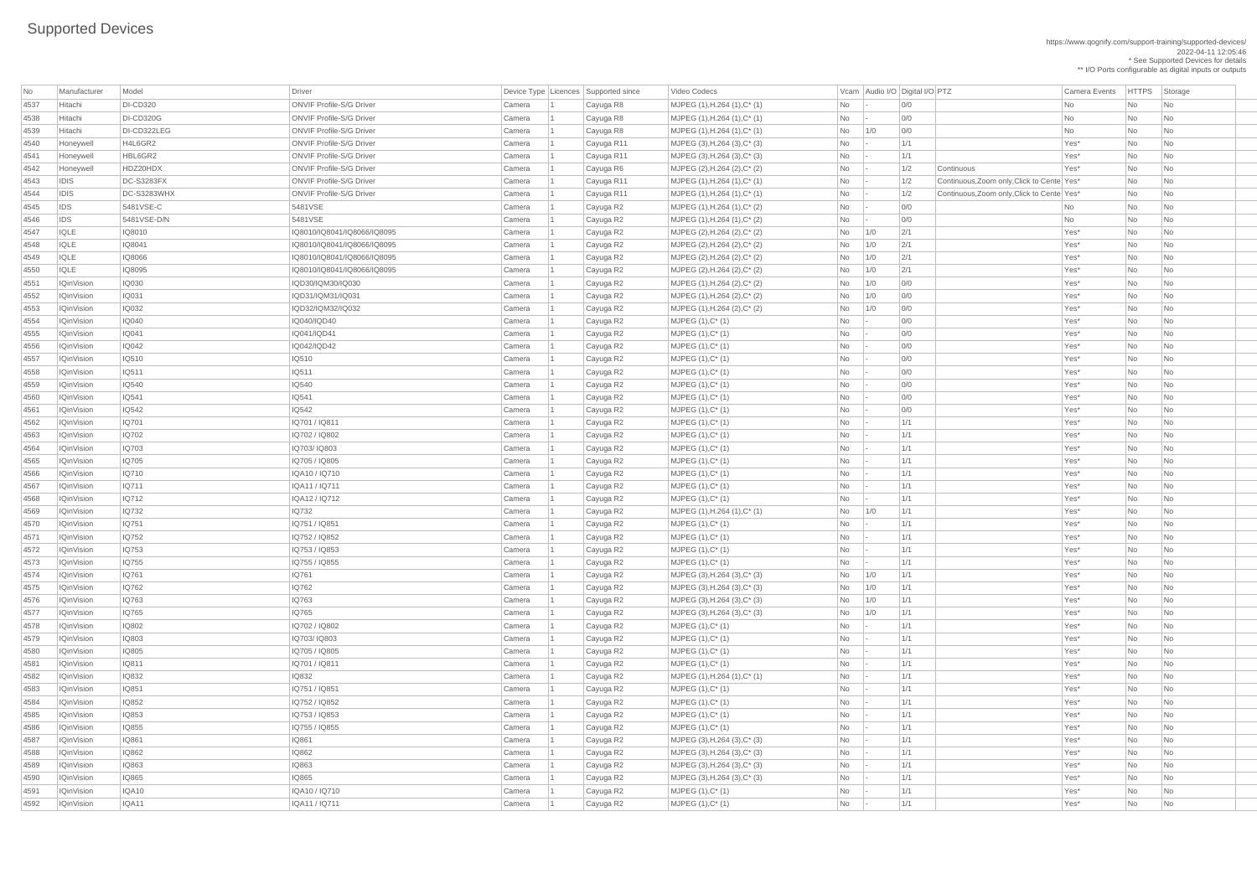| <b>No</b>    | Manufacturer                           | Model                 | Driver                          |                  | Device Type Licences Supported since | Video Codecs                                 |                | Vcam Audio I/O Digital I/O PTZ |            |                                            | Camera Events    | <b>HTTPS</b> | Storage                  |
|--------------|----------------------------------------|-----------------------|---------------------------------|------------------|--------------------------------------|----------------------------------------------|----------------|--------------------------------|------------|--------------------------------------------|------------------|--------------|--------------------------|
| 4537         | Hitachi                                | <b>DI-CD320</b>       | <b>ONVIF Profile-S/G Driver</b> | Camera           | Cayuga R8                            | MJPEG (1), H.264 (1), C* (1)                 | No             |                                | 0/0        |                                            | No               | No           | No                       |
| 4538         | Hitachi                                | <b>DI-CD320G</b>      | <b>ONVIF Profile-S/G Driver</b> | Camera           | Cayuga R8                            | $MJPEG (1), H.264 (1), C^*(1)$               | No             |                                | 0/0        |                                            | <b>No</b>        | <b>No</b>    | No.                      |
| 4539         | Hitachi                                | DI-CD322LEG           | <b>ONVIF Profile-S/G Driver</b> | Camera           | Cayuga R8                            | MJPEG $(1)$ , H.264 $(1)$ , C* $(1)$         | No             | 1/0                            | 0/0        |                                            | No               | No           | No                       |
| 4540         | Honeywell                              | H4L6GR2               | <b>ONVIF Profile-S/G Driver</b> | Camera           | Cayuga R11                           | $MJPEG (3), H.264 (3), C^*(3)$               | No             |                                | 1/1        |                                            | Yes*             | No           | No                       |
| 4541         | Honeywell                              | HBL6GR2               | <b>ONVIF Profile-S/G Driver</b> | Camera           | Cayuga R11                           | MJPEG $(3)$ , H.264 $(3)$ , C* $(3)$         | No             |                                | 1/1        |                                            | Yes*             | <b>No</b>    | No                       |
| 4542         | Honeywell                              | HDZ20HDX              | <b>ONVIF Profile-S/G Driver</b> | Camera           | Cayuga R6                            | MJPEG (2), H.264 (2), C* (2)                 | No             |                                | 1/2        | Continuous                                 | Yes*             | No           | No                       |
| 4543         | <b>IDIS</b>                            | <b>DC-S3283FX</b>     | <b>ONVIF Profile-S/G Driver</b> | Camera           | Cayuga R11                           | $MJPEG (1), H.264 (1), C^* (1)$              | <b>No</b>      |                                | 1/2        | Continuous, Zoom only, Click to Cente Yes* |                  | <b>No</b>    | No                       |
| 4544         | <b>IDIS</b>                            | DC-S3283WHX           | <b>ONVIF Profile-S/G Driver</b> | Camera           | Cayuga R11                           | MJPEG (1), H.264 (1), C* (1)                 | No             |                                | 1/2        | Continuous, Zoom only, Click to Cente Yes* |                  | <b>No</b>    | No                       |
| 4545         | <b>IDS</b>                             | 5481VSE-C             | 5481VSE                         | Camera           | Cayuga R2                            | $MJPEG (1), H.264 (1), C^*(2)$               | No             |                                | 0/0        |                                            | No               | <b>No</b>    | No                       |
| 4546         | <b>IDS</b>                             | 5481VSE-D/N           | 5481VSE                         | Camera           | Cayuga R2                            | $MJPEG (1), H.264 (1), C^*(2)$               | No             |                                | 0/0        |                                            | No               | No           | No                       |
| 4547         | <b>IQLE</b>                            | IQ8010                | IQ8010/IQ8041/IQ8066/IQ8095     | Camera           | Cayuga R2                            | MJPEG (2), H.264 (2), C* (2)                 | No             | 1/0                            | 2/1        |                                            | Yes*             | <b>No</b>    | No.                      |
| 4548         | IQLE                                   | IQ8041                | IQ8010/IQ8041/IQ8066/IQ8095     | Camera           | Cayuga R2                            | MJPEG (2), H.264 (2), C* (2)                 | <b>No</b>      | 1/0                            | 2/1        |                                            | Yes*             | No           | No                       |
| 4549         | IQLE                                   | <b>IQ8066</b>         | IQ8010/IQ8041/IQ8066/IQ8095     | Camera           | Cayuga R2                            | MJPEG (2), H.264 (2), C* (2)                 | No             | 1/0                            | 2/1        |                                            | Yes*             | No           | No                       |
| 4550         | <b>IQLE</b>                            | <b>IQ8095</b>         | IQ8010/IQ8041/IQ8066/IQ8095     | Camera           | Cayuga R2                            | MJPEG (2), H.264 (2), C* (2)                 | <b>No</b>      | 1/0                            | 2/1        |                                            | Yes*             | <b>No</b>    | No                       |
| 4551         | <b>IQinVision</b>                      | <b>IQ030</b>          | IQD30/IQM30/IQ030               | Camera           | Cayuga R2                            | MJPEG $(1)$ , H.264 $(2)$ , C* $(2)$         | No             | 1/0                            | 0/0        |                                            | Yes*             | <b>No</b>    | No                       |
| 4552         | <b>IQinVision</b>                      | <b>IQ031</b>          | IQD31/IQM31/IQ031               | Camera           | Cayuga R2                            | MJPEG $(1)$ , H.264 $(2)$ , C* $(2)$         | No             | 1/0                            | 0/0        |                                            | Yes*             | No           | No                       |
| 4553         | <b>IQinVision</b>                      | IQ032                 | IQD32/IQM32/IQ032               | Camera           | Cayuga R2                            | MJPEG (1), H.264 (2), C* (2)                 | No             | 1/0                            | 0/0        |                                            | Yes*             | <b>No</b>    | No                       |
| 4554         | <b>IQinVision</b>                      | <b>IQ040</b>          | IQ040/IQD40                     | Camera           | Cayuga R2                            | MJPEG (1), C* (1)                            | No             |                                | 0/0        |                                            | Yes*             | <b>No</b>    | No                       |
| 4555         | <b>IQinVision</b>                      | <b>IQ041</b>          | IQ041/IQD41                     | Camera           | Cayuga R2                            | $MJPEG (1), C^* (1)$                         | No             |                                | 0/0        |                                            | Yes*             | <b>No</b>    | No                       |
| 4556         | <b>IQinVision</b>                      | <b>IQ042</b>          | IQ042/IQD42                     | Camera           | Cayuga R2                            | $MJPEG (1), C^* (1)$                         | No             |                                | 0/0        |                                            | Yes*             | No           | No                       |
| 4557         | <b>IQinVision</b>                      | <b>IQ510</b>          | IQ510                           | Camera           | Cayuga R2                            | MJPEG (1), C* (1)                            | No             |                                | 0/0        |                                            | Yes*             | <b>No</b>    | <b>No</b>                |
| 4558         | <b>IQinVision</b>                      | IQ511                 | IQ511                           | Camera           | Cayuga R2                            | $MJPEG (1), C^* (1)$                         | No             |                                | 0/0        |                                            | Yes*             | No           | No                       |
| 4559         | <b>IQinVision</b>                      | IQ540                 | <b>IQ540</b>                    | Camera           | Cayuga R2                            | $MJPEG (1), C^* (1)$                         | <b>No</b>      |                                | 0/0        |                                            | Yes*             | No           | No.                      |
| 4560         | <b>IQinVision</b>                      | IQ541                 | IQ541                           | Camera           | Cayuga R2                            | MJPEG (1), C* (1)                            | No             |                                | 0/0        |                                            | Yes*             | <b>No</b>    | No.                      |
| 4561         | <b>IQinVision</b>                      | <b>IQ542</b>          | IQ542                           | Camera           | Cayuga R2                            | $MJPEG (1), C^* (1)$                         | No             |                                | 0/0        |                                            | Yes*             | No           | No                       |
| 4562         | <b>IQinVision</b>                      | IQ701                 | IQ701 / IQ811                   | Camera           | Cayuga R2                            | $MJPEG (1), C^* (1)$                         | No             |                                | 1/1        |                                            | Yes <sup>*</sup> | No           | No                       |
| 4563         | <b>IQinVision</b>                      | <b>IQ702</b>          | IQ702 / IQ802                   | Camera           | Cayuga R2                            | $MJPEG (1), C^*(1)$                          | No             |                                | 1/1        |                                            | Yes*             | <b>No</b>    | No                       |
| 4564         | <b>IQinVision</b>                      | <b>IQ703</b>          | IQ703/IQ803                     | Camera           | Cayuga R2                            | $MJPEG (1), C^* (1)$                         | No             |                                | 1/1        |                                            | Yes*             | No           | No                       |
| 4565         | <b>IQinVision</b>                      | IQ705                 | IQ705 / IQ805                   | Camera           | Cayuga R2                            | MJPEG (1), C* (1)                            | No             |                                | 1/1        |                                            | Yes*             | No           | No                       |
| 4566         | <b>IQinVision</b>                      | IQ710                 | IQA10 / IQ710                   | Camera           | Cayuga R2                            | MJPEG (1), C* (1)                            | No             |                                | 1/1        |                                            | Yes*             | <b>No</b>    | No.                      |
| 4567         | <b>IQinVision</b>                      | IQ711                 | IQA11 / IQ711                   | Camera           | Cayuga R2                            | MJPEG (1), C* (1)                            | No             |                                | 1/1        |                                            | Yes*             | No           | No                       |
| 4568         | <b>IQinVision</b>                      | IQ712                 | IQA12 / IQ712                   | Camera           | Cayuga R2                            | $MJPEG (1), C^* (1)$                         | No             |                                | 1/1        |                                            | Yes*             | No           | No                       |
| 4569         | <b>IQinVision</b>                      | <b>IQ732</b>          | <b>IQ732</b>                    | Camera           | Cayuga R2                            | $MJPEG (1), H.264 (1), C^*(1)$               | No             | 1/0                            | 1/1        |                                            | Yes*             | No           | No                       |
| 4570         | <b>IQinVision</b>                      | <b>IQ751</b>          | IQ751 / IQ851                   | Camera           | Cayuga R2                            | $MJPEG (1), C^* (1)$                         | No             |                                | 1/1        |                                            | Yes*             | No           | No                       |
| 4571         | <b>IQinVision</b>                      | IQ752                 | IQ752 / IQ852                   | Camera           | Cayuga R2                            | $MJPEG (1), C^* (1)$                         | No             |                                | 1/1        |                                            | Yes*             | No           | No                       |
| 4572         | <b>IQinVision</b>                      | IQ753                 | IQ753 / IQ853                   | Camera           | Cayuga R2                            | $MJPEG (1), C^* (1)$                         | No             |                                | 1/1        |                                            | Yes*             | No           | No                       |
| 4573         | <b>IQinVision</b>                      | IQ755                 | IQ755 / IQ855                   | Camera           | Cayuga R2                            | $MJPEG (1), C^* (1)$                         | No             |                                | 1/1        |                                            | Yes*             | No           | No                       |
| 4574         | <b>IQinVision</b>                      | IQ761                 | IQ761                           | Camera           | Cayuga R2                            | MJPEG $(3)$ , H.264 $(3)$ , C* $(3)$         | No             | 1/0                            | 1/1        |                                            | Yes*             | No           | No                       |
| 4575         | <b>IQinVision</b>                      | IQ762                 | IQ762                           | Camera           | Cayuga R2                            | MJPEG $(3)$ , H.264 $(3)$ , C* $(3)$         | No             | 1/0                            | 1/1        |                                            | Yes*             | <b>No</b>    | No                       |
| 4576         | <b>IQinVision</b>                      | <b>IQ763</b>          | IQ763                           | Camera           | Cayuga R2                            | MJPEG $(3)$ , H.264 $(3)$ , C* $(3)$         | No             | 1/0                            | 1/1        |                                            | Yes*             | No           | No                       |
| 4577         | <b>IQinVision</b>                      | IQ765<br><b>IQ802</b> | IQ765<br>IQ702 / IQ802          | Camera           | Cayuga R2                            | MJPEG $(3)$ , H.264 $(3)$ , C* $(3)$         | No             | 1/0                            | 1/1        |                                            | Yes*<br>Yes*     | No<br>No     | No                       |
| 4578         | <b>IQinVision</b><br><b>IQinVision</b> | <b>IQ803</b>          | IQ703/IQ803                     | Camera           | Cayuga R2                            | $MJPEG (1), C^* (1)$                         | No             |                                | 1/1        |                                            |                  |              | No                       |
| 4579         | <b>IQinVision</b>                      | <b>IQ805</b>          | IQ705 / IQ805                   | Camera<br>Camera | Cayuga R2                            | $MJPEG (1), C^* (1)$<br>$MJPEG (1), C^* (1)$ | No<br>No       |                                | 1/1<br>1/1 |                                            | Yes*<br>Yes*     | No<br>No     | No                       |
| 4580<br>4581 | <b>IQinVision</b>                      | <b>IQ811</b>          | IQ701 / IQ811                   | Camera           | Cayuga R2                            | $MJPEG (1), C^* (1)$                         | No             |                                | 1/1        |                                            | Yes*             | <b>No</b>    | No<br>No                 |
| 4582         | <b>IQinVision</b>                      | <b>IQ832</b>          | <b>IQ832</b>                    | Camera           | Cayuga R2<br>Cayuga R2               | $MJPEG (1), H.264 (1), C^*(1)$               | No             |                                | 1/1        |                                            | Yes*             | No           | N <sub>o</sub>           |
|              | <b>IQinVision</b>                      | IQ851                 | IQ751 / IQ851                   |                  |                                      | $MJPEG (1), C^* (1)$                         | No             |                                | 1/1        |                                            | Yes*             | No           | No                       |
| 4583<br>4584 | <b>IQinVision</b>                      | <b>IQ852</b>          | IQ752 / IQ852                   | Camera<br>Camera | Cayuga R2<br>Cayuga R2               | MJPEG (1), C* (1)                            | No             |                                | 1/1        |                                            | Yes*             | No           | No                       |
| 4585         | <b>IQinVision</b>                      | <b>IQ853</b>          | IQ753 / IQ853                   | Camera           | Cayuga R2                            | MJPEG (1), C* (1)                            | No             |                                | 1/1        |                                            | Yes*             | No           | N <sub>o</sub>           |
| 4586         | <b>IQinVision</b>                      | <b>IQ855</b>          | IQ755 / IQ855                   | Camera           | Cayuga R2                            | $MJPEG (1), C^* (1)$                         | No             |                                | 1/1        |                                            | Yes*             | No           | No                       |
| 4587         | <b>IQinVision</b>                      | <b>IQ861</b>          | <b>IQ861</b>                    | Camera           | Cayuga R2                            | MJPEG (3), H.264 (3), C* (3)                 | No             |                                | 1/1        |                                            | Yes*             | No           | No                       |
| 4588         | <b>IQinVision</b>                      | <b>IQ862</b>          | <b>IQ862</b>                    | Camera           |                                      | MJPEG (3), H.264 (3), C* (3)                 | No             |                                | 1/1        |                                            | Yes*             | No           | <b>No</b>                |
| 4589         | <b>IQinVision</b>                      | IQ863                 | IQ863                           | Camera           | Cayuga R2<br>Cayuga R2               | $MJPEG (3), H.264 (3), C^*(3)$               | No             |                                | 1/1        |                                            | Yes*             | No           | $\overline{\mathsf{No}}$ |
| 4590         | <b>IQinVision</b>                      | IQ865                 | <b>IQ865</b>                    | Camera           | Cayuga R2                            | MJPEG (3), H.264 (3), C* (3)                 | No             |                                | 1/1        |                                            | Yes*             | No           | $\overline{\mathsf{No}}$ |
| 4591         | <b>IQinVision</b>                      | IQA10                 | IQA10 / IQ710                   | Camera           | Cayuga R2                            | $MJPEG (1), C^* (1)$                         | No             |                                | 1/1        |                                            | Yes*             | No           | No                       |
| 4592         | <b>IQinVision</b>                      | IQA11                 | IQA11 / IQ711                   | Camera           | Cayuga R2                            | $MJPEG (1), C^* (1)$                         | N <sub>o</sub> |                                | 1/1        |                                            | Yes*             | No           | No                       |
|              |                                        |                       |                                 |                  |                                      |                                              |                |                                |            |                                            |                  |              |                          |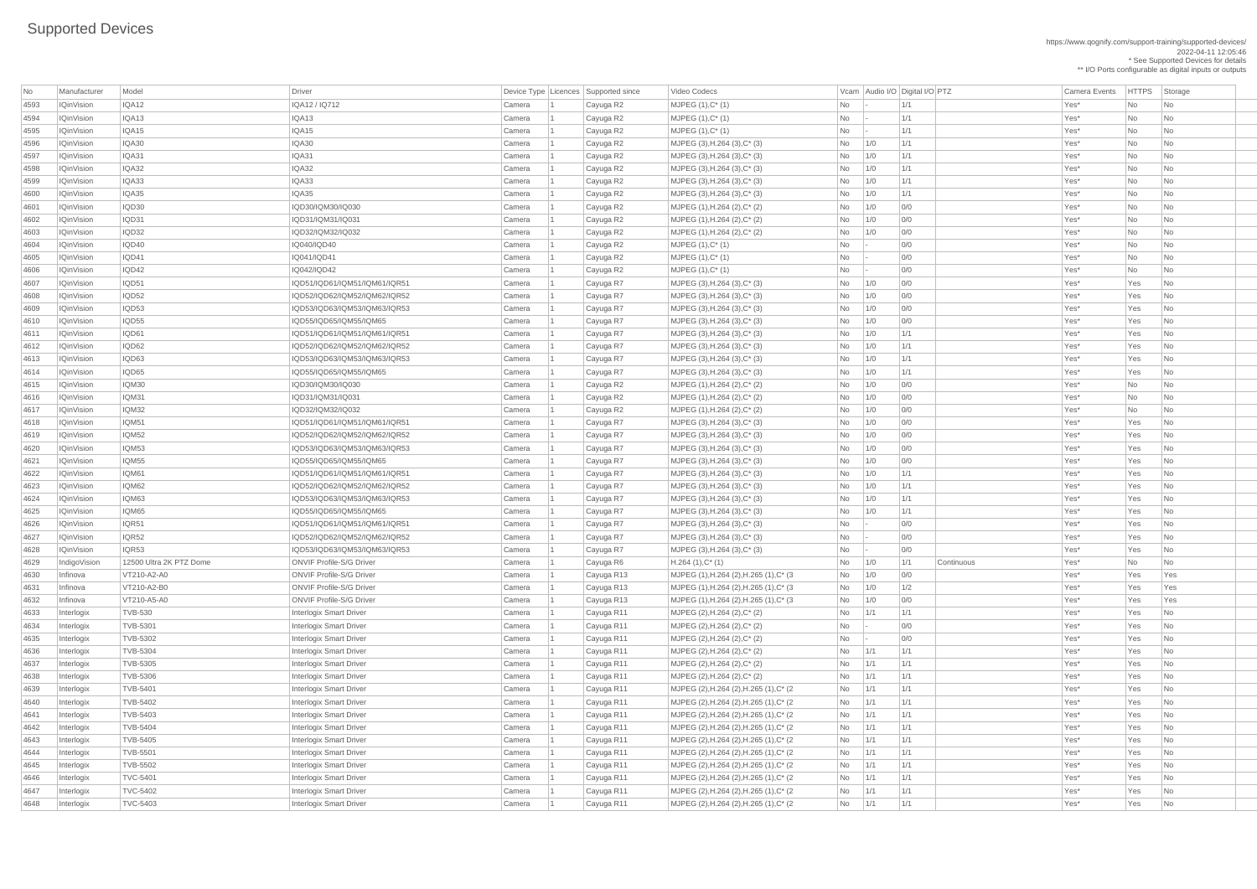\*\* I/O Ports configurable as digital inputs or outputs

| No           | Manufacturer             | Model                              | Driver                                                           |                  | Device Type   Licences   Supported since | Video Codecs                                                                       |                |            | Vcam Audio I/O Digital I/O PTZ | <b>Camera Events</b> | <b>HTTPS</b> | Storage                                    |
|--------------|--------------------------|------------------------------------|------------------------------------------------------------------|------------------|------------------------------------------|------------------------------------------------------------------------------------|----------------|------------|--------------------------------|----------------------|--------------|--------------------------------------------|
| 4593         | <b>IQinVision</b>        | IQA12                              | IQA12 / IQ712                                                    | Camera           | Cayuga R2                                | MJPEG (1), C* (1)                                                                  | No             |            | 1/1                            | Yes*                 | No           | No                                         |
| 4594         | <b>IQinVision</b>        | IQA13                              | IQA13                                                            | Camera           | Cayuga R2                                | MJPEG (1), C* (1)                                                                  | N <sub>o</sub> |            | 1/1                            | Yes*                 | <b>No</b>    | No                                         |
| 4595         | <b>IQinVision</b>        | IQA15                              | IQA15                                                            | Camera           | Cayuga R2                                | MJPEG (1), C* (1)                                                                  | No             |            | 1/1                            | Yes*                 | <b>No</b>    | No                                         |
| 4596         | <b>IQinVision</b>        | IQA30                              | IQA30                                                            | Camera           | Cayuga R2                                | MJPEG (3), H.264 (3), C* (3)                                                       | No             | 1/0        | 1/1                            | Yes*                 | <b>No</b>    | N <sub>o</sub>                             |
| 4597         | <b>IQinVision</b>        | IQA31                              | IQA31                                                            | Camera           | Cayuga R2                                | MJPEG $(3)$ , H.264 $(3)$ , C* $(3)$                                               | No             | 1/0        | 1/1                            | Yes*                 | <b>No</b>    | No                                         |
| 4598         | <b>IQinVision</b>        | IQA32                              | IQA32                                                            | Camera           | Cayuga R2                                | MJPEG $(3)$ , H.264 $(3)$ , C* $(3)$                                               | No             | 1/0        | 1/1                            | Yes*                 | <b>No</b>    | No                                         |
| 4599         | <b>IQinVision</b>        | IQA33                              | IQA33                                                            | Camera           | Cayuga R2                                | MJPEG $(3)$ , H.264 $(3)$ , C* $(3)$                                               | No.            | 1/0        | 1/1                            | Yes*                 | <b>No</b>    | No                                         |
| 4600         | <b>IQinVision</b>        | IQA35                              | IQA35                                                            | Camera           | Cayuga R2                                | MJPEG $(3)$ , H.264 $(3)$ , C* $(3)$                                               | No             | 1/0        | 1/1                            | Yes*                 | No           | No                                         |
| 4601         | <b>IQinVision</b>        | IQD30                              | IQD30/IQM30/IQ030                                                | Camera           | Cayuga R2                                | MJPEG (1), H.264 (2), C* (2)                                                       | <b>No</b>      | 1/0        | 0/0                            | Yes*                 | <b>No</b>    | N <sub>o</sub>                             |
| 4602         | <b>IQinVision</b>        | IQD31                              | IQD31/IQM31/IQ031                                                | Camera           | Cayuga R2                                | MJPEG (1), H.264 (2), C* (2)                                                       | No             | 1/0        | 0/0                            | Yes*                 | <b>No</b>    | No                                         |
| 4603         | <b>IQinVision</b>        | IQD32                              | IQD32/IQM32/IQ032                                                | Camera           | Cayuga R2                                | MJPEG (1), H.264 (2), C* (2)                                                       | No             | 1/0        | 0/0                            | Yes*                 | <b>No</b>    | No                                         |
| 4604         | <b>IQinVision</b>        | IQD40                              | IQ040/IQD40                                                      | Camera           | Cayuga R2                                | MJPEG (1), C* (1)                                                                  | No             |            | 0/0                            | Yes*                 | <b>No</b>    | N <sub>o</sub>                             |
| 4605         | <b>IQinVision</b>        | IQD41                              | IQ041/IQD41                                                      | Camera           | Cayuga R2                                | MJPEG (1), C* (1)                                                                  | No             |            | 0/0                            | Yes*                 | <b>No</b>    | No                                         |
| 4606         | <b>IQinVision</b>        | IQD42                              | IQ042/IQD42                                                      | Camera           | Cayuga R2                                | MJPEG (1), C* (1)                                                                  | N <sub>o</sub> |            | 0/0                            | Yes*                 | <b>No</b>    | No                                         |
| 4607         | <b>IQinVision</b>        | IQD51                              | IQD51/IQD61/IQM51/IQM61/IQR51                                    | Camera           | Cayuga R7                                | MJPEG $(3)$ , H.264 $(3)$ , C* $(3)$                                               | No             | 1/0        | 0/0                            | Yes*                 | Yes          | No                                         |
| 4608         | <b>IQinVision</b>        | IQD52                              | IQD52/IQD62/IQM52/IQM62/IQR52                                    | Camera           | Cayuga R7                                | MJPEG (3), H.264 (3), C* (3)                                                       | No             | 1/0        | 0/0                            | Yes*                 | Yes          | No                                         |
| 4609         | <b>IQinVision</b>        | IQD53                              | IQD53/IQD63/IQM53/IQM63/IQR53                                    | Camera           | Cayuga R7                                | MJPEG (3), H.264 (3), C* (3)                                                       | No             | 1/0        | 0/0                            | Yes*                 | Yes          | No                                         |
| 4610         | <b>IQinVision</b>        | IQD55                              | IQD55/IQD65/IQM55/IQM65                                          | Camera           | Cayuga R7                                | MJPEG (3), H.264 (3), C* (3)                                                       | No             | 1/0        | 0/0                            | Yes*                 | Yes          | No                                         |
| 4611         | <b>IQinVision</b>        | IQD61                              | IQD51/IQD61/IQM51/IQM61/IQR51                                    | Camera           | Cayuga R7                                | MJPEG $(3)$ , H.264 $(3)$ , C* $(3)$                                               | No.            | 1/0        | 1/1                            | Yes*                 | Yes          | No                                         |
| 4612         | <b>IQinVision</b>        | IQD62                              | IQD52/IQD62/IQM52/IQM62/IQR52                                    | Camera           | Cayuga R7                                | MJPEG $(3)$ , H.264 $(3)$ , C* $(3)$                                               | <b>No</b>      | 1/0        | 1/1                            | Yes*                 | Yes          | No                                         |
| 4613         | <b>IQinVision</b>        | IQD63                              | IQD53/IQD63/IQM53/IQM63/IQR53                                    | Camera           | Cayuga R7                                | MJPEG $(3)$ , H.264 $(3)$ , C* $(3)$                                               | <b>No</b>      | 1/0        | 1/1                            | Yes*                 | Yes          | No                                         |
| 4614         | <b>IQinVision</b>        | IQD65                              | IQD55/IQD65/IQM55/IQM65                                          | Camera           | Cayuga R7                                | MJPEG (3), H.264 (3), C* (3)                                                       | No             | 1/0        | 1/1                            | Yes*                 | Yes          | No                                         |
| 4615         | <b>IQinVision</b>        | IQM30                              | IQD30/IQM30/IQ030                                                | Camera           | Cayuga R2                                | MJPEG (1), H.264 (2), C* (2)                                                       | No             | 1/0        | 0/0                            | Yes*                 | <b>No</b>    | No                                         |
| 4616         | <b>IQinVision</b>        | IQM31                              | IQD31/IQM31/IQ031                                                | Camera           | Cayuga R2                                | MJPEG (1), H.264 (2), C* (2)                                                       | No.            | 1/0        | 0/0                            | Yes*                 | <b>No</b>    | No                                         |
| 4617         | <b>IQinVision</b>        | IQM32                              | IQD32/IQM32/IQ032                                                | Camera           | Cayuga R2                                | MJPEG (1), H.264 (2), C* (2)                                                       | No.            | 1/0        | 0/0                            | Yes*                 | No           | No                                         |
| 4618         | <b>IQinVision</b>        | <b>IQM51</b>                       | IQD51/IQD61/IQM51/IQM61/IQR51                                    | Camera           | Cayuga R7                                | MJPEG (3), H.264 (3), C* (3)                                                       | No             | 1/0        | 0/0                            | Yes*                 | Yes          | No                                         |
| 4619         | <b>IQinVision</b>        | IQM52                              | IQD52/IQD62/IQM52/IQM62/IQR52                                    | Camera           | Cayuga R7                                | MJPEG (3), H.264 (3), C* (3)                                                       | <b>No</b>      | 1/0        | 0/0                            | Yes*                 | Yes          | No                                         |
| 4620         | <b>IQinVision</b>        | IQM53                              | IQD53/IQD63/IQM53/IQM63/IQR53                                    | Camera           | Cayuga R7                                | MJPEG $(3)$ , H.264 $(3)$ , C* $(3)$                                               | No             | 1/0        | 0/0                            | Yes*                 | Yes          | No                                         |
| 4621         | <b>IQinVision</b>        | IQM55                              | IQD55/IQD65/IQM55/IQM65                                          | Camera           | Cayuga R7                                | MJPEG (3), H.264 (3), C* (3)                                                       | No             | 1/0        | 0/0                            | Yes*                 | Yes          | No                                         |
| 4622         | <b>IQinVision</b>        | IQM61                              | IQD51/IQD61/IQM51/IQM61/IQR51                                    | Camera           | Cayuga R7                                | MJPEG (3), H.264 (3), C* (3)                                                       | No             | 1/0        | 1/1                            | Yes*                 | Yes          | No                                         |
| 4623         | <b>IQinVision</b>        | IQM62                              | IQD52/IQD62/IQM52/IQM62/IQR52                                    | Camera           | Cayuga R7                                | MJPEG (3), H.264 (3), C* (3)                                                       | No             | 1/0        | 1/1                            | Yes*                 | Yes          | N <sub>o</sub>                             |
| 4624         | <b>IQinVision</b>        | IQM63                              | IQD53/IQD63/IQM53/IQM63/IQR53                                    | Camera           | Cayuga R7                                | MJPEG $(3)$ , H.264 $(3)$ , C* $(3)$                                               | <b>No</b>      | 1/0        | 1/1                            | Yes*                 | Yes          | No                                         |
| 4625         | <b>IQinVision</b>        | IQM65                              | IQD55/IQD65/IQM55/IQM65                                          | Camera           | Cayuga R7                                | MJPEG (3), H.264 (3), C* (3)                                                       | <b>No</b>      | 1/0        | 1/1                            | Yes*                 | Yes          | No                                         |
| 4626         | <b>IQinVision</b>        | IQR51                              | IQD51/IQD61/IQM51/IQM61/IQR51                                    | Camera           | Cayuga R7                                | MJPEG (3), H.264 (3), C* (3)                                                       | No             |            | 0/0                            | Yes*                 | Yes          | No                                         |
| 4627         | <b>IQinVision</b>        | IQR52                              | IQD52/IQD62/IQM52/IQM62/IQR52                                    | Camera           | Cayuga R7                                | MJPEG (3), H.264 (3), C* (3)                                                       | No             |            | 0/0                            | Yes*                 | Yes          | No                                         |
| 4628         | <b>IQinVision</b>        | IQR53                              | IQD53/IQD63/IQM53/IQM63/IQR53                                    | Camera           | Cayuga R7                                | MJPEG (3), H.264 (3), C* (3)                                                       | No             |            | 0/0                            | Yes*                 | Yes          | No                                         |
| 4629         | IndigoVision             | 12500 Ultra 2K PTZ Dome            | <b>ONVIF Profile-S/G Driver</b>                                  | Camera           | Cayuga R6                                | $H.264(1),C^*(1)$                                                                  | No             | 1/0        | 1/1<br>Continuous              | Yes*                 | <b>No</b>    | No                                         |
| 4630         | Infinova                 | VT210-A2-A0                        | <b>ONVIF Profile-S/G Driver</b>                                  | Camera           | Cayuga R13                               | MJPEG (1), H.264 (2), H.265 (1), C* (3)                                            | No             | 1/0        | 0/0                            | Yes*                 | Yes          | Yes                                        |
| 4631         | Infinova                 | VT210-A2-B0                        | <b>ONVIF Profile-S/G Driver</b>                                  | Camera           | Cayuga R13                               | MJPEG (1), H.264 (2), H.265 (1), C* (3)                                            | <b>No</b>      | 1/0        | 1/2                            | Yes*                 | Yes          | Yes                                        |
| 4632         | Infinova                 | VT210-A5-A0                        | <b>ONVIF Profile-S/G Driver</b>                                  | Camera           | Cayuga R13                               | MJPEG (1), H.264 (2), H.265 (1), C* (3)                                            | No             | 1/0        | 0/0                            | Yes*                 | Yes          | Yes                                        |
| 4633         | Interlogix               | <b>TVB-530</b>                     | <b>Interlogix Smart Driver</b>                                   | Camera           | Cayuga R11                               | MJPEG (2), H.264 (2), C* (2)                                                       | No             | 1/1        | 1/1                            | Yes*                 | Yes          | No                                         |
| 4634         | Interlogix               | <b>TVB-5301</b>                    | <b>Interlogix Smart Driver</b>                                   | Camera           | Cayuga R11                               | MJPEG (2), H.264 (2), C* (2)                                                       | No             |            | 0/0                            | Yes*                 | Yes          | No                                         |
| 4635         | Interlogix               | <b>TVB-5302</b>                    | <b>Interlogix Smart Driver</b>                                   | Camera           | Cayuga R11                               | MJPEG (2), H.264 (2), C* (2)                                                       | No             |            | 0/0                            | Yes*                 | Yes          | N <sub>o</sub>                             |
| 4636         | Interlogix               | <b>TVB-5304</b>                    | <b>Interlogix Smart Driver</b>                                   | Camera           | Cayuga R11                               | MJPEG (2), H.264 (2), C* (2)                                                       | <b>No</b>      | 1/1        | 1/1                            | Yes*                 | Yes          | No                                         |
| 4637         | Interlogix               | <b>TVB-5305</b>                    | <b>Interlogix Smart Driver</b>                                   | Camera           | Cayuga R11                               | MJPEG (2), H.264 (2), C* (2)                                                       | <b>No</b>      | 1/1        | 1/1                            | Yes*                 | Yes          | N <sub>o</sub>                             |
| 4638         | Interlogix               | <b>TVB-5306</b>                    | <b>Interlogix Smart Driver</b>                                   | Camera           | Cayuga R11                               | MJPEG (2), H.264 (2), C* (2)                                                       | No             | 1/1        | 1/1                            | Yes*                 | Yes          | No                                         |
| 4639         | Interlogix               | <b>TVB-5401</b>                    | <b>Interlogix Smart Driver</b>                                   | Camera           | Cayuga R11                               | MJPEG (2), H.264 (2), H.265 (1), C* (2)                                            | <b>No</b>      | 1/1        | 1/1                            | Yes*                 | Yes          | No                                         |
| 4640         | Interlogix               | <b>TVB-5402</b>                    | <b>Interlogix Smart Driver</b>                                   | Camera           | Cayuga R11                               | MJPEG (2), H.264 (2), H.265 (1), C* (2)                                            | <b>No</b>      | 1/1        | 1/1                            | Yes*                 | Yes          | No                                         |
| 4641         | Interlogix               | <b>TVB-5403</b>                    | <b>Interlogix Smart Driver</b>                                   | Camera           | Cayuga R11                               | MJPEG (2), H.264 (2), H.265 (1), C* (2)                                            | No             | 1/1        | 1/1                            | Yes*                 | Yes          | No                                         |
| 4642         | Interlogix               | <b>TVB-5404</b>                    | <b>Interlogix Smart Driver</b>                                   | Camera           | Cayuga R11                               | MJPEG (2), H.264 (2), H.265 (1), C* (2)                                            | No             | 1/1        | 1/1                            | Yes*                 | Yes          | N <sub>o</sub>                             |
| 4643         | Interlogix<br>Interlogix | <b>TVB-5405</b>                    | <b>Interlogix Smart Driver</b><br><b>Interlogix Smart Driver</b> | Camera           | Cayuga R11                               | MJPEG (2), H.264 (2), H.265 (1), C* (2)                                            | No             | 1/1<br>1/1 | 1/1<br>1/1                     | Yes*<br>Yes*         | Yes          | No                                         |
| 4644<br>4645 | Interlogix               | <b>TVB-5501</b><br><b>TVB-5502</b> | <b>Interlogix Smart Driver</b>                                   | Camera<br>Camera | Cayuga R11                               | MJPEG (2), H.264 (2), H.265 (1), C* (2)                                            | No.            | 1/1        | 1/1                            | Yes*                 | Yes<br>Yes   | N <sub>o</sub>                             |
| 4646         | Interlogix               | <b>TVC-5401</b>                    | <b>Interlogix Smart Driver</b>                                   | Camera           | Cayuga R11<br>Cayuga R11                 | MJPEG (2), H.264 (2), H.265 (1), C* (2)<br>MJPEG (2), H.264 (2), H.265 (1), C* (2) | No<br>No       | 1/1        | 1/1                            | Yes*                 | Yes          | N <sub>o</sub><br>$\overline{\mathsf{No}}$ |
| 4647         | Interlogix               | <b>TVC-5402</b>                    | <b>Interlogix Smart Driver</b>                                   | Camera           | Cayuga R11                               | MJPEG (2), H.264 (2), H.265 (1), C* (2)                                            | No             | 1/1        | 1/1                            | Yes*                 | Yes          | $\overline{\phantom{a}}$ No                |
| 4648         | Interlogix               | <b>TVC-5403</b>                    | <b>Interlogix Smart Driver</b>                                   | Camera           | Cayuga R11                               | MJPEG (2), H.264 (2), H.265 (1), C* (2)                                            | N <sub>o</sub> | 1/1        | 1/1                            | Yes*                 | Yes          | $\overline{\phantom{a}}$ No                |
|              |                          |                                    |                                                                  |                  |                                          |                                                                                    |                |            |                                |                      |              |                                            |

| MJPEG (1),H.264 (2),H.265 (1),C\* (3  $\qquad$  No 1/0 0/0  $\qquad$  0/0  $\qquad$  Yes\* Yes Yes Yes | MJPEG (1),H.264 (2),H.265 (1),C\* (3  $\qquad$  No 1/0 1/2 No 12 Yes\* Yes Yes Yes | MJPEG (1),H.264 (2),H.265 (1),C\* (3  $\qquad$  No 1/0 0/0  $\qquad$  0/0  $\qquad$  Yes\* Yes Yes Yes | MJPEG (2),H.264 (2),H.265 (1),C\* (2  $\qquad \qquad$  No  $\qquad$  1/1  $\qquad$  1/1  $\qquad$  1/1  $\qquad$  Yes\* Yes No | MJPEG (2),H.264 (2),H.265 (1),C\* (2  $\qquad \qquad$  No  $\qquad$  1/1  $\qquad$  1/1  $\qquad$  1/1  $\qquad$  Yes\* Yes No Interlogix TVB-5403 Interlogix Smart Driver Camera 1 Cayuga R11 MJPEG (2),H.264 (2),H.265 (1),C\* (2 No 1/1 1/1 Yes\* Yes No |MJPEG (2),H.264 (2),H.265 (1),C\* (2  $\qquad \qquad$  No  $\qquad$  1/1  $\qquad$  1/1  $\qquad$  1/1  $\qquad$  Yes\* Yes No  $\qquad$ | MJPEG (2),H.264 (2),H.265 (1),C\* (2  $\qquad \qquad$  No  $\qquad$  1/1 1/1  $\qquad$  1/1  $\qquad$  Yes\* Yes No | MJPEG (2),H.264 (2),H.265 (1),C\* (2  $\qquad \qquad$  No  $\qquad$  1/1  $\qquad$  1/1  $\qquad$  1/1  $\qquad$  Yes\* Yes No  $\qquad$ | MJPEG (2),H.264 (2),H.265 (1),C\* (2  $\qquad \qquad$  No  $\qquad$  1/1  $\qquad$  1/1  $\qquad$  1/1  $\qquad$  Yes\* Yes No  $\qquad$  Interlogix TVC-5401 Interlogix Smart Driver Camera 1 Cayuga R11 MJPEG (2),H.264 (2),H.265 (1),C\* (2 No 1/1 1/1 Yes\* Yes No | MJPEG (2),H.264 (2),H.265 (1),C\* (2  $\qquad \qquad$  No  $\qquad$  1/1  $\qquad$  1/1  $\qquad$  1/1  $\qquad$  Yes\* Yes No  $\qquad$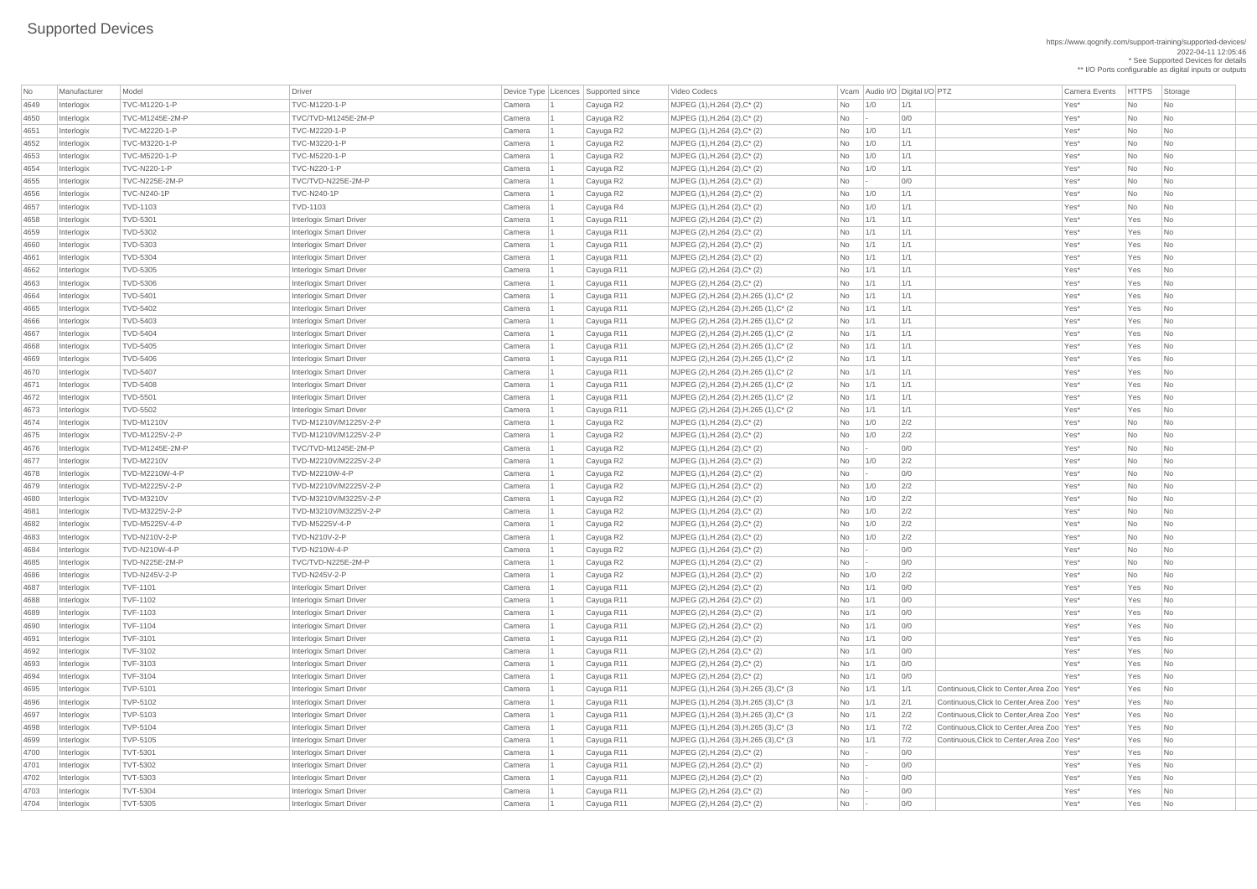https://www.qognify.com/support-training/supported-devices/ 2022-04-11 12:05:46 \* See Supported Devices for details

\*\* I/O Ports configurable as digital inputs or outputs

 Interlogix TVD-5401 Interlogix Smart Driver Camera 1 Cayuga R11 MJPEG (2),H.264 (2),H.265 (1),C\* (2 No 1/1 1/1 Yes\* Yes No Interlogix TVD-5402 Interlogix Smart Driver Camera 1 Cayuga R11 MJPEG (2),H.264 (2),H.265 (1),C\* (2 No 1/1 1/1 Yes\* Yes No | MJPEG (2),H.264 (2),H.265 (1),C\* (2  $\qquad \qquad$  No  $\qquad$  1/1 1/1  $\qquad$  1/1 Yes\* Yes No | MJPEG (2),H.264 (2),H.265 (1),C\* (2  $\qquad \qquad$  No  $\qquad$  1/1  $\qquad$  1/1  $\qquad$  1/1  $\qquad$  Yes\* Yes No | MJPEG (2),H.264 (2),H.265 (1),C\* (2  $\qquad \qquad$  No  $\qquad$  1/1  $\qquad$  1/1  $\qquad$  1/1  $\qquad$  Yes\* Yes No  $\qquad$ | MJPEG (2),H.264 (2),H.265 (1),C\* (2  $\qquad \qquad$  No  $\qquad$  1/1 1/1  $\qquad$  1/1 Yes\* Yes No Interlogix TVD-5408 Interlogix Smart Driver Camera 1 Cayuga R11 MJPEG (2),H.264 (2),H.265 (1),C\* (2 No 1/1 1/1 Yes\* Yes No | MJPEG (2),H.264 (2),H.265 (1),C\* (2  $\qquad \qquad$  No  $\qquad$  1/1  $\qquad$  1/1  $\qquad$  1/1  $\qquad$  Yes\* Yes No  $\qquad$ | MJPEG (2),H.264 (2),H.265 (1),C\* (2  $\qquad \qquad$  No  $\qquad$  1/1  $\qquad$  1/1  $\qquad$  1/1  $\qquad$  Yes\* Yes No  $\vert$  MJPEG (1),H.264 (3),H.265 (3),C\* (3  $\vert$   $\vert$  No  $\vert$  1/1  $\vert$  1/1  $\vert$  Continuous,Click to Center,Area Zoo Yes\*  $\vert$  Yes  $\vert$  No  $\vert$  MJPEG (1),H.264 (3),H.265 (3),C\* (3  $\vert$   $\vert$  No  $\vert$   $\vert$  1/1  $\vert$   $\vert$  2/1  $\vert$  Continuous,Click to Center,Area Zoo Yes\*  $\vert$  Yes  $\vert$  No  $\vert$  $\vert$  MJPEG (1),H.264 (3),H.265 (3),C\* (3  $\vert$   $\vert$  No  $\vert$   $\vert$  1/1  $\vert$   $\vert$  2/2  $\vert$  Continuous,Click to Center,Area Zoo Yes\*  $\vert$  Yes  $\vert$  No  $\vert$  MJPEG (1),H.264 (3),H.265 (3),C\* (3  $\vert$   $\vert$  No  $\vert$   $\vert$  1/1  $\vert$   $\vert$  7/2  $\vert$  Continuous,Click to Center,Area Zoo Yes\*  $\vert$  Yes  $\vert$  No  $\vert$  $\vert$  MJPEG (1),H.264 (3),H.265 (3),C\* (3  $\vert$   $\vert$  No  $\vert$   $\vert$  1/1  $\vert$   $\vert$  7/2  $\vert$  Continuous,Click to Center,Area Zoo  $\vert$  Yes  $\vert$  Yes  $\vert$  No  $\vert$ 

| <b>No</b> | Manufacturer   | Model               | <b>Driver</b>                  |        | Device Type   Licences   Supported since | Video Codecs                            |           |                 | Vcam Audio I/O Digital I/O PTZ                      | <b>Camera Events</b> | <b>HTTPS</b>     | Storage                     |
|-----------|----------------|---------------------|--------------------------------|--------|------------------------------------------|-----------------------------------------|-----------|-----------------|-----------------------------------------------------|----------------------|------------------|-----------------------------|
| 4649      | Interlogix     | TVC-M1220-1-P       | TVC-M1220-1-P                  | Camera | Cayuga R2                                | MJPEG (1), H.264 (2), C* (2)            | <b>No</b> | 1/0             | 1/1                                                 | Yes*                 | <b>No</b>        | No                          |
| 4650      | Interlogix     | TVC-M1245E-2M-P     | TVC/TVD-M1245E-2M-P            | Camera | Cayuga R2                                | MJPEG (1), H.264 (2), C* (2)            | No        |                 | 0/0                                                 | Yes*                 | <b>No</b>        | No                          |
| 4651      | Interlogix     | TVC-M2220-1-P       | TVC-M2220-1-P                  | Camera | Cayuga R2                                | MJPEG (1), H.264 (2), C* (2)            | <b>No</b> | 1/0             | 1/1                                                 | Yes*                 | No               | No                          |
| 4652      | Interlogix     | TVC-M3220-1-P       | TVC-M3220-1-P                  | Camera | Cayuga R2                                | $MJPEG (1), H.264 (2), C^*(2)$          | No        | 1/0             | 1/1                                                 | Yes*                 | <b>No</b>        | No                          |
| 4653      | Interlogix     | TVC-M5220-1-P       | TVC-M5220-1-P                  | Camera | Cayuga R2                                | MJPEG (1), H.264 (2), C* (2)            | No        | 1/0             | 1/1                                                 | Yes*                 | No               | No                          |
| 4654      | Interlogix     | <b>TVC-N220-1-P</b> | <b>TVC-N220-1-P</b>            | Camera | Cayuga R2                                | MJPEG (1), H.264 (2), C* (2)            | <b>No</b> | 1/0             | 1/1                                                 | Yes*                 | <b>No</b>        | No                          |
| 4655      | Interlogix     | TVC-N225E-2M-P      | TVC/TVD-N225E-2M-P             | Camera | Cayuga R2                                | MJPEG (1), H.264 (2), C* (2)            | No        |                 | 0/0                                                 | Yes*                 | <b>No</b>        | No                          |
| 4656      | Interlogix     | <b>TVC-N240-1P</b>  | <b>TVC-N240-1P</b>             | Camera | Cayuga R2                                | MJPEG (1), H.264 (2), C* (2)            | No        | 1/0             | 1/1                                                 | Yes*                 | No               | No                          |
| 4657      | Interlogix     | TVD-1103            | <b>TVD-1103</b>                | Camera | Cayuga R4                                | MJPEG (1), H.264 (2), C* (2)            | <b>No</b> | 1/0             | 1/1                                                 | Yes*                 | <b>No</b>        | No                          |
| 4658      | Interlogix     | <b>TVD-5301</b>     | <b>Interlogix Smart Driver</b> | Camera | Cayuga R11                               | MJPEG $(2)$ , H.264 $(2)$ , C* $(2)$    | No        | 1/1             | 1/1                                                 | Yes*                 | Yes              | No                          |
| 4659      | Interlogix     | <b>TVD-5302</b>     | <b>Interlogix Smart Driver</b> | Camera | Cayuga R11                               | MJPEG (2), H.264 (2), C* (2)            | No        | 1/1             | 1/1                                                 | Yes*                 | Yes              | No                          |
| 4660      | Interlogix     | TVD-5303            | <b>Interlogix Smart Driver</b> | Camera | Cayuga R11                               | MJPEG (2), H.264 (2), C* (2)            | <b>No</b> | 1/1             | 1/1                                                 | Yes*                 | Yes              | N <sub>o</sub>              |
| 4661      | Interlogix     | <b>TVD-5304</b>     | <b>Interlogix Smart Driver</b> | Camera | Cayuga R11                               | MJPEG (2), H.264 (2), C* (2)            | No        | 1/1             | 1/1                                                 | Yes*                 | Yes              | No                          |
| 4662      | Interlogix     | TVD-5305            | <b>Interlogix Smart Driver</b> | Camera | Cayuga R11                               | MJPEG (2), H.264 (2), C* (2)            | <b>No</b> | 1/1             | 1/1                                                 | Yes*                 | Yes              | No                          |
| 4663      | Interlogix     | <b>TVD-5306</b>     | <b>Interlogix Smart Driver</b> | Camera | Cayuga R11                               | MJPEG (2), H.264 (2), C* (2)            | No        | 1/1             | 1/1                                                 | Yes*                 | Yes              | N <sub>o</sub>              |
| 4664      | Interlogix     | <b>TVD-5401</b>     | <b>Interlogix Smart Driver</b> | Camera | Cayuga R11                               | MJPEG (2), H.264 (2), H.265 (1), C* (2) | No        | 1/1             | 1/1                                                 | Yes*                 | Yes              | No                          |
| 4665      | Interlogix     | <b>TVD-5402</b>     | <b>Interlogix Smart Driver</b> | Camera | Cayuga R11                               | MJPEG (2), H.264 (2), H.265 (1), C* (2) | No        | 1/1             | 1/1                                                 | Yes*                 | Yes              | N <sub>o</sub>              |
| 4666      | Interlogix     | <b>TVD-5403</b>     | <b>Interlogix Smart Driver</b> | Camera | Cayuga R11                               | MJPEG (2), H.264 (2), H.265 (1), C* (2) | No        | 1/1             | 1/1                                                 | Yes*                 | Yes              | N <sub>o</sub>              |
| 4667      | Interlogix     | <b>TVD-5404</b>     | <b>Interlogix Smart Driver</b> | Camera | Cayuga R11                               | MJPEG (2), H.264 (2), H.265 (1), C* (2) | No        | 1/1             | 1/1                                                 | Yes*                 | Yes              | No                          |
| 4668      | Interlogix     | <b>TVD-5405</b>     | <b>Interlogix Smart Driver</b> | Camera | Cayuga R11                               | MJPEG (2), H.264 (2), H.265 (1), C* (2) | No        | 1/1             | 1/1                                                 | Yes*                 | Yes              | N <sub>o</sub>              |
| 4669      | Interlogix     | <b>TVD-5406</b>     | <b>Interlogix Smart Driver</b> | Camera | Cayuga R11                               | MJPEG (2), H.264 (2), H.265 (1), C* (2) | No        | 1/1             | 1/1                                                 | Yes*                 | Yes              | No                          |
| 4670      | Interlogix     | <b>TVD-5407</b>     | <b>Interlogix Smart Driver</b> | Camera | Cayuga R11                               | MJPEG (2), H.264 (2), H.265 (1), C* (2) | No        | 1/1             | 1/1                                                 | Yes*                 | Yes              | No                          |
| 4671      | Interlogix     | <b>TVD-5408</b>     | <b>Interlogix Smart Driver</b> | Camera | Cayuga R11                               | MJPEG (2), H.264 (2), H.265 (1), C* (2) | No        | 1/1             | 1/1                                                 | Yes*                 | Yes              | N <sub>o</sub>              |
| 4672      | Interlogix     | <b>TVD-5501</b>     | <b>Interlogix Smart Driver</b> | Camera | Cayuga R11                               | MJPEG (2), H.264 (2), H.265 (1), C* (2) | No        | 1/1             | 1/1                                                 | Yes*                 | Yes              | No                          |
| 4673      | Interlogix     | <b>TVD-5502</b>     | <b>Interlogix Smart Driver</b> | Camera | Cayuga R11                               | MJPEG (2), H.264 (2), H.265 (1), C* (2) | <b>No</b> | 1/1             | 1/1                                                 | Yes*                 | Yes              | No                          |
| 4674      |                | <b>TVD-M1210V</b>   | TVD-M1210V/M1225V-2-P          | Camera | Cayuga R2                                | MJPEG (1), H.264 (2), C* (2)            |           | 1/0             | 2/2                                                 | Yes*                 |                  |                             |
| 4675      | Interlogix     | TVD-M1225V-2-P      | TVD-M1210V/M1225V-2-P          | Camera |                                          |                                         | No.<br>No | 1/0             | 2/2                                                 | Yes*                 | No.<br><b>No</b> | No<br>No                    |
|           | Interlogix     | TVD-M1245E-2M-P     | TVC/TVD-M1245E-2M-P            |        | Cayuga R2                                | MJPEG (1), H.264 (2), C* (2)            |           |                 | 0/0                                                 | Yes*                 |                  |                             |
| 4676      | Interlogix     |                     | TVD-M2210V/M2225V-2-P          | Camera | Cayuga R2                                | MJPEG (1), H.264 (2), C* (2)            | No        | $\vert - \vert$ |                                                     |                      | <b>No</b>        | No                          |
| 4677      | Interlogix     | <b>TVD-M2210V</b>   |                                | Camera | Cayuga R2                                | MJPEG (1), H.264 (2), C* (2)            | No        | 1/0             | 2/2                                                 | Yes*                 | <b>No</b>        | No                          |
| 4678      | Interlogix     | TVD-M2210W-4-P      | TVD-M2210W-4-P                 | Camera | Cayuga R2                                | MJPEG (1), H.264 (2), C* (2)            | No        | $\sim$          | 0/0                                                 | Yes*                 | <b>No</b>        | No                          |
| 4679      | Interlogix     | TVD-M2225V-2-P      | TVD-M2210V/M2225V-2-P          | Camera | Cayuga R2                                | MJPEG (1), H.264 (2), C* (2)            | No        | 1/0             | 2/2                                                 | Yes*                 | <b>No</b>        | No                          |
| 4680      | Interlogix     | <b>TVD-M3210V</b>   | TVD-M3210V/M3225V-2-P          | Camera | Cayuga R2                                | MJPEG (1), H.264 (2), C* (2)            | No        | 1/0             | 2/2                                                 | Yes*                 | <b>No</b>        | No                          |
| 4681      | Interlogix     | TVD-M3225V-2-P      | TVD-M3210V/M3225V-2-P          | Camera | Cayuga R2                                | MJPEG (1), H.264 (2), C* (2)            | No        | 1/0             | 2/2                                                 | Yes*                 | No               | No                          |
| 4682      | Interlogix     | TVD-M5225V-4-P      | TVD-M5225V-4-P                 | Camera | Cayuga R2                                | MJPEG $(1)$ , H.264 $(2)$ , C* $(2)$    | No        | 1/0             | 2/2                                                 | Yes*                 | <b>No</b>        | No                          |
| 4683      | Interlogix     | TVD-N210V-2-P       | TVD-N210V-2-P                  | Camera | Cayuga R2                                | MJPEG (1), H.264 (2), C* (2)            | No        | 1/0             | 2/2                                                 | Yes*                 | <b>No</b>        | No                          |
| 4684      | Interlogix     | TVD-N210W-4-P       | TVD-N210W-4-P                  | Camera | Cayuga R2                                | MJPEG (1), H.264 (2), C* (2)            | No        |                 | 0/0                                                 | Yes*                 | <b>No</b>        | No                          |
| 4685      | Interlogix     | TVD-N225E-2M-P      | TVC/TVD-N225E-2M-P             | Camera | Cayuga R2                                | MJPEG (1), H.264 (2), C* (2)            | No        |                 | 0/0                                                 | Yes*                 | <b>No</b>        | No                          |
| 4686      | Interlogix     | TVD-N245V-2-P       | TVD-N245V-2-P                  | Camera | Cayuga R2                                | MJPEG (1), H.264 (2), C* (2)            | No        | 1/0             | 2/2                                                 | Yes*                 | <b>No</b>        | No                          |
| 4687      | Interlogix     | <b>TVF-1101</b>     | <b>Interlogix Smart Driver</b> | Camera | Cayuga R11                               | MJPEG (2), H.264 (2), C* (2)            | No        | 1/1             | 0/0                                                 | Yes*                 | Yes              | No                          |
| 4688      | Interlogix     | <b>TVF-1102</b>     | <b>Interlogix Smart Driver</b> | Camera | Cayuga R11                               | MJPEG (2), H.264 (2), C* (2)            | No        | 1/1             | 0/0                                                 | Yes*                 | Yes              | N <sub>o</sub>              |
| 4689      | Interlogix     | <b>TVF-1103</b>     | <b>Interlogix Smart Driver</b> | Camera | Cayuga R11                               | MJPEG (2), H.264 (2), C* (2)            | No        | 1/1             | 0/0                                                 | Yes*                 | Yes              | No                          |
| 4690      | Interlogix     | <b>TVF-1104</b>     | <b>Interlogix Smart Driver</b> | Camera | Cayuga R11                               | MJPEG (2), H.264 (2), C* (2)            | No        | 1/1             | 0/0                                                 | Yes*                 | Yes              | N <sub>o</sub>              |
| 4691      | Interlogix     | <b>TVF-3101</b>     | <b>Interlogix Smart Driver</b> | Camera | Cayuga R11                               | MJPEG (2), H.264 (2), C* (2)            | No        | 1/1             | 0/0                                                 | Yes*                 | Yes              | No                          |
| 4692      | Interlogix     | <b>TVF-3102</b>     | <b>Interlogix Smart Driver</b> | Camera | Cayuga R11                               | MJPEG (2), H.264 (2), C* (2)            | No        | 1/1             | 0/0                                                 | Yes*                 | Yes              | N <sub>o</sub>              |
| 4693      | Interlogix     | <b>TVF-3103</b>     | <b>Interlogix Smart Driver</b> | Camera | Cayuga R11                               | MJPEG (2), H.264 (2), C* (2)            | No        | 1/1             | 0/0                                                 | Yes*                 | Yes              | N <sub>o</sub>              |
| 4694      | Interlogix     | <b>TVF-3104</b>     | <b>Interlogix Smart Driver</b> | Camera | Cayuga R11                               | $MJPEG (2), H.264 (2), C^*(2)$          | No        | 1/1             | 0/0                                                 | Yes*                 | Yes              | No                          |
| 4695      | Interlogix     | <b>TVP-5101</b>     | <b>Interlogix Smart Driver</b> | Camera | Cayuga R11                               | MJPEG (1), H.264 (3), H.265 (3), C* (3) | No        | 1/1             | Continuous, Click to Center, Area Zoo   Yes*<br>1/1 |                      | Yes              | No                          |
| 4696      | Interlogix     | <b>TVP-5102</b>     | <b>Interlogix Smart Driver</b> | Camera | Cayuga R11                               | MJPEG (1), H.264 (3), H.265 (3), C* (3) | No        | 1/1             | 2/1<br>Continuous, Click to Center, Area Zoo   Yes* |                      | Yes              | N <sub>o</sub>              |
| 4697      | Interlogix     | <b>TVP-5103</b>     | <b>Interlogix Smart Driver</b> | Camera | Cayuga R11                               | MJPEG (1), H.264 (3), H.265 (3), C* (3) | No        | 1/1             | 2/2<br>Continuous, Click to Center, Area Zoo   Yes* |                      | Yes              | No                          |
| 4698      | Interlogix     | <b>TVP-5104</b>     | <b>Interlogix Smart Driver</b> | Camera | Cayuga R11                               | MJPEG (1), H.264 (3), H.265 (3), C* (3) | No        | 1/1             | Continuous, Click to Center, Area Zoo   Yes*<br>7/2 |                      | Yes              | $\overline{\mathsf{No}}$    |
| 4699      | Interlogix     | <b>TVP-5105</b>     | <b>Interlogix Smart Driver</b> | Camera | Cayuga R11                               | MJPEG (1), H.264 (3), H.265 (3), C* (3) | No        | 1/1             | 7/2<br>Continuous, Click to Center, Area Zoo   Yes* |                      | Yes              | No                          |
| 4700      | $ $ Interlogix | <b>TVT-5301</b>     | <b>Interlogix Smart Driver</b> | Camera | Cayuga R11                               | MJPEG (2), H.264 (2), C* (2)            | No        |                 | 0/0                                                 | Yes*                 | Yes              | No                          |
| 4701      | Interlogix     | <b>TVT-5302</b>     | <b>Interlogix Smart Driver</b> | Camera | Cayuga R11                               | MJPEG $(2)$ , H.264 $(2)$ , C* $(2)$    | No        |                 | 0/0                                                 | Yes*                 | Yes              | $\overline{\phantom{a}}$ No |
| 4702      | Interlogix     | <b>TVT-5303</b>     | <b>Interlogix Smart Driver</b> | Camera | Cayuga R11                               | $MJPEG (2), H.264 (2), C^*(2)$          | No        |                 | 0/0                                                 | Yes*                 | Yes              | $\overline{\phantom{a}}$ No |
| 4703      | Interlogix     | <b>TVT-5304</b>     | <b>Interlogix Smart Driver</b> | Camera | Cayuga R11                               | $MJPEG (2), H.264 (2), C^*(2)$          | No        |                 | 0/0                                                 | Yes*                 | Yes              | $\overline{\phantom{a}}$ No |
| 4704      | Interlogix     | <b>TVT-5305</b>     | <b>Interlogix Smart Driver</b> | Camera | Cayuga R11                               | MJPEG $(2)$ , H.264 $(2)$ , C* $(2)$    | No        |                 | 0/0                                                 | Yes*                 | Yes              | $\overline{\phantom{a}}$ No |
|           |                |                     |                                |        |                                          |                                         |           |                 |                                                     |                      |                  |                             |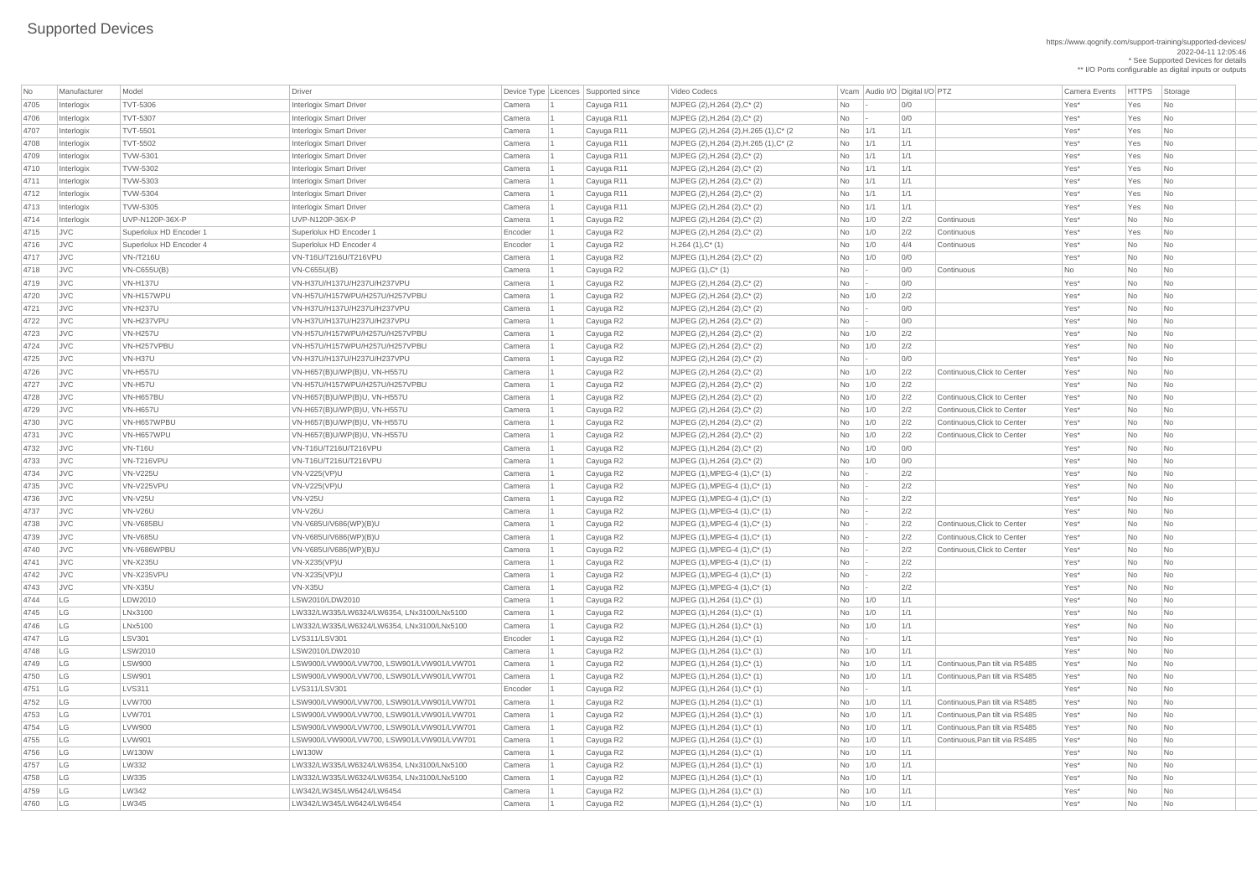https://www.qognify.com/support-training/supported-devices/ 2022-04-11 12:05:46 \* See Supported Devices for details \*\* I/O Ports configurable as digital inputs or outputs

| MJPEG (2),H.264 (2),H.265 (1),C\* (2  $\qquad \qquad$  No  $\qquad$  1/1  $\qquad$  1/1  $\qquad$  1/1  $\qquad$  Yes\* Yes No  $\qquad$ | MJPEG (2),H.264 (2),H.265 (1),C\* (2  $\qquad \qquad$  No  $\qquad$  1/1 1/1  $\qquad$  1/1  $\qquad$  Yes\* Yes No

|      | Manufacturer | Model                   | <b>Driver</b>                              |         | Device Type Licences Supported since | Video Codecs                            |           | Vcam Audio I/O Digital I/O PTZ |     |                                |                      | <b>HTTPS</b> |                          |
|------|--------------|-------------------------|--------------------------------------------|---------|--------------------------------------|-----------------------------------------|-----------|--------------------------------|-----|--------------------------------|----------------------|--------------|--------------------------|
| No   |              |                         |                                            |         |                                      |                                         |           |                                |     |                                | <b>Camera Events</b> |              | Storage                  |
| 4705 | Interlogix   | <b>TVT-5306</b>         | <b>Interlogix Smart Driver</b>             | Camera  | Cayuga R11                           | MJPEG (2), H.264 (2), C* (2)            | <b>No</b> |                                | 0/0 |                                | Yes*                 | Yes          | No                       |
| 4706 | Interlogix   | <b>TVT-5307</b>         | <b>Interlogix Smart Driver</b>             | Camera  | Cayuga R11                           | MJPEG (2), H.264 (2), C* (2)            | <b>No</b> |                                | 0/0 |                                | Yes*                 | Yes          | No                       |
| 4707 | Interlogix   | <b>TVT-5501</b>         | <b>Interlogix Smart Driver</b>             | Camera  | Cayuga R11                           | MJPEG (2), H.264 (2), H.265 (1), C* (2) | <b>No</b> | 1/1                            | 1/1 |                                | Yes*                 | Yes          | No                       |
| 4708 | Interlogix   | <b>TVT-5502</b>         | <b>Interlogix Smart Driver</b>             | Camera  | Cayuga R11                           | MJPEG (2), H.264 (2), H.265 (1), C* (2) | <b>No</b> | 1/1                            | 1/1 |                                | Yes*                 | Yes          | No                       |
| 4709 | Interlogix   | <b>TVW-5301</b>         | <b>Interlogix Smart Driver</b>             | Camera  | Cayuga R11                           | MJPEG (2), H.264 (2), C* (2)            | No        | 1/1                            | 1/1 |                                | Yes*                 | Yes          | N <sub>o</sub>           |
| 4710 | Interlogix   | <b>TVW-5302</b>         | <b>Interlogix Smart Driver</b>             | Camera  | Cayuga R11                           | MJPEG (2), H.264 (2), C* (2)            | No.       | 1/1                            | 1/1 |                                | Yes*                 | Yes          | No                       |
| 4711 | Interlogix   | <b>TVW-5303</b>         | <b>Interlogix Smart Driver</b>             | Camera  | Cayuga R11                           | MJPEG (2), H.264 (2), C* (2)            | <b>No</b> | 1/1                            | 1/1 |                                | Yes*                 | Yes          | No                       |
| 4712 | Interlogix   | <b>TVW-5304</b>         | <b>Interlogix Smart Driver</b>             | Camera  | Cayuga R11                           | MJPEG (2), H.264 (2), C* (2)            | <b>No</b> | 1/1                            | 1/1 |                                | Yes*                 | Yes          | No                       |
| 4713 | Interlogix   | TVW-5305                | <b>Interlogix Smart Driver</b>             | Camera  | Cayuga R11                           | MJPEG (2), H.264 (2), C* (2)            | <b>No</b> | 1/1                            | 1/1 |                                | Yes*                 | Yes          | No                       |
| 4714 | Interlogix   | UVP-N120P-36X-P         | UVP-N120P-36X-P                            | Camera  | Cayuga R2                            | MJPEG (2), H.264 (2), C* (2)            | <b>No</b> | 1/0                            | 2/2 | Continuous                     | Yes*                 | No           | No                       |
| 4715 | <b>JVC</b>   | Superlolux HD Encoder 1 | Superlolux HD Encoder 1                    | Encoder | Cayuga R2                            | MJPEG (2), H.264 (2), C* (2)            | No.       | 1/0                            | 2/2 | Continuous                     | Yes*                 | Yes          | No                       |
| 4716 | <b>JVC</b>   | Superlolux HD Encoder 4 | Superlolux HD Encoder 4                    | Encoder | Cayuga R2                            | $H.264(1),C^*(1)$                       | No        | 1/0                            | 4/4 | Continuous                     | Yes*                 | <b>No</b>    | No                       |
| 4717 | <b>JVC</b>   | <b>VN-/T216U</b>        | VN-T16U/T216U/T216VPU                      | Camera  | Cayuga R2                            | MJPEG (1), H.264 (2), C* (2)            | <b>No</b> | 1/0                            | 0/0 |                                | Yes*                 | <b>No</b>    | No                       |
| 4718 | <b>JVC</b>   | <b>VN-C655U(B)</b>      | <b>VN-C655U(B)</b>                         | Camera  | Cayuga R2                            | $MJPEG (1), C^* (1)$                    | <b>No</b> |                                | 0/0 | Continuous                     | No                   | <b>No</b>    | No                       |
| 4719 | JVC          | <b>VN-H137U</b>         | VN-H37U/H137U/H237U/H237VPU                | Camera  | Cayuga R2                            | MJPEG (2), H.264 (2), C* (2)            | <b>No</b> |                                | 0/0 |                                | Yes*                 | <b>No</b>    | No                       |
| 4720 | <b>JVC</b>   | VN-H157WPU              | VN-H57U/H157WPU/H257U/H257VPBU             | Camera  | Cayuga R2                            | MJPEG (2), H.264 (2), C* (2)            | <b>No</b> | 1/0                            | 2/2 |                                | Yes*                 | <b>No</b>    | No                       |
| 4721 | JVC          | <b>VN-H237U</b>         | VN-H37U/H137U/H237U/H237VPU                | Camera  | Cayuga R2                            | MJPEG (2), H.264 (2), C* (2)            | No        |                                | 0/0 |                                | Yes*                 | <b>No</b>    | No                       |
| 4722 | <b>JVC</b>   | VN-H237VPU              | VN-H37U/H137U/H237U/H237VPU                | Camera  | Cayuga R2                            | MJPEG (2), H.264 (2), C* (2)            | <b>No</b> |                                | 0/0 |                                | Yes*                 | <b>No</b>    | No                       |
| 4723 | <b>JVC</b>   | <b>VN-H257U</b>         | VN-H57U/H157WPU/H257U/H257VPBU             | Camera  | Cayuga R2                            | MJPEG (2), H.264 (2), C* (2)            | No        | 1/0                            | 2/2 |                                | Yes*                 | <b>No</b>    | No                       |
| 4724 | <b>JVC</b>   | VN-H257VPBU             | VN-H57U/H157WPU/H257U/H257VPBU             | Camera  | Cayuga R2                            | MJPEG (2), H.264 (2), C* (2)            | <b>No</b> | 1/0                            | 2/2 |                                | Yes*                 | <b>No</b>    | No                       |
| 4725 | <b>JVC</b>   | VN-H37U                 | VN-H37U/H137U/H237U/H237VPU                | Camera  | Cayuga R2                            | MJPEG (2), H.264 (2), C* (2)            | <b>No</b> |                                | 0/0 |                                | Yes*                 | <b>No</b>    | No                       |
| 4726 | <b>JVC</b>   | <b>VN-H557U</b>         | VN-H657(B)U/WP(B)U, VN-H557U               | Camera  | Cayuga R2                            | MJPEG (2), H.264 (2), C* (2)            | <b>No</b> | 1/0                            | 2/2 | Continuous, Click to Center    | Yes*                 | No           | No                       |
| 4727 | <b>JVC</b>   | VN-H57U                 | VN-H57U/H157WPU/H257U/H257VPBU             | Camera  | Cayuga R2                            | MJPEG (2), H.264 (2), C* (2)            | No.       | 1/0                            | 2/2 |                                | Yes*                 | <b>No</b>    | N <sub>o</sub>           |
| 4728 | <b>JVC</b>   | <b>VN-H657BU</b>        | VN-H657(B)U/WP(B)U, VN-H557U               | Camera  | Cayuga R2                            | MJPEG (2), H.264 (2), C* (2)            | No        | 1/0                            | 2/2 | Continuous, Click to Center    | Yes*                 | No           | No                       |
| 4729 | <b>JVC</b>   | <b>VN-H657U</b>         |                                            | Camera  |                                      |                                         |           |                                | 2/2 | Continuous, Click to Center    | Yes*                 | <b>No</b>    | No                       |
|      |              |                         | VN-H657(B)U/WP(B)U, VN-H557U               |         | Cayuga R2                            | MJPEG (2), H.264 (2), C* (2)            | No        | 1/0                            |     | Continuous, Click to Center    |                      |              |                          |
| 4730 | $ $ JVC      | VN-H657WPBU             | VN-H657(B)U/WP(B)U, VN-H557U               | Camera  | Cayuga R2                            | MJPEG (2), H.264 (2), C* (2)            | No.       | 1/0                            | 2/2 |                                | Yes*                 | No.          | $\overline{\mathsf{No}}$ |
| 4731 | <b>JVC</b>   | VN-H657WPU              | VN-H657(B)U/WP(B)U, VN-H557U               | Camera  | Cayuga R2                            | MJPEG (2), H.264 (2), C* (2)            | No.       | 1/0                            | 2/2 | Continuous, Click to Center    | Yes*                 | <b>No</b>    | No                       |
| 4732 | <b>JVC</b>   | <b>VN-T16U</b>          | VN-T16U/T216U/T216VPU                      | Camera  | Cayuga R2                            | MJPEG (1), H.264 (2), C* (2)            | No        | 1/0                            | 0/0 |                                | Yes*                 | No           | No                       |
| 4733 | JVC          | VN-T216VPU              | VN-T16U/T216U/T216VPU                      | Camera  | Cayuga R2                            | MJPEG (1), H.264 (2), C* (2)            | No        | 1/0                            | 0/0 |                                | Yes <sup>*</sup>     | No.          | No                       |
| 4734 | <b>JVC</b>   | <b>VN-V225U</b>         | <b>VN-V225(VP)U</b>                        | Camera  | Cayuga R2                            | MJPEG (1), MPEG-4 (1), C* (1)           | No        |                                | 2/2 |                                | Yes*                 | <b>No</b>    | No                       |
| 4735 | <b>JVC</b>   | VN-V225VPU              | VN-V225(VP)U                               | Camera  | Cayuga R2                            | $MJPEG (1), MPEG-4 (1), C^* (1)$        | No        |                                | 2/2 |                                | Yes*                 | <b>No</b>    | No                       |
| 4736 | <b>JVC</b>   | <b>VN-V25U</b>          | <b>VN-V25U</b>                             | Camera  | Cayuga R2                            | MJPEG (1), MPEG-4 (1), C* (1)           | No        |                                | 2/2 |                                | Yes*                 | No           | N <sub>o</sub>           |
| 4737 | <b>JVC</b>   | <b>VN-V26U</b>          | <b>VN-V26U</b>                             | Camera  | Cayuga R2                            | $MJPEG (1), MPEG-4 (1), C^* (1)$        | No        |                                | 2/2 |                                | Yes*                 | <b>No</b>    | No                       |
| 4738 | JVC          | <b>VN-V685BU</b>        | VN-V685U/V686(WP)(B)U                      | Camera  | Cayuga R2                            | $MJPEG (1), MPEG-4 (1), C^* (1)$        | No        |                                | 2/2 | Continuous, Click to Center    | Yes*                 | <b>No</b>    | No                       |
| 4739 | JVC          | <b>VN-V685U</b>         | VN-V685U/V686(WP)(B)U                      | Camera  | Cayuga R2                            | MJPEG (1), MPEG-4 (1), C* (1)           | No        |                                | 2/2 | Continuous, Click to Center    | Yes*                 | <b>No</b>    | No                       |
| 4740 | <b>JVC</b>   | VN-V686WPBU             | VN-V685U/V686(WP)(B)U                      | Camera  | Cayuga R2                            | $MJPEG (1), MPEG-4 (1), C^* (1)$        | No        |                                | 2/2 | Continuous, Click to Center    | Yes*                 | No           | N <sub>o</sub>           |
| 4741 | <b>JVC</b>   | <b>VN-X235U</b>         | <b>VN-X235(VP)U</b>                        | Camera  | Cayuga R2                            | MJPEG (1), MPEG-4 (1), C* (1)           | No        |                                | 2/2 |                                | Yes*                 | <b>No</b>    | N <sub>o</sub>           |
| 4742 | <b>JVC</b>   | VN-X235VPU              | <b>VN-X235(VP)U</b>                        | Camera  | Cayuga R2                            | $MJPEG (1), MPEG-4 (1), C^* (1)$        | No        |                                | 2/2 |                                | Yes*                 | <b>No</b>    | N <sub>o</sub>           |
| 4743 | <b>JVC</b>   | VN-X35U                 | <b>VN-X35U</b>                             | Camera  | Cayuga R2                            | $MJPEG (1), MPEG-4 (1), C^* (1)$        | No        |                                | 2/2 |                                | Yes*                 | <b>No</b>    | No                       |
| 4744 | LG           | LDW2010                 | LSW2010/LDW2010                            | Camera  | Cayuga R2                            | MJPEG (1), H.264 (1), C* (1)            | <b>No</b> | 1/0                            | 1/1 |                                | Yes*                 | No           | No                       |
| 4745 | LG           | LNx3100                 | LW332/LW335/LW6324/LW6354, LNx3100/LNx5100 | Camera  | Cayuga R2                            | MJPEG (1), H.264 (1), C* (1)            | No        | 1/0                            | 1/1 |                                | Yes <sup>*</sup>     | No           | No                       |
| 4746 | LG           | LNx5100                 | LW332/LW335/LW6324/LW6354, LNx3100/LNx5100 | Camera  | Cayuga R2                            | MJPEG (1), H.264 (1), C* (1)            | No        | 1/0                            | 1/1 |                                | Yes*                 | <b>No</b>    | No                       |
| 4747 | LG           | <b>LSV301</b>           | LVS311/LSV301                              | Encoder | Cayuga R2                            | MJPEG (1), H.264 (1), C* (1)            | <b>No</b> |                                | 1/1 |                                | Yes*                 | <b>No</b>    | N <sub>o</sub>           |
| 4748 | LG           | <b>LSW2010</b>          | LSW2010/LDW2010                            | Camera  | Cayuga R2                            | MJPEG (1), H.264 (1), C* (1)            | No.       | 1/0                            | 1/1 |                                | Yes*                 | No           | N <sub>o</sub>           |
| 4749 | LG           | <b>LSW900</b>           | LSW900/LVW900/LVW700, LSW901/LVW901/LVW701 | Camera  | Cayuga R2                            | MJPEG (1), H.264 (1), C* (1)            | No.       | 1/0                            | 1/1 | Continuous, Pan tilt via RS485 | Yes*                 | <b>No</b>    | No                       |
| 4750 | LG           | <b>LSW901</b>           | LSW900/LVW900/LVW700, LSW901/LVW901/LVW701 | Camera  | Cayuga R2                            | MJPEG (1), H.264 (1), C* (1)            | No        | 1/0                            | 1/1 | Continuous, Pan tilt via RS485 | Yes*                 | <b>No</b>    | No                       |
| 4751 | LG           | <b>LVS311</b>           | LVS311/LSV301                              | Encoder | Cayuga R2                            | MJPEG (1), H.264 (1), C* (1)            | No        |                                | 1/1 |                                | Yes <sup>*</sup>     | <b>No</b>    | N <sub>o</sub>           |
| 4752 | LG           | LVW700                  | LSW900/LVW900/LVW700, LSW901/LVW901/LVW701 | Camera  | Cayuga R2                            | MJPEG (1), H.264 (1), C* (1)            | No.       | 1/0                            | 1/1 | Continuous, Pan tilt via RS485 | Yes*                 | No           | N <sub>o</sub>           |
| 4753 | LG           | LVW701                  | LSW900/LVW900/LVW700, LSW901/LVW901/LVW701 | Camera  | Cayuga R2                            | MJPEG (1), H.264 (1), C* (1)            | <b>No</b> | 1/0                            | 1/1 | Continuous, Pan tilt via RS485 | Yes*                 | <b>No</b>    | No                       |
| 4754 | LG           | LVW900                  | LSW900/LVW900/LVW700, LSW901/LVW901/LVW701 | Camera  | Cayuga R2                            | MJPEG (1), H.264 (1), C* (1)            | No.       | 1/0                            | 1/1 | Continuous, Pan tilt via RS485 | Yes*                 | No           | No                       |
| 4755 | LG           | <b>LVW901</b>           | LSW900/LVW900/LVW700, LSW901/LVW901/LVW701 | Camera  | Cayuga R2                            | MJPEG (1), H.264 (1), C* (1)            | No.       | 1/0                            | 1/1 | Continuous, Pan tilt via RS485 | Yes*                 | No.          | No                       |
| 4756 |              | LW130W                  | <b>LW130W</b>                              | Camera  | Cayuga R2                            | MJPEG (1), H.264 (1), C* (1)            | No        | 1/0                            |     |                                | Yes*                 | No           | No                       |
| 4757 | LG           | LW332                   | LW332/LW335/LW6324/LW6354, LNx3100/LNx5100 | Camera  | Cayuga R2                            | $MJPEG (1), H.264 (1), C^* (1)$         | No        | 1/0                            | 1/1 |                                | Yes*                 | No           | No                       |
| 4758 | LG           | LW335                   | LW332/LW335/LW6324/LW6354, LNx3100/LNx5100 | Camera  | Cayuga R2                            | $ $ MJPEG (1), H.264 (1), C* (1)        | No        | 1/0                            | 1/1 |                                | Yes*                 | No.          | $\overline{\mathsf{No}}$ |
| 4759 | LG           | LW342                   | LW342/LW345/LW6424/LW6454                  | Camera  | Cayuga R2                            | $MJPEG (1), H.264 (1), C^* (1)$         | No        | 1/0                            | 1/1 |                                | Yes*                 | No.          | No                       |
| 4760 | LG           | LW345                   | LW342/LW345/LW6424/LW6454                  | Camera  | Cayuga R2                            | MJPEG (1), H.264 (1), C* (1)            | No        | 1/0                            | 1/1 |                                | Yes*                 | No           | N <sub>o</sub>           |
|      |              |                         |                                            |         |                                      |                                         |           |                                |     |                                |                      |              |                          |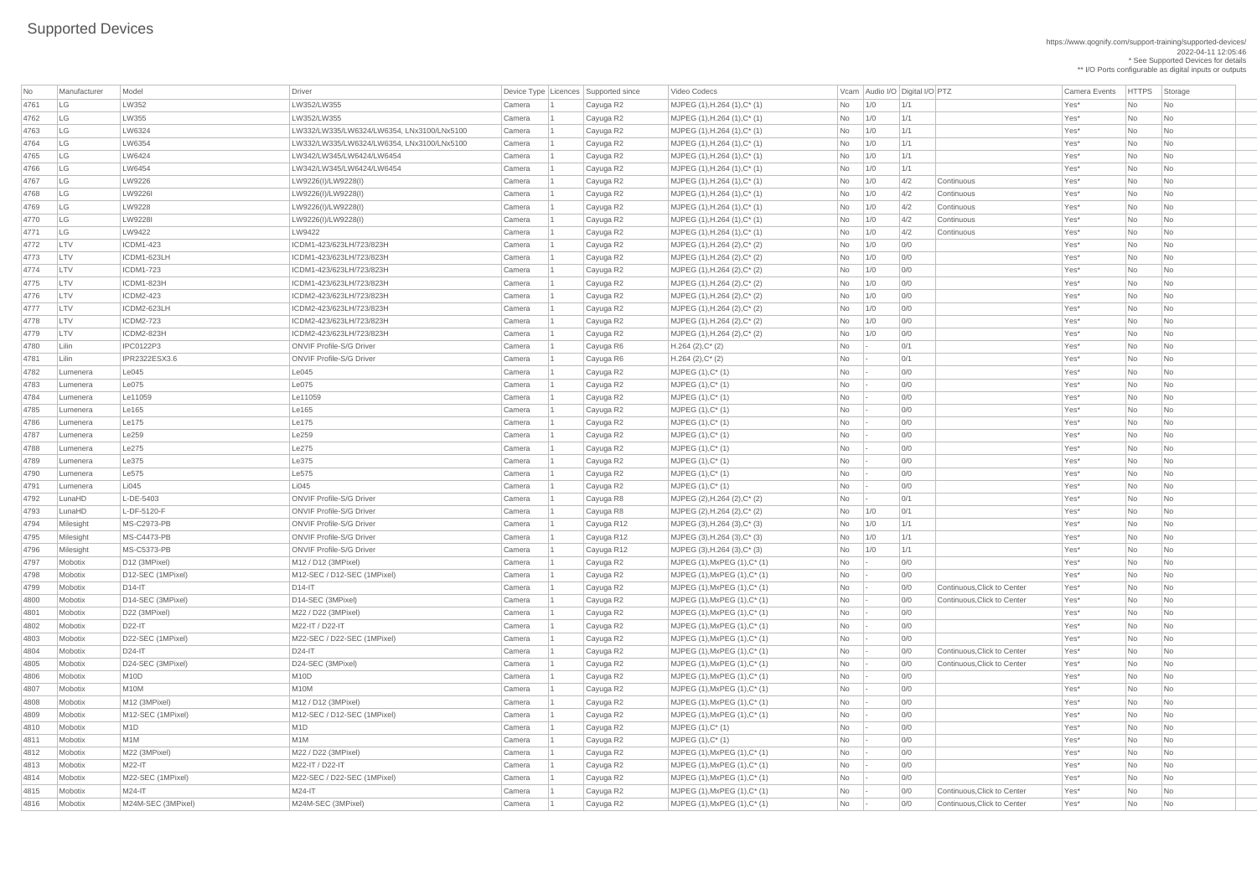| No   | Manufacturer | Model              | Driver                                      |        | Device Type   Licences   Supported since | Video Codecs                         |                             | Vcam Audio I/O Digital I/O PTZ |     |                             | <b>Camera Events</b> | <b>HTTPS</b>  | Storage        |  |
|------|--------------|--------------------|---------------------------------------------|--------|------------------------------------------|--------------------------------------|-----------------------------|--------------------------------|-----|-----------------------------|----------------------|---------------|----------------|--|
| 4761 | LG           | LW352              | LW352/LW355                                 | Camera | Cayuga R2                                | MJPEG (1), H.264 (1), C* (1)         | No                          | 1/0                            | 1/1 |                             | Yes*                 | No            | No             |  |
| 4762 | LG           | LW355              | LW352/LW355                                 | Camera | Cayuga R2                                | MJPEG (1), H.264 (1), C* (1)         | No                          | 1/0                            | 1/1 |                             | Yes*                 | No            | <b>No</b>      |  |
| 4763 | LG           | LW6324             | LW332/LW335/LW6324/LW6354, LNx3100/LNx5100  | Camera | Cayuga R2                                | MJPEG (1), H.264 (1), C* (1)         | No                          | 1/0                            | 1/1 |                             | Yes*                 | No            | No             |  |
| 4764 | LG           | LW6354             | LW332/LW335/LW6324/LW6354, LNx3100/LNx5100  | Camera | Cayuga R2                                | $MJPEG (1), H.264 (1), C^* (1)$      | No                          | 1/0                            | 1/1 |                             | Yes*                 | No            | No             |  |
| 4765 | LG           | LW6424             | LW342/LW345/LW6424/LW6454                   | Camera | Cayuga R2                                | $MJPEG (1), H.264 (1), C^*(1)$       | No                          | 1/0                            | 1/1 |                             | Yes*                 | No            | <b>No</b>      |  |
| 4766 | LG           | LW6454             | LW342/LW345/LW6424/LW6454                   | Camera | Cayuga R2                                | $MJPEG (1), H.264 (1), C^* (1)$      | No                          | 1/0                            | 1/1 |                             | Yes*                 | No            | No             |  |
| 4767 | LG           | LW9226             | LW9226(I)/LW9228(I)                         | Camera | Cayuga R2                                | $MJPEG (1), H.264 (1), C^* (1)$      | No                          | 1/0                            | 4/2 | Continuous                  | Yes*                 | No            | No             |  |
| 4768 | LG           | LW9226I            | LW9226(I)/LW9228(I)                         | Camera | Cayuga R2                                | MJPEG (1), H.264 (1), C* (1)         | No                          | 1/0                            | 4/2 | Continuous                  | Yes*                 | No            | <b>No</b>      |  |
| 4769 | LG           | LW9228             | LW9226(I)/LW9228(I)                         | Camera | Cayuga R2                                | $MJPEG (1), H.264 (1), C^*(1)$       | No                          | 1/0                            | 4/2 | Continuous                  | Yes*                 | No            | No             |  |
| 4770 | LG           | LW9228I            | LW9226(I)/LW9228(I)                         | Camera | Cayuga R2                                | $MJPEG (1), H.264 (1), C^* (1)$      | No                          | 1/0                            | 4/2 | Continuous                  | Yes*                 | No            | No             |  |
| 4771 | LG           | LW9422             | LW9422                                      | Camera | Cayuga R2                                | $MJPEG (1), H.264 (1), C^* (1)$      | No                          | 1/0                            | 4/2 | Continuous                  | Yes*                 | No            | No             |  |
| 4772 | LTV          | <b>ICDM1-423</b>   | ICDM1-423/623LH/723/823H                    | Camera | Cayuga R2                                | $MJPEG (1), H.264 (2), C^* (2)$      | No                          | 1/0                            | 0/0 |                             | Yes*                 | $\mathsf{No}$ | <b>No</b>      |  |
| 4773 | LTV          | ICDM1-623LH        | ICDM1-423/623LH/723/823H                    | Camera | Cayuga R2                                | MJPEG (1), H.264 (2), C* (2)         | No                          | 1/0                            | 0/0 |                             | Yes*                 | No            | No             |  |
| 4774 | LTV          | <b>ICDM1-723</b>   | ICDM1-423/623LH/723/823H                    | Camera | Cayuga R2                                | $MJPEG (1), H.264 (2), C^* (2)$      | No                          | 1/0                            | 0/0 |                             | Yes*                 | No            | <b>No</b>      |  |
| 4775 | LTV          | <b>ICDM1-823H</b>  | ICDM1-423/623LH/723/823H                    | Camera | Cayuga R2                                | MJPEG (1), H.264 (2), C* (2)         | No                          | 1/0                            | 0/0 |                             | Yes*                 | No            | No             |  |
| 4776 | LTV          | <b>ICDM2-423</b>   | ICDM2-423/623LH/723/823H                    | Camera | Cayuga R2                                | $MJPEG (1), H.264 (2), C^* (2)$      | No                          | 1/0                            | 0/0 |                             | Yes*                 | No            | <b>No</b>      |  |
| 4777 | LTV          | ICDM2-623LH        | ICDM2-423/623LH/723/823H                    | Camera | Cayuga R2                                | $MJPEG (1), H.264 (2), C^* (2)$      | No                          | 1/0                            | 0/0 |                             | Yes*                 | No            | No             |  |
| 4778 | LTV          | ICDM2-723          | ICDM2-423/623LH/723/823H                    | Camera | Cayuga R2                                | $MJPEG (1), H.264 (2), C^* (2)$      | No                          | 1/0                            | 0/0 |                             | Yes*                 | No            | No             |  |
| 4779 | LTV          | ICDM2-823H         | ICDM2-423/623LH/723/823H                    | Camera | Cayuga R2                                | MJPEG (1), H.264 (2), C* (2)         | No                          | 1/0                            | 0/0 |                             | Yes*                 | No            | <b>No</b>      |  |
| 4780 | Lilin        | <b>IPC0122P3</b>   | <b>ONVIF Profile-S/G Driver</b>             | Camera | Cayuga R6                                | $H.264 (2), C^*(2)$                  | No                          |                                | 0/1 |                             | Yes*                 | No            | No             |  |
| 4781 | Lilin        | IPR2322ESX3.6      | <b>ONVIF Profile-S/G Driver</b>             | Camera | Cayuga R6                                | $H.264 (2), C^*(2)$                  | No                          |                                | 0/1 |                             | Yes*                 | No            | No             |  |
| 4782 | Lumenera     | LE045              | Le045                                       | Camera |                                          | $MJPEG (1), C^* (1)$                 | No                          |                                | 0/0 |                             | Yes*                 | No            | No             |  |
|      |              | Le075              | Le075                                       |        | Cayuga R2                                |                                      |                             |                                |     |                             |                      |               |                |  |
| 4783 | Lumenera     |                    |                                             | Camera | Cayuga R2                                | $MJPEG (1), C^* (1)$                 | No                          |                                | 0/0 |                             | Yes*                 | No            | No             |  |
| 4784 | Lumenera     | Le11059            | Le11059                                     | Camera | Cayuga R2                                | $MJPEG (1), C^* (1)$                 | No                          |                                | 0/0 |                             | Yes*                 | $\mathsf{No}$ | No             |  |
| 4785 | Lumenera     | Le165              | Le165                                       | Camera | Cayuga R2                                | MJPEG (1), C* (1)                    | No                          |                                | 0/0 |                             | Yes*                 | No            | No             |  |
| 4786 | Lumenera     | LE175              | LE175                                       | Camera | Cayuga R2                                | MJPEG (1), C* (1)                    | No                          |                                | 0/0 |                             | Yes*                 | No            | No             |  |
| 4787 | Lumenera     | Le259              | Le259                                       | Camera | Cayuga R2                                | $MJPEG (1), C^* (1)$                 | No                          |                                | 0/0 |                             | Yes*                 | $\mathsf{No}$ | No             |  |
| 4788 | Lumenera     | Le275              | Le275                                       | Camera | Cayuga R2                                | $MJPEG (1), C^* (1)$                 | No                          |                                | 0/0 |                             | Yes*                 | No            | No             |  |
| 4789 | Lumenera     | Le375              | Le375                                       | Camera | Cayuga R2                                | MJPEG (1), C* (1)                    | No                          |                                | 0/0 |                             | Yes*                 | No            | No             |  |
| 4790 | Lumenera     | Le575              | Le575                                       | Camera | Cayuga R2                                | MJPEG (1), C* (1)                    | No                          |                                | 0/0 |                             | Yes*                 | No            | <b>No</b>      |  |
| 4791 | Lumenera     | Li045              | Li045                                       | Camera | Cayuga R2                                | MJPEG (1), C* (1)                    | No                          |                                | 0/0 |                             | Yes*                 | No            | No             |  |
| 4792 | LunaHD       | $L-DE-5403$        | <b>ONVIF Profile-S/G Driver</b>             | Camera | Cayuga R8                                | MJPEG (2), H.264 (2), C* (2)         | No                          |                                | 0/1 |                             | Yes <sup>*</sup>     | No            | No             |  |
| 4793 | LunaHD       | L-DF-5120-F        | <b>ONVIF Profile-S/G Driver</b>             | Camera | Cayuga R8                                | MJPEG (2), H.264 (2), C* (2)         | No                          | 1/0                            | 0/1 |                             | Yes*                 | No            | No             |  |
| 4794 | Milesight    | <b>MS-C2973-PB</b> | <b>ONVIF Profile-S/G Driver</b>             | Camera | Cayuga R12                               | MJPEG $(3)$ , H.264 $(3)$ , C* $(3)$ | No                          | 1/0                            | 1/1 |                             | Yes <sup>*</sup>     | No            | No             |  |
| 4795 | Milesight    | <b>MS-C4473-PB</b> | <b>ONVIF Profile-S/G Driver</b>             | Camera | Cayuga R12                               | $MJPEG (3), H.264 (3), C^{*} (3)$    | No                          | 1/0                            | 1/1 |                             | Yes*                 | No            | No             |  |
| 4796 | Milesight    | <b>MS-C5373-PB</b> | <b>ONVIF Profile-S/G Driver</b>             | Camera | Cayuga R12                               | $MJPEG (3), H.264 (3), C^{*} (3)$    | No                          | 1/0                            | 1/1 |                             | Yes*                 | No            | No             |  |
| 4797 | Mobotix      | D12 (3MPixel)      | M12 / D12 (3MPixel)                         | Camera | Cayuga R2                                | MJPEG (1), MxPEG (1), C* (1)         | No                          |                                | 0/0 |                             | Yes*                 | No            | No             |  |
| 4798 | Mobotix      | D12-SEC (1MPixel)  | M12-SEC / D12-SEC (1MPixel)                 | Camera | Cayuga R2                                | $MJPEG (1), MxPEG (1), C^* (1)$      | No                          |                                | 0/0 |                             | Yes*                 | No            | No             |  |
| 4799 | Mobotix      | $D14-I$            | $D14-I$                                     | Camera | Cayuga R2                                | $MJPEG (1), MxPEG (1), C^* (1)$      | No                          |                                | 0/0 | Continuous, Click to Center | Yes*                 | No            | <b>No</b>      |  |
| 4800 | Mobotix      | D14-SEC (3MPixel)  | D14-SEC (3MPixel)                           | Camera | Cayuga R2                                | MJPEG (1), MxPEG (1), C* (1)         | No                          |                                | 0/0 | Continuous, Click to Center | Yes*                 | No            | No             |  |
| 4801 | Mobotix      | D22 (3MPixel)      | M22 / D22 (3MPixel)                         | Camera | Cayuga R2                                | $MJPEG (1), MxPEG (1), C^* (1)$      | No                          |                                | 0/0 |                             | Yes*                 | No            | No             |  |
| 4802 | Mobotix      | D22-IT             | M22-IT / D22-IT                             | Camera | Cayuga R2                                | MJPEG (1), MxPEG (1), C* (1)         | No                          |                                | 0/0 |                             | Yes*                 | No            | <b>No</b>      |  |
| 4803 | Mobotix      | D22-SEC (1MPixel)  | M22-SEC / D22-SEC (1MPixel)                 | Camera | Cayuga R2                                | $MJPEG (1), MxPEG (1), C^* (1)$      | No                          |                                | 0/0 |                             | Yes*                 | No            | No             |  |
| 4804 | Mobotix      | $D24-IT$           | $D24-I$                                     | Camera | Cayuga R2                                | $MJPEG (1), MxPEG (1), C^* (1)$      | No                          |                                | 0/0 | Continuous, Click to Center | Yes*                 | No            | No             |  |
| 4805 | Mobotix      | D24-SEC (3MPixel)  | D24-SEC (3MPixel)                           | Camera | Cayuga R2                                | $MJPEG (1), MxPEG (1), C^* (1)$      | No                          |                                | 0/0 | Continuous, Click to Center | Yes*                 | No            | No             |  |
| 4806 | Mobotix      | <b>M10D</b>        | <b>M10D</b>                                 | Camera | Cayuga R2                                | MJPEG (1), MxPEG (1), C* (1)         | No                          |                                | 0/0 |                             | Yes*                 | No            | No             |  |
| 4807 | Mobotix      | <b>M10M</b>        | M <sub>10</sub> M                           | Camera | Cayuga R2                                | MJPEG (1), MxPEG (1), C* (1)         | No                          |                                | 0/0 |                             | Yes*                 | No            | No             |  |
| 4808 | Mobotix      | M12 (3MPixel)      | M <sub>12</sub> / D <sub>12</sub> (3MPixel) | Camera | Cayuga R2                                | $MJPEG (1), MxPEG (1), C^* (1)$      | No                          |                                | 0/0 |                             | Yes*                 | No            | No             |  |
| 4809 | Mobotix      | M12-SEC (1MPixel)  | M12-SEC / D12-SEC (1MPixel)                 | Camera | Cayuga R2                                | MJPEG (1), MxPEG (1), C* (1)         | No                          |                                | 0/0 |                             | Yes*                 | No            | No             |  |
| 4810 | Mobotix      | M <sub>1</sub> D   | M <sub>1</sub> D                            | Camera | Cayuga R2                                | $MJPEG (1), C^* (1)$                 | No                          |                                | 0/0 |                             | Yes <sup>*</sup>     | No            | No             |  |
| 4811 | Mobotix      | M <sub>1</sub> M   | M <sub>1</sub> M                            | Camera | Cayuga R2                                | $MJPEG (1), C^* (1)$                 | No                          |                                | 0/0 |                             | Yes*                 | No            | No             |  |
| 4812 | Mobotix      | M22 (3MPixel)      | M22 / D22 (3MPixel)                         | Camera | Cayuga R2                                | MJPEG (1), MxPEG (1), C* (1)         | No                          |                                | 0/0 |                             | Yes*                 | No            | No             |  |
| 4813 | Mobotix      | $M22-IT$           | M22-IT / D22-IT                             | Camera | Cayuga R2                                | $ $ MJPEG (1), MxPEG (1), C* (1)     | <b>No</b>                   |                                | 0/0 |                             | Yes*                 | No            | N <sub>o</sub> |  |
| 4814 | Mobotix      | M22-SEC (1MPixel)  | M22-SEC / D22-SEC (1MPixel)                 | Camera | Cayuga R2                                | $MJPEG (1),MxPEG (1),C^* (1)$        | No                          |                                | 0/0 |                             | Yes*                 | No            | N <sub>o</sub> |  |
| 4815 | Mobotix      | $M24-I$            | $M24-IT$                                    | Camera | Cayuga R2                                | $MJPEG (1), MxPEG (1), C^* (1)$      | <b>No</b>                   |                                | 0/0 | Continuous, Click to Center | Yes <sup>*</sup>     | No            | N <sub>o</sub> |  |
| 4816 | Mobotix      | M24M-SEC (3MPixel) | M24M-SEC (3MPixel)                          | Camera | Cayuga R2                                | $MJPEG (1), MxPEG (1), C^* (1)$      | $\overline{\phantom{1}}$ No |                                | 0/0 | Continuous, Click to Center | Yes*                 | No            | N <sub>o</sub> |  |
|      |              |                    |                                             |        |                                          |                                      |                             |                                |     |                             |                      |               |                |  |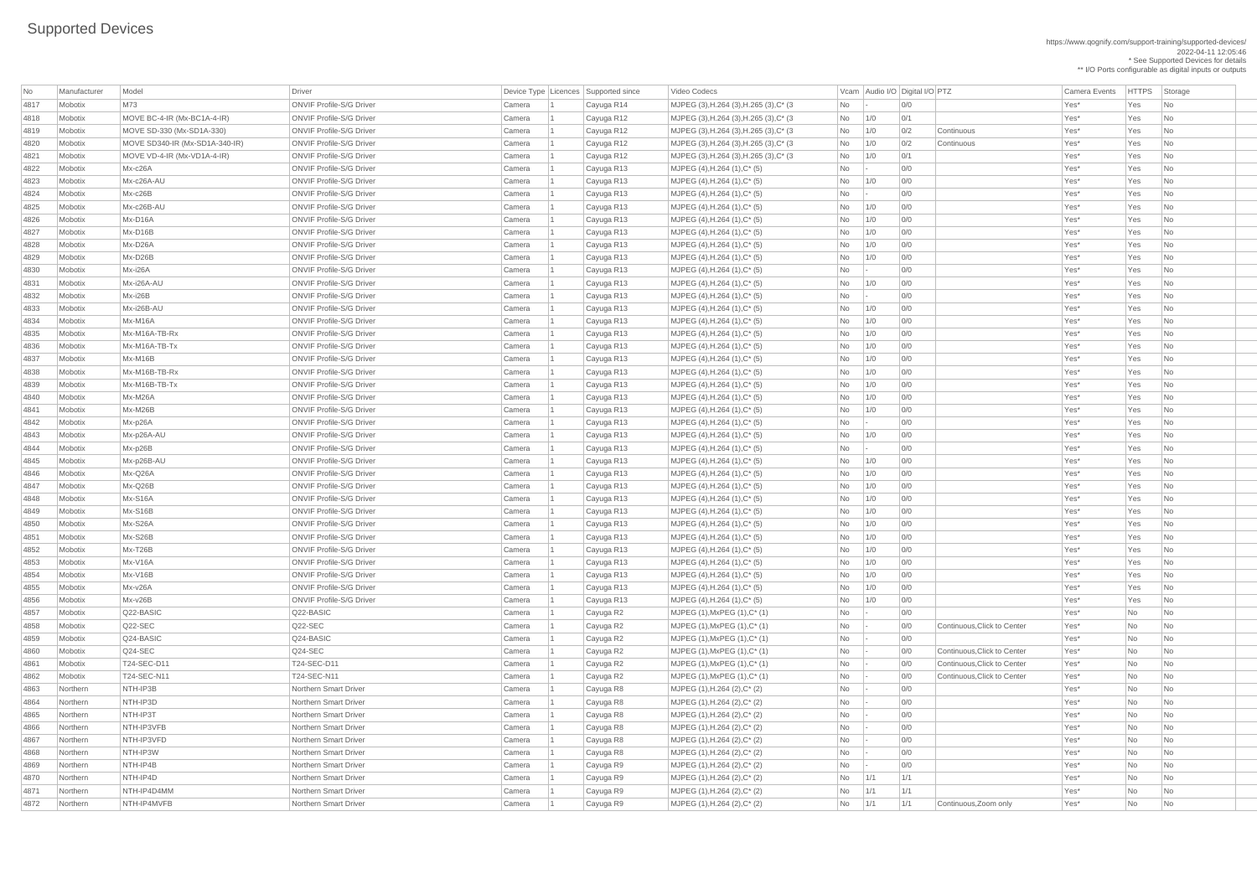| No   | Manufacturer | Model                          | <b>Driver</b>                   |        | Device Type Licences Supported since | Video Codecs                            |            | Vcam Audio I/O Digital I/O PTZ |     |                             | Camera Events | <b>HTTPS</b> | Storage                  |
|------|--------------|--------------------------------|---------------------------------|--------|--------------------------------------|-----------------------------------------|------------|--------------------------------|-----|-----------------------------|---------------|--------------|--------------------------|
| 4817 | Mobotix      | M73                            | <b>ONVIF Profile-S/G Driver</b> | Camera | Cayuga R14                           | MJPEG (3), H.264 (3), H.265 (3), C* (3) | No         |                                | O/O |                             | Yes*          | Yes          | N <sub>o</sub>           |
| 4818 | Mobotix      | MOVE BC-4-IR (Mx-BC1A-4-IR)    | <b>ONVIF Profile-S/G Driver</b> | Camera | Cayuga R12                           | MJPEG (3), H.264 (3), H.265 (3), C* (3) | No         | 1/0                            | 0/1 |                             | Yes*          | Yes          | <b>No</b>                |
| 4819 | Mobotix      | MOVE SD-330 (Mx-SD1A-330)      | <b>ONVIF Profile-S/G Driver</b> | Camera | Cayuga R12                           | MJPEG (3), H.264 (3), H.265 (3), C* (3) | No         | 1/0                            | 0/2 | Continuous                  | Yes*          | Yes          | No                       |
| 4820 | Mobotix      | MOVE SD340-IR (Mx-SD1A-340-IR) | <b>ONVIF Profile-S/G Driver</b> | Camera | Cayuga R12                           | MJPEG (3), H.264 (3), H.265 (3), C* (3) | No         | 1/0                            | 0/2 | Continuous                  | Yes*          | Yes          | No                       |
| 4821 | Mobotix      | MOVE VD-4-IR (Mx-VD1A-4-IR)    | <b>ONVIF Profile-S/G Driver</b> | Camera | Cayuga R12                           | MJPEG (3), H.264 (3), H.265 (3), C* (3) | No         | 1/0                            | 0/1 |                             | Yes*          | Yes          | N <sub>o</sub>           |
| 4822 | Mobotix      | Mx-c26A                        | <b>ONVIF Profile-S/G Driver</b> | Camera | Cayuga R13                           | MJPEG (4), H.264 (1), C* (5)            | No         |                                | 0/0 |                             | Yes*          | Yes          | N <sub>o</sub>           |
| 4823 | Mobotix      | Mx-c26A-AU                     | <b>ONVIF Profile-S/G Driver</b> | Camera | Cayuga R13                           | MJPEG (4), H.264 (1), C* (5)            | No         | 1/0                            | 0/0 |                             | Yes*          | Yes          | N <sub>o</sub>           |
| 4824 | Mobotix      | Mx-c26B                        | <b>ONVIF Profile-S/G Driver</b> | Camera | Cayuga R13                           | MJPEG (4), H.264 (1), C* (5)            | <b>No</b>  |                                | 0/0 |                             | Yes*          | Yes          | No                       |
| 4825 | Mobotix      | Mx-c26B-AU                     | <b>ONVIF Profile-S/G Driver</b> | Camera | Cayuga R13                           | MJPEG (4), H.264 (1), C* (5)            | <b>No</b>  | 1/0                            | 0/0 |                             | Yes*          | Yes          | No                       |
| 4826 | Mobotix      | Mx-D16A                        | <b>ONVIF Profile-S/G Driver</b> | Camera | Cayuga R13                           | MJPEG (4), H.264 (1), C* (5)            | No         | 1/0                            | 0/0 |                             | Yes*          | Yes          | No.                      |
| 4827 | Mobotix      | $Mx-D16B$                      | <b>ONVIF Profile-S/G Driver</b> | Camera | Cayuga R13                           | MJPEG (4), H.264 (1), C* (5)            | <b>No</b>  | 1/0                            | O/O |                             | Yes*          | Yes          | No                       |
| 4828 | Mobotix      | Mx-D26A                        | <b>ONVIF Profile-S/G Driver</b> | Camera | Cayuga R13                           | MJPEG (4), H.264 (1), C* (5)            | No         | 1/0                            | 0/0 |                             | Yes*          | Yes          | N <sub>o</sub>           |
| 4829 | Mobotix      | Mx-D26B                        | <b>ONVIF Profile-S/G Driver</b> | Camera | Cayuga R13                           | MJPEG (4), H.264 (1), C* (5)            | No         | 1/0                            | 0/0 |                             | Yes*          | Yes          | No                       |
| 4830 | Mobotix      | Mx-i26A                        | <b>ONVIF Profile-S/G Driver</b> | Camera | Cayuga R13                           | MJPEG (4), H.264 (1), C* (5)            | <b>No</b>  |                                | O/O |                             | Yes*          | Yes          | <b>No</b>                |
| 4831 | Mobotix      | Mx-i26A-AU                     | <b>ONVIF Profile-S/G Driver</b> | Camera | Cayuga R13                           | MJPEG (4), H.264 (1), C* (5)            | No         | 1/0                            | 0/0 |                             | Yes*          | Yes          | No                       |
| 4832 | Mobotix      | Mx-i26B                        | <b>ONVIF Profile-S/G Driver</b> | Camera | Cayuga R13                           | MJPEG (4), H.264 (1), C* (5)            | No         |                                | 0/0 |                             | Yes*          | Yes          | No.                      |
| 4833 | Mobotix      | Mx-i26B-AU                     | <b>ONVIF Profile-S/G Driver</b> | Camera | Cayuga R13                           | MJPEG (4), H.264 (1), C* (5)            | <b>No</b>  | 1/0                            | O/O |                             | Yes*          | Yes          | No                       |
| 4834 | Mobotix      | Mx-M16A                        | <b>ONVIF Profile-S/G Driver</b> | Camera | Cayuga R13                           | MJPEG (4), H.264 (1), C* (5)            | No         | 1/0                            | 0/0 |                             | Yes*          | Yes          | N <sub>o</sub>           |
| 4835 | Mobotix      | Mx-M16A-TB-Rx                  | <b>ONVIF Profile-S/G Driver</b> | Camera | Cayuga R13                           | MJPEG (4), H.264 (1), C* (5)            | No         | 1/0                            | 0/0 |                             | Yes*          | Yes          | N <sub>o</sub>           |
| 4836 | Mobotix      | Mx-M16A-TB-Tx                  | <b>ONVIF Profile-S/G Driver</b> | Camera | Cayuga R13                           | MJPEG (4), H.264 (1), C* (5)            | No         | 1/0                            | 0/0 |                             | Yes*          | Yes          | No                       |
| 4837 | Mobotix      | Mx-M16B                        | <b>ONVIF Profile-S/G Driver</b> | Camera | Cayuga R13                           | MJPEG (4), H.264 (1), C* (5)            | No         | 1/0                            | O/O |                             | Yes*          | Yes          | No.                      |
| 4838 | Mobotix      | Mx-M16B-TB-Rx                  | <b>ONVIF Profile-S/G Driver</b> | Camera | Cayuga R13                           | MJPEG (4), H.264 (1), C* (5)            | No         | 1/0                            | 0/0 |                             | Yes*          | Yes          | No.                      |
| 4839 | Mobotix      | Mx-M16B-TB-Tx                  | <b>ONVIF Profile-S/G Driver</b> | Camera | Cayuga R13                           | MJPEG (4), H.264 (1), C* (5)            | No         | 1/0                            | O/O |                             | Yes*          | Yes          | <b>No</b>                |
| 4840 | Mobotix      | Mx-M26A                        | <b>ONVIF Profile-S/G Driver</b> | Camera | Cayuga R13                           | MJPEG (4), H.264 (1), C* (5)            | No         | 1/0                            | 0/0 |                             | Yes*          | Yes          | <b>No</b>                |
| 4841 | Mobotix      | Mx-M26B                        | <b>ONVIF Profile-S/G Driver</b> | Camera | Cayuga R13                           | MJPEG (4), H.264 (1), C* (5)            | No         | 1/0                            | 0/0 |                             | Yes*          | Yes          | $\overline{\mathsf{No}}$ |
| 4842 | Mobotix      | Mx-p26A                        | <b>ONVIF Profile-S/G Driver</b> | Camera | Cayuga R13                           | MJPEG (4), H.264 (1), C* (5)            | No         |                                | 0/0 |                             | Yes*          | Yes          | <b>No</b>                |
| 4843 | Mobotix      | Mx-p26A-AU                     | <b>ONVIF Profile-S/G Driver</b> | Camera | Cayuga R13                           | MJPEG (4), H.264 (1), C* (5)            | No         | 1/0                            | O/O |                             | Yes*          | Yes          | N <sub>o</sub>           |
| 4844 | Mobotix      | Mx-p26B                        | <b>ONVIF Profile-S/G Driver</b> | Camera | Cayuga R13                           | MJPEG (4), H.264 (1), C* (5)            | No         |                                | 0/0 |                             | Yes*          | Yes          | No.                      |
| 4845 | Mobotix      | Mx-p26B-AU                     | <b>ONVIF Profile-S/G Driver</b> | Camera | Cayuga R13                           | MJPEG (4), H.264 (1), C* (5)            | No         | 1/0                            | O/O |                             | Yes*          | Yes          | N <sub>o</sub>           |
| 4846 | Mobotix      | Mx-Q26A                        | <b>ONVIF Profile-S/G Driver</b> | Camera | Cayuga R13                           | MJPEG $(4)$ , H.264 $(1)$ , C* $(5)$    | No         | 1/0                            | 0/0 |                             | Yes*          | Yes          | <b>No</b>                |
| 4847 | Mobotix      | Mx-Q26B                        | <b>ONVIF Profile-S/G Driver</b> | Camera | Cayuga R13                           | MJPEG (4), H.264 (1), C* (5)            | No         | 1/0                            | 0/0 |                             | Yes*          | Yes          | <b>No</b>                |
| 4848 | Mobotix      | Mx-S16A                        | <b>ONVIF Profile-S/G Driver</b> | Camera | Cayuga R13                           | MJPEG (4), H.264 (1), C* (5)            | No         | 1/0                            | 0/0 |                             | Yes*          | Yes          | No                       |
| 4849 | Mobotix      | Mx-S16B                        | <b>ONVIF Profile-S/G Driver</b> | Camera | Cayuga R13                           | MJPEG (4), H.264 (1), C* (5)            | No         | 1/0                            | 0/0 |                             | Yes*          | Yes          | N <sub>o</sub>           |
| 4850 | Mobotix      | Mx-S26A                        | <b>ONVIF Profile-S/G Driver</b> | Camera | Cayuga R13                           | MJPEG (4), H.264 (1), C* (5)            | No         | 1/0                            | O/O |                             | Yes*          | Yes          | No.                      |
| 4851 | Mobotix      | Mx-S26B                        | <b>ONVIF Profile-S/G Driver</b> | Camera | Cayuga R13                           | MJPEG (4), H.264 (1), C* (5)            | No         | 1/0                            | 0/0 |                             | Yes*          | Yes          | No.                      |
| 4852 | Mobotix      | $Mx-T26B$                      | <b>ONVIF Profile-S/G Driver</b> | Camera | Cayuga R13                           | MJPEG $(4)$ , H.264 $(1)$ , C* $(5)$    | No         | 1/0                            | 0/0 |                             | Yes*          | Yes          | No.                      |
| 4853 | Mobotix      | Mx-V16A                        | <b>ONVIF Profile-S/G Driver</b> | Camera | Cayuga R13                           | MJPEG (4), H.264 (1), C* (5)            | No         | 1/0                            | 0/0 |                             | Yes*          | Yes          | No                       |
| 4854 | Mobotix      | Mx-V16B                        | <b>ONVIF Profile-S/G Driver</b> | Camera | Cayuga R13                           | MJPEG (4), H.264 (1), C* (5)            | No         | 1/0                            | 0/0 |                             | Yes*          | Yes          | No                       |
| 4855 | Mobotix      | Mx-v26A                        | <b>ONVIF Profile-S/G Driver</b> | Camera | Cayuga R13                           | MJPEG (4), H.264 (1), C* (5)            | <b>No</b>  | 1/0                            | 0/0 |                             | Yes*          | Yes          | N <sub>o</sub>           |
| 4856 | Mobotix      | $Mx-v26B$                      | <b>ONVIF Profile-S/G Driver</b> | Camera | Cayuga R13                           | MJPEG (4), H.264 (1), C* (5)            | No         | 1/0                            | 0/0 |                             | Yes*          | Yes          | No.                      |
| 4857 | Mobotix      | Q22-BASIC                      | Q22-BASIC                       | Camera | Cayuga R2                            | MJPEG (1), MxPEG (1), C* (1)            | No         |                                | 0/0 |                             | Yes*          | No           | No                       |
| 4858 | Mobotix      | $Q22-SEC$                      | Q22-SEC                         | Camera | Cayuga R2                            | $MJPEG (1), MxPEG (1), C^* (1)$         | <b>No</b>  |                                | 0/0 | Continuous, Click to Center | Yes*          | No           | N <sub>o</sub>           |
| 4859 | Mobotix      | $Q24-BASIC$                    | Q24-BASIC                       | Camera | Cayuga R2                            | $MJPEG (1), MxPEG (1), C^* (1)$         | No         |                                | 0/0 |                             | Yes*          | No           | <b>No</b>                |
| 4860 | Mobotix      | $Q24-SEC$                      | Q24-SEC                         | Camera | Cayuga R2                            | MJPEG $(1)$ , MxPEG $(1)$ , C* $(1)$    | <b>No</b>  |                                | 0/0 | Continuous, Click to Center | Yes*          | No           | No                       |
| 4861 | Mobotix      | T24-SEC-D11                    | T24-SEC-D11                     | Camera | Cayuga R2                            | MJPEG (1), MxPEG (1), C* (1)            | No         |                                | 0/0 | Continuous, Click to Center | Yes*          | No           | No                       |
| 4862 | Mobotix      | T24-SEC-N11                    | T24-SEC-N11                     | Camera | Cayuga R2                            | MJPEG (1), MxPEG (1), C* (1)            | No         |                                | 0/0 | Continuous, Click to Center | Yes*          | No           | No                       |
| 4863 | Northern     | NTH-IP3B                       | Northern Smart Driver           | Camera | Cayuga R8                            | MJPEG (1), H.264 (2), C* (2)            | <b>No</b>  |                                | 0/0 |                             | Yes*          | No           | No                       |
| 4864 | Northern     | NTH-IP3D                       | Northern Smart Driver           | Camera | Cayuga R8                            | MJPEG (1), H.264 (2), C* (2)            | <b>No</b>  |                                | 0/0 |                             | Yes*          | No           | No                       |
| 4865 | Northern     | NTH-IP3T                       | Northern Smart Driver           | Camera | Cayuga R8                            | MJPEG (1), H.264 (2), C* (2)            | No         |                                | 0/0 |                             | Yes*          | No           | <b>No</b>                |
| 4866 | Northern     | NTH-IP3VFB                     | Northern Smart Driver           | Camera | Cayuga R8                            | MJPEG (1), H.264 (2), C* (2)            | No         |                                | 0/0 |                             | Yes*          | No           | No                       |
| 4867 | Northern     | NTH-IP3VFD                     | Northern Smart Driver           | Camera | Cayuga R8                            | MJPEG (1), H.264 (2), C* (2)            | <b>No</b>  |                                | 0/0 |                             | Yes*          | No           | No                       |
| 4868 | Northern     | NTH-IP3W                       | Northern Smart Driver           | Camera | Cayuga R8                            | MJPEG (1), H.264 (2), C* (2)            | No         |                                | 0/0 |                             | Yes*          | No           | $\overline{\mathsf{No}}$ |
| 4869 | Northern     | NTH-IP4B                       | Northern Smart Driver           | Camera | Cayuga R9                            | MJPEG (1), H.264 (2), C* (2)            | No         |                                | 0/0 |                             | Yes*          | No           | $\overline{\mathsf{No}}$ |
| 4870 | Northern     | $NTH-IP4D$                     | Northern Smart Driver           | Camera | Cayuga R9                            | MJPEG (1), H.264 (2), C* (2)            | No         | 1/1                            | 1/1 |                             | Yes*          | No           | No                       |
| 4871 | Northern     | NTH-IP4D4MM                    | Northern Smart Driver           | Camera | Cayuga R9                            | MJPEG (1), H.264 (2), C* (2)            | No         | 1/1                            | 1/1 |                             | Yes*          | No           | $\overline{\mathsf{No}}$ |
| 4872 | Northern     | NTH-IP4MVFB                    | Northern Smart Driver           | Camera | Cayuga R9                            | MJPEG (1), H.264 (2), C* (2)            | $No$   1/1 |                                | 1/1 | Continuous, Zoom only       | Yes*          | No           | $\overline{\mathsf{No}}$ |
|      |              |                                |                                 |        |                                      |                                         |            |                                |     |                             |               |              |                          |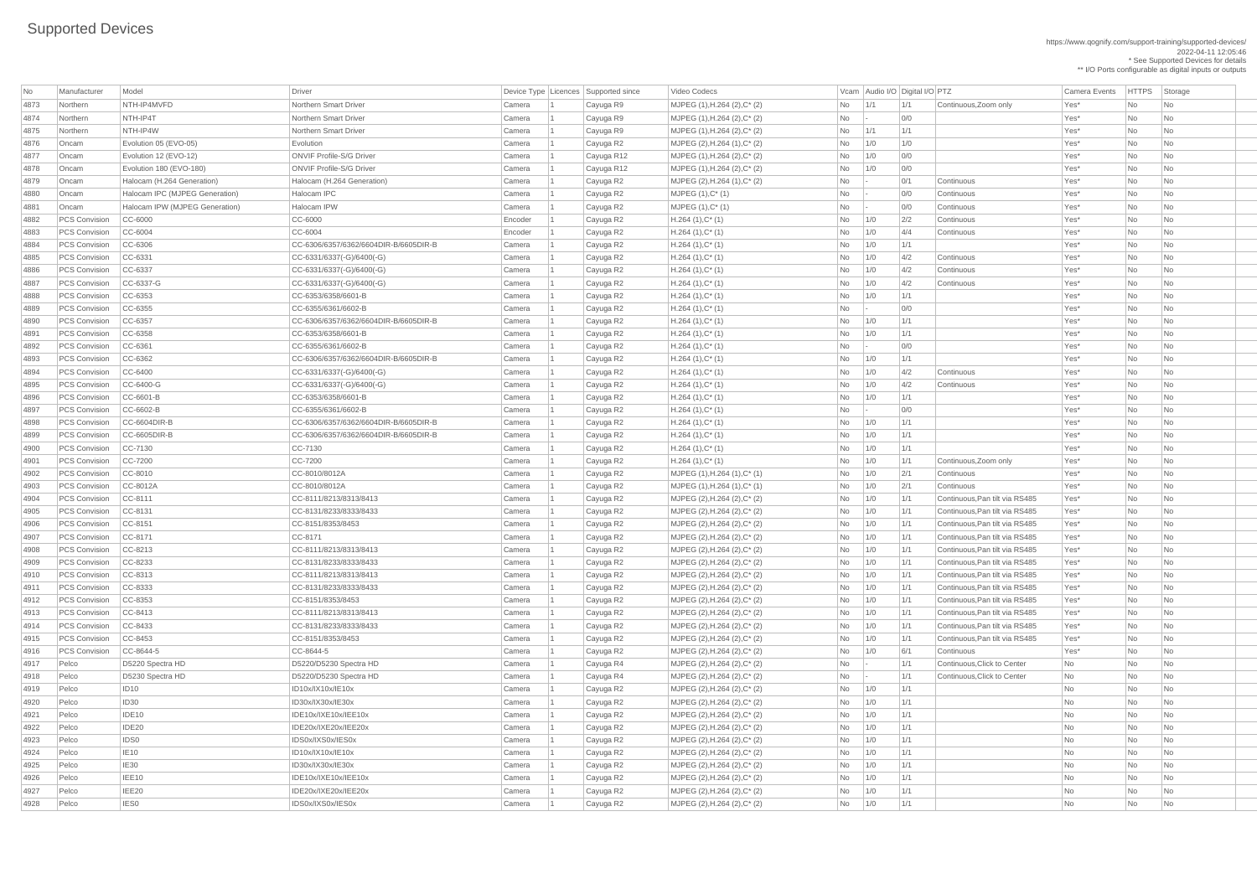| <b>No</b>        | Manufacturer         | Model                          | Driver                                |         | Device Type Licences Supported since | Video Codecs                         |            |                | Vcam Audio I/O Digital I/O PTZ |                                | <b>Camera Events</b> | <b>HTTPS</b> | Storage                     |  |
|------------------|----------------------|--------------------------------|---------------------------------------|---------|--------------------------------------|--------------------------------------|------------|----------------|--------------------------------|--------------------------------|----------------------|--------------|-----------------------------|--|
| 4873             | Northern             | NTH-IP4MVFD                    | Northern Smart Driver                 | Camera  | Cayuga R9                            | MJPEG (1), H.264 (2), C* (2)         | $No$ $1/1$ |                | 1/1                            | Continuous, Zoom only          | Yes*                 | <b>No</b>    | $\overline{\phantom{a}}$ No |  |
| 4874             | Northern             | NTH-IP4T                       | Northern Smart Driver                 | Camera  | Cayuga R9                            | MJPEG (1), H.264 (2), C* (2)         | No         | $\overline{a}$ | O/O                            |                                | Yes*                 | <b>No</b>    | <b>No</b>                   |  |
| 4875             | Northern             | NTH-IP4W                       | Northern Smart Driver                 | Camera  | Cayuga R9                            | MJPEG (1), H.264 (2), C* (2)         | No         | 1/1            | 1/1                            |                                | Yes*                 | <b>No</b>    | <b>No</b>                   |  |
| 4876             | Oncam                | Evolution 05 (EVO-05)          | Evolution                             | Camera  | Cayuga R2                            | MJPEG (2), H.264 (1), C* (2)         | No         | 1/0            | 1/0                            |                                | Yes*                 | <b>No</b>    | No                          |  |
| 4877             | Oncam                | Evolution 12 (EVO-12)          | <b>ONVIF Profile-S/G Driver</b>       | Camera  | Cayuga R12                           | MJPEG (1), H.264 (2), C* (2)         | No         | 1/0            | 0/0                            |                                | Yes*                 | <b>No</b>    | No                          |  |
| 4878             | Oncam                | Evolution 180 (EVO-180)        | <b>ONVIF Profile-S/G Driver</b>       | Camera  | Cayuga R12                           | MJPEG (1), H.264 (2), C* (2)         | No         | 1/0            | 0/0                            |                                | Yes*                 | <b>No</b>    | <b>No</b>                   |  |
| 4879             | Oncam                | Halocam (H.264 Generation)     | Halocam (H.264 Generation)            | Camera  | Cayuga R2                            | MJPEG (2), H.264 (1), C* (2)         | No         |                | 0/1                            | Continuous                     | Yes*                 | <b>No</b>    | No                          |  |
| 4880             | Oncam                | Halocam IPC (MJPEG Generation) | Halocam IPC                           | Camera  | Cayuga R2                            | $MJPEG (1), C^*(1)$                  | <b>No</b>  | - 1 -          | 0/0                            | Continuous                     | Yes*                 | <b>No</b>    | No                          |  |
| 4881             | Oncam                | Halocam IPW (MJPEG Generation) | Halocam IPW                           | Camera  | Cayuga R2                            | MJPEG (1), C* (1)                    | <b>No</b>  |                | 0/0                            | Continuous                     | Yes*                 | <b>No</b>    | <b>No</b>                   |  |
| 4882             | <b>PCS Convision</b> | $CC-6000$                      | CC-6000                               | Encoder | Cayuga R2                            | $H.264(1),C^*(1)$                    | No         | $\vert$ 1/0    | 2/2                            | Continuous                     | Yes*                 | No           | No                          |  |
| 4883             | <b>PCS Convision</b> | $CC-6004$                      | CC-6004                               | Encoder | Cayuga R2                            | $H.264(1),C^*(1)$                    | No         | 1/0            | 4/4                            | Continuous                     | Yes*                 | <b>No</b>    | No                          |  |
| 4884             | <b>PCS Convision</b> | $CC-6306$                      | CC-6306/6357/6362/6604DIR-B/6605DIR-B | Camera  | Cayuga R2                            | $H.264(1),C^*(1)$                    | No         | 1/0            | 1/1                            |                                | Yes*                 | <b>No</b>    | <b>No</b>                   |  |
| 4885             | <b>PCS Convision</b> | $CC-6331$                      | $CC-6331/6337(-G)/6400(-G)$           | Camera  | Cayuga R2                            | $H.264(1),C^*(1)$                    | No         | $\vert$ 1/0    | 4/2                            | Continuous                     | Yes*                 | No           | $\overline{\mathsf{No}}$    |  |
| 4886             | <b>PCS Convision</b> | $CC-6337$                      | $ CC$ -6331/6337(-G)/6400(-G)         | Camera  | Cayuga R2                            | $H.264(1),C^*(1)$                    | No         | 1/0            | 4/2                            | Continuous                     | Yes*                 | <b>No</b>    | <b>No</b>                   |  |
| 4887             | <b>PCS Convision</b> | $CC-6337-G$                    | $CC-6331/6337(-G)/6400(-G)$           | Camera  | Cayuga R2                            | $H.264(1),C^*(1)$                    | No         | 1/0            | 4/2                            | Continuous                     | Yes*                 | <b>No</b>    | <b>No</b>                   |  |
| 4888             | <b>PCS Convision</b> | $CC-6353$                      | CC-6353/6358/6601-B                   | Camera  | Cayuga R2                            | $H.264(1),C^*(1)$                    | No         | 1/0            | 1/1                            |                                | Yes*                 | <b>No</b>    | No                          |  |
| 4889             | <b>PCS Convision</b> | $CC-6355$                      | CC-6355/6361/6602-B                   | Camera  | Cayuga R2                            | $H.264(1),C^*(1)$                    | No         | $\sim$         | 0/0                            |                                | Yes*                 | <b>No</b>    | No                          |  |
| 4890             | <b>PCS Convision</b> | $CC-6357$                      | CC-6306/6357/6362/6604DIR-B/6605DIR-B | Camera  | Cayuga R2                            | $H.264(1),C^*(1)$                    | No         | 1/0            | 1/1                            |                                | Yes*                 | <b>No</b>    | <b>No</b>                   |  |
| 489 <sup>-</sup> | <b>PCS Convision</b> | $CC-6358$                      | CC-6353/6358/6601-B                   | Camera  | Cayuga R2                            | $H.264(1),C^*(1)$                    | No         | 1/0            | 1/1                            |                                | Yes*                 | <b>No</b>    | No                          |  |
| 4892             | <b>PCS Convision</b> | $CC-6361$                      | CC-6355/6361/6602-B                   | Camera  | Cayuga R2                            | $H.264(1),C^*(1)$                    | No         | - 11 -         | 0/0                            |                                | Yes*                 | <b>No</b>    | No                          |  |
| 4893             | <b>PCS Convision</b> | $CC-6362$                      | CC-6306/6357/6362/6604DIR-B/6605DIR-B | Camera  | Cayuga R2                            | $H.264(1),C^*(1)$                    | <b>No</b>  | 1/0            | 1/1                            |                                | Yes*                 | <b>No</b>    | <b>No</b>                   |  |
|                  | <b>PCS Convision</b> | $CC-6400$                      |                                       |         |                                      |                                      |            |                | 4/2                            |                                | Yes*                 | <b>No</b>    | No                          |  |
| 4894             |                      |                                | $CC-6331/6337(-G)/6400(-G)$           | Camera  | Cayuga R2                            | $H.264(1),C^*(1)$                    | No         | $\vert$ 1/0    |                                | Continuous                     |                      |              |                             |  |
| 4895             | <b>PCS Convision</b> | $CC-6400-G$                    | $ CC$ -6331/6337(-G)/6400(-G)         | Camera  | Cayuga R2                            | $H.264(1),C^*(1)$                    | No         | 1/0            | 4/2                            | Continuous                     | Yes*                 | <b>No</b>    | No                          |  |
| 4896             | PCS Convision        | $CC-6601-B$                    | CC-6353/6358/6601-B                   | Camera  | Cayuga R2                            | $H.264(1),C^*(1)$                    | No         | 1/0            | 1/1                            |                                | Yes*                 | <b>No</b>    | No                          |  |
| 4897             | <b>PCS Convision</b> | CC-6602-B                      | CC-6355/6361/6602-B                   | Camera  | Cayuga R2                            | $H.264(1),C^*(1)$                    | No         |                | 0/0                            |                                | Yes*                 | <b>No</b>    | $\overline{\phantom{a}}$ No |  |
| 4898             | <b>PCS Convision</b> | $CC-6604DIR-B$                 | CC-6306/6357/6362/6604DIR-B/6605DIR-B | Camera  | Cayuga R2                            | $H.264(1),C^*(1)$                    | No         | 1/0            | 1/1                            |                                | Yes*                 | No           | $\overline{\phantom{a}}$ No |  |
| 4899             | <b>PCS Convision</b> | $CC-6605DIR-B$                 | CC-6306/6357/6362/6604DIR-B/6605DIR-B | Camera  | Cayuga R2                            | $H.264(1),C^*(1)$                    | No         | 1/0            | 1/1                            |                                | Yes*                 | <b>No</b>    | <b>No</b>                   |  |
| 4900             | <b>PCS Convision</b> | $CC-7130$                      | CC-7130                               | Camera  | Cayuga R2                            | $H.264(1),C^*(1)$                    | No         | 1/0            | 1/1                            |                                | Yes*                 | <b>No</b>    | <b>No</b>                   |  |
| 4901             | <b>PCS Convision</b> | $CC-7200$                      | CC-7200                               | Camera  | Cayuga R2                            | $H.264(1),C^*(1)$                    | No         | 1/0            | 1/1                            | Continuous, Zoom only          | Yes*                 | <b>No</b>    | $\overline{\mathsf{No}}$    |  |
| 4902             | <b>PCS Convision</b> | $CC-8010$                      | CC-8010/8012A                         | Camera  | Cayuga R2                            | MJPEG (1), H.264 (1), C* (1)         | No         | 1/0            | 2/1                            | Continuous                     | Yes*                 | <b>No</b>    | No                          |  |
| 4903             | <b>PCS Convision</b> | CC-8012A                       | CC-8010/8012A                         | Camera  | Cayuga R2                            | MJPEG (1), H.264 (1), C* (1)         | No         | 1/0            | 2/1                            | Continuous                     | Yes*                 | <b>No</b>    | No                          |  |
| 4904             | <b>PCS Convision</b> | $CC-8111$                      | CC-8111/8213/8313/8413                | Camera  | Cayuga R2                            | MJPEG (2), H.264 (2), C* (2)         | No         | 1/0            | 1/1                            | Continuous, Pan tilt via RS485 | Yes*                 | <b>No</b>    | No                          |  |
| 4905             | PCS Convision        | $CC-8131$                      | CC-8131/8233/8333/8433                | Camera  | Cayuga R2                            | MJPEG (2), H.264 (2), C* (2)         | No         | 1/0            | 1/1                            | Continuous, Pan tilt via RS485 | Yes*                 | <b>No</b>    | <b>No</b>                   |  |
| 4906             | <b>PCS Convision</b> | $CC-8151$                      | CC-8151/8353/8453                     | Camera  | Cayuga R2                            | MJPEG (2), H.264 (2), C* (2)         | No         | 1/0            | 1/1                            | Continuous, Pan tilt via RS485 | Yes*                 | No           | No                          |  |
| 4907             | <b>PCS Convision</b> | $CC-8171$                      | CC-8171                               | Camera  | Cayuga R2                            | MJPEG (2), H.264 (2), C* (2)         | No         | 1/0            | 1/1                            | Continuous, Pan tilt via RS485 | Yes*                 | No           | $\overline{\mathsf{No}}$    |  |
| 4908             | <b>PCS Convision</b> | $CC-8213$                      | CC-8111/8213/8313/8413                | Camera  | Cayuga R2                            | MJPEG (2), H.264 (2), C* (2)         | No         | 1/0            | 1/1                            | Continuous, Pan tilt via RS485 | Yes*                 | No           | No                          |  |
| 4909             | <b>PCS Convision</b> | $CC-8233$                      | CC-8131/8233/8333/8433                | Camera  | Cayuga R2                            | MJPEG (2), H.264 (2), C* (2)         | No         | 1/0            | 1/1                            | Continuous, Pan tilt via RS485 | Yes*                 | <b>No</b>    | No                          |  |
| 4910             | <b>PCS Convision</b> | $CC-8313$                      | CC-8111/8213/8313/8413                | Camera  | Cayuga R2                            | MJPEG (2), H.264 (2), C* (2)         | No         | 1/0            | 1/1                            | Continuous, Pan tilt via RS485 | Yes*                 | No           | No                          |  |
| 491'             | PCS Convision        | $CC-8333$                      | CC-8131/8233/8333/8433                | Camera  | Cayuga R2                            | MJPEG (2), H.264 (2), C* (2)         | <b>No</b>  | 1/0            | 1/1                            | Continuous, Pan tilt via RS485 | Yes*                 | <b>No</b>    | <b>No</b>                   |  |
| 4912             | <b>PCS Convision</b> | $ CC-8353$                     | CC-8151/8353/8453                     | Camera  | Cayuga R2                            | MJPEG (2), H.264 (2), C* (2)         | No         | 1/0            | 1/1                            | Continuous, Pan tilt via RS485 | Yes*                 | No           | <b>No</b>                   |  |
| 4913             | <b>PCS Convision</b> | $CC-8413$                      | CC-8111/8213/8313/8413                | Camera  | Cayuga R2                            | MJPEG (2), H.264 (2), C* (2)         | No         | 1/0            | 1/1                            | Continuous, Pan tilt via RS485 | Yes*                 | <b>No</b>    | No                          |  |
| 4914             | <b>PCS Convision</b> | $CC-8433$                      | CC-8131/8233/8333/8433                | Camera  | Cayuga R2                            | MJPEG (2), H.264 (2), C* (2)         | No         | 1/0            | 1/1                            | Continuous, Pan tilt via RS485 | Yes*                 | <b>No</b>    | $\overline{\mathsf{No}}$    |  |
| 4915             | <b>PCS Convision</b> | $CC-8453$                      | CC-8151/8353/8453                     | Camera  | Cayuga R2                            | MJPEG (2), H.264 (2), C* (2)         | No         | 1/0            | 1/1                            | Continuous, Pan tilt via RS485 | Yes*                 | <b>No</b>    | No                          |  |
| 4916             | <b>PCS Convision</b> | CC-8644-5                      | CC-8644-5                             | Camera  | Cayuga R2                            | MJPEG (2), H.264 (2), C* (2)         | No         | 1/0            | 6/1                            | Continuous                     | Yes*                 | <b>No</b>    | No                          |  |
| 4917             | Pelco                | D5220 Spectra HD               | D5220/D5230 Spectra HD                | Camera  | Cayuga R4                            | MJPEG (2), H.264 (2), C* (2)         | <b>No</b>  | $\sim$         | 1/1                            | Continuous, Click to Center    | <b>No</b>            | <b>No</b>    | <b>No</b>                   |  |
| 4918             | Pelco                | D5230 Spectra HD               | D5220/D5230 Spectra HD                | Camera  | Cayuga R4                            | MJPEG (2), H.264 (2), C* (2)         | No         |                | 1/1                            | Continuous, Click to Center    | <b>No</b>            | No           | <b>No</b>                   |  |
| 4919             | Pelco                | ID10                           | ID10x/IX10x/IE10x                     | Camera  | Cayuga R2                            | MJPEG (2), H.264 (2), C* (2)         | No         | 1/0            | 1/1                            |                                | <b>No</b>            | No           | $\overline{\mathsf{No}}$    |  |
| 4920             | Pelco                | ID30                           | ID30x/IX30x/IE30x                     | Camera  | Cayuga R2                            | MJPEG (2), H.264 (2), C* (2)         | No         | 1/0            | 1/1                            |                                | No                   | <b>No</b>    | No                          |  |
| 4921             | Pelco                | IDE <sub>10</sub>              | IDE10x/IXE10x/IEE10x                  | Camera  | Cayuga R2                            | MJPEG (2), H.264 (2), C* (2)         | No         | 1/0            | 1/1                            |                                | <b>No</b>            | No           | $\overline{\mathsf{No}}$    |  |
| 4922             | Pelco                | IDE20                          | IDE20x/IXE20x/IEE20x                  | Camera  | Cayuga R2                            | MJPEG (2), H.264 (2), C* (2)         | No         | 1/0            | 1/1                            |                                | <b>No</b>            | No           | N <sub>o</sub>              |  |
| 4923             | Pelco                | IDS0                           | IDS0x/IXS0x/IES0x                     | Camera  | Cayuga R2                            | MJPEG (2), H.264 (2), C* (2)         | No         | 1/0            | 1/1                            |                                | <b>No</b>            | <b>No</b>    | <b>No</b>                   |  |
| 4924             | Pelco                | IE10                           | ID10x/IX10x/IE10x                     | Camera  | Cayuga R2                            | MJPEG (2), H.264 (2), C* (2)         | $No$   1/0 |                | 1/1                            |                                | No                   | No           | $\overline{\phantom{a}}$ No |  |
| 4925             | Pelco                | IE30                           | ID30x/IX30x/IE30x                     | Camera  | Cayuga R2                            | MJPEG (2), H.264 (2), C* (2)         | $No$   1/0 |                | 1/1                            |                                | No                   | <b>No</b>    | $\overline{\mathsf{No}}$    |  |
| 4926             | Pelco                | IEE10                          | IDE10x/IXE10x/IEE10x                  | Camera  | Cayuga R2                            | MJPEG (2), H.264 (2), C* (2)         | $No$ $1/0$ |                | 1/1                            |                                | No                   | <b>No</b>    | $\overline{\mathsf{No}}$    |  |
| 4927             | Pelco                | IEE20                          | IDE20x/IXE20x/IEE20x                  | Camera  | Cayuga R2                            | MJPEG (2), H.264 (2), C* (2)         | $No$   1/0 |                | 1/1                            |                                | No                   | <b>No</b>    | $\overline{\mathsf{No}}$    |  |
| 4928             | Pelco                | <b>IESO</b>                    | IDS0x/IXS0x/IES0x                     | Camera  | Cayuga R2                            | MJPEG $(2)$ , H.264 $(2)$ , C* $(2)$ | $No$ $1/0$ |                | 1/1                            |                                | No                   | No           | $\overline{\phantom{a}}$ No |  |
|                  |                      |                                |                                       |         |                                      |                                      |            |                |                                |                                |                      |              |                             |  |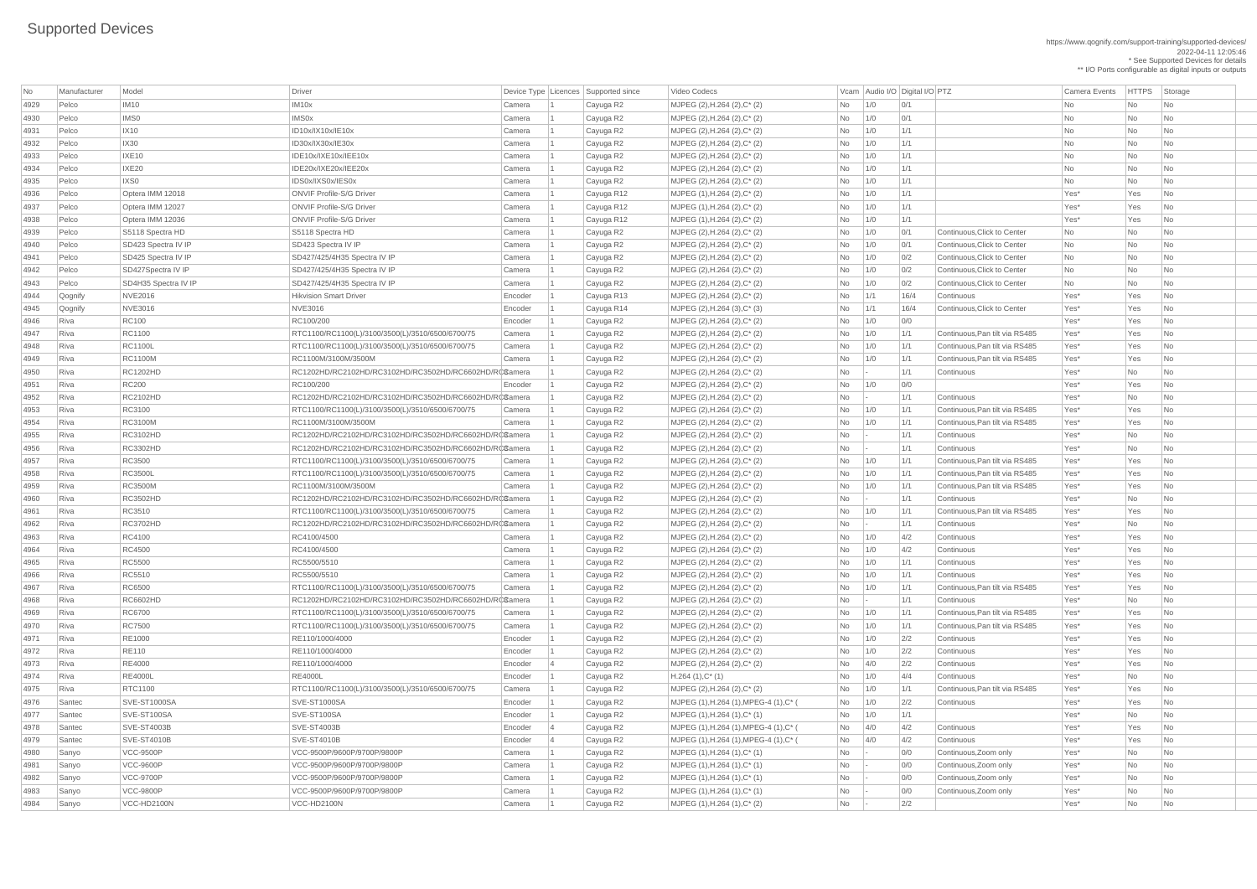| No   | Manufacturer | Model                | Driver                                                |         | Device Type   Licences   Supported since | Video Codecs                                     |                          | Vcam   Audio I/O   Digital I/O   PTZ |      |                                | <b>Camera Events</b> | <b>HTTPS</b> | Storage                     |
|------|--------------|----------------------|-------------------------------------------------------|---------|------------------------------------------|--------------------------------------------------|--------------------------|--------------------------------------|------|--------------------------------|----------------------|--------------|-----------------------------|
| 4929 | Pelco        | <b>IM10</b>          | IM <sub>10</sub> x                                    | Camera  | Cayuga R2                                | MJPEG (2), H.264 (2), $C^*$ (2)                  | No                       | 1/0                                  | 0/1  |                                | No                   | No           | No                          |
| 4930 | Pelco        | IMS0                 | <b>IMS0x</b>                                          | Camera  | Cayuga R2                                | MJPEG $(2)$ , H.264 $(2)$ , C* $(2)$             | <b>No</b>                | 1/0                                  | 0/1  |                                | <b>No</b>            | <b>No</b>    | <b>No</b>                   |
| 4931 | Pelco        | $ $ IX10             | ID10x/IX10x/IE10x                                     | Camera  | Cayuga R2                                | MJPEG $(2)$ , H.264 $(2)$ , C <sup>*</sup> $(2)$ | No                       | 1/0                                  | 1/1  |                                | No                   | <b>No</b>    | No                          |
| 4932 | Pelco        | <b>IX30</b>          | ID30x/IX30x/IE30x                                     | Camera  | Cayuga R2                                | MJPEG $(2)$ , H.264 $(2)$ , C* $(2)$             | No                       | 1/0                                  | 1/1  |                                | No                   | No           | No                          |
| 4933 | Pelco        | IXE10                | IDE10x/IXE10x/IEE10x                                  | Camera  | Cayuga R2                                | MJPEG $(2)$ , H.264 $(2)$ , C* $(2)$             | No                       | 1/0                                  | 1/1  |                                | <b>No</b>            | <b>No</b>    | <b>No</b>                   |
| 4934 | Pelco        | $ $ IXE20            | IDE20x/IXE20x/IEE20x                                  | Camera  | Cayuga R2                                | $MJPEG (2), H.264 (2), C^* (2)$                  | No                       | 1/0                                  | 1/1  |                                | No                   | No           | No                          |
| 4935 | Pelco        | IXS0                 | IDS0x/IXS0x/IES0x                                     | Camera  | Cayuga R2                                | MJPEG (2), H.264 (2), C* (2)                     | No                       | 1/0                                  | 1/1  |                                | <b>No</b>            | No           | <b>No</b>                   |
| 4936 | Pelco        | Optera IMM 12018     | <b>ONVIF Profile-S/G Driver</b>                       | Camera  | Cayuga R12                               | $MJPEG (1), H.264 (2), C^* (2)$                  | <b>No</b>                | 1/0                                  | 1/1  |                                | Yes*                 | Yes          | <b>No</b>                   |
| 4937 | Pelco        | Optera IMM 12027     | <b>ONVIF Profile-S/G Driver</b>                       | Camera  | Cayuga R12                               | $MJPEG (1), H.264 (2), C^* (2)$                  | <b>No</b>                | 1/0                                  | 1/1  |                                | Yes*                 | Yes          | <b>No</b>                   |
| 4938 | Pelco        | Optera IMM 12036     | <b>ONVIF Profile-S/G Driver</b>                       | Camera  | Cayuga R12                               | $MJPEG (1), H.264 (2), C^* (2)$                  | No                       | 1/0                                  | 1/1  |                                | Yes*                 | Yes          | <b>No</b>                   |
| 4939 | Pelco        | S5118 Spectra HD     | S5118 Spectra HD                                      | Camera  | Cayuga R2                                | MJPEG $(2)$ , H.264 $(2)$ , C* $(2)$             | <b>No</b>                | 1/0                                  | 0/1  | Continuous, Click to Center    | <b>No</b>            | <b>No</b>    | <b>No</b>                   |
| 4940 | Pelco        | SD423 Spectra IV IP  | SD423 Spectra IV IP                                   | Camera  | Cayuga R2                                | MJPEG (2), H.264 (2), C* (2)                     | No                       | 1/0                                  | 0/1  | Continuous, Click to Center    | <b>No</b>            | No           | <b>No</b>                   |
| 4941 | Pelco        | SD425 Spectra IV IP  | SD427/425/4H35 Spectra IV IP                          | Camera  | Cayuga R2                                | MJPEG $(2)$ , H.264 $(2)$ , C* $(2)$             | No                       | 1/0                                  | 0/2  | Continuous, Click to Center    | <b>No</b>            | No           | <b>No</b>                   |
| 4942 | Pelco        | SD427Spectra IV IP   | SD427/425/4H35 Spectra IV IP                          | Camera  | Cayuga R2                                | MJPEG $(2)$ , H.264 $(2)$ , C* $(2)$             | <b>No</b>                | 1/0                                  | 0/2  | Continuous, Click to Center    | <b>No</b>            | <b>No</b>    | <b>No</b>                   |
| 4943 | Pelco        | SD4H35 Spectra IV IP | SD427/425/4H35 Spectra IV IP                          | Camera  | Cayuga R2                                | MJPEG $(2)$ , H.264 $(2)$ , C <sup>*</sup> $(2)$ | No                       | 1/0                                  | 0/2  | Continuous, Click to Center    | No                   | <b>No</b>    | <b>No</b>                   |
| 4944 | Qognify      | <b>NVE2016</b>       | <b>Hikvision Smart Driver</b>                         | Encoder | Cayuga R13                               | MJPEG $(2)$ , H.264 $(2)$ , C* $(2)$             | <b>No</b>                | 1/1                                  | 16/4 | Continuous                     | Yes*                 | Yes          | <b>No</b>                   |
| 4945 | Qognify      | <b>NVE3016</b>       | NVE3016                                               | Encoder | Cayuga R14                               | $MJPEG (2), H.264 (3), C^{*} (3)$                | No                       | 1/1                                  | 16/4 | Continuous, Click to Center    | Yes*                 | Yes          | No                          |
| 4946 | Riva         | <b>RC100</b>         | RC100/200                                             | Encoder | Cayuga R2                                | MJPEG $(2)$ , H.264 $(2)$ , C <sup>*</sup> $(2)$ | No                       | 1/0                                  | 0/0  |                                | Yes*                 | Yes          | N <sub>o</sub>              |
| 4947 | Riva         | RC1100               | RTC1100/RC1100(L)/3100/3500(L)/3510/6500/6700/75      | Camera  | Cayuga R2                                | MJPEG $(2)$ , H.264 $(2)$ , C* $(2)$             | <b>No</b>                | 1/0                                  | 1/1  | Continuous, Pan tilt via RS485 | Yes*                 | Yes          | <b>No</b>                   |
| 4948 | Riva         | <b>RC1100L</b>       | RTC1100/RC1100(L)/3100/3500(L)/3510/6500/6700/75      | Camera  | Cayuga R2                                | MJPEG $(2)$ , H.264 $(2)$ , C* $(2)$             | No                       | 1/0                                  | 1/1  | Continuous, Pan tilt via RS485 | Yes*                 | Yes          | <b>No</b>                   |
| 4949 | Riva         | <b>RC1100M</b>       | RC1100M/3100M/3500M                                   | Camera  | Cayuga R2                                | MJPEG $(2)$ , H.264 $(2)$ , C <sup>*</sup> $(2)$ | No                       | 1/0                                  | 1/1  | Continuous, Pan tilt via RS485 | Yes*                 | Yes          | <b>No</b>                   |
| 4950 | Riva         | <b>RC1202HD</b>      | RC1202HD/RC2102HD/RC3102HD/RC3502HD/RC6602HD/RCCamera |         | Cayuga R2                                | MJPEG $(2)$ , H.264 $(2)$ , C* $(2)$             | No                       |                                      | 1/1  | Continuous                     | Yes*                 | No           | <b>No</b>                   |
| 4951 | Riva         | <b>RC200</b>         | RC100/200                                             | Encoder | Cayuga R2                                | MJPEG $(2)$ , H.264 $(2)$ , C* $(2)$             | No                       | 1/0                                  | 0/0  |                                | Yes*                 | Yes          | <b>No</b>                   |
| 4952 | Riva         | <b>RC2102HD</b>      | RC1202HD/RC2102HD/RC3102HD/RC3502HD/RC6602HD/RC6amera |         | Cayuga R2                                | MJPEG $(2)$ , H.264 $(2)$ , C* $(2)$             | No                       |                                      | 1/1  | Continuous                     | Yes*                 | No           | No                          |
| 4953 | Riva         | RC3100               | RTC1100/RC1100(L)/3100/3500(L)/3510/6500/6700/75      | Camera  |                                          | MJPEG $(2)$ , H.264 $(2)$ , C <sup>*</sup> $(2)$ | No                       |                                      | 1/1  | Continuous, Pan tilt via RS485 | Yes*                 | Yes          | N <sub>o</sub>              |
| 4954 | Riva         | <b>RC3100M</b>       | RC1100M/3100M/3500M                                   | Camera  | Cayuga R2                                | MJPEG $(2)$ , H.264 $(2)$ , C <sup>*</sup> $(2)$ | No                       | 1/0<br>1/0                           | 1/1  | Continuous, Pan tilt via RS485 | Yes*                 | Yes          | No                          |
| 4955 | Riva         | <b>RC3102HD</b>      | RC1202HD/RC2102HD/RC3102HD/RC3502HD/RC6602HD/RCCamera |         | Cayuga R2<br>Cayuga R2                   | MJPEG $(2)$ , H.264 $(2)$ , C* $(2)$             | No                       |                                      | 1/1  | Continuous                     | Yes*                 | No           | <b>No</b>                   |
| 4956 | Riva         | <b>RC3302HD</b>      | RC1202HD/RC2102HD/RC3102HD/RC3502HD/RC6602HD/RC6amera |         | Cayuga R2                                | $MJPEG (2), H.264 (2), C^* (2)$                  | No                       |                                      | 1/1  | Continuous                     | Yes*                 | <b>No</b>    | <b>No</b>                   |
| 4957 | Riva         | <b>RC3500</b>        | RTC1100/RC1100(L)/3100/3500(L)/3510/6500/6700/75      | Camera  | Cayuga R2                                | MJPEG $(2)$ , H.264 $(2)$ , C* $(2)$             | No                       | 1/0                                  | 1/1  | Continuous, Pan tilt via RS485 | Yes*                 | Yes          | <b>No</b>                   |
| 4958 |              | <b>RC3500L</b>       | RTC1100/RC1100(L)/3100/3500(L)/3510/6500/6700/75      |         |                                          | MJPEG $(2)$ , H.264 $(2)$ , C* $(2)$             | No                       |                                      | 1/1  | Continuous, Pan tilt via RS485 | Yes*                 | Yes          | No.                         |
|      | Riva         | <b>RC3500M</b>       | RC1100M/3100M/3500M                                   | Camera  | Cayuga R2                                |                                                  |                          | 1/0                                  |      | Continuous, Pan tilt via RS485 | Yes*                 |              |                             |
| 4959 | Riva         | <b>RC3502HD</b>      | RC1202HD/RC2102HD/RC3102HD/RC3502HD/RC6602HD/RC6amera | Camera  | Cayuga R2                                | MJPEG $(2)$ , H.264 $(2)$ , C <sup>*</sup> $(2)$ | No                       | 1/0                                  | 1/1  | Continuous                     | Yes*                 | Yes          | <b>No</b>                   |
| 4960 | Riva         | RC3510               |                                                       |         | Cayuga R2                                | MJPEG $(2)$ , H.264 $(2)$ , C* $(2)$             | No                       |                                      | 1/1  | Continuous, Pan tilt via RS485 | Yes*                 | <b>No</b>    | <b>No</b>                   |
| 4961 | Riva         |                      | RTC1100/RC1100(L)/3100/3500(L)/3510/6500/6700/75      | Camera  | Cayuga R2                                | MJPEG (2), H.264 (2), C* (2)                     | No                       | 1/0                                  | 1/1  |                                |                      | Yes          | <b>No</b>                   |
| 4962 | Riva         | <b>RC3702HD</b>      | RC1202HD/RC2102HD/RC3102HD/RC3502HD/RC6602HD/RC6amera |         | Cayuga R2                                | MJPEG $(2)$ , H.264 $(2)$ , C* $(2)$             | No                       |                                      | 1/1  | Continuous                     | Yes*                 | <b>No</b>    | <b>No</b>                   |
| 4963 | Riva         | RC4100               | RC4100/4500                                           | Camera  | Cayuga R2                                | MJPEG $(2)$ , H.264 $(2)$ , C* $(2)$             | No                       | 1/0                                  | 4/2  | Continuous                     | Yes*                 | Yes          | No                          |
| 4964 | Riva         | RC4500               | RC4100/4500                                           | Camera  | Cayuga R2                                | MJPEG $(2)$ , H.264 $(2)$ , C* $(2)$             | No                       | 1/0                                  | 4/2  | <b>Continuous</b>              | Yes*                 | Yes          | No                          |
| 4965 | Riva         | <b>RC5500</b>        | RC5500/5510                                           | Camera  | Cayuga R2                                | MJPEG $(2)$ , H.264 $(2)$ , C* $(2)$             | No                       | 1/0                                  | 1/1  | Continuous                     | Yes*                 | Yes          | <b>No</b>                   |
| 4966 | Riva         | RC5510               | RC5500/5510                                           | Camera  | Cayuga R2                                | MJPEG $(2)$ , H.264 $(2)$ , C* $(2)$             | <b>No</b>                | 1/0                                  | 1/1  | Continuous                     | Yes*                 | Yes          | <b>No</b>                   |
| 4967 | Riva         | <b>RC6500</b>        | RTC1100/RC1100(L)/3100/3500(L)/3510/6500/6700/75      | Camera  | Cayuga R2                                | MJPEG $(2)$ , H.264 $(2)$ , C* $(2)$             | No                       | 1/0                                  | 1/1  | Continuous, Pan tilt via RS485 | Yes*                 | Yes          | <b>No</b>                   |
| 4968 | Riva         | <b>RC6602HD</b>      | RC1202HD/RC2102HD/RC3102HD/RC3502HD/RC6602HD/RC6amera |         | Cayuga R2                                | MJPEG $(2)$ , H.264 $(2)$ , C* $(2)$             | No                       |                                      | 1/1  | Continuous                     | Yes*                 | <b>No</b>    | No                          |
| 4969 | Riva         | <b>RC6700</b>        | RTC1100/RC1100(L)/3100/3500(L)/3510/6500/6700/75      | Camera  | Cayuga R2                                | MJPEG $(2)$ , H.264 $(2)$ , C* $(2)$             | <b>No</b>                | 1/0                                  | 1/1  | Continuous, Pan tilt via RS485 | Yes*                 | Yes          | <b>No</b>                   |
| 4970 | Riva         | <b>RC7500</b>        | RTC1100/RC1100(L)/3100/3500(L)/3510/6500/6700/75      | Camera  | Cayuga R2                                | $MJPEG (2), H.264 (2), C^{*} (2)$                | No                       | 1/0                                  | 1/1  | Continuous, Pan tilt via RS485 | Yes*                 | Yes          | No.                         |
| 4971 | Riva         | <b>RE1000</b>        | RE110/1000/4000                                       | Encoder | Cayuga R2                                | MJPEG $(2)$ , H.264 $(2)$ , C* $(2)$             | No                       | 1/0                                  | 2/2  | Continuous                     | Yes*                 | Yes          | <b>No</b>                   |
| 4972 | Riva         | <b>RE110</b>         | RE110/1000/4000                                       | Encoder | Cayuga R2                                | MJPEG (2), H.264 (2), C* (2)                     | <b>No</b>                | 1/0                                  | 2/2  | Continuous                     | Yes*                 | Yes          | <b>No</b>                   |
| 4973 | Riva         | <b>RE4000</b>        | RE110/1000/4000                                       | Encoder | Cayuga R2                                | $MJPEG (2), H.264 (2), C^* (2)$                  | No                       | 4/0                                  | 2/2  | Continuous                     | Yes*                 | Yes          | <b>No</b>                   |
| 4974 | Riva         | <b>RE4000L</b>       | <b>RE4000L</b>                                        | Encoder | Cayuga R2                                | $H.264(1),C^*(1)$                                | No                       | 1/0                                  | 4/4  | Continuous                     | Yes*                 | <b>No</b>    | <b>No</b>                   |
| 4975 | Riva         | <b>RTC1100</b>       | RTC1100/RC1100(L)/3100/3500(L)/3510/6500/6700/75      | Camera  | Cayuga R2                                | MJPEG $(2)$ , H.264 $(2)$ , C* $(2)$             | <b>No</b>                | 1/0                                  | 1/1  | Continuous, Pan tilt via RS485 | Yes*                 | Yes          | <b>No</b>                   |
| 4976 | Santec       | SVE-ST1000SA         | SVE-ST1000SA                                          | Encoder | Cayuga R2                                | MJPEG (1), H.264 (1), MPEG-4 (1), C* (           | No                       | 1/0                                  | 2/2  | Continuous                     | Yes*                 | Yes          | No                          |
| 4977 | Santec       | SVE-ST100SA          | SVE-ST100SA                                           | Encoder | Cayuga R2                                | $MJPEG (1), H.264 (1), C^* (1)$                  | No                       | 1/0                                  | 1/1  |                                | Yes*                 | <b>No</b>    | <b>No</b>                   |
| 4978 | Santec       | SVE-ST4003B          | <b>SVE-ST4003B</b>                                    | Encoder | Cayuga R2                                | MJPEG (1), H.264 (1), MPEG-4 (1), C* (           | <b>No</b>                | 4/0                                  | 4/2  | Continuous                     | Yes*                 | Yes          | <b>No</b>                   |
| 4979 | Santec       | SVE-ST4010B          | SVE-ST4010B                                           | Encoder | Cayuga R2                                | MJPEG (1), H.264 (1), MPEG-4 (1), C* (           | No                       | 4/0                                  | 4/2  | Continuous                     | Yes*                 | Yes          | <b>No</b>                   |
| 4980 | Sanyo        | <b>VCC-9500P</b>     | VCC-9500P/9600P/9700P/9800P                           | Camera  | Cayuga R2                                | MJPEG (1), H.264 (1), C* (1)                     | No                       |                                      | 0/0  | Continuous, Zoom only          | Yes*                 | No           | No                          |
| 4981 | Sanyo        | <b>VCC-9600P</b>     | VCC-9500P/9600P/9700P/9800P                           | Camera  | Cayuga R2                                | $MJPEG (1), H.264 (1), C^*(1)$                   | No                       |                                      | 0/0  | Continuous, Zoom only          | Yes*                 | No           | No                          |
| 4982 | Sanyo        | <b>VCC-9700P</b>     | VCC-9500P/9600P/9700P/9800P                           | Camera  | Cayuga R2                                | $MJPEG (1), H.264 (1), C^*(1)$                   | No                       |                                      | 0/0  | Continuous, Zoom only          | Yes*                 | No           | No                          |
| 4983 | Sanyo        | <b>VCC-9800P</b>     | VCC-9500P/9600P/9700P/9800P                           | Camera  | Cayuga R2                                | $MJPEG (1), H.264 (1), C^*(1)$                   | $\overline{\mathsf{No}}$ |                                      | 0/0  | Continuous, Zoom only          | Yes*                 | <b>No</b>    | No                          |
| 4984 | Sanyo        | VCC-HD2100N          | VCC-HD2100N                                           | Camera  | Cayuga R2                                | $MJPEG (1), H.264 (1), C^*(2)$                   | N <sub>o</sub>           |                                      | 2/2  |                                | Yes*                 | No           | $\overline{\phantom{a}}$ No |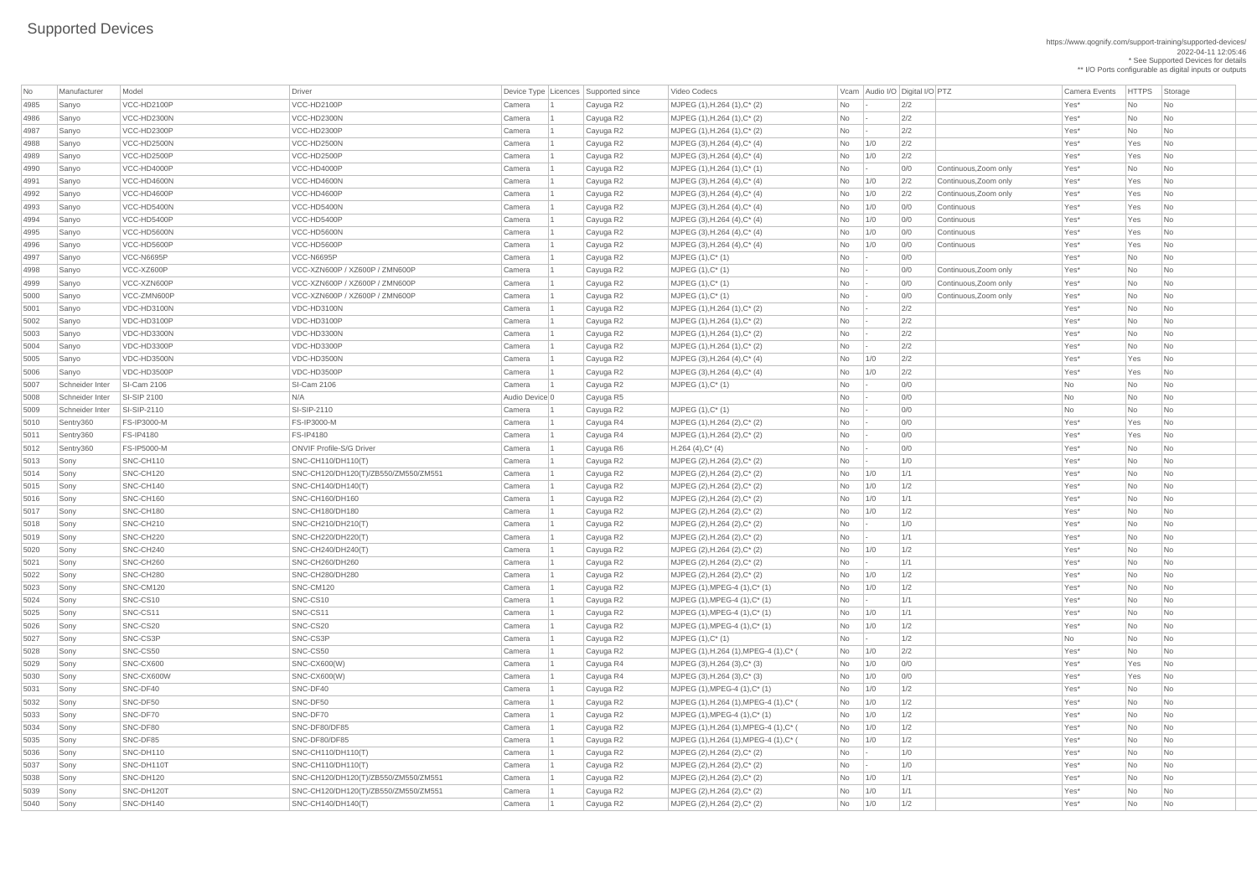https://www.qognify.com/support-training/supported-devices/ 2022-04-11 12:05:46 \* See Supported Devices for details \*\* I/O Ports configurable as digital inputs or outputs

| No   | Manufacturer    | Model                 | <b>Driver</b>                        | Device Type   Licences | Supported since | Video Codecs                           |                |     | Vcam Audio I/O Digital I/O PTZ |                       | <b>Camera Events</b> | HTTPS St  |                             |
|------|-----------------|-----------------------|--------------------------------------|------------------------|-----------------|----------------------------------------|----------------|-----|--------------------------------|-----------------------|----------------------|-----------|-----------------------------|
| 4985 | Sanyo           | VCC-HD2100P           | VCC-HD2100P                          | Camera                 | Cayuga R2       | MJPEG (1), H.264 (1), C* (2)           | No             |     | 2/2                            |                       | Yes*                 | No        | $\vert$ Nc                  |
| 4986 | Sanyo           | VCC-HD2300N           | VCC-HD2300N                          | Camera                 | Cayuga R2       | MJPEG (1), H.264 (1), C* (2)           | No             |     | 2/2                            |                       | Yes*                 | No        | $\overline{\phantom{a}}$ Nc |
| 4987 | Sanyo           | VCC-HD2300P           | VCC-HD2300P                          | Camera                 | Cayuga R2       | MJPEG (1), H.264 (1), C* (2)           | No             |     | 2/2                            |                       | Yes*                 | No        | <b>Nc</b>                   |
| 4988 | Sanyo           | VCC-HD2500N           | VCC-HD2500N                          | Camera                 | Cayuga R2       | $MJPEG (3), H.264 (4), C^*(4)$         | No             | 1/0 | 2/2                            |                       | Yes*                 | Yes       | $\overline{\phantom{a}}$ Nc |
| 4989 | Sanyo           | VCC-HD2500P           | VCC-HD2500P                          | Camera                 | Cayuga R2       | MJPEG $(3)$ , H.264 $(4)$ , C* $(4)$   | No             | 1/0 | 2/2                            |                       | Yes*                 | Yes       | $\overline{\phantom{a}}$ Nc |
| 4990 | Sanyo           | VCC-HD4000P           | VCC-HD4000P                          | Camera                 | Cayuga R2       | $MJPEG (1), H.264 (1), C^*(1)$         | No             |     | 0/0                            | Continuous, Zoom only | Yes*                 | No        | <b>Nc</b>                   |
| 4991 | Sanyo           | VCC-HD4600N           | VCC-HD4600N                          | Camera                 | Cayuga R2       | MJPEG $(3)$ , H.264 $(4)$ , C* $(4)$   | No             | 1/0 | 2/2                            | Continuous, Zoom only | Yes*                 | Yes       | $\overline{\phantom{a}}$ Nc |
| 4992 | Sanyo           | VCC-HD4600P           | VCC-HD4600P                          | Camera                 | Cayuga R2       | $MJPEG (3), H.264 (4), C^*(4)$         | No             | 1/0 | 2/2                            | Continuous, Zoom only | Yes*                 | Yes       | <b>Nc</b>                   |
| 4993 | Sanyo           | VCC-HD5400N           | VCC-HD5400N                          | Camera                 | Cayuga R2       | MJPEG $(3)$ , H.264 $(4)$ , C* $(4)$   | No             | 1/0 | 0/0                            | Continuous            | Yes*                 | Yes       | $\overline{\phantom{a}}$ Nc |
| 4994 | Sanyo           | VCC-HD5400P           | VCC-HD5400P                          | Camera                 | Cayuga R2       | MJPEG $(3)$ , H.264 $(4)$ , C* $(4)$   | No             | 1/0 | 0/0                            | Continuous            | Yes*                 | Yes       | $\overline{\phantom{a}}$ Nc |
| 4995 | Sanyo           | VCC-HD5600N           | VCC-HD5600N                          | Camera                 | Cayuga R2       | MJPEG $(3)$ , H.264 $(4)$ , C* $(4)$   | No             | 1/0 | 0/0                            | Continuous            | Yes*                 | Yes       | $\overline{\phantom{a}}$ Nc |
| 4996 | Sanyo           | VCC-HD5600P           | VCC-HD5600P                          | Camera                 | Cayuga R2       | MJPEG $(3)$ , H.264 $(4)$ , C* $(4)$   | No             | 1/0 | 0/0                            | Continuous            | Yes*                 | Yes       | <b>Nc</b>                   |
| 4997 | Sanyo           | VCC-N6695P            | VCC-N6695P                           | Camera                 | Cayuga R2       | $MJPEG (1), C^*(1)$                    | No             |     | 0/0                            |                       | Yes*                 | No        | $\overline{\phantom{a}}$ Nc |
| 4998 | Sanyo           | VCC-XZ600P            | VCC-XZN600P / XZ600P / ZMN600P       | Camera                 | Cayuga R2       | $MJPEG (1), C^* (1)$                   | No             |     | 0/0                            | Continuous, Zoom only | Yes*                 | No        | <b>Nc</b>                   |
| 4999 | Sanyo           | VCC-XZN600P           | VCC-XZN600P / XZ600P / ZMN600P       | Camera                 | Cayuga R2       | $MJPEG (1), C^* (1)$                   | No             |     | 0/0                            | Continuous, Zoom only | Yes*                 | No        | <b>Nc</b>                   |
| 5000 | Sanyo           | VCC-ZMN600P           | VCC-XZN600P / XZ600P / ZMN600P       | Camera                 | Cayuga R2       | $MJPEG (1), C^* (1)$                   | No             |     | 0/0                            | Continuous, Zoom only | Yes*                 | No        | <b>Nc</b>                   |
| 5001 | Sanyo           | VDC-HD3100N           | VDC-HD3100N                          | Camera                 | Cayuga R2       | MJPEG (1), H.264 (1), C* (2)           | N <sub>o</sub> |     | 2/2                            |                       | Yes*                 | No        | <b>Nc</b>                   |
| 5002 | Sanyo           | VDC-HD3100P           | VDC-HD3100P                          | Camera                 | Cayuga R2       | MJPEG (1), H.264 (1), C* (2)           | No             |     | 2/2                            |                       | Yes*                 | No        | <b>Nc</b>                   |
| 5003 | Sanyo           | VDC-HD3300N           | VDC-HD3300N                          | Camera                 | Cayuga R2       | MJPEG (1), H.264 (1), C* (2)           | No             |     | 2/2                            |                       | Yes*                 | No        | <b>Nc</b>                   |
| 5004 | Sanyo           | VDC-HD3300P           | VDC-HD3300P                          | Camera                 | Cayuga R2       | MJPEG (1), H.264 (1), C* (2)           | No             |     | 2/2                            |                       | Yes*                 | No        | $\overline{\phantom{a}}$ Nc |
| 5005 | Sanyo           | VDC-HD3500N           | VDC-HD3500N                          | Camera                 | Cayuga R2       | MJPEG $(3)$ , H.264 $(4)$ , C* $(4)$   | No             | 1/0 | 2/2                            |                       | Yes*                 | Yes       | <b>Nc</b>                   |
| 5006 | Sanyo           | VDC-HD3500P           | VDC-HD3500P                          | Camera                 | Cayuga R2       | MJPEG $(3)$ , H.264 $(4)$ , C* $(4)$   | No             | 1/0 | 2/2                            |                       | Yes*                 | Yes       | $\overline{\phantom{a}}$ Nc |
| 5007 | Schneider Inter | <b>SI-Cam 2106</b>    | <b>SI-Cam 2106</b>                   | Camera                 | Cayuga R2       | $MJPEG (1), C^*(1)$                    | No             |     | 0/0                            |                       | No                   | No        | $\overline{\phantom{a}}$ Nc |
| 5008 | Schneider Inter | <b>SI-SIP 2100</b>    | N/A                                  | Audio Device 0         | Cayuga R5       |                                        | No             |     | 0/0                            |                       | No                   | No        | <b>Nc</b>                   |
| 5009 | Schneider Inter | SI-SIP-2110           | SI-SIP-2110                          | Camera                 | Cayuga R2       | $MJPEG (1), C^* (1)$                   | No             |     | 0/0                            |                       | No                   | No        | $\overline{\phantom{a}}$ Nc |
| 5010 | Sentry360       | <b>FS-IP3000-M</b>    | FS-IP3000-M                          | Camera                 | Cayuga R4       | MJPEG (1), H.264 (2), C* (2)           | No             |     | 0/0                            |                       | Yes*                 | Yes       | $\vert$ Nc                  |
| 5011 | Sentry360       | <b>FS-IP4180</b>      | <b>FS-IP4180</b>                     | Camera                 | Cayuga R4       | MJPEG (1), H.264 (2), C* (2)           | No             |     | 0/0                            |                       | Yes*                 | Yes       | $\overline{\phantom{a}}$ Nc |
| 5012 | Sentry360       | <b>FS-IP5000-M</b>    | <b>ONVIF Profile-S/G Driver</b>      | Camera                 | Cayuga R6       | $H.264(4),C^*(4)$                      | No             |     | 0/0                            |                       | Yes*                 | No        | $\overline{\phantom{a}}$ Nc |
| 5013 | Sony            | SNC-CH110             | SNC-CH110/DH110(T)                   | Camera                 | Cayuga R2       | MJPEG (2), H.264 (2), C* (2)           | No             |     | 1/0                            |                       | Yes*                 | No        | Nc                          |
| 5014 | Sony            | SNC-CH120             | SNC-CH120/DH120(T)/ZB550/ZM550/ZM551 | Camera                 | Cayuga R2       | MJPEG (2), H.264 (2), C* (2)           | No             | 1/0 | 1/1                            |                       | Yes*                 | No        | $\overline{\phantom{a}}$ Nc |
| 5015 | Sony            | SNC-CH140             | SNC-CH140/DH140(T)                   | Camera                 | Cayuga R2       | MJPEG (2), H.264 (2), C* (2)           | No             | 1/0 | 1/2                            |                       | Yes*                 | No        | $\overline{\phantom{a}}$ Nc |
| 5016 | Sony            | SNC-CH160             | SNC-CH160/DH160                      | Camera                 | Cayuga R2       | MJPEG (2), H.264 (2), C* (2)           | No             | 1/0 | 1/1                            |                       | Yes*                 | No        | <b>Nc</b>                   |
| 5017 | Sony            | SNC-CH180             | SNC-CH180/DH180                      | Camera                 | Cayuga R2       | MJPEG (2), H.264 (2), C* (2)           | No             | 1/0 | 1/2                            |                       | Yes*                 | No        | <b>Nc</b>                   |
| 5018 | Sony            | SNC-CH <sub>210</sub> | SNC-CH210/DH210(T)                   | Camera                 | Cayuga R2       | MJPEG (2), H.264 (2), C* (2)           | No             |     | 1/0                            |                       | Yes*                 | No        | <b>Nc</b>                   |
| 5019 | Sony            | SNC-CH220             | SNC-CH220/DH220(T)                   | Camera                 | Cayuga R2       | MJPEG (2), H.264 (2), C* (2)           | No             |     | 1/1                            |                       | Yes*                 | <b>No</b> | Nc                          |
| 5020 | Sony            | SNC-CH240             | SNC-CH240/DH240(T)                   | Camera                 | Cayuga R2       | MJPEG (2), H.264 (2), C* (2)           | No             | 1/0 | 1/2                            |                       | Yes*                 | No        | $\overline{\phantom{a}}$ Nc |
| 5021 | Sony            | SNC-CH260             | SNC-CH260/DH260                      | Camera                 | Cayuga R2       | MJPEG (2), H.264 (2), C* (2)           | No             |     | 1/1                            |                       | Yes*                 | No        | <b>Nc</b>                   |
| 5022 | Sony            | SNC-CH280             | SNC-CH280/DH280                      | Camera                 | Cayuga R2       | MJPEG (2), H.264 (2), C* (2)           | No             | 1/0 | 1/2                            |                       | Yes*                 | No        | $\overline{\phantom{a}}$ Nc |
| 5023 | Sony            | SNC-CM120             | SNC-CM120                            | Camera                 | Cayuga R2       | $MJPEG (1), MPEG-4 (1), C^* (1)$       | No             | 1/0 | 1/2                            |                       | Yes*                 | No        | <b>Nc</b>                   |
| 5024 | Sony            | SNC-CS10              | SNC-CS10                             | Camera                 | Cayuga R2       | $MJPEG (1), MPEG-4 (1), C^* (1)$       | No             |     | 1/1                            |                       | Yes*                 | No        | $\overline{\phantom{a}}$ Nc |
| 5025 | Sony            | SNC-CS11              | SNC-CS11                             | Camera                 | Cayuga R2       | $MJPEG (1), MPEG-4 (1), C^* (1)$       | No             | 1/0 | 1/1                            |                       | Yes*                 | No        | Nc                          |
| 5026 | Sony            | SNC-CS20              | SNC-CS20                             | Camera                 | Cayuga R2       | $MJPEG (1), MPEG-4 (1), C^* (1)$       | No             | 1/0 | 1/2                            |                       | Yes*                 | No        | $\overline{\phantom{a}}$ Nc |
| 5027 | Sony            | SNC-CS3P              | SNC-CS3P                             | Camera                 | Cayuga R2       | $MJPEG (1), C^* (1)$                   | No             |     | 1/2                            |                       | No                   | No        | $\overline{\phantom{a}}$ Nc |
| 5028 | Sony            | SNC-CS50              | SNC-CS50                             | Camera                 | Cayuga R2       | MJPEG (1), H.264 (1), MPEG-4 (1), C* ( | No             | 1/0 | 2/2                            |                       | Yes*                 | No        | <b>Nc</b>                   |
| 5029 | Sony            | SNC-CX600             | <b>SNC-CX600(W)</b>                  | Camera                 | Cayuga R4       | $MJPEG (3), H.264 (3), C*(3)$          | No             | 1/0 | 0/0                            |                       | Yes*                 | Yes       | $\overline{\phantom{a}}$ Nc |
| 5030 | Sony            | SNC-CX600W            | SNC-CX600(W)                         | Camera                 | Cayuga R4       | $MJPEG (3), H.264 (3), C^*(3)$         | No             | 1/0 | 0/0                            |                       | Yes*                 | Yes       | $\overline{\phantom{a}}$ Nc |
| 5031 | Sony            | SNC-DF40              | SNC-DF40                             | Camera                 | Cayuga R2       | MJPEG $(1)$ , MPEG-4 $(1)$ , C* $(1)$  | No             | 1/0 | 1/2                            |                       | Yes*                 | No        | $\overline{\phantom{a}}$ Nc |
| 5032 | Sony            | SNC-DF50              | SNC-DF50                             | Camera                 | Cayuga R2       | MJPEG (1), H.264 (1), MPEG-4 (1), C* ( | No             | 1/0 | 1/2                            |                       | Yes*                 | No        | $\overline{\phantom{a}}$ Nc |
| 5033 | Sony            | SNC-DF70              | SNC-DF70                             | Camera                 | Cayuga R2       | $MJPEG (1), MPEG-4 (1), C^* (1)$       | No             | 1/0 | 1/2                            |                       | Yes*                 | No        | $\overline{\phantom{a}}$ Nc |
| 5034 | Sony            | SNC-DF80              | SNC-DF80/DF85                        | Camera                 | Cayuga R2       | MJPEG (1), H.264 (1), MPEG-4 (1), C* ( | No             | 1/0 | 1/2                            |                       | Yes*                 | No        | $\overline{\phantom{a}}$ Nc |
| 5035 | Sony            | SNC-DF85              | SNC-DF80/DF85                        | Camera                 | Cayuga R2       | MJPEG (1), H.264 (1), MPEG-4 (1), C* ( | No             | 1/0 | 1/2                            |                       | Yes*                 | No        | <b>Nc</b>                   |
| 5036 | Sonv            | SNC-DH110             | SNC-CH110/DH110(T)                   | Camera                 | Cayuga R2       | MJPEG (2), H.264 (2), C* (2)           | No             |     | 1/0                            |                       | Yes*                 | <b>No</b> |                             |
| 5037 | Sony            | SNC-DH110T            | SNC-CH110/DH110(T)                   | Camera                 | Cayuga R2       | MJPEG (2), H.264 (2), C* (2)           | No             |     | 1/0                            |                       | Yes*                 | No        | $\overline{\phantom{a}}$ Nc |
| 5038 | Sony            | SNC-DH120             | SNC-CH120/DH120(T)/ZB550/ZM550/ZM551 | Camera                 | Cayuga R2       | MJPEG (2), H.264 (2), C* (2)           | No             | 1/0 | 1/1                            |                       | Yes*                 | No        | $\overline{\phantom{a}}$ Nc |
| 5039 | Sony            | SNC-DH120T            | SNC-CH120/DH120(T)/ZB550/ZM550/ZM551 | Camera                 | Cayuga R2       | MJPEG (2), H.264 (2), C* (2)           | No             | 1/0 | 1/1                            |                       | Yes*                 | No        | $\overline{\phantom{a}}$ Nc |
| 5040 | Sony            | SNC-DH140             | SNC-CH140/DH140(T)                   | Camera                 | Cayuga R2       | MJPEG (2), H.264 (2), C* (2)           | No             | 1/0 | 1/2                            |                       | Yes*                 | No        | $ $ Nc                      |

Video Codecs **No Manufacturer Model Driver Audio I/O Digital I/O PTZ** Camera Events HTTPS Storage Sony SNC-CS50 SNC-CS50 Camera 1 Cayuga R2 MJPEG (1),H.264 (1),MPEG-4 (1),C\* ( No 1/0 2/2 Yes\* No No | MJPEG (1),H.264 (1),MPEG-4 (1),C\* (  $\qquad \qquad$  No  $\qquad$  1/0  $\qquad$  1/2  $\qquad \qquad$  Yes\* No No No | MJPEG (1),H.264 (1),MPEG-4 (1),C\* (  $\hbox{No}$  | 1/0  $\hbox{1/2}$  |  $\hbox{1/3}$  Yes\* No  $\hbox{No}$ MJPEG (1),H.264 (1),MPEG-4 (1),C\* ( No 1/0 1/2 | Yes\* No No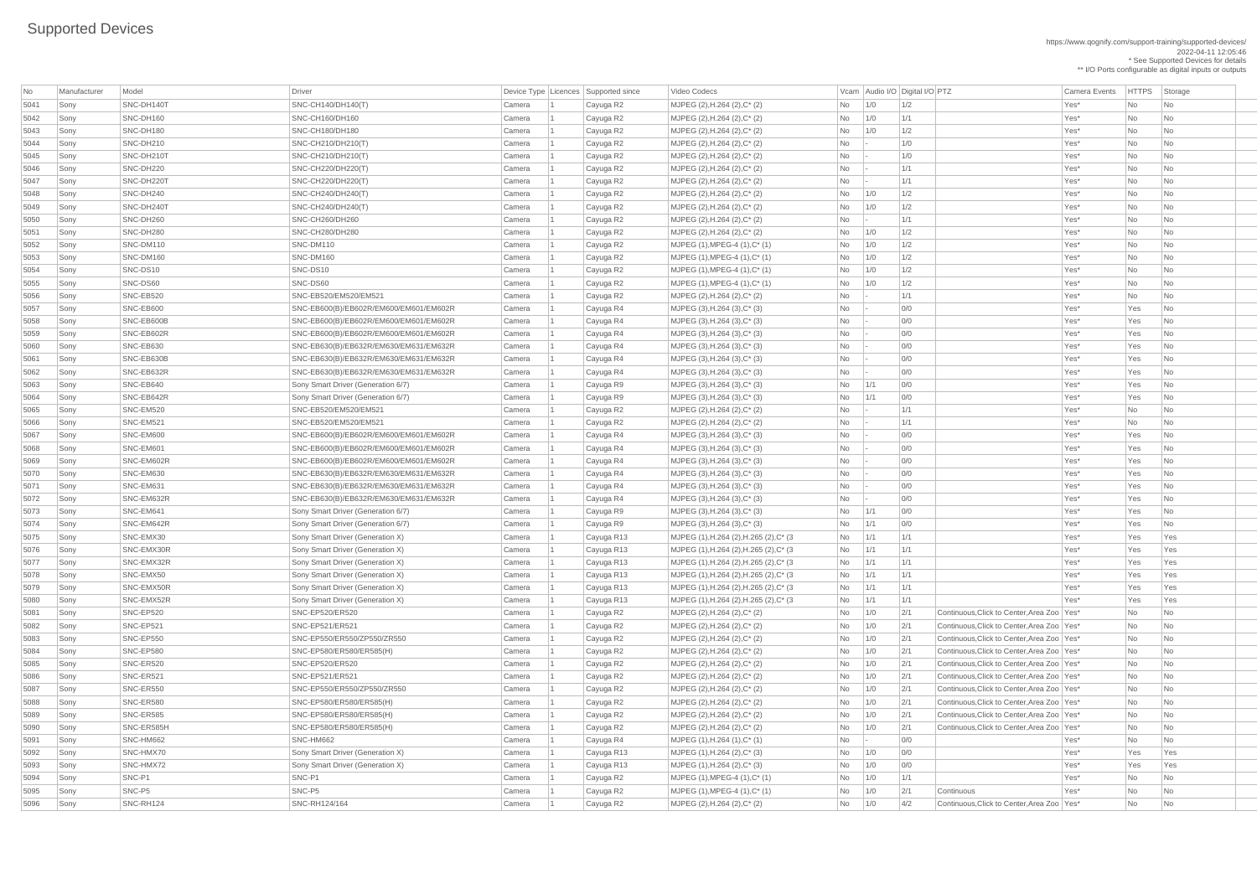https://www.qognify.com/support-training/supported-devices/ 2022-04-11 12:05:46

\* See Supported Devices for details \*\* I/O Ports configurable as digital inputs or outputs

| No   | Manufacturer | Model      | Driver                                 |        | Device Type Licences Supported since | Video Codecs                            |                |             | Vcam Audio I/O Digital I/O PTZ |                                              | Camera Events | <b>HTTPS</b>   | Storage                  |
|------|--------------|------------|----------------------------------------|--------|--------------------------------------|-----------------------------------------|----------------|-------------|--------------------------------|----------------------------------------------|---------------|----------------|--------------------------|
| 5041 | Sony         | SNC-DH140T | SNC-CH140/DH140(T)                     | Camera | Cayuga R2                            | MJPEG (2), H.264 (2), C* (2)            | <b>No</b>      | 1/0         | 1/2                            |                                              | Yes*          | No             | No                       |
| 5042 | Sony         | SNC-DH160  | <b>SNC-CH160/DH160</b>                 | Camera | Cayuga R2                            | MJPEG (2), H.264 (2), C* (2)            | No             | $\vert$ 1/0 | 1/1                            |                                              | Yes*          | No             | N <sub>o</sub>           |
| 5043 | Sony         | SNC-DH180  | <b>SNC-CH180/DH180</b>                 | Camera | Cayuga R2                            | MJPEG (2), H.264 (2), C* (2)            | <b>No</b>      | 1/0         | 1/2                            |                                              | Yes*          | No             | No                       |
| 5044 | Sony         | SNC-DH210  | SNC-CH210/DH210(T)                     | Camera | Cayuga R2                            | MJPEG (2), H.264 (2), C* (2)            | No             |             | 1/0                            |                                              | Yes*          | No             | N <sub>o</sub>           |
| 5045 | Sony         | SNC-DH210T | SNC-CH210/DH210(T)                     | Camera | Cayuga R2                            | MJPEG (2), H.264 (2), C* (2)            | No             |             | 1/0                            |                                              | Yes*          | No             | No                       |
| 5046 | Sony         | SNC-DH220  | SNC-CH220/DH220(T)                     | Camera | Cayuga R2                            | MJPEG (2), H.264 (2), C* (2)            | No             |             | 1/1                            |                                              | Yes*          | No             | No                       |
| 5047 | Sony         | SNC-DH220T | SNC-CH220/DH220(T)                     | Camera | Cayuga R2                            | MJPEG (2), H.264 (2), C* (2)            | No             |             | 1/1                            |                                              | Yes*          | No             | N <sub>o</sub>           |
| 5048 | Sony         | SNC-DH240  | SNC-CH240/DH240(T)                     | Camera | Cayuga R2                            | MJPEG (2), H.264 (2), C* (2)            | No             | $\vert$ 1/0 | 1/2                            |                                              | Yes*          | No             | N <sub>o</sub>           |
| 5049 | Sony         | SNC-DH240T | SNC-CH240/DH240(T)                     | Camera | Cayuga R2                            | MJPEG (2), H.264 (2), C* (2)            | <b>No</b>      | 1/0         | 1/2                            |                                              | Yes*          | No             | No                       |
| 5050 | Sony         | SNC-DH260  | <b>SNC-CH260/DH260</b>                 | Camera | Cayuga R2                            | MJPEG (2), H.264 (2), C* (2)            | No             |             | 1/1                            |                                              | Yes*          | No             | No                       |
| 5051 | Sony         | SNC-DH280  | SNC-CH280/DH280                        | Camera | Cayuga R2                            | MJPEG (2), H.264 (2), C* (2)            | No             | $\vert$ 1/0 | 1/2                            |                                              | Yes*          | No             | N <sub>o</sub>           |
| 5052 | Sony         | SNC-DM110  | SNC-DM110                              | Camera | Cayuga R2                            | $MJPEG (1), MPEG-4 (1), C^* (1)$        | No             | 1/0         | 1/2                            |                                              | Yes*          | No             | No                       |
| 5053 | Sony         | SNC-DM160  | SNC-DM160                              | Camera | Cayuga R2                            | $MJPEG (1), MPEG-4 (1), C^* (1)$        | No             | 1/0         | 1/2                            |                                              | Yes*          | No             | N <sub>o</sub>           |
| 5054 | Sony         | SNC-DS10   | SNC-DS10                               | Camera | Cayuga R2                            | $MJPEG (1), MPEG-4 (1), C^* (1)$        | No             | 1/0         | 1/2                            |                                              | Yes*          | No             | N <sub>o</sub>           |
| 5055 | Sony         | SNC-DS60   | SNC-DS60                               | Camera | Cayuga R2                            | $MJPEG (1), MPEG-4 (1), C^* (1)$        | N <sub>o</sub> | 1/0         | 1/2                            |                                              | Yes*          | No             | No                       |
| 5056 | Sony         | SNC-EB520  | SNC-EB520/EM520/EM521                  | Camera | Cayuga R2                            | MJPEG $(2)$ , H.264 $(2)$ , C* $(2)$    | No             |             | 1/1                            |                                              | Yes*          | No             | N <sub>o</sub>           |
| 5057 | Sony         | SNC-EB600  | SNC-EB600(B)/EB602R/EM600/EM601/EM602R | Camera | Cayuga R4                            | $MJPEG (3), H.264 (3), C^*(3)$          | No             |             | 0/0                            |                                              | Yes*          | Yes            | N <sub>o</sub>           |
| 5058 | Sony         | SNC-EB600B | SNC-EB600(B)/EB602R/EM600/EM601/EM602R | Camera | Cayuga R4                            | $MJPEG (3), H.264 (3), C^*(3)$          | No             |             | 0/0                            |                                              | Yes*          | Yes            | N <sub>o</sub>           |
| 5059 | Sony         | SNC-EB602R | SNC-EB600(B)/EB602R/EM600/EM601/EM602R | Camera | Cayuga R4                            | $MJPEG (3), H.264 (3), C^*(3)$          | No             |             | 0/0                            |                                              | Yes*          | Yes            | N <sub>o</sub>           |
| 5060 | Sony         | SNC-EB630  | SNC-EB630(B)/EB632R/EM630/EM631/EM632R | Camera | Cayuga R4                            | MJPEG $(3)$ , H.264 $(3)$ , C* $(3)$    | No             |             | 0/0                            |                                              | Yes*          | Yes            | N <sub>o</sub>           |
| 5061 | Sony         | SNC-EB630B | SNC-EB630(B)/EB632R/EM630/EM631/EM632R | Camera | Cayuga R4                            | $MJPEG (3), H.264 (3), C^*(3)$          | No             |             | 0/0                            |                                              | Yes*          | Yes            | N <sub>o</sub>           |
| 5062 | Sony         | SNC-EB632R | SNC-EB630(B)/EB632R/EM630/EM631/EM632R | Camera | Cayuga R4                            | $MJPEG (3), H.264 (3), C^*(3)$          | No             |             | 0/0                            |                                              | Yes*          | Yes            | No                       |
| 5063 | Sony         | SNC-EB640  | Sony Smart Driver (Generation 6/7)     | Camera | Cayuga R9                            | $MJPEG (3), H.264 (3), C^*(3)$          | No             | 1/1         | 0/0                            |                                              | Yes*          | Yes            | N <sub>o</sub>           |
| 5064 | Sony         | SNC-EB642R | Sony Smart Driver (Generation 6/7)     | Camera | Cayuga R9                            | $MJPEG (3), H.264 (3), C*(3)$           | No             | $\vert$ 1/1 | 0/0                            |                                              | Yes*          | Yes            | N <sub>o</sub>           |
| 5065 | Sony         | SNC-EM520  | SNC-EB520/EM520/EM521                  | Camera | Cayuga R2                            | MJPEG (2), H.264 (2), C* (2)            | No             |             | 1/1                            |                                              | Yes*          | No             | N <sub>o</sub>           |
| 5066 | Sony         | SNC-EM521  | SNC-EB520/EM520/EM521                  | Camera | Cayuga R2                            | MJPEG (2), H.264 (2), C* (2)            | No.            |             | 1/1                            |                                              | Yes*          | No             | $\overline{\mathsf{No}}$ |
| 5067 | Sony         | SNC-EM600  | SNC-EB600(B)/EB602R/EM600/EM601/EM602R | Camera | Cayuga R4                            | $MJPEG (3), H.264 (3), C^*(3)$          | No             |             | 0/0                            |                                              | Yes*          | Yes            | N <sub>o</sub>           |
| 5068 | Sony         | SNC-EM601  | SNC-EB600(B)/EB602R/EM600/EM601/EM602R | Camera | Cayuga R4                            | MJPEG $(3)$ , H.264 $(3)$ , C* $(3)$    | No             |             | 0/0                            |                                              | Yes*          | Yes            | No                       |
| 5069 | Sony         | SNC-EM602R | SNC-EB600(B)/EB602R/EM600/EM601/EM602R | Camera | Cayuga R4                            | $MJPEG (3), H.264 (3), C^*(3)$          | No             |             | 0/0                            |                                              | Yes*          | Yes            | N <sub>o</sub>           |
| 5070 | Sony         | SNC-EM630  | SNC-EB630(B)/EB632R/EM630/EM631/EM632R | Camera | Cayuga R4                            | MJPEG $(3)$ , H.264 $(3)$ , C* $(3)$    | <b>No</b>      |             | 0/0                            |                                              | Yes*          | Yes            | N <sub>o</sub>           |
| 5071 | Sony         | SNC-EM631  | SNC-EB630(B)/EB632R/EM630/EM631/EM632R | Camera | Cayuga R4                            | MJPEG $(3)$ , H.264 $(3)$ , C* $(3)$    | No             |             | 0/0                            |                                              | Yes*          | Yes            | No                       |
| 5072 | Sony         | SNC-EM632R | SNC-EB630(B)/EB632R/EM630/EM631/EM632R | Camera | Cayuga R4                            | MJPEG $(3)$ , H.264 $(3)$ , C* $(3)$    | No             |             | 0/0                            |                                              | Yes*          | Yes            | N <sub>o</sub>           |
| 5073 | Sony         | SNC-EM641  | Sony Smart Driver (Generation 6/7)     | Camera | Cayuga R9                            | $MJPEG (3), H.264 (3), C^*(3)$          | N <sub>o</sub> | 1/1         | 0/0                            |                                              | Yes*          | Yes            | N <sub>o</sub>           |
| 5074 | Sony         | SNC-EM642R | Sony Smart Driver (Generation 6/7)     | Camera | Cayuga R9                            | $MJPEG (3), H.264 (3), C^*(3)$          | N <sub>o</sub> | 1/1         | 0/0                            |                                              | Yes*          | Yes            | No                       |
| 5075 | Sony         | SNC-EMX30  | Sony Smart Driver (Generation X)       | Camera | Cayuga R13                           | MJPEG (1), H.264 (2), H.265 (2), C* (3) | $No$ $1/1$     |             | 1/1                            |                                              | Yes*          | Yes            | Yes                      |
| 5076 | Sony         | SNC-EMX30R | Sony Smart Driver (Generation X)       | Camera | Cayuga R13                           | MJPEG (1), H.264 (2), H.265 (2), C* (3  | $No$   1/1     |             | 1/1                            |                                              | Yes*          | Yes            | Yes                      |
| 5077 | Sony         | SNC-EMX32R | Sony Smart Driver (Generation X)       | Camera | Cayuga R13                           | MJPEG (1), H.264 (2), H.265 (2), C* (3) | $No$   1/1     |             | 1/1                            |                                              | Yes*          | Yes            | Yes                      |
| 5078 | Sony         | SNC-EMX50  | Sony Smart Driver (Generation X)       | Camera | Cayuga R13                           | MJPEG (1), H.264 (2), H.265 (2), C* (3) | $No$   1/1     |             | 1/1                            |                                              | Yes*          | Yes            | Yes                      |
| 5079 | Sony         | SNC-EMX50R | Sony Smart Driver (Generation X)       | Camera | Cayuga R13                           | MJPEG (1), H.264 (2), H.265 (2), C* (3) | $No$ $1/1$     |             | 1/1                            |                                              | Yes*          | Yes            | Yes                      |
| 5080 | Sony         | SNC-EMX52R | Sony Smart Driver (Generation X)       | Camera | Cayuga R13                           | MJPEG (1), H.264 (2), H.265 (2), C* (3  | $No$ $1/1$     |             | 1/1                            |                                              | Yes*          | Yes            | Yes                      |
| 5081 | Sony         | SNC-EP520  | SNC-EP520/ER520                        | Camera | Cayuga R2                            | MJPEG $(2)$ , H.264 $(2)$ , C* $(2)$    | No             | 1/0         | 2/1                            | Continuous, Click to Center, Area Zoo   Yes* |               | No             | No                       |
| 5082 | Sony         | SNC-EP521  | <b>SNC-EP521/ER521</b>                 | Camera | Cayuga R2                            | MJPEG $(2)$ , H.264 $(2)$ , C* $(2)$    | No             | 1/0         | 2/1                            | Continuous, Click to Center, Area Zoo   Yes* |               | No             | N <sub>o</sub>           |
| 5083 | Sony         | SNC-EP550  | SNC-EP550/ER550/ZP550/ZR550            | Camera | Cayuga R2                            | MJPEG $(2)$ , H.264 $(2)$ , C* $(2)$    | No             | 1/0         | 2/1                            | Continuous, Click to Center, Area Zoo   Yes* |               | No             | No                       |
| 5084 | Sony         | SNC-EP580  | SNC-EP580/ER580/ER585(H)               | Camera | Cayuga R2                            | MJPEG $(2)$ , H.264 $(2)$ , C* $(2)$    | No             | 1/0         | 2/1                            | Continuous, Click to Center, Area Zoo   Yes* |               | No             | N <sub>o</sub>           |
| 5085 | Sony         | SNC-ER520  | <b>SNC-EP520/ER520</b>                 | Camera | Cayuga R2                            | MJPEG (2), H.264 (2), C* (2)            | No             | 1/0         | 2/1                            | Continuous, Click to Center, Area Zoo   Yes* |               | No             | N <sub>o</sub>           |
| 5086 | Sony         | SNC-ER521  | SNC-EP521/ER521                        | Camera | Cayuga R2                            | MJPEG (2), H.264 (2), C* (2)            | <b>No</b>      | 1/0         | 2/1                            | Continuous, Click to Center, Area Zoo   Yes* |               | No             | No                       |
| 5087 | Sony         | SNC-ER550  | SNC-EP550/ER550/ZP550/ZR550            | Camera | Cayuga R2                            | MJPEG $(2)$ , H.264 $(2)$ , C* $(2)$    | No             | 1/0         | 2/1                            | Continuous, Click to Center, Area Zoo   Yes* |               | No             | No                       |
| 5088 | Sony         | SNC-ER580  | SNC-EP580/ER580/ER585(H)               | Camera | Cayuga R2                            | MJPEG $(2)$ , H.264 $(2)$ , C* $(2)$    | No             | 1/0         | 2/1                            | Continuous, Click to Center, Area Zoo   Yes* |               | N <sub>o</sub> | N <sub>o</sub>           |
| 5089 | Sony         | SNC-ER585  | SNC-EP580/ER580/ER585(H)               | Camera | Cayuga R2                            | MJPEG $(2)$ , H.264 $(2)$ , C* $(2)$    | No             | 1/0         | 2/1                            | Continuous, Click to Center, Area Zoo   Yes* |               | No             | No                       |
| 5090 | Sony         | SNC-ER585H | SNC-EP580/ER580/ER585(H)               | Camera | Cayuga R2                            | MJPEG $(2)$ , H.264 $(2)$ , C* $(2)$    | No             | 1/0         | 2/1                            | Continuous, Click to Center, Area Zoo   Yes* |               | No             | No                       |
| 5091 | Sony         | SNC-HM662  | SNC-HM662                              | Camera | Cayuga R4                            | $MJPEG (1), H.264 (1), C^*(1)$          | No             |             | 0/0                            |                                              | Yes*          | <b>No</b>      | No                       |
| 5092 | Sony         | SNC-HMX70  | Sony Smart Driver (Generation X)       | Camera | Cayuga R13                           | MJPEG (1), H.264 (2), C* (3)            | No             | 1/0         | 0/0                            |                                              | Yes*          | Yes            | Yes                      |
| 5093 | Sony         | SNC-HMX72  | Sony Smart Driver (Generation X)       | Camera | Cayuga R13                           | MJPEG (1), H.264 (2), C* (3)            | $No$ $1/0$     |             | 0/0                            |                                              | Yes*          | Yes            | Yes                      |
| 5094 | Sony         | SNC-P1     | SNC-P1                                 | Camera | Cayuga R2                            | $MJPEG (1), MPEG-4 (1), C^* (1)$        | $No$ $1/0$     |             | 1/1                            |                                              | Yes*          | No             | N <sub>o</sub>           |
| 5095 | Sony         | SNC-P5     | SNC-P5                                 | Camera | Cayuga R2                            | $MJPEG (1), MPEG-4 (1), C^* (1)$        | No             | 1/0         | 2/1                            | Continuous                                   | Yes*          | No             | N <sub>o</sub>           |
| 5096 | Sony         | SNC-RH124  | SNC-RH124/164                          | Camera | Cayuga R2                            | MJPEG (2), H.264 (2), C* (2)            | $No$   1/0     |             | 4/2                            | Continuous, Click to Center, Area Zoo   Yes* |               | No             | N <sub>o</sub>           |
|      |              |            |                                        |        |                                      |                                         |                |             |                                |                                              |               |                |                          |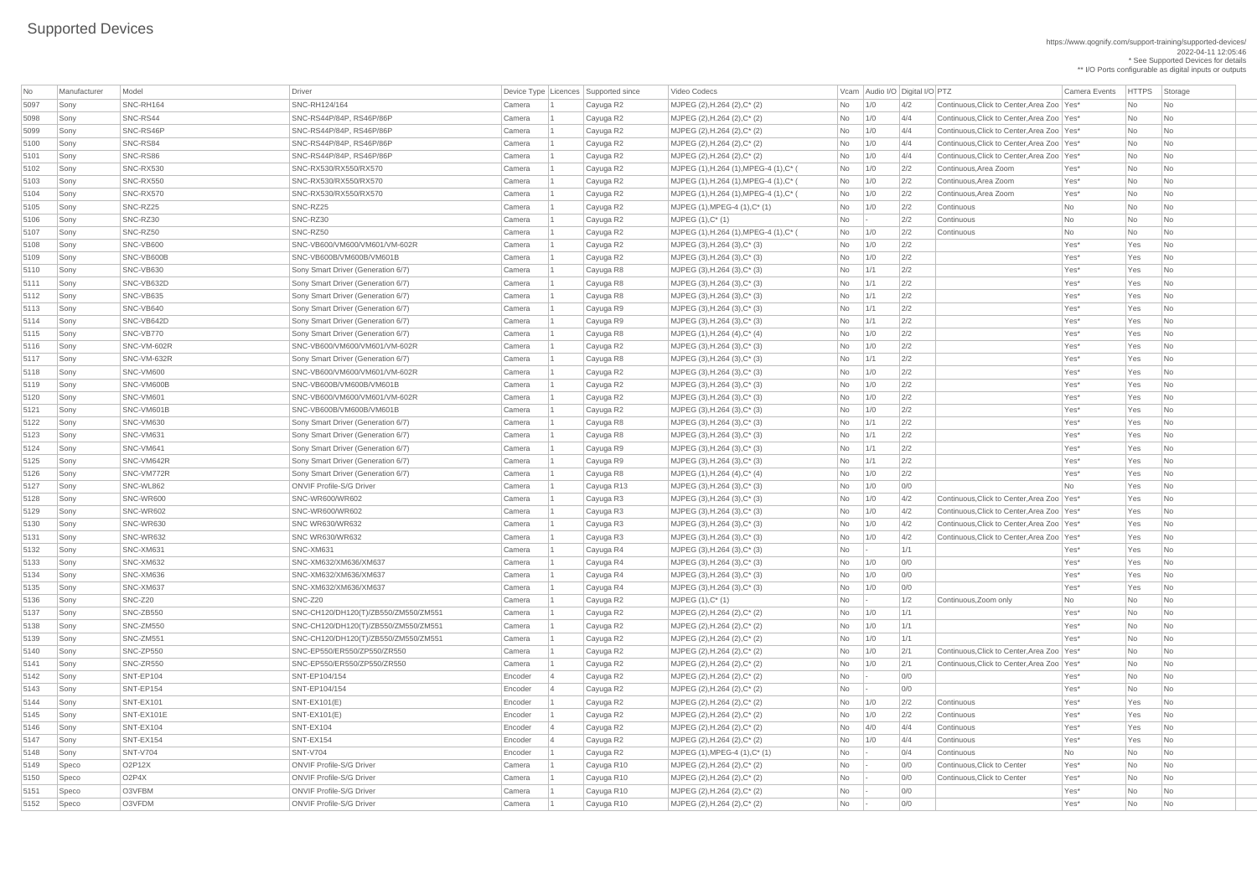| No           | Manufacturer | Model           | Driver                               |           | Device Type   Licences   Supported since | Video Codecs                                                 |                      |     | Vcam Audio I/O Digital I/O PTZ |                                              | <b>Camera Events</b> | <b>HTTPS</b> | Storage                     |
|--------------|--------------|-----------------|--------------------------------------|-----------|------------------------------------------|--------------------------------------------------------------|----------------------|-----|--------------------------------|----------------------------------------------|----------------------|--------------|-----------------------------|
| 5097         | Sony         | SNC-RH164       | SNC-RH124/164                        | Camera    | Cayuga R2                                | MJPEG (2), H.264 (2), C* (2)                                 | No                   | 1/0 | 4/2                            | Continuous, Click to Center, Area Zoo   Yes* |                      | <b>No</b>    | No                          |
| 5098         | Sony         | SNC-RS44        | SNC-RS44P/84P, RS46P/86P             | Camera    | Cayuga R2                                | MJPEG (2), H.264 (2), C* (2)                                 | No                   | 1/0 | 4/4                            | Continuous, Click to Center, Area Zoo   Yes* |                      | <b>No</b>    | No                          |
| 5099         | Sony         | SNC-RS46P       | SNC-RS44P/84P, RS46P/86P             | Camera    | Cayuga R2                                | MJPEG (2), H.264 (2), C* (2)                                 | No                   | 1/0 | 4/4                            | Continuous, Click to Center, Area Zoo   Yes* |                      | <b>No</b>    | <b>No</b>                   |
| 5100         | Sony         | SNC-RS84        | SNC-RS44P/84P, RS46P/86P             | Camera    | Cayuga R2                                | MJPEG (2), H.264 (2), C* (2)                                 | No                   | 1/0 | 4/4                            | Continuous, Click to Center, Area Zoo   Yes* |                      | No           | No                          |
| 5101         | Sony         | SNC-RS86        | SNC-RS44P/84P, RS46P/86P             | Camera    | Cayuga R2                                | MJPEG (2), H.264 (2), C* (2)                                 | No                   | 1/0 | 4/4                            | Continuous, Click to Center, Area Zoo   Yes* |                      | <b>No</b>    | No                          |
| 5102         | Sony         | SNC-RX530       | SNC-RX530/RX550/RX570                | Camera    | Cayuga R2                                | MJPEG (1), H.264 (1), MPEG-4 (1), C* (                       | No                   | 1/0 | 2/2                            | Continuous, Area Zoom                        | Yes*                 | <b>No</b>    | No                          |
| 5103         | Sony         | SNC-RX550       | SNC-RX530/RX550/RX570                | Camera    | Cayuga R2                                | MJPEG (1), H.264 (1), MPEG-4 (1), C* (                       | No                   | 1/0 | 2/2                            | Continuous, Area Zoom                        | Yes*                 | <b>No</b>    | No                          |
| 5104         | Sony         | SNC-RX570       | SNC-RX530/RX550/RX570                | Camera    | Cayuga R2                                | MJPEG (1), H.264 (1), MPEG-4 (1), C* (                       | No                   | 1/0 | 2/2                            | Continuous, Area Zoom                        | Yes*                 | <b>No</b>    | No                          |
| 5105         | Sony         | SNC-RZ25        | SNC-RZ25                             | Camera    | Cayuga R2                                | $MJPEG (1), MPEG-4 (1), C^* (1)$                             | No                   | 1/0 | 2/2                            | Continuous                                   | <b>No</b>            | No           | No                          |
| 5106         | Sony         | SNC-RZ30        | SNC-RZ30                             | Camera    | Cayuga R2                                | $MJPEG (1), C^*(1)$                                          | No                   |     | 2/2                            | Continuous                                   | No                   | <b>No</b>    | No                          |
| 5107         | Sony         | SNC-RZ50        | SNC-RZ50                             | Camera    | Cayuga R2                                | MJPEG (1), H.264 (1), MPEG-4 (1), C* (                       | No                   | 1/0 | 2/2                            | Continuous                                   | No                   | No           | No                          |
| 5108         | Sony         | SNC-VB600       | SNC-VB600/VM600/VM601/VM-602R        | Camera    | Cayuga R2                                | MJPEG (3), H.264 (3), C* (3)                                 | No                   | 1/0 | 2/2                            |                                              | Yes*                 | Yes          | No                          |
| 5109         | Sony         | SNC-VB600B      | SNC-VB600B/VM600B/VM601B             | Camera    | Cayuga R2                                | MJPEG $(3)$ , H.264 $(3)$ , C* $(3)$                         | No                   | 1/0 | 2/2                            |                                              | Yes*                 | Yes          | No                          |
| 5110         | Sony         | SNC-VB630       | Sony Smart Driver (Generation 6/7)   | Camera    | Cayuga R8                                | MJPEG $(3)$ , H.264 $(3)$ , C* $(3)$                         | No                   | 1/1 | 2/2                            |                                              | Yes*                 | Yes          | No                          |
| 5111         | Sony         | SNC-VB632D      | Sony Smart Driver (Generation 6/7)   | Camera    | Cayuga R8                                | MJPEG $(3)$ , H.264 $(3)$ , C* $(3)$                         | No                   | 1/1 | 2/2                            |                                              | Yes*                 | Yes          | No                          |
| 5112         | Sony         | SNC-VB635       | Sony Smart Driver (Generation 6/7)   | Camera    | Cayuga R8                                | MJPEG $(3)$ , H.264 $(3)$ , C* $(3)$                         | No                   | 1/1 | 2/2                            |                                              | Yes*                 | Yes          | No                          |
| 5113         | Sony         | SNC-VB640       | Sony Smart Driver (Generation 6/7)   | Camera    | Cayuga R9                                | MJPEG (3), H.264 (3), C* (3)                                 | N <sub>o</sub>       | 1/1 | 2/2                            |                                              | Yes*                 | Yes          | No                          |
| 5114         | Sony         | SNC-VB642D      | Sony Smart Driver (Generation 6/7)   | Camera    | Cayuga R9                                | $MJPEG (3), H.264 (3), C^*(3)$                               | No                   | 1/1 | 2/2                            |                                              | Yes*                 | Yes          | No                          |
| 5115         | Sony         | SNC-VB770       | Sony Smart Driver (Generation 6/7)   | Camera    | Cayuga R8                                | MJPEG (1), H.264 (4), C* (4)                                 | No                   | 1/0 | 2/2                            |                                              | Yes*                 | Yes          | No                          |
| 5116         | Sony         | SNC-VM-602R     | SNC-VB600/VM600/VM601/VM-602R        | Camera    | Cayuga R2                                | MJPEG $(3)$ , H.264 $(3)$ , C* $(3)$                         | No                   | 1/0 | 2/2                            |                                              | Yes*                 | Yes          | No                          |
| 5117         | Sony         | SNC-VM-632R     | Sony Smart Driver (Generation 6/7)   | Camera    | Cayuga R8                                | MJPEG (3), H.264 (3), C* (3)                                 | No                   | 1/1 | 2/2                            |                                              | Yes*                 | Yes          | No                          |
| 5118         | Sony         | SNC-VM600       | SNC-VB600/VM600/VM601/VM-602R        | Camera    | Cayuga R2                                | MJPEG $(3)$ , H.264 $(3)$ , C* $(3)$                         | No                   | 1/0 | 2/2                            |                                              | Yes*                 | Yes          | No                          |
| 5119         | Sony         | SNC-VM600B      | SNC-VB600B/VM600B/VM601B             | Camera    | Cayuga R2                                | MJPEG (3), H.264 (3), C* (3)                                 | No                   | 1/0 | 2/2                            |                                              | Yes*                 | Yes          | No                          |
| 5120         | Sony         | SNC-VM601       | SNC-VB600/VM600/VM601/VM-602R        | Camera    | Cayuga R2                                | MJPEG (3), H.264 (3), C* (3)                                 | No                   | 1/0 | 2/2                            |                                              | Yes*                 | Yes          | No                          |
| 5121         | Sony         | SNC-VM601B      | SNC-VB600B/VM600B/VM601B             | Camera    | Cayuga R2                                | MJPEG $(3)$ , H.264 $(3)$ , C* $(3)$                         | No                   | 1/0 | 2/2                            |                                              | Yes*                 | Yes          | No                          |
| 5122         | Sony         | SNC-VM630       | Sony Smart Driver (Generation 6/7)   | Camera    | Cayuga R8                                | MJPEG (3), H.264 (3), C* (3)                                 | No                   | 1/1 | 2/2                            |                                              | Yes <sup>*</sup>     | Yes          | No                          |
| 5123         | Sony         | SNC-VM631       | Sony Smart Driver (Generation 6/7)   | Camera    | Cayuga R8                                | MJPEG (3), H.264 (3), C* (3)                                 | No                   | 1/1 | 2/2                            |                                              | Yes*                 | Yes          | No                          |
| 5124         | Sony         | SNC-VM641       | Sony Smart Driver (Generation 6/7)   | Camera    | Cayuga R9                                | MJPEG $(3)$ , H.264 $(3)$ , C* $(3)$                         | N <sub>o</sub>       | 1/1 | 2/2                            |                                              | Yes*                 | Yes          | No                          |
| 5125         | Sony         | SNC-VM642R      | Sony Smart Driver (Generation 6/7)   | Camera    | Cayuga R9                                | MJPEG (3), H.264 (3), C* (3)                                 | No                   | 1/1 | 2/2                            |                                              | Yes*                 | Yes          | <b>No</b>                   |
| 5126         | Sony         | SNC-VM772R      | Sony Smart Driver (Generation 6/7)   | Camera    | Cayuga R8                                | MJPEG (1), H.264 (4), C* (4)                                 | No                   | 1/0 | 2/2                            |                                              | Yes*                 | Yes          | No                          |
| 5127         | Sony         | SNC-WL862       | <b>ONVIF Profile-S/G Driver</b>      | Camera    | Cayuga R13                               | MJPEG (3), H.264 (3), C* (3)                                 | N <sub>o</sub>       | 1/0 | 0/0                            |                                              | <b>No</b>            | Yes          | <b>No</b>                   |
| 5128         | Sony         | SNC-WR600       | <b>SNC-WR600/WR602</b>               | Camera    | Cayuga R3                                | MJPEG $(3)$ , H.264 $(3)$ , C* $(3)$                         | No                   | 1/0 | 4/2                            | Continuous, Click to Center, Area Zoo   Yes* |                      | Yes          | No                          |
| 5129         | Sony         | SNC-WR602       | <b>SNC-WR600/WR602</b>               | Camera    | Cayuga R3                                | MJPEG (3), H.264 (3), C* (3)                                 | No                   | 1/0 | 4/2                            | Continuous, Click to Center, Area Zoo   Yes* |                      | Yes          | No                          |
| 5130         | Sony         | SNC-WR630       | <b>SNC WR630/WR632</b>               | Camera    | Cayuga R3                                | MJPEG $(3)$ , H.264 $(3)$ , C* $(3)$                         | N <sub>o</sub>       | 1/0 | 4/2                            | Continuous, Click to Center, Area Zoo   Yes* |                      | Yes          | <b>No</b>                   |
| 5131         | Sony         | SNC-WR632       | <b>SNC WR630/WR632</b>               | Camera    | Cayuga R3                                | MJPEG (3), H.264 (3), C* (3)                                 | No                   | 1/0 | 4/2                            | Continuous, Click to Center, Area Zoo   Yes* |                      | Yes          | <b>No</b>                   |
| 5132         | Sony         | SNC-XM631       | SNC-XM631                            | Camera    | Cayuga R4                                | MJPEG $(3)$ , H.264 $(3)$ , C* $(3)$                         | No                   |     | 1/1                            |                                              | Yes*                 | Yes          | No                          |
| 5133         | Sony         | SNC-XM632       | SNC-XM632/XM636/XM637                | Camera    | Cayuga R4                                | MJPEG $(3)$ , H.264 $(3)$ , C* $(3)$                         | N <sub>o</sub>       | 1/0 | 0/0                            |                                              | Yes*                 | Yes          | No                          |
| 5134         |              | SNC-XM636       | SNC-XM632/XM636/XM637                | Camera    |                                          | MJPEG $(3)$ , H.264 $(3)$ , C* $(3)$                         | No                   | 1/0 | 0/0                            |                                              | Yes*                 | Yes          | No                          |
|              | Sony         | SNC-XM637       | SNC-XM632/XM636/XM637                | Camera    | Cayuga R4                                |                                                              |                      |     | 0/0                            |                                              | Yes*                 | Yes          | No                          |
| 5135<br>5136 | Sony<br>Sony | SNC-Z20         | SNC-Z20                              | Camera    | Cayuga R4<br>Cayuga R2                   | MJPEG $(3)$ , H.264 $(3)$ , C* $(3)$<br>$MJPEG (1), C^* (1)$ | No<br>N <sub>o</sub> | 1/0 | 1/2                            | Continuous, Zoom only                        | <b>No</b>            | <b>No</b>    | <b>No</b>                   |
| 5137         | Sony         | SNC-ZB550       | SNC-CH120/DH120(T)/ZB550/ZM550/ZM551 | Camera    | Cayuga R2                                | MJPEG (2), H.264 (2), C* (2)                                 | No                   | 1/0 | 1/1                            |                                              | Yes*                 | <b>No</b>    | <b>No</b>                   |
|              | Sony         | SNC-ZM550       | SNC-CH120/DH120(T)/ZB550/ZM550/ZM551 | Camera    |                                          | MJPEG (2), H.264 (2), C* (2)                                 |                      | 1/0 | 1/1                            |                                              | Yes*                 | <b>No</b>    | No                          |
| 5138<br>5139 | Sony         | SNC-ZM551       | SNC-CH120/DH120(T)/ZB550/ZM550/ZM551 |           | Cayuga R2                                |                                                              | No                   | 1/0 | 1/1                            |                                              | Yes*                 | <b>No</b>    | <b>No</b>                   |
| 5140         |              | SNC-ZP550       | SNC-EP550/ER550/ZP550/ZR550          | Camera    | Cayuga R2                                | MJPEG (2), H.264 (2), C* (2)                                 | No                   |     |                                | Continuous, Click to Center, Area Zoo   Yes* |                      |              |                             |
|              | Sony         |                 |                                      | Camera    | Cayuga R2                                | MJPEG (2), H.264 (2), C* (2)                                 | No                   | 1/0 | 2/1                            |                                              |                      | <b>No</b>    | No                          |
| 5141         | Sony         | SNC-ZR550       | SNC-EP550/ER550/ZP550/ZR550          | Camera    | Cayuga R2                                | MJPEG (2), H.264 (2), C* (2)                                 | No                   | 1/0 | 2/1                            | Continuous, Click to Center, Area Zoo   Yes* |                      | <b>No</b>    | No                          |
| 5142         | Sony         | SNT-EP104       | SNT-EP104/154                        | Encoder   | Cayuga R2                                | MJPEG (2), H.264 (2), C* (2)                                 | <b>No</b>            |     | O/O                            |                                              | Yes*                 | <b>No</b>    | No                          |
| 5143         | Sony         | SNT-EP154       | SNT-EP104/154                        | Encoder   | Cayuga R2                                | MJPEG (2), H.264 (2), C* (2)                                 | No                   |     | 0/0                            |                                              | Yes*                 | <b>No</b>    | <b>No</b>                   |
| 5144         | Sony         | SNT-EX101       | $SNT-EX101(E)$                       | Encoder   | Cayuga R2                                | MJPEG (2), H.264 (2), C* (2)                                 | No                   | 1/0 | 2/2                            | Continuous                                   | Yes*                 | Yes          | No                          |
| 5145         | Sony         | SNT-EX101E      | <b>SNT-EX101(E)</b>                  | Encoder   | Cayuga R2                                | MJPEG (2), H.264 (2), C* (2)                                 | No                   | 1/0 | 2/2                            | Continuous                                   | Yes*                 | Yes          | No                          |
| 5146         | Sony         | SNT-EX104       | SNT-EX104                            | Encoder   | Cayuga R2                                | MJPEG (2), H.264 (2), C* (2)                                 | No                   | 4/0 | 4/4                            | Continuous                                   | Yes*                 | Yes          | No                          |
| 5147         | Sony         | SNT-EX154       | SNT-EX154                            | Encoder   | Cayuga R2                                | MJPEG (2), H.264 (2), C* (2)                                 | No                   | 1/0 | 4/4                            | Continuous                                   | Yes*                 | Yes          | No                          |
| 5148         | Sony         | <b>SNT-V704</b> | <b>SNT-V704</b>                      | Encoder 1 | Cayuga R2                                | MJPEG $(1)$ , MPEG-4 $(1)$ , C* $(1)$                        | <b>No</b>            |     | 0/4                            | Continuous                                   | No                   | No           | $\overline{\phantom{a}}$ No |
| 5149         | Speco        | O2P12X          | <b>ONVIF Profile-S/G Driver</b>      | Camera    | Cayuga R10                               | MJPEG (2), H.264 (2), C* (2)                                 | <b>No</b>            |     | 0/0                            | Continuous, Click to Center                  | Yes*                 | <b>No</b>    | No                          |
| 5150         | Speco        | O2P4X           | <b>ONVIF Profile-S/G Driver</b>      | Camera    | Cayuga R10                               | MJPEG (2), H.264 (2), C* (2)                                 | No                   |     | 0/0                            | Continuous, Click to Center                  | Yes*                 | No           | No                          |
| 5151         | Speco        | O3VFBM          | <b>ONVIF Profile-S/G Driver</b>      | Camera    | Cayuga R10                               | MJPEG (2), H.264 (2), C* (2)                                 | No                   |     | 0/0                            |                                              | Yes*                 | No           | No                          |
| 5152         | Speco        | O3VFDM          | <b>ONVIF Profile-S/G Driver</b>      | Camera    | Cayuga R10                               | MJPEG (2), H.264 (2), C* (2)                                 | N <sub>o</sub>       |     | 0/0                            |                                              | Yes*                 | No           | $\overline{\mathsf{No}}$    |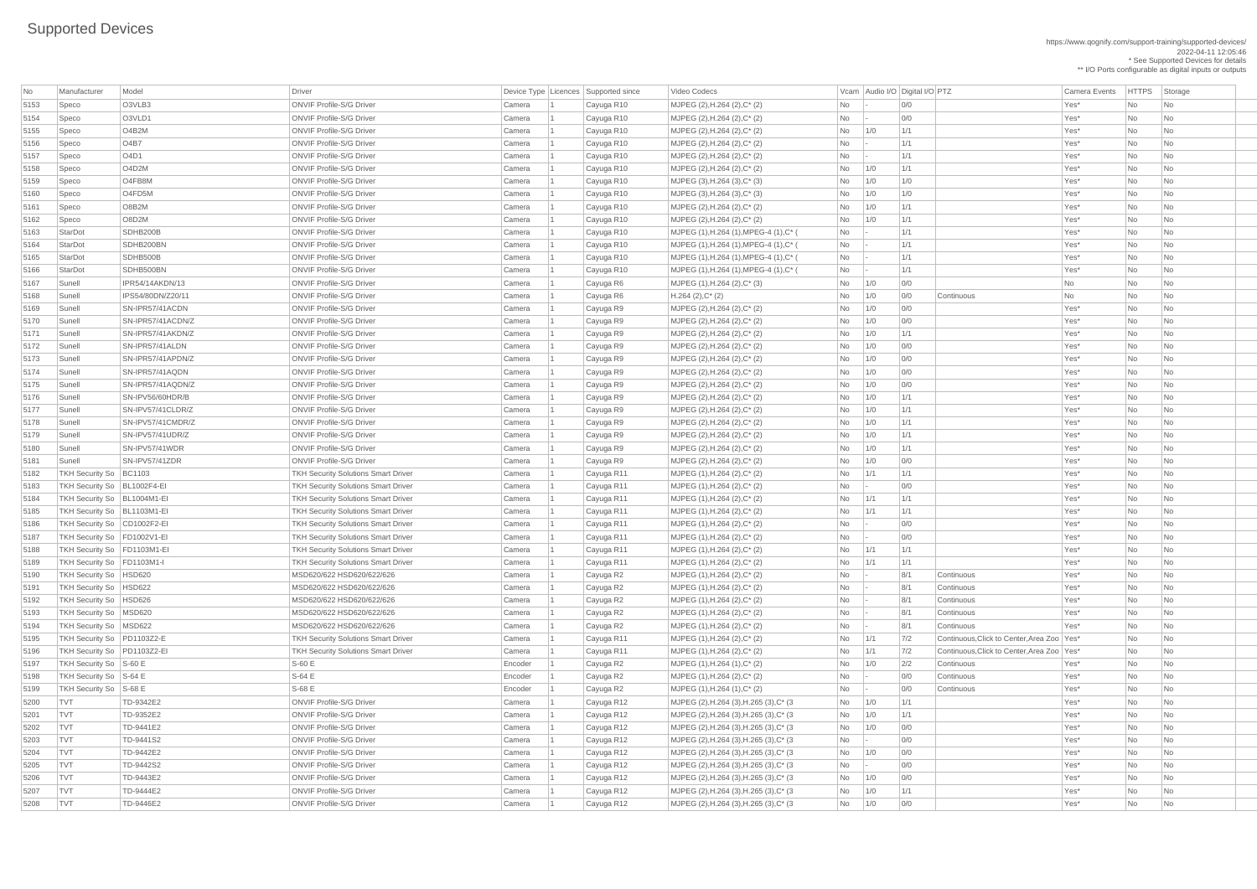https://www.qognify.com/support-training/supported-devices/ 2022-04-11 12:05:46 \* See Supported Devices for details

\*\* I/O Ports configurable as digital inputs or outputs

| No           | Manufacturer                  | Model                  | Driver                                     |                  | Device Type Licences Supported since | Video Codecs                                                 |            | Vcam Audio I/O Digital I/O PTZ |     |                                              | <b>Camera Events</b> | <b>HTTPS</b> | Storage                     |
|--------------|-------------------------------|------------------------|--------------------------------------------|------------------|--------------------------------------|--------------------------------------------------------------|------------|--------------------------------|-----|----------------------------------------------|----------------------|--------------|-----------------------------|
| 5153         | Speco                         | O3VLB3                 | <b>ONVIF Profile-S/G Driver</b>            | Camera           | Cayuga R10                           | MJPEG (2), H.264 (2), C* (2)                                 | No         |                                | 0/0 |                                              | Yes*                 | No           | <b>No</b>                   |
| 5154         | Speco                         | O3VLD1                 | <b>ONVIF Profile-S/G Driver</b>            | Camera           | Cayuga R10                           | MJPEG (2), H.264 (2), C* (2)                                 | No         |                                | O/O |                                              | Yes*                 | No           | <b>No</b>                   |
| 5155         | Speco                         | O4B2M                  | <b>ONVIF Profile-S/G Driver</b>            | Camera           | Cayuga R10                           | MJPEG (2), H.264 (2), C* (2)                                 | No         | 1/0                            | 1/1 |                                              | Yes*                 | No           | No                          |
| 5156         | Speco                         | O4B7                   | <b>ONVIF Profile-S/G Driver</b>            | Camera           | Cayuga R10                           | MJPEG (2), H.264 (2), C* (2)                                 | <b>No</b>  |                                | 1/1 |                                              | Yes*                 | No           | <b>No</b>                   |
| 5157         | Speco                         | O4D1                   | <b>ONVIF Profile-S/G Driver</b>            | Camera           | Cayuga R10                           | MJPEG (2), H.264 (2), C* (2)                                 | No         |                                | 1/1 |                                              | Yes*                 | No           | No                          |
| 5158         | Speco                         | O4D2M                  | <b>ONVIF Profile-S/G Driver</b>            | Camera           | Cayuga R10                           | MJPEG (2), H.264 (2), C* (2)                                 | No         | 1/0                            | 1/1 |                                              | Yes*                 | No           | No                          |
| 5159         | Speco                         | O4FB8M                 | <b>ONVIF Profile-S/G Driver</b>            | Camera           | Cayuga R10                           | MJPEG $(3)$ , H.264 $(3)$ , C* $(3)$                         | No         | 1/0                            | 1/0 |                                              | Yes*                 | No           | No                          |
| 5160         | Speco                         | O4FD5M                 | <b>ONVIF Profile-S/G Driver</b>            | Camera           | Cayuga R10                           | MJPEG (3), H.264 (3), C* (3)                                 | No         | 1/0                            | 1/0 |                                              | Yes*                 | No           | No                          |
| 5161         | Speco                         | O8B2M                  | <b>ONVIF Profile-S/G Driver</b>            | Camera           | Cayuga R10                           | MJPEG (2), H.264 (2), C* (2)                                 | No         | 1/0                            | 1/1 |                                              | Yes*                 | <b>No</b>    | No                          |
| 5162         | Speco                         | O8D2M                  | <b>ONVIF Profile-S/G Driver</b>            | Camera           | Cayuga R10                           | MJPEG (2), H.264 (2), C* (2)                                 | No         | 1/0                            | 1/1 |                                              | Yes*                 | No           | No                          |
| 5163         | StarDot                       | SDHB200B               | <b>ONVIF Profile-S/G Driver</b>            | Camera           | Cayuga R10                           | MJPEG (1), H.264 (1), MPEG-4 (1), C* (                       | No         |                                | 1/1 |                                              | Yes*                 | No           | <b>No</b>                   |
| 5164         | StarDot                       | SDHB200BN              | <b>ONVIF Profile-S/G Driver</b>            | Camera           | Cayuga R10                           | MJPEG (1), H.264 (1), MPEG-4 (1), C* (                       | $No$ -     |                                | 1/1 |                                              | Yes*                 | No           | No                          |
| 5165         | StarDot                       | SDHB500B               | <b>ONVIF Profile-S/G Driver</b>            | Camera           | Cayuga R10                           | MJPEG (1), H.264 (1), MPEG-4 (1), C* (                       | No         | $\sim$ $\sim$                  | 1/1 |                                              | Yes*                 | No           | No                          |
| 5166         | StarDot                       | SDHB500BN              | <b>ONVIF Profile-S/G Driver</b>            | Camera           | Cayuga R10                           | MJPEG (1), H.264 (1), MPEG-4 (1), C* (                       | No         | $\overline{\phantom{a}}$       | 1/1 |                                              | Yes*                 | No           | No                          |
| 5167         | Sunell                        | <b>IPR54/14AKDN/13</b> | <b>ONVIF Profile-S/G Driver</b>            | Camera           | Cayuga R6                            | MJPEG (1), H.264 (2), C* (3)                                 | No         | 1/0                            | O/O |                                              | No                   | No           | No                          |
| 5168         | Sunell                        | IPS54/80DN/Z20/11      | <b>ONVIF Profile-S/G Driver</b>            | Camera           | Cayuga R6                            | $H.264 (2), C^*(2)$                                          | No         | 1/0                            | O/O | Continuous                                   | No                   | No           | No                          |
| 5169         | Sunell                        | SN-IPR57/41ACDN        | <b>ONVIF Profile-S/G Driver</b>            | Camera           | Cayuga R9                            | MJPEG (2), H.264 (2), C* (2)                                 | No         | 1/0                            | 0/0 |                                              | Yes*                 | No           | No                          |
| 5170         | Sunell                        | SN-IPR57/41ACDN/Z      | <b>ONVIF Profile-S/G Driver</b>            | Camera           | Cayuga R9                            | MJPEG (2), H.264 (2), C* (2)                                 | No         | 1/0                            | O/O |                                              | Yes*                 | No           | <b>No</b>                   |
| 5171         | Sunell                        | SN-IPR57/41AKDN/Z      | <b>ONVIF Profile-S/G Driver</b>            | Camera           | Cayuga R9                            | MJPEG (2), H.264 (2), C* (2)                                 | No         | 1/0                            | 1/1 |                                              | Yes*                 | No           | No                          |
| 5172         | Sunell                        | SN-IPR57/41ALDN        | <b>ONVIF Profile-S/G Driver</b>            | Camera           |                                      | MJPEG (2), H.264 (2), C* (2)                                 | No         | 1/0                            | 0/0 |                                              | Yes*                 | No           | No                          |
| 5173         | Sunell                        | SN-IPR57/41APDN/Z      | <b>ONVIF Profile-S/G Driver</b>            | Camera           | Cayuga R9<br>Cayuga R9               | MJPEG (2), H.264 (2), C* (2)                                 | No         | 1/0                            | O/O |                                              | Yes*                 | No           | No                          |
| 5174         | Sunell                        | SN-IPR57/41AQDN        | <b>ONVIF Profile-S/G Driver</b>            | Camera           | Cayuga R9                            | MJPEG (2), H.264 (2), C* (2)                                 | No         | 1/0                            | 0/0 |                                              | Yes*                 | No           | No                          |
| 5175         | Sunell                        | SN-IPR57/41AQDN/Z      | <b>ONVIF Profile-S/G Driver</b>            | Camera           | Cayuga R9                            | MJPEG (2), H.264 (2), C* (2)                                 | No         | 1/0                            | O/O |                                              | Yes*                 | No           | <b>No</b>                   |
| 5176         | Sunell                        | SN-IPV56/60HDR/B       | <b>ONVIF Profile-S/G Driver</b>            | Camera           |                                      | MJPEG (2), H.264 (2), C* (2)                                 |            | 1/0                            | 1/1 |                                              | Yes*                 | No           |                             |
| 5177         | Sunell                        | SN-IPV57/41CLDR/Z      | <b>ONVIF Profile-S/G Driver</b>            | Camera           | Cayuga R9                            |                                                              | No         | 1/0                            | 1/1 |                                              | Yes*                 |              | No                          |
| 5178         |                               | SN-IPV57/41CMDR/Z      | <b>ONVIF Profile-S/G Driver</b>            |                  | Cayuga R9                            | MJPEG (2), H.264 (2), C* (2)<br>MJPEG (2), H.264 (2), C* (2) | No         | 1/0                            | 1/1 |                                              | Yes*                 | No           | No<br><b>No</b>             |
| 5179         | Sunell<br>Sunell              | SN-IPV57/41UDR/Z       | <b>ONVIF Profile-S/G Driver</b>            | Camera<br>Camera | Cayuga R9                            |                                                              | No         | 1/0                            | 1/1 |                                              | Yes*                 | No<br>No     | <b>No</b>                   |
|              |                               | SN-IPV57/41WDR         | <b>ONVIF Profile-S/G Driver</b>            | Camera           | Cayuga R9                            | MJPEG (2), H.264 (2), C* (2)                                 | No         |                                | 1/1 |                                              | Yes*                 |              |                             |
| 5180<br>5181 | Sunell<br>Sunell              | SN-IPV57/41ZDR         | <b>ONVIF Profile-S/G Driver</b>            |                  | Cayuga R9                            | MJPEG (2), H.264 (2), C* (2)<br>MJPEG (2), H.264 (2), C* (2) | No         | 1/0<br>1/0                     | 0/0 |                                              | Yes*                 | No<br>No     | No<br><b>No</b>             |
| 5182         | TKH Security So   BC1103      |                        | <b>TKH Security Solutions Smart Driver</b> | Camera<br>Camera | Cayuga R9<br>Cayuga R11              | MJPEG (1), H.264 (2), C* (2)                                 | No<br>No   | 1/1                            | 1/1 |                                              | Yes*                 | No           | <b>No</b>                   |
| 5183         | TKH Security So   BL1002F4-EI |                        | <b>TKH Security Solutions Smart Driver</b> | Camera           | Cayuga R11                           | MJPEG (1), H.264 (2), C* (2)                                 | <b>No</b>  | $\mathbf{I}$                   | O/O |                                              | Yes*                 | No           | <b>No</b>                   |
| 5184         | TKH Security So   BL1004M1-EI |                        | <b>TKH Security Solutions Smart Driver</b> | Camera           |                                      |                                                              |            | 1/1                            | 1/1 |                                              | Yes*                 |              | <b>No</b>                   |
|              | TKH Security So   BL1103M1-EI |                        | <b>TKH Security Solutions Smart Driver</b> | Camera           | Cayuga R11                           | MJPEG (1), H.264 (2), C* (2)                                 | No<br>No   | 1/1                            | 1/1 |                                              | Yes*                 | No<br>No     | <b>No</b>                   |
| 5185<br>5186 | TKH Security So   CD1002F2-EI |                        | <b>TKH Security Solutions Smart Driver</b> | Camera           | Cayuga R11                           | MJPEG (1), H.264 (2), C* (2)                                 |            |                                | O/O |                                              | Yes*                 | No           | No                          |
|              | TKH Security So   FD1002V1-EI |                        | <b>TKH Security Solutions Smart Driver</b> |                  | Cayuga R11                           | MJPEG (1), H.264 (2), C* (2)                                 | No         |                                | 0/0 |                                              | Yes*                 | No           | No                          |
| 5187<br>5188 | TKH Security So   FD1103M1-EI |                        | <b>TKH Security Solutions Smart Driver</b> | Camera<br>Camera | Cayuga R11<br>Cayuga R11             | MJPEG (1), H.264 (2), C* (2)<br>MJPEG (1), H.264 (2), C* (2) | No<br>No   | 1/1                            | 1/1 |                                              | Yes*                 | No           | <b>No</b>                   |
| 5189         | TKH Security So   FD1103M1-I  |                        | <b>TKH Security Solutions Smart Driver</b> | Camera           | Cayuga R11                           | MJPEG (1), H.264 (2), C* (2)                                 |            | 1/1                            | 1/1 |                                              | Yes*                 | No           |                             |
| 5190         | TKH Security So   HSD620      |                        | MSD620/622 HSD620/622/626                  | Camera           |                                      | MJPEG (1), H.264 (2), C* (2)                                 | No         | $\sim$                         | 8/1 |                                              | Yes*                 | No           | No<br>No                    |
| 5191         | TKH Security So   HSD622      |                        | MSD620/622 HSD620/622/626                  | Camera           | Cayuga R2                            | MJPEG (1), H.264 (2), C* (2)                                 | No<br>No   |                                | 8/1 | Continuous<br>Continuous                     | Yes*                 | <b>No</b>    | <b>No</b>                   |
| 5192         | TKH Security So   HSD626      |                        | MSD620/622 HSD620/622/626                  | Camera           | Cayuga R2<br>Cayuga R2               | MJPEG (1), H.264 (2), C* (2)                                 | <b>No</b>  |                                | 8/1 | Continuous                                   | Yes*                 | No           | No                          |
| 5193         | TKH Security So   MSD620      |                        | MSD620/622 HSD620/622/626                  | Camera           | Cayuga R2                            | MJPEG (1), H.264 (2), C* (2)                                 | No         |                                | 8/1 | Continuous                                   | Yes*                 | No           | <b>No</b>                   |
| 5194         | TKH Security So   MSD622      |                        | MSD620/622 HSD620/622/626                  | Camera           | Cayuga R2                            | MJPEG (1), H.264 (2), C* (2)                                 | No         |                                | 8/1 | Continuous                                   | Yes*                 | No           | <b>No</b>                   |
| 5195         | TKH Security So   PD1103Z2-E  |                        | <b>TKH Security Solutions Smart Driver</b> | Camera           | Cayuga R11                           | MJPEG (1), H.264 (2), C* (2)                                 | No         | 1/1                            | 7/2 | Continuous, Click to Center, Area Zoo   Yes* |                      | No           | No                          |
| 5196         | TKH Security So   PD1103Z2-EI |                        | <b>TKH Security Solutions Smart Driver</b> | Camera           | Cayuga R11                           | MJPEG (1), H.264 (2), C* (2)                                 | No         | 1/1                            | 7/2 | Continuous, Click to Center, Area Zoo   Yes* |                      | No           | <b>No</b>                   |
| 5197         | TKH Security So   S-60 E      |                        | S-60 E                                     | Encoder          | Cayuga R2                            | MJPEG (1), H.264 (1), C* (2)                                 | No         | 1/0                            | 2/2 | Continuous                                   | Yes*                 | <b>No</b>    | <b>No</b>                   |
| 5198         | TKH Security So   S-64 E      |                        | S-64 E                                     | Encoder          | Cayuga R2                            | MJPEG (1), H.264 (2), C* (2)                                 | No         |                                | 0/0 | Continuous                                   | Yes*                 | No           | No                          |
| 5199         | TKH Security So   S-68 E      |                        | S-68 E                                     | Encoder          | Cayuga R2                            | MJPEG (1), H.264 (1), C* (2)                                 | No         | $\overline{\phantom{a}}$       | 0/0 | Continuous                                   | Yes*                 | No           | No                          |
| 5200         | <b>TVT</b>                    | TD-9342E2              | <b>ONVIF Profile-S/G Driver</b>            | Camera           | Cayuga R12                           | MJPEG (2), H.264 (3), H.265 (3), C* (3)                      | No         | 1/0                            | 1/1 |                                              | Yes*                 | <b>No</b>    | <b>No</b>                   |
| 5201         | <b>TVT</b>                    | TD-9352E2              | <b>ONVIF Profile-S/G Driver</b>            | Camera           | Cayuga R12                           | MJPEG (2), H.264 (3), H.265 (3), C* (3)                      | No         | 1/0                            | 1/1 |                                              | Yes*                 | No           | No                          |
| 5202         | TVT                           | TD-9441E2              | <b>ONVIF Profile-S/G Driver</b>            | Camera           | Cayuga R12                           | MJPEG (2), H.264 (3), H.265 (3), C* (3)                      | No         | 1/0                            | 0/0 |                                              | Yes*                 | No           | No                          |
| 5203         | <b>TVT</b>                    | TD-9441S2              | <b>ONVIF Profile-S/G Driver</b>            | Camera           | Cayuga R12                           | MJPEG (2), H.264 (3), H.265 (3), C* (3)                      | No         |                                | O/O |                                              | Yes*                 | <b>No</b>    | <b>No</b>                   |
| 5204         | TVT                           | TD-9442E2              | <b>ONVIF Profile-S/G Driver</b>            | Camera           | Cayuga R12                           | MJPEG (2), H.264 (3), H.265 (3), C* (3)                      | <b>No</b>  | 1/0                            | 0/0 |                                              | Yes*                 | No           | $\overline{\phantom{a}}$ No |
| 5205         | TVT                           | TD-9442S2              | <b>ONVIF Profile-S/G Driver</b>            | Camera           | Cayuga R12                           | MJPEG (2), H.264 (3), H.265 (3), C* (3)                      | No         | $\vert - \vert$                | 0/0 |                                              | Yes*                 | No           | No                          |
| 5206         | TVT                           | TD-9443E2              | <b>ONVIF Profile-S/G Driver</b>            | Camera           | Cayuga R12                           | MJPEG (2), H.264 (3), H.265 (3), C* (3)                      | $No$   1/0 |                                | 0/0 |                                              | Yes*                 | <b>No</b>    | No                          |
| 5207         | <b>TVT</b>                    | TD-9444E2              | <b>ONVIF Profile-S/G Driver</b>            | Camera           | Cayuga R12                           | MJPEG (2), H.264 (3), H.265 (3), C* (3)                      | $No$   1/0 |                                | 1/1 |                                              | Yes*                 | No           | No                          |
| 5208         | <b>TVT</b>                    | TD-9446E2              | <b>ONVIF Profile-S/G Driver</b>            | Camera           | Cayuga R12                           | MJPEG (2), H.264 (3), H.265 (3), C* (3)                      | $No$   1/0 |                                | 0/0 |                                              | Yes*                 | No           | $\overline{\phantom{a}}$ No |
|              |                               |                        |                                            |                  |                                      |                                                              |            |                                |     |                                              |                      |              |                             |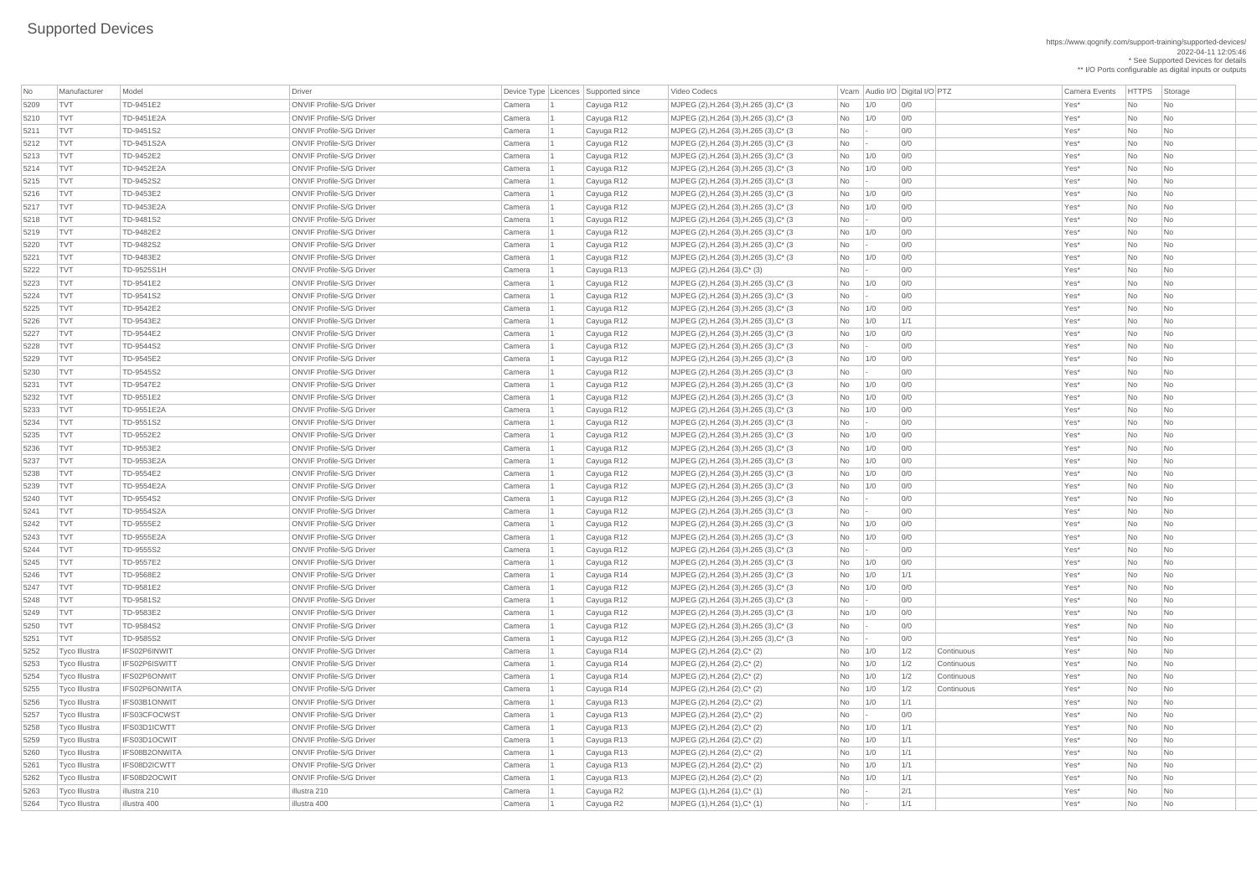https://www.qognify.com/support-training/supported-devices/ 2022-04-11 12:05:46 \* See Supported Devices for details \*\* I/O Ports configurable as digital inputs or outputs

| Video Codecs | No Manufacturer | No Manufacturer Model Driver Device Type Licence Camera Events | HTTPS | Storage | MJPEG (2),H.264 (3),H.265 (3),C\* (3 No 1/0 0/0 0 | 1/0 0/0 No | No No No No No 5210 TVT TD-9451E2A ONVIF Profile-S/G Driver Camera 1 Cayuga R12 MJPEG (2),H.264 (3),H.265 (3),C\* (3 No 1/0 0/0 Yes\* No No 5211 TVT TD-9451S2 ONVIF Profile-S/G Driver Camera 1 Cayuga R12 MJPEG (2),H.264 (3),H.265 (3),C\* (3 No - 0/0 Yes\* No No 5212 TVT TD-9451S2A ONVIF Profile-S/G Driver Camera 1 Cayuga R12 MJPEG (2),H.264 (3),H.265 (3),C\* (3 No - 0/0 Yes\* No No | MJPEG (2),H.264 (3),H.265 (3),C\* (3  $\qquad \qquad$  No  $\qquad$  1/0 0/0  $\qquad$  0/0  $\qquad$  Yes\* No No  $\qquad$  No No  $\qquad$ | MJPEG (2),H.264 (3),H.265 (3),C\* (3  $\qquad \qquad$  No  $\qquad \qquad$  - 0/0  $\qquad \qquad$  0/0 Yes\* No No No | MJPEG (2),H.264 (3),H.265 (3),C\* (3  $\hbox{No}$  1/0 0/0 0/0  $\hbox{No}$  Yes\* No No | MJPEG (2),H.264 (3),H.265 (3),C\* (3  $\qquad \qquad$  No  $\qquad$  1/0 0/0  $\qquad$  0/0  $\qquad \qquad$  Yes\* No No  $\qquad$  No No  $\qquad$ 5218 TVT TD-9481S2 ONVIF Profile-S/G Driver Camera 1 Cayuga R12 MJPEG (2),H.264 (3),H.265 (3),C\* (3 No - 0/0 Yes\* No No | MJPEG (2),H.264 (3),H.265 (3),C\* (3  $\qquad \qquad$  No  $\qquad$  1/0 0/0  $\qquad$  0/0  $\qquad$  Yes\* No No No | MJPEG (2),H.264 (3),H.265 (3),C\* (3  $\qquad$  No  $\qquad$  - 0/0  $\qquad$  0/0 Yes\* No No No | MJPEG (2),H.264 (3),H.265 (3),C\* (3  $\hbox{No}$  | 1/0 0/0 | 0/0  $\hbox{No}$  | Yes\* No No  $\hbox{No}$ 5223 TVT TD-9541E2 ONVIF Profile-S/G Driver Camera 1 Cayuga R12 MJPEG (2),H.264 (3),H.265 (3),C\* (3 No 1/0 0/0 Yes\* No No | MJPEG (2),H.264 (3),H.265 (3),C\* (3  $\qquad$  No  $\qquad$  - 0/0  $\qquad$  0/0 Yes\* No No No | MJPEG (2),H.264 (3),H.265 (3),C\* (3  $\hbox{No}$  | 1/0 0/0 | 0/0  $\hbox{No}$  | Yes\* No No | No | MJPEG (2),H.264 (3),H.265 (3),C\* (3  $\hbox{No}$  1/0 1/1 1 No 1/1 Yes\* No No No | MJPEG (2),H.264 (3),H.265 (3),C\* (3 No 1/0 0/0 0 | 1/0 0/0 No | No No No No No | MJPEG (2),H.264 (3),H.265 (3),C\* (3  $\hbox{No}$  | - 0/0 | 0/0 Yes\* No No No | MJPEG (2),H.264 (3),H.265 (3),C\* (3 No 1/0 0/0 0 0 0 0 x 1/0 x 2 No No No No No | MJPEG (2),H.264 (3),H.265 (3),C\* (3  $\qquad$  No  $\qquad$  - 0/0  $\qquad$  0/0 Yes\* No No No | MJPEG (2),H.264 (3),H.265 (3),C\* (3  $\qquad \qquad$  No  $\qquad$  1/0 0/0  $\qquad$  0/0  $\qquad$  Yes\* No No No | MJPEG (2),H.264 (3),H.265 (3),C\* (3  $\hbox{No}$  | 1/0 0/0 | 0/0 | 20 | 20 | Yes\* No No | No  $\begin{array}{|c|c|c|c|c|}\n\hline\n\text{MJPEG (2)},\text{H.264 (3)},\text{H.265 (3)},\text{C* (3)}\n\hline\n\end{array}$  No  $\begin{array}{|c|c|c|c|c|}\n\hline\n\text{NO} & \text{O/O} & \text{O/O} & \text{O/O} & \text{O/O} & \text{O/O} & \text{O/O} & \text{O/O} & \text{O/O} & \text{O/O} & \text{O/O} & \text{O/O} & \text{O/O} & \text{O/O} & \text{O/O} & \text{O/O} & \text{O/O} & \text{O$ 5234 TVT TD-9551S2 ONVIF Profile-S/G Driver Camera 1 Cayuga R12 MJPEG (2),H.264 (3),H.265 (3),C\* (3 No - 0/0 Yes\* No No | MJPEG (2),H.264 (3),H.265 (3),C\* (3  $\hbox{No}$  | 1/0 0/0 | 0/0 | 20 | 20 | Yes\* No No | No | MJPEG (2),H.264 (3),H.265 (3),C\* (3  $\qquad \qquad$  No  $\qquad$  1/0 0/0  $\qquad$  0/0  $\qquad \qquad$  Yes\* No No  $\qquad$  No No | MJPEG (2),H.264 (3),H.265 (3),C\* (3  $\qquad \qquad$  No  $\qquad$  1/0 0/0  $\qquad$  0/0  $\qquad$  Yes\* No No No | MJPEG (2),H.264 (3),H.265 (3),C\* (3  $\qquad \qquad$  No  $\qquad$  1/0 0/0  $\qquad$  0/0  $\qquad \qquad$  Yes\* No No  $\qquad$  No No | MJPEG (2),H.264 (3),H.265 (3),C\* (3  $\hbox{No}$  1/0 0/0 0/0  $\hbox{No}$  Yes\* No No 5240 TVT TD-9554S2 ONVIF Profile-S/G Driver Camera 1 Cayuga R12 MJPEG (2),H.264 (3),H.265 (3),C\* (3 No - 0/0 Yes\* No No | MJPEG (2),H.264 (3),H.265 (3),C\* (3  $\qquad$  No  $\qquad$  - 0/0  $\qquad$  0/0 Yes\* No No No | MJPEG (2),H.264 (3),H.265 (3),C\* (3  $\hbox{No}$  | 1/0 0/0 | 0/0 | 20 | 20 | Yes\* No No | No | MJPEG (2),H.264 (3),H.265 (3),C\* (3  $\qquad \qquad |$  No  $\qquad$  1/0  $\qquad$  0/0  $\qquad$  |  $\qquad \qquad$  20 Yes\* No  $\qquad$  No  $\qquad$  No  $\qquad$  No  $\qquad$ 5244 TVT TD-9555S2 ONVIF Profile-S/G Driver Camera 1 Cayuga R12 MJPEG (2),H.264 (3),H.265 (3),C\* (3 No - 0/0 Yes\* No No | MJPEG (2),H.264 (3),H.265 (3),C\* (3 No 1/0 0/0 0 0 0 0 x 1/0 x 2 No No No No No | MJPEG (2),H.264 (3),H.265 (3),C\* (3  $\hbox{No}$  1/0 1/1 1 No 11/1 Yes\* No No No | MJPEG (2),H.264 (3),H.265 (3),C\* (3  $\hbox{No}$  1/0 0/0 0/0 Yes\* No No No | MJPEG (2),H.264 (3),H.265 (3),C\* (3  $\qquad$  No  $\qquad$  - 0/0  $\qquad$  0/0 Yes\* No No No  $\overline{X}$  MJPEG (2),H.264 (3),H.265 (3),C\* (3  $\overline{X}$  No  $\overline{X}$  1/0 0/0  $\overline{X}$  1  $\overline{Y}$  and  $\overline{Y}$  and  $\overline{Y}$  and  $\overline{Y}$  and  $\overline{Y}$  and  $\overline{Y}$  and  $\overline{Y}$  and  $\overline{Y}$  and  $\overline{Y}$  and  $\overline{Y}$  and  $\overline{Y}$ | MJPEG (2),H.264 (3),H.265 (3),C\* (3  $\qquad$   $\qquad$  No  $\qquad$  -  $\qquad$  0/0  $\qquad$  |  $\qquad$   $\qquad$  Yes\* No  $\qquad$  No  $\qquad$  No  $\qquad$ 5251 TVT TD-9585S2 ONVIF Profile-S/G Driver Camera 1 Cayuga R12 MJPEG (2),H.264 (3),H.265 (3),C\* (3 No - 0/0 Yes\* No No

| No           | Manufacturer                   | Model                         | Driver                                                             |                  | Device Type   Licences   Supported since | Video Codecs                                                            |                        |            | Vcam Audio I/O Digital I/O PTZ |            | <b>Camera Events</b> | HTTPS Sto |                             |
|--------------|--------------------------------|-------------------------------|--------------------------------------------------------------------|------------------|------------------------------------------|-------------------------------------------------------------------------|------------------------|------------|--------------------------------|------------|----------------------|-----------|-----------------------------|
| 5209         | <b>TVT</b>                     | TD-9451E2                     | <b>ONVIF Profile-S/G Driver</b>                                    | Camera           | Cayuga R12                               | MJPEG (2), H.264 (3), H.265 (3), C* (3)                                 | No                     | 1/0        | 0/0                            |            | Yes*                 | No        | $ $ Nc                      |
| 5210         | <b>TVT</b>                     | TD-9451E2A                    | <b>ONVIF Profile-S/G Driver</b>                                    | Camera           | Cayuga R12                               | MJPEG (2), H.264 (3), H.265 (3), C* (3)                                 | No                     | 1/0        | 0/0                            |            | Yes*                 | No        | $\overline{\phantom{a}}$ Nc |
| 5211         | <b>TVT</b>                     | TD-9451S2                     | <b>ONVIF Profile-S/G Driver</b>                                    | Camera           | Cayuga R12                               | MJPEG (2), H.264 (3), H.265 (3), C* (3)                                 | No                     |            | 0/0                            |            | Yes*                 | No        | $\overline{\phantom{a}}$ Nc |
| 5212         | <b>TVT</b>                     | TD-9451S2A                    | <b>ONVIF Profile-S/G Driver</b>                                    | Camera           | Cayuga R12                               | MJPEG (2), H.264 (3), H.265 (3), C* (3)                                 | No                     |            | 0/0                            |            | Yes*                 | No        | $\overline{\phantom{a}}$ Nc |
| 5213         | <b>TVT</b>                     | TD-9452E2                     | <b>ONVIF Profile-S/G Driver</b>                                    | Camera           | Cayuga R12                               | MJPEG (2), H.264 (3), H.265 (3), C* (3)                                 | No                     | 1/0        | 0/0                            |            | Yes*                 | No        | $\overline{\phantom{a}}$ Nc |
| 5214         | <b>TVT</b>                     | TD-9452E2A                    | <b>ONVIF Profile-S/G Driver</b>                                    | Camera           | Cayuga R12                               | MJPEG (2), H.264 (3), H.265 (3), C* (3)                                 | No                     | 1/0        | 0/0                            |            | Yes*                 | No        | $\overline{\phantom{a}}$ Nc |
| 5215         | <b>TVT</b>                     | TD-9452S2                     | <b>ONVIF Profile-S/G Driver</b>                                    | Camera           | Cayuga R12                               | MJPEG (2), H.264 (3), H.265 (3), C* (3)                                 | No                     |            | 0/0                            |            | Yes*                 | No        | $\overline{\phantom{a}}$ Nc |
| 5216         | <b>TVT</b>                     | TD-9453E2                     | <b>ONVIF Profile-S/G Driver</b>                                    | Camera           | Cayuga R12                               | MJPEG (2), H.264 (3), H.265 (3), C* (3)                                 | No                     | 1/0        | 0/0                            |            | Yes*                 | No        | $\overline{\phantom{a}}$ Nc |
| 5217         | <b>TVT</b>                     | TD-9453E2A                    | <b>ONVIF Profile-S/G Driver</b>                                    | Camera           | Cayuga R12                               | MJPEG (2), H.264 (3), H.265 (3), C* (3)                                 | No                     | 1/0        | 0/0                            |            | Yes*                 | No        | $\overline{\phantom{a}}$ Nc |
| 5218         | <b>TVT</b>                     | TD-9481S2                     | <b>ONVIF Profile-S/G Driver</b>                                    | Camera           | Cayuga R12                               | MJPEG (2), H.264 (3), H.265 (3), C* (3)                                 | No                     |            | 0/0                            |            | Yes*                 | No        | $\overline{\phantom{a}}$ Nc |
| 5219         | <b>TVT</b>                     | TD-9482E2                     | <b>ONVIF Profile-S/G Driver</b>                                    | Camera           | Cayuga R12                               | MJPEG (2), H.264 (3), H.265 (3), C* (3)                                 | No                     | 1/0        | 0/0                            |            | Yes*                 | No        | $\overline{\phantom{a}}$ Nc |
| 5220         | <b>TVT</b>                     | TD-9482S2                     | <b>ONVIF Profile-S/G Driver</b>                                    | Camera           | Cayuga R12                               | MJPEG (2), H.264 (3), H.265 (3), C* (3)                                 | No                     |            | 0/0                            |            | Yes*                 | No        | $\overline{\phantom{a}}$ Nc |
| 5221         | <b>TVT</b>                     | TD-9483E2                     | <b>ONVIF Profile-S/G Driver</b>                                    | Camera           | Cayuga R12                               | MJPEG (2), H.264 (3), H.265 (3), C* (3)                                 | No                     | 1/0        | 0/0                            |            | Yes*                 | No        | $\overline{\phantom{a}}$ Nc |
| 5222         | <b>TVT</b>                     | TD-9525S1H                    | <b>ONVIF Profile-S/G Driver</b>                                    | Camera           | Cayuga R13                               | MJPEG (2), H.264 (3), C* (3)                                            | <b>No</b>              |            | 0/0                            |            | Yes*                 | No        | $\overline{\phantom{a}}$ Nc |
| 5223         | <b>TVT</b>                     | TD-9541E2                     | <b>ONVIF Profile-S/G Driver</b>                                    | Camera           | Cayuga R12                               | MJPEG (2), H.264 (3), H.265 (3), C* (3)                                 | No                     | 1/0        | 0/0                            |            | Yes*                 | No        | $\overline{\phantom{a}}$ Nc |
| 5224         | <b>TVT</b>                     | TD-9541S2                     | <b>ONVIF Profile-S/G Driver</b>                                    | Camera           | Cayuga R12                               | MJPEG (2), H.264 (3), H.265 (3), C* (3)                                 | No                     |            | 0/0                            |            | Yes*                 | No        | <b>Nc</b>                   |
| 5225         | <b>TVT</b>                     | TD-9542E2                     | <b>ONVIF Profile-S/G Driver</b>                                    | Camera           | Cayuga R12                               | MJPEG (2), H.264 (3), H.265 (3), C* (3)                                 | No                     | 1/0        | 0/0                            |            | Yes*                 | No        | $\overline{\phantom{a}}$ Nc |
| 5226         | <b>TVT</b>                     | TD-9543E2                     | <b>ONVIF Profile-S/G Driver</b>                                    | Camera           | Cayuga R12                               | MJPEG (2), H.264 (3), H.265 (3), C* (3)                                 | No                     | 1/0        | 1/1                            |            | Yes*                 | No        | $\overline{\phantom{a}}$ Nc |
| 5227         | <b>TVT</b>                     | TD-9544E2                     | <b>ONVIF Profile-S/G Driver</b>                                    | Camera           | Cayuga R12                               | MJPEG (2), H.264 (3), H.265 (3), C* (3)                                 | No                     | 1/0        | 0/0                            |            | Yes*                 | No        | $\overline{\phantom{a}}$ Nc |
| 5228         | <b>TVT</b>                     | TD-9544S2                     | <b>ONVIF Profile-S/G Driver</b>                                    | Camera           | Cayuga R12                               | MJPEG (2), H.264 (3), H.265 (3), C* (3)                                 | No                     |            | 0/0                            |            | Yes*                 | No        | $\overline{\phantom{a}}$ Nc |
| 5229         | <b>TVT</b>                     | TD-9545E2                     | <b>ONVIF Profile-S/G Driver</b>                                    | Camera           | Cayuga R12                               | MJPEG (2), H.264 (3), H.265 (3), C* (3)                                 | No                     | 1/0        | 0/0                            |            | Yes*                 | No        | $\overline{\phantom{a}}$ Nc |
| 5230         | <b>TVT</b>                     | TD-9545S2                     | <b>ONVIF Profile-S/G Driver</b>                                    | Camera           | Cayuga R12                               | MJPEG (2), H.264 (3), H.265 (3), C* (3)                                 | $\overline{\text{No}}$ |            | 0/0                            |            | Yes*                 | No        | <b>Nc</b>                   |
| 5231         | <b>TVT</b>                     | TD-9547E2                     | <b>ONVIF Profile-S/G Driver</b>                                    | Camera           | Cayuga R12                               | MJPEG (2), H.264 (3), H.265 (3), C* (3)                                 | No                     | 1/0        | 0/0                            |            | Yes*                 | No        | $\overline{\phantom{a}}$ Nc |
| 5232         | <b>TVT</b>                     | TD-9551E2                     | <b>ONVIF Profile-S/G Driver</b>                                    | Camera           | Cayuga R12                               | MJPEG (2), H.264 (3), H.265 (3), C* (3)                                 | No                     | 1/0        | 0/0                            |            | Yes*                 | No        | Nc                          |
| 5233         | <b>TVT</b>                     | TD-9551E2A                    | <b>ONVIF Profile-S/G Driver</b>                                    | Camera           | Cayuga R12                               | MJPEG (2), H.264 (3), H.265 (3), C* (3)                                 | No                     | 1/0        | 0/0                            |            | Yes*                 | No        | $\overline{\phantom{a}}$ Nc |
| 5234         | TV1                            | TD-9551S2                     | <b>ONVIF Profile-S/G Driver</b>                                    | Camera           | Cayuga R12                               | MJPEG (2), H.264 (3), H.265 (3), C* (3)                                 | No                     |            | 0/0                            |            | Yes*                 | No        | Nc                          |
| 5235         | <b>TVT</b>                     | TD-9552E2                     | <b>ONVIF Profile-S/G Driver</b>                                    | Camera           | Cayuga R12                               | MJPEG (2), H.264 (3), H.265 (3), C* (3)                                 | No                     | 1/0        | 0/0                            |            | Yes*                 | <b>No</b> | $\overline{\phantom{a}}$ Nc |
| 5236         | <b>TVT</b>                     | TD-9553E2                     | <b>ONVIF Profile-S/G Driver</b>                                    | Camera           | Cayuga R12                               | MJPEG (2), H.264 (3), H.265 (3), C* (3)                                 | No                     | 1/0        | 0/0                            |            | Yes*                 | No        | <b>Nc</b>                   |
| 5237         | <b>TVT</b>                     | TD-9553E2A                    | <b>ONVIF Profile-S/G Driver</b>                                    | Camera           | Cayuga R12                               | MJPEG (2), H.264 (3), H.265 (3), C* (3)                                 | No                     | 1/0        | 0/0                            |            | Yes*                 | No        | Nc                          |
| 5238         | <b>TVT</b>                     | TD-9554E2                     | <b>ONVIF Profile-S/G Driver</b>                                    | Camera           | Cayuga R12                               | MJPEG (2), H.264 (3), H.265 (3), C* (3)                                 | No                     | 1/0        | 0/0                            |            | Yes*                 | <b>No</b> | Nc                          |
| 5239         | <b>TVT</b>                     | TD-9554E2A                    | <b>ONVIF Profile-S/G Driver</b>                                    | Camera           | Cayuga R12                               | MJPEG (2), H.264 (3), H.265 (3), C* (3)                                 | No                     | 1/0        | 0/0                            |            | Yes*                 | No        | $\overline{\phantom{a}}$ Nc |
| 5240         | <b>TVT</b>                     | TD-9554S2                     | <b>ONVIF Profile-S/G Driver</b>                                    | Camera           | Cayuga R12                               | MJPEG (2), H.264 (3), H.265 (3), C* (3)                                 | No                     |            | 0/0                            |            | Yes*                 | No        | Nc                          |
| 5241         | <b>TVT</b>                     | TD-9554S2A                    | <b>ONVIF Profile-S/G Driver</b>                                    | Camera           | Cayuga R12                               | MJPEG (2), H.264 (3), H.265 (3), C* (3)                                 | No                     |            | 0/0                            |            | Yes*                 | No        | $\overline{\phantom{a}}$ Nc |
| 5242         | <b>TVT</b>                     | TD-9555E2                     | <b>ONVIF Profile-S/G Driver</b>                                    | Camera           | Cayuga R12                               | MJPEG (2), H.264 (3), H.265 (3), C* (3)                                 | No                     | 1/0        | 0/0                            |            | Yes*                 | No        | <b>Nc</b>                   |
| 5243         | <b>TVT</b>                     | TD-9555E2A                    | <b>ONVIF Profile-S/G Driver</b>                                    | Camera           | Cayuga R12                               | MJPEG (2), H.264 (3), H.265 (3), C* (3)                                 | No                     | 1/0        | 0/0                            |            | Yes*                 | No        | $\overline{\phantom{a}}$ Nc |
| 5244         | <b>TVT</b>                     | TD-9555S2                     | <b>ONVIF Profile-S/G Driver</b>                                    | Camera           | Cayuga R12                               | MJPEG (2), H.264 (3), H.265 (3), C* (3)                                 | No                     |            | 0/0                            |            | Yes*                 | No        | Nc                          |
| 5245         | <b>TVT</b>                     | TD-9557E2                     | <b>ONVIF Profile-S/G Driver</b>                                    | Camera           | Cayuga R12                               | MJPEG (2), H.264 (3), H.265 (3), C* (3)                                 | No                     | 1/0        | 0/0                            |            | Yes*                 | <b>No</b> | $\overline{\phantom{a}}$ Nc |
| 5246         | <b>TVT</b>                     | TD-9568E2                     | <b>ONVIF Profile-S/G Driver</b>                                    | Camera           | Cayuga R14                               | MJPEG (2), H.264 (3), H.265 (3), C* (3)                                 | No                     | 1/0        | 1/1                            |            | Yes*                 | No        | $\overline{\phantom{a}}$ Nc |
| 5247         | <b>TVT</b>                     | TD-9581E2                     | <b>ONVIF Profile-S/G Driver</b>                                    | Camera           | Cayuga R12                               | MJPEG (2), H.264 (3), H.265 (3), C* (3)                                 | No                     | 1/0        | 0/0                            |            | Yes*                 | <b>No</b> | $\overline{\phantom{a}}$ Nc |
| 5248         | <b>TVT</b>                     | TD-9581S2                     | <b>ONVIF Profile-S/G Driver</b>                                    | Camera           | Cayuga R12                               | MJPEG (2), H.264 (3), H.265 (3), C* (3)                                 | No                     |            | 0/0                            |            | Yes*                 | No        | <b>Nc</b>                   |
| 5249         | <b>TVT</b>                     | TD-9583E2                     | <b>ONVIF Profile-S/G Driver</b>                                    | Camera           | Cayuga R12                               | MJPEG (2), H.264 (3), H.265 (3), C* (3)                                 | No                     | 1/0        | 0/0                            |            | Yes*                 | No        | $\overline{\phantom{a}}$ Nc |
| 5250         | <b>TVT</b>                     | TD-9584S2                     | <b>ONVIF Profile-S/G Driver</b>                                    | Camera           | Cayuga R12                               | MJPEG (2), H.264 (3), H.265 (3), C* (3)                                 | No                     |            | 0/0                            |            | Yes*                 | <b>No</b> | Nc                          |
| 5251         | <b>TVT</b>                     | TD-9585S2                     | <b>ONVIF Profile-S/G Driver</b>                                    | Camera           | Cayuga R12                               | MJPEG (2), H.264 (3), H.265 (3), C* (3)                                 | No                     |            | 0/0                            |            | Yes*                 | No        | $\overline{\phantom{a}}$ Nc |
| 5252         | Tyco Illustra                  | IFS02P6INWIT                  | <b>ONVIF Profile-S/G Driver</b>                                    | Camera           | Cayuga R14                               | MJPEG (2), H.264 (2), C* (2)                                            | No                     | 1/0        | 1/2                            | Continuous | Yes*                 | No        | $\overline{\phantom{a}}$ Nc |
| 5253         | Tyco Illustra                  | IFS02P6ISWITT                 | <b>ONVIF Profile-S/G Driver</b>                                    | Camera           | Cayuga R14                               | MJPEG (2), H.264 (2), C* (2)                                            | No                     | 1/0        | 1/2                            | Continuous | Yes*                 | No        | $\overline{\phantom{a}}$ Nc |
| 5254         | <b>Tyco Illustra</b>           | IFS02P6ONWIT                  | <b>ONVIF Profile-S/G Driver</b>                                    | Camera           | Cayuga R14                               | MJPEG $(2)$ , H.264 $(2)$ , C* $(2)$                                    | No                     | 1/0        | 1/2                            | Continuous | Yes*                 | No        | <b>Nc</b>                   |
| 5255         | Tyco Illustra                  | IFS02P6ONWITA                 | <b>ONVIF Profile-S/G Driver</b>                                    | Camera           | Cayuga R14                               | MJPEG (2), H.264 (2), C* (2)                                            | No                     | 1/0        | 1/2                            | Continuous | Yes*                 | No        | $\overline{\phantom{a}}$ Nc |
| 5256         | <b>Tyco Illustra</b>           | IFS03B1ONWIT                  | <b>ONVIF Profile-S/G Driver</b>                                    | Camera           | Cayuga R13                               | MJPEG (2), H.264 (2), C* (2)                                            | No                     | 1/0        | 1/1                            |            | Yes*                 | No        | Nc                          |
| 5257         | <b>Tyco Illustra</b>           | IFS03CFOCWST                  | <b>ONVIF Profile-S/G Driver</b>                                    | Camera           | Cayuga R13                               | MJPEG (2), H.264 (2), C* (2)                                            | No                     |            | 0/0                            |            | Yes*                 | <b>No</b> | Nc                          |
| 5258         | Tyco Illustra                  | IFS03D1ICWTT                  | <b>ONVIF Profile-S/G Driver</b>                                    | Camera           | Cayuga R13                               | MJPEG (2), H.264 (2), C* (2)                                            | No                     | 1/0        | 1/1                            |            | Yes*                 | No        | $\overline{\phantom{a}}$ Nc |
| 5259<br>5260 | Tyco Illustra                  | IFS03D1OCWIT<br>IFS08B2ONWITA | <b>ONVIF Profile-S/G Driver</b><br><b>ONVIF Profile-S/G Driver</b> | Camera           | Cayuga R13                               | MJPEG (2), H.264 (2), C* (2)                                            | No                     | 1/0        | 1/1                            |            | Yes*<br>Yes*         | No        | Nc                          |
|              | Tyco Illustra                  | IFS08D2ICWTT                  | <b>ONVIF Profile-S/G Driver</b>                                    | Camera           | Cayuga R13                               | MJPEG (2), H.264 (2), C* (2)<br>MJPEG (2), H.264 (2), C* (2)            | No                     | 1/0<br>1/0 | 1/1<br>1/1                     |            | Yes*                 | No l      |                             |
| 5261         | Tyco Illustra                  | IFS08D2OCWIT                  | <b>ONVIF Profile-S/G Driver</b>                                    | Camera           | Cayuga R13                               |                                                                         | No                     |            | 1/1                            |            | Yes*                 | No<br>No  | Nc                          |
| 5262<br>5263 | Tyco Illustra<br>Tyco Illustra | illustra 210                  | illustra 210                                                       | Camera<br>Camera | Cayuga R13                               | MJPEG $(2)$ , H.264 $(2)$ , C* $(2)$<br>$MJPEG (1), H.264 (1), C^* (1)$ | No<br>No               | 1/0        | 2/1                            |            | Yes*                 | No        | $\overline{\phantom{a}}$ Nc |
| 5264         |                                | illustra 400                  | illustra 400                                                       |                  | Cayuga R2                                |                                                                         |                        |            |                                |            | Yes*                 | No        | $ $ Nc                      |
|              | Tyco Illustra                  |                               |                                                                    | Camera           | Cayuga R2                                | $MJPEG (1), H.264 (1), C^* (1)$                                         | No                     |            | 1/1                            |            |                      |           | $ $ Nc                      |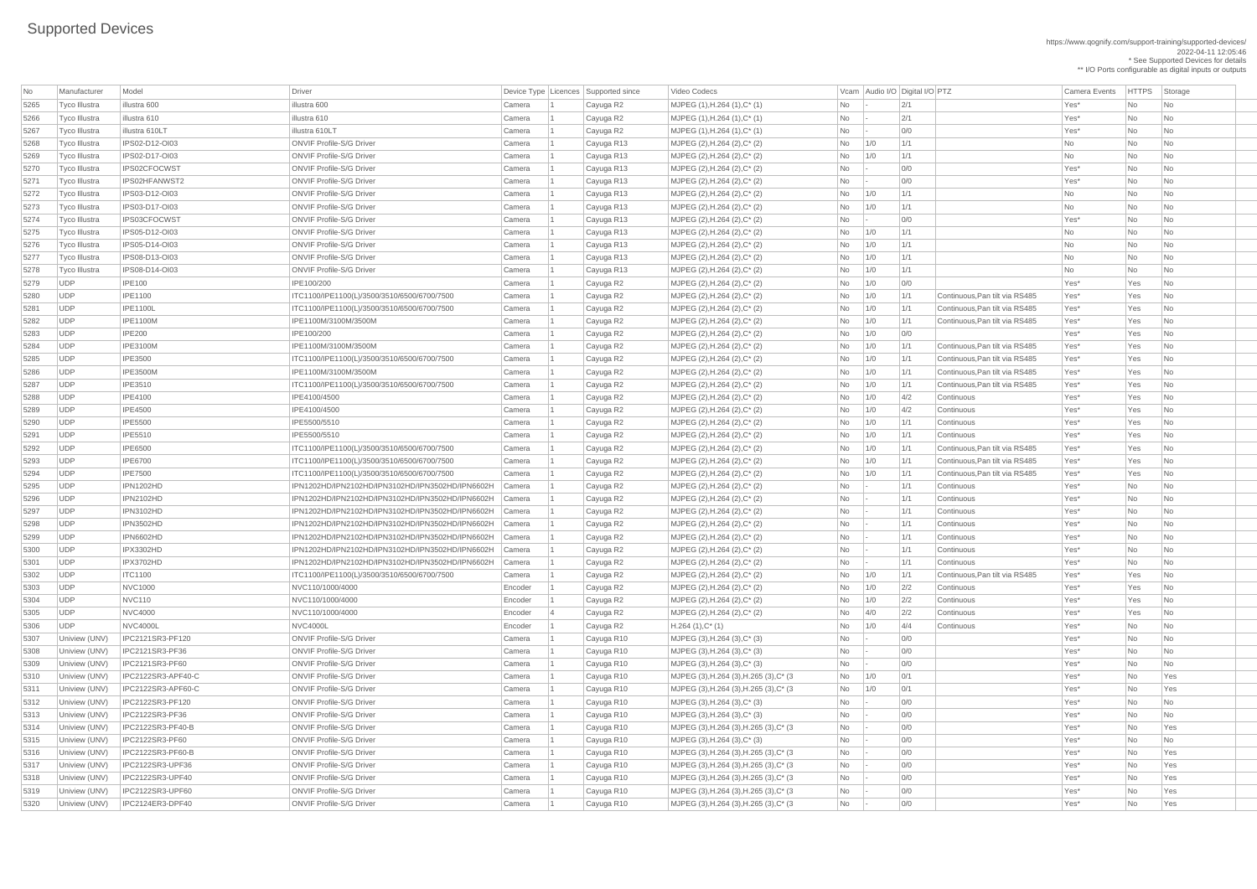| No   | Manufacturer         | Model                            | Driver                                           |               |           | Device Type Licences Supported since | Video Codecs                            |                             | Vcam Audio I/O Digital I/O PTZ |     |                                | <b>Camera Events</b> | <b>HTTPS</b> | Storage          |
|------|----------------------|----------------------------------|--------------------------------------------------|---------------|-----------|--------------------------------------|-----------------------------------------|-----------------------------|--------------------------------|-----|--------------------------------|----------------------|--------------|------------------|
| 5265 | <b>Tyco Illustra</b> | illustra 600                     | illustra 600                                     | Camera        |           | Cayuga R2                            | $MJPEG (1), H.264 (1), C^* (1)$         | <b>No</b>                   |                                | 2/1 |                                | Yes*                 | <b>No</b>    | No               |
| 5266 | <b>Tyco Illustra</b> | illustra 610                     | illustra 610                                     | Camera        |           | Cayuga R2                            | $MJPEG (1), H.264 (1), C^* (1)$         | No                          |                                | 2/1 |                                | Yes*                 | <b>No</b>    | <b>No</b>        |
| 5267 | Tyco Illustra        | illustra 610LT                   | illustra 610LT                                   | Camera        |           | Cayuga R2                            | $MJPEG (1), H.264 (1), C^* (1)$         | <b>No</b>                   |                                | 0/0 |                                | Yes*                 | <b>No</b>    | <b>No</b>        |
| 5268 | Tyco Illustra        | IPS02-D12-OI03                   | <b>ONVIF Profile-S/G Driver</b>                  | Camera        |           | Cayuga R13                           | $MJPEG (2), H.264 (2), C^*(2)$          | No                          | 1/0                            | 1/1 |                                | No                   | No           | <b>No</b>        |
| 5269 | Tyco Illustra        | <b>IPS02-D17-OI03</b>            | <b>ONVIF Profile-S/G Driver</b>                  | Camera        |           | Cayuga R13                           | MJPEG $(2)$ , H.264 $(2)$ , C* $(2)$    | <b>No</b>                   | 1/0                            | 1/1 |                                | <b>No</b>            | No           | <b>No</b>        |
| 5270 | Tyco Illustra        | IPS02CFOCWST                     | <b>ONVIF Profile-S/G Driver</b>                  | Camera        |           | Cayuga R13                           | MJPEG $(2)$ , H.264 $(2)$ , C* $(2)$    | No                          |                                | 0/0 |                                | Yes*                 | <b>No</b>    | <b>No</b>        |
| 5271 | <b>Tyco Illustra</b> | IPS02HFANWST2                    | <b>ONVIF Profile-S/G Driver</b>                  | Camera        |           | Cayuga R13                           | MJPEG $(2)$ , H.264 $(2)$ , C* $(2)$    | No                          |                                | 0/0 |                                | Yes*                 | No           | <b>No</b>        |
| 5272 | Tyco Illustra        | IPS03-D12-OI03                   | <b>ONVIF Profile-S/G Driver</b>                  | Camera        |           | Cayuga R13                           | MJPEG $(2)$ , H.264 $(2)$ , C* $(2)$    | No                          | 1/0                            | 1/1 |                                | No                   | No           | <b>No</b>        |
| 5273 | Tyco Illustra        | IPS03-D17-OI03                   | <b>ONVIF Profile-S/G Driver</b>                  | Camera        |           | Cayuga R13                           | MJPEG $(2)$ , H.264 $(2)$ , C* $(2)$    | No                          | 1/0                            | 1/1 |                                | No                   | <b>No</b>    | <b>No</b>        |
| 5274 | Tyco Illustra        | IPS03CFOCWST                     | <b>ONVIF Profile-S/G Driver</b>                  | Camera        |           | Cayuga R13                           | MJPEG $(2)$ , H.264 $(2)$ , C* $(2)$    | No                          |                                | 0/0 |                                | Yes*                 | No           | No               |
| 5275 | Tyco Illustra        | <b>IPS05-D12-OI03</b>            | <b>ONVIF Profile-S/G Driver</b>                  | Camera        |           | Cayuga R13                           | MJPEG $(2)$ , H.264 $(2)$ , C* $(2)$    | <b>No</b>                   | 1/0                            | 1/1 |                                | <b>No</b>            | <b>No</b>    | <b>No</b>        |
| 5276 | Tyco Illustra        | <b>IPS05-D14-OI03</b>            | <b>ONVIF Profile-S/G Driver</b>                  | Camera        |           | Cayuga R13                           | MJPEG $(2)$ , H.264 $(2)$ , C* $(2)$    | <b>No</b>                   | 1/0                            | 1/1 |                                | No                   | No           | <b>No</b>        |
| 5277 | <b>Tyco Illustra</b> | <b>IPS08-D13-OI03</b>            | <b>ONVIF Profile-S/G Driver</b>                  | Camera        |           | Cayuga R13                           | MJPEG $(2)$ , H.264 $(2)$ , C* $(2)$    | <b>No</b>                   | 1/0                            | 1/1 |                                | No                   | <b>No</b>    | No               |
| 5278 | Tyco Illustra        | <b>IPS08-D14-OI03</b>            | <b>ONVIF Profile-S/G Driver</b>                  | Camera        |           | Cayuga R13                           | MJPEG $(2)$ , H.264 $(2)$ , C* $(2)$    | <b>No</b>                   | 1/0                            | 1/1 |                                | <b>No</b>            | <b>No</b>    | <b>No</b>        |
| 5279 | <b>UDP</b>           | <b>IPE100</b>                    | IPE100/200                                       | Camera        |           | Cayuga R2                            | MJPEG $(2)$ , H.264 $(2)$ , C* $(2)$    | No                          | 1/0                            | 0/0 |                                | Yes*                 | Yes          | <b>No</b>        |
| 5280 | <b>UDP</b>           | <b>IPE1100</b>                   | ITC1100/IPE1100(L)/3500/3510/6500/6700/7500      | Camera        |           | Cayuga R2                            | MJPEG $(2)$ , H.264 $(2)$ , C* $(2)$    | No                          | 1/0                            | 1/1 | Continuous, Pan tilt via RS485 | Yes*                 | Yes          | No               |
| 5281 | <b>UDP</b>           | <b>IPE1100L</b>                  | ITC1100/IPE1100(L)/3500/3510/6500/6700/7500      | Camera        |           | Cayuga R2                            | MJPEG $(2)$ , H.264 $(2)$ , C* $(2)$    | No                          | 1/0                            | 1/1 | Continuous, Pan tilt via RS485 | Yes*                 | Yes          | No               |
| 5282 | <b>UDP</b>           | <b>IPE1100M</b>                  | IPE1100M/3100M/3500M                             | Camera        |           | Cayuga R2                            | MJPEG $(2)$ , H.264 $(2)$ , C* $(2)$    | <b>No</b>                   | 1/0                            | 1/1 | Continuous, Pan tilt via RS485 | Yes*                 | Yes          | <b>No</b>        |
| 5283 | <b>UDP</b>           | <b>IPE200</b>                    | IPE100/200                                       | Camera        |           | Cayuga R2                            | MJPEG $(2)$ , H.264 $(2)$ , C* $(2)$    | No                          | 1/0                            | 0/0 |                                | Yes*                 | Yes          | <b>No</b>        |
| 5284 | <b>UDP</b>           | <b>IPE3100M</b>                  | IPE1100M/3100M/3500M                             | Camera        |           | Cayuga R2                            | MJPEG $(2)$ , H.264 $(2)$ , C* $(2)$    | No                          | 1/0                            | 1/1 | Continuous, Pan tilt via RS485 | Yes*                 | Yes          | No               |
| 5285 | <b>UDP</b>           | <b>IPE3500</b>                   | ITC1100/IPE1100(L)/3500/3510/6500/6700/7500      | Camera        |           | Cayuga R2                            | MJPEG $(2)$ , H.264 $(2)$ , C* $(2)$    | No                          | 1/0                            | 1/1 | Continuous, Pan tilt via RS485 | Yes*                 | Yes          | <b>No</b>        |
| 5286 | <b>UDP</b>           | <b>IPE3500M</b>                  | IPE1100M/3100M/3500M                             | Camera        |           | Cayuga R2                            | MJPEG $(2)$ , H.264 $(2)$ , C* $(2)$    | No                          | 1/0                            | 1/1 | Continuous, Pan tilt via RS485 | Yes*                 | Yes          | No               |
| 5287 | <b>UDP</b>           | <b>IPE3510</b>                   | ITC1100/IPE1100(L)/3500/3510/6500/6700/7500      | Camera        |           | Cayuga R2                            | $MJPEG (2), H.264 (2), C^* (2)$         | No                          | 1/0                            | 1/1 | Continuous, Pan tilt via RS485 | Yes*                 | Yes          | No               |
| 5288 | <b>UDP</b>           | <b>IPE4100</b>                   | <b>IPE4100/4500</b>                              | Camera        |           | Cayuga R2                            | MJPEG $(2)$ , H.264 $(2)$ , C* $(2)$    | No                          | 1/0                            | 4/2 | Continuous                     | Yes*                 | Yes          | <b>No</b>        |
| 5289 | <b>UDP</b>           | <b>IPE4500</b>                   | IPE4100/4500                                     | Camera        |           | Cayuga R2                            | MJPEG (2), H.264 (2), C* (2)            | No                          | 1/0                            | 4/2 | Continuous                     | Yes*                 | Yes          | N <sub>o</sub>   |
|      | <b>UDP</b>           | <b>IPE5500</b>                   | IPE5500/5510                                     | Camera        |           | Cayuga R2                            | MJPEG (2), H.264 (2), C* (2)            | No.                         | 1/0                            | 1/1 | Continuous                     | Yes*                 | Yes          | No               |
| 5291 | UDP                  | <b>IPE5510</b>                   | IPE5500/5510                                     | Camera        |           | Cayuga R2                            | MJPEG $(2)$ , H.264 $(2)$ , C* $(2)$    | No                          | 1/0                            | 1/1 | Continuous                     | Yes*                 | Yes          | N <sub>o</sub>   |
| 5292 | <b>UDP</b>           | <b>IPE6500</b>                   | ITC1100/IPE1100(L)/3500/3510/6500/6700/7500      | Camera        |           | Cayuga R2                            | MJPEG $(2)$ , H.264 $(2)$ , C* $(2)$    | No                          | 1/0                            | 1/1 | Continuous, Pan tilt via RS485 | Yes*                 | Yes          | No               |
| 5293 | UDP                  | <b>IPE6700</b>                   | ITC1100/IPE1100(L)/3500/3510/6500/6700/7500      | Camera        |           | Cayuga R2                            | $MJPEG (2), H.264 (2), C^*(2)$          | No                          | 1/0                            | 1/1 | Continuous, Pan tilt via RS485 | Yes*                 | Yes          | No               |
| 5294 | <b>UDP</b>           | <b>IPE7500</b>                   | ITC1100/IPE1100(L)/3500/3510/6500/6700/7500      | Camera        |           | Cayuga R2                            | $MJPEG (2), H.264 (2), C^{*} (2)$       | No                          | 1/0                            | 1/1 | Continuous, Pan tilt via RS485 | Yes*                 | Yes          | <b>No</b>        |
| 5295 | <b>UDP</b>           | IPN1202HD                        | IPN1202HD/IPN2102HD/IPN3102HD/IPN3502HD/IPN6602H | Camera        |           | Cayuga R2                            | MJPEG $(2)$ , H.264 $(2)$ , C* $(2)$    | No                          |                                | 1/1 | Continuous                     | Yes*                 | <b>No</b>    | <b>No</b>        |
| 5296 | <b>UDP</b>           | IPN2102HD                        | IPN1202HD/IPN2102HD/IPN3102HD/IPN3502HD/IPN6602H | Camera        |           | Cayuga R2                            | MJPEG $(2)$ , H.264 $(2)$ , C* $(2)$    | No                          |                                | 1/1 | Continuous                     | Yes*                 | <b>No</b>    | <b>No</b>        |
| 5297 | <b>UDP</b>           | IPN3102HD                        | IPN1202HD/IPN2102HD/IPN3102HD/IPN3502HD/IPN6602H | Camera        |           | Cayuga R2                            | $MJPEG (2), H.264 (2), C^{*} (2)$       | No                          |                                | 1/1 | Continuous                     | Yes*                 | <b>No</b>    | <b>No</b>        |
| 5298 | <b>UDP</b>           | IPN3502HD                        | IPN1202HD/IPN2102HD/IPN3102HD/IPN3502HD/IPN6602H | Camera        |           | Cayuga R2                            | $MJPEG (2), H.264 (2), C^*(2)$          | No                          |                                | 1/1 | Continuous                     | Yes*                 | <b>No</b>    | <b>No</b>        |
| 5299 | <b>UDP</b>           | IPN6602HD                        | IPN1202HD/IPN2102HD/IPN3102HD/IPN3502HD/IPN6602H | Camera        |           | Cayuga R2                            | MJPEG $(2)$ , H.264 $(2)$ , C* $(2)$    | No                          |                                | 1/1 | Continuous                     | Yes*                 | No           | <b>No</b>        |
| 5300 | <b>UDP</b>           | IPX3302HD                        | IPN1202HD/IPN2102HD/IPN3102HD/IPN3502HD/IPN6602H | <b>Camera</b> |           | Cayuga R2                            | $MJPEG (2), H.264 (2), C^{*} (2)$       | No                          |                                | 1/1 | Continuous                     | Yes*                 | <b>No</b>    | <b>No</b>        |
| 5301 | <b>UDP</b>           | IPX3702HD                        | IPN1202HD/IPN2102HD/IPN3102HD/IPN3502HD/IPN6602H | Camera        |           | Cayuga R2                            | MJPEG $(2)$ , H.264 $(2)$ , C* $(2)$    | No                          |                                | 1/1 | Continuous                     | Yes*                 | <b>No</b>    | <b>No</b>        |
| 5302 | <b>UDP</b>           | <b>ITC1100</b>                   | ITC1100/IPE1100(L)/3500/3510/6500/6700/7500      | Camera        |           | Cayuga R2                            | MJPEG $(2)$ , H.264 $(2)$ , C* $(2)$    | No                          | 1/0                            | 1/1 | Continuous, Pan tilt via RS485 | Yes*                 | Yes          | No               |
| 5303 | <b>UDP</b>           | <b>NVC1000</b>                   | NVC110/1000/4000                                 | Encoder       |           | Cayuga R2                            | MJPEG $(2)$ , H.264 $(2)$ , C* $(2)$    | <b>No</b>                   | 1/0                            | 2/2 | Continuous                     | Yes*                 | Yes          | N <sub>o</sub>   |
| 5304 | <b>UDP</b>           | NVC110                           | NVC110/1000/4000                                 | Encoder       |           | Cayuga R2                            | $MJPEG (2), H.264 (2), C^*(2)$          | No                          | 1/0                            | 2/2 | Continuous                     | Yes*                 | Yes          | No               |
| 5305 | UDP                  | NVC4000                          | NVC110/1000/4000                                 | Encoder       | $\vert 4$ | Cayuga R2                            | $MJPEG (2), H.264 (2), C^{*} (2)$       | No                          | 4/0                            | 2/2 | Continuous                     | Yes*                 | Yes          | No               |
| 5306 | <b>UDP</b>           | <b>NVC4000L</b>                  | <b>NVC4000L</b>                                  | Encoder       |           | Cayuga R2                            | $H.264(1),C^*(1)$                       | No                          | 1/0                            | 4/4 | Continuous                     | Yes*                 | <b>No</b>    | <b>No</b>        |
| 5307 | Uniview (UNV)        | <b>IPC2121SR3-PF120</b>          | <b>ONVIF Profile-S/G Driver</b>                  | Camera        |           | Cayuga R10                           | $MJPEG (3), H.264 (3), C^* (3)$         | <b>No</b>                   |                                | 0/0 |                                | Yes*                 | No           | No               |
| 5308 | Uniview (UNV)        | <b>IPC2121SR3-PF36</b>           | <b>ONVIF Profile-S/G Driver</b>                  | Camera        |           | Cayuga R10                           | $MJPEG (3), H.264 (3), C^*(3)$          | No                          |                                | 0/0 |                                | Yes*                 | <b>No</b>    | <b>No</b>        |
| 5309 | Uniview (UNV)        | IPC2121SR3-PF60                  | <b>ONVIF Profile-S/G Driver</b>                  | Camera        |           |                                      | $MJPEG (3), H.264 (3), C^*(3)$          | <b>No</b>                   |                                | 0/0 |                                | Yes*                 | No           | No               |
| 5310 | Uniview (UNV)        | <b>IPC2122SR3-APF40-C</b>        | <b>ONVIF Profile-S/G Driver</b>                  | Camera        |           | Cayuga R10<br>Cayuga R10             | MJPEG (3), H.264 (3), H.265 (3), C* (3) | No                          | 1/0                            | 0/1 |                                | Yes*                 | <b>No</b>    | Yes              |
|      |                      | <b>IPC2122SR3-APF60-C</b>        | <b>ONVIF Profile-S/G Driver</b>                  |               |           |                                      |                                         |                             |                                | 0/1 |                                | Yes*                 |              |                  |
| 5311 | Uniview (UNV)        | <b>IPC2122SR3-PF120</b>          | <b>ONVIF Profile-S/G Driver</b>                  | Camera        |           | Cayuga R10                           | MJPEG (3), H.264 (3), H.265 (3), C* (3) | No                          | 1/0                            | 0/0 |                                | Yes*                 | <b>No</b>    | Yes<br><b>No</b> |
| 5312 | Uniview (UNV)        |                                  |                                                  | Camera        |           | Cayuga R10                           | $MJPEG (3), H.264 (3), C^* (3)$         | No                          |                                |     |                                |                      | <b>No</b>    |                  |
| 5313 | Uniview (UNV)        | <b>IPC2122SR3-PF36</b>           | <b>ONVIF Profile-S/G Driver</b>                  | Camera        |           | Cayuga R10                           | $MJPEG (3), H.264 (3), C^{*} (3)$       | No                          |                                | 0/0 |                                | Yes*                 | <b>No</b>    | <b>No</b>        |
| 5314 | Uniview (UNV)        | <b>IPC2122SR3-PF40-B</b>         | <b>ONVIF Profile-S/G Driver</b>                  | Camera        |           | Cayuga R10                           | MJPEG (3), H.264 (3), H.265 (3), C* (3) | No                          |                                | 0/0 |                                | Yes*                 | No           | Yes              |
| 5315 | Uniview (UNV)        | <b>IPC2122SR3-PF60</b>           | <b>ONVIF Profile-S/G Driver</b>                  | Camera        |           | Cayuga R10                           | $MJPEG (3), H.264 (3), C^*(3)$          | No                          |                                | 0/0 |                                | Yes*                 | <b>No</b>    | <b>No</b>        |
| 5316 | Uniview (UNV)        | IPC2122SR3-PF60-B                | <b>ONVIF Profile-S/G Driver</b>                  | Camera        |           | Cayuga R10                           | MJPEG (3), H.264 (3), H.265 (3), C* (3) | No                          |                                | 0/0 |                                | Yes*                 | No           | Yes              |
| 5317 |                      | Uniview (UNV)   IPC2122SR3-UPF36 | <b>ONVIF Profile-S/G Driver</b>                  | Camera        |           | Cayuga R10                           | MJPEG (3), H.264 (3), H.265 (3), C* (3) | No                          |                                | 0/0 |                                | Yes*                 | No           | Yes              |
| 5318 | Uniview (UNV)        | <b>IPC2122SR3-UPF40</b>          | <b>ONVIF Profile-S/G Driver</b>                  | Camera        |           | Cayuga R10                           | MJPEG (3), H.264 (3), H.265 (3), C* (3) | No                          |                                | 0/0 |                                | Yes*                 | No           | Yes              |
| 5319 | Uniview (UNV)        | IPC2122SR3-UPF60                 | <b>ONVIF Profile-S/G Driver</b>                  | Camera        |           | Cayuga R10                           | MJPEG (3), H.264 (3), H.265 (3), C* (3) | N <sub>o</sub>              |                                | 0/0 |                                | Yes*                 | No           | Yes              |
| 5320 | Uniview (UNV)        | IPC2124ER3-DPF40                 | <b>ONVIF Profile-S/G Driver</b>                  | Camera        |           | Cayuga R10                           | MJPEG (3), H.264 (3), H.265 (3), C* (3) | $\overline{\phantom{1}}$ No |                                | 0/0 |                                | Yes*                 | No           | Yes              |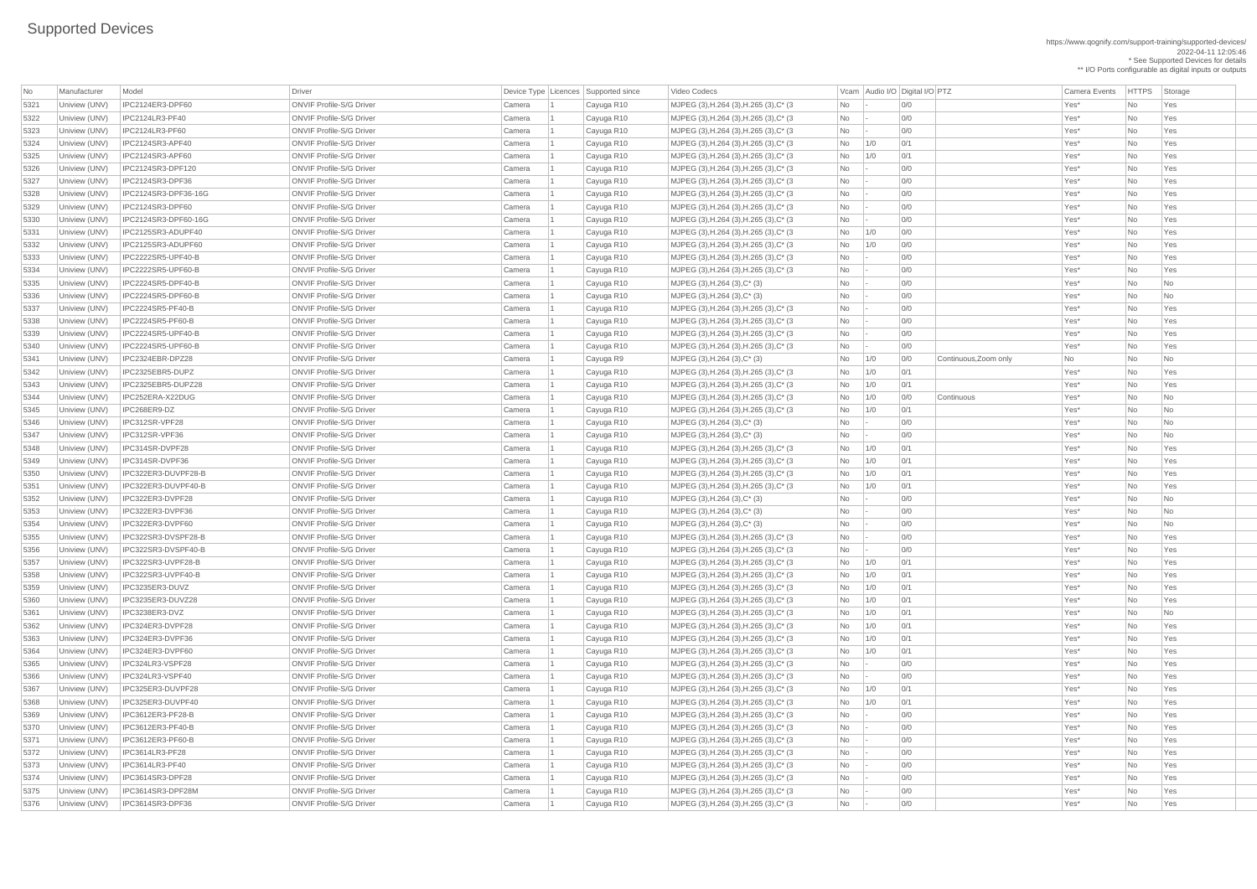\*\* I/O Ports configurable as digital inputs or outputs

| No           | Manufacturer                   | Model                  | Driver                          |        | Device Type   Licences   Supported since | Video Codecs                                |                          |        | Vcam Audio I/O Digital I/O PTZ |                       | Camera Events    | <b>HTTPS</b> | Sto        |
|--------------|--------------------------------|------------------------|---------------------------------|--------|------------------------------------------|---------------------------------------------|--------------------------|--------|--------------------------------|-----------------------|------------------|--------------|------------|
| 5321         | Uniview (UNV)                  | IPC2124ER3-DPF60       | <b>ONVIF Profile-S/G Driver</b> | Camera | Cayuga R10                               | MJPEG (3), H.264 (3), H.265 (3), C* (3)     | <b>No</b>                |        | 0/0                            |                       | Yes*             | No           | Yes        |
| 5322         | Uniview (UNV)                  | <b>IPC2124LR3-PF40</b> | <b>ONVIF Profile-S/G Driver</b> | Camera | Cayuga R10                               | MJPEG (3), H.264 (3), H.265 (3), C* (3)     | No                       |        | 0/0                            |                       | Yes*             | No           | Yes        |
| 5323         | Uniview (UNV)                  | <b>IPC2124LR3-PF60</b> | <b>ONVIF Profile-S/G Driver</b> | Camera | Cayuga R10                               | MJPEG (3), H.264 (3), H.265 (3), C* (3)     | No                       |        | 0/0                            |                       | Yes*             | No           | Yes        |
| 5324         | Uniview (UNV)                  | IPC2124SR3-APF40       | <b>ONVIF Profile-S/G Driver</b> | Camera | Cayuga R10                               | $ $ MJPEG (3), H.264 (3), H.265 (3), C* (3) | No                       | 1/0    | 0/1                            |                       | Yes*             | No           | Yes        |
| 5325         | Uniview (UNV)                  | IPC2124SR3-APF60       | <b>ONVIF Profile-S/G Driver</b> | Camera | Cayuga R10                               | MJPEG (3), H.264 (3), H.265 (3), C* (3)     | No                       | 1/0    | 0/1                            |                       | Yes*             | No           | Yes        |
| 5326         | Uniview (UNV)                  | IPC2124SR3-DPF120      | <b>ONVIF Profile-S/G Driver</b> | Camera | Cayuga R10                               | MJPEG (3), H.264 (3), H.265 (3), C* (3)     | No                       |        | 0/0                            |                       | Yes*             | No           | Yes        |
| 5327         | Uniview (UNV)                  | IPC2124SR3-DPF36       | <b>ONVIF Profile-S/G Driver</b> | Camera | Cayuga R10                               | $ $ MJPEG (3), H.264 (3), H.265 (3), C* (3) | No                       |        | 0/0                            |                       | Yes*             | No           | Yes        |
| 5328         | Uniview (UNV)                  | IPC2124SR3-DPF36-16G   | <b>ONVIF Profile-S/G Driver</b> | Camera | Cayuga R10                               |                                             | No                       |        | 0/0                            |                       | Yes*             | No           | Yes        |
|              |                                | IPC2124SR3-DPF60       | <b>ONVIF Profile-S/G Driver</b> |        |                                          | MJPEG (3),H.264 (3),H.265 (3),C* (3)        |                          |        | 0/0                            |                       | Yes*             |              |            |
| 5329<br>5330 | Uniview (UNV)<br>Uniview (UNV) | IPC2124SR3-DPF60-16G   | <b>ONVIF Profile-S/G Driver</b> | Camera | Cayuga R10                               | MJPEG (3), H.264 (3), H.265 (3), C* (3)     | No                       |        | 0/0                            |                       | Yes*             | No           | Yes        |
|              |                                | IPC2125SR3-ADUPF40     | <b>ONVIF Profile-S/G Driver</b> | Camera | Cayuga R10                               | MJPEG (3), H.264 (3), H.265 (3), C* (3)     | No                       |        | 0/0                            |                       |                  | No           | <b>Yes</b> |
| 5331         | Uniview (UNV)                  |                        |                                 | Camera | Cayuga R10                               | MJPEG (3), H.264 (3), H.265 (3), C* (3)     | No                       | 1/0    | 0/0                            |                       | Yes*             | No           | Yes        |
| 5332         | Uniview (UNV)                  | IPC2125SR3-ADUPF60     | <b>ONVIF Profile-S/G Driver</b> | Camera | Cayuga R10                               | MJPEG (3), H.264 (3), H.265 (3), C* (3)     | No                       | 1/0    | 0/0                            |                       | Yes*             | <b>No</b>    | Yes        |
| 5333         | Uniview (UNV)                  | IPC2222SR5-UPF40-B     | <b>ONVIF Profile-S/G Driver</b> | Camera | Cayuga R10                               | MJPEG (3), H.264 (3), H.265 (3), C* (3)     | No                       |        |                                |                       | Yes*             | No           | Yes        |
| 5334         | Uniview (UNV)                  | IPC2222SR5-UPF60-B     | <b>ONVIF Profile-S/G Driver</b> | Camera | Cayuga R10                               | MJPEG (3), H.264 (3), H.265 (3), C* (3)     | No                       |        | 0/0                            |                       | Yes*             | No           | Yes        |
| 5335         | Uniview (UNV)                  | IPC2224SR5-DPF40-B     | <b>ONVIF Profile-S/G Driver</b> | Camera | Cayuga R10                               | $MJPEG (3), H.264 (3), C^* (3)$             | No                       |        | 0/0                            |                       | Yes*             | No           | No         |
| 5336         | Uniview (UNV)                  | IPC2224SR5-DPF60-B     | <b>ONVIF Profile-S/G Driver</b> | Camera | Cayuga R10                               | $MJPEG (3), H.264 (3), C^{*} (3)$           | No                       |        | 0/0                            |                       | Yes*             | No           | No         |
| 5337         | Uniview (UNV)                  | IPC2224SR5-PF40-B      | <b>ONVIF Profile-S/G Driver</b> | Camera | Cayuga R10                               | MJPEG (3), H.264 (3), H.265 (3), C* (3)     | No                       |        | 0/0                            |                       | Yes*             | No           | Yes        |
| 5338         | Uniview (UNV)                  | IPC2224SR5-PF60-B      | <b>ONVIF Profile-S/G Driver</b> | Camera | Cayuga R10                               | MJPEG (3), H.264 (3), H.265 (3), C* (3)     | No                       |        | 0/0                            |                       | Yes*             | No           | Yes        |
| 5339         | Uniview (UNV)                  | IPC2224SR5-UPF40-B     | <b>ONVIF Profile-S/G Driver</b> | Camera | Cayuga R10                               | MJPEG (3), H.264 (3), H.265 (3), C* (3)     | No                       |        | 0/0                            |                       | Yes*             | No           | Yes        |
| 5340         | Uniview (UNV)                  | IPC2224SR5-UPF60-B     | <b>ONVIF Profile-S/G Driver</b> | Camera | Cayuga R10                               | MJPEG (3), H.264 (3), H.265 (3), C* (3)     | No                       |        | 0/0                            |                       | Yes*             | No           | Yes        |
| 5341         | Uniview (UNV)                  | IPC2324EBR-DPZ28       | <b>ONVIF Profile-S/G Driver</b> | Camera | Cayuga R9                                | $MJPEG (3), H.264 (3), C^* (3)$             | No                       | 1/0    | 0/0                            | Continuous, Zoom only | No               | No           | No         |
| 5342         | Uniview (UNV)                  | IPC2325EBR5-DUPZ       | <b>ONVIF Profile-S/G Driver</b> | Camera | Cayuga R10                               | MJPEG (3), H.264 (3), H.265 (3), C* (3)     | No                       | 1/0    | 0/1                            |                       | Yes*             | No           | Yes        |
| 5343         | Uniview (UNV)                  | IPC2325EBR5-DUPZ28     | <b>ONVIF Profile-S/G Driver</b> | Camera | Cayuga R10                               | MJPEG (3), H.264 (3), H.265 (3), C* (3)     | No                       | 1/0    | 0/1                            |                       | Yes*             | No           | Yes        |
| 5344         | Uniview (UNV)                  | IPC252ERA-X22DUG       | <b>ONVIF Profile-S/G Driver</b> | Camera | Cayuga R10                               | MJPEG (3), H.264 (3), H.265 (3), C* (3)     | No                       | 1/0    | 0/0                            | Continuous            | Yes*             | No           | No         |
| 5345         | Uniview (UNV)                  | IPC268ER9-DZ           | <b>ONVIF Profile-S/G Driver</b> | Camera | Cayuga R10                               | MJPEG (3), H.264 (3), H.265 (3), C* (3)     | No                       | 1/0    | 0/1                            |                       | Yes*             | No           | No         |
|              | Uniview (UNV)                  | IPC312SR-VPF28         | <b>ONVIF Profile-S/G Driver</b> | Camera | Cayuga R10                               | MJPEG (3), H.264 (3), C* (3)                | No                       |        | 0/0                            |                       | Yes*             | No.          | No         |
| 5347         | Uniview (UNV)                  | IPC312SR-VPF36         | <b>ONVIF Profile-S/G Driver</b> | Camera | Cayuga R10                               | MJPEG (3), H.264 (3), C* (3)                | No                       |        | 0/0                            |                       | Yes*             | No           | No         |
| 5348         | Uniview (UNV)                  | IPC314SR-DVPF28        | <b>ONVIF Profile-S/G Driver</b> | Camera | Cayuga R10                               | MJPEG (3), H.264 (3), H.265 (3), C* (3)     | No                       | 1/0    | 0/1                            |                       | Yes*             | No           | <b>Yes</b> |
| 5349         | Uniview (UNV)                  | IPC314SR-DVPF36        | <b>ONVIF Profile-S/G Driver</b> | Camera | Cayuga R10                               | MJPEG (3),H.264 (3),H.265 (3),C* (3)        | No                       | 1/0    | 0/1                            |                       | Yes*             | No           | Yes        |
| 5350         | Uniview (UNV)                  | IPC322ER3-DUVPF28-B    | <b>ONVIF Profile-S/G Driver</b> | Camera | Cayuga R10                               | MJPEG (3), H.264 (3), H.265 (3), C* (3)     | No                       | 1/0    | 0/1                            |                       | Yes*             | <b>No</b>    | Yes        |
| 5351         | Uniview (UNV)                  | IPC322ER3-DUVPF40-B    | <b>ONVIF Profile-S/G Driver</b> | Camera | Cayuga R10                               | MJPEG (3), H.264 (3), H.265 (3), C* (3)     | No                       | 1/0    | 0/1                            |                       | Yes*             | No           | Yes        |
| 5352         | Uniview (UNV)                  | IPC322ER3-DVPF28       | <b>ONVIF Profile-S/G Driver</b> | Camera | Cayuga R10                               | MJPEG (3), H.264 (3), C* (3)                | No                       |        | 0/0                            |                       | Yes*             | No           | No.        |
| 5353         | Uniview (UNV)                  | IPC322ER3-DVPF36       | <b>ONVIF Profile-S/G Driver</b> | Camera | Cayuga R10                               | MJPEG (3), H.264 (3), C* (3)                | No                       |        | 0/0                            |                       | Yes*             | No           | No         |
| 5354         | Uniview (UNV)                  | IPC322ER3-DVPF60       | <b>ONVIF Profile-S/G Driver</b> | Camera | Cayuga R10                               | $MJPEG (3), H.264 (3), C^*(3)$              | No                       |        | 0/0                            |                       | Yes*             | No.          | No.        |
| 5355         | Uniview (UNV)                  | IPC322SR3-DVSPF28-B    | <b>ONVIF Profile-S/G Driver</b> | Camera | Cayuga R10                               | MJPEG (3), H.264 (3), H.265 (3), C* (3)     | No                       |        | 0/0                            |                       | Yes*             | <b>No</b>    | Yes        |
| 5356         | Uniview (UNV)                  | IPC322SR3-DVSPF40-B    | <b>ONVIF Profile-S/G Driver</b> | Camera | Cayuga R10                               | MJPEG (3), H.264 (3), H.265 (3), C* (3)     | No                       |        | 0/0                            |                       | Yes*             | No           | Yes        |
| 5357         | Uniview (UNV)                  | IPC322SR3-UVPF28-B     | <b>ONVIF Profile-S/G Driver</b> | Camera | Cayuga R10                               | MJPEG (3), H.264 (3), H.265 (3), C* (3)     | No                       | 1/0    | 0/1                            |                       | Yes*             | No           | Yes        |
| 5358         | Uniview (UNV)                  | IPC322SR3-UVPF40-B     | <b>ONVIF Profile-S/G Driver</b> | Camera | Cayuga R10                               | MJPEG (3), H.264 (3), H.265 (3), C* (3)     | No                       | 1/0    | 0/1                            |                       | Yes*             | No           | Yes        |
| 5359         | Uniview (UNV)                  | IPC3235ER3-DUVZ        | <b>ONVIF Profile-S/G Driver</b> | Camera | Cayuga R10                               | MJPEG (3), H.264 (3), H.265 (3), C* (3)     | No                       | 1/0    | 0/1                            |                       | Yes*             | No           | Yes        |
| 5360         | Uniview (UNV)                  | IPC3235ER3-DUVZ28      | <b>ONVIF Profile-S/G Driver</b> | Camera | Cayuga R10                               | MJPEG (3), H.264 (3), H.265 (3), C* (3)     | No                       | 1/0    | 0/1                            |                       | Yes*             | No           | Yes        |
| 5361         | Uniview (UNV)                  | IPC3238ER3-DVZ         | <b>ONVIF Profile-S/G Driver</b> | Camera | Cayuga R10                               | MJPEG (3), H.264 (3), H.265 (3), C* (3)     | No                       | 1/0    | 0/1                            |                       | Yes*             | No           | No.        |
| 5362         | Uniview (UNV)                  | IPC324ER3-DVPF28       | <b>ONVIF Profile-S/G Driver</b> | Camera | Cayuga R10                               | MJPEG (3), H.264 (3), H.265 (3), C* (3)     | No                       | 1/0    | 0/1                            |                       | Yes*             | <b>No</b>    | Yes        |
| 5363         | Uniview (UNV)                  | IPC324ER3-DVPF36       | <b>ONVIF Profile-S/G Driver</b> | Camera | Cayuga R10                               | MJPEG (3), H.264 (3), H.265 (3), C* (3)     | No                       | 1/0    | 0/1                            |                       | Yes*             | No           | Yes        |
| 5364         | Uniview (UNV)                  | IPC324ER3-DVPF60       | <b>ONVIF Profile-S/G Driver</b> | Camera | Cayuga R10                               | MJPEG (3), H.264 (3), H.265 (3), C* (3)     | No                       | 1/0    | 0/1                            |                       | Yes*             | No           | Yes        |
| 5365         | Uniview (UNV)                  | IPC324LR3-VSPF28       | <b>ONVIF Profile-S/G Driver</b> | Camera | Cayuga R10                               | MJPEG (3), H.264 (3), H.265 (3), C* (3)     | No                       |        | 0/0                            |                       | Yes*             | No           | Yes        |
| 5366         | Uniview (UNV)                  | IPC324LR3-VSPF40       | <b>ONVIF Profile-S/G Driver</b> | Camera | Cayuga R10                               | MJPEG (3), H.264 (3), H.265 (3), C* (3)     | No                       |        | 0/0                            |                       | Yes*             | No           | Yes        |
| 5367         | Uniview (UNV)                  | IPC325ER3-DUVPF28      | <b>ONVIF Profile-S/G Driver</b> | Camera | Cayuga R10                               | MJPEG (3), H.264 (3), H.265 (3), C* (3)     | No                       | 1/0    | 0/1                            |                       | Yes*             | No           | Yes        |
| 5368         | Uniview (UNV)                  | IPC325ER3-DUVPF40      | <b>ONVIF Profile-S/G Driver</b> | Camera | Cayuga R10                               | MJPEG (3),H.264 (3),H.265 (3),C* (3)        | No                       | 1/0    | 0/1                            |                       | Yes*             | No           | Yes        |
| 5369         | Uniview (UNV)                  | IPC3612ER3-PF28-B      | <b>ONVIF Profile-S/G Driver</b> | Camera | Cayuga R10                               | MJPEG (3), H.264 (3), H.265 (3), C* (3)     | No                       |        | 0/0                            |                       | Yes*             | No           | Yes        |
| 5370         | Uniview (UNV)                  | IPC3612ER3-PF40-B      | <b>ONVIF Profile-S/G Driver</b> | Camera | Cayuga R10                               | MJPEG (3),H.264 (3),H.265 (3),C* (3)        | No                       |        | 0/0                            |                       | Yes*             | No           | Yes        |
| 5371         | Uniview (UNV)                  | IPC3612ER3-PF60-B      | <b>ONVIF Profile-S/G Driver</b> | Camera | Cayuga R10                               | MJPEG (3), H.264 (3), H.265 (3), C* (3)     | No                       |        | 0/0                            |                       | Yes*             | <b>No</b>    | Yes        |
| 5372         | Uniview (UNV)                  | IPC3614LR3-PF28        | <b>ONVIF Profile-S/G Driver</b> | Camera | Cayuga R10                               | MJPEG (3), H.264 (3), H.265 (3), C* (3)     | No l                     |        | 0/0                            |                       | Yes*             | No.          | Yes        |
| 5373         | Uniview (UNV)                  | <b>IPC3614LR3-PF40</b> | <b>ONVIF Profile-S/G Driver</b> | Camera | Cayuga R10                               | MJPEG (3), H.264 (3), H.265 (3), C* (3)     | No                       | $\sim$ | 0/0                            |                       | Yes*             | No           | Yes        |
| 5374         | Uniview (UNV)                  | IPC3614SR3-DPF28       | <b>ONVIF Profile-S/G Driver</b> | Camera | Cayuga R10                               | MJPEG (3), H.264 (3), H.265 (3), C* (3)     | No                       |        | 0/0                            |                       | Yes <sup>*</sup> | No           | Yes        |
| 5375         | Uniview (UNV)                  | IPC3614SR3-DPF28M      | <b>ONVIF Profile-S/G Driver</b> | Camera | Cayuga R10                               | MJPEG (3), H.264 (3), H.265 (3), C* (3)     | No                       |        | 0/0                            |                       | Yes*             | No           | Yes        |
| 5376         | Uniview (UNV)                  | IPC3614SR3-DPF36       | <b>ONVIF Profile-S/G Driver</b> | Camera | Cayuga R10                               | MJPEG (3), H.264 (3), H.265 (3), C* (3)     | $\overline{\mathsf{No}}$ |        | 0/0                            |                       | Yes*             | No           | Yes        |
|              |                                |                        |                                 |        |                                          |                                             |                          |        |                                |                       |                  |              |            |

Video Codecs **No Manufacturer Model Driver Audio I/O Digital I/O PTZ** Camera Events HTTPS Storage | MJPEG (3),H.264 (3),H.265 (3),C\* (3  $\qquad$  No  $\qquad$  - 0/0  $\qquad$  01  $\qquad$  90  $\qquad$  Yes\* No Yes | MJPEG (3),H.264 (3),H.265 (3),C\* (3  $\qquad$  No  $\qquad$  -  $\qquad$  0/0  $\qquad$  01 Yes\* No Yes\* No Yes | MJPEG (3),H.264 (3),H.265 (3),C\* (3  $\qquad \qquad$  No  $\qquad$  -  $\qquad \qquad$  0/0 Yes\* No Yes\* No Yes | MJPEG (3),H.264 (3),H.265 (3),C\* (3  $\vert$  No  $\vert$  1/0  $\vert$  0/1  $\vert$  0/1  $\vert$   $\vert$  Yes\* No  $\vert$  Yes | MJPEG (3),H.264 (3),H.265 (3),C\* (3  $\qquad$  No 1/0 0/1 00 000 No 2 Yes\* No Yes | MJPEG (3),H.264 (3),H.265 (3),C\* (3  $\qquad$  No  $\qquad$  - 0/0  $\qquad$  01  $\qquad$  90  $\qquad$  Yes\* No Yes | MJPEG (3),H.264 (3),H.265 (3),C\* (3  $\qquad \qquad$  No  $\qquad$  -  $\qquad \qquad$  0/0 Yes\* No Yes\* No Yes | MJPEG (3),H.264 (3),H.265 (3),C\* (3  $\qquad$  No  $\qquad$  -  $\qquad$  0/0  $\qquad$  01 Yes\* No Yes\* | MJPEG (3),H.264 (3),H.265 (3),C\* (3  $\qquad$  No  $\qquad$  - 0/0  $\qquad$  01  $\qquad$  90  $\qquad$  Yes\* No Yes | MJPEG (3),H.264 (3),H.265 (3),C\* (3  $\qquad$  No 1/0 0/0  $\qquad$  0/0  $\qquad$  Yes\* No Yes | MJPEG (3),H.264 (3),H.265 (3),C\* (3  $\qquad$  No  $\qquad$  1/0  $\qquad$  0/0  $\qquad$  1  $\qquad$  20 Yes\* No Yes | MJPEG (3),H.264 (3),H.265 (3),C\* (3  $\qquad$  No  $\qquad$  -  $\qquad$  0/0  $\qquad$  01 Yes\* No Yes\* | MJPEG (3),H.264 (3),H.265 (3),C\* (3  $\qquad$  No  $\qquad$  -  $\qquad$  0/0  $\qquad$  01 Yes\* No Yes | MJPEG (3),H.264 (3),H.265 (3),C\* (3  $\qquad$  No  $\qquad$  - 0/0  $\qquad$  01  $\qquad$  Yes\* No Yes | MJPEG (3),H.264 (3),H.265 (3),C\* (3  $\qquad$  No  $\qquad$  - 0/0  $\qquad$  01  $\qquad$  9 Yes\* No Yes | MJPEG (3),H.264 (3),H.265 (3),C\* (3  $\qquad \qquad$  No  $\qquad$  -  $\qquad \qquad$  0/0 Yes\* No Yes\* No Yes | MJPEG (3),H.264 (3),H.265 (3),C\* (3  $\qquad$  No  $\qquad$  - 0/0  $\qquad$  00 Yes\* No Yes\* No Yes | MJPEG (3),H.264 (3),H.265 (3),C\* (3  $\qquad$  No  $\qquad$  1/0  $\qquad$  0/1  $\qquad$  Yes\* No Yes | MJPEG (3),H.264 (3),H.265 (3),C\* (3  $\qquad$  No  $\qquad$  1/0  $\qquad$  0/1  $\qquad$  Yes\* No Yes | MJPEG (3), H.264 (3), H.265 (3), C\* (3  $\hbox{No}$  | 1/0 | 0/0 Continuous | Yes\* No No | No | MJPEG (3),H.264 (3),H.265 (3),C\* (3  $\qquad \qquad$  No  $\qquad$  1/0 0/1  $\qquad$  0/1  $\qquad \qquad$  Yes\* No No  $\qquad$  No No  $\qquad$ | MJPEG (3),H.264 (3),H.265 (3),C\* (3  $\qquad$  No 1/0 0/1 | Cayuga R10 Yes\* No Yes 5349 Uniview (UNV) IPC314SR-DVPF36 ONVIF Profile-S/G Driver Camera 1 Cayuga R10 MJPEG (3),H.264 (3),H.265 (3),C\* (3 No 1/0 0/1 Yes\* No Yes | MJPEG (3),H.264 (3),H.265 (3),C\* (3  $\qquad$  No  $\qquad$  1/0  $\qquad$  0/1  $\qquad$  1  $\qquad$  Yes\* No Yes | MJPEG (3),H.264 (3),H.265 (3),C\* (3  $\qquad$  No 1/0 0/1 00 01 No Yes\* No Yes | MJPEG (3),H.264 (3),H.265 (3),C\* (3  $\qquad$  No  $\qquad$  -  $\qquad$  0/0  $\qquad$  01  $\qquad$  Yes\* No Yes | MJPEG (3),H.264 (3),H.265 (3),C\* (3  $\qquad$  No  $\qquad$  -  $\qquad$  0/0  $\qquad$  01 Yes\* No Yes\* No Yes | MJPEG (3),H.264 (3),H.265 (3),C\* (3  $\qquad$  No 1/0 0/1 | Cayuga R10 Yes\* No Yes | MJPEG (3),H.264 (3),H.265 (3),C\* (3  $\qquad$  No 1/0 0/1 0 01 Xes\* No Yes\* No Yes | MJPEG (3),H.264 (3),H.265 (3),C\* (3  $\qquad$  No 1/0 0/1 0 01 Xes\* No Yes\* No Yes | MJPEG (3),H.264 (3),H.265 (3),C\* (3  $\qquad$  No 1/0 0/1 00 01 Xes\* No Yes | MJPEG (3),H.264 (3),H.265 (3),C\* (3  $\qquad \qquad$  No  $\qquad$  1/0 0/1  $\qquad$  0/1  $\qquad \qquad$  Yes\* No No  $\qquad$  No No  $\qquad$ | MJPEG (3),H.264 (3),H.265 (3),C\* (3  $\qquad$  No 1/0 0/1 | Yes\* Yes\* No Yes 5363 Uniview (UNV) IPC324ER3-DVPF36 ONVIF Profile-S/G Driver Camera 1 Cayuga R10 MJPEG (3),H.264 (3),H.265 (3),C\* (3 No 1/0 0/1 Yes\* No Yes | MJPEG (3),H.264 (3),H.265 (3),C\* (3  $\qquad$  No 1/0 0/1 00 000 No Yes\* No Yes | MJPEG (3),H.264 (3),H.265 (3),C\* (3  $\qquad$  No  $\qquad$  - 0/0  $\qquad$  01  $\qquad$  Yes\* No Yes | MJPEG (3),H.264 (3),H.265 (3),C\* (3  $\qquad \qquad$  No  $\qquad$  -  $\qquad \qquad$  0/0 Yes\* No Yes\* No Yes 5367 Uniview (UNV) IPC325ER3-DUVPF28 ONVIF Profile-S/G Driver Camera 1 Cayuga R10 MJPEG (3),H.264 (3),H.265 (3),C\* (3 No 1/0 0/1 Yes\* No Yes | MJPEG (3),H.264 (3),H.265 (3),C\* (3  $\qquad \qquad$  No  $\qquad$  1/0  $\qquad$  0/1  $\qquad$   $\qquad$  1  $\qquad$  Yes\* No Yes | MJPEG (3),H.264 (3),H.265 (3),C\* (3  $\qquad \qquad$  No  $\qquad$  -  $\qquad \qquad$  0/0 Yes\* No Yes\* No Yes | MJPEG (3),H.264 (3),H.265 (3),C\* (3  $\qquad \qquad$  No  $\qquad$  - 0/0  $\qquad \qquad$  01 Yes\* No Yes | MJPEG (3),H.264 (3),H.265 (3),C\* (3  $\qquad \qquad$  No  $\qquad$  - 0/0  $\qquad \qquad$  01 Yes\* No Yes | MJPEG (3),H.264 (3),H.265 (3),C\* (3  $\qquad \qquad$  No  $\qquad$  -  $\qquad \qquad$  0/0 Yes\* No Yes\* No Yes | MJPEG (3),H.264 (3),H.265 (3),C\* (3  $\qquad \qquad$  No  $\qquad$  -  $\qquad \qquad$  0/0 Yes\* No Yes\* No Yes MJPEG (3),H.264 (3),H.265 (3),C\* (3 No  $\vert$ - 0/0 No  $\vert$  Pres\* No Yes<sup>\*</sup> | MJPEG (3),H.264 (3),H.265 (3),C\* (3  $\qquad$  No  $\qquad$  - 0/0  $\qquad$  01  $\qquad$  90  $\qquad$  Yes\* No Yes | MJPEG (3), H.264 (3), H.265 (3), C\* (3 No  $\vert$ - 0/0 | One 0.0 Yes\* No Yes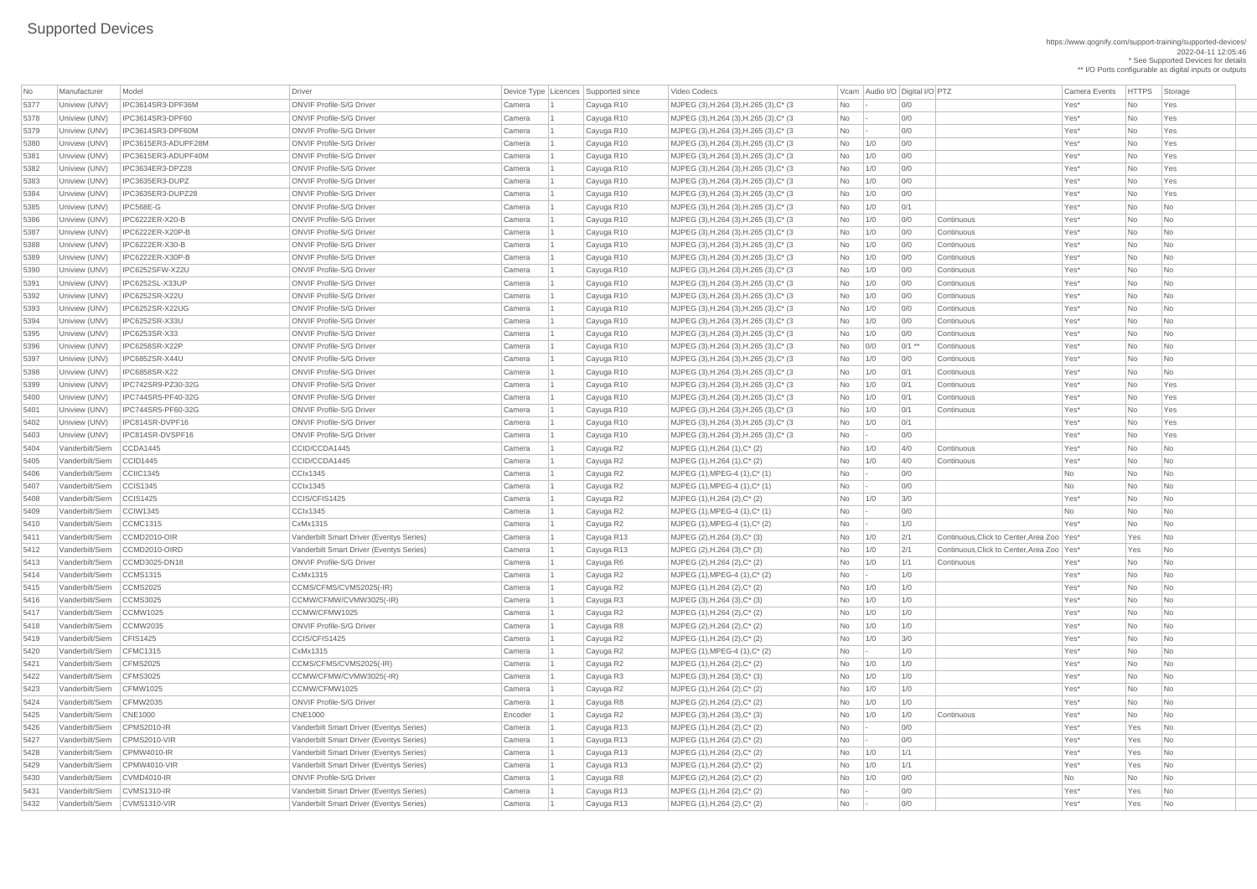https://www.qognify.com/support-training/supported-devices/ 2022-04-11 12:05:46 \* See Supported Devices for details \*\* I/O Ports configurable as digital inputs or outputs

| Video Codecs | No Manufacturer | No Manufacturer Model Driver Device Type Licence Camera Events | HTTPS | Storage | MJPEG (3),H.264 (3),H.265 (3),C\* (3  $\qquad$  No  $\qquad$  - 0/0  $\qquad$  01  $\qquad$  90  $\qquad$  Yes\* No Yes | MJPEG (3),H.264 (3),H.265 (3),C\* (3  $\qquad$  No  $\qquad$  -  $\qquad$  0/0  $\qquad$  01 Yes\* No Yes\* No Yes | MJPEG (3),H.264 (3),H.265 (3),C\* (3  $\qquad \qquad$  No  $\qquad$  -  $\qquad \qquad$  0/0 Yes\* No Yes\* No Yes | MJPEG (3),H.264 (3),H.265 (3),C\* (3  $\qquad$  No 1/0 0/0 00  $\qquad$  No Yes\* No Yes | MJPEG (3),H.264 (3),H.265 (3),C\* (3  $\qquad$  No 1/0 0/0 00  $\qquad$  Yes\* No Yes | MJPEG (3),H.264 (3),H.265 (3),C\* (3  $\qquad$  No 1/0 0/0  $\qquad$  0/0  $\qquad$  Yes\* No Yes | MJPEG (3),H.264 (3),H.265 (3),C\* (3  $\qquad$  No 1/0 0/0  $\qquad$  0/0  $\qquad$  Yes\* No Yes | MJPEG (3),H.264 (3),H.265 (3),C\* (3  $\qquad \qquad$  No  $\qquad$  1/0 0/1  $\qquad$  0/1  $\qquad$  Yes\* No No No | MJPEG (3),H.264 (3),H.265 (3),C\* (3  $\qquad$  No 1/0 0/0 Continuous Yes\* No No No | MJPEG (3),H.264 (3),H.265 (3),C\* (3  $\qquad$  | No | 1/0 | 0/0 Continuous | Yes\* | No | No | No | MJPEG (3),H.264 (3),H.265 (3),C\* (3  $\qquad$  | No | 1/0 0/0 Continuous Yes\* | No | No | No | MJPEG (3),H.264 (3),H.265 (3),C\* (3  $\qquad$  No 1/0 0/0 Continuous Yes\* No No No | MJPEG (3),H.264 (3),H.265 (3),C\* (3  $\qquad$  No 1/0 0/0 Continuous Yes\* No No No | MJPEG (3), H.264 (3), H.265 (3), C\* (3  $\hbox{No}$  | 1/0 | 0/0 Continuous | Yes\* No No | No | MJPEG (3),H.264 (3),H.265 (3),C\* (3  $\qquad$  | No | 1/0 | 0/0 Continuous | Yes\* | No | No | No | MJPEG (3),H.264 (3),H.265 (3),C\* (3  $\qquad$  No 1/0 0/0 Continuous Yes\* No No No | MJPEG (3), H.264 (3), H.265 (3), C\* (3  $\hbox{No}$  | 1/0 | 0/0 Continuous | Yes\* No | No | No  $\begin{array}{|c|c|c|c|c|c|c|c|c|}\n\hline\n\text{MJPEG (3),H.264 (3),H.265 (3),C*(3 & & \text{No} & \text{O/O} & \text{O/1 **} & \text{Continuous} & & \text{Yes}^* & & \text{No} & \text{No} & \text{No} & \text{No} & \text{No} & \text{No} & \text{No} & \text{No} & \text{No} & \text{No} & \text{No} & \text{No} & \text{No} & \text{No} & \text{No} & \text{No} & \text{No} & \text{No} & \text{No} & \text{No} & \text{No$ | MJPEG (3),H.264 (3),H.265 (3),C\* (3  $\qquad$  | No | 1/0 0/0 Continuous Yes\* | No | No | No | MJPEG (3),H.264 (3),H.265 (3),C\* (3  $\qquad$  | No | 1/0 | 0/1 Continuous | Yes\* | No | No | No | MJPEG (3), H.264 (3), H.265 (3), C\* (3  $\qquad$  No 1/0 0/1 Continuous Yes\* No Yes | MJPEG (3),H.264 (3),H.265 (3),C\* (3  $\qquad$  No 1/0 0/1 Continuous Yes\* No Yes | MJPEG (3),H.264 (3),H.265 (3),C\* (3  $\qquad$  No 1/0 0/1 Continuous Yes\* No Yes 5402 Uniview (UNV) IPC814SR-DVPF16 ONVIF Profile-S/G Driver Camera 1 Cayuga R10 MJPEG (3),H.264 (3),H.265 (3),C\* (3 No 1/0 0/1 Yes\* No Yes | MJPEG (3),H.264 (3),H.265 (3),C\* (3  $\qquad$  No  $\qquad$  -  $\qquad$  0/0  $\qquad$  01 Yes\* No Yes\* No Yes 5411 Vanderbilt/Siem CCMD2010-OIR Vanderbilt Smart Driver (Eventys Series) Camera 1 Cayuga R13 MJPEG (2),H.264 (3),C\* (3) No 1/0 2/1 Continuous,Click to Center,Area Zoo Yes\* Yes No  $\begin{array}{|c|c|c|c|c|c|}\n\hline\n\text{MJPEG (2),H.264 (3),C* (3)} & \text{No} & \text{No} & \text{1/0} & \text{2/1} & \text{Continuous, Click to Center,Area Zoo } \text{Yes} & \text{Yes} & \text{No} & \text{No} & \text{2/2} & \text{1/1} & \text{1/2/2} & \text{1/2/3} & \text{1/2/3/2} & \text{1/2/3/2} & \text{1/2/3/2} & \text{1/2/3/2} & \text{1/2/3/2} & \text{1/2/3/2} &$ 

| No   | Manufacturer                 | Model                         | Driver                                   | Device Type   Licences | Supported since | Video Codecs                            |    |     | Vcam Audio I/O Digital I/O PTZ |                                              | <b>Camera Events</b> | <b>HTTPS</b> | Sto                         |
|------|------------------------------|-------------------------------|------------------------------------------|------------------------|-----------------|-----------------------------------------|----|-----|--------------------------------|----------------------------------------------|----------------------|--------------|-----------------------------|
|      |                              | IPC3614SR3-DPF36M             |                                          |                        |                 |                                         |    |     |                                |                                              |                      |              |                             |
| 5377 | Uniview (UNV)                |                               | <b>ONVIF Profile-S/G Driver</b>          | Camera                 | Cayuga R10      | MJPEG (3), H.264 (3), H.265 (3), C* (3) | No |     | 0/0<br>0/0                     |                                              | Yes*                 | No           | Yes                         |
| 5378 | Uniview (UNV)                | IPC3614SR3-DPF60              | <b>ONVIF Profile-S/G Driver</b>          | Camera                 | Cayuga R10      | MJPEG (3), H.264 (3), H.265 (3), C* (3) | No |     | 0/0                            |                                              | Yes*                 | No           | Yes                         |
| 5379 | Uniview (UNV)                | IPC3614SR3-DPF60M             | <b>ONVIF Profile-S/G Driver</b>          | Camera                 | Cayuga R10      | MJPEG (3), H.264 (3), H.265 (3), C* (3) | No |     | 0/0                            |                                              | Yes*                 | <b>No</b>    | Yes                         |
| 5380 | Uniview (UNV)                | IPC3615ER3-ADUPF28M           | <b>ONVIF Profile-S/G Driver</b>          | Camera                 | Cayuga R10      | MJPEG (3), H.264 (3), H.265 (3), C* (3) | No | 1/0 | 0/0                            |                                              | Yes*                 | No           | Yes                         |
| 538  | Uniview (UNV)                | IPC3615ER3-ADUPF40M           | <b>ONVIF Profile-S/G Driver</b>          | Camera                 | Cayuga R10      | MJPEG (3), H.264 (3), H.265 (3), C* (3) | No | 1/0 |                                |                                              | Yes*                 | No           | Yes                         |
| 5382 | Uniview (UNV)                | IPC3634ER3-DPZ28              | <b>ONVIF Profile-S/G Driver</b>          | Camera                 | Cayuga R10      | MJPEG (3), H.264 (3), H.265 (3), C* (3) | No | 1/0 | 0/0                            |                                              | Yes*                 | No           | Yes                         |
| 5383 | Uniview (UNV)                | IPC3635ER3-DUPZ               | <b>ONVIF Profile-S/G Driver</b>          | Camera                 | Cayuga R10      | MJPEG (3), H.264 (3), H.265 (3), C* (3) | No | 1/0 | 0/0                            |                                              | Yes*                 | No           | Yes                         |
| 5384 | Uniview (UNV)                | IPC3635ER3-DUPZ28             | <b>ONVIF Profile-S/G Driver</b>          | Camera                 | Cayuga R10      | MJPEG (3),H.264 (3),H.265 (3),C* (3)    | No | 1/0 | 0/0                            |                                              | Yes*                 | No           | Yes                         |
| 5385 | Uniview (UNV)                | IPC568E-G                     | <b>ONVIF Profile-S/G Driver</b>          | Camera                 | Cayuga R10      | MJPEG (3), H.264 (3), H.265 (3), C* (3) | No | 1/0 | 0/1                            |                                              | Yes*                 | No           | No                          |
| 5386 | Uniview (UNV)                | <b>IPC6222ER-X20-B</b>        | <b>ONVIF Profile-S/G Driver</b>          | Camera                 | Cayuga R10      | MJPEG (3), H.264 (3), H.265 (3), C* (3) | No | 1/0 | 0/0                            | Continuous                                   | Yes*                 | No           | No                          |
| 5387 | Uniview (UNV)                | IPC6222ER-X20P-B              | <b>ONVIF Profile-S/G Driver</b>          | Camera                 | Cayuga R10      | MJPEG (3), H.264 (3), H.265 (3), C* (3) | No | 1/0 | 0/0                            | Continuous                                   | Yes*                 | No           | <b>No</b>                   |
| 5388 | Uniview (UNV)                | <b>IPC6222ER-X30-B</b>        | <b>ONVIF Profile-S/G Driver</b>          | Camera                 | Cayuga R10      | MJPEG (3), H.264 (3), H.265 (3), C* (3) | No | 1/0 | 0/0                            | Continuous                                   | Yes*                 | No           | <b>No</b>                   |
| 5389 | Uniview (UNV)                | <b>IPC6222ER-X30P-B</b>       | <b>ONVIF Profile-S/G Driver</b>          | Camera                 | Cayuga R10      | MJPEG (3), H.264 (3), H.265 (3), C* (3) | No | 1/0 | 0/0                            | Continuous                                   | Yes*                 | No           | No                          |
| 5390 | Uniview (UNV)                | IPC6252SFW-X22U               | <b>ONVIF Profile-S/G Driver</b>          | Camera                 | Cayuga R10      | MJPEG (3), H.264 (3), H.265 (3), C* (3) | No | 1/0 | 0/0                            | Continuous                                   | Yes*                 | No           | <b>No</b>                   |
| 539' | Uniview (UNV)                | IPC6252SL-X33UP               | <b>ONVIF Profile-S/G Driver</b>          | Camera                 | Cayuga R10      | MJPEG (3), H.264 (3), H.265 (3), C* (3) | No | 1/0 | 0/0                            | Continuous                                   | Yes*                 | No           | No                          |
| 5392 | Uniview (UNV)                | <b>IPC6252SR-X22U</b>         | <b>ONVIF Profile-S/G Driver</b>          | Camera                 | Cayuga R10      | MJPEG (3), H.264 (3), H.265 (3), C* (3) | No | 1/0 | 0/0                            | Continuous                                   | Yes*                 | No           | No                          |
| 5393 | Uniview (UNV)                | IPC6252SR-X22UG               | <b>ONVIF Profile-S/G Driver</b>          | Camera                 | Cayuga R10      | MJPEG (3), H.264 (3), H.265 (3), C* (3) | No | 1/0 | 0/0                            | Continuous                                   | Yes*                 | No           | <b>No</b>                   |
| 5394 | Uniview (UNV)                | <b>IPC6252SR-X33U</b>         | <b>ONVIF Profile-S/G Driver</b>          | Camera                 | Cayuga R10      | MJPEG (3), H.264 (3), H.265 (3), C* (3) | No | 1/0 | 0/0                            | Continuous                                   | Yes*                 | No           | <b>No</b>                   |
| 5395 | Uniview (UNV)                | <b>IPC6253SR-X33</b>          | <b>ONVIF Profile-S/G Driver</b>          | Camera                 | Cayuga R10      | MJPEG (3), H.264 (3), H.265 (3), C* (3) | No | 1/0 | 0/0                            | Continuous                                   | Yes*                 | No           | No                          |
| 5396 | Uniview (UNV)                | IPC6258SR-X22P                | <b>ONVIF Profile-S/G Driver</b>          | Camera                 | Cayuga R10      | MJPEG (3), H.264 (3), H.265 (3), C* (3) | No | 0/0 | $0/1$ **                       | Continuous                                   | Yes*                 | No           | <b>No</b>                   |
| 5397 | Uniview (UNV)                | IPC6852SR-X44U                | <b>ONVIF Profile-S/G Driver</b>          | Camera                 | Cayuga R10      | MJPEG (3), H.264 (3), H.265 (3), C* (3) | No | 1/0 | 0/0                            | Continuous                                   | Yes*                 | No           | No                          |
| 5398 | Uniview (UNV)                | IPC6858SR-X22                 | <b>ONVIF Profile-S/G Driver</b>          | Camera                 | Cayuga R10      | MJPEG (3), H.264 (3), H.265 (3), C* (3) | No | 1/0 | 0/1                            | Continuous                                   | Yes*                 | No           | No                          |
| 5399 | Uniview (UNV)                | IPC742SR9-PZ30-32G            | <b>ONVIF Profile-S/G Driver</b>          | Camera                 | Cayuga R10      | MJPEG (3), H.264 (3), H.265 (3), C* (3) | No | 1/0 | 0/1                            | Continuous                                   | Yes*                 | No           | Yes                         |
| 5400 | Uniview (UNV)                | <b>IPC744SR5-PF40-32G</b>     | <b>ONVIF Profile-S/G Driver</b>          | Camera                 | Cayuga R10      | MJPEG (3), H.264 (3), H.265 (3), C* (3) | No | 1/0 | 0/1                            | Continuous                                   | Yes*                 | <b>No</b>    | Yes                         |
| 5401 | Uniview (UNV)                | IPC744SR5-PF60-32G            | <b>ONVIF Profile-S/G Driver</b>          | Camera                 | Cayuga R10      | MJPEG (3), H.264 (3), H.265 (3), C* (3) | No | 1/0 | 0/1                            | Continuous                                   | Yes*                 | No           | Yes                         |
| 5402 | Uniview (UNV)                | IPC814SR-DVPF16               | <b>ONVIF Profile-S/G Driver</b>          | Camera                 | Cayuga R10      | MJPEG (3), H.264 (3), H.265 (3), C* (3) | No | 1/0 | 0/1                            |                                              | Yes*                 | No.          | Yes                         |
| 5403 | Uniview (UNV)                | IPC814SR-DVSPF16              | <b>ONVIF Profile-S/G Driver</b>          | Camera                 | Cayuga R10      | MJPEG (3), H.264 (3), H.265 (3), C* (3) | No |     | 0/0                            |                                              | Yes*                 | No           | Yes                         |
| 5404 | Vanderbilt/Siem              | CCDA1445                      | CCID/CCDA1445                            | Camera                 | Cayuga R2       | $MJPEG (1), H.264 (1), C^{*} (2)$       | No | 1/0 | 4/0                            | Continuous                                   | Yes*                 | No           | No                          |
| 5405 | Vanderbilt/Siem              | CCID1445                      | CCID/CCDA1445                            | Camera                 | Cayuga R2       | MJPEG (1),H.264 (1),C* (2)              | No | 1/0 | 4/0                            | Continuous                                   | Yes*                 | No           | <b>No</b>                   |
| 5406 | Vanderbilt/Siem              | CCIIC1345                     | <b>CCIx1345</b>                          | Camera                 | Cayuga R2       | MJPEG (1), MPEG-4 (1), C* (1)           | No |     | 0/0                            |                                              | No                   | <b>No</b>    | No                          |
| 5407 | Vanderbilt/Siem              | CCIS1345                      | <b>CCIx1345</b>                          | Camera                 | Cayuga R2       | MJPEG $(1)$ , MPEG-4 $(1)$ , C* $(1)$   | No |     | 0/0                            |                                              | No                   | No           | No                          |
| 5408 | Vanderbilt/Siem              | CCIS1425                      | CCIS/CFIS1425                            | Camera                 | Cayuga R2       | MJPEG (1), H.264 (2), C* (2)            | No | 1/0 | 3/0                            |                                              | Yes*                 | No           | No                          |
| 5409 | Vanderbilt/Siem              | CCIW1345                      | CCIx1345                                 | Camera                 | Cayuga R2       | $MJPEG (1), MPEG-4 (1), C^* (1)$        | No |     | 0/0                            |                                              | No                   | No           | No                          |
| 5410 | Vanderbilt/Siem              | CCMC1315                      | CxMx1315                                 | Camera                 | Cayuga R2       | $MJPEG (1), MPEG-4 (1), C^* (2)$        | No |     | 1/0                            |                                              | Yes*                 | No           | No                          |
| 5411 | Vanderbilt/Siem              | CCMD2010-OIR                  | Vanderbilt Smart Driver (Eventys Series) | Camera                 | Cayuga R13      | $MJPEG (2), H.264 (3), C^* (3)$         | No | 1/0 | 2/1                            | Continuous, Click to Center, Area Zoo   Yes* |                      | Yes          | No                          |
| 5412 | Vanderbilt/Siem              | CCMD2010-OIRD                 | Vanderbilt Smart Driver (Eventys Series) | Camera                 | Cayuga R13      | MJPEG (2), H.264 (3), C* (3)            | No | 1/0 | 2/1                            | Continuous, Click to Center, Area Zoo   Yes* |                      | Yes          | No                          |
| 5413 | Vanderbilt/Siem              | CCMD3025-DN18                 | <b>ONVIF Profile-S/G Driver</b>          | Camera                 | Cayuga R6       | MJPEG (2), H.264 (2), C* (2)            | No | 1/0 | 1/1                            | Continuous                                   | Yes*                 | No           | No                          |
| 5414 | Vanderbilt/Siem              | <b>CCMS1315</b>               | CxMx1315                                 | Camera                 | Cayuga R2       | MJPEG (1), MPEG-4 (1), C* (2)           | No |     | 1/0                            |                                              | Yes*                 | No           | No                          |
| 5415 | Vanderbilt/Siem              | CCMS2025                      | CCMS/CFMS/CVMS2025(-IR)                  | Camera                 | Cayuga R2       | MJPEG (1), H.264 (2), C* (2)            | No | 1/0 | 1/0                            |                                              | Yes*                 | No           | <b>No</b>                   |
| 5416 | Vanderbilt/Siem              | CCMS3025                      | CCMW/CFMW/CVMW3025(-IR)                  | Camera                 | Cayuga R3       | $MJPEG (3), H.264 (3), C*(3)$           | No | 1/0 | 1/0                            |                                              | Yes*                 | No           | No                          |
| 5417 | Vanderbilt/Siem              | CCMW1025                      | CCMW/CFMW1025                            | Camera                 | Cayuga R2       | MJPEG (1), H.264 (2), C* (2)            | No | 1/0 | 1/0                            |                                              | Yes*                 | No           | <b>No</b>                   |
| 5418 | Vanderbilt/Siem              | CCMW2035                      | <b>ONVIF Profile-S/G Driver</b>          | Camera                 | Cayuga R8       | MJPEG (2), H.264 (2), C* (2)            | No | 1/0 | 1/0                            |                                              | Yes*                 | No           | No                          |
| 5419 | Vanderbilt/Siem              | CFIS1425                      | CCIS/CFIS1425                            | Camera                 | Cayuga R2       | MJPEG (1), H.264 (2), C* (2)            | No | 1/0 | 3/0                            |                                              | Yes*                 | No           | No                          |
| 5420 | Vanderbilt/Siem              | CFMC1315                      | CxMx1315                                 | Camera                 | Cayuga R2       | MJPEG (1), MPEG-4 (1), C* (2)           | No |     | 1/0                            |                                              | Yes*                 | No           | No                          |
| 5421 | Vanderbilt/Siem              | <b>CFMS2025</b>               | CCMS/CFMS/CVMS2025(-IR)                  | Camera                 | Cayuga R2       | MJPEG (1), H.264 (2), C* (2)            | No | 1/0 | 1/0                            |                                              | Yes*                 | No           | No                          |
| 5422 | Vanderbilt/Siem              | CFMS3025                      | CCMW/CFMW/CVMW3025(-IR)                  | Camera                 | Cayuga R3       | $MJPEG (3), H.264 (3), C*(3)$           | No | 1/0 | 1/0                            |                                              | Yes*                 | No           | No                          |
| 5423 | Vanderbilt/Siem              | CFMW1025                      | CCMW/CFMW1025                            | Camera                 | Cayuga R2       | MJPEG (1), H.264 (2), C* (2)            | No | 1/0 | 1/0                            |                                              | Yes*                 | No           | No                          |
| 5424 | Vanderbilt/Siem              | CFMW2035                      | <b>ONVIF Profile-S/G Driver</b>          | Camera                 | Cayuga R8       | MJPEG (2), H.264 (2), C* (2)            | No | 1/0 | 1/0                            |                                              | Yes*                 | No           | <b>No</b>                   |
| 5425 | Vanderbilt/Siem              | <b>CNE1000</b>                | <b>CNE1000</b>                           | Encoder                | Cayuga R2       | MJPEG (3), H.264 (3), C* (3)            | No | 1/0 | 1/0                            | Continuous                                   | Yes*                 | No           | No                          |
| 5426 | Vanderbilt/Siem              | CPMS2010-IR                   | Vanderbilt Smart Driver (Eventys Series) | Camera                 | Cayuga R13      | MJPEG (1), H.264 (2), C* (2)            | No |     | 0/0                            |                                              | Yes*                 | Yes          | No                          |
| 5427 | Vanderbilt/Siem              | CPMS2010-VIR                  | Vanderbilt Smart Driver (Eventys Series) | Camera                 | Cayuga R13      | MJPEG (1), H.264 (2), C* (2)            | No |     | 0/0                            |                                              | Yes*                 | Yes          | No                          |
| 5428 | Vanderbilt/Siem              | $\mathsf{CPMW4010\text{-}IR}$ | Vanderbilt Smart Driver (Eventys Series) | Camera                 | Cayuga R13      | MJPEG (1), H.264 (2), C* (2)            | No | 1/0 | 1/1                            |                                              | Yes*                 | Yes          |                             |
| 5429 | Vanderbilt/Siem CPMW4010-VIR |                               | Vanderbilt Smart Driver (Eventys Series) | Camera                 | Cayuga R13      | $MJPEG (1), H.264 (2), C^*(2)$          | No | 1/0 | 1/1                            |                                              | Yes*                 | Yes          | N <sub>o</sub>              |
| 5430 | Vanderbilt/Siem              | $ $ CVMD4010-IR               | <b>ONVIF Profile-S/G Driver</b>          | Camera                 | Cayuga R8       | MJPEG (2), H.264 (2), C* (2)            | No | 1/0 | 0/0                            |                                              | No                   | No           | N <sub>o</sub>              |
| 5431 | Vanderbilt/Siem              | $ CVMS1310-IR$                | Vanderbilt Smart Driver (Eventys Series) | Camera                 | Cayuga R13      | $MJPEG (1), H.264 (2), C^*(2)$          | No |     | 0/0                            |                                              | Yes*                 | Yes          | N <sub>o</sub>              |
| 5432 | Vanderbilt/Siem CVMS1310-VIR |                               | Vanderbilt Smart Driver (Eventys Series) | Camera                 | Cayuga R13      | MJPEG (1), H.264 (2), C* (2)            | No |     | 0/0                            |                                              | Yes*                 | Yes          | $\overline{\phantom{a}}$ No |
|      |                              |                               |                                          |                        |                 |                                         |    |     |                                |                                              |                      |              |                             |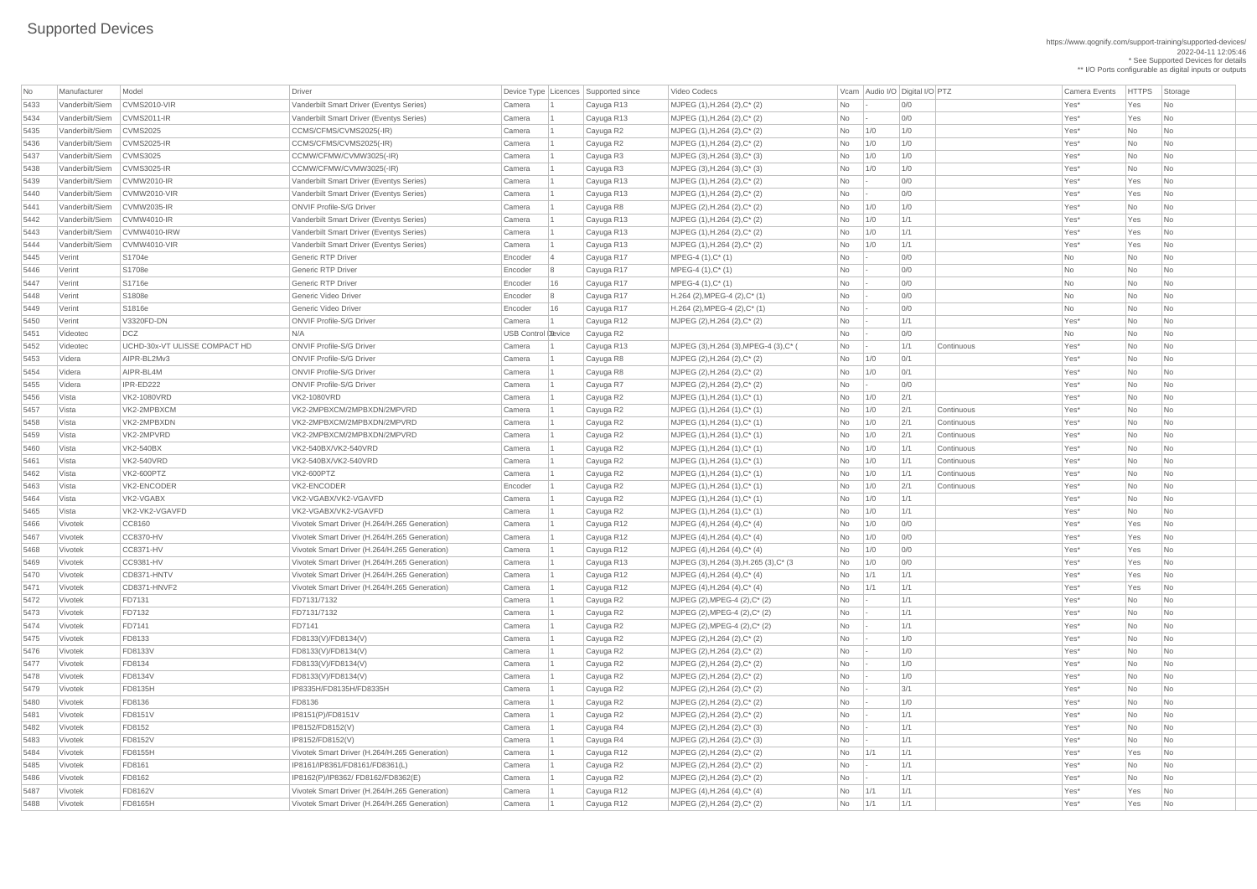https://www.qognify.com/support-training/supported-devices/ 2022-04-11 12:05:46 \* See Supported Devices for details

\*\* I/O Ports configurable as digital inputs or outputs

| <b>No</b> | Manufacturer    | Model                         | Driver                                        |                    |    | Device Type Licences Supported since | Video Codecs                                |            | Vcam Audio I/O Digital I/O PTZ |     |            | Camera Events | <b>HTTPS</b> | Storage                  |
|-----------|-----------------|-------------------------------|-----------------------------------------------|--------------------|----|--------------------------------------|---------------------------------------------|------------|--------------------------------|-----|------------|---------------|--------------|--------------------------|
| 5433      | Vanderbilt/Siem | CVMS2010-VIR                  | Vanderbilt Smart Driver (Eventys Series)      | Camera             |    | Cayuga R13                           | MJPEG $(1)$ , H.264 $(2)$ , C* $(2)$        | No         |                                | O/O |            | Yes*          | Yes          | N <sub>o</sub>           |
| 5434      | Vanderbilt/Siem | CVMS2011-IR                   | Vanderbilt Smart Driver (Eventys Series)      | Camera             |    | Cayuga R13                           | MJPEG (1), H.264 (2), C* (2)                | No         |                                | 0/0 |            | Yes*          | Yes          | <b>No</b>                |
| 5435      | Vanderbilt/Siem | CVMS2025                      | CCMS/CFMS/CVMS2025(-IR)                       | Camera             |    | Cayuga R2                            | MJPEG (1), H.264 (2), C* (2)                | <b>No</b>  | 1/0                            | 1/0 |            | Yes*          | No           | <b>No</b>                |
| 5436      | Vanderbilt/Siem | CVMS2025-IR                   | CCMS/CFMS/CVMS2025(-IR)                       | Camera             |    | Cayuga R2                            | MJPEG (1), H.264 (2), C* (2)                | No         | 1/0                            | 1/0 |            | Yes*          | No           | No.                      |
| 5437      | Vanderbilt/Siem | CVMS3025                      | CCMW/CFMW/CVMW3025(-IR)                       | Camera             |    | Cayuga R3                            | $MJPEG (3), H.264 (3), C^*(3)$              | No         | 1/0                            | 1/0 |            | Yes*          | No           | No                       |
| 5438      | Vanderbilt/Siem | CVMS3025-IR                   | CCMW/CFMW/CVMW3025(-IR)                       | Camera             |    | Cayuga R3                            | $MJPEG (3), H.264 (3), C^*(3)$              | No         | 1/0                            | 1/0 |            | Yes*          | No           | <b>No</b>                |
| 5439      | Vanderbilt/Siem | CVMW2010-IR                   | Vanderbilt Smart Driver (Eventys Series)      | Camera             |    | Cayuga R13                           | $MJPEG (1), H.264 (2), C^*(2)$              | No         |                                | 0/0 |            | Yes*          | Yes          | No.                      |
| 5440      | Vanderbilt/Siem | CVMW2010-VIR                  | Vanderbilt Smart Driver (Eventys Series)      | Camera             |    | Cayuga R13                           | MJPEG (1), H.264 (2), C* (2)                | No         |                                | 0/0 |            | Yes*          | Yes          | <b>No</b>                |
| 5441      | Vanderbilt/Siem | CVMW2035-IR                   | <b>ONVIF Profile-S/G Driver</b>               | Camera             |    | Cayuga R8                            | MJPEG (2), H.264 (2), C* (2)                | <b>No</b>  | 1/0                            | 1/0 |            | Yes*          | <b>No</b>    | <b>No</b>                |
| 5442      | Vanderbilt/Siem | $\vert$ CVMW4010-IR           | Vanderbilt Smart Driver (Eventys Series)      | Camera             |    | Cayuga R13                           | MJPEG (1), H.264 (2), C* (2)                | No         | 1/0                            | 1/1 |            | Yes*          | Yes          | No.                      |
| 5443      | Vanderbilt/Siem | CVMW4010-IRW                  | Vanderbilt Smart Driver (Eventys Series)      | Camera             |    | Cayuga R13                           | MJPEG $(1)$ , H.264 $(2)$ , C* $(2)$        | No         | 1/0                            | 1/1 |            | Yes*          | Yes          | No                       |
| 5444      | Vanderbilt/Siem | CVMW4010-VIR                  | Vanderbilt Smart Driver (Eventys Series)      | Camera             |    | Cayuga R13                           | MJPEG $(1)$ , H.264 $(2)$ , C* $(2)$        | <b>No</b>  | 1/0                            | 1/1 |            | Yes*          | Yes          | No.                      |
| 5445      | Verint          | S1704e                        | <b>Generic RTP Driver</b>                     | Encoder            |    | Cayuga R17                           | $MPEG-4 (1), C^*(1)$                        | No         |                                | O/O |            | No            | No           | No.                      |
| 5446      | Verint          | S1708e                        | <b>Generic RTP Driver</b>                     | Encoder            | 8  | Cayuga R17                           | $MPEG-4 (1), C^*(1)$                        | <b>No</b>  |                                | 0/0 |            | No            | <b>No</b>    | <b>No</b>                |
| 5447      | Verint          | S1716e                        | <b>Generic RTP Driver</b>                     | Encoder            | 16 | Cayuga R17                           | MPEG-4 (1), C* (1)                          | <b>No</b>  |                                | 0/0 |            | No            | No           | <b>No</b>                |
| 5448      | Verint          | S1808e                        | Generic Video Driver                          | Encoder            | 8  | Cayuga R17                           | $H.264$ (2), MPEG-4 (2), C <sup>*</sup> (1) | No         |                                | 0/0 |            | No            | No           | No                       |
| 5449      | Verint          | S1816e                        | Generic Video Driver                          | Encoder            | 16 | Cayuga R17                           | $H.264$ (2), MPEG-4 (2), C <sup>*</sup> (1) | No         |                                | 0/0 |            | No            | No           | No                       |
| 5450      | Verint          | V3320FD-DN                    | <b>ONVIF Profile-S/G Driver</b>               | Camera             |    | Cayuga R12                           | MJPEG (2), H.264 (2), C* (2)                | No         |                                | 1/1 |            | Yes*          | No           | <b>No</b>                |
| 5451      | Videotec        | DCZ                           | N/A                                           | USB Control Device |    | Cayuga R2                            |                                             | No         |                                | 0/0 |            | No            | No           | No.                      |
| 5452      | Videotec        | UCHD-30x-VT ULISSE COMPACT HD | <b>ONVIF Profile-S/G Driver</b>               | Camera             |    | Cayuga R13                           | MJPEG (3), H.264 (3), MPEG-4 (3), C* (      | No         |                                | 1/1 | Continuous | Yes*          | No           | No.                      |
| 5453      | Videra          | AIPR-BL2Mv3                   | <b>ONVIF Profile-S/G Driver</b>               | Camera             |    | Cayuga R8                            | MJPEG (2), H.264 (2), C* (2)                | No         | 1/0                            | 0/1 |            | Yes*          | <b>No</b>    | No                       |
| 5454      | Videra          | AIPR-BL4M                     | <b>ONVIF Profile-S/G Driver</b>               | Camera             |    | Cayuga R8                            | MJPEG (2), H.264 (2), C* (2)                | No         | 1/0                            | 0/1 |            | Yes*          | No           | No                       |
| 5455      | Videra          | IPR-ED222                     | <b>ONVIF Profile-S/G Driver</b>               | Camera             |    | Cayuga R7                            | MJPEG (2), H.264 (2), C* (2)                | No         |                                | 0/0 |            | Yes*          | No           | <b>No</b>                |
| 5456      | Vista           | <b>VK2-1080VRD</b>            | <b>VK2-1080VRD</b>                            | Camera             |    | Cayuga R2                            | MJPEG $(1)$ , H.264 $(1)$ , C* $(1)$        | No         | 1/0                            | 2/1 |            | Yes*          | No           | No                       |
| 5457      | Vista           | VK2-2MPBXCM                   | VK2-2MPBXCM/2MPBXDN/2MPVRD                    | Camera             |    | Cayuga R2                            | $MJPEG (1), H.264 (1), C^* (1)$             | No         | 1/0                            | 2/1 | Continuous | Yes*          | No           | No                       |
| 5458      | Vista           | VK2-2MPBXDN                   | VK2-2MPBXCM/2MPBXDN/2MPVRD                    | Camera             |    | Cayuga R2                            | MJPEG (1), H.264 (1), C* (1)                | No         | 1/0                            | 2/1 | Continuous | Yes*          | No           | No                       |
| 5459      | Vista           | VK2-2MPVRD                    | VK2-2MPBXCM/2MPBXDN/2MPVRD                    | Camera             |    | Cayuga R2                            | MJPEG (1), H.264 (1), C* (1)                | No         | 1/0                            | 2/1 | Continuous | Yes*          | <b>No</b>    | <b>No</b>                |
| 5460      | Vista           | <b>VK2-540BX</b>              | VK2-540BX/VK2-540VRD                          | Camera             |    | Cayuga R2                            | MJPEG (1), H.264 (1), C* (1)                | No         | 1/0                            | 1/1 | Continuous | Yes*          | No           | No                       |
| 5461      | Vista           | <b>VK2-540VRD</b>             | VK2-540BX/VK2-540VRD                          | Camera             |    | Cayuga R2                            | $MJPEG (1), H.264 (1), C^*(1)$              | No         | 1/0                            | 1/1 | Continuous | Yes*          | No           | No                       |
| 5462      | Vista           | <b>VK2-600PTZ</b>             | <b>VK2-600PTZ</b>                             | Camera             |    | Cayuga R2                            | MJPEG $(1)$ , H.264 $(1)$ , C* $(1)$        | No         | 1/0                            | 1/1 | Continuous | Yes*          | No           | No                       |
| 5463      | Vista           | VK2-ENCODER                   | VK2-ENCODER                                   | Encoder            |    | Cayuga R2                            | $MJPEG (1), H.264 (1), C^*(1)$              | No         | 1/0                            | 2/1 | Continuous | Yes*          | No           | No                       |
| 5464      | Vista           | VK2-VGABX                     | VK2-VGABX/VK2-VGAVFD                          | Camera             |    | Cayuga R2                            | $MJPEG (1), H.264 (1), C^*(1)$              | No         | 1/0                            | 1/1 |            | Yes*          | <b>No</b>    | No.                      |
| 5465      | Vista           | VK2-VK2-VGAVFD                | VK2-VGABX/VK2-VGAVFD                          | Camera             |    | Cayuga R2                            | $MJPEG (1), H.264 (1), C^* (1)$             | No         | 1/0                            | 1/1 |            | Yes*          | No           | No                       |
| 5466      | Vivotek         | CC8160                        | Vivotek Smart Driver (H.264/H.265 Generation) | Camera             |    | Cayuga R12                           | MJPEG (4), H.264 (4), C* (4)                | No         | 1/0                            | 0/0 |            | Yes*          | Yes          | No                       |
| 5467      | Vivotek         | <b>CC8370-HV</b>              | Vivotek Smart Driver (H.264/H.265 Generation) | Camera             |    | Cayuga R12                           | MJPEG (4), H.264 (4), C* (4)                | No         | 1/0                            | 0/0 |            | Yes*          | Yes          | No                       |
| 5468      | Vivotek         | CC8371-HV                     | Vivotek Smart Driver (H.264/H.265 Generation) | Camera             |    | Cayuga R12                           | MJPEG $(4)$ , H.264 $(4)$ , C* $(4)$        | No         | 1/0                            | 0/0 |            | Yes*          | Yes          | No                       |
| 5469      | Vivotek         | CC9381-HV                     | Vivotek Smart Driver (H.264/H.265 Generation) | Camera             |    | Cayuga R13                           | MJPEG (3), H.264 (3), H.265 (3), C* (3)     | No         | 1/0                            | 0/0 |            | Yes*          | Yes          | No                       |
| 5470      | Vivotek         | CD8371-HNTV                   | Vivotek Smart Driver (H.264/H.265 Generation) | Camera             |    | Cayuga R12                           | MJPEG $(4)$ , H.264 $(4)$ , C* $(4)$        | No         | 1/1                            | 1/1 |            | Yes*          | Yes          | No.                      |
| 5471      | Vivotek         | CD8371-HNVF2                  | Vivotek Smart Driver (H.264/H.265 Generation) | Camera             |    | Cayuga R12                           | MJPEG $(4)$ , H.264 $(4)$ , C* $(4)$        | <b>No</b>  | 1/1                            | 1/1 |            | Yes*          | Yes          | <b>No</b>                |
| 5472      | Vivotek         | FD7131                        | FD7131/7132                                   | Camera             |    | Cayuga R2                            | MJPEG (2), MPEG-4 (2), C* (2)               | No         |                                | 1/1 |            | Yes*          | No           | No.                      |
| 5473      | Vivotek         | FD7132                        | FD7131/7132                                   | Camera             |    | Cayuga R2                            | MJPEG $(2)$ , MPEG-4 $(2)$ , C* $(2)$       | No         |                                | 1/1 |            | Yes*          | No           | No.                      |
| 5474      | Vivotek         | FD7141                        | <b>FD7141</b>                                 | Camera             |    | Cayuga R2                            | MJPEG $(2)$ , MPEG-4 $(2)$ , C* $(2)$       | No         |                                | 1/1 |            | Yes*          | No           | No                       |
| 5475      | Vivotek         | FD8133                        | FD8133(V)/FD8134(V)                           | Camera             |    | Cayuga R2                            | MJPEG (2), H.264 (2), C* (2)                | <b>No</b>  |                                | 1/0 |            | Yes*          | No           | No.                      |
| 5476      | Vivotek         | <b>FD8133V</b>                | FD8133(V)/FD8134(V)                           | Camera             |    | Cayuga R2                            | MJPEG (2), H.264 (2), C* (2)                | No         |                                | 1/0 |            | Yes*          | <b>No</b>    | No.                      |
| 5477      | Vivotek         | FD8134                        | FD8133(V)/FD8134(V)                           | Camera             |    | Cayuga R2                            | MJPEG (2), H.264 (2), C* (2)                | No         |                                | 1/0 |            | Yes*          | No           | <b>No</b>                |
| 5478      | Vivotek         | <b>FD8134V</b>                | FD8133(V)/FD8134(V)                           | Camera             |    | Cayuga R2                            | MJPEG (2), H.264 (2), C* (2)                | <b>No</b>  |                                | 1/0 |            | Yes*          | No           | <b>No</b>                |
| 5479      | Vivotek         | FD8135H                       | IP8335H/FD8135H/FD8335H                       | Camera             |    | Cayuga R2                            | MJPEG (2), H.264 (2), C* (2)                | No         |                                | 3/1 |            | Yes*          | No           | No.                      |
| 5480      | Vivotek         | FD8136                        | FD8136                                        | Camera             |    | Cayuga R2                            | MJPEG (2), H.264 (2), C* (2)                | No         |                                | 1/0 |            | Yes*          | No           | <b>No</b>                |
| 5481      | Vivotek         | <b>FD8151V</b>                | IP8151(P)/FD8151V                             | Camera             |    | Cayuga R2                            | MJPEG (2), H.264 (2), C* (2)                | No         |                                | 1/1 |            | Yes*          | No           | N <sub>o</sub>           |
| 5482      | Vivotek         | FD8152                        | IP8152/FD8152(V)                              | Camera             |    | Cayuga R4                            | MJPEG (2), H.264 (2), C* (3)                | No         |                                | 1/1 |            | Yes*          | No           | No.                      |
| 5483      | Vivotek         | <b>FD8152V</b>                | IP8152/FD8152(V)                              | Camera             |    | Cayuga R4                            | MJPEG (2), H.264 (2), C* (3)                | No         |                                | 1/1 |            | Yes*          | No           | No                       |
| 5484      | Vivotek         | FD8155H                       | Vivotek Smart Driver (H.264/H.265 Generation) | Camera             |    | Cayuga R12                           | MJPEG (2), H.264 (2), C* (2)                | No         | 1/1                            | 1/1 |            | Yes*          | Yes          | No                       |
| 5485      | Vivotek         | <b>FD8161</b>                 | IP8161/IP8361/FD8161/FD8361(L)                | Camera             |    | Cayuga R2                            | MJPEG (2), H.264 (2), C* (2)                | No         |                                | 1/1 |            | Yes*          | No           | No                       |
| 5486      | Vivotek         | FD8162                        | IP8162(P)/IP8362/ FD8162/FD8362(E)            | Camera             |    | Cayuga R2                            | MJPEG (2), H.264 (2), C* (2)                | No         |                                | 1/1 |            | Yes*          | No           | No                       |
| 5487      | Vivotek         | FD8162V                       | Vivotek Smart Driver (H.264/H.265 Generation) | Camera             |    | Cayuga R12                           | MJPEG $(4)$ , H.264 $(4)$ , C* $(4)$        | No         | 1/1                            | 1/1 |            | Yes*          | Yes          | No                       |
| 5488      | Vivotek         | <b>FD8165H</b>                | Vivotek Smart Driver (H.264/H.265 Generation) | Camera             |    | Cayuga R12                           | MJPEG (2), H.264 (2), $C^*$ (2)             | $No$   1/1 |                                | 1/1 |            | Yes*          | Yes          | $\overline{\mathsf{No}}$ |
|           |                 |                               |                                               |                    |    |                                      |                                             |            |                                |     |            |               |              |                          |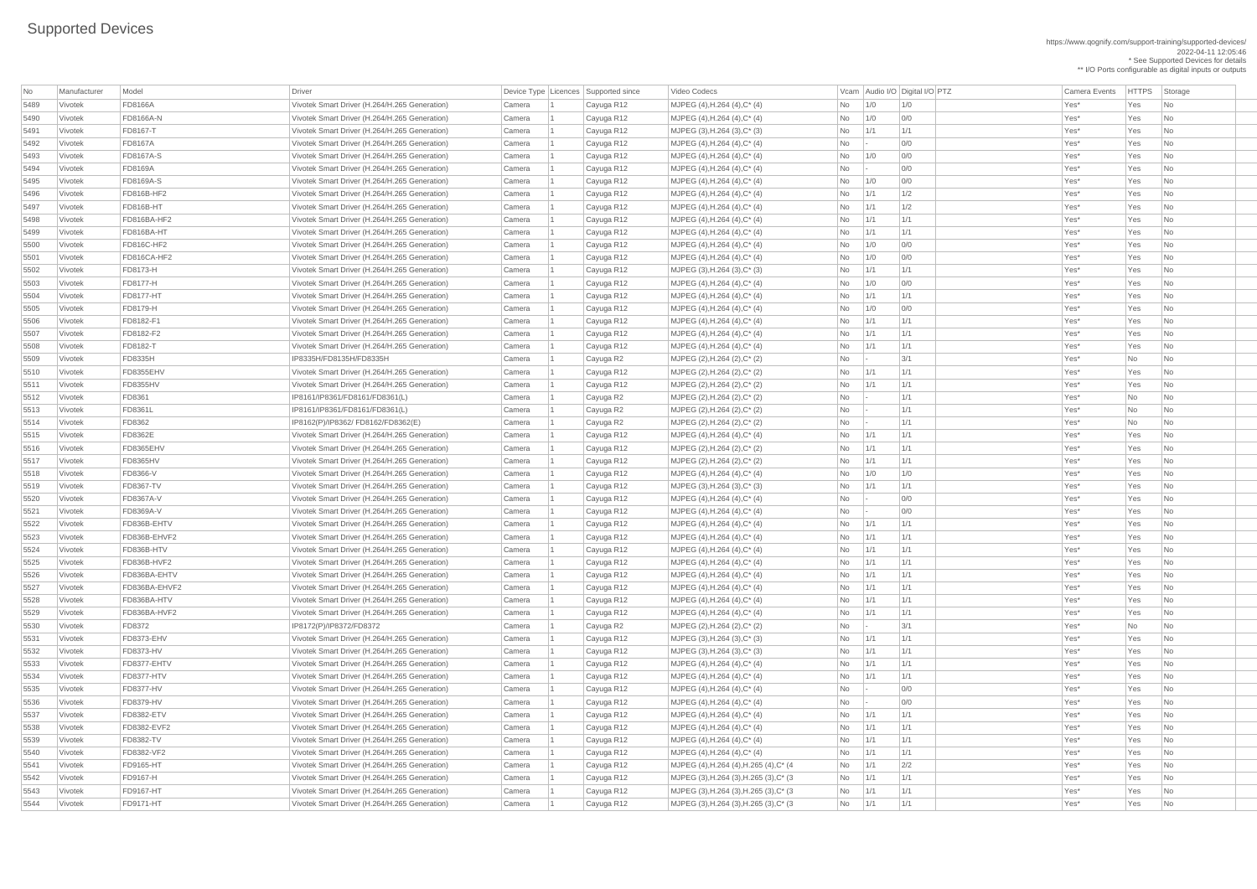https://www.qognify.com/support-training/supported-devices/ 2022-04-11 12:05:46 \* See Supported Devices for details \*\* I/O Ports configurable as digital inputs or outputs

| No           | Manufacturer       | Model                                | <b>Driver</b>                                                                                  | Device Type   Licences   Supported since |                         | Video Codecs                                                    |                        |                 | Vcam Audio I/O Digital I/O PTZ | <b>Camera Events</b> | <b>HTTPS</b> | Storage                                    |
|--------------|--------------------|--------------------------------------|------------------------------------------------------------------------------------------------|------------------------------------------|-------------------------|-----------------------------------------------------------------|------------------------|-----------------|--------------------------------|----------------------|--------------|--------------------------------------------|
| 5489         | Vivotek            | <b>FD8166A</b>                       | Vivotek Smart Driver (H.264/H.265 Generation)                                                  | Camera                                   | Cayuga R12              | MJPEG $(4)$ , H.264 $(4)$ , C* $(4)$                            | No                     | 1/0             | 1/0                            | Yes*                 | Yes          | No                                         |
| 5490         | Vivotek            | <b>FD8166A-N</b>                     | Vivotek Smart Driver (H.264/H.265 Generation)                                                  | Camera                                   | Cayuga R12              | MJPEG $(4)$ , H.264 $(4)$ , C* $(4)$                            | <b>No</b>              | 1/0             | 0/0                            | Yes*                 | Yes          | No                                         |
| 5491         | Vivotek            | <b>FD8167-T</b>                      | Vivotek Smart Driver (H.264/H.265 Generation)                                                  | Camera                                   | Cayuga R12              | $MJPEG (3), H.264 (3), C^*(3)$                                  | <b>No</b>              | 1/1             | 1/1                            | Yes*                 | Yes          | N <sub>o</sub>                             |
| 5492         | Vivotek            | <b>FD8167A</b>                       | Vivotek Smart Driver (H.264/H.265 Generation)                                                  | Camera                                   | Cayuga R12              | $MJPEG (4), H.264 (4), C^*(4)$                                  | No                     | $\vert - \vert$ | 0/0                            | Yes*                 | Yes          | N <sub>o</sub>                             |
| 5493         | Vivotek            | <b>FD8167A-S</b>                     | Vivotek Smart Driver (H.264/H.265 Generation)                                                  | Camera                                   | Cayuga R12              | $MJPEG (4), H.264 (4), C^*(4)$                                  | No                     | 1/0             | 0/0                            | Yes*                 | Yes          | N <sub>o</sub>                             |
| 5494         | Vivotek            | <b>FD8169A</b>                       | Vivotek Smart Driver (H.264/H.265 Generation)                                                  | Camera                                   | Cayuga R12              | $MJPEG (4), H.264 (4), C^* (4)$                                 | No                     | $\sim$          | 0/0                            | Yes*                 | Yes          | N <sub>o</sub>                             |
| 5495         | Vivotek            | <b>FD8169A-S</b>                     | Vivotek Smart Driver (H.264/H.265 Generation)                                                  | Camera                                   | Cayuga R12              | MJPEG (4), H.264 (4), C* (4)                                    | No                     | 1/0             | 0/0                            | Yes*                 | Yes          | N <sub>o</sub>                             |
| 5496         | Vivotek            | <b>FD816B-HF2</b>                    | Vivotek Smart Driver (H.264/H.265 Generation)                                                  | Camera                                   | Cayuga R12              | MJPEG (4), H.264 (4), C* (4)                                    | <b>No</b>              | 1/1             | 1/2                            | Yes*                 | Yes          | N <sub>o</sub>                             |
| 5497         | Vivotek            | FD816B-HT                            | Vivotek Smart Driver (H.264/H.265 Generation)                                                  | Camera                                   | Cayuga R12              | $MJPEG (4), H.264 (4), C^*(4)$                                  | <b>No</b>              | 1/1             | 1/2                            | Yes*                 | Yes          | N <sub>o</sub>                             |
| 5498         | Vivotek            | FD816BA-HF2                          | Vivotek Smart Driver (H.264/H.265 Generation)                                                  | Camera                                   | Cayuga R12              | MJPEG (4), H.264 (4), C* (4)                                    | <b>No</b>              | 1/1             | 1/1                            | Yes*                 | Yes          | $\overline{\phantom{a}}$ No                |
| 5499         | Vivotek            | FD816BA-HT                           | Vivotek Smart Driver (H.264/H.265 Generation)                                                  | Camera                                   | Cayuga R12              | $MJPEG (4), H.264 (4), C^*(4)$                                  | <b>No</b>              | 1/1             | 1/1                            | Yes*                 | Yes          | No                                         |
| 5500         | Vivotek            | <b>FD816C-HF2</b>                    | Vivotek Smart Driver (H.264/H.265 Generation)                                                  | Camera                                   | Cayuga R12              | $MJPEG (4), H.264 (4), C^*(4)$                                  | No                     | 1/0             | 0/0                            | Yes*                 | Yes          | N <sub>o</sub>                             |
| 5501         | Vivotek            | FD816CA-HF2                          | Vivotek Smart Driver (H.264/H.265 Generation)                                                  | Camera                                   | Cayuga R12              | $MJPEG (4), H.264 (4), C^*(4)$                                  | <b>No</b>              | 1/0             | 0/0                            | Yes*                 | Yes          | No                                         |
| 5502         | Vivotek            | <b>FD8173-H</b>                      | Vivotek Smart Driver (H.264/H.265 Generation)                                                  | Camera                                   | Cayuga R12              | MJPEG $(3)$ , H.264 $(3)$ , C* $(3)$                            | <b>No</b>              | 1/1             | 1/1                            | Yes*                 | Yes          | No                                         |
| 5503         | Vivotek            | <b>FD8177-H</b>                      | Vivotek Smart Driver (H.264/H.265 Generation)                                                  | Camera                                   | Cayuga R12              | MJPEG (4), H.264 (4), C* (4)                                    | No                     | 1/0             | 0/0                            | Yes*                 | Yes          | N <sub>o</sub>                             |
| 5504         | Vivotek            | <b>FD8177-HT</b>                     | Vivotek Smart Driver (H.264/H.265 Generation)                                                  | Camera                                   | Cayuga R12              | $MJPEG (4), H.264 (4), C^*(4)$                                  | <b>No</b>              | 1/1             | 1/1                            | Yes*                 | Yes          | N <sub>o</sub>                             |
| 5505         | Vivotek            | <b>FD8179-H</b>                      | Vivotek Smart Driver (H.264/H.265 Generation)                                                  | Camera                                   | Cayuga R12              | MJPEG (4), H.264 (4), C* (4)                                    | No                     | 1/0             | 0/0                            | Yes*                 | Yes          | No                                         |
| 5506         | Vivotek            | FD8182-F1                            | Vivotek Smart Driver (H.264/H.265 Generation)                                                  | Camera                                   | Cayuga R12              | $MJPEG (4), H.264 (4), C^* (4)$                                 | No                     | 1/1             | 1/1                            | Yes*                 | Yes          | No                                         |
| 5507         | Vivotek            | FD8182-F2                            | Vivotek Smart Driver (H.264/H.265 Generation)                                                  | Camera                                   | Cayuga R12              | MJPEG (4), H.264 (4), C* (4)                                    | No                     | 1/1             | 1/1                            | Yes*                 | Yes          | N <sub>o</sub>                             |
| 5508         | Vivotek            | <b>FD8182-T</b>                      | Vivotek Smart Driver (H.264/H.265 Generation)                                                  | Camera                                   | Cayuga R12              | MJPEG (4), H.264 (4), C* (4)                                    | <b>No</b>              | 1/1             | 1/1                            | Yes*                 | Yes          | No                                         |
| 5509         | Vivotek            | <b>FD8335H</b>                       | IP8335H/FD8135H/FD8335H                                                                        | Camera                                   | Cayuga R2               | MJPEG (2), H.264 (2), C* (2)                                    | No                     | $\vert - \vert$ | 3/1                            | Yes*                 | <b>No</b>    | N <sub>o</sub>                             |
| 5510         | Vivotek            | FD8355EHV                            | Vivotek Smart Driver (H.264/H.265 Generation)                                                  | Camera                                   | Cayuga R12              | MJPEG (2), H.264 (2), C* (2)                                    | <b>No</b>              | 1/1             | 1/1                            | Yes*                 | Yes          | N <sub>o</sub>                             |
| 5511         | Vivotek            | <b>FD8355HV</b>                      | Vivotek Smart Driver (H.264/H.265 Generation)                                                  | Camera                                   | Cayuga R12              | MJPEG (2), H.264 (2), C* (2)                                    | <b>No</b>              | 1/1             | 1/1                            | Yes*                 | Yes          | No                                         |
| 5512         | Vivotek            | <b>FD8361</b>                        | IP8161/IP8361/FD8161/FD8361(L)                                                                 | Camera                                   | Cayuga R2               | $MJPEG (2), H.264 (2), C^* (2)$                                 | No                     |                 | 1/1                            | Yes*                 | No           | $\overline{\mathsf{No}}$                   |
| 5513         | Vivotek            | <b>FD8361L</b>                       | IP8161/IP8361/FD8161/FD8361(L)                                                                 | Camera                                   |                         | MJPEG (2), H.264 (2), C* (2)                                    | No                     |                 | 1/1                            | Yes*                 | No           | No                                         |
| 5514         |                    | <b>FD8362</b>                        |                                                                                                |                                          | Cayuga R2               |                                                                 |                        |                 |                                | Yes*                 |              |                                            |
|              | Vivotek            | <b>FD8362E</b>                       | IP8162(P)/IP8362/ FD8162/FD8362(E)                                                             | Camera                                   | Cayuga R2               | MJPEG (2), H.264 (2), C* (2)                                    | No.                    | $\sim$          | 1/1<br>1/1                     | Yes*                 | No<br>Yes    | No                                         |
| 5515         | Vivotek            |                                      | Vivotek Smart Driver (H.264/H.265 Generation)                                                  | Camera                                   | Cayuga R12              | MJPEG (4), H.264 (4), C* (4)                                    | No                     | 1/1             | 1/1                            |                      | Yes          | N <sub>o</sub>                             |
| 5516         | Vivotek            | FD8365EHV                            | Vivotek Smart Driver (H.264/H.265 Generation)                                                  | Camera                                   | Cayuga R12              | MJPEG (2), H.264 (2), C* (2)                                    | <b>No</b>              | 1/1             | 1/1                            | Yes*<br>Yes*         | Yes          | N <sub>o</sub>                             |
| 5517         | Vivotek            | <b>FD8365HV</b>                      | Vivotek Smart Driver (H.264/H.265 Generation)                                                  | Camera                                   | Cayuga R12              | MJPEG (2), H.264 (2), C* (2)                                    | <b>No</b>              | 1/1             | 1/0                            | Yes*                 | Yes          | No                                         |
| 5518         | Vivotek            | <b>FD8366-V</b>                      | Vivotek Smart Driver (H.264/H.265 Generation)                                                  | Camera                                   | Cayuga R12              | $MJPEG (4), H.264 (4), C^*(4)$                                  | No                     | 1/0             |                                | Yes*                 | Yes          | N <sub>0</sub>                             |
| 5519         | Vivotek            | <b>FD8367-TV</b><br><b>FD8367A-V</b> | Vivotek Smart Driver (H.264/H.265 Generation)                                                  | Camera                                   | Cayuga R12              | $MJPEG (3), H.264 (3), C^{*} (3)$                               | <b>No</b>              | 1/1             | 1/1<br>0/0                     | Yes*                 | Yes          | No                                         |
| 5520         | Vivotek            | <b>FD8369A-V</b>                     | Vivotek Smart Driver (H.264/H.265 Generation)                                                  | Camera                                   | Cayuga R12              | MJPEG (4), H.264 (4), C* (4)                                    | No                     | $\vert - \vert$ | 0/0                            | Yes*                 | Yes          | No                                         |
| 5521         | Vivotek            |                                      | Vivotek Smart Driver (H.264/H.265 Generation)                                                  | Camera                                   | Cayuga R12              | MJPEG (4), H.264 (4), C* (4)                                    | No                     |                 |                                |                      |              | N <sub>o</sub>                             |
| 5522         | Vivotek            | FD836B-EHTV                          | Vivotek Smart Driver (H.264/H.265 Generation)                                                  | Camera                                   | Cayuga R12              | MJPEG (4), H.264 (4), C* (4)                                    | <b>No</b>              | 1/1             | 1/1                            | Yes*                 | Yes          | N <sub>o</sub>                             |
| 5523         | Vivotek            | FD836B-EHVF2                         | Vivotek Smart Driver (H.264/H.265 Generation)                                                  | Camera                                   | Cayuga R12              | MJPEG (4), H.264 (4), C* (4)                                    | No                     | 1/1             | 1/1<br>1/1                     | Yes*                 | Yes          | N <sub>o</sub>                             |
| 5524         | Vivotek            | FD836B-HTV                           | Vivotek Smart Driver (H.264/H.265 Generation)                                                  | Camera                                   | Cayuga R12              | $MJPEG (4), H.264 (4), C^*(4)$                                  | No                     | 1/1             | 1/1                            | Yes*<br>Yes*         | Yes<br>Yes   | N <sub>0</sub><br>No                       |
| 5525         | Vivotek            | FD836B-HVF2<br>FD836BA-EHTV          | Vivotek Smart Driver (H.264/H.265 Generation)                                                  | Camera                                   | Cayuga R12              | MJPEG (4), H.264 (4), C* (4)                                    | <b>No</b>              | 1/1             | 1/1                            | Yes*                 | Yes          |                                            |
| 5526         | Vivotek            | FD836BA-EHVF2                        | Vivotek Smart Driver (H.264/H.265 Generation)<br>Vivotek Smart Driver (H.264/H.265 Generation) | Camera                                   | Cayuga R12              | MJPEG (4),H.264 (4),C* (4)                                      | <b>No</b>              | 1/1             | 1/1                            | Yes*                 | Yes          | $\overline{\mathsf{No}}$<br>N <sub>o</sub> |
| 5527         | Vivotek            |                                      |                                                                                                | Camera                                   | Cayuga R12              | MJPEG (4), H.264 (4), C* (4)                                    | <b>No</b>              | 1/1             | 1/1                            | Yes*                 | Yes          |                                            |
| 5528<br>5529 | Vivotek<br>Vivotek | FD836BA-HTV<br>FD836BA-HVF2          | Vivotek Smart Driver (H.264/H.265 Generation)<br>Vivotek Smart Driver (H.264/H.265 Generation) | Camera                                   | Cayuga R12              | MJPEG (4),H.264 (4),C* (4)                                      | <b>No</b><br><b>No</b> | 1/1<br>1/1      | 1/1                            | Yes*                 | Yes          | N <sub>o</sub><br>No                       |
| 5530         | Vivotek            | <b>FD8372</b>                        | IP8172(P)/IP8372/FD8372                                                                        | Camera<br>Camera                         | Cayuga R12<br>Cayuga R2 | MJPEG (4), H.264 (4), C* (4)<br>$MJPEG (2), H.264 (2), C^* (2)$ | No                     | $\mathbf{I}$    | 3/1                            | Yes*                 | <b>No</b>    | No                                         |
|              | Vivotek            | FD8373-EHV                           | Vivotek Smart Driver (H.264/H.265 Generation)                                                  | Camera                                   |                         |                                                                 | <b>No</b>              | 1/1             | 1/1                            | Yes*                 | Yes          | No                                         |
| 5531         | Vivotek            | <b>FD8373-HV</b>                     | Vivotek Smart Driver (H.264/H.265 Generation)                                                  |                                          | Cayuga R12              | $MJPEG (3), H.264 (3), C^*(3)$                                  | <b>No</b>              | 1/1             | 1/1                            | Yes*                 | Yes          |                                            |
| 5532<br>5533 |                    | FD8377-EHTV                          | Vivotek Smart Driver (H.264/H.265 Generation)                                                  | Camera                                   | Cayuga R12              | $MJPEG (3), H.264 (3), C^*(3)$                                  |                        | 1/1             | 1/1                            | Yes*                 | Yes          | $\overline{\mathsf{No}}$<br>N <sub>o</sub> |
| 5534         | Vivotek<br>Vivotek | FD8377-HTV                           | Vivotek Smart Driver (H.264/H.265 Generation)                                                  | Camera<br>Camera                         | Cayuga R12              | MJPEG (4), H.264 (4), C* (4)                                    | No<br><b>No</b>        | 1/1             | 1/1                            | Yes*                 | Yes          |                                            |
|              |                    |                                      |                                                                                                |                                          | Cayuga R12              | MJPEG (4), H.264 (4), C* (4)                                    |                        |                 |                                |                      |              | N <sub>o</sub>                             |
| 5535         | Vivotek            | <b>FD8377-HV</b><br><b>FD8379-HV</b> | Vivotek Smart Driver (H.264/H.265 Generation)                                                  | Camera                                   | Cayuga R12              | $MJPEG (4), H.264 (4), C^*(4)$                                  | No                     | $\vert - \vert$ | 0/0<br>0/0                     | Yes*<br>Yes*         | Yes<br>Yes   | $\overline{\mathsf{No}}$                   |
| 5536         | Vivotek            | <b>FD8382-ETV</b>                    | Vivotek Smart Driver (H.264/H.265 Generation)                                                  | Camera                                   | Cayuga R12              | $MJPEG (4), H.264 (4), C^*(4)$                                  | No                     | $\vert - \vert$ | 1/1                            | Yes*                 | Yes          | N <sub>0</sub><br>No                       |
| 5537         | Vivotek<br>Vivotek | <b>FD8382-EVF2</b>                   | Vivotek Smart Driver (H.264/H.265 Generation)<br>Vivotek Smart Driver (H.264/H.265 Generation) | Camera                                   | Cayuga R12              | MJPEG (4), H.264 (4), C* (4)                                    | <b>No</b><br><b>No</b> | 1/1<br>1/1      | 1/1                            | Yes*                 | Yes          |                                            |
| 5538         |                    |                                      |                                                                                                | Camera                                   | Cayuga R12              | MJPEG $(4)$ , H.264 $(4)$ , C* $(4)$                            |                        |                 |                                |                      |              | N <sub>o</sub>                             |
| 5539         | Vivotek            | <b>FD8382-TV</b>                     | Vivotek Smart Driver (H.264/H.265 Generation)                                                  | Camera                                   | Cayuga R12              | MJPEG $(4)$ , H.264 $(4)$ , C* $(4)$                            | No                     | 1/1             | 1/1                            | Yes*                 | Yes          | No                                         |
| 5540         | Vivotek            | <b>FD8382-VF2</b>                    | Vivotek Smart Driver (H.264/H.265 Generation)                                                  | Camera                                   | Cayuga R12              | MJPEG (4), H.264 (4), C* (4)                                    | No                     | 1/1             | 1/1                            | Yes*                 | Yes          | $\overline{\phantom{a}}$ No                |
| 5541         | Vivotek            | <b>FD9165-HT</b><br><b>FD9167-H</b>  | Vivotek Smart Driver (H.264/H.265 Generation)                                                  | Camera                                   | Cayuga R12              | MJPEG (4), H.264 (4), H.265 (4), C* (4)                         | No                     | 1/1             | 2/2<br>1/1                     | Yes*<br>Yes*         | Yes          | $\overline{\phantom{a}}$ No                |
| 5542         | Vivotek<br>Vivotek | <b>FD9167-HT</b>                     | Vivotek Smart Driver (H.264/H.265 Generation)<br>Vivotek Smart Driver (H.264/H.265 Generation) | Camera<br>Camera                         | Cayuga R12              | MJPEG (3), H.264 (3), H.265 (3), C* (3)                         | No                     | 1/1<br>1/1      | 1/1                            | Yes*                 | Yes<br>Yes   | $\overline{\phantom{a}}$ No                |
| 5543         |                    |                                      |                                                                                                |                                          | Cayuga R12              | MJPEG (3), H.264 (3), H.265 (3), C* (3)                         | No                     |                 |                                |                      |              | $\overline{\phantom{a}}$ No                |
| 5544         | Vivotek            | <b>FD9171-HT</b>                     | Vivotek Smart Driver (H.264/H.265 Generation)                                                  | Camera                                   | Cayuga R12              | MJPEG (3), H.264 (3), H.265 (3), C* (3)                         | N <sub>o</sub>         | $\vert$ 1/1     | 1/1                            | Yes*                 | Yes          | $\overline{\phantom{a}}$ No                |

| MJPEG (4),H.264 (4),H.265 (4),C\* (4  $\qquad \qquad$  No  $\qquad \qquad$  1/1  $\qquad \qquad$  2/2  $\qquad \qquad$  Yes\* Yes No No Vivotek FD9167-H Vivotek Smart Driver (H.264/H.265 Generation) Camera 1 Cayuga R12 MJPEG (3),H.264 (3),H.265 (3),C\* (3 No 1/1 1/1 Yes\* Yes No | MJPEG (3),H.264 (3),H.265 (3),C\* (3  $\qquad \qquad$  No  $\qquad$  1/1  $\qquad$  1/1  $\qquad$  1/1  $\qquad$  Yes\* Yes No  $\qquad$ Vivotek FD9171-HT Vivotek Smart Driver (H.264/H.265 Generation) Camera 1 Cayuga R12 MJPEG (3),H.264 (3),H.265 (3),C\* (3 No 1/1 1/1 Yes\* Yes No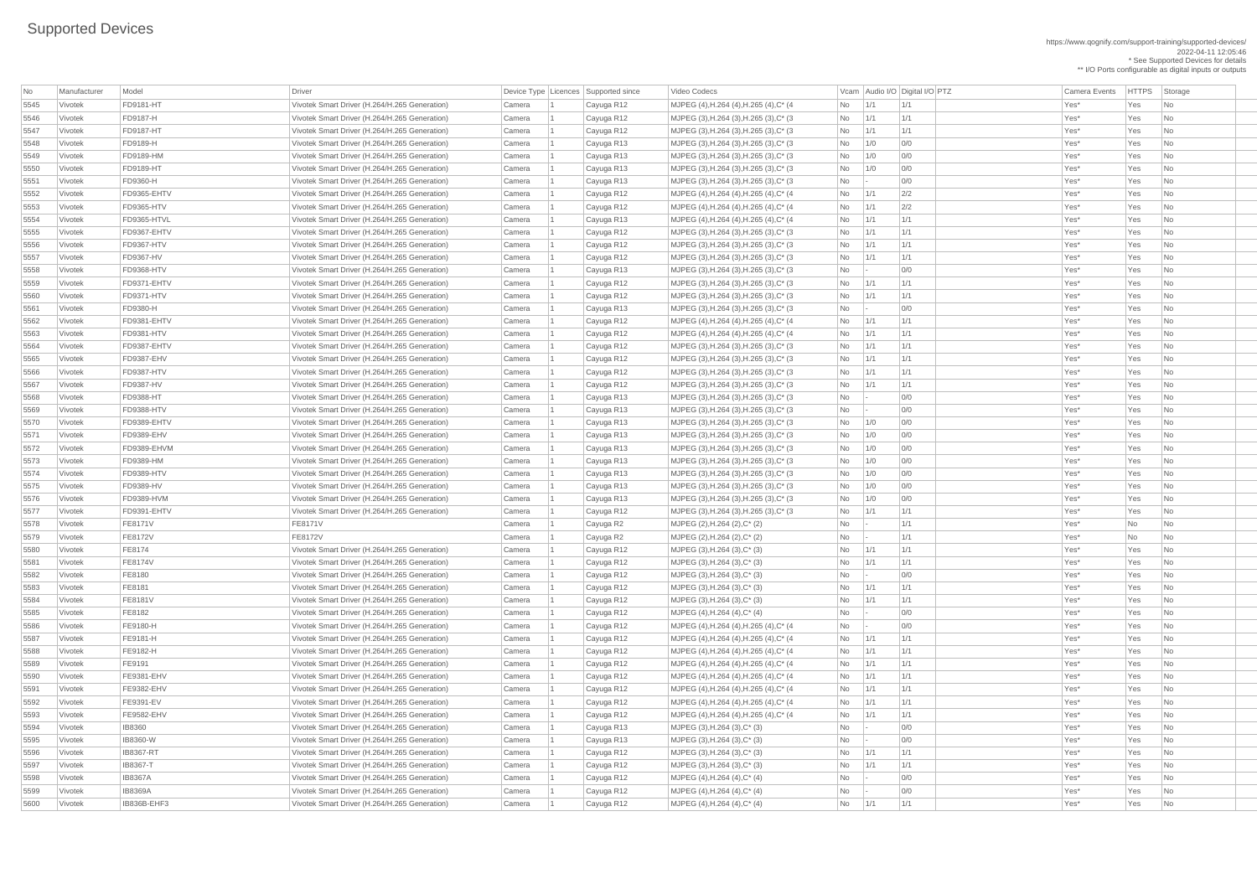https://www.qognify.com/support-training/supported-devices/ 2022-04-11 12:05:46 \* See Supported Devices for details \*\* I/O Ports configurable as digital inputs or outputs

MJPEG (4),H.264 (4),H.265 (4),C\* (4 No 1/1 1/1 1 Cayuga R12 Mo 2011 No 2012 Mo 201 | MJPEG (3),H.264 (3),H.265 (3),C\* (3  $\qquad \qquad$  No  $\qquad$  1/1  $\qquad$  1/1  $\qquad$  1/1  $\qquad$  Yes\* Yes No  $\qquad$ | MJPEG (3),H.264 (3),H.265 (3),C\* (3  $\qquad$  No  $\qquad$  1/1  $\qquad$  1/1  $\qquad$  1/1  $\qquad$  Yes\* Yes No | MJPEG (3),H.264 (3),H.265 (3),C\* (3  $\qquad \qquad$  No  $\qquad$  1/0 0/0  $\qquad$  0/0  $\qquad$  Yes\* Yes No  $\qquad$ | MJPEG (3),H.264 (3),H.265 (3),C\* (3  $\qquad \qquad$  No  $\qquad$  1/0 0/0  $\qquad$  0/0  $\qquad$  Yes\* Yes No | MJPEG (3),H.264 (3),H.265 (3),C\* (3  $\qquad \qquad$  No  $\qquad$  1/0 0/0  $\qquad$  0/0  $\qquad \qquad$  Yes\* Yes No | MJPEG (3),H.264 (3),H.265 (3),C\* (3  $\qquad \qquad$  No  $\qquad$  - 0/0  $\qquad \qquad$  0/0  $\qquad \qquad$  Yes\* Yes No  $\qquad$ | MJPEG (4),H.264 (4),H.265 (4),C\* (4 No  $1/1$  2/2 No 20 No 20 Yes\* Yes No | MJPEG (4),H.264 (4),H.265 (4),C\* (4 No 1/1 2/2 No 202 Yes\* Yes No | MJPEG (4),H.264 (4),H.265 (4),C\* (4 No 1/1 1/1 | 1/1 No 1/1 | No 1/1 | No 1/1 | No 1/1 | No 1/1 | No 1/1 | No | MJPEG (3),H.264 (3),H.265 (3),C\* (3  $\qquad$  No  $\qquad$  1/1  $\qquad$  1/1  $\qquad$  1/1  $\qquad$  Yes\* Yes No  $\qquad$ | MJPEG (3),H.264 (3),H.265 (3),C\* (3  $\qquad \qquad$  No  $\qquad$  1/1  $\qquad$  1/1  $\qquad$  1/1  $\qquad$  Yes\* Yes No | MJPEG (3),H.264 (3),H.265 (3),C\* (3  $\qquad \qquad$  No  $\qquad$  1/1  $\qquad$  1/1  $\qquad$  1/1  $\qquad$  Yes\* Yes No | MJPEG (3),H.264 (3),H.265 (3),C\* (3  $\qquad \qquad$  No  $\qquad$  - 0/0  $\qquad \qquad$  0/0 Yes\* Yes No | MJPEG (3),H.264 (3),H.265 (3),C\* (3  $\qquad$  No  $\qquad$  1/1  $\qquad$  1/1  $\qquad$  1/1  $\qquad$  Yes\* Yes No | MJPEG (3),H.264 (3),H.265 (3),C\* (3  $\qquad \qquad$  No  $\qquad$  1/1  $\qquad$  1/1  $\qquad$  1/1  $\qquad$  Yes\* Yes No | MJPEG (3),H.264 (3),H.265 (3),C\* (3  $\qquad \qquad$  No  $\qquad$  - 0/0  $\qquad \qquad$  0/0  $\qquad \qquad$  Yes\* Yes No  $\qquad$ | MJPEG (4),H.264 (4),H.265 (4),C\* (4 No 1/1 1/1 | 1/1 No 1/1 No 1/1 | No 1/1 No 1/1 | No 1/1 | No 1/1 | No 1/ | MJPEG (4),H.264 (4),H.265 (4),C\* (4  $\hbox{No}$  1/1 1/1 1/1 No 11/1 Yes\* Yes No | MJPEG (3),H.264 (3),H.265 (3),C\* (3  $\qquad \qquad$  No  $\qquad$  1/1  $\qquad$  1/1  $\qquad$  1/1  $\qquad$  Yes\* Yes No | MJPEG (3),H.264 (3),H.265 (3),C\* (3  $\qquad$  No  $\qquad$  1/1  $\qquad$  1/1  $\qquad$  1/1  $\qquad$  Yes\* Yes No | MJPEG (3),H.264 (3),H.265 (3),C\* (3  $\qquad$  No  $\qquad$  1/1  $\qquad$  1/1  $\qquad$  1/1  $\qquad$  Yes\* Yes No  $\qquad$ | MJPEG (3),H.264 (3),H.265 (3),C\* (3  $\qquad \qquad$  No  $\qquad$  - 0/0  $\qquad \qquad$  0/0 Yes\* Yes No | MJPEG (3),H.264 (3),H.265 (3),C\* (3  $\qquad \qquad$  No  $\qquad$  - 0/0  $\qquad \qquad$  0/0 Yes\* Yes No | MJPEG (3),H.264 (3),H.265 (3),C\* (3  $\qquad \qquad$  No  $\qquad$  1/0 0/0  $\qquad$  0/0  $\qquad \qquad$  Yes\* Yes No | MJPEG (3),H.264 (3),H.265 (3),C\* (3  $\qquad \qquad$  No  $\qquad$  1/0 0/0  $\qquad$  0/0  $\qquad \qquad$  Yes\* Yes No | MJPEG (3),H.264 (3),H.265 (3),C\* (3  $\qquad \qquad$  No  $\qquad$  1/0 0/0  $\qquad$  0/0  $\qquad \qquad$  Yes\* Yes No | MJPEG (3),H.264 (3),H.265 (3),C\* (3  $\qquad \qquad$  No  $\qquad$  1/0 0/0  $\qquad$  0/0  $\qquad$  Yes\* Yes No  $\qquad$ | MJPEG (3),H.264 (3),H.265 (3),C\* (3  $\qquad \qquad$  No  $\qquad$  1/0 0/0  $\qquad$  0/0  $\qquad \qquad$  Yes\* Yes No | MJPEG (3),H.264 (3),H.265 (3),C\* (3  $\qquad \qquad$  No  $\qquad$  1/0 0/0  $\qquad$  0/0  $\qquad \qquad$  Yes\* Yes No | MJPEG (3),H.264 (3),H.265 (3),C\* (3  $\qquad \qquad$  No  $\qquad$  1/0 0/0  $\qquad$  0/0  $\qquad \qquad$  Yes\* Yes No | MJPEG (3),H.264 (3),H.265 (3),C\* (3  $\qquad \qquad$  No  $\qquad$  1/1  $\qquad$  1/1  $\qquad$  1/1  $\qquad$  Yes\* Yes No | MJPEG (4),H.264 (4),H.265 (4),C\* (4 No - 0/0 Yes\* Yes No MJPEG (4),H.264 (4),H.265 (4),C\* (4 No 1/1 1/1 1 Cayuga R12 Mo 2011 Res\* Yes No | MJPEG (4),H.264 (4),H.265 (4),C\* (4  $\blacksquare$  No  $\blacksquare$  1/1  $\blacksquare$  1/1  $\blacksquare$  1/1  $\blacksquare$  Yes\* Yes No  $\blacksquare$ | MJPEG (4),H.264 (4),H.265 (4),C\* (4  $\hbox{No}$  | 1/1 | 1/1 | 1/1 | Yes\* Yes No | MJPEG (4),H.264 (4),H.265 (4),C\* (4 No 1/1 1/1 | 1/1 No 1/1 No 1/1 | No 1/1 No 1/1 | No 1/1 | No 1/1 | No 1/1 5591 Vivotek FE9382-EHV Vivotek Smart Driver (H.264/H.265 Generation) Camera 1 Cayuga R12 MJPEG (4),H.264 (4),H.265 (4),C\* (4 No 1/1 1/1 Yes\* Yes No | MJPEG (4),H.264 (4),H.265 (4),C\* (4  $\hbox{No}$  1/1 1/1 1/1 No 11/1 Yes\* Yes No | MJPEG (4),H.264 (4),H.265 (4),C\* (4  $\qquad \qquad$  No  $\qquad \qquad$  1/1  $\qquad \qquad$  1/1  $\qquad \qquad$  1/1  $\qquad \qquad$  Yes\* Yes No

| No   | Manufacturer | Model             | <b>Driver</b>                                 | Device Type Licences Supported since |            | Video Codecs                               |           |              | Vcam Audio I/O Digital I/O PTZ | <b>Camera Events</b> | <b>HTTPS</b> | Storage                     |
|------|--------------|-------------------|-----------------------------------------------|--------------------------------------|------------|--------------------------------------------|-----------|--------------|--------------------------------|----------------------|--------------|-----------------------------|
| 5545 | Vivotek      | <b>FD9181-HT</b>  | Vivotek Smart Driver (H.264/H.265 Generation) | Camera                               | Cayuga R12 | MJPEG (4), H.264 (4), H.265 (4), C* (4)    | <b>No</b> | 1/1          | 1/1                            | Yes*                 | Yes          | No                          |
| 5546 | Vivotek      | FD9187-H          | Vivotek Smart Driver (H.264/H.265 Generation) | Camera                               | Cayuga R12 | MJPEG (3), H.264 (3), H.265 (3), C* (3)    | <b>No</b> | 1/1          | 1/1                            | Yes*                 | Yes          | No                          |
| 5547 | Vivotek      | <b>FD9187-HT</b>  | Vivotek Smart Driver (H.264/H.265 Generation) | Camera                               | Cayuga R12 | MJPEG (3), H.264 (3), H.265 (3), C* (3)    | <b>No</b> | 1/1          | 1/1                            | Yes*                 | Yes          | N <sub>o</sub>              |
| 5548 | Vivotek      | FD9189-H          | Vivotek Smart Driver (H.264/H.265 Generation) | Camera                               | Cayuga R13 | MJPEG (3), H.264 (3), H.265 (3), C* (3)    | No        | 1/0          | 0/0                            | Yes*                 | Yes          | N <sub>o</sub>              |
| 5549 | Vivotek      | <b>FD9189-HM</b>  | Vivotek Smart Driver (H.264/H.265 Generation) | Camera                               | Cayuga R13 | $MJPEG (3), H.264 (3), H.265 (3), C^* (3)$ | No        | 1/0          | 0/0                            | Yes*                 | Yes          | No                          |
| 5550 | Vivotek      | <b>FD9189-HT</b>  | Vivotek Smart Driver (H.264/H.265 Generation) | Camera                               |            | MJPEG (3), H.264 (3), H.265 (3), C* (3)    | <b>No</b> | 1/0          | 0/0                            | Yes*                 | Yes          | N <sub>o</sub>              |
|      | Vivotek      | FD9360-H          | Vivotek Smart Driver (H.264/H.265 Generation) |                                      | Cayuga R13 |                                            |           |              | 0/0                            | Yes*                 | Yes          |                             |
| 5551 |              |                   |                                               | Camera                               | Cayuga R13 | MJPEG (3), H.264 (3), H.265 (3), C* (3)    | No        |              |                                |                      |              | N <sub>o</sub>              |
| 5552 | Vivotek      | FD9365-EHTV       | Vivotek Smart Driver (H.264/H.265 Generation) | Camera                               | Cayuga R12 | MJPEG (4), H.264 (4), H.265 (4), C* (4)    | No        | 1/1          | 2/2                            | Yes*                 | Yes          | No                          |
| 5553 | Vivotek      | <b>FD9365-HTV</b> | Vivotek Smart Driver (H.264/H.265 Generation) | Camera                               | Cayuga R12 | MJPEG (4), H.264 (4), H.265 (4), C* (4)    | <b>No</b> | 1/1          | 2/2                            | Yes*                 | Yes          | N <sub>o</sub>              |
| 5554 | Vivotek      | FD9365-HTVL       | Vivotek Smart Driver (H.264/H.265 Generation) | Camera                               | Cayuga R13 | MJPEG (4), H.264 (4), H.265 (4), C* (4)    | No        | 1/1          | 1/1                            | Yes*                 | Yes          | N <sub>o</sub>              |
| 5555 | Vivotek      | FD9367-EHTV       | Vivotek Smart Driver (H.264/H.265 Generation) | Camera                               | Cayuga R12 | MJPEG (3), H.264 (3), H.265 (3), C* (3)    | No        | 1/1          | 1/1                            | Yes*                 | Yes          | No                          |
| 5556 | Vivotek      | <b>FD9367-HTV</b> | Vivotek Smart Driver (H.264/H.265 Generation) | Camera                               | Cayuga R12 | MJPEG (3), H.264 (3), H.265 (3), C* (3)    | <b>No</b> | 1/1          | 1/1                            | Yes*                 | Yes          | N <sub>o</sub>              |
| 5557 | Vivotek      | <b>FD9367-HV</b>  | Vivotek Smart Driver (H.264/H.265 Generation) | Camera                               | Cayuga R12 | MJPEG (3), H.264 (3), H.265 (3), C* (3)    | No        | 1/1          | 1/1                            | Yes*                 | Yes          | N <sub>o</sub>              |
| 5558 | Vivotek      | <b>FD9368-HTV</b> | Vivotek Smart Driver (H.264/H.265 Generation) | Camera                               | Cayuga R13 | MJPEG (3), H.264 (3), H.265 (3), C* (3)    | No        | $\mathbf{I}$ | 0/0                            | Yes*                 | Yes          | N <sub>o</sub>              |
| 5559 | Vivotek      | FD9371-EHTV       | Vivotek Smart Driver (H.264/H.265 Generation) | Camera                               | Cayuga R12 | MJPEG (3), H.264 (3), H.265 (3), C* (3)    | <b>No</b> | 1/1          | 1/1                            | Yes*                 | Yes          | N <sub>o</sub>              |
| 5560 | Vivotek      | FD9371-HTV        | Vivotek Smart Driver (H.264/H.265 Generation) | Camera                               | Cayuga R12 | MJPEG (3), H.264 (3), H.265 (3), C* (3)    | No        | 1/1          | 1/1                            | Yes*                 | Yes          | No                          |
| 5561 | Vivotek      | <b>FD9380-H</b>   | Vivotek Smart Driver (H.264/H.265 Generation) | Camera                               | Cayuga R13 | MJPEG (3), H.264 (3), H.265 (3), C* (3)    | No        | $\sim$       | 0/0                            | Yes*                 | Yes          | N <sub>o</sub>              |
| 5562 | Vivotek      | FD9381-EHTV       | Vivotek Smart Driver (H.264/H.265 Generation) | Camera                               | Cayuga R12 | MJPEG (4), H.264 (4), H.265 (4), C* (4)    | No        | 1/1          | 1/1                            | Yes*                 | Yes          | N <sub>o</sub>              |
| 5563 | Vivotek      | <b>FD9381-HTV</b> | Vivotek Smart Driver (H.264/H.265 Generation) | Camera                               | Cayuga R12 | MJPEG (4), H.264 (4), H.265 (4), C* (4)    | <b>No</b> | 1/1          | 1/1                            | Yes*                 | Yes          | No                          |
| 5564 | Vivotek      | FD9387-EHTV       | Vivotek Smart Driver (H.264/H.265 Generation) | Camera                               | Cayuga R12 | MJPEG (3), H.264 (3), H.265 (3), C* (3)    | <b>No</b> | 1/1          | 1/1                            | Yes*                 | Yes          | N <sub>o</sub>              |
| 5565 | Vivotek      | FD9387-EHV        | Vivotek Smart Driver (H.264/H.265 Generation) | Camera                               | Cayuga R12 | MJPEG (3), H.264 (3), H.265 (3), C* (3)    | <b>No</b> | 1/1          | 1/1                            | Yes*                 | Yes          | N <sub>o</sub>              |
| 5566 | Vivotek      | FD9387-HTV        | Vivotek Smart Driver (H.264/H.265 Generation) | Camera                               | Cayuga R12 | MJPEG (3), H.264 (3), H.265 (3), C* (3)    | No        | 1/1          | 1/1                            | Yes*                 | Yes          | N <sub>o</sub>              |
| 5567 | Vivotek      | <b>FD9387-HV</b>  | Vivotek Smart Driver (H.264/H.265 Generation) | Camera                               | Cayuga R12 | MJPEG (3), H.264 (3), H.265 (3), C* (3)    | <b>No</b> | 1/1          | 1/1                            | Yes*                 | Yes          | No                          |
| 5568 | Vivotek      | <b>FD9388-HT</b>  | Vivotek Smart Driver (H.264/H.265 Generation) | Camera                               | Cayuga R13 | MJPEG (3), H.264 (3), H.265 (3), C* (3)    | No        |              | 0/0                            | Yes*                 | Yes          | N <sub>o</sub>              |
| 5569 | Vivotek      | <b>FD9388-HTV</b> | Vivotek Smart Driver (H.264/H.265 Generation) | Camera                               | Cayuga R13 | MJPEG (3), H.264 (3), H.265 (3), C* (3)    | No        |              | 0/0                            | Yes*                 | Yes          | No                          |
| 5570 | Vivotek      | FD9389-EHTV       | Vivotek Smart Driver (H.264/H.265 Generation) | Camera                               | Cayuga R13 | MJPEG (3), H.264 (3), H.265 (3), C* (3)    | No.       | 1/0          | 0/0                            | Yes*                 | Yes          | $\overline{\mathsf{No}}$    |
| 5571 | Vivotek      | <b>FD9389-EHV</b> | Vivotek Smart Driver (H.264/H.265 Generation) | Camera                               | Cayuga R13 | MJPEG (3), H.264 (3), H.265 (3), C* (3)    | No        | 1/0          | 0/0                            | Yes*                 | Yes          | N <sub>o</sub>              |
| 5572 | Vivotek      | FD9389-EHVM       | Vivotek Smart Driver (H.264/H.265 Generation) | Camera                               | Cayuga R13 | MJPEG (3), H.264 (3), H.265 (3), C* (3)    | No        | 1/0          | 0/0                            | Yes*                 | Yes          | N <sub>o</sub>              |
| 5573 | Vivotek      | <b>FD9389-HM</b>  | Vivotek Smart Driver (H.264/H.265 Generation) | Camera                               | Cayuga R13 | $MJPEG (3), H.264 (3), H.265 (3), C^* (3)$ | No        | 1/0          | 0/0                            | Yes*                 | Yes          | No                          |
| 5574 | Vivotek      | <b>FD9389-HTV</b> | Vivotek Smart Driver (H.264/H.265 Generation) | Camera                               | Cayuga R13 | MJPEG (3), H.264 (3), H.265 (3), C* (3)    | No        | 1/0          | 0/0                            | Yes*                 | Yes          | N <sub>o</sub>              |
| 5575 | Vivotek      | <b>FD9389-HV</b>  | Vivotek Smart Driver (H.264/H.265 Generation) | Camera                               | Cayuga R13 | MJPEG (3), H.264 (3), H.265 (3), C* (3)    | No        | 1/0          | 0/0                            | Yes*                 | Yes          | N <sub>o</sub>              |
| 5576 | Vivotek      | <b>FD9389-HVM</b> | Vivotek Smart Driver (H.264/H.265 Generation) | Camera                               | Cayuga R13 | MJPEG (3), H.264 (3), H.265 (3), C* (3)    | <b>No</b> | 1/0          | 0/0                            | Yes*                 | Yes          | No                          |
| 5577 | Vivotek      | FD9391-EHTV       | Vivotek Smart Driver (H.264/H.265 Generation) | Camera                               | Cayuga R12 | MJPEG (3), H.264 (3), H.265 (3), C* (3)    | No        | 1/1          | 1/1                            | Yes*                 | Yes          | $\overline{\phantom{a}}$ No |
| 5578 | Vivotek      | <b>FE8171V</b>    | FE8171V                                       | Camera                               | Cayuga R2  | MJPEG (2), H.264 (2), C* (2)               | No        |              | 1/1                            | Yes*                 | <b>No</b>    | No                          |
| 5579 | Vivotek      | <b>FE8172V</b>    | FE8172V                                       | Camera                               | Cayuga R2  | MJPEG (2), H.264 (2), C* (2)               | No        |              | 1/1                            | Yes*                 | <b>No</b>    | No                          |
| 5580 | Vivotek      | FE8174            | Vivotek Smart Driver (H.264/H.265 Generation) | Camera                               | Cayuga R12 | $MJPEG (3), H.264 (3), C^{*} (3)$          | No        | 1/1          | 1/1                            | Yes*                 | Yes          | N <sub>o</sub>              |
| 5581 | Vivotek      | <b>FE8174V</b>    | Vivotek Smart Driver (H.264/H.265 Generation) | Camera                               | Cayuga R12 | MJPEG $(3)$ , H.264 $(3)$ , C* $(3)$       | No        | 1/1          | 1/1                            | Yes*                 | Yes          | N <sub>o</sub>              |
|      | Vivotek      | <b>FE8180</b>     | Vivotek Smart Driver (H.264/H.265 Generation) | Camera                               |            | $MJPEG (3), H.264 (3), C^*(3)$             | <b>No</b> |              | 0/0                            | Yes*                 | Yes          | No                          |
| 5582 |              | <b>FE8181</b>     | Vivotek Smart Driver (H.264/H.265 Generation) |                                      | Cayuga R12 |                                            |           | 1/1          | 1/1                            | Yes*                 | Yes          | N <sub>o</sub>              |
| 5583 | Vivotek      |                   |                                               | Camera                               | Cayuga R12 | $MJPEG (3), H.264 (3), C^*(3)$             | <b>No</b> |              | 1/1                            |                      | Yes          |                             |
| 5584 | Vivotek      | <b>FE8181V</b>    | Vivotek Smart Driver (H.264/H.265 Generation) | Camera                               | Cayuga R12 | MJPEG (3), H.264 (3), C* (3)               | <b>No</b> | 1/1          |                                | Yes*                 |              | N <sub>o</sub>              |
| 5585 | Vivotek      | <b>FE8182</b>     | Vivotek Smart Driver (H.264/H.265 Generation) | Camera                               | Cayuga R12 | $MJPEG (4), H.264 (4), C^*(4)$             | No        |              | 0/0                            | Yes*                 | Yes          | No                          |
| 5586 | Vivotek      | <b>FE9180-H</b>   | Vivotek Smart Driver (H.264/H.265 Generation) | Camera                               | Cayuga R12 | MJPEG (4), H.264 (4), H.265 (4), C* (4)    | No        |              | 0/0                            | Yes*                 | Yes          | N <sub>o</sub>              |
| 5587 | Vivotek      | FE9181-H          | Vivotek Smart Driver (H.264/H.265 Generation) | Camera                               | Cayuga R12 | MJPEG (4), H.264 (4), H.265 (4), C* (4)    | No        | 1/1          | 1/1                            | Yes*                 | Yes          | N <sub>o</sub>              |
| 5588 | Vivotek      | <b>FE9182-H</b>   | Vivotek Smart Driver (H.264/H.265 Generation) | Camera                               | Cayuga R12 | MJPEG (4), H.264 (4), H.265 (4), C* (4)    | <b>No</b> | 1/1          | 1/1                            | Yes*                 | Yes          | No                          |
| 5589 | Vivotek      | <b>FE9191</b>     | Vivotek Smart Driver (H.264/H.265 Generation) | Camera                               | Cayuga R12 | MJPEG (4), H.264 (4), H.265 (4), C* (4)    | No        | 1/1          | 1/1                            | Yes*                 | Yes          | N <sub>o</sub>              |
| 5590 | Vivotek      | <b>FE9381-EHV</b> | Vivotek Smart Driver (H.264/H.265 Generation) | Camera                               | Cayuga R12 | MJPEG (4), H.264 (4), H.265 (4), C* (4)    | No        | 1/1          | 1/1                            | Yes*                 | Yes          | No                          |
| 5591 | Vivotek      | <b>FE9382-EHV</b> | Vivotek Smart Driver (H.264/H.265 Generation) | Camera                               | Cayuga R12 | MJPEG (4), H.264 (4), H.265 (4), C* (4)    | No        | 1/1          | 1/1                            | Yes*                 | Yes          | No                          |
| 5592 | Vivotek      | <b>FE9391-EV</b>  | Vivotek Smart Driver (H.264/H.265 Generation) | Camera                               | Cayuga R12 | MJPEG (4), H.264 (4), H.265 (4), C* (4)    | No        | 1/1          | 1/1                            | Yes*                 | Yes          | N <sub>o</sub>              |
| 5593 | Vivotek      | <b>FE9582-EHV</b> | Vivotek Smart Driver (H.264/H.265 Generation) | Camera                               | Cayuga R12 | MJPEG (4), H.264 (4), H.265 (4), C* (4)    | No        | 1/1          | 1/1                            | Yes*                 | Yes          | No                          |
| 5594 | Vivotek      | <b>IB8360</b>     | Vivotek Smart Driver (H.264/H.265 Generation) | Camera                               | Cayuga R13 | MJPEG (3), H.264 (3), C* (3)               | No        |              | 0/0                            | Yes*                 | Yes          | No                          |
| 5595 | Vivotek      | IB8360-W          | Vivotek Smart Driver (H.264/H.265 Generation) | Camera                               | Cayuga R13 | $MJPEG (3), H.264 (3), C^* (3)$            | No        |              | 0/0                            | Yes*                 | Yes          | No                          |
| 5596 | Vivotek      | <b>IB8367-RT</b>  | Vivotek Smart Driver (H.264/H.265 Generation) | Camera                               | Cayuga R12 | MJPEG (3), H.264 (3), C* (3)               | No        |              |                                | Yes*                 | Yes          | No                          |
| 5597 | Vivotek      | <b>IB8367-T</b>   | Vivotek Smart Driver (H.264/H.265 Generation) | Camera                               | Cayuga R12 | $MJPEG (3), H.264 (3), C^{*} (3)$          | No        | 1/1          | 1/1                            | Yes*                 | Yes          | $\overline{\phantom{a}}$ No |
| 5598 | Vivotek      | <b>IB8367A</b>    | Vivotek Smart Driver (H.264/H.265 Generation) | Camera                               | Cayuga R12 | $ $ MJPEG (4), H.264 (4), C* (4)           | No        |              | 0/0                            | Yes*                 | Yes          | No                          |
| 5599 | Vivotek      | <b>IB8369A</b>    | Vivotek Smart Driver (H.264/H.265 Generation) | Camera                               | Cayuga R12 | $MJPEG (4), H.264 (4), C^*(4)$             | No        |              | 0/0                            | Yes*                 | Yes          | No                          |
| 5600 | Vivotek      | IB836B-EHF3       | Vivotek Smart Driver (H.264/H.265 Generation) | Camera                               | Cayuga R12 | MJPEG (4), H.264 (4), C* (4)               | No        | 1/1          | 1/1                            | Yes*                 | Yes          | $\overline{\phantom{a}}$ No |
|      |              |                   |                                               |                                      |            |                                            |           |              |                                |                      |              |                             |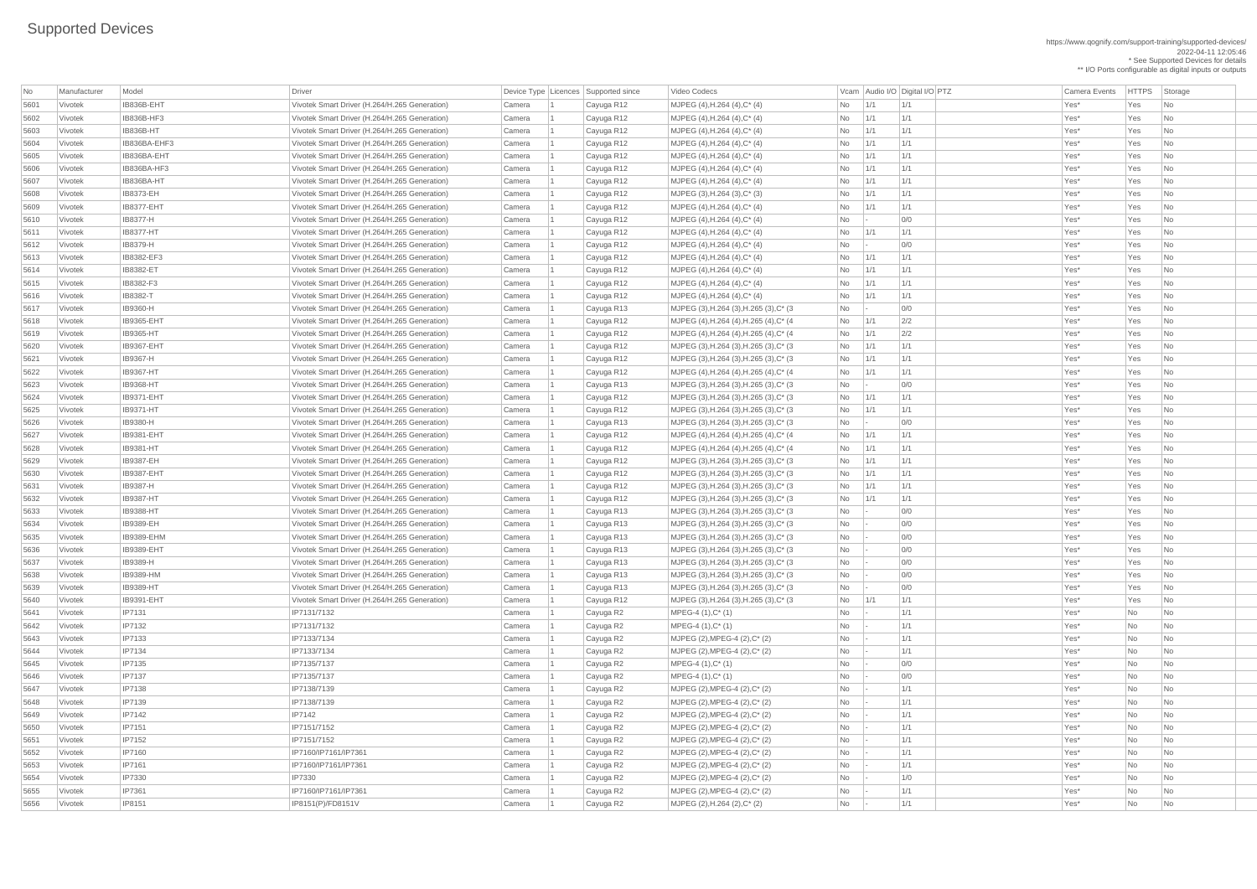https://www.qognify.com/support-training/supported-devices/ 2022-04-11 12:05:46 \* See Supported Devices for details \*\* I/O Ports configurable as digital inputs or outputs

| MJPEG (3),H.264 (3),H.265 (3),C\* (3  $\qquad \qquad$  No  $\qquad$  - 0/0  $\qquad \qquad$  0/0 Yes\* Yes No | MJPEG (4),H.264 (4),H.265 (4),C\* (4 No 1/1 2/2 No 202 Yes\* Yes No | MJPEG (4),H.264 (4),H.265 (4),C\* (4  $\hbox{No}$  1/1  $\hbox{2/2}$  Yes\* Yes No |MJPEG (3),H.264 (3),H.265 (3),C\* (3  $\qquad$  No  $\qquad$  1/1  $\qquad$  1/1  $\qquad$  1/1  $\qquad$  Yes\* Yes No  $\qquad$ | MJPEG (3),H.264 (3),H.265 (3),C\* (3  $\qquad \qquad$  No  $\qquad$  1/1  $\qquad$  1/1  $\qquad$  1/1  $\qquad$  Yes\* Yes No 5622 Vivotek IB9367-HT Vivotek Smart Driver (H.264/H.265 Generation) Camera 1 Cayuga R12 MJPEG (4),H.264 (4),H.265 (4),C\* (4 No 1/1 1/1 Yes\* Yes No | MJPEG (3),H.264 (3),H.265 (3),C\* (3  $\qquad \qquad$  No  $\qquad$  - 0/0  $\qquad$  0/0 Yes\* Yes No | MJPEG (3),H.264 (3),H.265 (3),C\* (3  $\qquad \qquad$  No  $\qquad$  1/1  $\qquad$  1/1  $\qquad$  1/1  $\qquad$  Yes\* Yes No | MJPEG (3),H.264 (3),H.265 (3),C\* (3  $\qquad$  No  $\qquad$  1/1  $\qquad$  1/1  $\qquad$  1/1  $\qquad$  Yes\* Yes No | MJPEG (3),H.264 (3),H.265 (3),C\* (3  $\qquad \qquad$  No  $\qquad$  - 0/0  $\qquad \qquad$  0/0 Yes\* Yes No | MJPEG (4),H.264 (4),H.265 (4),C\* (4  $\blacksquare$  No  $\blacksquare$  1/1  $\blacksquare$  1/1  $\blacksquare$  1/1  $\blacksquare$  Yes\* Yes No  $\blacksquare$ 5628 Vivotek IB9381-HT Vivotek Smart Driver (H.264/H.265 Generation) Camera 1 Cayuga R12 MJPEG (4),H.264 (4),H.265 (4),C\* (4 No 1/1 1/1 Yes\* Yes No 5629 Vivotek IB9387-EH Vivotek Smart Driver (H.264/H.265 Generation) Camera 1 Cayuga R12 MJPEG (3),H.264 (3),H.265 (3),C\* (3 No 1/1 1/1 Yes\* Yes No | MJPEG (3),H.264 (3),H.265 (3),C\* (3  $\qquad$  | No  $\qquad$  | 1/1  $\qquad$  | 1/1  $\qquad$  | Yes\* Yes | No | MJPEG (3),H.264 (3),H.265 (3),C\* (3  $\qquad \qquad$  No  $\qquad$  1/1  $\qquad$  1/1  $\qquad$  1/1  $\qquad$  Yes\* Yes No | MJPEG (3),H.264 (3),H.265 (3),C\* (3  $\qquad \qquad$  No  $\qquad$  1/1  $\qquad$  1/1  $\qquad$  1/1  $\qquad$  Yes\* Yes No | MJPEG (3),H.264 (3),H.265 (3),C\* (3  $\qquad \qquad$  No  $\qquad$  - 0/0  $\qquad \qquad$  0/0 Yes\* Yes No | MJPEG (3),H.264 (3),H.265 (3),C\* (3  $\qquad$  | No  $\qquad$  -  $\qquad$  0/0  $\qquad$  |  $\qquad$   $\qquad$  Yes\* Yes No  $\qquad$ | MJPEG (3),H.264 (3),H.265 (3),C\* (3  $\qquad \qquad$  No  $\qquad$  -  $\qquad$  0/0  $\qquad$  0/0 Yes\* Yes No | MJPEG (3),H.264 (3),H.265 (3),C\* (3  $\qquad \qquad$  No  $\qquad$  - 0/0  $\qquad \qquad$  0/0 Yes\* Yes No | MJPEG (3),H.264 (3),H.265 (3),C\* (3  $\qquad \qquad$  No  $\qquad$  - 0/0  $\qquad \qquad$  0/0 Yes\* Yes No | MJPEG (3),H.264 (3),H.265 (3),C\* (3  $\qquad \qquad$  No  $\qquad$  - 0/0  $\qquad \qquad$  0/0 Yes\* Yes No | MJPEG (3),H.264 (3),H.265 (3),C\* (3  $\qquad \qquad$  No  $\qquad$  - 0/0  $\qquad \qquad$  0/0 Yes\* Yes No | MJPEG (3),H.264 (3),H.265 (3),C\* (3  $\qquad$  No  $\qquad$  1/1  $\qquad$  1/1  $\qquad$  1/1  $\qquad$  Yes\* Yes No

| No   | Manufacturer | Model             | <b>Driver</b>                                 |                  | Device Type Licences Supported since | Video Codecs                                      |           |              | Vcam Audio I/O Digital I/O PTZ | <b>Camera Events</b> | <b>HTTPS</b> | Storage                     |
|------|--------------|-------------------|-----------------------------------------------|------------------|--------------------------------------|---------------------------------------------------|-----------|--------------|--------------------------------|----------------------|--------------|-----------------------------|
| 5601 | Vivotek      | IB836B-EHT        | Vivotek Smart Driver (H.264/H.265 Generation) | Camera           | Cayuga R12                           | MJPEG (4), H.264 (4), C* (4)                      | <b>No</b> | 1/1          | 1/1                            | Yes*                 | Yes          | No                          |
| 5602 | Vivotek      | <b>IB836B-HF3</b> | Vivotek Smart Driver (H.264/H.265 Generation) | Camera           | Cayuga R12                           | MJPEG $(4)$ , H.264 $(4)$ , C* $(4)$              | <b>No</b> | 1/1          | 1/1                            | Yes*                 | Yes          | No                          |
| 5603 | Vivotek      | IB836B-HT         | Vivotek Smart Driver (H.264/H.265 Generation) | Camera           | Cayuga R12                           | MJPEG (4), H.264 (4), C* (4)                      | <b>No</b> | 1/1          | 1/1                            | Yes*                 | Yes          | N <sub>o</sub>              |
| 5604 | Vivotek      | IB836BA-EHF3      | Vivotek Smart Driver (H.264/H.265 Generation) | Camera           | Cayuga R12                           | MJPEG (4), H.264 (4), C* (4)                      | <b>No</b> | 1/1          | 1/1                            | Yes*                 | Yes          | N <sub>o</sub>              |
| 5605 | Vivotek      | IB836BA-EHT       | Vivotek Smart Driver (H.264/H.265 Generation) | Camera           | Cayuga R12                           | $MJPEG (4), H.264 (4), C^*(4)$                    | No        | 1/1          | 1/1                            | Yes*                 | Yes          | N <sub>o</sub>              |
|      | Vivotek      | IB836BA-HF3       | Vivotek Smart Driver (H.264/H.265 Generation) |                  |                                      |                                                   |           | 1/1          | 1/1                            | Yes*                 | Yes          | N <sub>o</sub>              |
| 5606 | Vivotek      | IB836BA-HT        | Vivotek Smart Driver (H.264/H.265 Generation) | Camera<br>Camera | Cayuga R12                           | MJPEG (4), H.264 (4), C* (4)                      | <b>No</b> | 1/1          | 1/1                            | Yes*                 | Yes          | N <sub>o</sub>              |
| 5607 | Vivotek      | <b>IB8373-EH</b>  | Vivotek Smart Driver (H.264/H.265 Generation) |                  | Cayuga R12                           | MJPEG $(4)$ , H.264 $(4)$ , C* $(4)$              | <b>No</b> | 1/1          | 1/1                            | Yes*                 | Yes          | No                          |
| 5608 |              |                   |                                               | Camera           | Cayuga R12                           | MJPEG $(3)$ , H.264 $(3)$ , C* $(3)$              | <b>No</b> |              |                                |                      | Yes          |                             |
| 5609 | Vivotek      | <b>IB8377-EHT</b> | Vivotek Smart Driver (H.264/H.265 Generation) | Camera           | Cayuga R12                           | MJPEG (4), H.264 (4), C* (4)                      | <b>No</b> | 1/1          | 1/1                            | Yes*                 |              | N <sub>o</sub>              |
| 5610 | Vivotek      | <b>IB8377-H</b>   | Vivotek Smart Driver (H.264/H.265 Generation) | Camera           | Cayuga R12                           | MJPEG (4), H.264 (4), C* (4)                      | No        | $\sim$       | 0/0                            | Yes*                 | Yes          | $\overline{\phantom{a}}$ No |
| 5611 | Vivotek      | <b>IB8377-HT</b>  | Vivotek Smart Driver (H.264/H.265 Generation) | Camera           | Cayuga R12                           | $MJPEG (4), H.264 (4), C^*(4)$                    | <b>No</b> | 1/1          | 1/1                            | Yes*                 | Yes          | No                          |
| 5612 | Vivotek      | <b>IB8379-H</b>   | Vivotek Smart Driver (H.264/H.265 Generation) | Camera           | Cayuga R12                           | MJPEG (4), H.264 (4), C* (4)                      | <b>No</b> |              | 0/0                            | Yes*                 | Yes          | N <sub>o</sub>              |
| 5613 | Vivotek      | <b>IB8382-EF3</b> | Vivotek Smart Driver (H.264/H.265 Generation) | Camera           | Cayuga R12                           | MJPEG $(4)$ , H.264 $(4)$ , C* $(4)$              | <b>No</b> | 1/1          | 1/1                            | Yes*                 | Yes          | N <sub>o</sub>              |
| 5614 | Vivotek      | <b>IB8382-ET</b>  | Vivotek Smart Driver (H.264/H.265 Generation) | Camera           | Cayuga R12                           | MJPEG (4), H.264 (4), C* (4)                      | <b>No</b> | 1/1          | 1/1                            | Yes*                 | Yes          | N <sub>o</sub>              |
| 5615 | Vivotek      | IB8382-F3         | Vivotek Smart Driver (H.264/H.265 Generation) | Camera           | Cayuga R12                           | MJPEG (4), H.264 (4), C* (4)                      | <b>No</b> | 1/1          | 1/1                            | Yes*                 | Yes          | N <sub>o</sub>              |
| 5616 | Vivotek      | <b>IB8382-T</b>   | Vivotek Smart Driver (H.264/H.265 Generation) | Camera           | Cayuga R12                           | MJPEG (4), H.264 (4), C* (4)                      | No        | 1/1          | 1/1                            | Yes*                 | Yes          | N <sub>o</sub>              |
| 5617 | Vivotek      | <b>IB9360-H</b>   | Vivotek Smart Driver (H.264/H.265 Generation) | Camera           | Cayuga R13                           | MJPEG (3), H.264 (3), H.265 (3), C* (3)           | No        | $\sim$       | 0/0                            | Yes*                 | Yes          | N <sub>o</sub>              |
| 5618 | Vivotek      | <b>IB9365-EHT</b> | Vivotek Smart Driver (H.264/H.265 Generation) | Camera           | Cayuga R12                           | MJPEG (4), H.264 (4), H.265 (4), C* (4)           | No        | 1/1          | 2/2                            | Yes*                 | Yes          | N <sub>o</sub>              |
| 5619 | Vivotek      | <b>IB9365-HT</b>  | Vivotek Smart Driver (H.264/H.265 Generation) | Camera           | Cayuga R12                           | MJPEG (4), H.264 (4), H.265 (4), C* (4)           | <b>No</b> | 1/1          | 2/2                            | Yes*                 | Yes          | No                          |
| 5620 | Vivotek      | <b>IB9367-EHT</b> | Vivotek Smart Driver (H.264/H.265 Generation) | Camera           | Cayuga R12                           | MJPEG (3), H.264 (3), H.265 (3), C* (3)           | <b>No</b> | 1/1          | 1/1                            | Yes*                 | Yes          | N <sub>o</sub>              |
| 5621 | Vivotek      | <b>IB9367-H</b>   | Vivotek Smart Driver (H.264/H.265 Generation) | Camera           | Cayuga R12                           | MJPEG (3), H.264 (3), H.265 (3), C* (3)           | <b>No</b> | 1/1          | 1/1                            | Yes*                 | Yes          | N <sub>o</sub>              |
| 5622 | Vivotek      | <b>IB9367-HT</b>  | Vivotek Smart Driver (H.264/H.265 Generation) | Camera           | Cayuga R12                           | MJPEG (4), H.264 (4), H.265 (4), C* (4)           | No        | 1/1          | 1/1                            | Yes*                 | Yes          | N <sub>o</sub>              |
| 5623 | Vivotek      | <b>IB9368-HT</b>  | Vivotek Smart Driver (H.264/H.265 Generation) | Camera           | Cayuga R13                           | MJPEG (3), H.264 (3), H.265 (3), C* (3)           | No        | $\sim$       | 0/0                            | Yes*                 | Yes          | N <sub>o</sub>              |
| 5624 | Vivotek      | <b>IB9371-EHT</b> | Vivotek Smart Driver (H.264/H.265 Generation) | Camera           | Cayuga R12                           | MJPEG (3), H.264 (3), H.265 (3), C* (3)           | <b>No</b> | 1/1          | 1/1                            | Yes*                 | Yes          | N <sub>o</sub>              |
| 5625 | Vivotek      | <b>IB9371-HT</b>  | Vivotek Smart Driver (H.264/H.265 Generation) | Camera           | Cayuga R12                           | MJPEG (3), H.264 (3), H.265 (3), C* (3)           | No        | 1/1          | 1/1                            | Yes*                 | Yes          | No                          |
| 5626 | Vivotek      | IB9380-H          | Vivotek Smart Driver (H.264/H.265 Generation) | Camera           | Cayuga R13                           | MJPEG (3), H.264 (3), H.265 (3), C* (3)           | No.       |              | 0/0                            | Yes*                 | Yes          | No                          |
| 5627 | Vivotek      | <b>IB9381-EHT</b> | Vivotek Smart Driver (H.264/H.265 Generation) | Camera           | Cayuga R12                           | MJPEG (4), H.264 (4), H.265 (4), C* (4)           | No        | 1/1          | 1/1                            | Yes*                 | Yes          | N <sub>o</sub>              |
| 5628 | Vivotek      | <b>IB9381-HT</b>  | Vivotek Smart Driver (H.264/H.265 Generation) | Camera           | Cayuga R12                           | MJPEG (4), H.264 (4), H.265 (4), C* (4)           | No        | 1/1          | 1/1                            | Yes*                 | Yes          | N <sub>o</sub>              |
| 5629 | Vivotek      | <b>IB9387-EH</b>  | Vivotek Smart Driver (H.264/H.265 Generation) | Camera           | Cayuga R12                           | MJPEG (3), H.264 (3), H.265 (3), C* (3)           | No        | 1/1          | 1/1                            | Yes*                 | Yes          | No                          |
| 5630 | Vivotek      | <b>IB9387-EHT</b> | Vivotek Smart Driver (H.264/H.265 Generation) | Camera           | Cayuga R12                           | MJPEG (3), H.264 (3), H.265 (3), C* (3)           | <b>No</b> | 1/1          | 1/1                            | Yes*                 | Yes          | N <sub>o</sub>              |
| 5631 | Vivotek      | <b>IB9387-H</b>   | Vivotek Smart Driver (H.264/H.265 Generation) | Camera           | Cayuga R12                           | MJPEG (3), H.264 (3), H.265 (3), C* (3)           | <b>No</b> | 1/1          | 1/1                            | Yes*                 | Yes          | N <sub>o</sub>              |
| 5632 | Vivotek      | <b>IB9387-HT</b>  | Vivotek Smart Driver (H.264/H.265 Generation) | Camera           | Cayuga R12                           | MJPEG (3), H.264 (3), H.265 (3), C* (3)           | <b>No</b> | 1/1          | 1/1                            | Yes*                 | Yes          | No                          |
| 5633 | Vivotek      | <b>IB9388-HT</b>  | Vivotek Smart Driver (H.264/H.265 Generation) | Camera           | Cayuga R13                           | MJPEG (3), H.264 (3), H.265 (3), C* (3)           | No        |              | 0/0                            | Yes*                 | Yes          | N <sub>o</sub>              |
| 5634 | Vivotek      | <b>IB9389-EH</b>  | Vivotek Smart Driver (H.264/H.265 Generation) | Camera           | Cayuga R13                           | MJPEG (3), H.264 (3), H.265 (3), C* (3)           | No        |              | 0/0                            | Yes*                 | Yes          | No                          |
| 5635 | Vivotek      | <b>IB9389-EHM</b> | Vivotek Smart Driver (H.264/H.265 Generation) | Camera           | Cayuga R13                           | MJPEG (3), H.264 (3), H.265 (3), C* (3)           | No        |              | 0/0                            | Yes*                 | Yes          | No                          |
| 5636 | Vivotek      | <b>IB9389-EHT</b> | Vivotek Smart Driver (H.264/H.265 Generation) | Camera           | Cayuga R13                           | MJPEG (3), H.264 (3), H.265 (3), C* (3)           | No        |              | 0/0                            | Yes*                 | Yes          | N <sub>o</sub>              |
| 5637 | Vivotek      | <b>IB9389-H</b>   | Vivotek Smart Driver (H.264/H.265 Generation) | Camera           | Cayuga R13                           | MJPEG (3), H.264 (3), H.265 (3), C* (3)           | No        |              | 0/0                            | Yes*                 | Yes          | N <sub>o</sub>              |
| 5638 | Vivotek      | <b>IB9389-HM</b>  | Vivotek Smart Driver (H.264/H.265 Generation) | Camera           | Cayuga R13                           | MJPEG (3), H.264 (3), H.265 (3), C* (3)           | No        |              | 0/0                            | Yes*                 | Yes          | No                          |
| 5639 | Vivotek      | <b>IB9389-HT</b>  | Vivotek Smart Driver (H.264/H.265 Generation) | Camera           | Cayuga R13                           | MJPEG (3), H.264 (3), H.265 (3), C* (3)           | No        |              | 0/0                            | Yes*                 | Yes          | N <sub>o</sub>              |
| 5640 | Vivotek      | <b>IB9391-EHT</b> | Vivotek Smart Driver (H.264/H.265 Generation) | Camera           | Cayuga R12                           | MJPEG (3), H.264 (3), H.265 (3), C* (3)           | No        | 1/1          | 1/1                            | Yes*                 | Yes          | N <sub>o</sub>              |
| 5641 | Vivotek      | <b>IP7131</b>     | IP7131/7132                                   | Camera           | Cayuga R2                            | $MPEG-4 (1), C^*(1)$                              | No        |              | 1/1                            | Yes*                 | No           | No                          |
| 5642 | Vivotek      | <b>IP7132</b>     | IP7131/7132                                   | Camera           | Cayuga R2                            | $MPEG-4 (1), C^*(1)$                              | <b>No</b> |              | 1/1                            | Yes*                 | <b>No</b>    | N <sub>o</sub>              |
| 5643 | Vivotek      | <b>IP7133</b>     | IP7133/7134                                   | Camera           | Cayuga R2                            | MJPEG (2), MPEG-4 (2), C* (2)                     | No        |              | 1/1                            | Yes*                 | <b>No</b>    | No                          |
| 5644 | Vivotek      | <b>IP7134</b>     | IP7133/7134                                   | Camera           | Cayuga R2                            | MJPEG (2), MPEG-4 (2), C* (2)                     | No        |              | 1/1                            | Yes*                 | <b>No</b>    | No                          |
| 5645 | Vivotek      | <b>IP7135</b>     | IP7135/7137                                   | Camera           | Cayuga R2                            | $MPEG-4 (1), C^*(1)$                              | No        |              | 0/0                            | Yes*                 | <b>No</b>    | No                          |
| 5646 | Vivotek      | <b>IP7137</b>     | IP7135/7137                                   | Camera           | Cayuga R2                            | $MPEG-4 (1), C^*(1)$                              | No        |              | 0/0                            | Yes*                 | <b>No</b>    | No                          |
| 5647 | Vivotek      | <b>IP7138</b>     | IP7138/7139                                   | Camera           | Cayuga R2                            | MJPEG $(2)$ , MPEG-4 $(2)$ , C* $(2)$             | No        |              | 1/1                            | Yes*                 | <b>No</b>    | No                          |
| 5648 | Vivotek      | <b>IP7139</b>     | IP7138/7139                                   | Camera           | Cayuga R2                            | MJPEG $(2)$ , MPEG-4 $(2)$ , C* $(2)$             | No        |              | 1/1                            | Yes*                 | <b>No</b>    | No                          |
| 5649 | Vivotek      | <b>IP7142</b>     | IP7142                                        | Camera           | Cayuga R2                            | MJPEG (2), MPEG-4 (2), C* (2)                     | No        |              | 1/1                            | Yes*                 | <b>No</b>    | No                          |
| 5650 | Vivotek      | <b>IP7151</b>     | IP7151/7152                                   | Camera           | Cayuga R2                            | MJPEG (2), MPEG-4 (2), C* (2)                     | No        |              | 1/1                            | Yes*                 | <b>No</b>    | No                          |
| 5651 | Vivotek      | <b>IP7152</b>     | IP7151/7152                                   | Camera           | Cayuga R2                            | MJPEG (2), MPEG-4 (2), C* (2)                     | <b>No</b> |              | 1/1                            | Yes*                 | <b>No</b>    | No                          |
| 5652 | Vivotek      | IP7160            | IP7160/IP7161/IP7361                          | Camera           | Cayuga R2                            | MJPEG (2), MPEG-4 (2), C* (2)                     | No        |              | 1/1                            | Yes*                 | No           | No                          |
| 5653 | Vivotek      | <b>IP7161</b>     | IP7160/IP7161/IP7361                          | Camera           | Cayuga R2                            | $MJPEG (2), MPEG-4 (2), C^{*} (2)$                | No        | $\mathbf{r}$ | 1/1                            | Yes*                 | <b>No</b>    | No                          |
| 5654 | Vivotek      | <b>IP7330</b>     | <b>IP7330</b>                                 | Camera           | Cayuga R2                            | $MJPEG (2), MPEG-4 (2), C^{*} (2)$                | No        |              | 1/0                            | Yes*                 | No.          | No                          |
| 5655 | Vivotek      | <b>IP7361</b>     | IP7160/IP7161/IP7361                          | Camera           | Cayuga R2                            | MJPEG $(2)$ , MPEG-4 $(2)$ , C <sup>*</sup> $(2)$ | No        |              | 1/1                            | Yes*                 | <b>No</b>    | No                          |
| 5656 | Vivotek      | <b>IP8151</b>     | IP8151(P)/FD8151V                             | Camera           | Cayuga R2                            | $MJPEG (2), H.264 (2), C^*(2)$                    | No        |              | 1/1                            | Yes*                 | No           | $\overline{\phantom{a}}$ No |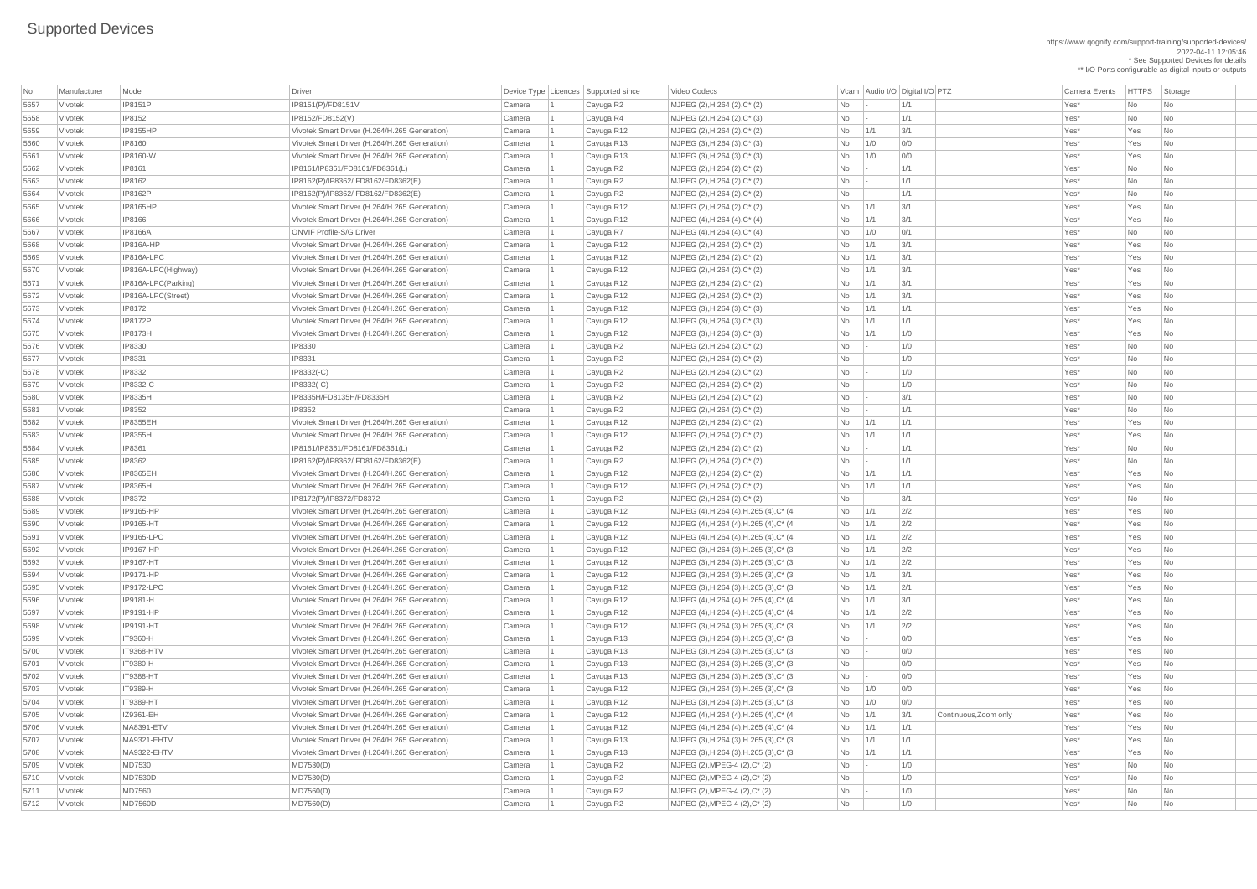https://www.qognify.com/support-training/supported-devices/ 2022-04-11 12:05:46 \* See Supported Devices for details \*\* I/O Ports configurable as digital inputs or outputs

| MJPEG (4),H.264 (4),H.265 (4),C\* (4 No 1/1 2/2 No 202 Yes\* Yes No | MJPEG (4),H.264 (4),H.265 (4),C\* (4 No 1/1 2/2 No 202 Yes\* Yes No 5691 Vivotek IP9165-LPC Vivotek Smart Driver (H.264/H.265 Generation) Camera 1 Cayuga R12 MJPEG (4),H.264 (4),H.265 (4),C\* (4 No 1/1 2/2 Yes\* Yes No | MJPEG (3),H.264 (3),H.265 (3),C\* (3  $\qquad$  No  $\qquad$  1/1  $\qquad$  2/2  $\qquad$  Yes\* Yes No | MJPEG (3),H.264 (3),H.265 (3),C\* (3  $\qquad$  No  $\qquad$  1/1  $\qquad$  2/2  $\qquad$  Yes\* Yes No | MJPEG (3),H.264 (3),H.265 (3),C\* (3  $\qquad \qquad$  No  $\qquad$  1/1  $\qquad$  3/1  $\qquad$  Yes\* Yes No | MJPEG (3),H.264 (3),H.265 (3),C\* (3  $\qquad \qquad$  No  $\qquad$  1/1  $\qquad$  2/1  $\qquad \qquad$  Yes\* Yes No | MJPEG (4),H.264 (4),H.265 (4),C\* (4 No 1/1 3/1 | 300 | 1/1 Single Res\* Yes No | MJPEG (4),H.264 (4),H.265 (4),C\* (4  $\overline{a}$  No  $\overline{1/1}$  2/2  $\overline{1/2}$  Yes\* Yes No | MJPEG (3),H.264 (3),H.265 (3),C\* (3  $\qquad \qquad$  No  $\qquad$  1/1  $\qquad$  2/2  $\qquad \qquad$  Yes\* Yes No No 1/1 MJPEG (3),H.264 (3),H.265 (3),C\* (3 No  $\vert$ - 0/0 yes\* Yes No | MJPEG (3),H.264 (3),H.265 (3),C\* (3  $\qquad \qquad$  No  $\qquad$  - 0/0  $\qquad \qquad$  0/0  $\qquad \qquad$  Yes\* Yes No | MJPEG (3),H.264 (3),H.265 (3),C\* (3  $\qquad \qquad$  No  $\qquad$  - 0/0  $\qquad \qquad$  0/0 Yes\* Yes No | MJPEG (3),H.264 (3),H.265 (3),C\* (3  $\qquad \qquad$  No  $\qquad$  - 0/0  $\qquad \qquad$  0/0 Yes\* Yes No | MJPEG (3),H.264 (3),H.265 (3),C\* (3  $\qquad \qquad$  No  $\qquad$  1/0 0/0  $\qquad$  0/0  $\qquad$  Yes\* Yes No | MJPEG (3),H.264 (3),H.265 (3),C\* (3  $\qquad \qquad$  No  $\qquad$  1/0 0/0  $\qquad$  0/0  $\qquad \qquad$  Yes\* Yes No  $\begin{array}{|l|c|c|c|c|}\n \hline \text{MJPEG (4),H.264 (4),H.265 (4),C*(4 & \text{No} & \text{1/1} & \text{3/1} & \text{Continuous},\text{Zoom only} & \text{Yes} & \text{Yes} & \text{No} & \text{1/2} & \text{1/3/3} & \text{1/4} & \text{1/4} & \text{1/4} & \text{1/4} & \text{1/4} & \text{1/4} & \text{1/4} & \text{1/4} & \text{1/4} & \text{1/4} & \text{1/4} & \text{1/4} & \text{$ | MJPEG (4),H.264 (4),H.265 (4),C\* (4  $\hbox{No}$  1/1 1/1 1/1 No 11/1 Yes\* Yes No | MJPEG (3),H.264 (3),H.265 (3),C\* (3  $\qquad \qquad$  No  $\qquad$  1/1  $\qquad$  1/1  $\qquad$  1/1  $\qquad$  Yes\* Yes No | MJPEG (3),H.264 (3),H.265 (3),C\* (3  $\qquad$  No  $\qquad$  1/1  $\qquad$  1/1  $\qquad$  1/1  $\qquad$  Yes\* Yes No

| <b>No</b>    | Manufacturer       | Model                                | <b>Driver</b>                                                                                  | Device Type   Licences   Supported since |                          | Video Codecs                                                                       |           |                     | Vcam Audio I/O Digital I/O PTZ | <b>Camera Events</b> | <b>HTTPS</b> | Storage                          |
|--------------|--------------------|--------------------------------------|------------------------------------------------------------------------------------------------|------------------------------------------|--------------------------|------------------------------------------------------------------------------------|-----------|---------------------|--------------------------------|----------------------|--------------|----------------------------------|
| 5657         | Vivotek            | <b>IP8151P</b>                       | IP8151(P)/FD8151V                                                                              | Camera                                   | Cayuga R2                | MJPEG (2), H.264 (2), C* (2)                                                       | <b>No</b> |                     | 1/1                            | Yes*                 | <b>No</b>    | No                               |
| 5658         | Vivotek            | <b>IP8152</b>                        | IP8152/FD8152(V)                                                                               | Camera                                   | Cayuga R4                | MJPEG (2), H.264 (2), C* (3)                                                       | <b>No</b> |                     | 1/1                            | Yes*                 | <b>No</b>    | No                               |
| 5659         | Vivotek            | <b>IP8155HP</b>                      | Vivotek Smart Driver (H.264/H.265 Generation)                                                  | Camera                                   | Cayuga R12               | MJPEG (2), H.264 (2), C* (2)                                                       | <b>No</b> | 1/1                 | 3/1                            | Yes*                 | Yes          | No                               |
| 5660         | Vivotek            | <b>IP8160</b>                        | Vivotek Smart Driver (H.264/H.265 Generation)                                                  | Camera                                   | Cayuga R13               | $MJPEG (3), H.264 (3), C^*(3)$                                                     | No        | 1/0                 | 0/0                            | Yes*                 | Yes          | No                               |
| 5661         | Vivotek            | <b>IP8160-W</b>                      | Vivotek Smart Driver (H.264/H.265 Generation)                                                  | Camera                                   | Cayuga R13               | MJPEG $(3)$ , H.264 $(3)$ , C* $(3)$                                               | <b>No</b> | 1/0                 | 0/0                            | Yes*                 | Yes          | No                               |
| 5662         | Vivotek            | <b>IP8161</b>                        | IP8161/IP8361/FD8161/FD8361(L)                                                                 | Camera                                   | Cayuga R2                | MJPEG (2), H.264 (2), C* (2)                                                       | No        |                     | 1/1                            | Yes*                 | <b>No</b>    | No                               |
| 5663         | Vivotek            | <b>IP8162</b>                        | IP8162(P)/IP8362/ FD8162/FD8362(E)                                                             | Camera                                   | Cayuga R2                | MJPEG (2), H.264 (2), C* (2)                                                       | No        |                     | 1/1                            | Yes*                 | <b>No</b>    | No                               |
| 5664         | Vivotek            | <b>IP8162P</b>                       | IP8162(P)/IP8362/ FD8162/FD8362(E)                                                             | Camera                                   | Cayuga R2                | MJPEG (2), H.264 (2), C* (2)                                                       | No        |                     | 1/1                            | Yes*                 | No           | No                               |
| 5665         | Vivotek            | <b>IP8165HP</b>                      | Vivotek Smart Driver (H.264/H.265 Generation)                                                  | Camera                                   | Cayuga R12               | MJPEG (2), H.264 (2), C* (2)                                                       | <b>No</b> | 1/1                 | 3/1                            | Yes*                 | Yes          | No                               |
| 5666         | Vivotek            | <b>IP8166</b>                        | Vivotek Smart Driver (H.264/H.265 Generation)                                                  | Camera                                   | Cayuga R12               | $MJPEG (4), H.264 (4), C^* (4)$                                                    | No        | 1/1                 | 3/1                            | Yes*                 | Yes          | No                               |
| 5667         | Vivotek            | <b>IP8166A</b>                       | <b>ONVIF Profile-S/G Driver</b>                                                                | Camera                                   | Cayuga R7                | $MJPEG (4), H.264 (4), C^* (4)$                                                    | <b>No</b> | 1/0                 | 0/1                            | Yes*                 | <b>No</b>    | No                               |
| 5668         | Vivotek            | IP816A-HP                            | Vivotek Smart Driver (H.264/H.265 Generation)                                                  | Camera                                   | Cayuga R12               | MJPEG (2), H.264 (2), C* (2)                                                       | <b>No</b> | 1/1                 | 3/1                            | Yes*                 | Yes          | No                               |
| 5669         | Vivotek            | IP816A-LPC                           | Vivotek Smart Driver (H.264/H.265 Generation)                                                  | Camera                                   | Cayuga R12               | MJPEG (2), H.264 (2), C* (2)                                                       | <b>No</b> | 1/1                 | 3/1                            | Yes*                 | Yes          | No                               |
| 5670         | Vivotek            | IP816A-LPC(Highway)                  | Vivotek Smart Driver (H.264/H.265 Generation)                                                  | Camera                                   | Cayuga R12               | $MJPEG (2), H.264 (2), C^*(2)$                                                     | <b>No</b> | 1/1                 | 3/1                            | Yes*                 | Yes          | N <sub>o</sub>                   |
| 5671         | Vivotek            | IP816A-LPC(Parking)                  | Vivotek Smart Driver (H.264/H.265 Generation)                                                  | Camera                                   | Cayuga R12               | MJPEG (2), H.264 (2), C* (2)                                                       | <b>No</b> | 1/1                 | 3/1                            | Yes*                 | Yes          | N <sub>o</sub>                   |
| 5672         | Vivotek            | IP816A-LPC(Street)                   | Vivotek Smart Driver (H.264/H.265 Generation)                                                  | Camera                                   | Cayuga R12               | $MJPEG (2), H.264 (2), C^* (2)$                                                    | No        | 1/1                 | 3/1                            | Yes*                 | Yes          | No                               |
| 5673         | Vivotek            | <b>IP8172</b>                        | Vivotek Smart Driver (H.264/H.265 Generation)                                                  | Camera                                   | Cayuga R12               | MJPEG $(3)$ , H.264 $(3)$ , C* $(3)$                                               | <b>No</b> | 1/1                 | 1/1                            | Yes*                 | Yes          | N <sub>o</sub>                   |
| 5674         | Vivotek            | <b>IP8172P</b>                       | Vivotek Smart Driver (H.264/H.265 Generation)                                                  | Camera                                   | Cayuga R12               | $MJPEG (3), H.264 (3), C^*(3)$                                                     | <b>No</b> | 1/1                 | 1/1                            | Yes*                 | Yes          | No                               |
| 5675         | Vivotek            | <b>IP8173H</b>                       | Vivotek Smart Driver (H.264/H.265 Generation)                                                  | Camera                                   | Cayuga R12               | MJPEG $(3)$ , H.264 $(3)$ , C* $(3)$                                               | <b>No</b> | 1/1                 | 1/0                            | Yes*                 | Yes          | No                               |
| 5676         | Vivotek            | <b>IP8330</b>                        | IP8330                                                                                         | Camera                                   | Cayuga R2                | MJPEG (2), H.264 (2), C* (2)                                                       | <b>No</b> |                     | 1/0                            | Yes*                 | No           | N <sub>o</sub>                   |
| 5677         | Vivotek            | <b>IP8331</b>                        | IP8331                                                                                         | Camera                                   | Cayuga R2                | MJPEG (2), H.264 (2), C* (2)                                                       | No        |                     | 1/0                            | Yes*                 | <b>No</b>    | No                               |
| 5678         | Vivotek            | <b>IP8332</b>                        | $IP8332(-C)$                                                                                   | Camera                                   | Cayuga R2                | $MJPEG (2), H.264 (2), C^* (2)$                                                    | No        |                     | 1/0                            | Yes*                 | <b>No</b>    | No                               |
| 5679         | Vivotek            | <b>IP8332-C</b>                      | IP8332(-C)                                                                                     | Camera                                   | Cayuga R2                | $MJPEG (2), H.264 (2), C^* (2)$                                                    | <b>No</b> |                     | 1/0                            | Yes*                 | <b>No</b>    | No                               |
| 5680         | Vivotek            | <b>IP8335H</b>                       | IP8335H/FD8135H/FD8335H                                                                        | Camera                                   | Cayuga R2                | MJPEG (2), H.264 (2), C* (2)                                                       | No        |                     | 3/1                            | Yes*                 | <b>No</b>    | No                               |
| 5681         | Vivotek            | <b>IP8352</b>                        | IP8352                                                                                         | Camera                                   | Cayuga R2                | MJPEG (2), H.264 (2), C* (2)                                                       | <b>No</b> |                     | 1/1                            | Yes*                 | <b>No</b>    | No                               |
| 5682         | Vivotek            | <b>IP8355EH</b>                      | Vivotek Smart Driver (H.264/H.265 Generation)                                                  | Camera                                   | Cayuga R12               | MJPEG (2), H.264 (2), C* (2)                                                       | No.       | 1/1                 | 1/1                            | Yes*                 | Yes          | $\overline{\mathsf{No}}$         |
| 5683         | Vivotek            | <b>IP8355H</b>                       | Vivotek Smart Driver (H.264/H.265 Generation)                                                  | Camera                                   | Cayuga R12               | MJPEG (2), H.264 (2), C* (2)                                                       | No        | 1/1                 | 1/1                            | Yes*                 | Yes          | No                               |
| 5684         | Vivotek            | <b>IP8361</b>                        | IP8161/IP8361/FD8161/FD8361(L)                                                                 | Camera                                   | Cayuga R2                | MJPEG (2), H.264 (2), C* (2)                                                       | No        | $\vert - \vert$     | 1/1                            | Yes*                 | No           | No                               |
| 5685         | Vivotek            | <b>IP8362</b>                        | IP8162(P)/IP8362/ FD8162/FD8362(E)                                                             | Camera                                   | Cayuga R2                | MJPEG (2), H.264 (2), C* (2)                                                       | No        |                     | 1/1                            | Yes*                 | <b>No</b>    | No                               |
| 5686         | Vivotek            | <b>IP8365EH</b>                      | Vivotek Smart Driver (H.264/H.265 Generation)                                                  | Camera                                   | Cayuga R12               | MJPEG (2), H.264 (2), C* (2)                                                       | <b>No</b> | 1/1                 | 1/1                            | Yes*                 | Yes          | No                               |
| 5687         | Vivotek            | <b>IP8365H</b>                       | Vivotek Smart Driver (H.264/H.265 Generation)                                                  | Camera                                   | Cayuga R12               | MJPEG (2), H.264 (2), C* (2)                                                       | <b>No</b> | 1/1                 | 1/1                            | Yes*                 | Yes          | No                               |
| 5688         | Vivotek            | <b>IP8372</b>                        | IP8172(P)/IP8372/FD8372                                                                        | Camera                                   | Cayuga R2                | MJPEG (2), H.264 (2), C* (2)                                                       | No        |                     | 3/1                            | Yes*                 | <b>No</b>    | N <sub>o</sub>                   |
| 5689         | Vivotek            | <b>IP9165-HP</b>                     | Vivotek Smart Driver (H.264/H.265 Generation)                                                  | Camera                                   | Cayuga R12               | MJPEG (4), H.264 (4), H.265 (4), C* (4)                                            | No        | 1/1                 | 2/2                            | Yes*                 | Yes          | N <sub>o</sub>                   |
| 5690         | Vivotek            | <b>IP9165-HT</b>                     | Vivotek Smart Driver (H.264/H.265 Generation)                                                  | Camera                                   | Cayuga R12               | MJPEG (4), H.264 (4), H.265 (4), C* (4)                                            | No        | 1/1                 | 2/2                            | Yes*                 | Yes          | No                               |
| 5691         | Vivotek            | <b>IP9165-LPC</b>                    | Vivotek Smart Driver (H.264/H.265 Generation)                                                  | Camera                                   | Cayuga R12               | MJPEG (4), H.264 (4), H.265 (4), C* (4)                                            | No        | 1/1                 | 2/2                            | Yes*                 | Yes          | N <sub>o</sub>                   |
| 5692         | Vivotek            | <b>IP9167-HP</b>                     | Vivotek Smart Driver (H.264/H.265 Generation)                                                  | Camera                                   | Cayuga R12               | MJPEG (3), H.264 (3), H.265 (3), C* (3)                                            | No        | 1/1                 | 2/2                            | Yes*                 | Yes          | No                               |
| 5693         | Vivotek            | <b>IP9167-HT</b>                     | Vivotek Smart Driver (H.264/H.265 Generation)                                                  | Camera                                   | Cayuga R12               | MJPEG (3), H.264 (3), H.265 (3), C* (3)                                            | <b>No</b> | 1/1                 | 2/2                            | Yes*                 | Yes          | No                               |
| 5694         | Vivotek            | <b>IP9171-HP</b>                     | Vivotek Smart Driver (H.264/H.265 Generation)                                                  | Camera                                   | Cayuga R12               | MJPEG (3), H.264 (3), H.265 (3), C* (3)                                            | No        | 1/1                 | 3/1                            | Yes*                 | Yes          | $\overline{\phantom{a}}$ No      |
| 5695         | Vivotek            | IP9172-LPC                           | Vivotek Smart Driver (H.264/H.265 Generation)                                                  | Camera                                   | Cayuga R12               | MJPEG (3), H.264 (3), H.265 (3), C* (3)                                            | No        | 1/1                 | 2/1                            | Yes*                 | Yes          | No                               |
| 5696         | Vivotek            | <b>IP9181-H</b>                      | Vivotek Smart Driver (H.264/H.265 Generation)                                                  | Camera                                   | Cayuga R12               | MJPEG (4), H.264 (4), H.265 (4), C* (4)                                            | No        | 1/1                 | 3/1                            | Yes*                 | Yes          | N <sub>o</sub>                   |
| 5697         | Vivotek            | <b>IP9191-HP</b><br><b>IP9191-HT</b> | Vivotek Smart Driver (H.264/H.265 Generation)                                                  | Camera                                   | Cayuga R12               | MJPEG (4), H.264 (4), H.265 (4), C* (4)                                            | No        | 1/1                 | 2/2<br>2/2                     | Yes*<br>Yes*         | Yes<br>Yes   | No<br>No                         |
| 5698         | Vivotek            |                                      | Vivotek Smart Driver (H.264/H.265 Generation)                                                  | Camera                                   | Cayuga R12               | MJPEG (3), H.264 (3), H.265 (3), C* (3)                                            | No        | 1/1                 | 0/0                            | Yes*                 | Yes          |                                  |
| 5699         | Vivotek<br>Vivotek | <b>IT9360-H</b><br><b>IT9368-HTV</b> | Vivotek Smart Driver (H.264/H.265 Generation)                                                  | Camera                                   | Cayuga R13               | MJPEG (3), H.264 (3), H.265 (3), C* (3)                                            | No        |                     | O/O                            | Yes*                 | Yes          | No<br>N <sub>o</sub>             |
| 5700         | Vivotek            | <b>IT9380-H</b>                      | Vivotek Smart Driver (H.264/H.265 Generation)                                                  | Camera                                   | Cayuga R13               | MJPEG (3), H.264 (3), H.265 (3), C* (3)                                            | No        |                     | 0/0                            | Yes*                 | Yes          |                                  |
| 5701         | Vivotek            | <b>IT9388-HT</b>                     | Vivotek Smart Driver (H.264/H.265 Generation)<br>Vivotek Smart Driver (H.264/H.265 Generation) | Camera                                   | Cayuga R13               | MJPEG (3), H.264 (3), H.265 (3), C* (3)                                            | No        | $\sim$              | 0/0                            | Yes*                 | Yes          | N <sub>o</sub><br>N <sub>0</sub> |
| 5702<br>5703 | Vivotek            | <b>IT9389-H</b>                      | Vivotek Smart Driver (H.264/H.265 Generation)                                                  | Camera<br>Camera                         | Cayuga R13<br>Cayuga R12 | MJPEG (3), H.264 (3), H.265 (3), C* (3)<br>MJPEG (3), H.264 (3), H.265 (3), C* (3) | No<br>No  | $\mathbf{I}$<br>1/0 | 0/0                            | Yes*                 | Yes          | N <sub>o</sub>                   |
| 5704         | Vivotek            | <b>IT9389-HT</b>                     | Vivotek Smart Driver (H.264/H.265 Generation)                                                  | Camera                                   | Cayuga R12               | MJPEG (3), H.264 (3), H.265 (3), C* (3)                                            | No        | 1/0                 | 0/0                            | Yes*                 | Yes          | No                               |
| 5705         | Vivotek            | IZ9361-EH                            | Vivotek Smart Driver (H.264/H.265 Generation)                                                  | Camera                                   | Cayuga R12               | MJPEG (4), H.264 (4), H.265 (4), C* (4)                                            | No        | 1/1                 | 3/1<br>Continuous, Zoom only   | Yes*                 | Yes          | No                               |
| 5706         | Vivotek            | MA8391-ETV                           | Vivotek Smart Driver (H.264/H.265 Generation)                                                  | Camera                                   | Cayuga R12               | MJPEG (4), H.264 (4), H.265 (4), C* (4)                                            | No        | 1/1                 | 1/1                            | Yes*                 | Yes          | $\overline{\phantom{a}}$ No      |
| 5707         | Vivotek            | MA9321-EHTV                          | Vivotek Smart Driver (H.264/H.265 Generation)                                                  | Camera                                   | Cayuga R13               | MJPEG (3), H.264 (3), H.265 (3), C* (3)                                            | No        | 1/1                 | 1/1                            | Yes*                 | Yes          | No                               |
| 5708         | Vivotek            | MA9322-EHTV                          | Vivotek Smart Driver (H.264/H.265 Generation)                                                  | Camera                                   | Cayuga R13               | MJPEG (3), H.264 (3), H.265 (3), C* (3)                                            | No        | 1/1                 | 1/1                            | Yes*                 | Yes          | No                               |
| 5709         | Vivotek            | MD7530                               | MD7530(D)                                                                                      | Camera                                   | Cayuga R2                | $MJPEG (2), MPEG-4 (2), C^{*} (2)$                                                 | No        |                     | 1/0                            | Yes*                 | No           | N <sub>o</sub>                   |
| 5710         | Vivotek            | <b>MD7530D</b>                       | MD7530(D)                                                                                      | Camera                                   | Cayuga R2                | $MJPEG (2), MPEG-4 (2), C^{*} (2)$                                                 | No        |                     | 1/0                            | Yes*                 | No           | N <sub>o</sub>                   |
| 5711         | Vivotek            | <b>MD7560</b>                        | MD7560(D)                                                                                      | Camera                                   | Cayuga R2                | $MJPEG (2), MPEG-4 (2), C^* (2)$                                                   | No        |                     | 1/0                            | Yes*                 | No           | $\overline{\phantom{a}}$ No      |
| 5712         | Vivotek            | MD7560D                              | MD7560(D)                                                                                      | Camera                                   | Cayuga R2                | $MJPEG (2), MPEG-4 (2), C^{*} (2)$                                                 | No        |                     | 1/0                            | Yes*                 | No           | $\overline{\phantom{a}}$ No      |
|              |                    |                                      |                                                                                                |                                          |                          |                                                                                    |           |                     |                                |                      |              |                                  |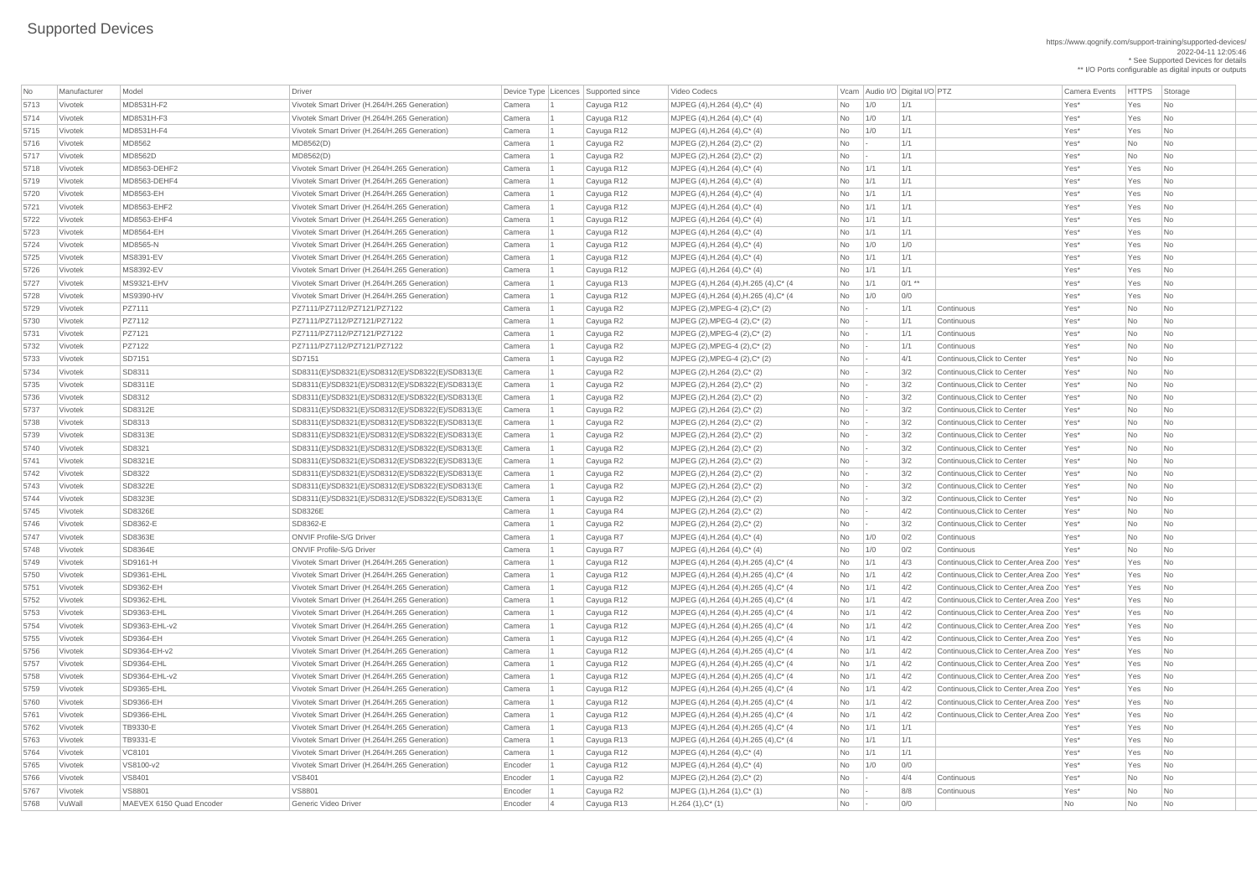https://www.qognify.com/support-training/supported-devices/ 2022-04-11 12:05:46 \* See Supported Devices for details \*\* I/O Ports configurable as digital inputs or outputs

Video Codecs **No Manufacturer Model Driver Audio I/O Digital I/O PTZ** Vcam Audio I/O Digital I/O PTZ Camera Events HTTPS Storage | MJPEG (4),H.264 (4),H.265 (4),C\* (4  $\qquad \qquad$  No  $\qquad$  1/1  $\qquad \qquad$  0/1 \*\*  $\qquad \qquad$  Yes\* Yes No No MJPEG (4),H.264 (4),H.265 (4),C\* (4 No 1/0 0/0 No 200 No 200 Yes\* Yes No MJPEG (4),H.264 (4),H.265 (4),C\* (4  $\blacksquare$  No  $\blacksquare$  1/1  $\blacksquare$  4/3 Continuous,Click to Center,Area Zoo Yes\* Yes No Vivotek SD9361-EHL Vivotek Smart Driver (H.264/H.265 Generation) Camera 1 Cayuga R12 MJPEG (4),H.264 (4),H.265 (4),C\* (4 No 1/1 4/2 Continuous,Click to Center,Area Zoo Yes\* Yes No Vivotek SD9362-EH Vivotek Smart Driver (H.264/H.265 Generation) Camera 1 Cayuga R12 MJPEG (4),H.264 (4),H.265 (4),C\* (4 No 1/1 4/2 Continuous,Click to Center,Area Zoo Yes\* Yes No  $\begin{array}{|c|c|c|c|c|c|}\n \hline\n \text{MJPEG (4),H.264 (4),H.265 (4),C*(4 & \text{No} & \text{1/1} & \text{4/2} & \text{Continuous},\text{Click to Center},\text{Area Zoo & \text{Yes} & \text{Yes} & \text{No} \\
 \hline\n \end{array}$  $\overline{\text{MJPEG (4), H.264 (4), H.265 (4), C^* (4)}}$   $\overline{\text{No}}$   $\overline{\text{1/1}}$   $\overline{\text{4/2}}$  Continuous, Click to Center, Area Zoo Yes\* Yes No Vivotek SD9363-EHL-v2 Vivotek Smart Driver (H.264/H.265 Generation) Camera 1 Cayuga R12 MJPEG (4),H.264 (4),H.265 (4),C\* (4 No 1/1 4/2 Continuous,Click to Center,Area Zoo Yes\* Yes No MJPEG (4),H.264 (4),H.265 (4),C<sup>\*</sup> (4  $\vert$  No  $\vert$  1/1  $\vert$  4/2 Continuous,Click to Center,Area Zoo Yes\* Yes No MJPEG (4),H.264 (4),H.265 (4),C<sup>\*</sup> (4  $\vert$  No  $\vert$  1/1  $\vert$  4/2 Continuous,Click to Center,Area Zoo Yes\* Yes No  $\overline{3}$  MJPEG (4),H.264 (4),H.265 (4),C<sup>\*</sup> (4  $\overline{3}$  No  $\overline{)1/1}$   $\overline{)4/2}$  Continuous,Click to Center,Area Zoo Yes\* Yes No Vivotek SD9364-EHL-v2 Vivotek Smart Driver (H.264/H.265 Generation) Camera 1 Cayuga R12 MJPEG (4),H.264 (4),H.265 (4),C\* (4 No 1/1 4/2 Continuous,Click to Center,Area Zoo Yes\* Yes No  $\overline{\text{MJPEG (4), H.264 (4), H.265 (4), C^* (4)}}$  No  $\overline{\text{No}}$  1/1  $\overline{\text{4/2}}$  Continuous,Click to Center,Area Zoo Yes\* Yes No  $\begin{array}{|l|c|c|c|c|c|}\n\hline\n\text{MJPEG (4),H.264 (4),H.265 (4),C*(4 & \text{No} & \text{1/1} & \text{4/2} & \text{Continuous, Click to Center,Area Zoo & \text{Yes} & \text{Yes} & \text{No} \\
\hline\n\end{array}$  Vivotek SD9366-EHL Vivotek Smart Driver (H.264/H.265 Generation) Camera 1 Cayuga R12 MJPEG (4),H.264 (4),H.265 (4),C\* (4 No 1/1 4/2 Continuous,Click to Center,Area Zoo Yes\* Yes No | MJPEG (4),H.264 (4),H.265 (4),C\* (4  $\overline{})$  No  $\overline{)1/1}$  1/1  $\overline{)1/1}$  Yes\* Yes No | MJPEG (4),H.264 (4),H.265 (4),C\* (4  $\qquad \qquad$  No  $\qquad \qquad$  1/1  $\qquad \qquad$  1/1  $\qquad \qquad$  1/1  $\qquad \qquad$  Yes\* Yes No

| No   | Manufacturer | Model                    | <b>Driver</b>                                    |         | Device Type   Licences   Supported since | Video Codecs                            |     |     | Vcam Audio I/O Digital I/O PTZ |                                              | <b>Camera Events</b> | HTTPS Sto |                             |
|------|--------------|--------------------------|--------------------------------------------------|---------|------------------------------------------|-----------------------------------------|-----|-----|--------------------------------|----------------------------------------------|----------------------|-----------|-----------------------------|
| 5713 | Vivotek      | MD8531H-F2               | Vivotek Smart Driver (H.264/H.265 Generation)    | Camera  | Cayuga R12                               | MJPEG (4), H.264 (4), C* (4)            | No  | 1/0 | 1/1                            |                                              | Yes*                 | Yes       | $\vert$ Nc                  |
| 5714 | Vivotek      | MD8531H-F3               | Vivotek Smart Driver (H.264/H.265 Generation)    | Camera  | Cayuga R12                               | MJPEG (4), H.264 (4), C* (4)            | No  | 1/0 | 1/1                            |                                              | Yes*                 | Yes       | $\overline{\phantom{a}}$ Nc |
| 5715 | Vivotek      | MD8531H-F4               | Vivotek Smart Driver (H.264/H.265 Generation)    | Camera  | Cayuga R12                               | MJPEG (4), H.264 (4), C* (4)            | No  | 1/0 | 1/1                            |                                              | Yes*                 | Yes       | $\overline{\phantom{a}}$ Nc |
| 5716 | Vivotek      | <b>MD8562</b>            | MD8562(D)                                        | Camera  | Cayuga R2                                | MJPEG (2), H.264 (2), C* (2)            | No  |     | 1/1                            |                                              | Yes*                 | No        | $\overline{\phantom{a}}$ Nc |
| 5717 | Vivotek      | <b>MD8562D</b>           | MD8562(D)                                        | Camera  | Cayuga R2                                | MJPEG (2), H.264 (2), C* (2)            | No  |     | 1/1                            |                                              | Yes*                 | No        | $\overline{\phantom{a}}$ Nc |
| 5718 | Vivotek      | MD8563-DEHF2             | Vivotek Smart Driver (H.264/H.265 Generation)    | Camera  | Cayuga R12                               | MJPEG (4), H.264 (4), C* (4)            | No  | 1/1 | 1/1                            |                                              | Yes*                 | Yes       | $\overline{\phantom{a}}$ Nc |
| 5719 | Vivotek      | MD8563-DEHF4             | Vivotek Smart Driver (H.264/H.265 Generation)    | Camera  | Cayuga R12                               | MJPEG (4), H.264 (4), C* (4)            | No  | 1/1 | 1/1                            |                                              | Yes*                 | Yes       | $\overline{\phantom{a}}$ Nc |
| 5720 | Vivotek      | <b>MD8563-EH</b>         | Vivotek Smart Driver (H.264/H.265 Generation)    | Camera  | Cayuga R12                               | MJPEG (4), H.264 (4), C* (4)            | No  | 1/1 | 1/1                            |                                              | Yes*                 | Yes       | $\overline{\phantom{a}}$ Nc |
| 5721 | Vivotek      | MD8563-EHF2              | Vivotek Smart Driver (H.264/H.265 Generation)    | Camera  | Cayuga R12                               | $MJPEG (4), H.264 (4), C^*(4)$          | No  | 1/1 | 1/1                            |                                              | Yes*                 | Yes       | $\overline{\phantom{a}}$ Nc |
| 5722 | Vivotek      | MD8563-EHF4              | Vivotek Smart Driver (H.264/H.265 Generation)    | Camera  | Cayuga R12                               | MJPEG (4), H.264 (4), C* (4)            | No  | 1/1 | 1/1                            |                                              | Yes*                 | Yes       | $\overline{\phantom{a}}$ Nc |
| 5723 | Vivotek      | <b>MD8564-EH</b>         | Vivotek Smart Driver (H.264/H.265 Generation)    | Camera  | Cayuga R12                               | $MJPEG (4), H.264 (4), C^*(4)$          | No  | 1/1 | 1/1                            |                                              | Yes*                 | Yes       | $\overline{\phantom{a}}$ Nc |
| 5724 | Vivotek      | <b>MD8565-N</b>          | Vivotek Smart Driver (H.264/H.265 Generation)    | Camera  | Cayuga R12                               | MJPEG (4), H.264 (4), C* (4)            | No  | 1/0 | 1/0                            |                                              | Yes*                 | Yes       | $\overline{\phantom{a}}$ Nc |
| 5725 | Vivotek      | <b>MS8391-EV</b>         | Vivotek Smart Driver (H.264/H.265 Generation)    | Camera  | Cayuga R12                               | MJPEG (4), H.264 (4), C* (4)            | No  | 1/1 | 1/1                            |                                              | Yes*                 | Yes       | $\overline{\phantom{a}}$ Nc |
| 5726 | Vivotek      | <b>MS8392-EV</b>         | Vivotek Smart Driver (H.264/H.265 Generation)    | Camera  | Cayuga R12                               | $MJPEG (4), H.264 (4), C^*(4)$          | No  | 1/1 | 1/1                            |                                              | Yes*                 | Yes       | $\overline{\phantom{a}}$ Nc |
| 5727 | Vivotek      | <b>MS9321-EHV</b>        | Vivotek Smart Driver (H.264/H.265 Generation)    | Camera  | Cayuga R13                               | MJPEG (4), H.264 (4), H.265 (4), C* (4) | No  | 1/1 | $0/1**$                        |                                              | Yes*                 | Yes       | $\overline{\phantom{a}}$ Nc |
| 5728 | Vivotek      | <b>MS9390-HV</b>         | Vivotek Smart Driver (H.264/H.265 Generation)    | Camera  | Cayuga R12                               | MJPEG (4), H.264 (4), H.265 (4), C* (4) | No  | 1/0 | 0/0                            |                                              | Yes*                 | Yes       | $\overline{\phantom{a}}$ Nc |
| 5729 | Vivotek      | PZ7111                   | PZ7111/PZ7112/PZ7121/PZ7122                      | Camera  | Cayuga R2                                | MJPEG $(2)$ , MPEG-4 $(2)$ , C* $(2)$   | No  |     | 1/1                            | Continuous                                   | Yes*                 | No        | $\overline{\phantom{a}}$ Nc |
| 5730 | Vivotek      | PZ7112                   | PZ7111/PZ7112/PZ7121/PZ7122                      | Camera  | Cayuga R2                                | MJPEG (2), MPEG-4 (2), C* (2)           | No  |     | 1/1                            | Continuous                                   | Yes*                 | No        | $\overline{\phantom{a}}$ Nc |
| 5731 | Vivotek      | PZ7121                   | PZ7111/PZ7112/PZ7121/PZ7122                      | Camera  | Cayuga R2                                | MJPEG (2), MPEG-4 (2), C* (2)           | No  |     | 1/1                            | Continuous                                   | Yes*                 | No        | $\overline{\phantom{a}}$ Nc |
| 5732 | Vivotek      | PZ7122                   | PZ7111/PZ7112/PZ7121/PZ7122                      | Camera  | Cayuga R2                                | MJPEG (2), MPEG-4 (2), C* (2)           | No  |     | 1/1                            | Continuous                                   | Yes*                 | No        | $\overline{\phantom{a}}$ Nc |
| 5733 | Vivotek      | SD7151                   | SD7151                                           | Camera  | Cayuga R2                                | MJPEG (2), MPEG-4 (2), C* (2)           | No  |     | 4/1                            | Continuous, Click to Center                  | Yes*                 | No        | $\overline{\phantom{a}}$ Nc |
| 5734 | Vivotek      | SD8311                   | SD8311(E)/SD8321(E)/SD8312(E)/SD8322(E)/SD8313(E | Camera  | Cayuga R2                                | MJPEG (2), H.264 (2), C* (2)            | No  |     | 3/2                            | Continuous, Click to Center                  | Yes*                 | No        | $\overline{\phantom{a}}$ Nc |
| 5735 | Vivotek      | SD8311E                  | SD8311(E)/SD8321(E)/SD8312(E)/SD8322(E)/SD8313(E | Camera  | Cayuga R2                                | MJPEG (2), H.264 (2), C* (2)            | No  |     | 3/2                            | Continuous, Click to Center                  | Yes*                 | No        | $\overline{\phantom{a}}$ Nc |
| 5736 | Vivotek      | SD8312                   | SD8311(E)/SD8321(E)/SD8312(E)/SD8322(E)/SD8313(E | Camera  | Cayuga R2                                | MJPEG (2), H.264 (2), C* (2)            | No  |     | 3/2                            | Continuous, Click to Center                  | Yes*                 | No        | $\overline{\phantom{a}}$ Nc |
| 5737 | Vivotek      | SD8312E                  | SD8311(E)/SD8321(E)/SD8312(E)/SD8322(E)/SD8313(E | Camera  | Cayuga R2                                | MJPEG (2), H.264 (2), C* (2)            | No  |     | 3/2                            | Continuous, Click to Center                  | Yes*                 | <b>No</b> | <b>Nc</b>                   |
| 5738 | Vivotek      | SD8313                   | SD8311(E)/SD8321(E)/SD8312(E)/SD8322(E)/SD8313(E | Camera  | Cayuga R2                                | MJPEG (2), H.264 (2), C* (2)            | No. |     | 3/2                            | Continuous, Click to Center                  | Yes*                 | No.       | $\overline{\phantom{a}}$ Nc |
| 5739 | Vivotek      | SD8313E                  | SD8311(E)/SD8321(E)/SD8312(E)/SD8322(E)/SD8313(E | Camera  | Cayuga R2                                | MJPEG (2), H.264 (2), C* (2)            | No  |     | 3/2                            | Continuous, Click to Center                  | Yes*                 | No        | $\overline{\phantom{a}}$ Nc |
| 5740 | Vivotek      | SD8321                   | SD8311(E)/SD8321(E)/SD8312(E)/SD8322(E)/SD8313(E | Camera  | Cayuga R2                                | MJPEG (2), H.264 (2), C* (2)            | No  |     | 3/2                            | Continuous, Click to Center                  | Yes*                 | No        | $\overline{\phantom{a}}$ Nc |
| 5741 | Vivotek      | SD8321E                  | SD8311(E)/SD8321(E)/SD8312(E)/SD8322(E)/SD8313(E | Camera  | Cayuga R2                                | MJPEG (2), H.264 (2), C* (2)            | No  |     | 3/2                            | Continuous, Click to Center                  | Yes*                 | No        | Nc                          |
| 5742 | Vivotek      | SD8322                   | SD8311(E)/SD8321(E)/SD8312(E)/SD8322(E)/SD8313(E | Camera  | Cayuga R2                                | MJPEG (2), H.264 (2), C* (2)            | No  |     | 3/2                            | Continuous, Click to Center                  | Yes*                 | <b>No</b> | $\overline{\phantom{a}}$ Nc |
| 5743 | Vivotek      | <b>SD8322E</b>           | SD8311(E)/SD8321(E)/SD8312(E)/SD8322(E)/SD8313(E | Camera  | Cayuga R2                                | MJPEG (2), H.264 (2), C* (2)            | No  |     | 3/2                            | Continuous, Click to Center                  | Yes*                 | No        | $\overline{\phantom{a}}$ Nc |
| 5744 | Vivotek      | <b>SD8323E</b>           | SD8311(E)/SD8321(E)/SD8312(E)/SD8322(E)/SD8313(E | Camera  | Cayuga R2                                | MJPEG (2), H.264 (2), C* (2)            | No  |     | 3/2                            | Continuous, Click to Center                  | Yes*                 | No        | $\overline{\phantom{a}}$ Nc |
| 5745 | Vivotek      | <b>SD8326E</b>           | SD8326E                                          | Camera  | Cayuga R4                                | MJPEG (2), H.264 (2), C* (2)            | No  |     | 4/2                            | Continuous, Click to Center                  | Yes*                 | No        | $\overline{\phantom{a}}$ Nc |
| 5746 | Vivotek      | SD8362-E                 | SD8362-E                                         | Camera  | Cayuga R2                                | MJPEG (2), H.264 (2), C* (2)            | No  |     | 3/2                            | Continuous, Click to Center                  | Yes*                 | No        | <b>Nc</b>                   |
| 5747 | Vivotek      | SD8363E                  | <b>ONVIF Profile-S/G Driver</b>                  | Camera  | Cayuga R7                                | MJPEG (4), H.264 (4), C* (4)            | No  | 1/0 | 0/2                            | Continuous                                   | Yes*                 | No        | $\overline{\phantom{a}}$ Nc |
| 5748 | Vivotek      | SD8364E                  | <b>ONVIF Profile-S/G Driver</b>                  | Camera  | Cayuga R7                                | MJPEG (4), H.264 (4), C* (4)            | No  | 1/0 | 0/2                            | Continuous                                   | Yes*                 | No        | $\overline{\phantom{a}}$ Nc |
| 5749 | Vivotek      | SD9161-H                 | Vivotek Smart Driver (H.264/H.265 Generation)    | Camera  | Cayuga R12                               | MJPEG (4), H.264 (4), H.265 (4), C* (4) | No  | 1/1 | 4/3                            | Continuous, Click to Center, Area Zoo   Yes* |                      | Yes       | $\overline{\phantom{a}}$ Nc |
| 5750 | Vivotek      | SD9361-EHL               | Vivotek Smart Driver (H.264/H.265 Generation)    | Camera  | Cayuga R12                               | MJPEG (4), H.264 (4), H.265 (4), C* (4) | No  | 1/1 | 4/2                            | Continuous, Click to Center, Area Zoo   Yes* |                      | Yes       | $\overline{\phantom{a}}$ Nc |
| 5751 | Vivotek      | SD9362-EH                | Vivotek Smart Driver (H.264/H.265 Generation)    | Camera  | Cayuga R12                               | MJPEG (4), H.264 (4), H.265 (4), C* (4) | No  | 1/1 | 4/2                            | Continuous, Click to Center, Area Zoo   Yes* |                      | Yes       | $\overline{\phantom{a}}$ Nc |
| 5752 | Vivotek      | SD9362-EHL               | Vivotek Smart Driver (H.264/H.265 Generation)    | Camera  | Cayuga R12                               | MJPEG (4), H.264 (4), H.265 (4), C* (4) | No  | 1/1 | 4/2                            | Continuous, Click to Center, Area Zoo   Yes* |                      | Yes       | $\overline{\phantom{a}}$ Nc |
| 5753 | Vivotek      | SD9363-EHL               | Vivotek Smart Driver (H.264/H.265 Generation)    | Camera  | Cayuga R12                               | MJPEG (4), H.264 (4), H.265 (4), C* (4) | No  | 1/1 | 4/2                            | Continuous, Click to Center, Area Zoo   Yes* |                      | Yes       | $\overline{\phantom{a}}$ Nc |
| 5754 | Vivotek      | SD9363-EHL-v2            | Vivotek Smart Driver (H.264/H.265 Generation)    | Camera  | Cayuga R12                               | MJPEG (4), H.264 (4), H.265 (4), C* (4) | No  | 1/1 | 4/2                            | Continuous, Click to Center, Area Zoo   Yes* |                      | Yes       | $\overline{\phantom{a}}$ Nc |
| 5755 | Vivotek      | SD9364-EH                | Vivotek Smart Driver (H.264/H.265 Generation)    | Camera  | Cayuga R12                               | MJPEG (4), H.264 (4), H.265 (4), C* (4) | No  | 1/1 | 4/2                            | Continuous, Click to Center, Area Zoo   Yes* |                      | Yes       | $\vert$ Nc                  |
| 5756 | Vivotek      | SD9364-EH-v2             | Vivotek Smart Driver (H.264/H.265 Generation)    | Camera  | Cayuga R12                               | MJPEG (4), H.264 (4), H.265 (4), C* (4) | No  | 1/1 | 4/2                            | Continuous, Click to Center, Area Zoo   Yes* |                      | Yes       | $\vert$ Nc                  |
| 5757 | Vivotek      | SD9364-EHL               | Vivotek Smart Driver (H.264/H.265 Generation)    | Camera  | Cayuga R12                               | MJPEG (4), H.264 (4), H.265 (4), C* (4) | No  | 1/1 | 4/2                            | Continuous, Click to Center, Area Zoo   Yes* |                      | Yes       | $\overline{\phantom{a}}$ Nc |
| 5758 | Vivotek      | SD9364-EHL-v2            | Vivotek Smart Driver (H.264/H.265 Generation)    | Camera  | Cayuga R12                               | MJPEG (4), H.264 (4), H.265 (4), C* (4) | No  | 1/1 | 4/2                            | Continuous, Click to Center, Area Zoo   Yes* |                      | Yes       | $\overline{\phantom{a}}$ Nc |
| 5759 | Vivotek      | <b>SD9365-EHL</b>        | Vivotek Smart Driver (H.264/H.265 Generation)    | Camera  | Cayuga R12                               | MJPEG (4), H.264 (4), H.265 (4), C* (4) | No  | 1/1 | 4/2                            | Continuous, Click to Center, Area Zoo   Yes* |                      | Yes       | $\vert$ Nc                  |
| 5760 | Vivotek      | SD9366-EH                | Vivotek Smart Driver (H.264/H.265 Generation)    | Camera  | Cayuga R12                               | MJPEG (4), H.264 (4), H.265 (4), C* (4) | No  | 1/1 | 4/2                            | Continuous, Click to Center, Area Zoo   Yes* |                      | Yes       | $\overline{\phantom{a}}$ Nc |
| 5761 | Vivotek      | SD9366-EHL               | Vivotek Smart Driver (H.264/H.265 Generation)    | Camera  | Cayuga R12                               | MJPEG (4), H.264 (4), H.265 (4), C* (4) | No  | 1/1 | 4/2                            | Continuous, Click to Center, Area Zoo   Yes* |                      | Yes       | $ $ Nc                      |
| 5762 | Vivotek      | <b>TB9330-E</b>          | Vivotek Smart Driver (H.264/H.265 Generation)    | Camera  | Cayuga R13                               | MJPEG (4), H.264 (4), H.265 (4), C* (4) | No  | 1/1 | 1/1                            |                                              | Yes*                 | Yes       | $ $ Nc                      |
| 5763 | Vivotek      | TB9331-E                 | Vivotek Smart Driver (H.264/H.265 Generation)    | Camera  | Cayuga R13                               | MJPEG (4), H.264 (4), H.265 (4), C* (4) | No  | 1/1 | 1/1                            |                                              | Yes*                 | Yes       | $\vert$ Nc                  |
| 5764 | Vivotek      | VC8101                   | Vivotek Smart Driver (H.264/H.265 Generation)    | Camera  | Cayuga R12                               | MJPEG (4), H.264 (4), C* (4)            | No. | 1/1 | 1/1                            |                                              | Yes*                 | Yes       | <b>Nc</b>                   |
| 5765 | Vivotek      | VS8100-v2                | Vivotek Smart Driver (H.264/H.265 Generation)    | Encoder | Cayuga R12                               | $MJPEG (4), H.264 (4), C^*(4)$          | No  | 1/0 | 0/0                            |                                              | Yes*                 | Yes       | $\overline{\phantom{a}}$ Nc |
| 5766 | Vivotek      | VS8401                   | VS8401                                           | Encoder | Cayuga R2                                | MJPEG $(2)$ , H.264 $(2)$ , C* $(2)$    | No  |     | 4/4                            | Continuous                                   | Yes*                 | No        | $\overline{\phantom{a}}$ Nc |
| 5767 | Vivotek      | <b>VS8801</b>            | <b>VS8801</b>                                    | Encoder | Cayuga R2                                | MJPEG (1), H.264 (1), C* (1)            | No  |     | 8/8                            | Continuous                                   | Yes*                 | No        | $\overline{\phantom{a}}$ Nc |
| 5768 | VuWall       | MAEVEX 6150 Quad Encoder | Generic Video Driver                             | Encoder | Cayuga R13                               | $H.264(1),C^*(1)$                       | No  |     | 0/0                            |                                              | No                   | No        | $ $ Nc                      |
|      |              |                          |                                                  |         |                                          |                                         |     |     |                                |                                              |                      |           |                             |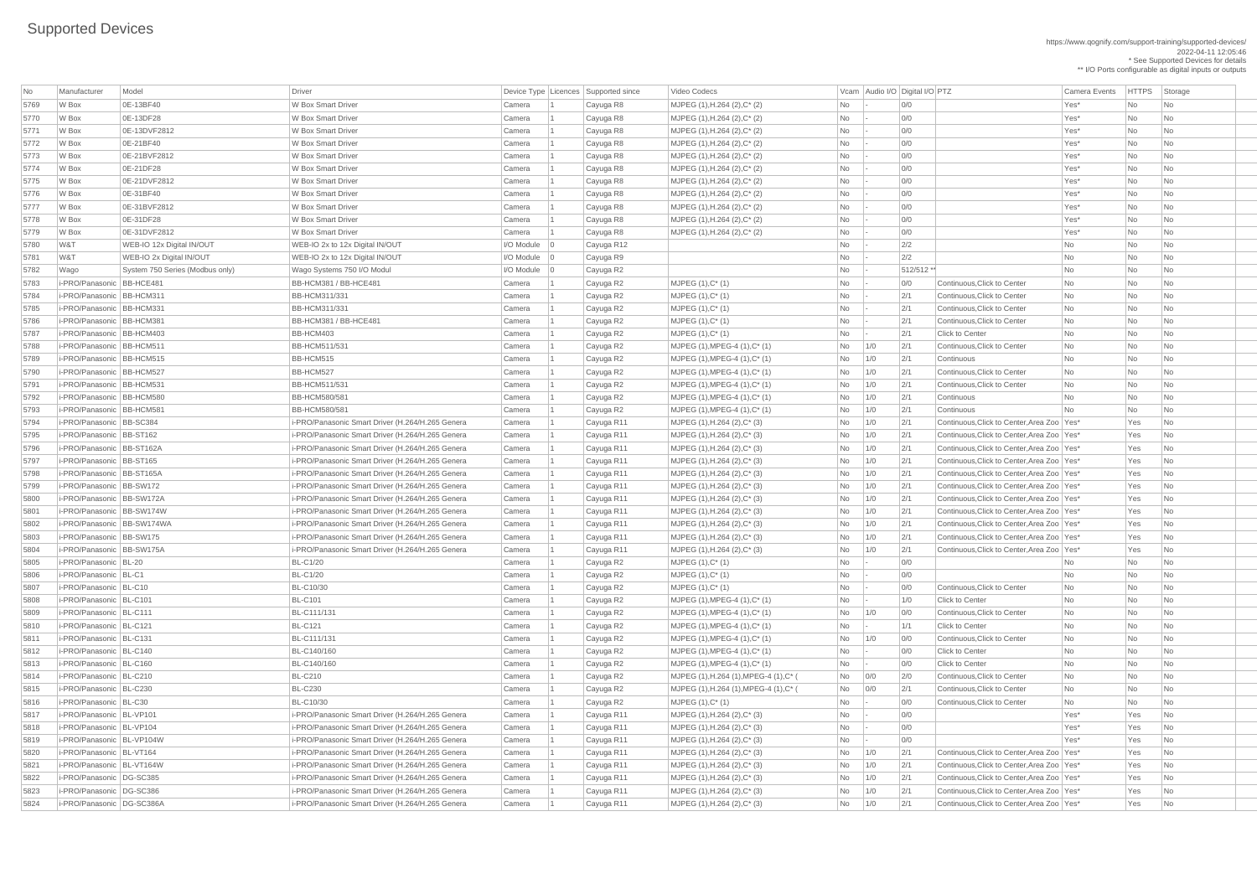https://www.qognify.com/support-training/supported-devices/ 2022-04-11 12:05:46 \* See Supported Devices for details

\*\* I/O Ports configurable as digital inputs or outputs

| No           | Manufacturer                                         | Model                           | Driver                                           |                      | Device Type   Licences   Supported since | <b>Video Codecs</b>                                                  |                | Vcam Audio I/O Digital I/O PTZ |            |                                                  | <b>Camera Events</b> | <b>HTTPS</b> | Storage                  |
|--------------|------------------------------------------------------|---------------------------------|--------------------------------------------------|----------------------|------------------------------------------|----------------------------------------------------------------------|----------------|--------------------------------|------------|--------------------------------------------------|----------------------|--------------|--------------------------|
| 5769         | W Box                                                | 0E-13BF40                       | W Box Smart Driver                               | Camera               | Cayuga R8                                | MJPEG (1), H.264 (2), C* (2)                                         | No             |                                | 0/0        |                                                  | Yes*                 | No           | No                       |
| 5770         | W Box                                                | 0E-13DF28                       | W Box Smart Driver                               | Camera               | Cayuga R8                                | MJPEG (1), H.264 (2), C* (2)                                         | No             |                                | 0/0        |                                                  | Yes*                 | No           | No                       |
| 5771         | W Box                                                | 0E-13DVF2812                    | W Box Smart Driver                               | Camera               | Cayuga R8                                | MJPEG (1), H.264 (2), C* (2)                                         | No             |                                | 0/0        |                                                  | Yes*                 | No           | No                       |
| 5772         | W Box                                                | 0E-21BF40                       | W Box Smart Driver                               | Camera               | Cayuga R8                                | $MJPEG (1), H.264 (2), C^*(2)$                                       | No             |                                | 0/0        |                                                  | Yes*                 | No           | No.                      |
| 5773         | W Box                                                | 0E-21BVF2812                    | W Box Smart Driver                               | Camera               | Cayuga R8                                | MJPEG $(1)$ , H.264 $(2)$ , C* $(2)$                                 | No             |                                | 0/0        |                                                  | Yes*                 | No           | No                       |
| 5774         | W Box                                                | 0E-21DF28                       | W Box Smart Driver                               | Camera               | Cayuga R8                                | $MJPEG (1), H.264 (2), C^*(2)$                                       | No             |                                | 0/0        |                                                  | Yes*                 | <b>No</b>    | No.                      |
| 5775         | W Box                                                | 0E-21DVF2812                    | W Box Smart Driver                               | Camera               | Cayuga R8                                | MJPEG (1), H.264 (2), C* (2)                                         | No             |                                | 0/0        |                                                  | Yes*                 | <b>No</b>    | No                       |
| 5776         | W Box                                                | 0E-31BF40                       | W Box Smart Driver                               | Camera               | Cayuga R8                                | MJPEG (1), H.264 (2), C* (2)                                         | No             |                                | 0/0        |                                                  | Yes*                 | No           | No                       |
| 5777         | W Box                                                | 0E-31BVF2812                    | <b>W Box Smart Driver</b>                        | Camera               | Cayuga R8                                | MJPEG (1), H.264 (2), C* (2)                                         | No             |                                | 0/0        |                                                  | Yes*                 | No           | <b>No</b>                |
| 5778         | W Box                                                | 0E-31DF28                       | W Box Smart Driver                               | Camera               | Cayuga R8                                | $MJPEG (1), H.264 (2), C^*(2)$                                       | No             |                                | 0/0        |                                                  | Yes*                 | No           | No                       |
| 5779         | W Box                                                | 0E-31DVF2812                    | W Box Smart Driver                               | Camera               | Cayuga R8                                | MJPEG (1), H.264 (2), C* (2)                                         | No             |                                | 0/0        |                                                  | Yes*                 | No           | No                       |
| 5780         | W&T                                                  | WEB-IO 12x Digital IN/OUT       | WEB-IO 2x to 12x Digital IN/OUT                  | $ $ I/O Module $ $ 0 | Cayuga R12                               |                                                                      | No             |                                | 2/2        |                                                  | No                   | No           | <b>No</b>                |
| 5781         | W&T                                                  | WEB-IO 2x Digital IN/OUT        | WEB-IO 2x to 12x Digital IN/OUT                  | $ $ I/O Module $ $ 0 | Cayuga R9                                |                                                                      | No             |                                | 2/2        |                                                  | No                   | No           | No                       |
| 5782         | Wago                                                 | System 750 Series (Modbus only) | Wago Systems 750 I/O Modul                       | $ $ I/O Module $ $ 0 | Cayuga R2                                |                                                                      | No             |                                | 512/512 ** |                                                  | No                   | <b>No</b>    | No                       |
| 5783         | i-PRO/Panasonic BB-HCE481                            |                                 | BB-HCM381 / BB-HCE481                            | Camera               | Cayuga R2                                | $MJPEG (1), C^* (1)$                                                 | No             |                                | 0/0        | Continuous. Click to Center                      | <b>No</b>            | <b>No</b>    | <b>No</b>                |
| 5784         | i-PRO/Panasonic BB-HCM311                            |                                 | <b>BB-HCM311/331</b>                             | Camera               | Cayuga R2                                | $MJPEG (1), C^* (1)$                                                 | No             |                                | 2/1        | Continuous, Click to Center                      | No                   | No           | N <sub>o</sub>           |
| 5785         | i-PRO/Panasonic BB-HCM331                            |                                 | <b>BB-HCM311/331</b>                             | Camera               | Cayuga R2                                | MJPEG (1), C* (1)                                                    | No             |                                | 2/1        | Continuous, Click to Center                      | <b>No</b>            | <b>No</b>    | No                       |
| 5786         | i-PRO/Panasonic BB-HCM381                            |                                 | BB-HCM381 / BB-HCE481                            | Camera               | Cayuga R2                                | MJPEG (1), C* (1)                                                    | No             |                                | 2/1        | Continuous, Click to Center                      | <b>No</b>            | <b>No</b>    | No                       |
| 5787         | i-PRO/Panasonic BB-HCM403                            |                                 | BB-HCM403                                        | Camera               | Cayuga R2                                | $MJPEG (1), C^* (1)$                                                 | No             |                                | 2/1        | <b>Click to Center</b>                           | <b>No</b>            | <b>No</b>    | No                       |
| 5788         | i-PRO/Panasonic BB-HCM511                            |                                 | <b>BB-HCM511/531</b>                             | Camera               | Cayuga R2                                | $MJPEG (1), MPEG-4 (1), C^* (1)$                                     | No             | 1/0                            | 2/1        | Continuous, Click to Center                      | No                   | No           | No                       |
| 5789         | i-PRO/Panasonic BB-HCM515                            |                                 | BB-HCM515                                        | Camera               | Cayuga R2                                | $MJPEG (1), MPEG-4 (1), C^* (1)$                                     | No             | 1/0                            | 2/1        | Continuous                                       | No                   | <b>No</b>    | <b>No</b>                |
| 5790         | i-PRO/Panasonic BB-HCM527                            |                                 | BB-HCM527                                        | Camera               | Cayuga R2                                | $MJPEG (1), MPEG-4 (1), C^* (1)$                                     | No             | 1/0                            | 2/1        | Continuous, Click to Center                      | <b>No</b>            | No           | $\overline{\mathsf{No}}$ |
| 5791         | i-PRO/Panasonic BB-HCM531                            |                                 | <b>BB-HCM511/531</b>                             | Camera               | Cayuga R2                                | $MJPEG (1), MPEG-4 (1), C^* (1)$                                     | No             | 1/0                            | 2/1        | Continuous, Click to Center                      | No                   | No           | No                       |
| 5792         | i-PRO/Panasonic BB-HCM580                            |                                 | <b>BB-HCM580/581</b>                             | Camera               | Cayuga R2                                | $MJPEG (1), MPEG-4 (1), C^* (1)$                                     | No             | 1/0                            | 2/1        | Continuous                                       | <b>No</b>            | <b>No</b>    | <b>No</b>                |
| 5793         | i-PRO/Panasonic   BB-HCM581                          |                                 | <b>BB-HCM580/581</b>                             | Camera               | Cayuga R2                                | $MJPEG (1), MPEG-4 (1), C^* (1)$                                     | No             | 1/0                            | 2/1        | Continuous                                       | <b>No</b>            | No           | No                       |
| 5794         | i-PRO/Panasonic BB-SC384                             |                                 | i-PRO/Panasonic Smart Driver (H.264/H.265 Genera | Camera               | Cayuga R11                               | MJPEG (1), H.264 (2), C* (3)                                         | No             | 1/0                            | 2/1        | Continuous, Click to Center, Area Zoo Yes*       |                      | Yes          | No                       |
| 5795         | i-PRO/Panasonic BB-ST162                             |                                 | i-PRO/Panasonic Smart Driver (H.264/H.265 Genera | Camera               | Cayuga R11                               | MJPEG (1), H.264 (2), C* (3)                                         | No             | 1/0                            | 2/1        | Continuous, Click to Center, Area Zoo Yes*       |                      | Yes          | No                       |
| 5796         | i-PRO/Panasonic BB-ST162A                            |                                 | i-PRO/Panasonic Smart Driver (H.264/H.265 Genera | Camera               | Cayuga R11                               | $MJPEG (1), H.264 (2), C^*(3)$                                       | No             | 1/0                            | 2/1        | Continuous. Click to Center. Area Zoo   Yes*     |                      | Yes          | No.                      |
| 5797         | i-PRO/Panasonic   BB-ST165                           |                                 | i-PRO/Panasonic Smart Driver (H.264/H.265 Genera | Camera               | Cayuga R11                               | $MJPEG (1), H.264 (2), C^*(3)$                                       | No             | 1/0                            | 2/1        | Continuous, Click to Center, Area Zoo   Yes*     |                      | Yes          | No                       |
| 5798         | i-PRO/Panasonic BB-ST165A                            |                                 | i-PRO/Panasonic Smart Driver (H.264/H.265 Genera | Camera               | Cayuga R11                               | $MJPEG (1), H.264 (2), C^*(3)$                                       | No             | 1/0                            | 2/1        | Continuous, Click to Center, Area Zoo   Yes*     |                      | Yes          | No                       |
| 5799         | i-PRO/Panasonic   BB-SW172                           |                                 | i-PRO/Panasonic Smart Driver (H.264/H.265 Genera | Camera               | Cayuga R11                               | $MJPEG (1), H.264 (2), C^*(3)$                                       | No             | 1/0                            | 2/1        | Continuous, Click to Center, Area Zoo   Yes*     |                      | Yes          | No.                      |
| 5800         | i-PRO/Panasonic   BB-SW172A                          |                                 | i-PRO/Panasonic Smart Driver (H.264/H.265 Genera | Camera               | Cayuga R11                               | $MJPEG (1), H.264 (2), C^*(3)$                                       | No             | 1/0                            | 2/1        | Continuous, Click to Center, Area Zoo   Yes*     |                      | Yes          | No.                      |
| 5801         | i-PRO/Panasonic BB-SW174W                            |                                 | i-PRO/Panasonic Smart Driver (H.264/H.265 Genera | Camera               | Cayuga R11                               | MJPEG (1), H.264 (2), C* (3)                                         | No             | 1/0                            | 2/1        | Continuous, Click to Center, Area Zoo   Yes*     |                      | Yes          | No                       |
| 5802         | i-PRO/Panasonic BB-SW174WA                           |                                 | i-PRO/Panasonic Smart Driver (H.264/H.265 Genera | Camera               | Cayuga R11                               | MJPEG (1), H.264 (2), C* (3)                                         | No             | 1/0                            | 2/1        | Continuous, Click to Center, Area Zoo   Yes*     |                      | Yes          | No.                      |
| 5803         | i-PRO/Panasonic   BB-SW175                           |                                 | i-PRO/Panasonic Smart Driver (H.264/H.265 Genera | Camera               | Cayuga R11                               | $MJPEG (1), H.264 (2), C^*(3)$                                       | No             | 1/0                            | 2/1        | Continuous, Click to Center, Area Zoo   Yes*     |                      | Yes          | $\overline{\mathsf{No}}$ |
| 5804         | i-PRO/Panasonic BB-SW175A                            |                                 | i-PRO/Panasonic Smart Driver (H.264/H.265 Genera | Camera               | Cayuga R11                               | MJPEG (1), H.264 (2), C* (3)                                         | No             | 1/0                            | 2/1        | Continuous, Click to Center, Area Zoo Yes*       |                      | Yes          | No                       |
| 5805         | i-PRO/Panasonic   BL-20                              |                                 | <b>BL-C1/20</b>                                  | Camera               | Cayuga R2                                | $MJPEG (1), C^* (1)$                                                 | No             |                                | 0/0        |                                                  | <b>No</b>            | <b>No</b>    | No                       |
| 5806         | i-PRO/Panasonic   BL-C1                              |                                 | <b>BL-C1/20</b>                                  | Camera               |                                          | $MJPEG (1), C^* (1)$                                                 | No             |                                | 0/0        |                                                  | No                   | No           | No                       |
| 5807         | i-PRO/Panasonic   BL-C10                             |                                 | <b>BL-C10/30</b>                                 | Camera               | Cayuga R2<br>Cayuga R2                   | $MJPEG (1), C^* (1)$                                                 |                |                                | 0/0        | Continuous, Click to Center                      | <b>No</b>            | <b>No</b>    | No                       |
|              | i-PRO/Panasonic   BL-C101                            |                                 | <b>BL-C101</b>                                   |                      |                                          |                                                                      | No             |                                | 1/0        | <b>Click to Center</b>                           | No.                  | No           | No                       |
| 5808<br>5809 | i-PRO/Panasonic   BL-C111                            |                                 | BL-C111/131                                      | Camera<br>Camera     | Cayuga R2                                | $MJPEG (1), MPEG-4 (1), C^* (1)$<br>$MJPEG (1), MPEG-4 (1), C^* (1)$ | No             |                                | 0/0        | Continuous, Click to Center                      | No                   | No           | N <sub>o</sub>           |
| 5810         | i-PRO/Panasonic BL-C121                              |                                 | <b>BL-C121</b>                                   |                      | Cayuga R2                                |                                                                      | No             | 1/0                            | 1/1        | <b>Click to Center</b>                           | No                   | <b>No</b>    | No                       |
|              | i-PRO/Panasonic   BL-C131                            |                                 |                                                  | Camera               | Cayuga R2                                | $MJPEG (1), MPEG-4 (1), C^* (1)$                                     | No             |                                |            | Continuous, Click to Center                      |                      | No           | No                       |
| 5811         |                                                      |                                 | BL-C111/131                                      | Camera               | Cayuga R2                                | $MJPEG (1), MPEG-4 (1), C^* (1)$                                     | No             | 1/0                            | 0/0        |                                                  | <b>No</b>            |              |                          |
| 5812         | i-PRO/Panasonic   BL-C140<br>i-PRO/Panasonic BL-C160 |                                 | BL-C140/160                                      | Camera               | Cayuga R2                                | $MJPEG (1), MPEG-4 (1), C^* (1)$                                     | No             |                                | 0/0        | <b>Click to Center</b><br><b>Click to Center</b> | <b>No</b>            | No           | No.                      |
| 5813         | i-PRO/Panasonic   BL-C210                            |                                 | BL-C140/160                                      | Camera               | Cayuga R2                                | $MJPEG (1), MPEG-4 (1), C^* (1)$                                     | No             |                                | 0/0        |                                                  | No                   | <b>No</b>    | No                       |
| 5814         |                                                      |                                 | <b>BL-C210</b>                                   | Camera               | Cayuga R2                                | MJPEG (1), H.264 (1), MPEG-4 (1), C* (                               | <b>No</b>      | 0/0                            | 2/0        | Continuous, Click to Center                      | <b>No</b>            | No           | No.                      |
| 5815         | i-PRO/Panasonic   BL-C230                            |                                 | <b>BL-C230</b>                                   | Camera               | Cayuga R2                                | MJPEG (1), H.264 (1), MPEG-4 (1), C* (                               | No             | 0/0                            | 2/1        | Continuous, Click to Center                      | N <sub>o</sub>       | No           | N <sub>o</sub>           |
| 5816         | i-PRO/Panasonic BL-C30                               |                                 | <b>BL-C10/30</b>                                 | Camera               | Cayuga R2                                | $MJPEG (1), C^* (1)$                                                 | No             |                                | 0/0        | Continuous, Click to Center                      | No                   | <b>No</b>    | No                       |
| 5817         | i-PRO/Panasonic BL-VP101                             |                                 | i-PRO/Panasonic Smart Driver (H.264/H.265 Genera | Camera               | Cayuga R11                               | MJPEG $(1)$ , H.264 $(2)$ , C* $(3)$                                 | No             |                                | 0/0        |                                                  | Yes*                 | Yes          | No.                      |
| 5818         | i-PRO/Panasonic   BL-VP104                           |                                 | i-PRO/Panasonic Smart Driver (H.264/H.265 Genera | Camera               | Cayuga R11                               | MJPEG $(1)$ , H.264 $(2)$ , C $*$ $(3)$                              | No             |                                | 0/0        |                                                  | Yes*                 | Yes          | No                       |
| 5819         | i-PRO/Panasonic BL-VP104W                            |                                 | i-PRO/Panasonic Smart Driver (H.264/H.265 Genera | Camera               | Cayuga R11                               | MJPEG (1), H.264 (2), C* (3)                                         | No             |                                | 0/0        |                                                  | Yes*                 | Yes          | N <sub>o</sub>           |
| 5820         | i-PRO/Panasonic   BL-VT164                           |                                 | i-PRO/Panasonic Smart Driver (H.264/H.265 Genera | Camera               | Cayuga R11                               | MJPEG (1), H.264 (2), C* (3)                                         | No l           | $\vert$ 1/0                    | 2/1        | Continuous, Click to Center, Area Zoo   Yes*     |                      | Yes          | <b>No</b>                |
| 5821         | i-PRO/Panasonic   BL-VT164W                          |                                 | i-PRO/Panasonic Smart Driver (H.264/H.265 Genera | Camera               | Cayuga R11                               | MJPEG (1), H.264 (2), C* (3)                                         | No             | 1/0                            | 2/1        | Continuous, Click to Center, Area Zoo   Yes*     |                      | Yes          | $\overline{\mathsf{No}}$ |
| 5822         | i-PRO/Panasonic   DG-SC385                           |                                 | i-PRO/Panasonic Smart Driver (H.264/H.265 Genera | Camera               | Cayuga R11                               | $MJPEG (1), H.264 (2), C^*(3)$                                       | No             | 1/0                            | 2/1        | Continuous, Click to Center, Area Zoo   Yes*     |                      | Yes          | No                       |
| 5823         | i-PRO/Panasonic   DG-SC386                           |                                 | i-PRO/Panasonic Smart Driver (H.264/H.265 Genera | Camera               | Cayuga R11                               | $MJPEG (1), H.264 (2), C^*(3)$                                       | No             | 1/0                            | 2/1        | Continuous, Click to Center, Area Zoo   Yes*     |                      | Yes          | No                       |
| 5824         | i-PRO/Panasonic   DG-SC386A                          |                                 | i-PRO/Panasonic Smart Driver (H.264/H.265 Genera | Camera               | Cayuga R11                               | MJPEG $(1)$ , H.264 $(2)$ , C* $(3)$                                 | N <sub>o</sub> | 1/0                            | 2/1        | Continuous, Click to Center, Area Zoo   Yes*     |                      | Yes          | $\vert$ No               |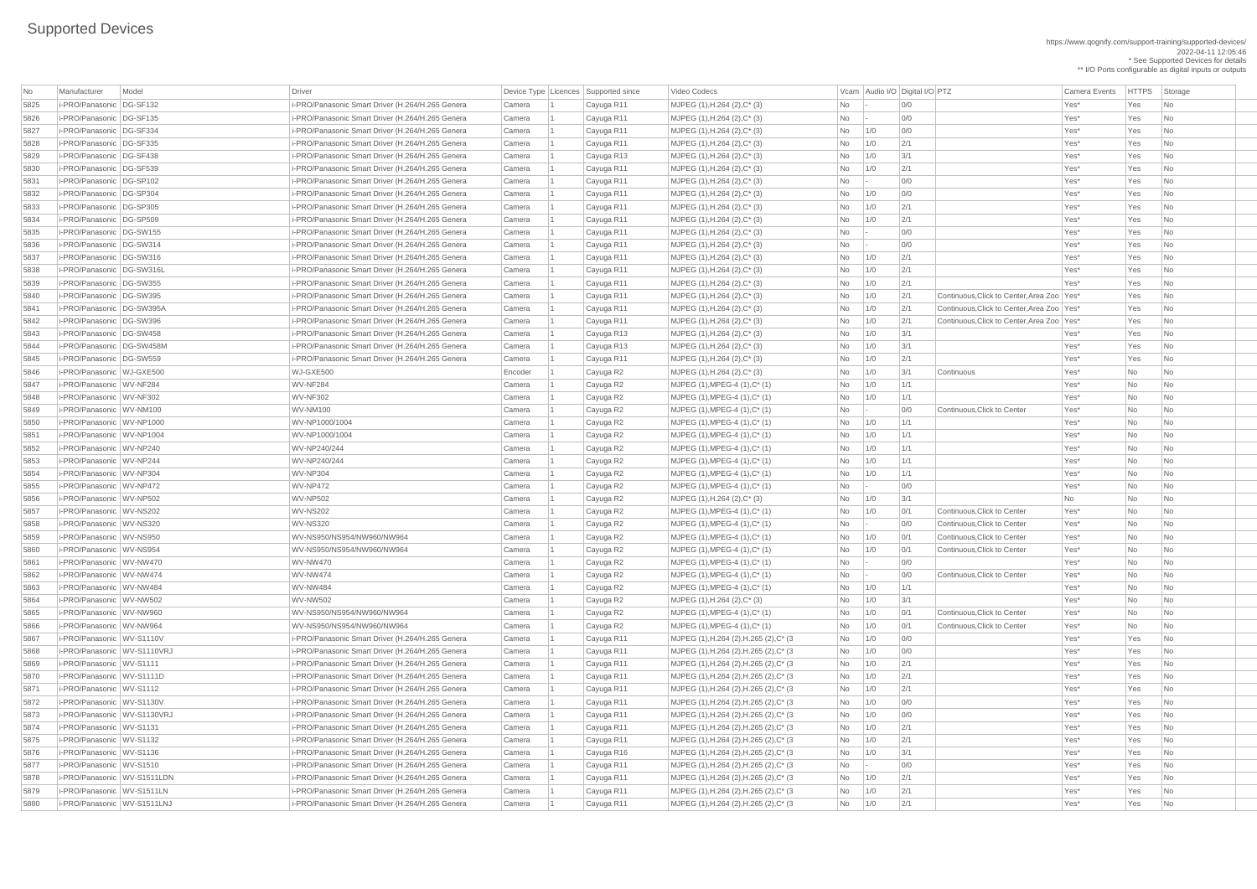https://www.qognify.com/support-training/supported-devices/ 2022-04-11 12:05:46 \* See Supported Devices for details \*\* I/O Ports configurable as digital inputs or outputs

 i-PRO/Panasonic DG-SW395 i-PRO/Panasonic Smart Driver (H.264/H.265 Genera Camera 1 Cayuga R11 MJPEG (1),H.264 (2),C\* (3) No 1/0 2/1 Continuous,Click to Center,Area Zoo Yes\* Yes No i-PRO/Panasonic DG-SW395A i-PRO/Panasonic Smart Driver (H.264/H.265 Genera Camera 1 Cayuga R11 MJPEG (1),H.264 (2),C\* (3) No 1/0 2/1 Continuous,Click to Center,Area Zoo Yes\* Yes No i-PRO/Panasonic DG-SW396 i-PRO/Panasonic Smart Driver (H.264/H.265 Genera Camera 1 Cayuga R11 MJPEG (1),H.264 (2),C\* (3) No 1/0 2/1 Continuous,Click to Center,Area Zoo Yes\* Yes No MJPEG (1),H.264 (2),H.265 (2),C\* (3 No 1/0 0/0 00 No 200 Yes\* Yes No MJPEG (1),H.264 (2),H.265 (2),C\* (3 No 1/0 0/0 No 200 No 200 Yes\* Yes No | MJPEG (1),H.264 (2),H.265 (2),C\* (3 No 1/0 2/1 No 2/1 Yes\* Yes No | MJPEG (1),H.264 (2),H.265 (2),C\* (3 No | 1/0 2/1 | 2/1 | 2/1 Yes\* Yes No | MJPEG (1),H.264 (2),H.265 (2),C\* (3  $\qquad$  | No  $\qquad$  | 1/0  $\qquad$  | 2/1  $\qquad$  |  $\qquad$  | Yes\* Yes No 1/0  $\qquad$  | Yes No 1/0  $\qquad$  | Yes No 1/0  $\qquad$  | Yes No 1/1 | Yes No 1/0  $\qquad$  | Yes No 1/1 | Yes No 1/1 | Yes No 1/1 | | MJPEG (1),H.264 (2),H.265 (2),C\* (3 No 1/0 0/0 | 00 00 0 Yes\* Yes No | MJPEG (1),H.264 (2),H.265 (2),C\* (3 No 1/0 0/0 0 OCamera Camera 2 Yes\* Yes No | MJPEG (1),H.264 (2),H.265 (2),C\* (3 No 1/0 2/1 No 2/1 Yes\* Yes No | MJPEG (1),H.264 (2),H.265 (2),C\* (3  $\qquad$  | No  $\qquad$  | 1/0  $\qquad$  | 2/1  $\qquad$  |  $\qquad$  Yes\* Yes No | MJPEG (1),H.264 (2),H.265 (2),C\* (3  $\qquad$  No  $\qquad$  1/0  $\qquad$  3/1  $\qquad$  Yes\* Yes No | MJPEG (1),H.264 (2),H.265 (2),C\* (3 No - 0/0 No - 0/0 Yes\* Yes No | MJPEG (1),H.264 (2),H.265 (2),C\* (3 No 1/0 2/1 No 2/1 Yes\* Yes No | MJPEG (1),H.264 (2),H.265 (2),C\* (3 No 1/0 2/1 No 2/1 Yes\* Yes No | MJPEG (1),H.264 (2),H.265 (2),C\* (3 No 1/0 2/1 No 2/1 Yes\* Yes No

| No   | Manufacturer                | Model    | <b>Driver</b>                                    |         | Device Type   Licences   Supported since | Video Codecs                            |           |        | Vcam Audio I/O Digital I/O PTZ                      | <b>Camera Events</b> | <b>HTTPS</b> | Storage                     |
|------|-----------------------------|----------|--------------------------------------------------|---------|------------------------------------------|-----------------------------------------|-----------|--------|-----------------------------------------------------|----------------------|--------------|-----------------------------|
| 5825 | i-PRO/Panasonic             | DG-SF132 | i-PRO/Panasonic Smart Driver (H.264/H.265 Genera | Camera  | Cayuga R11                               | MJPEG (1), H.264 (2), C* (3)            | No        |        | 0/0                                                 | Yes*                 | Yes          | No                          |
| 5826 | i-PRO/Panasonic   DG-SF135  |          | i-PRO/Panasonic Smart Driver (H.264/H.265 Genera | Camera  | Cayuga R11                               | MJPEG (1), H.264 (2), C* (3)            | No        |        | 0/0                                                 | Yes*                 | Yes          | No                          |
| 5827 | i-PRO/Panasonic DG-SF334    |          | i-PRO/Panasonic Smart Driver (H.264/H.265 Genera | Camera  | Cayuga R11                               | MJPEG (1), H.264 (2), C* (3)            | <b>No</b> | 1/0    | 0/0                                                 | Yes*                 | Yes          | N <sub>o</sub>              |
| 5828 | i-PRO/Panasonic   DG-SF335  |          | i-PRO/Panasonic Smart Driver (H.264/H.265 Genera | Camera  | Cayuga R11                               | MJPEG (1), H.264 (2), C* (3)            | <b>No</b> | 1/0    | 2/1                                                 | Yes*                 | Yes          | N <sub>o</sub>              |
| 5829 | i-PRO/Panasonic   DG-SF438  |          | i-PRO/Panasonic Smart Driver (H.264/H.265 Genera | Camera  | Cayuga R13                               | MJPEG (1), H.264 (2), C* (3)            | No        | 1/0    | 3/1                                                 | Yes*                 | Yes          | N <sub>o</sub>              |
| 5830 | i-PRO/Panasonic   DG-SF539  |          | i-PRO/Panasonic Smart Driver (H.264/H.265 Genera | Camera  | Cayuga R11                               | $MJPEG (1), H.264 (2), C^* (3)$         | <b>No</b> | 1/0    | 2/1                                                 | Yes*                 | Yes          | N <sub>o</sub>              |
| 5831 | i-PRO/Panasonic   DG-SP102  |          | i-PRO/Panasonic Smart Driver (H.264/H.265 Genera | Camera  | Cayuga R11                               | MJPEG (1), H.264 (2), C* (3)            | No        | $\sim$ | 0/0                                                 | Yes*                 | Yes          | N <sub>o</sub>              |
| 5832 | i-PRO/Panasonic DG-SP304    |          | i-PRO/Panasonic Smart Driver (H.264/H.265 Genera | Camera  | Cayuga R11                               | MJPEG (1), H.264 (2), C* (3)            | <b>No</b> | 1/0    | 0/0                                                 | Yes*                 | Yes          | No                          |
| 5833 | i-PRO/Panasonic   DG-SP305  |          | i-PRO/Panasonic Smart Driver (H.264/H.265 Genera | Camera  |                                          | MJPEG (1), H.264 (2), C* (3)            | <b>No</b> | 1/0    | 2/1                                                 | Yes*                 | Yes          | N <sub>o</sub>              |
|      | i-PRO/Panasonic   DG-SP509  |          | i-PRO/Panasonic Smart Driver (H.264/H.265 Genera |         | Cayuga R11                               |                                         |           | 1/0    | 2/1                                                 | Yes*                 | Yes          |                             |
| 5834 | i-PRO/Panasonic DG-SW155    |          |                                                  | Camera  | Cayuga R11                               | MJPEG (1), H.264 (2), C* (3)            | No        |        | 0/0                                                 | Yes*                 | Yes          | N <sub>o</sub>              |
| 5835 | i-PRO/Panasonic DG-SW314    |          | i-PRO/Panasonic Smart Driver (H.264/H.265 Genera | Camera  | Cayuga R11                               | $MJPEG (1), H.264 (2), C^* (3)$         | No        | $\sim$ | 0/0                                                 | Yes*                 | Yes          | No<br>N <sub>o</sub>        |
| 5836 |                             |          | i-PRO/Panasonic Smart Driver (H.264/H.265 Genera | Camera  | Cayuga R11                               | $MJPEG (1), H.264 (2), C^* (3)$         | <b>No</b> |        | 2/1                                                 | Yes*                 | Yes          |                             |
| 5837 | i-PRO/Panasonic   DG-SW316  |          | i-PRO/Panasonic Smart Driver (H.264/H.265 Genera | Camera  | Cayuga R11                               | MJPEG (1), H.264 (2), C* (3)            | <b>No</b> | 1/0    |                                                     |                      |              | N <sub>o</sub>              |
| 5838 | i-PRO/Panasonic   DG-SW316L |          | i-PRO/Panasonic Smart Driver (H.264/H.265 Genera | Camera  | Cayuga R11                               | MJPEG (1), H.264 (2), C* (3)            | <b>No</b> | 1/0    | 2/1                                                 | Yes*                 | Yes          | N <sub>o</sub>              |
| 5839 | i-PRO/Panasonic DG-SW355    |          | i-PRO/Panasonic Smart Driver (H.264/H.265 Genera | Camera  | Cayuga R11                               | MJPEG (1), H.264 (2), C* (3)            | <b>No</b> | 1/0    | 2/1                                                 | Yes*                 | Yes          | N <sub>o</sub>              |
| 5840 | i-PRO/Panasonic   DG-SW395  |          | i-PRO/Panasonic Smart Driver (H.264/H.265 Genera | Camera  | Cayuga R11                               | MJPEG (1), H.264 (2), C* (3)            | <b>No</b> | 1/0    | 2/1<br>Continuous, Click to Center, Area Zoo   Yes* |                      | Yes          | N <sub>o</sub>              |
| 5841 | i-PRO/Panasonic   DG-SW395A |          | i-PRO/Panasonic Smart Driver (H.264/H.265 Genera | Camera  | Cayuga R11                               | MJPEG (1), H.264 (2), C* (3)            | <b>No</b> | 1/0    | 2/1<br>Continuous, Click to Center, Area Zoo   Yes* |                      | Yes          | No                          |
| 5842 | i-PRO/Panasonic   DG-SW396  |          | i-PRO/Panasonic Smart Driver (H.264/H.265 Genera | Camera  | Cayuga R11                               | $MJPEG (1), H.264 (2), C^* (3)$         | No.       | 1/0    | 2/1<br>Continuous, Click to Center, Area Zoo   Yes* |                      | Yes          | No                          |
| 5843 | i-PRO/Panasonic DG-SW458    |          | i-PRO/Panasonic Smart Driver (H.264/H.265 Genera | Camera  | Cayuga R13                               | MJPEG (1), H.264 (2), C* (3)            | No        | 1/0    | 3/1                                                 | Yes*                 | Yes          | No                          |
| 5844 | i-PRO/Panasonic   DG-SW458M |          | i-PRO/Panasonic Smart Driver (H.264/H.265 Genera | Camera  | Cayuga R13                               | MJPEG (1), H.264 (2), C* (3)            | <b>No</b> | 1/0    | 3/1                                                 | Yes*                 | Yes          | No                          |
| 5845 | i-PRO/Panasonic   DG-SW559  |          | i-PRO/Panasonic Smart Driver (H.264/H.265 Genera | Camera  | Cayuga R11                               | MJPEG (1), H.264 (2), C* (3)            | No        | 1/0    | 2/1                                                 | Yes*                 | Yes          | N <sub>o</sub>              |
| 5846 | i-PRO/Panasonic WJ-GXE500   |          | WJ-GXE500                                        | Encoder | Cayuga R2                                | MJPEG (1), H.264 (2), C* (3)            | <b>No</b> | 1/0    | 3/1<br>Continuous                                   | Yes*                 | No           | N <sub>o</sub>              |
| 5847 | i-PRO/Panasonic WV-NF284    |          | WV-NF284                                         | Camera  | Cayuga R2                                | $MJPEG (1), MPEG-4 (1), C^* (1)$        | <b>No</b> | 1/0    | 1/1                                                 | Yes*                 | <b>No</b>    | No                          |
| 5848 | i-PRO/Panasonic WV-NF302    |          | WV-NF302                                         | Camera  | Cayuga R2                                | $MJPEG (1), MPEG-4 (1), C^* (1)$        | No        | 1/0    | 1/1                                                 | Yes*                 | No           | N <sub>o</sub>              |
| 5849 | i-PRO/Panasonic WV-NM100    |          | WV-NM100                                         | Camera  | Cayuga R2                                | $MJPEG (1), MPEG-4 (1), C^* (1)$        | <b>No</b> |        | 0/0<br>Continuous, Click to Center                  | Yes*                 | <b>No</b>    | No                          |
| 5850 | i-PRO/Panasonic WV-NP1000   |          | WV-NP1000/1004                                   | Camera  | Cayuga R2                                | $MJPEG (1), MPEG-4 (1), C^* (1)$        | No.       | 1/0    | $\vert$ 1/1                                         | Yes*                 | No           | No                          |
| 5851 | i-PRO/Panasonic WV-NP1004   |          | WV-NP1000/1004                                   | Camera  | Cayuga R2                                | $MJPEG (1), MPEG-4 (1), C^* (1)$        | No        | 1/0    | 1/1                                                 | Yes*                 | <b>No</b>    | No                          |
| 5852 | i-PRO/Panasonic WV-NP240    |          | WV-NP240/244                                     | Camera  | Cayuga R2                                | $MJPEG (1), MPEG-4 (1), C^* (1)$        | <b>No</b> | 1/0    | 1/1                                                 | Yes*                 | No           | No                          |
| 5853 | i-PRO/Panasonic WV-NP244    |          | WV-NP240/244                                     | Camera  | Cayuga R2                                | $MJPEG (1), MPEG-4 (1), C^* (1)$        | <b>No</b> | 1/0    | 1/1                                                 | Yes*                 | <b>No</b>    | N <sub>o</sub>              |
| 5854 | i-PRO/Panasonic WV-NP304    |          | WV-NP304                                         | Camera  | Cayuga R2                                | $MJPEG (1), MPEG-4 (1), C^* (1)$        | No        | 1/0    | 1/1                                                 | Yes*                 | <b>No</b>    | No                          |
| 5855 | i-PRO/Panasonic WV-NP472    |          | <b>WV-NP472</b>                                  | Camera  | Cayuga R2                                | $MJPEG (1), MPEG-4 (1), C^* (1)$        | <b>No</b> | $\sim$ | 0/0                                                 | Yes*                 | <b>No</b>    | No                          |
| 5856 | i-PRO/Panasonic WV-NP502    |          | <b>WV-NP502</b>                                  | Camera  | Cayuga R2                                | MJPEG (1), H.264 (2), C* (3)            | <b>No</b> | 1/0    | 3/1                                                 | No                   | <b>No</b>    | N <sub>o</sub>              |
| 5857 | i-PRO/Panasonic WV-NS202    |          | <b>WV-NS202</b>                                  | Camera  | Cayuga R2                                | $MJPEG (1), MPEG-4 (1), C^* (1)$        | No        | 1/0    | Continuous, Click to Center<br> 0/1                 | Yes*                 | <b>No</b>    | No                          |
| 5858 | i-PRO/Panasonic WV-NS320    |          | <b>WV-NS320</b>                                  | Camera  | Cayuga R2                                | $MJPEG (1), MPEG-4 (1), C^* (1)$        | No        |        | 0/0<br>Continuous, Click to Center                  | Yes*                 | <b>No</b>    | No                          |
| 5859 | i-PRO/Panasonic WV-NS950    |          | WV-NS950/NS954/NW960/NW964                       | Camera  | Cayuga R2                                | $MJPEG (1), MPEG-4 (1), C^* (1)$        | No        | 1/0    | 0/1<br>Continuous, Click to Center                  | Yes*                 | No           | No                          |
| 5860 | i-PRO/Panasonic WV-NS954    |          | WV-NS950/NS954/NW960/NW964                       | Camera  | Cayuga R2                                | $MJPEG (1), MPEG-4 (1), C^* (1)$        | No        | 1/0    | 0/1<br>Continuous, Click to Center                  | Yes*                 | No           | No                          |
| 5861 | i-PRO/Panasonic WV-NW470    |          | WV-NW470                                         | Camera  | Cayuga R2                                | $MJPEG (1), MPEG-4 (1), C^* (1)$        | No        |        | 0/0                                                 | Yes*                 | <b>No</b>    | No                          |
| 5862 | i-PRO/Panasonic WV-NW474    |          | <b>WV-NW474</b>                                  | Camera  | Cayuga R2                                | $MJPEG (1), MPEG-4 (1), C^* (1)$        | No        |        | 0/0<br>Continuous, Click to Center                  | Yes*                 | <b>No</b>    | N <sub>o</sub>              |
| 5863 | i-PRO/Panasonic WV-NW484    |          | <b>WV-NW484</b>                                  | Camera  | Cayuga R2                                | $MJPEG (1), MPEG-4 (1), C^* (1)$        | <b>No</b> | 1/0    | 1/1                                                 | Yes*                 | <b>No</b>    | No                          |
| 5864 | i-PRO/Panasonic   WV-NW502  |          | <b>WV-NW502</b>                                  | Camera  | Cayuga R2                                | MJPEG (1), H.264 (2), C* (3)            | <b>No</b> | 1/0    | 3/1                                                 | Yes*                 | <b>No</b>    | No                          |
| 5865 | i-PRO/Panasonic WV-NW960    |          | WV-NS950/NS954/NW960/NW964                       | Camera  | Cayuga R2                                | $MJPEG (1), MPEG-4 (1), C^* (1)$        | No        | 1/0    | 0/1<br>Continuous, Click to Center                  | Yes*                 | <b>No</b>    | No                          |
| 5866 | i-PRO/Panasonic WV-NW964    |          | WV-NS950/NS954/NW960/NW964                       | Camera  | Cayuga R2                                | $MJPEG (1), MPEG-4 (1), C^* (1)$        | No        | 1/0    | 0/1<br>Continuous, Click to Center                  | Yes*                 | <b>No</b>    | No                          |
| 5867 | i-PRO/Panasonic WV-S1110V   |          | i-PRO/Panasonic Smart Driver (H.264/H.265 Genera | Camera  | Cayuga R11                               | MJPEG (1), H.264 (2), H.265 (2), C* (3  | <b>No</b> | 1/0    | 0/0                                                 | Yes*                 | Yes          | $\overline{\mathsf{No}}$    |
| 5868 | i-PRO/Panasonic WV-S1110VRJ |          | i-PRO/Panasonic Smart Driver (H.264/H.265 Genera | Camera  | Cayuga R11                               | MJPEG (1), H.264 (2), H.265 (2), C* (3  | No        | 1/0    | 0/0                                                 | Yes*                 | Yes          | No                          |
| 5869 | i-PRO/Panasonic WV-S1111    |          | i-PRO/Panasonic Smart Driver (H.264/H.265 Genera | Camera  | Cayuga R11                               | MJPEG (1), H.264 (2), H.265 (2), C* (3  | No        | 1/0    | 2/1                                                 | Yes*                 | Yes          | N <sub>o</sub>              |
| 5870 | i-PRO/Panasonic WV-S1111D   |          | i-PRO/Panasonic Smart Driver (H.264/H.265 Genera | Camera  | Cayuga R11                               | MJPEG (1), H.264 (2), H.265 (2), C* (3  | No        | 1/0    | 2/1                                                 | Yes*                 | Yes          | No                          |
| 5871 | i-PRO/Panasonic WV-S1112    |          | i-PRO/Panasonic Smart Driver (H.264/H.265 Genera | Camera  | Cayuga R11                               | MJPEG (1), H.264 (2), H.265 (2), C* (3  | No        | 1/0    | 2/1                                                 | Yes*                 | Yes          | No                          |
| 5872 | i-PRO/Panasonic WV-S1130V   |          | i-PRO/Panasonic Smart Driver (H.264/H.265 Genera | Camera  | Cayuga R11                               | MJPEG (1), H.264 (2), H.265 (2), C* (3) | No        | 1/0    | 0/0                                                 | Yes*                 | Yes          | $\overline{\mathsf{No}}$    |
| 5873 | i-PRO/Panasonic WV-S1130VRJ |          | i-PRO/Panasonic Smart Driver (H.264/H.265 Genera | Camera  | Cayuga R11                               | MJPEG (1), H.264 (2), H.265 (2), C* (3  | No        | 1/0    | 0/0                                                 | Yes*                 | Yes          | No                          |
| 5874 | i-PRO/Panasonic WV-S1131    |          | i-PRO/Panasonic Smart Driver (H.264/H.265 Genera | Camera  | Cayuga R11                               | MJPEG (1), H.264 (2), H.265 (2), C* (3  | No        | 1/0    | 2/1                                                 | Yes*                 | Yes          | No                          |
| 5875 | i-PRO/Panasonic WV-S1132    |          | i-PRO/Panasonic Smart Driver (H.264/H.265 Genera | Camera  | Cayuga R11                               | MJPEG (1), H.264 (2), H.265 (2), C* (3  | No        | 1/0    | 2/1                                                 | Yes*                 | Yes          | No                          |
| 5876 | i-PRO/Panasonic WV-S1136    |          | i-PRO/Panasonic Smart Driver (H.264/H.265 Genera | Camera  | Cayuga R16                               | MJPEG (1), H.264 (2), H.265 (2), C* (3  | No        | 1/0    | 3/1                                                 | Yes*                 | Yes          | $\overline{\phantom{a}}$ No |
| 5877 | i-PRO/Panasonic WV-S1510    |          | i-PRO/Panasonic Smart Driver (H.264/H.265 Genera | Camera  | Cayuga R11                               | MJPEG (1), H.264 (2), H.265 (2), C* (3) | No        | $\sim$ | 0/0                                                 | Yes*                 | Yes          | $\overline{\phantom{a}}$ No |
| 5878 | i-PRO/Panasonic WV-S1511LDN |          | i-PRO/Panasonic Smart Driver (H.264/H.265 Genera | Camera  | Cayuga R11                               | MJPEG (1), H.264 (2), H.265 (2), C* (3  | No        | 1/0    | 2/1                                                 | Yes*                 | Yes          | $\overline{\phantom{a}}$ No |
| 5879 | i-PRO/Panasonic WV-S1511LN  |          | i-PRO/Panasonic Smart Driver (H.264/H.265 Genera | Camera  | Cayuga R11                               | MJPEG (1), H.264 (2), H.265 (2), C* (3  | No        | 1/0    | 2/1                                                 | Yes*                 | Yes          | N <sub>o</sub>              |
| 5880 | i-PRO/Panasonic WV-S1511LNJ |          | i-PRO/Panasonic Smart Driver (H.264/H.265 Genera | Camera  | Cayuga R11                               | MJPEG (1), H.264 (2), H.265 (2), C* (3  | No        | 1/0    | 2/1                                                 | Yes*                 | Yes          | $\overline{\phantom{a}}$ No |
|      |                             |          |                                                  |         |                                          |                                         |           |        |                                                     |                      |              |                             |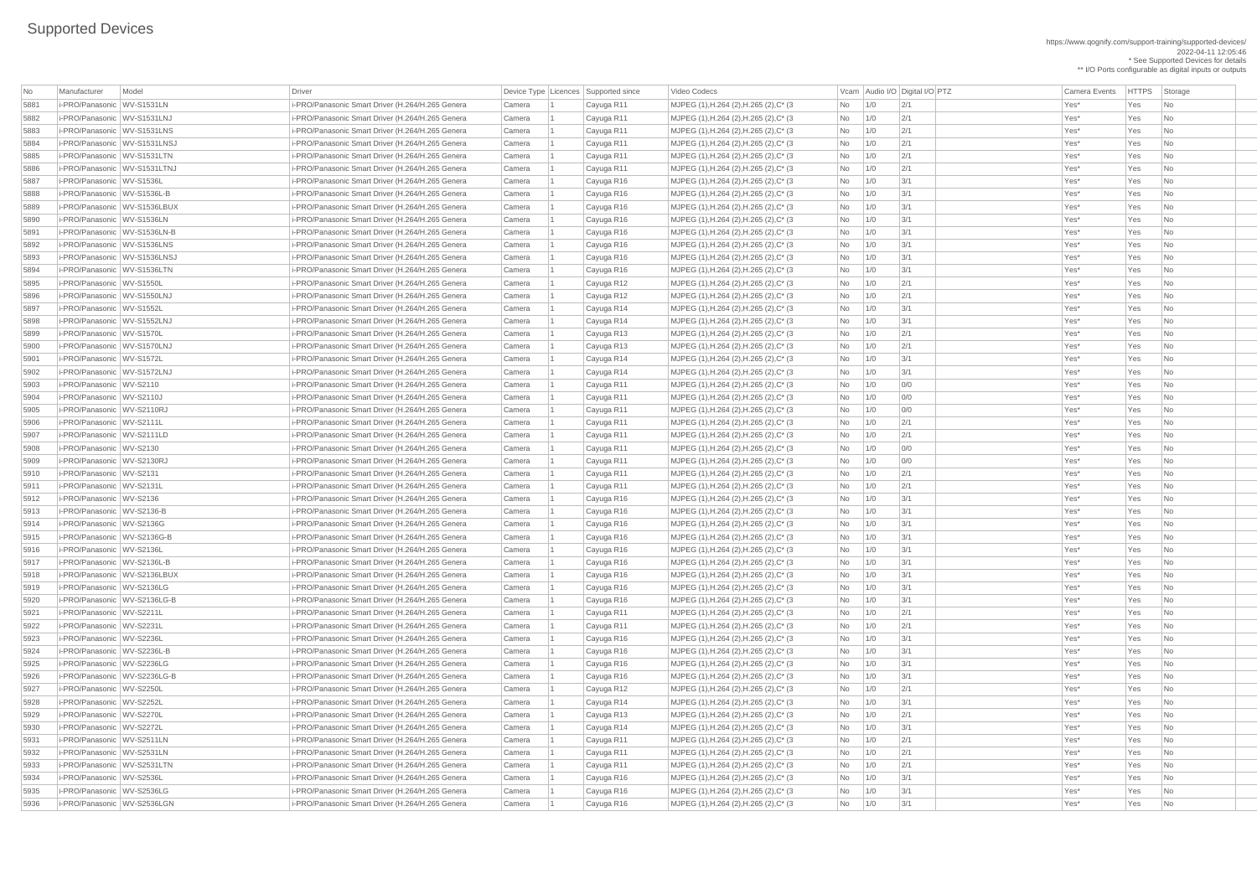| No   | Manufacturer                   | Model              | <b>Driver</b>                                    |        |                | Device Type   Licences   Supported since |
|------|--------------------------------|--------------------|--------------------------------------------------|--------|----------------|------------------------------------------|
| 5881 | i-PRO/Panasonic WV-S1531LN     |                    | i-PRO/Panasonic Smart Driver (H.264/H.265 Genera | Camera | $\overline{1}$ | Cayuga R11                               |
| 5882 | i-PRO/Panasonic WV-S1531LNJ    |                    | i-PRO/Panasonic Smart Driver (H.264/H.265 Genera | Camera | $\mathbf{1}$   | Cayuga R11                               |
| 5883 | i-PRO/Panasonic                | <b>WV-S1531LNS</b> | i-PRO/Panasonic Smart Driver (H.264/H.265 Genera | Camera | $\mathbf 1$    | Cayuga R11                               |
| 5884 | i-PRO/Panasonic WV-S1531LNSJ   |                    | i-PRO/Panasonic Smart Driver (H.264/H.265 Genera | Camera | $\overline{1}$ | Cayuga R11                               |
| 5885 | i-PRO/Panasonic WV-S1531LTN    |                    | i-PRO/Panasonic Smart Driver (H.264/H.265 Genera | Camera | $\overline{1}$ | Cayuga R11                               |
| 5886 | i-PRO/Panasonic WV-S1531LTNJ   |                    | i-PRO/Panasonic Smart Driver (H.264/H.265 Genera | Camera | $\mathbf{1}$   | Cayuga R11                               |
| 5887 | i-PRO/Panasonic WV-S1536L      |                    | i-PRO/Panasonic Smart Driver (H.264/H.265 Genera | Camera | $\overline{1}$ | Cayuga R16                               |
| 5888 | i-PRO/Panasonic   WV-S1536L-B  |                    | i-PRO/Panasonic Smart Driver (H.264/H.265 Genera | Camera | $\mathbf{1}$   | Cayuga R16                               |
| 5889 | i-PRO/Panasonic WV-S1536LBUX   |                    | i-PRO/Panasonic Smart Driver (H.264/H.265 Genera | Camera | $\mathbf 1$    | Cayuga R16                               |
| 5890 | i-PRO/Panasonic WV-S1536LN     |                    | i-PRO/Panasonic Smart Driver (H.264/H.265 Genera | Camera | $\overline{1}$ | Cayuga R16                               |
| 5891 | i-PRO/Panasonic WV-S1536LN-B   |                    | i-PRO/Panasonic Smart Driver (H.264/H.265 Genera | Camera | $\overline{1}$ | Cayuga R16                               |
| 5892 | i-PRO/Panasonic WV-S1536LNS    |                    | i-PRO/Panasonic Smart Driver (H.264/H.265 Genera | Camera | $\mathbf 1$    | Cayuga R16                               |
| 5893 | i-PRO/Panasonic WV-S1536LNSJ   |                    | i-PRO/Panasonic Smart Driver (H.264/H.265 Genera | Camera | $\mathbf{1}$   | Cayuga R16                               |
| 5894 | i-PRO/Panasonic WV-S1536LTN    |                    | i-PRO/Panasonic Smart Driver (H.264/H.265 Genera | Camera | $\overline{1}$ | Cayuga R16                               |
| 5895 | i-PRO/Panasonic WV-S1550L      |                    | i-PRO/Panasonic Smart Driver (H.264/H.265 Genera | Camera | $\overline{1}$ | Cayuga R12                               |
| 5896 | i-PRO/Panasonic WV-S1550LNJ    |                    | i-PRO/Panasonic Smart Driver (H.264/H.265 Genera | Camera | $\overline{1}$ | Cayuga R12                               |
| 5897 | i-PRO/Panasonic WV-S1552L      |                    | i-PRO/Panasonic Smart Driver (H.264/H.265 Genera | Camera | $\overline{1}$ | Cayuga R14                               |
| 5898 | i-PRO/Panasonic WV-S1552LNJ    |                    | i-PRO/Panasonic Smart Driver (H.264/H.265 Genera | Camera | $\mathbf{1}$   | Cayuga R14                               |
| 5899 | i-PRO/Panasonic WV-S1570L      |                    | i-PRO/Panasonic Smart Driver (H.264/H.265 Genera | Camera | $\overline{1}$ | Cayuga R13                               |
| 5900 | i-PRO/Panasonic WV-S1570LNJ    |                    | i-PRO/Panasonic Smart Driver (H.264/H.265 Genera | Camera | $\mathbf{1}$   | Cayuga R13                               |
| 5901 | i-PRO/Panasonic WV-S1572L      |                    | i-PRO/Panasonic Smart Driver (H.264/H.265 Genera | Camera | $\mathbf 1$    | Cayuga R14                               |
| 5902 | i-PRO/Panasonic WV-S1572LNJ    |                    | i-PRO/Panasonic Smart Driver (H.264/H.265 Genera | Camera | $\overline{1}$ | Cayuga R14                               |
| 5903 | i-PRO/Panasonic WV-S2110       |                    | i-PRO/Panasonic Smart Driver (H.264/H.265 Genera | Camera | $\overline{1}$ | Cayuga R11                               |
| 5904 | i-PRO/Panasonic WV-S2110J      |                    | i-PRO/Panasonic Smart Driver (H.264/H.265 Genera | Camera | $\overline{1}$ | Cayuga R11                               |
| 5905 | i-PRO/Panasonic WV-S2110RJ     |                    | i-PRO/Panasonic Smart Driver (H.264/H.265 Genera | Camera | $\mathbf{1}$   | Cayuga R11                               |
| 5906 | i-PRO/Panasonic WV-S2111L      |                    | i-PRO/Panasonic Smart Driver (H.264/H.265 Genera | Camera | $\mathbf{1}$   | Cayuga R11                               |
| 5907 | i-PRO/Panasonic WV-S2111LD     |                    | i-PRO/Panasonic Smart Driver (H.264/H.265 Genera | Camera | 1              | Cayuga R11                               |
| 5908 | i-PRO/Panasonic WV-S2130       |                    | i-PRO/Panasonic Smart Driver (H.264/H.265 Genera | Camera | 1              | Cayuga R11                               |
| 5909 | i-PRO/Panasonic WV-S2130RJ     |                    | i-PRO/Panasonic Smart Driver (H.264/H.265 Genera | Camera | $\overline{1}$ | Cayuga R11                               |
| 5910 | i-PRO/Panasonic WV-S2131       |                    | i-PRO/Panasonic Smart Driver (H.264/H.265 Genera | Camera | $\mathbf 1$    | Cayuga R11                               |
| 5911 | i-PRO/Panasonic WV-S2131L      |                    | i-PRO/Panasonic Smart Driver (H.264/H.265 Genera | Camera | $\mathbf{1}$   | Cayuga R11                               |
| 5912 | i-PRO/Panasonic WV-S2136       |                    | i-PRO/Panasonic Smart Driver (H.264/H.265 Genera | Camera | $\overline{1}$ | Cayuga R16                               |
| 5913 | i-PRO/Panasonic   WV-S2136-B   |                    | i-PRO/Panasonic Smart Driver (H.264/H.265 Genera | Camera | $\mathbf 1$    | Cayuga R16                               |
| 5914 | i-PRO/Panasonic WV-S2136G      |                    | i-PRO/Panasonic Smart Driver (H.264/H.265 Genera | Camera | 1              | Cayuga R16                               |
| 5915 | i-PRO/Panasonic WV-S2136G-B    |                    | i-PRO/Panasonic Smart Driver (H.264/H.265 Genera | Camera | $\overline{1}$ | Cayuga R16                               |
| 5916 | i-PRO/Panasonic WV-S2136L      |                    | i-PRO/Panasonic Smart Driver (H.264/H.265 Genera | Camera | $\overline{1}$ | Cayuga R16                               |
| 5917 | i-PRO/Panasonic   WV-S2136L-B  |                    | i-PRO/Panasonic Smart Driver (H.264/H.265 Genera | Camera | $\mathbf{1}$   | Cayuga R16                               |
| 5918 | i-PRO/Panasonic WV-S2136LBUX   |                    | i-PRO/Panasonic Smart Driver (H.264/H.265 Genera | Camera | $\mathbf 1$    | Cayuga R16                               |
| 5919 | i-PRO/Panasonic WV-S2136LG     |                    | i-PRO/Panasonic Smart Driver (H.264/H.265 Genera | Camera | $\mathbf 1$    | Cayuga R16                               |
| 5920 | i-PRO/Panasonic   WV-S2136LG-B |                    | i-PRO/Panasonic Smart Driver (H.264/H.265 Genera | Camera | 1              | Cayuga R16                               |
| 5921 | i-PRO/Panasonic WV-S2211L      |                    | i-PRO/Panasonic Smart Driver (H.264/H.265 Genera | Camera | 1              | Cayuga R11                               |
| 5922 | i-PRO/Panasonic WV-S2231L      |                    | i-PRO/Panasonic Smart Driver (H.264/H.265 Genera | Camera | $\mathbf 1$    | Cayuga R11                               |
| 5923 | i-PRO/Panasonic WV-S2236L      |                    | i-PRO/Panasonic Smart Driver (H.264/H.265 Genera | Camera | $\mathbf{1}$   | Cayuga R16                               |
| 5924 | i-PRO/Panasonic   WV-S2236L-B  |                    | i-PRO/Panasonic Smart Driver (H.264/H.265 Genera | Camera | $\overline{1}$ | Cayuga R16                               |
| 5925 | i-PRO/Panasonic WV-S2236LG     |                    | i-PRO/Panasonic Smart Driver (H.264/H.265 Genera | Camera | $\mathbf 1$    | Cayuga R16                               |
| 5926 | i-PRO/Panasonic   WV-S2236LG-B |                    | i-PRO/Panasonic Smart Driver (H.264/H.265 Genera | Camera | 1              | Cayuga R16                               |
| 5927 | i-PRO/Panasonic   WV-S2250L    |                    | i-PRO/Panasonic Smart Driver (H.264/H.265 Genera | Camera | $\overline{1}$ | Cayuga R12                               |
| 5928 | i-PRO/Panasonic WV-S2252L      |                    | i-PRO/Panasonic Smart Driver (H.264/H.265 Genera | Camera | $\mathbf 1$    | Cayuga R14                               |
| 5929 | i-PRO/Panasonic WV-S2270L      |                    | i-PRO/Panasonic Smart Driver (H.264/H.265 Genera | Camera | $\mathbf{1}$   | Cayuga R13                               |
| 5930 | i-PRO/Panasonic WV-S2272L      |                    | i-PRO/Panasonic Smart Driver (H.264/H.265 Genera | Camera | $\mathbf 1$    | Cayuga R14                               |
| 5931 | i-PRO/Panasonic WV-S2511LN     |                    | i-PRO/Panasonic Smart Driver (H.264/H.265 Genera | Camera | $\overline{1}$ | Cayuga R11                               |
| 5932 | i-PRO/Panasonic WV-S2531LN     |                    | i-PRO/Panasonic Smart Driver (H.264/H.265 Genera | Camera |                | Cayuga R11                               |
| 5933 | i-PRO/Panasonic WV-S2531LTN    |                    | i-PRO/Panasonic Smart Driver (H.264/H.265 Genera | Camera | $\overline{1}$ | Cayuga R11                               |
| 5934 | i-PRO/Panasonic WV-S2536L      |                    | i-PRO/Panasonic Smart Driver (H.264/H.265 Genera | Camera | 1              | Cayuga R16                               |
| 5935 | i-PRO/Panasonic WV-S2536LG     |                    | i-PRO/Panasonic Smart Driver (H.264/H.265 Genera | Camera |                | Cayuga R16                               |
| 5936 | i-PRO/Panasonic WV-S2536LGN    |                    | i-PRO/Panasonic Smart Driver (H.264/H.265 Genera | Camera |                | Cayuga R16                               |
|      |                                |                    |                                                  |        |                |                                          |

https://www.qognify.com/support-training/supported-devices/ 2022-04-11 12:05:46 \* See Supported Devices for details \*\* I/O Ports configurable as digital inputs or outputs

Video Codecs **No Manufacturer Model Driver Audio I/O Digital I/O PTZ** Camera Events HTTPS Storage MJPEG (1),H.264 (2),H.265 (2),C\* (3 No 1/0 2/1 No 201 No 201 Xes\* Yes No MJPEG (1),H.264 (2),H.265 (2),C\* (3 No 1/0 2/1 No 201 Camera Camera 2 Cast R10 No 5883 i-PRO/Panasonic WV-S1531LNS i-PRO/Panasonic Smart Driver (H.264/H.265 Genera Camera 1 Cayuga R11 MJPEG (1),H.264 (2),H.265 (2),C\* (3 No 1/0 2/1 Yes\* Yes No MJPEG (1),H.264 (2),H.265 (2),C\* (3 No 1/0 2/1 No 201 No 201 Xes\* Yes No |MJPEG (1),H.264 (2),H.265 (2),C\* (3 No 1/0 2/1 No 2/1 Yes\* Yes No 5886 i-PRO/Panasonic WV-S1531LTNJ i-PRO/Panasonic Smart Driver (H.264/H.265 Genera Camera 1 Cayuga R11 MJPEG (1),H.264 (2),H.265 (2),C\* (3 No 1/0 2/1 Yes\* Yes No MJPEG (1),H.264 (2),H.265 (2),C\* (3 No 1/0 3/1 No 1 Cayuga R16 Yes\* Yes No 5888 i-PRO/Panasonic WV-S1536L-B i-PRO/Panasonic Smart Driver (H.264/H.265 Genera Camera 1 Cayuga R16 MJPEG (1),H.264 (2),H.265 (2),C\* (3 No 1/0 3/1 Yes\* Yes No | MJPEG (1),H.264 (2),H.265 (2),C\* (3 No | 1/0 3/1 | 3/1 | 2010 | 2010 | 2010 | 2010 | 2010 | 2010 | 2010 | 20 MJPEG (1),H.264 (2),H.265 (2),C\* (3 No 1/0 3/1 No 1 Cayuga R16 Yes\* Yes No 5891 i-PRO/Panasonic WV-S1536LN-B i-PRO/Panasonic Smart Driver (H.264/H.265 Genera Camera 1 Cayuga R16 MJPEG (1),H.264 (2),H.265 (2),C\* (3 No 1/0 3/1 Yes\* Yes No | MJPEG (1),H.264 (2),H.265 (2),C\* (3 No | 1/0 3/1 | 3/1 | 2010 | 2010 | 2010 | 2010 | 2010 | 2010 | 2010 | 20 | MJPEG (1),H.264 (2),H.265 (2),C\* (3 No | 1/0 3/1 | 3/1 | 2010 | 2010 | 2010 | 2010 | 2010 | 2010 | 2010 | 20 |MJPEG (1),H.264 (2),H.265 (2),C\* (3 No 1/0 3/1 | State Rest No | 1 Casa R16 Mo | 1 Casa R16 Mo | 1/0 3/1 Yes No | MJPEG (1),H.264 (2),H.265 (2),C\* (3 No 1/0 2/1 No 2/1 Yes\* Yes No | MJPEG (1),H.264 (2),H.265 (2),C\* (3 No 1/0 2/1 No 2/1 Yes\* Yes No | MJPEG (1),H.264 (2),H.265 (2),C\* (3 No | 1/0 3/1 | 3/1 | 2010 | 2010 | 2010 | 2010 | 2010 | 2010 | 2010 | 20 | MJPEG (1),H.264 (2),H.265 (2),C\* (3 No | 1/0 3/1 | 3/1 | 2010 | 2010 | 2010 | 2010 | 2010 | 2010 | 2010 | 20 MJPEG (1),H.264 (2),H.265 (2),C\* (3 No 1/0 2/1 No 2/1 Yes\* Yes No | MJPEG (1),H.264 (2),H.265 (2),C\* (3 No 1/0 2/1 No 2/1 Yes\* Yes No | MJPEG (1),H.264 (2),H.265 (2),C\* (3 No 1/0 3/1 | State Rest No 1 Case No 1 Case No 1/0 3/1 No 1/0 3/1 Yes No | MJPEG (1),H.264 (2),H.265 (2),C\* (3 No  $\begin{array}{|c|c|c|c|c|c|}\hline \text{MDFEG (1),H.264 (2),H.265 (2),C^* (3 & & \text{No} & \text{3/1} & \text{8/10} \\\hline \end{array}$ | MJPEG (1),H.264 (2),H.265 (2),C\* (3 No 1/0 0/0 0 OCamera Camera 2 Yes\* Yes No | MJPEG (1),H.264 (2),H.265 (2),C\* (3 No 1/0 0/0 0 OCamera Camera 2 Yes\* Yes No | MJPEG (1),H.264 (2),H.265 (2),C\* (3 No 1/0 0/0 0 OCamera Camera 2 Yes\* Yes No | MJPEG (1),H.264 (2),H.265 (2),C\* (3 No 1/0 2/1 | Cayuga Res\* Yes No | MJPEG (1),H.264 (2),H.265 (2),C\* (3 No 1/0 2/1 No 2/1 Yes\* Yes No MJPEG (1),H.264 (2),H.265 (2),C\* (3 No 1/0 0/0 00 No 200 Yes\* Yes No 5909 i-PRO/Panasonic WV-S2130RJ i-PRO/Panasonic Smart Driver (H.264/H.265 Genera Camera 1 Cayuga R11 MJPEG (1),H.264 (2),H.265 (2),C\* (3 No 1/0 0/0 Yes\* Yes No | MJPEG (1),H.264 (2),H.265 (2),C\* (3  $\qquad$  | No  $\qquad$  | 1/0  $\qquad$  | 2/1  $\qquad$  |  $\qquad$  | Yes\* Yes No 1/0  $\qquad$  | Yes No 1/0  $\qquad$  | Yes No 1/0  $\qquad$  | Yes No 1/1 | Yes No 1/0  $\qquad$  | Yes No 1/1 | Yes No 1/1 | Yes No 1/1 | | MJPEG (1),H.264 (2),H.265 (2),C\* (3 No 1/0 2/1 No 2/1 Yes\* Yes No | MJPEG (1),H.264 (2),H.265 (2),C\* (3 No 1/0 3/1 | State Restance Camera Camera Camera Camera 2 No 1/0 3/1 Yes | MJPEG (1),H.264 (2),H.265 (2),C\* (3 No | 1/0 3/1 | 3/1 | 2010 | 2010 | 2010 | 2010 | 2010 | 2010 | 2010 | 20 MJPEG (1),H.264 (2),H.265 (2),C\* (3 No 1/0 3/1 No 1 Cayuga R16 Yes\* Yes No |MJPEG (1),H.264 (2),H.265 (2),C\* (3 No 1/0 3/1 No 1 Cayuga R16 Yes\* Yes No | MJPEG (1),H.264 (2),H.265 (2),C\* (3 No 1/0 3/1 | State Rest No 1 Case No 1 Case No 1/0 3/1 No 1/0 3/1 Yes No | MJPEG (1),H.264 (2),H.265 (2),C\* (3  $\qquad$  No  $\qquad$  1/0  $\qquad$  3/1  $\qquad$  Yes\* Yes No | MJPEG (1),H.264 (2),H.265 (2),C\* (3 No | 1/0 3/1 | 3/1 Yes\* Yes No | MJPEG (1),H.264 (2),H.265 (2),C\* (3 No 1/0 3/1 | State Rest No 1 Case No 1 Case No 1 Case No 1/0 3/1 Yes No MJPEG (1),H.264 (2),H.265 (2),C\* (3 No 1/0 3/1 No 1 Cayuga R16 Yes\* Yes No | MJPEG (1),H.264 (2),H.265 (2),C\* (3 No 1/0 2/1 No 201 No 201 No 201 No 201 No 1 | MJPEG (1),H.264 (2),H.265 (2),C\* (3 No 1/0 2/1 No 2/1 Yes\* Yes No MJPEG (1),H.264 (2),H.265 (2),C\* (3 No  $\vert$  1/0  $\vert$  3/1 No 1/0  $\vert$  3/1 Yes\* Yes No MJPEG (1),H.264 (2),H.265 (2),C\* (3 No 1/0 3/1 No 1 Cayuga R16 Yes\* Yes No | MJPEG (1),H.264 (2),H.265 (2),C\* (3 No 1/0 3/1 | State Rest No 1 Case No 1 Case No 1 Case No 1/0 3/1 Yes No | MJPEG (1),H.264 (2),H.265 (2),C\* (3 No | 1/0 3/1 | 3/1 Yes\* Yes No | MJPEG (1),H.264 (2),H.265 (2),C\* (3  $\qquad$  | No  $\qquad$  | 1/0  $\qquad$  | 2/1  $\qquad$  |  $\qquad$  | Yes\* Yes No 1/0  $\qquad$  | Yes No 1/0  $\qquad$  | Yes No 1/0  $\qquad$  | Yes No 1/0  $\qquad$  | Yes No 1/0  $\qquad$  | Yes No 1/1 | Yes No 1/1 | Yes No | MJPEG (1),H.264 (2),H.265 (2),C\* (3 No 1/0 3/1 | State Restrict Oriental Camera Camera No 1/0 3/1 Yes No | MJPEG (1),H.264 (2),H.265 (2),C\* (3 No 1/0 2/1 | Cayuga Res\* Yes No | MJPEG (1),H.264 (2),H.265 (2),C\* (3 No | 1/0 3/1 | 3/1 | 2010 | 2010 | 2010 | 2010 | 2010 | 2010 | 2010 | 20 | MJPEG (1),H.264 (2),H.265 (2),C\* (3 No 1/0 2/1 No 2/1 Yes\* Yes No | MJPEG (1),H.264 (2),H.265 (2),C\* (3 No 1/0 2/1 No 2/1 Yes\* Yes No 5933 i-PRO/Panasonic WV-S2531LTN i-PRO/Panasonic Smart Driver (H.264/H.265 Genera Camera 1 Cayuga R11 MJPEG (1),H.264 (2),H.265 (2),C\* (3 No 1/0 2/1 Yes\* Yes No | MJPEG (1),H.264 (2),H.265 (2),C\* (3 No 1/0 3/1 | State Rest No 1 Case No 1 Case No 1 Case No 1/0 3/1 Yes No | MJPEG (1),H.264 (2),H.265 (2),C\* (3 No | 1/0 3/1 | 3/1 | 2010 | 2010 | 2010 | 2010 | 2010 | 2010 | 2010 | 20 | MJPEG (1),H.264 (2),H.265 (2),C\* (3 No  $\overline{1/0}$  3/1 No 1/0  $\overline{3/1}$  Yes\* Yes No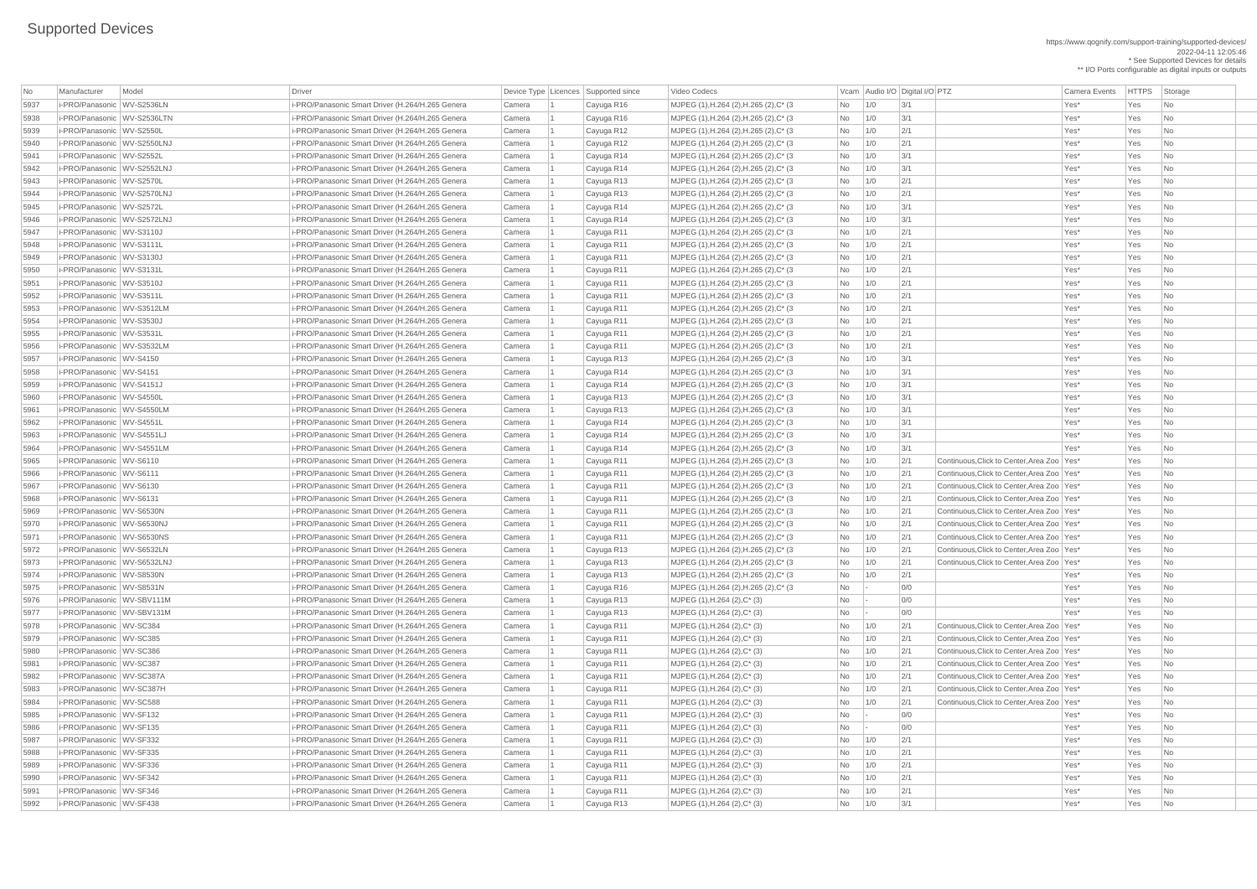https://www.qognify.com/support-training/supported-devices/ 2022-04-11 12:05:46 \* See Supported Devices for details \*\* I/O Ports configurable as digital inputs or outputs

MJPEG (1),H.264 (2),H.265 (2),C\* (3 No 1/0 3/1 No 1 Cayuga R16 Yes\* Yes No MJPEG (1),H.264 (2),H.265 (2),C\* (3 No 1/0 3/1 No 1 Cayuga R16 Yes\* Yes No MJPEG (1),H.264 (2),H.265 (2),C\* (3 No 1/0 2/1 No 2/1 Yes\* Yes No MJPEG (1),H.264 (2),H.265 (2),C\* (3 No 1/0 2/1 No 201 No 201 Yes\* Yes No MJPEG (1),H.264 (2),H.265 (2),C\* (3 No 1/0 3/1 No 1 Cayuga R14 Mo 2011 No 1 Case No MJPEG (1),H.264 (2),H.265 (2),C\* (3 No 1/0 2/1 No 201 Camera Camera 2 Cast R13 Mo | MJPEG (1),H.264 (2),H.265 (2),C\* (3 No 1/0 2/1 | Cayuga Res\* Yes No MJPEG (1),H.264 (2),H.265 (2),C\* (3 No 1/0 3/1 No 1 Cayuga R14 Mo 2011 No 1 Case No MJPEG (1),H.264 (2),H.265 (2),C\* (3 No 1/0 3/1 No 1 Cayuga R14 Mo 2011 is not a camera camera in the No 10  $\sqrt{2}$ | MJPEG (1),H.264 (2),H.265 (2),C\* (3 No 1/0 2/1 No 2/1 Yes\* Yes No MJPEG (1),H.264 (2),H.265 (2),C\* (3 No 1/0 2/1 No 201 No 201 Xes\* Yes No MJPEG (1),H.264 (2),H.265 (2),C\* (3 No 1/0 2/1 No 201 No 201 Xes\* Yes No MJPEG (1),H.264 (2),H.265 (2),C\* (3 No 1/0 2/1 No 2/1 Yes\* Yes No | MJPEG (1),H.264 (2),H.265 (2),C\* (3 No 1/0 2/1 No 2/1 Yes\* Yes No MJPEG (1),H.264 (2),H.265 (2),C\* (3 No 1/0 2/1 No 201 No 201 Xes\* Yes No | MJPEG (1),H.264 (2),H.265 (2),C\* (3 No 1/0 2/1 No 2/1 Yes\* Yes No MJPEG (1),H.264 (2),H.265 (2),C\* (3 No 1/0 2/1 No 201 No 201 Xes\* Yes No | MJPEG (1),H.264 (2),H.265 (2),C\* (3 No 1/0 2/1 No 2/1 Yes\* Yes No MJPEG (1),H.264 (2),H.265 (2),C\* (3 No 1/0 3/1 No 1 Cayuga R13 Yes\* Yes No | MJPEG (1),H.264 (2),H.265 (2),C\* (3 No | 1/0 3/1 | 3/1 | 2010 | 2010 | 2010 | 2010 | 2010 | 2010 | 2010 | 20 | MJPEG (1),H.264 (2),H.265 (2),C\* (3 No 1/0 3/1 No 1 Cayuga R13 Mo 2011 No 2012 MJPEG (1),H.264 (2),H.265 (2),C\* (3 No 1/0 3/1 No 1 Cayuga R13 Yes\* Yes No MJPEG (1),H.264 (2),H.265 (2),C\* (3 No 1/0 3/1 No 1 Cayuga R14 Mo 2011 No 1 Case No | MJPEG (1),H.264 (2),H.265 (2),C\* (3 No 1/0 3/1 | State Rest No 1 Case No 1 Case No 1/0 3/1 No 1/0 3/1 Yes No MJPEG (1),H.264 (2),H.265 (2),C\* (3 No 1/0 3/1 No 1 Cayuga R14 Mo 2011 No 1 Case No MJPEG (1),H.264 (2),H.265 (2),C\* (3  $\vert$  No  $\vert$  1/0  $\vert$  2/1 Continuous,Click to Center,Area Zoo Yes\* Yes No MJPEG (1),H.264 (2),H.265 (2),C\* (3  $|No|$  1/0  $|2/1$  Continuous,Click to Center,Area Zoo Yes\* Yes No MJPEG (1),H.264 (2),H.265 (2),C\* (3  $\vert$  No  $\vert$  1/0  $\vert$  2/1 Continuous,Click to Center,Area Zoo Yes\* Yes No MJPEG (1),H.264 (2),H.265 (2),C\* (3  $\vert$  No  $\vert$  1/0  $\vert$  2/1 Continuous,Click to Center,Area Zoo Yes\* Yes No MJPEG (1),H.264 (2),H.265 (2),C\* (3  $\vert$  No  $\vert$  1/0  $\vert$  2/1 Continuous,Click to Center,Area Zoo Yes\* Yes No MJPEG (1),H.264 (2),H.265 (2),C\* (3  $\vert$  No  $\vert$  1/0  $\vert$  2/1 Continuous,Click to Center,Area Zoo Yes\* Yes No MJPEG (1),H.264 (2),H.265 (2),C\* (3  $\vert$  No  $\vert$  1/0  $\vert$  2/1 Continuous,Click to Center,Area Zoo Yes\* Yes No MJPEG (1),H.264 (2),H.265 (2),C\* (3  $\vert$  No  $\vert$  1/0  $\vert$  2/1 Continuous,Click to Center,Area Zoo Yes\* Yes No MJPEG (1),H.264 (2),H.265 (2),C\* (3  $\vert$  No  $\vert$  1/0  $\vert$  2/1 Continuous,Click to Center,Area Zoo Yes\* Yes No | MJPEG (1),H.264 (2),H.265 (2),C\* (3 No 1/0 2/1 | Cayuga Res\* Yes No | MJPEG (1),H.264 (2),H.265 (2),C\* (3 No - 0/0 | O/0 | Casa R16 Mo - 2 No - 0/0 Yes\* Yes No 5978 i-PRO/Panasonic WV-SC384 i-PRO/Panasonic Smart Driver (H.264/H.265 Genera Camera 1 Cayuga R11 MJPEG (1),H.264 (2),C\* (3) No 1/0 2/1 Continuous,Click to Center,Area Zoo Yes\* Yes No 5979 i-PRO/Panasonic WV-SC385 i-PRO/Panasonic Smart Driver (H.264/H.265 Genera Camera 1 Cayuga R11 MJPEG (1),H.264 (2),C\* (3) No 1/0 2/1 Continuous,Click to Center,Area Zoo Yes\* Yes No  $[MJPEG (1), H.264 (2), C^* (3)$   $[No \t 1/0 \t 2/1 \t 1/1]$  Continuous, Click to Center, Area Zoo Yes\* Yes No 5981 i-PRO/Panasonic WV-SC387 i-PRO/Panasonic Smart Driver (H.264/H.265 Genera Camera 1 Cayuga R11 MJPEG (1),H.264 (2),C\* (3) No 1/0 2/1 Continuous,Click to Center,Area Zoo Yes\* Yes No 5982 i-PRO/Panasonic WV-SC387A i-PRO/Panasonic Smart Driver (H.264/H.265 Genera Camera 1 Cayuga R11 MJPEG (1),H.264 (2),C\* (3) No 1/0 2/1 Continuous,Click to Center,Area Zoo Yes\* Yes No 5983 i-PRO/Panasonic WV-SC387H i-PRO/Panasonic Smart Driver (H.264/H.265 Genera Camera 1 Cayuga R11 MJPEG (1),H.264 (2),C\* (3) No 1/0 2/1 Continuous,Click to Center,Area Zoo Yes\* Yes No 5984 i-PRO/Panasonic WV-SC588 i-PRO/Panasonic Smart Driver (H.264/H.265 Genera Camera 1 Cayuga R11 MJPEG (1),H.264 (2),C\* (3) No 1/0 2/1 Continuous,Click to Center,Area Zoo Yes\* Yes No

| No           | Manufacturer                | Model | Driver                                           |        | Device Type Licences Supported since | Video Codecs                            |                |                 | Vcam Audio I/O Digital I/O PTZ | <b>Camera Events</b>                         | <b>HTTPS</b> | Storage                     |
|--------------|-----------------------------|-------|--------------------------------------------------|--------|--------------------------------------|-----------------------------------------|----------------|-----------------|--------------------------------|----------------------------------------------|--------------|-----------------------------|
| 5937         | i-PRO/Panasonic WV-S2536LN  |       | i-PRO/Panasonic Smart Driver (H.264/H.265 Genera | Camera | Cayuga R16                           | MJPEG (1), H.264 (2), H.265 (2), C* (3  | No             | 1/0             | 3/1                            | Yes*                                         | Yes          | No                          |
| 5938         | i-PRO/Panasonic WV-S2536LTN |       | i-PRO/Panasonic Smart Driver (H.264/H.265 Genera | Camera | Cayuga R16                           | MJPEG (1), H.264 (2), H.265 (2), C* (3  | No             | 1/0             | 3/1                            | Yes*                                         | Yes          | No                          |
| 5939         | i-PRO/Panasonic WV-S2550L   |       | i-PRO/Panasonic Smart Driver (H.264/H.265 Genera | Camera | Cayuga R12                           | MJPEG (1), H.264 (2), H.265 (2), C* (3  | No             | 1/0             | 2/1                            | Yes*                                         | Yes          | No                          |
| 5940         | i-PRO/Panasonic WV-S2550LNJ |       | i-PRO/Panasonic Smart Driver (H.264/H.265 Genera | Camera | Cayuga R12                           | MJPEG (1), H.264 (2), H.265 (2), C* (3  | No             | 1/0             | 2/1                            | Yes*                                         | Yes          | N <sub>o</sub>              |
| 5941         | i-PRO/Panasonic WV-S2552L   |       | i-PRO/Panasonic Smart Driver (H.264/H.265 Genera | Camera | Cayuga R14                           | MJPEG (1), H.264 (2), H.265 (2), C* (3  | No             | 1/0             | 3/1                            | Yes*                                         | Yes          | N <sub>o</sub>              |
| 5942         | i-PRO/Panasonic WV-S2552LNJ |       | i-PRO/Panasonic Smart Driver (H.264/H.265 Genera | Camera | Cayuga R14                           | MJPEG (1), H.264 (2), H.265 (2), C* (3  | No             | 1/0             | 3/1                            | Yes*                                         | Yes          | N <sub>o</sub>              |
| 5943         | i-PRO/Panasonic WV-S2570L   |       | i-PRO/Panasonic Smart Driver (H.264/H.265 Genera | Camera | Cayuga R13                           | MJPEG (1), H.264 (2), H.265 (2), C* (3  | No             | 1/0             | 2/1                            | Yes*                                         | Yes          | N <sub>o</sub>              |
| 5944         | i-PRO/Panasonic WV-S2570LNJ |       | i-PRO/Panasonic Smart Driver (H.264/H.265 Genera | Camera | Cayuga R13                           | MJPEG (1), H.264 (2), H.265 (2), C* (3  | <b>No</b>      | 1/0             | 2/1                            | Yes*                                         | Yes          | No                          |
| 5945         | i-PRO/Panasonic WV-S2572L   |       | i-PRO/Panasonic Smart Driver (H.264/H.265 Genera | Camera | Cayuga R14                           | MJPEG (1), H.264 (2), H.265 (2), C* (3  | No             | 1/0             | 3/1                            | Yes*                                         | Yes          | No                          |
| 5946         | i-PRO/Panasonic WV-S2572LNJ |       | i-PRO/Panasonic Smart Driver (H.264/H.265 Genera | Camera | Cayuga R14                           | MJPEG (1), H.264 (2), H.265 (2), C* (3  | No             | 1/0             | 3/1                            | Yes*                                         | Yes          | N <sub>o</sub>              |
| 5947         | i-PRO/Panasonic WV-S3110J   |       | i-PRO/Panasonic Smart Driver (H.264/H.265 Genera | Camera | Cayuga R11                           | MJPEG (1), H.264 (2), H.265 (2), C* (3  | No             | 1/0             | 2/1                            | Yes*                                         | Yes          | No                          |
| 5948         | i-PRO/Panasonic WV-S3111L   |       | i-PRO/Panasonic Smart Driver (H.264/H.265 Genera | Camera | Cayuga R11                           | MJPEG (1), H.264 (2), H.265 (2), C* (3  | No             | 1/0             | 2/1                            | Yes*                                         | Yes          | N <sub>o</sub>              |
| 5949         | i-PRO/Panasonic WV-S3130J   |       | i-PRO/Panasonic Smart Driver (H.264/H.265 Genera | Camera | Cayuga R11                           | MJPEG (1), H.264 (2), H.265 (2), C* (3  | No             | 1/0             | 2/1                            | Yes*                                         | Yes          | No                          |
| 5950         | i-PRO/Panasonic WV-S3131L   |       | i-PRO/Panasonic Smart Driver (H.264/H.265 Genera | Camera | Cayuga R11                           | MJPEG (1), H.264 (2), H.265 (2), C* (3  | <b>No</b>      | 1/0             | 2/1                            | Yes*                                         | Yes          | $\overline{\mathsf{No}}$    |
| 5951         | i-PRO/Panasonic WV-S3510J   |       | i-PRO/Panasonic Smart Driver (H.264/H.265 Genera | Camera | Cayuga R11                           | MJPEG (1), H.264 (2), H.265 (2), C* (3  | No             | 1/0             | 2/1                            | Yes*                                         | Yes          | N <sub>o</sub>              |
| 5952         | i-PRO/Panasonic WV-S3511L   |       | i-PRO/Panasonic Smart Driver (H.264/H.265 Genera | Camera | Cayuga R11                           | MJPEG (1), H.264 (2), H.265 (2), C* (3  | No             | 1/0             | 2/1                            | Yes*                                         | Yes          | No                          |
|              | i-PRO/Panasonic WV-S3512LM  |       | i-PRO/Panasonic Smart Driver (H.264/H.265 Genera |        |                                      |                                         |                | 1/0             | 2/1                            | Yes*                                         | Yes          |                             |
| 5953<br>5954 | i-PRO/Panasonic WV-S3530J   |       |                                                  | Camera | Cayuga R11                           | MJPEG (1), H.264 (2), H.265 (2), C* (3  | No             |                 | 2/1                            | Yes*                                         | Yes          | No                          |
|              |                             |       | i-PRO/Panasonic Smart Driver (H.264/H.265 Genera | Camera | Cayuga R11                           | MJPEG (1), H.264 (2), H.265 (2), C* (3  | No             | 1/0             |                                | Yes*                                         | Yes          | N <sub>o</sub>              |
| 5955         | i-PRO/Panasonic WV-S3531L   |       | i-PRO/Panasonic Smart Driver (H.264/H.265 Genera | Camera | Cayuga R11                           | MJPEG (1), H.264 (2), H.265 (2), C* (3  | No             | 1/0             | 2/1                            |                                              |              | No                          |
| 5956         | i-PRO/Panasonic WV-S3532LM  |       | i-PRO/Panasonic Smart Driver (H.264/H.265 Genera | Camera | Cayuga R11                           | MJPEG (1), H.264 (2), H.265 (2), C* (3  | <b>No</b>      | 1/0             | 2/1                            | Yes*                                         | Yes          | $\overline{\mathsf{No}}$    |
| 5957         | i-PRO/Panasonic WV-S4150    |       | i-PRO/Panasonic Smart Driver (H.264/H.265 Genera | Camera | Cayuga R13                           | MJPEG (1), H.264 (2), H.265 (2), C* (3  | No             | 1/0             | 3/1                            | Yes*                                         | Yes          | N <sub>o</sub>              |
| 5958         | i-PRO/Panasonic WV-S4151    |       | i-PRO/Panasonic Smart Driver (H.264/H.265 Genera | Camera | Cayuga R14                           | MJPEG (1), H.264 (2), H.265 (2), C* (3  | No             | 1/0             | 3/1                            | Yes*                                         | Yes          | N <sub>o</sub>              |
| 5959         | i-PRO/Panasonic WV-S4151J   |       | i-PRO/Panasonic Smart Driver (H.264/H.265 Genera | Camera | Cayuga R14                           | MJPEG (1), H.264 (2), H.265 (2), C* (3  | No             | 1/0             | 3/1                            | Yes*                                         | Yes          | No                          |
| 5960         | i-PRO/Panasonic WV-S4550L   |       | i-PRO/Panasonic Smart Driver (H.264/H.265 Genera | Camera | Cayuga R13                           | MJPEG (1), H.264 (2), H.265 (2), C* (3  | No             | 1/0             | 3/1                            | Yes*                                         | Yes          | N <sub>0</sub>              |
| 5961         | i-PRO/Panasonic WV-S4550LM  |       | i-PRO/Panasonic Smart Driver (H.264/H.265 Genera | Camera | Cayuga R13                           | MJPEG (1), H.264 (2), H.265 (2), C* (3  | No             | 1/0             | 3/1                            | Yes*                                         | Yes          | N <sub>o</sub>              |
| 5962         | i-PRO/Panasonic WV-S4551L   |       | i-PRO/Panasonic Smart Driver (H.264/H.265 Genera | Camera | Cayuga R14                           | MJPEG (1), H.264 (2), H.265 (2), C* (3) | No.            | 1/0             | $\frac{3}{1}$                  | Yes*                                         | Yes          | N <sub>0</sub>              |
| 5963         | i-PRO/Panasonic WV-S4551LJ  |       | i-PRO/Panasonic Smart Driver (H.264/H.265 Genera | Camera | Cayuga R14                           | MJPEG (1), H.264 (2), H.265 (2), C* (3  | No             | 1/0             | 3/1                            | Yes*                                         | Yes          | N <sub>0</sub>              |
| 5964         | i-PRO/Panasonic WV-S4551LM  |       | i-PRO/Panasonic Smart Driver (H.264/H.265 Genera | Camera | Cayuga R14                           | MJPEG (1), H.264 (2), H.265 (2), C* (3  | No             | 1/0             | 3/1                            | Yes*                                         | Yes          | N <sub>o</sub>              |
| 5965         | i-PRO/Panasonic WV-S6110    |       | i-PRO/Panasonic Smart Driver (H.264/H.265 Genera | Camera | Cayuga R11                           | MJPEG (1), H.264 (2), H.265 (2), C* (3  | No             | 1/0             | 2/1                            | Continuous, Click to Center, Area Zoo   Yes* | Yes          | N <sub>o</sub>              |
| 5966         | i-PRO/Panasonic WV-S6111    |       | i-PRO/Panasonic Smart Driver (H.264/H.265 Genera | Camera | Cayuga R11                           | MJPEG (1), H.264 (2), H.265 (2), C* (3  | No             | 1/0             | 2/1                            | Continuous, Click to Center, Area Zoo   Yes* | Yes          | N <sub>0</sub>              |
| 5967         | i-PRO/Panasonic WV-S6130    |       | i-PRO/Panasonic Smart Driver (H.264/H.265 Genera | Camera | Cayuga R11                           | MJPEG (1), H.264 (2), H.265 (2), C* (3  | No             | 1/0             | 2/1                            | Continuous, Click to Center, Area Zoo   Yes* | Yes          | N <sub>o</sub>              |
| 5968         | i-PRO/Panasonic WV-S6131    |       | i-PRO/Panasonic Smart Driver (H.264/H.265 Genera | Camera | Cayuga R11                           | MJPEG (1), H.264 (2), H.265 (2), C* (3  | <b>No</b>      | 1/0             | 2/1                            | Continuous, Click to Center, Area Zoo   Yes* | Yes          | No                          |
| 5969         | i-PRO/Panasonic WV-S6530N   |       | i-PRO/Panasonic Smart Driver (H.264/H.265 Genera | Camera | Cayuga R11                           | MJPEG (1), H.264 (2), H.265 (2), C* (3) | No             | 1/0             | 2/1                            | Continuous, Click to Center, Area Zoo   Yes* | Yes          | $\overline{\phantom{a}}$ No |
| 5970         | i-PRO/Panasonic WV-S6530NJ  |       | i-PRO/Panasonic Smart Driver (H.264/H.265 Genera | Camera | Cayuga R11                           | MJPEG (1), H.264 (2), H.265 (2), C* (3  | No             | 1/0             | 2/1                            | Continuous, Click to Center, Area Zoo   Yes* | Yes          | N <sub>o</sub>              |
| 5971         | i-PRO/Panasonic WV-S6530NS  |       | i-PRO/Panasonic Smart Driver (H.264/H.265 Genera | Camera | Cayuga R11                           | MJPEG (1), H.264 (2), H.265 (2), C* (3  | No             | 1/0             | 2/1                            | Continuous, Click to Center, Area Zoo   Yes* | Yes          | N <sub>o</sub>              |
| 5972         | i-PRO/Panasonic WV-S6532LN  |       | i-PRO/Panasonic Smart Driver (H.264/H.265 Genera | Camera | Cayuga R13                           | MJPEG (1), H.264 (2), H.265 (2), C* (3  | No             | 1/0             | 2/1                            | Continuous, Click to Center, Area Zoo   Yes* | Yes          | N <sub>0</sub>              |
| 5973         | i-PRO/Panasonic WV-S6532LNJ |       | i-PRO/Panasonic Smart Driver (H.264/H.265 Genera | Camera | Cayuga R13                           | MJPEG (1), H.264 (2), H.265 (2), C* (3  | No             | 1/0             | 2/1                            | Continuous, Click to Center, Area Zoo   Yes* | Yes          | No                          |
| 5974         | i-PRO/Panasonic WV-S8530N   |       | i-PRO/Panasonic Smart Driver (H.264/H.265 Genera | Camera | Cayuga R13                           | MJPEG (1), H.264 (2), H.265 (2), C* (3  | No             | 1/0             | 2/1                            | Yes*                                         | Yes          | No                          |
| 5975         | i-PRO/Panasonic WV-S8531N   |       | i-PRO/Panasonic Smart Driver (H.264/H.265 Genera | Camera | Cayuga R16                           | MJPEG (1), H.264 (2), H.265 (2), C* (3) | No             |                 | 0/0                            | Yes*                                         | Yes          | N <sub>o</sub>              |
| 5976         | i-PRO/Panasonic WV-SBV111M  |       | i-PRO/Panasonic Smart Driver (H.264/H.265 Genera | Camera | Cayuga R13                           | MJPEG (1), H.264 (2), C* (3)            | No             |                 | 0/0                            | Yes*                                         | Yes          | N <sub>o</sub>              |
| 5977         | i-PRO/Panasonic WV-SBV131M  |       | i-PRO/Panasonic Smart Driver (H.264/H.265 Genera | Camera | Cayuga R13                           | MJPEG (1), H.264 (2), C* (3)            | N <sub>o</sub> | $\mathbf{I}$    | 0/0                            | Yes*                                         | Yes          | N <sub>o</sub>              |
| 5978         | i-PRO/Panasonic WV-SC384    |       | i-PRO/Panasonic Smart Driver (H.264/H.265 Genera | Camera | Cayuga R11                           | MJPEG (1), H.264 (2), C* (3)            | No             | 1/0             | 2/1                            | Continuous, Click to Center, Area Zoo   Yes* | Yes          | N <sub>o</sub>              |
| 5979         | i-PRO/Panasonic WV-SC385    |       | i-PRO/Panasonic Smart Driver (H.264/H.265 Genera | Camera | Cayuga R11                           | MJPEG (1), H.264 (2), C* (3)            | <b>No</b>      | 1/0             | 2/1                            | Continuous, Click to Center, Area Zoo   Yes* | Yes          | N <sub>o</sub>              |
| 5980         | i-PRO/Panasonic WV-SC386    |       | i-PRO/Panasonic Smart Driver (H.264/H.265 Genera | Camera | Cayuga R11                           | MJPEG (1), H.264 (2), C* (3)            | <b>No</b>      | 1/0             | 2/1                            | Continuous, Click to Center, Area Zoo   Yes* | Yes          | No                          |
| 5981         | i-PRO/Panasonic WV-SC387    |       | i-PRO/Panasonic Smart Driver (H.264/H.265 Genera | Camera | Cayuga R11                           | MJPEG (1), H.264 (2), C* (3)            | <b>No</b>      | 1/0             | 2/1                            | Continuous, Click to Center, Area Zoo   Yes* | Yes          | N <sub>o</sub>              |
| 5982         | i-PRO/Panasonic WV-SC387A   |       | i-PRO/Panasonic Smart Driver (H.264/H.265 Genera | Camera | Cayuga R11                           | MJPEG (1), H.264 (2), C* (3)            | No             | 1/0             | 2/1                            | Continuous, Click to Center, Area Zoo   Yes* | Yes          | N <sub>o</sub>              |
| 5983         | i-PRO/Panasonic WV-SC387H   |       | i-PRO/Panasonic Smart Driver (H.264/H.265 Genera | Camera | Cayuga R11                           | MJPEG (1), H.264 (2), C* (3)            | No             | 1/0             | 2/1                            | Continuous, Click to Center, Area Zoo   Yes* | Yes          | N <sub>o</sub>              |
| 5984         | i-PRO/Panasonic WV-SC588    |       | i-PRO/Panasonic Smart Driver (H.264/H.265 Genera | Camera | Cayuga R11                           | MJPEG (1), H.264 (2), C* (3)            | No             | 1/0             | 2/1                            | Continuous, Click to Center, Area Zoo   Yes* | Yes          | N <sub>o</sub>              |
| 5985         | i-PRO/Panasonic WV-SF132    |       | i-PRO/Panasonic Smart Driver (H.264/H.265 Genera | Camera | Cayuga R11                           | MJPEG (1), H.264 (2), C* (3)            | No             | $\vert - \vert$ | 0/0                            | Yes*                                         | Yes          | N <sub>o</sub>              |
| 5986         | i-PRO/Panasonic WV-SF135    |       | i-PRO/Panasonic Smart Driver (H.264/H.265 Genera | Camera | Cayuga R11                           | MJPEG (1), H.264 (2), C* (3)            | <b>No</b>      | $\mathbf{I}$    | 0/0                            | Yes*                                         | Yes          | N <sub>o</sub>              |
| 5987         | i-PRO/Panasonic WV-SF332    |       | i-PRO/Panasonic Smart Driver (H.264/H.265 Genera | Camera | Cayuga R11                           | MJPEG (1), H.264 (2), C* (3)            | No             | 1/0             | 2/1                            | Yes*                                         | Yes          | N <sub>0</sub>              |
| 5988         | i-PRO/Panasonic   WV-SF335  |       | i-PRO/Panasonic Smart Driver (H.264/H.265 Genera | Camera | Cayuga R11                           | MJPEG (1), H.264 (2), C* (3)            | No             | 1/0             | 2/1                            | Yes*                                         | Yes          | $\overline{\phantom{a}}$ No |
| 5989         | i-PRO/Panasonic WV-SF336    |       | i-PRO/Panasonic Smart Driver (H.264/H.265 Genera | Camera | Cayuga R11                           | MJPEG (1), H.264 (2), C* (3)            | No             | 1/0             | 2/1                            | Yes*                                         | Yes          | $\overline{\phantom{a}}$ No |
| 5990         | i-PRO/Panasonic WV-SF342    |       | i-PRO/Panasonic Smart Driver (H.264/H.265 Genera | Camera | Cayuga R11                           | $MJPEG (1), H.264 (2), C^* (3)$         | No             | 1/0             | 2/1                            | Yes*                                         | Yes          | $\overline{\phantom{a}}$ No |
| 5991         | i-PRO/Panasonic WV-SF346    |       | i-PRO/Panasonic Smart Driver (H.264/H.265 Genera | Camera | Cayuga R11                           | $MJPEG (1), H.264 (2), C^* (3)$         | No             | 1/0             | 2/1                            | Yes*                                         | Yes          | No                          |
| 5992         | i-PRO/Panasonic WV-SF438    |       | i-PRO/Panasonic Smart Driver (H.264/H.265 Genera | Camera | Cayuga R13                           | MJPEG (1), H.264 (2), C* (3)            | No             | 1/0             | 3/1                            | Yes*                                         | Yes          | $\overline{\phantom{1}}$ No |
|              |                             |       |                                                  |        |                                      |                                         |                |                 |                                |                                              |              |                             |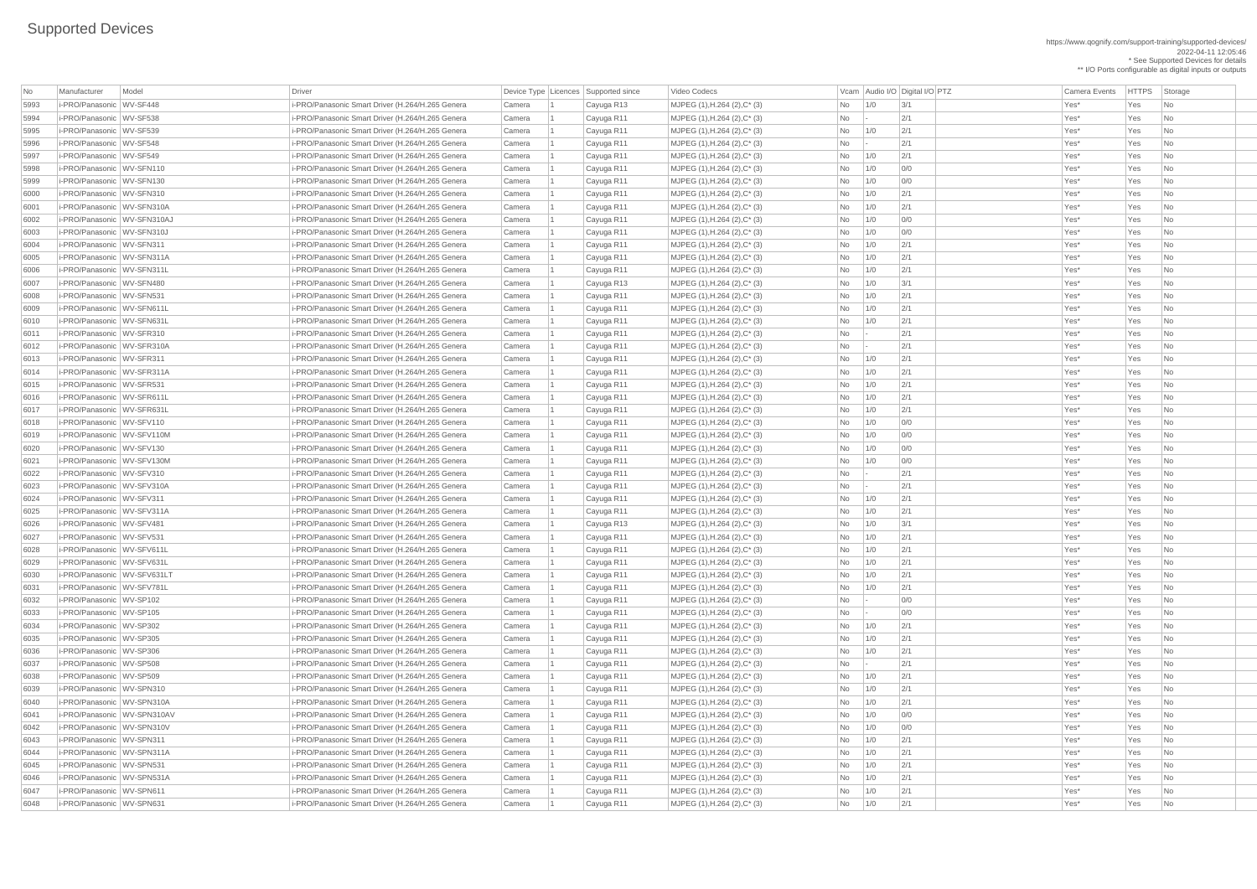| No   | Manufacturer                | Model | Driver                                           |        | Device Type   Licences   Supported since | Video Codecs                    |                |                 | Vcam Audio I/O Digital I/O PTZ | <b>Camera Events</b> | <b>HTTPS</b> | Storage                     |
|------|-----------------------------|-------|--------------------------------------------------|--------|------------------------------------------|---------------------------------|----------------|-----------------|--------------------------------|----------------------|--------------|-----------------------------|
| 5993 | i-PRO/Panasonic WV-SF448    |       | i-PRO/Panasonic Smart Driver (H.264/H.265 Genera | Camera | Cayuga R13                               | MJPEG (1), H.264 (2), C* (3)    | No             | 1/0             | 3/1                            | Yes*                 | Yes          | No                          |
| 5994 | i-PRO/Panasonic WV-SF538    |       | i-PRO/Panasonic Smart Driver (H.264/H.265 Genera | Camera |                                          | MJPEG (1), H.264 (2), C* (3)    | No             |                 | 2/1                            | Yes*                 | Yes          | No                          |
|      | i-PRO/Panasonic WV-SF539    |       |                                                  |        | Cayuga R11                               |                                 |                | 1/0             | 2/1                            | Yes*                 |              |                             |
| 5995 |                             |       | i-PRO/Panasonic Smart Driver (H.264/H.265 Genera | Camera | Cayuga R11                               | MJPEG (1), H.264 (2), C* (3)    | <b>No</b>      |                 |                                |                      | Yes          | N <sub>o</sub>              |
| 5996 | i-PRO/Panasonic WV-SF548    |       | i-PRO/Panasonic Smart Driver (H.264/H.265 Genera | Camera | Cayuga R11                               | MJPEG (1), H.264 (2), C* (3)    | No             | $\vert - \vert$ | 2/1                            | Yes*                 | Yes          | N <sub>o</sub>              |
| 5997 | i-PRO/Panasonic WV-SF549    |       | i-PRO/Panasonic Smart Driver (H.264/H.265 Genera | Camera | Cayuga R11                               | MJPEG (1), H.264 (2), C* (3)    | No             | 1/0             | 2/1                            | Yes*                 | Yes          | N <sub>o</sub>              |
| 5998 | i-PRO/Panasonic WV-SFN110   |       | i-PRO/Panasonic Smart Driver (H.264/H.265 Genera | Camera | Cayuga R11                               | $MJPEG (1), H.264 (2), C^* (3)$ | No             | 1/0             | 0/0                            | Yes*                 | Yes          | N <sub>o</sub>              |
| 5999 | i-PRO/Panasonic WV-SFN130   |       | i-PRO/Panasonic Smart Driver (H.264/H.265 Genera | Camera | Cayuga R11                               | MJPEG (1), H.264 (2), C* (3)    | No             | 1/0             | 0/0                            | Yes*                 | Yes          | N <sub>o</sub>              |
| 6000 | i-PRO/Panasonic WV-SFN310   |       | i-PRO/Panasonic Smart Driver (H.264/H.265 Genera | Camera | Cayuga R11                               | MJPEG (1), H.264 (2), C* (3)    | No             | 1/0             | 2/1                            | Yes*                 | Yes          | N <sub>o</sub>              |
| 6001 | i-PRO/Panasonic WV-SFN310A  |       | i-PRO/Panasonic Smart Driver (H.264/H.265 Genera | Camera | Cayuga R11                               | MJPEG (1), H.264 (2), C* (3)    | <b>No</b>      | 1/0             | 2/1                            | Yes*                 | Yes          | No                          |
| 6002 | i-PRO/Panasonic WV-SFN310AJ |       | i-PRO/Panasonic Smart Driver (H.264/H.265 Genera | Camera | Cayuga R11                               | MJPEG (1), H.264 (2), C* (3)    | No             | 1/0             | 0/0                            | Yes*                 | Yes          | $\overline{\mathsf{No}}$    |
| 6003 | i-PRO/Panasonic WV-SFN310J  |       | i-PRO/Panasonic Smart Driver (H.264/H.265 Genera | Camera | Cayuga R11                               | MJPEG (1), H.264 (2), C* (3)    | No             | 1/0             | 0/0                            | Yes*                 | Yes          | No                          |
| 6004 | i-PRO/Panasonic WV-SFN311   |       | i-PRO/Panasonic Smart Driver (H.264/H.265 Genera | Camera | Cayuga R11                               | MJPEG (1), H.264 (2), C* (3)    | No             | 1/0             | 2/1                            | Yes*                 | Yes          | No                          |
| 6005 | i-PRO/Panasonic WV-SFN311A  |       | i-PRO/Panasonic Smart Driver (H.264/H.265 Genera | Camera | Cayuga R11                               | MJPEG (1), H.264 (2), C* (3)    | No             | 1/0             | 2/1                            | Yes*                 | Yes          | N <sub>o</sub>              |
| 6006 | i-PRO/Panasonic WV-SFN311L  |       | i-PRO/Panasonic Smart Driver (H.264/H.265 Genera | Camera | Cayuga R11                               | MJPEG (1), H.264 (2), C* (3)    | No             | 1/0             | 2/1                            | Yes*                 | Yes          | No                          |
| 6007 | i-PRO/Panasonic WV-SFN480   |       | i-PRO/Panasonic Smart Driver (H.264/H.265 Genera | Camera | Cayuga R13                               | MJPEG (1), H.264 (2), C* (3)    | <b>No</b>      | 1/0             | 3/1                            | Yes*                 | Yes          | N <sub>o</sub>              |
| 6008 | i-PRO/Panasonic WV-SFN531   |       | i-PRO/Panasonic Smart Driver (H.264/H.265 Genera | Camera | Cayuga R11                               | MJPEG (1), H.264 (2), C* (3)    | <b>No</b>      | 1/0             | 2/1                            | Yes*                 | Yes          | N <sub>o</sub>              |
| 6009 | i-PRO/Panasonic WV-SFN611L  |       | i-PRO/Panasonic Smart Driver (H.264/H.265 Genera | Camera | Cayuga R11                               | MJPEG (1), H.264 (2), C* (3)    | <b>No</b>      | 1/0             | 2/1                            | Yes*                 | Yes          | N <sub>o</sub>              |
| 6010 | i-PRO/Panasonic WV-SFN631L  |       | i-PRO/Panasonic Smart Driver (H.264/H.265 Genera | Camera | Cayuga R11                               | $MJPEG (1), H.264 (2), C^* (3)$ | No             | 1/0             | 2/1                            | Yes*                 | Yes          | N <sub>o</sub>              |
| 6011 | i-PRO/Panasonic WV-SFR310   |       | i-PRO/Panasonic Smart Driver (H.264/H.265 Genera | Camera | Cayuga R11                               | MJPEG (1), H.264 (2), C* (3)    | No             | $\vert - \vert$ | 2/1                            | Yes*                 | Yes          | N <sub>o</sub>              |
| 6012 | i-PRO/Panasonic WV-SFR310A  |       | i-PRO/Panasonic Smart Driver (H.264/H.265 Genera | Camera | Cayuga R11                               | MJPEG (1), H.264 (2), C* (3)    | No             | $\sim$          | 2/1                            | Yes*                 | Yes          | No                          |
| 6013 | i-PRO/Panasonic WV-SFR311   |       | i-PRO/Panasonic Smart Driver (H.264/H.265 Genera | Camera | Cayuga R11                               | MJPEG (1), H.264 (2), C* (3)    | No             | 1/0             | 2/1                            | Yes*                 | Yes          | N <sub>o</sub>              |
| 6014 | i-PRO/Panasonic WV-SFR311A  |       | i-PRO/Panasonic Smart Driver (H.264/H.265 Genera | Camera | Cayuga R11                               | MJPEG (1), H.264 (2), C* (3)    | <b>No</b>      | 1/0             | 2/1                            | Yes*                 | Yes          | $\overline{\mathsf{No}}$    |
| 6015 | i-PRO/Panasonic WV-SFR531   |       | i-PRO/Panasonic Smart Driver (H.264/H.265 Genera | Camera | Cayuga R11                               | MJPEG (1), H.264 (2), C* (3)    | <b>No</b>      | 1/0             | 2/1                            | Yes*                 | Yes          | No                          |
| 6016 | i-PRO/Panasonic WV-SFR611L  |       | i-PRO/Panasonic Smart Driver (H.264/H.265 Genera | Camera | Cayuga R11                               | $MJPEG (1), H.264 (2), C^* (3)$ | No             | 1/0             | 2/1                            | Yes*                 | Yes          | N <sub>o</sub>              |
| 6017 | i-PRO/Panasonic WV-SFR631L  |       |                                                  |        |                                          |                                 |                | 1/0             | 2/1                            | Yes*                 | Yes          | N <sub>o</sub>              |
|      |                             |       | i-PRO/Panasonic Smart Driver (H.264/H.265 Genera | Camera | Cayuga R11                               | MJPEG (1), H.264 (2), C* (3)    | No             |                 |                                |                      |              |                             |
| 6018 | i-PRO/Panasonic WV-SFV110   |       | i-PRO/Panasonic Smart Driver (H.264/H.265 Genera | Camera | Cayuga R11                               | MJPEG (1), H.264 (2), C* (3)    | No.            | 1/0             | 0/0                            | Yes*                 | Yes          | $\overline{\phantom{a}}$ No |
| 6019 | i-PRO/Panasonic WV-SFV110M  |       | i-PRO/Panasonic Smart Driver (H.264/H.265 Genera | Camera | Cayuga R11                               | MJPEG (1), H.264 (2), C* (3)    | No             | 1/0             | 0/0                            | Yes*                 | Yes          | $\overline{\phantom{a}}$ No |
| 6020 | i-PRO/Panasonic WV-SFV130   |       | i-PRO/Panasonic Smart Driver (H.264/H.265 Genera | Camera | Cayuga R11                               | MJPEG (1), H.264 (2), C* (3)    | No             | 1/0             | 0/0                            | Yes*                 | Yes          | N <sub>o</sub>              |
| 6021 | i-PRO/Panasonic WV-SFV130M  |       | i-PRO/Panasonic Smart Driver (H.264/H.265 Genera | Camera | Cayuga R11                               | MJPEG (1), H.264 (2), C* (3)    | No             | 1/0             | 0/0                            | Yes*                 | Yes          | No                          |
| 6022 | i-PRO/Panasonic WV-SFV310   |       | i-PRO/Panasonic Smart Driver (H.264/H.265 Genera | Camera | Cayuga R11                               | MJPEG (1), H.264 (2), C* (3)    | No             | $\overline{a}$  | 2/1                            | Yes*                 | Yes          | N <sub>o</sub>              |
| 6023 | i-PRO/Panasonic WV-SFV310A  |       | i-PRO/Panasonic Smart Driver (H.264/H.265 Genera | Camera | Cayuga R11                               | MJPEG (1), H.264 (2), C* (3)    | No             |                 | 2/1                            | Yes*                 | Yes          | N <sub>o</sub>              |
| 6024 | i-PRO/Panasonic WV-SFV311   |       | i-PRO/Panasonic Smart Driver (H.264/H.265 Genera | Camera | Cayuga R11                               | MJPEG (1), H.264 (2), C* (3)    | No             | 1/0             | 2/1                            | Yes*                 | Yes          | No                          |
| 6025 | i-PRO/Panasonic WV-SFV311A  |       | i-PRO/Panasonic Smart Driver (H.264/H.265 Genera | Camera | Cayuga R11                               | MJPEG (1), H.264 (2), C* (3)    | No             | 1/0             | 2/1                            | Yes*                 | Yes          | $\overline{\phantom{a}}$ No |
| 6026 | i-PRO/Panasonic WV-SFV481   |       | i-PRO/Panasonic Smart Driver (H.264/H.265 Genera | Camera | Cayuga R13                               | MJPEG (1), H.264 (2), C* (3)    | N <sub>o</sub> | 1/0             | 3/1                            | Yes*                 | Yes          | N <sub>o</sub>              |
| 6027 | i-PRO/Panasonic WV-SFV531   |       | i-PRO/Panasonic Smart Driver (H.264/H.265 Genera | Camera | Cayuga R11                               | MJPEG (1), H.264 (2), C* (3)    | No             | 1/0             | 2/1                            | Yes*                 | Yes          | $\overline{\phantom{a}}$ No |
| 6028 | i-PRO/Panasonic WV-SFV611L  |       | i-PRO/Panasonic Smart Driver (H.264/H.265 Genera | Camera | Cayuga R11                               | MJPEG (1), H.264 (2), C* (3)    | No             | 1/0             | 2/1                            | Yes*                 | Yes          | N <sub>0</sub>              |
| 6029 | i-PRO/Panasonic WV-SFV631L  |       | i-PRO/Panasonic Smart Driver (H.264/H.265 Genera | Camera | Cayuga R11                               | MJPEG (1), H.264 (2), C* (3)    | No             | 1/0             | 2/1                            | Yes*                 | Yes          | N <sub>o</sub>              |
| 6030 | i-PRO/Panasonic WV-SFV631LT |       | i-PRO/Panasonic Smart Driver (H.264/H.265 Genera | Camera | Cayuga R11                               | MJPEG (1), H.264 (2), C* (3)    | No             | 1/0             | 2/1                            | Yes*                 | Yes          | $\overline{\mathsf{No}}$    |
| 6031 | i-PRO/Panasonic WV-SFV781L  |       | i-PRO/Panasonic Smart Driver (H.264/H.265 Genera | Camera | Cayuga R11                               | MJPEG (1), H.264 (2), C* (3)    | No             | 1/0             | 2/1                            | Yes*                 | Yes          | N <sub>o</sub>              |
| 6032 | i-PRO/Panasonic WV-SP102    |       | i-PRO/Panasonic Smart Driver (H.264/H.265 Genera | Camera | Cayuga R11                               | MJPEG (1), H.264 (2), C* (3)    | No             | $\vert - \vert$ | 0/0                            | Yes*                 | Yes          | N <sub>o</sub>              |
| 6033 | i-PRO/Panasonic WV-SP105    |       | i-PRO/Panasonic Smart Driver (H.264/H.265 Genera | Camera | Cayuga R11                               | MJPEG (1), H.264 (2), C* (3)    | No             | $\vert - \vert$ | 0/0                            | Yes*                 | Yes          | N <sub>0</sub>              |
| 6034 | i-PRO/Panasonic WV-SP302    |       | i-PRO/Panasonic Smart Driver (H.264/H.265 Genera | Camera | Cayuga R11                               | MJPEG (1), H.264 (2), C* (3)    | No             | 1/0             | 2/1                            | Yes*                 | Yes          | N <sub>o</sub>              |
| 6035 | i-PRO/Panasonic WV-SP305    |       | i-PRO/Panasonic Smart Driver (H.264/H.265 Genera | Camera | Cayuga R11                               | MJPEG (1), H.264 (2), C* (3)    | <b>No</b>      | 1/0             | 2/1                            | Yes*                 | Yes          | N <sub>o</sub>              |
| 6036 | i-PRO/Panasonic WV-SP306    |       | i-PRO/Panasonic Smart Driver (H.264/H.265 Genera | Camera | Cayuga R11                               | MJPEG (1), H.264 (2), C* (3)    | No             | 1/0             | 2/1                            | Yes*                 | Yes          | $\overline{\mathsf{No}}$    |
| 6037 | i-PRO/Panasonic WV-SP508    |       | i-PRO/Panasonic Smart Driver (H.264/H.265 Genera | Camera | Cayuga R11                               | MJPEG (1), H.264 (2), C* (3)    | No             | $\sim$          | 2/1                            | Yes*                 | Yes          | N <sub>o</sub>              |
| 6038 | i-PRO/Panasonic WV-SP509    |       | i-PRO/Panasonic Smart Driver (H.264/H.265 Genera | Camera | Cayuga R11                               | MJPEG (1), H.264 (2), C* (3)    | No             | 1/0             | 2/1                            | Yes*                 | Yes          | N <sub>o</sub>              |
| 6039 | i-PRO/Panasonic WV-SPN310   |       | i-PRO/Panasonic Smart Driver (H.264/H.265 Genera | Camera |                                          | MJPEG (1), H.264 (2), C* (3)    | No             | 1/0             | 2/1                            | Yes*                 | Yes          | $\overline{\mathsf{No}}$    |
|      | i-PRO/Panasonic WV-SPN310A  |       |                                                  |        | Cayuga R11                               |                                 |                |                 | 2/1                            | Yes*                 | Yes          |                             |
| 6040 |                             |       | i-PRO/Panasonic Smart Driver (H.264/H.265 Genera | Camera | Cayuga R11                               | MJPEG (1), H.264 (2), C* (3)    | No             | 1/0             |                                |                      |              | N <sub>o</sub>              |
| 6041 | i-PRO/Panasonic WV-SPN310AV |       | i-PRO/Panasonic Smart Driver (H.264/H.265 Genera | Camera | Cayuga R11                               | MJPEG (1), H.264 (2), C* (3)    | No             | 1/0             | 0/0                            | Yes*                 | Yes          | No                          |
| 6042 | i-PRO/Panasonic WV-SPN310V  |       | i-PRO/Panasonic Smart Driver (H.264/H.265 Genera | Camera | Cayuga R11                               | MJPEG (1), H.264 (2), C* (3)    | No             | 1/0             | 0/0                            | Yes*                 | Yes          | $\overline{\phantom{a}}$ No |
| 6043 | i-PRO/Panasonic WV-SPN311   |       | i-PRO/Panasonic Smart Driver (H.264/H.265 Genera | Camera | Cayuga R11                               | MJPEG (1), H.264 (2), C* (3)    | No             | 1/0             | 2/1                            | Yes*                 | Yes          | No                          |
| 6044 | i-PRO/Panasonic WV-SPN311A  |       | i-PRO/Panasonic Smart Driver (H.264/H.265 Genera | Camera | Cayuga R11                               | MJPEG (1), H.264 (2), C* (3)    | No             | 1/0             | 2/1                            | Yes*                 | Yes          | $\overline{\phantom{a}}$ No |
| 6045 | i-PRO/Panasonic WV-SPN531   |       | i-PRO/Panasonic Smart Driver (H.264/H.265 Genera | Camera | Cayuga R11                               | MJPEG (1), H.264 (2), C* (3)    | No             | 1/0             | 2/1                            | Yes*                 | Yes          | $\overline{\phantom{a}}$ No |
| 6046 | i-PRO/Panasonic WV-SPN531A  |       | i-PRO/Panasonic Smart Driver (H.264/H.265 Genera | Camera | Cayuga R11                               | $MJPEG (1), H.264 (2), C^* (3)$ | No             | 1/0             | 2/1                            | Yes*                 | Yes          | $\overline{\phantom{a}}$ No |
| 6047 | i-PRO/Panasonic WV-SPN611   |       | i-PRO/Panasonic Smart Driver (H.264/H.265 Genera | Camera | Cayuga R11                               | $MJPEG (1), H.264 (2), C^* (3)$ | No             | 1/0             | 2/1                            | Yes*                 | Yes          | $\overline{\phantom{a}}$ No |
| 6048 | i-PRO/Panasonic WV-SPN631   |       | i-PRO/Panasonic Smart Driver (H.264/H.265 Genera | Camera | Cayuga R11                               | MJPEG (1), H.264 (2), C* (3)    | No             | 1/0             | 2/1                            | Yes*                 | Yes          | $\overline{\phantom{a}}$ No |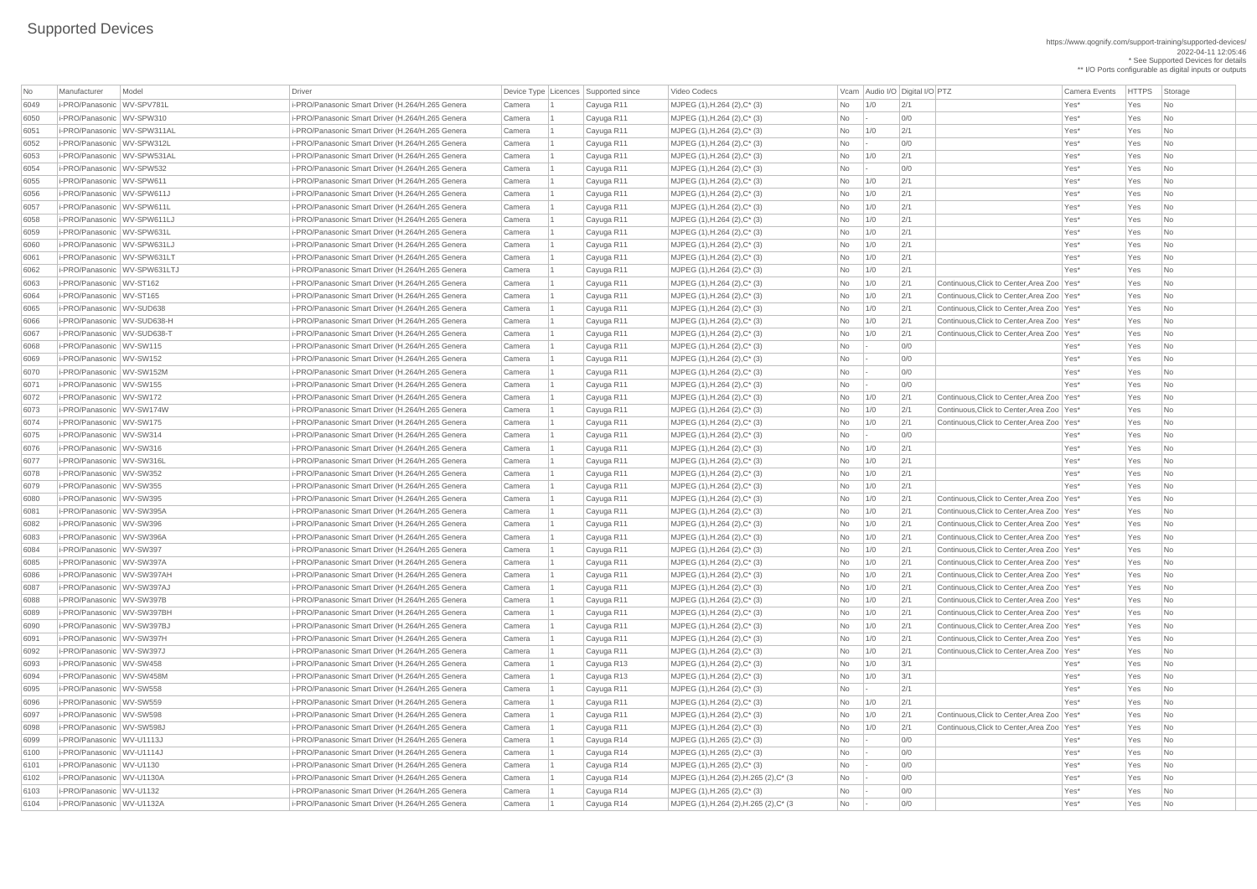## Supported Devices

https://www.qognify.com/support-training/supported-devices/ 2022-04-11 12:05:46 \* See Supported Devices for details \*\* I/O Ports configurable as digital inputs or outputs

| No   | Manufacturer                  | Model                        | Driver                                           |        | Device Type Licences Supported since | Video Codecs                            |                                                                      |             | Vcam Audio I/O Digital I/O PTZ |                                              | <b>Camera Events</b> | <b>HTTPS</b> | Storage                     |
|------|-------------------------------|------------------------------|--------------------------------------------------|--------|--------------------------------------|-----------------------------------------|----------------------------------------------------------------------|-------------|--------------------------------|----------------------------------------------|----------------------|--------------|-----------------------------|
| 6049 | i-PRO/Panasonic WV-SPV781L    |                              | i-PRO/Panasonic Smart Driver (H.264/H.265 Genera | Camera | Cayuga R11                           | MJPEG (1), H.264 (2), C* (3)            | No                                                                   | 1/0         | 2/1                            |                                              | Yes*                 | Yes          | N <sub>o</sub>              |
| 6050 | i-PRO/Panasonic WV-SPW310     |                              | i-PRO/Panasonic Smart Driver (H.264/H.265 Genera | Camera | Cayuga R11                           | MJPEG (1), H.264 (2), C* (3)            | No                                                                   |             | 0/0                            |                                              | Yes*                 | Yes          | N <sub>o</sub>              |
| 6051 | i-PRO/Panasonic WV-SPW311AL   |                              | i-PRO/Panasonic Smart Driver (H.264/H.265 Genera | Camera | Cayuga R11                           | MJPEG (1), H.264 (2), C* (3)            | No                                                                   | 1/0         | 2/1                            |                                              | Yes*                 | Yes          | N <sub>o</sub>              |
| 6052 | i-PRO/Panasonic WV-SPW312L    |                              | i-PRO/Panasonic Smart Driver (H.264/H.265 Genera | Camera | Cayuga R11                           | MJPEG (1), H.264 (2), C* (3)            | No                                                                   |             | O/O                            |                                              | Yes*                 | Yes          | N <sub>o</sub>              |
| 6053 | i-PRO/Panasonic WV-SPW531AL   |                              | i-PRO/Panasonic Smart Driver (H.264/H.265 Genera | Camera | Cayuga R11                           | MJPEG (1), H.264 (2), C* (3)            | No                                                                   | 1/0         | 2/1                            |                                              | Yes*                 | Yes          | N <sub>o</sub>              |
| 6054 | i-PRO/Panasonic WV-SPW532     |                              | i-PRO/Panasonic Smart Driver (H.264/H.265 Genera | Camera | Cayuga R11                           | MJPEG (1), H.264 (2), C* (3)            | No                                                                   | $\sim$      | 0/0                            |                                              | Yes*                 | Yes          | N <sub>o</sub>              |
| 6055 | i-PRO/Panasonic WV-SPW611     |                              | i-PRO/Panasonic Smart Driver (H.264/H.265 Genera | Camera | Cayuga R11                           | MJPEG (1), H.264 (2), C* (3)            | No                                                                   | 1/0         | 2/1                            |                                              | Yes*                 | Yes          | N <sub>o</sub>              |
| 6056 | i-PRO/Panasonic WV-SPW611J    |                              | i-PRO/Panasonic Smart Driver (H.264/H.265 Genera | Camera | Cayuga R11                           | MJPEG (1), H.264 (2), C* (3)            | No                                                                   | 1/0         | 2/1                            |                                              | Yes*                 | Yes          | No                          |
| 6057 | i-PRO/Panasonic WV-SPW611L    |                              | i-PRO/Panasonic Smart Driver (H.264/H.265 Genera | Camera | Cayuga R11                           | MJPEG (1), H.264 (2), C* (3)            | No                                                                   | 1/0         | 2/1                            |                                              | Yes*                 | Yes          | N <sub>o</sub>              |
| 6058 | i-PRO/Panasonic   WV-SPW611LJ |                              | i-PRO/Panasonic Smart Driver (H.264/H.265 Genera | Camera | Cayuga R11                           | MJPEG (1), H.264 (2), C* (3)            | No                                                                   | 1/0         | 2/1                            |                                              | Yes*                 | Yes          | N <sub>o</sub>              |
| 6059 | i-PRO/Panasonic WV-SPW631L    |                              | i-PRO/Panasonic Smart Driver (H.264/H.265 Genera | Camera | Cayuga R11                           | MJPEG (1), H.264 (2), C* (3)            | No                                                                   | 1/0         | 2/1                            |                                              | Yes*                 | Yes          | N <sub>o</sub>              |
| 6060 | i-PRO/Panasonic WV-SPW631LJ   |                              | i-PRO/Panasonic Smart Driver (H.264/H.265 Genera | Camera | Cayuga R11                           | MJPEG (1), H.264 (2), C* (3)            | No                                                                   | 1/0         | 2/1                            |                                              | Yes*                 | Yes          | N <sub>o</sub>              |
| 6061 | i-PRO/Panasonic WV-SPW631LT   |                              | i-PRO/Panasonic Smart Driver (H.264/H.265 Genera | Camera | Cayuga R11                           | MJPEG (1), H.264 (2), C* (3)            | No                                                                   | 1/0         | 2/1                            |                                              | Yes*                 | Yes          | N <sub>o</sub>              |
| 6062 |                               | i-PRO/Panasonic WV-SPW631LTJ | i-PRO/Panasonic Smart Driver (H.264/H.265 Genera | Camera | Cayuga R11                           | MJPEG (1), H.264 (2), C* (3)            | <b>No</b>                                                            | 1/0         | 2/1                            |                                              | Yes*                 | Yes          | No                          |
| 6063 | i-PRO/Panasonic WV-ST162      |                              | i-PRO/Panasonic Smart Driver (H.264/H.265 Genera | Camera | Cayuga R11                           | MJPEG (1), H.264 (2), C* (3)            | No                                                                   | 1/0         | 2/1                            | Continuous. Click to Center. Area Zoo   Yes* |                      | Yes          | N <sub>o</sub>              |
| 6064 | i-PRO/Panasonic WV-ST165      |                              | i-PRO/Panasonic Smart Driver (H.264/H.265 Genera | Camera | Cayuga R11                           | MJPEG (1), H.264 (2), C* (3)            | No                                                                   | 1/0         | 2/1                            | Continuous, Click to Center, Area Zoo   Yes* |                      | Yes          | N <sub>o</sub>              |
| 6065 | i-PRO/Panasonic WV-SUD638     |                              | i-PRO/Panasonic Smart Driver (H.264/H.265 Genera | Camera | Cayuga R11                           | MJPEG (1), H.264 (2), C* (3)            | No                                                                   | 1/0         | 2/1                            | Continuous, Click to Center, Area Zoo   Yes* |                      | Yes          | N <sub>o</sub>              |
| 6066 | i-PRO/Panasonic WV-SUD638-H   |                              | i-PRO/Panasonic Smart Driver (H.264/H.265 Genera | Camera | Cayuga R11                           | MJPEG (1), H.264 (2), C* (3)            | No                                                                   | 1/0         | 2/1                            | Continuous, Click to Center, Area Zoo   Yes* |                      | Yes          | N <sub>o</sub>              |
| 6067 | i-PRO/Panasonic WV-SUD638-T   |                              | i-PRO/Panasonic Smart Driver (H.264/H.265 Genera | Camera | Cayuga R11                           | MJPEG (1), H.264 (2), C* (3)            | No                                                                   | 1/0         | 2/1                            | Continuous, Click to Center, Area Zoo   Yes* |                      | Yes          | N <sub>o</sub>              |
| 6068 | i-PRO/Panasonic WV-SW115      |                              | i-PRO/Panasonic Smart Driver (H.264/H.265 Genera | Camera | Cayuga R11                           | MJPEG (1), H.264 (2), C* (3)            | <b>No</b>                                                            |             | 0/0                            |                                              | Yes*                 | Yes          | N <sub>o</sub>              |
| 6069 | i-PRO/Panasonic WV-SW152      |                              | i-PRO/Panasonic Smart Driver (H.264/H.265 Genera | Camera | Cayuga R11                           | MJPEG (1), H.264 (2), C* (3)            | No                                                                   |             | 0/0                            |                                              | Yes*                 | Yes          | N <sub>o</sub>              |
| 6070 | i-PRO/Panasonic WV-SW152M     |                              | i-PRO/Panasonic Smart Driver (H.264/H.265 Genera | Camera | Cayuga R11                           | MJPEG (1), H.264 (2), C* (3)            | <b>No</b>                                                            |             | 0/0                            |                                              | Yes*                 | Yes          | N <sub>o</sub>              |
| 6071 | i-PRO/Panasonic WV-SW155      |                              | i-PRO/Panasonic Smart Driver (H.264/H.265 Genera | Camera | Cayuga R11                           | MJPEG (1), H.264 (2), C* (3)            | <b>No</b>                                                            |             | O/O                            |                                              | Yes*                 | Yes          | N <sub>o</sub>              |
| 6072 | i-PRO/Panasonic WV-SW172      |                              | i-PRO/Panasonic Smart Driver (H.264/H.265 Genera | Camera |                                      |                                         |                                                                      |             | 2/1                            | Continuous, Click to Center, Area Zoo   Yes* |                      |              | $\overline{\phantom{a}}$ No |
|      |                               |                              |                                                  |        | Cayuga R11                           | MJPEG (1), H.264 (2), C* (3)            | No                                                                   | $\vert$ 1/0 |                                |                                              |                      | Yes          |                             |
| 6073 | i-PRO/Panasonic WV-SW174W     |                              | i-PRO/Panasonic Smart Driver (H.264/H.265 Genera | Camera | Cayuga R11                           | MJPEG (1), H.264 (2), C* (3)            | No                                                                   | $\vert$ 1/0 | 2/1                            | Continuous, Click to Center, Area Zoo   Yes* |                      | Yes          | N <sub>o</sub>              |
| 6074 | i-PRO/Panasonic WV-SW175      |                              | i-PRO/Panasonic Smart Driver (H.264/H.265 Genera | Camera | Cayuga R11                           | MJPEG (1), H.264 (2), C* (3)            | No                                                                   | 1/0         | 2/1                            | Continuous, Click to Center, Area Zoo   Yes* |                      | Yes          | N <sub>o</sub>              |
| 6075 | i-PRO/Panasonic WV-SW314      |                              | i-PRO/Panasonic Smart Driver (H.264/H.265 Genera | Camera | Cayuga R11                           | MJPEG (1), H.264 (2), C* (3)            | No                                                                   |             | 0/0                            |                                              | Yes*                 | Yes          | $\overline{\phantom{a}}$ No |
| 6076 | i-PRO/Panasonic WV-SW316      |                              | i-PRO/Panasonic Smart Driver (H.264/H.265 Genera | Camera | Cayuga R11                           | MJPEG (1), H.264 (2), C* (3)            | No                                                                   | 1/0         | 2/1                            |                                              | Yes*                 | Yes          | N <sub>o</sub>              |
| 6077 | i-PRO/Panasonic WV-SW316L     |                              | i-PRO/Panasonic Smart Driver (H.264/H.265 Genera | Camera | Cayuga R11                           | MJPEG (1), H.264 (2), C* (3)            | No                                                                   | 1/0         | 2/1                            |                                              | Yes*                 | Yes          | N <sub>o</sub>              |
| 6078 | i-PRO/Panasonic WV-SW352      |                              | i-PRO/Panasonic Smart Driver (H.264/H.265 Genera | Camera | Cayuga R11                           | MJPEG (1), H.264 (2), C* (3)            | No                                                                   | 1/0         | 2/1                            |                                              | Yes*                 | Yes          | $\overline{\phantom{a}}$ No |
| 6079 | i-PRO/Panasonic   WV-SW355    |                              | i-PRO/Panasonic Smart Driver (H.264/H.265 Genera | Camera | Cayuga R11                           | MJPEG (1), H.264 (2), C* (3)            | No                                                                   | 1/0         | 2/1                            |                                              | Yes*                 | Yes          | $\overline{\phantom{a}}$ No |
| 6080 | i-PRO/Panasonic WV-SW395      |                              | i-PRO/Panasonic Smart Driver (H.264/H.265 Genera | Camera | Cayuga R11                           | MJPEG (1), H.264 (2), C* (3)            | No                                                                   | 1/0         | 2/1                            | Continuous, Click to Center, Area Zoo   Yes* |                      | Yes          | N <sub>o</sub>              |
| 6081 | i-PRO/Panasonic WV-SW395A     |                              | i-PRO/Panasonic Smart Driver (H.264/H.265 Genera | Camera | Cayuga R11                           | MJPEG (1), H.264 (2), C* (3)            | No                                                                   | 1/0         | 2/1                            | Continuous, Click to Center, Area Zoo   Yes* |                      | Yes          | $\overline{\phantom{a}}$ No |
| 6082 | i-PRO/Panasonic WV-SW396      |                              | i-PRO/Panasonic Smart Driver (H.264/H.265 Genera | Camera | Cayuga R11                           | MJPEG (1), H.264 (2), C* (3)            | No                                                                   | 1/0         | 2/1                            | Continuous, Click to Center, Area Zoo Yes*   |                      | Yes          | $\overline{\phantom{a}}$ No |
| 6083 | i-PRO/Panasonic WV-SW396A     |                              | i-PRO/Panasonic Smart Driver (H.264/H.265 Genera | Camera | Cayuga R11                           | MJPEG (1), H.264 (2), C* (3)            | No                                                                   | 1/0         | 2/1                            | Continuous, Click to Center, Area Zoo   Yes* |                      | Yes          | N <sub>o</sub>              |
| 6084 | i-PRO/Panasonic WV-SW397      |                              | i-PRO/Panasonic Smart Driver (H.264/H.265 Genera | Camera | Cayuga R11                           | MJPEG (1), H.264 (2), C* (3)            | No                                                                   | 1/0         | 2/1                            | Continuous, Click to Center, Area Zoo   Yes* |                      | Yes          | $\overline{\phantom{a}}$ No |
| 6085 | i-PRO/Panasonic WV-SW397A     |                              | i-PRO/Panasonic Smart Driver (H.264/H.265 Genera | Camera | Cayuga R11                           | MJPEG (1), H.264 (2), C* (3)            | No                                                                   | 1/0         | 2/1                            | Continuous, Click to Center, Area Zoo   Yes* |                      | Yes          | $\overline{\phantom{a}}$ No |
| 6086 | i-PRO/Panasonic WV-SW397AH    |                              | i-PRO/Panasonic Smart Driver (H.264/H.265 Genera | Camera | Cayuga R11                           | MJPEG (1), H.264 (2), C* (3)            | No                                                                   | 1/0         | 2/1                            | Continuous, Click to Center, Area Zoo   Yes* |                      | Yes          | N <sub>o</sub>              |
| 6087 | i-PRO/Panasonic WV-SW397AJ    |                              | i-PRO/Panasonic Smart Driver (H.264/H.265 Genera | Camera | Cayuga R11                           | MJPEG (1), H.264 (2), C* (3)            | No                                                                   | 1/0         | 2/1                            | Continuous, Click to Center, Area Zoo   Yes* |                      | Yes          | N <sub>o</sub>              |
| 6088 | i-PRO/Panasonic WV-SW397B     |                              | i-PRO/Panasonic Smart Driver (H.264/H.265 Genera | Camera | Cayuga R11                           | MJPEG (1), H.264 (2), C* (3)            | No                                                                   | 1/0         | 2/1                            | Continuous, Click to Center, Area Zoo   Yes* |                      | Yes          | N <sub>o</sub>              |
| 6089 | i-PRO/Panasonic WV-SW397BH    |                              | i-PRO/Panasonic Smart Driver (H.264/H.265 Genera | Camera | Cayuga R11                           | MJPEG (1), H.264 (2), C* (3)            | No                                                                   | 1/0         | 2/1                            | Continuous, Click to Center, Area Zoo   Yes* |                      | Yes          | N <sub>o</sub>              |
| 6090 | i-PRO/Panasonic WV-SW397BJ    |                              | i-PRO/Panasonic Smart Driver (H.264/H.265 Genera | Camera | Cayuga R11                           | MJPEG (1), H.264 (2), C* (3)            | No                                                                   | 1/0         | 2/1                            | Continuous, Click to Center, Area Zoo   Yes* |                      | Yes          | N <sub>o</sub>              |
| 6091 | i-PRO/Panasonic   WV-SW397H   |                              | i-PRO/Panasonic Smart Driver (H.264/H.265 Genera | Camera | Cayuga R11                           | MJPEG (1), H.264 (2), C* (3)            | No                                                                   | 1/0         | 2/1                            | Continuous, Click to Center, Area Zoo   Yes* |                      | Yes          | $\overline{\phantom{a}}$ No |
| 6092 | i-PRO/Panasonic WV-SW397J     |                              | i-PRO/Panasonic Smart Driver (H.264/H.265 Genera | Camera | Cayuga R11                           | MJPEG (1), H.264 (2), C* (3)            | No                                                                   | 1/0         | 2/1                            | Continuous, Click to Center, Area Zoo   Yes* |                      | Yes          | N <sub>o</sub>              |
| 6093 | i-PRO/Panasonic WV-SW458      |                              | i-PRO/Panasonic Smart Driver (H.264/H.265 Genera | Camera | Cayuga R13                           | MJPEG (1), H.264 (2), C* (3)            | No                                                                   | 1/0         | 3/1                            |                                              | Yes*                 | Yes          | N <sub>o</sub>              |
| 6094 | i-PRO/Panasonic WV-SW458M     |                              | i-PRO/Panasonic Smart Driver (H.264/H.265 Genera | Camera | Cayuga R13                           | MJPEG (1), H.264 (2), C* (3)            | No                                                                   | 1/0         | 3/1                            |                                              | Yes*                 | Yes          | $\overline{\phantom{a}}$ No |
| 6095 | i-PRO/Panasonic   WV-SW558    |                              | i-PRO/Panasonic Smart Driver (H.264/H.265 Genera | Camera | Cayuga R11                           | MJPEG (1), H.264 (2), C* (3)            | No                                                                   | $\Box$      | 2/1                            |                                              | Yes*                 | Yes          | $\overline{\mathsf{No}}$    |
| 6096 | i-PRO/Panasonic WV-SW559      |                              | i-PRO/Panasonic Smart Driver (H.264/H.265 Genera | Camera | Cayuga R11                           | MJPEG (1), H.264 (2), C* (3)            | No                                                                   | 1/0         | 2/1                            |                                              | Yes*                 | Yes          | N <sub>o</sub>              |
| 6097 | i-PRO/Panasonic WV-SW598      |                              | i-PRO/Panasonic Smart Driver (H.264/H.265 Genera | Camera | Cayuga R11                           | MJPEG (1), H.264 (2), C* (3)            | No                                                                   | 1/0         | 2/1                            | Continuous, Click to Center, Area Zoo   Yes* |                      | Yes          | $\overline{\phantom{a}}$ No |
| 6098 | i-PRO/Panasonic WV-SW598J     |                              | i-PRO/Panasonic Smart Driver (H.264/H.265 Genera | Camera | Cayuga R11                           | MJPEG (1), H.264 (2), C* (3)            | <b>No</b>                                                            | 1/0         | 2/1                            | Continuous, Click to Center, Area Zoo   Yes* |                      | Yes          | N <sub>o</sub>              |
| 6099 | i-PRO/Panasonic WV-U1113J     |                              | i-PRO/Panasonic Smart Driver (H.264/H.265 Genera | Camera | Cayuga R14                           | MJPEG (1), H.265 (2), C* (3)            | No                                                                   |             | 0/0                            |                                              | Yes*                 | Yes          | N <sub>o</sub>              |
| 6100 | i-PRO/Panasonic   WV-U1114J   |                              | i-PRO/Panasonic Smart Driver (H.264/H.265 Genera | Camera | Cayuga R14                           | MJPEG (1), H.265 (2), C* (3)            | No                                                                   |             | 0/0                            |                                              | Yes*                 | Yes          | $\overline{\phantom{a}}$ No |
| 6101 | i-PRO/Panasonic WV-U1130      |                              | i-PRO/Panasonic Smart Driver (H.264/H.265 Genera | Camera | Cayuga R14                           | MJPEG (1), H.265 (2), C* (3)            | No                                                                   |             | O/O                            |                                              | Yes*                 | Yes          | $\overline{\mathsf{No}}$    |
| 6102 | i-PRO/Panasonic WV-U1130A     |                              | i-PRO/Panasonic Smart Driver (H.264/H.265 Genera | Camera | Cayuga R14                           | MJPEG (1), H.264 (2), H.265 (2), C* (3) | No                                                                   |             | 0/0                            |                                              | Yes*                 | Yes          | $\overline{\phantom{a}}$ No |
| 6103 | i-PRO/Panasonic WV-U1132      |                              | i-PRO/Panasonic Smart Driver (H.264/H.265 Genera | Camera | Cayuga R14                           | MJPEG (1), H.265 (2), C* (3)            | No                                                                   |             | 0/0                            |                                              | Yes*                 | Yes          | $\overline{\phantom{a}}$ No |
| 6104 | i-PRO/Panasonic WV-U1132A     |                              | i-PRO/Panasonic Smart Driver (H.264/H.265 Genera | Camera | Cayuga R14                           | MJPEG (1), H.264 (2), H.265 (2), C* (3  | $\begin{array}{ c c c c c } \hline \text{No} & \text{-} \end{array}$ |             | 0/0                            |                                              | Yes*                 | Yes          | $\overline{\phantom{a}}$ No |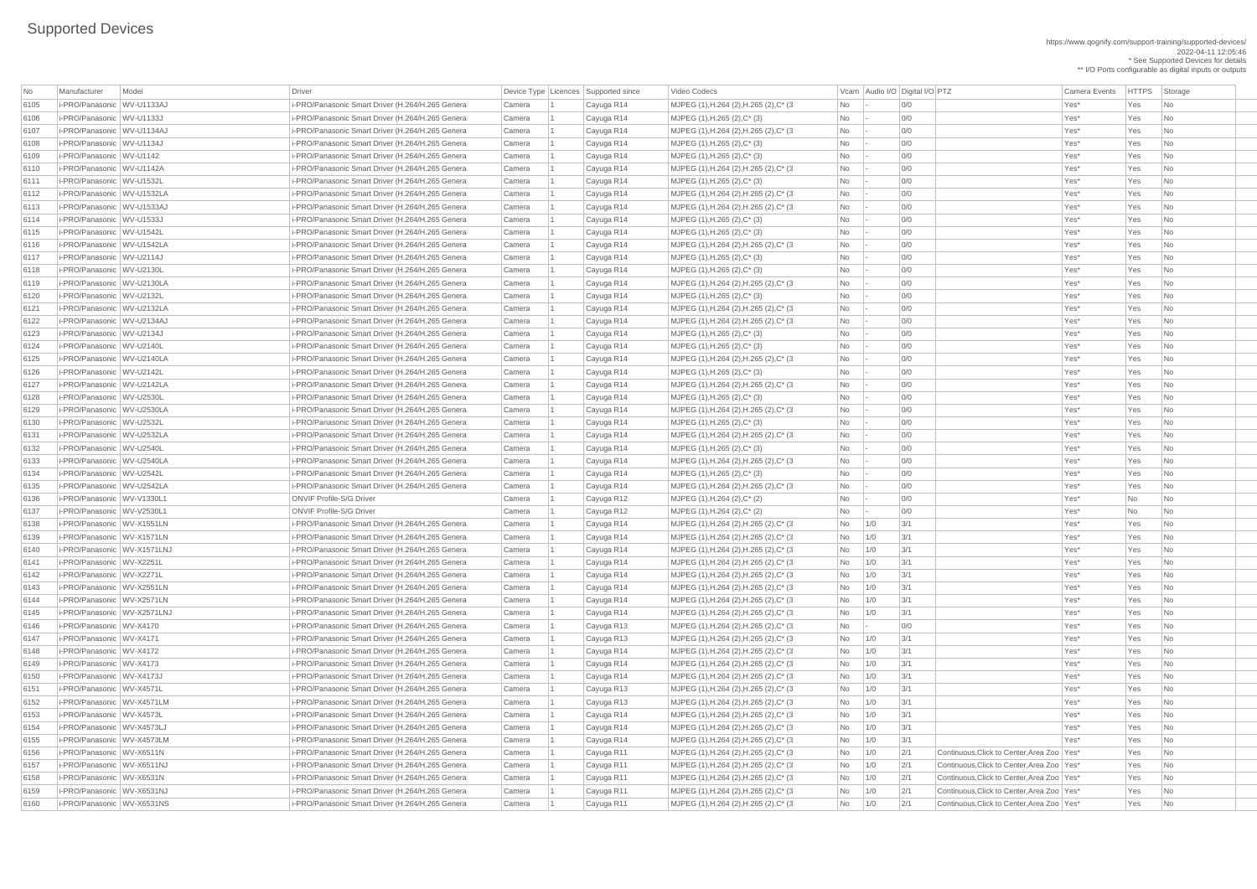## Supported Devices

\* See Supported Devices for details \*\* I/O Ports configurable as digital inputs or outputs

| No   | Model<br>Manufacturer        | Driver                                           | Device Type   Licences   Supported since |            | Video Codecs                            | Vcam Audio I/O Digital I/O PTZ |                                                     | Camera Events | <b>HTTPS</b> | Storage                     |  |
|------|------------------------------|--------------------------------------------------|------------------------------------------|------------|-----------------------------------------|--------------------------------|-----------------------------------------------------|---------------|--------------|-----------------------------|--|
| 6105 | i-PRO/Panasonic WV-U1133AJ   | i-PRO/Panasonic Smart Driver (H.264/H.265 Genera | Camera                                   | Cayuga R14 | MJPEG (1), H.264 (2), H.265 (2), C* (3) | <b>No</b>                      | 0/0                                                 | Yes*          | Yes          | No                          |  |
| 6106 | i-PRO/Panasonic WV-U1133J    | i-PRO/Panasonic Smart Driver (H.264/H.265 Genera | Camera                                   | Cayuga R14 | MJPEG (1), H.265 (2), C* (3)            | No                             | O/O                                                 | Yes*          | Yes          | N <sub>o</sub>              |  |
| 6107 | i-PRO/Panasonic WV-U1134AJ   | i-PRO/Panasonic Smart Driver (H.264/H.265 Genera | Camera                                   | Cayuga R14 | MJPEG (1), H.264 (2), H.265 (2), C* (3  | <b>No</b>                      | 0/0                                                 | Yes*          | Yes          | No                          |  |
| 6108 | i-PRO/Panasonic WV-U1134J    | i-PRO/Panasonic Smart Driver (H.264/H.265 Genera | Camera                                   | Cayuga R14 | $MJPEG (1), H.265 (2), C^*(3)$          | No                             | 0/0                                                 | Yes*          | Yes          | No.                         |  |
| 6109 | i-PRO/Panasonic WV-U1142     | i-PRO/Panasonic Smart Driver (H.264/H.265 Genera | Camera                                   | Cayuga R14 | $MJPEG (1), H.265 (2), C^* (3)$         | No                             | 0/0                                                 | Yes*          | Yes          | N <sub>o</sub>              |  |
| 6110 | i-PRO/Panasonic WV-U1142A    | i-PRO/Panasonic Smart Driver (H.264/H.265 Genera | Camera                                   | Cayuga R14 | MJPEG (1), H.264 (2), H.265 (2), C* (3  | <b>No</b>                      | 0/0                                                 | Yes*          | Yes          | No.                         |  |
| 6111 | i-PRO/Panasonic   WV-U1532L  | i-PRO/Panasonic Smart Driver (H.264/H.265 Genera | Camera                                   | Cayuga R14 | MJPEG (1), H.265 (2), C* (3)            | No                             | 0/0                                                 | Yes*          | Yes          | <b>No</b>                   |  |
| 6112 | i-PRO/Panasonic WV-U1532LA   | i-PRO/Panasonic Smart Driver (H.264/H.265 Genera | Camera                                   | Cayuga R14 | MJPEG (1), H.264 (2), H.265 (2), C* (3  | <b>No</b>                      | O/O                                                 | Yes*          | Yes          | No.                         |  |
| 6113 | i-PRO/Panasonic WV-U1533AJ   | i-PRO/Panasonic Smart Driver (H.264/H.265 Genera | Camera                                   | Cayuga R14 | MJPEG (1), H.264 (2), H.265 (2), C* (3  | No                             | 0/0                                                 | Yes*          | Yes          | No.                         |  |
| 6114 | i-PRO/Panasonic WV-U1533J    | i-PRO/Panasonic Smart Driver (H.264/H.265 Genera | Camera                                   | Cayuga R14 | MJPEG (1), H.265 (2), C* (3)            | No                             | 0/0                                                 | Yes*          | Yes          | No                          |  |
| 6115 | i-PRO/Panasonic WV-U1542L    | i-PRO/Panasonic Smart Driver (H.264/H.265 Genera | Camera                                   | Cayuga R14 | $MJPEG (1), H.265 (2), C^*(3)$          | No                             | 0/0                                                 | Yes*          | Yes          | No.                         |  |
| 6116 | i-PRO/Panasonic WV-U1542LA   | i-PRO/Panasonic Smart Driver (H.264/H.265 Genera | Camera                                   | Cayuga R14 | MJPEG (1), H.264 (2), H.265 (2), C* (3  | <b>No</b>                      | 0/0                                                 | Yes*          | Yes          | No.                         |  |
| 6117 | i-PRO/Panasonic WV-U2114J    | i-PRO/Panasonic Smart Driver (H.264/H.265 Genera | Camera                                   | Cayuga R14 | MJPEG (1), H.265 (2), C* (3)            | No                             | 0/0                                                 | Yes*          | Yes          | <b>No</b>                   |  |
| 6118 | i-PRO/Panasonic WV-U2130L    | i-PRO/Panasonic Smart Driver (H.264/H.265 Genera | Camera                                   | Cayuga R14 | MJPEG (1), H.265 (2), C* (3)            | No                             | 0/0                                                 | Yes*          | Yes          | No                          |  |
| 6119 | i-PRO/Panasonic WV-U2130LA   | i-PRO/Panasonic Smart Driver (H.264/H.265 Genera | Camera                                   | Cayuga R14 | MJPEG (1), H.264 (2), H.265 (2), C* (3  | <b>No</b>                      | 0/0                                                 | Yes*          | Yes          | No.                         |  |
| 6120 | i-PRO/Panasonic WV-U2132L    | i-PRO/Panasonic Smart Driver (H.264/H.265 Genera | Camera                                   | Cayuga R14 | $MJPEG (1), H.265 (2), C^*(3)$          | No                             | 0/0                                                 | Yes*          | Yes          | No                          |  |
| 6121 | i-PRO/Panasonic WV-U2132LA   | i-PRO/Panasonic Smart Driver (H.264/H.265 Genera | Camera                                   | Cayuga R14 | MJPEG (1), H.264 (2), H.265 (2), C* (3  | No                             | 0/0                                                 | Yes*          | Yes          | N <sub>o</sub>              |  |
| 6122 | i-PRO/Panasonic WV-U2134AJ   | i-PRO/Panasonic Smart Driver (H.264/H.265 Genera | Camera                                   | Cayuga R14 | MJPEG (1), H.264 (2), H.265 (2), C* (3  | No                             | 0/0                                                 | Yes*          | Yes          | N <sub>o</sub>              |  |
| 6123 | i-PRO/Panasonic WV-U2134J    | i-PRO/Panasonic Smart Driver (H.264/H.265 Genera | Camera                                   | Cayuga R14 | MJPEG (1), H.265 (2), C* (3)            | No                             | 0/0                                                 | Yes*          | Yes          | No                          |  |
| 6124 | i-PRO/Panasonic WV-U2140L    | i-PRO/Panasonic Smart Driver (H.264/H.265 Genera | Camera                                   | Cayuga R14 | MJPEG (1), H.265 (2), C* (3)            | No                             | O/O                                                 | Yes*          | Yes          | No                          |  |
| 6125 | i-PRO/Panasonic WV-U2140LA   | i-PRO/Panasonic Smart Driver (H.264/H.265 Genera | Camera                                   | Cayuga R14 | MJPEG (1), H.264 (2), H.265 (2), C* (3  | <b>No</b>                      | 0/0                                                 | Yes*          | Yes          | No.                         |  |
| 6126 | i-PRO/Panasonic WV-U2142L    | i-PRO/Panasonic Smart Driver (H.264/H.265 Genera | Camera                                   | Cayuga R14 | MJPEG (1), H.265 (2), C* (3)            | No                             | 0/0                                                 | Yes*          | Yes          | No                          |  |
| 6127 | i-PRO/Panasonic WV-U2142LA   | i-PRO/Panasonic Smart Driver (H.264/H.265 Genera | Camera                                   | Cayuga R14 | MJPEG (1), H.264 (2), H.265 (2), C* (3  | No                             | 0/0                                                 | Yes*          | Yes          | N <sub>o</sub>              |  |
| 6128 | i-PRO/Panasonic WV-U2530L    | i-PRO/Panasonic Smart Driver (H.264/H.265 Genera | Camera                                   | Cayuga R14 | MJPEG (1), H.265 (2), C* (3)            | No                             | 0/0                                                 | Yes*          | Yes          | N <sub>o</sub>              |  |
| 6129 | i-PRO/Panasonic WV-U2530LA   | i-PRO/Panasonic Smart Driver (H.264/H.265 Genera | Camera                                   | Cayuga R14 | MJPEG (1), H.264 (2), H.265 (2), C* (3  | <b>No</b>                      | 0/0                                                 | Yes*          | Yes          | $\overline{\mathsf{No}}$    |  |
| 6130 | i-PRO/Panasonic   WV-U2532L  | i-PRO/Panasonic Smart Driver (H.264/H.265 Genera | Camera                                   | Cayuga R14 | MJPEG (1), H.265 (2), C* (3)            | No                             | O/O                                                 | Yes*          | Yes          | No.                         |  |
| 6131 | i-PRO/Panasonic WV-U2532LA   | i-PRO/Panasonic Smart Driver (H.264/H.265 Genera | Camera                                   | Cayuga R14 | MJPEG (1), H.264 (2), H.265 (2), C* (3  | <b>No</b>                      | 0/0                                                 | Yes*          | Yes          | No                          |  |
| 6132 | i-PRO/Panasonic WV-U2540L    | i-PRO/Panasonic Smart Driver (H.264/H.265 Genera | Camera                                   | Cayuga R14 | MJPEG (1), H.265 (2), C* (3)            | No                             | 0/0                                                 | Yes*          | Yes          | No                          |  |
| 6133 | i-PRO/Panasonic WV-U2540LA   | i-PRO/Panasonic Smart Driver (H.264/H.265 Genera | Camera                                   | Cayuga R14 | MJPEG (1), H.264 (2), H.265 (2), C* (3  | No                             | 0/0                                                 | Yes*          | Yes          | N <sub>o</sub>              |  |
| 6134 | i-PRO/Panasonic WV-U2542L    | i-PRO/Panasonic Smart Driver (H.264/H.265 Genera | Camera                                   | Cayuga R14 | MJPEG $(1)$ , H.265 $(2)$ , C* $(3)$    | No                             | 0/0                                                 | Yes*          | Yes          | No                          |  |
| 6135 | i-PRO/Panasonic WV-U2542LA   | i-PRO/Panasonic Smart Driver (H.264/H.265 Genera | Camera                                   | Cayuga R14 | MJPEG (1), H.264 (2), H.265 (2), C* (3) | <b>No</b>                      | 0/0                                                 | Yes*          | Yes          | No.                         |  |
| 6136 | i-PRO/Panasonic WV-V1330L1   | <b>ONVIF Profile-S/G Driver</b>                  | Camera                                   | Cayuga R12 | MJPEG (1), H.264 (2), C* (2)            | No                             | 0/0                                                 | Yes*          | No           | No.                         |  |
| 6137 | i-PRO/Panasonic WV-V2530L1   | <b>ONVIF Profile-S/G Driver</b>                  | Camera                                   | Cayuga R12 | MJPEG (1), H.264 (2), C* (2)            | No                             | 0/0                                                 | Yes*          | <b>No</b>    | No                          |  |
| 6138 | i-PRO/Panasonic WV-X1551LN   | i-PRO/Panasonic Smart Driver (H.264/H.265 Genera | Camera                                   | Cayuga R14 | MJPEG (1), H.264 (2), H.265 (2), C* (3  | 1/0<br>No                      | 3/1                                                 | Yes*          | Yes          | No.                         |  |
| 6139 | i-PRO/Panasonic WV-X1571LN   | i-PRO/Panasonic Smart Driver (H.264/H.265 Genera | Camera                                   | Cayuga R14 | MJPEG (1), H.264 (2), H.265 (2), C* (3  | 1/0<br>No                      | 3/1                                                 | Yes*          | Yes          | No                          |  |
| 6140 | i-PRO/Panasonic WV-X1571LNJ  | i-PRO/Panasonic Smart Driver (H.264/H.265 Genera | Camera                                   | Cayuga R14 | MJPEG (1), H.264 (2), H.265 (2), C* (3  | 1/0<br>No                      | 3/1                                                 | Yes*          | Yes          | No.                         |  |
| 6141 | i-PRO/Panasonic WV-X2251L    | i-PRO/Panasonic Smart Driver (H.264/H.265 Genera | Camera                                   | Cayuga R14 | MJPEG (1), H.264 (2), H.265 (2), C* (3  | 1/0<br>No                      | 3/1                                                 | Yes*          | Yes          | No.                         |  |
| 6142 | i-PRO/Panasonic WV-X2271L    | i-PRO/Panasonic Smart Driver (H.264/H.265 Genera | Camera                                   | Cayuga R14 | MJPEG (1), H.264 (2), H.265 (2), C* (3  | 1/0<br>No                      | 3/1                                                 | Yes*          | Yes          | No                          |  |
| 6143 | i-PRO/Panasonic WV-X2551LN   | i-PRO/Panasonic Smart Driver (H.264/H.265 Genera | Camera                                   | Cayuga R14 | MJPEG (1), H.264 (2), H.265 (2), C* (3  | 1/0<br>No                      | 3/1                                                 | Yes*          | Yes          | No                          |  |
| 6144 | i-PRO/Panasonic WV-X2571LN   | i-PRO/Panasonic Smart Driver (H.264/H.265 Genera | Camera                                   | Cayuga R14 | MJPEG (1), H.264 (2), H.265 (2), C* (3  | 1/0<br>No                      | 3/1                                                 | Yes*          | Yes          | No.                         |  |
| 6145 | i-PRO/Panasonic WV-X2571LNJ  | i-PRO/Panasonic Smart Driver (H.264/H.265 Genera | Camera                                   | Cayuga R14 | MJPEG (1), H.264 (2), H.265 (2), C* (3  | 1/0<br>No                      | 3/1                                                 | Yes*          | Yes          | No                          |  |
| 6146 | i-PRO/Panasonic WV-X4170     | i-PRO/Panasonic Smart Driver (H.264/H.265 Genera | Camera                                   | Cayuga R13 | MJPEG (1), H.264 (2), H.265 (2), C* (3) | No                             | 0/0                                                 | Yes*          | Yes          | No                          |  |
| 6147 | i-PRO/Panasonic WV-X4171     | i-PRO/Panasonic Smart Driver (H.264/H.265 Genera | Camera                                   | Cayuga R13 | MJPEG (1), H.264 (2), H.265 (2), C* (3  | No<br>1/0                      | 3/1                                                 | Yes*          | Yes          | No.                         |  |
| 6148 | i-PRO/Panasonic WV-X4172     | i-PRO/Panasonic Smart Driver (H.264/H.265 Genera | Camera                                   | Cayuga R14 | MJPEG (1), H.264 (2), H.265 (2), C* (3  | 1/0<br>No                      | 3/1                                                 | Yes*          | Yes          | No                          |  |
| 6149 | i-PRO/Panasonic WV-X4173     | i-PRO/Panasonic Smart Driver (H.264/H.265 Genera | Camera                                   | Cayuga R14 | MJPEG (1), H.264 (2), H.265 (2), C* (3  | 1/0<br>No                      | 3/1                                                 | Yes*          | Yes          | No                          |  |
| 6150 | i-PRO/Panasonic WV-X4173J    | i-PRO/Panasonic Smart Driver (H.264/H.265 Genera | Camera                                   | Cayuga R14 | MJPEG (1), H.264 (2), H.265 (2), C* (3) | 1/0<br>No                      | 3/1                                                 | Yes*          | Yes          | No.                         |  |
| 6151 | i-PRO/Panasonic WV-X4571L    | i-PRO/Panasonic Smart Driver (H.264/H.265 Genera | Camera                                   | Cayuga R13 | MJPEG (1), H.264 (2), H.265 (2), C* (3  | 1/0<br>No                      | 3/1                                                 | Yes*          | Yes          | No                          |  |
| 6152 | i-PRO/Panasonic WV-X4571LM   | i-PRO/Panasonic Smart Driver (H.264/H.265 Genera | Camera                                   | Cayuga R13 | MJPEG (1), H.264 (2), H.265 (2), C* (3) | 1/0<br>No                      | 3/1                                                 | Yes*          | Yes          | No.                         |  |
| 6153 | i-PRO/Panasonic WV-X4573L    | i-PRO/Panasonic Smart Driver (H.264/H.265 Genera | Camera                                   | Cayuga R14 | MJPEG (1), H.264 (2), H.265 (2), C* (3) | 1/0<br>No                      | 3/1                                                 | Yes*          | Yes          | No.                         |  |
| 6154 | i-PRO/Panasonic   WV-X4573LJ | i-PRO/Panasonic Smart Driver (H.264/H.265 Genera | Camera                                   | Cayuga R14 | MJPEG (1), H.264 (2), H.265 (2), C* (3  | No<br>1/0                      | 3/1                                                 | Yes*          | Yes          | No                          |  |
| 6155 | i-PRO/Panasonic WV-X4573LM   | i-PRO/Panasonic Smart Driver (H.264/H.265 Genera | Camera                                   | Cayuga R14 | MJPEG (1), H.264 (2), H.265 (2), C* (3  | 1/0<br>No                      | 3/1                                                 | Yes*          | Yes          | No.                         |  |
| 6156 | i-PRO/Panasonic WV-X6511N    | i-PRO/Panasonic Smart Driver (H.264/H.265 Genera | Camera                                   | Cayuga R11 | MJPEG (1), H.264 (2), H.265 (2), C* (3) | No<br>1/0                      | 2/1<br>Continuous, Click to Center, Area Zoo   Yes* |               | Yes          | $\overline{\mathsf{No}}$    |  |
| 6157 | i-PRO/Panasonic WV-X6511NJ   | i-PRO/Panasonic Smart Driver (H.264/H.265 Genera | Camera                                   | Cayuga R11 | MJPEG (1), H.264 (2), H.265 (2), C* (3) | No<br>1/0                      | 2/1<br>Continuous, Click to Center, Area Zoo   Yes* |               | Yes          | No                          |  |
| 6158 | i-PRO/Panasonic WV-X6531N    | i-PRO/Panasonic Smart Driver (H.264/H.265 Genera | Camera                                   | Cayuga R11 | MJPEG (1), H.264 (2), H.265 (2), C* (3) | 1/0<br>No                      | 2/1<br>Continuous, Click to Center, Area Zoo Yes*   |               | Yes          | No                          |  |
| 6159 | i-PRO/Panasonic WV-X6531NJ   | i-PRO/Panasonic Smart Driver (H.264/H.265 Genera | Camera                                   | Cayuga R11 | MJPEG (1), H.264 (2), H.265 (2), C* (3) | 1/0<br>No                      | 2/1<br>Continuous, Click to Center, Area Zoo Yes*   |               | Yes          | No                          |  |
| 6160 | i-PRO/Panasonic WV-X6531NS   | i-PRO/Panasonic Smart Driver (H.264/H.265 Genera | Camera                                   | Cayuga R11 | MJPEG (1), H.264 (2), H.265 (2), C* (3) | $No$   1/0                     | 2/1<br>Continuous, Click to Center, Area Zoo   Yes* |               | Yes          | $\overline{\phantom{a}}$ No |  |
|      |                              |                                                  |                                          |            |                                         |                                |                                                     |               |              |                             |  |